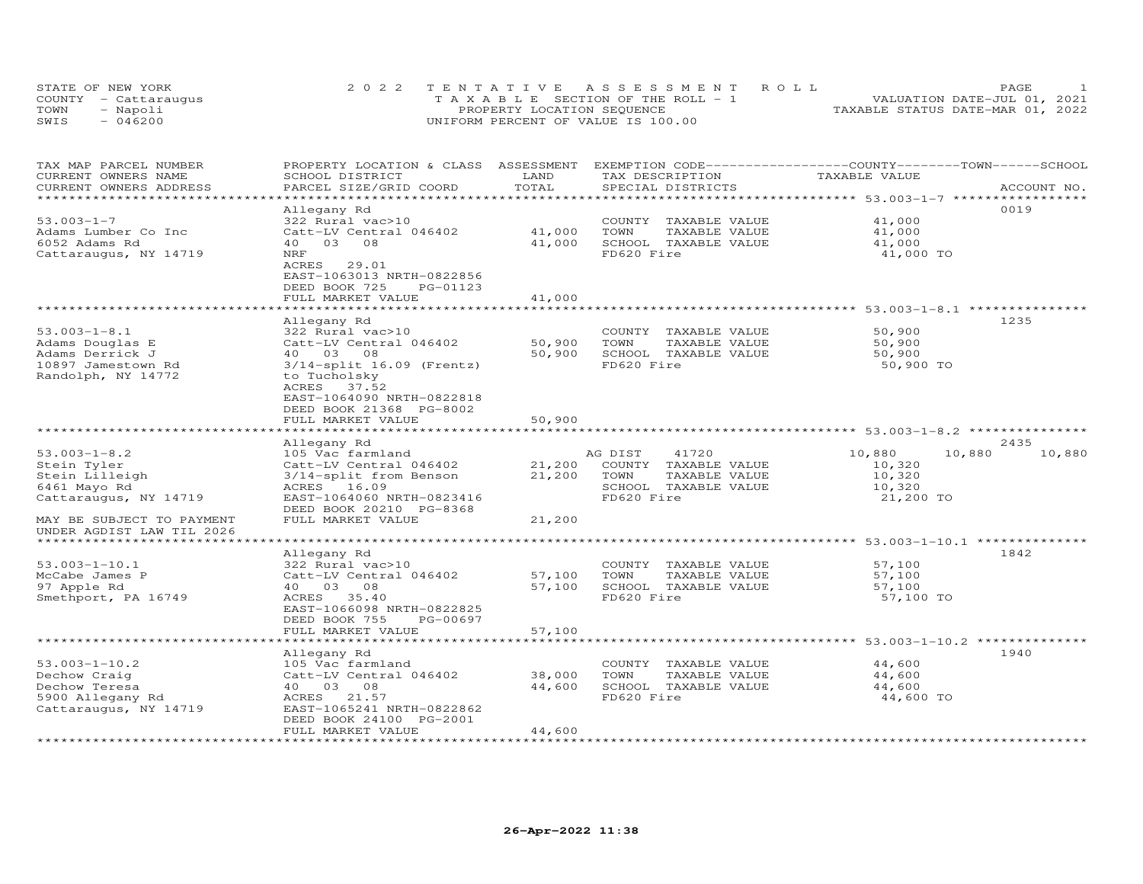| STATE OF NEW YORK    | 2022 TENTATIVE ASSESSMENT ROLL        | PAGE.                            |
|----------------------|---------------------------------------|----------------------------------|
| COUNTY - Cattaraugus | T A X A B L E SECTION OF THE ROLL - 1 | VALUATION DATE-JUL 01, 2021      |
| TOWN<br>- Napoli     | PROPERTY LOCATION SEQUENCE            | TAXABLE STATUS DATE-MAR 01, 2022 |
| $-046200$<br>SWIS    | UNIFORM PERCENT OF VALUE IS 100.00    |                                  |

| TAX MAP PARCEL NUMBER<br>CURRENT OWNERS NAME | PROPERTY LOCATION & CLASS ASSESSMENT<br>SCHOOL DISTRICT | LAND<br>TOTAL       | TAX DESCRIPTION                               | EXEMPTION CODE-----------------COUNTY-------TOWN------SCHOOL<br>TAXABLE VALUE |             |
|----------------------------------------------|---------------------------------------------------------|---------------------|-----------------------------------------------|-------------------------------------------------------------------------------|-------------|
| CURRENT OWNERS ADDRESS<br>**************     | PARCEL SIZE/GRID COORD                                  | ******************  | SPECIAL DISTRICTS                             | *********************** 53.003-1-7 *****                                      | ACCOUNT NO. |
|                                              | Allegany Rd                                             |                     |                                               |                                                                               | 0019        |
| $53.003 - 1 - 7$                             | 322 Rural vac>10                                        |                     | COUNTY TAXABLE VALUE                          | 41,000                                                                        |             |
| Adams Lumber Co Inc                          | Catt-LV Central 046402                                  | 41,000              | TOWN<br>TAXABLE VALUE                         | 41,000                                                                        |             |
| 6052 Adams Rd                                | 40<br>03<br>08                                          | 41,000              | SCHOOL TAXABLE VALUE                          | 41,000                                                                        |             |
| Cattaraugus, NY 14719                        | NRF                                                     |                     | FD620 Fire                                    | 41,000 TO                                                                     |             |
|                                              | ACRES<br>29.01                                          |                     |                                               |                                                                               |             |
|                                              | EAST-1063013 NRTH-0822856                               |                     |                                               |                                                                               |             |
|                                              | DEED BOOK 725<br>PG-01123                               |                     |                                               |                                                                               |             |
|                                              | FULL MARKET VALUE                                       | 41,000<br>********  |                                               | ******************* 53.003-1-8.1 *********                                    |             |
|                                              | Allegany Rd                                             |                     |                                               |                                                                               | 1235        |
| $53.003 - 1 - 8.1$                           | 322 Rural vac>10                                        |                     | COUNTY TAXABLE VALUE                          | 50,900                                                                        |             |
| Adams Douglas E                              | Catt-LV Central 046402                                  | 50,900              | TOWN<br>TAXABLE VALUE                         | 50,900                                                                        |             |
| Adams Derrick J                              | 40  03  08                                              | 50,900              | SCHOOL TAXABLE VALUE                          | 50,900                                                                        |             |
| 10897 Jamestown Rd                           | $3/14$ -split $16.09$ (Frentz)                          |                     | FD620 Fire                                    | 50,900 TO                                                                     |             |
| Randolph, NY 14772                           | to Tucholsky                                            |                     |                                               |                                                                               |             |
|                                              | ACRES<br>37.52                                          |                     |                                               |                                                                               |             |
|                                              | EAST-1064090 NRTH-0822818                               |                     |                                               |                                                                               |             |
|                                              | DEED BOOK 21368 PG-8002                                 |                     |                                               |                                                                               |             |
|                                              | FULL MARKET VALUE                                       | 50,900              |                                               |                                                                               |             |
|                                              | ************************                                |                     |                                               |                                                                               |             |
|                                              | Allegany Rd                                             |                     |                                               |                                                                               | 2435        |
| $53.003 - 1 - 8.2$                           | 105 Vac farmland                                        |                     | AG DIST<br>41720                              | 10,880<br>10,880                                                              | 10,880      |
| Stein Tyler<br>Stein Lilleigh                | Catt-LV Central 046402<br>3/14-split from Benson        | 21,200<br>21,200    | COUNTY TAXABLE VALUE<br>TOWN<br>TAXABLE VALUE | 10,320<br>10,320                                                              |             |
| 6461 Mayo Rd                                 | ACRES 16.09                                             |                     | SCHOOL TAXABLE VALUE                          | 10,320                                                                        |             |
| Cattaraugus, NY 14719                        | EAST-1064060 NRTH-0823416                               |                     | FD620 Fire                                    | 21,200 TO                                                                     |             |
|                                              | DEED BOOK 20210 PG-8368                                 |                     |                                               |                                                                               |             |
| MAY BE SUBJECT TO PAYMENT                    | FULL MARKET VALUE                                       | 21,200              |                                               |                                                                               |             |
| UNDER AGDIST LAW TIL 2026                    |                                                         |                     |                                               |                                                                               |             |
| *************************                    |                                                         |                     |                                               |                                                                               |             |
|                                              | Allegany Rd                                             |                     |                                               |                                                                               | 1842        |
| $53.003 - 1 - 10.1$                          | 322 Rural vac>10                                        |                     | COUNTY TAXABLE VALUE                          | 57,100                                                                        |             |
| McCabe James P                               | Catt-LV Central 046402                                  | 57,100              | TOWN<br>TAXABLE VALUE                         | 57,100                                                                        |             |
| 97 Apple Rd                                  | 40  03  08                                              | 57,100              | SCHOOL TAXABLE VALUE                          | 57,100                                                                        |             |
| Smethport, PA 16749                          | ACRES<br>35.40                                          |                     | FD620 Fire                                    | 57,100 TO                                                                     |             |
|                                              | EAST-1066098 NRTH-0822825                               |                     |                                               |                                                                               |             |
|                                              | DEED BOOK 755<br>PG-00697                               |                     |                                               |                                                                               |             |
|                                              | FULL MARKET VALUE<br>*******************                | 57,100              |                                               |                                                                               |             |
|                                              |                                                         |                     |                                               |                                                                               |             |
| $53.003 - 1 - 10.2$                          | Allegany Rd<br>105 Vac farmland                         |                     | COUNTY TAXABLE VALUE                          | 44,600                                                                        | 1940        |
| Dechow Craig                                 | Catt-LV Central 046402                                  | 38,000              | TOWN<br>TAXABLE VALUE                         | 44,600                                                                        |             |
| Dechow Teresa                                | 40 03 08                                                | 44,600              | SCHOOL TAXABLE VALUE                          | 44,600                                                                        |             |
| 5900 Allegany Rd                             | ACRES 21.57                                             |                     | FD620 Fire                                    | 44,600 TO                                                                     |             |
| Cattaraugus, NY 14719                        | EAST-1065241 NRTH-0822862                               |                     |                                               |                                                                               |             |
|                                              | DEED BOOK 24100 PG-2001                                 |                     |                                               |                                                                               |             |
|                                              | FULL MARKET VALUE                                       | 44,600              |                                               |                                                                               |             |
| ********************                         | **************************                              | ******************* |                                               |                                                                               |             |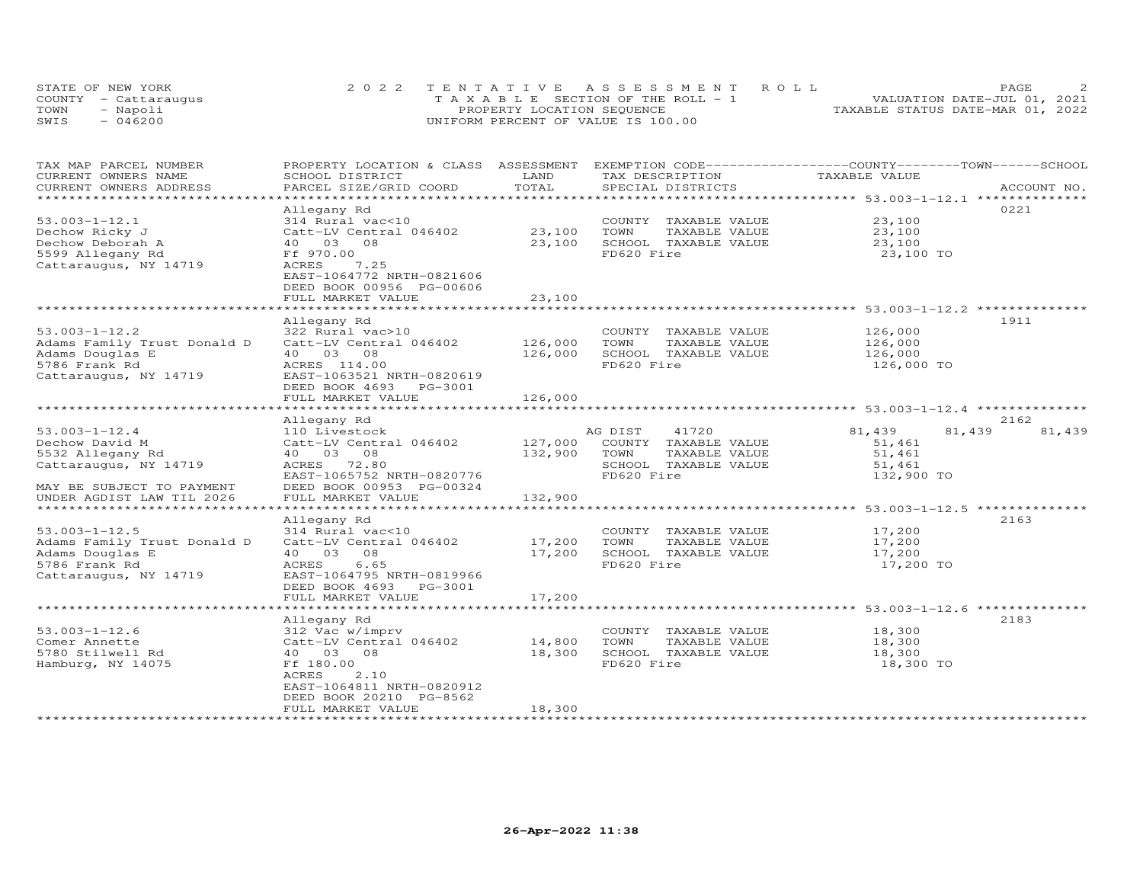|      | STATE OF NEW YORK    | 2022 TENTATIVE ASSESSMENT ROLL        | PAGE.                            |  |
|------|----------------------|---------------------------------------|----------------------------------|--|
|      | COUNTY - Cattaraugus | T A X A B L E SECTION OF THE ROLL - 1 | VALUATION DATE-JUL 01, 2021      |  |
| TOWN | - Napoli             | PROPERTY LOCATION SEQUENCE            | TAXABLE STATUS DATE-MAR 01, 2022 |  |
| SWIS | $-046200$            | UNIFORM PERCENT OF VALUE IS 100.00    |                                  |  |

| TAX MAP PARCEL NUMBER<br>CURRENT OWNERS NAME | PROPERTY LOCATION & CLASS ASSESSMENT<br>SCHOOL DISTRICT | LAND          | EXEMPTION CODE------------------COUNTY-------TOWN------SCHOOL<br>TAX DESCRIPTION | TAXABLE VALUE                                                    |                  |
|----------------------------------------------|---------------------------------------------------------|---------------|----------------------------------------------------------------------------------|------------------------------------------------------------------|------------------|
| CURRENT OWNERS ADDRESS                       | PARCEL SIZE/GRID COORD                                  | TOTAL         | SPECIAL DISTRICTS                                                                |                                                                  | ACCOUNT NO.      |
| *******************                          |                                                         |               |                                                                                  |                                                                  |                  |
|                                              | Allegany Rd                                             |               |                                                                                  |                                                                  | 0221             |
| $53.003 - 1 - 12.1$                          | 314 Rural vac<10                                        |               | COUNTY TAXABLE VALUE                                                             | 23,100                                                           |                  |
| Dechow Ricky J                               | Catt-LV Central 046402                                  | 23,100        | TOWN<br>TAXABLE VALUE                                                            | 23,100                                                           |                  |
| Dechow Deborah A                             | 40  03  08                                              | 23,100        | SCHOOL TAXABLE VALUE                                                             | 23,100                                                           |                  |
| 5599 Allegany Rd                             | Ff 970.00                                               |               | FD620 Fire                                                                       | 23,100 TO                                                        |                  |
| Cattaraugus, NY 14719                        | ACRES<br>7.25                                           |               |                                                                                  |                                                                  |                  |
|                                              | EAST-1064772 NRTH-0821606                               |               |                                                                                  |                                                                  |                  |
|                                              | DEED BOOK 00956 PG-00606                                |               |                                                                                  |                                                                  |                  |
|                                              | FULL MARKET VALUE                                       | 23,100        |                                                                                  |                                                                  |                  |
|                                              |                                                         |               |                                                                                  |                                                                  |                  |
|                                              | Allegany Rd                                             |               |                                                                                  |                                                                  | 1911             |
| $53.003 - 1 - 12.2$                          | 322 Rural vac>10                                        |               | COUNTY TAXABLE VALUE                                                             | 126,000                                                          |                  |
| Adams Family Trust Donald D                  | Catt-LV Central 046402                                  | 126,000       | TOWN<br>TAXABLE VALUE                                                            | 126,000                                                          |                  |
| Adams Douglas E                              | 40  03  08                                              | 126,000       | SCHOOL TAXABLE VALUE                                                             | 126,000                                                          |                  |
| 5786 Frank Rd                                | ACRES 114.00                                            |               | FD620 Fire                                                                       | 126,000 TO                                                       |                  |
| Cattaraugus, NY 14719                        | EAST-1063521 NRTH-0820619                               |               |                                                                                  |                                                                  |                  |
|                                              | DEED BOOK 4693<br>PG-3001                               |               |                                                                                  |                                                                  |                  |
|                                              | FULL MARKET VALUE                                       | 126,000       |                                                                                  |                                                                  |                  |
|                                              | .                                                       | ************* |                                                                                  | ***********************************53.003-1-12.4 *************** |                  |
|                                              | Allegany Rd                                             |               |                                                                                  |                                                                  | 2162             |
| $53.003 - 1 - 12.4$                          | 110 Livestock                                           |               | AG DIST<br>41720                                                                 | 81,439                                                           | 81,439<br>81,439 |
| Dechow David M                               | Catt-LV Central 046402                                  | 127,000       | COUNTY TAXABLE VALUE                                                             | 51,461                                                           |                  |
| 5532 Allegany Rd                             | 40  03  08                                              | 132,900       | TOWN<br>TAXABLE VALUE                                                            | 51,461                                                           |                  |
| Cattaraugus, NY 14719                        | ACRES 72.80                                             |               | SCHOOL TAXABLE VALUE                                                             | 51,461                                                           |                  |
|                                              | EAST-1065752 NRTH-0820776                               |               | FD620 Fire                                                                       | 132,900 TO                                                       |                  |
| MAY BE SUBJECT TO PAYMENT                    | DEED BOOK 00953 PG-00324                                |               |                                                                                  |                                                                  |                  |
| UNDER AGDIST LAW TIL 2026                    | FULL MARKET VALUE                                       | 132,900       |                                                                                  |                                                                  |                  |
|                                              |                                                         |               |                                                                                  |                                                                  |                  |
|                                              | Allegany Rd                                             |               |                                                                                  |                                                                  | 2163             |
| $53.003 - 1 - 12.5$                          | 314 Rural vac<10                                        |               | COUNTY TAXABLE VALUE                                                             | 17,200                                                           |                  |
| Adams Family Trust Donald D                  | Catt-LV Central 046402                                  | 17,200        | TOWN<br>TAXABLE VALUE                                                            | 17,200                                                           |                  |
| Adams Douglas E                              | 40 03<br>08                                             | 17,200        | SCHOOL TAXABLE VALUE                                                             | 17,200                                                           |                  |
| 5786 Frank Rd                                | 6.65<br>ACRES                                           |               | FD620 Fire                                                                       | 17,200 TO                                                        |                  |
| Cattaraugus, NY 14719                        | EAST-1064795 NRTH-0819966                               |               |                                                                                  |                                                                  |                  |
|                                              | DEED BOOK 4693 PG-3001                                  |               |                                                                                  |                                                                  |                  |
|                                              | FULL MARKET VALUE                                       | 17,200        |                                                                                  |                                                                  |                  |
|                                              |                                                         |               |                                                                                  |                                                                  |                  |
|                                              | Allegany Rd                                             |               |                                                                                  |                                                                  | 2183             |
| $53.003 - 1 - 12.6$                          | 312 Vac w/imprv                                         |               | COUNTY TAXABLE VALUE                                                             | 18,300                                                           |                  |
| Comer Annette                                | Catt-LV Central 046402                                  | 14,800        | TOWN<br>TAXABLE VALUE                                                            | 18,300                                                           |                  |
| 5780 Stilwell Rd                             | 40  03  08                                              | 18,300        | SCHOOL TAXABLE VALUE                                                             | 18,300                                                           |                  |
| Hamburg, NY 14075                            | Ff 180.00                                               |               | FD620 Fire                                                                       | 18,300 TO                                                        |                  |
|                                              | 2.10<br>ACRES                                           |               |                                                                                  |                                                                  |                  |
|                                              | EAST-1064811 NRTH-0820912                               |               |                                                                                  |                                                                  |                  |
|                                              | DEED BOOK 20210 PG-8562                                 |               |                                                                                  |                                                                  |                  |
|                                              | FULL MARKET VALUE                                       | 18,300        |                                                                                  |                                                                  |                  |
|                                              |                                                         |               |                                                                                  |                                                                  |                  |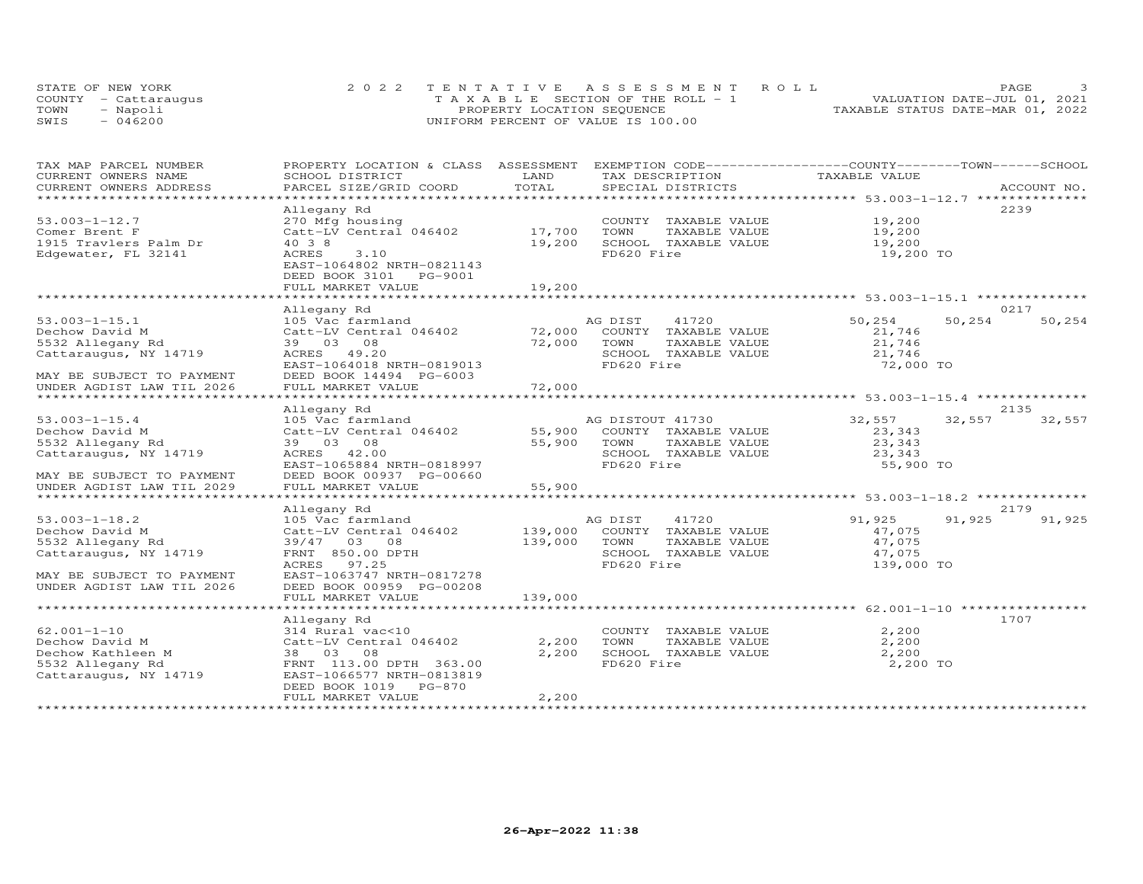|      | STATE OF NEW YORK    | 2022 TENTATIVE ASSESSMENT ROLL        | PAGE.                            |
|------|----------------------|---------------------------------------|----------------------------------|
|      | COUNTY - Cattaraugus | T A X A B L E SECTION OF THE ROLL - 1 | VALUATION DATE-JUL 01, 2021      |
| TOWN | - Napoli             | PROPERTY LOCATION SEQUENCE            | TAXABLE STATUS DATE-MAR 01, 2022 |
| SWIS | $-046200$            | UNIFORM PERCENT OF VALUE IS 100.00    |                                  |

| TAX MAP PARCEL NUMBER     | PROPERTY LOCATION & CLASS ASSESSMENT EXEMPTION CODE----------------COUNTY-------TOWN-----SCHOOL |         |                       |                  |             |
|---------------------------|-------------------------------------------------------------------------------------------------|---------|-----------------------|------------------|-------------|
| CURRENT OWNERS NAME       | SCHOOL DISTRICT                                                                                 | LAND    | TAX DESCRIPTION       | TAXABLE VALUE    |             |
| CURRENT OWNERS ADDRESS    | PARCEL SIZE/GRID COORD                                                                          | TOTAL   | SPECIAL DISTRICTS     |                  | ACCOUNT NO. |
| ********************      |                                                                                                 |         |                       |                  |             |
|                           | Allegany Rd                                                                                     |         |                       |                  | 2239        |
| $53.003 - 1 - 12.7$       | 270 Mfg housing                                                                                 |         | COUNTY TAXABLE VALUE  | 19,200           |             |
| Comer Brent F             | Catt-LV Central 046402                                                                          | 17,700  | TAXABLE VALUE<br>TOWN | 19,200           |             |
| 1915 Travlers Palm Dr     | 40 3 8                                                                                          | 19,200  | SCHOOL TAXABLE VALUE  | 19,200           |             |
| Edgewater, FL 32141       | ACRES<br>3.10                                                                                   |         | FD620 Fire            | 19,200 TO        |             |
|                           | EAST-1064802 NRTH-0821143                                                                       |         |                       |                  |             |
|                           | DEED BOOK 3101<br>PG-9001                                                                       |         |                       |                  |             |
|                           | FULL MARKET VALUE                                                                               | 19,200  |                       |                  |             |
|                           |                                                                                                 |         |                       |                  |             |
|                           | Allegany Rd                                                                                     |         |                       |                  | 0217        |
| $53.003 - 1 - 15.1$       | 105 Vac farmland                                                                                |         | AG DIST<br>41720      | 50,254<br>50,254 | 50,254      |
| Dechow David M            | Catt-LV Central 046402                                                                          | 72,000  | COUNTY TAXABLE VALUE  | 21,746           |             |
| 5532 Allegany Rd          | 39 03<br>08                                                                                     | 72,000  | TOWN<br>TAXABLE VALUE | 21,746           |             |
| Cattaraugus, NY 14719     | 49.20<br>ACRES                                                                                  |         | SCHOOL TAXABLE VALUE  | 21,746           |             |
|                           | EAST-1064018 NRTH-0819013                                                                       |         | FD620 Fire            | 72,000 TO        |             |
| MAY BE SUBJECT TO PAYMENT | DEED BOOK 14494 PG-6003                                                                         |         |                       |                  |             |
| UNDER AGDIST LAW TIL 2026 | FULL MARKET VALUE                                                                               | 72,000  |                       |                  |             |
|                           |                                                                                                 |         |                       |                  | 2135        |
| $53.003 - 1 - 15.4$       | Allegany Rd<br>105 Vac farmland                                                                 |         | AG DISTOUT 41730      | 32,557<br>32,557 |             |
| Dechow David M            | Catt-LV Central 046402                                                                          | 55,900  | COUNTY TAXABLE VALUE  | 23,343           | 32,557      |
| 5532 Allegany Rd          | 39 03 08                                                                                        | 55,900  | TOWN<br>TAXABLE VALUE | 23,343           |             |
| Cattaraugus, NY 14719     | ACRES 42.00                                                                                     |         | SCHOOL TAXABLE VALUE  | 23,343           |             |
|                           | EAST-1065884 NRTH-0818997                                                                       |         | FD620 Fire            | 55,900 TO        |             |
| MAY BE SUBJECT TO PAYMENT | DEED BOOK 00937 PG-00660                                                                        |         |                       |                  |             |
| UNDER AGDIST LAW TIL 2029 | FULL MARKET VALUE                                                                               | 55,900  |                       |                  |             |
|                           |                                                                                                 |         |                       |                  |             |
|                           | Allegany Rd                                                                                     |         |                       |                  | 2179        |
| $53.003 - 1 - 18.2$       | 105 Vac farmland                                                                                |         | 41720<br>AG DIST      | 91,925<br>91,925 | 91,925      |
| Dechow David M            | Catt-LV Central 046402                                                                          | 139,000 | COUNTY TAXABLE VALUE  | 47,075           |             |
| 5532 Allegany Rd          | 39/47 03 08                                                                                     | 139,000 | TOWN<br>TAXABLE VALUE | 47,075           |             |
| Cattaraugus, NY 14719     | FRNT 850.00 DPTH                                                                                |         | SCHOOL TAXABLE VALUE  | 47,075           |             |
|                           | 97.25<br>ACRES                                                                                  |         | FD620 Fire            | 139,000 TO       |             |
| MAY BE SUBJECT TO PAYMENT | EAST-1063747 NRTH-0817278                                                                       |         |                       |                  |             |
| UNDER AGDIST LAW TIL 2026 | DEED BOOK 00959 PG-00208                                                                        |         |                       |                  |             |
|                           | FULL MARKET VALUE                                                                               | 139,000 |                       |                  |             |
|                           |                                                                                                 |         |                       |                  |             |
|                           | Allegany Rd                                                                                     |         |                       |                  | 1707        |
| $62.001 - 1 - 10$         | 314 Rural vac<10                                                                                |         | COUNTY TAXABLE VALUE  | 2,200            |             |
| Dechow David M            | Catt-LV Central 046402                                                                          | 2,200   | TOWN<br>TAXABLE VALUE | 2,200            |             |
| Dechow Kathleen M         | 38 03<br>08                                                                                     | 2,200   | SCHOOL TAXABLE VALUE  | 2,200            |             |
| 5532 Allegany Rd          | FRNT 113.00 DPTH 363.00                                                                         |         | FD620 Fire            | 2,200 TO         |             |
| Cattaraugus, NY 14719     | EAST-1066577 NRTH-0813819                                                                       |         |                       |                  |             |
|                           | DEED BOOK 1019<br>$PG-870$                                                                      |         |                       |                  |             |
|                           | FULL MARKET VALUE                                                                               | 2,200   |                       |                  |             |
|                           |                                                                                                 |         |                       |                  |             |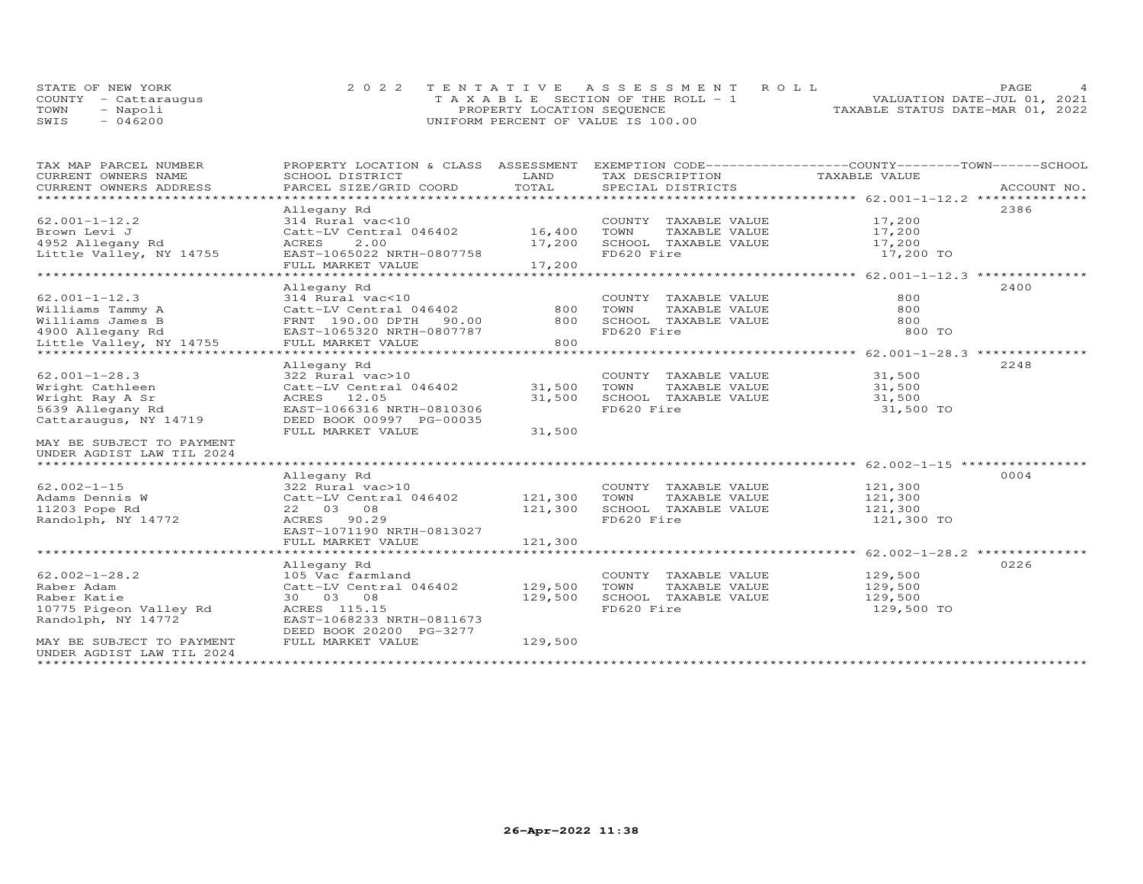|      | STATE OF NEW YORK    | 2022 TENTATIVE ASSESSMENT ROLL        | PAGE                             |  |
|------|----------------------|---------------------------------------|----------------------------------|--|
|      | COUNTY - Cattaraugus | T A X A B L E SECTION OF THE ROLL - 1 | VALUATION DATE-JUL 01, 2021      |  |
| TOWN | - Napoli             | PROPERTY LOCATION SEQUENCE            | TAXABLE STATUS DATE-MAR 01, 2022 |  |
| SWIS | $-046200$            | UNIFORM PERCENT OF VALUE IS 100.00    |                                  |  |

| Brown Levi J              | Catt-LV Central 046402 16,400                |                           | TOWN       | TAXABLE VALUE        | 17,200     |                                                      |
|---------------------------|----------------------------------------------|---------------------------|------------|----------------------|------------|------------------------------------------------------|
| 4952 Allegany Rd          | ACRES<br>2.00                                | 17,200                    |            | SCHOOL TAXABLE VALUE | 17,200     |                                                      |
| Little Valley, NY 14755   | EAST-1065022 NRTH-0807758                    |                           | FD620 Fire |                      | 17,200 TO  |                                                      |
|                           | FULL MARKET VALUE                            | 17,200                    |            |                      |            |                                                      |
|                           |                                              |                           |            |                      |            |                                                      |
|                           | Allegany Rd                                  |                           |            |                      |            | 2400                                                 |
| $62.001 - 1 - 12.3$       | 314 Rural vac<10                             | 800                       |            | COUNTY TAXABLE VALUE | 800        |                                                      |
| Williams Tammy A          | Catt-LV Central 046402                       |                           | TOWN       | TAXABLE VALUE        | 800        |                                                      |
| Williams James B          | FRNT 190.00 DPTH                             | 90.00 800                 |            | SCHOOL TAXABLE VALUE | 800        |                                                      |
| 4900 Allegany Rd          | EAST-1065320 NRTH-0807787                    |                           | FD620 Fire |                      | 800 TO     |                                                      |
| Little Valley, NY 14755   | FULL MARKET VALUE                            | 800                       |            |                      |            |                                                      |
|                           | Allegany Rd                                  |                           |            |                      |            | 2248                                                 |
| $62.001 - 1 - 28.3$       | 322 Rural vac>10                             |                           |            | COUNTY TAXABLE VALUE | 31,500     |                                                      |
| Wright Cathleen           | Catt-LV Central 046402                       | 31,500                    | TOWN       | TAXABLE VALUE        | 31,500     |                                                      |
| Wright Ray A Sr           | ACRES 12.05                                  | 31,500                    |            | SCHOOL TAXABLE VALUE | 31,500     |                                                      |
| 5639 Allegany Rd          | EAST-1066316 NRTH-0810306                    |                           | FD620 Fire |                      | 31,500 TO  |                                                      |
| Cattaraugus, NY 14719     | DEED BOOK 00997 PG-00035                     |                           |            |                      |            |                                                      |
|                           | FULL MARKET VALUE                            | 31,500                    |            |                      |            |                                                      |
| MAY BE SUBJECT TO PAYMENT |                                              |                           |            |                      |            |                                                      |
| UNDER AGDIST LAW TIL 2024 |                                              |                           |            |                      |            |                                                      |
|                           |                                              |                           |            |                      |            |                                                      |
|                           | Allegany Rd                                  |                           |            |                      |            | 0004                                                 |
| $62.002 - 1 - 15$         | 322 Rural vac>10                             |                           |            | COUNTY TAXABLE VALUE | 121,300    |                                                      |
| Adams Dennis W            |                                              |                           | TOWN       | TAXABLE VALUE        | 121,300    |                                                      |
| 11203 Pope Rd             | 22 03 08                                     | 121,300                   |            | SCHOOL TAXABLE VALUE | 121,300    |                                                      |
| Randolph, NY 14772        | ACRES 90.29                                  |                           | FD620 Fire |                      | 121,300 TO |                                                      |
|                           | EAST-1071190 NRTH-0813027                    |                           |            |                      |            |                                                      |
|                           | FULL MARKET VALUE                            | 121,300<br>************** |            |                      |            |                                                      |
|                           | ******************************               |                           |            |                      |            | *********************** 62.002-1-28.2 ************** |
|                           | Allegany Rd                                  |                           |            |                      |            | 0226                                                 |
| $62.002 - 1 - 28.2$       | 105 Vac farmland                             |                           |            | COUNTY TAXABLE VALUE | 129,500    |                                                      |
| Raber Adam                | Catt-LV Central 046402                       | 129,500                   | TOWN       | TAXABLE VALUE        | 129,500    |                                                      |
| Raber Katie               | 30 03 08                                     | 129,500                   |            | SCHOOL TAXABLE VALUE | 129,500    |                                                      |
| 10775 Pigeon Valley Rd    | ACRES 115.15                                 |                           | FD620 Fire |                      | 129,500 TO |                                                      |
| Randolph, NY 14772        | EAST-1068233 NRTH-0811673                    |                           |            |                      |            |                                                      |
| MAY BE SUBJECT TO PAYMENT | DEED BOOK 20200 PG-3277<br>FULL MARKET VALUE | 129,500                   |            |                      |            |                                                      |
| UNDER AGDIST LAW TIL 2024 |                                              |                           |            |                      |            |                                                      |
|                           |                                              |                           |            |                      |            |                                                      |
|                           |                                              |                           |            |                      |            |                                                      |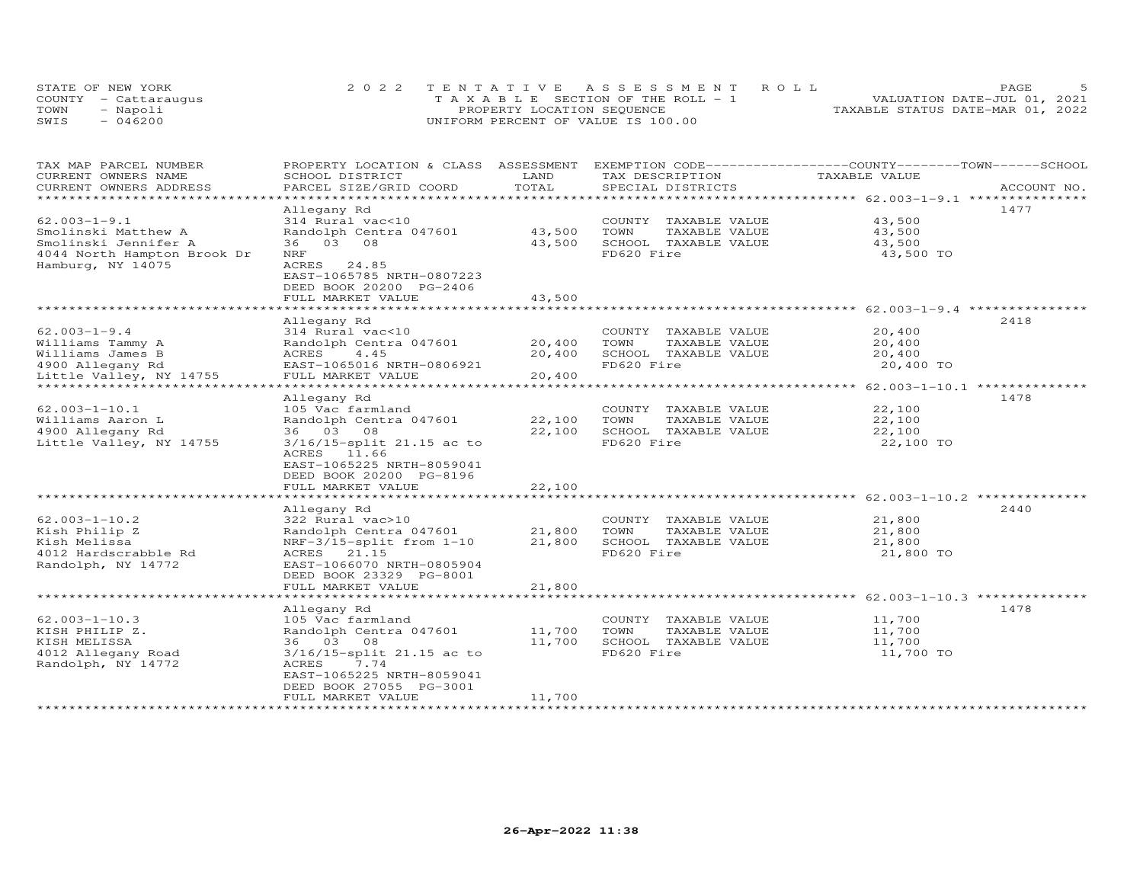|      | STATE OF NEW YORK    | 2022 TENTATIVE ASSESSMENT ROLL     | PAGE.                            |
|------|----------------------|------------------------------------|----------------------------------|
|      | COUNTY - Cattaraugus | TAXABLE SECTION OF THE ROLL - 1    | VALUATION DATE-JUL 01, 2021      |
| TOWN | - Napoli             | PROPERTY LOCATION SEQUENCE         | TAXABLE STATUS DATE-MAR 01, 2022 |
| SWIS | $-046200$            | UNIFORM PERCENT OF VALUE IS 100.00 |                                  |

| TAX MAP PARCEL NUMBER<br>CURRENT OWNERS NAME | PROPERTY LOCATION & CLASS ASSESSMENT<br>SCHOOL DISTRICT | LAND         | EXEMPTION CODE-----------------COUNTY-------TOWN------SCHOOL<br>TAX DESCRIPTION | TAXABLE VALUE                                                 |             |
|----------------------------------------------|---------------------------------------------------------|--------------|---------------------------------------------------------------------------------|---------------------------------------------------------------|-------------|
| CURRENT OWNERS ADDRESS                       | PARCEL SIZE/GRID COORD                                  | TOTAL        | SPECIAL DISTRICTS                                                               |                                                               | ACCOUNT NO. |
|                                              |                                                         | ************ |                                                                                 | ************************ 62.003-1-9.1 *********               |             |
|                                              | Allegany Rd                                             |              |                                                                                 |                                                               | 1477        |
| $62.003 - 1 - 9.1$                           | 314 Rural vac<10                                        |              | COUNTY TAXABLE VALUE                                                            | 43,500                                                        |             |
| Smolinski Matthew A                          | Randolph Centra 047601                                  | 43,500       | TOWN<br>TAXABLE VALUE                                                           | 43,500                                                        |             |
| Smolinski Jennifer A                         | 36 03 08                                                | 43,500       | SCHOOL TAXABLE VALUE                                                            | 43,500                                                        |             |
| 4044 North Hampton Brook Dr                  | <b>NRF</b>                                              |              | FD620 Fire                                                                      | 43,500 TO                                                     |             |
| Hamburg, NY 14075                            | 24.85<br>ACRES                                          |              |                                                                                 |                                                               |             |
|                                              | EAST-1065785 NRTH-0807223                               |              |                                                                                 |                                                               |             |
|                                              | DEED BOOK 20200 PG-2406                                 |              |                                                                                 |                                                               |             |
|                                              |                                                         | 43,500       |                                                                                 |                                                               |             |
|                                              | FULL MARKET VALUE<br>**************************         |              |                                                                                 | ***********************************62.003-1-9.4 ************* |             |
|                                              |                                                         |              |                                                                                 |                                                               | 2418        |
|                                              | Allegany Rd                                             |              |                                                                                 | 20,400                                                        |             |
| $62.003 - 1 - 9.4$                           | 314 Rural vac<10                                        |              | COUNTY TAXABLE VALUE                                                            |                                                               |             |
| Williams Tammy A                             | Randolph Centra 047601                                  | 20,400       | TOWN<br>TAXABLE VALUE                                                           | 20,400                                                        |             |
| Williams James B                             | ACRES<br>4.45                                           | 20,400       | SCHOOL TAXABLE VALUE                                                            | 20,400                                                        |             |
| 4900 Allegany Rd                             | EAST-1065016 NRTH-0806921                               |              | FD620 Fire                                                                      | 20,400 TO                                                     |             |
| Little Valley, NY 14755<br>**************    | FULL MARKET VALUE<br>*********************************  | 20,400       |                                                                                 |                                                               |             |
|                                              |                                                         |              |                                                                                 | ******************** 62.003-1-10.1 **************             |             |
|                                              | Allegany Rd                                             |              |                                                                                 |                                                               | 1478        |
| $62.003 - 1 - 10.1$                          | 105 Vac farmland                                        |              | COUNTY TAXABLE VALUE                                                            | 22,100                                                        |             |
| Williams Aaron L                             | Randolph Centra 047601                                  | 22,100       | TOWN<br>TAXABLE VALUE                                                           | 22,100                                                        |             |
| 4900 Allegany Rd                             | 36 03 08                                                | 22,100       | SCHOOL TAXABLE VALUE                                                            | 22,100                                                        |             |
| Little Valley, NY 14755                      | 3/16/15-split 21.15 ac to                               |              | FD620 Fire                                                                      | 22,100 TO                                                     |             |
|                                              | ACRES 11.66                                             |              |                                                                                 |                                                               |             |
|                                              | EAST-1065225 NRTH-8059041                               |              |                                                                                 |                                                               |             |
|                                              | DEED BOOK 20200 PG-8196                                 |              |                                                                                 |                                                               |             |
|                                              | FULL MARKET VALUE                                       | 22,100       |                                                                                 |                                                               |             |
|                                              |                                                         |              |                                                                                 | ******************** 62.003-1-10.2 ************               |             |
|                                              | Allegany Rd                                             |              |                                                                                 |                                                               | 2440        |
| $62.003 - 1 - 10.2$                          | 322 Rural vac>10                                        |              | COUNTY TAXABLE VALUE                                                            | 21,800                                                        |             |
| Kish Philip Z                                | Randolph Centra 047601                                  | 21,800       | TAXABLE VALUE<br>TOWN                                                           | 21,800                                                        |             |
| Kish Melissa                                 | NRF-3/15-split from 1-10                                | 21,800       | SCHOOL TAXABLE VALUE                                                            | 21,800                                                        |             |
| 4012 Hardscrabble Rd                         | ACRES 21.15                                             |              | FD620 Fire                                                                      | 21,800 TO                                                     |             |
| Randolph, NY 14772                           | EAST-1066070 NRTH-0805904                               |              |                                                                                 |                                                               |             |
|                                              | DEED BOOK 23329 PG-8001                                 |              |                                                                                 |                                                               |             |
|                                              | FULL MARKET VALUE                                       | 21,800       |                                                                                 |                                                               |             |
|                                              |                                                         |              |                                                                                 | ********************** 62.003-1-10.3 ************             |             |
|                                              | Allegany Rd                                             |              |                                                                                 |                                                               | 1478        |
| $62.003 - 1 - 10.3$                          | 105 Vac farmland                                        |              | COUNTY TAXABLE VALUE                                                            | 11,700                                                        |             |
| KISH PHILIP Z.                               | Randolph Centra 047601                                  | 11,700       | TOWN<br>TAXABLE VALUE                                                           | 11,700                                                        |             |
| KISH MELISSA                                 | 36 03 08                                                | 11,700       | SCHOOL TAXABLE VALUE                                                            | 11,700                                                        |             |
| 4012 Allegany Road                           | 3/16/15-split 21.15 ac to                               |              | FD620 Fire                                                                      | 11,700 TO                                                     |             |
| Randolph, NY 14772                           | ACRES<br>7.74                                           |              |                                                                                 |                                                               |             |
|                                              | EAST-1065225 NRTH-8059041                               |              |                                                                                 |                                                               |             |
|                                              | DEED BOOK 27055 PG-3001                                 |              |                                                                                 |                                                               |             |
|                                              | FULL MARKET VALUE                                       | 11,700       |                                                                                 |                                                               |             |
|                                              |                                                         |              |                                                                                 |                                                               |             |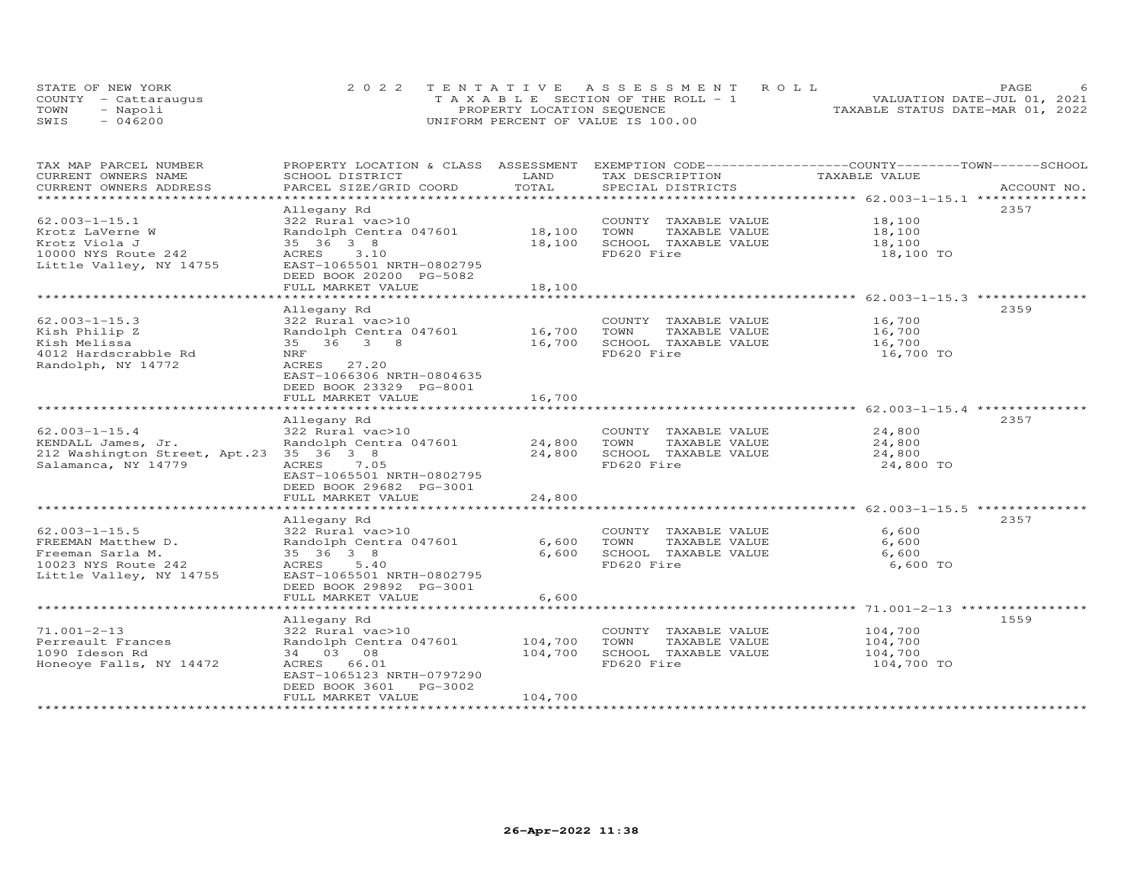|      | STATE OF NEW YORK    | 2022 TENTATIVE ASSESSMENT ROLL        | PAGE.                            |
|------|----------------------|---------------------------------------|----------------------------------|
|      | COUNTY - Cattaraugus | T A X A B L E SECTION OF THE ROLL - 1 | VALUATION DATE-JUL 01, 2021      |
| TOWN | - Napoli             | PROPERTY LOCATION SEQUENCE            | TAXABLE STATUS DATE-MAR 01, 2022 |
| SWIS | $-046200$            | UNIFORM PERCENT OF VALUE IS 100.00    |                                  |

| TAX MAP PARCEL NUMBER         | PROPERTY LOCATION & CLASS ASSESSMENT |         | EXEMPTION CODE-----------------COUNTY-------TOWN------SCHOOL |               |             |
|-------------------------------|--------------------------------------|---------|--------------------------------------------------------------|---------------|-------------|
| CURRENT OWNERS NAME           | SCHOOL DISTRICT                      | LAND    | TAX DESCRIPTION                                              | TAXABLE VALUE |             |
| CURRENT OWNERS ADDRESS        | PARCEL SIZE/GRID COORD               | TOTAL   | SPECIAL DISTRICTS                                            |               | ACCOUNT NO. |
| **********************        |                                      |         |                                                              |               |             |
|                               | Allegany Rd                          |         |                                                              |               | 2357        |
| $62.003 - 1 - 15.1$           | 322 Rural vac>10                     |         | COUNTY TAXABLE VALUE                                         | 18,100        |             |
| Krotz LaVerne W               | Randolph Centra 047601               | 18,100  | TOWN<br>TAXABLE VALUE                                        | 18,100        |             |
| Krotz Viola J                 | 35 36 3 8                            | 18,100  | SCHOOL TAXABLE VALUE                                         | 18,100        |             |
| 10000 NYS Route 242           | ACRES<br>3.10                        |         | FD620 Fire                                                   | 18,100 TO     |             |
| Little Valley, NY 14755       | EAST-1065501 NRTH-0802795            |         |                                                              |               |             |
|                               | DEED BOOK 20200 PG-5082              |         |                                                              |               |             |
|                               | FULL MARKET VALUE                    | 18,100  |                                                              |               |             |
|                               |                                      |         |                                                              |               |             |
|                               | Allegany Rd                          |         |                                                              |               | 2359        |
| $62.003 - 1 - 15.3$           | 322 Rural vac>10                     |         | COUNTY TAXABLE VALUE                                         | 16,700        |             |
| Kish Philip Z                 | Randolph Centra 047601               | 16,700  | TOWN<br>TAXABLE VALUE                                        | 16,700        |             |
| Kish Melissa                  | 35 36 3 8                            | 16,700  | SCHOOL TAXABLE VALUE                                         | 16,700        |             |
| 4012 Hardscrabble Rd          | NRF                                  |         | FD620 Fire                                                   | 16,700 TO     |             |
| Randolph, NY 14772            | ACRES<br>27.20                       |         |                                                              |               |             |
|                               | EAST-1066306 NRTH-0804635            |         |                                                              |               |             |
|                               | DEED BOOK 23329 PG-8001              |         |                                                              |               |             |
|                               | FULL MARKET VALUE                    | 16,700  |                                                              |               |             |
|                               |                                      |         |                                                              |               |             |
|                               | Allegany Rd                          |         |                                                              |               | 2357        |
| $62.003 - 1 - 15.4$           | 322 Rural vac>10                     |         | COUNTY TAXABLE VALUE                                         | 24,800        |             |
| KENDALL James, Jr.            | Randolph Centra 047601               | 24,800  | TOWN<br>TAXABLE VALUE                                        | 24,800        |             |
| 212 Washington Street, Apt.23 | 35 36 3 8                            | 24,800  | SCHOOL TAXABLE VALUE                                         | 24,800        |             |
| Salamanca, NY 14779           | 7.05<br>ACRES                        |         | FD620 Fire                                                   | 24,800 TO     |             |
|                               | EAST-1065501 NRTH-0802795            |         |                                                              |               |             |
|                               | DEED BOOK 29682 PG-3001              |         |                                                              |               |             |
|                               | FULL MARKET VALUE                    | 24,800  |                                                              |               |             |
|                               |                                      |         |                                                              |               |             |
|                               | Allegany Rd                          |         |                                                              |               | 2357        |
| $62.003 - 1 - 15.5$           | 322 Rural vac>10                     |         | COUNTY TAXABLE VALUE                                         | 6,600         |             |
| FREEMAN Matthew D.            | Randolph Centra 047601               | 6,600   | TOWN<br>TAXABLE VALUE                                        | 6,600         |             |
| Freeman Sarla M.              | 35 36 3 8                            | 6,600   | SCHOOL TAXABLE VALUE                                         | 6,600         |             |
| 10023 NYS Route 242           | ACRES 5.40                           |         | FD620 Fire                                                   | 6,600 TO      |             |
| Little Valley, NY 14755       | EAST-1065501 NRTH-0802795            |         |                                                              |               |             |
|                               | DEED BOOK 29892 PG-3001              |         |                                                              |               |             |
|                               | FULL MARKET VALUE                    | 6,600   |                                                              |               |             |
|                               |                                      |         |                                                              |               |             |
|                               |                                      |         |                                                              |               | 1559        |
|                               | Allegany Rd                          |         |                                                              |               |             |
| $71.001 - 2 - 13$             | 322 Rural vac>10                     |         | COUNTY TAXABLE VALUE                                         | 104,700       |             |
| Perreault Frances             | Randolph Centra 047601               | 104,700 | TOWN<br>TAXABLE VALUE                                        | 104,700       |             |
| 1090 Ideson Rd                | 34 03 08                             | 104,700 | SCHOOL TAXABLE VALUE                                         | 104,700       |             |
| Honeoye Falls, NY 14472       | ACRES 66.01                          |         | FD620 Fire                                                   | 104,700 TO    |             |
|                               | EAST-1065123 NRTH-0797290            |         |                                                              |               |             |
|                               | DEED BOOK 3601 PG-3002               |         |                                                              |               |             |
| ***********************       | FULL MARKET VALUE                    | 104,700 |                                                              |               |             |
|                               |                                      |         |                                                              |               |             |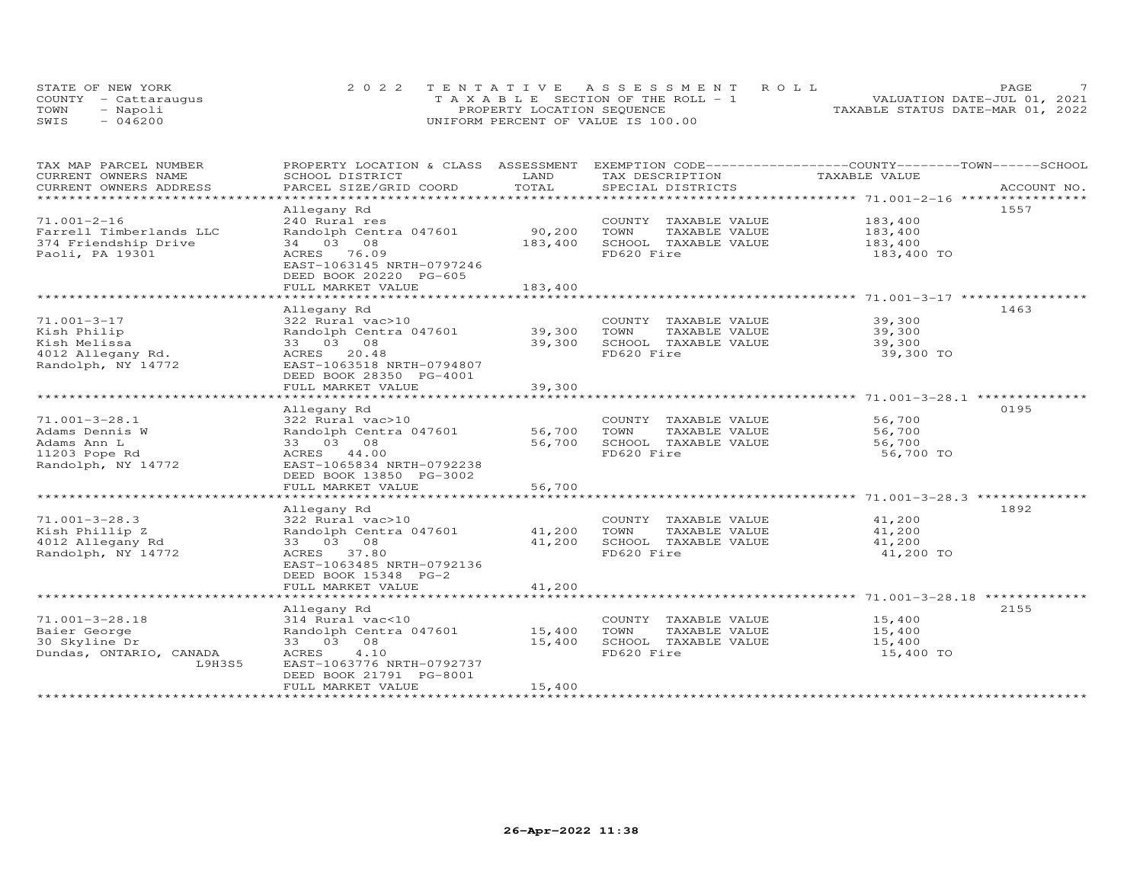|      | STATE OF NEW YORK    | 2022 TENTATIVE ASSESSMENT ROLL        | PAGE.                            |
|------|----------------------|---------------------------------------|----------------------------------|
|      | COUNTY - Cattaraugus | T A X A B L E SECTION OF THE ROLL - 1 | VALUATION DATE-JUL 01, 2021      |
| TOWN | - Napoli             | PROPERTY LOCATION SEQUENCE            | TAXABLE STATUS DATE-MAR 01, 2022 |
| SWIS | $-046200$            | UNIFORM PERCENT OF VALUE IS 100.00    |                                  |

| TAX MAP PARCEL NUMBER                             | PROPERTY LOCATION & CLASS ASSESSMENT EXEMPTION CODE-----------------COUNTY-------TOWN------SCHOOL  |         |                       |               |      |
|---------------------------------------------------|----------------------------------------------------------------------------------------------------|---------|-----------------------|---------------|------|
| CURRENT OWNERS NAME                               | SCHOOL DISTRICT                                                                                    | LAND    | TAX DESCRIPTION       | TAXABLE VALUE |      |
| CURRENT OWNERS ADDRESS<br>*********************** | .PARCEL SIZE/GRID COORD TOTAL SPECIAL DISTRICTS 4CCOUNT NU ACCOUNT NU ACCOUNT NU SPECIAL DISTRICTS |         |                       |               |      |
|                                                   |                                                                                                    |         |                       |               |      |
|                                                   | Allegany Rd                                                                                        |         |                       |               | 1557 |
| $71.001 - 2 - 16$                                 | 240 Rural res                                                                                      |         | COUNTY TAXABLE VALUE  | 183,400       |      |
| Farrell Timberlands LLC                           | Randolph Centra 047601                                                                             | 90,200  | TAXABLE VALUE<br>TOWN | 183,400       |      |
| 374 Friendship Drive                              | 34 03 08                                                                                           | 183,400 | SCHOOL TAXABLE VALUE  | 183,400       |      |
| Paoli, PA 19301                                   | ACRES 76.09                                                                                        |         | FD620 Fire            | 183,400 TO    |      |
|                                                   | EAST-1063145 NRTH-0797246                                                                          |         |                       |               |      |
|                                                   | DEED BOOK 20220 PG-605                                                                             |         |                       |               |      |
|                                                   | FULL MARKET VALUE                                                                                  | 183,400 |                       |               |      |
|                                                   |                                                                                                    |         |                       |               |      |
|                                                   | Allegany Rd                                                                                        |         |                       |               | 1463 |
| 71.001-3-17                                       | 322 Rural vac>10                                                                                   |         | COUNTY TAXABLE VALUE  | 39,300        |      |
| Kish Philip                                       | Randolph Centra 047601                                                                             | 39,300  | TOWN<br>TAXABLE VALUE | 39,300        |      |
| Kish Melissa                                      | 33 03 08                                                                                           | 39,300  | SCHOOL TAXABLE VALUE  | 39,300        |      |
| 4012 Allegany Rd.                                 | ACRES 20.48                                                                                        |         | FD620 Fire            | 39,300 TO     |      |
| Randolph, NY 14772                                | EAST-1063518 NRTH-0794807                                                                          |         |                       |               |      |
|                                                   | DEED BOOK 28350 PG-4001                                                                            |         |                       |               |      |
|                                                   | FULL MARKET VALUE                                                                                  | 39,300  |                       |               |      |
|                                                   |                                                                                                    |         |                       |               |      |
|                                                   | Allegany Rd                                                                                        |         |                       |               | 0195 |
| $71.001 - 3 - 28.1$                               | 322 Rural vac>10                                                                                   |         | COUNTY TAXABLE VALUE  | 56,700        |      |
| Adams Dennis W                                    | Randolph Centra 047601                                                                             | 56,700  | TOWN<br>TAXABLE VALUE | 56,700        |      |
| Adams Ann L                                       | 33 03 08                                                                                           | 56,700  | SCHOOL TAXABLE VALUE  | 56,700        |      |
| 11203 Pope Rd                                     | ACRES 44.00                                                                                        |         | FD620 Fire            | 56,700 TO     |      |
| Randolph, NY 14772                                | EAST-1065834 NRTH-0792238                                                                          |         |                       |               |      |
|                                                   | DEED BOOK 13850 PG-3002                                                                            |         |                       |               |      |
|                                                   | FULL MARKET VALUE                                                                                  | 56,700  |                       |               |      |
|                                                   |                                                                                                    |         |                       |               |      |
|                                                   | Allegany Rd                                                                                        |         |                       |               | 1892 |
| $71.001 - 3 - 28.3$                               | 322 Rural vac>10                                                                                   |         | COUNTY TAXABLE VALUE  | 41,200        |      |
| Kish Phillip Z                                    | Randolph Centra 047601                                                                             | 41,200  | TOWN<br>TAXABLE VALUE | 41,200        |      |
| 4012 Allegany Rd                                  | 33 03 08                                                                                           | 41,200  | SCHOOL TAXABLE VALUE  | 41,200        |      |
| Randolph, NY 14772                                | ACRES 37.80                                                                                        |         | FD620 Fire            | 41,200 TO     |      |
|                                                   | EAST-1063485 NRTH-0792136                                                                          |         |                       |               |      |
|                                                   | DEED BOOK 15348 PG-2                                                                               |         |                       |               |      |
|                                                   | FULL MARKET VALUE                                                                                  | 41,200  |                       |               |      |
|                                                   |                                                                                                    |         |                       |               |      |
|                                                   | Allegany Rd                                                                                        |         |                       |               | 2155 |
| $71.001 - 3 - 28.18$                              | 314 Rural vac<10                                                                                   |         | COUNTY TAXABLE VALUE  | 15,400        |      |
|                                                   |                                                                                                    |         | TOWN                  |               |      |
| Baier George                                      | Randolph Centra 047601 15,400                                                                      |         | TAXABLE VALUE         | 15,400        |      |
| 30 Skyline Dr                                     | 33 03 08                                                                                           | 15,400  | SCHOOL TAXABLE VALUE  | 15,400        |      |
| Dundas, ONTARIO, CANADA                           | ACRES<br>4.10                                                                                      |         | FD620 Fire            | 15,400 TO     |      |
| L9H3S5                                            | EAST-1063776 NRTH-0792737                                                                          |         |                       |               |      |
|                                                   | DEED BOOK 21791 PG-8001                                                                            |         |                       |               |      |
|                                                   | FULL MARKET VALUE                                                                                  | 15,400  |                       |               |      |
|                                                   |                                                                                                    |         |                       |               |      |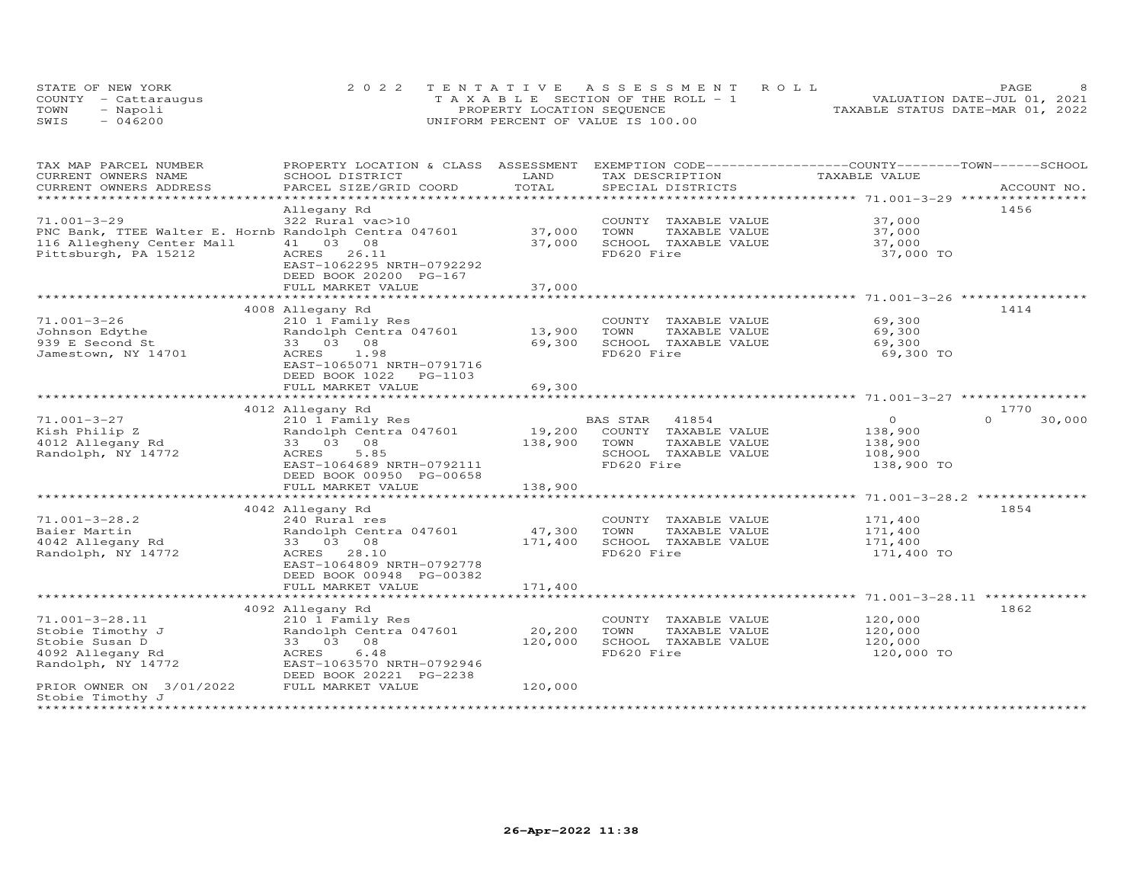| STATE OF NEW YORK    | 2022 TENTATIVE ASSESSMENT ROLL        | PAGE.                            |  |
|----------------------|---------------------------------------|----------------------------------|--|
| COUNTY - Cattaraugus | T A X A B L E SECTION OF THE ROLL - 1 | VALUATION DATE-JUL 01, 2021      |  |
| TOWN<br>- Napoli     | PROPERTY LOCATION SEQUENCE            | TAXABLE STATUS DATE-MAR 01, 2022 |  |
| $-046200$<br>SWIS    | UNIFORM PERCENT OF VALUE IS 100.00    |                                  |  |

| TAX MAP PARCEL NUMBER                                 | PROPERTY LOCATION & CLASS ASSESSMENT      |               | EXEMPTION CODE-----------------COUNTY-------TOWN------SCHOOL |                       |                    |
|-------------------------------------------------------|-------------------------------------------|---------------|--------------------------------------------------------------|-----------------------|--------------------|
| CURRENT OWNERS NAME<br>CURRENT OWNERS ADDRESS         | SCHOOL DISTRICT<br>PARCEL SIZE/GRID COORD | LAND<br>TOTAL | TAX DESCRIPTION<br>SPECIAL DISTRICTS                         | TAXABLE VALUE         | ACCOUNT NO.        |
| ********************                                  | ************************                  |               |                                                              |                       |                    |
|                                                       | Allegany Rd                               |               |                                                              |                       | 1456               |
| $71.001 - 3 - 29$                                     | 322 Rural vac>10                          |               | COUNTY TAXABLE VALUE                                         | 37,000                |                    |
| PNC Bank, TTEE Walter E. Hornb Randolph Centra 047601 |                                           | 37,000        | TOWN<br>TAXABLE VALUE                                        | 37,000                |                    |
| 116 Allegheny Center Mall                             | 41 03 08                                  | 37,000        | SCHOOL TAXABLE VALUE                                         | 37,000                |                    |
| Pittsburgh, PA 15212                                  | ACRES 26.11                               |               | FD620 Fire                                                   | 37,000 TO             |                    |
|                                                       | EAST-1062295 NRTH-0792292                 |               |                                                              |                       |                    |
|                                                       | DEED BOOK 20200 PG-167                    |               |                                                              |                       |                    |
|                                                       | FULL MARKET VALUE                         | 37,000        |                                                              |                       |                    |
|                                                       |                                           |               |                                                              |                       |                    |
|                                                       | 4008 Allegany Rd                          |               |                                                              |                       | 1414               |
| $71.001 - 3 - 26$                                     | 210 1 Family Res                          |               | COUNTY TAXABLE VALUE                                         | 69,300                |                    |
| Johnson Edythe                                        | Randolph Centra 047601                    | 13,900        | TOWN<br>TAXABLE VALUE                                        | 69,300                |                    |
| 939 E Second St                                       | 33 03 08                                  | 69,300        | SCHOOL TAXABLE VALUE                                         | 69,300                |                    |
| Jamestown, NY 14701                                   | 1.98<br>ACRES                             |               | FD620 Fire                                                   | 69,300 TO             |                    |
|                                                       | EAST-1065071 NRTH-0791716                 |               |                                                              |                       |                    |
|                                                       | DEED BOOK 1022 PG-1103                    |               |                                                              |                       |                    |
|                                                       | FULL MARKET VALUE                         | 69,300        |                                                              |                       |                    |
|                                                       | 4012 Allegany Rd                          |               |                                                              |                       | 1770               |
| $71.001 - 3 - 27$                                     | 210 1 Family Res                          |               | BAS STAR<br>41854                                            | $\overline{O}$        | $\Omega$<br>30,000 |
| Kish Philip Z                                         | Randolph Centra 047601                    | 19,200        | COUNTY TAXABLE VALUE                                         | 138,900               |                    |
| 4012 Allegany Rd                                      | 33 03 08                                  | 138,900       | TAXABLE VALUE<br>TOWN                                        | 138,900               |                    |
| Randolph, NY 14772                                    | 5.85<br>ACRES                             |               | SCHOOL TAXABLE VALUE                                         | 108,900               |                    |
|                                                       | EAST-1064689 NRTH-0792111                 |               | FD620 Fire                                                   | 138,900 TO            |                    |
|                                                       | DEED BOOK 00950 PG-00658                  |               |                                                              |                       |                    |
|                                                       | FULL MARKET VALUE                         | 138,900       |                                                              |                       |                    |
|                                                       |                                           |               |                                                              |                       |                    |
|                                                       | 4042 Allegany Rd                          |               |                                                              |                       | 1854               |
| $71.001 - 3 - 28.2$                                   | 240 Rural res                             |               | COUNTY TAXABLE VALUE                                         | 171,400               |                    |
| Baier Martin                                          | Randolph Centra 047601                    | 47,300        | TAXABLE VALUE<br>TOWN                                        | 171,400               |                    |
| 4042 Allegany Rd                                      | 33 03 08<br>ACRES 28.10                   | 171,400       | SCHOOL TAXABLE VALUE<br>FD620 Fire                           | 171,400<br>171,400 TO |                    |
| Randolph, NY 14772                                    | EAST-1064809 NRTH-0792778                 |               |                                                              |                       |                    |
|                                                       | DEED BOOK 00948 PG-00382                  |               |                                                              |                       |                    |
|                                                       | FULL MARKET VALUE                         | 171,400       |                                                              |                       |                    |
|                                                       |                                           |               |                                                              |                       |                    |
|                                                       | 4092 Allegany Rd                          |               |                                                              |                       | 1862               |
| 71.001-3-28.11                                        | 210 1 Family Res                          |               | COUNTY TAXABLE VALUE                                         | 120,000               |                    |
| Stobie Timothy J                                      | Randolph Centra 047601                    | 20,200        | TOWN<br>TAXABLE VALUE                                        | 120,000               |                    |
| Stobie Susan D                                        | 33 03 08                                  | 120,000       | SCHOOL TAXABLE VALUE                                         | 120,000               |                    |
| 4092 Allegany Rd                                      | 6.48<br>ACRES                             |               | FD620 Fire                                                   | 120,000 TO            |                    |
| Randolph, NY 14772                                    | EAST-1063570 NRTH-0792946                 |               |                                                              |                       |                    |
|                                                       | DEED BOOK 20221 PG-2238                   |               |                                                              |                       |                    |
| PRIOR OWNER ON 3/01/2022                              | FULL MARKET VALUE                         | 120,000       |                                                              |                       |                    |
| Stobie Timothy J                                      |                                           |               |                                                              |                       |                    |
|                                                       |                                           |               |                                                              |                       |                    |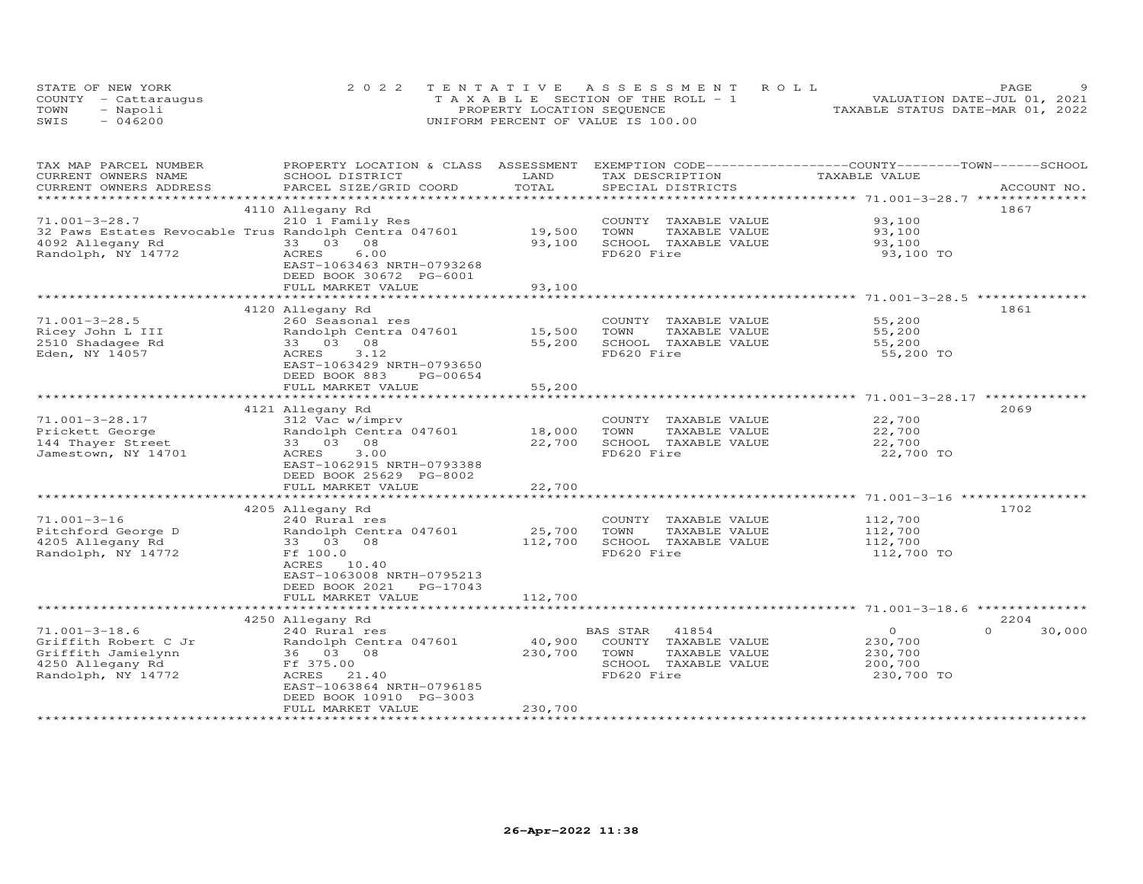| STATE OF NEW YORK    | 2022 TENTATIVE ASSESSMENT ROLL        | PAGE.                            |
|----------------------|---------------------------------------|----------------------------------|
| COUNTY - Cattaraugus | T A X A B L E SECTION OF THE ROLL - 1 | VALUATION DATE-JUL 01, 2021      |
| TOWN<br>- Napoli     | PROPERTY LOCATION SEQUENCE            | TAXABLE STATUS DATE-MAR 01, 2022 |
| $-046200$<br>SWIS    | UNIFORM PERCENT OF VALUE IS 100.00    |                                  |

| TAX MAP PARCEL NUMBER<br>CURRENT OWNERS NAME | PROPERTY LOCATION & CLASS ASSESSMENT EXEMPTION CODE----------------COUNTY-------TOWN------SCHOOL<br>SCHOOL DISTRICT | LAND         | TAX DESCRIPTION       | TAXABLE VALUE |                    |
|----------------------------------------------|---------------------------------------------------------------------------------------------------------------------|--------------|-----------------------|---------------|--------------------|
| CURRENT OWNERS ADDRESS                       | PARCEL SIZE/GRID COORD                                                                                              | TOTAL        | SPECIAL DISTRICTS     |               | ACCOUNT NO.        |
|                                              |                                                                                                                     |              |                       |               |                    |
|                                              | 4110 Allegany Rd                                                                                                    |              |                       |               | 1867               |
| $71.001 - 3 - 28.7$                          | 210 1 Family Res                                                                                                    |              | COUNTY TAXABLE VALUE  | 93,100        |                    |
|                                              | 32 Paws Estates Revocable Trus Randolph Centra 047601                                                               | 19,500       | TAXABLE VALUE<br>TOWN | 93,100        |                    |
| 4092 Allegany Rd                             | 33 03 08                                                                                                            | 93,100       | SCHOOL TAXABLE VALUE  | 93,100        |                    |
| Randolph, NY 14772                           | ACRES<br>6.00                                                                                                       |              | FD620 Fire            | 93,100 TO     |                    |
|                                              | EAST-1063463 NRTH-0793268                                                                                           |              |                       |               |                    |
|                                              | DEED BOOK 30672 PG-6001                                                                                             |              |                       |               |                    |
|                                              | FULL MARKET VALUE                                                                                                   | 93,100       |                       |               |                    |
|                                              |                                                                                                                     |              |                       |               |                    |
|                                              | 4120 Allegany Rd                                                                                                    |              |                       |               | 1861               |
| $71.001 - 3 - 28.5$                          | 260 Seasonal res                                                                                                    |              | COUNTY TAXABLE VALUE  | 55,200        |                    |
| Ricey John L III                             | Randolph Centra 047601                                                                                              | 15,500       | TAXABLE VALUE<br>TOWN | 55,200        |                    |
| 2510 Shadagee Rd                             | 33 03 08                                                                                                            | 55,200       | SCHOOL TAXABLE VALUE  | 55,200        |                    |
| Eden, NY 14057                               | 3.12<br>ACRES                                                                                                       |              | FD620 Fire            | 55,200 TO     |                    |
|                                              | EAST-1063429 NRTH-0793650                                                                                           |              |                       |               |                    |
|                                              | DEED BOOK 883<br>PG-00654                                                                                           |              |                       |               |                    |
|                                              | FULL MARKET VALUE                                                                                                   | 55,200       |                       |               |                    |
|                                              |                                                                                                                     |              |                       |               |                    |
|                                              | 4121 Allegany Rd                                                                                                    |              |                       |               | 2069               |
| 71.001-3-28.17                               | 312 Vac w/imprv                                                                                                     |              | COUNTY TAXABLE VALUE  | 22,700        |                    |
| Prickett George                              | Randolph Centra 047601                                                                                              | 18,000       | TOWN<br>TAXABLE VALUE | 22,700        |                    |
| 144 Thayer Street                            | 33 03 08                                                                                                            | 22,700       | SCHOOL TAXABLE VALUE  | 22,700        |                    |
| Jamestown, NY 14701                          | 3.00<br>ACRES                                                                                                       |              | FD620 Fire            | 22,700 TO     |                    |
|                                              | EAST-1062915 NRTH-0793388                                                                                           |              |                       |               |                    |
|                                              | DEED BOOK 25629 PG-8002                                                                                             |              |                       |               |                    |
|                                              | FULL MARKET VALUE                                                                                                   | 22,700       |                       |               |                    |
|                                              | *************************                                                                                           | ************ |                       |               |                    |
|                                              | 4205 Allegany Rd                                                                                                    |              |                       |               | 1702               |
| $71.001 - 3 - 16$                            | 240 Rural res                                                                                                       |              | COUNTY TAXABLE VALUE  | 112,700       |                    |
| Pitchford George D                           | Randolph Centra 047601                                                                                              | 25,700       | TOWN<br>TAXABLE VALUE | 112,700       |                    |
| 4205 Allegany Rd                             | 33 03 08                                                                                                            | 112,700      | SCHOOL TAXABLE VALUE  | 112,700       |                    |
| Randolph, NY 14772                           | Ff 100.0                                                                                                            |              | FD620 Fire            | 112,700 TO    |                    |
|                                              | ACRES 10.40                                                                                                         |              |                       |               |                    |
|                                              | EAST-1063008 NRTH-0795213                                                                                           |              |                       |               |                    |
|                                              | DEED BOOK 2021<br>PG-17043                                                                                          |              |                       |               |                    |
|                                              | FULL MARKET VALUE                                                                                                   | 112,700      |                       |               |                    |
|                                              |                                                                                                                     |              |                       |               |                    |
|                                              | 4250 Allegany Rd                                                                                                    |              |                       |               | 2204               |
| $71.001 - 3 - 18.6$                          | 240 Rural res                                                                                                       |              | BAS STAR<br>41854     | $\circ$       | $\Omega$<br>30,000 |
| Griffith Robert C Jr                         | Randolph Centra 047601                                                                                              | 40,900       | COUNTY TAXABLE VALUE  | 230,700       |                    |
| Griffith Jamielynn                           | 36 03 08                                                                                                            | 230,700      | TOWN<br>TAXABLE VALUE | 230,700       |                    |
| 4250 Allegany Rd                             | Ff 375.00                                                                                                           |              | SCHOOL TAXABLE VALUE  | 200,700       |                    |
| Randolph, NY 14772                           | ACRES<br>21.40<br>EAST-1063864 NRTH-0796185                                                                         |              | FD620 Fire            | 230,700 TO    |                    |
|                                              | DEED BOOK 10910 PG-3003                                                                                             |              |                       |               |                    |
|                                              | FULL MARKET VALUE                                                                                                   | 230,700      |                       |               |                    |
|                                              |                                                                                                                     |              |                       |               |                    |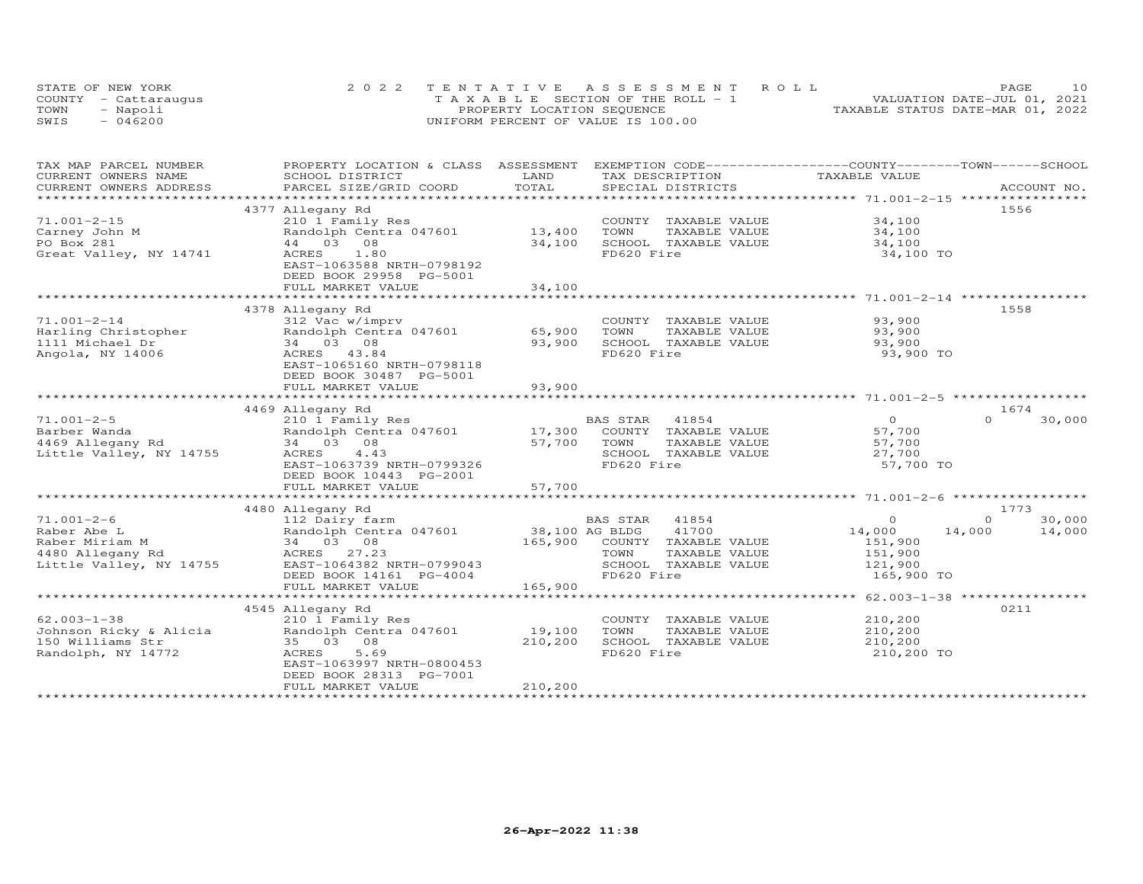|      | STATE OF NEW YORK    | 2022 TENTATIVE ASSESSMENT ROLL        | 1 O<br>PAGE                      |
|------|----------------------|---------------------------------------|----------------------------------|
|      | COUNTY - Cattarauqus | T A X A B L E SECTION OF THE ROLL - 1 | VALUATION DATE-JUL 01, 2021      |
| TOWN | - Napoli             | PROPERTY LOCATION SEQUENCE            | TAXABLE STATUS DATE-MAR 01, 2022 |
| SWIS | $-046200$            | UNIFORM PERCENT OF VALUE IS 100.00    |                                  |

| TAX MAP PARCEL NUMBER     | PROPERTY LOCATION & CLASS ASSESSMENT |               | EXEMPTION CODE-----------------COUNTY-------TOWN------SCHOOL |                |                    |
|---------------------------|--------------------------------------|---------------|--------------------------------------------------------------|----------------|--------------------|
| CURRENT OWNERS NAME       | SCHOOL DISTRICT                      | LAND          | TAX DESCRIPTION                                              | TAXABLE VALUE  |                    |
| CURRENT OWNERS ADDRESS    | PARCEL SIZE/GRID COORD               | TOTAL         | SPECIAL DISTRICTS                                            |                | ACCOUNT NO.        |
| ************************* |                                      |               |                                                              |                |                    |
|                           | 4377 Allegany Rd                     |               |                                                              |                | 1556               |
| $71.001 - 2 - 15$         | 210 1 Family Res                     |               | COUNTY TAXABLE VALUE                                         | 34,100         |                    |
| Carney John M             | Randolph Centra 047601               | 13,400        | TOWN<br>TAXABLE VALUE                                        | 34,100         |                    |
| PO Box 281                | 44 03 08                             | 34,100        | SCHOOL TAXABLE VALUE                                         | 34,100         |                    |
| Great Valley, NY 14741    | ACRES<br>1.80                        |               | FD620 Fire                                                   | 34,100 TO      |                    |
|                           | EAST-1063588 NRTH-0798192            |               |                                                              |                |                    |
|                           | DEED BOOK 29958 PG-5001              |               |                                                              |                |                    |
|                           | FULL MARKET VALUE                    | 34,100        |                                                              |                |                    |
|                           |                                      | ************* |                                                              |                |                    |
|                           | 4378 Allegany Rd                     |               |                                                              |                | 1558               |
| $71.001 - 2 - 14$         | 312 Vac w/imprv                      |               | COUNTY TAXABLE VALUE                                         | 93,900         |                    |
| Harling Christopher       | Randolph Centra 047601               | 65,900        | TOWN<br>TAXABLE VALUE                                        | 93,900         |                    |
| 1111 Michael Dr           | 34 03 08                             | 93,900        | SCHOOL TAXABLE VALUE                                         | 93,900         |                    |
| Angola, NY 14006          | ACRES 43.84                          |               | FD620 Fire                                                   | 93,900 TO      |                    |
|                           | EAST-1065160 NRTH-0798118            |               |                                                              |                |                    |
|                           |                                      |               |                                                              |                |                    |
|                           | DEED BOOK 30487 PG-5001              |               |                                                              |                |                    |
|                           | FULL MARKET VALUE                    | 93,900        |                                                              |                |                    |
|                           |                                      |               |                                                              |                |                    |
|                           | 4469 Allegany Rd                     |               |                                                              |                | 1674               |
| $71.001 - 2 - 5$          | 210 1 Family Res                     |               | BAS STAR<br>41854                                            | $\overline{O}$ | 30,000<br>$\Omega$ |
| Barber Wanda              | Randolph Centra 047601               |               | 17,300 COUNTY TAXABLE VALUE                                  | 57,700         |                    |
| 4469 Allegany Rd          | 34 03 08                             | 57,700        | TAXABLE VALUE<br>TOWN                                        | 57,700         |                    |
| Little Valley, NY 14755   | ACRES<br>4.43                        |               | SCHOOL TAXABLE VALUE                                         | 27,700         |                    |
|                           | EAST-1063739 NRTH-0799326            |               | FD620 Fire                                                   | 57,700 TO      |                    |
|                           | DEED BOOK 10443 PG-2001              |               |                                                              |                |                    |
|                           | FULL MARKET VALUE                    | 57,700        |                                                              |                |                    |
|                           |                                      |               |                                                              |                |                    |
|                           | 4480 Allegany Rd                     |               |                                                              |                | 1773               |
| $71.001 - 2 - 6$          | 112 Dairy farm                       |               | BAS STAR 41854                                               | $\Omega$       | $\Omega$<br>30,000 |
| Raber Abe L               | Randolph Centra 047601               |               | 38,100 AG BLDG<br>41700                                      | 14,000         | 14,000<br>14,000   |
| Raber Miriam M            | 34 03 08                             |               | 165,900 COUNTY TAXABLE VALUE                                 | 151,900        |                    |
| 4480 Allegany Rd          | ACRES 27.23                          |               | TOWN<br>TAXABLE VALUE                                        | 151,900        |                    |
| Little Valley, NY 14755   | EAST-1064382 NRTH-0799043            |               | SCHOOL TAXABLE VALUE                                         | 121,900        |                    |
|                           | DEED BOOK 14161 PG-4004              |               | FD620 Fire                                                   | 165,900 TO     |                    |
|                           | FULL MARKET VALUE                    | 165,900       |                                                              |                |                    |
|                           |                                      |               |                                                              |                |                    |
|                           | 4545 Allegany Rd                     |               |                                                              |                | 0211               |
| $62.003 - 1 - 38$         | 210 1 Family Res                     |               | COUNTY TAXABLE VALUE                                         | 210,200        |                    |
| Johnson Ricky & Alicia    | Randolph Centra 047601               | 19,100        | TAXABLE VALUE<br>TOWN                                        | 210,200        |                    |
| 150 Williams Str          | 35 03 08                             | 210,200       | SCHOOL TAXABLE VALUE                                         | 210,200        |                    |
| Randolph, NY 14772        | 5.69<br>ACRES                        |               | FD620 Fire                                                   | 210,200 TO     |                    |
|                           | EAST-1063997 NRTH-0800453            |               |                                                              |                |                    |
|                           | DEED BOOK 28313 PG-7001              |               |                                                              |                |                    |
|                           | FULL MARKET VALUE                    | 210,200       |                                                              |                |                    |
|                           |                                      |               |                                                              |                |                    |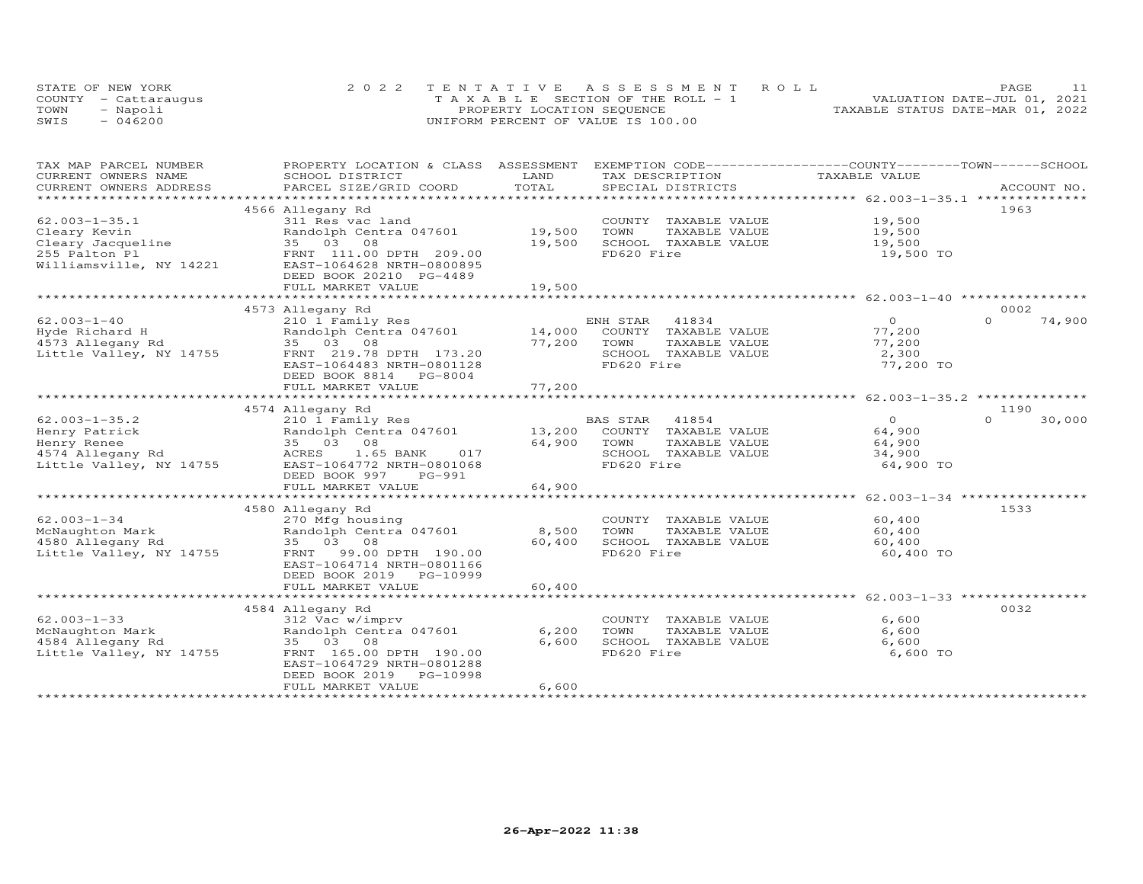|      | STATE OF NEW YORK    | 2022 TENTATIVE ASSESSMENT ROLL        | PAGE                             |
|------|----------------------|---------------------------------------|----------------------------------|
|      | COUNTY - Cattaraugus | T A X A B L E SECTION OF THE ROLL - 1 | VALUATION DATE-JUL 01, 2021      |
| TOWN | - Napoli             | PROPERTY LOCATION SEQUENCE            | TAXABLE STATUS DATE-MAR 01, 2022 |
| SWIS | $-046200$            | UNIFORM PERCENT OF VALUE IS 100.00    |                                  |

| CURRENT OWNERS NAME<br>SCHOOL DISTRICT<br>LAND<br>TAX DESCRIPTION<br>TAXABLE VALUE<br>TOTAL<br>CURRENT OWNERS ADDRESS<br>PARCEL SIZE/GRID COORD<br>SPECIAL DISTRICTS<br>ACCOUNT NO.<br>1963<br>4566 Allegany Rd<br>19,500<br>311 Res vac land<br>COUNTY TAXABLE VALUE<br>Randolph Centra 047601<br>19,500<br>TOWN<br>TAXABLE VALUE<br>19,500<br>Cleary Jacqueline<br>19,500<br>08<br>19,500<br>SCHOOL TAXABLE VALUE<br>35 03<br>FD620 Fire<br>FRNT 111.00 DPTH 209.00<br>19,500 TO<br>EAST-1064628 NRTH-0800895<br>DEED BOOK 20210 PG-4489<br>FULL MARKET VALUE<br>19,500<br>******************************** 62.003-1-40 ****************<br>******************************<br>**************<br>0002<br>4573 Allegany Rd<br>$62.003 - 1 - 40$<br>ENH STAR<br>$\overline{0}$<br>74,900<br>210 1 Family Res<br>41834<br>$\Omega$<br>14,000<br>Randolph Centra 047601<br>COUNTY TAXABLE VALUE<br>77,200<br>Hyde Richard H<br>$\frac{1}{2}$<br>4573 Allegany Rd<br>35 03 08<br>77,200<br>77,200<br>TOWN<br>TAXABLE VALUE<br>FRNT 219.78 DPTH 173.20<br>SCHOOL TAXABLE VALUE<br>2,300<br>Little Valley, NY 14755<br>EAST-1064483 NRTH-0801128<br>FD620 Fire<br>77,200 TO<br>DEED BOOK 8814 PG-8004<br>77,200<br>FULL MARKET VALUE<br>1190<br>4574 Allegany Rd<br>$62.003 - 1 - 35.2$<br>210 1 Family Res<br>$\overline{O}$<br>$\Omega$<br>30,000<br>BAS STAR<br>41854<br>13,200<br>Randolph Centra 047601<br>64,900<br>Henry Patrick<br>COUNTY TAXABLE VALUE<br>Henry Renee<br>64,900<br>64,900<br>35 03 08<br>TOWN<br>TAXABLE VALUE<br>4574 Allegany Rd<br>1.65 BANK<br>017<br>SCHOOL TAXABLE VALUE<br>34,900<br>ACRES<br>Little Valley, NY 14755<br>FD620 Fire<br>EAST-1064772 NRTH-0801068<br>64,900 TO<br>DEED BOOK 997<br>PG-991<br>FULL MARKET VALUE<br>64,900<br>1533<br>4580 Allegany Rd<br>$62.003 - 1 - 34$<br>270 Mfg housing<br>COUNTY TAXABLE VALUE<br>60,400<br>8,500<br>McNaughton Mark<br>Randolph Centra 047601<br>TOWN<br>TAXABLE VALUE<br>60,400<br>4580 Allegany Rd<br>35 03 08<br>60,400<br>SCHOOL TAXABLE VALUE<br>60,400<br>Little Valley, NY 14755<br>99.00 DPTH 190.00<br>FD620 Fire<br>60,400 TO<br>FRNT<br>EAST-1064714 NRTH-0801166<br>DEED BOOK 2019 PG-10999<br>60,400<br>FULL MARKET VALUE<br>0032<br>4584 Allegany Rd<br>$62.003 - 1 - 33$<br>312 Vac w/imprv<br>COUNTY TAXABLE VALUE<br>6,600<br>6,200<br>6,600<br>McNaughton Mark<br>Randolph Centra 047601<br>TOWN<br>TAXABLE VALUE<br>4584 Allegany Rd<br>35 03 08<br>6,600<br>SCHOOL TAXABLE VALUE<br>6,600<br>6,600 TO<br>Little Valley, NY 14755<br>FRNT 165.00 DPTH 190.00<br>FD620 Fire<br>EAST-1064729 NRTH-0801288<br>DEED BOOK 2019<br>PG-10998<br>FULL MARKET VALUE<br>6,600 | TAX MAP PARCEL NUMBER   | PROPERTY LOCATION & CLASS ASSESSMENT |  | EXEMPTION CODE-----------------COUNTY-------TOWN------SCHOOL |  |
|------------------------------------------------------------------------------------------------------------------------------------------------------------------------------------------------------------------------------------------------------------------------------------------------------------------------------------------------------------------------------------------------------------------------------------------------------------------------------------------------------------------------------------------------------------------------------------------------------------------------------------------------------------------------------------------------------------------------------------------------------------------------------------------------------------------------------------------------------------------------------------------------------------------------------------------------------------------------------------------------------------------------------------------------------------------------------------------------------------------------------------------------------------------------------------------------------------------------------------------------------------------------------------------------------------------------------------------------------------------------------------------------------------------------------------------------------------------------------------------------------------------------------------------------------------------------------------------------------------------------------------------------------------------------------------------------------------------------------------------------------------------------------------------------------------------------------------------------------------------------------------------------------------------------------------------------------------------------------------------------------------------------------------------------------------------------------------------------------------------------------------------------------------------------------------------------------------------------------------------------------------------------------------------------------------------------------------------------------------------------------------------------------------------------------------------------------------------------------------------------------------------------------------------------------------------------------------------------------------------------------------------------------------------------|-------------------------|--------------------------------------|--|--------------------------------------------------------------|--|
|                                                                                                                                                                                                                                                                                                                                                                                                                                                                                                                                                                                                                                                                                                                                                                                                                                                                                                                                                                                                                                                                                                                                                                                                                                                                                                                                                                                                                                                                                                                                                                                                                                                                                                                                                                                                                                                                                                                                                                                                                                                                                                                                                                                                                                                                                                                                                                                                                                                                                                                                                                                                                                                                        |                         |                                      |  |                                                              |  |
|                                                                                                                                                                                                                                                                                                                                                                                                                                                                                                                                                                                                                                                                                                                                                                                                                                                                                                                                                                                                                                                                                                                                                                                                                                                                                                                                                                                                                                                                                                                                                                                                                                                                                                                                                                                                                                                                                                                                                                                                                                                                                                                                                                                                                                                                                                                                                                                                                                                                                                                                                                                                                                                                        |                         |                                      |  |                                                              |  |
|                                                                                                                                                                                                                                                                                                                                                                                                                                                                                                                                                                                                                                                                                                                                                                                                                                                                                                                                                                                                                                                                                                                                                                                                                                                                                                                                                                                                                                                                                                                                                                                                                                                                                                                                                                                                                                                                                                                                                                                                                                                                                                                                                                                                                                                                                                                                                                                                                                                                                                                                                                                                                                                                        |                         |                                      |  |                                                              |  |
|                                                                                                                                                                                                                                                                                                                                                                                                                                                                                                                                                                                                                                                                                                                                                                                                                                                                                                                                                                                                                                                                                                                                                                                                                                                                                                                                                                                                                                                                                                                                                                                                                                                                                                                                                                                                                                                                                                                                                                                                                                                                                                                                                                                                                                                                                                                                                                                                                                                                                                                                                                                                                                                                        |                         |                                      |  |                                                              |  |
|                                                                                                                                                                                                                                                                                                                                                                                                                                                                                                                                                                                                                                                                                                                                                                                                                                                                                                                                                                                                                                                                                                                                                                                                                                                                                                                                                                                                                                                                                                                                                                                                                                                                                                                                                                                                                                                                                                                                                                                                                                                                                                                                                                                                                                                                                                                                                                                                                                                                                                                                                                                                                                                                        | $62.003 - 1 - 35.1$     |                                      |  |                                                              |  |
|                                                                                                                                                                                                                                                                                                                                                                                                                                                                                                                                                                                                                                                                                                                                                                                                                                                                                                                                                                                                                                                                                                                                                                                                                                                                                                                                                                                                                                                                                                                                                                                                                                                                                                                                                                                                                                                                                                                                                                                                                                                                                                                                                                                                                                                                                                                                                                                                                                                                                                                                                                                                                                                                        | Cleary Kevin            |                                      |  |                                                              |  |
|                                                                                                                                                                                                                                                                                                                                                                                                                                                                                                                                                                                                                                                                                                                                                                                                                                                                                                                                                                                                                                                                                                                                                                                                                                                                                                                                                                                                                                                                                                                                                                                                                                                                                                                                                                                                                                                                                                                                                                                                                                                                                                                                                                                                                                                                                                                                                                                                                                                                                                                                                                                                                                                                        |                         |                                      |  |                                                              |  |
|                                                                                                                                                                                                                                                                                                                                                                                                                                                                                                                                                                                                                                                                                                                                                                                                                                                                                                                                                                                                                                                                                                                                                                                                                                                                                                                                                                                                                                                                                                                                                                                                                                                                                                                                                                                                                                                                                                                                                                                                                                                                                                                                                                                                                                                                                                                                                                                                                                                                                                                                                                                                                                                                        | 255 Palton Pl           |                                      |  |                                                              |  |
|                                                                                                                                                                                                                                                                                                                                                                                                                                                                                                                                                                                                                                                                                                                                                                                                                                                                                                                                                                                                                                                                                                                                                                                                                                                                                                                                                                                                                                                                                                                                                                                                                                                                                                                                                                                                                                                                                                                                                                                                                                                                                                                                                                                                                                                                                                                                                                                                                                                                                                                                                                                                                                                                        | Williamsville, NY 14221 |                                      |  |                                                              |  |
|                                                                                                                                                                                                                                                                                                                                                                                                                                                                                                                                                                                                                                                                                                                                                                                                                                                                                                                                                                                                                                                                                                                                                                                                                                                                                                                                                                                                                                                                                                                                                                                                                                                                                                                                                                                                                                                                                                                                                                                                                                                                                                                                                                                                                                                                                                                                                                                                                                                                                                                                                                                                                                                                        |                         |                                      |  |                                                              |  |
|                                                                                                                                                                                                                                                                                                                                                                                                                                                                                                                                                                                                                                                                                                                                                                                                                                                                                                                                                                                                                                                                                                                                                                                                                                                                                                                                                                                                                                                                                                                                                                                                                                                                                                                                                                                                                                                                                                                                                                                                                                                                                                                                                                                                                                                                                                                                                                                                                                                                                                                                                                                                                                                                        |                         |                                      |  |                                                              |  |
|                                                                                                                                                                                                                                                                                                                                                                                                                                                                                                                                                                                                                                                                                                                                                                                                                                                                                                                                                                                                                                                                                                                                                                                                                                                                                                                                                                                                                                                                                                                                                                                                                                                                                                                                                                                                                                                                                                                                                                                                                                                                                                                                                                                                                                                                                                                                                                                                                                                                                                                                                                                                                                                                        |                         |                                      |  |                                                              |  |
|                                                                                                                                                                                                                                                                                                                                                                                                                                                                                                                                                                                                                                                                                                                                                                                                                                                                                                                                                                                                                                                                                                                                                                                                                                                                                                                                                                                                                                                                                                                                                                                                                                                                                                                                                                                                                                                                                                                                                                                                                                                                                                                                                                                                                                                                                                                                                                                                                                                                                                                                                                                                                                                                        |                         |                                      |  |                                                              |  |
|                                                                                                                                                                                                                                                                                                                                                                                                                                                                                                                                                                                                                                                                                                                                                                                                                                                                                                                                                                                                                                                                                                                                                                                                                                                                                                                                                                                                                                                                                                                                                                                                                                                                                                                                                                                                                                                                                                                                                                                                                                                                                                                                                                                                                                                                                                                                                                                                                                                                                                                                                                                                                                                                        |                         |                                      |  |                                                              |  |
|                                                                                                                                                                                                                                                                                                                                                                                                                                                                                                                                                                                                                                                                                                                                                                                                                                                                                                                                                                                                                                                                                                                                                                                                                                                                                                                                                                                                                                                                                                                                                                                                                                                                                                                                                                                                                                                                                                                                                                                                                                                                                                                                                                                                                                                                                                                                                                                                                                                                                                                                                                                                                                                                        |                         |                                      |  |                                                              |  |
|                                                                                                                                                                                                                                                                                                                                                                                                                                                                                                                                                                                                                                                                                                                                                                                                                                                                                                                                                                                                                                                                                                                                                                                                                                                                                                                                                                                                                                                                                                                                                                                                                                                                                                                                                                                                                                                                                                                                                                                                                                                                                                                                                                                                                                                                                                                                                                                                                                                                                                                                                                                                                                                                        |                         |                                      |  |                                                              |  |
|                                                                                                                                                                                                                                                                                                                                                                                                                                                                                                                                                                                                                                                                                                                                                                                                                                                                                                                                                                                                                                                                                                                                                                                                                                                                                                                                                                                                                                                                                                                                                                                                                                                                                                                                                                                                                                                                                                                                                                                                                                                                                                                                                                                                                                                                                                                                                                                                                                                                                                                                                                                                                                                                        |                         |                                      |  |                                                              |  |
|                                                                                                                                                                                                                                                                                                                                                                                                                                                                                                                                                                                                                                                                                                                                                                                                                                                                                                                                                                                                                                                                                                                                                                                                                                                                                                                                                                                                                                                                                                                                                                                                                                                                                                                                                                                                                                                                                                                                                                                                                                                                                                                                                                                                                                                                                                                                                                                                                                                                                                                                                                                                                                                                        |                         |                                      |  |                                                              |  |
|                                                                                                                                                                                                                                                                                                                                                                                                                                                                                                                                                                                                                                                                                                                                                                                                                                                                                                                                                                                                                                                                                                                                                                                                                                                                                                                                                                                                                                                                                                                                                                                                                                                                                                                                                                                                                                                                                                                                                                                                                                                                                                                                                                                                                                                                                                                                                                                                                                                                                                                                                                                                                                                                        |                         |                                      |  |                                                              |  |
|                                                                                                                                                                                                                                                                                                                                                                                                                                                                                                                                                                                                                                                                                                                                                                                                                                                                                                                                                                                                                                                                                                                                                                                                                                                                                                                                                                                                                                                                                                                                                                                                                                                                                                                                                                                                                                                                                                                                                                                                                                                                                                                                                                                                                                                                                                                                                                                                                                                                                                                                                                                                                                                                        |                         |                                      |  |                                                              |  |
|                                                                                                                                                                                                                                                                                                                                                                                                                                                                                                                                                                                                                                                                                                                                                                                                                                                                                                                                                                                                                                                                                                                                                                                                                                                                                                                                                                                                                                                                                                                                                                                                                                                                                                                                                                                                                                                                                                                                                                                                                                                                                                                                                                                                                                                                                                                                                                                                                                                                                                                                                                                                                                                                        |                         |                                      |  |                                                              |  |
|                                                                                                                                                                                                                                                                                                                                                                                                                                                                                                                                                                                                                                                                                                                                                                                                                                                                                                                                                                                                                                                                                                                                                                                                                                                                                                                                                                                                                                                                                                                                                                                                                                                                                                                                                                                                                                                                                                                                                                                                                                                                                                                                                                                                                                                                                                                                                                                                                                                                                                                                                                                                                                                                        |                         |                                      |  |                                                              |  |
|                                                                                                                                                                                                                                                                                                                                                                                                                                                                                                                                                                                                                                                                                                                                                                                                                                                                                                                                                                                                                                                                                                                                                                                                                                                                                                                                                                                                                                                                                                                                                                                                                                                                                                                                                                                                                                                                                                                                                                                                                                                                                                                                                                                                                                                                                                                                                                                                                                                                                                                                                                                                                                                                        |                         |                                      |  |                                                              |  |
|                                                                                                                                                                                                                                                                                                                                                                                                                                                                                                                                                                                                                                                                                                                                                                                                                                                                                                                                                                                                                                                                                                                                                                                                                                                                                                                                                                                                                                                                                                                                                                                                                                                                                                                                                                                                                                                                                                                                                                                                                                                                                                                                                                                                                                                                                                                                                                                                                                                                                                                                                                                                                                                                        |                         |                                      |  |                                                              |  |
|                                                                                                                                                                                                                                                                                                                                                                                                                                                                                                                                                                                                                                                                                                                                                                                                                                                                                                                                                                                                                                                                                                                                                                                                                                                                                                                                                                                                                                                                                                                                                                                                                                                                                                                                                                                                                                                                                                                                                                                                                                                                                                                                                                                                                                                                                                                                                                                                                                                                                                                                                                                                                                                                        |                         |                                      |  |                                                              |  |
|                                                                                                                                                                                                                                                                                                                                                                                                                                                                                                                                                                                                                                                                                                                                                                                                                                                                                                                                                                                                                                                                                                                                                                                                                                                                                                                                                                                                                                                                                                                                                                                                                                                                                                                                                                                                                                                                                                                                                                                                                                                                                                                                                                                                                                                                                                                                                                                                                                                                                                                                                                                                                                                                        |                         |                                      |  |                                                              |  |
|                                                                                                                                                                                                                                                                                                                                                                                                                                                                                                                                                                                                                                                                                                                                                                                                                                                                                                                                                                                                                                                                                                                                                                                                                                                                                                                                                                                                                                                                                                                                                                                                                                                                                                                                                                                                                                                                                                                                                                                                                                                                                                                                                                                                                                                                                                                                                                                                                                                                                                                                                                                                                                                                        |                         |                                      |  |                                                              |  |
|                                                                                                                                                                                                                                                                                                                                                                                                                                                                                                                                                                                                                                                                                                                                                                                                                                                                                                                                                                                                                                                                                                                                                                                                                                                                                                                                                                                                                                                                                                                                                                                                                                                                                                                                                                                                                                                                                                                                                                                                                                                                                                                                                                                                                                                                                                                                                                                                                                                                                                                                                                                                                                                                        |                         |                                      |  |                                                              |  |
|                                                                                                                                                                                                                                                                                                                                                                                                                                                                                                                                                                                                                                                                                                                                                                                                                                                                                                                                                                                                                                                                                                                                                                                                                                                                                                                                                                                                                                                                                                                                                                                                                                                                                                                                                                                                                                                                                                                                                                                                                                                                                                                                                                                                                                                                                                                                                                                                                                                                                                                                                                                                                                                                        |                         |                                      |  |                                                              |  |
|                                                                                                                                                                                                                                                                                                                                                                                                                                                                                                                                                                                                                                                                                                                                                                                                                                                                                                                                                                                                                                                                                                                                                                                                                                                                                                                                                                                                                                                                                                                                                                                                                                                                                                                                                                                                                                                                                                                                                                                                                                                                                                                                                                                                                                                                                                                                                                                                                                                                                                                                                                                                                                                                        |                         |                                      |  |                                                              |  |
|                                                                                                                                                                                                                                                                                                                                                                                                                                                                                                                                                                                                                                                                                                                                                                                                                                                                                                                                                                                                                                                                                                                                                                                                                                                                                                                                                                                                                                                                                                                                                                                                                                                                                                                                                                                                                                                                                                                                                                                                                                                                                                                                                                                                                                                                                                                                                                                                                                                                                                                                                                                                                                                                        |                         |                                      |  |                                                              |  |
|                                                                                                                                                                                                                                                                                                                                                                                                                                                                                                                                                                                                                                                                                                                                                                                                                                                                                                                                                                                                                                                                                                                                                                                                                                                                                                                                                                                                                                                                                                                                                                                                                                                                                                                                                                                                                                                                                                                                                                                                                                                                                                                                                                                                                                                                                                                                                                                                                                                                                                                                                                                                                                                                        |                         |                                      |  |                                                              |  |
|                                                                                                                                                                                                                                                                                                                                                                                                                                                                                                                                                                                                                                                                                                                                                                                                                                                                                                                                                                                                                                                                                                                                                                                                                                                                                                                                                                                                                                                                                                                                                                                                                                                                                                                                                                                                                                                                                                                                                                                                                                                                                                                                                                                                                                                                                                                                                                                                                                                                                                                                                                                                                                                                        |                         |                                      |  |                                                              |  |
|                                                                                                                                                                                                                                                                                                                                                                                                                                                                                                                                                                                                                                                                                                                                                                                                                                                                                                                                                                                                                                                                                                                                                                                                                                                                                                                                                                                                                                                                                                                                                                                                                                                                                                                                                                                                                                                                                                                                                                                                                                                                                                                                                                                                                                                                                                                                                                                                                                                                                                                                                                                                                                                                        |                         |                                      |  |                                                              |  |
|                                                                                                                                                                                                                                                                                                                                                                                                                                                                                                                                                                                                                                                                                                                                                                                                                                                                                                                                                                                                                                                                                                                                                                                                                                                                                                                                                                                                                                                                                                                                                                                                                                                                                                                                                                                                                                                                                                                                                                                                                                                                                                                                                                                                                                                                                                                                                                                                                                                                                                                                                                                                                                                                        |                         |                                      |  |                                                              |  |
|                                                                                                                                                                                                                                                                                                                                                                                                                                                                                                                                                                                                                                                                                                                                                                                                                                                                                                                                                                                                                                                                                                                                                                                                                                                                                                                                                                                                                                                                                                                                                                                                                                                                                                                                                                                                                                                                                                                                                                                                                                                                                                                                                                                                                                                                                                                                                                                                                                                                                                                                                                                                                                                                        |                         |                                      |  |                                                              |  |
|                                                                                                                                                                                                                                                                                                                                                                                                                                                                                                                                                                                                                                                                                                                                                                                                                                                                                                                                                                                                                                                                                                                                                                                                                                                                                                                                                                                                                                                                                                                                                                                                                                                                                                                                                                                                                                                                                                                                                                                                                                                                                                                                                                                                                                                                                                                                                                                                                                                                                                                                                                                                                                                                        |                         |                                      |  |                                                              |  |
|                                                                                                                                                                                                                                                                                                                                                                                                                                                                                                                                                                                                                                                                                                                                                                                                                                                                                                                                                                                                                                                                                                                                                                                                                                                                                                                                                                                                                                                                                                                                                                                                                                                                                                                                                                                                                                                                                                                                                                                                                                                                                                                                                                                                                                                                                                                                                                                                                                                                                                                                                                                                                                                                        |                         |                                      |  |                                                              |  |
|                                                                                                                                                                                                                                                                                                                                                                                                                                                                                                                                                                                                                                                                                                                                                                                                                                                                                                                                                                                                                                                                                                                                                                                                                                                                                                                                                                                                                                                                                                                                                                                                                                                                                                                                                                                                                                                                                                                                                                                                                                                                                                                                                                                                                                                                                                                                                                                                                                                                                                                                                                                                                                                                        |                         |                                      |  |                                                              |  |
|                                                                                                                                                                                                                                                                                                                                                                                                                                                                                                                                                                                                                                                                                                                                                                                                                                                                                                                                                                                                                                                                                                                                                                                                                                                                                                                                                                                                                                                                                                                                                                                                                                                                                                                                                                                                                                                                                                                                                                                                                                                                                                                                                                                                                                                                                                                                                                                                                                                                                                                                                                                                                                                                        |                         |                                      |  |                                                              |  |
|                                                                                                                                                                                                                                                                                                                                                                                                                                                                                                                                                                                                                                                                                                                                                                                                                                                                                                                                                                                                                                                                                                                                                                                                                                                                                                                                                                                                                                                                                                                                                                                                                                                                                                                                                                                                                                                                                                                                                                                                                                                                                                                                                                                                                                                                                                                                                                                                                                                                                                                                                                                                                                                                        |                         |                                      |  |                                                              |  |
|                                                                                                                                                                                                                                                                                                                                                                                                                                                                                                                                                                                                                                                                                                                                                                                                                                                                                                                                                                                                                                                                                                                                                                                                                                                                                                                                                                                                                                                                                                                                                                                                                                                                                                                                                                                                                                                                                                                                                                                                                                                                                                                                                                                                                                                                                                                                                                                                                                                                                                                                                                                                                                                                        |                         |                                      |  |                                                              |  |
|                                                                                                                                                                                                                                                                                                                                                                                                                                                                                                                                                                                                                                                                                                                                                                                                                                                                                                                                                                                                                                                                                                                                                                                                                                                                                                                                                                                                                                                                                                                                                                                                                                                                                                                                                                                                                                                                                                                                                                                                                                                                                                                                                                                                                                                                                                                                                                                                                                                                                                                                                                                                                                                                        |                         |                                      |  |                                                              |  |
|                                                                                                                                                                                                                                                                                                                                                                                                                                                                                                                                                                                                                                                                                                                                                                                                                                                                                                                                                                                                                                                                                                                                                                                                                                                                                                                                                                                                                                                                                                                                                                                                                                                                                                                                                                                                                                                                                                                                                                                                                                                                                                                                                                                                                                                                                                                                                                                                                                                                                                                                                                                                                                                                        |                         |                                      |  |                                                              |  |
|                                                                                                                                                                                                                                                                                                                                                                                                                                                                                                                                                                                                                                                                                                                                                                                                                                                                                                                                                                                                                                                                                                                                                                                                                                                                                                                                                                                                                                                                                                                                                                                                                                                                                                                                                                                                                                                                                                                                                                                                                                                                                                                                                                                                                                                                                                                                                                                                                                                                                                                                                                                                                                                                        |                         |                                      |  |                                                              |  |
|                                                                                                                                                                                                                                                                                                                                                                                                                                                                                                                                                                                                                                                                                                                                                                                                                                                                                                                                                                                                                                                                                                                                                                                                                                                                                                                                                                                                                                                                                                                                                                                                                                                                                                                                                                                                                                                                                                                                                                                                                                                                                                                                                                                                                                                                                                                                                                                                                                                                                                                                                                                                                                                                        |                         |                                      |  |                                                              |  |
|                                                                                                                                                                                                                                                                                                                                                                                                                                                                                                                                                                                                                                                                                                                                                                                                                                                                                                                                                                                                                                                                                                                                                                                                                                                                                                                                                                                                                                                                                                                                                                                                                                                                                                                                                                                                                                                                                                                                                                                                                                                                                                                                                                                                                                                                                                                                                                                                                                                                                                                                                                                                                                                                        |                         |                                      |  |                                                              |  |
|                                                                                                                                                                                                                                                                                                                                                                                                                                                                                                                                                                                                                                                                                                                                                                                                                                                                                                                                                                                                                                                                                                                                                                                                                                                                                                                                                                                                                                                                                                                                                                                                                                                                                                                                                                                                                                                                                                                                                                                                                                                                                                                                                                                                                                                                                                                                                                                                                                                                                                                                                                                                                                                                        |                         |                                      |  |                                                              |  |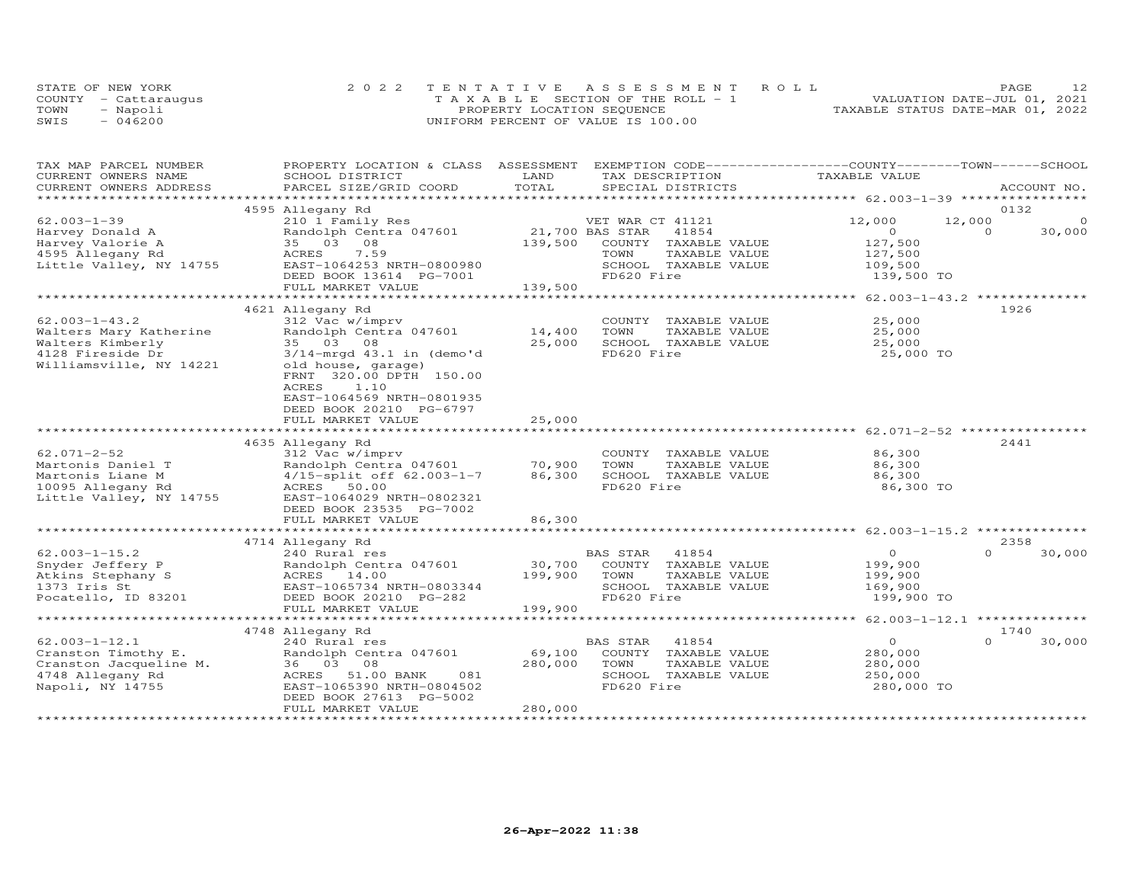|      | STATE OF NEW YORK    | 2022 TENTATIVE ASSESSMENT ROLL        | PAGE                             |  |
|------|----------------------|---------------------------------------|----------------------------------|--|
|      | COUNTY - Cattarauqus | T A X A B L E SECTION OF THE ROLL - 1 | VALUATION DATE-JUL 01, 2021      |  |
| TOWN | - Napoli             | PROPERTY LOCATION SEQUENCE            | TAXABLE STATUS DATE-MAR 01, 2022 |  |
| SWIS | $-046200$            | UNIFORM PERCENT OF VALUE IS 100.00    |                                  |  |

| TAX MAP PARCEL NUMBER   | PROPERTY LOCATION & CLASS ASSESSMENT |                 | EXEMPTION CODE-----------------COUNTY-------TOWN------SCHOOL |                                                             |                    |
|-------------------------|--------------------------------------|-----------------|--------------------------------------------------------------|-------------------------------------------------------------|--------------------|
| CURRENT OWNERS NAME     | SCHOOL DISTRICT                      | LAND            | TAX DESCRIPTION                                              | TAXABLE VALUE                                               |                    |
| CURRENT OWNERS ADDRESS  | PARCEL SIZE/GRID COORD               | TOTAL           | SPECIAL DISTRICTS                                            |                                                             | ACCOUNT NO.        |
|                         |                                      |                 |                                                              |                                                             |                    |
|                         | 4595 Allegany Rd                     |                 |                                                              |                                                             | 0132               |
| $62.003 - 1 - 39$       | 210 1 Family Res                     |                 | VET WAR CT 41121                                             | 12,000                                                      | 12,000<br>$\Omega$ |
| Harvey Donald A         | Randolph Centra 047601               | 21,700 BAS STAR | 41854                                                        | $\Omega$                                                    | $\Omega$<br>30,000 |
| Harvey Valorie A        | 35 03 08                             | 139,500         | COUNTY TAXABLE VALUE                                         | 127,500                                                     |                    |
| 4595 Allegany Rd        | ACRES<br>7.59                        |                 | TOWN<br>TAXABLE VALUE                                        | 127,500                                                     |                    |
| Little Valley, NY 14755 | EAST-1064253 NRTH-0800980            |                 | SCHOOL TAXABLE VALUE<br>FD620 Fire                           | 109,500                                                     |                    |
|                         | DEED BOOK 13614 PG-7001              |                 |                                                              | 139,500 TO                                                  |                    |
|                         | FULL MARKET VALUE                    | 139,500         |                                                              |                                                             |                    |
|                         |                                      |                 |                                                              |                                                             | 1926               |
| $62.003 - 1 - 43.2$     | 4621 Allegany Rd<br>312 Vac w/imprv  |                 | COUNTY TAXABLE VALUE                                         | 25,000                                                      |                    |
| Walters Mary Katherine  | Randolph Centra 047601               | 14,400          | TAXABLE VALUE<br>TOWN                                        | 25,000                                                      |                    |
| Walters Kimberly        | 35 03 08                             | 25,000          | SCHOOL TAXABLE VALUE                                         | 25,000                                                      |                    |
| 4128 Fireside Dr        | $3/14$ -mrgd $43.1$ in (demo'd       |                 | FD620 Fire                                                   | 25,000 TO                                                   |                    |
| Williamsville, NY 14221 | old house, garage)                   |                 |                                                              |                                                             |                    |
|                         | FRNT 320.00 DPTH 150.00              |                 |                                                              |                                                             |                    |
|                         | ACRES<br>1.10                        |                 |                                                              |                                                             |                    |
|                         | EAST-1064569 NRTH-0801935            |                 |                                                              |                                                             |                    |
|                         | DEED BOOK 20210 PG-6797              |                 |                                                              |                                                             |                    |
|                         | FULL MARKET VALUE                    | 25,000          |                                                              |                                                             |                    |
|                         | *****************************        |                 |                                                              | ******************************* 62.071-2-52 *************** |                    |
|                         | 4635 Allegany Rd                     |                 |                                                              |                                                             | 2441               |
| $62.071 - 2 - 52$       | 312 Vac w/imprv                      |                 | COUNTY TAXABLE VALUE                                         | 86,300                                                      |                    |
| Martonis Daniel T       | Randolph Centra 047601               | 70,900          | TOWN<br>TAXABLE VALUE                                        | 86,300                                                      |                    |
| Martonis Liane M        | 4/15-split off 62.003-1-7            | 86,300          | SCHOOL TAXABLE VALUE                                         | 86,300                                                      |                    |
| 10095 Allegany Rd       | ACRES<br>50.00                       |                 | FD620 Fire                                                   | 86,300 TO                                                   |                    |
| Little Valley, NY 14755 | EAST-1064029 NRTH-0802321            |                 |                                                              |                                                             |                    |
|                         | DEED BOOK 23535 PG-7002              |                 |                                                              |                                                             |                    |
|                         | FULL MARKET VALUE                    | 86,300          |                                                              |                                                             |                    |
|                         |                                      |                 |                                                              |                                                             |                    |
|                         | 4714 Allegany Rd                     |                 |                                                              |                                                             | 2358               |
| $62.003 - 1 - 15.2$     | 240 Rural res                        |                 | BAS STAR<br>41854                                            | $\circ$                                                     | $\Omega$<br>30,000 |
| Snyder Jeffery P        | Randolph Centra 047601               | 30,700          | COUNTY TAXABLE VALUE                                         | 199,900                                                     |                    |
| Atkins Stephany S       | ACRES 14.00                          | 199,900         | TOWN<br>TAXABLE VALUE                                        | 199,900                                                     |                    |
| 1373 Iris St            | EAST-1065734 NRTH-0803344            |                 | SCHOOL TAXABLE VALUE                                         | 169,900                                                     |                    |
| Pocatello, ID 83201     | DEED BOOK 20210 PG-282               |                 | FD620 Fire                                                   | 199,900 TO                                                  |                    |
|                         | FULL MARKET VALUE                    | 199,900         |                                                              |                                                             |                    |
|                         |                                      |                 |                                                              |                                                             |                    |
|                         | 4748 Allegany Rd                     |                 |                                                              |                                                             | 1740               |
| $62.003 - 1 - 12.1$     | 240 Rural res                        |                 | BAS STAR<br>41854                                            | $\circ$                                                     | $\Omega$<br>30,000 |
| Cranston Timothy E.     | Randolph Centra 047601               | 69,100          | COUNTY TAXABLE VALUE                                         | 280,000                                                     |                    |
| Cranston Jacqueline M.  | 36 03 08                             | 280,000         | TOWN<br>TAXABLE VALUE                                        | 280,000                                                     |                    |
| 4748 Allegany Rd        | ACRES 51.00 BANK<br>081              |                 | SCHOOL TAXABLE VALUE                                         | 250,000                                                     |                    |
| Napoli, NY 14755        | EAST-1065390 NRTH-0804502            |                 | FD620 Fire                                                   | 280,000 TO                                                  |                    |
|                         | DEED BOOK 27613 PG-5002              |                 |                                                              |                                                             |                    |
|                         | FULL MARKET VALUE                    | 280,000         |                                                              |                                                             |                    |
|                         |                                      |                 |                                                              |                                                             |                    |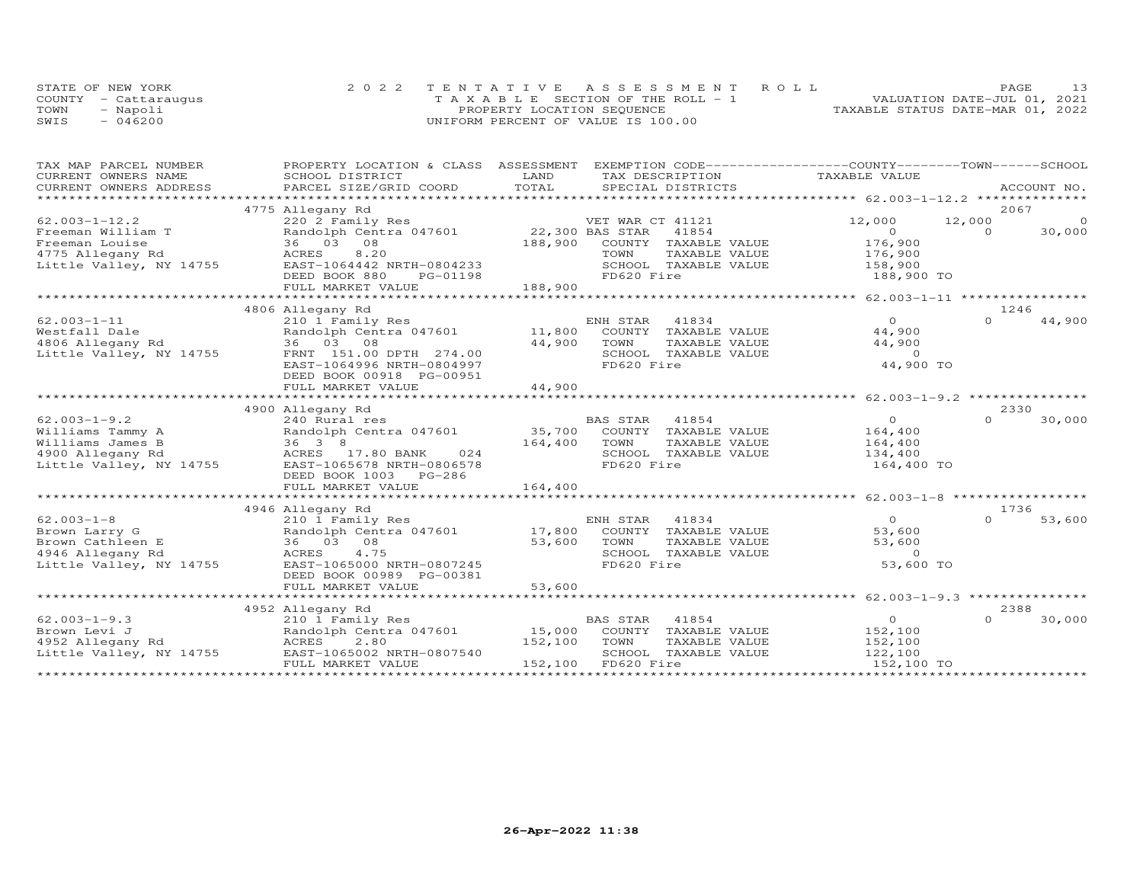|      | STATE OF NEW YORK    | 2022 TENTATIVE ASSESSMENT ROLL        | PAGE                             |
|------|----------------------|---------------------------------------|----------------------------------|
|      | COUNTY - Cattaraugus | T A X A B L E SECTION OF THE ROLL - 1 | VALUATION DATE-JUL 01, 2021      |
| TOWN | - Napoli             | PROPERTY LOCATION SEQUENCE            | TAXABLE STATUS DATE-MAR 01, 2022 |
| SWIS | $-046200$            | UNIFORM PERCENT OF VALUE IS 100.00    |                                  |

| TAX MAP PARCEL NUMBER     | PROPERTY LOCATION & CLASS ASSESSMENT   |         | EXEMPTION CODE-----------------COUNTY-------TOWN------SCHOOL |                                                               |                    |
|---------------------------|----------------------------------------|---------|--------------------------------------------------------------|---------------------------------------------------------------|--------------------|
| CURRENT OWNERS NAME       | SCHOOL DISTRICT                        | LAND    | TAX DESCRIPTION                                              | TAXABLE VALUE                                                 |                    |
| CURRENT OWNERS ADDRESS    | PARCEL SIZE/GRID COORD                 | TOTAL   | SPECIAL DISTRICTS                                            |                                                               | ACCOUNT NO.        |
| ************************* | 4775 Allegany Rd                       |         |                                                              |                                                               | 2067               |
| $62.003 - 1 - 12.2$       | 220 2 Family Res                       |         | VET WAR CT 41121                                             | 12,000                                                        | 12,000<br>$\circ$  |
| Freeman William T         | Randolph Centra 047601 22,300 BAS STAR |         | 41854                                                        | $\Omega$                                                      | $\Omega$<br>30,000 |
| Freeman Louise            | 36 03 08                               | 188,900 | COUNTY TAXABLE VALUE                                         | 176,900                                                       |                    |
| 4775 Allegany Rd          | 8,20<br>ACRES                          |         | TOWN<br>TAXABLE VALUE                                        | 176,900                                                       |                    |
| Little Valley, NY 14755   | EAST-1064442 NRTH-0804233              |         | SCHOOL TAXABLE VALUE                                         | 158,900                                                       |                    |
|                           | DEED BOOK 880<br>PG-01198              |         | FD620 Fire                                                   | 188,900 TO                                                    |                    |
|                           | FULL MARKET VALUE                      | 188,900 |                                                              |                                                               |                    |
|                           |                                        |         |                                                              |                                                               |                    |
|                           | 4806 Allegany Rd                       |         |                                                              |                                                               | 1246               |
| $62.003 - 1 - 11$         | 210 1 Family Res                       |         | ENH STAR<br>41834                                            | $\overline{O}$                                                | $\Omega$<br>44,900 |
| Westfall Dale             | Randolph Centra 047601                 | 11,800  | COUNTY TAXABLE VALUE                                         | 44,900                                                        |                    |
| 4806 Allegany Rd          | 36 03 08                               | 44,900  | TOWN<br>TAXABLE VALUE                                        | 44,900                                                        |                    |
| Little Valley, NY 14755   | FRNT 151.00 DPTH 274.00                |         | SCHOOL TAXABLE VALUE                                         | $\sim$ 0                                                      |                    |
|                           | EAST-1064996 NRTH-0804997              |         | FD620 Fire                                                   | 44,900 TO                                                     |                    |
|                           | DEED BOOK 00918 PG-00951               |         |                                                              |                                                               |                    |
|                           | FULL MARKET VALUE                      | 44,900  |                                                              |                                                               |                    |
|                           |                                        |         |                                                              | ******************************* 62.003-1-9.2 **************** |                    |
|                           | 4900 Allegany Rd                       |         |                                                              |                                                               | 2330               |
| $62.003 - 1 - 9.2$        | 240 Rural res                          |         | <b>BAS STAR</b><br>41854                                     | $\Omega$                                                      | $\Omega$<br>30,000 |
| Williams Tammy A          | Randolph Centra 047601 35,700          |         | COUNTY TAXABLE VALUE                                         | 164,400                                                       |                    |
| Williams James B          | $36 \quad 3 \quad 8$                   | 164,400 | TOWN<br>TAXABLE VALUE                                        | 164,400                                                       |                    |
| 4900 Allegany Rd          | ACRES 17.80 BANK<br>024                |         | SCHOOL TAXABLE VALUE                                         | 134,400                                                       |                    |
| Little Valley, NY 14755   | EAST-1065678 NRTH-0806578              |         | FD620 Fire                                                   | 164,400 TO                                                    |                    |
|                           | DEED BOOK 1003 PG-286                  |         |                                                              |                                                               |                    |
|                           | FULL MARKET VALUE                      | 164,400 |                                                              |                                                               |                    |
|                           | *********************************      |         |                                                              |                                                               |                    |
|                           | 4946 Allegany Rd                       |         |                                                              |                                                               | 1736               |
| $62.003 - 1 - 8$          | 210 1 Family Res                       |         | ENH STAR<br>41834                                            | $\overline{O}$                                                | $\Omega$<br>53,600 |
| Brown Larry G             | Randolph Centra 047601                 | 17,800  | COUNTY TAXABLE VALUE                                         | 53,600                                                        |                    |
| Brown Cathleen E          | 08<br>36 03                            | 53,600  | TOWN<br>TAXABLE VALUE                                        | 53,600                                                        |                    |
| 4946 Allegany Rd          | 4.75<br>ACRES                          |         | SCHOOL TAXABLE VALUE                                         | $\Omega$                                                      |                    |
| Little Valley, NY 14755   | EAST-1065000 NRTH-0807245              |         | FD620 Fire                                                   | 53,600 TO                                                     |                    |
|                           | DEED BOOK 00989 PG-00381               |         |                                                              |                                                               |                    |
|                           | FULL MARKET VALUE                      | 53,600  |                                                              |                                                               |                    |
|                           |                                        |         |                                                              |                                                               |                    |
|                           | 4952 Allegany Rd                       |         |                                                              |                                                               | 2388               |
| $62.003 - 1 - 9.3$        | 210 1 Family Res                       |         | BAS STAR<br>41854                                            | $\overline{0}$                                                | 30,000<br>$\Omega$ |
| Brown Levi J              | Randolph Centra 047601                 | 15,000  | COUNTY<br>TAXABLE VALUE                                      | 152,100                                                       |                    |
| 4952 Allegany Rd          | ACRES<br>2.80                          | 152,100 | TOWN<br>TAXABLE VALUE                                        | 152,100                                                       |                    |
| Little Valley, NY 14755   | EAST-1065002 NRTH-0807540              |         | SCHOOL TAXABLE VALUE                                         | 122,100                                                       |                    |
|                           | FULL MARKET VALUE                      | 152,100 | FD620 Fire                                                   | 152,100 TO                                                    |                    |
|                           |                                        |         |                                                              |                                                               |                    |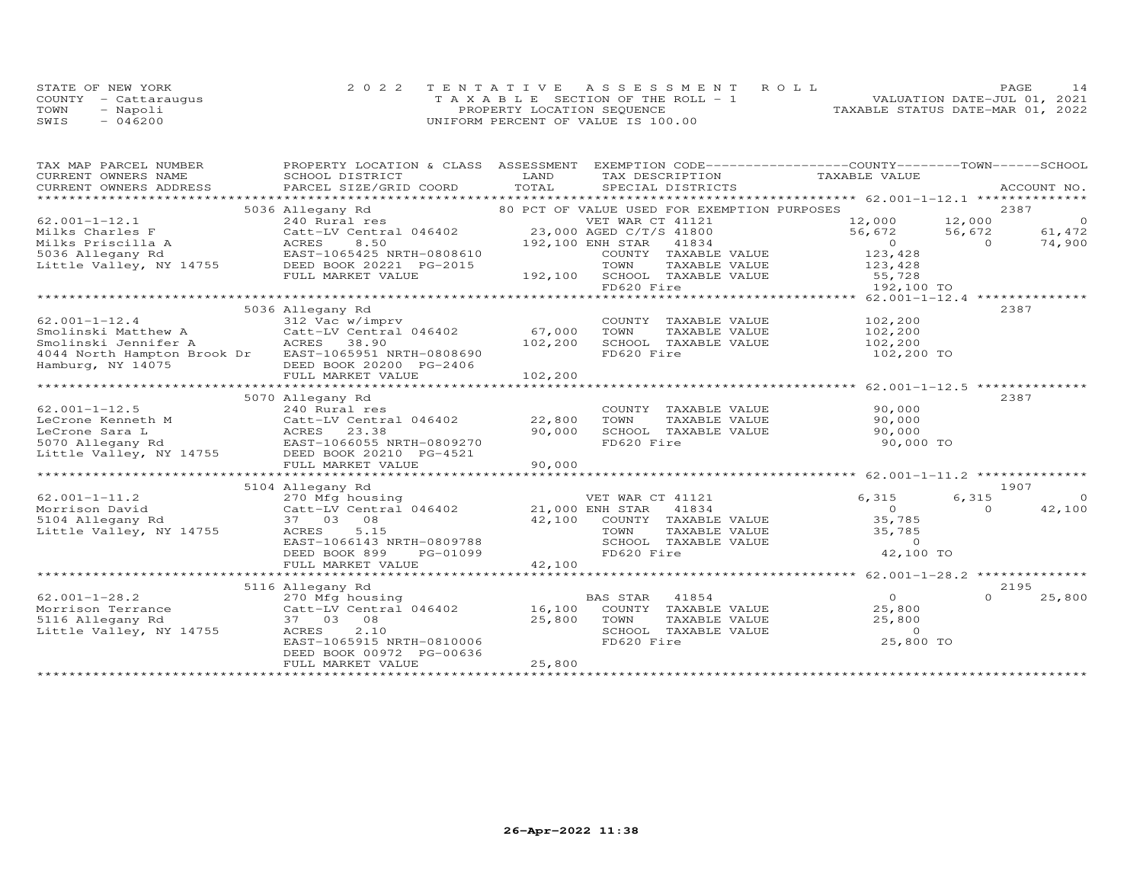|      | STATE OF NEW YORK    | 2022 TENTATIVE ASSESSMENT ROLL        |                                  | PAGE.                       | 14 |
|------|----------------------|---------------------------------------|----------------------------------|-----------------------------|----|
|      | COUNTY - Cattaraugus | T A X A B L E SECTION OF THE ROLL - 1 |                                  | VALUATION DATE-JUL 01, 2021 |    |
| TOWN | - Napoli             | PROPERTY LOCATION SEQUENCE            | TAXABLE STATUS DATE-MAR 01, 2022 |                             |    |
| SWIS | $-046200$            | UNIFORM PERCENT OF VALUE IS 100.00    |                                  |                             |    |

| TAX MAP PARCEL NUMBER                                                                                           | PROPERTY LOCATION & CLASS              | ASSESSMENT | EXEMPTION CODE-----------------COUNTY-------TOWN------SCHOOL |                    |          |                |
|-----------------------------------------------------------------------------------------------------------------|----------------------------------------|------------|--------------------------------------------------------------|--------------------|----------|----------------|
| CURRENT OWNERS NAME                                                                                             | SCHOOL DISTRICT                        | LAND       | TAX DESCRIPTION                                              | TAXABLE VALUE      |          |                |
| .CURRENT OWNERS ADDRESS PARCEL SIZE/GRID COORD TOTAL SPECIAL DISTRICTS ACCOUNT NO ACCOUNT NO ACCOUNT NO ACCOUNT |                                        |            |                                                              |                    |          |                |
|                                                                                                                 | 5036 Allegany Rd                       |            | 80 PCT OF VALUE USED FOR EXEMPTION PURPOSES                  |                    |          | 2387           |
| $62.001 - 1 - 12.1$                                                                                             | 240 Rural res                          |            | VET WAR CT 41121                                             | 12,000             | 12,000   | $\overline{0}$ |
|                                                                                                                 |                                        |            | 23,000 AGED C/T/S 41800                                      | 56,672             | 56,672   | 61,472         |
| Milks Charles F                                                                                                 | Catt-LV Central 046402                 |            |                                                              |                    |          |                |
| Milks Priscilla A                                                                                               | 8.50<br>ACRES                          |            | 192,100 ENH STAR<br>41834                                    | $\overline{0}$     | $\Omega$ | 74,900         |
| 5036 Allegany Rd                                                                                                | EAST-1065425 NRTH-0808610              |            | COUNTY TAXABLE VALUE                                         | 123,428            |          |                |
| Little Valley, NY 14755                                                                                         | DEED BOOK 20221 PG-2015                |            | TOWN<br>TAXABLE VALUE                                        | 123,428            |          |                |
|                                                                                                                 | FULL MARKET VALUE                      |            | 192,100 SCHOOL TAXABLE VALUE                                 | 155,728<br>192.100 |          |                |
|                                                                                                                 |                                        |            | FD620 Fire                                                   | 192,100 TO         |          |                |
|                                                                                                                 |                                        |            |                                                              |                    |          |                |
|                                                                                                                 | 5036 Allegany Rd                       |            |                                                              |                    |          | 2387           |
| $62.001 - 1 - 12.4$                                                                                             | 312 Vac w/imprv                        |            | COUNTY TAXABLE VALUE                                         | 102,200            |          |                |
| Smolinski Matthew A                                                                                             | Catt-LV Central 046402                 | 67,000     | TOWN<br>TAXABLE VALUE                                        | 102,200            |          |                |
| Smolinski Jennifer A                                                                                            | ACRES 38.90                            | 102,200    | SCHOOL TAXABLE VALUE                                         | 102,200            |          |                |
| 4044 North Hampton Brook Dr EAST-1065951 NRTH-0808690                                                           |                                        |            | FD620 Fire                                                   | 102,200 TO         |          |                |
| Hamburg, NY 14075                                                                                               | DEED BOOK 20200 PG-2406                |            |                                                              |                    |          |                |
|                                                                                                                 | FULL MARKET VALUE                      | 102,200    |                                                              |                    |          |                |
|                                                                                                                 |                                        |            |                                                              |                    |          |                |
|                                                                                                                 | 5070 Allegany Rd                       |            |                                                              |                    | 2387     |                |
| $62.001 - 1 - 12.5$                                                                                             | 240 Rural res                          |            | COUNTY TAXABLE VALUE                                         | 90,000             |          |                |
| LeCrone Kenneth M                                                                                               | Catt-LV Central 046402                 | 22,800     | TOWN<br>TAXABLE VALUE                                        | 90,000             |          |                |
| LeCrone Sara L                                                                                                  | 23.38<br>ACRES                         | 90,000     | SCHOOL TAXABLE VALUE                                         | 90,000             |          |                |
|                                                                                                                 |                                        |            |                                                              |                    |          |                |
| 5070 Allegany Rd                                                                                                | EAST-1066055 NRTH-0809270              |            | FD620 Fire                                                   | 90,000 TO          |          |                |
| ov.v Arreyany Kd<br>Little Valley, NY 14755                                                                     | DEED BOOK 20210 PG-4521                |            |                                                              |                    |          |                |
|                                                                                                                 | FULL MARKET VALUE                      | 90,000     |                                                              |                    |          |                |
|                                                                                                                 |                                        |            |                                                              |                    |          |                |
|                                                                                                                 | 5104 Allegany Rd                       |            |                                                              |                    |          | 1907           |
| $62.001 - 1 - 11.2$                                                                                             | 270 Mfg housing                        |            | VET WAR CT 41121                                             | 6,315              | 6,315    | $\Omega$       |
| Morrison David                                                                                                  | Catt-LV Central 046402 21,000 ENH STAR |            | 41834                                                        | $\Omega$           | $\Omega$ | 42,100         |
| 5104 Allegany Rd                                                                                                | 37 03 08                               |            | 42,100 COUNTY TAXABLE VALUE                                  | 35,785             |          |                |
| Little Valley, NY 14755                                                                                         | 5.15<br>ACRES                          |            | TOWN<br>TAXABLE VALUE                                        | 35,785             |          |                |
|                                                                                                                 | EAST-1066143 NRTH-0809788              |            | SCHOOL TAXABLE VALUE                                         | $\Omega$           |          |                |
|                                                                                                                 | DEED BOOK 899<br>PG-01099              |            | FD620 Fire                                                   | 42,100 TO          |          |                |
|                                                                                                                 | FULL MARKET VALUE                      | 42,100     |                                                              |                    |          |                |
|                                                                                                                 |                                        |            |                                                              |                    |          |                |
|                                                                                                                 | 5116 Allegany Rd                       |            |                                                              |                    |          | 2195           |
| $62.001 - 1 - 28.2$                                                                                             | 270 Mfg housing                        |            | <b>BAS STAR</b><br>41854                                     | $\overline{O}$     | $\Omega$ | 25,800         |
| Morrison Terrance                                                                                               | Catt-LV Central 046402                 | 16,100     | COUNTY TAXABLE VALUE                                         | 25,800             |          |                |
| 5116 Allegany Rd                                                                                                | 37 03<br>08                            | 25,800     | TOWN<br>TAXABLE VALUE                                        | 25,800             |          |                |
| Little Valley, NY 14755                                                                                         | ACRES<br>2.10                          |            | SCHOOL TAXABLE VALUE                                         | $\circ$            |          |                |
|                                                                                                                 | EAST-1065915 NRTH-0810006              |            | FD620 Fire                                                   | 25,800 TO          |          |                |
|                                                                                                                 | DEED BOOK 00972 PG-00636               |            |                                                              |                    |          |                |
|                                                                                                                 | FULL MARKET VALUE                      | 25,800     |                                                              |                    |          |                |
|                                                                                                                 |                                        |            |                                                              |                    |          |                |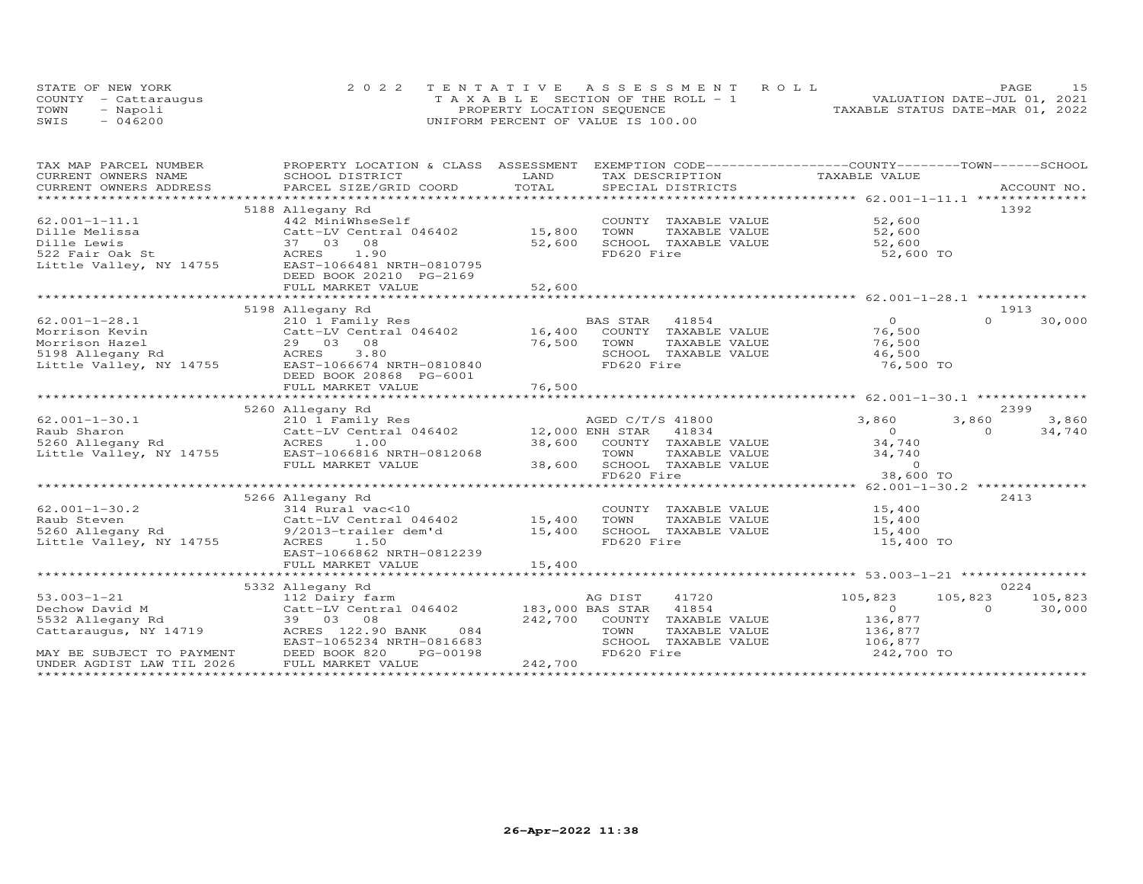|      | STATE OF NEW YORK    | 2022 TENTATIVE ASSESSMENT ROLL        | PAGE                             |  |
|------|----------------------|---------------------------------------|----------------------------------|--|
|      | COUNTY - Cattaraugus | T A X A B L E SECTION OF THE ROLL - 1 | VALUATION DATE-JUL 01, 2021      |  |
| TOWN | - Napoli             | PROPERTY LOCATION SEQUENCE            | TAXABLE STATUS DATE-MAR 01, 2022 |  |
| SWIS | $-046200$            | UNIFORM PERCENT OF VALUE IS 100.00    |                                  |  |

| TAX MAP PARCEL NUMBER                         | PROPERTY LOCATION & CLASS ASSESSMENT EXEMPTION CODE----------------COUNTY-------TOWN------SCHOOL<br>SCHOOL DISTRICT                                                                                                            |               | TAX DESCRIPTION             |                    |                    |
|-----------------------------------------------|--------------------------------------------------------------------------------------------------------------------------------------------------------------------------------------------------------------------------------|---------------|-----------------------------|--------------------|--------------------|
| CURRENT OWNERS NAME<br>CURRENT OWNERS ADDRESS |                                                                                                                                                                                                                                | LAND<br>TOTAL |                             | TAXABLE VALUE      |                    |
|                                               | .CURRENT OWNERS ADDRESS PARCEL SIZE/GRID COORD TOTAL SPECIAL DISTRICTS (ACCOUNT NO ACCOUNT NO ACCOUNT NO ACCOUNT NO ACCOUNT NO A LOGGER AND A LOGGER A LOGGER AND A LOGGER AND A LOGGER AND A LOGGER AND A LOGGER AND A LOGGER |               |                             |                    |                    |
|                                               | 5188 Allegany Rd                                                                                                                                                                                                               |               |                             |                    | 1392               |
| $62.001 - 1 - 11.1$                           | 442 MiniWhseSelf                                                                                                                                                                                                               |               | COUNTY TAXABLE VALUE 52,600 |                    |                    |
| Dille Melissa                                 | Catt-LV Central 046402                                                                                                                                                                                                         | 15,800        | TOWN<br>TAXABLE VALUE       | 52,600             |                    |
| Dille Lewis                                   | 37 03 08                                                                                                                                                                                                                       | 52,600        | SCHOOL TAXABLE VALUE        | 52,600             |                    |
| 522 Fair Oak St                               | ACRES 1.90                                                                                                                                                                                                                     |               | FD620 Fire                  | 52,600 TO          |                    |
| Little Valley, NY 14755                       | EAST-1066481 NRTH-0810795                                                                                                                                                                                                      |               |                             |                    |                    |
|                                               | DEED BOOK 20210 PG-2169                                                                                                                                                                                                        |               |                             |                    |                    |
|                                               |                                                                                                                                                                                                                                |               |                             |                    |                    |
|                                               |                                                                                                                                                                                                                                |               |                             |                    |                    |
|                                               | 5198 Allegany Rd                                                                                                                                                                                                               |               |                             |                    | 1913               |
| $62.001 - 1 - 28.1$                           | 210 1 Family Res                                                                                                                                                                                                               |               | BAS STAR<br>41854           | $\Omega$           | $\Omega$<br>30,000 |
| Morrison Kevin                                | 210 1 Family Res<br>Catt-LV Central 046402 16,400<br>20 03 08 16,500                                                                                                                                                           |               | COUNTY TAXABLE VALUE        | 76,500             |                    |
| Morrison Hazel                                |                                                                                                                                                                                                                                |               | TOWN<br>TAXABLE VALUE       | 76,500             |                    |
| 5198 Allegany Rd                              | ACRES<br>3.80                                                                                                                                                                                                                  |               | SCHOOL TAXABLE VALUE        | 46,500             |                    |
| Little Valley, NY 14755                       | EAST-1066674 NRTH-0810840                                                                                                                                                                                                      |               | FD620 Fire                  | 76,500 TO          |                    |
|                                               | DEED BOOK 20868 PG-6001                                                                                                                                                                                                        |               |                             |                    |                    |
|                                               |                                                                                                                                                                                                                                |               |                             |                    |                    |
|                                               |                                                                                                                                                                                                                                |               |                             |                    |                    |
|                                               | 5260 Allegany Rd                                                                                                                                                                                                               |               |                             |                    | 2399               |
| $62.001 - 1 - 30.1$                           | 210 1 Family Res                                                                                                                                                                                                               |               | AGED C/T/S 41800            | 3,860              | 3,860<br>3,860     |
| Raub Sharon                                   | Catt-LV Central 046402 12,000 ENH STAR                                                                                                                                                                                         |               | 41834                       | $\circ$            | 34,740<br>$\Omega$ |
| 5260 Allegany Rd                              | 1.00<br>ACRES                                                                                                                                                                                                                  | 38,600        | COUNTY TAXABLE VALUE        | 34,740             |                    |
| Little Valley, NY 14755                       | EAST-1066816 NRTH-0812068                                                                                                                                                                                                      |               | TOWN<br>TAXABLE VALUE       | 34,740             |                    |
|                                               | FULL MARKET VALUE                                                                                                                                                                                                              | 38,600        | SCHOOL TAXABLE VALUE        | $\sim$ 0           |                    |
|                                               |                                                                                                                                                                                                                                |               | FD620 Fire                  | 38,600 TO          |                    |
|                                               |                                                                                                                                                                                                                                |               |                             |                    |                    |
|                                               | 5266 Allegany Rd                                                                                                                                                                                                               |               |                             |                    | 2413               |
| $62.001 - 1 - 30.2$                           | 314 Rural vac<10                                                                                                                                                                                                               |               | COUNTY TAXABLE VALUE        | 15,400             |                    |
| Raub Steven                                   | Catt-LV Central 046402                                                                                                                                                                                                         | 15,400        | TOWN<br>TAXABLE VALUE       | 15,400             |                    |
| 5260 Allegany Rd                              | 9/2013-trailer dem'd                                                                                                                                                                                                           | 15,400        | SCHOOL TAXABLE VALUE        | 15,400             |                    |
| Little Valley, NY 14755                       | ACRES<br>1.50                                                                                                                                                                                                                  |               | FD620 Fire                  | 15,400 TO          |                    |
|                                               | EAST-1066862 NRTH-0812239                                                                                                                                                                                                      |               |                             |                    |                    |
|                                               | FULL MARKET VALUE                                                                                                                                                                                                              | 15,400        |                             |                    |                    |
|                                               | 5332 Allegany Rd                                                                                                                                                                                                               |               |                             |                    | 0224               |
| $53.003 - 1 - 21$                             | 112 Dairy farm                                                                                                                                                                                                                 |               | 41720<br>AG DIST            | 105,823<br>105,823 | 105,823            |
| Dechow David M                                | Catt-LV Central 046402 183,000 BAS STAR                                                                                                                                                                                        |               | 41854                       | $\Omega$           | 30,000<br>$\Omega$ |
| 5532 Allegany Rd                              | 39 03 08                                                                                                                                                                                                                       | 242,700       | COUNTY TAXABLE VALUE        | 136,877            |                    |
| Cattaraugus, NY 14719                         | ACRES 122.90 BANK<br>084                                                                                                                                                                                                       |               | TOWN<br>TAXABLE VALUE       | 136,877            |                    |
|                                               | EAST-1065234 NRTH-0816683                                                                                                                                                                                                      |               | SCHOOL TAXABLE VALUE        | 106,877            |                    |
| MAY BE SUBJECT TO PAYMENT                     |                                                                                                                                                                                                                                |               |                             |                    |                    |
|                                               |                                                                                                                                                                                                                                |               |                             |                    |                    |
| UNDER AGDIST LAW TIL 2026                     | DEED BOOK 820<br>PG-00198<br>FULL MARKET VALUE                                                                                                                                                                                 | 242,700       | FD620 Fire                  | 242,700 TO         |                    |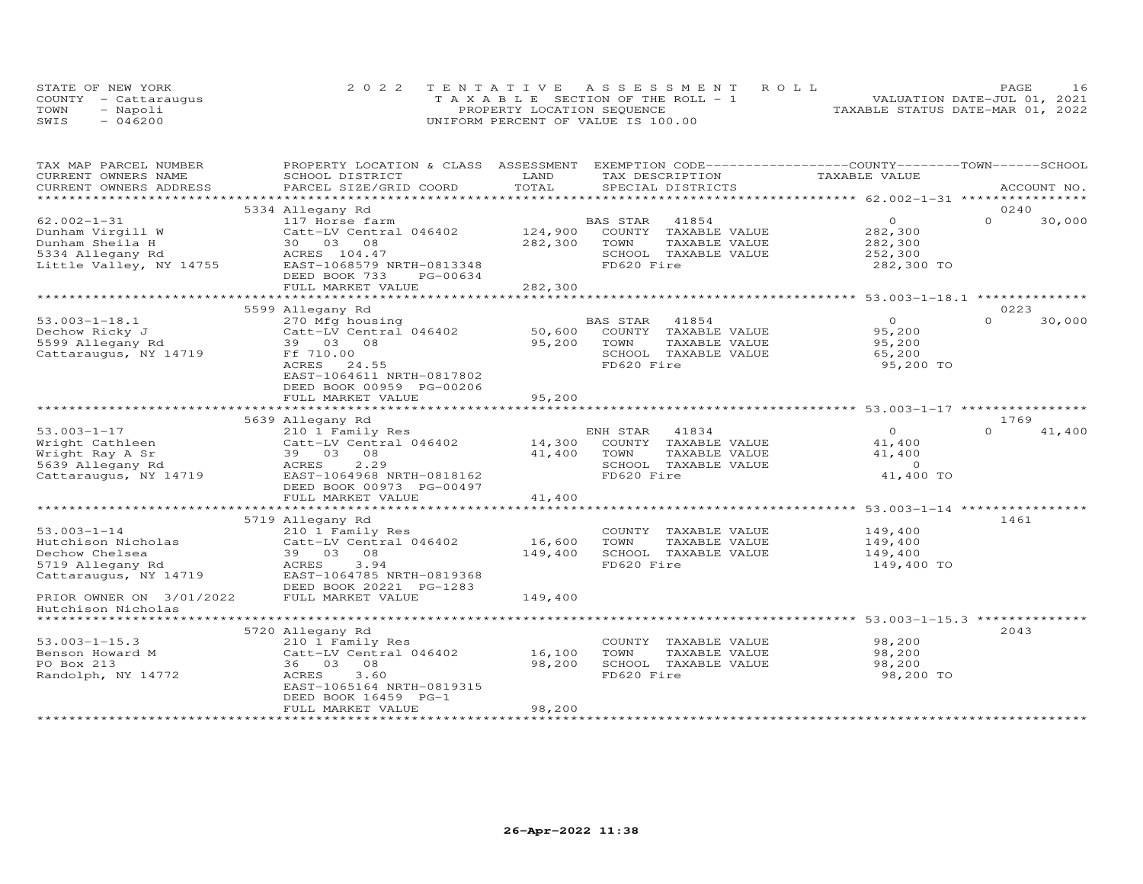|      | STATE OF NEW YORK    | 2022 TENTATIVE ASSESSMENT ROLL        | PAGE                             |
|------|----------------------|---------------------------------------|----------------------------------|
|      | COUNTY - Cattarauqus | T A X A B L E SECTION OF THE ROLL - 1 | VALUATION DATE-JUL 01, 2021      |
| TOWN | - Napoli             | PROPERTY LOCATION SEQUENCE            | TAXABLE STATUS DATE-MAR 01, 2022 |
| SWIS | $-046200$            | UNIFORM PERCENT OF VALUE IS 100.00    |                                  |

| TAX MAP PARCEL NUMBER    | PROPERTY LOCATION & CLASS ASSESSMENT |                     | EXEMPTION CODE-----------------COUNTY-------TOWN-----SCHOOL |               |                                                     |          |             |
|--------------------------|--------------------------------------|---------------------|-------------------------------------------------------------|---------------|-----------------------------------------------------|----------|-------------|
| CURRENT OWNERS NAME      | SCHOOL DISTRICT                      | LAND                | TAX DESCRIPTION                                             |               | TAXABLE VALUE                                       |          |             |
| CURRENT OWNERS ADDRESS   | PARCEL SIZE/GRID COORD               | TOTAL               | SPECIAL DISTRICTS                                           |               |                                                     |          | ACCOUNT NO. |
|                          |                                      |                     |                                                             |               |                                                     |          |             |
|                          | 5334 Allegany Rd                     |                     |                                                             |               |                                                     | 0240     |             |
| $62.002 - 1 - 31$        | 117 Horse farm                       |                     | 41854<br>BAS STAR                                           |               | $\circ$                                             | $\Omega$ | 30,000      |
| Dunham Virgill W         | Catt-LV Central 046402               | 124,900             | COUNTY TAXABLE VALUE                                        |               | 282,300                                             |          |             |
| Dunham Sheila H          | 30 03 08                             | 282,300             | TOWN                                                        | TAXABLE VALUE | 282,300                                             |          |             |
| 5334 Allegany Rd         | ACRES 104.47                         |                     | SCHOOL TAXABLE VALUE                                        |               | 252,300                                             |          |             |
| Little Valley, NY 14755  | EAST-1068579 NRTH-0813348            |                     | FD620 Fire                                                  |               | 282,300 TO                                          |          |             |
|                          | DEED BOOK 733<br>PG-00634            |                     |                                                             |               |                                                     |          |             |
|                          | FULL MARKET VALUE                    | 282,300             |                                                             |               |                                                     |          |             |
|                          |                                      |                     |                                                             |               |                                                     |          |             |
|                          | 5599 Allegany Rd                     |                     |                                                             |               |                                                     | 0223     |             |
| $53.003 - 1 - 18.1$      | 270 Mfg housing                      |                     | <b>BAS STAR</b><br>41854                                    |               | $\Omega$                                            | $\Omega$ | 30,000      |
| Dechow Ricky J           | Catt-LV Central 046402               | 50,600              | COUNTY TAXABLE VALUE                                        |               | 95,200                                              |          |             |
| 5599 Allegany Rd         | 39 03 08                             | 95,200              | TOWN                                                        | TAXABLE VALUE | 95,200                                              |          |             |
| Cattaraugus, NY 14719    | Ff 710.00                            |                     | SCHOOL TAXABLE VALUE                                        |               | 65,200                                              |          |             |
|                          | ACRES<br>24.55                       |                     | FD620 Fire                                                  |               | 95,200 TO                                           |          |             |
|                          | EAST-1064611 NRTH-0817802            |                     |                                                             |               |                                                     |          |             |
|                          | DEED BOOK 00959 PG-00206             |                     |                                                             |               |                                                     |          |             |
|                          | FULL MARKET VALUE                    | 95,200              |                                                             |               |                                                     |          |             |
|                          | ***********************              | * * * * * * * * * * |                                                             |               | ********************* 53.003-1-17 ***************** |          |             |
|                          | 5639 Allegany Rd                     |                     |                                                             |               |                                                     | 1769     |             |
| $53.003 - 1 - 17$        | 210 1 Family Res                     |                     | ENH STAR<br>41834                                           |               | $\overline{O}$                                      | $\Omega$ | 41,400      |
| Wright Cathleen          | Catt-LV Central 046402               | 14,300              | COUNTY TAXABLE VALUE                                        |               | 41,400                                              |          |             |
| Wright Ray A Sr          | 39 03 08                             | 41,400              | TOWN                                                        | TAXABLE VALUE | 41,400                                              |          |             |
| 5639 Allegany Rd         | 2.29<br>ACRES                        |                     | SCHOOL TAXABLE VALUE                                        |               | $\Omega$                                            |          |             |
| Cattaraugus, NY 14719    | EAST-1064968 NRTH-0818162            |                     | FD620 Fire                                                  |               | 41,400 TO                                           |          |             |
|                          | DEED BOOK 00973 PG-00497             |                     |                                                             |               |                                                     |          |             |
|                          | FULL MARKET VALUE                    | 41,400              |                                                             |               |                                                     |          |             |
|                          |                                      |                     | ******************************** 53.003-1-14 ***********    |               |                                                     |          |             |
|                          | 5719 Allegany Rd                     |                     |                                                             |               |                                                     | 1461     |             |
| $53.003 - 1 - 14$        | 210 1 Family Res                     |                     | COUNTY TAXABLE VALUE                                        |               | 149,400                                             |          |             |
| Hutchison Nicholas       | Catt-LV Central 046402               | 16,600              | TOWN                                                        | TAXABLE VALUE | 149,400                                             |          |             |
| Dechow Chelsea           | 39 03<br>08                          | 149,400             | SCHOOL TAXABLE VALUE                                        |               | 149,400                                             |          |             |
| 5719 Allegany Rd         | ACRES<br>3.94                        |                     | FD620 Fire                                                  |               | 149,400 TO                                          |          |             |
| Cattaraugus, NY 14719    | EAST-1064785 NRTH-0819368            |                     |                                                             |               |                                                     |          |             |
|                          | DEED BOOK 20221 PG-1283              |                     |                                                             |               |                                                     |          |             |
| PRIOR OWNER ON 3/01/2022 | FULL MARKET VALUE                    | 149,400             |                                                             |               |                                                     |          |             |
| Hutchison Nicholas       |                                      |                     |                                                             |               |                                                     |          |             |
| *********************    |                                      |                     |                                                             |               |                                                     |          |             |
|                          | 5720 Allegany Rd                     |                     |                                                             |               |                                                     | 2043     |             |
| $53.003 - 1 - 15.3$      | 210 1 Family Res                     |                     | COUNTY TAXABLE VALUE                                        |               | 98,200                                              |          |             |
| Benson Howard M          | Catt-LV Central 046402               | 16,100              | TOWN                                                        | TAXABLE VALUE | 98,200                                              |          |             |
| PO Box 213               | 08<br>36 03                          | 98,200              | SCHOOL TAXABLE VALUE                                        |               | 98,200                                              |          |             |
|                          | 3.60                                 |                     | FD620 Fire                                                  |               |                                                     |          |             |
| Randolph, NY 14772       | ACRES                                |                     |                                                             |               | 98,200 TO                                           |          |             |
|                          | EAST-1065164 NRTH-0819315            |                     |                                                             |               |                                                     |          |             |
|                          | DEED BOOK 16459 PG-1                 | 98,200              |                                                             |               |                                                     |          |             |
|                          | FULL MARKET VALUE                    |                     |                                                             |               |                                                     |          |             |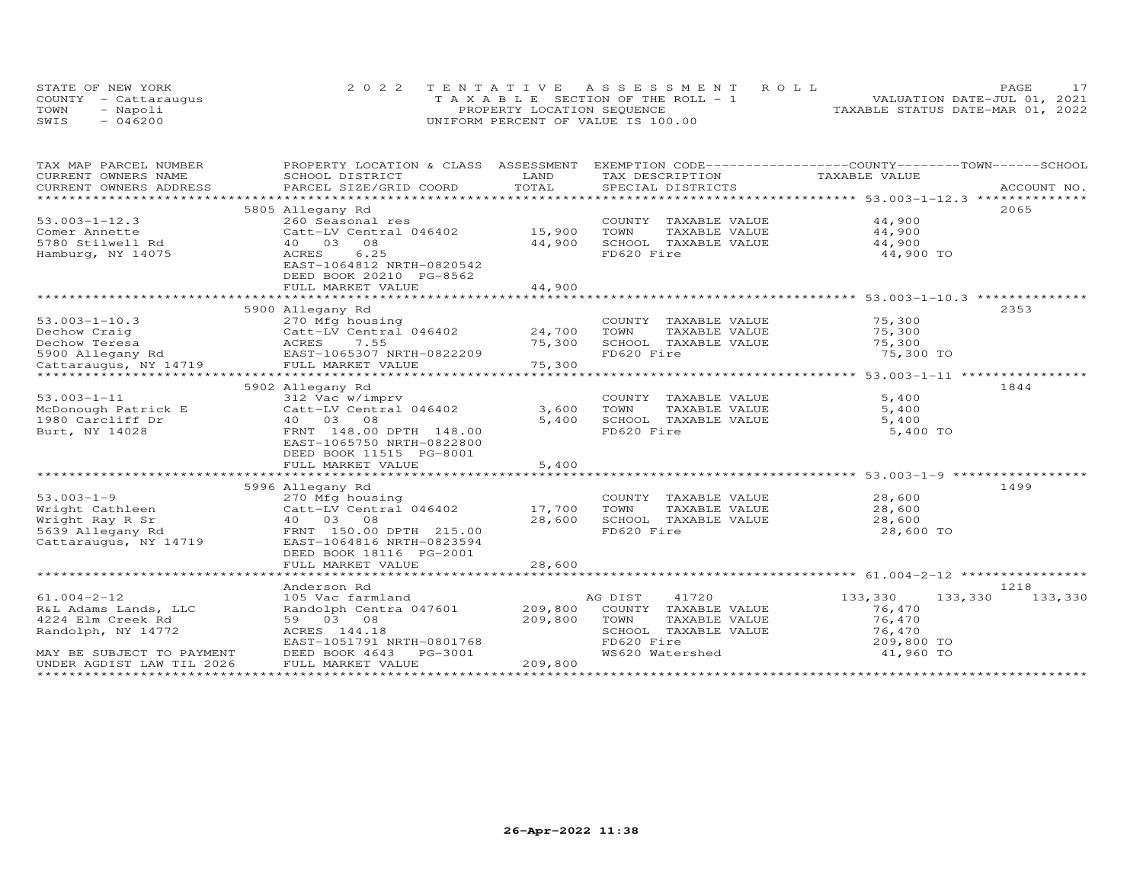|      | STATE OF NEW YORK    | 2022 TENTATIVE ASSESSMENT ROLL        | PAGE                             |
|------|----------------------|---------------------------------------|----------------------------------|
|      | COUNTY - Cattaraugus | T A X A B L E SECTION OF THE ROLL - 1 | VALUATION DATE-JUL 01, 2021      |
| TOWN | - Napoli             | PROPERTY LOCATION SEQUENCE            | TAXABLE STATUS DATE-MAR 01, 2022 |
| SWIS | $-046200$            | UNIFORM PERCENT OF VALUE IS 100.00    |                                  |

| CURRENT OWNERS NAME<br>SCHOOL DISTRICT<br>LAND<br>TAX DESCRIPTION<br>TAXABLE VALUE<br>TOTAL<br>CURRENT OWNERS ADDRESS<br>.CURRENT OWNERS ADDRESS PARCEL SIZE/GRID COORD TOTAL SPECIAL DISTRICTS (ACCOUNT NO ACCOUNT NO ARCOUNT NO ACCOUNT NO ACCOUNT NO A LOGGER AND A LOGGER A LOGGER AND A LOGGER AND A LOGGER AND A LOGGER AND A LOGGER AND A LOGGER<br>5805 Allegany Rd<br>2065<br>44,900<br>$53.003 - 1 - 12.3$<br>260 Seasonal res<br>COUNTY TAXABLE VALUE<br>44,900<br>Catt-LV Central 046402 15,900<br>TOWN<br>TAXABLE VALUE<br>Comer Annette<br>5780 Stilwell Rd<br>40  03  08<br>44,900<br>SCHOOL TAXABLE VALUE<br>44,900<br>6.25<br>FD620 Fire<br>Hamburg, NY 14075<br>ACRES<br>44,900 TO<br>EAST-1064812 NRTH-0820542<br>DEED BOOK 20210 PG-8562<br>44,900<br>FULL MARKET VALUE<br>5900 Allegany Rd<br>2353<br>$53.003 - 1 - 10.3$<br>270 Mfg housing<br>COUNTY TAXABLE VALUE<br>75,300<br>1844<br>5902 Allegany Rd<br>$53.003 - 1 - 11$<br>312 Vac w/imprv<br>COUNTY TAXABLE VALUE<br>5,400<br>Catt-LV Central 046402<br>3,600<br>5,400<br>McDonough Patrick E<br>TOWN<br>TAXABLE VALUE<br>1980 Carcliff Dr<br>40 03 08<br>5,400<br>SCHOOL TAXABLE VALUE<br>5,400<br>FD620 Fire<br>FRNT 148.00 DPTH 148.00<br>5,400 TO<br>Burt, NY 14028<br>EAST-1065750 NRTH-0822800<br>DEED BOOK 11515 PG-8001<br>5,400<br>FULL MARKET VALUE<br>1499<br>5996 Allegany Rd<br>$53.003 - 1 - 9$<br>$28,600$<br>$28,600$<br>270 Mfg housing<br>COUNTY TAXABLE VALUE<br>Catt-LV Central 046402<br>17,700<br>Wright Cathleen<br>TOWN<br>TAXABLE VALUE<br>28,600<br>SCHOOL TAXABLE VALUE<br>28,600<br>28,600<br>Wright Ray R Sr<br>40 03 08<br>FD620 Fire<br>5639 Allegany Rd<br>FRNT 150.00 DPTH 215.00<br>28,600 TO<br>Cattaraugus, NY 14719<br>EAST-1064816 NRTH-0823594<br>DEED BOOK 18116 PG-2001<br>28,600<br>FULL MARKET VALUE<br>1218<br>Anderson Rd<br>$61.004 - 2 - 12$<br>41720<br>133,330<br>133,330<br>105 Vac farmland<br>AG DIST<br>133,330<br>Randolph Centra 047601<br>209,800<br>COUNTY TAXABLE VALUE<br>R&L Adams Lands, LLC<br>76,470<br>59 03 08<br>209,800<br>76,470<br>4224 Elm Creek Rd<br>TOWN<br>TAXABLE VALUE<br>ACRES 144.18<br>SCHOOL TAXABLE VALUE<br>76,470<br>Randolph, NY 14772<br>FD620 Fire<br>209,800 TO<br>EAST-1051791 NRTH-0801768<br>WS620 Watershed<br>41,960 TO<br>MAY BE SUBJECT TO PAYMENT<br>DEED BOOK 4643<br>PG-3001<br>209,800<br>UNDER AGDIST LAW TIL 2026<br>FULL MARKET VALUE | TAX MAP PARCEL NUMBER |  | PROPERTY LOCATION & CLASS ASSESSMENT EXEMPTION CODE----------------COUNTY-------TOWN------SCHOOL |  |
|--------------------------------------------------------------------------------------------------------------------------------------------------------------------------------------------------------------------------------------------------------------------------------------------------------------------------------------------------------------------------------------------------------------------------------------------------------------------------------------------------------------------------------------------------------------------------------------------------------------------------------------------------------------------------------------------------------------------------------------------------------------------------------------------------------------------------------------------------------------------------------------------------------------------------------------------------------------------------------------------------------------------------------------------------------------------------------------------------------------------------------------------------------------------------------------------------------------------------------------------------------------------------------------------------------------------------------------------------------------------------------------------------------------------------------------------------------------------------------------------------------------------------------------------------------------------------------------------------------------------------------------------------------------------------------------------------------------------------------------------------------------------------------------------------------------------------------------------------------------------------------------------------------------------------------------------------------------------------------------------------------------------------------------------------------------------------------------------------------------------------------------------------------------------------------------------------------------------------------------------------------------------------------------------------------------------------------------------------------------------------------------------------------------------------|-----------------------|--|--------------------------------------------------------------------------------------------------|--|
|                                                                                                                                                                                                                                                                                                                                                                                                                                                                                                                                                                                                                                                                                                                                                                                                                                                                                                                                                                                                                                                                                                                                                                                                                                                                                                                                                                                                                                                                                                                                                                                                                                                                                                                                                                                                                                                                                                                                                                                                                                                                                                                                                                                                                                                                                                                                                                                                                          |                       |  |                                                                                                  |  |
|                                                                                                                                                                                                                                                                                                                                                                                                                                                                                                                                                                                                                                                                                                                                                                                                                                                                                                                                                                                                                                                                                                                                                                                                                                                                                                                                                                                                                                                                                                                                                                                                                                                                                                                                                                                                                                                                                                                                                                                                                                                                                                                                                                                                                                                                                                                                                                                                                          |                       |  |                                                                                                  |  |
|                                                                                                                                                                                                                                                                                                                                                                                                                                                                                                                                                                                                                                                                                                                                                                                                                                                                                                                                                                                                                                                                                                                                                                                                                                                                                                                                                                                                                                                                                                                                                                                                                                                                                                                                                                                                                                                                                                                                                                                                                                                                                                                                                                                                                                                                                                                                                                                                                          |                       |  |                                                                                                  |  |
|                                                                                                                                                                                                                                                                                                                                                                                                                                                                                                                                                                                                                                                                                                                                                                                                                                                                                                                                                                                                                                                                                                                                                                                                                                                                                                                                                                                                                                                                                                                                                                                                                                                                                                                                                                                                                                                                                                                                                                                                                                                                                                                                                                                                                                                                                                                                                                                                                          |                       |  |                                                                                                  |  |
|                                                                                                                                                                                                                                                                                                                                                                                                                                                                                                                                                                                                                                                                                                                                                                                                                                                                                                                                                                                                                                                                                                                                                                                                                                                                                                                                                                                                                                                                                                                                                                                                                                                                                                                                                                                                                                                                                                                                                                                                                                                                                                                                                                                                                                                                                                                                                                                                                          |                       |  |                                                                                                  |  |
|                                                                                                                                                                                                                                                                                                                                                                                                                                                                                                                                                                                                                                                                                                                                                                                                                                                                                                                                                                                                                                                                                                                                                                                                                                                                                                                                                                                                                                                                                                                                                                                                                                                                                                                                                                                                                                                                                                                                                                                                                                                                                                                                                                                                                                                                                                                                                                                                                          |                       |  |                                                                                                  |  |
|                                                                                                                                                                                                                                                                                                                                                                                                                                                                                                                                                                                                                                                                                                                                                                                                                                                                                                                                                                                                                                                                                                                                                                                                                                                                                                                                                                                                                                                                                                                                                                                                                                                                                                                                                                                                                                                                                                                                                                                                                                                                                                                                                                                                                                                                                                                                                                                                                          |                       |  |                                                                                                  |  |
|                                                                                                                                                                                                                                                                                                                                                                                                                                                                                                                                                                                                                                                                                                                                                                                                                                                                                                                                                                                                                                                                                                                                                                                                                                                                                                                                                                                                                                                                                                                                                                                                                                                                                                                                                                                                                                                                                                                                                                                                                                                                                                                                                                                                                                                                                                                                                                                                                          |                       |  |                                                                                                  |  |
|                                                                                                                                                                                                                                                                                                                                                                                                                                                                                                                                                                                                                                                                                                                                                                                                                                                                                                                                                                                                                                                                                                                                                                                                                                                                                                                                                                                                                                                                                                                                                                                                                                                                                                                                                                                                                                                                                                                                                                                                                                                                                                                                                                                                                                                                                                                                                                                                                          |                       |  |                                                                                                  |  |
|                                                                                                                                                                                                                                                                                                                                                                                                                                                                                                                                                                                                                                                                                                                                                                                                                                                                                                                                                                                                                                                                                                                                                                                                                                                                                                                                                                                                                                                                                                                                                                                                                                                                                                                                                                                                                                                                                                                                                                                                                                                                                                                                                                                                                                                                                                                                                                                                                          |                       |  |                                                                                                  |  |
|                                                                                                                                                                                                                                                                                                                                                                                                                                                                                                                                                                                                                                                                                                                                                                                                                                                                                                                                                                                                                                                                                                                                                                                                                                                                                                                                                                                                                                                                                                                                                                                                                                                                                                                                                                                                                                                                                                                                                                                                                                                                                                                                                                                                                                                                                                                                                                                                                          |                       |  |                                                                                                  |  |
|                                                                                                                                                                                                                                                                                                                                                                                                                                                                                                                                                                                                                                                                                                                                                                                                                                                                                                                                                                                                                                                                                                                                                                                                                                                                                                                                                                                                                                                                                                                                                                                                                                                                                                                                                                                                                                                                                                                                                                                                                                                                                                                                                                                                                                                                                                                                                                                                                          |                       |  |                                                                                                  |  |
|                                                                                                                                                                                                                                                                                                                                                                                                                                                                                                                                                                                                                                                                                                                                                                                                                                                                                                                                                                                                                                                                                                                                                                                                                                                                                                                                                                                                                                                                                                                                                                                                                                                                                                                                                                                                                                                                                                                                                                                                                                                                                                                                                                                                                                                                                                                                                                                                                          |                       |  |                                                                                                  |  |
|                                                                                                                                                                                                                                                                                                                                                                                                                                                                                                                                                                                                                                                                                                                                                                                                                                                                                                                                                                                                                                                                                                                                                                                                                                                                                                                                                                                                                                                                                                                                                                                                                                                                                                                                                                                                                                                                                                                                                                                                                                                                                                                                                                                                                                                                                                                                                                                                                          |                       |  |                                                                                                  |  |
|                                                                                                                                                                                                                                                                                                                                                                                                                                                                                                                                                                                                                                                                                                                                                                                                                                                                                                                                                                                                                                                                                                                                                                                                                                                                                                                                                                                                                                                                                                                                                                                                                                                                                                                                                                                                                                                                                                                                                                                                                                                                                                                                                                                                                                                                                                                                                                                                                          |                       |  |                                                                                                  |  |
|                                                                                                                                                                                                                                                                                                                                                                                                                                                                                                                                                                                                                                                                                                                                                                                                                                                                                                                                                                                                                                                                                                                                                                                                                                                                                                                                                                                                                                                                                                                                                                                                                                                                                                                                                                                                                                                                                                                                                                                                                                                                                                                                                                                                                                                                                                                                                                                                                          |                       |  |                                                                                                  |  |
|                                                                                                                                                                                                                                                                                                                                                                                                                                                                                                                                                                                                                                                                                                                                                                                                                                                                                                                                                                                                                                                                                                                                                                                                                                                                                                                                                                                                                                                                                                                                                                                                                                                                                                                                                                                                                                                                                                                                                                                                                                                                                                                                                                                                                                                                                                                                                                                                                          |                       |  |                                                                                                  |  |
|                                                                                                                                                                                                                                                                                                                                                                                                                                                                                                                                                                                                                                                                                                                                                                                                                                                                                                                                                                                                                                                                                                                                                                                                                                                                                                                                                                                                                                                                                                                                                                                                                                                                                                                                                                                                                                                                                                                                                                                                                                                                                                                                                                                                                                                                                                                                                                                                                          |                       |  |                                                                                                  |  |
|                                                                                                                                                                                                                                                                                                                                                                                                                                                                                                                                                                                                                                                                                                                                                                                                                                                                                                                                                                                                                                                                                                                                                                                                                                                                                                                                                                                                                                                                                                                                                                                                                                                                                                                                                                                                                                                                                                                                                                                                                                                                                                                                                                                                                                                                                                                                                                                                                          |                       |  |                                                                                                  |  |
|                                                                                                                                                                                                                                                                                                                                                                                                                                                                                                                                                                                                                                                                                                                                                                                                                                                                                                                                                                                                                                                                                                                                                                                                                                                                                                                                                                                                                                                                                                                                                                                                                                                                                                                                                                                                                                                                                                                                                                                                                                                                                                                                                                                                                                                                                                                                                                                                                          |                       |  |                                                                                                  |  |
|                                                                                                                                                                                                                                                                                                                                                                                                                                                                                                                                                                                                                                                                                                                                                                                                                                                                                                                                                                                                                                                                                                                                                                                                                                                                                                                                                                                                                                                                                                                                                                                                                                                                                                                                                                                                                                                                                                                                                                                                                                                                                                                                                                                                                                                                                                                                                                                                                          |                       |  |                                                                                                  |  |
|                                                                                                                                                                                                                                                                                                                                                                                                                                                                                                                                                                                                                                                                                                                                                                                                                                                                                                                                                                                                                                                                                                                                                                                                                                                                                                                                                                                                                                                                                                                                                                                                                                                                                                                                                                                                                                                                                                                                                                                                                                                                                                                                                                                                                                                                                                                                                                                                                          |                       |  |                                                                                                  |  |
|                                                                                                                                                                                                                                                                                                                                                                                                                                                                                                                                                                                                                                                                                                                                                                                                                                                                                                                                                                                                                                                                                                                                                                                                                                                                                                                                                                                                                                                                                                                                                                                                                                                                                                                                                                                                                                                                                                                                                                                                                                                                                                                                                                                                                                                                                                                                                                                                                          |                       |  |                                                                                                  |  |
|                                                                                                                                                                                                                                                                                                                                                                                                                                                                                                                                                                                                                                                                                                                                                                                                                                                                                                                                                                                                                                                                                                                                                                                                                                                                                                                                                                                                                                                                                                                                                                                                                                                                                                                                                                                                                                                                                                                                                                                                                                                                                                                                                                                                                                                                                                                                                                                                                          |                       |  |                                                                                                  |  |
|                                                                                                                                                                                                                                                                                                                                                                                                                                                                                                                                                                                                                                                                                                                                                                                                                                                                                                                                                                                                                                                                                                                                                                                                                                                                                                                                                                                                                                                                                                                                                                                                                                                                                                                                                                                                                                                                                                                                                                                                                                                                                                                                                                                                                                                                                                                                                                                                                          |                       |  |                                                                                                  |  |
|                                                                                                                                                                                                                                                                                                                                                                                                                                                                                                                                                                                                                                                                                                                                                                                                                                                                                                                                                                                                                                                                                                                                                                                                                                                                                                                                                                                                                                                                                                                                                                                                                                                                                                                                                                                                                                                                                                                                                                                                                                                                                                                                                                                                                                                                                                                                                                                                                          |                       |  |                                                                                                  |  |
|                                                                                                                                                                                                                                                                                                                                                                                                                                                                                                                                                                                                                                                                                                                                                                                                                                                                                                                                                                                                                                                                                                                                                                                                                                                                                                                                                                                                                                                                                                                                                                                                                                                                                                                                                                                                                                                                                                                                                                                                                                                                                                                                                                                                                                                                                                                                                                                                                          |                       |  |                                                                                                  |  |
|                                                                                                                                                                                                                                                                                                                                                                                                                                                                                                                                                                                                                                                                                                                                                                                                                                                                                                                                                                                                                                                                                                                                                                                                                                                                                                                                                                                                                                                                                                                                                                                                                                                                                                                                                                                                                                                                                                                                                                                                                                                                                                                                                                                                                                                                                                                                                                                                                          |                       |  |                                                                                                  |  |
|                                                                                                                                                                                                                                                                                                                                                                                                                                                                                                                                                                                                                                                                                                                                                                                                                                                                                                                                                                                                                                                                                                                                                                                                                                                                                                                                                                                                                                                                                                                                                                                                                                                                                                                                                                                                                                                                                                                                                                                                                                                                                                                                                                                                                                                                                                                                                                                                                          |                       |  |                                                                                                  |  |
|                                                                                                                                                                                                                                                                                                                                                                                                                                                                                                                                                                                                                                                                                                                                                                                                                                                                                                                                                                                                                                                                                                                                                                                                                                                                                                                                                                                                                                                                                                                                                                                                                                                                                                                                                                                                                                                                                                                                                                                                                                                                                                                                                                                                                                                                                                                                                                                                                          |                       |  |                                                                                                  |  |
|                                                                                                                                                                                                                                                                                                                                                                                                                                                                                                                                                                                                                                                                                                                                                                                                                                                                                                                                                                                                                                                                                                                                                                                                                                                                                                                                                                                                                                                                                                                                                                                                                                                                                                                                                                                                                                                                                                                                                                                                                                                                                                                                                                                                                                                                                                                                                                                                                          |                       |  |                                                                                                  |  |
|                                                                                                                                                                                                                                                                                                                                                                                                                                                                                                                                                                                                                                                                                                                                                                                                                                                                                                                                                                                                                                                                                                                                                                                                                                                                                                                                                                                                                                                                                                                                                                                                                                                                                                                                                                                                                                                                                                                                                                                                                                                                                                                                                                                                                                                                                                                                                                                                                          |                       |  |                                                                                                  |  |
|                                                                                                                                                                                                                                                                                                                                                                                                                                                                                                                                                                                                                                                                                                                                                                                                                                                                                                                                                                                                                                                                                                                                                                                                                                                                                                                                                                                                                                                                                                                                                                                                                                                                                                                                                                                                                                                                                                                                                                                                                                                                                                                                                                                                                                                                                                                                                                                                                          |                       |  |                                                                                                  |  |
|                                                                                                                                                                                                                                                                                                                                                                                                                                                                                                                                                                                                                                                                                                                                                                                                                                                                                                                                                                                                                                                                                                                                                                                                                                                                                                                                                                                                                                                                                                                                                                                                                                                                                                                                                                                                                                                                                                                                                                                                                                                                                                                                                                                                                                                                                                                                                                                                                          |                       |  |                                                                                                  |  |
|                                                                                                                                                                                                                                                                                                                                                                                                                                                                                                                                                                                                                                                                                                                                                                                                                                                                                                                                                                                                                                                                                                                                                                                                                                                                                                                                                                                                                                                                                                                                                                                                                                                                                                                                                                                                                                                                                                                                                                                                                                                                                                                                                                                                                                                                                                                                                                                                                          |                       |  |                                                                                                  |  |
|                                                                                                                                                                                                                                                                                                                                                                                                                                                                                                                                                                                                                                                                                                                                                                                                                                                                                                                                                                                                                                                                                                                                                                                                                                                                                                                                                                                                                                                                                                                                                                                                                                                                                                                                                                                                                                                                                                                                                                                                                                                                                                                                                                                                                                                                                                                                                                                                                          |                       |  |                                                                                                  |  |
|                                                                                                                                                                                                                                                                                                                                                                                                                                                                                                                                                                                                                                                                                                                                                                                                                                                                                                                                                                                                                                                                                                                                                                                                                                                                                                                                                                                                                                                                                                                                                                                                                                                                                                                                                                                                                                                                                                                                                                                                                                                                                                                                                                                                                                                                                                                                                                                                                          |                       |  |                                                                                                  |  |
|                                                                                                                                                                                                                                                                                                                                                                                                                                                                                                                                                                                                                                                                                                                                                                                                                                                                                                                                                                                                                                                                                                                                                                                                                                                                                                                                                                                                                                                                                                                                                                                                                                                                                                                                                                                                                                                                                                                                                                                                                                                                                                                                                                                                                                                                                                                                                                                                                          |                       |  |                                                                                                  |  |
|                                                                                                                                                                                                                                                                                                                                                                                                                                                                                                                                                                                                                                                                                                                                                                                                                                                                                                                                                                                                                                                                                                                                                                                                                                                                                                                                                                                                                                                                                                                                                                                                                                                                                                                                                                                                                                                                                                                                                                                                                                                                                                                                                                                                                                                                                                                                                                                                                          |                       |  |                                                                                                  |  |
|                                                                                                                                                                                                                                                                                                                                                                                                                                                                                                                                                                                                                                                                                                                                                                                                                                                                                                                                                                                                                                                                                                                                                                                                                                                                                                                                                                                                                                                                                                                                                                                                                                                                                                                                                                                                                                                                                                                                                                                                                                                                                                                                                                                                                                                                                                                                                                                                                          |                       |  |                                                                                                  |  |
|                                                                                                                                                                                                                                                                                                                                                                                                                                                                                                                                                                                                                                                                                                                                                                                                                                                                                                                                                                                                                                                                                                                                                                                                                                                                                                                                                                                                                                                                                                                                                                                                                                                                                                                                                                                                                                                                                                                                                                                                                                                                                                                                                                                                                                                                                                                                                                                                                          |                       |  |                                                                                                  |  |
|                                                                                                                                                                                                                                                                                                                                                                                                                                                                                                                                                                                                                                                                                                                                                                                                                                                                                                                                                                                                                                                                                                                                                                                                                                                                                                                                                                                                                                                                                                                                                                                                                                                                                                                                                                                                                                                                                                                                                                                                                                                                                                                                                                                                                                                                                                                                                                                                                          |                       |  |                                                                                                  |  |
|                                                                                                                                                                                                                                                                                                                                                                                                                                                                                                                                                                                                                                                                                                                                                                                                                                                                                                                                                                                                                                                                                                                                                                                                                                                                                                                                                                                                                                                                                                                                                                                                                                                                                                                                                                                                                                                                                                                                                                                                                                                                                                                                                                                                                                                                                                                                                                                                                          |                       |  |                                                                                                  |  |
|                                                                                                                                                                                                                                                                                                                                                                                                                                                                                                                                                                                                                                                                                                                                                                                                                                                                                                                                                                                                                                                                                                                                                                                                                                                                                                                                                                                                                                                                                                                                                                                                                                                                                                                                                                                                                                                                                                                                                                                                                                                                                                                                                                                                                                                                                                                                                                                                                          |                       |  |                                                                                                  |  |
|                                                                                                                                                                                                                                                                                                                                                                                                                                                                                                                                                                                                                                                                                                                                                                                                                                                                                                                                                                                                                                                                                                                                                                                                                                                                                                                                                                                                                                                                                                                                                                                                                                                                                                                                                                                                                                                                                                                                                                                                                                                                                                                                                                                                                                                                                                                                                                                                                          |                       |  |                                                                                                  |  |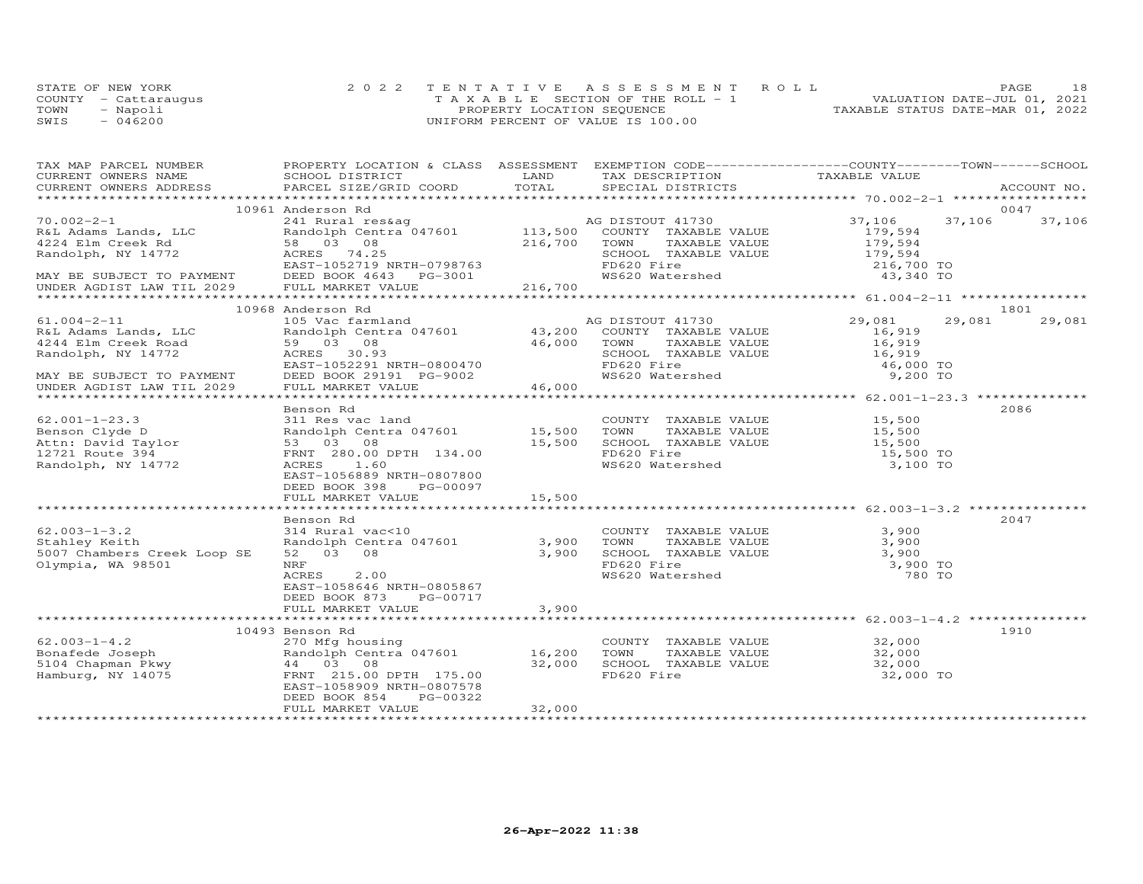|      | STATE OF NEW YORK    | 2022 TENTATIVE ASSESSMENT ROLL        | 18<br>PAGE                       |
|------|----------------------|---------------------------------------|----------------------------------|
|      | COUNTY - Cattaraugus | T A X A B L E SECTION OF THE ROLL - 1 | VALUATION DATE-JUL 01, 2021      |
| TOWN | - Napoli             | PROPERTY LOCATION SEQUENCE            | TAXABLE STATUS DATE-MAR 01, 2022 |
| SWIS | $-046200$            | UNIFORM PERCENT OF VALUE IS 100.00    |                                  |

| TAX MAP PARCEL NUMBER FROPERTY LOCATION & CLASS ASSESSMENT EXEMPTION CODE----------------COUNTY-------TOWN------SCHOOL                                                                                                             |                                                                                                                                                                                              |        |                                                                                                                                       |                      |                  |
|------------------------------------------------------------------------------------------------------------------------------------------------------------------------------------------------------------------------------------|----------------------------------------------------------------------------------------------------------------------------------------------------------------------------------------------|--------|---------------------------------------------------------------------------------------------------------------------------------------|----------------------|------------------|
|                                                                                                                                                                                                                                    | <b>LAND</b>                                                                                                                                                                                  |        |                                                                                                                                       |                      |                  |
|                                                                                                                                                                                                                                    |                                                                                                                                                                                              |        |                                                                                                                                       |                      |                  |
|                                                                                                                                                                                                                                    |                                                                                                                                                                                              |        |                                                                                                                                       |                      |                  |
|                                                                                                                                                                                                                                    |                                                                                                                                                                                              |        |                                                                                                                                       |                      | 0047             |
|                                                                                                                                                                                                                                    |                                                                                                                                                                                              |        |                                                                                                                                       | 37,106               | 37,106<br>37,106 |
|                                                                                                                                                                                                                                    |                                                                                                                                                                                              |        |                                                                                                                                       | 179,594              |                  |
|                                                                                                                                                                                                                                    |                                                                                                                                                                                              |        |                                                                                                                                       |                      |                  |
|                                                                                                                                                                                                                                    |                                                                                                                                                                                              |        |                                                                                                                                       |                      |                  |
|                                                                                                                                                                                                                                    |                                                                                                                                                                                              |        |                                                                                                                                       |                      |                  |
|                                                                                                                                                                                                                                    |                                                                                                                                                                                              |        |                                                                                                                                       |                      |                  |
| AND HORIZON CONTRAINS AND ACRES TO BE DESCRIPTION TO THE MANAGEMENT CONTRAINS AND TRANSFE VALUE<br>Randolph, NY 14772 ACRES 74.25<br>MAY BE SUBJECT TO PAYMENT DESCRIPTION DENSITIANT DESCRIPTION AND RESORT DESCRIPTION OF THE MA |                                                                                                                                                                                              |        |                                                                                                                                       |                      |                  |
|                                                                                                                                                                                                                                    |                                                                                                                                                                                              |        |                                                                                                                                       |                      |                  |
|                                                                                                                                                                                                                                    | 10968 Anderson Rd                                                                                                                                                                            |        |                                                                                                                                       |                      | 1801             |
| $61.004 - 2 - 11$                                                                                                                                                                                                                  | All and the star and the Mandolph Centra 047601<br>Randolph Centra 047601<br>59 03 08 46,000 TOWN<br>ACRES 30.93 SCHOOL                                                                      |        | AG DISTOUT 41730                                                                                                                      | 29,081               | 29,081<br>29,081 |
| R&L Adams Lands, LLC<br>4244 Elm Creek Road                                                                                                                                                                                        |                                                                                                                                                                                              |        | COUNTY TAXABLE VALUE                                                                                                                  | 16,919               |                  |
|                                                                                                                                                                                                                                    |                                                                                                                                                                                              |        | TOWN TAXABLE VALUE<br>SCHOOL TAXABLE VALUE                                                                                            | TAXABLE VALUE 16,919 |                  |
| Randolph, NY 14772                                                                                                                                                                                                                 |                                                                                                                                                                                              |        |                                                                                                                                       | 16,919               |                  |
|                                                                                                                                                                                                                                    | ACRES 30.93<br>EAST-1052291 NRTH-0800470<br>DEED BOOK 29191 PG-9002                                                                                                                          |        |                                                                                                                                       | 46,000 TO            |                  |
| MAY BE SUBJECT TO PAYMENT                                                                                                                                                                                                          |                                                                                                                                                                                              |        | WS620 Watershed                                                                                                                       | 9,200 TO             |                  |
| UNDER AGDIST LAW TIL 2029                                                                                                                                                                                                          | FULL MARKET VALUE                                                                                                                                                                            | 46,000 |                                                                                                                                       |                      |                  |
|                                                                                                                                                                                                                                    |                                                                                                                                                                                              |        |                                                                                                                                       |                      |                  |
|                                                                                                                                                                                                                                    | Benson Rd                                                                                                                                                                                    |        |                                                                                                                                       |                      | 2086             |
| $62.001 - 1 - 23.3$                                                                                                                                                                                                                | 311 Res vac land                                                                                                                                                                             |        | COUNTY TAXABLE VALUE 15,500                                                                                                           |                      |                  |
|                                                                                                                                                                                                                                    |                                                                                                                                                                                              |        |                                                                                                                                       |                      |                  |
|                                                                                                                                                                                                                                    | Sandolph Centra 047601 15,500 TOWN TAXABLE VALUE 15,500<br>53 03 08 15,500 SCHOOL TAXABLE VALUE 15,500<br>FRNT 280.00 DPTH 134.00 FOR MS620 Fire 134.00 15,500 15,500 FRNT 280.00 PTH 134.00 |        |                                                                                                                                       |                      |                  |
|                                                                                                                                                                                                                                    |                                                                                                                                                                                              |        | FD620 Fire<br>WS620 Watershed                                                                                                         | 15,500 TO            |                  |
| Randolph, NY 14772                                                                                                                                                                                                                 | ACRES 1.60                                                                                                                                                                                   |        |                                                                                                                                       | 3,100 TO             |                  |
|                                                                                                                                                                                                                                    | EAST-1056889 NRTH-0807800                                                                                                                                                                    |        |                                                                                                                                       |                      |                  |
|                                                                                                                                                                                                                                    | DEED BOOK 398 PG-00097                                                                                                                                                                       |        |                                                                                                                                       |                      |                  |
|                                                                                                                                                                                                                                    | FULL MARKET VALUE 15,500                                                                                                                                                                     |        |                                                                                                                                       |                      |                  |
|                                                                                                                                                                                                                                    |                                                                                                                                                                                              |        |                                                                                                                                       |                      |                  |
|                                                                                                                                                                                                                                    | Benson Rd                                                                                                                                                                                    |        |                                                                                                                                       |                      | 2047             |
| $62.003 - 1 - 3.2$                                                                                                                                                                                                                 | 314 Rural vac<10                                                                                                                                                                             |        |                                                                                                                                       |                      |                  |
| Stahley Keith                                                                                                                                                                                                                      | 314 Kurai vackie<br>Randolph Centra 047601 3,900<br>52 03 08 3,900<br>NRF                                                                                                                    |        |                                                                                                                                       |                      |                  |
| 5007 Chambers Creek Loop SE                                                                                                                                                                                                        |                                                                                                                                                                                              |        |                                                                                                                                       |                      |                  |
| Olympia, WA 98501                                                                                                                                                                                                                  | NRF                                                                                                                                                                                          |        |                                                                                                                                       |                      |                  |
|                                                                                                                                                                                                                                    | 2.00<br>ACRES                                                                                                                                                                                |        | COUNTY TAXABLE VALUE 3,900<br>TOWN TAXABLE VALUE 3,900<br>SCHOOL TAXABLE VALUE 3,900<br>FD620 Fire 3,900 TO<br>WS620 Watershed 780 TO |                      |                  |
|                                                                                                                                                                                                                                    | EAST-1058646 NRTH-0805867                                                                                                                                                                    |        |                                                                                                                                       |                      |                  |
|                                                                                                                                                                                                                                    | DEED BOOK 873<br>PG-00717                                                                                                                                                                    |        |                                                                                                                                       |                      |                  |
|                                                                                                                                                                                                                                    | FULL MARKET VALUE                                                                                                                                                                            | 3,900  |                                                                                                                                       |                      |                  |
|                                                                                                                                                                                                                                    |                                                                                                                                                                                              |        |                                                                                                                                       |                      |                  |
|                                                                                                                                                                                                                                    | 10493 Benson Rd                                                                                                                                                                              |        |                                                                                                                                       |                      | 1910             |
| $62.003 - 1 - 4.2$                                                                                                                                                                                                                 | 270 Mfg housing<br>Randolph Centra 047601 16,200<br>44 03 08 32,000                                                                                                                          |        | COUNTY TAXABLE VALUE 32,000<br>TOWN TAXABLE VALUE 32,000                                                                              |                      |                  |
|                                                                                                                                                                                                                                    |                                                                                                                                                                                              |        |                                                                                                                                       |                      |                  |
|                                                                                                                                                                                                                                    |                                                                                                                                                                                              | 32,000 | TOWN TAXABLE VALUE 32,000<br>SCHOOL TAXABLE VALUE 32,000                                                                              |                      |                  |
| Bonafede Joseph 270 Mfg hous:<br>5104 Chapman Pkwy 44 03 08<br>Hamburg, NY 14075 FRNT 215.00                                                                                                                                       | FRNT 215.00 DPTH 175.00                                                                                                                                                                      |        | FD620 Fire                                                                                                                            | 32,000 TO            |                  |
|                                                                                                                                                                                                                                    | EAST-1058909 NRTH-0807578                                                                                                                                                                    |        |                                                                                                                                       |                      |                  |
|                                                                                                                                                                                                                                    | DEED BOOK 854<br>PG-00322                                                                                                                                                                    |        |                                                                                                                                       |                      |                  |
|                                                                                                                                                                                                                                    | FULL MARKET VALUE                                                                                                                                                                            | 32,000 |                                                                                                                                       |                      |                  |
|                                                                                                                                                                                                                                    |                                                                                                                                                                                              |        |                                                                                                                                       |                      |                  |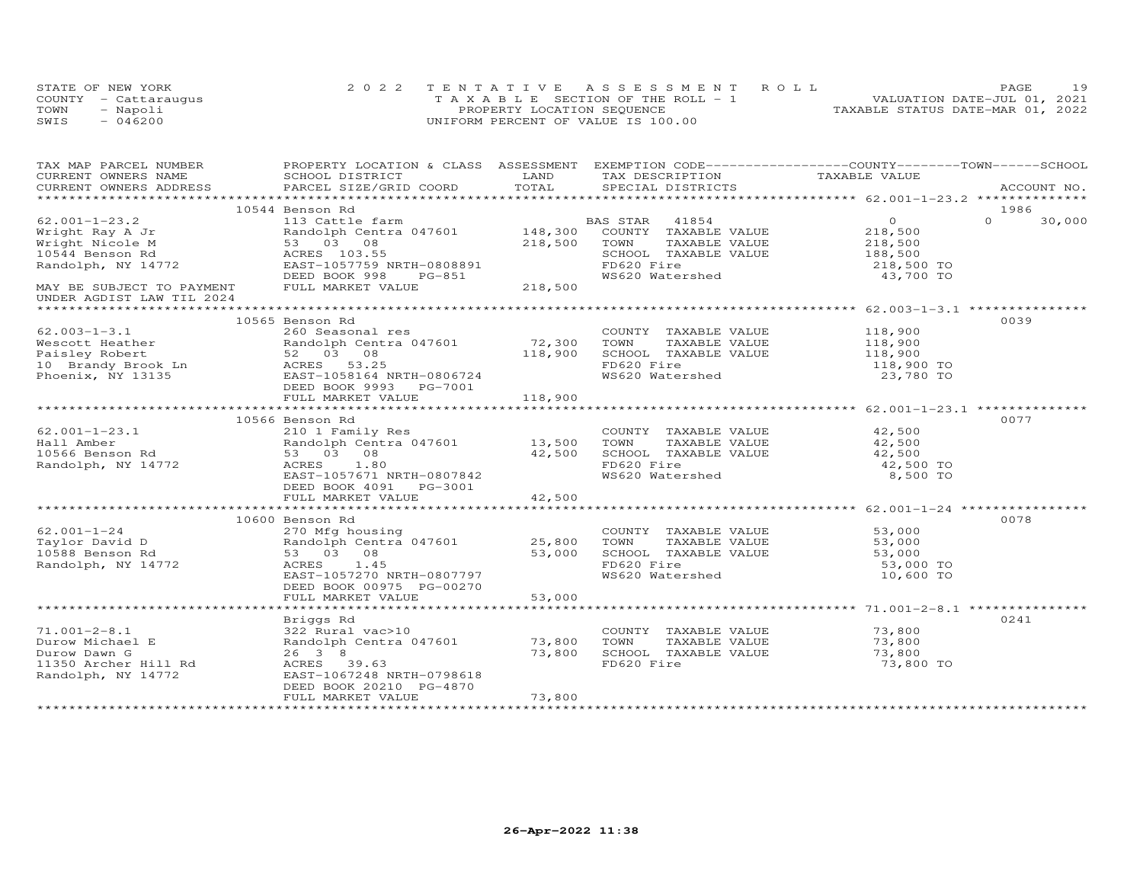|      | STATE OF NEW YORK    | 2022 TENTATIVE ASSESSMENT ROLL        | 19<br>PAGE                       |
|------|----------------------|---------------------------------------|----------------------------------|
|      | COUNTY - Cattaraugus | T A X A B L E SECTION OF THE ROLL - 1 | VALUATION DATE-JUL 01, 2021      |
| TOWN | - Napoli             | PROPERTY LOCATION SEQUENCE            | TAXABLE STATUS DATE-MAR 01, 2022 |
| SWIS | $-046200$            | UNIFORM PERCENT OF VALUE IS 100.00    |                                  |

| TAX MAP PARCEL NUMBER                                                                                                                                                                                                            | PROPERTY LOCATION & CLASS ASSESSMENT EXEMPTION CODE----------------COUNTY-------TOWN------SCHOOL                 |        |            |                                                                                                                                              |            |          |        |
|----------------------------------------------------------------------------------------------------------------------------------------------------------------------------------------------------------------------------------|------------------------------------------------------------------------------------------------------------------|--------|------------|----------------------------------------------------------------------------------------------------------------------------------------------|------------|----------|--------|
|                                                                                                                                                                                                                                  |                                                                                                                  |        |            |                                                                                                                                              |            |          |        |
|                                                                                                                                                                                                                                  |                                                                                                                  |        |            |                                                                                                                                              |            |          |        |
|                                                                                                                                                                                                                                  |                                                                                                                  |        |            |                                                                                                                                              |            |          |        |
|                                                                                                                                                                                                                                  | 10544 Benson Rd                                                                                                  |        |            |                                                                                                                                              |            | 1986     |        |
| $62.001 - 1 - 23.2$                                                                                                                                                                                                              |                                                                                                                  |        |            |                                                                                                                                              |            | $\Omega$ | 30,000 |
|                                                                                                                                                                                                                                  |                                                                                                                  |        |            |                                                                                                                                              |            |          |        |
|                                                                                                                                                                                                                                  |                                                                                                                  |        |            |                                                                                                                                              |            |          |        |
|                                                                                                                                                                                                                                  |                                                                                                                  |        |            |                                                                                                                                              |            |          |        |
|                                                                                                                                                                                                                                  |                                                                                                                  |        |            |                                                                                                                                              |            |          |        |
|                                                                                                                                                                                                                                  |                                                                                                                  |        |            | TOWN TAXABLE VALUE<br>SCHOOL TAXABLE VALUE<br>SCHOOL TAXABLE VALUE<br>TOWN TAXABLE VALUE<br>188,500<br>FD620 Fire<br>218,500 TO<br>43,700 TO |            |          |        |
|                                                                                                                                                                                                                                  |                                                                                                                  |        |            |                                                                                                                                              |            |          |        |
| UNDER AGDIST LAW TIL 2024                                                                                                                                                                                                        |                                                                                                                  |        |            |                                                                                                                                              |            |          |        |
|                                                                                                                                                                                                                                  |                                                                                                                  |        |            |                                                                                                                                              |            |          |        |
|                                                                                                                                                                                                                                  | 10565 Benson Rd                                                                                                  |        |            |                                                                                                                                              |            | 0039     |        |
| $62.003 - 1 - 3.1$                                                                                                                                                                                                               | 260 Seasonal res                                                                                                 |        |            | COUNTY TAXABLE VALUE 118,900<br>TOWN TAXABLE VALUE 118,900                                                                                   |            |          |        |
|                                                                                                                                                                                                                                  |                                                                                                                  |        |            | TAXABLE VALUE                                                                                                                                |            |          |        |
|                                                                                                                                                                                                                                  |                                                                                                                  |        |            | SCHOOL TAXABLE VALUE 118,900                                                                                                                 |            |          |        |
|                                                                                                                                                                                                                                  |                                                                                                                  |        | FD620 Fire |                                                                                                                                              | 118,900 TO |          |        |
| 02.003-1-3.1<br>Wescott Heather Randolph Centra 047601 72,300<br>Paisley Robert 52 03 08 118,900<br>10 Brandy Brook Ln 5CRES 53.25<br>Phoenix, NY 13135 EAST-1058164 NRTH-0806724<br>DEED BOOK 9993 PG-7001                      |                                                                                                                  |        |            | FD620 Fire 118,900 TO<br>WS620 Watershed 23,780 TO                                                                                           |            |          |        |
|                                                                                                                                                                                                                                  |                                                                                                                  |        |            |                                                                                                                                              |            |          |        |
|                                                                                                                                                                                                                                  |                                                                                                                  |        |            |                                                                                                                                              |            |          |        |
|                                                                                                                                                                                                                                  |                                                                                                                  |        |            |                                                                                                                                              |            |          |        |
|                                                                                                                                                                                                                                  | 10566 Benson Rd                                                                                                  |        |            |                                                                                                                                              |            | 0077     |        |
| $62.001 - 1 - 23.1$                                                                                                                                                                                                              | 210 1 Family Res                                                                                                 |        |            | COUNTY TAXABLE VALUE 42,500                                                                                                                  |            |          |        |
|                                                                                                                                                                                                                                  |                                                                                                                  |        | TOWN       |                                                                                                                                              |            |          |        |
| Hall Amber<br>10566 Benson Rd 10566 Benson Rd 10566 Benson Rd 10566 Benson Rd 10566 Benson Rd 10566 Benson Rd 10566 Benson Rd 10586 Benson Rd 10586 Benson Rd 10586 Benson Rd 10586 Benson Rd 10586 Benson Rd 10586 Benson Rd 10 |                                                                                                                  |        |            | TAXABLE VALUE<br>TAXABLE VALUE 42,500<br>TAXABLE VALUE 42,500                                                                                |            |          |        |
|                                                                                                                                                                                                                                  |                                                                                                                  |        | FD620 Fire | SCHOOL TAXABLE VALUE<br>FD620 Fire                                                                                                           | 42,500 TO  |          |        |
|                                                                                                                                                                                                                                  | EAST-1057671 NRTH-0807842                                                                                        |        |            | FD620 Fire<br>WS620 Watershed                                                                                                                | 8,500 TO   |          |        |
|                                                                                                                                                                                                                                  | DEED BOOK 4091 PG-3001                                                                                           |        |            |                                                                                                                                              |            |          |        |
|                                                                                                                                                                                                                                  | FULL MARKET VALUE                                                                                                | 42,500 |            |                                                                                                                                              |            |          |        |
|                                                                                                                                                                                                                                  |                                                                                                                  |        |            |                                                                                                                                              |            |          |        |
|                                                                                                                                                                                                                                  | 10600 Benson Rd                                                                                                  |        |            |                                                                                                                                              |            | 0078     |        |
|                                                                                                                                                                                                                                  |                                                                                                                  |        |            |                                                                                                                                              |            |          |        |
| $62.001 - 1 - 24$                                                                                                                                                                                                                |                                                                                                                  |        |            |                                                                                                                                              |            |          |        |
| V2.001-1-24 270 Mfg housi<br>Taylor David D Randolph Cent<br>10588 Benson Rd 53 03 08                                                                                                                                            |                                                                                                                  |        |            | COUNTY TAXABLE VALUE 53,000<br>TOWN TAXABLE VALUE 53,000<br>SCHOOL TAXABLE VALUE 53,000                                                      |            |          |        |
|                                                                                                                                                                                                                                  | COUNTY<br>270 Mfg housing<br>Randolph Centra 047601 25,800 TOWN<br>53 03 08 53,000 SCHOOL<br>ACRES 1.45 FD620 F: |        |            |                                                                                                                                              |            |          |        |
| Randolph, NY 14772                                                                                                                                                                                                               | ACRES 1.45                                                                                                       |        | FD620 Fire |                                                                                                                                              | 53,000 TO  |          |        |
|                                                                                                                                                                                                                                  | EAST-1057270 NRTH-0807797                                                                                        |        |            | WS620 Watershed                                                                                                                              | 10,600 TO  |          |        |
|                                                                                                                                                                                                                                  | DEED BOOK 00975 PG-00270                                                                                         |        |            |                                                                                                                                              |            |          |        |
|                                                                                                                                                                                                                                  | $\frac{1}{2}$<br>FULL MARKET VALUE                                                                               | 53,000 |            |                                                                                                                                              |            |          |        |
|                                                                                                                                                                                                                                  |                                                                                                                  |        |            |                                                                                                                                              |            |          |        |
|                                                                                                                                                                                                                                  |                                                                                                                  |        |            |                                                                                                                                              |            | 0241     |        |
|                                                                                                                                                                                                                                  |                                                                                                                  |        |            | COUNTY TAXABLE VALUE 73,800<br>TOWN TAXABLE VALUE 73,800                                                                                     |            |          |        |
|                                                                                                                                                                                                                                  |                                                                                                                  |        |            |                                                                                                                                              |            |          |        |
|                                                                                                                                                                                                                                  |                                                                                                                  |        |            | SCHOOL TAXABLE VALUE                                                                                                                         | 73,800     |          |        |
| Durow Michael E<br>Durow Michael E<br>Durow Dawn G<br>11350 Archer Hill Rd<br>Randolph, NY 14772<br>26 38<br>26 39.63<br>26 39.63<br>27,800<br>26 39.63                                                                          |                                                                                                                  |        | FD620 Fire |                                                                                                                                              | 73,800 TO  |          |        |
|                                                                                                                                                                                                                                  |                                                                                                                  |        |            |                                                                                                                                              |            |          |        |
|                                                                                                                                                                                                                                  | DEED BOOK 20210 PG-4870                                                                                          |        |            |                                                                                                                                              |            |          |        |
|                                                                                                                                                                                                                                  | FULL MARKET VALUE                                                                                                | 73,800 |            |                                                                                                                                              |            |          |        |
|                                                                                                                                                                                                                                  |                                                                                                                  |        |            |                                                                                                                                              |            |          |        |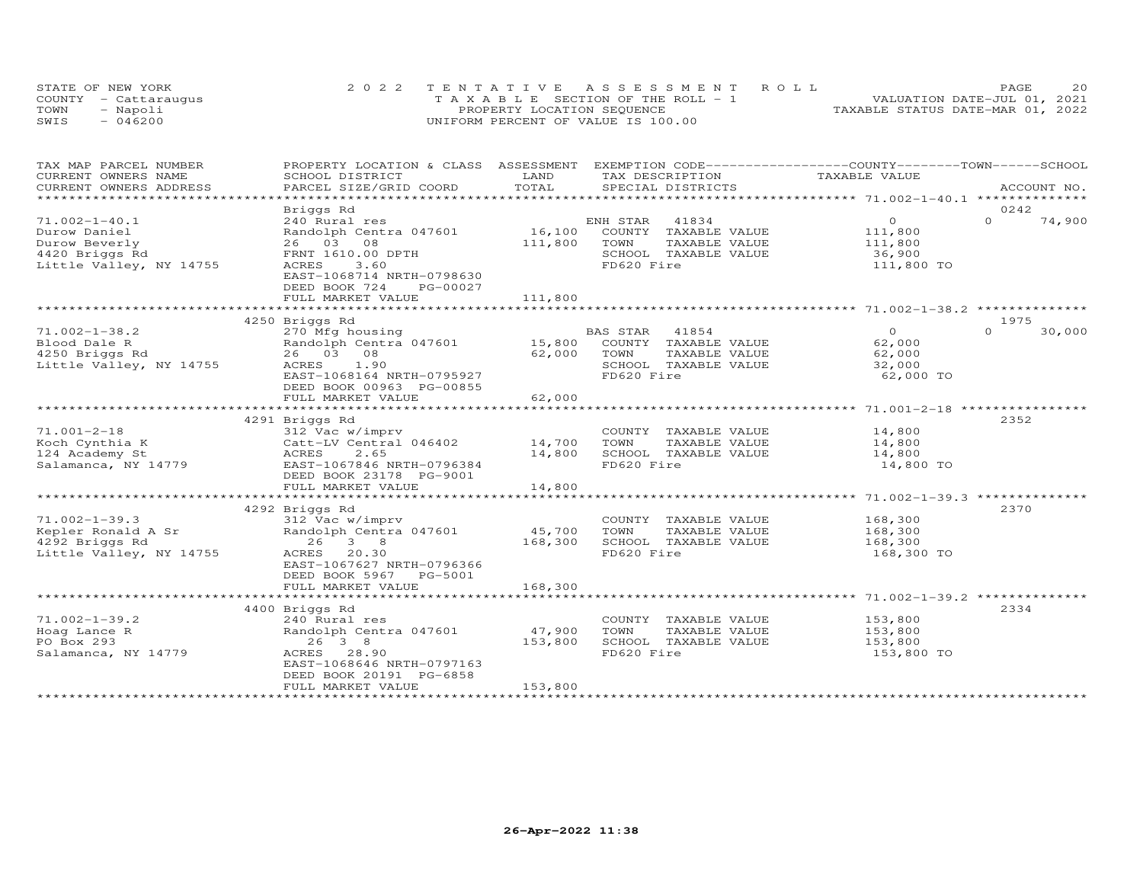|      | STATE OF NEW YORK    | 2022 TENTATIVE ASSESSMENT ROLL        | 20<br>PAGE                       |
|------|----------------------|---------------------------------------|----------------------------------|
|      | COUNTY - Cattaraugus | T A X A B L E SECTION OF THE ROLL - 1 | VALUATION DATE-JUL 01, 2021      |
| TOWN | - Napoli             | PROPERTY LOCATION SEQUENCE            | TAXABLE STATUS DATE-MAR 01, 2022 |
| SWIS | $-046200$            | UNIFORM PERCENT OF VALUE IS 100.00    |                                  |

| TAX MAP PARCEL NUMBER      | PROPERTY LOCATION & CLASS ASSESSMENT EXEMPTION CODE----------------COUNTY-------TOWN------SCHOOL |         |                       |                |                    |
|----------------------------|--------------------------------------------------------------------------------------------------|---------|-----------------------|----------------|--------------------|
| CURRENT OWNERS NAME        | SCHOOL DISTRICT                                                                                  | LAND    | TAX DESCRIPTION       | TAXABLE VALUE  |                    |
| CURRENT OWNERS ADDRESS     | PARCEL SIZE/GRID COORD                                                                           | TOTAL   | SPECIAL DISTRICTS     |                | ACCOUNT NO.        |
|                            |                                                                                                  |         |                       |                |                    |
|                            | Briggs Rd                                                                                        |         |                       |                | 0242               |
| $71.002 - 1 - 40.1$        | 240 Rural res                                                                                    |         | ENH STAR<br>41834     | $\overline{0}$ | $\Omega$<br>74,900 |
| Durow Daniel               | Randolph Centra 047601                                                                           | 16,100  | COUNTY TAXABLE VALUE  | 111,800        |                    |
| Durow Beverly              | 26 03 08                                                                                         | 111,800 | TOWN<br>TAXABLE VALUE | 111,800        |                    |
| 4420 Briggs Rd             | FRNT 1610.00 DPTH                                                                                |         | SCHOOL TAXABLE VALUE  | 36,900         |                    |
| Little Valley, NY 14755    | 3.60<br>ACRES                                                                                    |         | FD620 Fire            | 111,800 TO     |                    |
|                            | EAST-1068714 NRTH-0798630                                                                        |         |                       |                |                    |
|                            | DEED BOOK 724<br>PG-00027                                                                        |         |                       |                |                    |
|                            | FULL MARKET VALUE                                                                                | 111,800 |                       |                |                    |
|                            |                                                                                                  |         |                       |                |                    |
|                            | 4250 Briggs Rd                                                                                   |         |                       |                | 1975               |
| $71.002 - 1 - 38.2$        | 270 Mfg housing                                                                                  |         | BAS STAR 41854        | $\Omega$       | $\cap$<br>30,000   |
| Blood Dale R               | Randolph Centra 047601 15,800                                                                    |         | COUNTY TAXABLE VALUE  | 62,000         |                    |
| 4250 Briggs Rd             | 26 03 08                                                                                         | 62,000  | TAXABLE VALUE<br>TOWN | 62,000         |                    |
| Little Valley, NY 14755    | ACRES 1.90                                                                                       |         | SCHOOL TAXABLE VALUE  | 32,000         |                    |
|                            | EAST-1068164 NRTH-0795927                                                                        |         | FD620 Fire            | 62,000 TO      |                    |
|                            | DEED BOOK 00963 PG-00855                                                                         |         |                       |                |                    |
|                            | FULL MARKET VALUE                                                                                | 62,000  |                       |                |                    |
|                            |                                                                                                  |         |                       |                |                    |
|                            | 4291 Briggs Rd                                                                                   |         |                       |                | 2352               |
| $71.001 - 2 - 18$          | 312 Vac w/imprv                                                                                  |         | COUNTY TAXABLE VALUE  | 14,800         |                    |
| Koch Cynthia K             | Catt-LV Central 046402                                                                           | 14,700  | TOWN<br>TAXABLE VALUE | 14,800         |                    |
| 124 Academy St             | ACRES<br>2.65                                                                                    | 14,800  | SCHOOL TAXABLE VALUE  | 14,800         |                    |
| Salamanca, NY 14779        | EAST-1067846 NRTH-0796384                                                                        |         | FD620 Fire            | 14,800 TO      |                    |
|                            | DEED BOOK 23178 PG-9001                                                                          |         |                       |                |                    |
|                            | FULL MARKET VALUE                                                                                | 14,800  |                       |                |                    |
|                            |                                                                                                  |         |                       |                |                    |
|                            | 4292 Briggs Rd                                                                                   |         |                       |                | 2370               |
| $71.002 - 1 - 39.3$        | 312 Vac w/imprv                                                                                  |         | COUNTY TAXABLE VALUE  | 168,300        |                    |
| Kepler Ronald A Sr         | Randolph Centra 047601                                                                           | 45,700  | TOWN<br>TAXABLE VALUE | 168,300        |                    |
| 4292 Briggs Rd             | 26 3 8                                                                                           | 168,300 | SCHOOL TAXABLE VALUE  | 168,300        |                    |
| Little Valley, NY 14755    | ACRES<br>20.30                                                                                   |         | FD620 Fire            | 168,300 TO     |                    |
|                            | EAST-1067627 NRTH-0796366                                                                        |         |                       |                |                    |
|                            | DEED BOOK 5967 PG-5001<br>FULL MARKET VALUE                                                      | 168,300 |                       |                |                    |
|                            |                                                                                                  |         |                       |                |                    |
|                            |                                                                                                  |         |                       |                | 2334               |
| $71.002 - 1 - 39.2$        | 4400 Briggs Rd<br>240 Rural res                                                                  |         | COUNTY TAXABLE VALUE  | 153,800        |                    |
|                            |                                                                                                  | 47,900  | TAXABLE VALUE<br>TOWN |                |                    |
| Hoag Lance R<br>PO Box 293 | Randolph Centra 047601<br>26 3 8                                                                 |         | SCHOOL TAXABLE VALUE  | 153,800        |                    |
|                            | ACRES 28.90                                                                                      | 153,800 | FD620 Fire            | 153,800        |                    |
| Salamanca, NY 14779        | EAST-1068646 NRTH-0797163                                                                        |         |                       | 153,800 TO     |                    |
|                            | DEED BOOK 20191 PG-6858                                                                          |         |                       |                |                    |
|                            | FULL MARKET VALUE                                                                                | 153,800 |                       |                |                    |
|                            |                                                                                                  |         |                       |                |                    |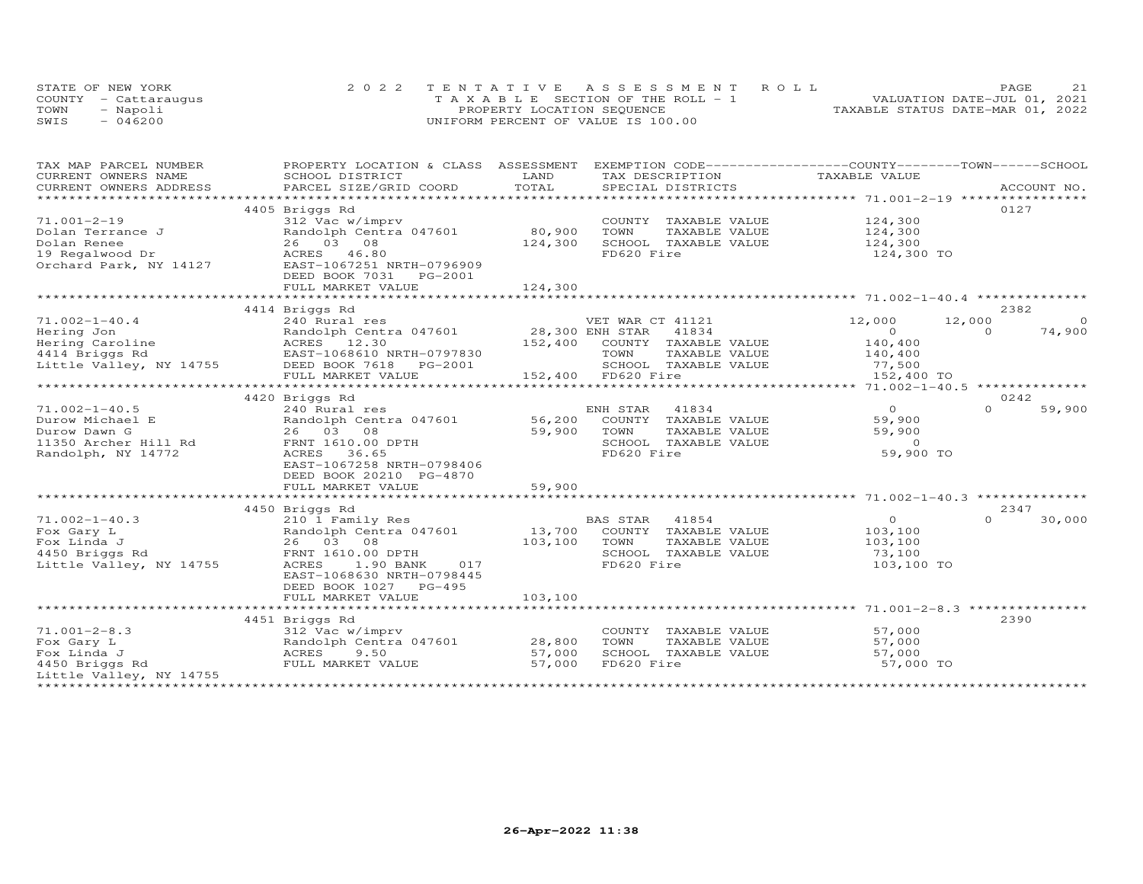|      | STATE OF NEW YORK    | 2022 TENTATIVE ASSESSMENT ROLL        | 21<br>PAGE                       |
|------|----------------------|---------------------------------------|----------------------------------|
|      | COUNTY - Cattaraugus | T A X A B L E SECTION OF THE ROLL - 1 | VALUATION DATE-JUL 01, 2021      |
| TOWN | - Napoli             | PROPERTY LOCATION SEQUENCE            | TAXABLE STATUS DATE-MAR 01, 2022 |
| SWIS | $-046200$            | UNIFORM PERCENT OF VALUE IS 100.00    |                                  |

| TAX MAP PARCEL NUMBER                                                                                | PROPERTY LOCATION & CLASS ASSESSMENT                                                                                                                                                                                                                                                                                                                                                                                                                                                             |                            | EXEMPTION CODE-----------------COUNTY-------TOWN------SCHOOL                                                                     |                                                                        |                                         |
|------------------------------------------------------------------------------------------------------|--------------------------------------------------------------------------------------------------------------------------------------------------------------------------------------------------------------------------------------------------------------------------------------------------------------------------------------------------------------------------------------------------------------------------------------------------------------------------------------------------|----------------------------|----------------------------------------------------------------------------------------------------------------------------------|------------------------------------------------------------------------|-----------------------------------------|
| CURRENT OWNERS NAME                                                                                  | SCHOOL DISTRICT<br>$\begin{minipage}{.5cm} \begin{minipage}{.4cm} \begin{minipage}{.4cm} \begin{minipage}{.4cm} \begin{minipage}{.4cm} \begin{minipage}{.4cm} \begin{minipage}{.4cm} \begin{minipage}{.4cm} \begin{minipage}{.4cm} \begin{minipage}{.4cm} \begin{minipage}{.4cm} \begin{minipage}{.4cm} \begin{minipage}{.4cm} \begin{minipage}{.4cm} \begin{minipage}{.4cm} \begin{minipage}{.4cm} \begin{minipage}{.4cm} \begin{minipage}{.4cm} \begin{minipage}{.4cm} \begin{minipage}{.4cm}$ | LAND                       | TAX DESCRIPTION                                                                                                                  | TAXABLE VALUE                                                          |                                         |
|                                                                                                      |                                                                                                                                                                                                                                                                                                                                                                                                                                                                                                  |                            |                                                                                                                                  |                                                                        |                                         |
| $71.001 - 2 - 19$<br>Dolan Terrance J                                                                | 4405 Briggs Rd<br>312 Vac w/imprv<br>Randolph Centra 047601                                                                                                                                                                                                                                                                                                                                                                                                                                      | 80,900                     | COUNTY TAXABLE VALUE<br>TOWN<br>TAXABLE VALUE                                                                                    | 124,300<br>124,300                                                     | 0127                                    |
| Dolan Renee<br>19 Regalwood Dr<br>Orchard Park, NY 14127                                             | 26 03 08<br>46.80<br>ACRES<br>EAST-1067251 NRTH-0796909<br>DEED BOOK 7031<br>PG-2001                                                                                                                                                                                                                                                                                                                                                                                                             | 124,300                    | SCHOOL TAXABLE VALUE<br>FD620 Fire                                                                                               | 124,300<br>124,300 TO                                                  |                                         |
|                                                                                                      | FULL MARKET VALUE                                                                                                                                                                                                                                                                                                                                                                                                                                                                                | 124,300                    |                                                                                                                                  |                                                                        |                                         |
|                                                                                                      | 4414 Briggs Rd                                                                                                                                                                                                                                                                                                                                                                                                                                                                                   |                            |                                                                                                                                  |                                                                        | 2382                                    |
| $71.002 - 1 - 40.4$<br>Hering Jon<br>Hering Caroline<br>4414 Briggs Rd<br>Little Valley, NY 14755    | 240 Rural res<br>Randolph Centra 047601 28,300 ENH STAR<br>ACRES 12.30<br>EAST-1068610 NRTH-0797830<br>DEED BOOK 7618    PG-2001<br>FULL MARKET VALUE                                                                                                                                                                                                                                                                                                                                            |                            | VET WAR CT 41121<br>41834<br>152,400 COUNTY TAXABLE VALUE<br>TOWN<br>TAXABLE VALUE<br>SCHOOL TAXABLE VALUE<br>152,400 FD620 Fire | 12,000<br>$\overline{O}$<br>140,400<br>140,400<br>77,500<br>152,400 TO | 12,000<br>$\circ$<br>74,900<br>$\Omega$ |
|                                                                                                      |                                                                                                                                                                                                                                                                                                                                                                                                                                                                                                  |                            |                                                                                                                                  |                                                                        |                                         |
| $71.002 - 1 - 40.5$<br>Durow Michael E<br>Durow Dawn G<br>11350 Archer Hill Rd<br>Randolph, NY 14772 | 4420 Briggs Rd<br>240 Rural res<br>Randolph Centra 047601<br>26 03 08<br>FRNT 1610.00 DPTH<br>ACRES<br>36.65<br>EAST-1067258 NRTH-0798406<br>DEED BOOK 20210 PG-4870<br>FULL MARKET VALUE                                                                                                                                                                                                                                                                                                        | 56,200<br>59,900<br>59,900 | 41834<br>ENH STAR<br>COUNTY TAXABLE VALUE<br>TOWN<br>TAXABLE VALUE<br>SCHOOL TAXABLE VALUE<br>FD620 Fire                         | $\overline{0}$<br>59,900<br>59,900<br>$\overline{0}$<br>59,900 TO      | 0242<br>59,900<br>$\Omega$              |
|                                                                                                      |                                                                                                                                                                                                                                                                                                                                                                                                                                                                                                  |                            |                                                                                                                                  |                                                                        |                                         |
| $71.002 - 1 - 40.3$<br>Fox Gary L<br>Fox Linda J<br>4450 Briggs Rd<br>Little Valley, NY 14755        | 4450 Briggs Rd<br>210 1 Family Res<br>Randolph Centra 047601<br>26 03 08<br>FRNT 1610.00 DPTH<br>ACRES<br>1.90 BANK<br>017<br>EAST-1068630 NRTH-0798445<br>DEED BOOK 1027 PG-495                                                                                                                                                                                                                                                                                                                 | 13,700<br>103,100          | BAS STAR<br>41854<br>COUNTY TAXABLE VALUE<br>TOWN<br>TAXABLE VALUE<br>SCHOOL TAXABLE VALUE<br>FD620 Fire                         | $\overline{O}$<br>103,100<br>103,100<br>73,100<br>103,100 TO           | 2347<br>$\Omega$<br>30,000              |
|                                                                                                      | FULL MARKET VALUE                                                                                                                                                                                                                                                                                                                                                                                                                                                                                | 103,100                    |                                                                                                                                  |                                                                        |                                         |
|                                                                                                      |                                                                                                                                                                                                                                                                                                                                                                                                                                                                                                  |                            |                                                                                                                                  |                                                                        |                                         |
| $71.001 - 2 - 8.3$<br>Fox Gary L<br>Fox Linda J<br>4450 Briggs Rd<br>Little Valley, NY 14755         | 4451 Briggs Rd<br>312 Vac w/imprv<br>Randolph Centra 047601<br>ACRES<br>9.50<br>FULL MARKET VALUE                                                                                                                                                                                                                                                                                                                                                                                                | 28,800<br>57,000<br>57,000 | COUNTY TAXABLE VALUE<br>TOWN<br>TAXABLE VALUE<br>SCHOOL TAXABLE VALUE<br>FD620 Fire                                              | 57,000<br>57,000<br>57,000<br>57,000 TO                                | 2390                                    |
|                                                                                                      |                                                                                                                                                                                                                                                                                                                                                                                                                                                                                                  |                            |                                                                                                                                  |                                                                        |                                         |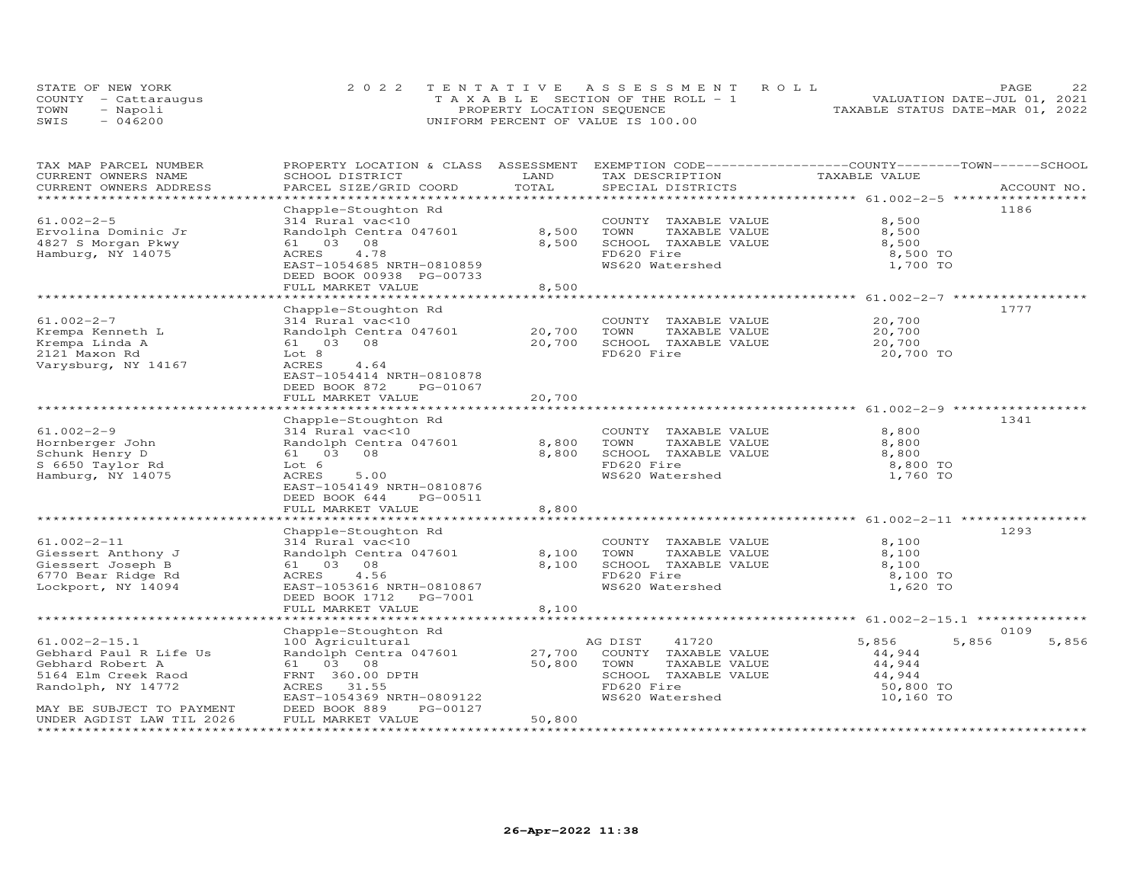|      | STATE OF NEW YORK    | 2022 TENTATIVE ASSESSMENT ROLL     | PAGF                             |
|------|----------------------|------------------------------------|----------------------------------|
|      | COUNTY - Cattaraugus | TAXABLE SECTION OF THE ROLL - 1    | VALUATION DATE-JUL 01, 2021      |
| TOWN | - Napoli             | PROPERTY LOCATION SEQUENCE         | TAXABLE STATUS DATE-MAR 01, 2022 |
| SWIS | $-046200$            | UNIFORM PERCENT OF VALUE IS 100.00 |                                  |

| TAX MAP PARCEL NUMBER<br>CURRENT OWNERS NAME<br>CURRENT OWNERS ADDRESS                                                                      | PROPERTY LOCATION & CLASS ASSESSMENT<br>SCHOOL DISTRICT<br>PARCEL SIZE/GRID COORD                                                                                                       | LAND<br>TOTAL              | EXEMPTION CODE------------------COUNTY-------TOWN------SCHOOL<br>TAX DESCRIPTION<br>SPECIAL DISTRICTS                      | TAXABLE VALUE                                                          | ACCOUNT NO.   |
|---------------------------------------------------------------------------------------------------------------------------------------------|-----------------------------------------------------------------------------------------------------------------------------------------------------------------------------------------|----------------------------|----------------------------------------------------------------------------------------------------------------------------|------------------------------------------------------------------------|---------------|
| ******************************                                                                                                              |                                                                                                                                                                                         |                            |                                                                                                                            |                                                                        |               |
| $61.002 - 2 - 5$<br>Ervolina Dominic Jr<br>4827 S Morgan Pkwy<br>Hamburg, NY 14075                                                          | Chapple-Stoughton Rd<br>314 Rural vac<10<br>Randolph Centra 047601<br>61 03 08<br>ACRES<br>4.78<br>EAST-1054685 NRTH-0810859<br>DEED BOOK 00938 PG-00733<br>FULL MARKET VALUE           | 8,500<br>8,500<br>8,500    | COUNTY TAXABLE VALUE<br>TAXABLE VALUE<br>TOWN<br>SCHOOL TAXABLE VALUE<br>FD620 Fire<br>WS620 Watershed                     | 8,500<br>8,500<br>8,500<br>8,500 TO<br>1,700 TO                        | 1186          |
|                                                                                                                                             |                                                                                                                                                                                         |                            |                                                                                                                            |                                                                        |               |
| $61.002 - 2 - 7$<br>Krempa Kenneth L<br>Krempa Linda A<br>2121 Maxon Rd<br>Varysburg, NY 14167                                              | Chapple-Stoughton Rd<br>314 Rural vac<10<br>Randolph Centra 047601<br>61 03 08<br>Lot 8<br>ACRES<br>4.64<br>EAST-1054414 NRTH-0810878<br>DEED BOOK 872<br>PG-01067<br>FULL MARKET VALUE | 20,700<br>20,700<br>20,700 | COUNTY TAXABLE VALUE<br>TOWN<br>TAXABLE VALUE<br>SCHOOL TAXABLE VALUE<br>FD620 Fire                                        | 20,700<br>20,700<br>20,700<br>20,700 TO                                | 1777          |
|                                                                                                                                             |                                                                                                                                                                                         |                            |                                                                                                                            |                                                                        |               |
| $61.002 - 2 - 9$<br>Hornberger John<br>Schunk Henry D<br>S 6650 Taylor Rd<br>Hamburg, NY 14075                                              | Chapple-Stoughton Rd<br>314 Rural vac<10<br>Randolph Centra 047601<br>61  03  08<br>Lot 6<br>ACRES<br>5.00<br>EAST-1054149 NRTH-0810876<br>DEED BOOK 644<br>PG-00511                    | 8,800<br>8,800             | COUNTY TAXABLE VALUE<br>TAXABLE VALUE<br>TOWN<br>SCHOOL TAXABLE VALUE<br>FD620 Fire<br>WS620 Watershed                     | 8,800<br>8,800<br>8,800<br>8,800 TO<br>1,760 TO                        | 1341          |
|                                                                                                                                             | FULL MARKET VALUE                                                                                                                                                                       | 8,800                      |                                                                                                                            |                                                                        |               |
| $61.002 - 2 - 11$<br>Giessert Anthony J<br>Giessert Joseph B<br>6770 Bear Ridge Rd<br>Lockport, NY 14094                                    | Chapple-Stoughton Rd<br>314 Rural vac<10<br>Randolph Centra 047601<br>61 03 08<br>4.56<br>ACRES<br>EAST-1053616 NRTH-0810867<br>DEED BOOK 1712    PG-7001<br>FULL MARKET VALUE          | 8,100<br>8,100<br>8,100    | COUNTY TAXABLE VALUE<br>TOWN<br>TAXABLE VALUE<br>SCHOOL TAXABLE VALUE<br>FD620 Fire<br>WS620 Watershed                     | 8,100<br>8,100<br>8,100<br>8,100 TO<br>1,620 TO                        | 1293          |
|                                                                                                                                             | *******************************                                                                                                                                                         |                            |                                                                                                                            | ******************************* 61.002-2-15.1 ********                 |               |
| $61.002 - 2 - 15.1$<br>Gebhard Paul R Life Us<br>Gebhard Robert A<br>5164 Elm Creek Raod<br>Randolph, NY 14772<br>MAY BE SUBJECT TO PAYMENT | Chapple-Stoughton Rd<br>100 Agricultural<br>Randolph Centra 047601<br>61 03 08<br>FRNT 360.00 DPTH<br>ACRES 31.55<br>EAST-1054369 NRTH-0809122<br>DEED BOOK 889<br>PG-00127             | 27,700<br>50,800           | 41720<br>AG DIST<br>COUNTY TAXABLE VALUE<br>TOWN<br>TAXABLE VALUE<br>SCHOOL TAXABLE VALUE<br>FD620 Fire<br>WS620 Watershed | 5,856<br>5,856<br>44,944<br>44,944<br>44,944<br>50,800 TO<br>10,160 TO | 0109<br>5,856 |
| UNDER AGDIST LAW TIL 2026                                                                                                                   | FULL MARKET VALUE                                                                                                                                                                       | 50,800                     |                                                                                                                            |                                                                        |               |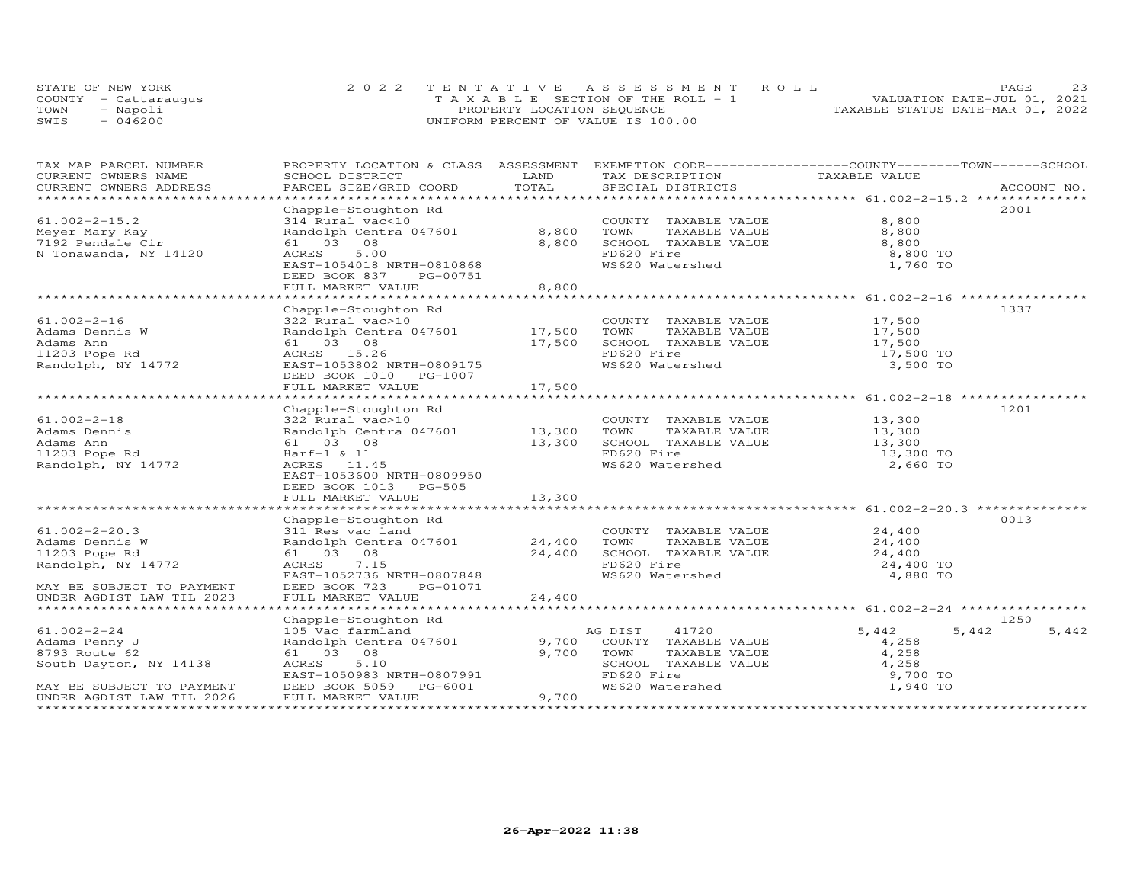|      | STATE OF NEW YORK    | 2022 TENTATIVE ASSESSMENT ROLL        | PAGE.                            | 23 |
|------|----------------------|---------------------------------------|----------------------------------|----|
|      | COUNTY - Cattaraugus | T A X A B L E SECTION OF THE ROLL - 1 | VALUATION DATE-JUL 01, 2021      |    |
| TOWN | - Napoli             | PROPERTY LOCATION SEQUENCE            | TAXABLE STATUS DATE-MAR 01, 2022 |    |
| SWIS | $-046200$            | UNIFORM PERCENT OF VALUE IS 100.00    |                                  |    |

| TAX MAP PARCEL NUMBER     | PROPERTY LOCATION & CLASS ASSESSMENT EXEMPTION CODE----------------COUNTY-------TOWN-----SCHOOL |        |                                                                          |                  |                |
|---------------------------|-------------------------------------------------------------------------------------------------|--------|--------------------------------------------------------------------------|------------------|----------------|
| CURRENT OWNERS NAME       | SCHOOL DISTRICT                                                                                 | LAND   | TAX DESCRIPTION                                                          | TAXABLE VALUE    |                |
|                           |                                                                                                 |        |                                                                          |                  |                |
|                           |                                                                                                 |        |                                                                          |                  |                |
|                           | Chapple-Stoughton Rd                                                                            |        |                                                                          |                  | 2001           |
| $61.002 - 2 - 15.2$       | 314 Rural vac<10                                                                                |        | COUNTY TAXABLE VALUE<br>TOWN     TAXABLE VALUE<br>SCHOOL   TAXABLE VALUE | 8,800            |                |
| Meyer Mary Kay            | 314 Rural vac<10<br>Randolph Centra 047601 8,800                                                |        |                                                                          | 8,800            |                |
| 7192 Pendale Cir          | 61 03 08                                                                                        | 8,800  |                                                                          | 8,800            |                |
| N Tonawanda, NY 14120     | 5.00<br>ACRES                                                                                   |        | FD620 Fire                                                               | 8,800 TO         |                |
|                           | EAST-1054018 NRTH-0810868                                                                       |        | WS620 Watershed                                                          | 1,760 TO         |                |
|                           | DEED BOOK 837<br>PG-00751                                                                       |        |                                                                          |                  |                |
|                           | FULL MARKET VALUE                                                                               | 8,800  |                                                                          |                  |                |
|                           |                                                                                                 |        |                                                                          |                  |                |
|                           | Chapple-Stoughton Rd                                                                            |        |                                                                          |                  | 1337           |
| $61.002 - 2 - 16$         | 322 Rural vac>10                                                                                |        | COUNTY TAXABLE VALUE                                                     | 17,500           |                |
| Adams Dennis W            | Randolph Centra 047601 17,500                                                                   |        | TAXABLE VALUE<br>TOWN                                                    | 17,500           |                |
| Adams Ann                 | 61  03  08                                                                                      | 17,500 | SCHOOL TAXABLE VALUE<br>Incol Fire                                       | 17,500           |                |
| 11203 Pope Rd             | ACRES 15.26                                                                                     |        | FD620 Fire                                                               | 17,500 TO        |                |
| Randolph, NY 14772        | EAST-1053802 NRTH-0809175                                                                       |        | WS620 Watershed                                                          | 3,500 TO         |                |
|                           | DEED BOOK 1010 PG-1007                                                                          |        |                                                                          |                  |                |
|                           | FULL MARKET VALUE                                                                               | 17,500 |                                                                          |                  |                |
|                           |                                                                                                 |        |                                                                          |                  |                |
|                           | Chapple-Stoughton Rd                                                                            |        |                                                                          |                  | 1201           |
| $61.002 - 2 - 18$         | 322 Rural vac>10                                                                                |        | COUNTY TAXABLE VALUE                                                     |                  |                |
| Adams Dennis              | Randolph Centra 047601 13,300                                                                   |        | TOWN<br>TAXABLE VALUE                                                    | 13,300<br>13,300 |                |
| Adams Ann                 | 61 03 08                                                                                        | 13,300 | SCHOOL TAXABLE VALUE                                                     | 13,300           |                |
| 11203 Pope Rd             | $Harf-1$ & 11                                                                                   |        | FD620 Fire                                                               | 13,300 TO        |                |
| Randolph, NY 14772        | ACRES 11.45                                                                                     |        | FD620 Fire<br>WS620 Watershed                                            | 2,660 TO         |                |
|                           | EAST-1053600 NRTH-0809950                                                                       |        |                                                                          |                  |                |
|                           | DEED BOOK 1013 PG-505                                                                           |        |                                                                          |                  |                |
|                           | FULL MARKET VALUE                                                                               | 13,300 |                                                                          |                  |                |
|                           |                                                                                                 |        |                                                                          |                  |                |
|                           | Chapple-Stoughton Rd                                                                            |        |                                                                          |                  | 0013           |
| $61.002 - 2 - 20.3$       |                                                                                                 |        | COUNTY TAXABLE VALUE 24,400                                              |                  |                |
| Adams Dennis W            |                                                                                                 |        |                                                                          |                  |                |
| 11203 Pope Rd             | COUNTY<br>311 Res vac land<br>81 03 08 24,400 SCHOOL<br>61 03 08 24,400 SCHOOL                  |        | TOWN TAXABLE VALUE 24,400<br>SCHOOL TAXABLE VALUE 24,400                 |                  |                |
| Randolph, NY 14772        | 7.15<br>ACRES                                                                                   |        | FD620 Fire                                                               | 24,400 TO        |                |
|                           | EAST-1052736 NRTH-0807848                                                                       |        | WS620 Watershed                                                          | 4,880 TO         |                |
| MAY BE SUBJECT TO PAYMENT | DEED BOOK 723<br>PG-01071                                                                       |        |                                                                          |                  |                |
| UNDER AGDIST LAW TIL 2023 | FULL MARKET VALUE                                                                               | 24,400 |                                                                          |                  |                |
|                           |                                                                                                 |        |                                                                          |                  |                |
|                           | Chapple-Stoughton Rd                                                                            |        |                                                                          |                  | 1250           |
| $61.002 - 2 - 24$         | 105 Vac farmland                                                                                |        | AG DIST<br>41720                                                         | 5,442            | 5,442<br>5,442 |
| Adams Penny J             | Randolph Centra 047601                                                                          | 9,700  | COUNTY TAXABLE VALUE                                                     | 4,258            |                |
| 8793 Route 62             | 61 03 08                                                                                        | 9,700  |                                                                          | 4,258            |                |
| South Dayton, NY 14138    | ACRES<br>5.10                                                                                   |        | TOWN TAXABLE VALUE<br>SCHOOL TAXABLE VALUE                               | 4,258            |                |
|                           | EAST-1050983 NRTH-0807991                                                                       |        |                                                                          | 9,700 TO         |                |
| MAY BE SUBJECT TO PAYMENT | DEED BOOK 5059 PG-6001                                                                          |        | FD620 Fire<br>WS620 Watershed                                            | 1,940 TO         |                |
| UNDER AGDIST LAW TIL 2026 | FULL MARKET VALUE                                                                               | 9,700  |                                                                          |                  |                |
|                           |                                                                                                 |        |                                                                          |                  |                |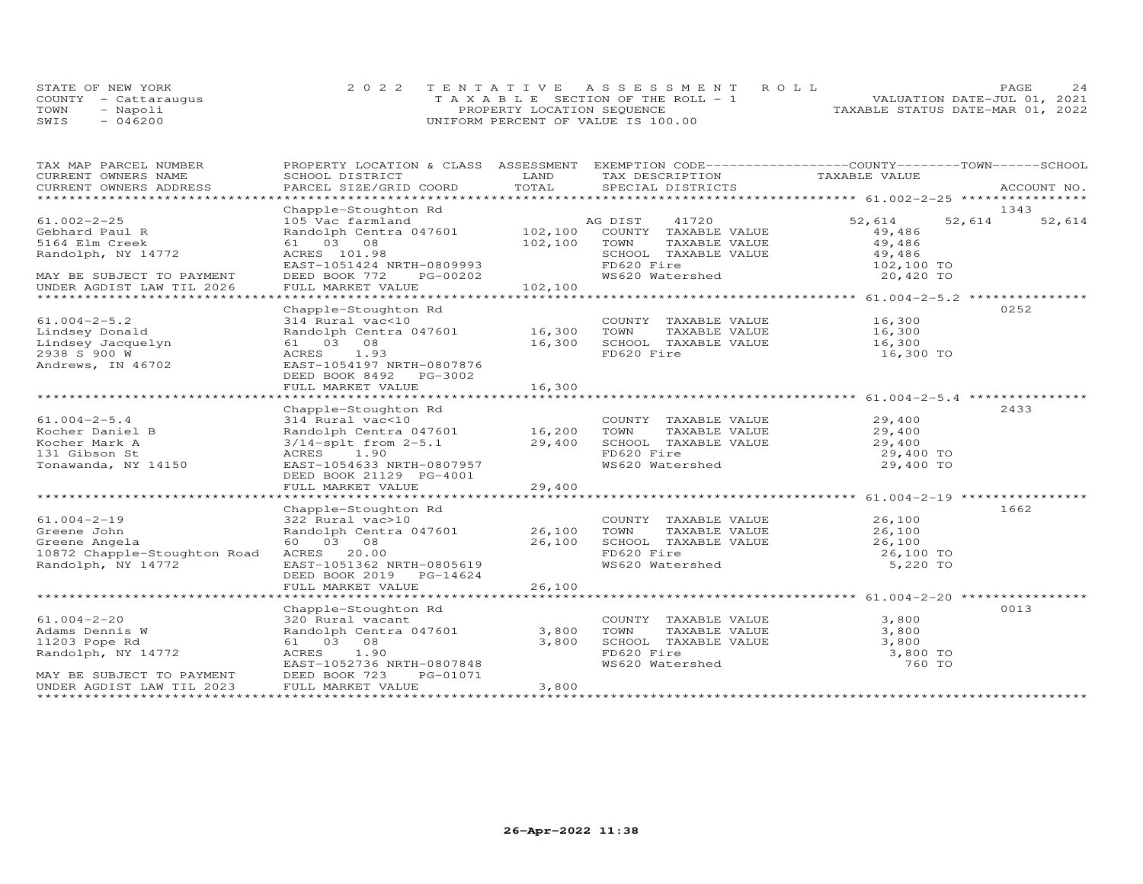|      | STATE OF NEW YORK    | 2022 TENTATIVE ASSESSMENT ROLL        |                                  | <b>PAGE</b>                 | 2.4 |
|------|----------------------|---------------------------------------|----------------------------------|-----------------------------|-----|
|      | COUNTY - Cattaraugus | T A X A B L E SECTION OF THE ROLL - 1 |                                  | VALUATION DATE-JUL 01, 2021 |     |
| TOWN | - Napoli             | PROPERTY LOCATION SEQUENCE            | TAXABLE STATUS DATE-MAR 01, 2022 |                             |     |
| SWIS | $-046200$            | UNIFORM PERCENT OF VALUE IS 100.00    |                                  |                             |     |

| TAX DESCRIPTION TAXABLE VALUE<br><b>LAND</b><br>ACCOUNT NO.<br>Chapple-Stoughton Rd<br>105 Vac farmland<br>Randolph Centra 047601<br>61 03 08 102,100 COUNTY TAXABLE VALUE<br>61 03 08 102,100 TOWN TAXABLE VALUE<br>8CHOOL TAXABLE VALUE<br>SCHOOL TAXABLE VALUE<br>EAST-1051424 NRTH-0809993<br>EAST-105142<br>1343<br>AG DIST 41720 52,614<br>52,614<br>61.002-2-25<br>52,614<br>61.002 $\epsilon$ - $\epsilon$<br>Gebhard Paul R<br>49,486<br>49,486<br>Randolph, NY 14772<br>SCHOOL TAXABLE VALUE 49,486<br>FD620 Fire 102,100 TO<br>FD620 Fire 102,100 TO<br>WS620 Watershed 20,420 TO<br>DEED BOOK 772 PG-00202<br>FULL MARKET VALUE 102,100<br>MAY BE SUBJECT TO PAYMENT<br>UNDER AGDIST LAW TIL 2026<br>0252<br>Chapple-Stoughton Rd<br>COUNTY TAXABLE VALUE<br>314 Rural vac-10<br>314 Rural vac-10<br>54 Rural value (16,300 TOWN TAXABLE VALUE 16,300 Randolph Centra 047601 16,300 TOWN TAXABLE VALUE 16,300<br>54 03 08 16,300 SCHOOL TAXABLE VALUE 16,300<br>55 1.93 16,30<br>$61.004 - 2 - 5.2$<br>Lindsey Donald<br>Lindsey Jacquelyn<br>2938 S 900 W<br>Andrews, IN 46702<br>16,300 TO<br>EAST-1054197 NRTH-0807876<br>DEED BOOK 8492 PG-3002<br>FULL MARKET VALUE<br>16,300<br>2433<br>Chapple-Stoughton Rd<br>314 Rural vac<10<br>Randolph Centra 047601<br>3/14-splt from 2-5.1<br>29,400<br>29,400<br>29,400<br>29,400<br>29,400<br>FD620 Fire<br>29,400<br>29,400<br>29,400<br>29,400<br>29,400<br>29,400<br>29,400<br>29,400<br>29,400<br>29,400<br>29,400<br>$61.004 - 2 - 5.4$<br>61.004-2-5.4<br>Kocher Daniel B<br>Kocher Mark A<br>131 Gibson St<br>Tonawanda, NY 14150<br>AURES 1.90<br>EAST-1054633 NRTH-0807957<br>29,400 TO<br>WS620 Watershed<br>DEED BOOK 21129 PG-4001<br>29,400<br>FULL MARKET VALUE<br>1662<br>Chapple-Stoughton Rd<br>322 Rural vac>10 COUNTY<br>Randolph Centra 047601 26,100 TOWN<br>61.004-2-19<br>Greene John<br>Creene Angela<br>-10<br>-10 COUNTY TAXABLE VALUE 26,100<br>-26,100 TOWN TAXABLE VALUE 26,100<br>26,100 SCHOOL TAXABLE VALUE 26,100<br>FD620 Fire 26,100 TO<br>60  03  08<br>10872 Chapple-Stoughton Road ACRES 20.00<br>EAST-1051362 NRTH-0805619<br>WS620 Watershed NS620<br>5,220 TO<br>Randolph, NY 14772<br>DEED BOOK 2019 PG-14624<br>0013<br>Chapple-Stoughton Rd<br>COUNTY TAXABLE VALUE 3,800<br>TOWN TAXABLE VALUE 3,800<br>3,800<br>61.004-2-20<br>Adams Dennis W<br>1203 Pope Rd<br>Randolph, NY 14772<br>MAY BE SUBJECT TO PAYMENT<br>MAY BE SUBJECT TO PAYMENT<br>DEED BOOK 723<br>SCHOOL TAXABLE VALUE 3,800<br>3,800<br>FD620 Fire<br>3,800 TO<br>WS620 Watershed<br>EAST-1052736 NRTH-0807848<br>760 TO<br>PG-01071<br>3,800<br>UNDER AGDIST LAW TIL 2023<br>FULL MARKET VALUE | TAX MAP PARCEL NUMBER | PROPERTY LOCATION & CLASS ASSESSMENT EXEMPTION CODE----------------COUNTY-------TOWN------SCHOOL |  |  |  |
|----------------------------------------------------------------------------------------------------------------------------------------------------------------------------------------------------------------------------------------------------------------------------------------------------------------------------------------------------------------------------------------------------------------------------------------------------------------------------------------------------------------------------------------------------------------------------------------------------------------------------------------------------------------------------------------------------------------------------------------------------------------------------------------------------------------------------------------------------------------------------------------------------------------------------------------------------------------------------------------------------------------------------------------------------------------------------------------------------------------------------------------------------------------------------------------------------------------------------------------------------------------------------------------------------------------------------------------------------------------------------------------------------------------------------------------------------------------------------------------------------------------------------------------------------------------------------------------------------------------------------------------------------------------------------------------------------------------------------------------------------------------------------------------------------------------------------------------------------------------------------------------------------------------------------------------------------------------------------------------------------------------------------------------------------------------------------------------------------------------------------------------------------------------------------------------------------------------------------------------------------------------------------------------------------------------------------------------------------------------------------------------------------------------------------------------------------------------------------------------------------------------------------------------------------------------------------------------------------------------------------------------------------------------------------|-----------------------|--------------------------------------------------------------------------------------------------|--|--|--|
|                                                                                                                                                                                                                                                                                                                                                                                                                                                                                                                                                                                                                                                                                                                                                                                                                                                                                                                                                                                                                                                                                                                                                                                                                                                                                                                                                                                                                                                                                                                                                                                                                                                                                                                                                                                                                                                                                                                                                                                                                                                                                                                                                                                                                                                                                                                                                                                                                                                                                                                                                                                                                                                                            | CURRENT OWNERS NAME   | SCHOOL DISTRICT                                                                                  |  |  |  |
|                                                                                                                                                                                                                                                                                                                                                                                                                                                                                                                                                                                                                                                                                                                                                                                                                                                                                                                                                                                                                                                                                                                                                                                                                                                                                                                                                                                                                                                                                                                                                                                                                                                                                                                                                                                                                                                                                                                                                                                                                                                                                                                                                                                                                                                                                                                                                                                                                                                                                                                                                                                                                                                                            |                       |                                                                                                  |  |  |  |
|                                                                                                                                                                                                                                                                                                                                                                                                                                                                                                                                                                                                                                                                                                                                                                                                                                                                                                                                                                                                                                                                                                                                                                                                                                                                                                                                                                                                                                                                                                                                                                                                                                                                                                                                                                                                                                                                                                                                                                                                                                                                                                                                                                                                                                                                                                                                                                                                                                                                                                                                                                                                                                                                            |                       |                                                                                                  |  |  |  |
|                                                                                                                                                                                                                                                                                                                                                                                                                                                                                                                                                                                                                                                                                                                                                                                                                                                                                                                                                                                                                                                                                                                                                                                                                                                                                                                                                                                                                                                                                                                                                                                                                                                                                                                                                                                                                                                                                                                                                                                                                                                                                                                                                                                                                                                                                                                                                                                                                                                                                                                                                                                                                                                                            |                       |                                                                                                  |  |  |  |
|                                                                                                                                                                                                                                                                                                                                                                                                                                                                                                                                                                                                                                                                                                                                                                                                                                                                                                                                                                                                                                                                                                                                                                                                                                                                                                                                                                                                                                                                                                                                                                                                                                                                                                                                                                                                                                                                                                                                                                                                                                                                                                                                                                                                                                                                                                                                                                                                                                                                                                                                                                                                                                                                            |                       |                                                                                                  |  |  |  |
|                                                                                                                                                                                                                                                                                                                                                                                                                                                                                                                                                                                                                                                                                                                                                                                                                                                                                                                                                                                                                                                                                                                                                                                                                                                                                                                                                                                                                                                                                                                                                                                                                                                                                                                                                                                                                                                                                                                                                                                                                                                                                                                                                                                                                                                                                                                                                                                                                                                                                                                                                                                                                                                                            |                       |                                                                                                  |  |  |  |
|                                                                                                                                                                                                                                                                                                                                                                                                                                                                                                                                                                                                                                                                                                                                                                                                                                                                                                                                                                                                                                                                                                                                                                                                                                                                                                                                                                                                                                                                                                                                                                                                                                                                                                                                                                                                                                                                                                                                                                                                                                                                                                                                                                                                                                                                                                                                                                                                                                                                                                                                                                                                                                                                            |                       |                                                                                                  |  |  |  |
|                                                                                                                                                                                                                                                                                                                                                                                                                                                                                                                                                                                                                                                                                                                                                                                                                                                                                                                                                                                                                                                                                                                                                                                                                                                                                                                                                                                                                                                                                                                                                                                                                                                                                                                                                                                                                                                                                                                                                                                                                                                                                                                                                                                                                                                                                                                                                                                                                                                                                                                                                                                                                                                                            |                       |                                                                                                  |  |  |  |
|                                                                                                                                                                                                                                                                                                                                                                                                                                                                                                                                                                                                                                                                                                                                                                                                                                                                                                                                                                                                                                                                                                                                                                                                                                                                                                                                                                                                                                                                                                                                                                                                                                                                                                                                                                                                                                                                                                                                                                                                                                                                                                                                                                                                                                                                                                                                                                                                                                                                                                                                                                                                                                                                            |                       |                                                                                                  |  |  |  |
|                                                                                                                                                                                                                                                                                                                                                                                                                                                                                                                                                                                                                                                                                                                                                                                                                                                                                                                                                                                                                                                                                                                                                                                                                                                                                                                                                                                                                                                                                                                                                                                                                                                                                                                                                                                                                                                                                                                                                                                                                                                                                                                                                                                                                                                                                                                                                                                                                                                                                                                                                                                                                                                                            |                       |                                                                                                  |  |  |  |
|                                                                                                                                                                                                                                                                                                                                                                                                                                                                                                                                                                                                                                                                                                                                                                                                                                                                                                                                                                                                                                                                                                                                                                                                                                                                                                                                                                                                                                                                                                                                                                                                                                                                                                                                                                                                                                                                                                                                                                                                                                                                                                                                                                                                                                                                                                                                                                                                                                                                                                                                                                                                                                                                            |                       |                                                                                                  |  |  |  |
|                                                                                                                                                                                                                                                                                                                                                                                                                                                                                                                                                                                                                                                                                                                                                                                                                                                                                                                                                                                                                                                                                                                                                                                                                                                                                                                                                                                                                                                                                                                                                                                                                                                                                                                                                                                                                                                                                                                                                                                                                                                                                                                                                                                                                                                                                                                                                                                                                                                                                                                                                                                                                                                                            |                       |                                                                                                  |  |  |  |
|                                                                                                                                                                                                                                                                                                                                                                                                                                                                                                                                                                                                                                                                                                                                                                                                                                                                                                                                                                                                                                                                                                                                                                                                                                                                                                                                                                                                                                                                                                                                                                                                                                                                                                                                                                                                                                                                                                                                                                                                                                                                                                                                                                                                                                                                                                                                                                                                                                                                                                                                                                                                                                                                            |                       |                                                                                                  |  |  |  |
|                                                                                                                                                                                                                                                                                                                                                                                                                                                                                                                                                                                                                                                                                                                                                                                                                                                                                                                                                                                                                                                                                                                                                                                                                                                                                                                                                                                                                                                                                                                                                                                                                                                                                                                                                                                                                                                                                                                                                                                                                                                                                                                                                                                                                                                                                                                                                                                                                                                                                                                                                                                                                                                                            |                       |                                                                                                  |  |  |  |
|                                                                                                                                                                                                                                                                                                                                                                                                                                                                                                                                                                                                                                                                                                                                                                                                                                                                                                                                                                                                                                                                                                                                                                                                                                                                                                                                                                                                                                                                                                                                                                                                                                                                                                                                                                                                                                                                                                                                                                                                                                                                                                                                                                                                                                                                                                                                                                                                                                                                                                                                                                                                                                                                            |                       |                                                                                                  |  |  |  |
|                                                                                                                                                                                                                                                                                                                                                                                                                                                                                                                                                                                                                                                                                                                                                                                                                                                                                                                                                                                                                                                                                                                                                                                                                                                                                                                                                                                                                                                                                                                                                                                                                                                                                                                                                                                                                                                                                                                                                                                                                                                                                                                                                                                                                                                                                                                                                                                                                                                                                                                                                                                                                                                                            |                       |                                                                                                  |  |  |  |
|                                                                                                                                                                                                                                                                                                                                                                                                                                                                                                                                                                                                                                                                                                                                                                                                                                                                                                                                                                                                                                                                                                                                                                                                                                                                                                                                                                                                                                                                                                                                                                                                                                                                                                                                                                                                                                                                                                                                                                                                                                                                                                                                                                                                                                                                                                                                                                                                                                                                                                                                                                                                                                                                            |                       |                                                                                                  |  |  |  |
|                                                                                                                                                                                                                                                                                                                                                                                                                                                                                                                                                                                                                                                                                                                                                                                                                                                                                                                                                                                                                                                                                                                                                                                                                                                                                                                                                                                                                                                                                                                                                                                                                                                                                                                                                                                                                                                                                                                                                                                                                                                                                                                                                                                                                                                                                                                                                                                                                                                                                                                                                                                                                                                                            |                       |                                                                                                  |  |  |  |
|                                                                                                                                                                                                                                                                                                                                                                                                                                                                                                                                                                                                                                                                                                                                                                                                                                                                                                                                                                                                                                                                                                                                                                                                                                                                                                                                                                                                                                                                                                                                                                                                                                                                                                                                                                                                                                                                                                                                                                                                                                                                                                                                                                                                                                                                                                                                                                                                                                                                                                                                                                                                                                                                            |                       |                                                                                                  |  |  |  |
|                                                                                                                                                                                                                                                                                                                                                                                                                                                                                                                                                                                                                                                                                                                                                                                                                                                                                                                                                                                                                                                                                                                                                                                                                                                                                                                                                                                                                                                                                                                                                                                                                                                                                                                                                                                                                                                                                                                                                                                                                                                                                                                                                                                                                                                                                                                                                                                                                                                                                                                                                                                                                                                                            |                       |                                                                                                  |  |  |  |
|                                                                                                                                                                                                                                                                                                                                                                                                                                                                                                                                                                                                                                                                                                                                                                                                                                                                                                                                                                                                                                                                                                                                                                                                                                                                                                                                                                                                                                                                                                                                                                                                                                                                                                                                                                                                                                                                                                                                                                                                                                                                                                                                                                                                                                                                                                                                                                                                                                                                                                                                                                                                                                                                            |                       |                                                                                                  |  |  |  |
|                                                                                                                                                                                                                                                                                                                                                                                                                                                                                                                                                                                                                                                                                                                                                                                                                                                                                                                                                                                                                                                                                                                                                                                                                                                                                                                                                                                                                                                                                                                                                                                                                                                                                                                                                                                                                                                                                                                                                                                                                                                                                                                                                                                                                                                                                                                                                                                                                                                                                                                                                                                                                                                                            |                       |                                                                                                  |  |  |  |
|                                                                                                                                                                                                                                                                                                                                                                                                                                                                                                                                                                                                                                                                                                                                                                                                                                                                                                                                                                                                                                                                                                                                                                                                                                                                                                                                                                                                                                                                                                                                                                                                                                                                                                                                                                                                                                                                                                                                                                                                                                                                                                                                                                                                                                                                                                                                                                                                                                                                                                                                                                                                                                                                            |                       |                                                                                                  |  |  |  |
|                                                                                                                                                                                                                                                                                                                                                                                                                                                                                                                                                                                                                                                                                                                                                                                                                                                                                                                                                                                                                                                                                                                                                                                                                                                                                                                                                                                                                                                                                                                                                                                                                                                                                                                                                                                                                                                                                                                                                                                                                                                                                                                                                                                                                                                                                                                                                                                                                                                                                                                                                                                                                                                                            |                       |                                                                                                  |  |  |  |
|                                                                                                                                                                                                                                                                                                                                                                                                                                                                                                                                                                                                                                                                                                                                                                                                                                                                                                                                                                                                                                                                                                                                                                                                                                                                                                                                                                                                                                                                                                                                                                                                                                                                                                                                                                                                                                                                                                                                                                                                                                                                                                                                                                                                                                                                                                                                                                                                                                                                                                                                                                                                                                                                            |                       |                                                                                                  |  |  |  |
|                                                                                                                                                                                                                                                                                                                                                                                                                                                                                                                                                                                                                                                                                                                                                                                                                                                                                                                                                                                                                                                                                                                                                                                                                                                                                                                                                                                                                                                                                                                                                                                                                                                                                                                                                                                                                                                                                                                                                                                                                                                                                                                                                                                                                                                                                                                                                                                                                                                                                                                                                                                                                                                                            |                       |                                                                                                  |  |  |  |
|                                                                                                                                                                                                                                                                                                                                                                                                                                                                                                                                                                                                                                                                                                                                                                                                                                                                                                                                                                                                                                                                                                                                                                                                                                                                                                                                                                                                                                                                                                                                                                                                                                                                                                                                                                                                                                                                                                                                                                                                                                                                                                                                                                                                                                                                                                                                                                                                                                                                                                                                                                                                                                                                            |                       |                                                                                                  |  |  |  |
|                                                                                                                                                                                                                                                                                                                                                                                                                                                                                                                                                                                                                                                                                                                                                                                                                                                                                                                                                                                                                                                                                                                                                                                                                                                                                                                                                                                                                                                                                                                                                                                                                                                                                                                                                                                                                                                                                                                                                                                                                                                                                                                                                                                                                                                                                                                                                                                                                                                                                                                                                                                                                                                                            |                       |                                                                                                  |  |  |  |
|                                                                                                                                                                                                                                                                                                                                                                                                                                                                                                                                                                                                                                                                                                                                                                                                                                                                                                                                                                                                                                                                                                                                                                                                                                                                                                                                                                                                                                                                                                                                                                                                                                                                                                                                                                                                                                                                                                                                                                                                                                                                                                                                                                                                                                                                                                                                                                                                                                                                                                                                                                                                                                                                            |                       |                                                                                                  |  |  |  |
|                                                                                                                                                                                                                                                                                                                                                                                                                                                                                                                                                                                                                                                                                                                                                                                                                                                                                                                                                                                                                                                                                                                                                                                                                                                                                                                                                                                                                                                                                                                                                                                                                                                                                                                                                                                                                                                                                                                                                                                                                                                                                                                                                                                                                                                                                                                                                                                                                                                                                                                                                                                                                                                                            |                       |                                                                                                  |  |  |  |
|                                                                                                                                                                                                                                                                                                                                                                                                                                                                                                                                                                                                                                                                                                                                                                                                                                                                                                                                                                                                                                                                                                                                                                                                                                                                                                                                                                                                                                                                                                                                                                                                                                                                                                                                                                                                                                                                                                                                                                                                                                                                                                                                                                                                                                                                                                                                                                                                                                                                                                                                                                                                                                                                            |                       |                                                                                                  |  |  |  |
|                                                                                                                                                                                                                                                                                                                                                                                                                                                                                                                                                                                                                                                                                                                                                                                                                                                                                                                                                                                                                                                                                                                                                                                                                                                                                                                                                                                                                                                                                                                                                                                                                                                                                                                                                                                                                                                                                                                                                                                                                                                                                                                                                                                                                                                                                                                                                                                                                                                                                                                                                                                                                                                                            |                       |                                                                                                  |  |  |  |
|                                                                                                                                                                                                                                                                                                                                                                                                                                                                                                                                                                                                                                                                                                                                                                                                                                                                                                                                                                                                                                                                                                                                                                                                                                                                                                                                                                                                                                                                                                                                                                                                                                                                                                                                                                                                                                                                                                                                                                                                                                                                                                                                                                                                                                                                                                                                                                                                                                                                                                                                                                                                                                                                            |                       |                                                                                                  |  |  |  |
|                                                                                                                                                                                                                                                                                                                                                                                                                                                                                                                                                                                                                                                                                                                                                                                                                                                                                                                                                                                                                                                                                                                                                                                                                                                                                                                                                                                                                                                                                                                                                                                                                                                                                                                                                                                                                                                                                                                                                                                                                                                                                                                                                                                                                                                                                                                                                                                                                                                                                                                                                                                                                                                                            |                       |                                                                                                  |  |  |  |
|                                                                                                                                                                                                                                                                                                                                                                                                                                                                                                                                                                                                                                                                                                                                                                                                                                                                                                                                                                                                                                                                                                                                                                                                                                                                                                                                                                                                                                                                                                                                                                                                                                                                                                                                                                                                                                                                                                                                                                                                                                                                                                                                                                                                                                                                                                                                                                                                                                                                                                                                                                                                                                                                            |                       |                                                                                                  |  |  |  |
|                                                                                                                                                                                                                                                                                                                                                                                                                                                                                                                                                                                                                                                                                                                                                                                                                                                                                                                                                                                                                                                                                                                                                                                                                                                                                                                                                                                                                                                                                                                                                                                                                                                                                                                                                                                                                                                                                                                                                                                                                                                                                                                                                                                                                                                                                                                                                                                                                                                                                                                                                                                                                                                                            |                       |                                                                                                  |  |  |  |
|                                                                                                                                                                                                                                                                                                                                                                                                                                                                                                                                                                                                                                                                                                                                                                                                                                                                                                                                                                                                                                                                                                                                                                                                                                                                                                                                                                                                                                                                                                                                                                                                                                                                                                                                                                                                                                                                                                                                                                                                                                                                                                                                                                                                                                                                                                                                                                                                                                                                                                                                                                                                                                                                            |                       |                                                                                                  |  |  |  |
|                                                                                                                                                                                                                                                                                                                                                                                                                                                                                                                                                                                                                                                                                                                                                                                                                                                                                                                                                                                                                                                                                                                                                                                                                                                                                                                                                                                                                                                                                                                                                                                                                                                                                                                                                                                                                                                                                                                                                                                                                                                                                                                                                                                                                                                                                                                                                                                                                                                                                                                                                                                                                                                                            |                       |                                                                                                  |  |  |  |
|                                                                                                                                                                                                                                                                                                                                                                                                                                                                                                                                                                                                                                                                                                                                                                                                                                                                                                                                                                                                                                                                                                                                                                                                                                                                                                                                                                                                                                                                                                                                                                                                                                                                                                                                                                                                                                                                                                                                                                                                                                                                                                                                                                                                                                                                                                                                                                                                                                                                                                                                                                                                                                                                            |                       |                                                                                                  |  |  |  |
|                                                                                                                                                                                                                                                                                                                                                                                                                                                                                                                                                                                                                                                                                                                                                                                                                                                                                                                                                                                                                                                                                                                                                                                                                                                                                                                                                                                                                                                                                                                                                                                                                                                                                                                                                                                                                                                                                                                                                                                                                                                                                                                                                                                                                                                                                                                                                                                                                                                                                                                                                                                                                                                                            |                       |                                                                                                  |  |  |  |
|                                                                                                                                                                                                                                                                                                                                                                                                                                                                                                                                                                                                                                                                                                                                                                                                                                                                                                                                                                                                                                                                                                                                                                                                                                                                                                                                                                                                                                                                                                                                                                                                                                                                                                                                                                                                                                                                                                                                                                                                                                                                                                                                                                                                                                                                                                                                                                                                                                                                                                                                                                                                                                                                            |                       |                                                                                                  |  |  |  |
|                                                                                                                                                                                                                                                                                                                                                                                                                                                                                                                                                                                                                                                                                                                                                                                                                                                                                                                                                                                                                                                                                                                                                                                                                                                                                                                                                                                                                                                                                                                                                                                                                                                                                                                                                                                                                                                                                                                                                                                                                                                                                                                                                                                                                                                                                                                                                                                                                                                                                                                                                                                                                                                                            |                       |                                                                                                  |  |  |  |
|                                                                                                                                                                                                                                                                                                                                                                                                                                                                                                                                                                                                                                                                                                                                                                                                                                                                                                                                                                                                                                                                                                                                                                                                                                                                                                                                                                                                                                                                                                                                                                                                                                                                                                                                                                                                                                                                                                                                                                                                                                                                                                                                                                                                                                                                                                                                                                                                                                                                                                                                                                                                                                                                            |                       |                                                                                                  |  |  |  |
|                                                                                                                                                                                                                                                                                                                                                                                                                                                                                                                                                                                                                                                                                                                                                                                                                                                                                                                                                                                                                                                                                                                                                                                                                                                                                                                                                                                                                                                                                                                                                                                                                                                                                                                                                                                                                                                                                                                                                                                                                                                                                                                                                                                                                                                                                                                                                                                                                                                                                                                                                                                                                                                                            |                       |                                                                                                  |  |  |  |
|                                                                                                                                                                                                                                                                                                                                                                                                                                                                                                                                                                                                                                                                                                                                                                                                                                                                                                                                                                                                                                                                                                                                                                                                                                                                                                                                                                                                                                                                                                                                                                                                                                                                                                                                                                                                                                                                                                                                                                                                                                                                                                                                                                                                                                                                                                                                                                                                                                                                                                                                                                                                                                                                            |                       |                                                                                                  |  |  |  |
|                                                                                                                                                                                                                                                                                                                                                                                                                                                                                                                                                                                                                                                                                                                                                                                                                                                                                                                                                                                                                                                                                                                                                                                                                                                                                                                                                                                                                                                                                                                                                                                                                                                                                                                                                                                                                                                                                                                                                                                                                                                                                                                                                                                                                                                                                                                                                                                                                                                                                                                                                                                                                                                                            |                       |                                                                                                  |  |  |  |
|                                                                                                                                                                                                                                                                                                                                                                                                                                                                                                                                                                                                                                                                                                                                                                                                                                                                                                                                                                                                                                                                                                                                                                                                                                                                                                                                                                                                                                                                                                                                                                                                                                                                                                                                                                                                                                                                                                                                                                                                                                                                                                                                                                                                                                                                                                                                                                                                                                                                                                                                                                                                                                                                            |                       |                                                                                                  |  |  |  |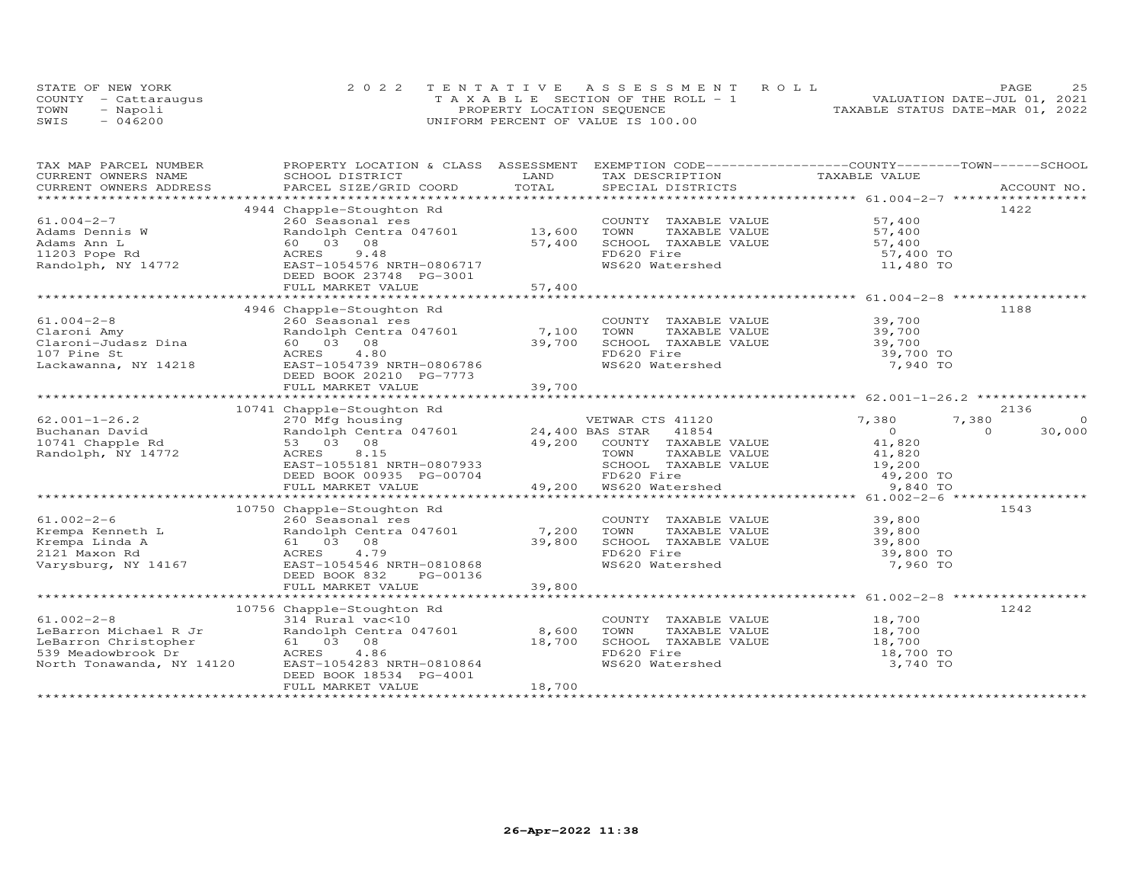| STATE OF NEW YORK    | 2022 TENTATIVE ASSESSMENT ROLL        |                                  | PAGE                        | 2.5 |
|----------------------|---------------------------------------|----------------------------------|-----------------------------|-----|
| COUNTY - Cattaraugus | T A X A B L E SECTION OF THE ROLL - 1 |                                  | VALUATION DATE-JUL 01, 2021 |     |
| TOWN<br>- Napoli     | PROPERTY LOCATION SEQUENCE            | TAXABLE STATUS DATE-MAR 01, 2022 |                             |     |
| $-046200$<br>SWIS    | UNIFORM PERCENT OF VALUE IS 100.00    |                                  |                             |     |

| TAX MAP PARCEL NUMBER | PROPERTY LOCATION & CLASS ASSESSMENT EXEMPTION CODE----------------COUNTY--------TOWN-----SCHOOL                                                                                                                                                    |        |                                                                                                                       |                            |          |
|-----------------------|-----------------------------------------------------------------------------------------------------------------------------------------------------------------------------------------------------------------------------------------------------|--------|-----------------------------------------------------------------------------------------------------------------------|----------------------------|----------|
|                       |                                                                                                                                                                                                                                                     |        |                                                                                                                       |                            |          |
|                       |                                                                                                                                                                                                                                                     |        |                                                                                                                       |                            |          |
|                       |                                                                                                                                                                                                                                                     |        |                                                                                                                       |                            |          |
|                       | 4944 Chapple-Stoughton Rd                                                                                                                                                                                                                           |        |                                                                                                                       |                            | 1422     |
| $61.004 - 2 - 7$      | 260 Seasonal res<br>Randolph Centra 047601 13,600                                                                                                                                                                                                   |        | COUNTY TAXABLE VALUE                                                                                                  | 57,400                     |          |
|                       |                                                                                                                                                                                                                                                     |        | TOWN       TAXABLE  VALUE<br>SCHOOL    TAXABLE  VALUE                                                                 | 57,400                     |          |
|                       |                                                                                                                                                                                                                                                     | 57,400 |                                                                                                                       | 57,400                     |          |
|                       |                                                                                                                                                                                                                                                     |        | FD620 Fire                                                                                                            | 57,400 TO                  |          |
|                       |                                                                                                                                                                                                                                                     |        | WS620 Watershed                                                                                                       | 11,480 TO                  |          |
|                       | DEED BOOK 23748 PG-3001                                                                                                                                                                                                                             |        |                                                                                                                       |                            |          |
|                       | FULL MARKET VALUE                                                                                                                                                                                                                                   | 57,400 |                                                                                                                       |                            |          |
|                       |                                                                                                                                                                                                                                                     |        |                                                                                                                       |                            |          |
|                       | 4946 Chapple-Stoughton Rd                                                                                                                                                                                                                           |        |                                                                                                                       |                            | 1188     |
| $61.004 - 2 - 8$      | 260 Seasonal res<br>Randolph Centra 047601 7,100 TOWN TAXABLE VALUE 39,700<br>60 03 08 39,700 SCHOOL TAXABLE VALUE 39,700<br>ACRES 4.80 FD620 Fire                                                                                                  |        |                                                                                                                       |                            |          |
|                       |                                                                                                                                                                                                                                                     |        |                                                                                                                       |                            |          |
|                       |                                                                                                                                                                                                                                                     |        |                                                                                                                       |                            |          |
|                       |                                                                                                                                                                                                                                                     |        |                                                                                                                       | 39,700 TO                  |          |
|                       |                                                                                                                                                                                                                                                     |        | WS620 Watershed                                                                                                       | 7,940 TO                   |          |
|                       | DEED BOOK 20210 PG-7773                                                                                                                                                                                                                             |        |                                                                                                                       |                            |          |
|                       | FULL MARKET VALUE                                                                                                                                                                                                                                   | 39,700 |                                                                                                                       |                            |          |
|                       |                                                                                                                                                                                                                                                     |        |                                                                                                                       |                            |          |
|                       |                                                                                                                                                                                                                                                     |        |                                                                                                                       |                            | 2136     |
|                       | CONTRACTES 2<br>Buchanan David<br>270 Mfg housing<br>270 Mfg housing<br>24,400 BAS STAR 41854<br>24,400 BAS STAR 41854<br>24,200 COUNTY TAYABIT WATHERED ACRES<br>24,200 COUNTY TAYABIT WATHERED ACRES<br>24,200 COUNTY TAYABIT WATHERED ACRES      |        |                                                                                                                       | 7,380<br>7,380             | $\Omega$ |
|                       |                                                                                                                                                                                                                                                     |        |                                                                                                                       | $\overline{0}$<br>$\Omega$ | 30,000   |
|                       |                                                                                                                                                                                                                                                     |        |                                                                                                                       |                            |          |
|                       |                                                                                                                                                                                                                                                     |        |                                                                                                                       |                            |          |
|                       |                                                                                                                                                                                                                                                     |        |                                                                                                                       |                            |          |
|                       |                                                                                                                                                                                                                                                     |        |                                                                                                                       |                            |          |
|                       | 33 03 08<br>ACRES 8.15<br>EAST-1055181 NRTH-0807933<br>DEED BOOK 00935 PG-00704<br>FULL MARKET VALUE<br>FULL MARKET VALUE<br>FULL MARKET VALUE<br>FULL MARKET VALUE<br>FULL MARKET VALUE<br>FULL MARKET VALUE<br>FULL MARKET VALUE<br>THE 200 W5620 |        |                                                                                                                       |                            |          |
|                       |                                                                                                                                                                                                                                                     |        |                                                                                                                       |                            |          |
|                       |                                                                                                                                                                                                                                                     |        |                                                                                                                       |                            |          |
|                       | 10750 Chapple-Stoughton Rd                                                                                                                                                                                                                          |        |                                                                                                                       |                            | 1543     |
|                       |                                                                                                                                                                                                                                                     |        |                                                                                                                       |                            |          |
|                       |                                                                                                                                                                                                                                                     |        | COUNTY TAXABLE VALUE 39,800<br>TOWN TAXABLE VALUE 39,800<br>SCHOOL TAXABLE VALUE 39,800<br>TRE30 TAXABLE VALUE 39,800 |                            |          |
|                       |                                                                                                                                                                                                                                                     |        |                                                                                                                       |                            |          |
|                       | $51.002-2-6$ $260$ Seasonal res $7,200$ TOWN<br>$8$ Krempa Linda A $61$ 03 08 $39,800$ SCHOO<br>$12121$ Maxon Rd $39,800$ SCHOO<br>$12121$ Maxon Rd $39,800$ SCHOO<br>$12121$ Maxon W 1116                                                          |        | FD620 Fire                                                                                                            | 39,800 TO                  |          |
|                       | Varysburg, NY 14167 EAST-1054546 NRTH-0810868                                                                                                                                                                                                       |        | WS620 Watershed                                                                                                       | 7,960 TO                   |          |
|                       | DEED BOOK 832<br>PG-00136                                                                                                                                                                                                                           |        |                                                                                                                       |                            |          |
|                       | FULL MARKET VALUE                                                                                                                                                                                                                                   | 39,800 |                                                                                                                       |                            |          |
|                       |                                                                                                                                                                                                                                                     |        |                                                                                                                       |                            |          |
|                       | 10756 Chapple-Stoughton Rd                                                                                                                                                                                                                          |        |                                                                                                                       |                            | 1242     |
|                       |                                                                                                                                                                                                                                                     |        | COUNTY TAXABLE VALUE 18,700<br>TOWN TAXABLE VALUE 18,700                                                              |                            |          |
|                       |                                                                                                                                                                                                                                                     |        |                                                                                                                       |                            |          |
|                       |                                                                                                                                                                                                                                                     |        |                                                                                                                       |                            |          |
|                       |                                                                                                                                                                                                                                                     |        | SCHOOL TAXABLE VALUE 18,700<br>FD620 Fire 18,700 TD                                                                   |                            |          |
|                       |                                                                                                                                                                                                                                                     |        | WS620 Watershed                                                                                                       | 3,740 TO                   |          |
|                       | DEED BOOK 18534 PG-4001                                                                                                                                                                                                                             |        |                                                                                                                       |                            |          |
|                       | FULL MARKET VALUE                                                                                                                                                                                                                                   | 18,700 |                                                                                                                       |                            |          |
|                       |                                                                                                                                                                                                                                                     |        |                                                                                                                       |                            |          |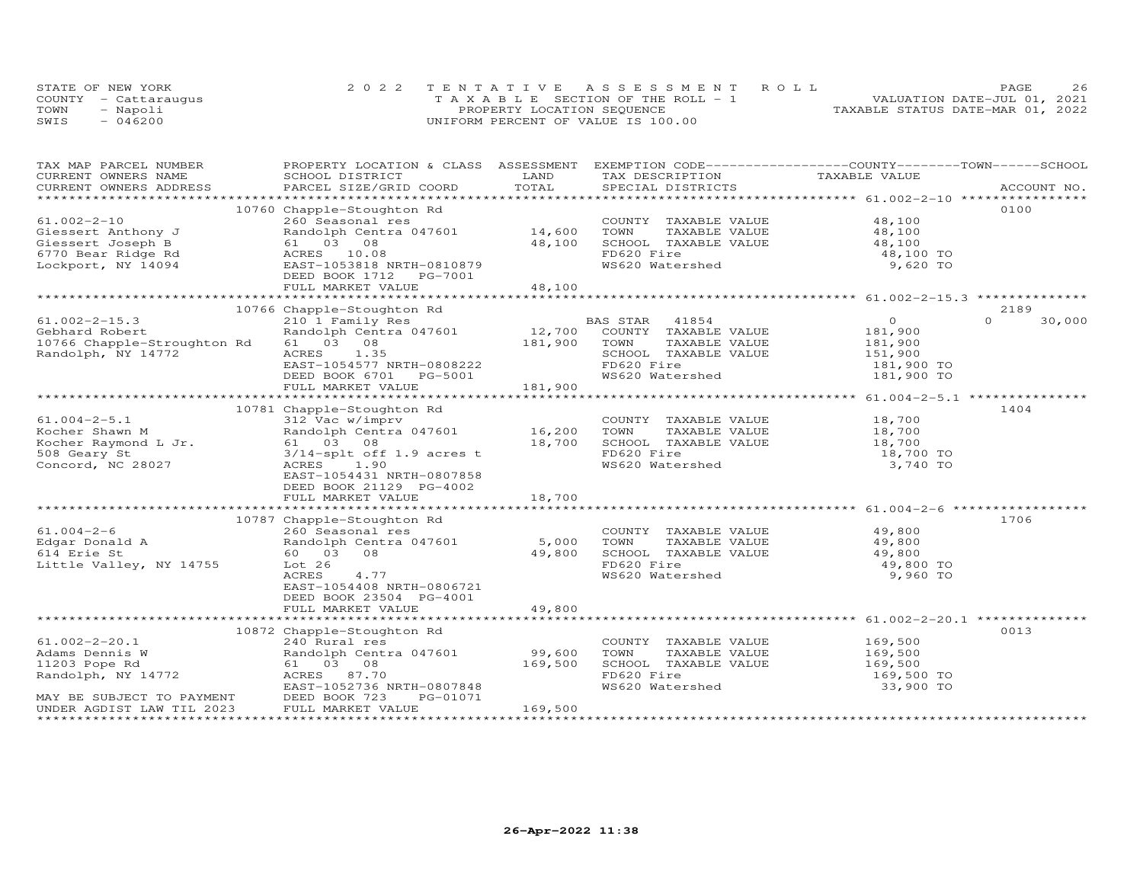|      | STATE OF NEW YORK    | 2022 TENTATIVE ASSESSMENT ROLL        | PAGE.                            |  |
|------|----------------------|---------------------------------------|----------------------------------|--|
|      | COUNTY - Cattaraugus | T A X A B L E SECTION OF THE ROLL - 1 | VALUATION DATE-JUL 01, 2021      |  |
| TOWN | - Napoli             | PROPERTY LOCATION SEQUENCE            | TAXABLE STATUS DATE-MAR 01, 2022 |  |
| SWIS | $-046200$            | UNIFORM PERCENT OF VALUE IS 100.00    |                                  |  |

| TAXABLE VALUE<br>LAND<br>CURRENT OWNERS NAME<br>SCHOOL DISTRICT<br>TAX DESCRIPTION<br>TOTAL<br>CURRENT OWNERS ADDRESS<br>PARCEL SIZE/GRID COORD<br>SPECIAL DISTRICTS<br>ACCOUNT NO.<br>10760 Chapple-Stoughton Rd<br>0100<br>$61.002 - 2 - 10$<br>260 Seasonal res<br>48,100<br>COUNTY TAXABLE VALUE<br>Randolph Centra 047601 14,600<br>TAXABLE VALUE<br>48,100<br>University of the Control of the Control of the Control of the Control of the Control of the Control of the Control of the Control of the Control of the Control of the Control of the Control of the Control of the Control o<br>TOWN<br>48,100<br>61 03 08<br>SCHOOL TAXABLE VALUE<br>48,100<br>ACRES 10.08<br>FD620 Fire<br>48,100 TO<br>EAST-1053818 NRTH-0810879<br>WS620 Watershed<br>9,620 TO<br>DEED BOOK 1712    PG-7001<br>48,100<br>FULL MARKET VALUE<br>10766 Chapple-Stoughton Rd<br>2189<br>$61.002 - 2 - 15.3$<br>210 1 Family Res<br>BAS STAR 41854<br>$\overline{O}$<br>$\Omega$<br>30,000<br>210 I railly Nes<br>Randolph Centra 047601 12,700 COUNTY TAXABLE VALUE<br>61 03 08 181,900 TOWN TAXABLE VALUE<br>181,900<br>Gebhard Robert<br>TAXABLE VALUE<br>10766 Chapple-Stroughton Rd 61 03 08<br>181,900<br>151,900<br>Randolph, NY 14772<br>ACRES 1.35<br>SCHOOL TAXABLE VALUE<br>EAST-1054577 NRTH-0808222<br>FD620 Fire<br>181,900 TO<br>DEED BOOK 6701 PG-5001<br>WS620 Watershed<br>181,900 TO<br>181,900<br>FULL MARKET VALUE<br>1404<br>10781 Chapple-Stoughton Rd<br>COUNTY TAXABLE VALUE 18,700<br>$61.004 - 2 - 5.1$<br>312 Vac w/imprv<br>Randolph Centra 047601 16,200<br>TOWN<br>TAXABLE VALUE<br>18,700<br>18,700<br>Kocher Shawn M<br>Kocher Raymond L Jr. 61 03 08<br>508 Geary St 3/14-splt of:<br>18,700<br>SCHOOL TAXABLE VALUE<br>FD620 Fire<br>18,700 TO<br>$3/14$ -splt off 1.9 acres t<br>WS620 Watershed<br>Concord, NC 28027<br>1.90<br>3,740 TO<br>ACRES<br>EAST-1054431 NRTH-0807858<br>DEED BOOK 21129 PG-4002<br>FULL MARKET VALUE<br>18,700<br>10787 Chapple-Stoughton Rd<br>1706<br>49,800<br>49,800<br>COUNTY TAXABLE VALUE<br>TOWN TAXABLE VALUE<br>SCHOOL TAXABLE VALUE<br>49,800<br>FD620 Fire<br>Little Valley, NY 14755<br>Lot 26<br>49,800 TO<br>WS620 Watershed<br>ACRES<br>4.77<br>9,960 TO<br>EAST-1054408 NRTH-0806721<br>DEED BOOK 23504 PG-4001<br>49,800<br>FULL MARKET VALUE<br>0013<br>10872 Chapple-Stoughton Rd<br>$61.002 - 2 - 20.1$<br>169,500<br>169,500<br>240 Rural res<br>COUNTY TAXABLE VALUE<br>Randolph Centra 047601 99,600<br>Adams Dennis W<br>TOWN<br>TAXABLE VALUE<br>11203 Pope Rd<br>Randolph, NY 14772<br>169,500<br>SCHOOL TAXABLE VALUE 169,500<br>FD620 Fire 169,500 TD620 FD620 Fire<br>61 03 08<br>ACRES 87.70<br>EAST-1052736 NRTH-0807848<br>WS620 Watershed<br>33,900 TO<br>MAY BE SUBJECT TO PAYMENT<br>IN DEED BOOK 723<br>IN MARKET VI LAW TIL 2023<br>PG-01071<br>169,500<br>FULL MARKET VALUE | TAX MAP PARCEL NUMBER | PROPERTY LOCATION & CLASS ASSESSMENT EXEMPTION CODE----------------COUNTY-------TOWN-----SCHOOL |  |  |
|------------------------------------------------------------------------------------------------------------------------------------------------------------------------------------------------------------------------------------------------------------------------------------------------------------------------------------------------------------------------------------------------------------------------------------------------------------------------------------------------------------------------------------------------------------------------------------------------------------------------------------------------------------------------------------------------------------------------------------------------------------------------------------------------------------------------------------------------------------------------------------------------------------------------------------------------------------------------------------------------------------------------------------------------------------------------------------------------------------------------------------------------------------------------------------------------------------------------------------------------------------------------------------------------------------------------------------------------------------------------------------------------------------------------------------------------------------------------------------------------------------------------------------------------------------------------------------------------------------------------------------------------------------------------------------------------------------------------------------------------------------------------------------------------------------------------------------------------------------------------------------------------------------------------------------------------------------------------------------------------------------------------------------------------------------------------------------------------------------------------------------------------------------------------------------------------------------------------------------------------------------------------------------------------------------------------------------------------------------------------------------------------------------------------------------------------------------------------------------------------------------------------------------------------------------------------------------------------------------------------------------------------------------------------------------------------------------------------------------------------------------------------------------------------------------------------------------------------------------------------|-----------------------|-------------------------------------------------------------------------------------------------|--|--|
|                                                                                                                                                                                                                                                                                                                                                                                                                                                                                                                                                                                                                                                                                                                                                                                                                                                                                                                                                                                                                                                                                                                                                                                                                                                                                                                                                                                                                                                                                                                                                                                                                                                                                                                                                                                                                                                                                                                                                                                                                                                                                                                                                                                                                                                                                                                                                                                                                                                                                                                                                                                                                                                                                                                                                                                                                                                                        |                       |                                                                                                 |  |  |
|                                                                                                                                                                                                                                                                                                                                                                                                                                                                                                                                                                                                                                                                                                                                                                                                                                                                                                                                                                                                                                                                                                                                                                                                                                                                                                                                                                                                                                                                                                                                                                                                                                                                                                                                                                                                                                                                                                                                                                                                                                                                                                                                                                                                                                                                                                                                                                                                                                                                                                                                                                                                                                                                                                                                                                                                                                                                        |                       |                                                                                                 |  |  |
|                                                                                                                                                                                                                                                                                                                                                                                                                                                                                                                                                                                                                                                                                                                                                                                                                                                                                                                                                                                                                                                                                                                                                                                                                                                                                                                                                                                                                                                                                                                                                                                                                                                                                                                                                                                                                                                                                                                                                                                                                                                                                                                                                                                                                                                                                                                                                                                                                                                                                                                                                                                                                                                                                                                                                                                                                                                                        |                       |                                                                                                 |  |  |
|                                                                                                                                                                                                                                                                                                                                                                                                                                                                                                                                                                                                                                                                                                                                                                                                                                                                                                                                                                                                                                                                                                                                                                                                                                                                                                                                                                                                                                                                                                                                                                                                                                                                                                                                                                                                                                                                                                                                                                                                                                                                                                                                                                                                                                                                                                                                                                                                                                                                                                                                                                                                                                                                                                                                                                                                                                                                        |                       |                                                                                                 |  |  |
|                                                                                                                                                                                                                                                                                                                                                                                                                                                                                                                                                                                                                                                                                                                                                                                                                                                                                                                                                                                                                                                                                                                                                                                                                                                                                                                                                                                                                                                                                                                                                                                                                                                                                                                                                                                                                                                                                                                                                                                                                                                                                                                                                                                                                                                                                                                                                                                                                                                                                                                                                                                                                                                                                                                                                                                                                                                                        |                       |                                                                                                 |  |  |
|                                                                                                                                                                                                                                                                                                                                                                                                                                                                                                                                                                                                                                                                                                                                                                                                                                                                                                                                                                                                                                                                                                                                                                                                                                                                                                                                                                                                                                                                                                                                                                                                                                                                                                                                                                                                                                                                                                                                                                                                                                                                                                                                                                                                                                                                                                                                                                                                                                                                                                                                                                                                                                                                                                                                                                                                                                                                        |                       |                                                                                                 |  |  |
|                                                                                                                                                                                                                                                                                                                                                                                                                                                                                                                                                                                                                                                                                                                                                                                                                                                                                                                                                                                                                                                                                                                                                                                                                                                                                                                                                                                                                                                                                                                                                                                                                                                                                                                                                                                                                                                                                                                                                                                                                                                                                                                                                                                                                                                                                                                                                                                                                                                                                                                                                                                                                                                                                                                                                                                                                                                                        |                       |                                                                                                 |  |  |
|                                                                                                                                                                                                                                                                                                                                                                                                                                                                                                                                                                                                                                                                                                                                                                                                                                                                                                                                                                                                                                                                                                                                                                                                                                                                                                                                                                                                                                                                                                                                                                                                                                                                                                                                                                                                                                                                                                                                                                                                                                                                                                                                                                                                                                                                                                                                                                                                                                                                                                                                                                                                                                                                                                                                                                                                                                                                        |                       |                                                                                                 |  |  |
|                                                                                                                                                                                                                                                                                                                                                                                                                                                                                                                                                                                                                                                                                                                                                                                                                                                                                                                                                                                                                                                                                                                                                                                                                                                                                                                                                                                                                                                                                                                                                                                                                                                                                                                                                                                                                                                                                                                                                                                                                                                                                                                                                                                                                                                                                                                                                                                                                                                                                                                                                                                                                                                                                                                                                                                                                                                                        |                       |                                                                                                 |  |  |
|                                                                                                                                                                                                                                                                                                                                                                                                                                                                                                                                                                                                                                                                                                                                                                                                                                                                                                                                                                                                                                                                                                                                                                                                                                                                                                                                                                                                                                                                                                                                                                                                                                                                                                                                                                                                                                                                                                                                                                                                                                                                                                                                                                                                                                                                                                                                                                                                                                                                                                                                                                                                                                                                                                                                                                                                                                                                        |                       |                                                                                                 |  |  |
|                                                                                                                                                                                                                                                                                                                                                                                                                                                                                                                                                                                                                                                                                                                                                                                                                                                                                                                                                                                                                                                                                                                                                                                                                                                                                                                                                                                                                                                                                                                                                                                                                                                                                                                                                                                                                                                                                                                                                                                                                                                                                                                                                                                                                                                                                                                                                                                                                                                                                                                                                                                                                                                                                                                                                                                                                                                                        |                       |                                                                                                 |  |  |
|                                                                                                                                                                                                                                                                                                                                                                                                                                                                                                                                                                                                                                                                                                                                                                                                                                                                                                                                                                                                                                                                                                                                                                                                                                                                                                                                                                                                                                                                                                                                                                                                                                                                                                                                                                                                                                                                                                                                                                                                                                                                                                                                                                                                                                                                                                                                                                                                                                                                                                                                                                                                                                                                                                                                                                                                                                                                        |                       |                                                                                                 |  |  |
|                                                                                                                                                                                                                                                                                                                                                                                                                                                                                                                                                                                                                                                                                                                                                                                                                                                                                                                                                                                                                                                                                                                                                                                                                                                                                                                                                                                                                                                                                                                                                                                                                                                                                                                                                                                                                                                                                                                                                                                                                                                                                                                                                                                                                                                                                                                                                                                                                                                                                                                                                                                                                                                                                                                                                                                                                                                                        |                       |                                                                                                 |  |  |
|                                                                                                                                                                                                                                                                                                                                                                                                                                                                                                                                                                                                                                                                                                                                                                                                                                                                                                                                                                                                                                                                                                                                                                                                                                                                                                                                                                                                                                                                                                                                                                                                                                                                                                                                                                                                                                                                                                                                                                                                                                                                                                                                                                                                                                                                                                                                                                                                                                                                                                                                                                                                                                                                                                                                                                                                                                                                        |                       |                                                                                                 |  |  |
|                                                                                                                                                                                                                                                                                                                                                                                                                                                                                                                                                                                                                                                                                                                                                                                                                                                                                                                                                                                                                                                                                                                                                                                                                                                                                                                                                                                                                                                                                                                                                                                                                                                                                                                                                                                                                                                                                                                                                                                                                                                                                                                                                                                                                                                                                                                                                                                                                                                                                                                                                                                                                                                                                                                                                                                                                                                                        |                       |                                                                                                 |  |  |
|                                                                                                                                                                                                                                                                                                                                                                                                                                                                                                                                                                                                                                                                                                                                                                                                                                                                                                                                                                                                                                                                                                                                                                                                                                                                                                                                                                                                                                                                                                                                                                                                                                                                                                                                                                                                                                                                                                                                                                                                                                                                                                                                                                                                                                                                                                                                                                                                                                                                                                                                                                                                                                                                                                                                                                                                                                                                        |                       |                                                                                                 |  |  |
|                                                                                                                                                                                                                                                                                                                                                                                                                                                                                                                                                                                                                                                                                                                                                                                                                                                                                                                                                                                                                                                                                                                                                                                                                                                                                                                                                                                                                                                                                                                                                                                                                                                                                                                                                                                                                                                                                                                                                                                                                                                                                                                                                                                                                                                                                                                                                                                                                                                                                                                                                                                                                                                                                                                                                                                                                                                                        |                       |                                                                                                 |  |  |
|                                                                                                                                                                                                                                                                                                                                                                                                                                                                                                                                                                                                                                                                                                                                                                                                                                                                                                                                                                                                                                                                                                                                                                                                                                                                                                                                                                                                                                                                                                                                                                                                                                                                                                                                                                                                                                                                                                                                                                                                                                                                                                                                                                                                                                                                                                                                                                                                                                                                                                                                                                                                                                                                                                                                                                                                                                                                        |                       |                                                                                                 |  |  |
|                                                                                                                                                                                                                                                                                                                                                                                                                                                                                                                                                                                                                                                                                                                                                                                                                                                                                                                                                                                                                                                                                                                                                                                                                                                                                                                                                                                                                                                                                                                                                                                                                                                                                                                                                                                                                                                                                                                                                                                                                                                                                                                                                                                                                                                                                                                                                                                                                                                                                                                                                                                                                                                                                                                                                                                                                                                                        |                       |                                                                                                 |  |  |
|                                                                                                                                                                                                                                                                                                                                                                                                                                                                                                                                                                                                                                                                                                                                                                                                                                                                                                                                                                                                                                                                                                                                                                                                                                                                                                                                                                                                                                                                                                                                                                                                                                                                                                                                                                                                                                                                                                                                                                                                                                                                                                                                                                                                                                                                                                                                                                                                                                                                                                                                                                                                                                                                                                                                                                                                                                                                        |                       |                                                                                                 |  |  |
|                                                                                                                                                                                                                                                                                                                                                                                                                                                                                                                                                                                                                                                                                                                                                                                                                                                                                                                                                                                                                                                                                                                                                                                                                                                                                                                                                                                                                                                                                                                                                                                                                                                                                                                                                                                                                                                                                                                                                                                                                                                                                                                                                                                                                                                                                                                                                                                                                                                                                                                                                                                                                                                                                                                                                                                                                                                                        |                       |                                                                                                 |  |  |
|                                                                                                                                                                                                                                                                                                                                                                                                                                                                                                                                                                                                                                                                                                                                                                                                                                                                                                                                                                                                                                                                                                                                                                                                                                                                                                                                                                                                                                                                                                                                                                                                                                                                                                                                                                                                                                                                                                                                                                                                                                                                                                                                                                                                                                                                                                                                                                                                                                                                                                                                                                                                                                                                                                                                                                                                                                                                        |                       |                                                                                                 |  |  |
|                                                                                                                                                                                                                                                                                                                                                                                                                                                                                                                                                                                                                                                                                                                                                                                                                                                                                                                                                                                                                                                                                                                                                                                                                                                                                                                                                                                                                                                                                                                                                                                                                                                                                                                                                                                                                                                                                                                                                                                                                                                                                                                                                                                                                                                                                                                                                                                                                                                                                                                                                                                                                                                                                                                                                                                                                                                                        |                       |                                                                                                 |  |  |
|                                                                                                                                                                                                                                                                                                                                                                                                                                                                                                                                                                                                                                                                                                                                                                                                                                                                                                                                                                                                                                                                                                                                                                                                                                                                                                                                                                                                                                                                                                                                                                                                                                                                                                                                                                                                                                                                                                                                                                                                                                                                                                                                                                                                                                                                                                                                                                                                                                                                                                                                                                                                                                                                                                                                                                                                                                                                        |                       |                                                                                                 |  |  |
|                                                                                                                                                                                                                                                                                                                                                                                                                                                                                                                                                                                                                                                                                                                                                                                                                                                                                                                                                                                                                                                                                                                                                                                                                                                                                                                                                                                                                                                                                                                                                                                                                                                                                                                                                                                                                                                                                                                                                                                                                                                                                                                                                                                                                                                                                                                                                                                                                                                                                                                                                                                                                                                                                                                                                                                                                                                                        |                       |                                                                                                 |  |  |
|                                                                                                                                                                                                                                                                                                                                                                                                                                                                                                                                                                                                                                                                                                                                                                                                                                                                                                                                                                                                                                                                                                                                                                                                                                                                                                                                                                                                                                                                                                                                                                                                                                                                                                                                                                                                                                                                                                                                                                                                                                                                                                                                                                                                                                                                                                                                                                                                                                                                                                                                                                                                                                                                                                                                                                                                                                                                        |                       |                                                                                                 |  |  |
|                                                                                                                                                                                                                                                                                                                                                                                                                                                                                                                                                                                                                                                                                                                                                                                                                                                                                                                                                                                                                                                                                                                                                                                                                                                                                                                                                                                                                                                                                                                                                                                                                                                                                                                                                                                                                                                                                                                                                                                                                                                                                                                                                                                                                                                                                                                                                                                                                                                                                                                                                                                                                                                                                                                                                                                                                                                                        |                       |                                                                                                 |  |  |
|                                                                                                                                                                                                                                                                                                                                                                                                                                                                                                                                                                                                                                                                                                                                                                                                                                                                                                                                                                                                                                                                                                                                                                                                                                                                                                                                                                                                                                                                                                                                                                                                                                                                                                                                                                                                                                                                                                                                                                                                                                                                                                                                                                                                                                                                                                                                                                                                                                                                                                                                                                                                                                                                                                                                                                                                                                                                        |                       |                                                                                                 |  |  |
|                                                                                                                                                                                                                                                                                                                                                                                                                                                                                                                                                                                                                                                                                                                                                                                                                                                                                                                                                                                                                                                                                                                                                                                                                                                                                                                                                                                                                                                                                                                                                                                                                                                                                                                                                                                                                                                                                                                                                                                                                                                                                                                                                                                                                                                                                                                                                                                                                                                                                                                                                                                                                                                                                                                                                                                                                                                                        |                       |                                                                                                 |  |  |
|                                                                                                                                                                                                                                                                                                                                                                                                                                                                                                                                                                                                                                                                                                                                                                                                                                                                                                                                                                                                                                                                                                                                                                                                                                                                                                                                                                                                                                                                                                                                                                                                                                                                                                                                                                                                                                                                                                                                                                                                                                                                                                                                                                                                                                                                                                                                                                                                                                                                                                                                                                                                                                                                                                                                                                                                                                                                        |                       |                                                                                                 |  |  |
|                                                                                                                                                                                                                                                                                                                                                                                                                                                                                                                                                                                                                                                                                                                                                                                                                                                                                                                                                                                                                                                                                                                                                                                                                                                                                                                                                                                                                                                                                                                                                                                                                                                                                                                                                                                                                                                                                                                                                                                                                                                                                                                                                                                                                                                                                                                                                                                                                                                                                                                                                                                                                                                                                                                                                                                                                                                                        |                       |                                                                                                 |  |  |
|                                                                                                                                                                                                                                                                                                                                                                                                                                                                                                                                                                                                                                                                                                                                                                                                                                                                                                                                                                                                                                                                                                                                                                                                                                                                                                                                                                                                                                                                                                                                                                                                                                                                                                                                                                                                                                                                                                                                                                                                                                                                                                                                                                                                                                                                                                                                                                                                                                                                                                                                                                                                                                                                                                                                                                                                                                                                        |                       |                                                                                                 |  |  |
|                                                                                                                                                                                                                                                                                                                                                                                                                                                                                                                                                                                                                                                                                                                                                                                                                                                                                                                                                                                                                                                                                                                                                                                                                                                                                                                                                                                                                                                                                                                                                                                                                                                                                                                                                                                                                                                                                                                                                                                                                                                                                                                                                                                                                                                                                                                                                                                                                                                                                                                                                                                                                                                                                                                                                                                                                                                                        |                       |                                                                                                 |  |  |
|                                                                                                                                                                                                                                                                                                                                                                                                                                                                                                                                                                                                                                                                                                                                                                                                                                                                                                                                                                                                                                                                                                                                                                                                                                                                                                                                                                                                                                                                                                                                                                                                                                                                                                                                                                                                                                                                                                                                                                                                                                                                                                                                                                                                                                                                                                                                                                                                                                                                                                                                                                                                                                                                                                                                                                                                                                                                        |                       |                                                                                                 |  |  |
|                                                                                                                                                                                                                                                                                                                                                                                                                                                                                                                                                                                                                                                                                                                                                                                                                                                                                                                                                                                                                                                                                                                                                                                                                                                                                                                                                                                                                                                                                                                                                                                                                                                                                                                                                                                                                                                                                                                                                                                                                                                                                                                                                                                                                                                                                                                                                                                                                                                                                                                                                                                                                                                                                                                                                                                                                                                                        |                       |                                                                                                 |  |  |
|                                                                                                                                                                                                                                                                                                                                                                                                                                                                                                                                                                                                                                                                                                                                                                                                                                                                                                                                                                                                                                                                                                                                                                                                                                                                                                                                                                                                                                                                                                                                                                                                                                                                                                                                                                                                                                                                                                                                                                                                                                                                                                                                                                                                                                                                                                                                                                                                                                                                                                                                                                                                                                                                                                                                                                                                                                                                        |                       |                                                                                                 |  |  |
|                                                                                                                                                                                                                                                                                                                                                                                                                                                                                                                                                                                                                                                                                                                                                                                                                                                                                                                                                                                                                                                                                                                                                                                                                                                                                                                                                                                                                                                                                                                                                                                                                                                                                                                                                                                                                                                                                                                                                                                                                                                                                                                                                                                                                                                                                                                                                                                                                                                                                                                                                                                                                                                                                                                                                                                                                                                                        |                       |                                                                                                 |  |  |
|                                                                                                                                                                                                                                                                                                                                                                                                                                                                                                                                                                                                                                                                                                                                                                                                                                                                                                                                                                                                                                                                                                                                                                                                                                                                                                                                                                                                                                                                                                                                                                                                                                                                                                                                                                                                                                                                                                                                                                                                                                                                                                                                                                                                                                                                                                                                                                                                                                                                                                                                                                                                                                                                                                                                                                                                                                                                        |                       |                                                                                                 |  |  |
|                                                                                                                                                                                                                                                                                                                                                                                                                                                                                                                                                                                                                                                                                                                                                                                                                                                                                                                                                                                                                                                                                                                                                                                                                                                                                                                                                                                                                                                                                                                                                                                                                                                                                                                                                                                                                                                                                                                                                                                                                                                                                                                                                                                                                                                                                                                                                                                                                                                                                                                                                                                                                                                                                                                                                                                                                                                                        |                       |                                                                                                 |  |  |
|                                                                                                                                                                                                                                                                                                                                                                                                                                                                                                                                                                                                                                                                                                                                                                                                                                                                                                                                                                                                                                                                                                                                                                                                                                                                                                                                                                                                                                                                                                                                                                                                                                                                                                                                                                                                                                                                                                                                                                                                                                                                                                                                                                                                                                                                                                                                                                                                                                                                                                                                                                                                                                                                                                                                                                                                                                                                        |                       |                                                                                                 |  |  |
|                                                                                                                                                                                                                                                                                                                                                                                                                                                                                                                                                                                                                                                                                                                                                                                                                                                                                                                                                                                                                                                                                                                                                                                                                                                                                                                                                                                                                                                                                                                                                                                                                                                                                                                                                                                                                                                                                                                                                                                                                                                                                                                                                                                                                                                                                                                                                                                                                                                                                                                                                                                                                                                                                                                                                                                                                                                                        |                       |                                                                                                 |  |  |
|                                                                                                                                                                                                                                                                                                                                                                                                                                                                                                                                                                                                                                                                                                                                                                                                                                                                                                                                                                                                                                                                                                                                                                                                                                                                                                                                                                                                                                                                                                                                                                                                                                                                                                                                                                                                                                                                                                                                                                                                                                                                                                                                                                                                                                                                                                                                                                                                                                                                                                                                                                                                                                                                                                                                                                                                                                                                        |                       |                                                                                                 |  |  |
|                                                                                                                                                                                                                                                                                                                                                                                                                                                                                                                                                                                                                                                                                                                                                                                                                                                                                                                                                                                                                                                                                                                                                                                                                                                                                                                                                                                                                                                                                                                                                                                                                                                                                                                                                                                                                                                                                                                                                                                                                                                                                                                                                                                                                                                                                                                                                                                                                                                                                                                                                                                                                                                                                                                                                                                                                                                                        |                       |                                                                                                 |  |  |
|                                                                                                                                                                                                                                                                                                                                                                                                                                                                                                                                                                                                                                                                                                                                                                                                                                                                                                                                                                                                                                                                                                                                                                                                                                                                                                                                                                                                                                                                                                                                                                                                                                                                                                                                                                                                                                                                                                                                                                                                                                                                                                                                                                                                                                                                                                                                                                                                                                                                                                                                                                                                                                                                                                                                                                                                                                                                        |                       |                                                                                                 |  |  |
|                                                                                                                                                                                                                                                                                                                                                                                                                                                                                                                                                                                                                                                                                                                                                                                                                                                                                                                                                                                                                                                                                                                                                                                                                                                                                                                                                                                                                                                                                                                                                                                                                                                                                                                                                                                                                                                                                                                                                                                                                                                                                                                                                                                                                                                                                                                                                                                                                                                                                                                                                                                                                                                                                                                                                                                                                                                                        |                       |                                                                                                 |  |  |
|                                                                                                                                                                                                                                                                                                                                                                                                                                                                                                                                                                                                                                                                                                                                                                                                                                                                                                                                                                                                                                                                                                                                                                                                                                                                                                                                                                                                                                                                                                                                                                                                                                                                                                                                                                                                                                                                                                                                                                                                                                                                                                                                                                                                                                                                                                                                                                                                                                                                                                                                                                                                                                                                                                                                                                                                                                                                        |                       |                                                                                                 |  |  |
|                                                                                                                                                                                                                                                                                                                                                                                                                                                                                                                                                                                                                                                                                                                                                                                                                                                                                                                                                                                                                                                                                                                                                                                                                                                                                                                                                                                                                                                                                                                                                                                                                                                                                                                                                                                                                                                                                                                                                                                                                                                                                                                                                                                                                                                                                                                                                                                                                                                                                                                                                                                                                                                                                                                                                                                                                                                                        |                       |                                                                                                 |  |  |
|                                                                                                                                                                                                                                                                                                                                                                                                                                                                                                                                                                                                                                                                                                                                                                                                                                                                                                                                                                                                                                                                                                                                                                                                                                                                                                                                                                                                                                                                                                                                                                                                                                                                                                                                                                                                                                                                                                                                                                                                                                                                                                                                                                                                                                                                                                                                                                                                                                                                                                                                                                                                                                                                                                                                                                                                                                                                        |                       |                                                                                                 |  |  |
|                                                                                                                                                                                                                                                                                                                                                                                                                                                                                                                                                                                                                                                                                                                                                                                                                                                                                                                                                                                                                                                                                                                                                                                                                                                                                                                                                                                                                                                                                                                                                                                                                                                                                                                                                                                                                                                                                                                                                                                                                                                                                                                                                                                                                                                                                                                                                                                                                                                                                                                                                                                                                                                                                                                                                                                                                                                                        |                       |                                                                                                 |  |  |
|                                                                                                                                                                                                                                                                                                                                                                                                                                                                                                                                                                                                                                                                                                                                                                                                                                                                                                                                                                                                                                                                                                                                                                                                                                                                                                                                                                                                                                                                                                                                                                                                                                                                                                                                                                                                                                                                                                                                                                                                                                                                                                                                                                                                                                                                                                                                                                                                                                                                                                                                                                                                                                                                                                                                                                                                                                                                        |                       |                                                                                                 |  |  |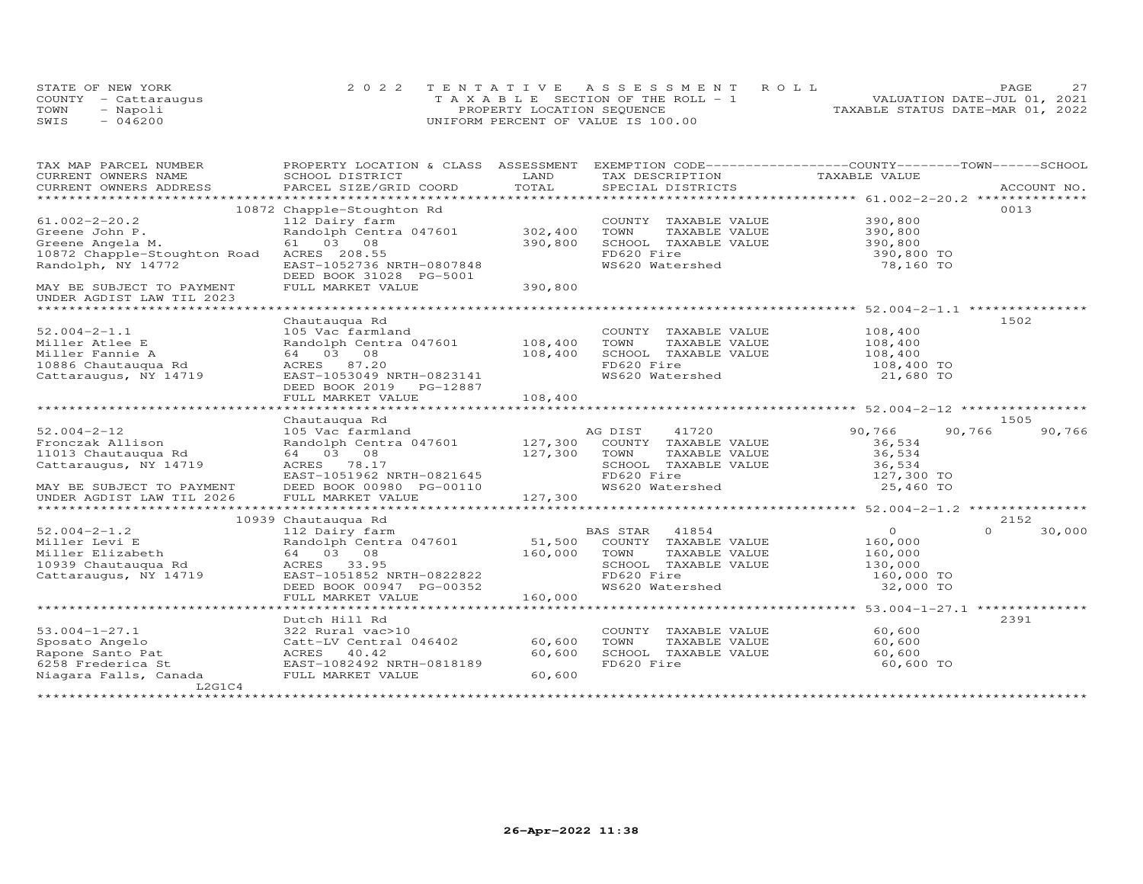|      | STATE OF NEW YORK    | 2022 TENTATIVE ASSESSMENT ROLL        | <b>PAGE</b>                      |
|------|----------------------|---------------------------------------|----------------------------------|
|      | COUNTY - Cattarauqus | T A X A B L E SECTION OF THE ROLL - 1 | VALUATION DATE-JUL 01, 2021      |
| TOWN | Napoli               | PROPERTY LOCATION SEQUENCE            | TAXABLE STATUS DATE-MAR 01, 2022 |
| SWIS | 046200               | UNIFORM PERCENT OF VALUE IS 100.00    |                                  |

| TAX MAP PARCEL NUMBER                                  | PROPERTY LOCATION & CLASS ASSESSMENT                  |         | EXEMPTION CODE-----------------COUNTY-------TOWN------SCHOOL |                         |                  |
|--------------------------------------------------------|-------------------------------------------------------|---------|--------------------------------------------------------------|-------------------------|------------------|
| CURRENT OWNERS NAME                                    | SCHOOL DISTRICT                                       | LAND    | TAX DESCRIPTION                                              | TAXABLE VALUE           |                  |
| CURRENT OWNERS ADDRESS                                 | PARCEL SIZE/GRID COORD                                | TOTAL   | SPECIAL DISTRICTS                                            |                         | ACCOUNT NO.      |
|                                                        |                                                       |         |                                                              |                         |                  |
|                                                        | 10872 Chapple-Stoughton Rd                            |         |                                                              |                         | 0013             |
| $61.002 - 2 - 20.2$                                    | 112 Dairy farm                                        |         | COUNTY TAXABLE VALUE                                         | 390,800                 |                  |
| Greene John P.                                         | Randolph Centra 047601                                | 302,400 | TAXABLE VALUE<br>TOWN                                        | 390,800<br>390,800      |                  |
| Greene Angela M.                                       | 61 03 08                                              | 390,800 | SCHOOL TAXABLE VALUE                                         |                         |                  |
| 10872 Chapple-Stoughton Road                           | ACRES 208.55                                          |         | FD620 Fire                                                   | 390,800 TO              |                  |
| Randolph, NY 14772                                     | EAST-1052736 NRTH-0807848<br>DEED BOOK 31028 PG-5001  |         | WS620 Watershed                                              | 78,160 TO               |                  |
| MAY BE SUBJECT TO PAYMENT<br>UNDER AGDIST LAW TIL 2023 | FULL MARKET VALUE                                     | 390,800 |                                                              |                         |                  |
| ******************************                         |                                                       |         |                                                              |                         |                  |
|                                                        | Chautauqua Rd                                         |         |                                                              |                         | 1502             |
| $52.004 - 2 - 1.1$                                     | 105 Vac farmland                                      |         | COUNTY TAXABLE VALUE                                         | 108,400                 |                  |
| Miller Atlee E                                         | Randolph Centra 047601 108,400                        |         | TOWN<br>TAXABLE VALUE                                        | 108,400                 |                  |
| Miller Fannie A                                        | 64 03 08                                              | 108,400 | SCHOOL TAXABLE VALUE                                         | 108,400                 |                  |
| 10886 Chautauqua Rd                                    | ACRES 87.20                                           |         | FD620 Fire                                                   | 108,400 TO              |                  |
| Cattaraugus, NY 14719                                  | EAST-1053049 NRTH-0823141                             |         | WS620 Watershed                                              | 21,680 TO               |                  |
|                                                        | DEED BOOK 2019    PG-12887                            |         |                                                              |                         |                  |
|                                                        | FULL MARKET VALUE                                     | 108,400 |                                                              |                         |                  |
|                                                        |                                                       |         |                                                              |                         |                  |
|                                                        | Chautauqua Rd                                         |         |                                                              |                         | 1505             |
| $52.004 - 2 - 12$                                      | 105 Vac farmland                                      |         | AG DIST<br>41720                                             | 90,766                  | 90,766<br>90,766 |
| Fronczak Allison                                       | Randolph Centra 047601 127,300                        |         | COUNTY TAXABLE VALUE                                         | 36,534                  |                  |
| 11013 Chautauqua Rd                                    | 64 03 08                                              | 127,300 | TOWN<br>TAXABLE VALUE                                        | 36,534                  |                  |
| Cattaraugus, NY 14719                                  | ACRES 78.17                                           |         | SCHOOL TAXABLE VALUE                                         | 36,534                  |                  |
|                                                        | EAST-1051962 NRTH-0821645                             |         | FD620 Fire                                                   | 127,300 TO              |                  |
| MAY BE SUBJECT TO PAYMENT                              | DEED BOOK 00980 PG-00110                              |         | WS620 Watershed                                              | 25,460 TO               |                  |
|                                                        |                                                       |         |                                                              |                         |                  |
|                                                        |                                                       |         |                                                              |                         |                  |
|                                                        | 10939 Chautauqua Rd                                   |         |                                                              | $\Omega$                | 2152<br>$\Omega$ |
| $52.004 - 2 - 1.2$                                     | 112 Dairy farm                                        | 51,500  | BAS STAR 41854                                               |                         | 30,000           |
| Miller Levi E                                          | Randolph Centra 047601                                |         | COUNTY TAXABLE VALUE                                         | 160,000                 |                  |
| Miller Elizabeth                                       | 64 03 08                                              | 160,000 | TOWN<br>TAXABLE VALUE                                        | 160,000                 |                  |
| 10939 Chautauqua Rd                                    | ACRES 33.95                                           |         | SCHOOL TAXABLE VALUE<br>FD620 Fire                           | 130,000                 |                  |
| Cattaraugus, NY 14719                                  | EAST-1051852 NRTH-0822822<br>DEED BOOK 00947 PG-00352 |         | WS620 Watershed                                              | 160,000 TO<br>32,000 TO |                  |
|                                                        | FULL MARKET VALUE                                     | 160,000 |                                                              |                         |                  |
|                                                        |                                                       |         |                                                              |                         |                  |
|                                                        | Dutch Hill Rd                                         |         |                                                              |                         | 2391             |
| $53.004 - 1 - 27.1$                                    | 322 Rural vac>10                                      |         | COUNTY TAXABLE VALUE                                         | 60,600                  |                  |
| Sposato Angelo                                         | Catt-LV Central 046402                                | 60,600  | TOWN<br>TAXABLE VALUE                                        | 60,600                  |                  |
| Rapone Santo Pat                                       | ACRES 40.42                                           | 60,600  | SCHOOL TAXABLE VALUE                                         | 60,600                  |                  |
| 6258 Frederica St                                      | EAST-1082492 NRTH-0818189                             |         | FD620 Fire                                                   | 60,600 TO               |                  |
| Niagara Falls, Canada                                  | FULL MARKET VALUE                                     | 60,600  |                                                              |                         |                  |
| L2G1C4                                                 |                                                       |         |                                                              |                         |                  |
|                                                        |                                                       |         |                                                              |                         |                  |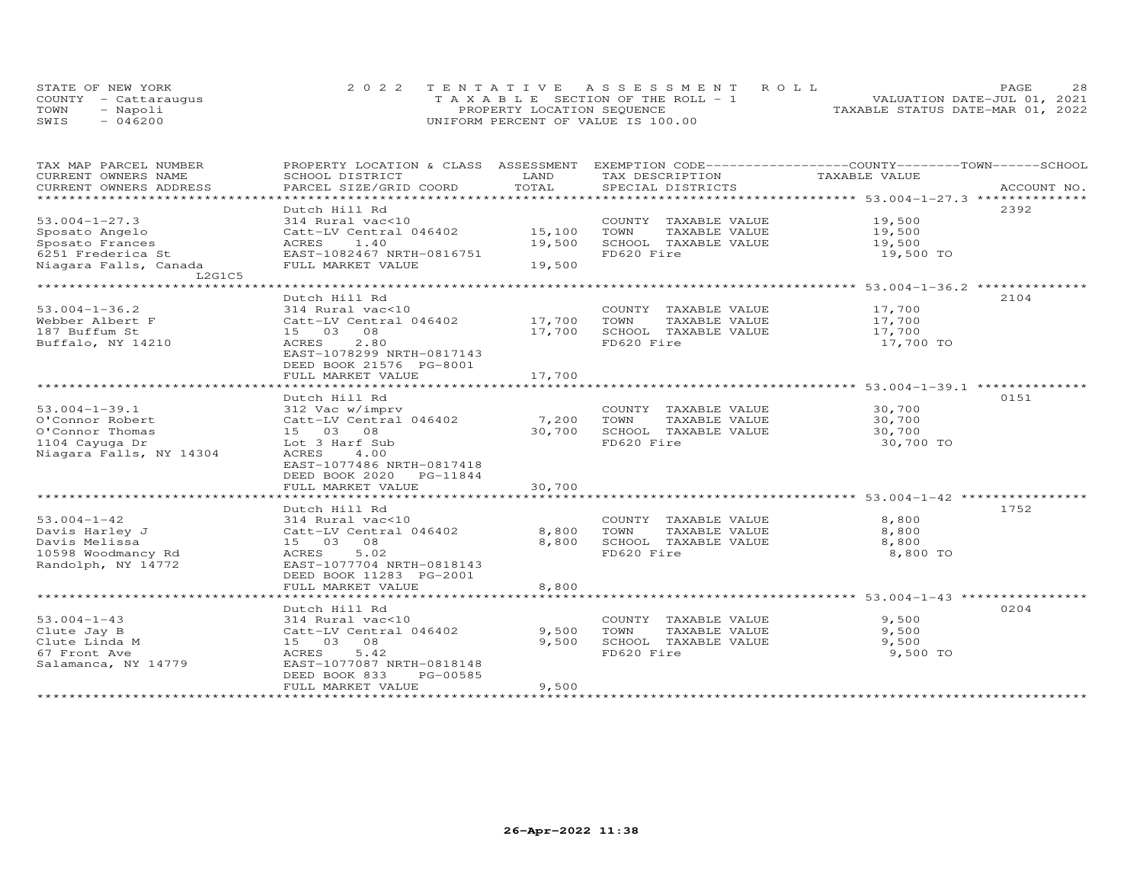| STATE OF NEW YORK    | 2022 TENTATIVE ASSESSMENT ROLL        | 28<br>PAGE.                      |
|----------------------|---------------------------------------|----------------------------------|
| COUNTY - Cattaraugus | T A X A B L E SECTION OF THE ROLL - 1 | VALUATION DATE-JUL 01, 2021      |
| TOWN<br>- Napoli     | PROPERTY LOCATION SEQUENCE            | TAXABLE STATUS DATE-MAR 01, 2022 |
| $-046200$<br>SWIS    | UNIFORM PERCENT OF VALUE IS 100.00    |                                  |

| TAX MAP PARCEL NUMBER     | PROPERTY LOCATION & CLASS ASSESSMENT |        | EXEMPTION CODE-----------------COUNTY-------TOWN------SCHOOL |               |             |
|---------------------------|--------------------------------------|--------|--------------------------------------------------------------|---------------|-------------|
| CURRENT OWNERS NAME       | SCHOOL DISTRICT                      | LAND   | TAX DESCRIPTION                                              | TAXABLE VALUE |             |
| CURRENT OWNERS ADDRESS    | PARCEL SIZE/GRID COORD               | TOTAL  | SPECIAL DISTRICTS                                            |               | ACCOUNT NO. |
| ************************* |                                      |        |                                                              |               |             |
|                           | Dutch Hill Rd                        |        |                                                              |               | 2392        |
| $53.004 - 1 - 27.3$       | 314 Rural vac<10                     |        | COUNTY TAXABLE VALUE                                         | 19,500        |             |
| Sposato Angelo            | Catt-LV Central 046402               | 15,100 | TAXABLE VALUE<br>TOWN                                        | 19,500        |             |
| Sposato Frances           | ACRES<br>1.40                        | 19,500 | SCHOOL TAXABLE VALUE                                         | 19,500        |             |
| 6251 Frederica St         | EAST-1082467 NRTH-0816751            |        | FD620 Fire                                                   | 19,500 TO     |             |
| Niagara Falls, Canada     | FULL MARKET VALUE                    | 19,500 |                                                              |               |             |
| L2G1C5                    |                                      |        |                                                              |               |             |
|                           |                                      |        |                                                              |               |             |
|                           | Dutch Hill Rd                        |        |                                                              |               | 2104        |
| $53.004 - 1 - 36.2$       | 314 Rural vac<10                     |        | COUNTY TAXABLE VALUE                                         | 17,700        |             |
| Webber Albert F           | Catt-LV Central 046402               | 17,700 | TOWN<br>TAXABLE VALUE                                        | 17,700        |             |
| 187 Buffum St             | 15 03 08                             | 17,700 | SCHOOL TAXABLE VALUE                                         | 17,700        |             |
| Buffalo, NY 14210         | 2.80<br>ACRES                        |        | FD620 Fire                                                   | 17,700 TO     |             |
|                           | EAST-1078299 NRTH-0817143            |        |                                                              |               |             |
|                           | DEED BOOK 21576 PG-8001              |        |                                                              |               |             |
|                           |                                      |        |                                                              |               |             |
|                           | FULL MARKET VALUE                    | 17,700 |                                                              |               |             |
|                           |                                      |        |                                                              |               |             |
|                           | Dutch Hill Rd                        |        |                                                              |               | 0151        |
| $53.004 - 1 - 39.1$       | 312 Vac w/imprv                      |        | COUNTY TAXABLE VALUE                                         | 30,700        |             |
| O'Connor Robert           | Catt-LV Central 046402               | 7,200  | TOWN<br>TAXABLE VALUE                                        | 30,700        |             |
| O'Connor Thomas           | 15 03 08                             | 30,700 | SCHOOL TAXABLE VALUE                                         | 30,700        |             |
| 1104 Cayuga Dr            | Lot 3 Harf Sub                       |        | FD620 Fire                                                   | 30,700 TO     |             |
| Niagara Falls, NY 14304   | ACRES<br>4.00                        |        |                                                              |               |             |
|                           | EAST-1077486 NRTH-0817418            |        |                                                              |               |             |
|                           | DEED BOOK 2020 PG-11844              |        |                                                              |               |             |
|                           | FULL MARKET VALUE                    | 30,700 |                                                              |               |             |
|                           | ***********************              |        |                                                              |               |             |
|                           | Dutch Hill Rd                        |        |                                                              |               | 1752        |
| $53.004 - 1 - 42$         | 314 Rural vac<10                     |        | COUNTY TAXABLE VALUE                                         | 8,800         |             |
| Davis Harley J            | Catt-LV Central 046402               | 8,800  | TOWN<br>TAXABLE VALUE                                        | 8,800         |             |
| Davis Melissa             | 15 03 08                             | 8,800  | SCHOOL TAXABLE VALUE                                         | 8,800         |             |
| 10598 Woodmancy Rd        | 5.02<br>ACRES                        |        | FD620 Fire                                                   | 8,800 TO      |             |
| Randolph, NY 14772        | EAST-1077704 NRTH-0818143            |        |                                                              |               |             |
|                           | DEED BOOK 11283 PG-2001              |        |                                                              |               |             |
|                           | FULL MARKET VALUE                    | 8,800  |                                                              |               |             |
|                           |                                      |        |                                                              |               |             |
|                           | Dutch Hill Rd                        |        |                                                              |               | 0204        |
| $53.004 - 1 - 43$         | 314 Rural vac<10                     |        | COUNTY TAXABLE VALUE                                         | 9,500         |             |
| Clute Jay B               | Catt-LV Central 046402               | 9,500  | TOWN<br>TAXABLE VALUE                                        | 9,500         |             |
| Clute Linda M             | 15 03 08                             | 9,500  | SCHOOL TAXABLE VALUE                                         | 9,500         |             |
| 67 Front Ave              | 5.42<br>ACRES                        |        | FD620 Fire                                                   | 9,500 TO      |             |
| Salamanca, NY 14779       | EAST-1077087 NRTH-0818148            |        |                                                              |               |             |
|                           | PG-00585<br>DEED BOOK 833            |        |                                                              |               |             |
|                           | FULL MARKET VALUE                    | 9,500  |                                                              |               |             |
|                           |                                      |        |                                                              |               |             |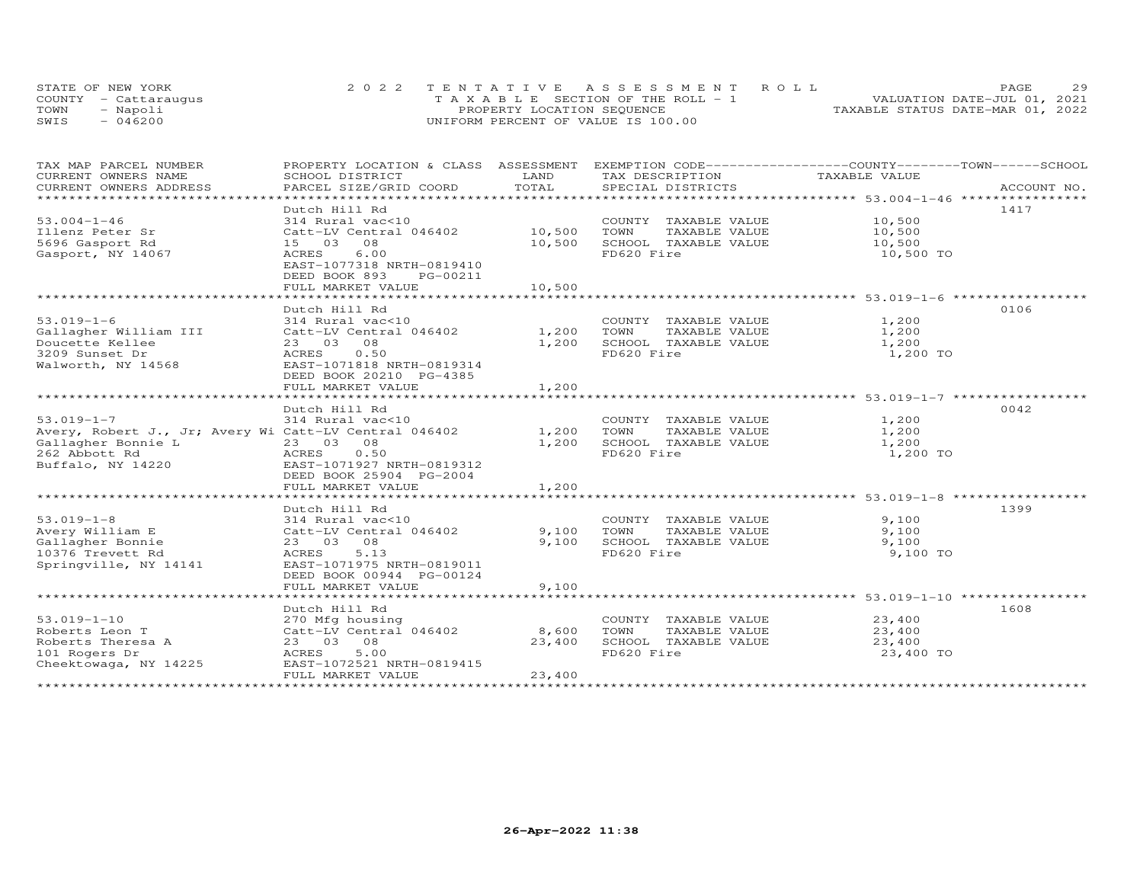|      | STATE OF NEW YORK    | 2022 TENTATIVE ASSESSMENT ROLL        | 29<br>PAGE.                      |
|------|----------------------|---------------------------------------|----------------------------------|
|      | COUNTY - Cattarauqus | T A X A B L E SECTION OF THE ROLL - 1 | VALUATION DATE-JUL 01, 2021      |
| TOWN | - Napoli             | PROPERTY LOCATION SEQUENCE            | TAXABLE STATUS DATE-MAR 01, 2022 |
| SWIS | $-046200$            | UNIFORM PERCENT OF VALUE IS 100.00    |                                  |

| SCHOOL DISTRICT                                                                                                                               | LAND                               | TAX DESCRIPTION                                                                     | TAXABLE VALUE                                                    |                                                                                                                                                                                |
|-----------------------------------------------------------------------------------------------------------------------------------------------|------------------------------------|-------------------------------------------------------------------------------------|------------------------------------------------------------------|--------------------------------------------------------------------------------------------------------------------------------------------------------------------------------|
|                                                                                                                                               |                                    |                                                                                     |                                                                  |                                                                                                                                                                                |
| Dutch Hill Rd<br>314 Rural vac<10<br>15 03 08<br>6.00<br>ACRES<br>EAST-1077318 NRTH-0819410<br>DEED BOOK 893<br>PG-00211<br>FULL MARKET VALUE | 10,500<br>10,500                   | TOWN<br>TAXABLE VALUE<br>SCHOOL TAXABLE VALUE<br>FD620 Fire                         | 10,500<br>10,500<br>10,500 TO                                    | 1417                                                                                                                                                                           |
| Dutch Hill Rd<br>314 Rural vac<10<br>23 03 08<br>0.50<br>ACRES<br>EAST-1071818 NRTH-0819314<br>DEED BOOK 20210 PG-4385<br>FULL MARKET VALUE   | 1,200<br>1,200                     | TOWN<br>TAXABLE VALUE<br>FD620 Fire                                                 | 1,200<br>1,200<br>1,200<br>1,200 TO                              | 0106                                                                                                                                                                           |
| Dutch Hill Rd<br>314 Rural vac<10<br>23 03 08<br>0.50<br>ACRES<br>EAST-1071927 NRTH-0819312<br>DEED BOOK 25904 PG-2004<br>FULL MARKET VALUE   | 1,200<br>1,200                     | COUNTY TAXABLE VALUE<br>TAXABLE VALUE<br>SCHOOL TAXABLE VALUE<br>FD620 Fire         | 1,200<br>1,200<br>1,200<br>1,200 TO                              | 0042                                                                                                                                                                           |
|                                                                                                                                               |                                    |                                                                                     |                                                                  |                                                                                                                                                                                |
| 314 Rural vac<10<br>Catt-LV Central 046402<br>23 03 08<br>ACRES<br>5.13<br>EAST-1071975 NRTH-0819011<br>DEED BOOK 00944 PG-00124              | 9,100                              | COUNTY TAXABLE VALUE<br>TOWN<br>TAXABLE VALUE<br>SCHOOL TAXABLE VALUE<br>FD620 Fire | 9,100<br>9,100<br>9,100<br>9,100 TO                              | 1399                                                                                                                                                                           |
|                                                                                                                                               |                                    |                                                                                     |                                                                  |                                                                                                                                                                                |
| Dutch Hill Rd<br>270 Mfg housing<br>Catt-LV Central 046402<br>23 03 08<br>ACRES<br>5.00<br>EAST-1072521 NRTH-0819415<br>FULL MARKET VALUE     | 8,600<br>23,400<br>23,400          | COUNTY TAXABLE VALUE<br>TAXABLE VALUE<br>TOWN<br>SCHOOL TAXABLE VALUE<br>FD620 Fire | 23,400<br>23,400<br>23,400<br>23,400 TO                          | 1608                                                                                                                                                                           |
|                                                                                                                                               | Dutch Hill Rd<br>FULL MARKET VALUE | Catt-LV Central 046402 10,500<br>Catt-LV Central 046402 1,200<br>9,100<br>9,100     | Avery, Robert J., Jr; Avery Wi Catt-LV Central 046402 1,200 TOWN | PROPERTY LOCATION & CLASS ASSESSMENT EXEMPTION CODE----------------COUNTY-------TOWN-----SCHOOL<br>COUNTY TAXABLE VALUE 10,500<br>COUNTY TAXABLE VALUE<br>SCHOOL TAXABLE VALUE |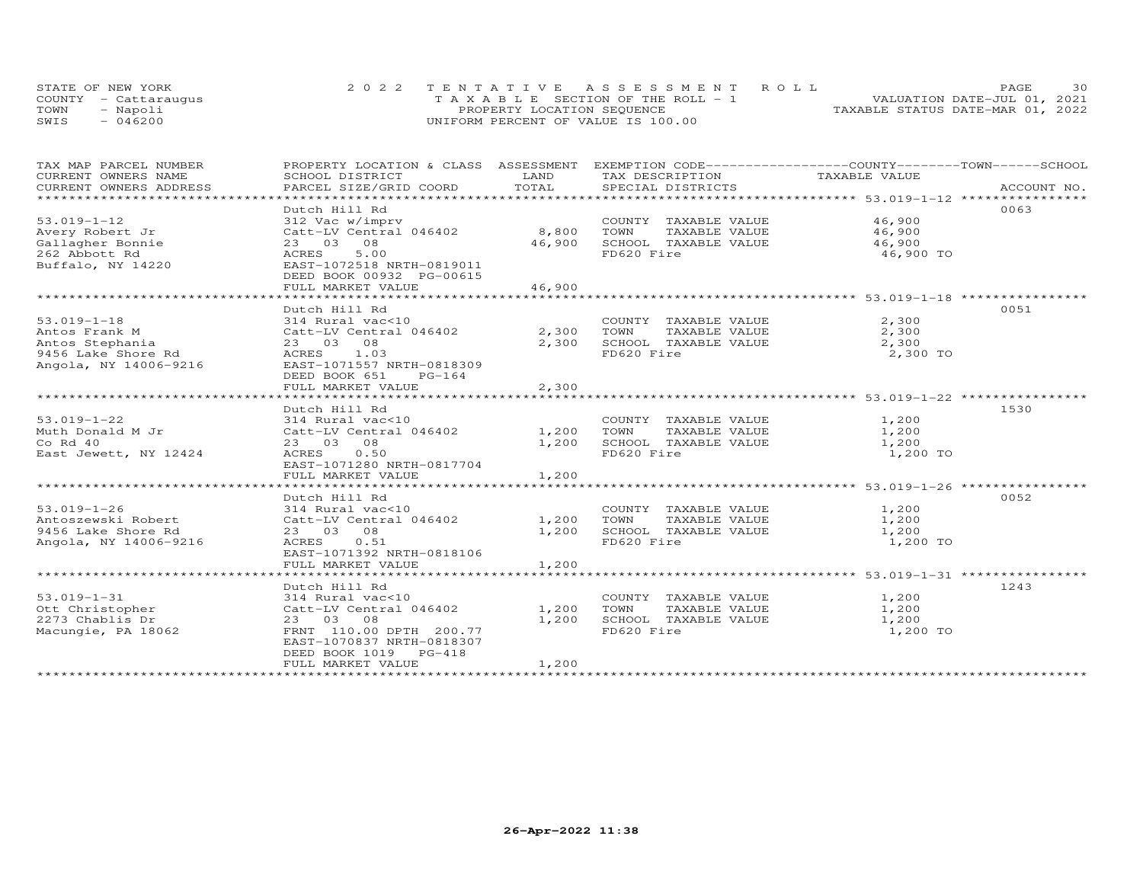|      | STATE OF NEW YORK    | 2022 TENTATIVE ASSESSMENT ROLL     | 30<br>PAGE.                      |
|------|----------------------|------------------------------------|----------------------------------|
|      | COUNTY - Cattarauqus | TAXABLE SECTION OF THE ROLL - 1    | VALUATION DATE-JUL 01, 2021      |
| TOWN | - Napoli             | PROPERTY LOCATION SEQUENCE         | TAXABLE STATUS DATE-MAR 01, 2022 |
| SWIS | $-046200$            | UNIFORM PERCENT OF VALUE IS 100.00 |                                  |

| TAX MAP PARCEL NUMBER                         | PROPERTY LOCATION & CLASS ASSESSMENT EXEMPTION CODE----------------COUNTY--------TOWN------SCHOOL |               |                                                                  |               |             |
|-----------------------------------------------|---------------------------------------------------------------------------------------------------|---------------|------------------------------------------------------------------|---------------|-------------|
| CURRENT OWNERS NAME<br>CURRENT OWNERS ADDRESS | SCHOOL DISTRICT<br>PARCEL SIZE/GRID COORD                                                         | LAND<br>TOTAL | TAX DESCRIPTION<br>SPECIAL DISTRICTS                             | TAXABLE VALUE |             |
| ******************************                |                                                                                                   |               |                                                                  |               | ACCOUNT NO. |
|                                               | Dutch Hill Rd                                                                                     |               |                                                                  |               | 0063        |
| $53.019 - 1 - 12$                             | 312 Vac w/imprv                                                                                   |               | COUNTY TAXABLE VALUE 46,900                                      |               |             |
| Avery Robert Jr                               | Catt-LV Central 046402 8,800                                                                      |               | TOWN<br>TAXABLE VALUE                                            | 46,900        |             |
| Gallagher Bonnie                              | 23 03 08                                                                                          | 46,900        | SCHOOL TAXABLE VALUE                                             | 46,900        |             |
| 262 Abbott Rd                                 | 5.00<br>ACRES                                                                                     |               | FD620 Fire                                                       | 46,900 TO     |             |
| Buffalo, NY 14220                             | EAST-1072518 NRTH-0819011                                                                         |               |                                                                  |               |             |
|                                               | DEED BOOK 00932 PG-00615                                                                          |               |                                                                  |               |             |
|                                               | FULL MARKET VALUE                                                                                 | 46,900        |                                                                  |               |             |
|                                               |                                                                                                   |               |                                                                  |               |             |
|                                               | Dutch Hill Rd                                                                                     |               |                                                                  |               | 0051        |
| $53.019 - 1 - 18$                             | 314 Rural vac<10                                                                                  |               | COUNTY TAXABLE VALUE                                             | 2,300         |             |
| Antos Frank M                                 | Catt-LV Central 046402                                                                            | 2,300         | TOWN<br>TAXABLE VALUE                                            | 2,300         |             |
| Antos Stephania                               | 23 03 08                                                                                          | 2,300         | SCHOOL TAXABLE VALUE                                             | 2,300         |             |
| 9456 Lake Shore Rd                            | ACRES 1.03                                                                                        |               | FD620 Fire                                                       | 2,300 TO      |             |
| Angola, NY 14006-9216                         | EAST-1071557 NRTH-0818309                                                                         |               |                                                                  |               |             |
|                                               | DEED BOOK 651<br>PG-164                                                                           |               |                                                                  |               |             |
|                                               | FULL MARKET VALUE                                                                                 | 2,300         |                                                                  |               |             |
|                                               |                                                                                                   |               |                                                                  |               |             |
|                                               | Dutch Hill Rd                                                                                     |               |                                                                  |               | 1530        |
| $53.019 - 1 - 22$                             | 314 Rural vac<10                                                                                  |               | COUNTY TAXABLE VALUE                                             | 1,200         |             |
| Muth Donald M Jr                              | Catt-LV Central 046402                                                                            | 1,200         | TOWN<br>TAXABLE VALUE                                            | 1,200         |             |
| $Co$ Rd $40$                                  | 23 03 08                                                                                          | 1,200         | SCHOOL TAXABLE VALUE                                             | 1,200         |             |
| East Jewett, NY 12424                         | ACRES<br>0.50                                                                                     |               | FD620 Fire                                                       | 1,200 TO      |             |
|                                               | EAST-1071280 NRTH-0817704<br>FULL MARKET VALUE                                                    | 1,200         |                                                                  |               |             |
|                                               |                                                                                                   |               | ********************************** 53.019-1-26 ***************** |               |             |
|                                               | Dutch Hill Rd                                                                                     |               |                                                                  |               | 0052        |
| $53.019 - 1 - 26$                             | 314 Rural vac<10                                                                                  |               | COUNTY TAXABLE VALUE 1,200                                       |               |             |
| Antoszewski Robert                            | Catt-LV Central 046402                                                                            | 1,200         | TOWN<br>TAXABLE VALUE                                            | 1,200         |             |
| 9456 Lake Shore Rd                            | 23 03 08                                                                                          | 1,200         | SCHOOL TAXABLE VALUE                                             | 1,200         |             |
| Angola, NY 14006-9216                         | ACRES<br>0.51                                                                                     |               | FD620 Fire                                                       | 1,200 TO      |             |
|                                               | EAST-1071392 NRTH-0818106                                                                         |               |                                                                  |               |             |
|                                               | FULL MARKET VALUE                                                                                 | 1,200         |                                                                  |               |             |
|                                               |                                                                                                   |               |                                                                  |               |             |
|                                               | Dutch Hill Rd                                                                                     |               |                                                                  |               | 1243        |
| $53.019 - 1 - 31$                             | 314 Rural vac<10                                                                                  |               | COUNTY TAXABLE VALUE                                             | 1,200         |             |
| Ott Christopher                               | Catt-LV Central 046402                                                                            | 1,200         | TOWN<br>TAXABLE VALUE                                            | 1,200         |             |
| 2273 Chablis Dr                               | 23 03 08                                                                                          | 1,200         | SCHOOL TAXABLE VALUE                                             | 1,200         |             |
| Macungie, PA 18062                            | FRNT 110.00 DPTH 200.77                                                                           |               | FD620 Fire                                                       | 1,200 TO      |             |
|                                               | EAST-1070837 NRTH-0818307                                                                         |               |                                                                  |               |             |
|                                               | DEED BOOK 1019 PG-418                                                                             |               |                                                                  |               |             |
|                                               | FULL MARKET VALUE                                                                                 | 1,200         |                                                                  |               |             |
|                                               |                                                                                                   |               |                                                                  |               |             |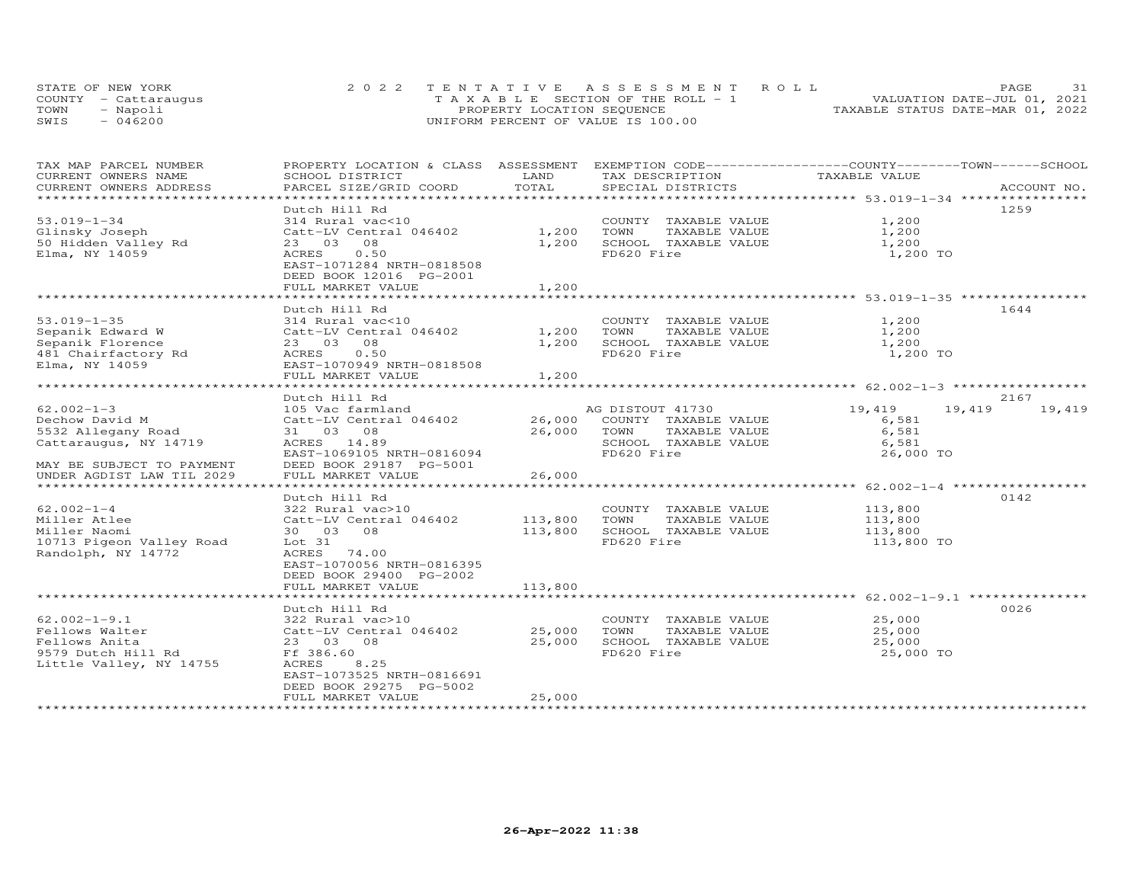|      | STATE OF NEW YORK    | 2022 TENTATIVE ASSESSMENT ROLL        | 31<br><b>PAGE</b>                |
|------|----------------------|---------------------------------------|----------------------------------|
|      | COUNTY - Cattaraugus | T A X A B L E SECTION OF THE ROLL - 1 | VALUATION DATE-JUL 01, 2021      |
| TOWN | - Napoli             | PROPERTY LOCATION SEQUENCE            | TAXABLE STATUS DATE-MAR 01, 2022 |
| SWIS | - 046200             | UNIFORM PERCENT OF VALUE IS 100.00    |                                  |

| TAX MAP PARCEL NUMBER          | PROPERTY LOCATION & CLASS ASSESSMENT EXEMPTION CODE-----------------COUNTY-------TOWN------SCHOOL |         |                       |                  |             |
|--------------------------------|---------------------------------------------------------------------------------------------------|---------|-----------------------|------------------|-------------|
| CURRENT OWNERS NAME            | SCHOOL DISTRICT                                                                                   | LAND    | TAX DESCRIPTION       | TAXABLE VALUE    |             |
| CURRENT OWNERS ADDRESS         | PARCEL SIZE/GRID COORD                                                                            | TOTAL   | SPECIAL DISTRICTS     |                  | ACCOUNT NO. |
| ****************************** |                                                                                                   |         |                       |                  |             |
|                                | Dutch Hill Rd                                                                                     |         |                       |                  | 1259        |
| $53.019 - 1 - 34$              | 314 Rural vac<10                                                                                  |         | COUNTY TAXABLE VALUE  | 1,200            |             |
| Glinsky Joseph                 | Catt-LV Central 046402                                                                            | 1,200   | TOWN<br>TAXABLE VALUE | 1,200            |             |
| 50 Hidden Valley Rd            | 23 03 08                                                                                          | 1,200   | SCHOOL TAXABLE VALUE  | 1,200            |             |
| Elma, NY 14059                 | ACRES<br>0.50                                                                                     |         | FD620 Fire            | 1,200 TO         |             |
|                                | EAST-1071284 NRTH-0818508                                                                         |         |                       |                  |             |
|                                | DEED BOOK 12016 PG-2001                                                                           |         |                       |                  |             |
|                                | FULL MARKET VALUE                                                                                 | 1,200   |                       |                  |             |
|                                |                                                                                                   |         |                       |                  |             |
|                                | Dutch Hill Rd                                                                                     |         |                       |                  | 1644        |
| $53.019 - 1 - 35$              | 314 Rural vac<10                                                                                  |         |                       | 1,200            |             |
|                                |                                                                                                   |         | COUNTY TAXABLE VALUE  |                  |             |
| Sepanik Edward W               | Catt-LV Central 046402                                                                            | 1,200   | TOWN<br>TAXABLE VALUE | 1,200            |             |
| Sepanik Florence               | 23 03<br>08                                                                                       | 1,200   | SCHOOL TAXABLE VALUE  | 1,200            |             |
| 481 Chairfactory Rd            | 0.50<br>ACRES                                                                                     |         | FD620 Fire            | 1,200 TO         |             |
| Elma, NY 14059                 | EAST-1070949 NRTH-0818508                                                                         |         |                       |                  |             |
|                                | FULL MARKET VALUE                                                                                 | 1,200   |                       |                  |             |
|                                |                                                                                                   |         |                       |                  |             |
|                                | Dutch Hill Rd                                                                                     |         |                       |                  | 2167        |
| $62.002 - 1 - 3$               | 105 Vac farmland                                                                                  |         | AG DISTOUT 41730      | 19,419<br>19,419 | 19,419      |
| Dechow David M                 | Catt-LV Central 046402                                                                            | 26,000  | COUNTY TAXABLE VALUE  | 6,581            |             |
| 5532 Allegany Road             | 31 03 08                                                                                          | 26,000  | TOWN<br>TAXABLE VALUE | 6,581            |             |
| Cattaraugus, NY 14719          | ACRES 14.89                                                                                       |         | SCHOOL TAXABLE VALUE  | 6,581            |             |
|                                | EAST-1069105 NRTH-0816094                                                                         |         | FD620 Fire            | 26,000 TO        |             |
| MAY BE SUBJECT TO PAYMENT      | DEED BOOK 29187 PG-5001                                                                           |         |                       |                  |             |
| UNDER AGDIST LAW TIL 2029      | FULL MARKET VALUE                                                                                 | 26,000  |                       |                  |             |
|                                |                                                                                                   |         |                       |                  |             |
|                                | Dutch Hill Rd                                                                                     |         |                       |                  | 0142        |
| $62.002 - 1 - 4$               | 322 Rural vac>10                                                                                  |         | COUNTY TAXABLE VALUE  | 113,800          |             |
| Miller Atlee                   | Catt-LV Central 046402                                                                            | 113,800 | TOWN<br>TAXABLE VALUE | 113,800          |             |
| Miller Naomi                   | 30 03 08                                                                                          | 113,800 | SCHOOL TAXABLE VALUE  | 113,800          |             |
| 10713 Pigeon Valley Road       | Lot 31                                                                                            |         | FD620 Fire            | 113,800 TO       |             |
| Randolph, NY 14772             | ACRES 74.00                                                                                       |         |                       |                  |             |
|                                | EAST-1070056 NRTH-0816395                                                                         |         |                       |                  |             |
|                                | DEED BOOK 29400 PG-2002                                                                           |         |                       |                  |             |
|                                | FULL MARKET VALUE                                                                                 | 113,800 |                       |                  |             |
|                                |                                                                                                   |         |                       |                  |             |
|                                |                                                                                                   |         |                       |                  | 0026        |
| $62.002 - 1 - 9.1$             | Dutch Hill Rd                                                                                     |         |                       |                  |             |
|                                | 322 Rural vac>10                                                                                  |         | COUNTY TAXABLE VALUE  | 25,000           |             |
| Fellows Walter                 | Catt-LV Central 046402                                                                            | 25,000  | TOWN<br>TAXABLE VALUE | 25,000           |             |
| Fellows Anita                  | 23 03 08                                                                                          | 25,000  | SCHOOL TAXABLE VALUE  | 25,000           |             |
| 9579 Dutch Hill Rd             | Ff 386.60                                                                                         |         | FD620 Fire            | 25,000 TO        |             |
| Little Valley, NY 14755        | 8.25<br>ACRES                                                                                     |         |                       |                  |             |
|                                | EAST-1073525 NRTH-0816691                                                                         |         |                       |                  |             |
|                                | DEED BOOK 29275 PG-5002                                                                           |         |                       |                  |             |
|                                | FULL MARKET VALUE                                                                                 | 25,000  |                       |                  |             |
|                                |                                                                                                   |         |                       |                  |             |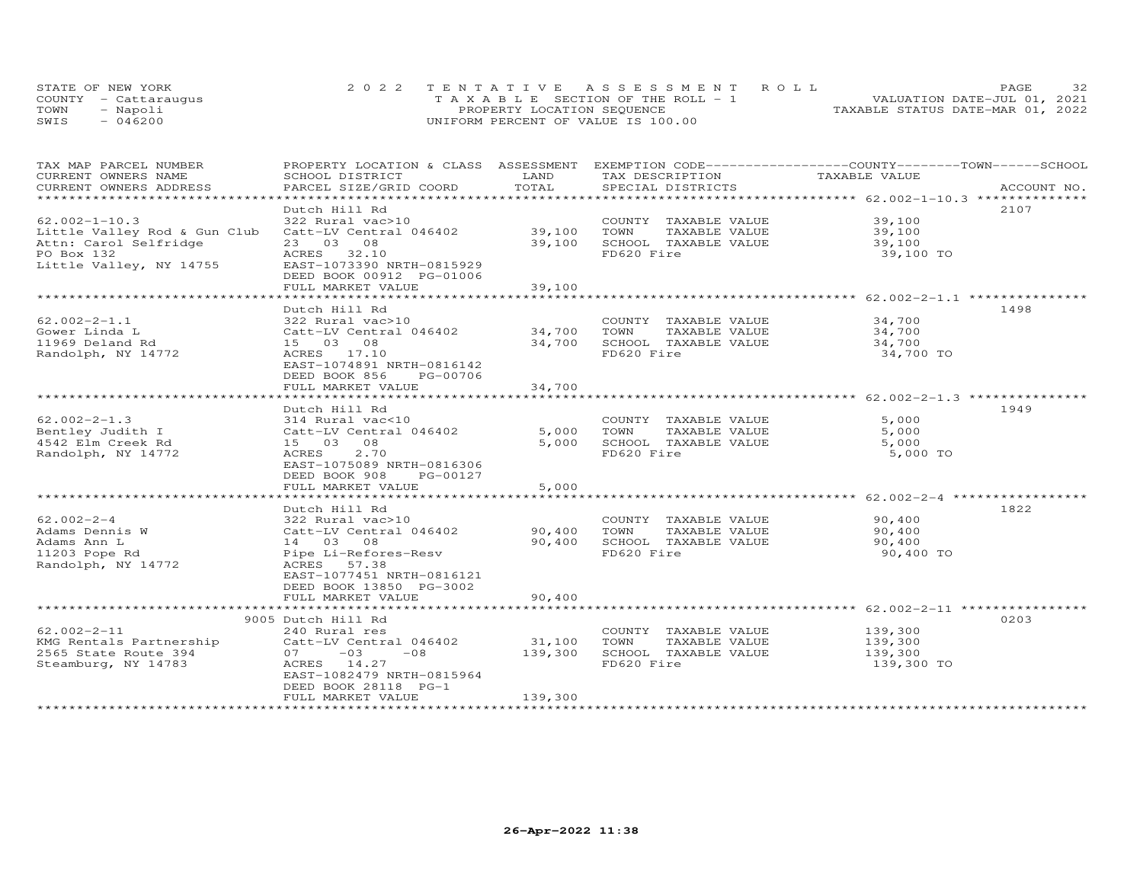|      | STATE OF NEW YORK    | 2022 TENTATIVE ASSESSMENT ROLL     | 32<br>PAGE.                      |
|------|----------------------|------------------------------------|----------------------------------|
|      | COUNTY - Cattarauqus | TAXABLE SECTION OF THE ROLL - 1    | VALUATION DATE-JUL 01, 2021      |
| TOWN | - Napoli             | PROPERTY LOCATION SEQUENCE         | TAXABLE STATUS DATE-MAR 01, 2022 |
| SWIS | $-046200$            | UNIFORM PERCENT OF VALUE IS 100.00 |                                  |

| TAX MAP PARCEL NUMBER                                       |                             |         |                       | PROPERTY LOCATION & CLASS ASSESSMENT EXEMPTION CODE-----------------COUNTY-------TOWN------SCHOOL |  |
|-------------------------------------------------------------|-----------------------------|---------|-----------------------|---------------------------------------------------------------------------------------------------|--|
| CURRENT OWNERS NAME                                         | SCHOOL DISTRICT             | LAND    | TAX DESCRIPTION       | TAXABLE VALUE                                                                                     |  |
| CURRENT OWNERS ADDRESS                                      | PARCEL SIZE/GRID COORD      | TOTAL   | SPECIAL DISTRICTS     | ACCOUNT NO.                                                                                       |  |
|                                                             |                             |         |                       |                                                                                                   |  |
|                                                             | Dutch Hill Rd               |         |                       | 2107                                                                                              |  |
| $62.002 - 1 - 10.3$                                         | 322 Rural vac>10            |         | COUNTY TAXABLE VALUE  | 39,100                                                                                            |  |
| Little Valley Rod & Gun Club                                | Catt-LV Central 046402      | 39,100  | TOWN<br>TAXABLE VALUE | 39,100                                                                                            |  |
| Attn: Carol Selfridge                                       | 23 03 08                    | 39,100  | SCHOOL TAXABLE VALUE  | 39,100                                                                                            |  |
| PO Box 132                                                  | ACRES 32.10                 |         | FD620 Fire            | 39,100 TO                                                                                         |  |
| Little Valley, NY 14755                                     | EAST-1073390 NRTH-0815929   |         |                       |                                                                                                   |  |
|                                                             | DEED BOOK 00912 PG-01006    |         |                       |                                                                                                   |  |
|                                                             | FULL MARKET VALUE           | 39,100  |                       |                                                                                                   |  |
|                                                             |                             |         |                       |                                                                                                   |  |
|                                                             | Dutch Hill Rd               |         |                       | 1498                                                                                              |  |
| $62.002 - 2 - 1.1$                                          | 322 Rural vac>10            |         | COUNTY TAXABLE VALUE  | 34,700                                                                                            |  |
| Gower Linda L                                               | Catt-LV Central 046402      | 34,700  | TAXABLE VALUE<br>TOWN | 34,700                                                                                            |  |
| 11969 Deland Rd                                             | 15 03 08                    | 34,700  | SCHOOL TAXABLE VALUE  | 34,700                                                                                            |  |
| Randolph, NY 14772                                          | ACRES 17.10                 |         | FD620 Fire            | 34,700 TO                                                                                         |  |
|                                                             | EAST-1074891 NRTH-0816142   |         |                       |                                                                                                   |  |
|                                                             | DEED BOOK 856<br>PG-00706   |         |                       |                                                                                                   |  |
|                                                             | FULL MARKET VALUE           | 34,700  |                       |                                                                                                   |  |
|                                                             | *************************   |         |                       |                                                                                                   |  |
|                                                             | Dutch Hill Rd               |         |                       | 1949                                                                                              |  |
| $62.002 - 2 - 1.3$                                          | 314 Rural vac<10            |         | COUNTY TAXABLE VALUE  | 5,000                                                                                             |  |
| Bentley Judith I                                            | Catt-LV Central 046402      | 5,000   | TOWN<br>TAXABLE VALUE | 5,000                                                                                             |  |
| 4542 Elm Creek Rd                                           | 15 03 08                    | 5,000   | SCHOOL TAXABLE VALUE  | 5,000                                                                                             |  |
| Randolph, NY 14772                                          | 2.70<br>ACRES               |         | FD620 Fire            | 5,000 TO                                                                                          |  |
|                                                             | EAST-1075089 NRTH-0816306   |         |                       |                                                                                                   |  |
|                                                             | DEED BOOK 908<br>PG-00127   |         |                       |                                                                                                   |  |
|                                                             | FULL MARKET VALUE           | 5,000   |                       |                                                                                                   |  |
|                                                             | *************************** |         |                       | ************************ 62.002-2-4 **************                                                |  |
|                                                             | Dutch Hill Rd               |         |                       | 1822                                                                                              |  |
| $62.002 - 2 - 4$                                            | 322 Rural vac>10            |         | COUNTY TAXABLE VALUE  | 90,400                                                                                            |  |
| Adams Dennis W                                              | Catt-LV Central 046402      | 90,400  | TOWN<br>TAXABLE VALUE | 90,400                                                                                            |  |
| Adams Ann L                                                 | 14 03 08                    | 90,400  | SCHOOL TAXABLE VALUE  | 90,400                                                                                            |  |
| 11203 Pope Rd                                               | Pipe Li-Refores-Resv        |         | FD620 Fire            | 90,400 TO                                                                                         |  |
| Randolph, NY 14772                                          | ACRES 57.38                 |         |                       |                                                                                                   |  |
|                                                             | EAST-1077451 NRTH-0816121   |         |                       |                                                                                                   |  |
|                                                             | DEED BOOK 13850 PG-3002     |         |                       |                                                                                                   |  |
|                                                             | FULL MARKET VALUE           | 90,400  |                       |                                                                                                   |  |
|                                                             |                             |         |                       |                                                                                                   |  |
|                                                             | 9005 Dutch Hill Rd          |         |                       | 0203                                                                                              |  |
| $62.002 - 2 - 11$                                           | 240 Rural res               |         | COUNTY TAXABLE VALUE  | 139,300                                                                                           |  |
| KMG Rentals Partnership Catt-LV Central 046402              |                             | 31,100  | TOWN<br>TAXABLE VALUE | 139,300                                                                                           |  |
| nno nunculum<br>2565 State Route 394<br>Stopmburg, NY 14783 | $07 -03$<br>$-08$           | 139,300 | SCHOOL TAXABLE VALUE  | 139,300                                                                                           |  |
|                                                             | ACRES 14.27                 |         | FD620 Fire            | 139,300 TO                                                                                        |  |
|                                                             | EAST-1082479 NRTH-0815964   |         |                       |                                                                                                   |  |
|                                                             | DEED BOOK 28118 PG-1        |         |                       |                                                                                                   |  |
|                                                             | FULL MARKET VALUE           | 139,300 |                       |                                                                                                   |  |
|                                                             |                             |         |                       |                                                                                                   |  |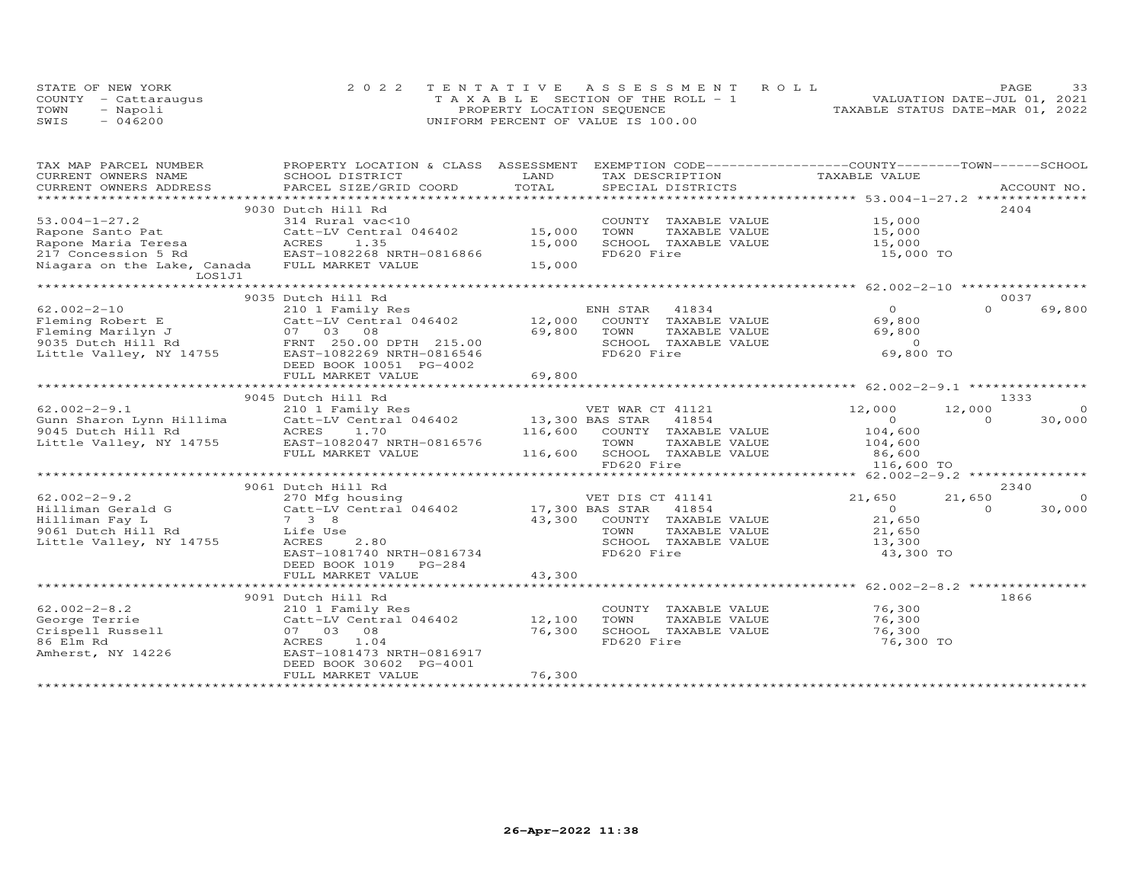|      | STATE OF NEW YORK    | 2022 TENTATIVE ASSESSMENT ROLL        | PAGE                             | 33 |
|------|----------------------|---------------------------------------|----------------------------------|----|
|      | COUNTY - Cattaraugus | T A X A B L E SECTION OF THE ROLL - 1 | VALUATION DATE-JUL 01, 2021      |    |
| TOWN | - Napoli             | PROPERTY LOCATION SEQUENCE            | TAXABLE STATUS DATE-MAR 01, 2022 |    |
| SWIS | $-046200$            | UNIFORM PERCENT OF VALUE IS 100.00    |                                  |    |

| TAX MAP PARCEL NUMBER<br>CURRENT OWNERS NAME                                                                                                                                                                                                                                     | PROPERTY LOCATION & CLASS ASSESSMENT EXEMPTION CODE----------------COUNTY-------TOWN------SCHOOL<br>SCHOOL DISTRICT                                  | LAND                       | TAX DESCRIPTION                                                                                              | TAXABLE VALUE                                                                    |                                |
|----------------------------------------------------------------------------------------------------------------------------------------------------------------------------------------------------------------------------------------------------------------------------------|------------------------------------------------------------------------------------------------------------------------------------------------------|----------------------------|--------------------------------------------------------------------------------------------------------------|----------------------------------------------------------------------------------|--------------------------------|
| CURRENT OWNERS ADDRESS<br>.CURRENT OWNERS ADDRESS PARCEL SIZE/GRID COORD TOTAL SPECIAL DISTRICTS ACCOUNT NO ACCOUNT NO ACCOUNT NO ACCOUNT NO ACCOUNT NO A LATA AND MAXILE A LATA AND MAXILE A LATA AND MAXILE A LATA AND MAXILE A LATA AND A LATA AND A                          |                                                                                                                                                      |                            |                                                                                                              |                                                                                  |                                |
|                                                                                                                                                                                                                                                                                  |                                                                                                                                                      |                            |                                                                                                              |                                                                                  |                                |
| $53.004 - 1 - 27.2$<br>Rapone Santo Pat<br>Rapone Maria Teresa<br>217 Concession 5 Rd<br>Niagara on the Lake, Canada<br>LOS1J1                                                                                                                                                   | 9030 Dutch Hill Rd<br>314 Rural vac<10<br>Catt-LV Central 046402 15,000<br>ACRES<br>1.35<br>EAST-1082268 NRTH-0816866<br>FULL MARKET VALUE           | 15,000<br>15,000           | COUNTY TAXABLE VALUE 15,000<br>TOWN<br>TAXABLE VALUE<br>SCHOOL TAXABLE VALUE<br>FD620 Fire                   | 15,000<br>15,000<br>15,000 TO                                                    | 2404                           |
|                                                                                                                                                                                                                                                                                  | 9035 Dutch Hill Rd                                                                                                                                   |                            |                                                                                                              |                                                                                  | 0037                           |
| $62.002 - 2 - 10$<br>Fleming Robert E<br>Fleming Marilyn J<br>Pleming Marilyn J<br>9035 Dutch Hill Rd<br>Little Valley, NY 14755<br>EAST-1082269 NRTH-0816546                                                                                                                    | 210 1 Family Res<br>Catt-LV Central 046402<br>DEED BOOK 10051 PG-4002                                                                                | 69,800                     | ENH STAR 41834<br>12,000 COUNTY TAXABLE VALUE<br>TOWN<br>TAXABLE VALUE<br>SCHOOL TAXABLE VALUE<br>FD620 Fire | $\Omega$<br>69,800<br>69,800<br>$\Omega$<br>69,800 TO                            | $\Omega$<br>69,800             |
|                                                                                                                                                                                                                                                                                  | FULL MARKET VALUE                                                                                                                                    | 69,800                     |                                                                                                              |                                                                                  |                                |
|                                                                                                                                                                                                                                                                                  | 9045 Dutch Hill Rd                                                                                                                                   |                            |                                                                                                              |                                                                                  | 1333                           |
| $62.002 - 2 - 9.1$                                                                                                                                                                                                                                                               | 210 1 Family Res<br>FULL MARKET VALUE                                                                                                                |                            | VET WAR CT 41121<br>116,600 SCHOOL TAXABLE VALUE<br>FD620 Fire                                               | 12,000<br>12,000<br>$\overline{0}$<br>104,600<br>104,600<br>86,600<br>116,600 TO | $\Omega$<br>30,000<br>$\Omega$ |
|                                                                                                                                                                                                                                                                                  | 9061 Dutch Hill Rd                                                                                                                                   |                            |                                                                                                              |                                                                                  | 2340                           |
| $62.002 - 2 - 9.2$<br>University of the cattractive control of the cattractive control of the cattractive control of the control of<br>Hilliman Fay Land Cattractive Central 046402 17,300 BAS STAR 41854<br>9061 Dutch Hill Rd Life Use town TAXABLE<br>Little Valley, NY 14755 | 270 Mfg housing<br>2.80<br>ACRES<br>EAST-1081740 NRTH-0816734<br>DEED BOOK 1019 PG-284<br>FULL MARKET VALUE                                          | 43,300                     | VET DIS CT 41141<br>43,300 COUNTY TAXABLE VALUE<br>TAXABLE VALUE<br>SCHOOL TAXABLE VALUE<br>FD620 Fire       | 21,650<br>21,650<br>$\overline{0}$<br>21,650<br>21,650<br>13,300<br>43,300 TO    | $\circ$<br>30,000<br>$\Omega$  |
|                                                                                                                                                                                                                                                                                  | 9091 Dutch Hill Rd                                                                                                                                   |                            |                                                                                                              |                                                                                  | 1866                           |
| $62.002 - 2 - 8.2$<br>George Terrie<br>Crispell Russell<br>86 Elm Rd<br>Amherst, NY 14226                                                                                                                                                                                        | 210 1 Family Res<br>Catt-LV Central 046402<br>07 03 08<br>ACRES<br>1.04<br>EAST-1081473 NRTH-0816917<br>DEED BOOK 30602 PG-4001<br>FULL MARKET VALUE | 12,100<br>76,300<br>76,300 | COUNTY TAXABLE VALUE<br>TOWN<br>TAXABLE VALUE<br>SCHOOL TAXABLE VALUE<br>FD620 Fire                          | 76,300<br>76,300<br>76,300<br>76,300 TO                                          |                                |
|                                                                                                                                                                                                                                                                                  |                                                                                                                                                      |                            |                                                                                                              |                                                                                  |                                |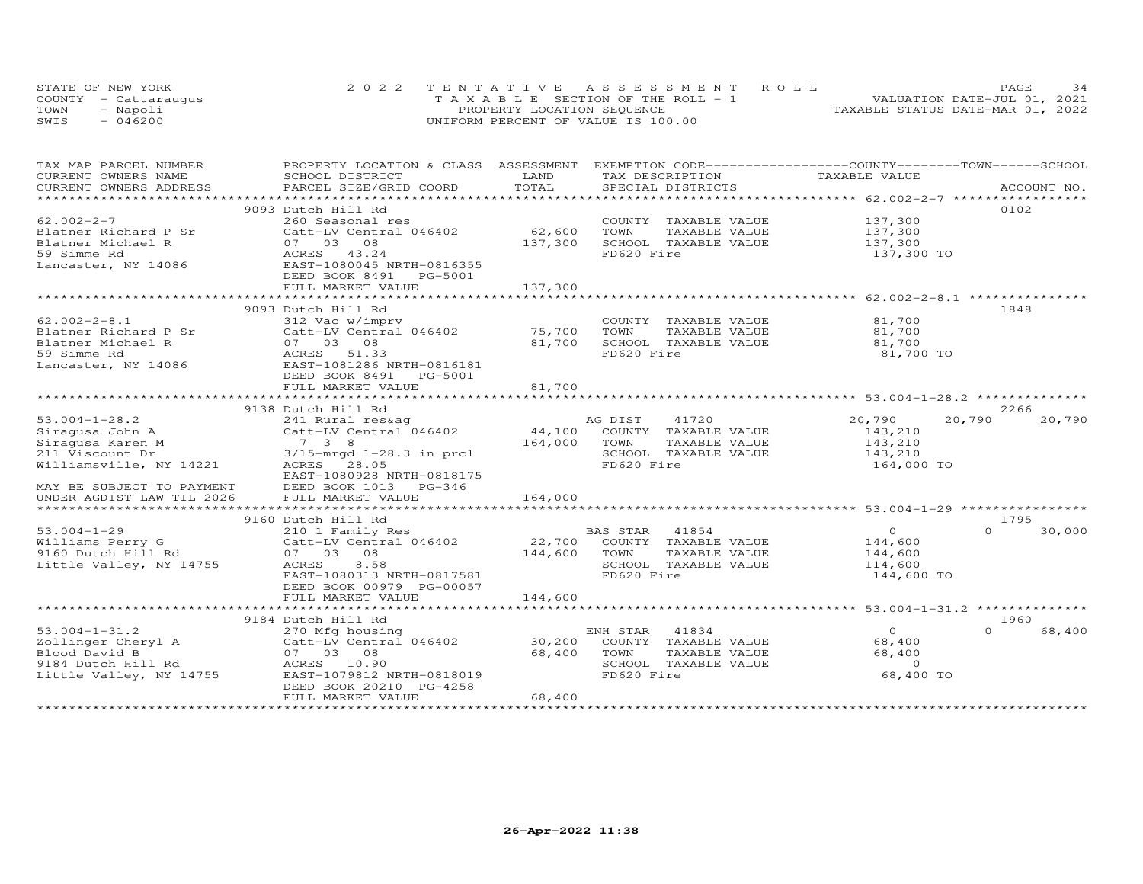| STATE OF NEW YORK    | 2022 TENTATIVE ASSESSMENT ROLL        | 34<br>PAGE.                      |
|----------------------|---------------------------------------|----------------------------------|
| COUNTY - Cattaraugus | T A X A B L E SECTION OF THE ROLL - 1 | VALUATION DATE-JUL 01, 2021      |
| TOWN<br>- Napoli     | PROPERTY LOCATION SEQUENCE            | TAXABLE STATUS DATE-MAR 01, 2022 |
| $-046200$<br>SWIS    | UNIFORM PERCENT OF VALUE IS 100.00    |                                  |

| TAX MAP PARCEL NUMBER                                                                                                            | PROPERTY LOCATION & CLASS ASSESSMENT      |               | EXEMPTION CODE-----------------COUNTY-------TOWN-----SCHOOL   |                                                       |                    |
|----------------------------------------------------------------------------------------------------------------------------------|-------------------------------------------|---------------|---------------------------------------------------------------|-------------------------------------------------------|--------------------|
| CURRENT OWNERS NAME                                                                                                              | SCHOOL DISTRICT                           | LAND          | TAX DESCRIPTION                                               | TAXABLE VALUE                                         |                    |
| CURRENT OWNERS ADDRESS                                                                                                           | PARCEL SIZE/GRID COORD                    | TOTAL         | SPECIAL DISTRICTS                                             |                                                       | ACCOUNT NO.        |
|                                                                                                                                  |                                           |               | **************************                                    | *********************** 62.002-2-7 ****************** |                    |
|                                                                                                                                  | 9093 Dutch Hill Rd                        |               |                                                               |                                                       | 0102               |
| $62.002 - 2 - 7$                                                                                                                 | 260 Seasonal res                          |               | COUNTY TAXABLE VALUE                                          | 137,300                                               |                    |
| Blatner Richard P Sr                                                                                                             | Catt-LV Central 046402                    | 62,600        | TOWN<br>TAXABLE VALUE                                         | 137,300                                               |                    |
| Blatner Michael R                                                                                                                | 07 03 08                                  | 137,300       | SCHOOL TAXABLE VALUE                                          | 137,300                                               |                    |
| 59 Simme Rd                                                                                                                      | ACRES 43.24                               |               | FD620 Fire                                                    | 137,300 TO                                            |                    |
| Lancaster, NY 14086                                                                                                              | EAST-1080045 NRTH-0816355                 |               |                                                               |                                                       |                    |
|                                                                                                                                  | DEED BOOK 8491<br>PG-5001                 |               |                                                               |                                                       |                    |
|                                                                                                                                  | FULL MARKET VALUE                         | 137,300       |                                                               |                                                       |                    |
|                                                                                                                                  |                                           |               | ************************************62.002-2-8.1 ************ |                                                       |                    |
|                                                                                                                                  |                                           |               |                                                               |                                                       |                    |
|                                                                                                                                  | 9093 Dutch Hill Rd                        |               |                                                               |                                                       | 1848               |
| $62.002 - 2 - 8.1$                                                                                                               | 312 Vac w/imprv                           |               | COUNTY TAXABLE VALUE                                          | 81,700                                                |                    |
| Blatner Richard P Sr                                                                                                             | Catt-LV Central 046402                    | 75,700        | TAXABLE VALUE<br>TOWN                                         | 81,700                                                |                    |
| Blatner Michael R                                                                                                                | 07 03 08                                  | 81,700        | SCHOOL TAXABLE VALUE                                          | 81,700                                                |                    |
| 59 Simme Rd                                                                                                                      | ACRES<br>51.33                            |               | FD620 Fire                                                    | 81,700 TO                                             |                    |
| Lancaster, NY 14086                                                                                                              | EAST-1081286 NRTH-0816181                 |               |                                                               |                                                       |                    |
|                                                                                                                                  | DEED BOOK 8491 PG-5001                    |               |                                                               |                                                       |                    |
|                                                                                                                                  | FULL MARKET VALUE                         | 81,700        |                                                               |                                                       |                    |
|                                                                                                                                  | ***************************               |               |                                                               |                                                       |                    |
|                                                                                                                                  | 9138 Dutch Hill Rd                        |               |                                                               |                                                       | 2266               |
| $53.004 - 1 - 28.2$                                                                                                              | 241 Rural res&ag                          |               | AG DIST<br>41720                                              | 20,790                                                | 20,790<br>20,790   |
|                                                                                                                                  | Catt-LV Central 046402                    |               | 44,100 COUNTY TAXABLE VALUE                                   | 143,210                                               |                    |
|                                                                                                                                  |                                           | 164,000       | TOWN<br>TAXABLE VALUE                                         | 143,210                                               |                    |
|                                                                                                                                  | $3/15$ -mrgd $1-28.3$ in prcl             |               | SCHOOL TAXABLE VALUE                                          | 143,210                                               |                    |
| Sinagusa John A<br>Sinagusa John A<br>Sinagusa Karen M<br>211 Viscount Dr<br>211 Viscount Dr<br>3/15-mrgd 1-28<br>28.05<br>28.05 |                                           |               | FD620 Fire                                                    | 164,000 TO                                            |                    |
|                                                                                                                                  | EAST-1080928 NRTH-0818175                 |               |                                                               |                                                       |                    |
| MAY BE SUBJECT TO PAYMENT                                                                                                        | DEED BOOK 1013 PG-346                     |               |                                                               |                                                       |                    |
| UNDER AGDIST LAW TIL 2026                                                                                                        | FULL MARKET VALUE                         | 164,000       |                                                               |                                                       |                    |
|                                                                                                                                  |                                           | ************* | ******************************* 53.004-1-29 ***************** |                                                       |                    |
|                                                                                                                                  |                                           |               |                                                               |                                                       |                    |
|                                                                                                                                  | 9160 Dutch Hill Rd                        |               |                                                               |                                                       | 1795               |
| $53.004 - 1 - 29$                                                                                                                | 210 1 Family Res                          |               | BAS STAR<br>41854                                             | $\Omega$                                              | $\Omega$<br>30,000 |
| Williams Perry G                                                                                                                 | Catt-LV Central 046402                    |               | 22,700 COUNTY TAXABLE VALUE                                   | 144,600                                               |                    |
| 9160 Dutch Hill Rd                                                                                                               | 07 03 08                                  | 144,600       | TOWN<br>TAXABLE VALUE                                         | 144,600                                               |                    |
| Little Valley, NY 14755                                                                                                          | 8.58<br>ACRES                             |               | SCHOOL TAXABLE VALUE                                          | 114,600                                               |                    |
|                                                                                                                                  | EAST-1080313 NRTH-0817581                 |               | FD620 Fire                                                    | 144,600 TO                                            |                    |
|                                                                                                                                  | DEED BOOK 00979 PG-00057                  |               |                                                               |                                                       |                    |
|                                                                                                                                  | FULL MARKET VALUE                         | 144,600       |                                                               |                                                       |                    |
|                                                                                                                                  |                                           |               |                                                               |                                                       |                    |
|                                                                                                                                  | 9184 Dutch Hill Rd                        |               |                                                               |                                                       | 1960               |
| $53.004 - 1 - 31.2$                                                                                                              | 270 Mfg housing                           |               | ENH STAR<br>41834                                             | $\Omega$                                              | $\cap$<br>68,400   |
|                                                                                                                                  | Zollinger Cheryl A Catt-LV Central 046402 | 30,200        | COUNTY TAXABLE VALUE                                          | 68,400                                                |                    |
| Blood David B                                                                                                                    | 07 03 08                                  | 68,400        | TOWN<br>TAXABLE VALUE                                         | 68,400                                                |                    |
| 9184 Dutch Hill Rd                                                                                                               | ACRES 10.90                               |               | SCHOOL TAXABLE VALUE                                          | $\Omega$                                              |                    |
| Little Valley, NY 14755                                                                                                          | EAST-1079812 NRTH-0818019                 |               | FD620 Fire                                                    | 68,400 TO                                             |                    |
|                                                                                                                                  | DEED BOOK 20210 PG-4258                   |               |                                                               |                                                       |                    |
|                                                                                                                                  | FULL MARKET VALUE                         | 68,400        |                                                               |                                                       |                    |
|                                                                                                                                  |                                           |               |                                                               |                                                       |                    |
|                                                                                                                                  |                                           |               |                                                               |                                                       |                    |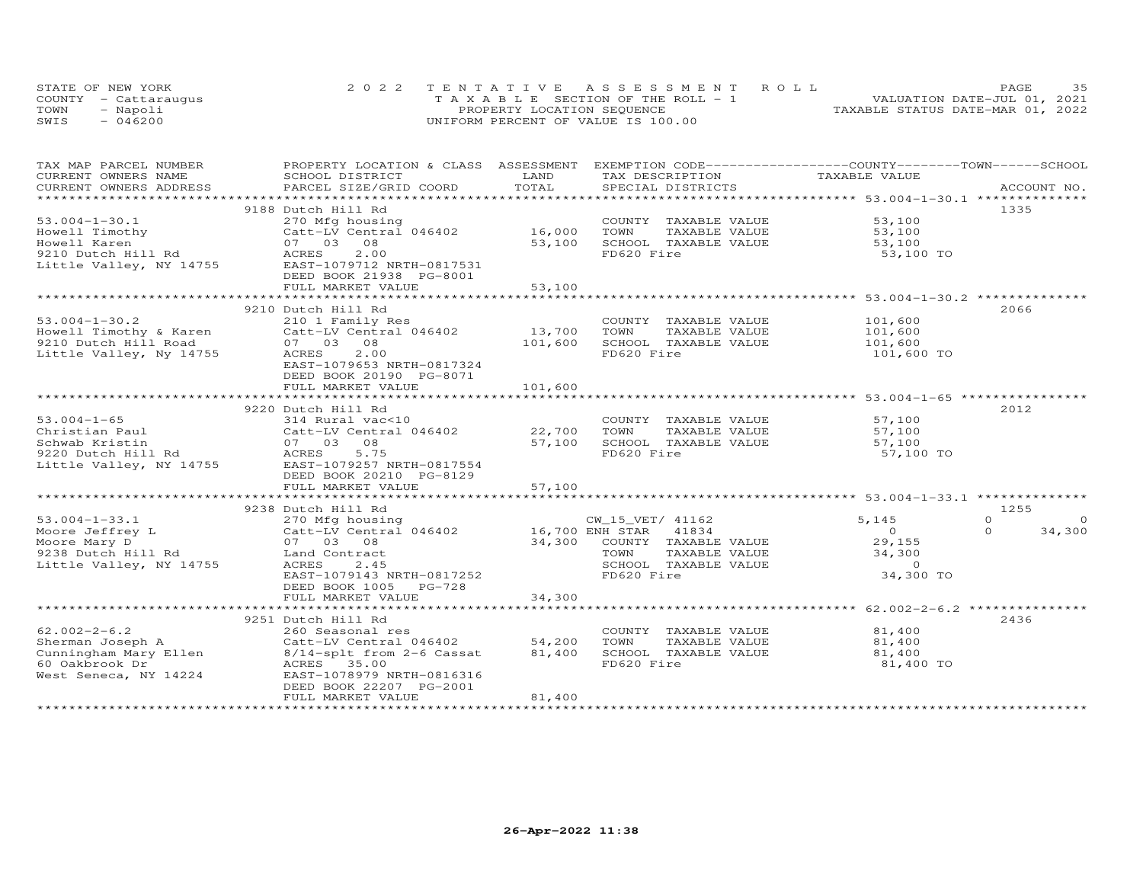|      | STATE OF NEW YORK    | 2022 TENTATIVE ASSESSMENT ROLL        | 35<br>PAGE                       |
|------|----------------------|---------------------------------------|----------------------------------|
|      | COUNTY - Cattaraugus | T A X A B L E SECTION OF THE ROLL - 1 | VALUATION DATE-JUL 01, 2021      |
| TOWN | - Napoli             | PROPERTY LOCATION SEQUENCE            | TAXABLE STATUS DATE-MAR 01, 2022 |
| SWIS | $-046200$            | UNIFORM PERCENT OF VALUE IS 100.00    |                                  |

| TAX MAP PARCEL NUMBER<br>CURRENT OWNERS NAME | PROPERTY LOCATION & CLASS ASSESSMENT<br>SCHOOL DISTRICT | LAND                 | EXEMPTION CODE-----------------COUNTY-------TOWN------SCHOOL<br>TAX DESCRIPTION | TAXABLE VALUE                                                                    |                      |
|----------------------------------------------|---------------------------------------------------------|----------------------|---------------------------------------------------------------------------------|----------------------------------------------------------------------------------|----------------------|
| CURRENT OWNERS ADDRESS                       | PARCEL SIZE/GRID COORD                                  | TOTAL                | SPECIAL DISTRICTS                                                               |                                                                                  | ACCOUNT NO.          |
|                                              |                                                         |                      |                                                                                 |                                                                                  |                      |
|                                              | 9188 Dutch Hill Rd                                      |                      |                                                                                 |                                                                                  | 1335                 |
| $53.004 - 1 - 30.1$                          | 270 Mfg housing                                         |                      | COUNTY TAXABLE VALUE                                                            | 53,100                                                                           |                      |
| Howell Timothy                               | Catt-LV Central 046402                                  | 16,000               | TOWN<br>TAXABLE VALUE                                                           | 53,100                                                                           |                      |
| Howell Karen                                 | 07 03 08                                                | 53,100               | SCHOOL TAXABLE VALUE                                                            | 53,100                                                                           |                      |
| 9210 Dutch Hill Rd                           | 2.00<br>ACRES                                           |                      | FD620 Fire                                                                      | 53,100 TO                                                                        |                      |
| Little Valley, NY 14755                      | EAST-1079712 NRTH-0817531                               |                      |                                                                                 |                                                                                  |                      |
|                                              | DEED BOOK 21938 PG-8001                                 |                      |                                                                                 |                                                                                  |                      |
|                                              | FULL MARKET VALUE                                       | 53,100               |                                                                                 |                                                                                  |                      |
|                                              | ************************                                | ******************** |                                                                                 | ************************************53.004-1-30.2 ****************************** |                      |
|                                              | 9210 Dutch Hill Rd                                      |                      |                                                                                 |                                                                                  | 2066                 |
| $53.004 - 1 - 30.2$                          | 210 1 Family Res                                        |                      | COUNTY TAXABLE VALUE                                                            | 101,600                                                                          |                      |
| Howell Timothy & Karen                       |                                                         | 13,700               | TOWN<br>TAXABLE VALUE                                                           |                                                                                  |                      |
|                                              | Catt-LV Central 046402                                  |                      |                                                                                 | 101,600                                                                          |                      |
| 9210 Dutch Hill Road                         | 07 03 08                                                | 101,600              | SCHOOL TAXABLE VALUE                                                            | 101,600                                                                          |                      |
| Little Valley, Ny 14755                      | ACRES<br>2.00                                           |                      | FD620 Fire                                                                      | 101,600 TO                                                                       |                      |
|                                              | EAST-1079653 NRTH-0817324                               |                      |                                                                                 |                                                                                  |                      |
|                                              | DEED BOOK 20190 PG-8071                                 |                      |                                                                                 |                                                                                  |                      |
|                                              | FULL MARKET VALUE                                       | 101,600              | ********************************* 53.004-1-65 ***********                       |                                                                                  |                      |
|                                              |                                                         |                      |                                                                                 |                                                                                  |                      |
|                                              | 9220 Dutch Hill Rd                                      |                      |                                                                                 |                                                                                  | 2012                 |
| $53.004 - 1 - 65$                            | 314 Rural vac<10                                        |                      | COUNTY TAXABLE VALUE                                                            | 57,100                                                                           |                      |
| Christian Paul                               | Catt-LV Central 046402                                  | 22,700               | TOWN<br>TAXABLE VALUE                                                           | 57,100                                                                           |                      |
| Schwab Kristin                               | 07 03 08                                                | 57,100               | SCHOOL TAXABLE VALUE                                                            | 57,100                                                                           |                      |
| 9220 Dutch Hill Rd                           | ACRES 5.75                                              |                      | FD620 Fire                                                                      | 57,100 TO                                                                        |                      |
| Little Valley, NY 14755                      | EAST-1079257 NRTH-0817554                               |                      |                                                                                 |                                                                                  |                      |
|                                              | DEED BOOK 20210 PG-8129                                 |                      |                                                                                 |                                                                                  |                      |
|                                              | FULL MARKET VALUE                                       | 57,100               |                                                                                 |                                                                                  |                      |
|                                              |                                                         |                      |                                                                                 |                                                                                  |                      |
|                                              | 9238 Dutch Hill Rd                                      |                      |                                                                                 |                                                                                  | 1255                 |
| $53.004 - 1 - 33.1$                          | 270 Mfg housing                                         |                      | CW_15_VET/ 41162                                                                | 5,145                                                                            | $\Omega$<br>$\Omega$ |
| Moore Jeffrey L                              | Catt-LV Central 046402 16,700 ENH STAR                  |                      | 41834                                                                           | $\begin{array}{c} 0 \\ 29,155 \end{array}$                                       | $\Omega$<br>34,300   |
| Moore Mary D                                 | 07 03 08                                                |                      | 34,300 COUNTY TAXABLE VALUE                                                     |                                                                                  |                      |
| 9238 Dutch Hill Rd                           | Land Contract                                           |                      | TOWN<br>TAXABLE VALUE                                                           | 34,300                                                                           |                      |
| Little Valley, NY 14755                      | ACRES<br>2.45                                           |                      | SCHOOL TAXABLE VALUE                                                            | $\circ$                                                                          |                      |
|                                              | EAST-1079143 NRTH-0817252                               |                      | FD620 Fire                                                                      | 34,300 TO                                                                        |                      |
|                                              | DEED BOOK 1005 PG-728                                   |                      |                                                                                 |                                                                                  |                      |
|                                              | FULL MARKET VALUE                                       | 34,300               |                                                                                 |                                                                                  |                      |
|                                              |                                                         |                      |                                                                                 |                                                                                  |                      |
|                                              | 9251 Dutch Hill Rd                                      |                      |                                                                                 |                                                                                  | 2436                 |
| $62.002 - 2 - 6.2$                           | 260 Seasonal res                                        |                      | COUNTY TAXABLE VALUE                                                            | 81,400                                                                           |                      |
|                                              |                                                         | 54,200               | TOWN<br>TAXABLE VALUE                                                           | 81,400                                                                           |                      |
|                                              |                                                         | 81,400               | SCHOOL TAXABLE VALUE                                                            | 81,400                                                                           |                      |
|                                              |                                                         |                      | FD620 Fire                                                                      | 81,400 TO                                                                        |                      |
| West Seneca, NY 14224                        | EAST-1078979 NRTH-0816316                               |                      |                                                                                 |                                                                                  |                      |
|                                              | DEED BOOK 22207 PG-2001                                 |                      |                                                                                 |                                                                                  |                      |
|                                              | FULL MARKET VALUE                                       | 81,400               |                                                                                 |                                                                                  |                      |
|                                              |                                                         |                      |                                                                                 |                                                                                  |                      |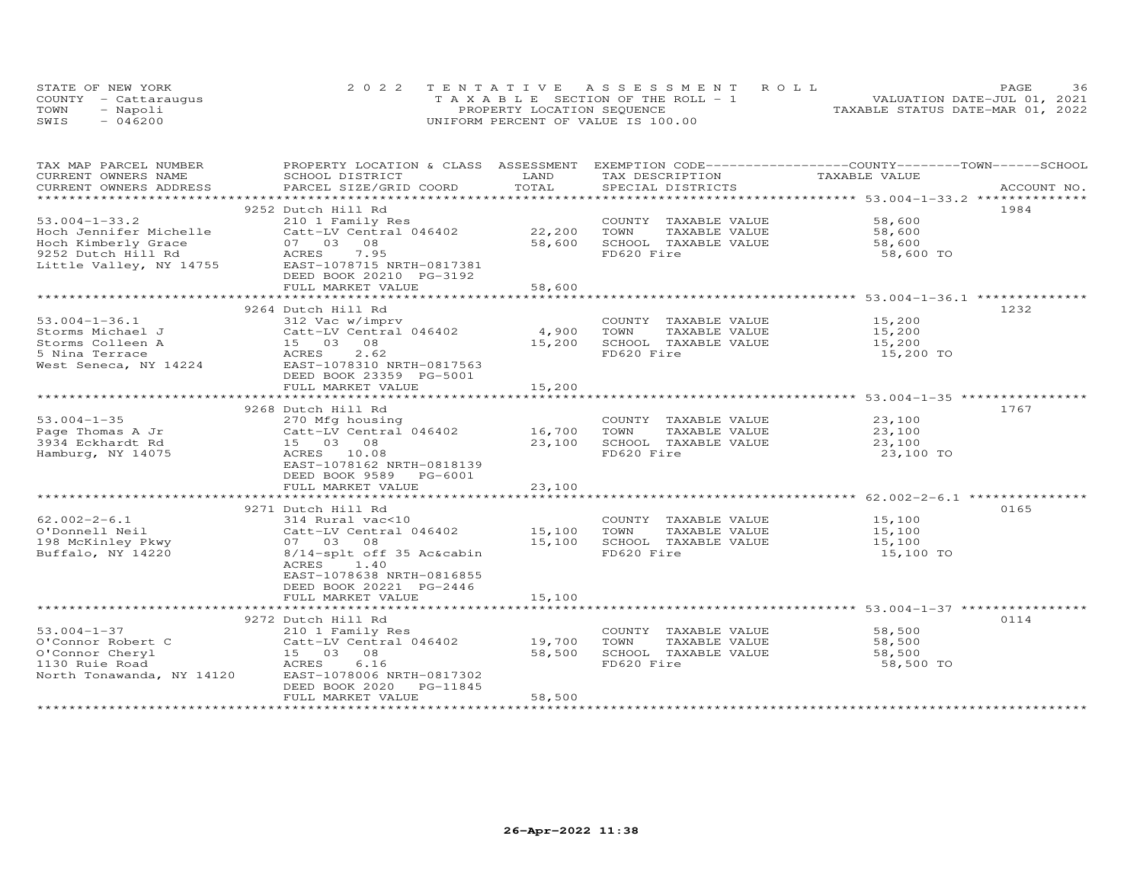|      | STATE OF NEW YORK    | 2022 TENTATIVE ASSESSMENT ROLL        | 36<br>PAGE                       |
|------|----------------------|---------------------------------------|----------------------------------|
|      | COUNTY - Cattaraugus | T A X A B L E SECTION OF THE ROLL - 1 | VALUATION DATE-JUL 01, 2021      |
| TOWN | - Napoli             | PROPERTY LOCATION SEQUENCE            | TAXABLE STATUS DATE-MAR 01, 2022 |
| SWIS | $-046200$            | UNIFORM PERCENT OF VALUE IS 100.00    |                                  |

| TAX MAP PARCEL NUMBER<br>CURRENT OWNERS NAME | PROPERTY LOCATION & CLASS ASSESSMENT<br>SCHOOL DISTRICT  | LAND   | EXEMPTION CODE-----------------COUNTY-------TOWN------SCHOOL<br>TAX DESCRIPTION | TAXABLE VALUE                                                    |             |
|----------------------------------------------|----------------------------------------------------------|--------|---------------------------------------------------------------------------------|------------------------------------------------------------------|-------------|
| CURRENT OWNERS ADDRESS                       | PARCEL SIZE/GRID COORD                                   | TOTAL  | SPECIAL DISTRICTS                                                               |                                                                  | ACCOUNT NO. |
| ***********************                      |                                                          |        |                                                                                 |                                                                  |             |
|                                              | 9252 Dutch Hill Rd                                       |        |                                                                                 |                                                                  | 1984        |
| $53.004 - 1 - 33.2$                          | 210 1 Family Res                                         |        | COUNTY TAXABLE VALUE                                                            | 58,600                                                           |             |
| Hoch Jennifer Michelle                       | Catt-LV Central 046402                                   | 22,200 | TOWN<br>TAXABLE VALUE                                                           | 58,600                                                           |             |
| Hoch Kimberly Grace                          | 07 03 08                                                 | 58,600 | SCHOOL TAXABLE VALUE                                                            | 58,600                                                           |             |
| 9252 Dutch Hill Rd                           | ACRES 7.95                                               |        | FD620 Fire                                                                      | 58,600 TO                                                        |             |
|                                              | Little Valley, NY 14755 EAST-1078715 NRTH-0817381        |        |                                                                                 |                                                                  |             |
|                                              | DEED BOOK 20210 PG-3192                                  |        |                                                                                 |                                                                  |             |
|                                              | FULL MARKET VALUE                                        | 58,600 |                                                                                 | ********************************** 53.004-1-36.1 *************** |             |
|                                              |                                                          |        |                                                                                 |                                                                  |             |
|                                              | 9264 Dutch Hill Rd                                       |        |                                                                                 |                                                                  | 1232        |
| $53.004 - 1 - 36.1$                          | 312 Vac w/imprv                                          |        | COUNTY TAXABLE VALUE                                                            | 15,200                                                           |             |
| Storms Michael J                             | Catt-LV Central 046402<br>Catt-LV Ceni<br>15    03    08 | 4,900  | TAXABLE VALUE<br>TOWN                                                           | 15,200                                                           |             |
| Storms Colleen A                             |                                                          | 15,200 | SCHOOL TAXABLE VALUE                                                            | 15,200                                                           |             |
| 5 Nina Terrace                               | 2.62<br>ACRES                                            |        | FD620 Fire                                                                      | 15,200 TO                                                        |             |
| West Seneca, NY 14224                        | EAST-1078310 NRTH-0817563<br>DEED BOOK 23359 PG-5001     |        |                                                                                 |                                                                  |             |
|                                              | FULL MARKET VALUE                                        | 15,200 |                                                                                 |                                                                  |             |
|                                              |                                                          |        |                                                                                 |                                                                  |             |
|                                              | 9268 Dutch Hill Rd                                       |        |                                                                                 |                                                                  | 1767        |
| $53.004 - 1 - 35$                            | 270 Mfg housing                                          |        | COUNTY TAXABLE VALUE                                                            | 23,100                                                           |             |
| Page Thomas A Jr                             | Catt-LV Central 046402                                   | 16,700 | TOWN<br>TAXABLE VALUE                                                           | 23,100                                                           |             |
| 3934 Eckhardt Rd                             | 15 03 08                                                 | 23,100 | SCHOOL TAXABLE VALUE                                                            | 23,100                                                           |             |
| Hamburg, NY 14075                            | ACRES 10.08                                              |        | FD620 Fire                                                                      | 23,100 TO                                                        |             |
|                                              | EAST-1078162 NRTH-0818139                                |        |                                                                                 |                                                                  |             |
|                                              | DEED BOOK 9589 PG-6001                                   |        |                                                                                 |                                                                  |             |
|                                              | FULL MARKET VALUE                                        | 23,100 |                                                                                 |                                                                  |             |
|                                              | ********************************                         |        |                                                                                 |                                                                  |             |
|                                              | 9271 Dutch Hill Rd                                       |        |                                                                                 |                                                                  | 0165        |
| $62.002 - 2 - 6.1$                           | 314 Rural vac<10                                         |        | COUNTY TAXABLE VALUE                                                            | 15,100                                                           |             |
| O'Donnell Neil                               | Catt-LV Central 046402                                   | 15,100 | TOWN<br>TAXABLE VALUE                                                           | 15,100                                                           |             |
| 198 McKinley Pkwy                            | 07 03 08                                                 | 15,100 | SCHOOL TAXABLE VALUE                                                            | 15,100                                                           |             |
| Buffalo, NY 14220                            | 8/14-splt off 35 Ac&cabin                                |        | FD620 Fire                                                                      | 15,100 TO                                                        |             |
|                                              | ACRES 1.40                                               |        |                                                                                 |                                                                  |             |
|                                              | EAST-1078638 NRTH-0816855                                |        |                                                                                 |                                                                  |             |
|                                              | DEED BOOK 20221 PG-2446                                  |        |                                                                                 |                                                                  |             |
|                                              | FULL MARKET VALUE                                        | 15,100 |                                                                                 |                                                                  |             |
|                                              |                                                          |        |                                                                                 |                                                                  |             |
|                                              | 9272 Dutch Hill Rd                                       |        |                                                                                 |                                                                  | 0114        |
| $53.004 - 1 - 37$                            | 210 1 Family Res                                         |        | COUNTY TAXABLE VALUE                                                            | 58,500                                                           |             |
| O'Connor Robert C                            | Catt-LV Central 046402                                   | 19,700 | TOWN<br>TAXABLE VALUE                                                           | 58,500                                                           |             |
| O'Connor Cheryl                              | $15 - 03 = 08$                                           | 58,500 | SCHOOL TAXABLE VALUE                                                            | 58,500                                                           |             |
| 1130 Ruie Road                               | 6.16                                                     |        | FD620 Fire                                                                      | 58,500 TO                                                        |             |
| North Tonawanda, NY 14120                    | EAST-1078006 NRTH-0817302                                |        |                                                                                 |                                                                  |             |
|                                              | DEED BOOK 2020<br>PG-11845                               |        |                                                                                 |                                                                  |             |
|                                              | FULL MARKET VALUE                                        | 58,500 |                                                                                 |                                                                  |             |
|                                              |                                                          |        |                                                                                 |                                                                  |             |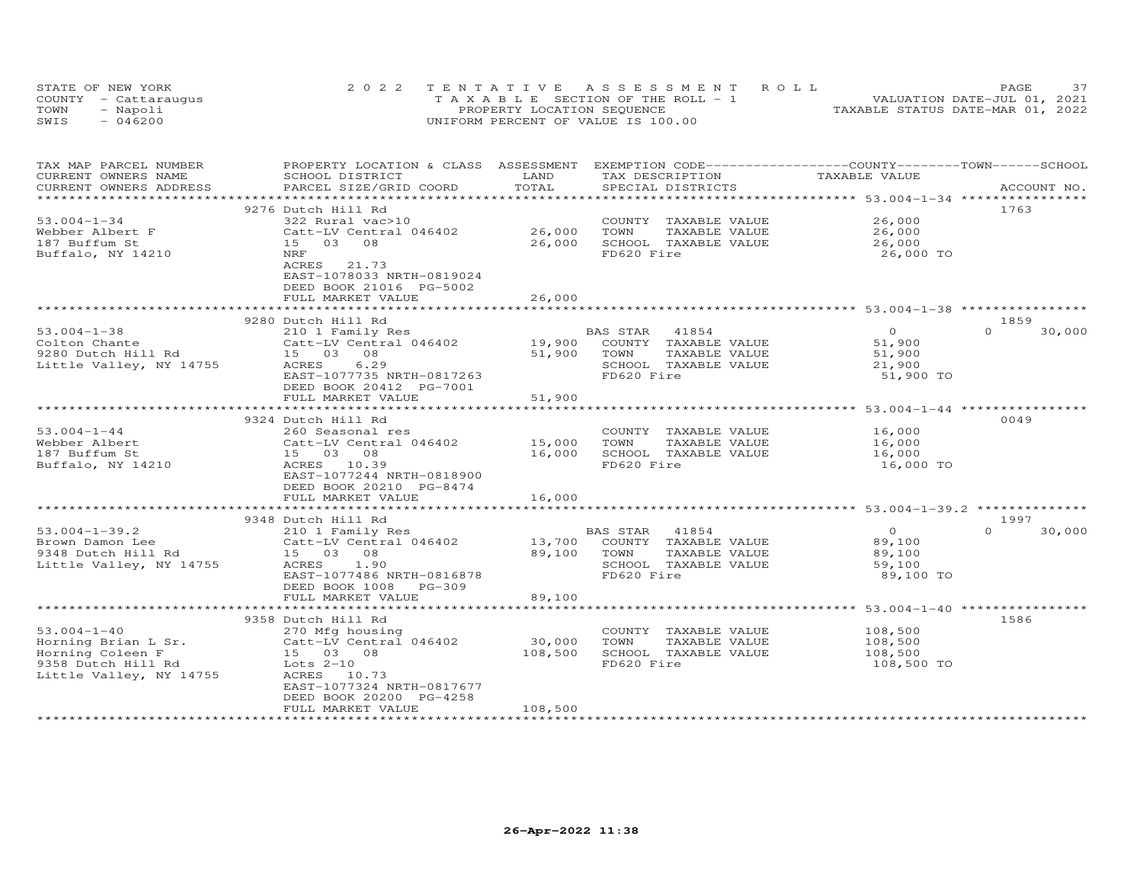|      | STATE OF NEW YORK    | 2022 TENTATIVE ASSESSMENT ROLL                | 37<br><b>PAGE</b>                |
|------|----------------------|-----------------------------------------------|----------------------------------|
|      | COUNTY - Cattaraugus | $T A X A B I E S E C T I ON OF THE RO I. - 1$ | VALUATION DATE-JUL 01, 2021      |
| TOWN | - Napoli             | PROPERTY LOCATION SEQUENCE                    | TAXABLE STATUS DATE-MAR 01, 2022 |
| SWIS | $-046200$            | UNIFORM PERCENT OF VALUE IS 100.00            |                                  |

| EXEMPTION CODE-----------------COUNTY-------TOWN------SCHOOL<br>TAX MAP PARCEL NUMBER<br>PROPERTY LOCATION & CLASS ASSESSMENT<br>CURRENT OWNERS NAME<br>SCHOOL DISTRICT<br>LAND<br>TAX DESCRIPTION<br>TAXABLE VALUE<br>TOTAL |                    |
|------------------------------------------------------------------------------------------------------------------------------------------------------------------------------------------------------------------------------|--------------------|
| CURRENT OWNERS ADDRESS<br>PARCEL SIZE/GRID COORD<br>SPECIAL DISTRICTS<br>***********<br>******************                                                                                                                   | ACCOUNT NO.        |
| 9276 Dutch Hill Rd                                                                                                                                                                                                           | 1763               |
| $53.004 - 1 - 34$<br>26,000<br>322 Rural vac>10<br>COUNTY TAXABLE VALUE                                                                                                                                                      |                    |
| Catt-LV Central 046402<br>26,000<br>TOWN<br>TAXABLE VALUE<br>26,000<br>Webber Albert F                                                                                                                                       |                    |
| 08<br>26,000<br>SCHOOL TAXABLE VALUE<br>187 Buffum St<br>15 03<br>26,000                                                                                                                                                     |                    |
| FD620 Fire<br>26,000 TO<br>Buffalo, NY 14210<br>NRF                                                                                                                                                                          |                    |
| 21.73<br>ACRES                                                                                                                                                                                                               |                    |
| EAST-1078033 NRTH-0819024                                                                                                                                                                                                    |                    |
| DEED BOOK 21016 PG-5002                                                                                                                                                                                                      |                    |
| 26,000<br>FULL MARKET VALUE                                                                                                                                                                                                  |                    |
|                                                                                                                                                                                                                              |                    |
| 9280 Dutch Hill Rd                                                                                                                                                                                                           | 1859               |
| $\overline{O}$<br>$53.004 - 1 - 38$<br>210 1 Family Res<br>BAS STAR 41854                                                                                                                                                    | $\Omega$<br>30,000 |
| Colton Chante<br>Catt-LV Central 046402<br>19,900<br>COUNTY TAXABLE VALUE<br>51,900                                                                                                                                          |                    |
| 9280 Dutch Hill Rd<br>15 03<br>08<br>51,900<br>TAXABLE VALUE<br>TOWN<br>51,900                                                                                                                                               |                    |
| 6.29<br>SCHOOL TAXABLE VALUE<br>Little Valley, NY 14755<br>ACRES<br>21,900                                                                                                                                                   |                    |
| FD620 Fire<br>EAST-1077735 NRTH-0817263                                                                                                                                                                                      | 51,900 TO          |
| DEED BOOK 20412 PG-7001                                                                                                                                                                                                      |                    |
| FULL MARKET VALUE<br>51,900                                                                                                                                                                                                  |                    |
| **************** 53.004-1-44 ***********                                                                                                                                                                                     |                    |
| 9324 Dutch Hill Rd                                                                                                                                                                                                           | 0049               |
| $53.004 - 1 - 44$<br>COUNTY TAXABLE VALUE<br>16,000<br>260 Seasonal res                                                                                                                                                      |                    |
| 15,000<br>TOWN<br>TAXABLE VALUE<br>Webber Albert<br>Catt-LV Central 046402<br>16,000<br>16,000                                                                                                                               |                    |
| SCHOOL TAXABLE VALUE<br>187 Buffum St<br>15 03 08<br>16,000<br>FD620 Fire<br>Buffalo, NY 14210<br>ACRES 10.39<br>16,000 TO                                                                                                   |                    |
| EAST-1077244 NRTH-0818900                                                                                                                                                                                                    |                    |
| DEED BOOK 20210 PG-8474                                                                                                                                                                                                      |                    |
| 16,000<br>FULL MARKET VALUE                                                                                                                                                                                                  |                    |
|                                                                                                                                                                                                                              |                    |
| 9348 Dutch Hill Rd                                                                                                                                                                                                           | 1997               |
| $53.004 - 1 - 39.2$<br>$\overline{O}$<br>210 1 Family Res<br>41854<br>BAS STAR                                                                                                                                               | $\Omega$<br>30,000 |
| Brown Damon Lee<br>Catt-LV Central 046402<br>13,700<br>COUNTY TAXABLE VALUE<br>89,100                                                                                                                                        |                    |
| 89,100<br>TAXABLE VALUE<br>9348 Dutch Hill Rd<br>15 03 08<br>TOWN<br>89,100                                                                                                                                                  |                    |
| SCHOOL TAXABLE VALUE<br>Little Valley, NY 14755<br>ACRES<br>1.90<br>59,100                                                                                                                                                   |                    |
| FD620 Fire<br>EAST-1077486 NRTH-0816878                                                                                                                                                                                      | 89,100 TO          |
| DEED BOOK 1008 PG-309                                                                                                                                                                                                        |                    |
| 89,100<br>FULL MARKET VALUE                                                                                                                                                                                                  |                    |
|                                                                                                                                                                                                                              |                    |
| 9358 Dutch Hill Rd                                                                                                                                                                                                           | 1586               |
| $53.004 - 1 - 40$<br>270 Mfg housing<br>COUNTY TAXABLE VALUE<br>108,500                                                                                                                                                      |                    |
| 30,000<br>Horning Brian L Sr.<br>Catt-LV Central 046402<br>TOWN<br>TAXABLE VALUE<br>108,500                                                                                                                                  |                    |
| 108,500<br>Horning Coleen F<br>SCHOOL TAXABLE VALUE<br>108,500<br>15 03 08                                                                                                                                                   |                    |
| FD620 Fire<br>9358 Dutch Hill Rd<br>Lots $2-10$<br>108,500 TO                                                                                                                                                                |                    |
| Little Valley, NY 14755<br>ACRES 10.73                                                                                                                                                                                       |                    |
| EAST-1077324 NRTH-0817677                                                                                                                                                                                                    |                    |
| DEED BOOK 20200 PG-4258                                                                                                                                                                                                      |                    |
| FULL MARKET VALUE<br>108,500                                                                                                                                                                                                 |                    |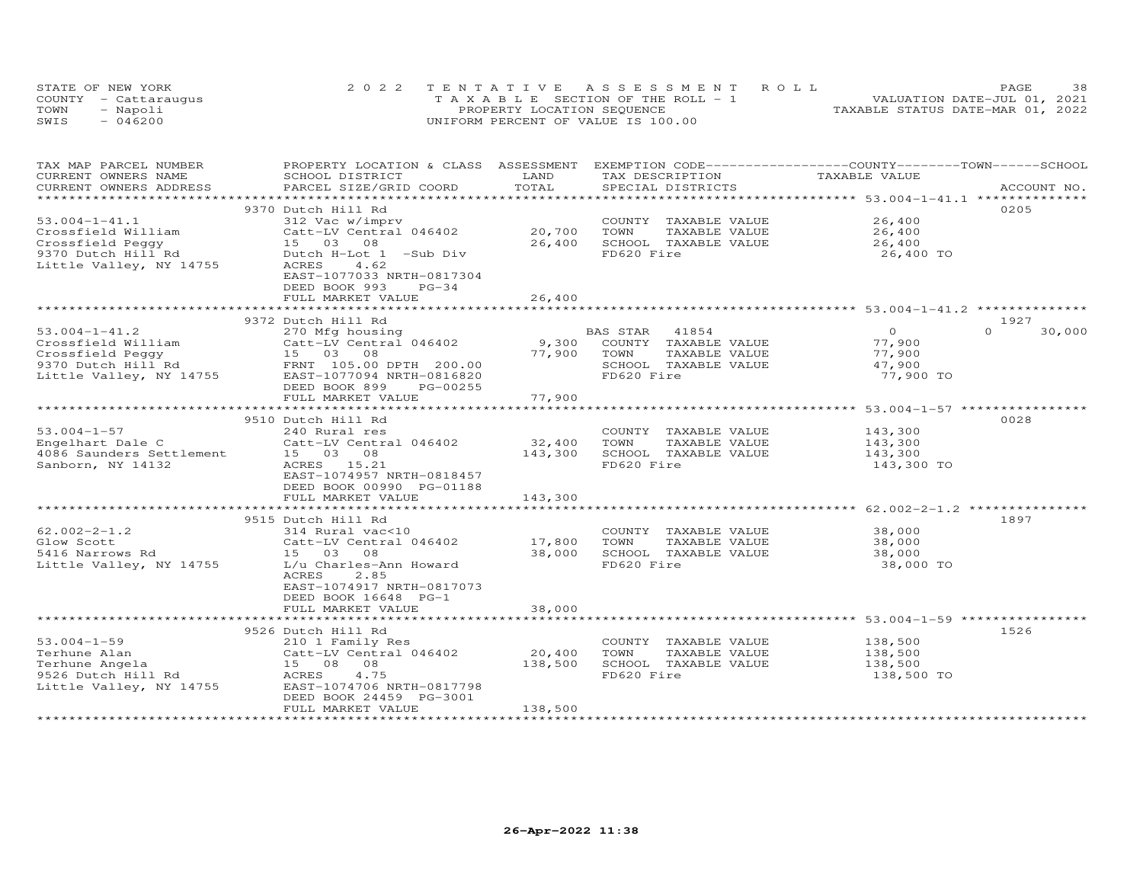|      | STATE OF NEW YORK    | 2022 TENTATIVE ASSESSMENT ROLL                  | 38<br>PAGE                       |
|------|----------------------|-------------------------------------------------|----------------------------------|
|      | COUNTY - Cattaraugus | $T A X A B I F S E C T I ON OF THE R O I J - 1$ | VALUATION DATE-JUL 01, 2021      |
| TOWN | - Napoli             | PROPERTY LOCATION SEQUENCE                      | TAXABLE STATUS DATE-MAR 01, 2022 |
| SWIS | $-046200$            | UNIFORM PERCENT OF VALUE IS 100.00              |                                  |

| TAX MAP PARCEL NUMBER<br>CURRENT OWNERS NAME  | PROPERTY LOCATION & CLASS ASSESSMENT<br>SCHOOL DISTRICT | LAND                     | TAX DESCRIPTION                       | EXEMPTION CODE-----------------COUNTY-------TOWN-----SCHOOL<br>TAXABLE VALUE |                    |
|-----------------------------------------------|---------------------------------------------------------|--------------------------|---------------------------------------|------------------------------------------------------------------------------|--------------------|
| CURRENT OWNERS ADDRESS                        | PARCEL SIZE/GRID COORD                                  | TOTAL                    | SPECIAL DISTRICTS                     |                                                                              | ACCOUNT NO.        |
| *****************                             |                                                         |                          |                                       |                                                                              |                    |
|                                               | 9370 Dutch Hill Rd                                      |                          |                                       |                                                                              | 0205               |
| $53.004 - 1 - 41.1$                           | 312 Vac w/imprv                                         |                          | COUNTY TAXABLE VALUE                  | 26,400                                                                       |                    |
| Crossfield William                            | Catt-LV Central 046402                                  | 20,700                   | TOWN<br>TAXABLE VALUE                 | 26,400                                                                       |                    |
| Crossfield Peqqy                              | 15 03 08                                                | 26,400                   | SCHOOL TAXABLE VALUE                  | 26,400                                                                       |                    |
| 9370 Dutch Hill Rd                            | Dutch H-Lot 1 -Sub Div                                  |                          | FD620 Fire                            | 26,400 TO                                                                    |                    |
| Little Valley, NY 14755                       | 4.62<br>ACRES                                           |                          |                                       |                                                                              |                    |
|                                               | EAST-1077033 NRTH-0817304                               |                          |                                       |                                                                              |                    |
|                                               | DEED BOOK 993<br>$PG-34$                                |                          |                                       |                                                                              |                    |
|                                               | FULL MARKET VALUE                                       | 26,400                   |                                       |                                                                              |                    |
|                                               |                                                         |                          |                                       |                                                                              |                    |
|                                               | 9372 Dutch Hill Rd                                      |                          |                                       |                                                                              | 1927               |
| $53.004 - 1 - 41.2$                           | 270 Mfg housing                                         |                          | BAS STAR<br>41854                     | $\overline{O}$                                                               | $\Omega$<br>30,000 |
| Crossfield William                            | Catt-LV Central 046402                                  | 9,300                    | COUNTY TAXABLE VALUE                  | 77,900                                                                       |                    |
| Crossfield Peggy                              | 15 03 08                                                | 77,900                   | TOWN<br>TAXABLE VALUE                 | 77,900                                                                       |                    |
| 9370 Dutch Hill Rd                            | FRNT 105.00 DPTH 200.00                                 |                          | SCHOOL TAXABLE VALUE                  | 47,900                                                                       |                    |
| Little Valley, NY 14755                       | EAST-1077094 NRTH-0816820                               |                          | FD620 Fire                            | 77,900 TO                                                                    |                    |
|                                               | DEED BOOK 899<br>PG-00255                               |                          |                                       |                                                                              |                    |
|                                               | FULL MARKET VALUE                                       | 77,900                   |                                       |                                                                              |                    |
|                                               | ***********************                                 | **********               |                                       | ******************* 53.004-1-57 ****************                             |                    |
|                                               | 9510 Dutch Hill Rd                                      |                          |                                       |                                                                              | 0028               |
| $53.004 - 1 - 57$                             | 240 Rural res                                           |                          | COUNTY TAXABLE VALUE                  | 143,300                                                                      |                    |
| Engelhart Dale C                              | Catt-LV Central 046402                                  | 32,400                   | TOWN<br>TAXABLE VALUE                 | 143,300                                                                      |                    |
| 4086 Saunders Settlement                      | 15 03 08                                                | 143,300                  | SCHOOL TAXABLE VALUE                  | 143,300                                                                      |                    |
| Sanborn, NY 14132                             | ACRES 15.21                                             |                          | FD620 Fire                            | 143,300 TO                                                                   |                    |
|                                               | EAST-1074957 NRTH-0818457                               |                          |                                       |                                                                              |                    |
|                                               | DEED BOOK 00990 PG-01188                                |                          |                                       |                                                                              |                    |
|                                               | FULL MARKET VALUE                                       | 143,300                  |                                       |                                                                              |                    |
|                                               |                                                         |                          |                                       |                                                                              |                    |
|                                               | 9515 Dutch Hill Rd                                      |                          |                                       |                                                                              | 1897               |
| $62.002 - 2 - 1.2$                            | 314 Rural vac<10                                        |                          | COUNTY TAXABLE VALUE                  | 38,000                                                                       |                    |
| Glow Scott                                    | Catt-LV Central 046402                                  | 17,800                   | TAXABLE VALUE<br>TOWN                 | 38,000                                                                       |                    |
| 5416 Narrows Rd                               | 08<br>15 03                                             | 38,000                   | SCHOOL TAXABLE VALUE                  | 38,000                                                                       |                    |
| Little Valley, NY 14755                       | L/u Charles-Ann Howard                                  |                          | FD620 Fire                            | 38,000 TO                                                                    |                    |
|                                               | 2.85<br>ACRES                                           |                          |                                       |                                                                              |                    |
|                                               | EAST-1074917 NRTH-0817073                               |                          |                                       |                                                                              |                    |
|                                               | DEED BOOK 16648 PG-1                                    |                          |                                       |                                                                              |                    |
|                                               | FULL MARKET VALUE                                       | 38,000<br>************** |                                       | ********************************* 53.004-1-59 *****************              |                    |
|                                               |                                                         |                          |                                       |                                                                              |                    |
| $53.004 - 1 - 59$                             | 9526 Dutch Hill Rd                                      |                          |                                       |                                                                              | 1526               |
|                                               | 210 1 Family Res                                        |                          | COUNTY TAXABLE VALUE<br>TOWN          | 138,500                                                                      |                    |
| Terhune Alan                                  | Catt-LV Central 046402                                  | 20,400                   | TAXABLE VALUE<br>SCHOOL TAXABLE VALUE | 138,500                                                                      |                    |
| Terhune Angela                                | 15 08 08<br>ACRES<br>4.75                               | 138,500                  | FD620 Fire                            | 138,500<br>138,500 TO                                                        |                    |
| 9526 Dutch Hill Rd<br>Little Valley, NY 14755 | EAST-1074706 NRTH-0817798                               |                          |                                       |                                                                              |                    |
|                                               | DEED BOOK 24459 PG-3001                                 |                          |                                       |                                                                              |                    |
|                                               | FULL MARKET VALUE                                       | 138,500                  |                                       |                                                                              |                    |
|                                               |                                                         |                          |                                       |                                                                              |                    |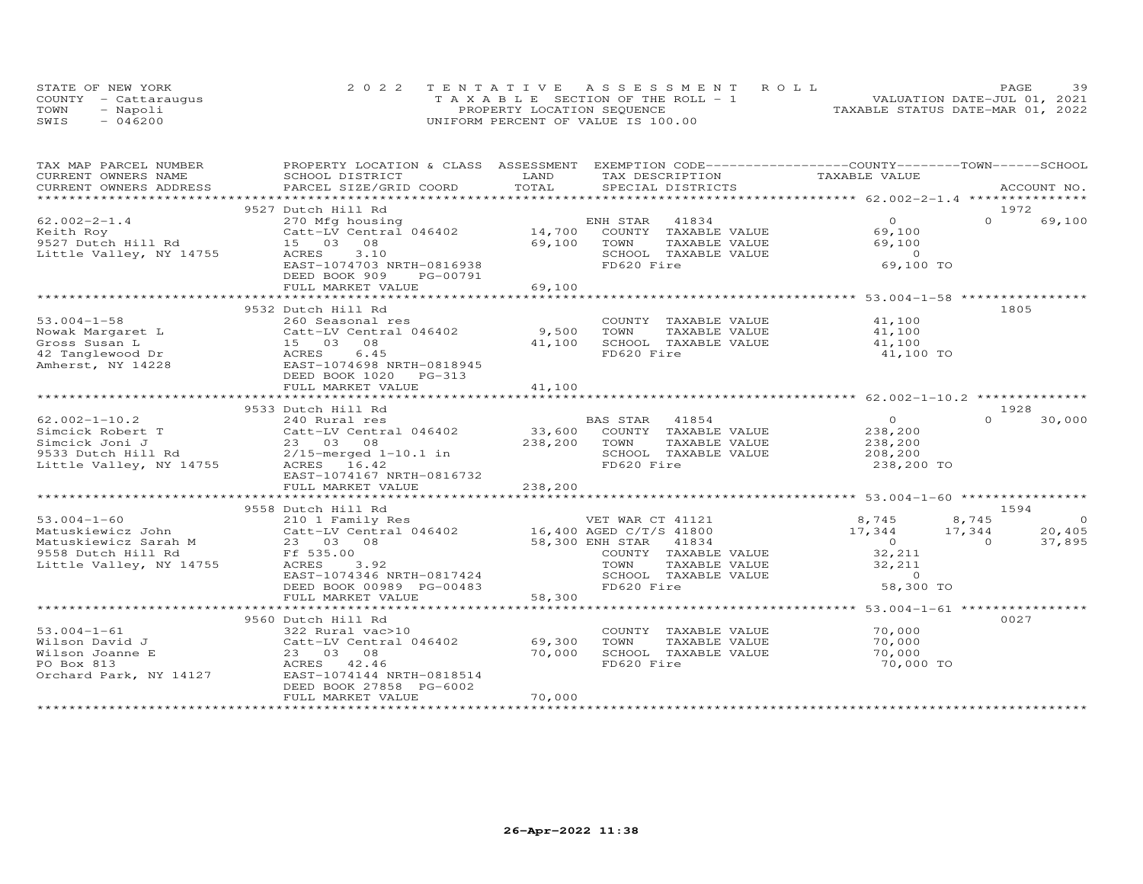|      | STATE OF NEW YORK    | 2022 TENTATIVE ASSESSMENT ROLL        | 39<br>PAGE                       |
|------|----------------------|---------------------------------------|----------------------------------|
|      | COUNTY - Cattaraugus | T A X A B L E SECTION OF THE ROLL - 1 | VALUATION DATE-JUL 01, 2021      |
| TOWN | - Napoli             | PROPERTY LOCATION SEQUENCE            | TAXABLE STATUS DATE-MAR 01, 2022 |
| SWIS | $-046200$            | UNIFORM PERCENT OF VALUE IS 100.00    |                                  |

| TAX MAP PARCEL NUMBER                               | PROPERTY LOCATION & CLASS ASSESSMENT           |                 | EXEMPTION CODE-----------------COUNTY-------TOWN------SCHOOL |                  |                    |                |
|-----------------------------------------------------|------------------------------------------------|-----------------|--------------------------------------------------------------|------------------|--------------------|----------------|
| CURRENT OWNERS NAME                                 | SCHOOL DISTRICT                                | LAND            | TAX DESCRIPTION                                              | TAXABLE VALUE    |                    |                |
| CURRENT OWNERS ADDRESS<br>************************* | PARCEL SIZE/GRID COORD                         | TOTAL           | SPECIAL DISTRICTS                                            |                  | ACCOUNT NO.        |                |
|                                                     |                                                |                 |                                                              |                  |                    |                |
|                                                     | 9527 Dutch Hill Rd                             |                 |                                                              |                  | 1972               |                |
| $62.002 - 2 - 1.4$                                  | 270 Mfg housing                                |                 | ENH STAR<br>41834                                            | $\overline{O}$   | $\Omega$<br>69,100 |                |
| Keith Roy                                           | Catt-LV Central 046402                         |                 | 14,700 COUNTY TAXABLE VALUE                                  | 69,100           |                    |                |
| 9527 Dutch Hill Rd                                  | 15 03 08                                       | 69,100          | TOWN<br>TAXABLE VALUE                                        | 69,100           |                    |                |
| Little Valley, NY 14755                             | ACRES<br>3.10                                  |                 | SCHOOL TAXABLE VALUE                                         | $\overline{0}$   |                    |                |
|                                                     | EAST-1074703 NRTH-0816938                      |                 | FD620 Fire                                                   | 69,100 TO        |                    |                |
|                                                     | DEED BOOK 909<br>PG-00791                      |                 |                                                              |                  |                    |                |
|                                                     | FULL MARKET VALUE                              | 69,100          |                                                              |                  |                    |                |
|                                                     |                                                |                 |                                                              |                  |                    |                |
|                                                     | 9532 Dutch Hill Rd                             |                 |                                                              |                  | 1805               |                |
| $53.004 - 1 - 58$                                   | 260 Seasonal res                               |                 | COUNTY TAXABLE VALUE                                         | 41,100           |                    |                |
| Nowak Margaret L                                    | Catt-LV Central 046402                         | 9,500           | TOWN<br>TAXABLE VALUE                                        | 41,100           |                    |                |
| Gross Susan L                                       | 15 03 08                                       | 41,100          | SCHOOL TAXABLE VALUE                                         | 41,100           |                    |                |
| 42 Tanglewood Dr                                    | 6.45<br>ACRES                                  |                 | FD620 Fire                                                   | 41,100 TO        |                    |                |
| Amherst, NY 14228                                   | EAST-1074698 NRTH-0818945                      |                 |                                                              |                  |                    |                |
|                                                     | DEED BOOK 1020 PG-313                          |                 |                                                              |                  |                    |                |
|                                                     | FULL MARKET VALUE                              | 41,100          |                                                              |                  |                    |                |
|                                                     |                                                |                 |                                                              |                  |                    |                |
|                                                     | 9533 Dutch Hill Rd                             |                 |                                                              |                  | 1928               |                |
| $62.002 - 1 - 10.2$                                 | 240 Rural res                                  |                 | BAS STAR<br>41854                                            | $\Omega$         | $\Omega$<br>30,000 |                |
| Simcick Robert T                                    | Catt-LV Central 046402                         | 33,600          | COUNTY TAXABLE VALUE                                         | 238,200          |                    |                |
| Simcick Joni J                                      | 23 03 08                                       | 238,200         | TOWN<br>TAXABLE VALUE                                        | 238,200          |                    |                |
| 9533 Dutch Hill Rd                                  | $2/15$ -merged $1-10.1$ in                     |                 | SCHOOL TAXABLE VALUE                                         | 208,200          |                    |                |
| Little Valley, NY 14755                             | ACRES 16.42                                    |                 | FD620 Fire                                                   | 238,200 TO       |                    |                |
|                                                     | EAST-1074167 NRTH-0816732                      |                 |                                                              |                  |                    |                |
|                                                     | FULL MARKET VALUE                              | 238,200         |                                                              |                  |                    |                |
|                                                     |                                                |                 |                                                              |                  |                    |                |
|                                                     | 9558 Dutch Hill Rd                             |                 |                                                              |                  | 1594               |                |
| $53.004 - 1 - 60$                                   | 210 1 Family Res                               |                 | VET WAR CT 41121                                             | 8,745            | 8,745              | $\overline{0}$ |
| Matuskiewicz John                                   | Catt-LV Central 046402 16,400 AGED C/T/S 41800 |                 |                                                              | 17,344<br>17,344 | 20,405             |                |
| Matuskiewicz Sarah M                                | 23 03 08                                       | 58,300 ENH STAR | 41834                                                        | $\overline{O}$   | 37,895<br>$\Omega$ |                |
| 9558 Dutch Hill Rd                                  | Ff 535.00                                      |                 | COUNTY TAXABLE VALUE                                         | 32,211           |                    |                |
| Little Valley, NY 14755                             | ACRES<br>3.92                                  |                 | TOWN<br>TAXABLE VALUE                                        | 32,211           |                    |                |
|                                                     | EAST-1074346 NRTH-0817424                      |                 | SCHOOL TAXABLE VALUE                                         | $\overline{0}$   |                    |                |
|                                                     | DEED BOOK 00989 PG-00483                       |                 | FD620 Fire                                                   | 58,300 TO        |                    |                |
|                                                     | FULL MARKET VALUE                              | 58,300          |                                                              |                  |                    |                |
|                                                     |                                                |                 |                                                              |                  |                    |                |
|                                                     | 9560 Dutch Hill Rd                             |                 |                                                              |                  | 0027               |                |
| $53.004 - 1 - 61$                                   | 322 Rural vac>10                               |                 | COUNTY TAXABLE VALUE                                         | 70,000           |                    |                |
| Wilson David J                                      | Catt-LV Central 046402                         | 69,300          | TOWN<br>TAXABLE VALUE                                        | 70,000           |                    |                |
| Wilson Joanne E                                     | 23 03 08                                       | 70,000          | SCHOOL TAXABLE VALUE                                         | 70,000           |                    |                |
| PO Box 813                                          | ACRES 42.46                                    |                 | FD620 Fire                                                   | 70,000 TO        |                    |                |
| Orchard Park, NY 14127                              | EAST-1074144 NRTH-0818514                      |                 |                                                              |                  |                    |                |
|                                                     | DEED BOOK 27858 PG-6002                        |                 |                                                              |                  |                    |                |
|                                                     | FULL MARKET VALUE                              | 70,000          |                                                              |                  |                    |                |
|                                                     |                                                |                 |                                                              |                  |                    |                |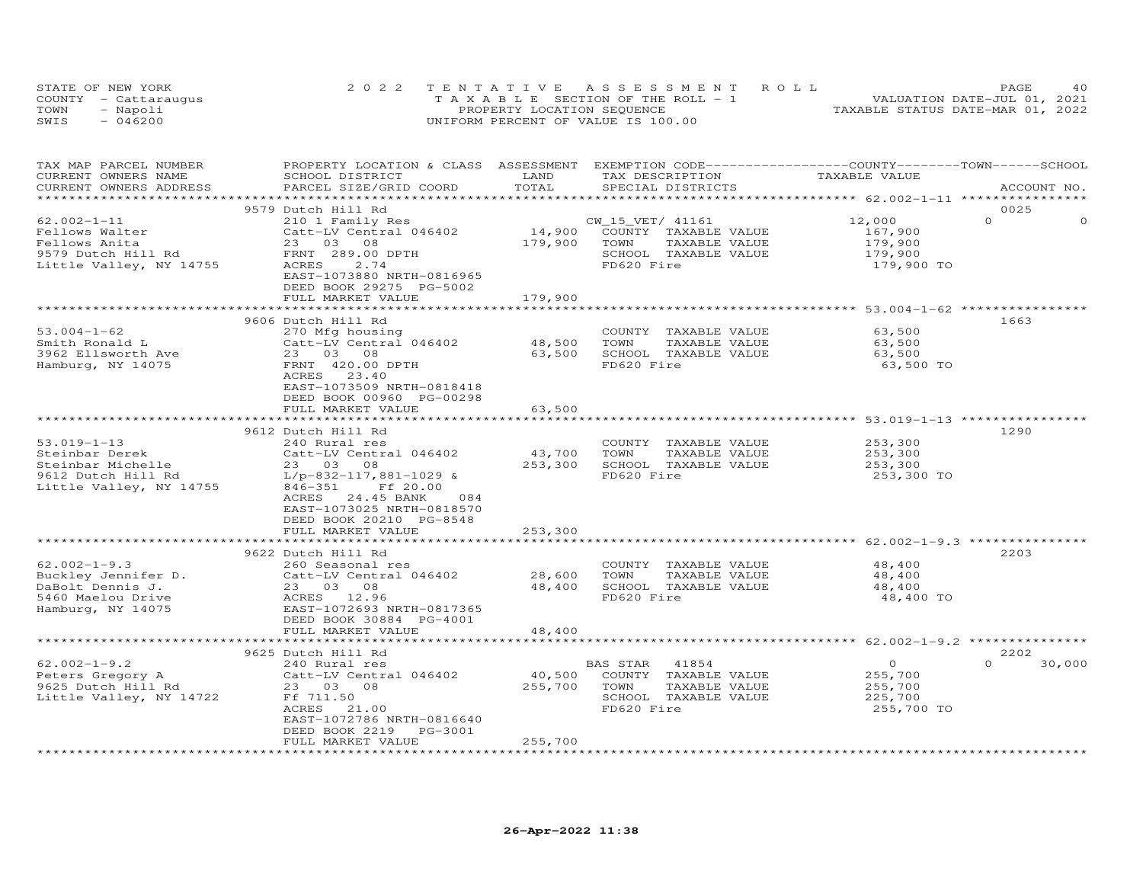|      | STATE OF NEW YORK    | 2022 TENTATIVE ASSESSMENT ROLL     | PAGE.                            | 4 O |
|------|----------------------|------------------------------------|----------------------------------|-----|
|      | COUNTY - Cattaraugus | TAXABLE SECTION OF THE ROLL - 1    | VALUATION DATE-JUL 01, 2021      |     |
| TOWN | - Napoli             | PROPERTY LOCATION SEQUENCE         | TAXABLE STATUS DATE-MAR 01, 2022 |     |
| SWIS | $-046200$            | UNIFORM PERCENT OF VALUE IS 100.00 |                                  |     |

| TAX MAP PARCEL NUMBER<br>CURRENT OWNERS NAME | PROPERTY LOCATION & CLASS ASSESSMENT EXEMPTION CODE----------------COUNTY-------TOWN-----SCHOOL<br>SCHOOL DISTRICT | LAND<br>TOTAL           | TAX DESCRIPTION                    | TAXABLE VALUE  |                      |
|----------------------------------------------|--------------------------------------------------------------------------------------------------------------------|-------------------------|------------------------------------|----------------|----------------------|
| CURRENT OWNERS ADDRESS                       | PARCEL SIZE/GRID COORD                                                                                             |                         | SPECIAL DISTRICTS                  |                | ACCOUNT NO.          |
|                                              | 9579 Dutch Hill Rd                                                                                                 |                         |                                    |                | 0025                 |
| $62.002 - 1 - 11$                            | 210 1 Family Res                                                                                                   |                         | CW_15_VET/ 41161                   | 12,000         | $\Omega$<br>$\Omega$ |
| Fellows Walter                               | Catt-LV Central 046402                                                                                             | 14,900                  | COUNTY TAXABLE VALUE               | 167,900        |                      |
| Fellows Anita                                | 23 03 08                                                                                                           | 179,900                 | TOWN<br>TAXABLE VALUE              | 179,900        |                      |
| 9579 Dutch Hill Rd                           | FRNT 289.00 DPTH                                                                                                   |                         | SCHOOL TAXABLE VALUE               | 179,900        |                      |
| Little Valley, NY 14755                      | 2.74<br>ACRES                                                                                                      |                         | FD620 Fire                         | 179,900 TO     |                      |
|                                              | EAST-1073880 NRTH-0816965                                                                                          |                         |                                    |                |                      |
|                                              | DEED BOOK 29275 PG-5002                                                                                            |                         |                                    |                |                      |
|                                              | FULL MARKET VALUE                                                                                                  | 179,900                 |                                    |                |                      |
|                                              |                                                                                                                    |                         |                                    |                |                      |
|                                              | 9606 Dutch Hill Rd                                                                                                 |                         |                                    |                | 1663                 |
| $53.004 - 1 - 62$                            | 270 Mfg housing                                                                                                    |                         | COUNTY TAXABLE VALUE               | 63,500         |                      |
| Smith Ronald L                               | Catt-LV Central 046402                                                                                             | 48,500                  | TOWN<br>TAXABLE VALUE              | 63,500         |                      |
| 3962 Ellsworth Ave                           | Catt-LV Centi<br>23    03    08                                                                                    | 63,500                  | SCHOOL TAXABLE VALUE               | 63,500         |                      |
| Hamburg, NY 14075                            | FRNT 420.00 DPTH                                                                                                   |                         | FD620 Fire                         | 63,500 TO      |                      |
|                                              | 23.40<br>ACRES                                                                                                     |                         |                                    |                |                      |
|                                              | EAST-1073509 NRTH-0818418                                                                                          |                         |                                    |                |                      |
|                                              | DEED BOOK 00960 PG-00298                                                                                           |                         |                                    |                |                      |
|                                              | FULL MARKET VALUE                                                                                                  | 63,500                  |                                    |                |                      |
|                                              |                                                                                                                    |                         |                                    |                |                      |
|                                              | 9612 Dutch Hill Rd                                                                                                 |                         |                                    |                | 1290                 |
| $53.019 - 1 - 13$                            | 240 Rural res                                                                                                      |                         | COUNTY TAXABLE VALUE               | 253,300        |                      |
| Steinbar Derek                               | Catt-LV Central 046402                                                                                             | 43,700                  | TAXABLE VALUE<br>TOWN              | 253,300        |                      |
| Steinbar Michelle                            | 23 03 08                                                                                                           | 253,300                 | SCHOOL TAXABLE VALUE               | 253,300        |                      |
| 9612 Dutch Hill Rd                           | $L/p-832-117,881-1029$ &                                                                                           |                         | FD620 Fire                         | 253,300 TO     |                      |
| Little Valley, NY 14755                      | $846 - 351$<br>Ff 20.00                                                                                            |                         |                                    |                |                      |
|                                              | ACRES 24.45 BANK<br>084                                                                                            |                         |                                    |                |                      |
|                                              | EAST-1073025 NRTH-0818570                                                                                          |                         |                                    |                |                      |
|                                              | DEED BOOK 20210 PG-8548                                                                                            |                         |                                    |                |                      |
|                                              | FULL MARKET VALUE                                                                                                  | 253,300                 |                                    |                |                      |
|                                              | *********************                                                                                              |                         |                                    |                |                      |
|                                              | 9622 Dutch Hill Rd                                                                                                 |                         |                                    |                | 2203                 |
| $62.002 - 1 - 9.3$                           | 260 Seasonal res                                                                                                   |                         | COUNTY TAXABLE VALUE               | 48,400         |                      |
| Buckley Jennifer D.                          | Catt-LV Central 046402                                                                                             | 28,600                  | TOWN<br>TAXABLE VALUE              | 48,400         |                      |
| DaBolt Dennis J.                             | 23 03 08                                                                                                           | 48,400                  | SCHOOL TAXABLE VALUE               | 48,400         |                      |
| 5460 Maelou Drive                            | ACRES 12.96                                                                                                        |                         | FD620 Fire                         | 48,400 TO      |                      |
| Hamburg, NY 14075                            | EAST-1072693 NRTH-0817365                                                                                          |                         |                                    |                |                      |
|                                              | DEED BOOK 30884 PG-4001                                                                                            |                         |                                    |                |                      |
|                                              | FULL MARKET VALUE<br>**********************                                                                        | 48,400<br>************* |                                    |                |                      |
|                                              |                                                                                                                    |                         |                                    |                |                      |
|                                              | 9625 Dutch Hill Rd                                                                                                 |                         |                                    |                | 2202<br>$\Omega$     |
| $62.002 - 1 - 9.2$                           | 240 Rural res                                                                                                      |                         | BAS STAR<br>41854                  | $\overline{0}$ | 30,000               |
| Peters Gregory A                             | Catt-LV Central 046402                                                                                             | 40,500                  | COUNTY TAXABLE VALUE               | 255,700        |                      |
| 9625 Dutch Hill Rd                           | 23 03 08                                                                                                           | 255,700                 | TOWN<br>TAXABLE VALUE              | 255,700        |                      |
| Little Valley, NY 14722                      | Ff 711.50<br>ACRES 21.00                                                                                           |                         | SCHOOL TAXABLE VALUE<br>FD620 Fire | 225,700        |                      |
|                                              | EAST-1072786 NRTH-0816640                                                                                          |                         |                                    | 255,700 TO     |                      |
|                                              | DEED BOOK 2219<br>PG-3001                                                                                          |                         |                                    |                |                      |
|                                              | FULL MARKET VALUE                                                                                                  | 255,700                 |                                    |                |                      |
|                                              |                                                                                                                    |                         |                                    |                |                      |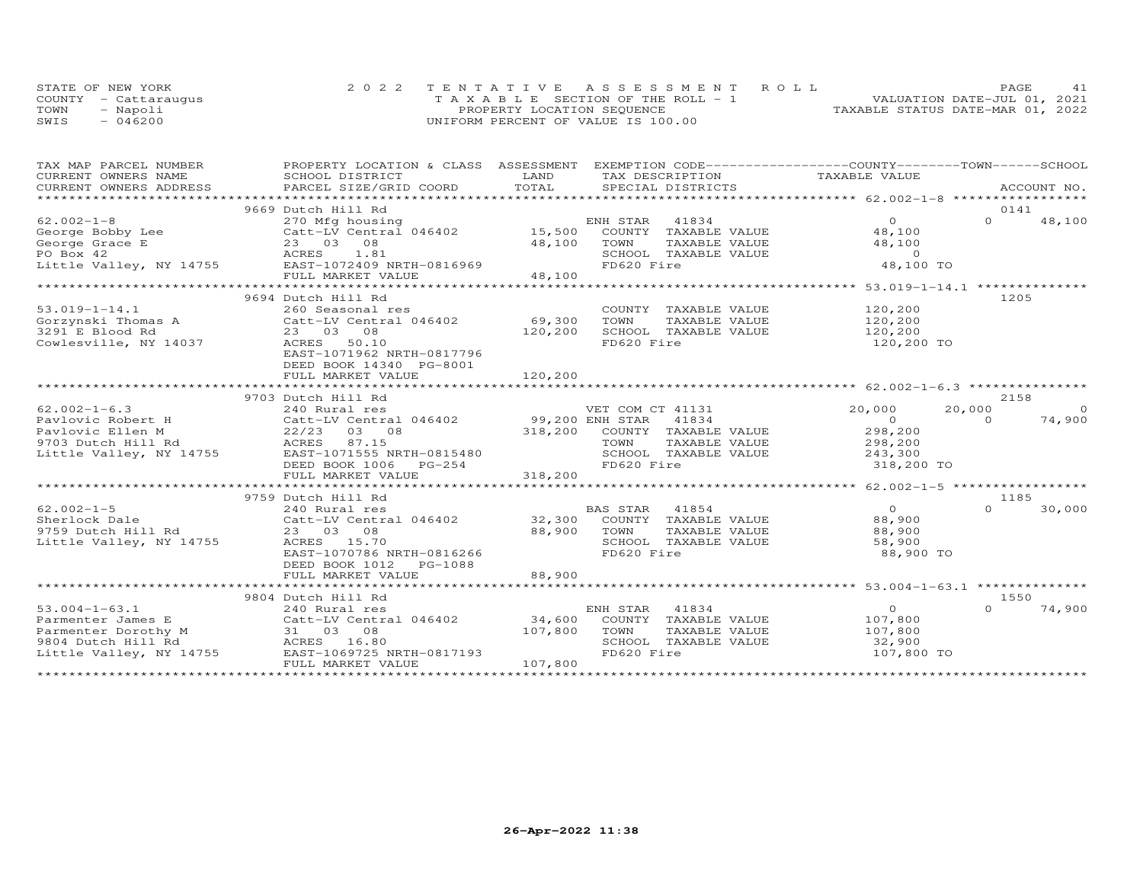| STATE OF NEW YORK    | 2022 TENTATIVE ASSESSMENT ROLL     | PAGE.                            | 41 |
|----------------------|------------------------------------|----------------------------------|----|
| COUNTY - Cattaraugus | TAXABLE SECTION OF THE ROLL - 1    | VALUATION DATE-JUL 01, 2021      |    |
| TOWN<br>- Napoli     | PROPERTY LOCATION SEQUENCE         | TAXABLE STATUS DATE-MAR 01, 2022 |    |
| $-046200$<br>SWIS    | UNIFORM PERCENT OF VALUE IS 100.00 |                                  |    |

| TAX MAP PARCEL NUMBER   | PROPERTY LOCATION & CLASS ASSESSMENT EXEMPTION CODE----------------COUNTY-------TOWN-----SCHOOL                 |         |                              |                |          |                |
|-------------------------|-----------------------------------------------------------------------------------------------------------------|---------|------------------------------|----------------|----------|----------------|
| CURRENT OWNERS NAME     | SCHOOL DISTRICT                                                                                                 | LAND    | TAX DESCRIPTION              | TAXABLE VALUE  |          |                |
|                         | .CURRENT OWNERS ADDRESS PARCEL SIZE/GRID COORD TOTAL SPECIAL DISTRICTS ACCOUNT NO ACCOUNT NO ACCOUNT NO ACCOUNT |         |                              |                |          |                |
|                         | 9669 Dutch Hill Rd                                                                                              |         |                              |                |          | 0141           |
| $62.002 - 1 - 8$        | 270 Mfg housing                                                                                                 |         | ENH STAR 41834               | $\overline{O}$ | $\Omega$ | 48,100         |
| George Bobby Lee        | Catt-LV Central 046402 15,500                                                                                   |         | COUNTY TAXABLE VALUE         | 48,100         |          |                |
| George Grace E          |                                                                                                                 | 48,100  | TOWN<br>TAXABLE VALUE        | 48,100         |          |                |
| PO Box 42               | e Catt-LV Centra<br>23 03 08<br>ACRES __ 1.81                                                                   |         | SCHOOL TAXABLE VALUE         | $\Omega$       |          |                |
| Little Valley, NY 14755 | EAST-1072409 NRTH-0816969                                                                                       |         | FD620 Fire                   | 48,100 TO      |          |                |
|                         | FULL MARKET VALUE                                                                                               | 48,100  |                              |                |          |                |
|                         |                                                                                                                 |         |                              |                |          |                |
|                         | 9694 Dutch Hill Rd                                                                                              |         |                              |                | 1205     |                |
| $53.019 - 1 - 14.1$     | 260 Seasonal res                                                                                                |         | COUNTY TAXABLE VALUE         | 120,200        |          |                |
|                         | Gorzynski Thomas A Catt-LV Central 046402                                                                       | 69,300  | TOWN<br>TAXABLE VALUE        | 120,200        |          |                |
| 3291 E Blood Rd         | 23 03 08                                                                                                        | 120,200 | SCHOOL TAXABLE VALUE         | 120,200        |          |                |
| Cowlesville, NY 14037   | 50.10<br>ACRES                                                                                                  |         | FD620 Fire                   | 120,200 TO     |          |                |
|                         | EAST-1071962 NRTH-0817796                                                                                       |         |                              |                |          |                |
|                         | DEED BOOK 14340 PG-8001                                                                                         |         |                              |                |          |                |
|                         | FULL MARKET VALUE                                                                                               | 120,200 |                              |                |          |                |
|                         |                                                                                                                 |         |                              |                |          |                |
|                         | 9703 Dutch Hill Rd                                                                                              |         |                              |                |          | 2158           |
| $62.002 - 1 - 6.3$      | 240 Rural res                                                                                                   |         | VET COM CT 41131             | 20,000         | 20,000   | $\overline{0}$ |
|                         |                                                                                                                 |         |                              | $\overline{0}$ | $\Omega$ | 74,900         |
|                         |                                                                                                                 |         | 318,200 COUNTY TAXABLE VALUE | 298,200        |          |                |
|                         |                                                                                                                 |         | TAXABLE VALUE                | 298,200        |          |                |
|                         |                                                                                                                 |         | SCHOOL TAXABLE VALUE         | 243,300        |          |                |
|                         | DEED BOOK 1006<br>PG-254                                                                                        |         | FD620 Fire                   | 318,200 TO     |          |                |
|                         | FULL MARKET VALUE                                                                                               | 318,200 |                              |                |          |                |
|                         |                                                                                                                 |         |                              |                |          |                |
|                         | 9759 Dutch Hill Rd                                                                                              |         |                              |                | 1185     |                |
| $62.002 - 1 - 5$        | 240 Rural res                                                                                                   |         | 41854<br><b>BAS STAR</b>     | $\overline{0}$ | $\Omega$ | 30,000         |
| Sherlock Dale           | Catt-LV Central 046402 32,300 COUNTY TAXABLE VALUE                                                              |         |                              | 88,900         |          |                |
| 9759 Dutch Hill Rd      | 23 03 08                                                                                                        | 88,900  | TAXABLE VALUE<br>TOWN        | 88,900         |          |                |
| Little Valley, NY 14755 | ACRES 15.70                                                                                                     |         | SCHOOL TAXABLE VALUE         | 58,900         |          |                |
|                         | EAST-1070786 NRTH-0816266                                                                                       |         | FD620 Fire                   | 88,900 TO      |          |                |
|                         | DEED BOOK 1012<br>PG-1088                                                                                       |         |                              |                |          |                |
|                         | FULL MARKET VALUE                                                                                               | 88,900  |                              |                |          |                |
|                         |                                                                                                                 |         |                              |                |          |                |
|                         | 9804 Dutch Hill Rd                                                                                              |         |                              |                |          | 1550           |
| $53.004 - 1 - 63.1$     | 240 Rural res                                                                                                   |         | ENH STAR<br>41834            | $\Omega$       | $\Omega$ | 74,900         |
| Parmenter James E       | Catt-LV Central 046402 34,600                                                                                   |         | COUNTY TAXABLE VALUE         | 107,800        |          |                |
| Parmenter Dorothy M     | 31 03 08                                                                                                        | 107,800 | TOWN<br>TAXABLE VALUE        | 107,800        |          |                |
| 9804 Dutch Hill Rd      | ACRES 16.80                                                                                                     |         | SCHOOL TAXABLE VALUE         | 32,900         |          |                |
| Little Valley, NY 14755 | EAST-1069725 NRTH-0817193                                                                                       |         | FD620 Fire                   | 107,800 TO     |          |                |
|                         | FULL MARKET VALUE                                                                                               | 107,800 |                              |                |          |                |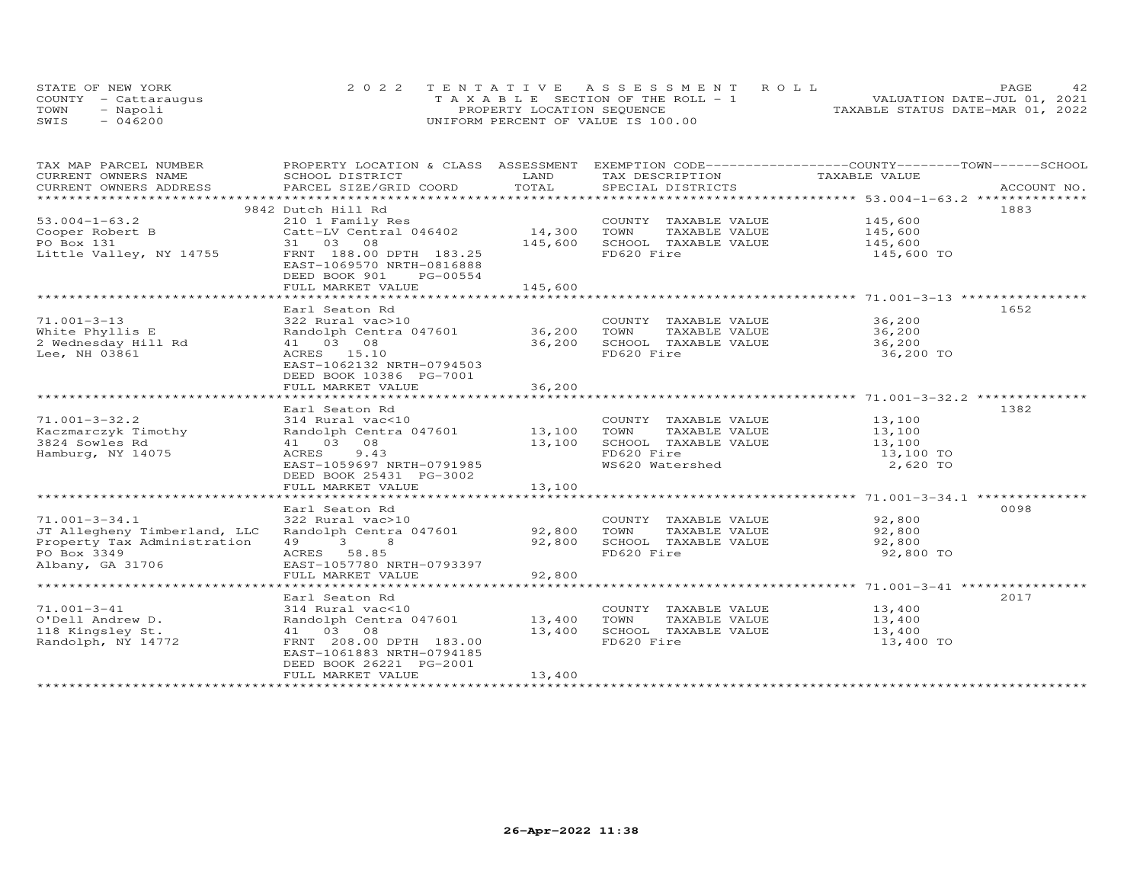|      | STATE OF NEW YORK    | 2022 TENTATIVE ASSESSMENT ROLL        | PAGE                             |
|------|----------------------|---------------------------------------|----------------------------------|
|      | COUNTY - Cattarauqus | T A X A B L E SECTION OF THE ROLL - 1 | VALUATION DATE-JUL 01, 2021      |
| TOWN | - Napoli             | PROPERTY LOCATION SEQUENCE            | TAXABLE STATUS DATE-MAR 01, 2022 |
| SWIS | $-046200$            | UNIFORM PERCENT OF VALUE IS 100.00    |                                  |

| TAX MAP PARCEL NUMBER                               | PROPERTY LOCATION & CLASS ASSESSMENT EXEMPTION CODE----------------COUNTY-------TOWN------SCHOOL |               |                                               |                                                              |             |
|-----------------------------------------------------|--------------------------------------------------------------------------------------------------|---------------|-----------------------------------------------|--------------------------------------------------------------|-------------|
| CURRENT OWNERS NAME                                 | SCHOOL DISTRICT                                                                                  | LAND<br>TOTAL | TAX DESCRIPTION                               | TAXABLE VALUE                                                | ACCOUNT NO. |
| CURRENT OWNERS ADDRESS<br>************************* | PARCEL SIZE/GRID COORD                                                                           |               | SPECIAL DISTRICTS                             |                                                              |             |
|                                                     | 9842 Dutch Hill Rd                                                                               |               |                                               |                                                              | 1883        |
| $53.004 - 1 - 63.2$                                 | 210 1 Family Res                                                                                 |               | COUNTY TAXABLE VALUE                          | 145,600                                                      |             |
| Cooper Robert B                                     | Catt-LV Central 046402                                                                           | 14,300        | TOWN<br>TAXABLE VALUE                         |                                                              |             |
| PO Box 131                                          | 31 03 08                                                                                         | 145,600       | SCHOOL TAXABLE VALUE                          | 145,600<br>145,600                                           |             |
| Little Valley, NY 14755                             | FRNT 188.00 DPTH 183.25<br>EAST-1069570 NRTH-0816888                                             |               | FD620 Fire                                    | 145,600 TO                                                   |             |
|                                                     | DEED BOOK 901<br>PG-00554                                                                        |               |                                               |                                                              |             |
|                                                     | FULL MARKET VALUE                                                                                | 145,600       |                                               |                                                              |             |
|                                                     | Earl Seaton Rd                                                                                   |               |                                               |                                                              | 1652        |
| $71.001 - 3 - 13$                                   | 322 Rural vac>10                                                                                 |               | COUNTY TAXABLE VALUE 36,200                   |                                                              |             |
| White Phyllis E                                     | Randolph Centra 047601 36,200                                                                    |               | TOWN<br>TAXABLE VALUE                         | 36,200                                                       |             |
| 2 Wednesday Hill Rd                                 | 41 03 08                                                                                         | 36,200        | SCHOOL TAXABLE VALUE                          | 36,200                                                       |             |
| Lee, NH 03861                                       | ACRES 15.10                                                                                      |               | FD620 Fire                                    | 36,200 TO                                                    |             |
|                                                     | EAST-1062132 NRTH-0794503<br>DEED BOOK 10386 PG-7001                                             |               |                                               |                                                              |             |
|                                                     | FULL MARKET VALUE                                                                                | 36,200        |                                               |                                                              |             |
|                                                     |                                                                                                  |               |                                               | ****************************** 71.001-3-32.2 *************** |             |
|                                                     | Earl Seaton Rd                                                                                   |               |                                               |                                                              | 1382        |
| $71.001 - 3 - 32.2$                                 | 314 Rural vac<10                                                                                 |               | COUNTY TAXABLE VALUE                          | 13,100                                                       |             |
| Kaczmarczyk Timothy                                 | Randolph Centra 047601 13,100                                                                    |               | TOWN<br>TAXABLE VALUE                         | 13,100                                                       |             |
| 3824 Sowles Rd<br>Hamburg, NY 14075                 | 41 03 08<br>9.43<br>ACRES                                                                        | 13,100        | SCHOOL TAXABLE VALUE<br>FD620 Fire            | 13,100<br>13,100 TO                                          |             |
|                                                     | EAST-1059697 NRTH-0791985                                                                        |               | WS620 Watershed                               | 2,620 TO                                                     |             |
|                                                     | DEED BOOK 25431 PG-3002                                                                          |               |                                               |                                                              |             |
|                                                     | FULL MARKET VALUE                                                                                | 13,100        |                                               |                                                              |             |
|                                                     |                                                                                                  |               |                                               |                                                              |             |
|                                                     | Earl Seaton Rd                                                                                   |               |                                               |                                                              | 0098        |
| $71.001 - 3 - 34.1$                                 | 322 Rural vac>10                                                                                 |               | COUNTY TAXABLE VALUE                          | 92,800                                                       |             |
| JT Allegheny Timberland, LLC                        | Randolph Centra 047601 92,800                                                                    |               | TOWN<br>TAXABLE VALUE                         | 92,800                                                       |             |
| Property Tax Administration                         | 49 3<br>8                                                                                        | 92,800        | SCHOOL TAXABLE VALUE                          | 92,800                                                       |             |
| PO Box 3349                                         | ACRES 58.85                                                                                      |               | FD620 Fire                                    | 92,800 TO                                                    |             |
| Albany, GA 31706                                    | EAST-1057780 NRTH-0793397                                                                        |               |                                               |                                                              |             |
|                                                     | FULL MARKET VALUE                                                                                | 92,800        |                                               |                                                              |             |
|                                                     |                                                                                                  |               |                                               |                                                              |             |
|                                                     | Earl Seaton Rd                                                                                   |               |                                               | 13,400                                                       | 2017        |
| $71.001 - 3 - 41$<br>O'Dell Andrew D.               | 314 Rural vac<10<br>Randolph Centra 047601                                                       | 13,400        | COUNTY TAXABLE VALUE<br>TOWN<br>TAXABLE VALUE | 13,400                                                       |             |
| 118 Kingsley St.                                    | 41 03 08                                                                                         | 13,400        | SCHOOL TAXABLE VALUE                          | 13,400                                                       |             |
| Randolph, NY 14772                                  | FRNT 208.00 DPTH 183.00                                                                          |               | FD620 Fire                                    | 13,400 TO                                                    |             |
|                                                     | EAST-1061883 NRTH-0794185                                                                        |               |                                               |                                                              |             |
|                                                     | DEED BOOK 26221 PG-2001                                                                          |               |                                               |                                                              |             |
|                                                     | FULL MARKET VALUE                                                                                | 13,400        |                                               |                                                              |             |
|                                                     |                                                                                                  |               |                                               |                                                              |             |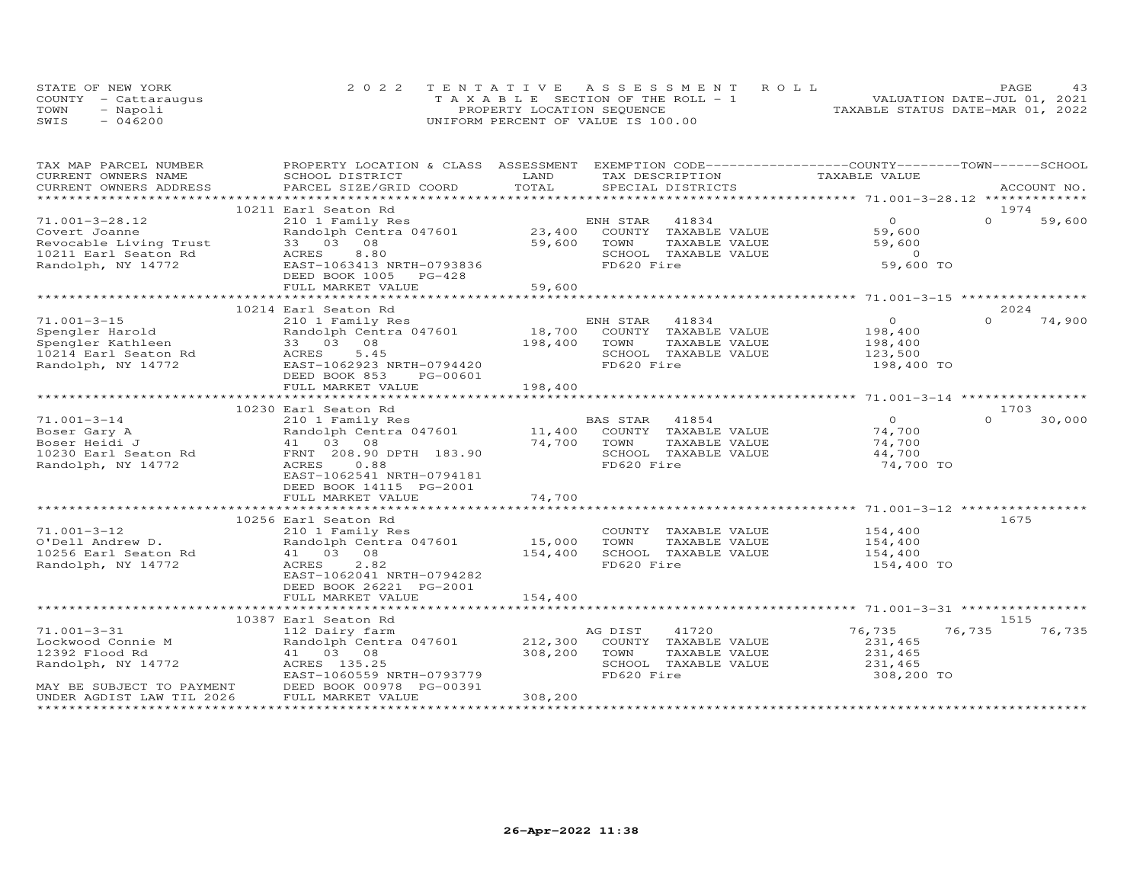|      | STATE OF NEW YORK    | 2022 TENTATIVE ASSESSMENT ROLL        | PAGE                             |
|------|----------------------|---------------------------------------|----------------------------------|
|      | COUNTY - Cattarauqus | T A X A B L E SECTION OF THE ROLL - 1 | VALUATION DATE-JUL 01, 2021      |
| TOWN | - Napoli             | PROPERTY LOCATION SEQUENCE            | TAXABLE STATUS DATE-MAR 01, 2022 |
| SWIS | $-046200$            | UNIFORM PERCENT OF VALUE IS 100.00    |                                  |

| CURRENT OWNERS NAME<br>SCHOOL DISTRICT<br>LAND<br>TAX DESCRIPTION<br>TAXABLE VALUE<br>TOTAL<br>CURRENT OWNERS ADDRESS<br>PARCEL SIZE/GRID COORD<br>SPECIAL DISTRICTS<br>ACCOUNT NO.<br>10211 Earl Seaton Rd<br>1974<br>$\overline{O}$<br>$71.001 - 3 - 28.12$<br>210 1 Family Res<br>$\Omega$<br>59,600<br>ENH STAR<br>41834<br>23,400<br>Randolph Centra 047601<br>59,600<br>COUNTY TAXABLE VALUE<br>Covert Joanne<br>Revocable Living Trust<br>33 03 08<br>59,600<br>59,600<br>TOWN<br>TAXABLE VALUE<br>$\overline{0}$<br>8.80<br>SCHOOL TAXABLE VALUE<br>ACRES<br>59,600 TO<br>EAST-1063413 NRTH-0793836<br>FD620 Fire<br>Randolph, NY 14772<br>DEED BOOK 1005 PG-428<br>59,600<br>FULL MARKET VALUE<br>10214 Earl Seaton Rd<br>2024<br>$\Omega$<br>74,900<br>$71.001 - 3 - 15$<br>$\Omega$<br>210 1 Family Res<br>ENH STAR 41834<br>18,700<br>Spengler Harold<br>Randolph Centra 047601<br>COUNTY TAXABLE VALUE<br>198,400<br>198,400<br>Spengler Kathleen<br>33 03 08<br>198,400<br>TOWN<br>TAXABLE VALUE<br>10214 Earl Seaton Rd<br>5.45<br>SCHOOL TAXABLE VALUE<br>ACRES<br>123,500<br>Randolph, NY 14772<br>EAST-1062923 NRTH-0794420<br>FD620 Fire<br>198,400 TO<br>DEED BOOK 853<br>PG-00601<br>198,400<br>FULL MARKET VALUE<br>1703<br>10230 Earl Seaton Rd<br>$\overline{0}$<br>$71.001 - 3 - 14$<br>BAS STAR<br>41854<br>$\Omega$<br>30,000<br>210 1 Family Res<br>11,400 COUNTY TAXABLE VALUE<br>Randolph Centra 047601<br>Boser Gary A<br>74,700<br>141 03<br>41 03 PRNT 208.90 DPTH 183.90<br>- ^ 0 98<br>Boser Heidi J<br>74,700<br>TOWN<br>TAXABLE VALUE<br>74,700<br>10230 Earl Seaton Rd<br>SCHOOL TAXABLE VALUE<br>44,700<br>FD620 Fire<br>74,700 TO<br>Randolph, NY 14772<br>EAST-1062541 NRTH-0794181<br>DEED BOOK 14115 PG-2001<br>74,700<br>FULL MARKET VALUE<br>************************************<br>*************<br>10256 Earl Seaton Rd<br>1675<br>$71.001 - 3 - 12$<br>COUNTY TAXABLE VALUE<br>154,400<br>210 1 Family Res<br>15,000<br>. Juli Andrew D.<br>10256 Earl Seaton Rd<br>Randolph, NY 14772<br>Randolph Centra 047601<br>TOWN<br>TAXABLE VALUE<br>154,400<br>154,400<br>41 03 08<br>154,400<br>SCHOOL TAXABLE VALUE<br>FD620 Fire<br>ACRES<br>2.82<br>154,400 TO<br>EAST-1062041 NRTH-0794282<br>DEED BOOK 26221 PG-2001<br>FULL MARKET VALUE<br>154,400<br>10387 Earl Seaton Rd<br>1515<br>$71.001 - 3 - 31$<br>76,735<br>76,735<br>76,735<br>112 Dairy farm<br>AG DIST<br>41720<br>Lockwood Connie M<br>Randolph Centra 047601<br>212,300<br>COUNTY TAXABLE VALUE<br>231,465<br>41 03 08<br>308,200<br>231,465<br>12392 Flood Rd<br>TOWN<br>TAXABLE VALUE<br>Randolph, NY 14772<br>ACRES 135.25<br>SCHOOL TAXABLE VALUE<br>231,465<br>FD620 Fire<br>EAST-1060559 NRTH-0793779<br>308,200 TO<br>DEED BOOK 00978 PG-00391<br>FULL MARKET VALUE<br>MAY BE SUBJECT TO PAYMENT<br>308,200<br>UNDER AGDIST LAW TIL 2026 | TAX MAP PARCEL NUMBER | PROPERTY LOCATION & CLASS ASSESSMENT | EXEMPTION CODE------------------COUNTY-------TOWN------SCHOOL |  |
|-----------------------------------------------------------------------------------------------------------------------------------------------------------------------------------------------------------------------------------------------------------------------------------------------------------------------------------------------------------------------------------------------------------------------------------------------------------------------------------------------------------------------------------------------------------------------------------------------------------------------------------------------------------------------------------------------------------------------------------------------------------------------------------------------------------------------------------------------------------------------------------------------------------------------------------------------------------------------------------------------------------------------------------------------------------------------------------------------------------------------------------------------------------------------------------------------------------------------------------------------------------------------------------------------------------------------------------------------------------------------------------------------------------------------------------------------------------------------------------------------------------------------------------------------------------------------------------------------------------------------------------------------------------------------------------------------------------------------------------------------------------------------------------------------------------------------------------------------------------------------------------------------------------------------------------------------------------------------------------------------------------------------------------------------------------------------------------------------------------------------------------------------------------------------------------------------------------------------------------------------------------------------------------------------------------------------------------------------------------------------------------------------------------------------------------------------------------------------------------------------------------------------------------------------------------------------------------------------------------------------------------------------------------------------------------------------------------------------------------------------------------------------------------------------------------------------------------------------------------------|-----------------------|--------------------------------------|---------------------------------------------------------------|--|
|                                                                                                                                                                                                                                                                                                                                                                                                                                                                                                                                                                                                                                                                                                                                                                                                                                                                                                                                                                                                                                                                                                                                                                                                                                                                                                                                                                                                                                                                                                                                                                                                                                                                                                                                                                                                                                                                                                                                                                                                                                                                                                                                                                                                                                                                                                                                                                                                                                                                                                                                                                                                                                                                                                                                                                                                                                                                 |                       |                                      |                                                               |  |
|                                                                                                                                                                                                                                                                                                                                                                                                                                                                                                                                                                                                                                                                                                                                                                                                                                                                                                                                                                                                                                                                                                                                                                                                                                                                                                                                                                                                                                                                                                                                                                                                                                                                                                                                                                                                                                                                                                                                                                                                                                                                                                                                                                                                                                                                                                                                                                                                                                                                                                                                                                                                                                                                                                                                                                                                                                                                 |                       |                                      |                                                               |  |
|                                                                                                                                                                                                                                                                                                                                                                                                                                                                                                                                                                                                                                                                                                                                                                                                                                                                                                                                                                                                                                                                                                                                                                                                                                                                                                                                                                                                                                                                                                                                                                                                                                                                                                                                                                                                                                                                                                                                                                                                                                                                                                                                                                                                                                                                                                                                                                                                                                                                                                                                                                                                                                                                                                                                                                                                                                                                 |                       |                                      |                                                               |  |
|                                                                                                                                                                                                                                                                                                                                                                                                                                                                                                                                                                                                                                                                                                                                                                                                                                                                                                                                                                                                                                                                                                                                                                                                                                                                                                                                                                                                                                                                                                                                                                                                                                                                                                                                                                                                                                                                                                                                                                                                                                                                                                                                                                                                                                                                                                                                                                                                                                                                                                                                                                                                                                                                                                                                                                                                                                                                 |                       |                                      |                                                               |  |
|                                                                                                                                                                                                                                                                                                                                                                                                                                                                                                                                                                                                                                                                                                                                                                                                                                                                                                                                                                                                                                                                                                                                                                                                                                                                                                                                                                                                                                                                                                                                                                                                                                                                                                                                                                                                                                                                                                                                                                                                                                                                                                                                                                                                                                                                                                                                                                                                                                                                                                                                                                                                                                                                                                                                                                                                                                                                 |                       |                                      |                                                               |  |
|                                                                                                                                                                                                                                                                                                                                                                                                                                                                                                                                                                                                                                                                                                                                                                                                                                                                                                                                                                                                                                                                                                                                                                                                                                                                                                                                                                                                                                                                                                                                                                                                                                                                                                                                                                                                                                                                                                                                                                                                                                                                                                                                                                                                                                                                                                                                                                                                                                                                                                                                                                                                                                                                                                                                                                                                                                                                 |                       |                                      |                                                               |  |
|                                                                                                                                                                                                                                                                                                                                                                                                                                                                                                                                                                                                                                                                                                                                                                                                                                                                                                                                                                                                                                                                                                                                                                                                                                                                                                                                                                                                                                                                                                                                                                                                                                                                                                                                                                                                                                                                                                                                                                                                                                                                                                                                                                                                                                                                                                                                                                                                                                                                                                                                                                                                                                                                                                                                                                                                                                                                 |                       |                                      |                                                               |  |
|                                                                                                                                                                                                                                                                                                                                                                                                                                                                                                                                                                                                                                                                                                                                                                                                                                                                                                                                                                                                                                                                                                                                                                                                                                                                                                                                                                                                                                                                                                                                                                                                                                                                                                                                                                                                                                                                                                                                                                                                                                                                                                                                                                                                                                                                                                                                                                                                                                                                                                                                                                                                                                                                                                                                                                                                                                                                 | 10211 Earl Seaton Rd  |                                      |                                                               |  |
|                                                                                                                                                                                                                                                                                                                                                                                                                                                                                                                                                                                                                                                                                                                                                                                                                                                                                                                                                                                                                                                                                                                                                                                                                                                                                                                                                                                                                                                                                                                                                                                                                                                                                                                                                                                                                                                                                                                                                                                                                                                                                                                                                                                                                                                                                                                                                                                                                                                                                                                                                                                                                                                                                                                                                                                                                                                                 |                       |                                      |                                                               |  |
|                                                                                                                                                                                                                                                                                                                                                                                                                                                                                                                                                                                                                                                                                                                                                                                                                                                                                                                                                                                                                                                                                                                                                                                                                                                                                                                                                                                                                                                                                                                                                                                                                                                                                                                                                                                                                                                                                                                                                                                                                                                                                                                                                                                                                                                                                                                                                                                                                                                                                                                                                                                                                                                                                                                                                                                                                                                                 |                       |                                      |                                                               |  |
|                                                                                                                                                                                                                                                                                                                                                                                                                                                                                                                                                                                                                                                                                                                                                                                                                                                                                                                                                                                                                                                                                                                                                                                                                                                                                                                                                                                                                                                                                                                                                                                                                                                                                                                                                                                                                                                                                                                                                                                                                                                                                                                                                                                                                                                                                                                                                                                                                                                                                                                                                                                                                                                                                                                                                                                                                                                                 |                       |                                      |                                                               |  |
|                                                                                                                                                                                                                                                                                                                                                                                                                                                                                                                                                                                                                                                                                                                                                                                                                                                                                                                                                                                                                                                                                                                                                                                                                                                                                                                                                                                                                                                                                                                                                                                                                                                                                                                                                                                                                                                                                                                                                                                                                                                                                                                                                                                                                                                                                                                                                                                                                                                                                                                                                                                                                                                                                                                                                                                                                                                                 |                       |                                      |                                                               |  |
|                                                                                                                                                                                                                                                                                                                                                                                                                                                                                                                                                                                                                                                                                                                                                                                                                                                                                                                                                                                                                                                                                                                                                                                                                                                                                                                                                                                                                                                                                                                                                                                                                                                                                                                                                                                                                                                                                                                                                                                                                                                                                                                                                                                                                                                                                                                                                                                                                                                                                                                                                                                                                                                                                                                                                                                                                                                                 |                       |                                      |                                                               |  |
|                                                                                                                                                                                                                                                                                                                                                                                                                                                                                                                                                                                                                                                                                                                                                                                                                                                                                                                                                                                                                                                                                                                                                                                                                                                                                                                                                                                                                                                                                                                                                                                                                                                                                                                                                                                                                                                                                                                                                                                                                                                                                                                                                                                                                                                                                                                                                                                                                                                                                                                                                                                                                                                                                                                                                                                                                                                                 |                       |                                      |                                                               |  |
|                                                                                                                                                                                                                                                                                                                                                                                                                                                                                                                                                                                                                                                                                                                                                                                                                                                                                                                                                                                                                                                                                                                                                                                                                                                                                                                                                                                                                                                                                                                                                                                                                                                                                                                                                                                                                                                                                                                                                                                                                                                                                                                                                                                                                                                                                                                                                                                                                                                                                                                                                                                                                                                                                                                                                                                                                                                                 |                       |                                      |                                                               |  |
|                                                                                                                                                                                                                                                                                                                                                                                                                                                                                                                                                                                                                                                                                                                                                                                                                                                                                                                                                                                                                                                                                                                                                                                                                                                                                                                                                                                                                                                                                                                                                                                                                                                                                                                                                                                                                                                                                                                                                                                                                                                                                                                                                                                                                                                                                                                                                                                                                                                                                                                                                                                                                                                                                                                                                                                                                                                                 |                       |                                      |                                                               |  |
|                                                                                                                                                                                                                                                                                                                                                                                                                                                                                                                                                                                                                                                                                                                                                                                                                                                                                                                                                                                                                                                                                                                                                                                                                                                                                                                                                                                                                                                                                                                                                                                                                                                                                                                                                                                                                                                                                                                                                                                                                                                                                                                                                                                                                                                                                                                                                                                                                                                                                                                                                                                                                                                                                                                                                                                                                                                                 |                       |                                      |                                                               |  |
|                                                                                                                                                                                                                                                                                                                                                                                                                                                                                                                                                                                                                                                                                                                                                                                                                                                                                                                                                                                                                                                                                                                                                                                                                                                                                                                                                                                                                                                                                                                                                                                                                                                                                                                                                                                                                                                                                                                                                                                                                                                                                                                                                                                                                                                                                                                                                                                                                                                                                                                                                                                                                                                                                                                                                                                                                                                                 |                       |                                      |                                                               |  |
|                                                                                                                                                                                                                                                                                                                                                                                                                                                                                                                                                                                                                                                                                                                                                                                                                                                                                                                                                                                                                                                                                                                                                                                                                                                                                                                                                                                                                                                                                                                                                                                                                                                                                                                                                                                                                                                                                                                                                                                                                                                                                                                                                                                                                                                                                                                                                                                                                                                                                                                                                                                                                                                                                                                                                                                                                                                                 |                       |                                      |                                                               |  |
|                                                                                                                                                                                                                                                                                                                                                                                                                                                                                                                                                                                                                                                                                                                                                                                                                                                                                                                                                                                                                                                                                                                                                                                                                                                                                                                                                                                                                                                                                                                                                                                                                                                                                                                                                                                                                                                                                                                                                                                                                                                                                                                                                                                                                                                                                                                                                                                                                                                                                                                                                                                                                                                                                                                                                                                                                                                                 |                       |                                      |                                                               |  |
|                                                                                                                                                                                                                                                                                                                                                                                                                                                                                                                                                                                                                                                                                                                                                                                                                                                                                                                                                                                                                                                                                                                                                                                                                                                                                                                                                                                                                                                                                                                                                                                                                                                                                                                                                                                                                                                                                                                                                                                                                                                                                                                                                                                                                                                                                                                                                                                                                                                                                                                                                                                                                                                                                                                                                                                                                                                                 |                       |                                      |                                                               |  |
|                                                                                                                                                                                                                                                                                                                                                                                                                                                                                                                                                                                                                                                                                                                                                                                                                                                                                                                                                                                                                                                                                                                                                                                                                                                                                                                                                                                                                                                                                                                                                                                                                                                                                                                                                                                                                                                                                                                                                                                                                                                                                                                                                                                                                                                                                                                                                                                                                                                                                                                                                                                                                                                                                                                                                                                                                                                                 |                       |                                      |                                                               |  |
|                                                                                                                                                                                                                                                                                                                                                                                                                                                                                                                                                                                                                                                                                                                                                                                                                                                                                                                                                                                                                                                                                                                                                                                                                                                                                                                                                                                                                                                                                                                                                                                                                                                                                                                                                                                                                                                                                                                                                                                                                                                                                                                                                                                                                                                                                                                                                                                                                                                                                                                                                                                                                                                                                                                                                                                                                                                                 |                       |                                      |                                                               |  |
|                                                                                                                                                                                                                                                                                                                                                                                                                                                                                                                                                                                                                                                                                                                                                                                                                                                                                                                                                                                                                                                                                                                                                                                                                                                                                                                                                                                                                                                                                                                                                                                                                                                                                                                                                                                                                                                                                                                                                                                                                                                                                                                                                                                                                                                                                                                                                                                                                                                                                                                                                                                                                                                                                                                                                                                                                                                                 |                       |                                      |                                                               |  |
|                                                                                                                                                                                                                                                                                                                                                                                                                                                                                                                                                                                                                                                                                                                                                                                                                                                                                                                                                                                                                                                                                                                                                                                                                                                                                                                                                                                                                                                                                                                                                                                                                                                                                                                                                                                                                                                                                                                                                                                                                                                                                                                                                                                                                                                                                                                                                                                                                                                                                                                                                                                                                                                                                                                                                                                                                                                                 |                       |                                      |                                                               |  |
|                                                                                                                                                                                                                                                                                                                                                                                                                                                                                                                                                                                                                                                                                                                                                                                                                                                                                                                                                                                                                                                                                                                                                                                                                                                                                                                                                                                                                                                                                                                                                                                                                                                                                                                                                                                                                                                                                                                                                                                                                                                                                                                                                                                                                                                                                                                                                                                                                                                                                                                                                                                                                                                                                                                                                                                                                                                                 |                       |                                      |                                                               |  |
|                                                                                                                                                                                                                                                                                                                                                                                                                                                                                                                                                                                                                                                                                                                                                                                                                                                                                                                                                                                                                                                                                                                                                                                                                                                                                                                                                                                                                                                                                                                                                                                                                                                                                                                                                                                                                                                                                                                                                                                                                                                                                                                                                                                                                                                                                                                                                                                                                                                                                                                                                                                                                                                                                                                                                                                                                                                                 |                       |                                      |                                                               |  |
|                                                                                                                                                                                                                                                                                                                                                                                                                                                                                                                                                                                                                                                                                                                                                                                                                                                                                                                                                                                                                                                                                                                                                                                                                                                                                                                                                                                                                                                                                                                                                                                                                                                                                                                                                                                                                                                                                                                                                                                                                                                                                                                                                                                                                                                                                                                                                                                                                                                                                                                                                                                                                                                                                                                                                                                                                                                                 |                       |                                      |                                                               |  |
|                                                                                                                                                                                                                                                                                                                                                                                                                                                                                                                                                                                                                                                                                                                                                                                                                                                                                                                                                                                                                                                                                                                                                                                                                                                                                                                                                                                                                                                                                                                                                                                                                                                                                                                                                                                                                                                                                                                                                                                                                                                                                                                                                                                                                                                                                                                                                                                                                                                                                                                                                                                                                                                                                                                                                                                                                                                                 |                       |                                      |                                                               |  |
|                                                                                                                                                                                                                                                                                                                                                                                                                                                                                                                                                                                                                                                                                                                                                                                                                                                                                                                                                                                                                                                                                                                                                                                                                                                                                                                                                                                                                                                                                                                                                                                                                                                                                                                                                                                                                                                                                                                                                                                                                                                                                                                                                                                                                                                                                                                                                                                                                                                                                                                                                                                                                                                                                                                                                                                                                                                                 |                       |                                      |                                                               |  |
|                                                                                                                                                                                                                                                                                                                                                                                                                                                                                                                                                                                                                                                                                                                                                                                                                                                                                                                                                                                                                                                                                                                                                                                                                                                                                                                                                                                                                                                                                                                                                                                                                                                                                                                                                                                                                                                                                                                                                                                                                                                                                                                                                                                                                                                                                                                                                                                                                                                                                                                                                                                                                                                                                                                                                                                                                                                                 |                       |                                      |                                                               |  |
|                                                                                                                                                                                                                                                                                                                                                                                                                                                                                                                                                                                                                                                                                                                                                                                                                                                                                                                                                                                                                                                                                                                                                                                                                                                                                                                                                                                                                                                                                                                                                                                                                                                                                                                                                                                                                                                                                                                                                                                                                                                                                                                                                                                                                                                                                                                                                                                                                                                                                                                                                                                                                                                                                                                                                                                                                                                                 |                       |                                      |                                                               |  |
|                                                                                                                                                                                                                                                                                                                                                                                                                                                                                                                                                                                                                                                                                                                                                                                                                                                                                                                                                                                                                                                                                                                                                                                                                                                                                                                                                                                                                                                                                                                                                                                                                                                                                                                                                                                                                                                                                                                                                                                                                                                                                                                                                                                                                                                                                                                                                                                                                                                                                                                                                                                                                                                                                                                                                                                                                                                                 |                       |                                      |                                                               |  |
|                                                                                                                                                                                                                                                                                                                                                                                                                                                                                                                                                                                                                                                                                                                                                                                                                                                                                                                                                                                                                                                                                                                                                                                                                                                                                                                                                                                                                                                                                                                                                                                                                                                                                                                                                                                                                                                                                                                                                                                                                                                                                                                                                                                                                                                                                                                                                                                                                                                                                                                                                                                                                                                                                                                                                                                                                                                                 |                       |                                      |                                                               |  |
|                                                                                                                                                                                                                                                                                                                                                                                                                                                                                                                                                                                                                                                                                                                                                                                                                                                                                                                                                                                                                                                                                                                                                                                                                                                                                                                                                                                                                                                                                                                                                                                                                                                                                                                                                                                                                                                                                                                                                                                                                                                                                                                                                                                                                                                                                                                                                                                                                                                                                                                                                                                                                                                                                                                                                                                                                                                                 |                       |                                      |                                                               |  |
|                                                                                                                                                                                                                                                                                                                                                                                                                                                                                                                                                                                                                                                                                                                                                                                                                                                                                                                                                                                                                                                                                                                                                                                                                                                                                                                                                                                                                                                                                                                                                                                                                                                                                                                                                                                                                                                                                                                                                                                                                                                                                                                                                                                                                                                                                                                                                                                                                                                                                                                                                                                                                                                                                                                                                                                                                                                                 |                       |                                      |                                                               |  |
|                                                                                                                                                                                                                                                                                                                                                                                                                                                                                                                                                                                                                                                                                                                                                                                                                                                                                                                                                                                                                                                                                                                                                                                                                                                                                                                                                                                                                                                                                                                                                                                                                                                                                                                                                                                                                                                                                                                                                                                                                                                                                                                                                                                                                                                                                                                                                                                                                                                                                                                                                                                                                                                                                                                                                                                                                                                                 |                       |                                      |                                                               |  |
|                                                                                                                                                                                                                                                                                                                                                                                                                                                                                                                                                                                                                                                                                                                                                                                                                                                                                                                                                                                                                                                                                                                                                                                                                                                                                                                                                                                                                                                                                                                                                                                                                                                                                                                                                                                                                                                                                                                                                                                                                                                                                                                                                                                                                                                                                                                                                                                                                                                                                                                                                                                                                                                                                                                                                                                                                                                                 |                       |                                      |                                                               |  |
|                                                                                                                                                                                                                                                                                                                                                                                                                                                                                                                                                                                                                                                                                                                                                                                                                                                                                                                                                                                                                                                                                                                                                                                                                                                                                                                                                                                                                                                                                                                                                                                                                                                                                                                                                                                                                                                                                                                                                                                                                                                                                                                                                                                                                                                                                                                                                                                                                                                                                                                                                                                                                                                                                                                                                                                                                                                                 |                       |                                      |                                                               |  |
|                                                                                                                                                                                                                                                                                                                                                                                                                                                                                                                                                                                                                                                                                                                                                                                                                                                                                                                                                                                                                                                                                                                                                                                                                                                                                                                                                                                                                                                                                                                                                                                                                                                                                                                                                                                                                                                                                                                                                                                                                                                                                                                                                                                                                                                                                                                                                                                                                                                                                                                                                                                                                                                                                                                                                                                                                                                                 |                       |                                      |                                                               |  |
|                                                                                                                                                                                                                                                                                                                                                                                                                                                                                                                                                                                                                                                                                                                                                                                                                                                                                                                                                                                                                                                                                                                                                                                                                                                                                                                                                                                                                                                                                                                                                                                                                                                                                                                                                                                                                                                                                                                                                                                                                                                                                                                                                                                                                                                                                                                                                                                                                                                                                                                                                                                                                                                                                                                                                                                                                                                                 |                       |                                      |                                                               |  |
|                                                                                                                                                                                                                                                                                                                                                                                                                                                                                                                                                                                                                                                                                                                                                                                                                                                                                                                                                                                                                                                                                                                                                                                                                                                                                                                                                                                                                                                                                                                                                                                                                                                                                                                                                                                                                                                                                                                                                                                                                                                                                                                                                                                                                                                                                                                                                                                                                                                                                                                                                                                                                                                                                                                                                                                                                                                                 |                       |                                      |                                                               |  |
|                                                                                                                                                                                                                                                                                                                                                                                                                                                                                                                                                                                                                                                                                                                                                                                                                                                                                                                                                                                                                                                                                                                                                                                                                                                                                                                                                                                                                                                                                                                                                                                                                                                                                                                                                                                                                                                                                                                                                                                                                                                                                                                                                                                                                                                                                                                                                                                                                                                                                                                                                                                                                                                                                                                                                                                                                                                                 |                       |                                      |                                                               |  |
|                                                                                                                                                                                                                                                                                                                                                                                                                                                                                                                                                                                                                                                                                                                                                                                                                                                                                                                                                                                                                                                                                                                                                                                                                                                                                                                                                                                                                                                                                                                                                                                                                                                                                                                                                                                                                                                                                                                                                                                                                                                                                                                                                                                                                                                                                                                                                                                                                                                                                                                                                                                                                                                                                                                                                                                                                                                                 |                       |                                      |                                                               |  |
|                                                                                                                                                                                                                                                                                                                                                                                                                                                                                                                                                                                                                                                                                                                                                                                                                                                                                                                                                                                                                                                                                                                                                                                                                                                                                                                                                                                                                                                                                                                                                                                                                                                                                                                                                                                                                                                                                                                                                                                                                                                                                                                                                                                                                                                                                                                                                                                                                                                                                                                                                                                                                                                                                                                                                                                                                                                                 |                       |                                      |                                                               |  |
|                                                                                                                                                                                                                                                                                                                                                                                                                                                                                                                                                                                                                                                                                                                                                                                                                                                                                                                                                                                                                                                                                                                                                                                                                                                                                                                                                                                                                                                                                                                                                                                                                                                                                                                                                                                                                                                                                                                                                                                                                                                                                                                                                                                                                                                                                                                                                                                                                                                                                                                                                                                                                                                                                                                                                                                                                                                                 |                       |                                      |                                                               |  |
|                                                                                                                                                                                                                                                                                                                                                                                                                                                                                                                                                                                                                                                                                                                                                                                                                                                                                                                                                                                                                                                                                                                                                                                                                                                                                                                                                                                                                                                                                                                                                                                                                                                                                                                                                                                                                                                                                                                                                                                                                                                                                                                                                                                                                                                                                                                                                                                                                                                                                                                                                                                                                                                                                                                                                                                                                                                                 |                       |                                      |                                                               |  |
|                                                                                                                                                                                                                                                                                                                                                                                                                                                                                                                                                                                                                                                                                                                                                                                                                                                                                                                                                                                                                                                                                                                                                                                                                                                                                                                                                                                                                                                                                                                                                                                                                                                                                                                                                                                                                                                                                                                                                                                                                                                                                                                                                                                                                                                                                                                                                                                                                                                                                                                                                                                                                                                                                                                                                                                                                                                                 |                       |                                      |                                                               |  |
|                                                                                                                                                                                                                                                                                                                                                                                                                                                                                                                                                                                                                                                                                                                                                                                                                                                                                                                                                                                                                                                                                                                                                                                                                                                                                                                                                                                                                                                                                                                                                                                                                                                                                                                                                                                                                                                                                                                                                                                                                                                                                                                                                                                                                                                                                                                                                                                                                                                                                                                                                                                                                                                                                                                                                                                                                                                                 |                       |                                      |                                                               |  |
|                                                                                                                                                                                                                                                                                                                                                                                                                                                                                                                                                                                                                                                                                                                                                                                                                                                                                                                                                                                                                                                                                                                                                                                                                                                                                                                                                                                                                                                                                                                                                                                                                                                                                                                                                                                                                                                                                                                                                                                                                                                                                                                                                                                                                                                                                                                                                                                                                                                                                                                                                                                                                                                                                                                                                                                                                                                                 |                       |                                      |                                                               |  |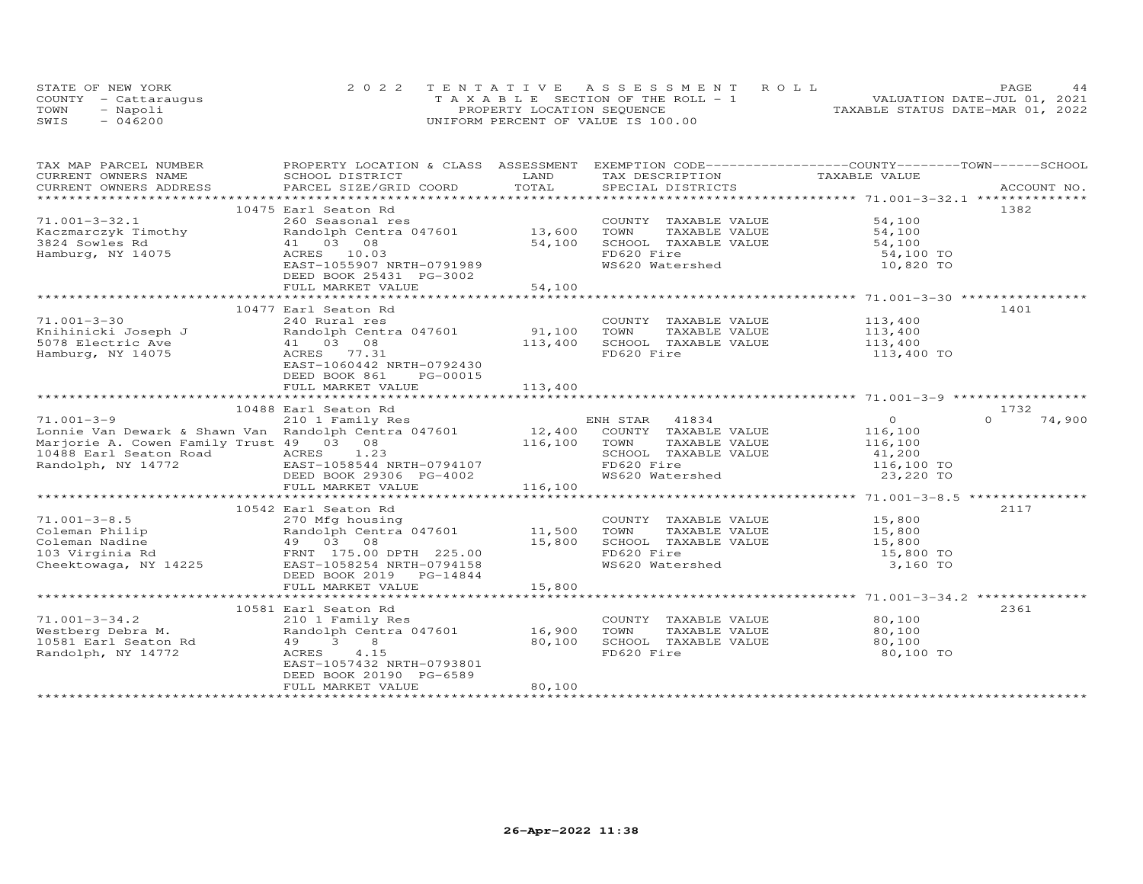|      | STATE OF NEW YORK    | 2022 TENTATIVE ASSESSMENT ROLL        | PAGE                             |
|------|----------------------|---------------------------------------|----------------------------------|
|      | COUNTY - Cattarauqus | T A X A B L E SECTION OF THE ROLL - 1 | VALUATION DATE-JUL 01, 2021      |
| TOWN | - Napoli             | PROPERTY LOCATION SEQUENCE            | TAXABLE STATUS DATE-MAR 01, 2022 |
| SWIS | $-046200$            | UNIFORM PERCENT OF VALUE IS 100.00    |                                  |

| TAX MAP PARCEL NUMBER                                                                                                                                                                                                                                    | PROPERTY LOCATION & CLASS ASSESSMENT                                                    |          | EXEMPTION CODE-----------------COUNTY-------TOWN------SCHOOL |                  |                    |
|----------------------------------------------------------------------------------------------------------------------------------------------------------------------------------------------------------------------------------------------------------|-----------------------------------------------------------------------------------------|----------|--------------------------------------------------------------|------------------|--------------------|
| CURRENT OWNERS NAME                                                                                                                                                                                                                                      | SCHOOL DISTRICT                                                                         | LAND     | TAX DESCRIPTION                                              | TAXABLE VALUE    |                    |
| CURRENT OWNERS ADDRESS<br>.CURRENT OWNERS ADDRESS PARCEL SIZE/GRID COORD TOTAL SPECIAL DISTRICTS (ACCOUNT NO ACCOUNT NO ARCOUNT NO ACCOUNT NO ACCOUNT NO A LOGGER AND A LOGGER A LOGGER AND A LOGGER AND A LOGGER AND A LOGGER AND A LOGGER AND A LOGGER |                                                                                         | TOTAL    |                                                              |                  |                    |
|                                                                                                                                                                                                                                                          |                                                                                         |          |                                                              |                  |                    |
|                                                                                                                                                                                                                                                          | 10475 Earl Seaton Rd                                                                    |          |                                                              |                  | 1382               |
| $71.001 - 3 - 32.1$                                                                                                                                                                                                                                      | 260 Seasonal res                                                                        |          | COUNTY TAXABLE VALUE                                         | 54,100           |                    |
| Kaczmarczyk Timothy                                                                                                                                                                                                                                      | Randolph Centra 047601 13,600                                                           |          | TOWN<br>TAXABLE VALUE                                        | 54,100           |                    |
| 3824 Sowles Rd                                                                                                                                                                                                                                           | 41 03 08                                                                                | 54,100   | SCHOOL TAXABLE VALUE                                         | 54,100           |                    |
| Hamburg, NY 14075                                                                                                                                                                                                                                        | ACRES 10.03                                                                             |          | FD620 Fire                                                   | 54,100 TO        |                    |
|                                                                                                                                                                                                                                                          | EAST-1055907 NRTH-0791989                                                               |          | WS620 Watershed                                              | 10,820 TO        |                    |
|                                                                                                                                                                                                                                                          | DEED BOOK 25431 PG-3002                                                                 |          |                                                              |                  |                    |
|                                                                                                                                                                                                                                                          | FULL MARKET VALUE                                                                       | 54,100   |                                                              |                  |                    |
|                                                                                                                                                                                                                                                          |                                                                                         |          |                                                              |                  |                    |
|                                                                                                                                                                                                                                                          | 10477 Earl Seaton Rd                                                                    |          |                                                              |                  | 1401               |
| $71.001 - 3 - 30$                                                                                                                                                                                                                                        | 240 Rural res                                                                           |          | COUNTY TAXABLE VALUE                                         | 113,400          |                    |
| Knihinicki Joseph J<br>5078 Electric Ave                                                                                                                                                                                                                 | Randolph Centra 047601 91,100                                                           |          | TAXABLE VALUE<br>TOWN                                        | 113,400          |                    |
|                                                                                                                                                                                                                                                          | 41 03 08                                                                                | 113,400  | SCHOOL TAXABLE VALUE                                         | 113,400          |                    |
| Hamburg, NY 14075                                                                                                                                                                                                                                        | ACRES 77.31                                                                             |          | FD620 Fire                                                   | 113,400 TO       |                    |
|                                                                                                                                                                                                                                                          | EAST-1060442 NRTH-0792430                                                               |          |                                                              |                  |                    |
|                                                                                                                                                                                                                                                          | DEED BOOK 861<br>PG-00015                                                               |          |                                                              |                  |                    |
|                                                                                                                                                                                                                                                          | FULL MARKET VALUE                                                                       | 113,400  |                                                              |                  |                    |
|                                                                                                                                                                                                                                                          |                                                                                         |          |                                                              |                  |                    |
|                                                                                                                                                                                                                                                          | 10488 Earl Seaton Rd                                                                    |          |                                                              |                  | 1732               |
|                                                                                                                                                                                                                                                          |                                                                                         |          |                                                              | $\overline{0}$   | 74,900<br>$\Omega$ |
| 71.001-3-9 210 1 Family Res<br>Lonnie Van Dewark & Shawn Van Randolph Centra 047601                                                                                                                                                                      |                                                                                         |          | ENH STAR 41834<br>12,400 COUNTY TAXABLE VALUE                | 116,100          |                    |
| Marjorie A. Cowen Family Trust 49 03 08                                                                                                                                                                                                                  |                                                                                         | 116,100  | TAXABLE VALUE<br>TOWN                                        | 116,100          |                    |
| 10488 Earl Seaton Road ACRES                                                                                                                                                                                                                             | 1.23                                                                                    |          | SCHOOL TAXABLE VALUE                                         | 41,200           |                    |
| Randolph, NY 14772                                                                                                                                                                                                                                       | EAST-1058544 NRTH-0794107                                                               |          | FD620 Fire                                                   | 116,100 TO       |                    |
|                                                                                                                                                                                                                                                          | DEED BOOK 29306 PG-4002                                                                 |          | WS620 Watershed                                              | 23,220 TO        |                    |
|                                                                                                                                                                                                                                                          | FULL MARKET VALUE                                                                       | 116, 100 |                                                              |                  |                    |
|                                                                                                                                                                                                                                                          |                                                                                         |          |                                                              |                  |                    |
|                                                                                                                                                                                                                                                          | 10542 Earl Seaton Rd                                                                    |          |                                                              |                  | 2117               |
| $71.001 - 3 - 8.5$                                                                                                                                                                                                                                       |                                                                                         |          | COUNTY TAXABLE VALUE                                         |                  |                    |
| Coleman Philip                                                                                                                                                                                                                                           | 270 Mfg housing<br>Randolph Centra 047601 11,500                                        |          | TOWN<br>TAXABLE VALUE                                        | 15,800<br>15,800 |                    |
| Coleman Nadine                                                                                                                                                                                                                                           |                                                                                         | 15,800   | SCHOOL TAXABLE VALUE                                         | 15,800           |                    |
| 103 Virginia Rd                                                                                                                                                                                                                                          | 2.000 metals = 12.000 metals = 0.47601<br>49 = 0.3 = 0.8<br>FRNT = 175.00 DPTH = 225.00 |          | FD620 Fire                                                   | 15,800 TO        |                    |
| Cheektowaga, NY 14225                                                                                                                                                                                                                                    | EAST-1058254 NRTH-0794158                                                               |          | WS620 Watershed                                              | 3,160 TO         |                    |
|                                                                                                                                                                                                                                                          | DEED BOOK 2019    PG-14844                                                              |          |                                                              |                  |                    |
|                                                                                                                                                                                                                                                          | FULL MARKET VALUE                                                                       | 15,800   |                                                              |                  |                    |
|                                                                                                                                                                                                                                                          |                                                                                         |          |                                                              |                  |                    |
|                                                                                                                                                                                                                                                          | 10581 Earl Seaton Rd                                                                    |          |                                                              |                  | 2361               |
| $71.001 - 3 - 34.2$                                                                                                                                                                                                                                      | 210 1 Family Res                                                                        |          | COUNTY TAXABLE VALUE                                         | 80,100           |                    |
| Westberg Debra M.                                                                                                                                                                                                                                        | Randolph Centra 047601 16,900                                                           |          | TAXABLE VALUE<br>TOWN                                        | 80,100           |                    |
| $10581$ Earl Seaton Rd                                                                                                                                                                                                                                   | 49<br>$3 \sim$<br>8                                                                     | 80,100   | SCHOOL TAXABLE VALUE                                         | 80,100           |                    |
| Randolph, NY 14772                                                                                                                                                                                                                                       | 4.15<br>ACRES                                                                           |          | FD620 Fire                                                   | 80,100 TO        |                    |
|                                                                                                                                                                                                                                                          | EAST-1057432 NRTH-0793801                                                               |          |                                                              |                  |                    |
|                                                                                                                                                                                                                                                          | DEED BOOK 20190 PG-6589                                                                 |          |                                                              |                  |                    |
|                                                                                                                                                                                                                                                          | FULL MARKET VALUE                                                                       | 80,100   |                                                              |                  |                    |
|                                                                                                                                                                                                                                                          |                                                                                         |          |                                                              |                  |                    |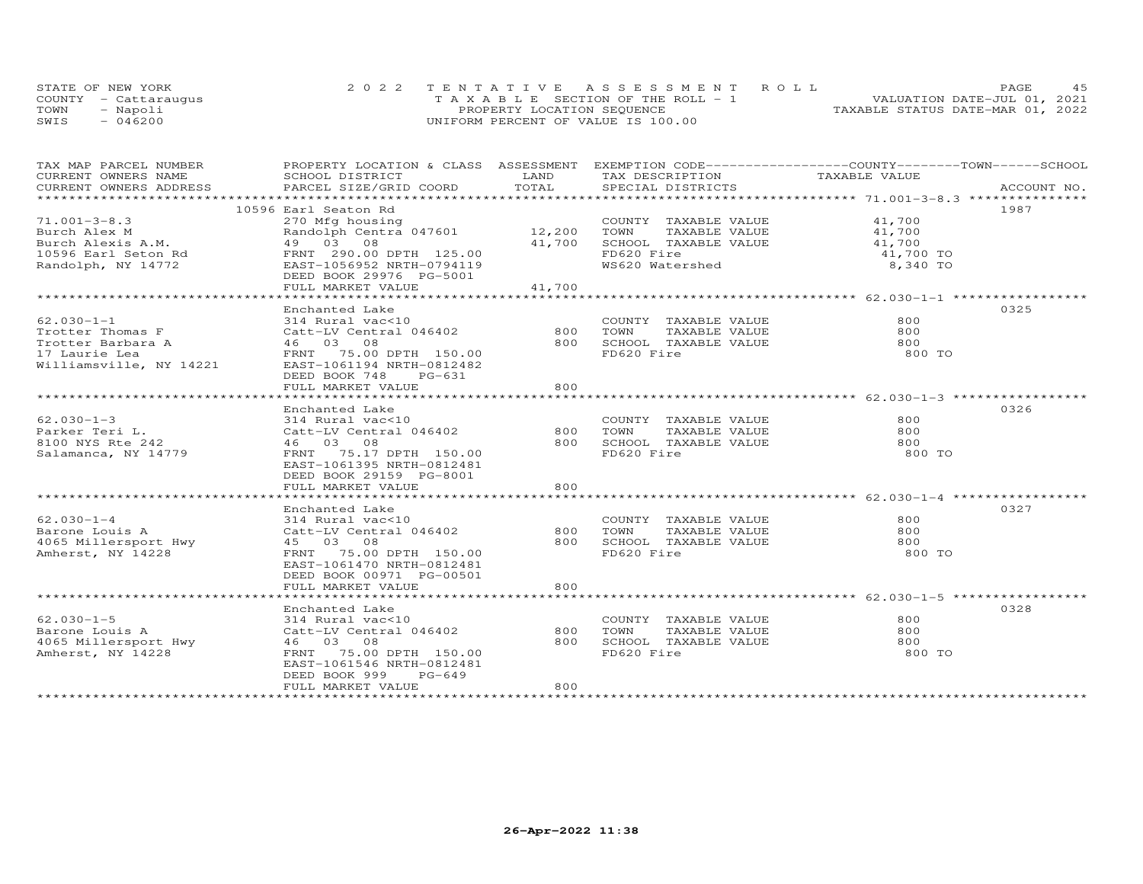|      | STATE OF NEW YORK    | 2022 TENTATIVE ASSESSMENT ROLL        |                                  | PAGE |  |
|------|----------------------|---------------------------------------|----------------------------------|------|--|
|      | COUNTY - Cattarauqus | T A X A B L E SECTION OF THE ROLL - 1 | VALUATION DATE-JUL 01, 2021      |      |  |
| TOWN | - Napoli             | PROPERTY LOCATION SEQUENCE            | TAXABLE STATUS DATE-MAR 01, 2022 |      |  |
| SWIS | $-046200$            | UNIFORM PERCENT OF VALUE IS 100.00    |                                  |      |  |

| TAX MAP PARCEL NUMBER                     | PROPERTY LOCATION & CLASS ASSESSMENT                                                                                      |          |                                                 | EXEMPTION CODE-----------------COUNTY-------TOWN------SCHOOL                                                                                                                                                                   |
|-------------------------------------------|---------------------------------------------------------------------------------------------------------------------------|----------|-------------------------------------------------|--------------------------------------------------------------------------------------------------------------------------------------------------------------------------------------------------------------------------------|
| CURRENT OWNERS NAME                       | SCHOOL DISTRICT                                                                                                           | LAND     | TAX DESCRIPTION TAXABLE VALUE                   |                                                                                                                                                                                                                                |
|                                           |                                                                                                                           |          |                                                 |                                                                                                                                                                                                                                |
|                                           |                                                                                                                           |          |                                                 | .CURRENT OWNERS ADDRESS PARCEL SIZE/GRID COORD TOTAL SPECIAL DISTRICTS ACCOUNT NO ACCOUNT NO ACCOUNT NO ARE THE SERVER AND HER ASSESS THE SERVER AS THE SERVER ASSESS THAT A LOCE SERVER AND A LOCE THE SERVER OF THE SERVER A |
|                                           | 10596 Earl Seaton Rd                                                                                                      |          |                                                 | 1987                                                                                                                                                                                                                           |
| $71.001 - 3 - 8.3$                        | 270 Mfg housing<br>Randolph Centra 047601 12,200 TOWN TAXABLE VALUE 41,700<br>49 03 08 41,700 SCHOOL TAXABLE VALUE 41,700 |          |                                                 |                                                                                                                                                                                                                                |
|                                           |                                                                                                                           |          |                                                 |                                                                                                                                                                                                                                |
|                                           |                                                                                                                           |          |                                                 |                                                                                                                                                                                                                                |
|                                           |                                                                                                                           |          |                                                 | 41,700 TO                                                                                                                                                                                                                      |
|                                           |                                                                                                                           |          | FD620 Fire<br>WS620 Watershed                   | 8,340 TO                                                                                                                                                                                                                       |
|                                           | DEED BOOK 29976 PG-5001                                                                                                   |          |                                                 |                                                                                                                                                                                                                                |
|                                           | FULL MARKET VALUE                                                                                                         | 41,700   |                                                 |                                                                                                                                                                                                                                |
|                                           |                                                                                                                           |          |                                                 |                                                                                                                                                                                                                                |
|                                           | Enchanted Lake                                                                                                            |          |                                                 | 0325                                                                                                                                                                                                                           |
| $62.030 - 1 - 1$                          | 314 Rural vac<10                                                                                                          |          | COUNTY TAXABLE VALUE                            | 800                                                                                                                                                                                                                            |
| Trotter Thomas F                          | Catt-LV Central 046402                                                                                                    |          | TAXABLE VALUE                                   | 800                                                                                                                                                                                                                            |
|                                           |                                                                                                                           |          | 800 SCHOOL TAXABLE VALUE                        | 800                                                                                                                                                                                                                            |
|                                           | Trotter inomas r<br>Trotter Barbara A (1994) 46 (1995) 98<br>17 Laurie Lea (1996) 88 FRNT 75.00 DPTH 150.00               |          | FD620 Fire                                      | 800 TO                                                                                                                                                                                                                         |
| 17 Laurie Lea<br>Williamsville, NY 14221  | EAST-1061194 NRTH-0812482                                                                                                 |          |                                                 |                                                                                                                                                                                                                                |
|                                           | DEED BOOK 748 PG-631                                                                                                      |          |                                                 |                                                                                                                                                                                                                                |
|                                           | FULL MARKET VALUE                                                                                                         | 800      |                                                 |                                                                                                                                                                                                                                |
|                                           |                                                                                                                           |          |                                                 |                                                                                                                                                                                                                                |
|                                           | Enchanted Lake                                                                                                            |          |                                                 | 0326                                                                                                                                                                                                                           |
| $62.030 - 1 - 3$                          |                                                                                                                           |          |                                                 | 800                                                                                                                                                                                                                            |
|                                           | 314 Rural vac<10                                                                                                          |          | COUNTY TAXABLE VALUE<br>800 TOWN                | 800                                                                                                                                                                                                                            |
| Parker Teri L.                            | Catt-LV Central 046402                                                                                                    |          | TAXABLE VALUE                                   |                                                                                                                                                                                                                                |
| 8100 NYS Rte 242                          | 46 03 08                                                                                                                  |          | 800 SCHOOL TAXABLE VALUE                        | 800                                                                                                                                                                                                                            |
| Salamanca, NY 14779                       | FRNT 75.17 DPTH 150.00                                                                                                    |          | FD620 Fire                                      | 800 TO                                                                                                                                                                                                                         |
|                                           | EAST-1061395 NRTH-0812481                                                                                                 |          |                                                 |                                                                                                                                                                                                                                |
|                                           | DEED BOOK 29159 PG-8001                                                                                                   |          |                                                 |                                                                                                                                                                                                                                |
|                                           | FULL MARKET VALUE                                                                                                         | 800      |                                                 |                                                                                                                                                                                                                                |
|                                           |                                                                                                                           |          |                                                 |                                                                                                                                                                                                                                |
|                                           | Enchanted Lake                                                                                                            |          |                                                 | 0327                                                                                                                                                                                                                           |
| $62.030 - 1 - 4$                          | 314 Rural vac<10<br>314 Kurai vacele<br>Catt-LV Central 046402                                                            |          | COUNTY TAXABLE VALUE<br>TOWN      TAXABLE VALUE | 800                                                                                                                                                                                                                            |
|                                           |                                                                                                                           | 800 TOWN |                                                 | 800                                                                                                                                                                                                                            |
|                                           | 45 03 08                                                                                                                  | 800      | SCHOOL TAXABLE VALUE                            | 800                                                                                                                                                                                                                            |
| Amherst, NY 14228                         | FRNT 75.00 DPTH 150.00                                                                                                    |          | FD620 Fire                                      | 800 TO                                                                                                                                                                                                                         |
|                                           | EAST-1061470 NRTH-0812481                                                                                                 |          |                                                 |                                                                                                                                                                                                                                |
|                                           | DEED BOOK 00971 PG-00501                                                                                                  |          |                                                 |                                                                                                                                                                                                                                |
|                                           | FULL MARKET VALUE                                                                                                         | 800      |                                                 |                                                                                                                                                                                                                                |
|                                           |                                                                                                                           |          |                                                 |                                                                                                                                                                                                                                |
|                                           | Enchanted Lake                                                                                                            |          |                                                 | 0328                                                                                                                                                                                                                           |
| $62.030 - 1 - 5$                          | 314 Rural vac<10                                                                                                          |          | COUNTY TAXABLE VALUE                            | 800                                                                                                                                                                                                                            |
| Barone Louis A                            | Catt-LV Central 046402                                                                                                    | 800      | TAXABLE VALUE<br>TOWN                           | 800                                                                                                                                                                                                                            |
| 4065 Millersport Hwy<br>Amherst, NY 14228 | 46 03 08                                                                                                                  | 800      | SCHOOL TAXABLE VALUE                            | 800                                                                                                                                                                                                                            |
| Amherst, NY 14228                         | FRNT 75.00 DPTH 150.00                                                                                                    |          | FD620 Fire                                      | 800 TO                                                                                                                                                                                                                         |
|                                           | EAST-1061546 NRTH-0812481                                                                                                 |          |                                                 |                                                                                                                                                                                                                                |
|                                           | PG-649<br>DEED BOOK 999                                                                                                   |          |                                                 |                                                                                                                                                                                                                                |
|                                           | FULL MARKET VALUE                                                                                                         | 800      |                                                 |                                                                                                                                                                                                                                |
|                                           |                                                                                                                           |          |                                                 |                                                                                                                                                                                                                                |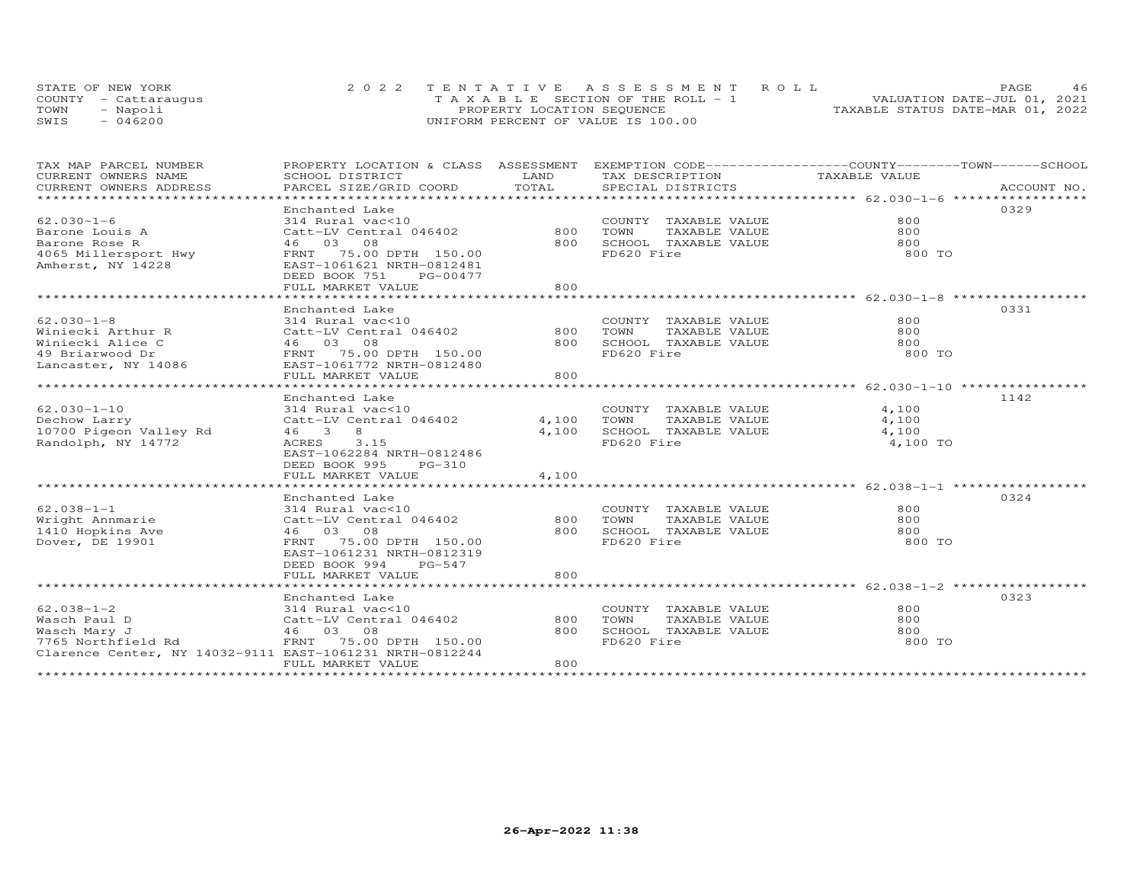|      | STATE OF NEW YORK    | 2022 TENTATIVE ASSESSMENT ROLL        | PAGE                             |
|------|----------------------|---------------------------------------|----------------------------------|
|      | COUNTY - Cattaraugus | T A X A B L E SECTION OF THE ROLL - 1 | VALUATION DATE-JUL 01, 2021      |
| TOWN | Napoli               | PROPERTY LOCATION SEQUENCE            | TAXABLE STATUS DATE-MAR 01, 2022 |
| SWIS | 046200               | UNIFORM PERCENT OF VALUE IS 100.00    |                                  |

| TAX MAP PARCEL NUMBER                                                                                           | PROPERTY LOCATION & CLASS ASSESSMENT EXEMPTION CODE----------------COUNTY-------TOWN-----SCHOOL |       |                       |               |             |
|-----------------------------------------------------------------------------------------------------------------|-------------------------------------------------------------------------------------------------|-------|-----------------------|---------------|-------------|
| CURRENT OWNERS NAME                                                                                             | SCHOOL DISTRICT                                                                                 | LAND  | TAX DESCRIPTION       | TAXABLE VALUE |             |
| .CURRENT OWNERS ADDRESS PARCEL SIZE/GRID COORD TOTAL SPECIAL DISTRICTS ACCOUNT NO ACCOUNT NO ACCOUNT NO ACCOUNT |                                                                                                 |       |                       |               | ACCOUNT NO. |
|                                                                                                                 |                                                                                                 |       |                       |               |             |
|                                                                                                                 | Enchanted Lake                                                                                  |       |                       |               | 0329        |
| $62.030 - 1 - 6$                                                                                                | 314 Rural vac<10                                                                                |       | COUNTY TAXABLE VALUE  | 800           |             |
| Barone Louis A                                                                                                  | Catt-LV Central 046402 800                                                                      |       | TOWN<br>TAXABLE VALUE | 800           |             |
| Barone Rose R                                                                                                   | 46 03 08                                                                                        | 800   | SCHOOL TAXABLE VALUE  | 800           |             |
| 4065 Millersport Hwy FRNT 75.00 DPTH 150.00                                                                     |                                                                                                 |       | FD620 Fire            | 800 TO        |             |
| Amherst, NY 14228                                                                                               | EAST-1061621 NRTH-0812481                                                                       |       |                       |               |             |
|                                                                                                                 | DEED BOOK 751<br>PG-00477                                                                       |       |                       |               |             |
|                                                                                                                 | FULL MARKET VALUE                                                                               | 800   |                       |               |             |
|                                                                                                                 |                                                                                                 |       |                       |               |             |
|                                                                                                                 | Enchanted Lake                                                                                  |       |                       |               | 0331        |
| $62.030 - 1 - 8$                                                                                                | 314 Rural vac<10                                                                                |       | COUNTY TAXABLE VALUE  | 800           |             |
| Winiecki Arthur R                                                                                               | Catt-LV Central 046402                                                                          | 800   | TOWN<br>TAXABLE VALUE | 800           |             |
|                                                                                                                 |                                                                                                 | 800   | SCHOOL TAXABLE VALUE  | 800           |             |
|                                                                                                                 |                                                                                                 |       | FD620 Fire            | 800 TO        |             |
|                                                                                                                 |                                                                                                 |       |                       |               |             |
|                                                                                                                 | FULL MARKET VALUE                                                                               | 800   |                       |               |             |
|                                                                                                                 |                                                                                                 |       |                       |               |             |
|                                                                                                                 | Enchanted Lake                                                                                  |       |                       |               | 1142        |
| $62.030 - 1 - 10$                                                                                               | 314 Rural vac<10                                                                                |       | COUNTY TAXABLE VALUE  | 4,100         |             |
| Dechow Larry                                                                                                    | 314 Kurai vassis<br>Catt-LV Central 046402                                                      | 4,100 | TAXABLE VALUE<br>TOWN | 4,100         |             |
| $10700$ Pigeon Valley Rd                                                                                        | 46 3 8                                                                                          | 4,100 | SCHOOL TAXABLE VALUE  | 4,100         |             |
| Randolph, NY 14772                                                                                              | ACRES 3.15                                                                                      |       | FD620 Fire            | 4,100 TO      |             |
|                                                                                                                 | EAST-1062284 NRTH-0812486                                                                       |       |                       |               |             |
|                                                                                                                 | DEED BOOK 995<br>PG-310                                                                         |       |                       |               |             |
|                                                                                                                 | FULL MARKET VALUE                                                                               | 4,100 |                       |               |             |
|                                                                                                                 |                                                                                                 |       |                       |               |             |
|                                                                                                                 | Enchanted Lake                                                                                  |       |                       |               | 0324        |
| $62.038 - 1 - 1$                                                                                                | 314 Rural vac<10                                                                                |       | COUNTY TAXABLE VALUE  | 800           |             |
|                                                                                                                 | Catt-LV Central 046402                                                                          | 800   | TOWN<br>TAXABLE VALUE | 800           |             |
| wright Annmarie<br>1410 Hopkins Ave<br>Dover DE 1991                                                            | 46 03 08                                                                                        | 800   | SCHOOL TAXABLE VALUE  | 800           |             |
| Dover, DE 19901                                                                                                 | FRNT 75.00 DPTH 150.00                                                                          |       | FD620 Fire            | 800 TO        |             |
|                                                                                                                 | EAST-1061231 NRTH-0812319                                                                       |       |                       |               |             |
|                                                                                                                 | DEED BOOK 994<br>PG-547                                                                         |       |                       |               |             |
|                                                                                                                 | FULL MARKET VALUE                                                                               | 800   |                       |               |             |
|                                                                                                                 |                                                                                                 |       |                       |               |             |
|                                                                                                                 | Enchanted Lake                                                                                  |       |                       |               | 0323        |
| $62.038 - 1 - 2$                                                                                                | 314 Rural vac<10                                                                                |       | COUNTY TAXABLE VALUE  | 800           |             |
| Wasch Paul D                                                                                                    | Catt-LV Central 046402                                                                          | 800   | TOWN<br>TAXABLE VALUE | 800           |             |
| Wasch Mary J                                                                                                    | 46 03 08                                                                                        | 800   | SCHOOL TAXABLE VALUE  | 800           |             |
| 7765 Northfield Rd                                                                                              | FRNT 75.00 DPTH 150.00                                                                          |       | FD620 Fire            | 800 TO        |             |
| Clarence Center, NY 14032-9111 EAST-1061231 NRTH-0812244                                                        |                                                                                                 |       |                       |               |             |
|                                                                                                                 | FULL MARKET VALUE                                                                               | 800   |                       |               |             |
|                                                                                                                 |                                                                                                 |       |                       |               |             |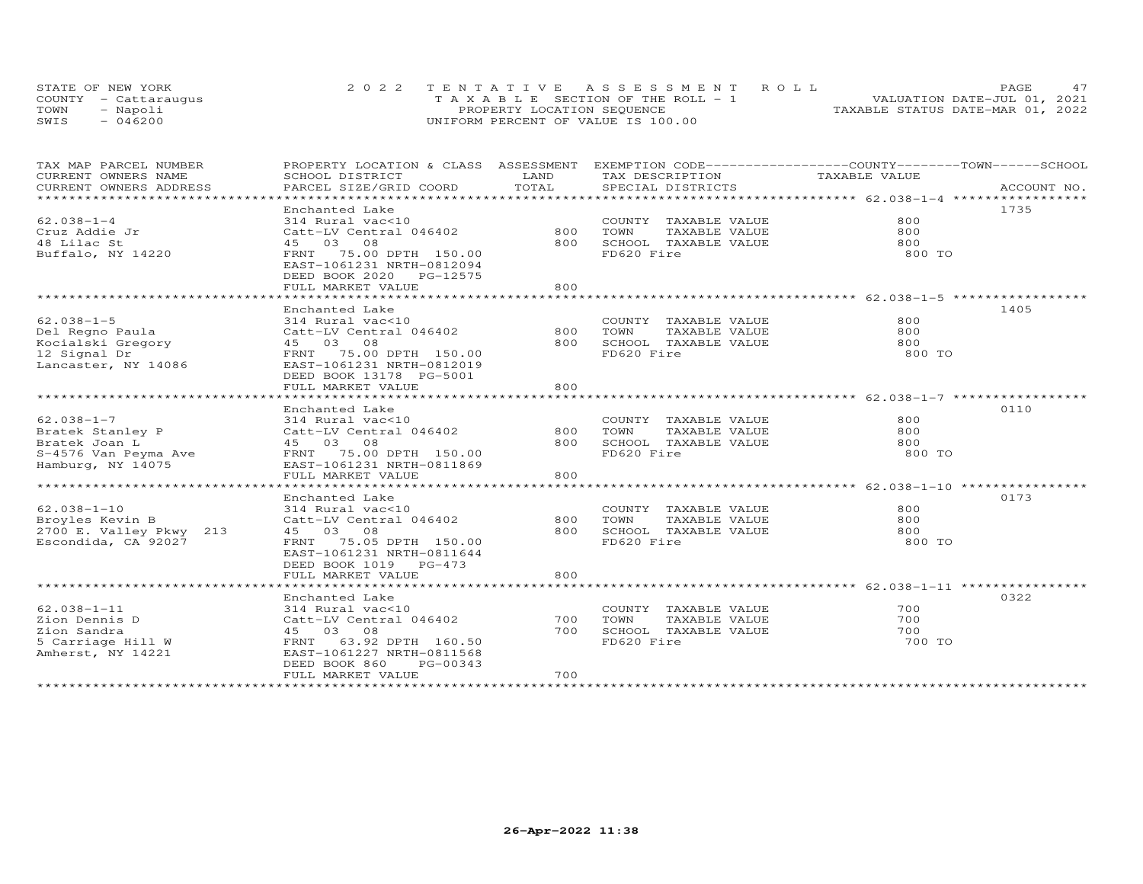|      | STATE OF NEW YORK    | 2022 TENTATIVE ASSESSMENT ROLL        | PAGE                             |
|------|----------------------|---------------------------------------|----------------------------------|
|      | COUNTY - Cattarauqus | T A X A B L E SECTION OF THE ROLL - 1 | VALUATION DATE-JUL 01, 2021      |
| TOWN | Napoli               | PROPERTY LOCATION SEQUENCE            | TAXABLE STATUS DATE-MAR 01, 2022 |
| SWIS | 046200               | UNIFORM PERCENT OF VALUE IS 100.00    |                                  |

| TAX MAP PARCEL NUMBER<br>CURRENT OWNERS NAME                                                                     | PROPERTY LOCATION & CLASS ASSESSMENT EXEMPTION CODE----------------COUNTY-------TOWN-----SCHOOL<br>SCHOOL DISTRICT                                                                | LAND              | TAX DESCRIPTION                                                                     | TAXABLE VALUE               |             |
|------------------------------------------------------------------------------------------------------------------|-----------------------------------------------------------------------------------------------------------------------------------------------------------------------------------|-------------------|-------------------------------------------------------------------------------------|-----------------------------|-------------|
| CURRENT OWNERS ADDRESS                                                                                           | PARCEL SIZE/GRID COORD                                                                                                                                                            | TOTAL             | SPECIAL DISTRICTS                                                                   |                             | ACCOUNT NO. |
| $62.038 - 1 - 4$<br>Cruz Addie Jr<br>48 Lilac St<br>Buffalo, NY 14220                                            | Enchanted Lake<br>314 Rural vac<10<br>Catt-LV Central 046402<br>45 03 08<br>FRNT 75.00 DPTH 150.00<br>EAST-1061231 NRTH-0812094<br>DEED BOOK 2020 PG-12575<br>FULL MARKET VALUE   | 800<br>800<br>800 | COUNTY TAXABLE VALUE<br>TOWN<br>TAXABLE VALUE<br>SCHOOL TAXABLE VALUE<br>FD620 Fire | 800<br>800<br>800<br>800 TO | 1735        |
| $62.038 - 1 - 5$<br>Del Regno Paula<br>Mei Reyno II.<br>Kocialski Gregory<br>12 Signal Dr<br>Lancaster, NY 14086 | Enchanted Lake<br>314 Rural vac<10<br>Catt-LV Central 046402<br>45 03 08<br>FRNT 75.00 DPTH 150.00<br>EAST-1061231 NRTH-0812019<br>DEED BOOK 13178 PG-5001<br>FULL MARKET VALUE   | 800<br>800<br>800 | COUNTY TAXABLE VALUE<br>TOWN<br>TAXABLE VALUE<br>SCHOOL TAXABLE VALUE<br>FD620 Fire | 800<br>800<br>800<br>800 TO | 1405        |
| $62.038 - 1 - 7$<br>Bratek Stanley P<br>Bratek Joan L<br>Hamburg, NY 14075                                       | Enchanted Lake<br>314 Rural vac<10<br>Catt-LV Central 046402<br>45 03 08<br>EAST-1061231 NRTH-0811869<br>FULL MARKET VALUE                                                        | 800<br>800<br>800 | COUNTY TAXABLE VALUE<br>TOWN<br>TAXABLE VALUE<br>SCHOOL TAXABLE VALUE<br>FD620 Fire | 800<br>800<br>800<br>800 TO | 0110        |
| $62.038 - 1 - 10$<br>Broyles Kevin B<br>2700 E. Valley Pkwy 213<br>Escondida, CA 92027                           | Enchanted Lake<br>314 Rural vac<10<br>Catt-LV Central 046402<br>45 03 08<br>FRNT 75.05 DPTH 150.00<br>EAST-1061231 NRTH-0811644<br>DEED BOOK 1019 PG-473<br>FULL MARKET VALUE     | 800<br>800<br>800 | COUNTY TAXABLE VALUE<br>TOWN<br>TAXABLE VALUE<br>SCHOOL TAXABLE VALUE<br>FD620 Fire | 800<br>800<br>800<br>800 TO | 0173        |
| $62.038 - 1 - 11$<br>Zion Dennis D<br>Zion Sandra<br>5 Carriage Hill W<br>Amherst, NY 14221                      | Enchanted Lake<br>314 Rural vac<10<br>Catt-LV Central 046402<br>45 03 08<br>FRNT 63.92 DPTH 160.50<br>EAST-1061227 NRTH-0811568<br>DEED BOOK 860<br>PG-00343<br>FULL MARKET VALUE | 700<br>700<br>700 | COUNTY TAXABLE VALUE<br>TOWN<br>TAXABLE VALUE<br>SCHOOL TAXABLE VALUE<br>FD620 Fire | 700<br>700<br>700<br>700 TO | 0322        |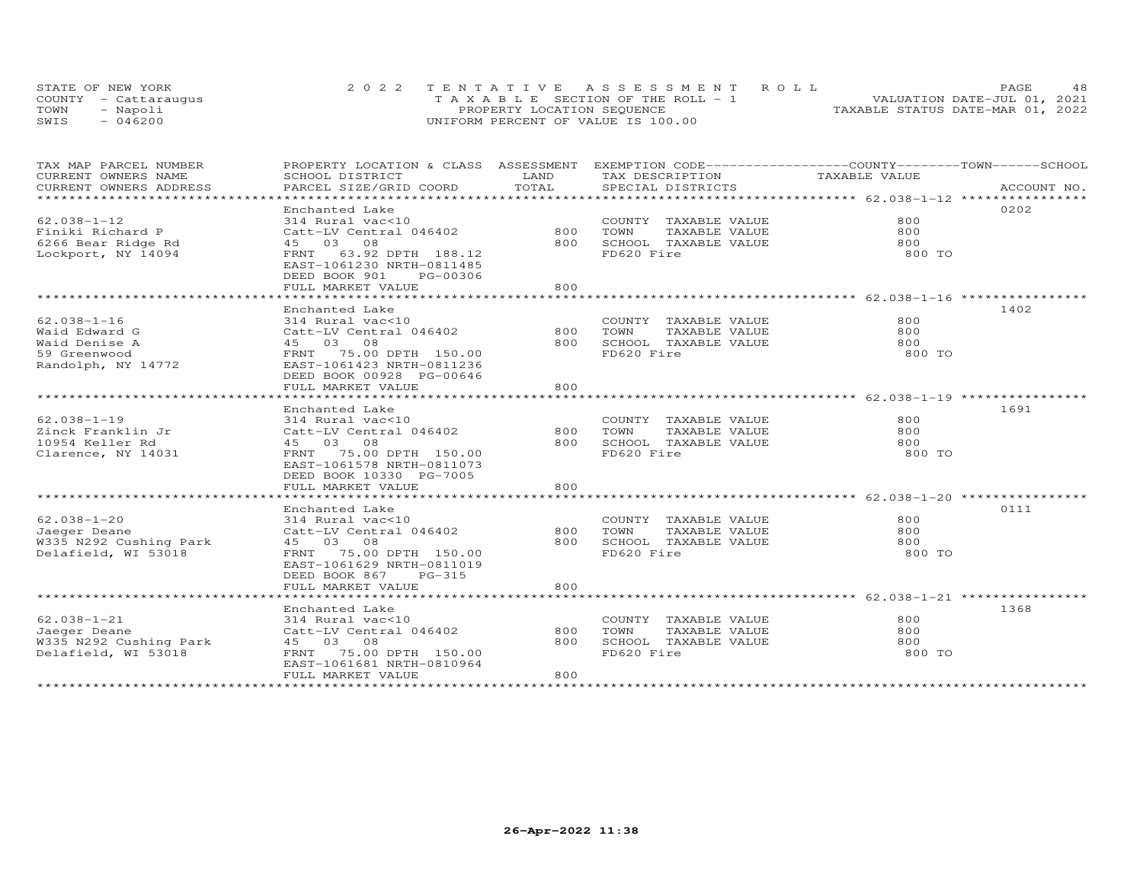| STATE OF NEW YORK    | 2022 TENTATIVE ASSESSMENT ROLL        | 48<br>PAGE.                      |
|----------------------|---------------------------------------|----------------------------------|
| COUNTY - Cattaraugus | T A X A B L E SECTION OF THE ROLL - 1 | VALUATION DATE-JUL 01, 2021      |
| TOWN<br>- Napoli     | PROPERTY LOCATION SEQUENCE            | TAXABLE STATUS DATE-MAR 01, 2022 |
| $-046200$<br>SWIS    | UNIFORM PERCENT OF VALUE IS 100.00    |                                  |

| TAX MAP PARCEL NUMBER<br>CURRENT OWNERS NAME<br>CURRENT OWNERS ADDRESS                      | SCHOOL DISTRICT<br>PARCEL SIZE/GRID COORD                                                                                                                                            | LAND<br>TOTAL     | PROPERTY LOCATION & CLASS ASSESSMENT EXEMPTION CODE----------------COUNTY-------TOWN------SCHOOL<br>TAX DESCRIPTION<br>SPECIAL DISTRICTS | TAXABLE VALUE                 | ACCOUNT NO. |
|---------------------------------------------------------------------------------------------|--------------------------------------------------------------------------------------------------------------------------------------------------------------------------------------|-------------------|------------------------------------------------------------------------------------------------------------------------------------------|-------------------------------|-------------|
| ******************************                                                              |                                                                                                                                                                                      |                   |                                                                                                                                          |                               |             |
| $62.038 - 1 - 12$<br>Finiki Richard P<br>6266 Bear Ridge Rd<br>Lockport, NY 14094           | Enchanted Lake<br>314 Rural vac<10<br>Catt-LV Central 046402<br>45 03 08<br>FRNT 63.92 DPTH 188.12<br>EAST-1061230 NRTH-0811485<br>DEED BOOK 901<br>PG-00306<br>FULL MARKET VALUE    | 800<br>800        | COUNTY TAXABLE VALUE<br>TOWN<br>TAXABLE VALUE<br>800 SCHOOL TAXABLE VALUE<br>FD620 Fire                                                  | 800<br>800<br>800<br>800 TO   | 0202        |
| $62.038 - 1 - 16$<br>Waid Edward G<br>Waid Denise A<br>59 Greenwood<br>Randolph, NY 14772   | Enchanted Lake<br>314 Rural vac<10<br>Catt-LV Central 046402 800<br>45 03 08<br>FRNT 75.00 DPTH 150.00<br>EAST-1061423 NRTH-0811236<br>DEED BOOK 00928 PG-00646<br>FULL MARKET VALUE | 800<br>800        | COUNTY TAXABLE VALUE<br>TOWN<br>TAXABLE VALUE<br>SCHOOL TAXABLE VALUE<br>FD620 Fire                                                      | 800<br>800<br>800<br>800 TO   | 1402        |
| $62.038 - 1 - 19$<br>Zinck Franklin Jr<br>10954 Keller Rd<br>Clarence, NY 14031             | Enchanted Lake<br>314 Rural vac<10<br>Catt-LV Central 046402<br>45 03 08<br>FRNT 75.00 DPTH 150.00<br>EAST-1061578 NRTH-0811073<br>DEED BOOK 10330 PG-7005<br>FULL MARKET VALUE      | 800 TOWN<br>800   | COUNTY TAXABLE VALUE<br>TAXABLE VALUE<br>800 SCHOOL TAXABLE VALUE<br>FD620 Fire                                                          | 800<br>800<br>800<br>800 TO   | 1691        |
|                                                                                             |                                                                                                                                                                                      |                   |                                                                                                                                          |                               |             |
| $62.038 - 1 - 20$<br>Jaeger Deane<br>W335 N292 Cushing Park 45 03 08<br>Delafield, WI 53018 | Enchanted Lake<br>314 Rural vac<10<br>Catt-LV Central 046402<br>FRNT 75.00 DPTH 150.00<br>EAST-1061629 NRTH-0811019<br>DEED BOOK 867<br>PG-315<br>FULL MARKET VALUE                  | 800<br>800        | COUNTY TAXABLE VALUE<br>TAXABLE VALUE<br>TOWN<br>800 SCHOOL TAXABLE VALUE<br>FD620 Fire                                                  | 800<br>800<br>$800$<br>800 TO | 0111        |
|                                                                                             |                                                                                                                                                                                      |                   |                                                                                                                                          |                               |             |
| $62.038 - 1 - 21$<br>Jaeger Deane<br>W335 N292 Cushing Park<br>Delafield, WI 53018          | Enchanted Lake<br>314 Rural vac<10<br>Catt-LV Central 046402<br>45 03 08<br>FRNT 75.00 DPTH 150.00<br>EAST-1061681 NRTH-0810964<br>FULL MARKET VALUE                                 | 800<br>800<br>800 | COUNTY TAXABLE VALUE<br>TOWN<br>TAXABLE VALUE<br>SCHOOL TAXABLE VALUE<br>FD620 Fire                                                      | 800<br>800<br>800<br>800 TO   | 1368        |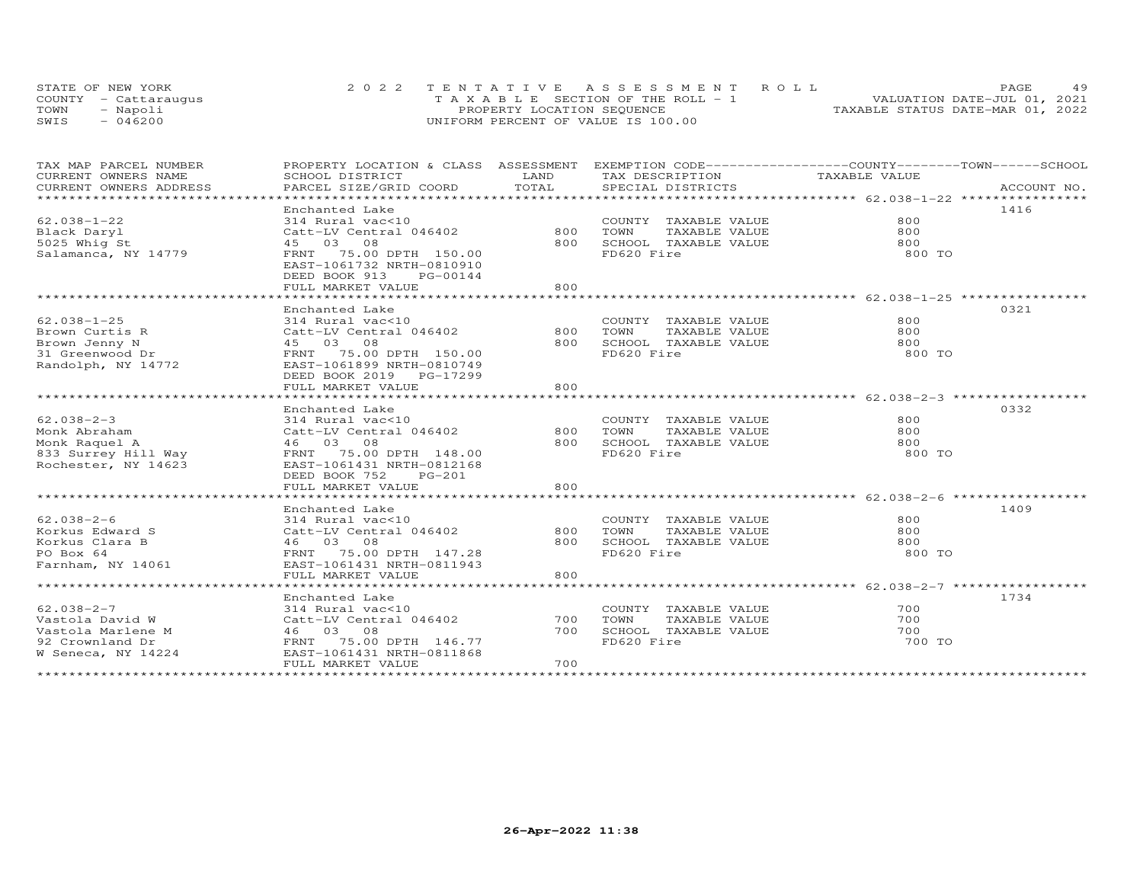|      | STATE OF NEW YORK    | 2022 TENTATIVE ASSESSMENT ROLL        | 4 Q<br>PAGE                      |
|------|----------------------|---------------------------------------|----------------------------------|
|      | COUNTY - Cattaraugus | T A X A B L E SECTION OF THE ROLL - 1 | VALUATION DATE-JUL 01, 2021      |
| TOWN | Napoli               | PROPERTY LOCATION SEQUENCE            | TAXABLE STATUS DATE-MAR 01, 2022 |
| SWIS | 046200               | UNIFORM PERCENT OF VALUE IS 100.00    |                                  |

| TAX MAP PARCEL NUMBER<br>CURRENT OWNERS NAME | PROPERTY LOCATION & CLASS ASSESSMENT<br>SCHOOL DISTRICT                                             | LAND  | EXEMPTION CODE------------------COUNTY-------TOWN------SCHOOL<br>TAX DESCRIPTION | TAXABLE VALUE |      |
|----------------------------------------------|-----------------------------------------------------------------------------------------------------|-------|----------------------------------------------------------------------------------|---------------|------|
| CURRENT OWNERS ADDRESS                       | PARCEL SIZE/GRID COORD                                                                              | TOTAL | SPECIAL DISTRICTS                                                                |               |      |
|                                              |                                                                                                     |       |                                                                                  |               |      |
|                                              | Enchanted Lake                                                                                      |       |                                                                                  |               | 1416 |
| $62.038 - 1 - 22$                            | 314 Rural vac<10                                                                                    |       | COUNTY TAXABLE VALUE                                                             | 800           |      |
| Black Daryl                                  | Catt-LV Central 046402 800                                                                          |       | TOWN<br>TAXABLE VALUE                                                            | 800           |      |
| 5025 Whig St                                 | 45 03 08                                                                                            | 800   | SCHOOL TAXABLE VALUE                                                             | 800           |      |
| Salamanca, NY 14779                          | FRNT 75.00 DPTH 150.00<br>EAST-1061732 NRTH-0810910<br>DEED BOOK 913<br>PG-00144                    |       | FD620 Fire                                                                       | 800 TO        |      |
|                                              | FULL MARKET VALUE                                                                                   | 800   |                                                                                  |               |      |
|                                              |                                                                                                     |       |                                                                                  |               |      |
|                                              | Enchanted Lake                                                                                      |       |                                                                                  |               | 0321 |
| $62.038 - 1 - 25$                            | 314 Rural vac<10                                                                                    |       | COUNTY TAXABLE VALUE                                                             | 800           |      |
| Brown Curtis R                               | Catt-LV Central 046402                                                                              | 800   | TAXABLE VALUE<br>TOWN                                                            | 800           |      |
| Brown Jenny N                                | 45 03 08                                                                                            | 800   | SCHOOL TAXABLE VALUE                                                             | 800           |      |
| 31 Greenwood Dr<br>Randolph, NY 14772        | FRNT 75.00 DPTH 150.00<br>EAST-1061899 NRTH-0810749<br>DEED BOOK 2019 PG-17299<br>FULL MARKET VALUE | 800   | FD620 Fire                                                                       | 800 TO        |      |
|                                              |                                                                                                     |       |                                                                                  |               |      |
|                                              | Enchanted Lake                                                                                      |       |                                                                                  |               | 0332 |
| $62.038 - 2 - 3$                             | 314 Rural vac<10                                                                                    |       | COUNTY TAXABLE VALUE                                                             | 800           |      |
| Monk Abraham                                 | Catt-LV Central 046402                                                                              | 800   | TOWN<br>TAXABLE VALUE                                                            | 800           |      |
| Monk Raquel A                                | 46 03 08                                                                                            | 800   | SCHOOL TAXABLE VALUE                                                             | 800           |      |
| 833 Surrey Hill Way                          | FRNT 75.00 DPTH 148.00                                                                              |       | FD620 Fire                                                                       | 800 TO        |      |
| Rochester, NY 14623                          | EAST-1061431 NRTH-0812168<br>DEED BOOK 752<br>PG-201<br>FULL MARKET VALUE                           | 800   |                                                                                  |               |      |
|                                              |                                                                                                     |       |                                                                                  |               |      |
|                                              | Enchanted Lake                                                                                      |       |                                                                                  |               | 1409 |
| $62.038 - 2 - 6$                             | 314 Rural vac<10                                                                                    |       |                                                                                  | 800           |      |
| Korkus Edward S                              | Catt-LV Central 046402                                                                              | 800   | COUNTY TAXABLE VALUE<br>TOWN      TAXABLE VALUE                                  | 800           |      |
| Korkus Clara B                               | 46 03 08                                                                                            | 800   | SCHOOL TAXABLE VALUE                                                             | 800           |      |
| PO Box 64                                    | FRNT 75.00 DPTH 147.28                                                                              |       | FD620 Fire                                                                       | 800 TO        |      |
| Farnham, NY 14061                            | EAST-1061431 NRTH-0811943                                                                           |       |                                                                                  |               |      |
|                                              | FULL MARKET VALUE                                                                                   | 800   |                                                                                  |               |      |
|                                              |                                                                                                     |       |                                                                                  |               |      |
|                                              | Enchanted Lake                                                                                      |       |                                                                                  |               | 1734 |
| $62.038 - 2 - 7$                             | 314 Rural vac<10                                                                                    |       | COUNTY TAXABLE VALUE                                                             | 700           |      |
| Vastola David W                              | Catt-LV Central 046402                                                                              | 700   | TOWN<br>TAXABLE VALUE                                                            | 700           |      |
| Vastola Marlene M                            | 46 03 08                                                                                            | 700   | SCHOOL TAXABLE VALUE                                                             | 700           |      |
| 92 Crownland Dr                              | FRNT 75.00 DPTH 146.77                                                                              |       | FD620 Fire                                                                       | 700 TO        |      |
| W Seneca, NY 14224                           | EAST-1061431 NRTH-0811868                                                                           |       |                                                                                  |               |      |
|                                              | FULL MARKET VALUE                                                                                   | 700   |                                                                                  |               |      |
|                                              |                                                                                                     |       |                                                                                  |               |      |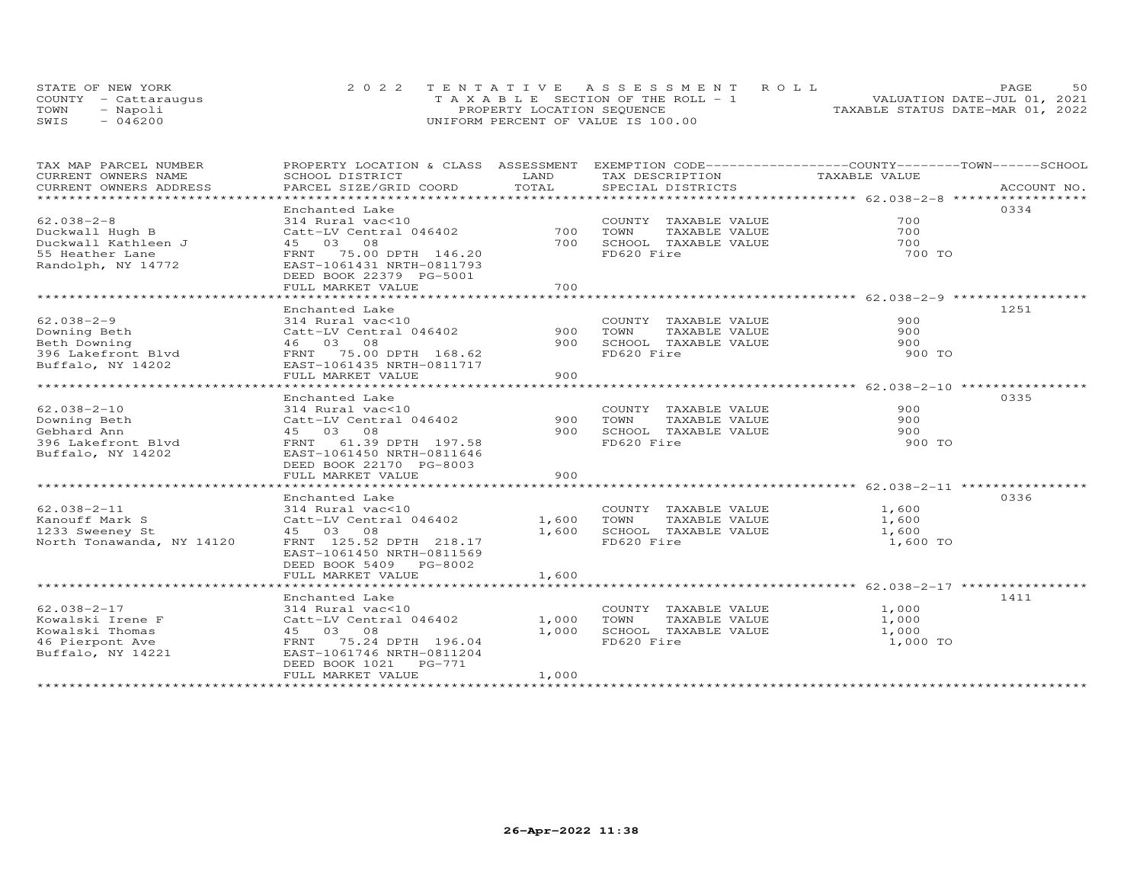|      | STATE OF NEW YORK    | 2022 TENTATIVE ASSESSMENT ROLL        | 50<br>PAGE.                      |
|------|----------------------|---------------------------------------|----------------------------------|
|      | COUNTY - Cattaraugus | T A X A B L E SECTION OF THE ROLL - 1 | VALUATION DATE-JUL 01, 2021      |
| TOWN | Napoli               | PROPERTY LOCATION SEQUENCE            | TAXABLE STATUS DATE-MAR 01, 2022 |
| SWIS | 046200               | UNIFORM PERCENT OF VALUE IS 100.00    |                                  |

| TAX MAP PARCEL NUMBER                                                                                                   | PROPERTY LOCATION & CLASS ASSESSMENT EXEMPTION CODE----------------COUNTY-------TOWN-----SCHOOL<br>SCHOOL DISTRICT                                                                                                    | LAND                    | TAX DESCRIPTION                                                                                             | TAXABLE VALUE                       |              |
|-------------------------------------------------------------------------------------------------------------------------|-----------------------------------------------------------------------------------------------------------------------------------------------------------------------------------------------------------------------|-------------------------|-------------------------------------------------------------------------------------------------------------|-------------------------------------|--------------|
| CURRENT OWNERS NAME<br>CURRENT OWNERS ADDRESS                                                                           | PARCEL SIZE/GRID COORD                                                                                                                                                                                                | TOTAL                   | SPECIAL DISTRICTS                                                                                           |                                     | ACCOUNT NO.  |
|                                                                                                                         |                                                                                                                                                                                                                       |                         |                                                                                                             |                                     |              |
| $62.038 - 2 - 8$<br>Duckwall Hugh B<br>Duckwall Kathleen J<br>55 Heather Lane<br>Randolph, NY 14772<br>$62.038 - 2 - 9$ | Enchanted Lake<br>314 Rural vac<10<br>Catt-LV Central 046402<br>45 03 08<br>FRNT 75.00 DPTH 146.20<br>EAST-1061431 NRTH-0811793<br>DEED BOOK 22379 PG-5001<br>FULL MARKET VALUE<br>Enchanted Lake<br>314 Rural vac<10 | 700<br>700<br>700       | COUNTY TAXABLE VALUE<br>TOWN<br>TAXABLE VALUE<br>SCHOOL TAXABLE VALUE<br>FD620 Fire<br>COUNTY TAXABLE VALUE | 700<br>700<br>700<br>700 TO<br>900  | 0334<br>1251 |
| Downing Beth<br>Beth Downing<br>Bech Downing<br>396 Lakefront Blvd<br>Buffalo, NY 14202<br>EAST-1061435 NRTH-0811717    | Catt-LV Central 046402<br>46 03 08<br>FULL MARKET VALUE                                                                                                                                                               | 900<br>900<br>900       | TOWN<br>TAXABLE VALUE<br>SCHOOL TAXABLE VALUE<br>FD620 Fire                                                 | 900<br>900<br>900 TO                |              |
| $62.038 - 2 - 10$<br>Downing Beth<br>Gebhard Ann<br>396 Lakefront Blvd<br>Buffalo, NY 14202                             | Enchanted Lake<br>314 Rural vac<10<br>Catt-LV Central 046402<br>45 03 08<br>FRNT 61.39 DPTH 197.58<br>EAST-1061450 NRTH-0811646<br>DEED BOOK 22170 PG-8003<br>FULL MARKET VALUE                                       | 900<br>900<br>900       | COUNTY TAXABLE VALUE<br>TAXABLE VALUE<br>TOWN<br>SCHOOL TAXABLE VALUE<br>FD620 Fire                         | 900<br>900<br>900<br>900 TO         | 0335         |
| $62.038 - 2 - 11$<br>Kanouff Mark S<br>1233 Sweeney St<br>North Tonawanda, NY 14120                                     | Enchanted Lake<br>314 Rural vac<10<br>Catt-LV Central 046402<br>45 03 08<br>FRNT 125.52 DPTH 218.17<br>EAST-1061450 NRTH-0811569<br>DEED BOOK 5409 PG-8002<br>FULL MARKET VALUE                                       | 1,600<br>1,600<br>1,600 | COUNTY TAXABLE VALUE<br>TOWN<br>TAXABLE VALUE<br>SCHOOL TAXABLE VALUE<br>FD620 Fire                         | 1,600<br>1,600<br>1,600<br>1,600 TO | 0336         |
| $62.038 - 2 - 17$<br>Kowalski Irene F<br>Kowalski Thomas<br>46 Pierpont Ave<br>Buffalo, NY 14221                        | Enchanted Lake<br>314 Rural vac<10<br>Catt-LV Central 046402<br>45 03 08<br>FRNT 75.24 DPTH 196.04<br>EAST-1061746 NRTH-0811204<br>DEED BOOK 1021<br>PG-771<br>FULL MARKET VALUE                                      | 1,000<br>1,000<br>1,000 | COUNTY TAXABLE VALUE<br>TAXABLE VALUE<br>TOWN<br>SCHOOL TAXABLE VALUE<br>FD620 Fire                         | 1,000<br>1,000<br>1,000<br>1,000 TO | 1411         |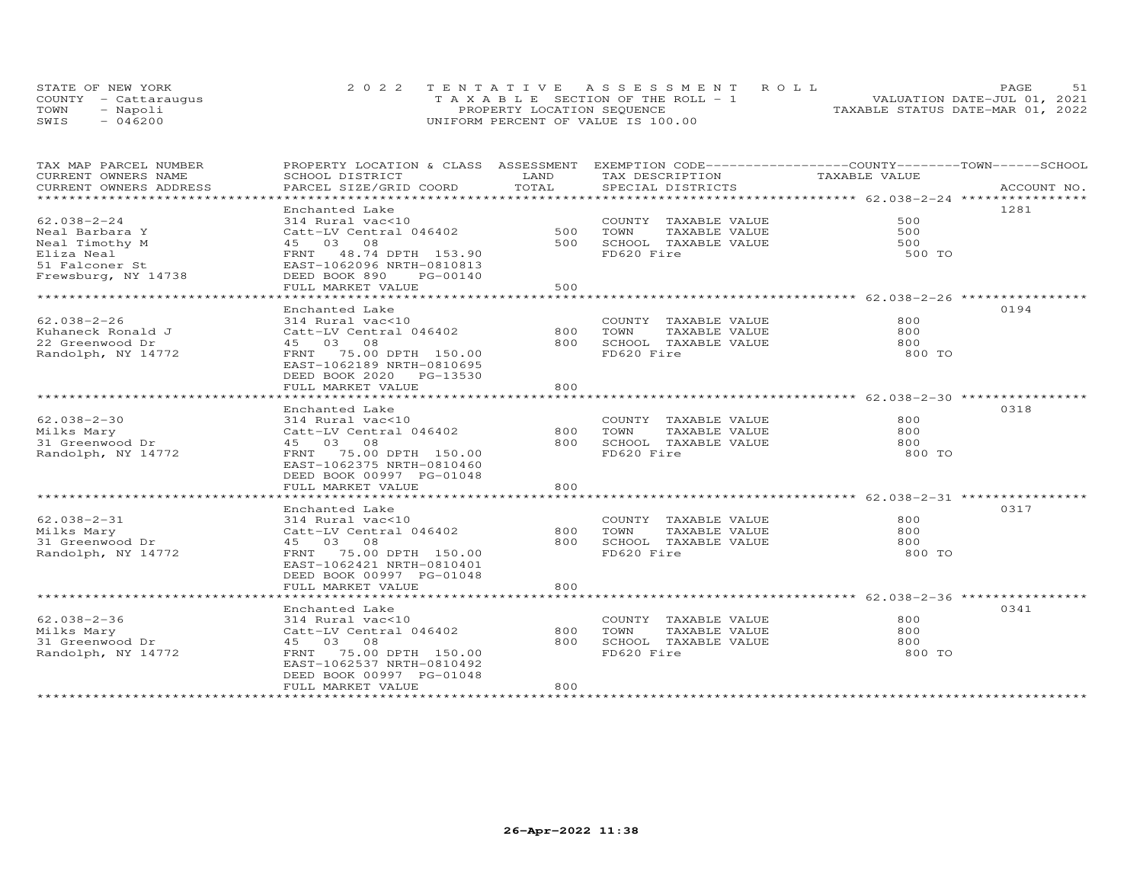|      | STATE OF NEW YORK    | 2022 TENTATIVE ASSESSMENT ROLL        | PAGE.                            |
|------|----------------------|---------------------------------------|----------------------------------|
|      | COUNTY - Cattaraugus | T A X A B L E SECTION OF THE ROLL - 1 | VALUATION DATE-JUL 01, 2021      |
| TOWN | - Napoli             | PROPERTY LOCATION SEQUENCE            | TAXABLE STATUS DATE-MAR 01, 2022 |
| SWIS | $-046200$            | UNIFORM PERCENT OF VALUE IS 100.00    |                                  |

| TAX MAP PARCEL NUMBER                            | PROPERTY LOCATION & CLASS ASSESSMENT                  |       | EXEMPTION CODE-----------------COUNTY-------TOWN------SCHOOL |               |             |
|--------------------------------------------------|-------------------------------------------------------|-------|--------------------------------------------------------------|---------------|-------------|
| CURRENT OWNERS NAME                              | SCHOOL DISTRICT                                       | LAND  | TAX DESCRIPTION                                              | TAXABLE VALUE |             |
| CURRENT OWNERS ADDRESS<br>********************** | PARCEL SIZE/GRID COORD                                | TOTAL | SPECIAL DISTRICTS                                            |               | ACCOUNT NO. |
|                                                  |                                                       |       |                                                              |               |             |
|                                                  | Enchanted Lake                                        |       |                                                              |               | 1281        |
| $62.038 - 2 - 24$                                | 314 Rural vac<10                                      |       | COUNTY TAXABLE VALUE                                         | 500           |             |
| Neal Barbara Y                                   | Catt-LV Central 046402                                | 500   | TOWN<br>TAXABLE VALUE                                        | 500           |             |
| Neal Timothy M                                   | 45 03 08                                              | 500   | SCHOOL TAXABLE VALUE                                         | 500           |             |
| Eliza Neal                                       | FRNT 48.74 DPTH 153.90                                |       | FD620 Fire                                                   | 500 TO        |             |
| 51 Falconer St                                   | EAST-1062096 NRTH-0810813                             |       |                                                              |               |             |
| Frewsburg, NY 14738                              | DEED BOOK 890<br>PG-00140                             |       |                                                              |               |             |
|                                                  | FULL MARKET VALUE                                     | 500   |                                                              |               |             |
|                                                  |                                                       |       |                                                              |               |             |
|                                                  | Enchanted Lake                                        |       |                                                              |               | 0194        |
| $62.038 - 2 - 26$                                | 314 Rural vac<10                                      |       | COUNTY TAXABLE VALUE                                         | 800           |             |
| Kuhaneck Ronald J                                | Catt-LV Central 046402                                | 800   | TOWN<br>TAXABLE VALUE                                        | 800           |             |
| 22 Greenwood Dr                                  | 45 03 08                                              | 800   | SCHOOL TAXABLE VALUE                                         | 800           |             |
| Randolph, NY 14772                               | FRNT 75.00 DPTH 150.00                                |       | FD620 Fire                                                   | 800 TO        |             |
|                                                  | EAST-1062189 NRTH-0810695                             |       |                                                              |               |             |
|                                                  | DEED BOOK 2020 PG-13530                               |       |                                                              |               |             |
|                                                  | FULL MARKET VALUE                                     | 800   |                                                              |               |             |
|                                                  |                                                       |       |                                                              |               |             |
|                                                  | Enchanted Lake                                        |       |                                                              |               | 0318        |
| $62.038 - 2 - 30$                                | 314 Rural vac<10                                      |       | COUNTY TAXABLE VALUE                                         | 800           |             |
| Milks Mary                                       | Catt-LV Central 046402                                | 800   | TOWN<br>TAXABLE VALUE                                        | 800           |             |
| 31 Greenwood Dr                                  | 45 03 08                                              | 800   | SCHOOL TAXABLE VALUE                                         | 800           |             |
| Randolph, NY 14772                               | FRNT 75.00 DPTH 150.00                                |       | FD620 Fire                                                   | 800 TO        |             |
|                                                  |                                                       |       |                                                              |               |             |
|                                                  | EAST-1062375 NRTH-0810460<br>DEED BOOK 00997 PG-01048 |       |                                                              |               |             |
|                                                  |                                                       |       |                                                              |               |             |
|                                                  | FULL MARKET VALUE                                     | 800   |                                                              |               |             |
|                                                  |                                                       |       |                                                              |               |             |
|                                                  | Enchanted Lake                                        |       |                                                              |               | 0317        |
| $62.038 - 2 - 31$                                | 314 Rural vac<10                                      |       | COUNTY TAXABLE VALUE                                         | 800           |             |
| Milks Mary                                       | Catt-LV Central 046402                                | 800   | TOWN<br>TAXABLE VALUE                                        | 800           |             |
| 31 Greenwood Dr                                  | 45 03 08                                              | 800   | SCHOOL TAXABLE VALUE                                         | 800           |             |
| Randolph, NY 14772                               | FRNT 75.00 DPTH 150.00                                |       | FD620 Fire                                                   | 800 TO        |             |
|                                                  | EAST-1062421 NRTH-0810401                             |       |                                                              |               |             |
|                                                  | DEED BOOK 00997 PG-01048                              |       |                                                              |               |             |
|                                                  | FULL MARKET VALUE                                     | 800   |                                                              |               |             |
|                                                  |                                                       |       |                                                              |               |             |
|                                                  | Enchanted Lake                                        |       |                                                              |               | 0341        |
| $62.038 - 2 - 36$                                | 314 Rural vac<10                                      |       | COUNTY TAXABLE VALUE                                         | 800           |             |
| Milks Mary                                       | Catt-LV Central 046402                                | 800   | TAXABLE VALUE<br>TOWN                                        | 800           |             |
| 31 Greenwood Dr                                  | 45 03 08                                              | 800   | SCHOOL TAXABLE VALUE                                         | 800           |             |
| Randolph, NY 14772                               | 75.00 DPTH 150.00<br>FRNT                             |       | FD620 Fire                                                   | 800 TO        |             |
|                                                  | EAST-1062537 NRTH-0810492                             |       |                                                              |               |             |
|                                                  | DEED BOOK 00997 PG-01048                              |       |                                                              |               |             |
|                                                  | FULL MARKET VALUE                                     | 800   |                                                              |               |             |
|                                                  |                                                       |       |                                                              |               |             |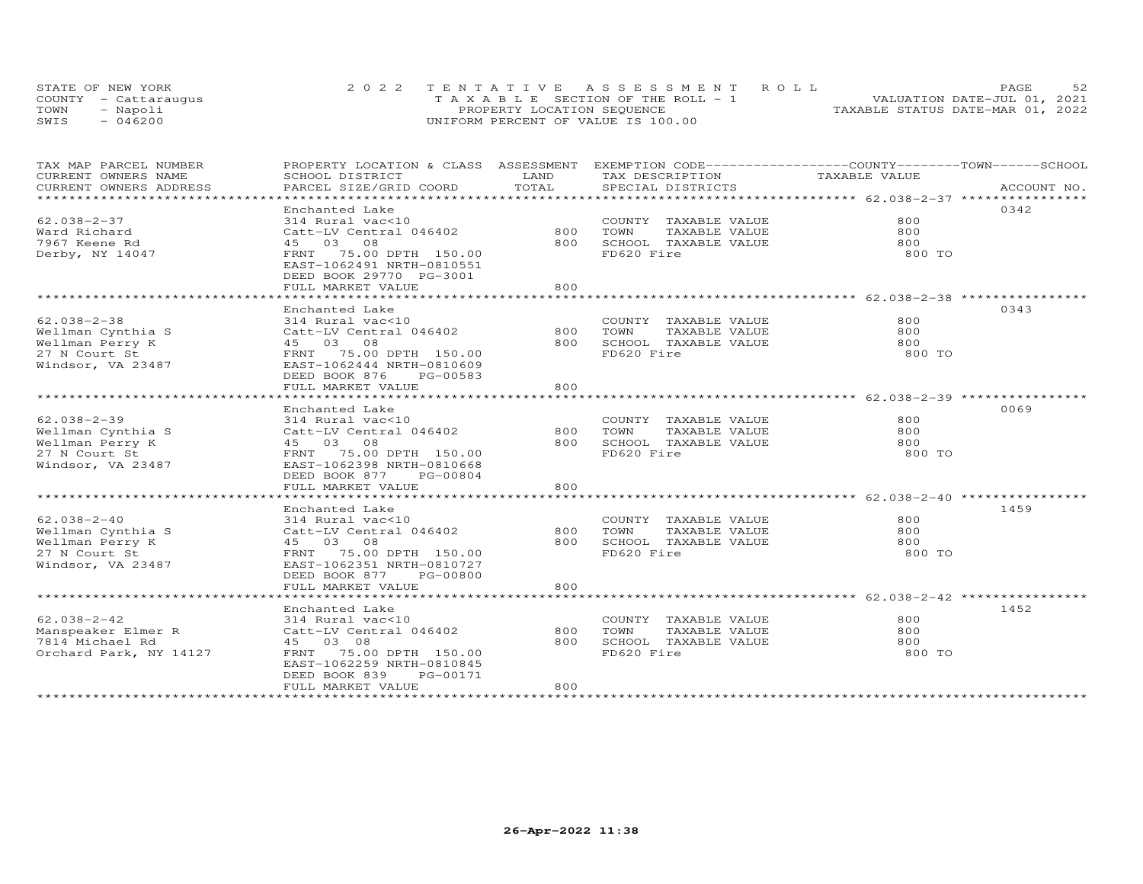| STATE OF NEW YORK    | 2022 TENTATIVE ASSESSMENT ROLL        | 52<br>PAGE.                      |
|----------------------|---------------------------------------|----------------------------------|
| COUNTY - Cattaraugus | T A X A B L E SECTION OF THE ROLL - 1 | VALUATION DATE-JUL 01, 2021      |
| TOWN<br>- Napoli     | PROPERTY LOCATION SEQUENCE            | TAXABLE STATUS DATE-MAR 01, 2022 |
| $-046200$<br>SWIS    | UNIFORM PERCENT OF VALUE IS 100.00    |                                  |

| TAX MAP PARCEL NUMBER         | PROPERTY LOCATION & CLASS ASSESSMENT EXEMPTION CODE----------------COUNTY-------TOWN------SCHOOL |                   |                                                                      |               |             |
|-------------------------------|--------------------------------------------------------------------------------------------------|-------------------|----------------------------------------------------------------------|---------------|-------------|
| CURRENT OWNERS NAME           | SCHOOL DISTRICT                                                                                  | LAND              | TAX DESCRIPTION                                                      | TAXABLE VALUE |             |
| CURRENT OWNERS ADDRESS        | PARCEL SIZE/GRID COORD                                                                           | TOTAL             | SPECIAL DISTRICTS                                                    |               | ACCOUNT NO. |
| ***************************** |                                                                                                  |                   |                                                                      |               |             |
|                               | Enchanted Lake                                                                                   |                   |                                                                      |               | 0342        |
| $62.038 - 2 - 37$             | 314 Rural vac<10                                                                                 |                   | COUNTY TAXABLE VALUE                                                 | 800           |             |
| Ward Richard                  | Catt-LV Central 046402                                                                           | 800               | TOWN<br>TAXABLE VALUE                                                | 800           |             |
| 7967 Keene Rd                 | 45 03 08                                                                                         | 800               | SCHOOL TAXABLE VALUE                                                 | 800           |             |
| Derby, NY 14047               | FRNT 75.00 DPTH 150.00                                                                           |                   | FD620 Fire                                                           | 800 TO        |             |
|                               | EAST-1062491 NRTH-0810551                                                                        |                   |                                                                      |               |             |
|                               | DEED BOOK 29770 PG-3001                                                                          |                   |                                                                      |               |             |
|                               | FULL MARKET VALUE                                                                                | 800               |                                                                      |               |             |
|                               | *****************************                                                                    | ***************** | ************************************* 62.038-2-38 ****************** |               |             |
|                               | Enchanted Lake                                                                                   |                   |                                                                      |               | 0343        |
| $62.038 - 2 - 38$             | 314 Rural vac<10                                                                                 |                   | COUNTY TAXABLE VALUE                                                 | 800           |             |
| Wellman Cynthia S             | Catt-LV Central 046402                                                                           | 800               | TAXABLE VALUE<br>TOWN                                                | 800           |             |
| Wellman Perry K               | 45 03 08                                                                                         | 800               | SCHOOL TAXABLE VALUE                                                 | 800           |             |
| 27 N Court St                 | FRNT 75.00 DPTH 150.00                                                                           |                   | FD620 Fire                                                           | 800 TO        |             |
| Windsor, VA 23487             | EAST-1062444 NRTH-0810609                                                                        |                   |                                                                      |               |             |
|                               | DEED BOOK 876<br>PG-00583                                                                        |                   |                                                                      |               |             |
|                               | FULL MARKET VALUE                                                                                | 800               |                                                                      |               |             |
|                               |                                                                                                  |                   |                                                                      |               |             |
|                               | Enchanted Lake                                                                                   |                   |                                                                      |               | 0069        |
| $62.038 - 2 - 39$             | 314 Rural vac<10                                                                                 |                   | COUNTY TAXABLE VALUE                                                 | 800           |             |
| Wellman Cynthia S             | Catt-LV Central 046402                                                                           | 800               | TOWN<br>TAXABLE VALUE                                                | 800           |             |
| Wellman Perry K               | 45 03 08                                                                                         | 800               | SCHOOL TAXABLE VALUE                                                 | 800           |             |
| 27 N Court St                 | FRNT 75.00 DPTH 150.00                                                                           |                   | FD620 Fire                                                           | 800 TO        |             |
| Windsor, VA 23487             | EAST-1062398 NRTH-0810668                                                                        |                   |                                                                      |               |             |
|                               | DEED BOOK 877<br>PG-00804                                                                        |                   |                                                                      |               |             |
|                               | FULL MARKET VALUE                                                                                | 800               |                                                                      |               |             |
|                               |                                                                                                  |                   |                                                                      |               |             |
|                               | Enchanted Lake                                                                                   |                   |                                                                      |               | 1459        |
| $62.038 - 2 - 40$             | 314 Rural vac<10                                                                                 |                   | COUNTY TAXABLE VALUE                                                 | 800           |             |
| Wellman Cynthia S             | Catt-LV Central 046402                                                                           | 800               | TOWN<br>TAXABLE VALUE                                                | 800           |             |
| Wellman Perry K               | 45 03 08                                                                                         | 800               | SCHOOL TAXABLE VALUE                                                 | 800           |             |
| 27 N Court St                 | FRNT 75.00 DPTH 150.00                                                                           |                   | FD620 Fire                                                           | 800 TO        |             |
| Windsor, VA 23487             | EAST-1062351 NRTH-0810727                                                                        |                   |                                                                      |               |             |
|                               | DEED BOOK 877<br>PG-00800                                                                        |                   |                                                                      |               |             |
|                               | FULL MARKET VALUE                                                                                | 800               |                                                                      |               |             |
|                               |                                                                                                  |                   |                                                                      |               |             |
|                               | Enchanted Lake                                                                                   |                   |                                                                      |               | 1452        |
| $62.038 - 2 - 42$             | 314 Rural vac<10                                                                                 |                   | COUNTY TAXABLE VALUE                                                 | 800           |             |
| Manspeaker Elmer R            | Catt-LV Central 046402                                                                           | 800               | TAXABLE VALUE<br>TOWN                                                | 800           |             |
| 7814 Michael Rd               | 45 03 08                                                                                         | 800               | SCHOOL TAXABLE VALUE                                                 | 800           |             |
| Orchard Park, NY 14127        | FRNT 75.00 DPTH 150.00                                                                           |                   | FD620 Fire                                                           | 800 TO        |             |
|                               | EAST-1062259 NRTH-0810845                                                                        |                   |                                                                      |               |             |
|                               | DEED BOOK 839<br>PG-00171                                                                        |                   |                                                                      |               |             |
|                               | FULL MARKET VALUE                                                                                | 800               |                                                                      |               |             |
|                               |                                                                                                  |                   |                                                                      |               |             |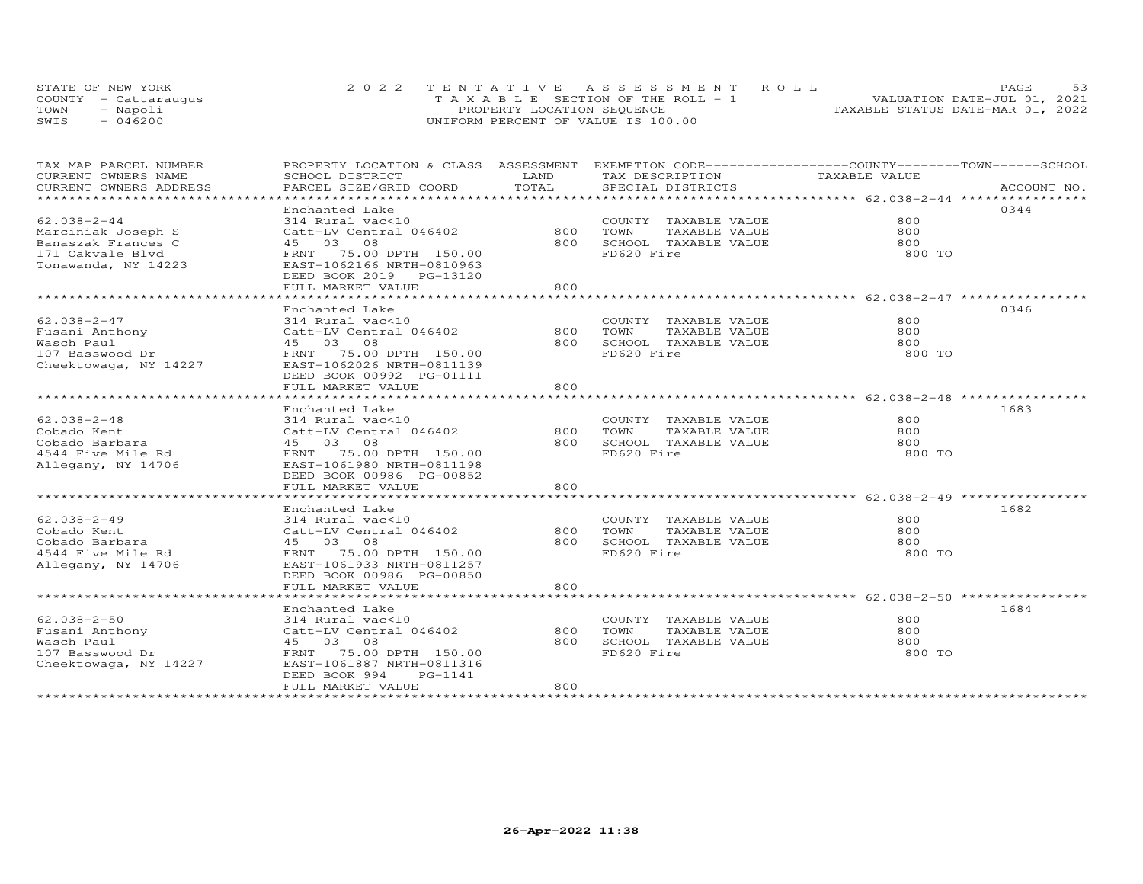|      | STATE OF NEW YORK    | 2022 TENTATIVE ASSESSMENT ROLL        | PAGE                             |
|------|----------------------|---------------------------------------|----------------------------------|
|      | COUNTY - Cattaraugus | T A X A B L E SECTION OF THE ROLL - 1 | VALUATION DATE-JUL 01, 2021      |
| TOWN | Napoli               | PROPERTY LOCATION SEQUENCE            | TAXABLE STATUS DATE-MAR 01, 2022 |
| SWIS | 046200               | UNIFORM PERCENT OF VALUE IS 100.00    |                                  |

| TAX MAP PARCEL NUMBER               | PROPERTY LOCATION & CLASS ASSESSMENT EXEMPTION CODE-----------------COUNTY-------TOWN------SCHOOL |       |                           |               |             |
|-------------------------------------|---------------------------------------------------------------------------------------------------|-------|---------------------------|---------------|-------------|
| CURRENT OWNERS NAME                 | SCHOOL DISTRICT                                                                                   | LAND  | TAX DESCRIPTION           | TAXABLE VALUE |             |
| CURRENT OWNERS ADDRESS              | PARCEL SIZE/GRID COORD                                                                            | TOTAL | SPECIAL DISTRICTS         |               | ACCOUNT NO. |
| ******************************      |                                                                                                   |       |                           |               |             |
|                                     | Enchanted Lake                                                                                    |       |                           |               | 0344        |
| $62.038 - 2 - 44$                   | 314 Rural vac<10                                                                                  |       | COUNTY TAXABLE VALUE      | 800           |             |
| Marciniak Joseph S                  | Catt-LV Central 046402                                                                            | 800   | TOWN<br>TAXABLE VALUE     | 800           |             |
| Banaszak Frances C                  | 45 03 08                                                                                          | 800   | SCHOOL TAXABLE VALUE      | 800           |             |
| 171 Oakvale Blvd                    | FRNT 75.00 DPTH 150.00                                                                            |       | FD620 Fire                | 800 TO        |             |
| Tonawanda, NY 14223                 | EAST-1062166 NRTH-0810963                                                                         |       |                           |               |             |
|                                     | DEED BOOK 2019 PG-13120                                                                           |       |                           |               |             |
|                                     | FULL MARKET VALUE                                                                                 | 800   |                           |               |             |
|                                     |                                                                                                   |       |                           |               |             |
|                                     | Enchanted Lake                                                                                    |       |                           |               | 0346        |
| $62.038 - 2 - 47$                   | 314 Rural vac<10                                                                                  |       | COUNTY TAXABLE VALUE      | 800           |             |
| 62.030-2<br>Fusani Anthony<br>Times | Catt-LV Central 046402                                                                            | 800   | TAXABLE VALUE<br>TOWN     | 800           |             |
|                                     | 45 03 08                                                                                          | 800   | SCHOOL TAXABLE VALUE      | 800           |             |
| 107 Basswood Dr                     | FRNT 75.00 DPTH 150.00                                                                            |       | FD620 Fire                | 800 TO        |             |
| Cheektowaga, NY 14227               | EAST-1062026 NRTH-0811139                                                                         |       |                           |               |             |
|                                     | DEED BOOK 00992 PG-01111                                                                          |       |                           |               |             |
|                                     | FULL MARKET VALUE                                                                                 | 800   |                           |               |             |
|                                     |                                                                                                   |       |                           |               |             |
|                                     | Enchanted Lake                                                                                    |       |                           |               | 1683        |
| $62.038 - 2 - 48$                   | 314 Rural vac<10                                                                                  |       | COUNTY TAXABLE VALUE      | 800           |             |
| Cobado Kent                         | Catt-LV Central 046402                                                                            |       | 800 TOWN<br>TAXABLE VALUE | 800           |             |
| Cobado Barbara                      | 45 03 08                                                                                          |       | 800 SCHOOL TAXABLE VALUE  | 800           |             |
| 4544 Five Mile Rd                   | FRNT 75.00 DPTH 150.00                                                                            |       | FD620 Fire                | 800 TO        |             |
| Allegany, NY 14706                  | EAST-1061980 NRTH-0811198                                                                         |       |                           |               |             |
|                                     | DEED BOOK 00986 PG-00852                                                                          |       |                           |               |             |
|                                     | FULL MARKET VALUE                                                                                 | 800   |                           |               |             |
|                                     |                                                                                                   |       |                           |               |             |
|                                     | Enchanted Lake                                                                                    |       |                           |               | 1682        |
| $62.038 - 2 - 49$                   | 314 Rural vac<10                                                                                  |       | COUNTY TAXABLE VALUE      | 800           |             |
| Cobado Kent                         | Catt-LV Central 046402                                                                            | 800   | TOWN<br>TAXABLE VALUE     | 800           |             |
| Cobado Barbara                      | 45 03 08                                                                                          | 800   | SCHOOL TAXABLE VALUE      | 800           |             |
| 4544 Five Mile Rd                   | FRNT 75.00 DPTH 150.00                                                                            |       | FD620 Fire                | 800 TO        |             |
| Allegany, NY 14706                  | EAST-1061933 NRTH-0811257                                                                         |       |                           |               |             |
|                                     | DEED BOOK 00986 PG-00850                                                                          |       |                           |               |             |
|                                     | FULL MARKET VALUE                                                                                 | 800   |                           |               |             |
|                                     |                                                                                                   |       |                           |               |             |
|                                     | Enchanted Lake                                                                                    |       |                           |               | 1684        |
| 62.038-2-50                         | 314 Rural vac<10                                                                                  |       | COUNTY TAXABLE VALUE      | 800           |             |
| Fusani Anthony                      | Catt-LV Central 046402                                                                            | 800   | TOWN<br>TAXABLE VALUE     | 800           |             |
| Wasch Paul                          | 45 03 08                                                                                          | 800   | SCHOOL TAXABLE VALUE      | 800           |             |
| 107 Basswood Dr                     | FRNT 75.00 DPTH 150.00                                                                            |       | FD620 Fire                | 800 TO        |             |
| Cheektowaga, NY 14227               | EAST-1061887 NRTH-0811316                                                                         |       |                           |               |             |
|                                     | DEED BOOK 994<br>PG-1141                                                                          |       |                           |               |             |
|                                     | FULL MARKET VALUE                                                                                 | 800   |                           |               |             |
|                                     |                                                                                                   |       |                           |               |             |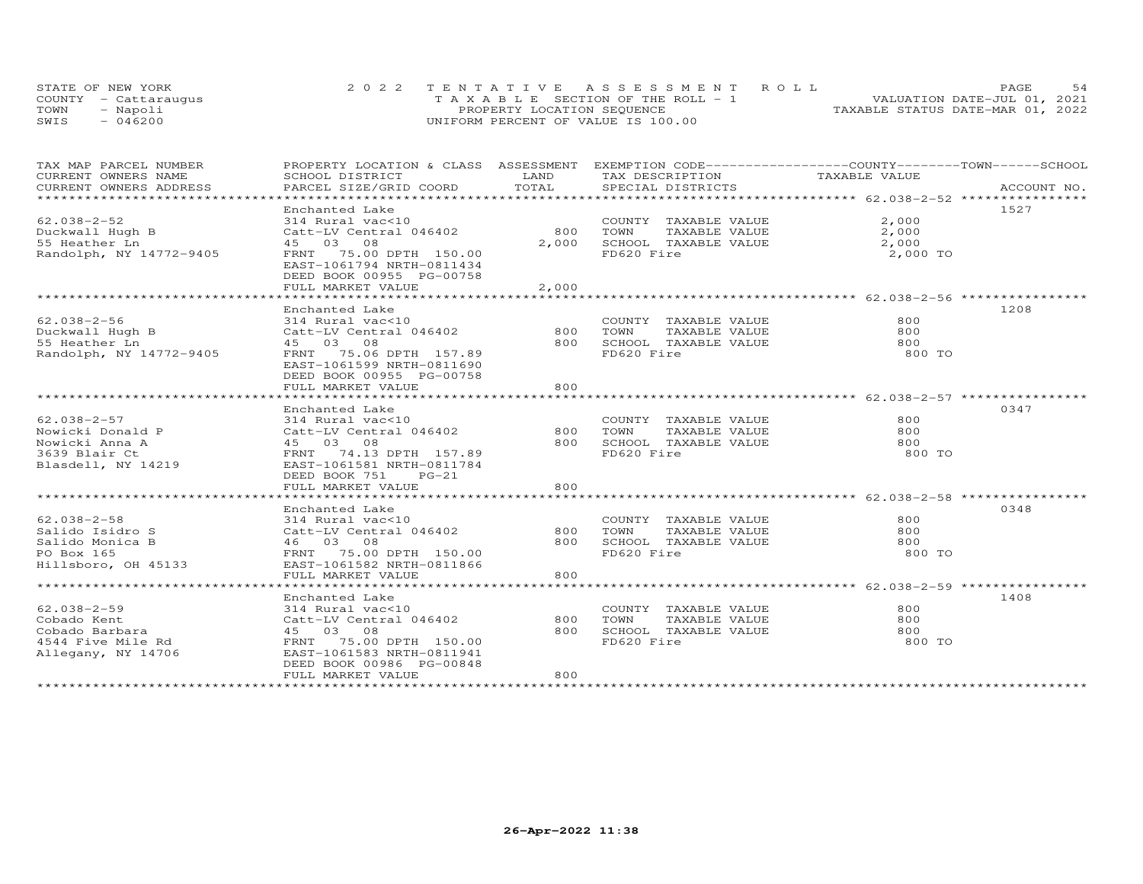|      | STATE OF NEW YORK    | 2022 TENTATIVE ASSESSMENT ROLL     | .54<br>PAGE.                     |
|------|----------------------|------------------------------------|----------------------------------|
|      | COUNTY - Cattarauqus | TAXABLE SECTION OF THE ROLL - 1    | VALUATION DATE-JUL 01, 2021      |
| TOWN | - Napoli             | PROPERTY LOCATION SEQUENCE         | TAXABLE STATUS DATE-MAR 01, 2022 |
| SWIS | $-046200$            | UNIFORM PERCENT OF VALUE IS 100.00 |                                  |

| TAX MAP PARCEL NUMBER<br>CURRENT OWNERS NAME                                                   | PROPERTY LOCATION & CLASS ASSESSMENT EXEMPTION CODE----------------COUNTY-------TOWN------SCHOOL<br>SCHOOL DISTRICT                                                              | LAND                  | TAX DESCRIPTION                                                                     | TAXABLE VALUE                                     |             |
|------------------------------------------------------------------------------------------------|----------------------------------------------------------------------------------------------------------------------------------------------------------------------------------|-----------------------|-------------------------------------------------------------------------------------|---------------------------------------------------|-------------|
| CURRENT OWNERS ADDRESS                                                                         | PARCEL SIZE/GRID COORD                                                                                                                                                           | TOTAL                 | SPECIAL DISTRICTS                                                                   |                                                   | ACCOUNT NO. |
| $62.038 - 2 - 52$<br>Duckwall Hugh B<br>55 Heather Ln<br>Randolph, NY 14772-9405               | Enchanted Lake<br>314 Rural vac<10<br>Catt-LV Central 046402<br>45 03 08<br>FRNT 75.00 DPTH 150.00<br>EAST-1061794 NRTH-0811434<br>DEED BOOK 00955 PG-00758<br>FULL MARKET VALUE | 800<br>2,000<br>2,000 | COUNTY TAXABLE VALUE<br>TOWN<br>SCHOOL TAXABLE VALUE<br>FD620 Fire                  | 2,000<br>TAXABLE VALUE 2,000<br>2,000<br>2,000 TO | 1527        |
| $62.038 - 2 - 56$<br>Duckwall Hugh B<br>55 Heather Ln<br>Randolph, NY 14772-9405               | Enchanted Lake<br>314 Rural vac<10<br>Catt-LV Central 046402<br>45 03 08<br>FRNT 75.06 DPTH 157.89<br>EAST-1061599 NRTH-0811690<br>DEED BOOK 00955 PG-00758<br>FULL MARKET VALUE | 800<br>800<br>800     | COUNTY TAXABLE VALUE<br>TOWN<br>TAXABLE VALUE<br>SCHOOL TAXABLE VALUE<br>FD620 Fire | 800<br>800<br>800<br>800 TO                       | 1208        |
| $62.038 - 2 - 57$<br>Nowicki Donald P<br>Nowicki Anna A<br>3639 Blair Ct<br>Blasdell, NY 14219 | Enchanted Lake<br>314 Rural vac<10<br>Catt-LV Central 046402<br>45 03 08<br>FRNT 74.13 DPTH 157.89<br>EAST-1061581 NRTH-0811784<br>DEED BOOK 751<br>$PG-21$<br>FULL MARKET VALUE | 800<br>800<br>800     | COUNTY TAXABLE VALUE<br>TAXABLE VALUE<br>TOWN<br>SCHOOL TAXABLE VALUE<br>FD620 Fire | 800<br>800<br>800<br>800 TO                       | 0347        |
| $62.038 - 2 - 58$<br>Salido Isidro S<br>Salido Monica B<br>PO Box 165<br>Hillsboro, OH 45133   | Enchanted Lake<br>314 Rural vac<10<br>Catt-LV Central 046402<br>46 03 08<br>FRNT 75.00 DPTH 150.00<br>EAST-1061582 NRTH-0811866<br>FULL MARKET VALUE                             | 800 TOWN<br>800       | COUNTY TAXABLE VALUE<br>TAXABLE VALUE<br>800 SCHOOL TAXABLE VALUE<br>FD620 Fire     | 800<br>800<br>800<br>800 TO                       | 0348        |
| $62.038 - 2 - 59$<br>Cobado Kent<br>Cobado Barbara<br>4544 Five Mile Rd<br>Allegany, NY 14706  | Enchanted Lake<br>314 Rural vac<10<br>Catt-LV Central 046402<br>45 03 08<br>FRNT 75.00 DPTH 150.00<br>EAST-1061583 NRTH-0811941<br>DEED BOOK 00986 PG-00848<br>FULL MARKET VALUE | 800<br>800<br>800     | COUNTY TAXABLE VALUE<br>TOWN<br>TAXABLE VALUE<br>SCHOOL TAXABLE VALUE<br>FD620 Fire | 800<br>800<br>800<br>800 TO                       | 1408        |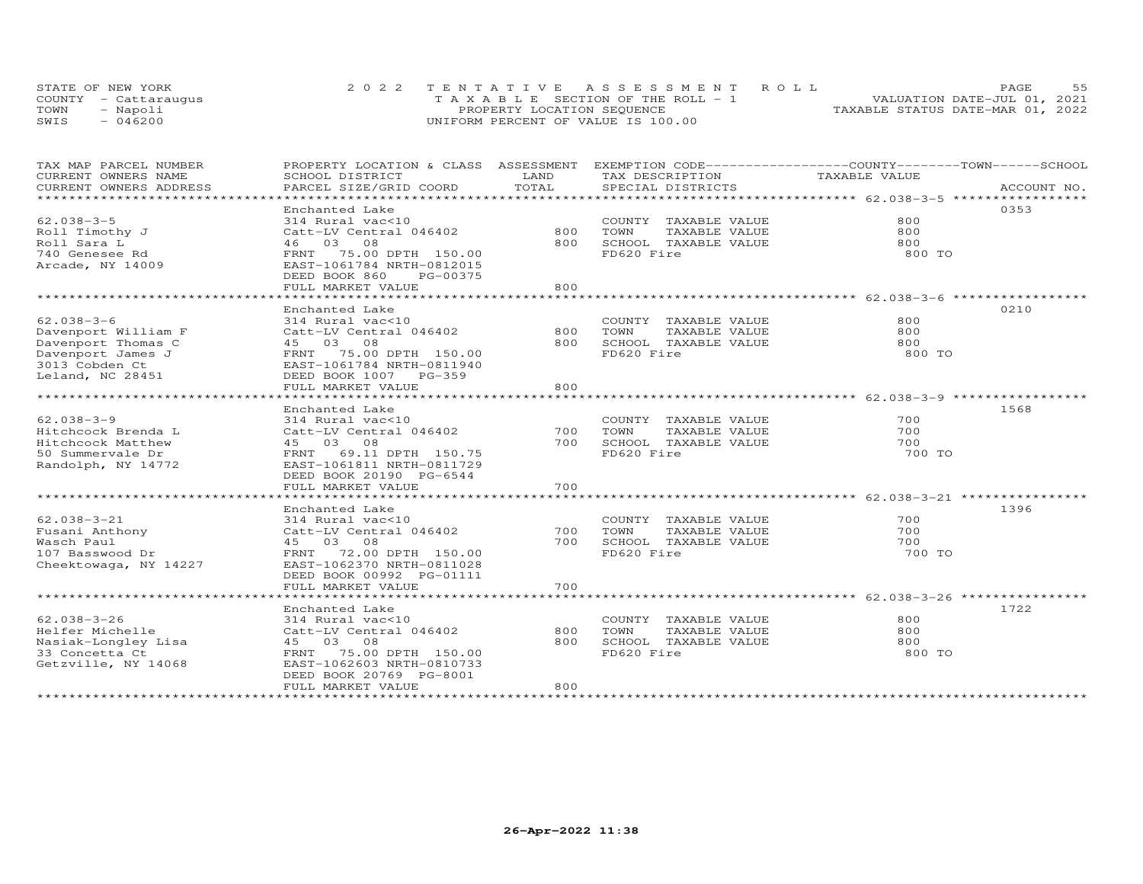|      | STATE OF NEW YORK    | 2022 TENTATIVE ASSESSMENT ROLL        | 55<br><b>PAGE</b>                |
|------|----------------------|---------------------------------------|----------------------------------|
|      | COUNTY - Cattaraugus | T A X A B L E SECTION OF THE ROLL - 1 | VALUATION DATE-JUL 01, 2021      |
| TOWN | - Napoli             | PROPERTY LOCATION SEQUENCE            | TAXABLE STATUS DATE-MAR 01, 2022 |
| SWIS | $-046200$            | UNIFORM PERCENT OF VALUE IS 100.00    |                                  |

| TAX MAP PARCEL NUMBER                             | PROPERTY LOCATION & CLASS ASSESSMENT EXEMPTION CODE----------------COUNTY-------TOWN-----SCHOOL |          |                          |               |             |
|---------------------------------------------------|-------------------------------------------------------------------------------------------------|----------|--------------------------|---------------|-------------|
| CURRENT OWNERS NAME                               | SCHOOL DISTRICT                                                                                 | LAND     | TAX DESCRIPTION          | TAXABLE VALUE |             |
| CURRENT OWNERS ADDRESS<br>*********************** | PARCEL SIZE/GRID COORD                                                                          | TOTAL    | SPECIAL DISTRICTS        |               | ACCOUNT NO. |
|                                                   | Enchanted Lake                                                                                  |          |                          |               | 0353        |
| $62.038 - 3 - 5$                                  | 314 Rural vac<10                                                                                |          | COUNTY TAXABLE VALUE     | 800           |             |
| Roll Timothy J                                    | Catt-LV Central 046402                                                                          | 800      | TOWN<br>TAXABLE VALUE    | 800           |             |
| Roll Sara L                                       | 46 03 08                                                                                        | 800      | SCHOOL TAXABLE VALUE     | 800           |             |
| 740 Genesee Rd                                    | FRNT 75.00 DPTH 150.00                                                                          |          | FD620 Fire               | 800 TO        |             |
| Arcade, NY 14009                                  | EAST-1061784 NRTH-0812015                                                                       |          |                          |               |             |
|                                                   | DEED BOOK 860<br>PG-00375                                                                       |          |                          |               |             |
|                                                   | FULL MARKET VALUE                                                                               | 800      |                          |               |             |
|                                                   |                                                                                                 |          |                          |               |             |
|                                                   | Enchanted Lake                                                                                  |          |                          |               | 0210        |
| $62.038 - 3 - 6$                                  | 314 Rural vac<10                                                                                |          | COUNTY TAXABLE VALUE     | 800           |             |
| Davenport William F                               | Catt-LV Central 046402                                                                          | 800      | TOWN<br>TAXABLE VALUE    | 800           |             |
| Davenport Thomas C                                | 45 03 08                                                                                        |          | 800 SCHOOL TAXABLE VALUE | 800           |             |
| Davenport James J                                 | FRNT 75.00 DPTH 150.00                                                                          |          | FD620 Fire               | 800 TO        |             |
| 3013 Cobden Ct                                    | EAST-1061784 NRTH-0811940                                                                       |          |                          |               |             |
| Leland, NC 28451                                  | DEED BOOK 1007 PG-359                                                                           |          |                          |               |             |
|                                                   | FULL MARKET VALUE                                                                               | 800      |                          |               |             |
|                                                   |                                                                                                 |          |                          |               |             |
|                                                   | Enchanted Lake                                                                                  |          |                          |               | 1568        |
| $62.038 - 3 - 9$                                  | 314 Rural vac<10                                                                                |          | COUNTY TAXABLE VALUE     | 700           |             |
| Hitchcock Brenda L                                | Catt-LV Central 046402                                                                          | 700 TOWN | TAXABLE VALUE            | 700           |             |
| Hitchcock Matthew                                 | 45 03 08                                                                                        |          | 700 SCHOOL TAXABLE VALUE | 700           |             |
| 50 Summervale Dr                                  | FRNT 69.11 DPTH 150.75                                                                          |          | FD620 Fire               | 700 TO        |             |
| Randolph, NY 14772                                | EAST-1061811 NRTH-0811729                                                                       |          |                          |               |             |
|                                                   | DEED BOOK 20190 PG-6544                                                                         |          |                          |               |             |
|                                                   | FULL MARKET VALUE                                                                               | 700      |                          |               |             |
|                                                   | Enchanted Lake                                                                                  |          |                          |               | 1396        |
| $62.038 - 3 - 21$                                 | 314 Rural vac<10                                                                                |          | COUNTY TAXABLE VALUE     | 700           |             |
| Fusani Anthony                                    | Catt-LV Central 046402                                                                          | 700      | TOWN<br>TAXABLE VALUE    | 700           |             |
| Wasch Paul                                        | 45 03 08                                                                                        | 700      | SCHOOL TAXABLE VALUE     | 700           |             |
| 107 Basswood Dr                                   | FRNT 72.00 DPTH 150.00                                                                          |          | FD620 Fire               | 700 TO        |             |
| Cheektowaga, NY 14227                             | EAST-1062370 NRTH-0811028                                                                       |          |                          |               |             |
|                                                   | DEED BOOK 00992 PG-01111                                                                        |          |                          |               |             |
|                                                   | FULL MARKET VALUE                                                                               | 700      |                          |               |             |
|                                                   |                                                                                                 |          |                          |               |             |
|                                                   | Enchanted Lake                                                                                  |          |                          |               | 1722        |
| $62.038 - 3 - 26$                                 | 314 Rural vac<10                                                                                |          | COUNTY TAXABLE VALUE     | 800           |             |
| Helfer Michelle                                   | Catt-LV Central 046402                                                                          | 800      | TAXABLE VALUE<br>TOWN    | 800           |             |
| Nasiak-Longley Lisa                               | 45 03 08                                                                                        | 800      | SCHOOL TAXABLE VALUE     | 800           |             |
| 33 Concetta Ct                                    | FRNT 75.00 DPTH 150.00                                                                          |          | FD620 Fire               | 800 TO        |             |
| Getzville, NY 14068                               | EAST-1062603 NRTH-0810733                                                                       |          |                          |               |             |
|                                                   | DEED BOOK 20769 PG-8001                                                                         |          |                          |               |             |
|                                                   | FULL MARKET VALUE                                                                               | 800      |                          |               |             |
|                                                   |                                                                                                 |          |                          |               |             |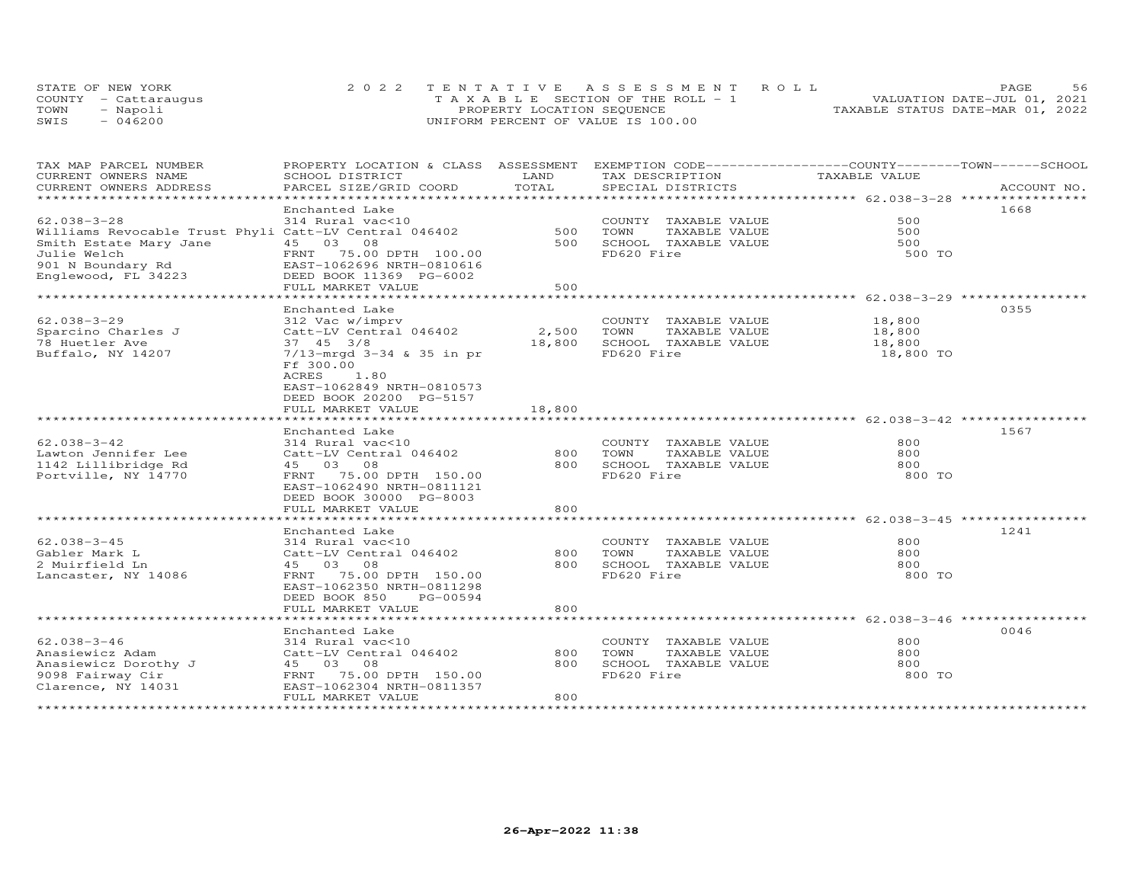| STATE OF NEW YORK    | 2022 TENTATIVE ASSESSMENT ROLL        | PAGE.                            | 56 |
|----------------------|---------------------------------------|----------------------------------|----|
| COUNTY - Cattaraugus | T A X A B L E SECTION OF THE ROLL - 1 | VALUATION DATE-JUL 01, 2021      |    |
| TOWN<br>- Napoli     | PROPERTY LOCATION SEQUENCE            | TAXABLE STATUS DATE-MAR 01, 2022 |    |
| $-046200$<br>SWIS    | UNIFORM PERCENT OF VALUE IS 100.00    |                                  |    |

| TAX MAP PARCEL NUMBER                                 | PROPERTY LOCATION & CLASS ASSESSMENT EXEMPTION CODE-----------------COUNTY-------TOWN------SCHOOL |                       |                                                             |                                                       |             |
|-------------------------------------------------------|---------------------------------------------------------------------------------------------------|-----------------------|-------------------------------------------------------------|-------------------------------------------------------|-------------|
| CURRENT OWNERS NAME                                   | SCHOOL DISTRICT                                                                                   | LAND                  | TAX DESCRIPTION                                             | TAXABLE VALUE                                         |             |
| CURRENT OWNERS ADDRESS                                | PARCEL SIZE/GRID COORD                                                                            | TOTAL                 | SPECIAL DISTRICTS                                           |                                                       | ACCOUNT NO. |
| ************************                              |                                                                                                   |                       |                                                             |                                                       |             |
|                                                       | Enchanted Lake                                                                                    |                       |                                                             |                                                       | 1668        |
| $62.038 - 3 - 28$                                     | 314 Rural vac<10                                                                                  |                       | COUNTY TAXABLE VALUE                                        | 500                                                   |             |
| Williams Revocable Trust Phyli Catt-LV Central 046402 |                                                                                                   | 500                   | TOWN<br>TAXABLE VALUE                                       | 500                                                   |             |
| Smith Estate Mary Jane                                | 45 03 08                                                                                          | 500                   | SCHOOL TAXABLE VALUE                                        | 500                                                   |             |
| Julie Welch                                           | FRNT 75.00 DPTH 100.00                                                                            |                       | FD620 Fire                                                  | 500 TO                                                |             |
| 901 N Boundary Rd                                     | EAST-1062696 NRTH-0810616                                                                         |                       |                                                             |                                                       |             |
| Englewood, FL 34223                                   | DEED BOOK 11369 PG-6002                                                                           |                       |                                                             |                                                       |             |
|                                                       | FULL MARKET VALUE                                                                                 | 500                   |                                                             |                                                       |             |
|                                                       |                                                                                                   |                       |                                                             | ************************ 62.038-3-29 **************** |             |
|                                                       | Enchanted Lake                                                                                    |                       |                                                             |                                                       | 0355        |
| $62.038 - 3 - 29$                                     | 312 Vac w/imprv                                                                                   |                       | COUNTY TAXABLE VALUE                                        | 18,800                                                |             |
| Sparcino Charles J                                    | Catt-LV Central 046402                                                                            | 2,500                 | TOWN<br>TAXABLE VALUE                                       | 18,800                                                |             |
|                                                       |                                                                                                   |                       |                                                             |                                                       |             |
| 78 Huetler Ave                                        | 37 45 3/8                                                                                         | 18,800                | SCHOOL TAXABLE VALUE                                        | 18,800                                                |             |
| Buffalo, NY 14207                                     | 7/13-mrgd 3-34 & 35 in pr                                                                         |                       | FD620 Fire                                                  | 18,800 TO                                             |             |
|                                                       | Ff 300.00                                                                                         |                       |                                                             |                                                       |             |
|                                                       | ACRES<br>1.80                                                                                     |                       |                                                             |                                                       |             |
|                                                       | EAST-1062849 NRTH-0810573                                                                         |                       |                                                             |                                                       |             |
|                                                       | DEED BOOK 20200 PG-5157                                                                           |                       |                                                             |                                                       |             |
|                                                       | FULL MARKET VALUE                                                                                 | 18,800                |                                                             |                                                       |             |
|                                                       | · * * * * * * * * * * * * * * * * * *                                                             | * * * * * * * * * * * | ********************************* 62.038-3-42 ************* |                                                       |             |
|                                                       | Enchanted Lake                                                                                    |                       |                                                             |                                                       | 1567        |
| $62.038 - 3 - 42$                                     | 314 Rural vac<10                                                                                  |                       | COUNTY TAXABLE VALUE                                        | 800                                                   |             |
| Lawton Jennifer Lee                                   | Catt-LV Central 046402                                                                            | 800                   | TOWN<br>TAXABLE VALUE                                       | 800                                                   |             |
| 1142 Lillibridge Rd                                   | 45 03 08                                                                                          | 800                   | SCHOOL TAXABLE VALUE                                        | 800                                                   |             |
| Portville, NY 14770                                   | 75.00 DPTH 150.00<br>FRNT                                                                         |                       | FD620 Fire                                                  | 800 TO                                                |             |
|                                                       | EAST-1062490 NRTH-0811121                                                                         |                       |                                                             |                                                       |             |
|                                                       | DEED BOOK 30000 PG-8003                                                                           |                       |                                                             |                                                       |             |
|                                                       | FULL MARKET VALUE                                                                                 | 800                   |                                                             |                                                       |             |
|                                                       |                                                                                                   |                       |                                                             |                                                       |             |
|                                                       | Enchanted Lake                                                                                    |                       |                                                             |                                                       | 1241        |
| $62.038 - 3 - 45$                                     | 314 Rural vac<10                                                                                  |                       | COUNTY TAXABLE VALUE                                        | 800                                                   |             |
| Gabler Mark L                                         | Catt-LV Central 046402                                                                            | 800                   | TOWN<br>TAXABLE VALUE                                       | 800                                                   |             |
| 2 Muirfield Ln                                        | 45 03 08                                                                                          | 800                   | SCHOOL TAXABLE VALUE                                        | 800                                                   |             |
| Lancaster, NY 14086                                   | FRNT<br>75.00 DPTH 150.00                                                                         |                       | FD620 Fire                                                  | 800 TO                                                |             |
|                                                       | EAST-1062350 NRTH-0811298                                                                         |                       |                                                             |                                                       |             |
|                                                       | DEED BOOK 850<br>PG-00594                                                                         |                       |                                                             |                                                       |             |
|                                                       | FULL MARKET VALUE                                                                                 | 800                   |                                                             |                                                       |             |
|                                                       |                                                                                                   |                       |                                                             |                                                       |             |
|                                                       | Enchanted Lake                                                                                    |                       |                                                             |                                                       | 0046        |
| $62.038 - 3 - 46$                                     | 314 Rural vac<10                                                                                  |                       | COUNTY TAXABLE VALUE                                        | 800                                                   |             |
| Anasiewicz Adam                                       | Catt-LV Central 046402                                                                            | 800                   | TOWN<br>TAXABLE VALUE                                       | 800                                                   |             |
| Anasiewicz Dorothy J                                  | 45 03 08                                                                                          | 800                   | SCHOOL TAXABLE VALUE                                        | 800                                                   |             |
| 9098 Fairway Cir                                      | FRNT 75.00 DPTH 150.00                                                                            |                       | FD620 Fire                                                  | 800 TO                                                |             |
| Clarence, NY 14031                                    | EAST-1062304 NRTH-0811357                                                                         |                       |                                                             |                                                       |             |
|                                                       | FULL MARKET VALUE                                                                                 | 800                   |                                                             |                                                       |             |
|                                                       |                                                                                                   |                       |                                                             |                                                       |             |
|                                                       |                                                                                                   |                       |                                                             |                                                       |             |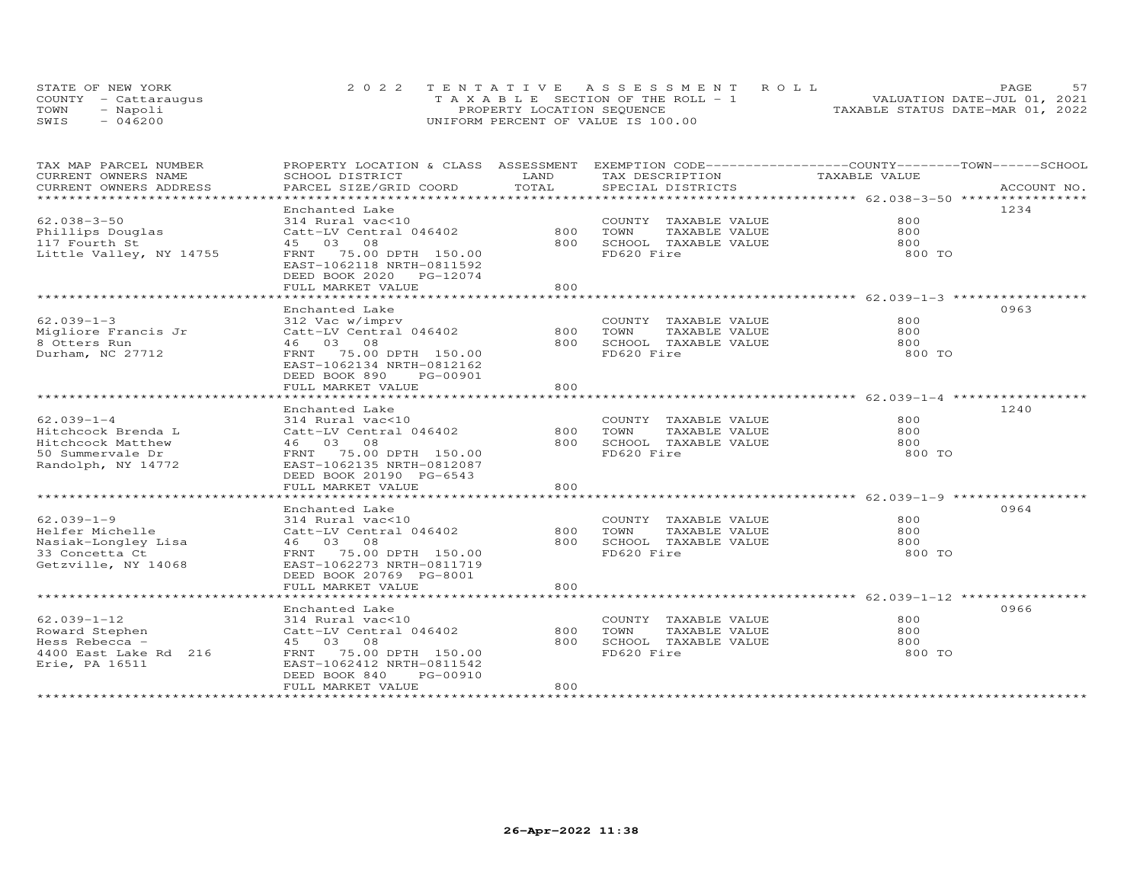|      | STATE OF NEW YORK    | 2022 TENTATIVE ASSESSMENT ROLL        | PAGE                             |
|------|----------------------|---------------------------------------|----------------------------------|
|      | COUNTY - Cattarauqus | T A X A B L E SECTION OF THE ROLL - 1 | VALUATION DATE-JUL 01, 2021      |
| TOWN | Napoli               | PROPERTY LOCATION SEQUENCE            | TAXABLE STATUS DATE-MAR 01, 2022 |
| SWIS | 046200               | UNIFORM PERCENT OF VALUE IS 100.00    |                                  |

| TAX MAP PARCEL NUMBER          | PROPERTY LOCATION & CLASS ASSESSMENT |       | EXEMPTION CODE-----------------COUNTY-------TOWN------SCHOOL |               |             |
|--------------------------------|--------------------------------------|-------|--------------------------------------------------------------|---------------|-------------|
| CURRENT OWNERS NAME            | SCHOOL DISTRICT                      | LAND  | TAX DESCRIPTION                                              | TAXABLE VALUE |             |
| CURRENT OWNERS ADDRESS         | PARCEL SIZE/GRID COORD               | TOTAL | SPECIAL DISTRICTS                                            |               | ACCOUNT NO. |
| ****************************** |                                      |       |                                                              |               |             |
|                                | Enchanted Lake                       |       |                                                              |               | 1234        |
| $62.038 - 3 - 50$              | 314 Rural vac<10                     |       | COUNTY TAXABLE VALUE                                         | 800           |             |
| Phillips Douglas               | Catt-LV Central 046402               | 800   | TOWN<br>TAXABLE VALUE                                        | 800           |             |
| 117 Fourth St                  | 45 03 08                             | 800   | SCHOOL TAXABLE VALUE                                         | 800           |             |
| Little Valley, NY 14755        | FRNT 75.00 DPTH 150.00               |       | FD620 Fire                                                   | 800 TO        |             |
|                                | EAST-1062118 NRTH-0811592            |       |                                                              |               |             |
|                                | DEED BOOK 2020 PG-12074              |       |                                                              |               |             |
|                                | FULL MARKET VALUE                    | 800   |                                                              |               |             |
|                                |                                      |       |                                                              |               |             |
|                                | Enchanted Lake                       |       |                                                              |               | 0963        |
| $62.039 - 1 - 3$               | 312 Vac w/imprv                      |       | COUNTY TAXABLE VALUE                                         | 800           |             |
| Migliore Francis Jr            | Catt-LV Central 046402               | 800   | TOWN<br>TAXABLE VALUE                                        | 800           |             |
| 8 Otters Run                   | 46 03 08                             | 800   | SCHOOL TAXABLE VALUE                                         | 800           |             |
| Durham, NC 27712               | FRNT 75.00 DPTH 150.00               |       | FD620 Fire                                                   | 800 TO        |             |
|                                | EAST-1062134 NRTH-0812162            |       |                                                              |               |             |
|                                | DEED BOOK 890<br>PG-00901            |       |                                                              |               |             |
|                                | FULL MARKET VALUE                    | 800   |                                                              |               |             |
|                                |                                      |       |                                                              |               |             |
|                                | Enchanted Lake                       |       |                                                              |               | 1240        |
| $62.039 - 1 - 4$               | 314 Rural vac<10                     |       | COUNTY TAXABLE VALUE                                         | 800           |             |
| Hitchcock Brenda L             | Catt-LV Central 046402               | 800   | TOWN<br>TAXABLE VALUE                                        | 800           |             |
| Hitchcock Matthew              | 46 03 08                             | 800   | SCHOOL TAXABLE VALUE                                         | 800           |             |
| 50 Summervale Dr               | FRNT 75.00 DPTH 150.00               |       | FD620 Fire                                                   | 800 TO        |             |
| Randolph, NY 14772             | EAST-1062135 NRTH-0812087            |       |                                                              |               |             |
|                                | DEED BOOK 20190 PG-6543              |       |                                                              |               |             |
|                                | FULL MARKET VALUE                    | 800   |                                                              |               |             |
|                                |                                      |       |                                                              |               |             |
|                                | Enchanted Lake                       |       |                                                              |               | 0964        |
| $62.039 - 1 - 9$               | 314 Rural vac<10                     |       | COUNTY TAXABLE VALUE                                         | 800           |             |
| Helfer Michelle                | Catt-LV Central 046402               | 800   | TOWN<br>TAXABLE VALUE                                        | 800           |             |
| Nasiak-Longley Lisa            | 46 03 08                             | 800   | SCHOOL TAXABLE VALUE                                         | 800           |             |
| 33 Concetta Ct                 | FRNT 75.00 DPTH 150.00               |       | FD620 Fire                                                   | 800 TO        |             |
| Getzville, NY 14068            | EAST-1062273 NRTH-0811719            |       |                                                              |               |             |
|                                | DEED BOOK 20769 PG-8001              |       |                                                              |               |             |
|                                | FULL MARKET VALUE                    | 800   |                                                              |               |             |
|                                |                                      |       |                                                              |               |             |
|                                | Enchanted Lake                       |       |                                                              |               | 0966        |
| $62.039 - 1 - 12$              | 314 Rural vac<10                     |       | COUNTY TAXABLE VALUE                                         | 800           |             |
| Roward Stephen                 | Catt-LV Central 046402               | 800   | TOWN<br>TAXABLE VALUE                                        | 800           |             |
| Hess Rebecca -                 | 45 03 08                             | 800   | SCHOOL TAXABLE VALUE                                         | 800           |             |
| 4400 East Lake Rd 216          | 75.00 DPTH 150.00<br>FRNT            |       | FD620 Fire                                                   | 800 TO        |             |
| Erie, PA 16511                 | EAST-1062412 NRTH-0811542            |       |                                                              |               |             |
|                                | PG-00910<br>DEED BOOK 840            |       |                                                              |               |             |
|                                | FULL MARKET VALUE                    | 800   |                                                              |               |             |
|                                |                                      |       |                                                              |               |             |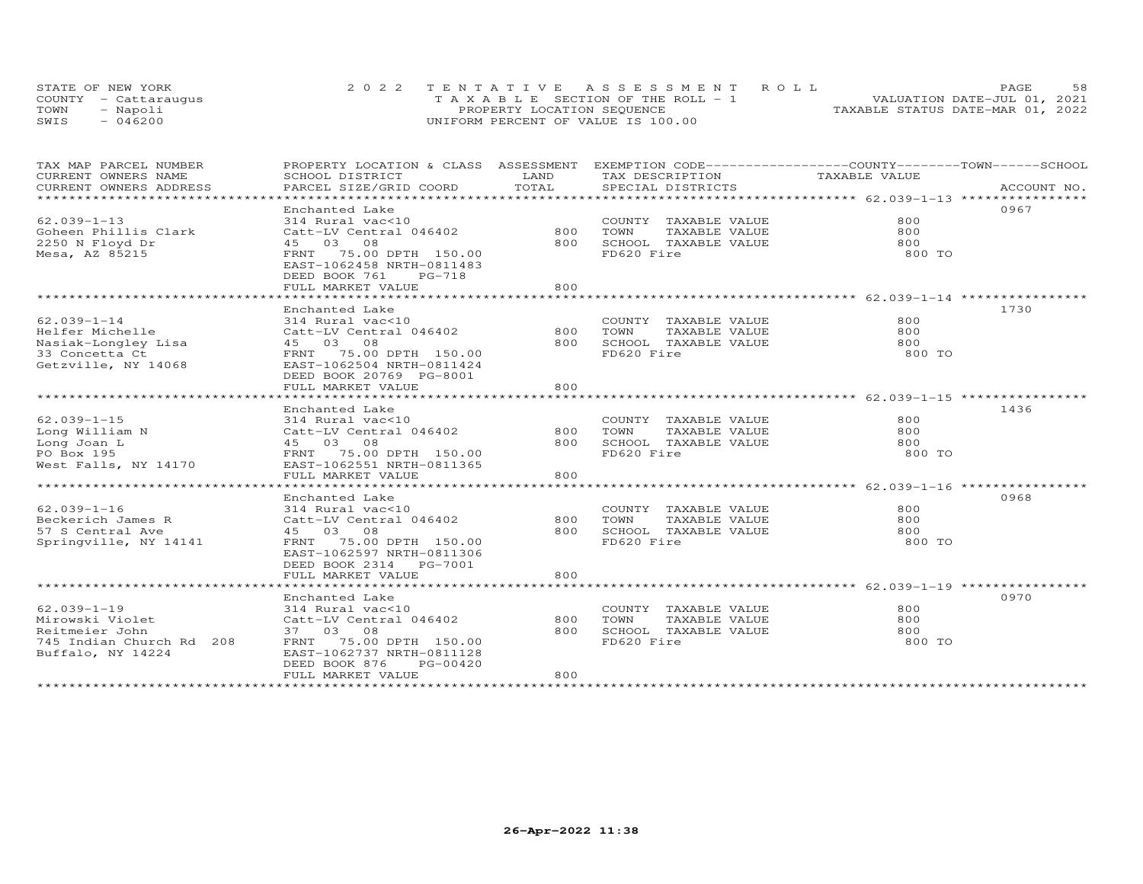|      | STATE OF NEW YORK    | 2022 TENTATIVE ASSESSMENT ROLL        | 58<br>PAGE.                      |
|------|----------------------|---------------------------------------|----------------------------------|
|      | COUNTY - Cattaraugus | T A X A B L E SECTION OF THE ROLL - 1 | VALUATION DATE-JUL 01, 2021      |
| TOWN | - Napoli             | PROPERTY LOCATION SEQUENCE            | TAXABLE STATUS DATE-MAR 01, 2022 |
| SWIS | $-046200$            | UNIFORM PERCENT OF VALUE IS 100.00    |                                  |

| TAX MAP PARCEL NUMBER<br>CURRENT OWNERS NAME<br>CURRENT OWNERS ADDRESS                                  | PROPERTY LOCATION & CLASS ASSESSMENT<br>SCHOOL DISTRICT<br>PARCEL SIZE/GRID COORD                                                                                                 | LAND<br>TOTAL     | EXEMPTION CODE-----------------COUNTY-------TOWN------SCHOOL<br>TAX DESCRIPTION<br>SPECIAL DISTRICTS | TAXABLE VALUE               | ACCOUNT NO. |
|---------------------------------------------------------------------------------------------------------|-----------------------------------------------------------------------------------------------------------------------------------------------------------------------------------|-------------------|------------------------------------------------------------------------------------------------------|-----------------------------|-------------|
| $62.039 - 1 - 13$<br>Goheen Phillis Clark<br>2250 N Floyd Dr<br>Mesa, AZ 85215                          | Enchanted Lake<br>314 Rural vac<10<br>Catt-LV Central 046402<br>45 03 08<br>FRNT 75.00 DPTH 150.00<br>EAST-1062458 NRTH-0811483<br>DEED BOOK 761<br>PG-718                        | 800<br>800        | COUNTY TAXABLE VALUE<br>TOWN<br>TAXABLE VALUE<br>SCHOOL TAXABLE VALUE<br>FD620 Fire                  | 800<br>800<br>800<br>800 TO | 0967        |
| $62.039 - 1 - 14$                                                                                       | FULL MARKET VALUE<br>Enchanted Lake<br>314 Rural vac<10                                                                                                                           | 800               | COUNTY TAXABLE VALUE                                                                                 | 800                         | 1730        |
| Helfer Michelle<br>Nasiak-Longley Lisa<br>33 Concetta Ct<br>Getzville, NY 14068                         | Catt-LV Central 046402<br>45 03 08<br>FRNT 75.00 DPTH 150.00<br>EAST-1062504 NRTH-0811424<br>DEED BOOK 20769 PG-8001<br>FULL MARKET VALUE                                         | 800<br>800<br>800 | TOWN<br>TAXABLE VALUE<br>SCHOOL TAXABLE VALUE<br>FD620 Fire                                          | 800<br>800<br>800 TO        |             |
| $62.039 - 1 - 15$<br>Long William N<br>Long Joan L<br>PO Box 195<br>West Falls, NY 14170                | Enchanted Lake<br>314 Rural vac<10<br>Catt-LV Central 046402<br>45 03 08<br>FRNT 75.00 DPTH 150.00<br>EAST-1062551 NRTH-0811365<br>FULL MARKET VALUE                              | 800<br>800<br>800 | COUNTY TAXABLE VALUE<br>TOWN<br>TAXABLE VALUE<br>SCHOOL TAXABLE VALUE<br>FD620 Fire                  | 800<br>800<br>800<br>800 TO | 1436        |
| $62.039 - 1 - 16$<br>Beckerich James R<br>57 S Central Ave<br>Springville, NY 14141                     | Enchanted Lake<br>314 Rural vac<10<br>Catt-LV Central 046402<br>45 03 08<br>FRNT 75.00 DPTH 150.00<br>EAST-1062597 NRTH-0811306<br>DEED BOOK 2314 PG-7001<br>FULL MARKET VALUE    | 800<br>800<br>800 | COUNTY TAXABLE VALUE<br>TAXABLE VALUE<br>TOWN<br>SCHOOL TAXABLE VALUE<br>FD620 Fire                  | 800<br>800<br>800<br>800 TO | 0968        |
| $62.039 - 1 - 19$<br>Mirowski Violet<br>Reitmeier John<br>745 Indian Church Rd 208<br>Buffalo, NY 14224 | Enchanted Lake<br>314 Rural vac<10<br>Catt-LV Central 046402<br>37 03 08<br>FRNT 75.00 DPTH 150.00<br>EAST-1062737 NRTH-0811128<br>DEED BOOK 876<br>PG-00420<br>FULL MARKET VALUE | 800<br>800<br>800 | COUNTY TAXABLE VALUE<br>TOWN<br>TAXABLE VALUE<br>SCHOOL TAXABLE VALUE<br>FD620 Fire                  | 800<br>800<br>800<br>800 TO | 0970        |
|                                                                                                         |                                                                                                                                                                                   |                   |                                                                                                      |                             |             |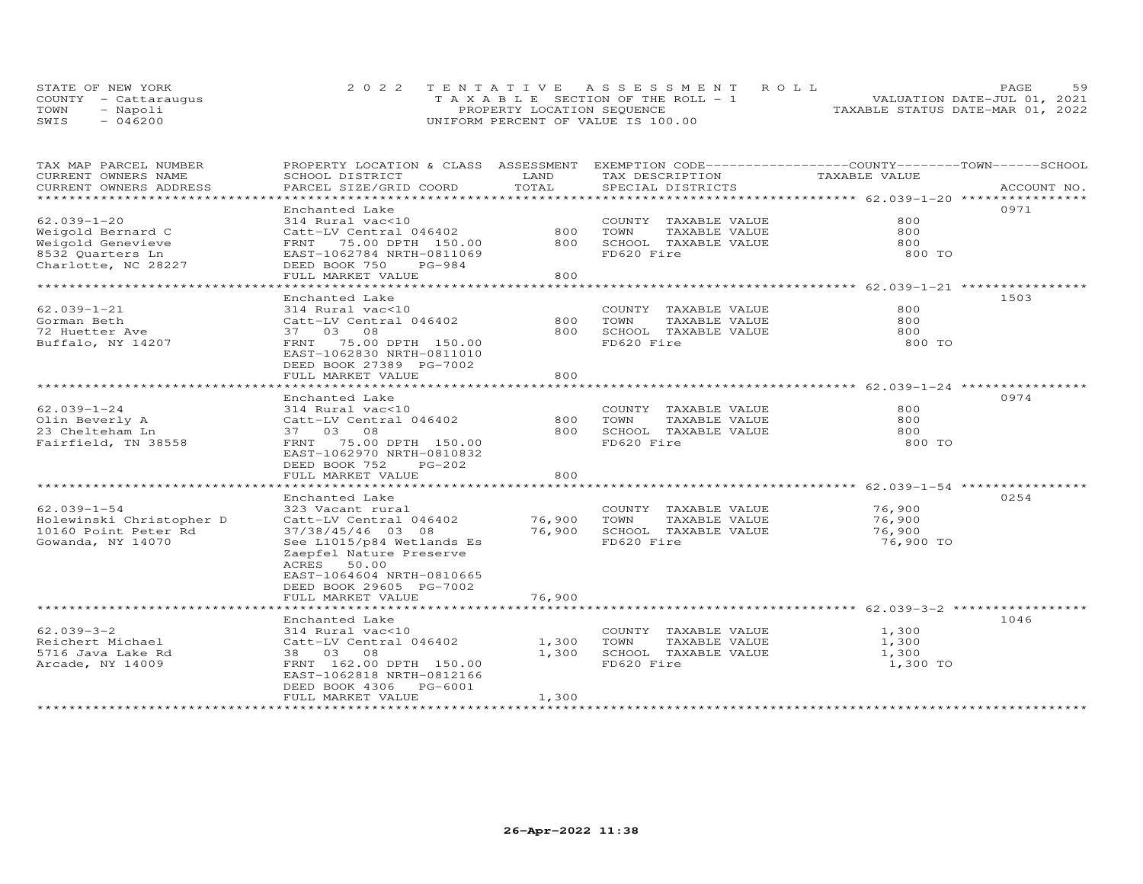|      | STATE OF NEW YORK    | 2022 TENTATIVE ASSESSMENT ROLL        | 59<br><b>PAGE</b>                |
|------|----------------------|---------------------------------------|----------------------------------|
|      | COUNTY - Cattaraugus | T A X A B L E SECTION OF THE ROLL - 1 | VALUATION DATE-JUL 01, 2021      |
| TOWN | - Napoli             | PROPERTY LOCATION SEQUENCE            | TAXABLE STATUS DATE-MAR 01, 2022 |
| SWIS | $-046200$            | UNIFORM PERCENT OF VALUE IS 100.00    |                                  |

| TAX MAP PARCEL NUMBER<br>CURRENT OWNERS NAME | PROPERTY LOCATION & CLASS ASSESSMENT EXEMPTION CODE-----------------COUNTY-------TOWN------SCHOOL<br>SCHOOL DISTRICT | LAND                  | TAX DESCRIPTION                                             | TAXABLE VALUE                                       |             |
|----------------------------------------------|----------------------------------------------------------------------------------------------------------------------|-----------------------|-------------------------------------------------------------|-----------------------------------------------------|-------------|
| CURRENT OWNERS ADDRESS                       | PARCEL SIZE/GRID COORD                                                                                               | TOTAL                 | SPECIAL DISTRICTS                                           |                                                     | ACCOUNT NO. |
| *********************                        |                                                                                                                      |                       |                                                             |                                                     |             |
|                                              | Enchanted Lake                                                                                                       |                       |                                                             |                                                     | 0971        |
| $62.039 - 1 - 20$                            | 314 Rural vac<10                                                                                                     |                       | COUNTY TAXABLE VALUE                                        | 800                                                 |             |
| Weigold Bernard C                            | Catt-LV Central 046402                                                                                               | 800                   | TOWN<br>TAXABLE VALUE                                       | 800                                                 |             |
| Weigold Genevieve                            | FRNT 75.00 DPTH 150.00                                                                                               | 800                   | SCHOOL TAXABLE VALUE                                        | 800                                                 |             |
| 8532 Quarters Ln                             | EAST-1062784 NRTH-0811069                                                                                            |                       | FD620 Fire                                                  | 800 TO                                              |             |
| Charlotte, NC 28227                          | DEED BOOK 750<br>PG-984                                                                                              |                       |                                                             |                                                     |             |
|                                              | FULL MARKET VALUE<br>* * * * * * * * * * * * * * * * * * *                                                           | 800<br>**********     |                                                             | ********************** 62.039-1-21 **************** |             |
|                                              | Enchanted Lake                                                                                                       |                       |                                                             |                                                     | 1503        |
| $62.039 - 1 - 21$                            | 314 Rural vac<10                                                                                                     |                       | COUNTY TAXABLE VALUE                                        | 800                                                 |             |
| Gorman Beth                                  | Catt-LV Central 046402                                                                                               | 800                   | TOWN<br>TAXABLE VALUE                                       | 800                                                 |             |
| 72 Huetter Ave                               | 37 03 08                                                                                                             | 800                   | SCHOOL TAXABLE VALUE                                        | 800                                                 |             |
| Buffalo, NY 14207                            | FRNT 75.00 DPTH 150.00                                                                                               |                       | FD620 Fire                                                  | 800 TO                                              |             |
|                                              | EAST-1062830 NRTH-0811010                                                                                            |                       |                                                             |                                                     |             |
|                                              | DEED BOOK 27389 PG-7002                                                                                              |                       |                                                             |                                                     |             |
|                                              | FULL MARKET VALUE                                                                                                    | 800                   |                                                             |                                                     |             |
|                                              | ********************                                                                                                 |                       |                                                             |                                                     |             |
|                                              | Enchanted Lake                                                                                                       |                       |                                                             |                                                     | 0974        |
| $62.039 - 1 - 24$                            | 314 Rural vac<10                                                                                                     |                       | COUNTY TAXABLE VALUE                                        | 800                                                 |             |
| Olin Beverly A                               | Catt-LV Central 046402                                                                                               | 800                   | TOWN<br>TAXABLE VALUE                                       | 800                                                 |             |
| 23 Chelteham Ln                              | 37 03 08                                                                                                             | 800                   | SCHOOL TAXABLE VALUE                                        | 800                                                 |             |
| Fairfield, TN 38558                          | FRNT 75.00 DPTH 150.00                                                                                               |                       | FD620 Fire                                                  | 800 TO                                              |             |
|                                              | EAST-1062970 NRTH-0810832                                                                                            |                       |                                                             |                                                     |             |
|                                              | DEED BOOK 752<br>PG-202                                                                                              |                       |                                                             |                                                     |             |
|                                              | FULL MARKET VALUE                                                                                                    | 800<br>************** | ******************************* 62.039-1-54 *************** |                                                     |             |
|                                              | Enchanted Lake                                                                                                       |                       |                                                             |                                                     | 0254        |
| $62.039 - 1 - 54$                            | 323 Vacant rural                                                                                                     |                       | COUNTY TAXABLE VALUE                                        | 76,900                                              |             |
| Holewinski Christopher D                     | Catt-LV Central 046402                                                                                               | 76,900                | TOWN<br>TAXABLE VALUE                                       | 76,900                                              |             |
| 10160 Point Peter Rd                         | 37/38/45/46 03 08                                                                                                    | 76,900                | SCHOOL TAXABLE VALUE                                        | 76,900                                              |             |
| Gowanda, NY 14070                            | See L1015/p84 Wetlands Es                                                                                            |                       | FD620 Fire                                                  | 76,900 TO                                           |             |
|                                              | Zaepfel Nature Preserve                                                                                              |                       |                                                             |                                                     |             |
|                                              | ACRES 50.00                                                                                                          |                       |                                                             |                                                     |             |
|                                              | EAST-1064604 NRTH-0810665                                                                                            |                       |                                                             |                                                     |             |
|                                              | DEED BOOK 29605 PG-7002                                                                                              |                       |                                                             |                                                     |             |
|                                              | FULL MARKET VALUE                                                                                                    | 76,900                |                                                             |                                                     |             |
|                                              | *************************                                                                                            |                       |                                                             |                                                     |             |
|                                              | Enchanted Lake                                                                                                       |                       |                                                             |                                                     | 1046        |
| $62.039 - 3 - 2$                             | 314 Rural vac<10                                                                                                     |                       | COUNTY TAXABLE VALUE                                        | 1,300                                               |             |
| Reichert Michael                             | Catt-LV Central 046402                                                                                               | 1,300                 | TOWN<br>TAXABLE VALUE                                       | 1,300                                               |             |
| 5716 Java Lake Rd                            | 38 03 08                                                                                                             | 1,300                 | SCHOOL TAXABLE VALUE                                        | 1,300                                               |             |
| Arcade, NY 14009                             | FRNT 162.00 DPTH 150.00                                                                                              |                       | FD620 Fire                                                  | 1,300 TO                                            |             |
|                                              | EAST-1062818 NRTH-0812166                                                                                            |                       |                                                             |                                                     |             |
|                                              | DEED BOOK 4306 PG-6001<br>FULL MARKET VALUE                                                                          | 1,300                 |                                                             |                                                     |             |
|                                              | *******************                                                                                                  |                       |                                                             |                                                     |             |
|                                              |                                                                                                                      |                       |                                                             |                                                     |             |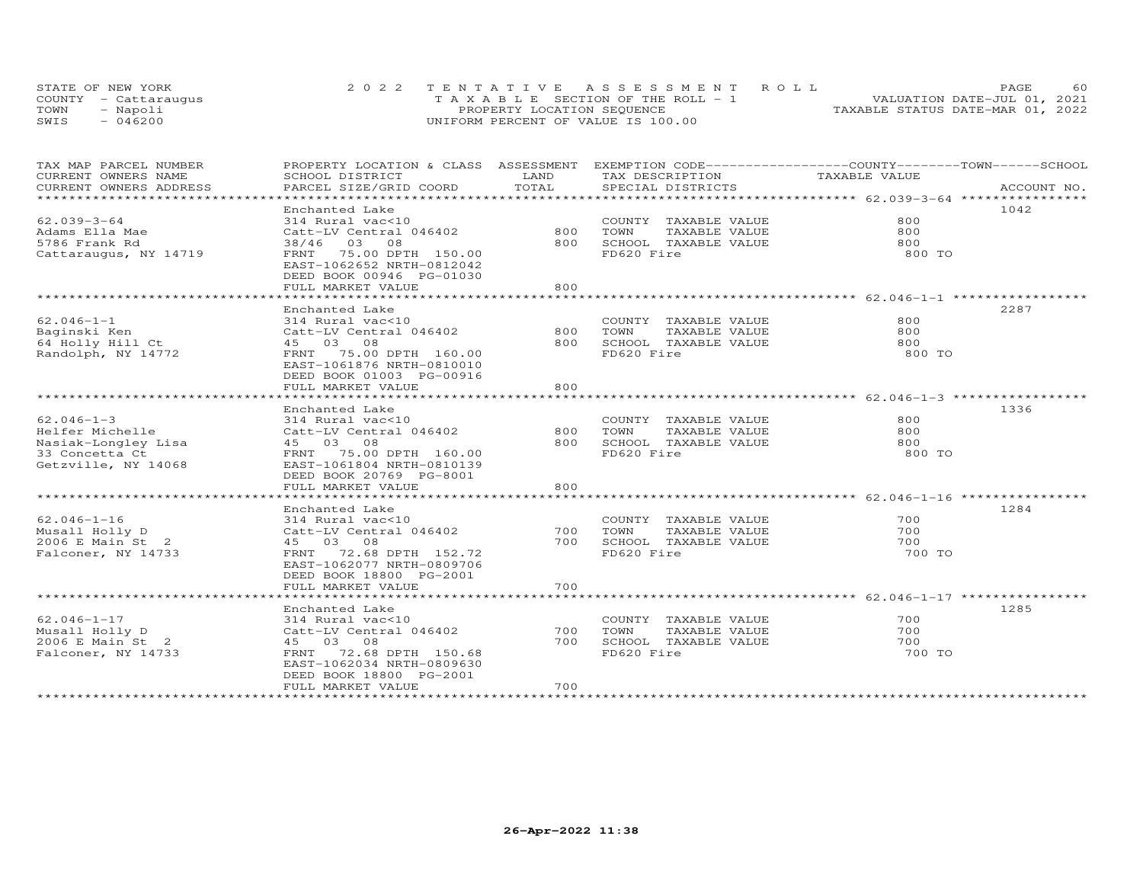|      | STATE OF NEW YORK    | 2022 TENTATIVE ASSESSMENT ROLL        | <b>PAGE</b>                      |
|------|----------------------|---------------------------------------|----------------------------------|
|      | COUNTY - Cattarauqus | T A X A B L E SECTION OF THE ROLL - 1 | VALUATION DATE-JUL 01, 2021      |
| TOWN | Napoli               | PROPERTY LOCATION SEQUENCE            | TAXABLE STATUS DATE-MAR 01, 2022 |
| SWIS | 046200               | UNIFORM PERCENT OF VALUE IS 100.00    |                                  |

| TAX MAP PARCEL NUMBER        | PROPERTY LOCATION & CLASS ASSESSMENT EXEMPTION CODE----------------COUNTY-------TOWN------SCHOOL |       |                       |               |             |
|------------------------------|--------------------------------------------------------------------------------------------------|-------|-----------------------|---------------|-------------|
| CURRENT OWNERS NAME          | SCHOOL DISTRICT                                                                                  | LAND  | TAX DESCRIPTION       | TAXABLE VALUE |             |
| CURRENT OWNERS ADDRESS       | PARCEL SIZE/GRID COORD                                                                           | TOTAL | SPECIAL DISTRICTS     |               | ACCOUNT NO. |
| **************************** |                                                                                                  |       |                       |               |             |
|                              | Enchanted Lake                                                                                   |       |                       |               | 1042        |
| $62.039 - 3 - 64$            | 314 Rural vac<10                                                                                 |       | COUNTY TAXABLE VALUE  | 800           |             |
| Adams Ella Mae               | Catt-LV Central 046402                                                                           | 800   | TOWN<br>TAXABLE VALUE | 800           |             |
| 5786 Frank Rd                | 38/46 03 08                                                                                      | 800   | SCHOOL TAXABLE VALUE  | 800           |             |
| Cattaraugus, NY 14719        | FRNT 75.00 DPTH 150.00                                                                           |       | FD620 Fire            | 800 TO        |             |
|                              | EAST-1062652 NRTH-0812042                                                                        |       |                       |               |             |
|                              | DEED BOOK 00946 PG-01030                                                                         |       |                       |               |             |
|                              | FULL MARKET VALUE                                                                                | 800   |                       |               |             |
|                              |                                                                                                  |       |                       |               |             |
|                              | Enchanted Lake                                                                                   |       |                       |               | 2287        |
| $62.046 - 1 - 1$             | 314 Rural vac<10                                                                                 |       | COUNTY TAXABLE VALUE  | 800           |             |
| Baginski Ken                 | Catt-LV Central 046402                                                                           | 800   | TOWN<br>TAXABLE VALUE | 800           |             |
| 64 Holly Hill Ct             | 45 03 08                                                                                         | 800   | SCHOOL TAXABLE VALUE  | 800           |             |
| Randolph, NY 14772           | FRNT 75.00 DPTH 160.00                                                                           |       | FD620 Fire            | 800 TO        |             |
|                              | EAST-1061876 NRTH-0810010                                                                        |       |                       |               |             |
|                              | DEED BOOK 01003 PG-00916                                                                         |       |                       |               |             |
|                              | FULL MARKET VALUE                                                                                | 800   |                       |               |             |
|                              |                                                                                                  |       |                       |               |             |
|                              | Enchanted Lake                                                                                   |       |                       |               | 1336        |
| $62.046 - 1 - 3$             | 314 Rural vac<10                                                                                 |       | COUNTY TAXABLE VALUE  | 800           |             |
| Helfer Michelle              | Catt-LV Central 046402                                                                           | 800   | TOWN<br>TAXABLE VALUE | 800           |             |
| Nasiak-Longley Lisa          | 45 03 08                                                                                         | 800   | SCHOOL TAXABLE VALUE  | 800           |             |
| 33 Concetta Ct               | FRNT 75.00 DPTH 160.00                                                                           |       | FD620 Fire            | 800 TO        |             |
| Getzville, NY 14068          | EAST-1061804 NRTH-0810139                                                                        |       |                       |               |             |
|                              | DEED BOOK 20769 PG-8001                                                                          |       |                       |               |             |
|                              | FULL MARKET VALUE                                                                                | 800   |                       |               |             |
|                              |                                                                                                  |       |                       |               |             |
|                              | Enchanted Lake                                                                                   |       |                       |               | 1284        |
| 62.046-1-16                  | 314 Rural vac<10                                                                                 |       | COUNTY TAXABLE VALUE  | 700           |             |
| Musall Holly D               | Catt-LV Central 046402                                                                           | 700   | TOWN<br>TAXABLE VALUE | 700           |             |
| 2006 E Main St 2             | 45 03 08                                                                                         | 700   | SCHOOL TAXABLE VALUE  | 700           |             |
| Falconer, NY 14733           | FRNT 72.68 DPTH 152.72                                                                           |       | FD620 Fire            | 700 TO        |             |
|                              | EAST-1062077 NRTH-0809706                                                                        |       |                       |               |             |
|                              | DEED BOOK 18800 PG-2001                                                                          |       |                       |               |             |
|                              | FULL MARKET VALUE                                                                                | 700   |                       |               |             |
|                              |                                                                                                  |       |                       |               |             |
|                              | Enchanted Lake                                                                                   |       |                       |               | 1285        |
| 62.046-1-17                  | 314 Rural vac<10                                                                                 |       | COUNTY TAXABLE VALUE  | 700           |             |
| Musall Holly D               | Catt-LV Central 046402                                                                           | 700   | TAXABLE VALUE<br>TOWN | 700           |             |
| 2006 E Main St 2             | 45 03 08                                                                                         | 700   | SCHOOL TAXABLE VALUE  | 700           |             |
| Falconer, NY 14733           | FRNT 72.68 DPTH 150.68                                                                           |       | FD620 Fire            | 700 TO        |             |
|                              | EAST-1062034 NRTH-0809630                                                                        |       |                       |               |             |
|                              | DEED BOOK 18800 PG-2001                                                                          |       |                       |               |             |
|                              | FULL MARKET VALUE                                                                                | 700   |                       |               |             |
|                              |                                                                                                  |       |                       |               |             |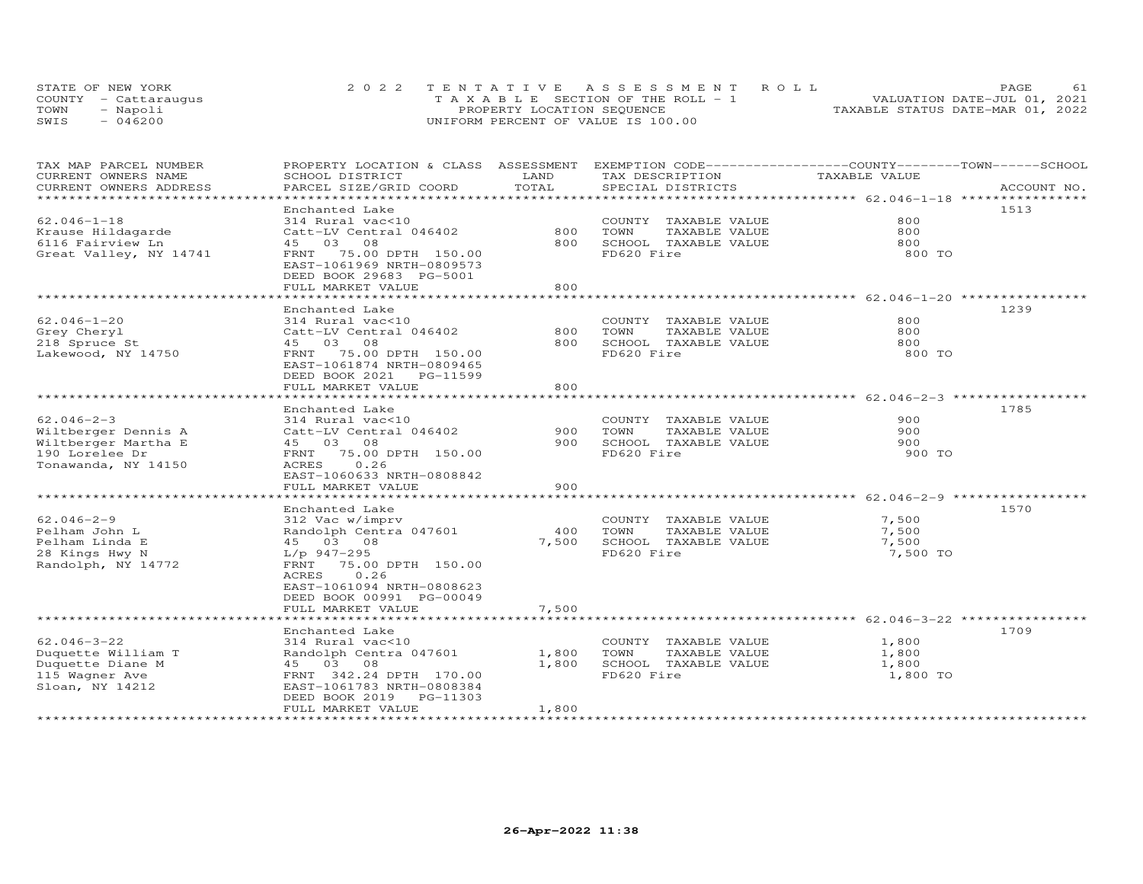|      | STATE OF NEW YORK    | 2022 TENTATIVE ASSESSMENT ROLL        | <b>PAGE</b>                      |
|------|----------------------|---------------------------------------|----------------------------------|
|      | COUNTY - Cattarauqus | T A X A B L E SECTION OF THE ROLL - 1 | VALUATION DATE-JUL 01, 2021      |
| TOWN | Napoli               | PROPERTY LOCATION SEQUENCE            | TAXABLE STATUS DATE-MAR 01, 2022 |
| SWIS | 046200               | UNIFORM PERCENT OF VALUE IS 100.00    |                                  |

| TAX MAP PARCEL NUMBER  | PROPERTY LOCATION & CLASS ASSESSMENT |               | EXEMPTION CODE-----------------COUNTY-------TOWN------SCHOOL |               |             |
|------------------------|--------------------------------------|---------------|--------------------------------------------------------------|---------------|-------------|
| CURRENT OWNERS NAME    | SCHOOL DISTRICT                      | LAND<br>TOTAL | TAX DESCRIPTION                                              | TAXABLE VALUE |             |
| CURRENT OWNERS ADDRESS | PARCEL SIZE/GRID COORD               |               | SPECIAL DISTRICTS                                            |               | ACCOUNT NO. |
|                        | Enchanted Lake                       |               |                                                              |               | 1513        |
| $62.046 - 1 - 18$      | 314 Rural vac<10                     |               | COUNTY TAXABLE VALUE                                         | 800           |             |
| Krause Hildagarde      | Catt-LV Central 046402               | 800           | TOWN<br>TAXABLE VALUE                                        | 800           |             |
|                        | 45 03 08                             | 800           | SCHOOL TAXABLE VALUE                                         | 800           |             |
| 6116 Fairview Ln       |                                      |               | FD620 Fire                                                   |               |             |
| Great Valley, NY 14741 | FRNT<br>75.00 DPTH 150.00            |               |                                                              | 800 TO        |             |
|                        | EAST-1061969 NRTH-0809573            |               |                                                              |               |             |
|                        | DEED BOOK 29683 PG-5001              |               |                                                              |               |             |
|                        | FULL MARKET VALUE                    | 800           |                                                              |               |             |
|                        |                                      |               |                                                              |               |             |
|                        | Enchanted Lake                       |               |                                                              |               | 1239        |
| $62.046 - 1 - 20$      | 314 Rural vac<10                     |               | COUNTY TAXABLE VALUE                                         | 800           |             |
| Grey Cheryl            | Catt-LV Central 046402               | 800           | TAXABLE VALUE<br>TOWN                                        | 800           |             |
| 218 Spruce St          | 45 03 08                             | 800           | SCHOOL TAXABLE VALUE                                         | 800           |             |
| Lakewood, NY 14750     | FRNT 75.00 DPTH 150.00               |               | FD620 Fire                                                   | 800 TO        |             |
|                        | EAST-1061874 NRTH-0809465            |               |                                                              |               |             |
|                        | DEED BOOK 2021 PG-11599              |               |                                                              |               |             |
|                        | FULL MARKET VALUE                    | 800           |                                                              |               |             |
|                        |                                      |               | ******************************** 62.046-2-3 ****             |               |             |
|                        | Enchanted Lake                       |               |                                                              |               | 1785        |
| $62.046 - 2 - 3$       | 314 Rural vac<10                     |               | COUNTY TAXABLE VALUE                                         | 900           |             |
| Wiltberger Dennis A    | Catt-LV Central 046402               | 900           | TOWN<br>TAXABLE VALUE                                        | 900           |             |
| Wiltberger Martha E    | 45 03 08                             | 900           | SCHOOL TAXABLE VALUE                                         | 900           |             |
| 190 Lorelee Dr         | 75.00 DPTH 150.00<br>FRNT            |               | FD620 Fire                                                   | 900 TO        |             |
| Tonawanda, NY 14150    | 0.26<br>ACRES                        |               |                                                              |               |             |
|                        | EAST-1060633 NRTH-0808842            |               |                                                              |               |             |
|                        | FULL MARKET VALUE                    | 900           |                                                              |               |             |
|                        |                                      |               |                                                              |               |             |
|                        | Enchanted Lake                       |               |                                                              |               | 1570        |
| $62.046 - 2 - 9$       | 312 Vac w/imprv                      |               | COUNTY TAXABLE VALUE                                         | 7,500         |             |
| Pelham John L          | Randolph Centra 047601               | 400           | TOWN<br>TAXABLE VALUE                                        | 7,500         |             |
| Pelham Linda E         | 45 03 08                             | 7,500         | SCHOOL TAXABLE VALUE                                         | 7,500         |             |
| 28 Kings Hwy N         | L/p 947-295                          |               | FD620 Fire                                                   | 7,500 TO      |             |
| Randolph, NY 14772     | FRNT 75.00 DPTH 150.00               |               |                                                              |               |             |
|                        | 0.26<br>ACRES                        |               |                                                              |               |             |
|                        | EAST-1061094 NRTH-0808623            |               |                                                              |               |             |
|                        | DEED BOOK 00991 PG-00049             |               |                                                              |               |             |
|                        | FULL MARKET VALUE                    | 7,500         |                                                              |               |             |
|                        |                                      |               |                                                              |               |             |
|                        | Enchanted Lake                       |               |                                                              |               | 1709        |
| $62.046 - 3 - 22$      | 314 Rural vac<10                     |               | COUNTY TAXABLE VALUE                                         | 1,800         |             |
| Duquette William T     | Randolph Centra 047601               | 1,800         | TOWN<br>TAXABLE VALUE                                        | 1,800         |             |
| Duquette Diane M       | 45 03 08                             | 1,800         | SCHOOL TAXABLE VALUE                                         | 1,800         |             |
| 115 Wagner Ave         | FRNT 342.24 DPTH 170.00              |               | FD620 Fire                                                   | 1,800 TO      |             |
| Sloan, NY 14212        | EAST-1061783 NRTH-0808384            |               |                                                              |               |             |
|                        | DEED BOOK 2019 PG-11303              |               |                                                              |               |             |
|                        | FULL MARKET VALUE                    | 1,800         |                                                              |               |             |
|                        |                                      |               |                                                              |               |             |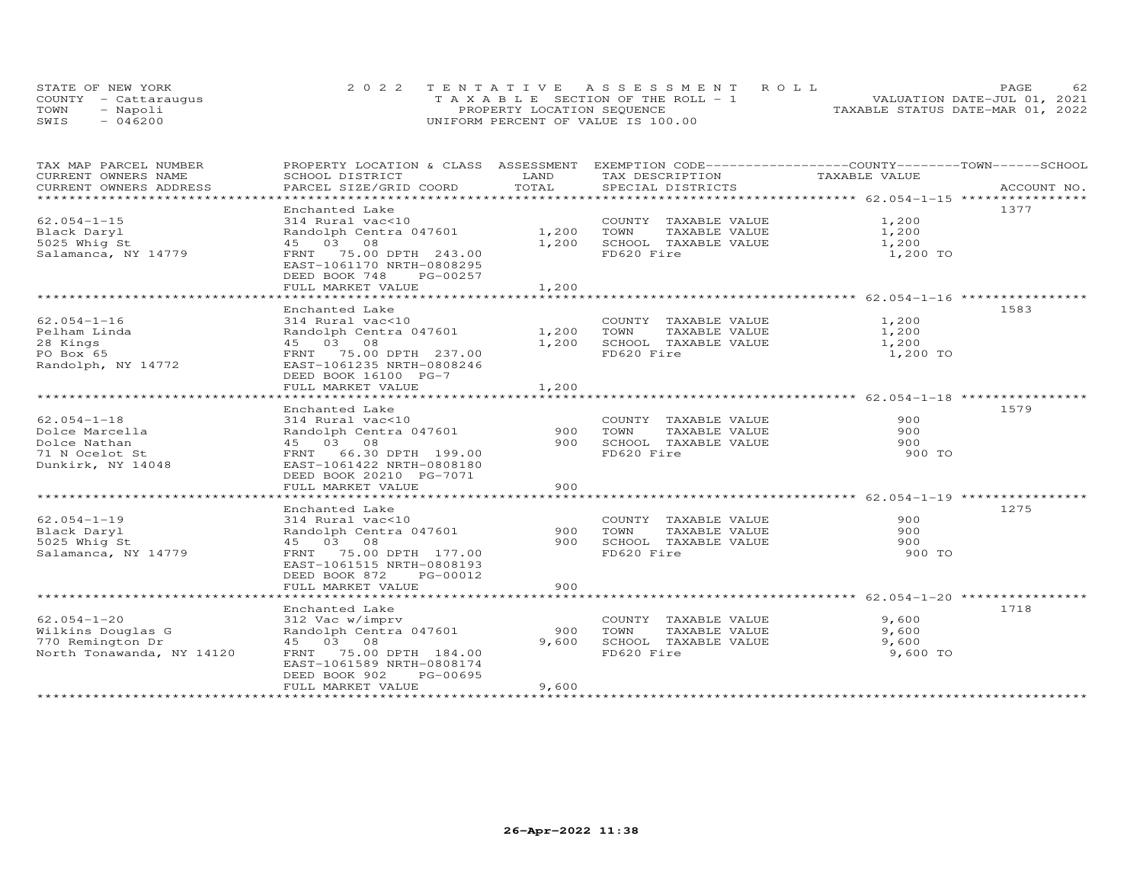|      | STATE OF NEW YORK    | 2022 TENTATIVE ASSESSMENT ROLL        | 62<br>PAGE.                      |
|------|----------------------|---------------------------------------|----------------------------------|
|      | COUNTY - Cattaraugus | T A X A B L E SECTION OF THE ROLL - 1 | VALUATION DATE-JUL 01, 2021      |
| TOWN | - Napoli             | PROPERTY LOCATION SEQUENCE            | TAXABLE STATUS DATE-MAR 01, 2022 |
| SWIS | $-046200$            | UNIFORM PERCENT OF VALUE IS 100.00    |                                  |

| TAX MAP PARCEL NUMBER                             |                                           |            | PROPERTY LOCATION & CLASS ASSESSMENT EXEMPTION CODE-----------------COUNTY-------TOWN------SCHOOL |               |             |
|---------------------------------------------------|-------------------------------------------|------------|---------------------------------------------------------------------------------------------------|---------------|-------------|
| CURRENT OWNERS NAME                               | SCHOOL DISTRICT<br>PARCEL SIZE/GRID COORD | LAND       | TAX DESCRIPTION                                                                                   | TAXABLE VALUE |             |
| CURRENT OWNERS ADDRESS<br>*********************** |                                           | TOTAL      | SPECIAL DISTRICTS                                                                                 |               | ACCOUNT NO. |
|                                                   | Enchanted Lake                            |            |                                                                                                   |               | 1377        |
| $62.054 - 1 - 15$                                 | 314 Rural vac<10                          |            | COUNTY TAXABLE VALUE                                                                              | 1,200         |             |
| Black Daryl                                       | Randolph Centra 047601                    | 1,200      |                                                                                                   | 1,200         |             |
| 5025 Whig St                                      | 45 03 08                                  | 1,200      | TOWN      TAXABLE VALUE<br>SCHOOL   TAXABLE VALUE                                                 | 1,200         |             |
| Salamanca, NY 14779                               | FRNT 75.00 DPTH 243.00                    |            | FD620 Fire                                                                                        | 1,200 TO      |             |
|                                                   | EAST-1061170 NRTH-0808295                 |            |                                                                                                   |               |             |
|                                                   | DEED BOOK 748<br>PG-00257                 |            |                                                                                                   |               |             |
|                                                   | FULL MARKET VALUE                         | 1,200      |                                                                                                   |               |             |
|                                                   |                                           |            |                                                                                                   |               |             |
|                                                   | Enchanted Lake                            |            |                                                                                                   |               | 1583        |
| $62.054 - 1 - 16$                                 | 314 Rural vac<10                          |            | COUNTY TAXABLE VALUE                                                                              | 1,200         |             |
| Pelham Linda                                      | Randolph Centra 047601                    | 1,200 TOWN | TAXABLE VALUE                                                                                     | 1,200         |             |
| 28 Kings                                          | 45 03 08                                  |            | 1,200 SCHOOL TAXABLE VALUE 1,200                                                                  |               |             |
| PO Box 65                                         | FRNT 75.00 DPTH 237.00                    |            | FD620 Fire                                                                                        | 1,200 TO      |             |
| Randolph, NY 14772                                | EAST-1061235 NRTH-0808246                 |            |                                                                                                   |               |             |
|                                                   | DEED BOOK 16100 PG-7                      |            |                                                                                                   |               |             |
|                                                   | FULL MARKET VALUE                         | 1,200      |                                                                                                   |               |             |
|                                                   | Enchanted Lake                            |            |                                                                                                   |               | 1579        |
| $62.054 - 1 - 18$                                 | 314 Rural vac<10                          |            | COUNTY TAXABLE VALUE                                                                              | 900           |             |
| Dolce Marcella                                    | Randolph Centra 047601                    | 900        | TOWN<br>TAXABLE VALUE                                                                             | 900           |             |
| Dolce Nathan                                      | 45 03 08                                  | 900        | SCHOOL TAXABLE VALUE                                                                              | 900           |             |
| 71 N Ocelot St                                    | FRNT 66.30 DPTH 199.00                    |            | FD620 Fire                                                                                        | 900 TO        |             |
| Dunkirk, NY 14048                                 | EAST-1061422 NRTH-0808180                 |            |                                                                                                   |               |             |
|                                                   | DEED BOOK 20210 PG-7071                   |            |                                                                                                   |               |             |
|                                                   | FULL MARKET VALUE                         | 900        |                                                                                                   |               |             |
|                                                   |                                           |            |                                                                                                   |               |             |
|                                                   | Enchanted Lake                            |            |                                                                                                   |               | 1275        |
| $62.054 - 1 - 19$                                 | 314 Rural vac<10                          |            | COUNTY TAXABLE VALUE                                                                              | 900           |             |
| Black Daryl                                       | Randolph Centra 047601                    | 900        | TOWN<br>TAXABLE VALUE                                                                             | 900           |             |
| 5025 Whig St                                      | 45 03 08                                  | 900        | SCHOOL TAXABLE VALUE                                                                              | 900           |             |
| Salamanca, NY 14779                               | FRNT 75.00 DPTH 177.00                    |            | FD620 Fire                                                                                        | 900 TO        |             |
|                                                   | EAST-1061515 NRTH-0808193                 |            |                                                                                                   |               |             |
|                                                   | DEED BOOK 872 PG-00012                    |            |                                                                                                   |               |             |
|                                                   | FULL MARKET VALUE                         | 900        |                                                                                                   |               |             |
|                                                   | Enchanted Lake                            |            |                                                                                                   |               | 1718        |
| $62.054 - 1 - 20$                                 | 312 Vac w/imprv                           |            | COUNTY TAXABLE VALUE                                                                              | 9,600         |             |
| Wilkins Douglas G                                 | Randolph Centra 047601                    | 900        | TOWN<br>TAXABLE VALUE                                                                             | 9,600         |             |
| 770 Remington Dr                                  | 45 03 08                                  | 9,600      | SCHOOL TAXABLE VALUE                                                                              | 9,600         |             |
| North Tonawanda, NY 14120                         | FRNT 75.00 DPTH 184.00                    |            | FD620 Fire                                                                                        | 9,600 TO      |             |
|                                                   | EAST-1061589 NRTH-0808174                 |            |                                                                                                   |               |             |
|                                                   | PG-00695<br>DEED BOOK 902                 |            |                                                                                                   |               |             |
|                                                   | FULL MARKET VALUE                         | 9,600      |                                                                                                   |               |             |
|                                                   |                                           |            |                                                                                                   |               |             |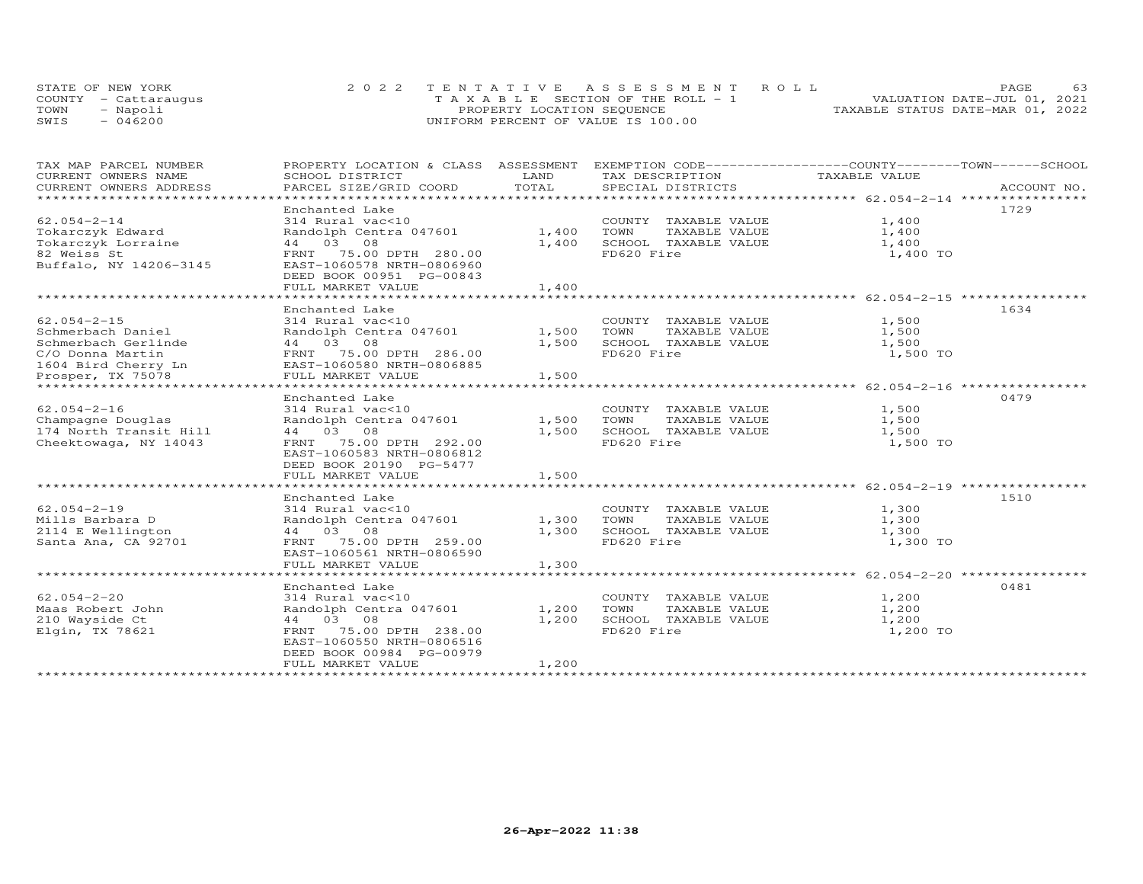|      | STATE OF NEW YORK    | 2022 TENTATIVE ASSESSMENT ROLL        | 63<br>PAGE.                      |
|------|----------------------|---------------------------------------|----------------------------------|
|      | COUNTY - Cattaraugus | T A X A B L E SECTION OF THE ROLL - 1 | VALUATION DATE-JUL 01, 2021      |
| TOWN | - Napoli             | PROPERTY LOCATION SEQUENCE            | TAXABLE STATUS DATE-MAR 01, 2022 |
| SWIS | $-046200$            | UNIFORM PERCENT OF VALUE IS 100.00    |                                  |

|                                     | EXEMPTION CODE------------------COUNTY-------TOWN------SCHOOL |
|-------------------------------------|---------------------------------------------------------------|
|                                     | ACCOUNT NO.                                                   |
| 1,400<br>1,400<br>1,400 TO          | 1729                                                          |
|                                     |                                                               |
| 1,500<br>1,500<br>1,500<br>1,500 TO | 1634                                                          |
|                                     | 0479                                                          |
| 1,500<br>1,500<br>1,500<br>1,500 TO |                                                               |
|                                     |                                                               |
| 1,300<br>1,300<br>1,300 TO          | 1510                                                          |
|                                     |                                                               |
| 1,200<br>1,200<br>1,200<br>1,200 TO | 0481                                                          |
|                                     | TAXABLE VALUE<br>TAXABLE VALUE 1,400<br>1,300                 |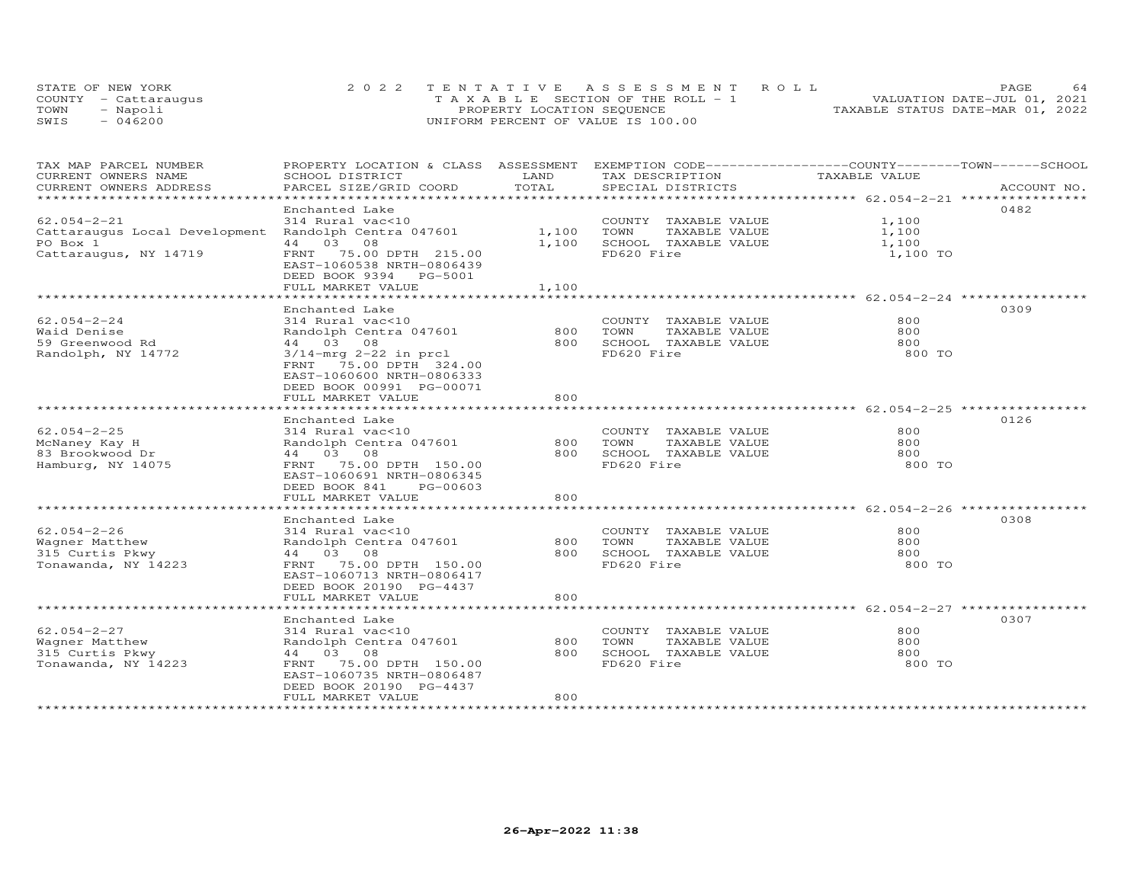|      | STATE OF NEW YORK    | 2022 TENTATIVE ASSESSMENT ROLL        | 64<br><b>PAGE</b>                |
|------|----------------------|---------------------------------------|----------------------------------|
|      | COUNTY - Cattarauqus | T A X A B L E SECTION OF THE ROLL - 1 | VALUATION DATE-JUL 01, 2021      |
| TOWN | - Napoli             | PROPERTY LOCATION SEQUENCE            | TAXABLE STATUS DATE-MAR 01, 2022 |
| SWIS | $-046200$            | UNIFORM PERCENT OF VALUE IS 100.00    |                                  |

| TAX MAP PARCEL NUMBER<br>CURRENT OWNERS NAME | PROPERTY LOCATION & CLASS ASSESSMENT<br>SCHOOL DISTRICT                                                                          | LAND                   | EXEMPTION CODE-----------------COUNTY-------TOWN------SCHOOL<br>TAX DESCRIPTION | TAXABLE VALUE                                    |             |
|----------------------------------------------|----------------------------------------------------------------------------------------------------------------------------------|------------------------|---------------------------------------------------------------------------------|--------------------------------------------------|-------------|
| CURRENT OWNERS ADDRESS                       | PARCEL SIZE/GRID COORD                                                                                                           | TOTAL                  | SPECIAL DISTRICTS                                                               |                                                  | ACCOUNT NO. |
|                                              |                                                                                                                                  | ********               |                                                                                 | ************************ 62.054-2-21 *********** |             |
|                                              | Enchanted Lake                                                                                                                   |                        |                                                                                 |                                                  | 0482        |
| $62.054 - 2 - 21$                            | 314 Rural vac<10                                                                                                                 |                        | COUNTY TAXABLE VALUE                                                            | 1,100                                            |             |
| Cattaraugus Local Development                | Randolph Centra 047601                                                                                                           | 1,100                  | TOWN<br>TAXABLE VALUE                                                           | 1,100                                            |             |
| PO Box 1                                     | 44 03 08                                                                                                                         | 1,100                  | SCHOOL TAXABLE VALUE                                                            | 1,100                                            |             |
| Cattaraugus, NY 14719                        | 75.00 DPTH 215.00<br>FRNT<br>EAST-1060538 NRTH-0806439<br>DEED BOOK 9394 PG-5001                                                 |                        | FD620 Fire                                                                      | 1,100 TO                                         |             |
|                                              | FULL MARKET VALUE<br>********************                                                                                        | 1,100<br>************* |                                                                                 | ************************ 62.054-2-24             |             |
|                                              |                                                                                                                                  |                        |                                                                                 |                                                  |             |
| $62.054 - 2 - 24$                            | Enchanted Lake<br>314 Rural vac<10                                                                                               |                        | COUNTY TAXABLE VALUE                                                            | 800                                              | 0309        |
| Waid Denise                                  | Randolph Centra 047601                                                                                                           | 800                    | TOWN<br>TAXABLE VALUE                                                           | 800                                              |             |
| 59 Greenwood Rd                              | 44 03 08                                                                                                                         | 800                    | SCHOOL TAXABLE VALUE                                                            | 800                                              |             |
|                                              |                                                                                                                                  |                        | FD620 Fire                                                                      | 800 TO                                           |             |
| Randolph, NY 14772                           | $3/14$ -mrg 2-22 in prcl<br>FRNT 75.00 DPTH 324.00<br>EAST-1060600 NRTH-0806333<br>DEED BOOK 00991 PG-00071<br>FULL MARKET VALUE | 800                    |                                                                                 |                                                  |             |
|                                              |                                                                                                                                  |                        | ********************************* 62.054-2-25 **********                        |                                                  |             |
|                                              | Enchanted Lake                                                                                                                   |                        |                                                                                 |                                                  | 0126        |
| $62.054 - 2 - 25$                            | 314 Rural vac<10                                                                                                                 |                        | COUNTY TAXABLE VALUE                                                            | 800                                              |             |
| McNaney Kay H                                | Randolph Centra 047601                                                                                                           | 800                    | TOWN<br>TAXABLE VALUE                                                           | 800                                              |             |
| 83 Brookwood Dr                              | 44 03 08                                                                                                                         | 800                    | SCHOOL TAXABLE VALUE                                                            | 800                                              |             |
| Hamburg, NY 14075                            | 75.00 DPTH 150.00<br>FRNT<br>EAST-1060691 NRTH-0806345<br>DEED BOOK 841<br>PG-00603                                              |                        | FD620 Fire                                                                      | 800 TO                                           |             |
|                                              | FULL MARKET VALUE                                                                                                                | 800                    |                                                                                 |                                                  |             |
|                                              | <b>+++++++++++++++++++</b>                                                                                                       |                        |                                                                                 | ********************* 62.054-2-26 **********     |             |
|                                              | Enchanted Lake                                                                                                                   |                        |                                                                                 |                                                  | 0308        |
| $62.054 - 2 - 26$                            | 314 Rural vac<10                                                                                                                 |                        | COUNTY TAXABLE VALUE                                                            | 800                                              |             |
| Wagner Matthew                               | Randolph Centra 047601                                                                                                           | 800                    | TOWN<br>TAXABLE VALUE                                                           | 800                                              |             |
| 315 Curtis Pkwy                              | 44 03 08                                                                                                                         | 800                    | SCHOOL TAXABLE VALUE                                                            | 800                                              |             |
| Tonawanda, NY 14223                          | FRNT<br>75.00 DPTH 150.00<br>EAST-1060713 NRTH-0806417<br>DEED BOOK 20190 PG-4437<br>FULL MARKET VALUE                           | 800                    | FD620 Fire                                                                      | 800 TO                                           |             |
|                                              |                                                                                                                                  |                        |                                                                                 |                                                  |             |
|                                              | Enchanted Lake                                                                                                                   |                        |                                                                                 |                                                  | 0307        |
| $62.054 - 2 - 27$                            | 314 Rural vac<10                                                                                                                 |                        | COUNTY TAXABLE VALUE                                                            | 800                                              |             |
| Wagner Matthew                               | Randolph Centra 047601                                                                                                           | 800                    | TOWN<br>TAXABLE VALUE                                                           | 800                                              |             |
| 315 Curtis Pkwy                              | 44 03 08                                                                                                                         | 800                    | SCHOOL TAXABLE VALUE                                                            | 800                                              |             |
| Tonawanda, NY 14223                          | FRNT 75.00 DPTH 150.00<br>EAST-1060735 NRTH-0806487<br>DEED BOOK 20190 PG-4437                                                   |                        | FD620 Fire                                                                      | 800 TO                                           |             |
|                                              | FULL MARKET VALUE                                                                                                                | 800                    |                                                                                 |                                                  |             |
|                                              | *****************                                                                                                                |                        |                                                                                 |                                                  |             |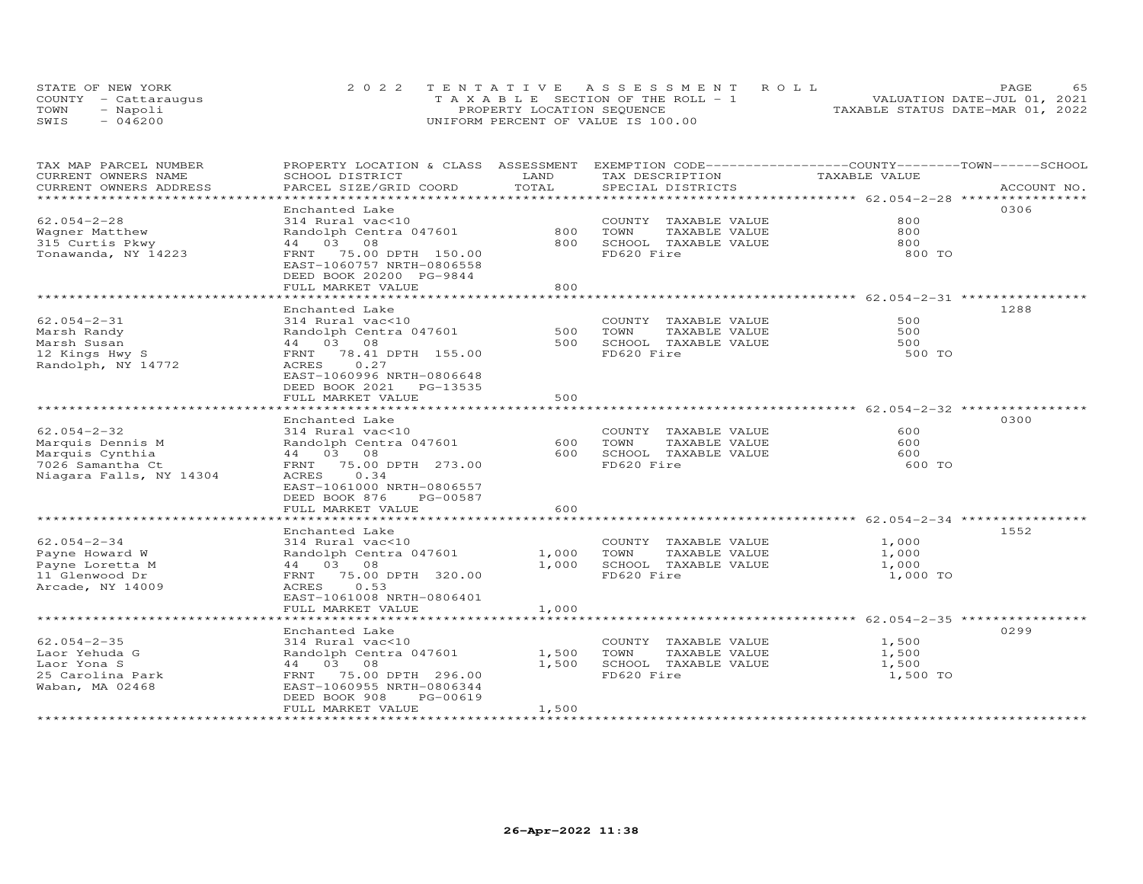|      | STATE OF NEW YORK    | 2022 TENTATIVE ASSESSMENT ROLL        | <b>PAGE</b>                      |
|------|----------------------|---------------------------------------|----------------------------------|
|      | COUNTY - Cattarauqus | T A X A B L E SECTION OF THE ROLL - 1 | VALUATION DATE-JUL 01, 2021      |
| TOWN | Napoli               | PROPERTY LOCATION SEQUENCE            | TAXABLE STATUS DATE-MAR 01, 2022 |
| SWIS | 046200               | UNIFORM PERCENT OF VALUE IS 100.00    |                                  |

| TAX MAP PARCEL NUMBER<br>CURRENT OWNERS NAME                                                            | SCHOOL DISTRICT                                                                                                                | LAND           | PROPERTY LOCATION & CLASS ASSESSMENT EXEMPTION CODE-----------------COUNTY-------TOWN------SCHOOL<br>TAX DESCRIPTION | TAXABLE VALUE                            |             |
|---------------------------------------------------------------------------------------------------------|--------------------------------------------------------------------------------------------------------------------------------|----------------|----------------------------------------------------------------------------------------------------------------------|------------------------------------------|-------------|
| CURRENT OWNERS ADDRESS                                                                                  | PARCEL SIZE/GRID COORD                                                                                                         | TOTAL          | SPECIAL DISTRICTS                                                                                                    |                                          | ACCOUNT NO. |
| ******************************                                                                          |                                                                                                                                |                |                                                                                                                      |                                          |             |
| $62.054 - 2 - 28$<br>Wagner Matthew                                                                     | Enchanted Lake<br>314 Rural vac<10<br>Randolph Centra 047601                                                                   | 800            | COUNTY TAXABLE VALUE<br>TOWN<br>TAXABLE VALUE                                                                        | 800<br>800                               | 0306        |
| 315 Curtis Pkwy<br>Tonawanda, NY 14223                                                                  | 44 03 08<br>75.00 DPTH 150.00<br>FRNT<br>EAST-1060757 NRTH-0806558<br>DEED BOOK 20200 PG-9844<br>FULL MARKET VALUE             | 800<br>800     | SCHOOL TAXABLE VALUE<br>FD620 Fire                                                                                   | 800<br>800 TO                            |             |
|                                                                                                         |                                                                                                                                |                |                                                                                                                      |                                          |             |
| $62.054 - 2 - 31$                                                                                       | Enchanted Lake<br>314 Rural vac<10                                                                                             |                | COUNTY TAXABLE VALUE                                                                                                 | 500                                      | 1288        |
| Marsh Randy<br>Marsh Susan                                                                              | Randolph Centra 047601<br>44 03 08                                                                                             | 500<br>500     | TAXABLE VALUE<br>TOWN<br>SCHOOL TAXABLE VALUE                                                                        | 500<br>500                               |             |
| 12 Kings Hwy S<br>Randolph, NY 14772                                                                    | FRNT 78.41 DPTH 155.00<br>0.27<br>ACRES<br>EAST-1060996 NRTH-0806648<br>DEED BOOK 2021<br>PG-13535<br>FULL MARKET VALUE        | 500            | FD620 Fire                                                                                                           | 500 TO                                   |             |
|                                                                                                         |                                                                                                                                |                |                                                                                                                      | ***************** 62.054-2-32 ********** |             |
|                                                                                                         | Enchanted Lake                                                                                                                 |                |                                                                                                                      |                                          | 0300        |
| $62.054 - 2 - 32$<br>Marquis Dennis M<br>Marquis Cynthia<br>7026 Samantha Ct<br>Niagara Falls, NY 14304 | 314 Rural vac<10<br>Randolph Centra 047601<br>44 03 08<br>FRNT 75.00 DPTH 273.00<br>ACRES<br>0.34<br>EAST-1061000 NRTH-0806557 | 600<br>600     | COUNTY TAXABLE VALUE<br>TOWN<br>TAXABLE VALUE<br>SCHOOL TAXABLE VALUE<br>FD620 Fire                                  | 600<br>600<br>600<br>600 TO              |             |
|                                                                                                         | DEED BOOK 876<br>PG-00587<br>FULL MARKET VALUE                                                                                 | 600            |                                                                                                                      |                                          |             |
|                                                                                                         |                                                                                                                                |                |                                                                                                                      |                                          |             |
|                                                                                                         | Enchanted Lake                                                                                                                 |                |                                                                                                                      |                                          | 1552        |
| $62.054 - 2 - 34$<br>Payne Howard W<br>Payne Loretta M<br>11 Glenwood Dr<br>Arcade, NY 14009            | 314 Rural vac<10<br>Randolph Centra 047601<br>44 03 08<br>FRNT 75.00 DPTH 320.00<br>0.53<br>ACRES                              | 1,000<br>1,000 | COUNTY TAXABLE VALUE<br>TAXABLE VALUE<br>TOWN<br>SCHOOL TAXABLE VALUE<br>FD620 Fire                                  | 1,000<br>1,000<br>1,000<br>1,000 TO      |             |
|                                                                                                         | EAST-1061008 NRTH-0806401<br>FULL MARKET VALUE                                                                                 | 1,000          |                                                                                                                      |                                          |             |
|                                                                                                         |                                                                                                                                |                | ******************************** 62.054-2-35 ****************                                                        |                                          |             |
| $62.054 - 2 - 35$                                                                                       | Enchanted Lake<br>314 Rural vac<10                                                                                             |                | COUNTY TAXABLE VALUE                                                                                                 | 1,500<br>1,500                           | 0299        |
| Laor Yehuda G<br>Laor Yona S<br>25 Carolina Park<br>Waban, MA 02468                                     | Randolph Centra 047601<br>44 03 08<br>75.00 DPTH 296.00<br>FRNT<br>EAST-1060955 NRTH-0806344<br>DEED BOOK 908<br>PG-00619      | 1,500<br>1,500 | TOWN<br>TAXABLE VALUE<br>SCHOOL TAXABLE VALUE<br>FD620 Fire                                                          | 1,500<br>1,500 TO                        |             |
|                                                                                                         | FULL MARKET VALUE                                                                                                              | 1,500          |                                                                                                                      |                                          |             |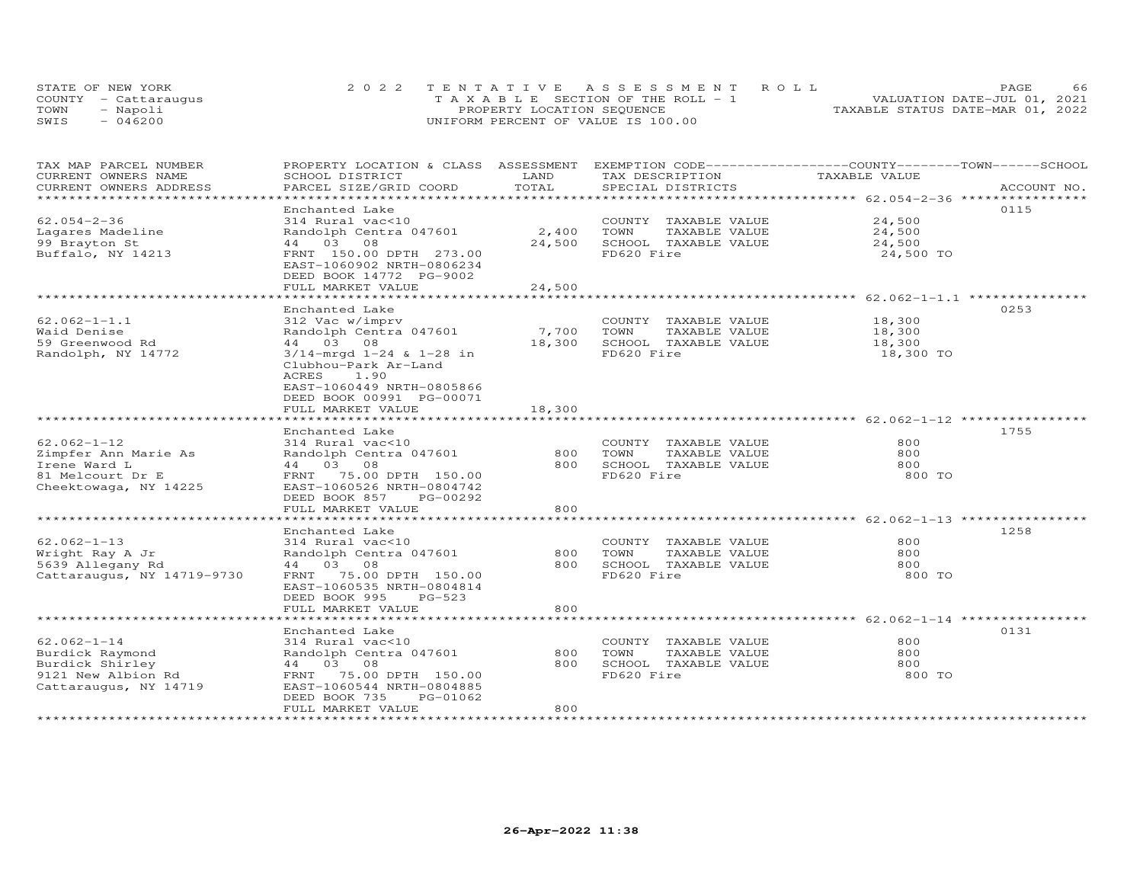|      | STATE OF NEW YORK    | 2022 TENTATIVE ASSESSMENT ROLL        | 66<br>PAGE.                      |
|------|----------------------|---------------------------------------|----------------------------------|
|      | COUNTY - Cattarauqus | T A X A B L E SECTION OF THE ROLL - 1 | VALUATION DATE-JUL 01, 2021      |
| TOWN | - Napoli             | PROPERTY LOCATION SEQUENCE            | TAXABLE STATUS DATE-MAR 01, 2022 |
| SWIS | $-046200$            | UNIFORM PERCENT OF VALUE IS 100.00    |                                  |

| TAX MAP PARCEL NUMBER<br>CURRENT OWNERS NAME | PROPERTY LOCATION & CLASS ASSESSMENT EXEMPTION CODE----------------COUNTY-------TOWN-----SCHOOL<br>SCHOOL DISTRICT | LAND            | TAX DESCRIPTION                               | TAXABLE VALUE    |             |
|----------------------------------------------|--------------------------------------------------------------------------------------------------------------------|-----------------|-----------------------------------------------|------------------|-------------|
| CURRENT OWNERS ADDRESS                       | PARCEL SIZE/GRID COORD                                                                                             | TOTAL           | SPECIAL DISTRICTS                             |                  | ACCOUNT NO. |
|                                              |                                                                                                                    |                 |                                               |                  |             |
|                                              | Enchanted Lake                                                                                                     |                 |                                               |                  | 0115        |
| $62.054 - 2 - 36$                            | 314 Rural vac<10                                                                                                   |                 | COUNTY TAXABLE VALUE                          | 24,500           |             |
| Lagares Madeline                             | Randolph Centra 047601                                                                                             | 2,400           | TOWN<br>TAXABLE VALUE                         | 24,500           |             |
| 99 Brayton St                                | 44 03<br>08                                                                                                        | 24,500          | SCHOOL TAXABLE VALUE                          | 24,500           |             |
| Buffalo, NY 14213                            | FRNT 150.00 DPTH 273.00<br>EAST-1060902 NRTH-0806234<br>DEED BOOK 14772 PG-9002                                    |                 | FD620 Fire                                    | 24,500 TO        |             |
|                                              | FULL MARKET VALUE                                                                                                  | 24,500          |                                               |                  |             |
|                                              |                                                                                                                    |                 |                                               |                  |             |
|                                              | Enchanted Lake                                                                                                     |                 |                                               |                  | 0253        |
| $62.062 - 1 - 1.1$                           | 312 Vac w/imprv                                                                                                    |                 | COUNTY TAXABLE VALUE                          | 18,300           |             |
| Waid Denise<br>59 Greenwood Rd               | Randolph Centra 047601<br>44 03 08                                                                                 | 7,700<br>18,300 | TOWN<br>TAXABLE VALUE<br>SCHOOL TAXABLE VALUE | 18,300<br>18,300 |             |
| Randolph, NY 14772                           | $3/14$ -mrgd $1-24$ & $1-28$ in                                                                                    |                 | FD620 Fire                                    | 18,300 TO        |             |
|                                              | Clubhou-Park Ar-Land<br>ACRES<br>1.90<br>EAST-1060449 NRTH-0805866<br>DEED BOOK 00991 PG-00071                     |                 |                                               |                  |             |
|                                              | FULL MARKET VALUE                                                                                                  | 18,300          |                                               |                  |             |
|                                              |                                                                                                                    |                 |                                               |                  |             |
|                                              | Enchanted Lake                                                                                                     |                 |                                               |                  | 1755        |
| $62.062 - 1 - 12$                            | 314 Rural vac<10                                                                                                   |                 | COUNTY TAXABLE VALUE                          | 800              |             |
| Zimpfer Ann Marie As                         | Randolph Centra 047601                                                                                             | 800             | TOWN<br>TAXABLE VALUE                         | 800              |             |
| Irene Ward L                                 | 44 03 08                                                                                                           | 800             | SCHOOL TAXABLE VALUE                          | 800              |             |
| 81 Melcourt Dr E<br>Cheektowaga, NY 14225    | FRNT 75.00 DPTH 150.00<br>EAST-1060526 NRTH-0804742<br>DEED BOOK 857<br>PG-00292                                   |                 | FD620 Fire                                    | 800 TO           |             |
|                                              | FULL MARKET VALUE                                                                                                  | 800             |                                               |                  |             |
|                                              | Enchanted Lake                                                                                                     |                 |                                               |                  | 1258        |
| $62.062 - 1 - 13$                            | 314 Rural vac<10                                                                                                   |                 | COUNTY TAXABLE VALUE                          | 800              |             |
| Wright Ray A Jr                              | Randolph Centra 047601                                                                                             | 800             | TAXABLE VALUE<br>TOWN                         | 800              |             |
| 5639 Allegany Rd                             | 44 03 08                                                                                                           | 800             | SCHOOL TAXABLE VALUE                          | 800              |             |
| Cattaraugus, NY 14719-9730                   | FRNT 75.00 DPTH 150.00<br>EAST-1060535 NRTH-0804814<br>DEED BOOK 995<br>$PG-523$<br>FULL MARKET VALUE              | 800             | FD620 Fire                                    | 800 TO           |             |
|                                              |                                                                                                                    |                 |                                               |                  |             |
|                                              | Enchanted Lake                                                                                                     |                 |                                               |                  | 0131        |
| $62.062 - 1 - 14$                            | 314 Rural vac<10                                                                                                   |                 | COUNTY TAXABLE VALUE                          | 800              |             |
| Burdick Raymond                              | Randolph Centra 047601                                                                                             | 800             | TOWN<br>TAXABLE VALUE                         | 800              |             |
| Burdick Shirley                              | 44 03 08                                                                                                           | 800             | SCHOOL TAXABLE VALUE                          | 800              |             |
| 9121 New Albion Rd<br>Cattaraugus, NY 14719  | FRNT 75.00 DPTH 150.00<br>EAST-1060544 NRTH-0804885<br>DEED BOOK 735<br>PG-01062                                   |                 | FD620 Fire                                    | 800 TO           |             |
|                                              | FULL MARKET VALUE                                                                                                  | 800             |                                               |                  |             |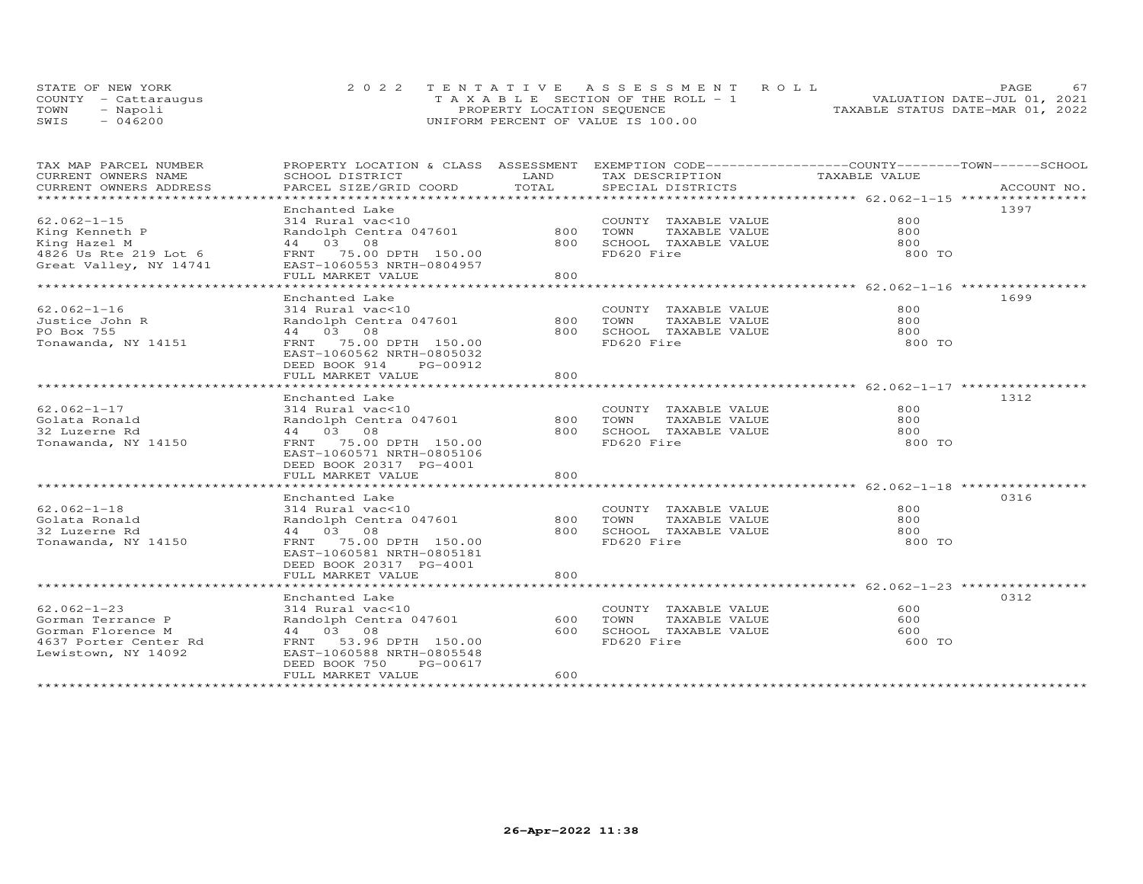|      | STATE OF NEW YORK    | 2022 TENTATIVE ASSESSMENT ROLL        | PAGE                             |
|------|----------------------|---------------------------------------|----------------------------------|
|      | COUNTY - Cattaraugus | T A X A B L E SECTION OF THE ROLL - 1 | VALUATION DATE-JUL 01, 2021      |
| TOWN | - Napoli             | PROPERTY LOCATION SEQUENCE            | TAXABLE STATUS DATE-MAR 01, 2022 |
| SWIS | 046200               | UNIFORM PERCENT OF VALUE IS 100.00    |                                  |

| TAX MAP PARCEL NUMBER<br>CURRENT OWNERS NAME<br>CURRENT OWNERS ADDRESS<br>******************************    | PROPERTY LOCATION & CLASS ASSESSMENT EXEMPTION CODE----------------COUNTY-------TOWN------SCHOOL<br>SCHOOL DISTRICT<br>PARCEL SIZE/GRID COORD                                     | LAND<br>TOTAL     | TAX DESCRIPTION<br>SPECIAL DISTRICTS                                                    | TAXABLE VALUE               | ACCOUNT NO. |
|-------------------------------------------------------------------------------------------------------------|-----------------------------------------------------------------------------------------------------------------------------------------------------------------------------------|-------------------|-----------------------------------------------------------------------------------------|-----------------------------|-------------|
| $62.062 - 1 - 15$<br>King Kenneth P<br>King Hazel M<br>4826 Us Rte 219 Lot 6<br>Great Valley, NY 14741      | Enchanted Lake<br>314 Rural vac<10<br>Randolph Centra 047601 800<br>44 03 08<br>FRNT 75.00 DPTH 150.00<br>EAST-1060553 NRTH-0804957<br>FULL MARKET VALUE                          | 800               | COUNTY TAXABLE VALUE<br>TOWN<br>TAXABLE VALUE<br>800 SCHOOL TAXABLE VALUE<br>FD620 Fire | 800<br>800<br>800<br>800 TO | 1397        |
| $62.062 - 1 - 16$<br>Justice John R<br>PO Box 755<br>Tonawanda, NY 14151                                    | Enchanted Lake<br>314 Rural vac<10<br>Randolph Centra 047601<br>44 03 08<br>FRNT 75.00 DPTH 150.00<br>EAST-1060562 NRTH-0805032<br>DEED BOOK 914<br>PG-00912<br>FULL MARKET VALUE | 800 TOWN<br>800   | COUNTY TAXABLE VALUE<br>TAXABLE VALUE<br>800 SCHOOL TAXABLE VALUE<br>FD620 Fire         | 800<br>800<br>800<br>800 TO | 1699        |
| $62.062 - 1 - 17$<br>Golata Ronald<br>32 Luzerne Rd<br>Tonawanda, NY 14150                                  | Enchanted Lake<br>314 Rural vac<10<br>Randolph Centra 047601<br>44 03 08<br>FRNT 75.00 DPTH 150.00<br>EAST-1060571 NRTH-0805106<br>DEED BOOK 20317 PG-4001<br>FULL MARKET VALUE   | 800<br>800<br>800 | COUNTY TAXABLE VALUE<br>TAXABLE VALUE<br>TOWN<br>SCHOOL TAXABLE VALUE<br>FD620 Fire     | 800<br>800<br>800<br>800 TO | 1312        |
| $62.062 - 1 - 18$<br>Golata Ronald<br>32 Luzerne Rd<br>Tonawanda, NY 14150                                  | Enchanted Lake<br>314 Rural vac<10<br>Randolph Centra 047601<br>44 03 08<br>FRNT 75.00 DPTH 150.00<br>EAST-1060581 NRTH-0805181<br>DEED BOOK 20317 PG-4001<br>FULL MARKET VALUE   | 800<br>800<br>800 | COUNTY TAXABLE VALUE<br>TOWN<br>TAXABLE VALUE<br>SCHOOL TAXABLE VALUE<br>FD620 Fire     | 800<br>800<br>800<br>800 TO | 0316        |
| $62.062 - 1 - 23$<br>Gorman Terrance P<br>Gorman Florence M<br>4637 Porter Center Rd<br>Lewistown, NY 14092 | Enchanted Lake<br>314 Rural vac<10<br>Randolph Centra 047601<br>44 03 08<br>FRNT 53.96 DPTH 150.00<br>EAST-1060588 NRTH-0805548<br>DEED BOOK 750<br>PG-00617<br>FULL MARKET VALUE | 600<br>600<br>600 | COUNTY TAXABLE VALUE<br>TOWN<br>TAXABLE VALUE<br>SCHOOL TAXABLE VALUE<br>FD620 Fire     | 600<br>600<br>600<br>600 TO | 0312        |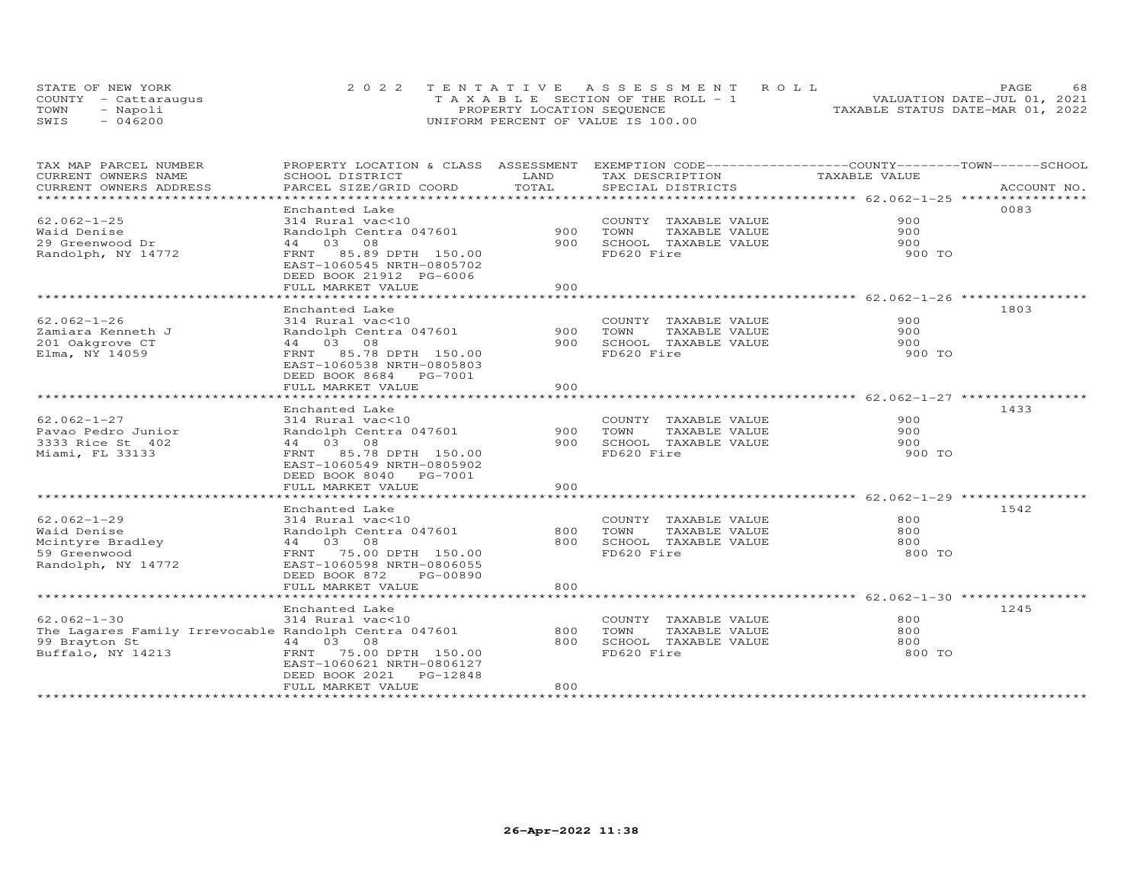|      | STATE OF NEW YORK    | 2022 TENTATIVE ASSESSMENT ROLL        | 68<br><b>PAGE</b>                |
|------|----------------------|---------------------------------------|----------------------------------|
|      | COUNTY - Cattaraugus | T A X A B L E SECTION OF THE ROLL - 1 | VALUATION DATE-JUL 01, 2021      |
| TOWN | Napoli               | PROPERTY LOCATION SEQUENCE            | TAXABLE STATUS DATE-MAR 01, 2022 |
| SWIS | 046200               | UNIFORM PERCENT OF VALUE IS 100.00    |                                  |

| TAX MAP PARCEL NUMBER                                 | PROPERTY LOCATION & CLASS ASSESSMENT EXEMPTION CODE----------------COUNTY-------TOWN------SCHOOL |            |                                    |               |             |
|-------------------------------------------------------|--------------------------------------------------------------------------------------------------|------------|------------------------------------|---------------|-------------|
| CURRENT OWNERS NAME                                   | SCHOOL DISTRICT                                                                                  | LAND       | TAX DESCRIPTION                    | TAXABLE VALUE |             |
| CURRENT OWNERS ADDRESS<br>*********************       | PARCEL SIZE/GRID COORD                                                                           | TOTAL      | SPECIAL DISTRICTS                  |               | ACCOUNT NO. |
|                                                       | Enchanted Lake                                                                                   |            |                                    |               | 0083        |
| $62.062 - 1 - 25$                                     | 314 Rural vac<10                                                                                 |            | COUNTY TAXABLE VALUE               | 900           |             |
| Waid Denise                                           | Randolph Centra 047601                                                                           | 900        | TOWN<br>TAXABLE VALUE              | 900           |             |
| 29 Greenwood Dr                                       | 44 03 08                                                                                         | 900        | SCHOOL TAXABLE VALUE               | 900           |             |
| Randolph, NY 14772                                    | FRNT 85.89 DPTH 150.00                                                                           |            | FD620 Fire                         | 900 TO        |             |
|                                                       | EAST-1060545 NRTH-0805702                                                                        |            |                                    |               |             |
|                                                       | DEED BOOK 21912 PG-6006                                                                          |            |                                    |               |             |
|                                                       | FULL MARKET VALUE                                                                                | 900        |                                    |               |             |
|                                                       |                                                                                                  |            |                                    |               |             |
|                                                       | Enchanted Lake                                                                                   |            |                                    |               | 1803        |
| $62.062 - 1 - 26$                                     | 314 Rural vac<10                                                                                 |            | COUNTY TAXABLE VALUE               | 900           |             |
| Zamiara Kenneth J                                     | Randolph Centra 047601                                                                           | 900        | TOWN<br>TAXABLE VALUE              | 900           |             |
| 201 Oakgrove CT                                       | 44 03 08                                                                                         | 900        | SCHOOL TAXABLE VALUE               | 900           |             |
| Elma, NY 14059                                        | FRNT 85.78 DPTH 150.00                                                                           |            | FD620 Fire                         | 900 TO        |             |
|                                                       | EAST-1060538 NRTH-0805803                                                                        |            |                                    |               |             |
|                                                       | DEED BOOK 8684 PG-7001                                                                           |            |                                    |               |             |
|                                                       | FULL MARKET VALUE                                                                                | 900        |                                    |               |             |
|                                                       |                                                                                                  |            |                                    |               |             |
|                                                       | Enchanted Lake                                                                                   |            |                                    |               | 1433        |
| $62.062 - 1 - 27$                                     | 314 Rural vac<10                                                                                 |            | COUNTY TAXABLE VALUE               | 900           |             |
| Pavao Pedro Junior                                    | Randolph Centra 047601                                                                           | 900 TOWN   | TAXABLE VALUE                      | 900           |             |
| 3333 Rice St 402                                      | 44 03 08                                                                                         |            | 900 SCHOOL TAXABLE VALUE           | 900           |             |
| Miami, FL 33133                                       | FRNT 85.78 DPTH 150.00                                                                           |            | FD620 Fire                         | 900 TO        |             |
|                                                       | EAST-1060549 NRTH-0805902                                                                        |            |                                    |               |             |
|                                                       | DEED BOOK 8040 PG-7001                                                                           |            |                                    |               |             |
|                                                       | FULL MARKET VALUE                                                                                | 900        |                                    |               |             |
|                                                       |                                                                                                  |            |                                    |               |             |
|                                                       | Enchanted Lake                                                                                   |            |                                    |               | 1542        |
| $62.062 - 1 - 29$                                     | 314 Rural vac<10                                                                                 |            | COUNTY TAXABLE VALUE               | 800           |             |
| Waid Denise                                           | Randolph Centra 047601                                                                           | 800<br>800 | TOWN<br>TAXABLE VALUE              | 800           |             |
| Mcintyre Bradley<br>59 Greenwood                      | 44 03 08<br>FRNT 75.00 DPTH 150.00                                                               |            | SCHOOL TAXABLE VALUE<br>FD620 Fire | 800<br>800 TO |             |
| Randolph, NY 14772                                    | EAST-1060598 NRTH-0806055                                                                        |            |                                    |               |             |
|                                                       | DEED BOOK 872<br>PG-00890                                                                        |            |                                    |               |             |
|                                                       | FULL MARKET VALUE                                                                                | 800        |                                    |               |             |
|                                                       |                                                                                                  |            |                                    |               |             |
|                                                       | Enchanted Lake                                                                                   |            |                                    |               | 1245        |
| $62.062 - 1 - 30$                                     | 314 Rural vac<10                                                                                 |            | COUNTY TAXABLE VALUE               | 800           |             |
| The Lagares Family Irrevocable Randolph Centra 047601 |                                                                                                  | 800        | TAXABLE VALUE<br>TOWN              | 800           |             |
| 99 Brayton St                                         | 44 03 08                                                                                         | 800        | SCHOOL TAXABLE VALUE               | 800           |             |
| Buffalo, NY 14213                                     | FRNT 75.00 DPTH 150.00                                                                           |            | FD620 Fire                         | 800 TO        |             |
|                                                       | EAST-1060621 NRTH-0806127                                                                        |            |                                    |               |             |
|                                                       | PG-12848<br>DEED BOOK 2021                                                                       |            |                                    |               |             |
|                                                       | FULL MARKET VALUE                                                                                | 800        |                                    |               |             |
|                                                       |                                                                                                  |            |                                    |               |             |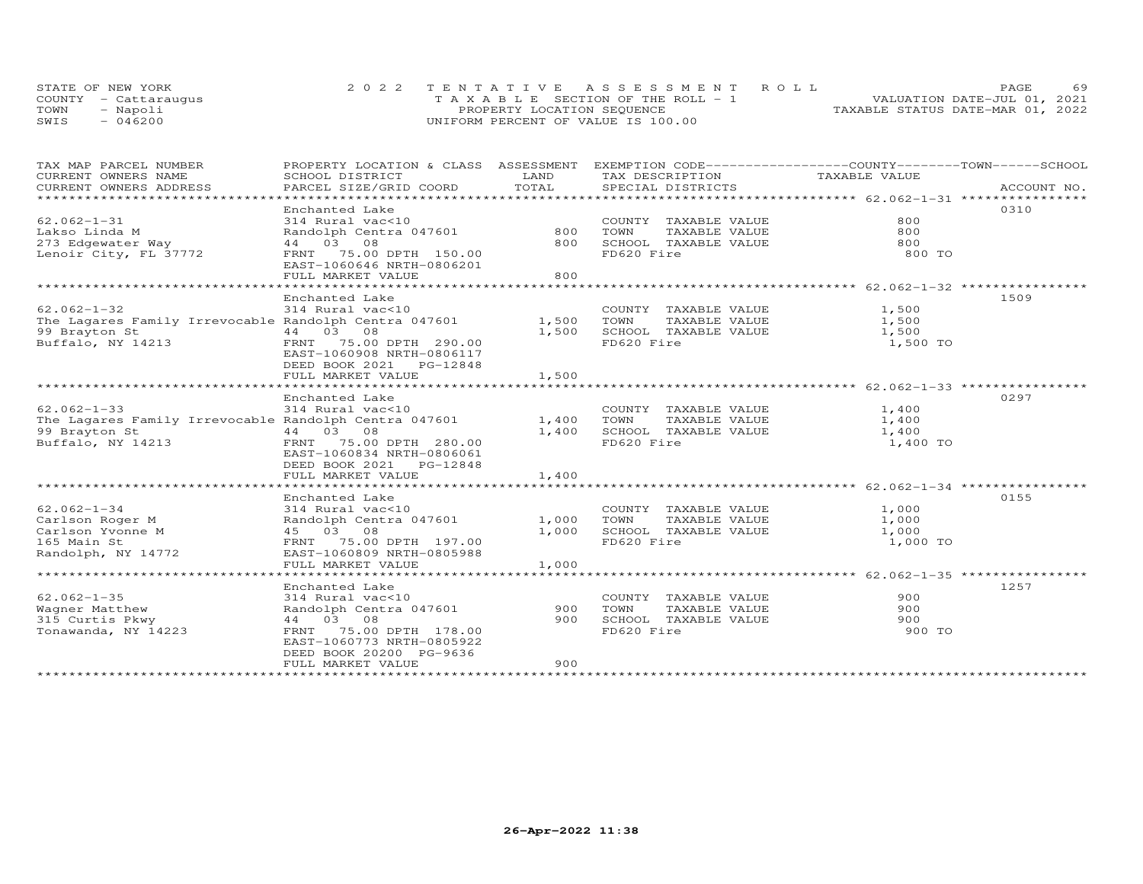|      | STATE OF NEW YORK    | 2022 TENTATIVE ASSESSMENT ROLL        | PAGE                             | 69 |
|------|----------------------|---------------------------------------|----------------------------------|----|
|      | COUNTY - Cattaraugus | T A X A B L E SECTION OF THE ROLL - 1 | VALUATION DATE-JUL 01, 2021      |    |
| TOWN | Napoli               | PROPERTY LOCATION SEQUENCE            | TAXABLE STATUS DATE-MAR 01, 2022 |    |
| SWIS | 046200               | UNIFORM PERCENT OF VALUE IS 100.00    |                                  |    |

| TAX MAP PARCEL NUMBER<br>CURRENT OWNERS NAME<br>CURRENT OWNERS ADDRESS                                                 | SCHOOL DISTRICT                                                                                                                                                                 | LAND                    | TAX DESCRIPTION                                                                     | PROPERTY LOCATION & CLASS ASSESSMENT EXEMPTION CODE----------------COUNTY-------TOWN-----SCHOOL<br>TAXABLE VALUE |
|------------------------------------------------------------------------------------------------------------------------|---------------------------------------------------------------------------------------------------------------------------------------------------------------------------------|-------------------------|-------------------------------------------------------------------------------------|------------------------------------------------------------------------------------------------------------------|
| $62.062 - 1 - 31$<br>Lakso Linda M<br>273 Edgewater Way<br>Lenoir City, FL 37772                                       | Enchanted Lake<br>314 Rural vac<10<br>Randolph Centra 047601<br>44 03 08<br>FRNT 75.00 DPTH 150.00<br>EAST-1060646 NRTH-0806201<br>FULL MARKET VALUE                            | 800<br>800<br>800       | COUNTY TAXABLE VALUE<br>TOWN<br>TAXABLE VALUE<br>SCHOOL TAXABLE VALUE<br>FD620 Fire | 0310<br>800<br>800<br>800<br>800 TO                                                                              |
| $62.062 - 1 - 32$<br>The Lagares Family Irrevocable Randolph Centra 047601<br>99 Brayton St<br>Buffalo, NY 14213       | Enchanted Lake<br>314 Rural vac<10<br>44 03 08<br>FRNT 75.00 DPTH 290.00<br>EAST-1060908 NRTH-0806117<br>DEED BOOK 2021 PG-12848<br>FULL MARKET VALUE                           | 1,500<br>1,500<br>1,500 | COUNTY TAXABLE VALUE<br>TOWN<br>TAXABLE VALUE<br>SCHOOL TAXABLE VALUE<br>FD620 Fire | 1509<br>1,500<br>1,500<br>1,500<br>1,500 TO                                                                      |
| $62.062 - 1 - 33$<br>The Lagares Family Irrevocable Randolph Centra 047601 1,400<br>99 Brayton St<br>Buffalo, NY 14213 | Enchanted Lake<br>314 Rural vac<10<br>44 03 08<br>FRNT 75.00 DPTH 280.00<br>EAST-1060834 NRTH-0806061<br>FULL MARKET VALUE                                                      | 1,400<br>1,400          | COUNTY TAXABLE VALUE<br>TOWN<br>TAXABLE VALUE<br>SCHOOL TAXABLE VALUE<br>FD620 Fire | 0297<br>1,400<br>1,400<br>1,400<br>1,400 TO                                                                      |
| $62.062 - 1 - 34$<br>Carlson Roger M<br>Carlson Yvonne M<br>165 Main St<br>Randolph, NY 14772                          | Enchanted Lake<br>314 Rural vac<10<br>Randolph Centra 047601<br>45 03 08<br>FRNT 75.00 DPTH 197.00<br>EAST-1060809 NRTH-0805988<br>FULL MARKET VALUE                            | 1,000<br>1,000<br>1,000 | COUNTY TAXABLE VALUE<br>TOWN<br>TAXABLE VALUE<br>SCHOOL TAXABLE VALUE<br>FD620 Fire | 0155<br>1,000<br>1,000<br>1,000<br>1,000 TO                                                                      |
| $62.062 - 1 - 35$<br>Wagner Matthew<br>315 Curtis Pkwy<br>Tonawanda, NY 14223                                          | Enchanted Lake<br>314 Rural vac<10<br>Randolph Centra 047601<br>44 03 08<br>FRNT 75.00 DPTH 178.00<br>EAST-1060773 NRTH-0805922<br>DEED BOOK 20200 PG-9636<br>FULL MARKET VALUE | 900<br>900<br>900       | COUNTY TAXABLE VALUE<br>TOWN<br>TAXABLE VALUE<br>SCHOOL TAXABLE VALUE<br>FD620 Fire | 1257<br>900<br>900<br>900<br>900 TO                                                                              |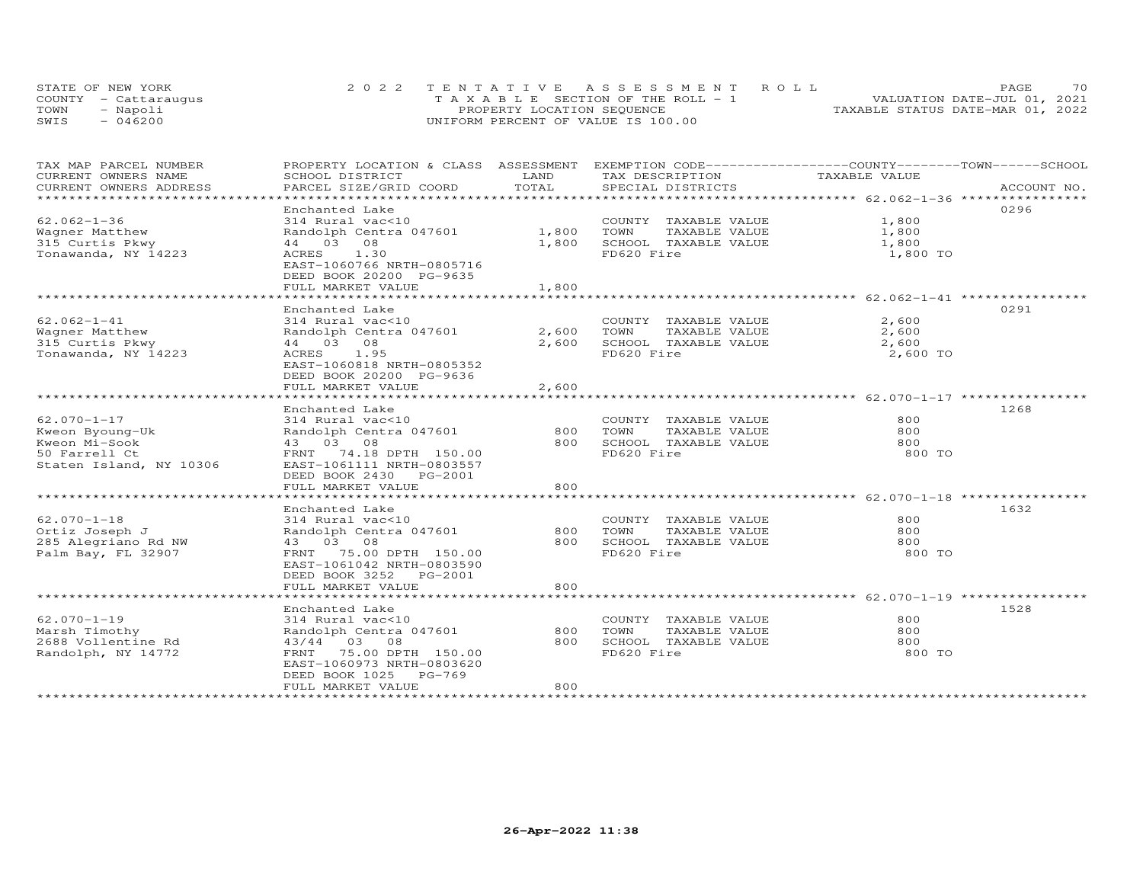|      | STATE OF NEW YORK    | 2022 TENTATIVE ASSESSMENT ROLL        | 70<br><b>PAGE</b>                |
|------|----------------------|---------------------------------------|----------------------------------|
|      | COUNTY - Cattaraugus | T A X A B L E SECTION OF THE ROLL - 1 | VALUATION DATE-JUL 01, 2021      |
| TOWN | - Napoli             | PROPERTY LOCATION SEQUENCE            | TAXABLE STATUS DATE-MAR 01, 2022 |
| SWIS | $-046200$            | UNIFORM PERCENT OF VALUE IS 100.00    |                                  |

| TAX MAP PARCEL NUMBER                         |                                           |               | PROPERTY LOCATION & CLASS ASSESSMENT EXEMPTION CODE-----------------COUNTY-------TOWN------SCHOOL |               |             |
|-----------------------------------------------|-------------------------------------------|---------------|---------------------------------------------------------------------------------------------------|---------------|-------------|
| CURRENT OWNERS NAME<br>CURRENT OWNERS ADDRESS | SCHOOL DISTRICT<br>PARCEL SIZE/GRID COORD | LAND<br>TOTAL | TAX DESCRIPTION<br>SPECIAL DISTRICTS                                                              | TAXABLE VALUE | ACCOUNT NO. |
| ***********************                       |                                           |               |                                                                                                   |               |             |
|                                               | Enchanted Lake                            |               |                                                                                                   |               | 0296        |
| $62.062 - 1 - 36$                             | 314 Rural vac<10                          |               | COUNTY TAXABLE VALUE                                                                              | 1,800         |             |
| Wagner Matthew                                | Randolph Centra 047601                    | 1,800         | TAXABLE VALUE<br>TOWN                                                                             | 1,800         |             |
| 315 Curtis Pkwy                               | 44 03 08                                  | 1,800         | SCHOOL TAXABLE VALUE                                                                              | 1,800         |             |
| Tonawanda, NY 14223                           | ACRES<br>1.30                             |               | FD620 Fire                                                                                        | 1,800 TO      |             |
|                                               | EAST-1060766 NRTH-0805716                 |               |                                                                                                   |               |             |
|                                               | DEED BOOK 20200 PG-9635                   |               |                                                                                                   |               |             |
|                                               | FULL MARKET VALUE                         | 1,800         |                                                                                                   |               |             |
|                                               |                                           |               |                                                                                                   |               |             |
|                                               | Enchanted Lake                            |               |                                                                                                   |               | 0291        |
| $62.062 - 1 - 41$                             | 314 Rural vac<10                          |               | COUNTY TAXABLE VALUE                                                                              | 2,600         |             |
| Wagner Matthew                                | Randolph Centra 047601                    | 2,600 TOWN    | TAXABLE VALUE                                                                                     | 2,600         |             |
| 315 Curtis Pkwy                               | 44 03 08                                  | 2,600         | SCHOOL TAXABLE VALUE                                                                              | 2,600         |             |
| Tonawanda, NY 14223                           | ACRES 1.95                                |               | FD620 Fire                                                                                        | 2,600 TO      |             |
|                                               | EAST-1060818 NRTH-0805352                 |               |                                                                                                   |               |             |
|                                               | DEED BOOK 20200 PG-9636                   |               |                                                                                                   |               |             |
|                                               | FULL MARKET VALUE                         | 2,600         |                                                                                                   |               |             |
|                                               |                                           |               |                                                                                                   |               |             |
|                                               | Enchanted Lake                            |               |                                                                                                   |               | 1268        |
| $62.070 - 1 - 17$                             | 314 Rural vac<10                          |               | COUNTY TAXABLE VALUE                                                                              | 800           |             |
| Kweon Byoung-Uk                               | Randolph Centra 047601                    | 800 TOWN      | TAXABLE VALUE                                                                                     | 800           |             |
| Kweon Mi-Sook                                 | 43 03 08                                  |               | 800 SCHOOL TAXABLE VALUE                                                                          | 800           |             |
| 50 Farrell Ct                                 | FRNT 74.18 DPTH 150.00                    |               | FD620 Fire                                                                                        | 800 TO        |             |
| Staten Island, NY 10306                       | EAST-1061111 NRTH-0803557                 |               |                                                                                                   |               |             |
|                                               | DEED BOOK 2430 PG-2001                    |               |                                                                                                   |               |             |
|                                               | FULL MARKET VALUE                         | 800           |                                                                                                   |               |             |
|                                               |                                           |               |                                                                                                   |               | 1632        |
| $62.070 - 1 - 18$                             | Enchanted Lake<br>314 Rural vac<10        |               | COUNTY TAXABLE VALUE                                                                              | 800           |             |
| Ortiz Joseph J                                | Randolph Centra 047601                    | 800           | TOWN<br>TAXABLE VALUE                                                                             | 800           |             |
|                                               | 43 03 08                                  | 800           | SCHOOL TAXABLE VALUE                                                                              | 800           |             |
| 285 Alegriano Rd NW<br>Palm Bay, FL 32907     | FRNT 75.00 DPTH 150.00                    |               | FD620 Fire                                                                                        | 800 TO        |             |
|                                               | EAST-1061042 NRTH-0803590                 |               |                                                                                                   |               |             |
|                                               | DEED BOOK 3252 PG-2001                    |               |                                                                                                   |               |             |
|                                               | FULL MARKET VALUE                         | 800           |                                                                                                   |               |             |
|                                               |                                           |               |                                                                                                   |               |             |
|                                               | Enchanted Lake                            |               |                                                                                                   |               | 1528        |
| $62.070 - 1 - 19$                             | 314 Rural vac<10                          |               | COUNTY TAXABLE VALUE                                                                              | 800           |             |
| Marsh Timothy                                 | Randolph Centra 047601                    | 800           | TOWN<br>TAXABLE VALUE                                                                             | 800           |             |
| 2688 Vollentine Rd                            | 43/44 03 08                               | 800           | SCHOOL TAXABLE VALUE                                                                              | 800           |             |
| Randolph, NY 14772                            | 75.00 DPTH 150.00<br>FRNT                 |               | FD620 Fire                                                                                        | 800 TO        |             |
|                                               | EAST-1060973 NRTH-0803620                 |               |                                                                                                   |               |             |
|                                               | DEED BOOK 1025 PG-769                     |               |                                                                                                   |               |             |
|                                               | FULL MARKET VALUE                         | 800           |                                                                                                   |               |             |
|                                               |                                           |               |                                                                                                   |               |             |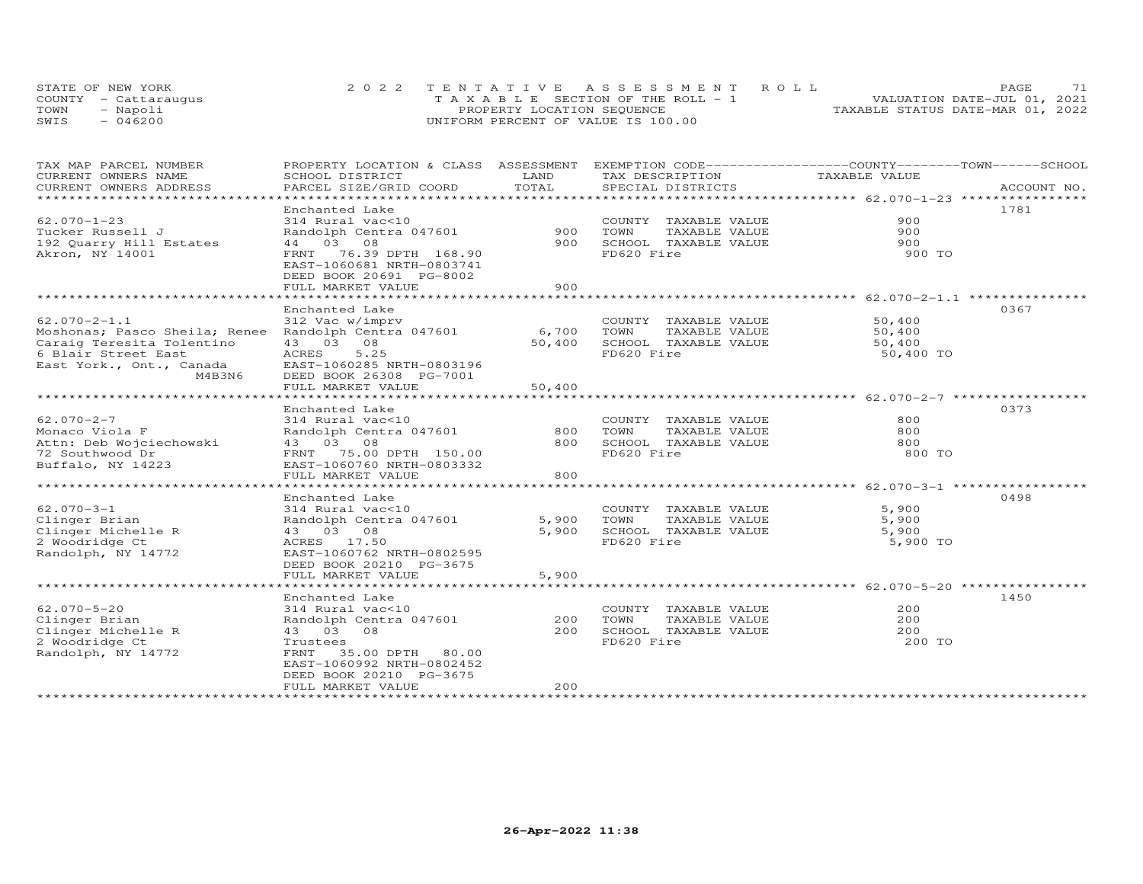|      | STATE OF NEW YORK    | 2022 TENTATIVE ASSESSMENT ROLL        | 71<br>PAGE.                      |
|------|----------------------|---------------------------------------|----------------------------------|
|      | COUNTY - Cattaraugus | T A X A B L E SECTION OF THE ROLL - 1 | VALUATION DATE-JUL 01, 2021      |
| TOWN | - Napoli             | PROPERTY LOCATION SEQUENCE            | TAXABLE STATUS DATE-MAR 01, 2022 |
| SWIS | $-046200$            | UNIFORM PERCENT OF VALUE IS 100.00    |                                  |

| TAX MAP PARCEL NUMBER         | PROPERTY LOCATION & CLASS ASSESSMENT EXEMPTION CODE----------------COUNTY-------TOWN-----SCHOOL |             |                             |               |             |
|-------------------------------|-------------------------------------------------------------------------------------------------|-------------|-----------------------------|---------------|-------------|
| CURRENT OWNERS NAME           | SCHOOL DISTRICT                                                                                 | LAND        | TAX DESCRIPTION             | TAXABLE VALUE |             |
| CURRENT OWNERS ADDRESS        | PARCEL SIZE/GRID COORD                                                                          | TOTAL       | SPECIAL DISTRICTS           |               | ACCOUNT NO. |
| ***********************       |                                                                                                 |             |                             |               |             |
|                               | Enchanted Lake                                                                                  |             |                             |               | 1781        |
| $62.070 - 1 - 23$             | 314 Rural vac<10                                                                                |             | COUNTY TAXABLE VALUE        | 900           |             |
| Tucker Russell J              | Randolph Centra 047601                                                                          | 900         | TOWN<br>TAXABLE VALUE       | 900           |             |
| 192 Quarry Hill Estates       | 44 03 08                                                                                        | 900         | SCHOOL TAXABLE VALUE        | 900           |             |
| Akron, NY 14001               | FRNT 76.39 DPTH 168.90                                                                          |             | FD620 Fire                  | 900 TO        |             |
|                               | EAST-1060681 NRTH-0803741                                                                       |             |                             |               |             |
|                               | DEED BOOK 20691 PG-8002                                                                         |             |                             |               |             |
|                               | FULL MARKET VALUE                                                                               | 900         |                             |               |             |
|                               | * * * * * * * * * * * * * * * * * * * *                                                         | *********** |                             |               |             |
|                               | Enchanted Lake                                                                                  |             |                             |               | 0367        |
| $62.070 - 2 - 1.1$            | 312 Vac w/imprv                                                                                 |             | COUNTY TAXABLE VALUE        | 50,400        |             |
| Moshonas; Pasco Sheila; Renee | Randolph Centra 047601                                                                          | 6,700       | TOWN<br>TAXABLE VALUE       | 50,400        |             |
| Caraig Teresita Tolentino     | 43 03 08                                                                                        | 50,400      | SCHOOL TAXABLE VALUE        | 50,400        |             |
| 6 Blair Street East           | ACRES<br>5.25                                                                                   |             | FD620 Fire                  | 50,400 TO     |             |
| East York., Ont., Canada      | EAST-1060285 NRTH-0803196                                                                       |             |                             |               |             |
| M4B3N6                        | DEED BOOK 26308 PG-7001                                                                         |             |                             |               |             |
|                               | FULL MARKET VALUE                                                                               | 50,400      |                             |               |             |
|                               |                                                                                                 |             |                             |               |             |
|                               | Enchanted Lake                                                                                  |             |                             |               | 0373        |
| $62.070 - 2 - 7$              | 314 Rural vac<10                                                                                |             | COUNTY TAXABLE VALUE        | 800           |             |
| Monaco Viola F                | Randolph Centra 047601                                                                          | 800         | TOWN<br>TAXABLE VALUE       | 800           |             |
| Attn: Deb Wojciechowski       | 43 03 08                                                                                        | 800         | SCHOOL TAXABLE VALUE        | 800           |             |
| 72 Southwood Dr               | FRNT 75.00 DPTH 150.00                                                                          |             | FD620 Fire                  | 800 TO        |             |
| Buffalo, NY 14223             | EAST-1060760 NRTH-0803332                                                                       |             |                             |               |             |
|                               | FULL MARKET VALUE                                                                               | 800         |                             |               |             |
|                               |                                                                                                 |             |                             |               |             |
|                               | Enchanted Lake                                                                                  |             |                             |               | 0498        |
| $62.070 - 3 - 1$              | 314 Rural vac<10                                                                                |             | COUNTY TAXABLE VALUE        | 5,900         |             |
| Clinger Brian                 | Randolph Centra 047601                                                                          |             | 5,900 TOWN<br>TAXABLE VALUE | 5,900         |             |
| Clinger Michelle R            | 43 03 08                                                                                        | 5,900       | SCHOOL TAXABLE VALUE        | 5,900         |             |
| 2 Woodridge Ct                | ACRES 17.50                                                                                     |             | FD620 Fire                  | 5,900 TO      |             |
| Randolph, NY 14772            | EAST-1060762 NRTH-0802595                                                                       |             |                             |               |             |
|                               | DEED BOOK 20210 PG-3675                                                                         |             |                             |               |             |
|                               | FULL MARKET VALUE                                                                               | 5,900       |                             |               |             |
|                               |                                                                                                 |             |                             |               |             |
|                               | Enchanted Lake                                                                                  |             |                             |               | 1450        |
| $62.070 - 5 - 20$             | 314 Rural vac<10                                                                                |             | COUNTY TAXABLE VALUE        | 200           |             |
| Clinger Brian                 | Randolph Centra 047601                                                                          | 200         | TOWN<br>TAXABLE VALUE       | 200           |             |
| Clinger Michelle R            | 43 03 08                                                                                        | 200         | SCHOOL TAXABLE VALUE        | 200           |             |
| 2 Woodridge Ct                | Trustees                                                                                        |             | FD620 Fire                  | 200 TO        |             |
|                               |                                                                                                 |             |                             |               |             |
| Randolph, NY 14772            | 35.00 DPTH 80.00<br>FRNT<br>EAST-1060992 NRTH-0802452                                           |             |                             |               |             |
|                               | DEED BOOK 20210 PG-3675                                                                         |             |                             |               |             |
|                               | FULL MARKET VALUE                                                                               | 200         |                             |               |             |
|                               |                                                                                                 |             |                             |               |             |
|                               |                                                                                                 |             |                             |               |             |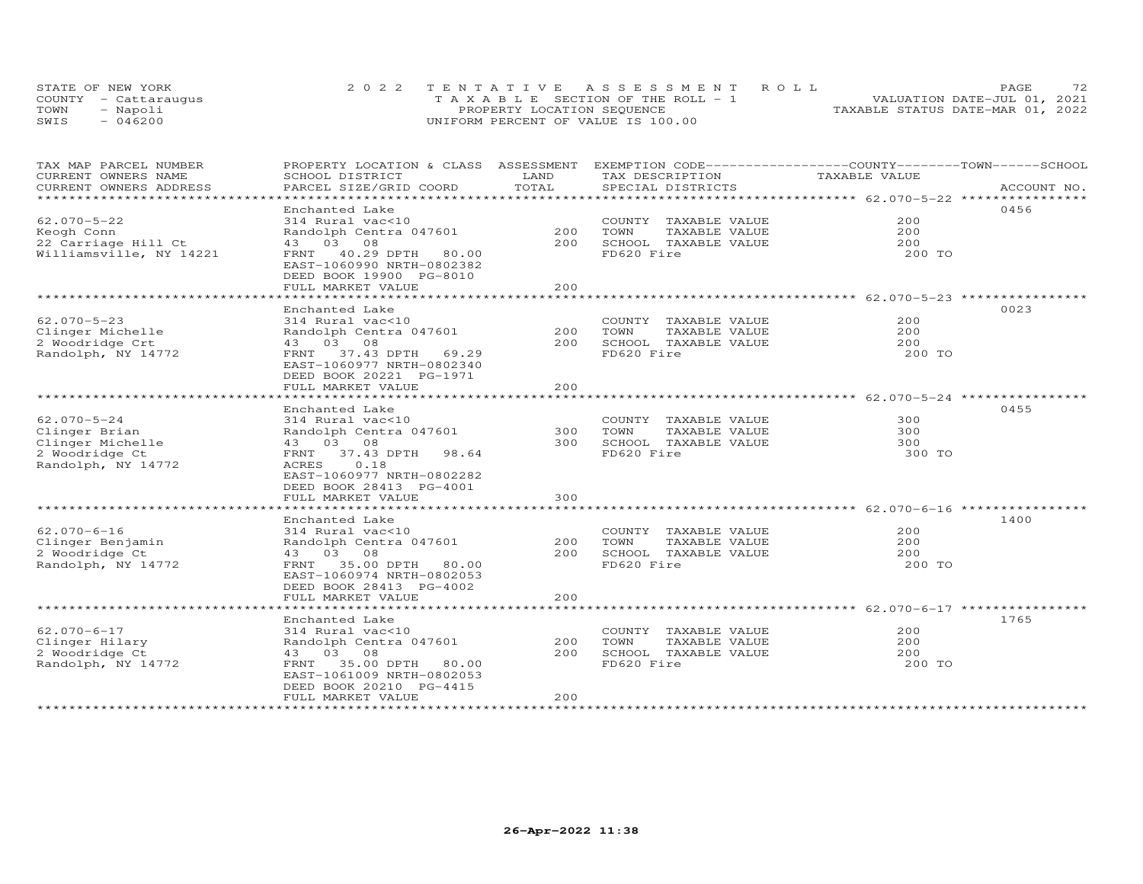|      | STATE OF NEW YORK    | 2022 TENTATIVE ASSESSMENT ROLL        | フつ<br>PAGE                       |
|------|----------------------|---------------------------------------|----------------------------------|
|      | COUNTY - Cattarauqus | T A X A B L E SECTION OF THE ROLL - 1 | VALUATION DATE-JUL 01, 2021      |
| TOWN | Napoli               | PROPERTY LOCATION SEQUENCE            | TAXABLE STATUS DATE-MAR 01, 2022 |
| SWIS | 046200               | UNIFORM PERCENT OF VALUE IS 100.00    |                                  |

| TAX MAP PARCEL NUMBER   | PROPERTY LOCATION & CLASS ASSESSMENT                     |                        | EXEMPTION CODE-----------------COUNTY-------TOWN------SCHOOL    |                                              |             |
|-------------------------|----------------------------------------------------------|------------------------|-----------------------------------------------------------------|----------------------------------------------|-------------|
| CURRENT OWNERS NAME     | SCHOOL DISTRICT                                          | LAND                   | TAX DESCRIPTION                                                 | TAXABLE VALUE                                |             |
| CURRENT OWNERS ADDRESS  | PARCEL SIZE/GRID COORD                                   | TOTAL                  | SPECIAL DISTRICTS                                               |                                              | ACCOUNT NO. |
|                         |                                                          | ****************       | ********************************* 62.070-5-22 ****************  |                                              |             |
|                         | Enchanted Lake                                           |                        |                                                                 |                                              | 0456        |
| $62.070 - 5 - 22$       | 314 Rural vac<10                                         |                        | COUNTY TAXABLE VALUE                                            | 200                                          |             |
| Keogh Conn              | Randolph Centra 047601                                   | 200                    | TOWN<br>TAXABLE VALUE                                           | 200                                          |             |
| 22 Carriage Hill Ct     | 43 03 08                                                 | 200                    | SCHOOL TAXABLE VALUE                                            | 200                                          |             |
| Williamsville, NY 14221 | FRNT<br>40.29 DPTH<br>80.00<br>EAST-1060990 NRTH-0802382 |                        | FD620 Fire                                                      | 200 TO                                       |             |
|                         | DEED BOOK 19900 PG-8010                                  |                        |                                                                 |                                              |             |
|                         | FULL MARKET VALUE                                        | 200                    |                                                                 |                                              |             |
|                         |                                                          |                        |                                                                 | ********************* 62.070-5-23 ********** |             |
|                         | Enchanted Lake                                           |                        |                                                                 |                                              | 0023        |
| $62.070 - 5 - 23$       | 314 Rural vac<10                                         |                        | COUNTY TAXABLE VALUE                                            | 200                                          |             |
| Clinger Michelle        | Randolph Centra 047601                                   | 200                    | TOWN<br>TAXABLE VALUE                                           | 200                                          |             |
| 2 Woodridge Crt         | 43 03 08                                                 | 200                    | SCHOOL TAXABLE VALUE                                            | 200                                          |             |
| Randolph, NY 14772      | FRNT<br>37.43 DPTH 69.29                                 |                        | FD620 Fire                                                      | 200 TO                                       |             |
|                         | EAST-1060977 NRTH-0802340                                |                        |                                                                 |                                              |             |
|                         | DEED BOOK 20221 PG-1971                                  |                        |                                                                 |                                              |             |
|                         | FULL MARKET VALUE                                        | 200                    |                                                                 |                                              |             |
|                         |                                                          |                        | ********************************* 62.070-5-24 ***************** |                                              |             |
|                         | Enchanted Lake                                           |                        |                                                                 |                                              | 0455        |
| $62.070 - 5 - 24$       | 314 Rural vac<10                                         |                        | COUNTY TAXABLE VALUE                                            | 300                                          |             |
| Clinger Brian           | Randolph Centra 047601                                   | 300                    | TOWN<br>TAXABLE VALUE                                           | 300                                          |             |
| Clinger Michelle        | 43 03 08                                                 | 300                    | SCHOOL TAXABLE VALUE                                            | 300                                          |             |
| 2 Woodridge Ct          | FRNT 37.43 DPTH<br>98.64                                 |                        | FD620 Fire                                                      | 300 TO                                       |             |
| Randolph, NY 14772      | 0.18<br>ACRES                                            |                        |                                                                 |                                              |             |
|                         | EAST-1060977 NRTH-0802282                                |                        |                                                                 |                                              |             |
|                         | DEED BOOK 28413 PG-4001                                  |                        |                                                                 |                                              |             |
|                         | FULL MARKET VALUE                                        | 300                    |                                                                 |                                              |             |
|                         | *******************                                      | *********              | ******************************** 62.070-6-16 ****************   |                                              |             |
|                         | Enchanted Lake                                           |                        |                                                                 |                                              | 1400        |
| $62.070 - 6 - 16$       | 314 Rural vac<10                                         |                        | COUNTY TAXABLE VALUE                                            | 200                                          |             |
| Clinger Benjamin        | Randolph Centra 047601                                   | 200                    | TOWN<br>TAXABLE VALUE                                           | 200                                          |             |
| 2 Woodridge Ct          | 43 03 08                                                 | 200                    | SCHOOL TAXABLE VALUE                                            | 200                                          |             |
| Randolph, NY 14772      | 35.00 DPTH<br>FRNT<br>80.00                              |                        | FD620 Fire                                                      | 200 TO                                       |             |
|                         | EAST-1060974 NRTH-0802053                                |                        |                                                                 |                                              |             |
|                         | DEED BOOK 28413 PG-4002                                  |                        |                                                                 |                                              |             |
|                         | FULL MARKET VALUE                                        | 200                    |                                                                 |                                              |             |
|                         | **********************                                   | ********************** |                                                                 | ************************ 62.070-6-17 ****    |             |
|                         | Enchanted Lake                                           |                        |                                                                 |                                              | 1765        |
| $62.070 - 6 - 17$       | 314 Rural vac<10                                         |                        | COUNTY TAXABLE VALUE                                            | 200                                          |             |
| Clinger Hilary          | Randolph Centra 047601                                   | 200                    | TOWN<br>TAXABLE VALUE                                           | 200                                          |             |
| 2 Woodridge Ct          | 43 03 08                                                 | 200                    | SCHOOL TAXABLE VALUE                                            | 200                                          |             |
| Randolph, NY 14772      | FRNT<br>35.00 DPTH 80.00                                 |                        | FD620 Fire                                                      | 200 TO                                       |             |
|                         | EAST-1061009 NRTH-0802053                                |                        |                                                                 |                                              |             |
|                         | DEED BOOK 20210 PG-4415                                  |                        |                                                                 |                                              |             |
|                         | FULL MARKET VALUE                                        | 200                    |                                                                 |                                              |             |
|                         |                                                          |                        |                                                                 |                                              |             |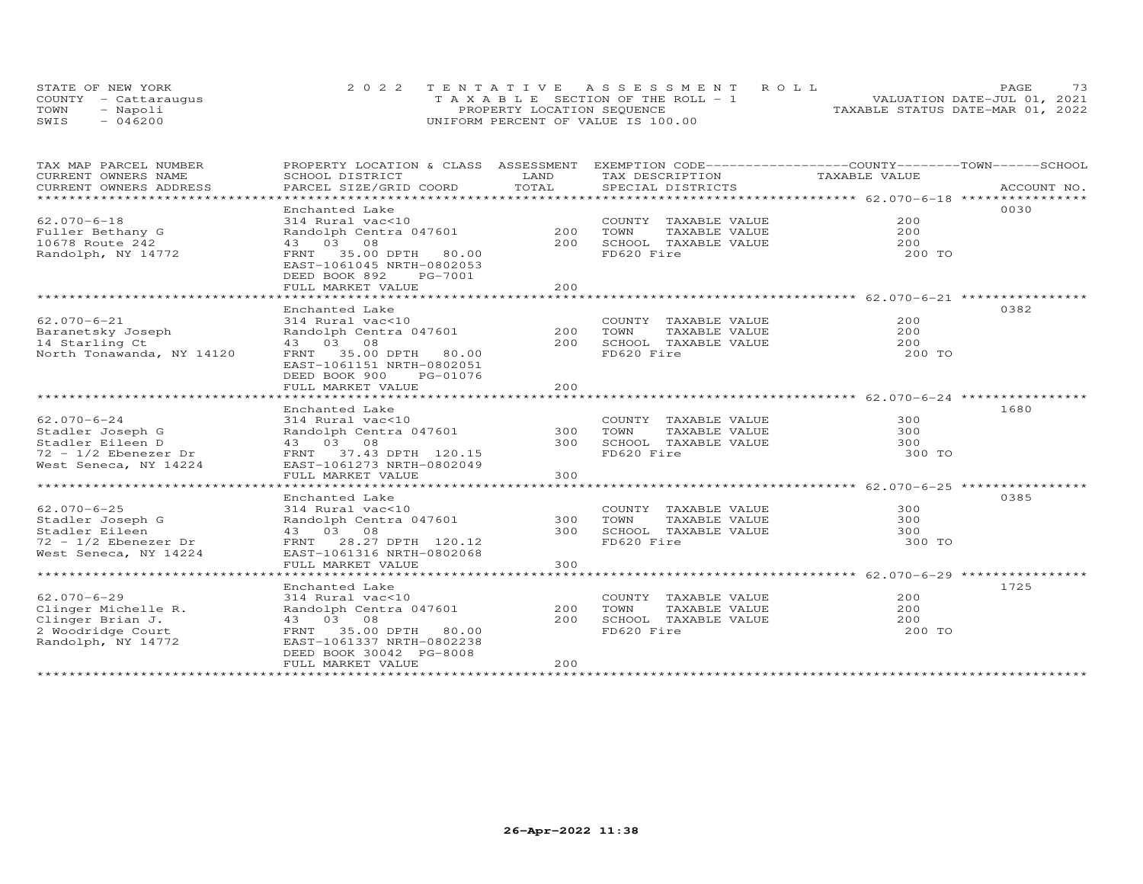|      | STATE OF NEW YORK    | 2022 TENTATIVE ASSESSMENT ROLL        | 73<br>PAGE.                      |
|------|----------------------|---------------------------------------|----------------------------------|
|      | COUNTY - Cattaraugus | T A X A B L E SECTION OF THE ROLL - 1 | VALUATION DATE-JUL 01, 2021      |
| TOWN | - Napoli             | PROPERTY LOCATION SEQUENCE            | TAXABLE STATUS DATE-MAR 01, 2022 |
| SWTS | $-046200$            | UNIFORM PERCENT OF VALUE IS 100.00    |                                  |

| TAX MAP PARCEL NUMBER<br>CURRENT OWNERS NAME             | PROPERTY LOCATION & CLASS ASSESSMENT<br>SCHOOL DISTRICT                                              | LAND  | EXEMPTION CODE------------------COUNTY-------TOWN------SCHOOL<br>TAX DESCRIPTION | TAXABLE VALUE |             |
|----------------------------------------------------------|------------------------------------------------------------------------------------------------------|-------|----------------------------------------------------------------------------------|---------------|-------------|
| CURRENT OWNERS ADDRESS<br>****************************** | PARCEL SIZE/GRID COORD                                                                               | TOTAL | SPECIAL DISTRICTS                                                                |               | ACCOUNT NO. |
|                                                          | Enchanted Lake                                                                                       |       |                                                                                  |               | 0030        |
| $62.070 - 6 - 18$                                        | 314 Rural vac<10                                                                                     |       | COUNTY TAXABLE VALUE                                                             | 200           |             |
| Fuller Bethany G                                         | Randolph Centra 047601                                                                               | 200   | TOWN<br>TAXABLE VALUE                                                            | 200           |             |
| 10678 Route 242                                          | 43 03 08                                                                                             | 200   | SCHOOL TAXABLE VALUE                                                             | 200           |             |
| Randolph, NY 14772                                       | FRNT 35.00 DPTH 80.00<br>EAST-1061045 NRTH-0802053<br>DEED BOOK 892<br>PG-7001<br>FULL MARKET VALUE  | 200   | FD620 Fire                                                                       | 200 TO        |             |
|                                                          |                                                                                                      |       |                                                                                  |               |             |
|                                                          | Enchanted Lake                                                                                       |       |                                                                                  |               | 0382        |
| $62.070 - 6 - 21$                                        | 314 Rural vac<10                                                                                     |       | COUNTY TAXABLE VALUE                                                             | 200           |             |
| Baranetsky Joseph                                        | Randolph Centra 047601                                                                               | 200   | TOWN<br>TAXABLE VALUE                                                            | 200           |             |
| 14 Starling Ct                                           | 43 03 08                                                                                             | 200   | SCHOOL TAXABLE VALUE                                                             | 200           |             |
| North Tonawanda, NY 14120                                | FRNT 35.00 DPTH 80.00<br>EAST-1061151 NRTH-0802051<br>DEED BOOK 900<br>PG-01076<br>FULL MARKET VALUE | 2.00  | FD620 Fire                                                                       | 200 TO        |             |
|                                                          |                                                                                                      |       |                                                                                  |               |             |
|                                                          | Enchanted Lake                                                                                       |       |                                                                                  |               | 1680        |
| $62.070 - 6 - 24$                                        | 314 Rural vac<10                                                                                     |       | COUNTY TAXABLE VALUE                                                             | 300           |             |
| Stadler Joseph G                                         | Randolph Centra 047601                                                                               | 300   | TOWN<br>TAXABLE VALUE                                                            | 300           |             |
| Stadler Eileen D                                         | 43 03 08                                                                                             | 300   | SCHOOL TAXABLE VALUE                                                             | 300           |             |
| $72 - 1/2$ Ebenezer Dr                                   | FRNT 37.43 DPTH 120.15                                                                               |       | FD620 Fire                                                                       | 300 TO        |             |
| West Seneca, NY 14224                                    | EAST-1061273 NRTH-0802049<br>FULL MARKET VALUE                                                       | 300   |                                                                                  |               |             |
|                                                          |                                                                                                      |       |                                                                                  |               |             |
|                                                          | Enchanted Lake                                                                                       |       |                                                                                  |               | 0385        |
| $62.070 - 6 - 25$                                        | 314 Rural vac<10                                                                                     |       | COUNTY TAXABLE VALUE                                                             | 300           |             |
| Stadler Joseph G                                         | Randolph Centra 047601                                                                               | 300   | TOWN<br>TAXABLE VALUE                                                            | 300           |             |
| Stadler Eileen                                           | 43 03 08                                                                                             | 300   | SCHOOL TAXABLE VALUE                                                             | 300           |             |
| 72 - 1/2 Ebenezer Dr                                     | FRNT 28.27 DPTH 120.12                                                                               |       | FD620 Fire                                                                       | 300 TO        |             |
| West Seneca, NY 14224                                    | EAST-1061316 NRTH-0802068                                                                            |       |                                                                                  |               |             |
|                                                          | FULL MARKET VALUE                                                                                    | 300   |                                                                                  |               |             |
|                                                          |                                                                                                      |       |                                                                                  |               |             |
|                                                          | Enchanted Lake                                                                                       |       |                                                                                  |               | 1725        |
| $62.070 - 6 - 29$                                        | 314 Rural vac<10                                                                                     |       | COUNTY TAXABLE VALUE                                                             | 200           |             |
| Clinger Michelle R.                                      | Randolph Centra 047601                                                                               | 200   | TAXABLE VALUE<br>TOWN                                                            | 200           |             |
| Clinger Brian J.                                         | 43 03 08                                                                                             | 200   | SCHOOL TAXABLE VALUE                                                             | 200           |             |
| 2 Woodridge Court                                        | FRNT 35.00 DPTH 80.00                                                                                |       | FD620 Fire                                                                       | 200 TO        |             |
| Randolph, NY 14772                                       | EAST-1061337 NRTH-0802238<br>DEED BOOK 30042 PG-8008<br>FULL MARKET VALUE                            | 200   |                                                                                  |               |             |
|                                                          |                                                                                                      |       |                                                                                  |               |             |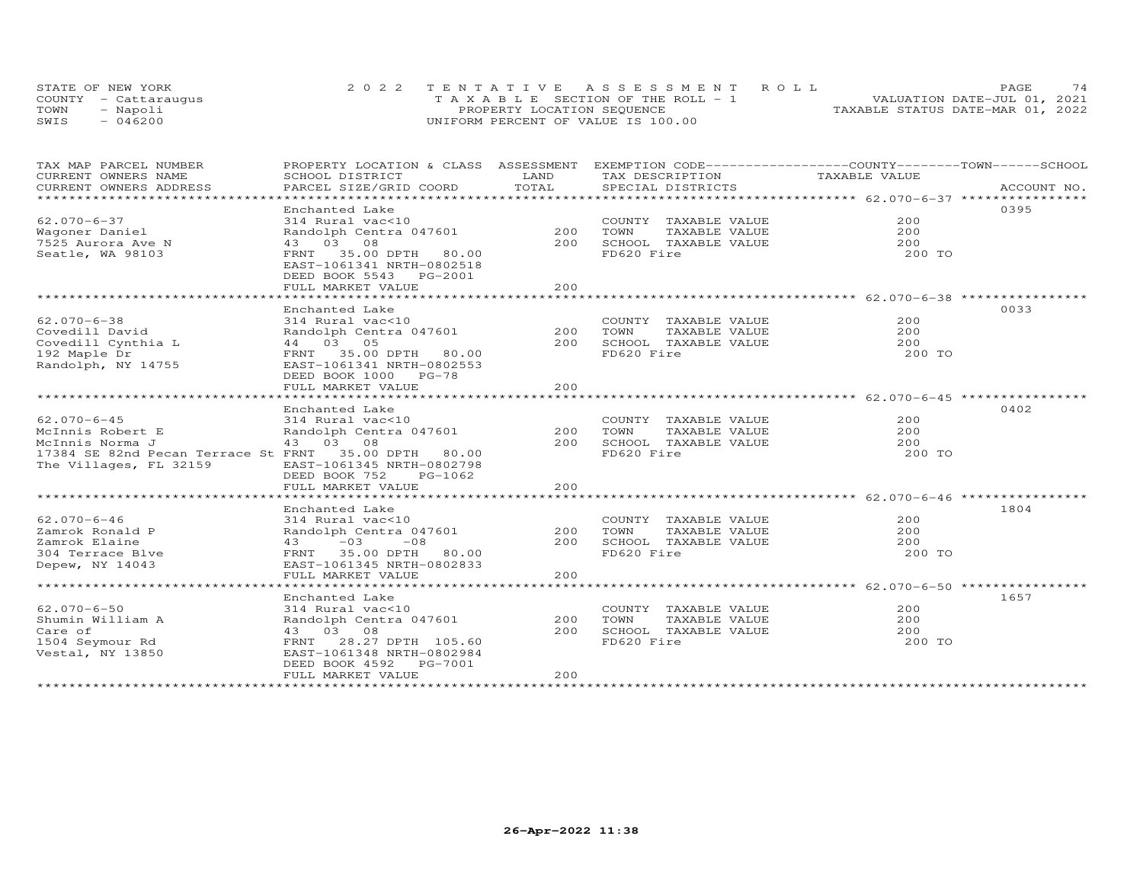| STATE OF NEW YORK    | 2022 TENTATIVE ASSESSMENT ROLL        | 74<br>PAGE.                      |
|----------------------|---------------------------------------|----------------------------------|
| COUNTY - Cattaraugus | T A X A B L E SECTION OF THE ROLL - 1 | VALUATION DATE-JUL 01, 2021      |
| TOWN<br>- Napoli     | PROPERTY LOCATION SEQUENCE            | TAXABLE STATUS DATE-MAR 01, 2022 |
| $-046200$<br>SWIS    | UNIFORM PERCENT OF VALUE IS 100.00    |                                  |

| TAX MAP PARCEL NUMBER<br>CURRENT OWNERS NAME                                                                                               | PROPERTY LOCATION & CLASS ASSESSMENT<br>SCHOOL DISTRICT                                                                                                                           | LAND              | EXEMPTION CODE-----------------COUNTY-------TOWN-----SCHOOL<br>TAX DESCRIPTION      | TAXABLE VALUE               |             |
|--------------------------------------------------------------------------------------------------------------------------------------------|-----------------------------------------------------------------------------------------------------------------------------------------------------------------------------------|-------------------|-------------------------------------------------------------------------------------|-----------------------------|-------------|
| CURRENT OWNERS ADDRESS<br>******************************                                                                                   | PARCEL SIZE/GRID COORD                                                                                                                                                            | TOTAL             | SPECIAL DISTRICTS                                                                   |                             | ACCOUNT NO. |
| $62.070 - 6 - 37$<br>Wagoner Daniel<br>7525 Aurora Ave N<br>Seatle, WA 98103                                                               | Enchanted Lake<br>314 Rural vac<10<br>Randolph Centra 047601<br>43 03 08<br>FRNT 35.00 DPTH 80.00<br>EAST-1061341 NRTH-0802518<br>DEED BOOK 5543 PG-2001<br>FULL MARKET VALUE     | 200<br>200<br>200 | COUNTY TAXABLE VALUE<br>TOWN<br>TAXABLE VALUE<br>SCHOOL TAXABLE VALUE<br>FD620 Fire | 200<br>200<br>200<br>200 TO | 0395        |
| $62.070 - 6 - 38$<br>Covedill David<br>Covedill Cynthia L<br>192 Maple Dr<br>Randolph, NY 14755                                            | Enchanted Lake<br>314 Rural vac<10<br>Randolph Centra 047601<br>44 03 05<br>FRNT 35.00 DPTH 80.00<br>EAST-1061341 NRTH-0802553<br>DEED BOOK 1000 PG-78<br>FULL MARKET VALUE       | 200<br>200<br>200 | COUNTY TAXABLE VALUE<br>TOWN<br>TAXABLE VALUE<br>SCHOOL TAXABLE VALUE<br>FD620 Fire | 200<br>200<br>200<br>200 TO | 0033        |
| $62.070 - 6 - 45$<br>McInnis Robert E<br>McInnis Norma J<br>17384 SE 82nd Pecan Terrace St FRNT 35.00 DPTH 80.00<br>The Villages, FL 32159 | Enchanted Lake<br>314 Rural vac<10<br>Randolph Centra 047601<br>43 03 08<br>EAST-1061345 NRTH-0802798<br>DEED BOOK 752<br>PG-1062<br>FULL MARKET VALUE                            | 200<br>200<br>200 | COUNTY TAXABLE VALUE<br>TOWN<br>TAXABLE VALUE<br>SCHOOL TAXABLE VALUE<br>FD620 Fire | 200<br>200<br>200<br>200 TO | 0402        |
| $62.070 - 6 - 46$<br>Zamrok Ronald P<br>Zamrok Elaine<br>304 Terrace Blve<br>Depew, NY 14043                                               | Enchanted Lake<br>314 Rural vac<10<br>Randolph Centra 047601<br>$43 -03 -08$<br>FRNT 35.00 DPTH 80.00<br>EAST-1061345 NRTH-0802833<br>FULL MARKET VALUE                           | 200<br>200<br>200 | COUNTY TAXABLE VALUE<br>TAXABLE VALUE<br>TOWN<br>SCHOOL TAXABLE VALUE<br>FD620 Fire | 200<br>200<br>200<br>200 TO | 1804        |
| $62.070 - 6 - 50$<br>Shumin William A<br>Care of<br>1504 Seymour Rd<br>Vestal, NY 13850                                                    | Enchanted Lake<br>314 Rural vac<10<br>Randolph Centra 047601<br>43 03 08<br>FRNT 28.27 DPTH 105.60<br>EAST-1061348 NRTH-0802984<br>DEED BOOK 4592<br>PG-7001<br>FULL MARKET VALUE | 200<br>200<br>200 | COUNTY TAXABLE VALUE<br>TOWN<br>TAXABLE VALUE<br>SCHOOL TAXABLE VALUE<br>FD620 Fire | 200<br>200<br>200<br>200 TO | 1657        |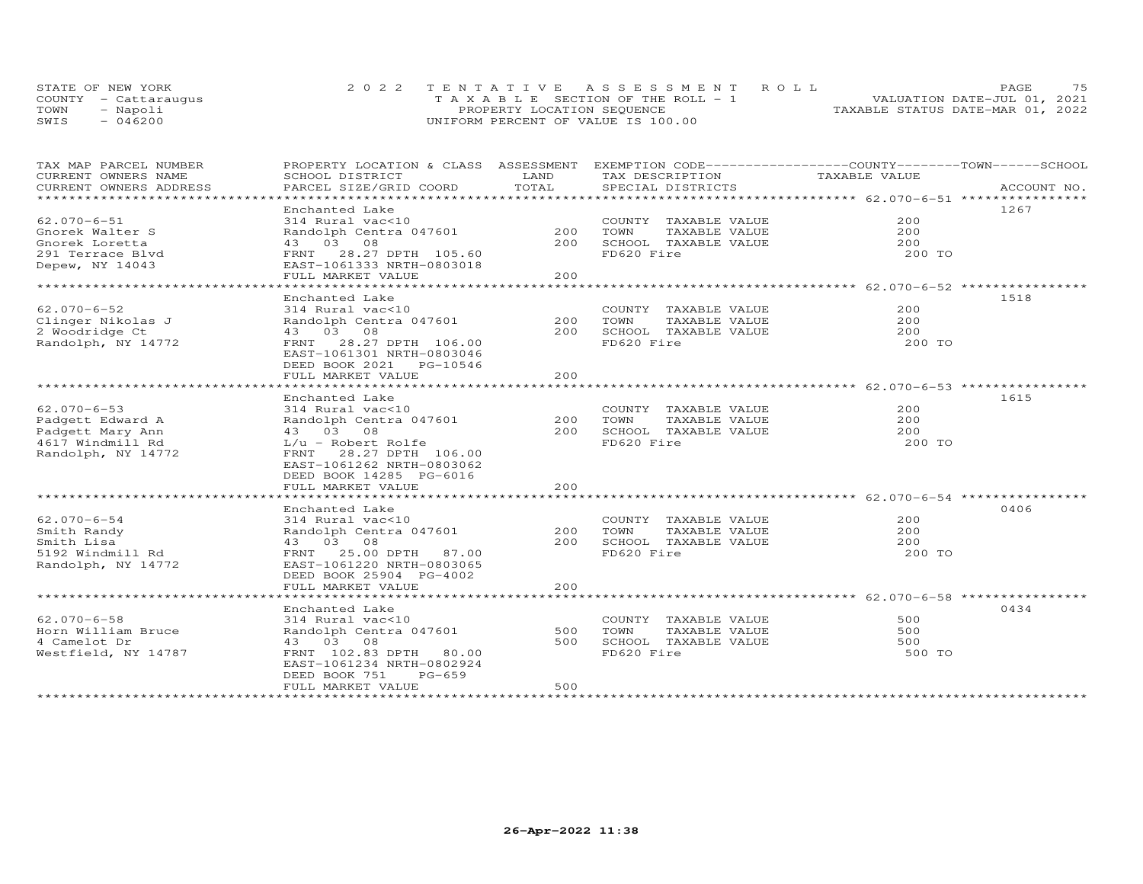|      | STATE OF NEW YORK    | 2022 TENTATIVE ASSESSMENT ROLL     | 75<br>PAGE                       |
|------|----------------------|------------------------------------|----------------------------------|
|      | COUNTY - Cattaraugus | TAXABLE SECTION OF THE ROLL - 1    | VALUATION DATE-JUL 01, 2021      |
| TOWN | - Napoli             | PROPERTY LOCATION SEQUENCE         | TAXABLE STATUS DATE-MAR 01, 2022 |
| SWIS | $-046200$            | UNIFORM PERCENT OF VALUE IS 100.00 |                                  |

| TAX MAP PARCEL NUMBER<br>CURRENT OWNERS NAME | PROPERTY LOCATION & CLASS ASSESSMENT<br>SCHOOL DISTRICT | LAND           | EXEMPTION CODE-----------------COUNTY-------TOWN------SCHOOL<br>TAX DESCRIPTION | TAXABLE VALUE |             |
|----------------------------------------------|---------------------------------------------------------|----------------|---------------------------------------------------------------------------------|---------------|-------------|
| CURRENT OWNERS ADDRESS                       | PARCEL SIZE/GRID COORD                                  | TOTAL          | SPECIAL DISTRICTS                                                               |               | ACCOUNT NO. |
| ******************                           |                                                         | ************** | *********************************** 62.070-6-51 ****************                |               |             |
|                                              | Enchanted Lake                                          |                |                                                                                 |               | 1267        |
| $62.070 - 6 - 51$                            | 314 Rural vac<10                                        |                | COUNTY TAXABLE VALUE                                                            | 200           |             |
| Gnorek Walter S                              | Randolph Centra 047601                                  | 200            | TOWN<br>TAXABLE VALUE                                                           | 200           |             |
| Gnorek Loretta                               | 43 03 08                                                | 200            | SCHOOL TAXABLE VALUE                                                            | 200           |             |
| 291 Terrace Blvd                             | 28.27 DPTH 105.60<br>FRNT                               |                | FD620 Fire                                                                      | 200 TO        |             |
| Depew, NY 14043                              | EAST-1061333 NRTH-0803018                               |                |                                                                                 |               |             |
|                                              | FULL MARKET VALUE                                       | 200            |                                                                                 |               |             |
|                                              |                                                         |                |                                                                                 |               |             |
|                                              | Enchanted Lake                                          |                |                                                                                 |               | 1518        |
| $62.070 - 6 - 52$                            | 314 Rural vac<10                                        |                | COUNTY TAXABLE VALUE                                                            | 200           |             |
| Clinger Nikolas J                            | Randolph Centra 047601                                  | 200            | TOWN<br>TAXABLE VALUE                                                           | 200           |             |
| 2 Woodridge Ct                               | 43 03 08                                                | 200            | SCHOOL TAXABLE VALUE                                                            | 200           |             |
| Randolph, NY 14772                           | 28.27 DPTH 106.00<br>FRNT                               |                | FD620 Fire                                                                      | 200 TO        |             |
|                                              | EAST-1061301 NRTH-0803046<br>DEED BOOK 2021 PG-10546    |                |                                                                                 |               |             |
|                                              | FULL MARKET VALUE                                       | 2.00           |                                                                                 |               |             |
|                                              |                                                         |                |                                                                                 |               |             |
|                                              | Enchanted Lake                                          |                |                                                                                 |               | 1615        |
| $62.070 - 6 - 53$                            | 314 Rural vac<10                                        |                | COUNTY TAXABLE VALUE                                                            | 200           |             |
| Padgett Edward A                             | Randolph Centra 047601                                  | 200            | TOWN<br>TAXABLE VALUE                                                           | 200           |             |
| Padgett Mary Ann                             | 43 03 08                                                | 200            | SCHOOL TAXABLE VALUE                                                            | 200           |             |
| 4617 Windmill Rd                             | $L/u$ - Robert Rolfe                                    |                | FD620 Fire                                                                      | 200 TO        |             |
| Randolph, NY 14772                           | FRNT 28.27 DPTH 106.00                                  |                |                                                                                 |               |             |
|                                              | EAST-1061262 NRTH-0803062                               |                |                                                                                 |               |             |
|                                              | DEED BOOK 14285 PG-6016                                 |                |                                                                                 |               |             |
|                                              | FULL MARKET VALUE                                       | 200            |                                                                                 |               |             |
|                                              |                                                         |                |                                                                                 |               |             |
|                                              | Enchanted Lake                                          |                |                                                                                 |               | 0406        |
| $62.070 - 6 - 54$                            | 314 Rural vac<10                                        |                | COUNTY TAXABLE VALUE                                                            | 200           |             |
| Smith Randy                                  | Randolph Centra 047601                                  | 200            | TOWN<br>TAXABLE VALUE                                                           | 2.00          |             |
| Smith Lisa                                   | 43 03 08                                                | 200            | SCHOOL TAXABLE VALUE                                                            | 200           |             |
| 5192 Windmill Rd                             | FRNT 25.00 DPTH<br>87.00                                |                | FD620 Fire                                                                      | 200 TO        |             |
| Randolph, NY 14772                           | EAST-1061220 NRTH-0803065                               |                |                                                                                 |               |             |
|                                              | DEED BOOK 25904 PG-4002                                 |                |                                                                                 |               |             |
|                                              | FULL MARKET VALUE                                       | 200            |                                                                                 |               |             |
|                                              |                                                         |                |                                                                                 |               |             |
|                                              | Enchanted Lake                                          |                |                                                                                 |               | 0434        |
| $62.070 - 6 - 58$                            | 314 Rural vac<10                                        |                | COUNTY TAXABLE VALUE                                                            | 500           |             |
| Horn William Bruce                           | Randolph Centra 047601                                  | 500            | TOWN<br>TAXABLE VALUE                                                           | 500           |             |
| 4 Camelot Dr                                 | 43 03 08                                                | 500            | SCHOOL TAXABLE VALUE                                                            | 500           |             |
| Westfield, NY 14787                          | FRNT 102.83 DPTH<br>80.00                               |                | FD620 Fire                                                                      | 500 TO        |             |
|                                              | EAST-1061234 NRTH-0802924<br>$PG-659$                   |                |                                                                                 |               |             |
|                                              | DEED BOOK 751<br>FULL MARKET VALUE                      | 500            |                                                                                 |               |             |
|                                              |                                                         |                |                                                                                 |               |             |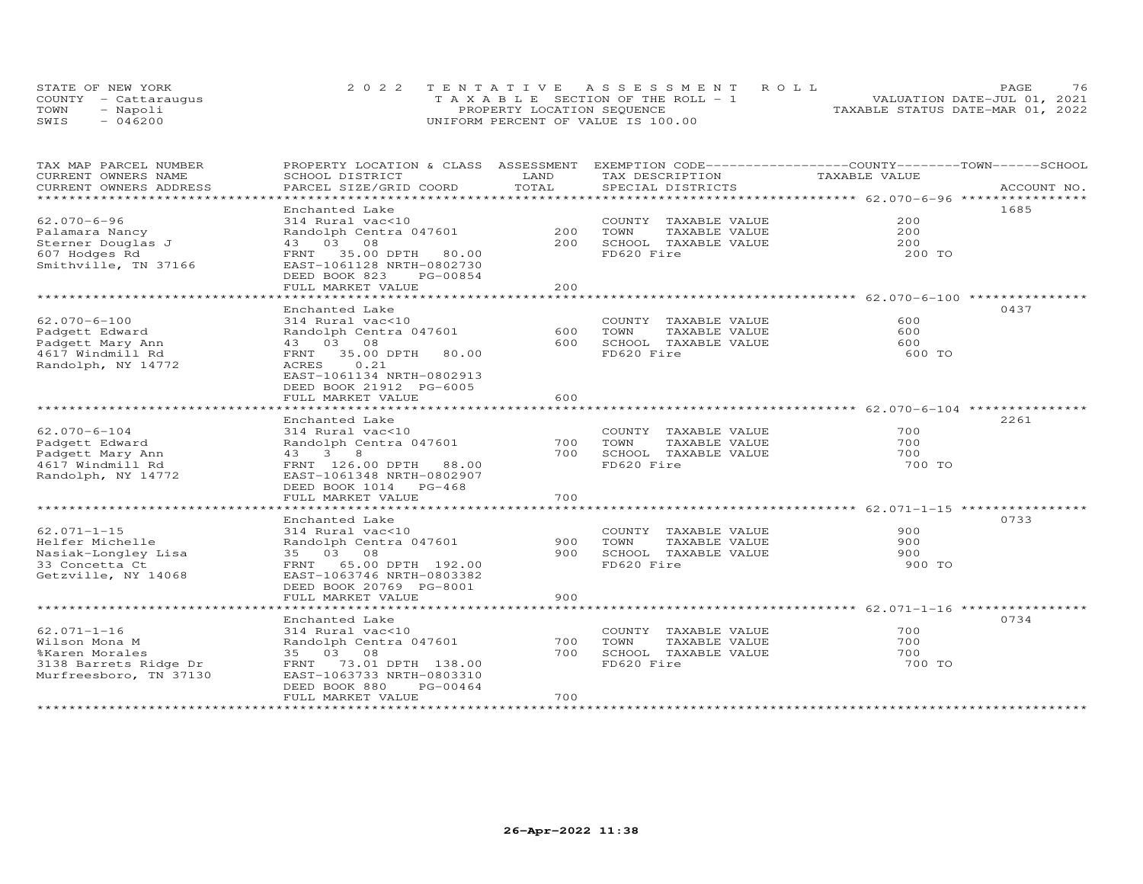|      | STATE OF NEW YORK    | 2022 TENTATIVE ASSESSMENT ROLL                 | 76<br>PAGE.                      |
|------|----------------------|------------------------------------------------|----------------------------------|
|      | COUNTY - Cattaraugus | $T A X A B I E E S E C T T ON OF THE ROLL - 1$ | VALUATION DATE-JUL 01, 2021      |
| TOWN | - Napoli             | PROPERTY LOCATION SEQUENCE                     | TAXABLE STATUS DATE-MAR 01, 2022 |
| SWIS | 046200               | UNIFORM PERCENT OF VALUE IS 100.00             |                                  |

| TAX MAP PARCEL NUMBER<br>CURRENT OWNERS NAME                                                            | PROPERTY LOCATION & CLASS ASSESSMENT EXEMPTION CODE-----------------COUNTY-------TOWN------SCHOOL<br>SCHOOL DISTRICT                                                                                   | LAND                       | TAX DESCRIPTION                                                                                                                                   | TAXABLE VALUE                                                                 |             |
|---------------------------------------------------------------------------------------------------------|--------------------------------------------------------------------------------------------------------------------------------------------------------------------------------------------------------|----------------------------|---------------------------------------------------------------------------------------------------------------------------------------------------|-------------------------------------------------------------------------------|-------------|
| CURRENT OWNERS ADDRESS<br>*********************                                                         | PARCEL SIZE/GRID COORD                                                                                                                                                                                 | TOTAL                      | SPECIAL DISTRICTS                                                                                                                                 |                                                                               | ACCOUNT NO. |
| $62.070 - 6 - 96$<br>Palamara Nancy<br>Sterner Douglas J<br>607 Hodges Rd<br>Smithville, TN 37166       | Enchanted Lake<br>314 Rural vac<10<br>Randolph Centra 047601<br>43 03 08<br>FRNT 35.00 DPTH<br>80.00<br>EAST-1061128 NRTH-0802730<br>DEED BOOK 823<br>PG-00854<br>FULL MARKET VALUE                    | 200<br>200<br>200          | COUNTY TAXABLE VALUE<br>TOWN<br>TAXABLE VALUE<br>SCHOOL TAXABLE VALUE<br>FD620 Fire                                                               | 200<br>200<br>200<br>200 TO                                                   | 1685        |
| $62.070 - 6 - 100$<br>Padgett Edward<br>Padgett Mary Ann<br>4617 Windmill Rd<br>Randolph, NY 14772      | Enchanted Lake<br>314 Rural vac<10<br>Randolph Centra 047601<br>43 03 08<br>FRNT<br>35.00 DPTH<br>80.00<br>ACRES<br>0.21<br>EAST-1061134 NRTH-0802913<br>DEED BOOK 21912 PG-6005<br>FULL MARKET VALUE  | 600<br>600<br>600          | COUNTY TAXABLE VALUE<br>TOWN<br>TAXABLE VALUE<br>SCHOOL TAXABLE VALUE<br>FD620 Fire<br>********************************* 62.070-6-104 *********** | 600<br>600<br>600<br>600 TO                                                   | 0437        |
| $62.070 - 6 - 104$<br>Padgett Edward<br>Padgett Mary Ann<br>4617 Windmill Rd<br>Randolph, NY 14772      | Enchanted Lake<br>314 Rural vac<10<br>Randolph Centra 047601<br>43 3 8<br>FRNT 126.00 DPTH 88.00<br>EAST-1061348 NRTH-0802907<br>DEED BOOK 1014 PG-468<br>FULL MARKET VALUE                            | 700<br>700<br>700          | COUNTY TAXABLE VALUE<br>TAXABLE VALUE<br>TOWN<br>SCHOOL TAXABLE VALUE<br>FD620 Fire                                                               | 700<br>700<br>700<br>700 TO                                                   | 2261        |
| $62.071 - 1 - 15$<br>Helfer Michelle<br>Nasiak-Longley Lisa<br>33 Concetta Ct<br>Getzville, NY 14068    | *******************<br>Enchanted Lake<br>314 Rural vac<10<br>Randolph Centra 047601<br>35 03 08<br>FRNT 65.00 DPTH 192.00<br>EAST-1063746 NRTH-0803382<br>DEED BOOK 20769 PG-8001<br>FULL MARKET VALUE | *****<br>900<br>900<br>900 | COUNTY TAXABLE VALUE<br>TOWN<br>TAXABLE VALUE<br>SCHOOL TAXABLE VALUE<br>FD620 Fire                                                               | ********************** 62.071-1-15 ***********<br>900<br>900<br>900<br>900 TO | 0733        |
| $62.071 - 1 - 16$<br>Wilson Mona M<br>%Karen Morales<br>3138 Barrets Ridge Dr<br>Murfreesboro, TN 37130 | Enchanted Lake<br>314 Rural vac<10<br>Randolph Centra 047601<br>35 03 08<br>FRNT 73.01 DPTH 138.00<br>EAST-1063733 NRTH-0803310<br>DEED BOOK 880<br>PG-00464<br>FULL MARKET VALUE                      | 700<br>700<br>700          | COUNTY TAXABLE VALUE<br>TOWN<br>TAXABLE VALUE<br>SCHOOL TAXABLE VALUE<br>FD620 Fire                                                               | 700<br>700<br>700<br>700 TO                                                   | 0734        |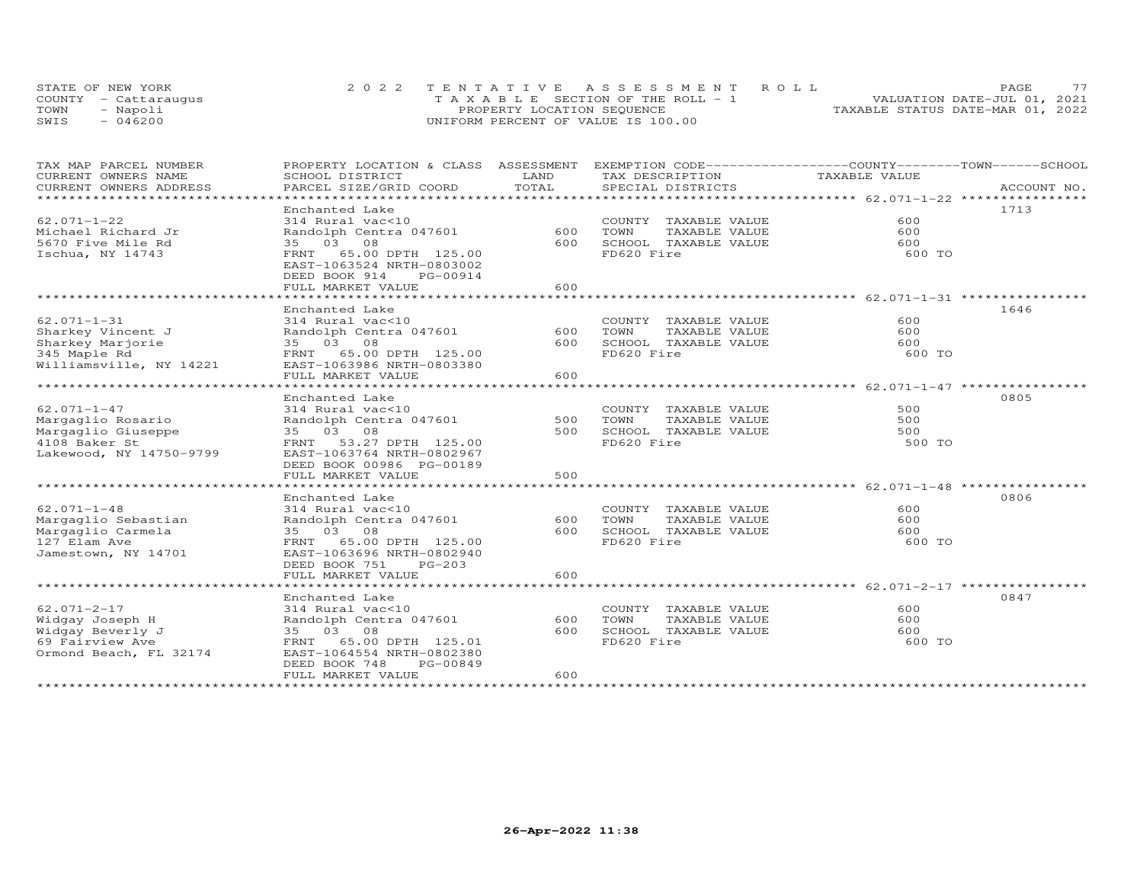|      | STATE OF NEW YORK    | 2022 TENTATIVE ASSESSMENT ROLL        | フフ<br>PAGE.                      |
|------|----------------------|---------------------------------------|----------------------------------|
|      | COUNTY - Cattaraugus | T A X A B L E SECTION OF THE ROLL - 1 | VALUATION DATE-JUL 01, 2021      |
| TOWN | - Napoli             | PROPERTY LOCATION SEQUENCE            | TAXABLE STATUS DATE-MAR 01, 2022 |
| SWIS | $-046200$            | UNIFORM PERCENT OF VALUE IS 100.00    |                                  |

| TAX MAP PARCEL NUMBER<br>CURRENT OWNERS NAME                                                                                             | SCHOOL DISTRICT                                                                                                                                                                                               | LAND              | PROPERTY LOCATION & CLASS ASSESSMENT EXEMPTION CODE----------------COUNTY-------TOWN-----SCHOOL<br>TAX DESCRIPTION | TAXABLE VALUE               |             |
|------------------------------------------------------------------------------------------------------------------------------------------|---------------------------------------------------------------------------------------------------------------------------------------------------------------------------------------------------------------|-------------------|--------------------------------------------------------------------------------------------------------------------|-----------------------------|-------------|
| CURRENT OWNERS ADDRESS<br>*************************                                                                                      | PARCEL SIZE/GRID COORD                                                                                                                                                                                        | TOTAL             | SPECIAL DISTRICTS                                                                                                  |                             | ACCOUNT NO. |
| $62.071 - 1 - 22$<br>Michael Richard Jr<br>5670 Five Mile Rd<br>Ischua, NY 14743                                                         | Enchanted Lake<br>314 Rural vac<10<br>Randolph Centra 047601<br>35 03 08<br>FRNT 65.00 DPTH 125.00<br>EAST-1063524 NRTH-0803002<br>DEED BOOK 914<br>PG-00914<br>FULL MARKET VALUE                             | 600<br>600<br>600 | COUNTY TAXABLE VALUE<br>TOWN<br>TAXABLE VALUE<br>SCHOOL TAXABLE VALUE<br>FD620 Fire                                | 600<br>600<br>600<br>600 TO | 1713        |
| $62.071 - 1 - 31$<br>Sharkey Vincent J<br>Sharkey Marjorie<br>345 Maple Rd<br>Williamsville, NY 14221                                    | Enchanted Lake<br>314 Rural vac<10<br>Randolph Centra 047601<br>35 03 08<br>FRNT 65.00 DPTH 125.00<br>EAST-1063986 NRTH-0803380<br>FULL MARKET VALUE                                                          | 600<br>600<br>600 | COUNTY TAXABLE VALUE<br>TOWN<br>TAXABLE VALUE<br>SCHOOL TAXABLE VALUE<br>FD620 Fire                                | 600<br>600<br>600<br>600 TO | 1646        |
| $62.071 - 1 - 47$<br>Margaglio Rosario<br>Margaglio Giuseppe<br>4108 Baker St<br>Lakewood, NY 14750-9799<br>**************************** | Enchanted Lake<br>314 Rural vac<10<br>Randolph Centra 047601<br>35 03 08<br>FRNT 53.27 DPTH 125.00<br>EAST-1063764 NRTH-0802967<br>DEED BOOK 00986 PG-00189<br>FULL MARKET VALUE                              | 500<br>500<br>500 | COUNTY TAXABLE VALUE<br>TAXABLE VALUE<br>TOWN<br>SCHOOL TAXABLE VALUE<br>FD620 Fire                                | 500<br>500<br>500<br>500 TO | 0805        |
| $62.071 - 1 - 48$<br>Margaglio Sebastian<br>Margaglio Carmela<br>127 Elam Ave<br>Jamestown, NY 14701                                     | Enchanted Lake<br>314 Rural vac<10<br>Randolph Centra 047601<br>35 03 08<br>FRNT 65.00 DPTH 125.00<br>EAST-1063696 NRTH-0802940<br>DEED BOOK 751<br>PG-203<br>FULL MARKET VALUE                               | 600<br>600<br>600 | COUNTY TAXABLE VALUE<br>TOWN<br>TAXABLE VALUE<br>SCHOOL TAXABLE VALUE<br>FD620 Fire                                | 600<br>600<br>600<br>600 TO | 0806        |
| $62.071 - 2 - 17$<br>Widgay Joseph H<br>Widgay Beverly J<br>69 Fairview Ave<br>Ormond Beach, FL 32174                                    | Enchanted Lake<br>314 Rural vac<10<br>Randolph Centra 047601<br>35 03 08<br>FRNT 65.00 DPTH 125.01<br>EAST-1064554 NRTH-0802380<br>DEED BOOK 748<br>PG-00849<br>FULL MARKET VALUE<br>************************ | 600<br>600<br>600 | COUNTY TAXABLE VALUE<br>TOWN<br>TAXABLE VALUE<br>SCHOOL TAXABLE VALUE<br>FD620 Fire                                | 600<br>600<br>600<br>600 TO | 0847        |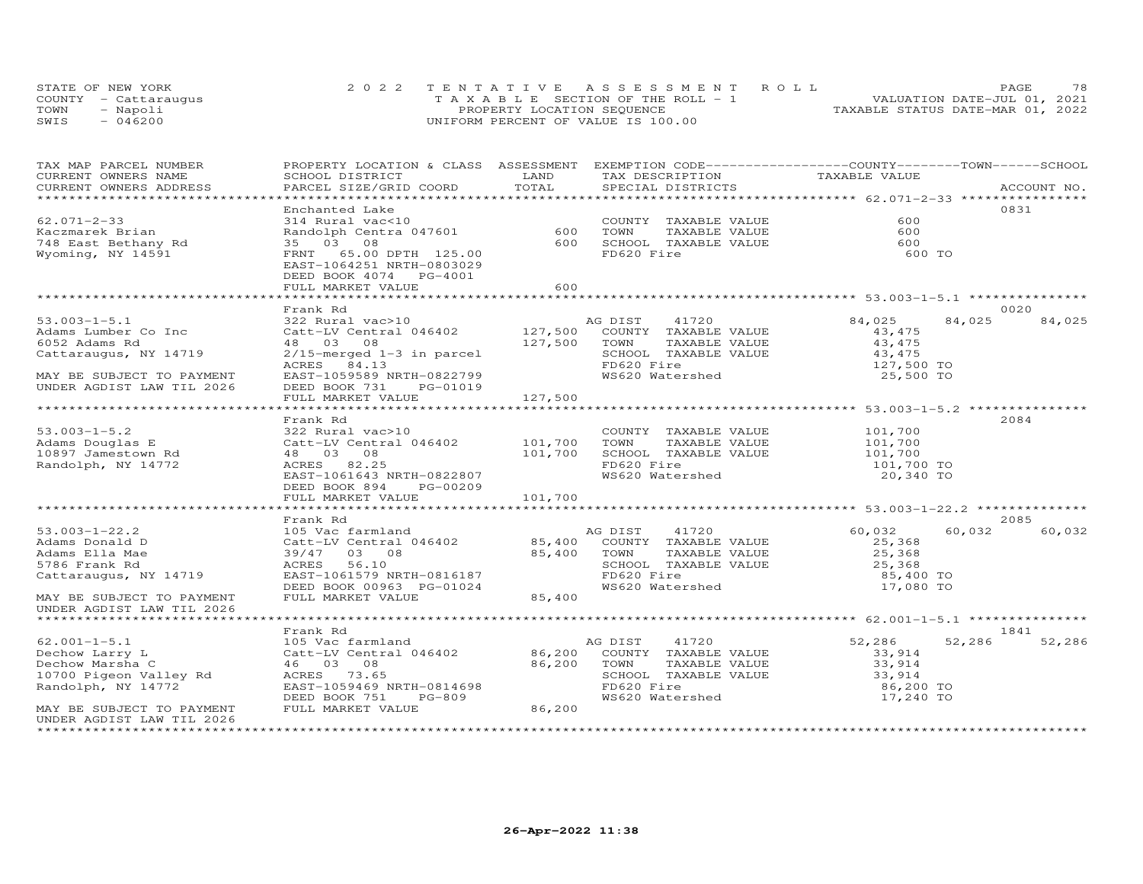|      | STATE OF NEW YORK    | 2022 TENTATIVE ASSESSMENT ROLL        | 78<br><b>PAGE</b>                |
|------|----------------------|---------------------------------------|----------------------------------|
|      | COUNTY - Cattaraugus | T A X A B L E SECTION OF THE ROLL - 1 | VALUATION DATE-JUL 01, 2021      |
| TOWN | - Napoli             | PROPERTY LOCATION SEQUENCE            | TAXABLE STATUS DATE-MAR 01, 2022 |
| SWIS | $-046200$            | UNIFORM PERCENT OF VALUE IS 100.00    |                                  |

| TAX MAP PARCEL NUMBER<br>CURRENT OWNERS NAME          | SCHOOL DISTRICT                                                                                                                                                                                                                    | LAND                                             | PROPERTY LOCATION & CLASS ASSESSMENT EXEMPTION CODE----------------COUNTY-------TOWN------SCHOOL<br>TAX DESCRIPTION | TAXABLE VALUE    |                  |
|-------------------------------------------------------|------------------------------------------------------------------------------------------------------------------------------------------------------------------------------------------------------------------------------------|--------------------------------------------------|---------------------------------------------------------------------------------------------------------------------|------------------|------------------|
| CURRENT OWNERS ADDRESS                                | PARCEL SIZE/GRID COORD TOTAL                                                                                                                                                                                                       |                                                  | SPECIAL DISTRICTS                                                                                                   |                  | ACCOUNT NO.      |
| $62.071 - 2 - 33$                                     | Enchanted Lake                                                                                                                                                                                                                     |                                                  | COUNTY TAXABLE VALUE                                                                                                | 600              | 0831             |
| Kaczmarek Brian                                       |                                                                                                                                                                                                                                    |                                                  | TOWN<br>TAXABLE VALUE                                                                                               | 600              |                  |
| 748 East Bethany Rd                                   | ------ vac-10<br>Randolph Centra 047601 600<br>35 03 08 600 600 600 600                                                                                                                                                            |                                                  | 600 SCHOOL TAXABLE VALUE                                                                                            | 600              |                  |
|                                                       |                                                                                                                                                                                                                                    |                                                  | FD620 Fire                                                                                                          | 600 TO           |                  |
| Wyoming, NY 14591                                     | FRNT 65.00 DPTH 125.00<br>EAST-1064251 NRTH-0803029                                                                                                                                                                                |                                                  |                                                                                                                     |                  |                  |
|                                                       | DEED BOOK 4074 PG-4001                                                                                                                                                                                                             |                                                  |                                                                                                                     |                  |                  |
|                                                       | FULL MARKET VALUE                                                                                                                                                                                                                  | 600                                              |                                                                                                                     |                  |                  |
|                                                       |                                                                                                                                                                                                                                    |                                                  |                                                                                                                     |                  |                  |
|                                                       | Frank Rd                                                                                                                                                                                                                           |                                                  |                                                                                                                     |                  | 0020             |
| $53.003 - 1 - 5.1$                                    | 322 Rural vac>10                                                                                                                                                                                                                   |                                                  | AG DIST 41720                                                                                                       | 84,025<br>84,025 | 84,025           |
| Adams Lumber Co Inc                                   | Catt-LV Central 046402 127,500 COUNTY TAXABLE VALUE                                                                                                                                                                                |                                                  |                                                                                                                     | 43, 475          |                  |
| 6052 Adams Rd                                         |                                                                                                                                                                                                                                    |                                                  | TAXABLE VALUE                                                                                                       | 43,475           |                  |
| Cattaraugus, NY 14719                                 | 48 03 08 127,500 TOWN<br>2/15-merged 1-3 in parcel SCHOOL SCHOOL                                                                                                                                                                   |                                                  |                                                                                                                     |                  |                  |
|                                                       | ACRES 84.13                                                                                                                                                                                                                        |                                                  | 1000 Incolar Carlo 127,500 TO<br>SCHOOL TAXABLE VALUE 127,500 TO                                                    |                  |                  |
| MAY BE SUBJECT TO PAYMENT                             | EAST-1059589 NRTH-0822799                                                                                                                                                                                                          |                                                  | WS620 Watershed                                                                                                     | 25,500 TO        |                  |
| UNDER AGDIST LAW TIL 2026                             | DEED BOOK 731<br>PG-01019                                                                                                                                                                                                          |                                                  |                                                                                                                     |                  |                  |
|                                                       | FULL MARKET VALUE                                                                                                                                                                                                                  | 127,500                                          |                                                                                                                     |                  |                  |
|                                                       |                                                                                                                                                                                                                                    |                                                  |                                                                                                                     |                  |                  |
|                                                       | Frank Rd                                                                                                                                                                                                                           |                                                  |                                                                                                                     |                  | 2084             |
| $53.003 - 1 - 5.2$                                    | 322 Rural vac>10                                                                                                                                                                                                                   |                                                  | COUNTY TAXABLE VALUE 101,700                                                                                        |                  |                  |
| 53.003-1-5.2<br>Adams Douglas E<br>10897 Jamestown Rd | Catt-LV Central 046402 101,700<br>48 03 08 101,700                                                                                                                                                                                 |                                                  |                                                                                                                     |                  |                  |
|                                                       |                                                                                                                                                                                                                                    |                                                  |                                                                                                                     |                  |                  |
| Randolph, NY 14772                                    | ACRES 82.25                                                                                                                                                                                                                        |                                                  | FD620 Fire<br>WS620 Watershed                                                                                       | 101,700 TO       |                  |
|                                                       | EAST-1061643 NRTH-0822807                                                                                                                                                                                                          |                                                  |                                                                                                                     | 20,340 TO        |                  |
|                                                       | DEED BOOK 894 PG-00209                                                                                                                                                                                                             |                                                  |                                                                                                                     |                  |                  |
|                                                       | FULL MARKET VALUE                                                                                                                                                                                                                  | 101,700                                          |                                                                                                                     |                  |                  |
|                                                       |                                                                                                                                                                                                                                    |                                                  |                                                                                                                     |                  |                  |
| $53.003 - 1 - 22.2$                                   | Frank Rd<br>105 Vac farmland<br>Catt-LV Central 046402<br>39/47 03 08 85,400 COUNTY TAXABLE VALUE<br>39/47 03 08 85,400 TOWN TAXABLE VALUE<br>SCHOOL TAXABLE VALUE<br>SCHOOL TAXABLE VALUE                                         |                                                  |                                                                                                                     | 60,032<br>60,032 | 2085<br>60,032   |
| Adams Donald D                                        |                                                                                                                                                                                                                                    |                                                  |                                                                                                                     | 25,368           |                  |
| Adams Ella Mae                                        |                                                                                                                                                                                                                                    |                                                  | TAXABLE VALUE                                                                                                       | 25,368           |                  |
| 5786 Frank Rd                                         |                                                                                                                                                                                                                                    |                                                  |                                                                                                                     |                  |                  |
| Cattaraugus, NY 14719                                 | EAST-1061579 NRTH-0816187                                                                                                                                                                                                          |                                                  | SCHOOL TAXABLE VALUE 25,368<br>FD620 Fire                                                                           | 85,400 TO        |                  |
|                                                       | DEED BOOK 00963 PG-01024                                                                                                                                                                                                           |                                                  | WS620 Watershed                                                                                                     | 17,080 TO        |                  |
| MAY BE SUBJECT TO PAYMENT                             | FULL MARKET VALUE                                                                                                                                                                                                                  | 816187<br>;-01024                         85,400 |                                                                                                                     |                  |                  |
| UNDER AGDIST LAW TIL 2026                             |                                                                                                                                                                                                                                    |                                                  |                                                                                                                     |                  |                  |
|                                                       |                                                                                                                                                                                                                                    |                                                  |                                                                                                                     |                  |                  |
|                                                       | Frank Rd                                                                                                                                                                                                                           |                                                  |                                                                                                                     |                  | 1841             |
| $62.001 - 1 - 5.1$                                    | 105 Vac farmland                                                                                                                                                                                                                   |                                                  | 41720<br>AG DIST                                                                                                    | 52,286           | 52,286<br>52,286 |
|                                                       |                                                                                                                                                                                                                                    |                                                  |                                                                                                                     | 33,914           |                  |
|                                                       | 62.001-1-5.1 105 Vac farmland and a manufacture of the Magnetic Cattle Cattle Cattle Cattle Cattle Cattle Cattle<br>Dechow Marsha C 10700 Pigeon Valley Rd ACRES 20.65 200 COUNTY TAXABLE VALUE<br>10700 Pigeon Valley Rd ACRES 73 |                                                  | TOWN TAXABLE VALUE 33, 914<br>SCHOOL TAXABLE VALUE 33, 914                                                          |                  |                  |
|                                                       |                                                                                                                                                                                                                                    |                                                  |                                                                                                                     |                  |                  |
| Randolph, NY 14772                                    | EAST-1059469 NRTH-0814698                                                                                                                                                                                                          |                                                  | FD620 Fire                                                                                                          | 86,200 TO        |                  |
|                                                       | DEED BOOK 751<br>PG-809                                                                                                                                                                                                            |                                                  | WS620 Watershed                                                                                                     | 17,240 TO        |                  |
| MAY BE SUBJECT TO PAYMENT                             | FULL MARKET VALUE                                                                                                                                                                                                                  | 86,200                                           |                                                                                                                     |                  |                  |
| UNDER AGDIST LAW TIL 2026                             |                                                                                                                                                                                                                                    |                                                  |                                                                                                                     |                  |                  |
|                                                       |                                                                                                                                                                                                                                    |                                                  |                                                                                                                     |                  |                  |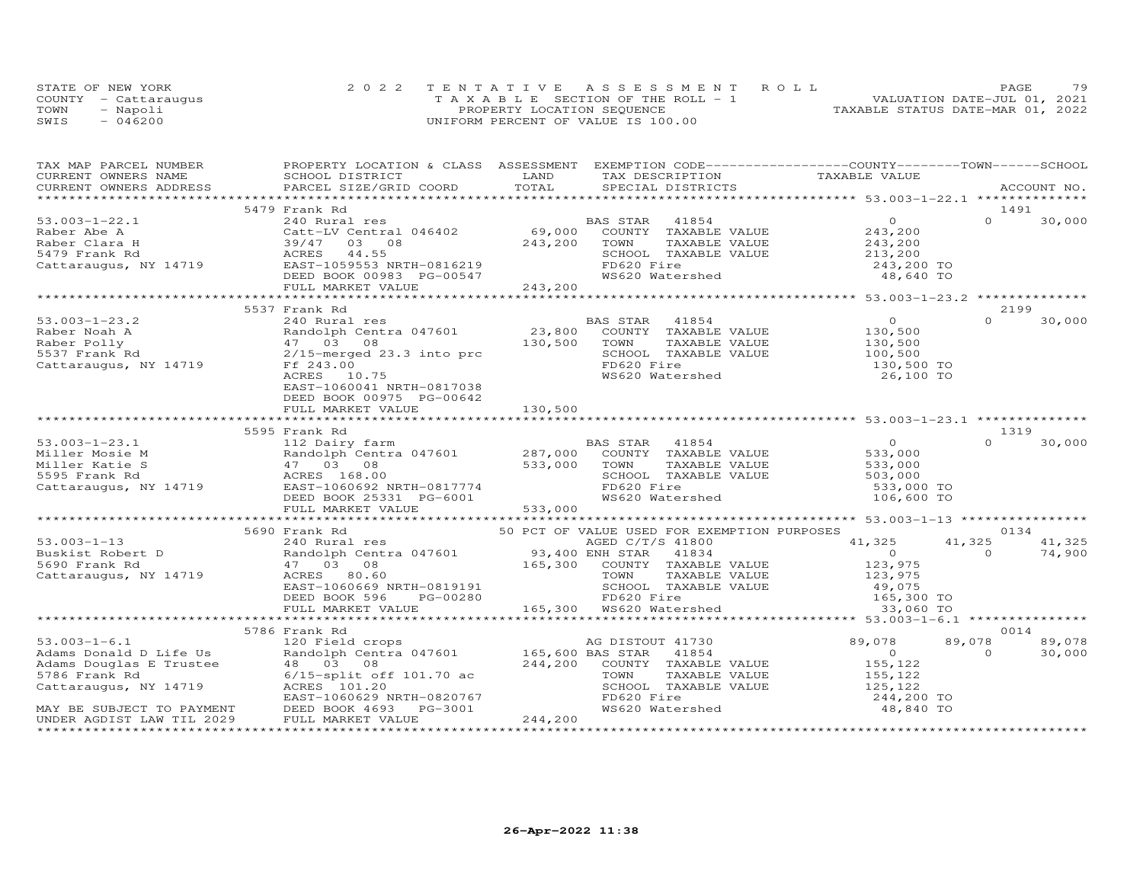|      | STATE OF NEW YORK    | 2022 TENTATIVE ASSESSMENT ROLL        | 79<br>PAGE                       |
|------|----------------------|---------------------------------------|----------------------------------|
|      | COUNTY - Cattaraugus | T A X A B L E SECTION OF THE ROLL - 1 | VALUATION DATE-JUL 01, 2021      |
| TOWN | - Napoli             | PROPERTY LOCATION SEQUENCE            | TAXABLE STATUS DATE-MAR 01, 2022 |
| SWIS | $-046200$            | UNIFORM PERCENT OF VALUE IS 100.00    |                                  |

|                                                                                                                                                                                                                                                                                                                                                                                                                           | TAX MAP PARCEL NUMBER FROPERTY LOCATION & CLASS ASSESSMENT EXEMPTION CODE----------------COUNTY-------TOWN------SCHOOL |                 |            |                    |
|---------------------------------------------------------------------------------------------------------------------------------------------------------------------------------------------------------------------------------------------------------------------------------------------------------------------------------------------------------------------------------------------------------------------------|------------------------------------------------------------------------------------------------------------------------|-----------------|------------|--------------------|
|                                                                                                                                                                                                                                                                                                                                                                                                                           |                                                                                                                        |                 |            |                    |
|                                                                                                                                                                                                                                                                                                                                                                                                                           |                                                                                                                        |                 |            |                    |
|                                                                                                                                                                                                                                                                                                                                                                                                                           | 5479 Frank Rd                                                                                                          |                 |            | 1491               |
|                                                                                                                                                                                                                                                                                                                                                                                                                           |                                                                                                                        |                 |            |                    |
|                                                                                                                                                                                                                                                                                                                                                                                                                           |                                                                                                                        |                 |            |                    |
|                                                                                                                                                                                                                                                                                                                                                                                                                           |                                                                                                                        |                 |            |                    |
|                                                                                                                                                                                                                                                                                                                                                                                                                           |                                                                                                                        |                 |            |                    |
|                                                                                                                                                                                                                                                                                                                                                                                                                           |                                                                                                                        |                 |            |                    |
|                                                                                                                                                                                                                                                                                                                                                                                                                           |                                                                                                                        |                 |            |                    |
|                                                                                                                                                                                                                                                                                                                                                                                                                           |                                                                                                                        |                 |            |                    |
|                                                                                                                                                                                                                                                                                                                                                                                                                           |                                                                                                                        |                 |            |                    |
|                                                                                                                                                                                                                                                                                                                                                                                                                           | 5537 Frank Rd                                                                                                          |                 |            | 2199               |
| 53.003-1-23.2<br>Raber Noah A<br>Raber Polly (130,500<br>Raber Polly (130,500<br>23,800 COUNTY TAXABLE VALUE<br>23,800 COUNTY TAXABLE VALUE<br>23,800 COUNTY TAXABLE VALUE<br>23,800 COUNTY TAXABLE VALUE<br>23,800 COUNTY TAXABLE VALUE<br>23,5                                                                                                                                                                          |                                                                                                                        |                 |            | $\Omega$<br>30,000 |
|                                                                                                                                                                                                                                                                                                                                                                                                                           |                                                                                                                        |                 |            |                    |
|                                                                                                                                                                                                                                                                                                                                                                                                                           |                                                                                                                        |                 |            |                    |
|                                                                                                                                                                                                                                                                                                                                                                                                                           |                                                                                                                        |                 |            |                    |
|                                                                                                                                                                                                                                                                                                                                                                                                                           |                                                                                                                        |                 | 130,500 TO |                    |
|                                                                                                                                                                                                                                                                                                                                                                                                                           |                                                                                                                        |                 |            |                    |
|                                                                                                                                                                                                                                                                                                                                                                                                                           |                                                                                                                        | WS620 Watershed | 26,100 TO  |                    |
|                                                                                                                                                                                                                                                                                                                                                                                                                           | EAST-1060041 NRTH-0817038                                                                                              |                 |            |                    |
|                                                                                                                                                                                                                                                                                                                                                                                                                           | DEED BOOK 00975 PG-00642                                                                                               |                 |            |                    |
|                                                                                                                                                                                                                                                                                                                                                                                                                           |                                                                                                                        |                 |            |                    |
|                                                                                                                                                                                                                                                                                                                                                                                                                           |                                                                                                                        |                 |            | 1319               |
|                                                                                                                                                                                                                                                                                                                                                                                                                           | 5595 Frank Rd                                                                                                          |                 |            |                    |
|                                                                                                                                                                                                                                                                                                                                                                                                                           |                                                                                                                        |                 |            |                    |
|                                                                                                                                                                                                                                                                                                                                                                                                                           |                                                                                                                        |                 |            |                    |
|                                                                                                                                                                                                                                                                                                                                                                                                                           |                                                                                                                        |                 |            |                    |
|                                                                                                                                                                                                                                                                                                                                                                                                                           |                                                                                                                        |                 |            |                    |
|                                                                                                                                                                                                                                                                                                                                                                                                                           |                                                                                                                        |                 |            |                    |
|                                                                                                                                                                                                                                                                                                                                                                                                                           |                                                                                                                        |                 |            |                    |
|                                                                                                                                                                                                                                                                                                                                                                                                                           |                                                                                                                        |                 |            |                    |
| $\begin{array}{cccccccc} 53.003-1-23.1 & 5595\text{ Frank Rd} & 1319 & 1319\\ \text{Miller Mosie M} & 12. Dairy farm & 287,000 & 000NTY TAXABLE VALUE & 533,000 & 0 & 30,000\\ \text{Miller Mosie M} & 47 03 & 90,000 & 530,000 & 533,000 & 533,000 & 533,000\\ \text{F11e Ratie Kattes} & 47 03 & 08 & 30,000 & 533,000 & 533,000 & 533$                                                                                 |                                                                                                                        |                 |            |                    |
|                                                                                                                                                                                                                                                                                                                                                                                                                           |                                                                                                                        |                 |            |                    |
|                                                                                                                                                                                                                                                                                                                                                                                                                           |                                                                                                                        |                 |            |                    |
|                                                                                                                                                                                                                                                                                                                                                                                                                           |                                                                                                                        |                 |            |                    |
|                                                                                                                                                                                                                                                                                                                                                                                                                           |                                                                                                                        |                 |            |                    |
|                                                                                                                                                                                                                                                                                                                                                                                                                           |                                                                                                                        |                 |            |                    |
|                                                                                                                                                                                                                                                                                                                                                                                                                           |                                                                                                                        |                 |            |                    |
|                                                                                                                                                                                                                                                                                                                                                                                                                           |                                                                                                                        |                 |            |                    |
|                                                                                                                                                                                                                                                                                                                                                                                                                           |                                                                                                                        |                 |            |                    |
|                                                                                                                                                                                                                                                                                                                                                                                                                           |                                                                                                                        |                 |            |                    |
|                                                                                                                                                                                                                                                                                                                                                                                                                           | 5786 Frank Rd                                                                                                          |                 |            | 0014               |
|                                                                                                                                                                                                                                                                                                                                                                                                                           |                                                                                                                        |                 | 89,078     | 89,078             |
|                                                                                                                                                                                                                                                                                                                                                                                                                           |                                                                                                                        |                 |            | $\Omega$<br>30,000 |
|                                                                                                                                                                                                                                                                                                                                                                                                                           |                                                                                                                        |                 |            |                    |
|                                                                                                                                                                                                                                                                                                                                                                                                                           |                                                                                                                        |                 |            |                    |
|                                                                                                                                                                                                                                                                                                                                                                                                                           |                                                                                                                        |                 |            |                    |
|                                                                                                                                                                                                                                                                                                                                                                                                                           |                                                                                                                        |                 |            |                    |
| $\begin{tabular}{lllllllllllllllllllllll} \hline 53.003-1-6.1 & 5766\text{ Frank }\& 120\text{ Field crops} & \text{AG DISTOUT 41730} & 89,078 & 89\\ \hline \text{Adams Donald D Life Us} & 120\text{ Field crops} & 48,03 & 08 & 244,200\text{ COUNTY TAXABLE VALUE} & 155,122\\ \hline \text{Adams Douglas E Trustee} & 48 & 03 & 08 & 244,200\text{ COUNTY TAXABLE VALUE} & 155,122\\ \hline \text{5786 Frank Rd} & $ |                                                                                                                        |                 |            |                    |
|                                                                                                                                                                                                                                                                                                                                                                                                                           |                                                                                                                        |                 |            |                    |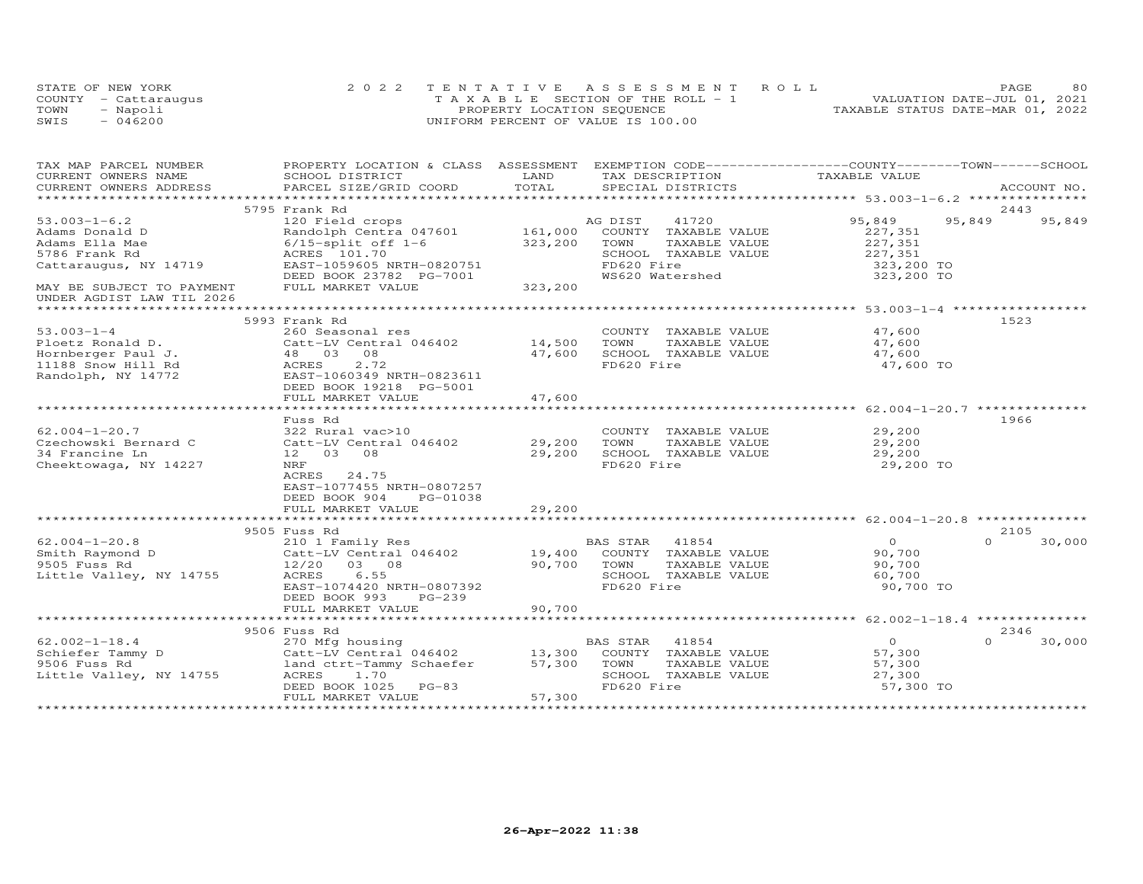|      | STATE OF NEW YORK    | 2022 TENTATIVE ASSESSMENT ROLL        | 80<br>PAGE                       |
|------|----------------------|---------------------------------------|----------------------------------|
|      | COUNTY - Cattaraugus | T A X A B L E SECTION OF THE ROLL - 1 | VALUATION DATE-JUL 01, 2021      |
| TOWN | - Napoli             | PROPERTY LOCATION SEQUENCE            | TAXABLE STATUS DATE-MAR 01, 2022 |
| SWIS | $-046200$            | UNIFORM PERCENT OF VALUE IS 100.00    |                                  |

| TAX MAP PARCEL NUMBER     | PROPERTY LOCATION & CLASS ASSESSMENT EXEMPTION CODE----------------COUNTY-------TOWN-----SCHOOL |          |                              |               |                |          |             |
|---------------------------|-------------------------------------------------------------------------------------------------|----------|------------------------------|---------------|----------------|----------|-------------|
| CURRENT OWNERS NAME       | SCHOOL DISTRICT                                                                                 | LAND     | TAX DESCRIPTION              |               | TAXABLE VALUE  |          |             |
| CURRENT OWNERS ADDRESS    | PARCEL SIZE/GRID COORD                                                                          | TOTAL    | SPECIAL DISTRICTS            |               |                |          | ACCOUNT NO. |
|                           |                                                                                                 |          |                              |               |                |          |             |
|                           | 5795 Frank Rd                                                                                   |          |                              |               |                |          | 2443        |
| $53.003 - 1 - 6.2$        | 120 Field crops                                                                                 |          | AG DIST<br>41720             |               | 95,849         | 95,849   | 95,849      |
| Adams Donald D            | Randolph Centra 047601                                                                          |          | 161,000 COUNTY TAXABLE VALUE |               | 227,351        |          |             |
| Adams Ella Mae            | $6/15$ -split off $1-6$                                                                         | 323,200  | TOWN                         | TAXABLE VALUE | 227,351        |          |             |
| 5786 Frank Rd             | ACRES 101.70                                                                                    |          | SCHOOL TAXABLE VALUE         |               | 227,351        |          |             |
| Cattaraugus, NY 14719     | EAST-1059605 NRTH-0820751                                                                       |          | FD620 Fire                   |               | 323,200 TO     |          |             |
|                           | DEED BOOK 23782 PG-7001                                                                         |          | WS620 Watershed              |               | 323,200 TO     |          |             |
| MAY BE SUBJECT TO PAYMENT | FULL MARKET VALUE                                                                               | 323, 200 |                              |               |                |          |             |
| UNDER AGDIST LAW TIL 2026 |                                                                                                 |          |                              |               |                |          |             |
|                           |                                                                                                 |          |                              |               |                |          |             |
|                           | 5993 Frank Rd                                                                                   |          |                              |               |                |          | 1523        |
| $53.003 - 1 - 4$          | 260 Seasonal res                                                                                |          | COUNTY TAXABLE VALUE         |               | 47,600         |          |             |
| Ploetz Ronald D.          | Catt-LV Central 046402                                                                          | 14,500   | TOWN                         | TAXABLE VALUE | 47,600         |          |             |
| Hornberger Paul J.        | 48 03 08                                                                                        | 47,600   | SCHOOL TAXABLE VALUE         |               | 47,600         |          |             |
| 11188 Snow Hill Rd        | ACRES<br>2.72                                                                                   |          | FD620 Fire                   |               | 47,600 TO      |          |             |
| Randolph, NY 14772        | EAST-1060349 NRTH-0823611                                                                       |          |                              |               |                |          |             |
|                           | DEED BOOK 19218 PG-5001                                                                         |          |                              |               |                |          |             |
|                           | FULL MARKET VALUE                                                                               | 47,600   |                              |               |                |          |             |
|                           |                                                                                                 |          |                              |               |                |          |             |
|                           | Fuss Rd                                                                                         |          |                              |               |                |          | 1966        |
| $62.004 - 1 - 20.7$       | 322 Rural vac>10                                                                                |          | COUNTY TAXABLE VALUE         |               | 29,200         |          |             |
| Czechowski Bernard C      | Catt-LV Central 046402 29,200                                                                   |          | TOWN                         | TAXABLE VALUE | 29,200         |          |             |
| 34 Francine Ln            | 12 03 08                                                                                        | 29,200   | SCHOOL TAXABLE VALUE         |               | 29,200         |          |             |
| Cheektowaga, NY 14227     | NRF                                                                                             |          | FD620 Fire                   |               | 29,200 TO      |          |             |
|                           | ACRES 24.75                                                                                     |          |                              |               |                |          |             |
|                           | EAST-1077455 NRTH-0807257                                                                       |          |                              |               |                |          |             |
|                           | DEED BOOK 904<br>PG-01038                                                                       |          |                              |               |                |          |             |
|                           | FULL MARKET VALUE                                                                               | 29,200   |                              |               |                |          |             |
|                           |                                                                                                 |          |                              |               |                |          |             |
|                           | 9505 Fuss Rd                                                                                    |          |                              |               |                |          | 2105        |
| $62.004 - 1 - 20.8$       | 210 1 Family Res                                                                                |          | 41854<br>BAS STAR            |               | $\Omega$       | $\cap$   | 30,000      |
| Smith Raymond D           |                                                                                                 |          | COUNTY TAXABLE VALUE         |               | 90,700         |          |             |
| 9505 Fuss Rd              |                                                                                                 | 90,700   | TOWN                         | TAXABLE VALUE | 90,700         |          |             |
| Little Valley, NY 14755   | 12/20 03 08<br>6.55<br>ACRES                                                                    |          | SCHOOL TAXABLE VALUE         |               | 60,700         |          |             |
|                           |                                                                                                 |          | FD620 Fire                   |               |                |          |             |
|                           | EAST-1074420 NRTH-0807392                                                                       |          |                              |               | 90,700 TO      |          |             |
|                           | PG-239<br>DEED BOOK 993                                                                         |          |                              |               |                |          |             |
|                           | FULL MARKET VALUE                                                                               | 90,700   |                              |               |                |          |             |
|                           |                                                                                                 |          |                              |               |                |          |             |
|                           | 9506 Fuss Rd                                                                                    |          |                              |               |                |          | 2346        |
| $62.002 - 1 - 18.4$       | 270 Mfg housing                                                                                 |          | BAS STAR 41854               |               | $\overline{O}$ | $\Omega$ | 30,000      |
| Schiefer Tammy D          | Catt-LV Central 046402 13,300<br>land ctrt-Tammy Schaefer 57,300                                |          | COUNTY TAXABLE VALUE         |               | 57,300         |          |             |
| 9506 Fuss Rd              |                                                                                                 |          | TOWN                         | TAXABLE VALUE | 57,300         |          |             |
| Little Valley, NY 14755   | ACRES 1.70                                                                                      |          | SCHOOL TAXABLE VALUE         |               | 27,300         |          |             |
|                           | DEED BOOK 1025 PG-83                                                                            |          | FD620 Fire                   |               | 57,300 TO      |          |             |
|                           | FULL MARKET VALUE                                                                               | 57,300   |                              |               |                |          |             |
|                           |                                                                                                 |          |                              |               |                |          |             |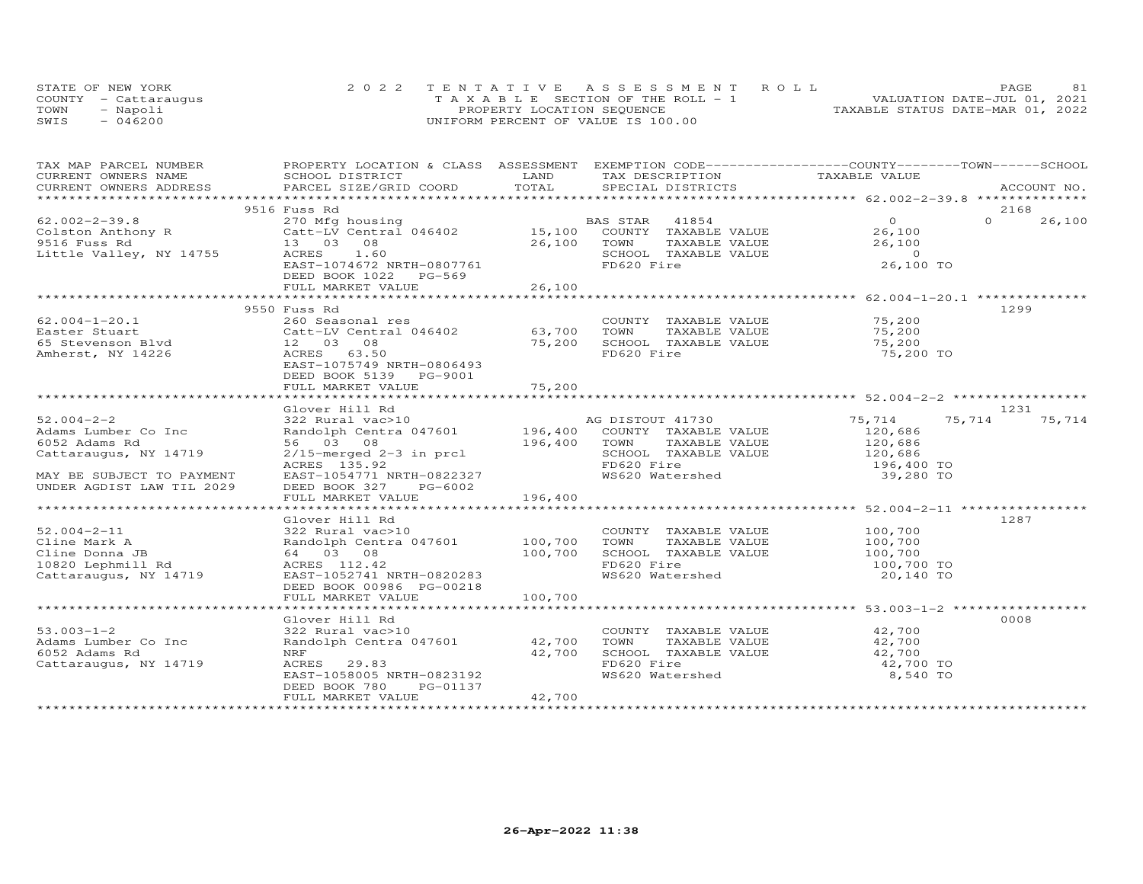|      | STATE OF NEW YORK    | 2022 TENTATIVE ASSESSMENT ROLL        | 81<br><b>PAGE</b>                |
|------|----------------------|---------------------------------------|----------------------------------|
|      | COUNTY - Cattarauqus | T A X A B L E SECTION OF THE ROLL - 1 | VALUATION DATE-JUL 01, 2021      |
| TOWN | Napoli               | PROPERTY LOCATION SEQUENCE            | TAXABLE STATUS DATE-MAR 01, 2022 |
| SWIS | 046200               | UNIFORM PERCENT OF VALUE IS 100.00    |                                  |

| TAX MAP PARCEL NUMBER            | PROPERTY LOCATION & CLASS ASSESSMENT EXEMPTION CODE----------------COUNTY-------TOWN------SCHOOL         |              |                                                            |                      |                    |
|----------------------------------|----------------------------------------------------------------------------------------------------------|--------------|------------------------------------------------------------|----------------------|--------------------|
| CURRENT OWNERS NAME              | SCHOOL DISTRICT                                                                                          | LAND         | TAX DESCRIPTION                                            | TAXABLE VALUE        |                    |
| CURRENT OWNERS ADDRESS           | PARCEL SIZE/GRID COORD                                                                                   | TOTAL        | SPECIAL DISTRICTS                                          |                      | ACCOUNT NO.        |
|                                  |                                                                                                          |              |                                                            |                      |                    |
|                                  | 9516 Fuss Rd                                                                                             |              |                                                            |                      | 2168               |
| $62.002 - 2 - 39.8$              |                                                                                                          |              |                                                            | $\overline{0}$       | $\Omega$<br>26,100 |
| 62.002 2 2.<br>Colston Anthony R |                                                                                                          |              |                                                            | 26,100               |                    |
|                                  | 13 03 08                                                                                                 | 26,100       | TOWN<br>TAXABLE VALUE                                      | 26,100               |                    |
| Little Valley, NY 14755          | ACRES 1.60                                                                                               |              | SCHOOL TAXABLE VALUE                                       | $\sim$ 0             |                    |
|                                  | EAST-1074672 NRTH-0807761                                                                                |              | FD620 Fire                                                 | 26,100 TO            |                    |
|                                  | DEED BOOK 1022 PG-569                                                                                    |              |                                                            |                      |                    |
|                                  | FULL MARKET VALUE                                                                                        | 26,100       |                                                            |                      |                    |
|                                  |                                                                                                          |              |                                                            |                      |                    |
|                                  | 9550 Fuss Rd                                                                                             |              |                                                            |                      | 1299               |
| $62.004 - 1 - 20.1$              | 260 Seasonal res                                                                                         |              | COUNTY TAXABLE VALUE                                       | 75,200               |                    |
| Easter Stuart                    |                                                                                                          |              | TAXABLE VALUE<br>TOWN                                      | 75,200               |                    |
| 65 Stevenson Blvd                | Catt-LV Central 046402 63,700                                                                            | 75,200       | SCHOOL TAXABLE VALUE                                       | 75,200               |                    |
|                                  | $\begin{array}{cccc}\n & & \text{Catt-Lv} & \text{c}\n\text{12} & 03 & 08 \\  & & - & 63.5\n\end{array}$ |              |                                                            |                      |                    |
| Amherst, NY 14226                | ACRES 63.50                                                                                              |              | FD620 Fire                                                 | 75,200 TO            |                    |
|                                  | EAST-1075749 NRTH-0806493                                                                                |              |                                                            |                      |                    |
|                                  | DEED BOOK 5139 PG-9001                                                                                   |              |                                                            |                      |                    |
|                                  | FULL MARKET VALUE                                                                                        | 75,200       |                                                            |                      |                    |
|                                  |                                                                                                          |              |                                                            |                      |                    |
|                                  | Glover Hill Rd                                                                                           |              |                                                            |                      | 1231               |
| $52.004 - 2 - 2$                 | 322 Rural vac>10                                                                                         |              | AG DISTOUT 41730                                           | 75,714               | 75,714<br>75,714   |
| Adams Lumber Co Inc              | Randolph Centra 047601                                                                                   |              | 196,400 COUNTY TAXABLE VALUE                               | 120,686              |                    |
| 6052 Adams Rd                    | 56 03 08                                                                                                 | 196,400 TOWN | TAXABLE VALUE                                              | 120,686<br>120,686   |                    |
| Cattaraugus, NY 14719            | $2/15$ -merged $2-3$ in prcl                                                                             |              | SCHOOL TAXABLE VALUE                                       |                      |                    |
|                                  | ACRES 135.92                                                                                             |              | FD620 Fire                                                 | 196,400 TO           |                    |
| MAY BE SUBJECT TO PAYMENT        | EAST-1054771 NRTH-0822327                                                                                |              | WS620 Watershed                                            | 39,280 TO            |                    |
| UNDER AGDIST LAW TIL 2029        | DEED BOOK 327<br>PG-6002                                                                                 |              |                                                            |                      |                    |
|                                  | FULL MARKET VALUE                                                                                        | 196,400      |                                                            |                      |                    |
|                                  |                                                                                                          |              |                                                            |                      |                    |
|                                  | Glover Hill Rd                                                                                           |              |                                                            |                      | 1287               |
| $52.004 - 2 - 11$                | 322 Rural vac>10                                                                                         |              |                                                            |                      |                    |
| Cline Mark A                     | 322 Rural vac>10<br>Randolph Centra 047601 100,700                                                       |              | COUNTY TAXABLE VALUE 100,700<br>TOWN TAXABLE VALUE 100,700 |                      |                    |
| Cline Donna JB                   | 64 03 08                                                                                                 | 100,700      | SCHOOL TAXABLE VALUE                                       | 100,700              |                    |
|                                  |                                                                                                          |              | FD620 Fire                                                 |                      |                    |
| 10820 Lephmill Rd                | ACRES 112.42                                                                                             |              |                                                            | 100,700 TO           |                    |
| Cattaraugus, NY 14719            | EAST-1052741 NRTH-0820283                                                                                |              | WS620 Watershed                                            | 20,140 TO            |                    |
|                                  | DEED BOOK 00986 PG-00218                                                                                 |              |                                                            |                      |                    |
|                                  | FULL MARKET VALUE                                                                                        | 100,700      |                                                            |                      |                    |
|                                  |                                                                                                          |              |                                                            |                      |                    |
|                                  | Glover Hill Rd                                                                                           |              |                                                            |                      | 0008               |
| $53.003 - 1 - 2$                 | 322 Rural vac>10                                                                                         |              | COUNTY TAXABLE VALUE                                       | 42,700               |                    |
| Adams Lumber Co Inc              | Randolph Centra 047601 42,700                                                                            |              | TOWN                                                       | TAXABLE VALUE 42,700 |                    |
| 6052 Adams Rd                    | NRF                                                                                                      | 42,700       |                                                            | 42,700               |                    |
| Cattaraugus, NY 14719            | ACRES 29.83                                                                                              |              | SCHOOL TAXABLE VALUE<br>FD620 Fire                         | 42,700 TO            |                    |
|                                  | EAST-1058005 NRTH-0823192                                                                                |              | WS620 Watershed                                            | 8,540 TO             |                    |
|                                  | DEED BOOK 780<br>PG-01137                                                                                |              |                                                            |                      |                    |
|                                  | FULL MARKET VALUE                                                                                        | 42,700       |                                                            |                      |                    |
|                                  |                                                                                                          |              |                                                            |                      |                    |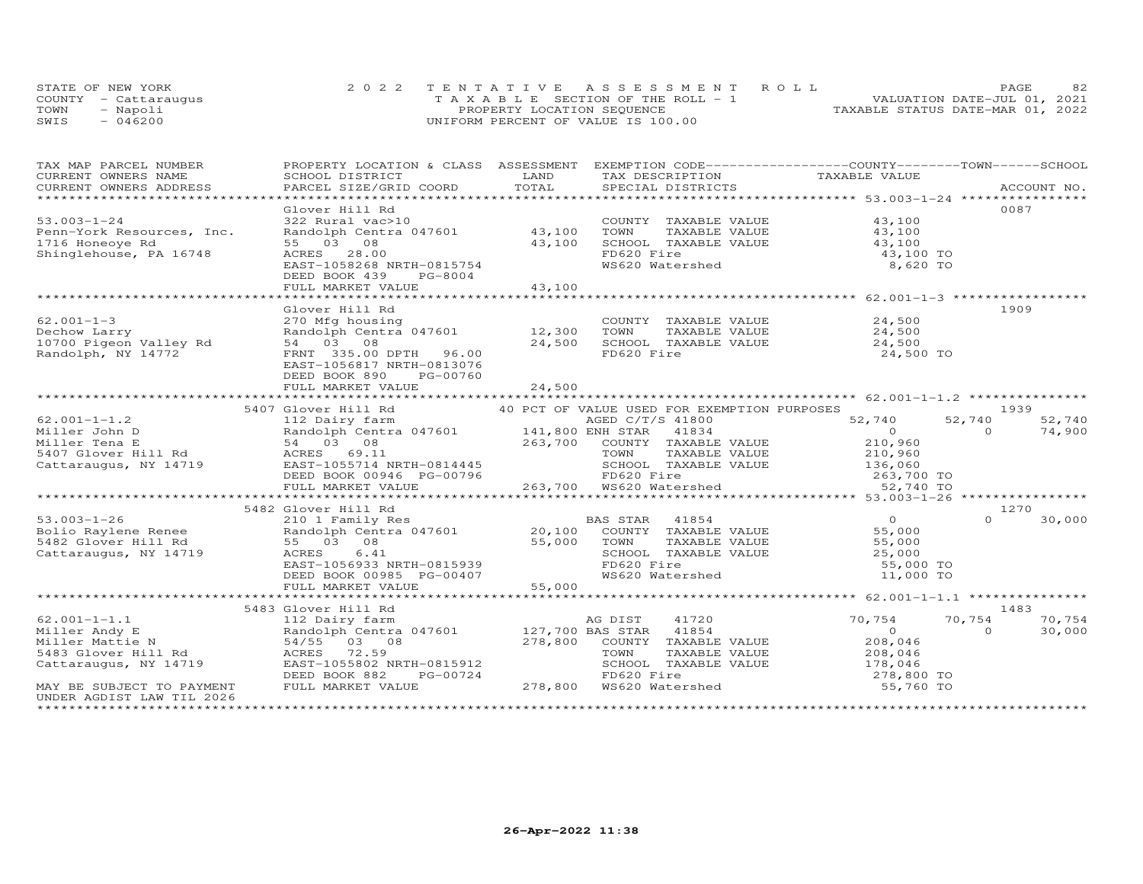|      | STATE OF NEW YORK    | 2022 TENTATIVE ASSESSMENT ROLL        | 82<br>PAGE.                      |
|------|----------------------|---------------------------------------|----------------------------------|
|      | COUNTY - Cattaraugus | T A X A B L E SECTION OF THE ROLL - 1 | VALUATION DATE-JUL 01, 2021      |
| TOWN | - Napoli             | PROPERTY LOCATION SEQUENCE            | TAXABLE STATUS DATE-MAR 01, 2022 |
| SWIS | $-046200$            | UNIFORM PERCENT OF VALUE IS 100.00    |                                  |

| TAX MAP PARCEL NUMBER                                                                                                                                                                                                                              | PROPERTY LOCATION & CLASS ASSESSMENT EXEMPTION CODE----------------COUNTY-------TOWN-----SCHOOL                            |        |                                                                                  |                      |                    |
|----------------------------------------------------------------------------------------------------------------------------------------------------------------------------------------------------------------------------------------------------|----------------------------------------------------------------------------------------------------------------------------|--------|----------------------------------------------------------------------------------|----------------------|--------------------|
| CURRENT OWNERS NAME                                                                                                                                                                                                                                | SCHOOL DISTRICT                                                                                                            | LAND   | TAX DESCRIPTION                                                                  | TAXABLE VALUE        |                    |
|                                                                                                                                                                                                                                                    |                                                                                                                            |        |                                                                                  |                      |                    |
|                                                                                                                                                                                                                                                    |                                                                                                                            |        |                                                                                  |                      |                    |
|                                                                                                                                                                                                                                                    | Glover Hill Rd                                                                                                             |        |                                                                                  |                      | 0087               |
| $53.003 - 1 - 24$                                                                                                                                                                                                                                  | 322 Rural vac>10<br>322 Rural vac>10<br>Randolph Centra 047601 43,100                                                      |        | COUNTY TAXABLE VALUE                                                             | 43,100               |                    |
| Penn-York Resources, Inc.                                                                                                                                                                                                                          |                                                                                                                            |        | TOWN<br>TAXABLE VALUE                                                            | 43,100               |                    |
| 1716 Honeoye Rd                                                                                                                                                                                                                                    | 55 03 08                                                                                                                   | 43,100 | SCHOOL TAXABLE VALUE                                                             | 43,100               |                    |
| Shinglehouse, PA 16748                                                                                                                                                                                                                             | ACRES 28.00                                                                                                                |        | FD620 Fire                                                                       | 43,100 TO            |                    |
|                                                                                                                                                                                                                                                    | EAST-1058268 NRTH-0815754                                                                                                  |        | WS620 Watershed                                                                  | 8,620 TO             |                    |
|                                                                                                                                                                                                                                                    | DEED BOOK 439<br>PG-8004                                                                                                   |        |                                                                                  |                      |                    |
|                                                                                                                                                                                                                                                    | FULL MARKET VALUE                                                                                                          | 43,100 |                                                                                  |                      |                    |
|                                                                                                                                                                                                                                                    |                                                                                                                            |        |                                                                                  |                      |                    |
|                                                                                                                                                                                                                                                    | Glover Hill Rd                                                                                                             |        |                                                                                  |                      | 1909               |
| $62.001 - 1 - 3$                                                                                                                                                                                                                                   | 270 Mfg housing                                                                                                            |        | COUNTY TAXABLE VALUE                                                             | 24,500               |                    |
| Dechow Larry                                                                                                                                                                                                                                       | Randolph Centra 047601 12,300                                                                                              |        | TOWN                                                                             | TAXABLE VALUE 24,500 |                    |
| 10700 Pigeon Valley Rd                                                                                                                                                                                                                             | 54 03 08                                                                                                                   | 24,500 |                                                                                  | 24,500               |                    |
| Randolph, NY 14772                                                                                                                                                                                                                                 | FRNT 335.00 DPTH 96.00                                                                                                     |        | FD620 Fire                                                                       | 24,500 TO            |                    |
|                                                                                                                                                                                                                                                    | EAST-1056817 NRTH-0813076                                                                                                  |        |                                                                                  |                      |                    |
|                                                                                                                                                                                                                                                    | DEED BOOK 890<br>PG-00760                                                                                                  |        |                                                                                  |                      |                    |
|                                                                                                                                                                                                                                                    | FULL MARKET VALUE                                                                                                          | 24,500 |                                                                                  |                      |                    |
|                                                                                                                                                                                                                                                    |                                                                                                                            |        |                                                                                  |                      |                    |
|                                                                                                                                                                                                                                                    | 5407 Glover Hill Rd                                                                                                        |        | 40 PCT OF VALUE USED FOR EXEMPTION PURPOSES                                      |                      | 1939               |
| $62.001 - 1 - 1.2$                                                                                                                                                                                                                                 | 112 Dairy farm<br>112 Dairy farm<br>Randolph Centra 047601 141,800 ENH STAR 41834<br>54 03 08 263,700 COUNTY TAXABLE VALUE |        | AGED C/T/S 41800                                                                 | 52,740               | 52,740<br>52,740   |
| 02.001-1-1.2<br>Miller John D<br>Miller Tena E<br>54 03 08 263,700<br>5407 Glover Hill Rd ACRES 69.11<br>Cattaraugus, NY 14719 EAST-1055714 NRTH-0814445<br>FRED BOOK 00946 PG-00796                                                               |                                                                                                                            |        |                                                                                  | $\overline{0}$       | 74,900<br>$\Omega$ |
|                                                                                                                                                                                                                                                    |                                                                                                                            |        |                                                                                  | 210,960              |                    |
|                                                                                                                                                                                                                                                    |                                                                                                                            |        | TOWN TAXABLE VALUE 210,960<br>SCHOOL TAXABLE VALUE 136,060                       |                      |                    |
|                                                                                                                                                                                                                                                    |                                                                                                                            |        |                                                                                  |                      |                    |
|                                                                                                                                                                                                                                                    |                                                                                                                            |        | G-00796 FD620 Fire (263,700 TO September)<br>263,700 MS620 Watershed (263,700 TO |                      |                    |
|                                                                                                                                                                                                                                                    | FULL MARKET VALUE                                                                                                          |        |                                                                                  |                      |                    |
|                                                                                                                                                                                                                                                    |                                                                                                                            |        |                                                                                  |                      |                    |
|                                                                                                                                                                                                                                                    | 5482 Glover Hill Rd                                                                                                        |        |                                                                                  |                      | 1270               |
| $53.003 - 1 - 26$<br>CONTROLL AND THE MASS OF THE MASS OF THE MASS OF THE MANUS CONTROLL AND HER SERIE AND HER SANDLE VALUE SAND TO SAND TO A SANDLE VALUE SAND TO A SAND TO A SAND TO A SAND TO A SAND TO A SAND TO A SAND TO A SAND TO A SAND TO | 210 1 Family Res                                                                                                           |        | BAS STAR<br>41854                                                                | $\overline{O}$       | $\Omega$<br>30,000 |
|                                                                                                                                                                                                                                                    |                                                                                                                            |        |                                                                                  | 55,000               |                    |
|                                                                                                                                                                                                                                                    |                                                                                                                            |        |                                                                                  | 55,000               |                    |
| Cattaraugus, NY 14719                                                                                                                                                                                                                              |                                                                                                                            |        |                                                                                  | 25,000               |                    |
|                                                                                                                                                                                                                                                    | EAST-1056933 NRTH-0815939<br>DEED BOOK 00985 PG-00407                                                                      |        | FD620 Fire                                                                       | 55,000 TO            |                    |
|                                                                                                                                                                                                                                                    |                                                                                                                            |        | WS620 Watershed                                                                  | 11,000 TO            |                    |
|                                                                                                                                                                                                                                                    | FULL MARKET VALUE                                                                                                          | 55,000 |                                                                                  |                      |                    |
|                                                                                                                                                                                                                                                    |                                                                                                                            |        |                                                                                  |                      |                    |
|                                                                                                                                                                                                                                                    | 5483 Glover Hill Rd                                                                                                        |        |                                                                                  |                      | 1483               |
| $62.001 - 1 - 1.1$                                                                                                                                                                                                                                 | 112 Dairy farm                                                                                                             |        | AG DIST<br>41720                                                                 | 70,754               | 70,754<br>70,754   |
| Miller Andy E                                                                                                                                                                                                                                      | Randolph Centra 047601 127,700 BAS STAR                                                                                    |        | 41854                                                                            | $\overline{O}$       | $\Omega$<br>30,000 |
| Miller Mattie N                                                                                                                                                                                                                                    | 54/55 03 08                                                                                                                |        | 278,800 COUNTY TAXABLE VALUE                                                     | 208,046              |                    |
| 5483 Glover Hill Rd                                                                                                                                                                                                                                | ACRES 72.59                                                                                                                |        | TOWN<br>TAXABLE VALUE                                                            | 208,046<br>178,046   |                    |
| Cattaraugus, NY 14719                                                                                                                                                                                                                              | EAST-1055802 NRTH-0815912                                                                                                  |        | SCHOOL TAXABLE VALUE                                                             |                      |                    |
| MAY BE SUBJECT TO PAYMENT FULL MARKET VALUE                                                                                                                                                                                                        | DEED BOOK 882<br>PG-00724                                                                                                  |        | FD620 Fire                                                                       | 278,800 TO           |                    |
|                                                                                                                                                                                                                                                    |                                                                                                                            |        | 278,800 WS620 Watershed                                                          | 55,760 TO            |                    |
| UNDER AGDIST LAW TIL 2026                                                                                                                                                                                                                          |                                                                                                                            |        |                                                                                  |                      |                    |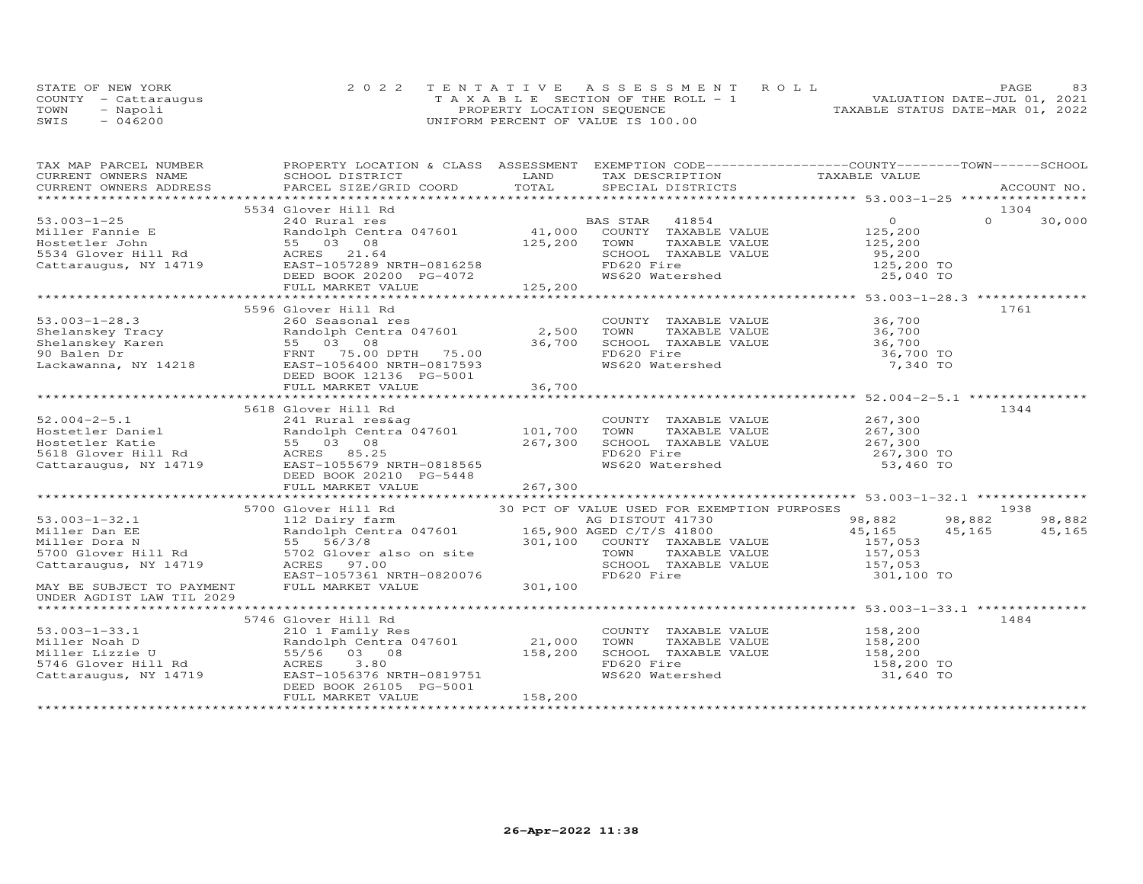|      | STATE OF NEW YORK    | 2022 TENTATIVE ASSESSMENT ROLL        | 83<br>PAGE                       |
|------|----------------------|---------------------------------------|----------------------------------|
|      | COUNTY - Cattaraugus | T A X A B L E SECTION OF THE ROLL - 1 | VALUATION DATE-JUL 01, 2021      |
| TOWN | - Napoli             | PROPERTY LOCATION SEQUENCE            | TAXABLE STATUS DATE-MAR 01, 2022 |
| SWIS | $-046200$            | UNIFORM PERCENT OF VALUE IS 100.00    |                                  |

| TAX MAP PARCEL NUMBER             | PROPERTY LOCATION & CLASS ASSESSMENT EXEMPTION CODE----------------COUNTY-------TOWN------SCHOOL                                                                                                                |         |                                                                               |                                                                                                            |                    |
|-----------------------------------|-----------------------------------------------------------------------------------------------------------------------------------------------------------------------------------------------------------------|---------|-------------------------------------------------------------------------------|------------------------------------------------------------------------------------------------------------|--------------------|
|                                   |                                                                                                                                                                                                                 |         | TAX DESCRIPTION TAXABLE VALUE                                                 |                                                                                                            |                    |
|                                   |                                                                                                                                                                                                                 |         |                                                                               |                                                                                                            | ACCOUNT NO.        |
|                                   |                                                                                                                                                                                                                 |         |                                                                               |                                                                                                            |                    |
|                                   | 5534 Glover Hill Rd<br>--- Nuidires<br>Randolph Centra 047601 (41,000 COUNTY TAXABLE VALUE<br>55 03 08 (125,200 TOWN TAXABLE VALUE<br>RAST-1057332                                                              |         |                                                                               |                                                                                                            | 1304               |
| $53.003 - 1 - 25$                 |                                                                                                                                                                                                                 |         |                                                                               | $\overline{O}$                                                                                             | $\Omega$<br>30,000 |
|                                   |                                                                                                                                                                                                                 |         |                                                                               | 125,200                                                                                                    |                    |
|                                   |                                                                                                                                                                                                                 |         |                                                                               | TAXABLE VALUE 125,200                                                                                      |                    |
|                                   |                                                                                                                                                                                                                 |         |                                                                               | 95,200<br>125,200 TO                                                                                       |                    |
|                                   | Miller Fannie E<br>Hostetler John 55 03 08<br>5534 Glover Hill Rd ACRES 21.64<br>Cattaraugus, NY 14719 EAST-1057289 NRTH-0816258                                                                                |         | SCHOOL TAXABLE VALUE<br>FD620 Fire<br>WS620 Watershed                         |                                                                                                            |                    |
|                                   | DEED BOOK 20200 PG-4072                                                                                                                                                                                         |         |                                                                               | 25,040 TO                                                                                                  |                    |
|                                   | FULL MARKET VALUE                                                                                                                                                                                               | 125,200 |                                                                               |                                                                                                            |                    |
|                                   |                                                                                                                                                                                                                 |         |                                                                               |                                                                                                            |                    |
|                                   | 5596 Glover Hill Rd                                                                                                                                                                                             |         |                                                                               |                                                                                                            | 1761               |
|                                   |                                                                                                                                                                                                                 |         | COUNTY TAXABLE VALUE 36,700                                                   | TAXABLE VALUE<br>TAXABLE VALUE<br>TAXABLE VALUE<br>$36,700$<br>TAXABLE VALUE<br>$36,700$ TO<br>$56,700$ TO |                    |
|                                   | Randolph Centra 047601 2,500                                                                                                                                                                                    |         | TOWN                                                                          |                                                                                                            |                    |
|                                   |                                                                                                                                                                                                                 |         |                                                                               |                                                                                                            |                    |
|                                   |                                                                                                                                                                                                                 | 36,700  | SCHOOL TAXABLE VALUE<br>FD620 Fire<br>WS620 Watershed                         |                                                                                                            |                    |
|                                   | EAST-1056400 NRTH-0817593                                                                                                                                                                                       |         |                                                                               | 7,340 TO                                                                                                   |                    |
|                                   | DEED BOOK 12136 PG-5001                                                                                                                                                                                         |         |                                                                               |                                                                                                            |                    |
|                                   |                                                                                                                                                                                                                 |         |                                                                               |                                                                                                            |                    |
|                                   |                                                                                                                                                                                                                 |         |                                                                               |                                                                                                            |                    |
|                                   | 5618 Glover Hill Rd                                                                                                                                                                                             |         |                                                                               |                                                                                                            | 1344               |
| $52.004 - 2 - 5.1$                | 241 Rural res&ag                                                                                                                                                                                                |         | COUNTY TAXABLE VALUE 267,300                                                  |                                                                                                            |                    |
|                                   | Randolph Centra <sup>047601</sup> 101,700                                                                                                                                                                       |         |                                                                               |                                                                                                            |                    |
|                                   |                                                                                                                                                                                                                 | 267,300 | TOWN TAXABLE VALUE<br>SCHOOL TAXABLE VALUE                                    | 267,300<br>267,300                                                                                         |                    |
|                                   |                                                                                                                                                                                                                 |         |                                                                               | 267,300 TO                                                                                                 |                    |
|                                   | Hostetler Daniel<br>Hostetler Katie 101,700<br>Hostetler Katie 55 03 08 267,300<br>5618 Glover Hill Rd ACRES 85.25<br>Cattaraugus, NY 14719 EAST-1055679 NRTH-0818565                                           |         | FD620 Fire<br>WS620 Watershed                                                 | 53,460 TO                                                                                                  |                    |
|                                   | DEED BOOK 20210 PG-5448                                                                                                                                                                                         |         |                                                                               |                                                                                                            |                    |
|                                   | FULL MARKET VALUE                                                                                                                                                                                               | 267,300 |                                                                               |                                                                                                            |                    |
|                                   |                                                                                                                                                                                                                 |         |                                                                               |                                                                                                            |                    |
|                                   | 5700 Glover Hill Rd                                                                                                                                                                                             |         | 30 PCT OF VALUE USED FOR EXEMPTION PURPOSES                                   |                                                                                                            | 1938               |
| $53.003 - 1 - 32.1$               | 112 Dairy farm                                                                                                                                                                                                  |         | AG DISTOUT 41730                                                              | 98,882                                                                                                     | 98,882<br>98,882   |
|                                   | 53.003-1-32.1<br>Miller Dan EE (Name Sandolph Centra 047601 165,900 AGED C/T/S 41800<br>Miller Dora N 55 56/3/8 301,100 COUNTY TAXABLE VALUE<br>5700 Glover Hill Rd 5702 Glover also on site TOWN TAXABLE VALUE |         |                                                                               | 45,165                                                                                                     | 45,165<br>45,165   |
|                                   |                                                                                                                                                                                                                 |         |                                                                               | 157,053                                                                                                    |                    |
|                                   |                                                                                                                                                                                                                 |         | TAXABLE VALUE                                                                 | 157,053                                                                                                    |                    |
| Cattaraugus, NY 14719 ACRES 97.00 |                                                                                                                                                                                                                 |         | SCHOOL TAXABLE VALUE 157,053                                                  |                                                                                                            |                    |
|                                   | EAST-1057361 NRTH-0820076                                                                                                                                                                                       |         | FD620 Fire                                                                    | 301,100 TO                                                                                                 |                    |
| MAY BE SUBJECT TO PAYMENT         | FULL MARKET VALUE                                                                                                                                                                                               | 301,100 |                                                                               |                                                                                                            |                    |
| UNDER AGDIST LAW TIL 2029         |                                                                                                                                                                                                                 |         |                                                                               |                                                                                                            |                    |
|                                   |                                                                                                                                                                                                                 |         |                                                                               |                                                                                                            |                    |
|                                   | 5746 Glover Hill Rd                                                                                                                                                                                             |         |                                                                               |                                                                                                            | 1484               |
| $53.003 - 1 - 33.1$               |                                                                                                                                                                                                                 |         |                                                                               |                                                                                                            |                    |
| Miller Noah D                     | 210 1 Family Res<br>Randolph Centra 047601 21,000 TOWN                                                                                                                                                          |         | COUNTY TAXABLE VALUE<br>TOWN      TAXABLE VALUE                               | 158,200<br>158,200                                                                                         |                    |
| Miller Lizzie U                   | 55/56 03 08                                                                                                                                                                                                     |         |                                                                               |                                                                                                            |                    |
| 5746 Glover Hill Rd               | 3.80                                                                                                                                                                                                            | 158,200 | SCHOOL TAXABLE VALUE<br>SCHOOL TAXABLE VALUE 158,200<br>FD620 Fire 158,200 TO |                                                                                                            |                    |
|                                   | ACRES                                                                                                                                                                                                           |         |                                                                               |                                                                                                            |                    |
| Cattaraugus, NY 14719             | EAST-1056376 NRTH-0819751                                                                                                                                                                                       |         | WS620 Watershed                                                               | 31,640 TO                                                                                                  |                    |
|                                   | DEED BOOK 26105 PG-5001                                                                                                                                                                                         |         |                                                                               |                                                                                                            |                    |
|                                   | FULL MARKET VALUE                                                                                                                                                                                               | 158,200 |                                                                               |                                                                                                            |                    |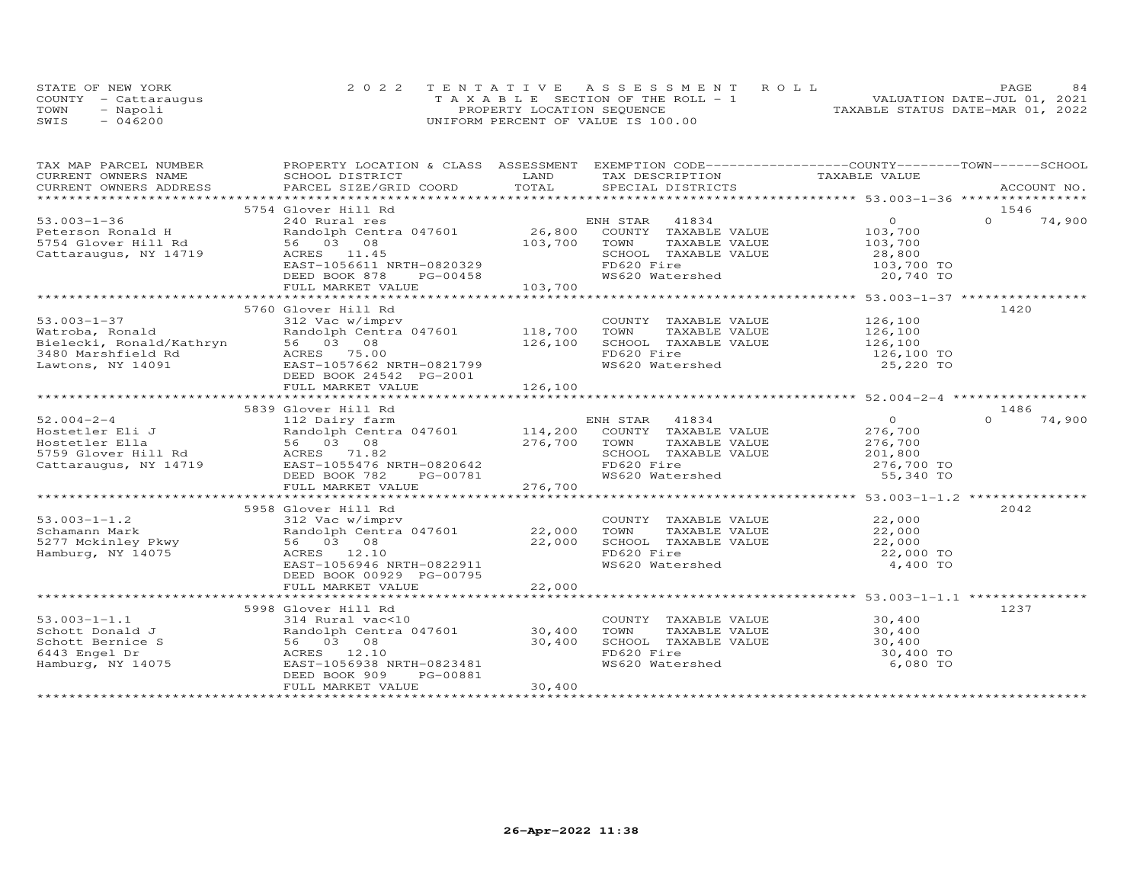|      | STATE OF NEW YORK    | 2022 TENTATIVE ASSESSMENT ROLL        | PAGE.                            | 84 |
|------|----------------------|---------------------------------------|----------------------------------|----|
|      | COUNTY - Cattarauqus | T A X A B L E SECTION OF THE ROLL - 1 | VALUATION DATE-JUL 01, 2021      |    |
| TOWN | - Napoli             | PROPERTY LOCATION SEQUENCE            | TAXABLE STATUS DATE-MAR 01, 2022 |    |
| SWIS | $-046200$            | UNIFORM PERCENT OF VALUE IS 100.00    |                                  |    |

| TAX MAP PARCEL NUMBER | PROPERTY LOCATION & CLASS ASSESSMENT EXEMPTION CODE-----------------COUNTY-------TOWN------SCHOOL                                                                                                                                                                                                                                                                                                                    |        |                                                                                                                                     |                         |                  |
|-----------------------|----------------------------------------------------------------------------------------------------------------------------------------------------------------------------------------------------------------------------------------------------------------------------------------------------------------------------------------------------------------------------------------------------------------------|--------|-------------------------------------------------------------------------------------------------------------------------------------|-------------------------|------------------|
|                       |                                                                                                                                                                                                                                                                                                                                                                                                                      |        |                                                                                                                                     |                         |                  |
|                       |                                                                                                                                                                                                                                                                                                                                                                                                                      |        |                                                                                                                                     |                         |                  |
|                       |                                                                                                                                                                                                                                                                                                                                                                                                                      |        |                                                                                                                                     |                         |                  |
|                       | 5754 Glover Hill Rd                                                                                                                                                                                                                                                                                                                                                                                                  |        |                                                                                                                                     |                         | 1546             |
|                       | 57.003-1-36 5754 610ver HILL KG<br>240 61000 1000 10000 10000 103,700<br>26,800 COUNTY TAXABLE VALUE 103,700<br>5754 Glover Hill Rd 56 03 08 103,700 1000 103,700 1000 103,700<br>Cattaraugus, NY 14719 ACRES 11.45 56611 NRTH-0820329                                                                                                                                                                               |        |                                                                                                                                     |                         | $\cap$<br>74,900 |
|                       |                                                                                                                                                                                                                                                                                                                                                                                                                      |        |                                                                                                                                     |                         |                  |
|                       |                                                                                                                                                                                                                                                                                                                                                                                                                      |        |                                                                                                                                     |                         |                  |
|                       |                                                                                                                                                                                                                                                                                                                                                                                                                      |        |                                                                                                                                     |                         |                  |
|                       |                                                                                                                                                                                                                                                                                                                                                                                                                      |        | SCHOOL TAXABLE VALUE 28,800<br>FD620 Fire 103,700 TO                                                                                |                         |                  |
|                       | $PG-00458$<br>LUE 103,700<br>DEED BOOK 878                                                                                                                                                                                                                                                                                                                                                                           |        | FD620 Fire 103,700 TO<br>WS620 Watershed 103,700 TO                                                                                 |                         |                  |
|                       | FULL MARKET VALUE                                                                                                                                                                                                                                                                                                                                                                                                    |        |                                                                                                                                     |                         |                  |
|                       |                                                                                                                                                                                                                                                                                                                                                                                                                      |        |                                                                                                                                     |                         |                  |
|                       | 5760 Glover Hill Rd<br>$\begin{tabular}{lllllllllllllllllllll} \hline 53.003-1-37 & \multicolumn{3}{c}{\mbox{}03$-3$} & \multicolumn{3}{c}{\mbox{}03$-1$} & \multicolumn{3}{c}{\mbox{}03$-1$} & \multicolumn{3}{c}{\mbox{}03$-1$} & \multicolumn{3}{c}{\mbox{}03$-1$} & \multicolumn{3}{c}{\mbox{}03$-1$} & \multicolumn{3}{c}{\mbox{}03$-1$} & \multicolumn{3}{c}{\mbox{}03$-1$} & \multicolumn{3}{c}{\mbox{}03$-1$ |        |                                                                                                                                     |                         | 1420             |
|                       |                                                                                                                                                                                                                                                                                                                                                                                                                      |        |                                                                                                                                     |                         |                  |
|                       |                                                                                                                                                                                                                                                                                                                                                                                                                      |        |                                                                                                                                     |                         |                  |
|                       |                                                                                                                                                                                                                                                                                                                                                                                                                      |        |                                                                                                                                     |                         |                  |
|                       |                                                                                                                                                                                                                                                                                                                                                                                                                      |        |                                                                                                                                     |                         |                  |
|                       |                                                                                                                                                                                                                                                                                                                                                                                                                      |        |                                                                                                                                     | 126,100 TO<br>25,220 TO |                  |
|                       |                                                                                                                                                                                                                                                                                                                                                                                                                      |        |                                                                                                                                     |                         |                  |
|                       |                                                                                                                                                                                                                                                                                                                                                                                                                      |        |                                                                                                                                     |                         |                  |
|                       |                                                                                                                                                                                                                                                                                                                                                                                                                      |        |                                                                                                                                     |                         |                  |
|                       | 5839 Glover Hill Rd                                                                                                                                                                                                                                                                                                                                                                                                  |        |                                                                                                                                     |                         | 1486             |
|                       |                                                                                                                                                                                                                                                                                                                                                                                                                      |        |                                                                                                                                     |                         | $\cap$<br>74,900 |
|                       |                                                                                                                                                                                                                                                                                                                                                                                                                      |        |                                                                                                                                     |                         |                  |
|                       | $\begin{array}{cccccccccccc} 52.004-2-4 & 3039 & 3039 & 3039 & 3039 & 3039 & 3039 & 3039 & 3039 & 3039 & 3039 & 3039 & 3039 & 3039 & 3039 & 3039 & 3039 & 3039 & 3039 & 3039 & 3039 & 3039 & 3039 & 3039 & 3039 & 3039 & 3039 & 3039 & 3039 & 3039 & 3039 & 3039 & 3039 & 3039 & $                                                                                                                                   |        |                                                                                                                                     |                         |                  |
|                       |                                                                                                                                                                                                                                                                                                                                                                                                                      |        |                                                                                                                                     |                         |                  |
|                       |                                                                                                                                                                                                                                                                                                                                                                                                                      |        | SCHOOL TAXABLE VALUE 1999 201,800<br>FD620 Fire 276,700 TO<br>WS620 Watershed 55,340 TO                                             |                         |                  |
|                       |                                                                                                                                                                                                                                                                                                                                                                                                                      |        |                                                                                                                                     |                         |                  |
|                       |                                                                                                                                                                                                                                                                                                                                                                                                                      |        |                                                                                                                                     |                         |                  |
|                       |                                                                                                                                                                                                                                                                                                                                                                                                                      |        |                                                                                                                                     |                         |                  |
|                       |                                                                                                                                                                                                                                                                                                                                                                                                                      |        |                                                                                                                                     |                         |                  |
|                       | 5958 Glover Hill Rd                                                                                                                                                                                                                                                                                                                                                                                                  |        |                                                                                                                                     |                         | 2042             |
|                       |                                                                                                                                                                                                                                                                                                                                                                                                                      |        |                                                                                                                                     |                         |                  |
|                       |                                                                                                                                                                                                                                                                                                                                                                                                                      |        |                                                                                                                                     |                         |                  |
|                       | 53.003-1-1.2<br>Schamann Mark<br>5277 Mckinley Pkwy<br>Hamburg, NY 14075<br>Hamburg, NY 14075<br>Schame School (12.10<br>Hamburg, NY 14075<br>School (12.10<br>FD620 Fi                                                                                                                                                                                                                                              |        | COUNTY TAXABLE VALUE $22,000$<br>22,000 TOWN TAXABLE VALUE $22,000$<br>22,000 SCHOOL TAXABLE VALUE $22,000$<br>FD620 Fire 22,000 TO |                         |                  |
|                       |                                                                                                                                                                                                                                                                                                                                                                                                                      |        |                                                                                                                                     |                         |                  |
|                       | EAST-1056946 NRTH-0822911                                                                                                                                                                                                                                                                                                                                                                                            |        | WS620 Watershed                                                                                                                     | 4,400 TO                |                  |
|                       | DEED BOOK 00929 PG-00795                                                                                                                                                                                                                                                                                                                                                                                             |        |                                                                                                                                     |                         |                  |
|                       | FULL MARKET VALUE                                                                                                                                                                                                                                                                                                                                                                                                    | 22,000 |                                                                                                                                     |                         |                  |
|                       |                                                                                                                                                                                                                                                                                                                                                                                                                      |        |                                                                                                                                     |                         |                  |
|                       | 5998 Glover Hill Rd                                                                                                                                                                                                                                                                                                                                                                                                  |        |                                                                                                                                     |                         | 1237             |
|                       |                                                                                                                                                                                                                                                                                                                                                                                                                      |        | COUNTY TAXABLE VALUE 30,400<br>TOWN TAXABLE VALUE 30,400                                                                            |                         |                  |
|                       |                                                                                                                                                                                                                                                                                                                                                                                                                      |        |                                                                                                                                     |                         |                  |
|                       | 53.003-1-1.1<br>Schott Donald J<br>Schott Bernice S<br>Schott Bernice S<br>6443 Engel Dr<br>Hamburg, NY 14075<br>Hamburg, NY 14075<br>EAST-1056938 NRTH-0823481<br>FD620<br>FD620<br>EAST-1056938 NRTH-0823481<br>FD620<br>FD620<br>MS620                                                                                                                                                                            |        | SCHOOL TAXABLE VALUE 30,400                                                                                                         |                         |                  |
|                       |                                                                                                                                                                                                                                                                                                                                                                                                                      |        | FD620 Fire                                                                                                                          | 30,400 TO               |                  |
|                       |                                                                                                                                                                                                                                                                                                                                                                                                                      |        | WS620 Watershed                                                                                                                     | 6,080 TO                |                  |
|                       | DEED BOOK 909<br>PG-00881                                                                                                                                                                                                                                                                                                                                                                                            |        |                                                                                                                                     |                         |                  |
|                       | FULL MARKET VALUE                                                                                                                                                                                                                                                                                                                                                                                                    | 30,400 |                                                                                                                                     |                         |                  |
|                       |                                                                                                                                                                                                                                                                                                                                                                                                                      |        |                                                                                                                                     |                         |                  |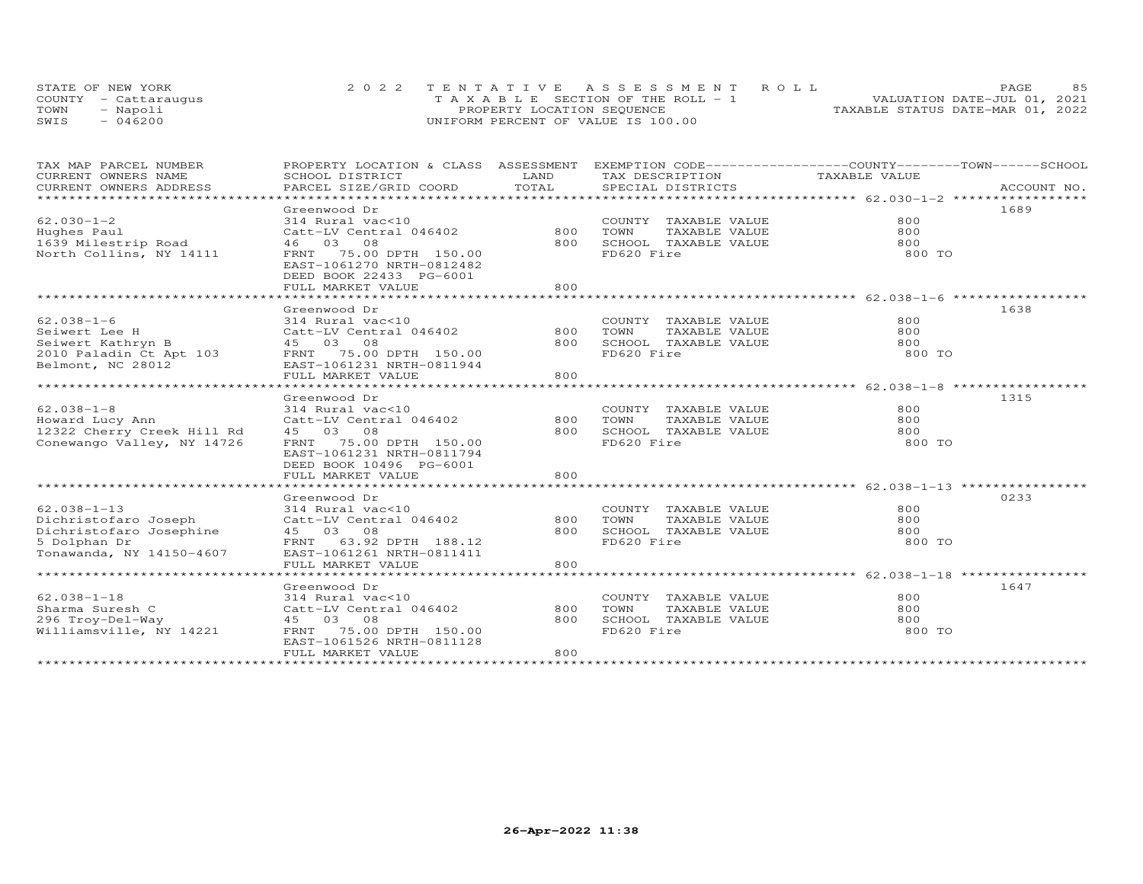|      | STATE OF NEW YORK    | 2022 TENTATIVE ASSESSMENT ROLL        | 85<br><b>PAGE</b>                |
|------|----------------------|---------------------------------------|----------------------------------|
|      | COUNTY - Cattarauqus | T A X A B L E SECTION OF THE ROLL - 1 | VALUATION DATE-JUL 01, 2021      |
| TOWN | Napoli               | PROPERTY LOCATION SEQUENCE            | TAXABLE STATUS DATE-MAR 01, 2022 |
| SWIS | 046200               | UNIFORM PERCENT OF VALUE IS 100.00    |                                  |

| TAX MAP PARCEL NUMBER       | PROPERTY LOCATION & CLASS ASSESSMENT EXEMPTION CODE----------------COUNTY-------TOWN-----SCHOOL |       |                                                                      |               |             |
|-----------------------------|-------------------------------------------------------------------------------------------------|-------|----------------------------------------------------------------------|---------------|-------------|
| CURRENT OWNERS NAME         | SCHOOL DISTRICT                                                                                 | LAND  | TAX DESCRIPTION                                                      | TAXABLE VALUE |             |
| CURRENT OWNERS ADDRESS      | PARCEL SIZE/GRID COORD                                                                          | TOTAL | SPECIAL DISTRICTS                                                    |               | ACCOUNT NO. |
|                             |                                                                                                 |       |                                                                      |               |             |
|                             | Greenwood Dr                                                                                    |       |                                                                      |               | 1689        |
| $62.030 - 1 - 2$            | 314 Rural vac<10                                                                                |       | COUNTY TAXABLE VALUE                                                 | 800           |             |
| Hughes Paul                 | Catt-LV Central 046402                                                                          | 800   | TOWN<br>TAXABLE VALUE                                                | 800           |             |
| 1639 Milestrip Road         | 46 03 08                                                                                        | 800   | SCHOOL TAXABLE VALUE                                                 | 800           |             |
| North Collins, NY 14111     | FRNT 75.00 DPTH 150.00                                                                          |       | FD620 Fire                                                           | 800 TO        |             |
|                             | EAST-1061270 NRTH-0812482                                                                       |       |                                                                      |               |             |
|                             | DEED BOOK 22433 PG-6001                                                                         |       |                                                                      |               |             |
|                             |                                                                                                 | 800   |                                                                      |               |             |
|                             | FULL MARKET VALUE                                                                               |       |                                                                      |               |             |
|                             |                                                                                                 |       |                                                                      |               |             |
|                             | Greenwood Dr                                                                                    |       |                                                                      |               | 1638        |
| $62.038 - 1 - 6$            | 314 Rural vac<10                                                                                |       | COUNTY TAXABLE VALUE                                                 | 800           |             |
| Seiwert Lee H               | Catt-LV Central 046402                                                                          | 800   | TOWN<br>TAXABLE VALUE                                                | 800           |             |
| Seiwert Kathryn B           | 45 03 08                                                                                        | 800   | SCHOOL TAXABLE VALUE                                                 | 800           |             |
| $2010$ Paladin Ct Apt $103$ | FRNT 75.00 DPTH 150.00                                                                          |       | FD620 Fire                                                           | 800 TO        |             |
| Belmont, NC 28012           | EAST-1061231 NRTH-0811944                                                                       |       |                                                                      |               |             |
|                             | FULL MARKET VALUE                                                                               | 800   |                                                                      |               |             |
|                             |                                                                                                 |       |                                                                      |               |             |
|                             | Greenwood Dr                                                                                    |       |                                                                      |               | 1315        |
| $62.038 - 1 - 8$            | 314 Rural vac<10                                                                                |       | COUNTY TAXABLE VALUE                                                 | 800           |             |
| Howard Lucy Ann             | Catt-LV Central 046402                                                                          | 800   | TOWN<br>TAXABLE VALUE                                                | 800           |             |
| 12322 Cherry Creek Hill Rd  | 45 03 08                                                                                        | 800   | SCHOOL TAXABLE VALUE                                                 | 800           |             |
| Conewango Valley, NY 14726  | FRNT 75.00 DPTH 150.00                                                                          |       | FD620 Fire                                                           | 800 TO        |             |
|                             | EAST-1061231 NRTH-0811794                                                                       |       |                                                                      |               |             |
|                             | DEED BOOK 10496 PG-6001                                                                         |       |                                                                      |               |             |
|                             | FULL MARKET VALUE                                                                               | 800   |                                                                      |               |             |
|                             |                                                                                                 |       |                                                                      |               |             |
|                             |                                                                                                 |       |                                                                      |               | 0233        |
|                             | Greenwood Dr                                                                                    |       |                                                                      |               |             |
| $62.038 - 1 - 13$           | 314 Rural vac<10                                                                                |       | COUNTY TAXABLE VALUE                                                 | 800           |             |
| Dichristofaro Joseph        | Catt-LV Central 046402                                                                          | 800   | TAXABLE VALUE<br>TOWN      TAXABLE  VALUE<br>SCHOOL   TAXABLE  VALUE | 800           |             |
| Dichristofaro Josephine     | 45 03 08                                                                                        | 800   |                                                                      | 800           |             |
| 5 Dolphan Dr                | FRNT 63.92 DPTH 188.12                                                                          |       | FD620 Fire                                                           | 800 TO        |             |
| Tonawanda, NY 14150-4607    | EAST-1061261 NRTH-0811411                                                                       |       |                                                                      |               |             |
|                             | FULL MARKET VALUE                                                                               | 800   |                                                                      |               |             |
|                             |                                                                                                 |       |                                                                      |               |             |
|                             | Greenwood Dr                                                                                    |       |                                                                      |               | 1647        |
| $62.038 - 1 - 18$           | 314 Rural vac<10                                                                                |       | COUNTY TAXABLE VALUE                                                 | 800           |             |
| Sharma Suresh C             | Catt-LV Central 046402                                                                          | 800   | TOWN<br>TAXABLE VALUE                                                | 800           |             |
| 296 Troy-Del-Way            | 45 03 08                                                                                        | 800   | TOWN       TAXABLE  VALUE<br>SCHOOL    TAXABLE  VALUE                | 800           |             |
| Williamsville, NY 14221     | FRNT<br>75.00 DPTH 150.00                                                                       |       | FD620 Fire                                                           | 800 TO        |             |
|                             | EAST-1061526 NRTH-0811128                                                                       |       |                                                                      |               |             |
|                             | FULL MARKET VALUE                                                                               | 800   |                                                                      |               |             |
|                             |                                                                                                 |       |                                                                      |               |             |
|                             |                                                                                                 |       |                                                                      |               |             |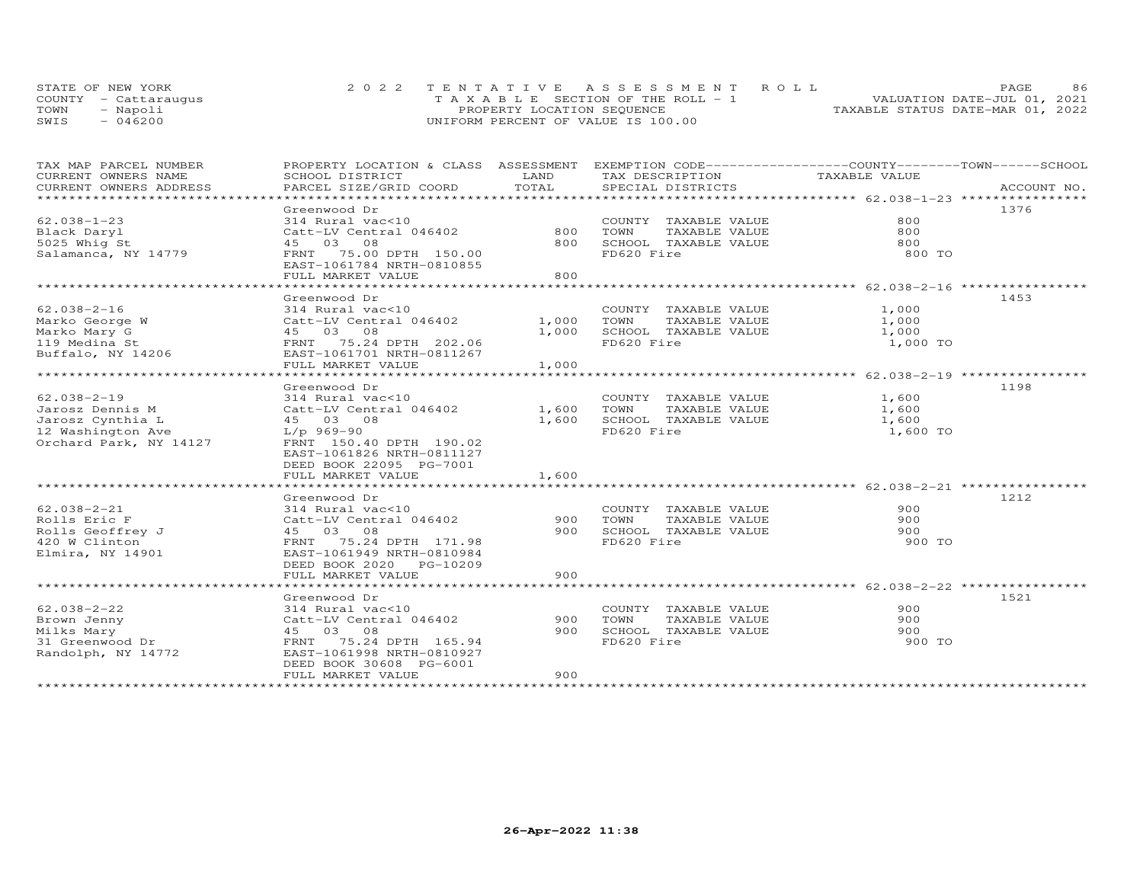|      | STATE OF NEW YORK    | 2022 TENTATIVE ASSESSMENT ROLL        | 86.<br><b>PAGE</b>               |
|------|----------------------|---------------------------------------|----------------------------------|
|      | COUNTY - Cattarauqus | T A X A B L E SECTION OF THE ROLL - 1 | VALUATION DATE-JUL 01, 2021      |
| TOWN | Napoli               | PROPERTY LOCATION SEQUENCE            | TAXABLE STATUS DATE-MAR 01, 2022 |
| SWIS | 046200               | UNIFORM PERCENT OF VALUE IS 100.00    |                                  |

| TAX MAP PARCEL NUMBER<br>CURRENT OWNERS NAME<br>CURRENT OWNERS ADDRESS                                  | PROPERTY LOCATION & CLASS ASSESSMENT EXEMPTION CODE----------------COUNTY-------TOWN------SCHOOL<br>SCHOOL DISTRICT<br>PARCEL SIZE/GRID COORD                                                      | LAND<br>TOTAL           | TAX DESCRIPTION<br>SPECIAL DISTRICTS                                                | TAXABLE VALUE                       | ACCOUNT NO. |
|---------------------------------------------------------------------------------------------------------|----------------------------------------------------------------------------------------------------------------------------------------------------------------------------------------------------|-------------------------|-------------------------------------------------------------------------------------|-------------------------------------|-------------|
| $62.038 - 1 - 23$<br>Black Daryl<br>5025 Whig St<br>Salamanca, NY 14779                                 | Greenwood Dr<br>314 Rural vac<10<br>Catt-LV Central 046402<br>45 03 08<br>FRNT 75.00 DPTH 150.00<br>EAST-1061784 NRTH-0810855<br>FULL MARKET VALUE                                                 | 800<br>800<br>800       | COUNTY TAXABLE VALUE<br>TOWN<br>TAXABLE VALUE<br>SCHOOL TAXABLE VALUE<br>FD620 Fire | 800<br>800<br>800<br>800 TO         | 1376        |
| $62.038 - 2 - 16$<br>Marko George W<br>Marko Mary G<br>119 Medina St<br>Buffalo, NY 14206               | Greenwood Dr<br>314 Rural vac<10<br>Catt-LV Central 046402<br>EAST-1061701 NRTH-0811267<br>FULL MARKET VALUE                                                                                       | 1,000<br>1,000<br>1,000 | COUNTY TAXABLE VALUE<br>TOWN<br>TAXABLE VALUE<br>SCHOOL TAXABLE VALUE<br>FD620 Fire | 1,000<br>1,000<br>1,000<br>1,000 TO | 1453        |
| $62.038 - 2 - 19$<br>Jarosz Dennis M<br>Jarosz Cynthia L<br>12 Washington Ave<br>Orchard Park, NY 14127 | Greenwood Dr<br>314 Rural vac<10<br>Catt-LV Central 046402 1,600<br>45 03 08<br>L/p 969-90<br>FRNT 150.40 DPTH 190.02<br>EAST-1061826 NRTH-0811127<br>DEED BOOK 22095 PG-7001<br>FULL MARKET VALUE | 1,600<br>1,600          | COUNTY TAXABLE VALUE<br>TOWN<br>TAXABLE VALUE<br>SCHOOL TAXABLE VALUE<br>FD620 Fire | 1,600<br>1,600<br>1,600<br>1,600 TO | 1198        |
| $62.038 - 2 - 21$<br>Rolls Eric F<br>Rolls Geoffrey J<br>420 W Clinton<br>Elmira, NY 14901              | Greenwood Dr<br>314 Rural vac<10<br>Catt-LV Central 046402<br>45 03 08<br>FRNT 75.24 DPTH 171.98<br>EAST-1061949 NRTH-0810984<br>DEED BOOK 2020 PG-10209<br>FULL MARKET VALUE                      | 900<br>900<br>900       | COUNTY TAXABLE VALUE<br>TOWN<br>TAXABLE VALUE<br>SCHOOL TAXABLE VALUE<br>FD620 Fire | 900<br>900<br>900<br>900 TO         | 1212        |
| $62.038 - 2 - 22$<br>Brown Jenny<br>Milks Mary<br>31 Greenwood Dr<br>Randolph, NY 14772                 | Greenwood Dr<br>314 Rural vac<10<br>Catt-LV Central 046402<br>45 03 08<br>FRNT 75.24 DPTH 165.94<br>EAST-1061998 NRTH-0810927<br>DEED BOOK 30608 PG-6001<br>FULL MARKET VALUE                      | 900<br>900<br>900       | COUNTY TAXABLE VALUE<br>TOWN<br>TAXABLE VALUE<br>SCHOOL TAXABLE VALUE<br>FD620 Fire | 900<br>900<br>900<br>900 TO         | 1521        |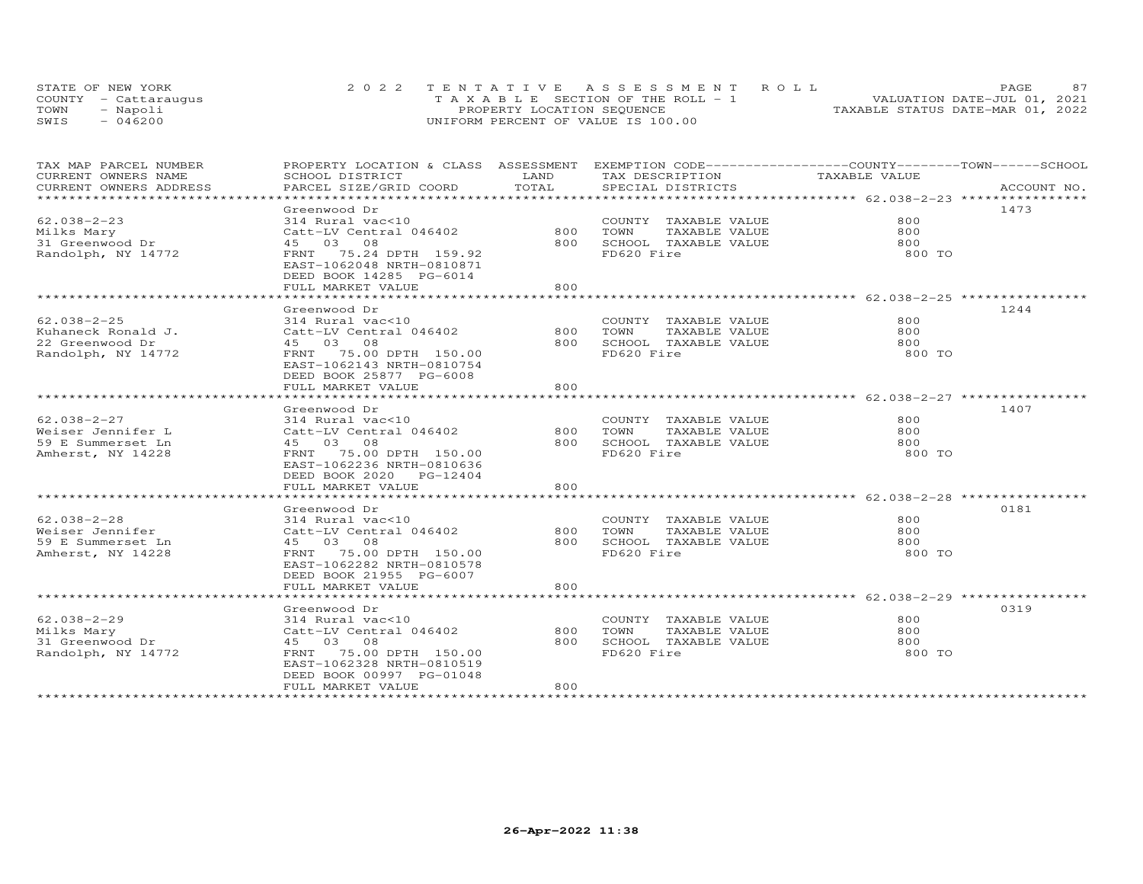|      | STATE OF NEW YORK    | 2022 TENTATIVE ASSESSMENT ROLL          | 87<br>PAGE.                      |
|------|----------------------|-----------------------------------------|----------------------------------|
|      | COUNTY - Cattarauqus | $T A X A B L E$ SECTION OF THE ROLL - 1 | VALUATION DATE-JUL 01, 2021      |
| TOWN | - Napoli             | PROPERTY LOCATION SEQUENCE              | TAXABLE STATUS DATE-MAR 01, 2022 |
| SWIS | $-046200$            | UNIFORM PERCENT OF VALUE IS 100.00      |                                  |

| TAX MAP PARCEL NUMBER    | PROPERTY LOCATION & CLASS ASSESSMENT |                | EXEMPTION CODE-----------------COUNTY-------TOWN------SCHOOL   |               |             |
|--------------------------|--------------------------------------|----------------|----------------------------------------------------------------|---------------|-------------|
| CURRENT OWNERS NAME      | SCHOOL DISTRICT                      | LAND           | TAX DESCRIPTION                                                | TAXABLE VALUE |             |
| CURRENT OWNERS ADDRESS   | PARCEL SIZE/GRID COORD               | TOTAL          | SPECIAL DISTRICTS                                              |               | ACCOUNT NO. |
| ************************ |                                      |                |                                                                |               |             |
|                          | Greenwood Dr                         |                |                                                                |               | 1473        |
| $62.038 - 2 - 23$        | 314 Rural vac<10                     |                | COUNTY TAXABLE VALUE                                           | 800           |             |
| Milks Mary               | Catt-LV Central 046402               | 800            | TAXABLE VALUE<br>TOWN                                          | 800           |             |
| 31 Greenwood Dr          | 45 03 08                             | 800            | SCHOOL TAXABLE VALUE                                           | 800           |             |
| Randolph, NY 14772       | FRNT 75.24 DPTH 159.92               |                | FD620 Fire                                                     | 800 TO        |             |
|                          | EAST-1062048 NRTH-0810871            |                |                                                                |               |             |
|                          | DEED BOOK 14285 PG-6014              |                |                                                                |               |             |
|                          | FULL MARKET VALUE                    | 800            |                                                                |               |             |
|                          | ************************             | ************** | ******************************** 62.038-2-25 ****************  |               |             |
|                          | Greenwood Dr                         |                |                                                                |               | 1244        |
| $62.038 - 2 - 25$        | 314 Rural vac<10                     |                | COUNTY TAXABLE VALUE                                           | 800           |             |
| Kuhaneck Ronald J.       | Catt-LV Central 046402               | 800            | TOWN<br>TAXABLE VALUE                                          | 800           |             |
| 22 Greenwood Dr          | 45 03 08                             | 800            | SCHOOL TAXABLE VALUE                                           | 800           |             |
| Randolph, NY 14772       | FRNT 75.00 DPTH 150.00               |                | FD620 Fire                                                     | 800 TO        |             |
|                          | EAST-1062143 NRTH-0810754            |                |                                                                |               |             |
|                          | DEED BOOK 25877 PG-6008              |                |                                                                |               |             |
|                          | FULL MARKET VALUE                    | 800            |                                                                |               |             |
|                          | ********************                 | *************  | ********************************* 62.038-2-27 **************** |               |             |
|                          |                                      |                |                                                                |               | 1407        |
|                          | Greenwood Dr                         |                |                                                                |               |             |
| 62.038-2-27              | 314 Rural vac<10                     |                | COUNTY TAXABLE VALUE                                           | 800           |             |
| Weiser Jennifer L        | Catt-LV Central 046402               | 800            | TOWN<br>TAXABLE VALUE                                          | 800           |             |
| 59 E Summerset Ln        | 45 03 08                             | 800            | SCHOOL TAXABLE VALUE                                           | 800           |             |
| Amherst, NY 14228        | FRNT 75.00 DPTH 150.00               |                | FD620 Fire                                                     | 800 TO        |             |
|                          | EAST-1062236 NRTH-0810636            |                |                                                                |               |             |
|                          | DEED BOOK 2020 PG-12404              |                |                                                                |               |             |
|                          | FULL MARKET VALUE                    | 800            |                                                                |               |             |
|                          | **********************               | ***********    | ******************************** 62.038-2-28 ************      |               |             |
|                          | Greenwood Dr                         |                |                                                                |               | 0181        |
| $62.038 - 2 - 28$        | 314 Rural vac<10                     |                | COUNTY TAXABLE VALUE                                           | 800           |             |
| Weiser Jennifer          | Catt-LV Central 046402               | 800            | TOWN<br>TAXABLE VALUE                                          | 800           |             |
| 59 E Summerset Ln        | 45 03 08                             | 800            | SCHOOL TAXABLE VALUE                                           | 800           |             |
| Amherst, NY 14228        | FRNT 75.00 DPTH 150.00               |                | FD620 Fire                                                     | 800 TO        |             |
|                          | EAST-1062282 NRTH-0810578            |                |                                                                |               |             |
|                          | DEED BOOK 21955 PG-6007              |                |                                                                |               |             |
|                          | FULL MARKET VALUE                    | 800            |                                                                |               |             |
|                          |                                      |                |                                                                |               |             |
|                          | Greenwood Dr                         |                |                                                                |               | 0319        |
| $62.038 - 2 - 29$        | 314 Rural vac<10                     |                | COUNTY TAXABLE VALUE                                           | 800           |             |
| Milks Mary               | Catt-LV Central 046402               | 800            | TAXABLE VALUE<br>TOWN                                          | 800           |             |
| 31 Greenwood Dr          | 45 03 08                             | 800            | SCHOOL TAXABLE VALUE                                           | 800           |             |
| Randolph, NY 14772       | 75.00 DPTH 150.00<br>FRNT            |                | FD620 Fire                                                     | 800 TO        |             |
|                          | EAST-1062328 NRTH-0810519            |                |                                                                |               |             |
|                          | DEED BOOK 00997 PG-01048             |                |                                                                |               |             |
|                          | FULL MARKET VALUE                    | 800            |                                                                |               |             |
|                          |                                      |                |                                                                |               |             |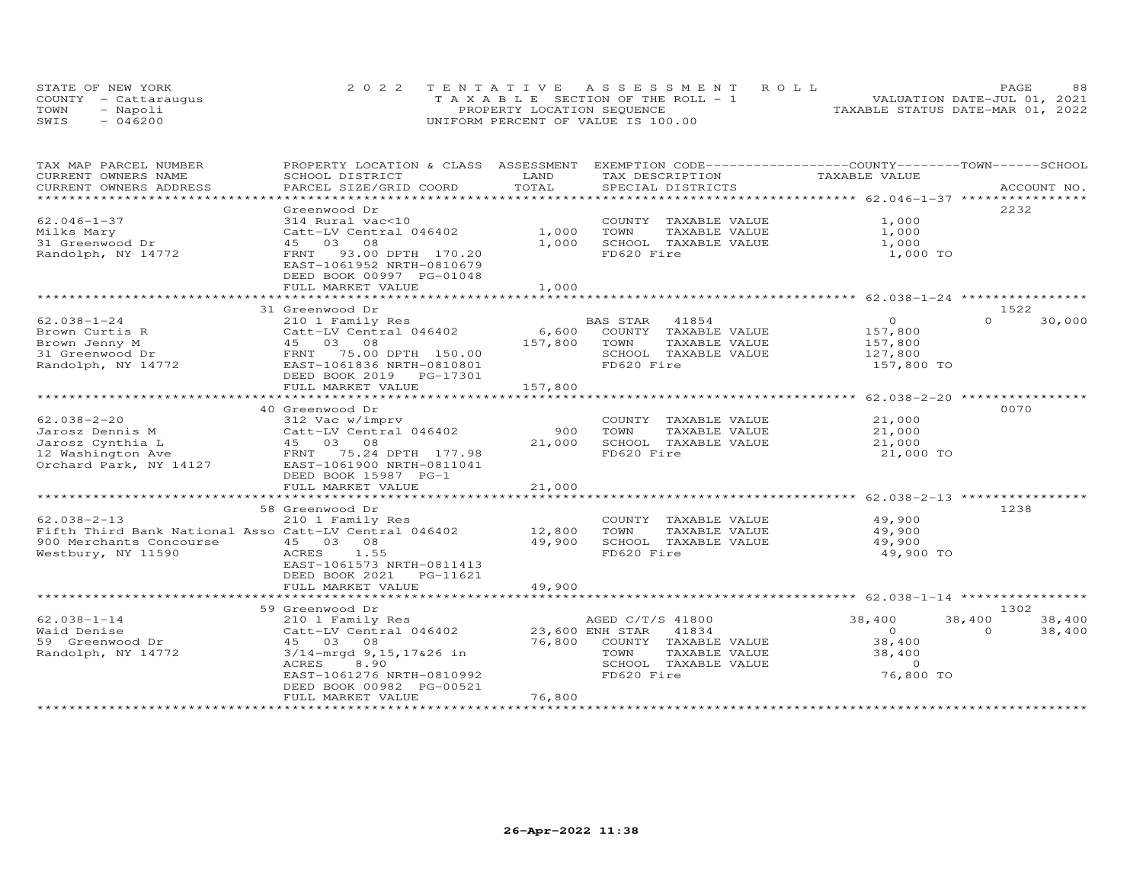| STATE OF NEW YORK    | 2022 TENTATIVE ASSESSMENT ROLL        | 88<br>PAGE.                      |
|----------------------|---------------------------------------|----------------------------------|
| COUNTY - Cattaraugus | T A X A B L E SECTION OF THE ROLL - 1 | VALUATION DATE-JUL 01, 2021      |
| TOWN<br>- Napoli     | PROPERTY LOCATION SEQUENCE            | TAXABLE STATUS DATE-MAR 01, 2022 |
| SWIS<br>$-046200$    | UNIFORM PERCENT OF VALUE IS 100.00    |                                  |

| TAX MAP PARCEL NUMBER                                 | PROPERTY LOCATION & CLASS ASSESSMENT |                         | EXEMPTION CODE-----------------COUNTY-------TOWN------SCHOOL |                                                   |                    |
|-------------------------------------------------------|--------------------------------------|-------------------------|--------------------------------------------------------------|---------------------------------------------------|--------------------|
| CURRENT OWNERS NAME                                   | SCHOOL DISTRICT                      | LAND                    | TAX DESCRIPTION                                              | TAXABLE VALUE                                     |                    |
| CURRENT OWNERS ADDRESS                                | PARCEL SIZE/GRID COORD               | TOTAL                   | SPECIAL DISTRICTS                                            |                                                   | ACCOUNT NO.        |
|                                                       |                                      | *********************** |                                                              | ******************* 62.046-1-37 ***************** |                    |
|                                                       | Greenwood Dr                         |                         |                                                              |                                                   | 2232               |
| $62.046 - 1 - 37$                                     | 314 Rural vac<10                     |                         | COUNTY TAXABLE VALUE                                         | 1,000                                             |                    |
| Milks Mary                                            | Catt-LV Central 046402               | 1,000                   | TOWN<br>TAXABLE VALUE                                        | 1,000                                             |                    |
| 31 Greenwood Dr                                       | 45 03 08                             | 1,000                   | SCHOOL TAXABLE VALUE                                         | 1,000                                             |                    |
| Randolph, NY 14772                                    | 93.00 DPTH 170.20<br>FRNT            |                         | FD620 Fire                                                   | 1,000 TO                                          |                    |
|                                                       | EAST-1061952 NRTH-0810679            |                         |                                                              |                                                   |                    |
|                                                       | DEED BOOK 00997 PG-01048             |                         |                                                              |                                                   |                    |
|                                                       | FULL MARKET VALUE                    | 1,000                   |                                                              |                                                   |                    |
|                                                       |                                      |                         | ******************************* 62.038-1-24 **************** |                                                   |                    |
|                                                       | 31 Greenwood Dr                      |                         |                                                              |                                                   | 1522               |
| $62.038 - 1 - 24$                                     | 210 1 Family Res                     |                         | 41854<br>BAS STAR                                            | $\circ$                                           | 30,000<br>$\Omega$ |
| Brown Curtis R                                        | Catt-LV Central 046402               | 6,600                   | COUNTY TAXABLE VALUE                                         | 157,800                                           |                    |
| Brown Jenny M                                         | 45 03 08                             | 157,800                 | TOWN<br>TAXABLE VALUE                                        | 157,800                                           |                    |
|                                                       | FRNT                                 |                         |                                                              |                                                   |                    |
| 31 Greenwood Dr                                       | 75.00 DPTH 150.00                    |                         | SCHOOL TAXABLE VALUE<br>FD620 Fire                           | 127,800                                           |                    |
| Randolph, NY 14772                                    | EAST-1061836 NRTH-0810801            |                         |                                                              | 157,800 TO                                        |                    |
|                                                       | DEED BOOK 2019 PG-17301              |                         |                                                              |                                                   |                    |
|                                                       | FULL MARKET VALUE                    | 157,800                 |                                                              |                                                   |                    |
|                                                       |                                      |                         |                                                              |                                                   |                    |
|                                                       | 40 Greenwood Dr                      |                         |                                                              |                                                   | 0070               |
| $62.038 - 2 - 20$                                     | 312 Vac w/imprv                      |                         | COUNTY TAXABLE VALUE                                         | 21,000                                            |                    |
| Jarosz Dennis M                                       | Catt-LV Central 046402               | 900                     | TAXABLE VALUE<br>TOWN                                        | 21,000                                            |                    |
| Jarosz Cynthia L                                      | 45 03 08                             | 21,000                  | SCHOOL TAXABLE VALUE                                         | 21,000                                            |                    |
| 12 Washington Ave                                     | FRNT 75.24 DPTH 177.98               |                         | FD620 Fire                                                   | 21,000 TO                                         |                    |
| Orchard Park, NY 14127                                | EAST-1061900 NRTH-0811041            |                         |                                                              |                                                   |                    |
|                                                       | DEED BOOK 15987 PG-1                 |                         |                                                              |                                                   |                    |
|                                                       | FULL MARKET VALUE                    | 21,000                  |                                                              |                                                   |                    |
|                                                       | *****************************        |                         |                                                              |                                                   |                    |
|                                                       | 58 Greenwood Dr                      |                         |                                                              |                                                   | 1238               |
| $62.038 - 2 - 13$                                     | 210 1 Family Res                     |                         | COUNTY TAXABLE VALUE                                         | 49,900                                            |                    |
| Fifth Third Bank National Asso Catt-LV Central 046402 |                                      | 12,800                  | TOWN<br>TAXABLE VALUE                                        | 49,900                                            |                    |
| 900 Merchants Concourse                               | 45 03 08                             | 49,900                  | SCHOOL TAXABLE VALUE                                         | 49,900                                            |                    |
| Westbury, NY 11590                                    | ACRES<br>1.55                        |                         | FD620 Fire                                                   | 49,900 TO                                         |                    |
|                                                       | EAST-1061573 NRTH-0811413            |                         |                                                              |                                                   |                    |
|                                                       | DEED BOOK 2021<br>PG-11621           |                         |                                                              |                                                   |                    |
|                                                       | FULL MARKET VALUE                    | 49,900                  |                                                              |                                                   |                    |
|                                                       |                                      |                         |                                                              |                                                   |                    |
|                                                       | 59 Greenwood Dr                      |                         |                                                              |                                                   | 1302               |
| $62.038 - 1 - 14$                                     | 210 1 Family Res                     |                         | AGED C/T/S 41800                                             | 38,400                                            | 38,400<br>38,400   |
| Waid Denise                                           | Catt-LV Central 046402               |                         | 23,600 ENH STAR<br>41834                                     | $\Omega$                                          | $\Omega$<br>38,400 |
| 59 Greenwood Dr                                       | 45 03 08                             | 76,800                  | COUNTY TAXABLE VALUE                                         | 38,400                                            |                    |
| Randolph, NY 14772                                    | 3/14-mrgd 9,15,17&26 in              |                         | TOWN<br>TAXABLE VALUE                                        | 38,400                                            |                    |
|                                                       | ACRES<br>8.90                        |                         | SCHOOL TAXABLE VALUE                                         | $\Omega$                                          |                    |
|                                                       | EAST-1061276 NRTH-0810992            |                         | FD620 Fire                                                   | 76,800 TO                                         |                    |
|                                                       | DEED BOOK 00982 PG-00521             |                         |                                                              |                                                   |                    |
|                                                       | FULL MARKET VALUE                    | 76,800                  |                                                              |                                                   |                    |
|                                                       | ****************************         |                         |                                                              |                                                   |                    |
|                                                       |                                      |                         |                                                              |                                                   |                    |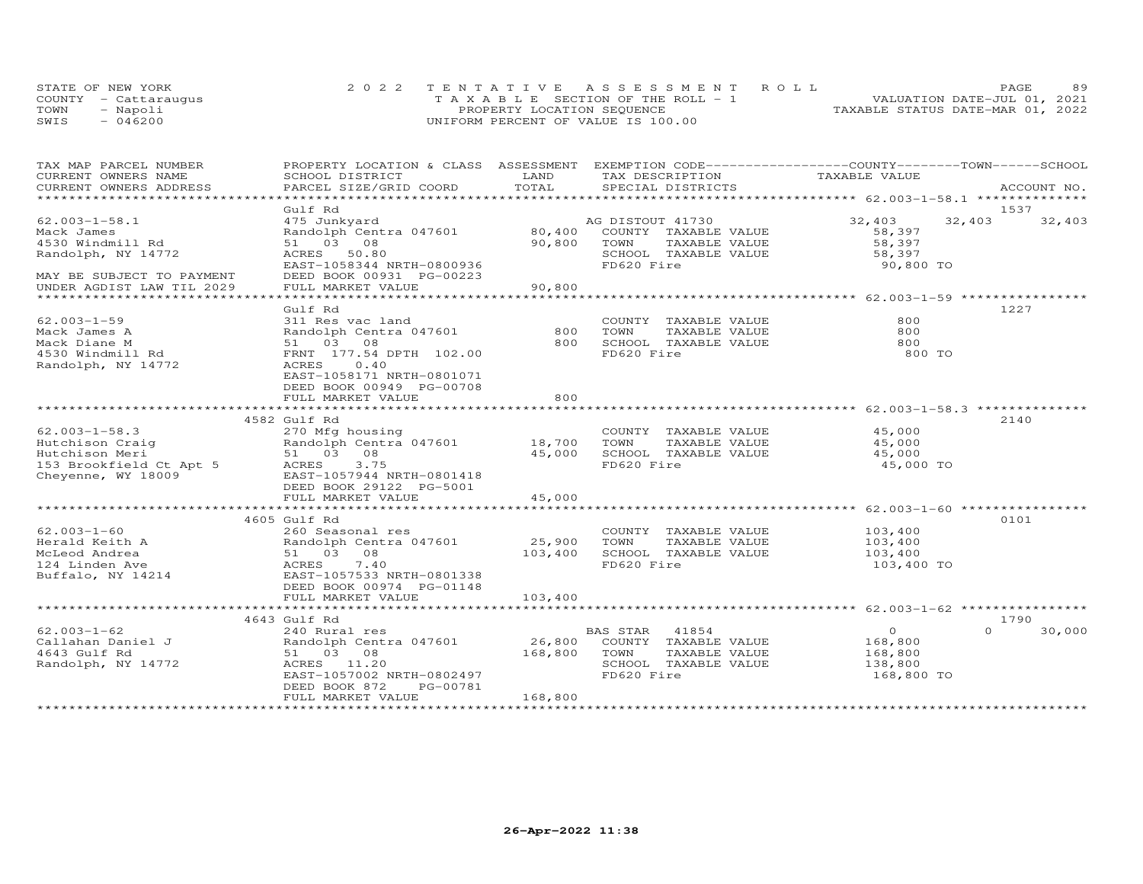|      | STATE OF NEW YORK    | 2022 TENTATIVE ASSESSMENT ROLL        | 89<br>PAGE                       |
|------|----------------------|---------------------------------------|----------------------------------|
|      | COUNTY - Cattaraugus | T A X A B L E SECTION OF THE ROLL - 1 | VALUATION DATE-JUL 01, 2021      |
| TOWN | Napoli               | PROPERTY LOCATION SEQUENCE            | TAXABLE STATUS DATE-MAR 01, 2022 |
| SWIS | 046200               | UNIFORM PERCENT OF VALUE IS 100.00    |                                  |

| TAX MAP PARCEL NUMBER                                                                                                                                                                                                                                     | PROPERTY LOCATION & CLASS ASSESSMENT EXEMPTION CODE----------------COUNTY-------TOWN------SCHOOL                                      |              |                                                |                    |                    |
|-----------------------------------------------------------------------------------------------------------------------------------------------------------------------------------------------------------------------------------------------------------|---------------------------------------------------------------------------------------------------------------------------------------|--------------|------------------------------------------------|--------------------|--------------------|
| CURRENT OWNERS NAME                                                                                                                                                                                                                                       |                                                                                                                                       |              |                                                |                    |                    |
| CURRENT OWNERS ADDRESS<br>***********************                                                                                                                                                                                                         |                                                                                                                                       |              |                                                |                    |                    |
|                                                                                                                                                                                                                                                           | Gulf Rd                                                                                                                               |              |                                                |                    | 1537               |
| $62.003 - 1 - 58.1$                                                                                                                                                                                                                                       |                                                                                                                                       |              |                                                | 32,403 32,403      | 32,403             |
| Mack James                                                                                                                                                                                                                                                | 475 Junkyard                                     AG DISTOUT 41730<br>Randolph Centra 047601             80,400   COUNTY TAXABLE VALUE |              |                                                | 58,397             |                    |
| 4530 Windmill Rd                                                                                                                                                                                                                                          | 51 03 08                                                                                                                              | 90,800 TOWN  | TAXABLE VALUE                                  | 58,397             |                    |
| Randolph, NY 14772                                                                                                                                                                                                                                        | ACRES 50.80                                                                                                                           |              | SCHOOL TAXABLE VALUE                           | 58,397             |                    |
|                                                                                                                                                                                                                                                           | EAST-1058344 NRTH-0800936                                                                                                             |              | FD620 Fire                                     | 90,800 TO          |                    |
| MAY BE SUBJECT TO PAYMENT                                                                                                                                                                                                                                 | DEED BOOK 00931 PG-00223                                                                                                              |              |                                                |                    |                    |
| UNDER AGDIST LAW TIL 2029                                                                                                                                                                                                                                 | FULL MARKET VALUE                                                                                                                     | 90,800       |                                                |                    |                    |
|                                                                                                                                                                                                                                                           |                                                                                                                                       |              |                                                |                    |                    |
|                                                                                                                                                                                                                                                           | Gulf Rd                                                                                                                               |              |                                                |                    | 1227               |
| $62.003 - 1 - 59$                                                                                                                                                                                                                                         | 311 Res vac land                                                                                                                      |              | COUNTY TAXABLE VALUE                           | 800                |                    |
| Mack James A<br>Mack Diane M<br>4530 Windmill Rd                                                                                                                                                                                                          | Randolph Centra 047601 800                                                                                                            |              | TOWN<br>TAXABLE VALUE                          | 800                |                    |
|                                                                                                                                                                                                                                                           | 51 03 08                                                                                                                              | 800          | SCHOOL TAXABLE VALUE                           | 800                |                    |
|                                                                                                                                                                                                                                                           | FRNT 177.54 DPTH 102.00                                                                                                               |              | FD620 Fire                                     | 800 TO             |                    |
| Randolph, NY 14772                                                                                                                                                                                                                                        | ACRES 0.40                                                                                                                            |              |                                                |                    |                    |
|                                                                                                                                                                                                                                                           | EAST-1058171 NRTH-0801071                                                                                                             |              |                                                |                    |                    |
|                                                                                                                                                                                                                                                           | DEED BOOK 00949 PG-00708                                                                                                              |              |                                                |                    |                    |
|                                                                                                                                                                                                                                                           | FULL MARKET VALUE                                                                                                                     | 800          |                                                |                    |                    |
|                                                                                                                                                                                                                                                           |                                                                                                                                       |              |                                                |                    |                    |
|                                                                                                                                                                                                                                                           | 4582 Gulf Rd                                                                                                                          |              |                                                |                    | 2140               |
| $62.003 - 1 - 58.3$                                                                                                                                                                                                                                       | 270 Mfg housing                                                                                                                       |              | COUNTY TAXABLE VALUE                           | 45,000             |                    |
|                                                                                                                                                                                                                                                           |                                                                                                                                       |              | TAXABLE VALUE 45,000                           |                    |                    |
|                                                                                                                                                                                                                                                           |                                                                                                                                       |              | 45,000 SCHOOL TAXABLE VALUE                    | 45,000             |                    |
| 82.003-1-58.3<br>Hutchison Craig<br>Hutchison Meri<br>18,700 TOWN<br>18,700 TOWN<br>18,700 TOWN<br>18,700 TOWN<br>18,700 TOWN<br>51 03 08<br>18,000 SCHOC<br>18,700 TOWN<br>45,000 SCHOC<br>FD620<br>EAST-1057944 NRTH-0801418<br>DEED BOOK 29122 PG-5001 |                                                                                                                                       |              | FD620 Fire                                     | 45,000 TO          |                    |
|                                                                                                                                                                                                                                                           |                                                                                                                                       |              |                                                |                    |                    |
|                                                                                                                                                                                                                                                           |                                                                                                                                       |              |                                                |                    |                    |
|                                                                                                                                                                                                                                                           | FULL MARKET VALUE                                                                                                                     | 45,000       |                                                |                    |                    |
|                                                                                                                                                                                                                                                           |                                                                                                                                       |              |                                                |                    |                    |
|                                                                                                                                                                                                                                                           | 4605 Gulf Rd                                                                                                                          |              |                                                |                    | 0101               |
| $62.003 - 1 - 60$                                                                                                                                                                                                                                         | 260 Seasonal res                                                                                                                      |              | COUNTY TAXABLE VALUE 103,400                   |                    |                    |
|                                                                                                                                                                                                                                                           | Randolph Centra 047601 25,900 TOWN TAXABLE VALUE<br>51 03 08 103,400 SCHOOL TAXABLE VALUE                                             |              | TAXABLE VALUE 103,400<br>TAXABLE VALUE 103,400 |                    |                    |
|                                                                                                                                                                                                                                                           |                                                                                                                                       |              |                                                |                    |                    |
| Herald Keith A (Andolph Centra 047601)<br>McLeod Andrea (1996)<br>124 Linden Ave (1996)<br>124 Linden Ave (1997)<br>24 Buffalo, NY 14214 (1997)<br>24 EAST-1057533 NRTH-0801338                                                                           |                                                                                                                                       |              | FD620 Fire                                     | 103,400 TO         |                    |
|                                                                                                                                                                                                                                                           |                                                                                                                                       |              |                                                |                    |                    |
|                                                                                                                                                                                                                                                           | DEED BOOK 00974 PG-01148<br>FULL MARKET VALUE                                                                                         | 103,400      |                                                |                    |                    |
|                                                                                                                                                                                                                                                           |                                                                                                                                       |              |                                                |                    |                    |
|                                                                                                                                                                                                                                                           | 4643 Gulf Rd                                                                                                                          |              |                                                |                    | 1790               |
|                                                                                                                                                                                                                                                           |                                                                                                                                       |              |                                                | $\overline{O}$     | $\Omega$<br>30,000 |
|                                                                                                                                                                                                                                                           |                                                                                                                                       |              |                                                | 168,800            |                    |
|                                                                                                                                                                                                                                                           |                                                                                                                                       | 168,800 TOWN | TAXABLE VALUE                                  |                    |                    |
| Randolph, NY 14772                                                                                                                                                                                                                                        | ACRES 11.20                                                                                                                           |              | SCHOOL TAXABLE VALUE                           | 168,800<br>138,800 |                    |
|                                                                                                                                                                                                                                                           | EAST-1057002 NRTH-0802497                                                                                                             |              | FD620 Fire                                     | 168,800 TO         |                    |
|                                                                                                                                                                                                                                                           | DEED BOOK 872<br>PG-00781                                                                                                             |              |                                                |                    |                    |
|                                                                                                                                                                                                                                                           | FULL MARKET VALUE                                                                                                                     | 168,800      |                                                |                    |                    |
|                                                                                                                                                                                                                                                           |                                                                                                                                       |              |                                                |                    |                    |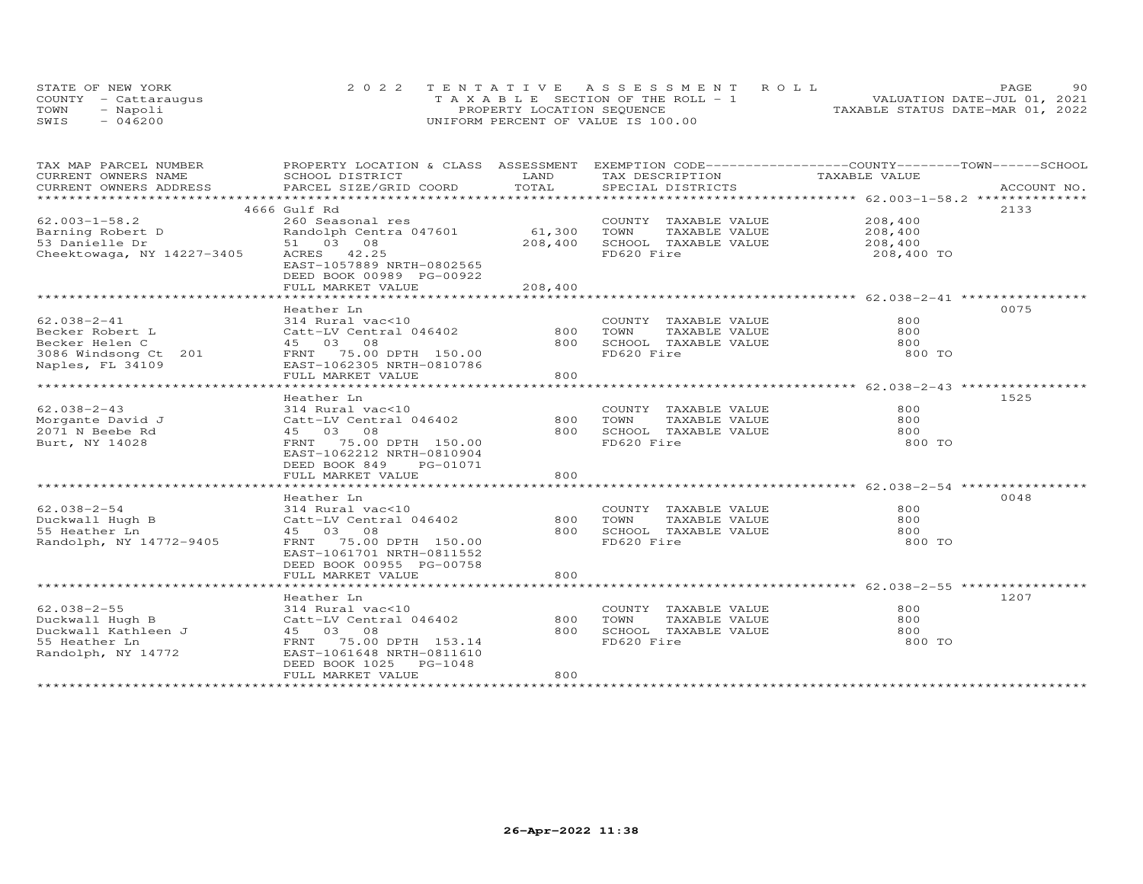|      | STATE OF NEW YORK    | 2022 TENTATIVE ASSESSMENT ROLL        | 90.<br>PAGE                      |
|------|----------------------|---------------------------------------|----------------------------------|
|      | COUNTY - Cattarauqus | T A X A B L E SECTION OF THE ROLL - 1 | VALUATION DATE-JUL 01, 2021      |
| TOWN | Napoli               | PROPERTY LOCATION SEQUENCE            | TAXABLE STATUS DATE-MAR 01, 2022 |
| SWIS | 046200               | UNIFORM PERCENT OF VALUE IS 100.00    |                                  |

| TAX MAP PARCEL NUMBER                                                                                                  | PROPERTY LOCATION & CLASS ASSESSMENT EXEMPTION CODE-----------------COUNTY-------TOWN------SCHOOL |         |                                                                          |               |      |
|------------------------------------------------------------------------------------------------------------------------|---------------------------------------------------------------------------------------------------|---------|--------------------------------------------------------------------------|---------------|------|
| CURRENT OWNERS NAME                                                                                                    | SCHOOL DISTRICT                                                                                   | LAND    | TAX DESCRIPTION                                                          | TAXABLE VALUE |      |
|                                                                                                                        |                                                                                                   |         |                                                                          |               |      |
|                                                                                                                        | 4666 Gulf Rd                                                                                      |         |                                                                          |               | 2133 |
| $62.003 - 1 - 58.2$                                                                                                    | 260 Seasonal res                                                                                  |         | COUNTY TAXABLE VALUE 208,400                                             |               |      |
|                                                                                                                        | Randolph Centra 047601                                                                            | 61,300  | TOWN                                                                     |               |      |
| Barning Robert D<br>53 Danielle Dr<br>53 Danielle Dr                                                                   | 51 03 08                                                                                          | 208,400 | TAXABLE VALUE 208,400<br>L TAXABLE VALUE 208,400<br>SCHOOL TAXABLE VALUE |               |      |
| Cheektowaga, NY 14227-3405                                                                                             | ACRES 42.25<br>EAST-1057889 NRTH-0802565<br>DEED BOOK 00989 PG-00922                              |         | FD620 Fire                                                               | 208,400 TO    |      |
|                                                                                                                        | FULL MARKET VALUE                                                                                 | 208,400 |                                                                          |               |      |
|                                                                                                                        |                                                                                                   |         |                                                                          |               |      |
|                                                                                                                        | Heather In                                                                                        |         |                                                                          |               | 0075 |
| 62.038-2-41                                                                                                            | 314 Rural vac<10                                                                                  |         | COUNTY TAXABLE VALUE                                                     | 800           |      |
| Becker Robert L                                                                                                        | Catt-LV Central 046402 800<br>45 03 08 800                                                        |         | TOWN<br>TAXABLE VALUE                                                    | 800           |      |
| Becker Helen C                                                                                                         |                                                                                                   |         | 800 SCHOOL TAXABLE VALUE<br>FD620 Fire                                   | 800<br>800 TO |      |
| Becker nerror of 201<br>Naples, FL 34109 (201 – FRNT 75.00 DPTH 150.00<br>Raples, FL 34109 – EAST-1062305 NRTH-0810786 |                                                                                                   |         |                                                                          |               |      |
|                                                                                                                        | FULL MARKET VALUE                                                                                 | 800     |                                                                          |               |      |
|                                                                                                                        |                                                                                                   |         |                                                                          |               |      |
|                                                                                                                        | Heather Ln                                                                                        |         |                                                                          |               | 1525 |
| $62.038 - 2 - 43$                                                                                                      | 314 Rural vac<10                                                                                  |         | COUNTY TAXABLE VALUE                                                     | 800           |      |
| Morgante David J                                                                                                       | Catt-LV Central 046402                                                                            | 800     | TOWN<br>TAXABLE VALUE                                                    | 800           |      |
| 2071 N Beebe Rd                                                                                                        | 45 03 08                                                                                          |         | 800 SCHOOL TAXABLE VALUE                                                 | 800           |      |
| Burt, NY 14028                                                                                                         | FRNT 75.00 DPTH 150.00<br>EAST-1062212 NRTH-0810904<br>DEED BOOK 849 PG-01071                     |         | FD620 Fire                                                               | 800 TO        |      |
|                                                                                                                        | FULL MARKET VALUE                                                                                 | 800     |                                                                          |               |      |
|                                                                                                                        |                                                                                                   |         |                                                                          |               |      |
|                                                                                                                        | Heather Ln                                                                                        |         |                                                                          |               | 0048 |
| $62.038 - 2 - 54$                                                                                                      | 314 Rural vac<10                                                                                  |         | COUNTY TAXABLE VALUE                                                     | 800           |      |
| Duckwall Hugh B                                                                                                        |                                                                                                   | 800     | TOWN<br>TAXABLE VALUE                                                    | 800           |      |
| 55 Heather Ln                                                                                                          | 314 Rural vacsio<br>Catt-LV Central 046402<br>45 03 08 08 08 1150 00                              | 800     | SCHOOL TAXABLE VALUE                                                     | 800           |      |
| Randolph, NY 14772-9405                                                                                                | FRNT 75.00 DPTH 150.00                                                                            |         | FD620 Fire                                                               | 800 TO        |      |
|                                                                                                                        | EAST-1061701 NRTH-0811552                                                                         |         |                                                                          |               |      |
|                                                                                                                        | DEED BOOK 00955 PG-00758                                                                          | 800     |                                                                          |               |      |
|                                                                                                                        | FULL MARKET VALUE                                                                                 |         |                                                                          |               |      |
|                                                                                                                        | Heather Ln                                                                                        |         |                                                                          |               | 1207 |
| $62.038 - 2 - 55$                                                                                                      |                                                                                                   |         | COUNTY TAXABLE VALUE                                                     | 800           |      |
| Duckwall Hugh B                                                                                                        |                                                                                                   | 800     | TOWN<br>TAXABLE VALUE                                                    | 800           |      |
| Duckwall Kathleen J                                                                                                    |                                                                                                   | 800     | SCHOOL TAXABLE VALUE                                                     | 800           |      |
| 55 Heather Ln                                                                                                          |                                                                                                   |         | FD620 Fire                                                               | 800 TO        |      |
| Randolph, NY 14772                                                                                                     |                                                                                                   |         |                                                                          |               |      |
|                                                                                                                        | DEED BOOK 1025 PG-1048                                                                            |         |                                                                          |               |      |
|                                                                                                                        | FULL MARKET VALUE                                                                                 | 800     |                                                                          |               |      |
|                                                                                                                        |                                                                                                   |         |                                                                          |               |      |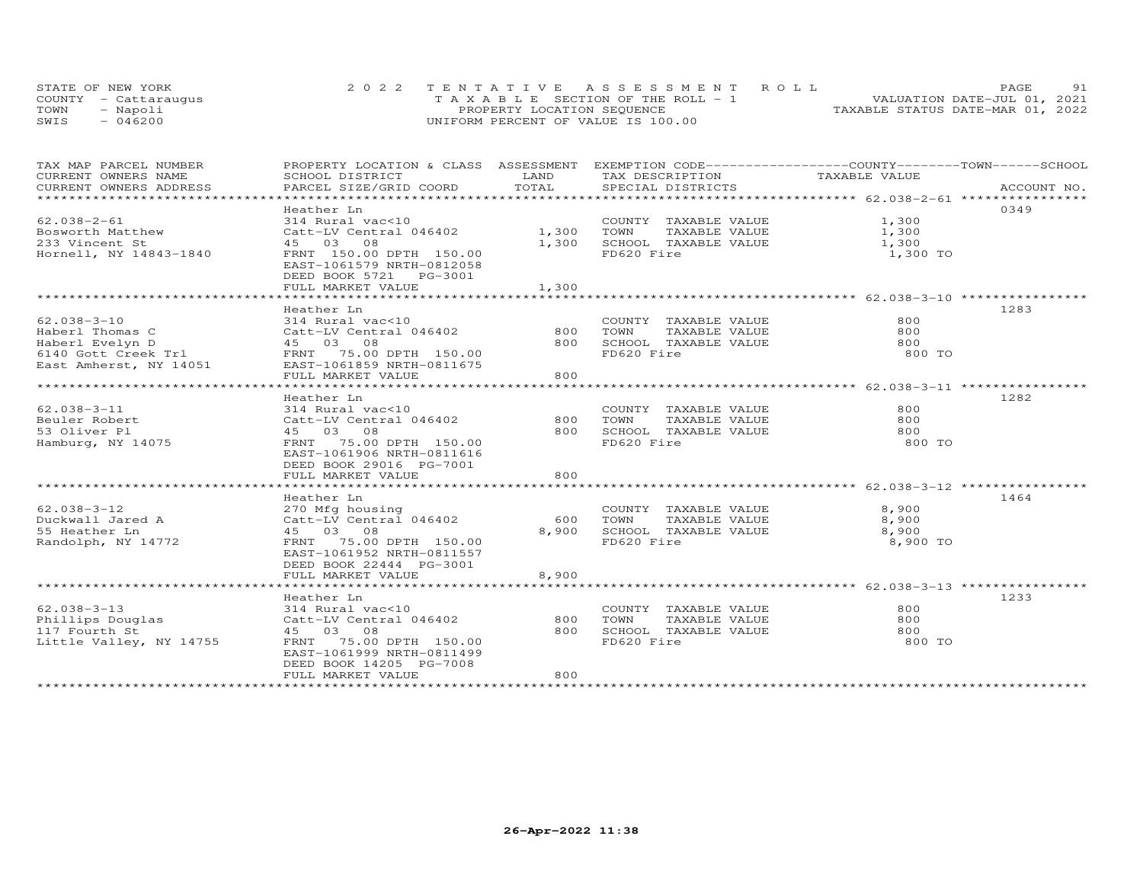| STATE OF NEW YORK    | 2022 TENTATIVE ASSESSMENT ROLL        | PAGE.                            | 91 |
|----------------------|---------------------------------------|----------------------------------|----|
| COUNTY - Cattaraugus | T A X A B L E SECTION OF THE ROLL - 1 | VALUATION DATE-JUL 01, 2021      |    |
| TOWN<br>- Napoli     | PROPERTY LOCATION SEQUENCE            | TAXABLE STATUS DATE-MAR 01, 2022 |    |
| $-046200$<br>SWIS    | UNIFORM PERCENT OF VALUE IS 100.00    |                                  |    |

| TAX MAP PARCEL NUMBER<br>CURRENT OWNERS NAME                                                                                                             | PROPERTY LOCATION & CLASS ASSESSMENT EXEMPTION CODE----------------COUNTY-------TOWN-----SCHOOL<br>SCHOOL DISTRICT                                                                                     | LAND                  | TAX DESCRIPTION                                                                         | TAXABLE VALUE                                              |             |
|----------------------------------------------------------------------------------------------------------------------------------------------------------|--------------------------------------------------------------------------------------------------------------------------------------------------------------------------------------------------------|-----------------------|-----------------------------------------------------------------------------------------|------------------------------------------------------------|-------------|
| CURRENT OWNERS ADDRESS                                                                                                                                   | PARCEL SIZE/GRID COORD                                                                                                                                                                                 | TOTAL                 | SPECIAL DISTRICTS                                                                       |                                                            | ACCOUNT NO. |
|                                                                                                                                                          | Heather Ln                                                                                                                                                                                             |                       |                                                                                         |                                                            | 0349        |
| $62.038 - 2 - 61$<br>Bosworth Matthew<br>233 Vincent St<br>Hornell, NY 14843-1840                                                                        | 314 Rural vac<10<br>Catt-LV Central 046402<br>45 03 08<br>FRNT 150.00 DPTH 150.00<br>EAST-1061579 NRTH-0812058                                                                                         | 1,300 TOWN            | COUNTY TAXABLE VALUE 1,300<br>1,300 SCHOOL TAXABLE VALUE<br>FD620 Fire                  | TAXABLE VALUE $1,300$<br>TAXABLE VALUE $1,300$<br>1,300 TO |             |
|                                                                                                                                                          | DEED BOOK 5721 PG-3001<br>FULL MARKET VALUE                                                                                                                                                            | 1,300                 |                                                                                         |                                                            |             |
|                                                                                                                                                          |                                                                                                                                                                                                        |                       |                                                                                         |                                                            |             |
| $62.038 - 3 - 10$<br>Haberl Thomas C<br>Haberl Evelyn D<br>And Gott Creek Trl FRNT 75.00 DPTH 150.00<br>East Amherst, NY 14051 EAST-1061859 NRTH-0811675 | Heather Ln<br>314 Rural vac<10<br>Catt-LV Central 046402<br>45 03 08<br>FULL MARKET VALUE                                                                                                              | 800<br>800            | COUNTY TAXABLE VALUE<br>TOWN<br>TAXABLE VALUE<br>800 SCHOOL TAXABLE VALUE<br>FD620 Fire | 800<br>800<br>800<br>800 TO                                | 1283        |
| $62.038 - 3 - 11$<br>Beuler Robert<br>53 Oliver Pl<br>Hamburg, NY 14075                                                                                  | Heather Ln<br>314 Rural vac<10<br>Catt-LV Central 046402<br>45 03 08<br>FRNT 75.00 DPTH 150.00<br>EAST-1061906 NRTH-0811616<br>DEED BOOK 29016 PG-7001<br>FULL MARKET VALUE                            | 800<br>800<br>800     | COUNTY TAXABLE VALUE<br>TOWN<br>TAXABLE VALUE<br>SCHOOL TAXABLE VALUE<br>FD620 Fire     | 800<br>800<br>800<br>800 TO                                | 1282        |
| $62.038 - 3 - 12$<br>Duckwall Jared A<br>55 Heather Ln<br>Randolph, NY 14772                                                                             | Heather Ln<br>270 Mfg housing<br>Catt-LV Central 046402<br>45 03 08<br>FRNT 75.00 DPTH 150.00<br>EAST-1061952 NRTH-0811557<br>DEED BOOK 22444 PG-3001<br>FULL MARKET VALUE<br>************************ | 600<br>8,900<br>8,900 | COUNTY TAXABLE VALUE<br>TOWN<br>TAXABLE VALUE<br>SCHOOL TAXABLE VALUE<br>FD620 Fire     | 8,900<br>8,900<br>8,900<br>8,900 TO                        | 1464        |
| $62.038 - 3 - 13$<br>Phillips Douglas<br>117 Fourth St<br>Little Valley, NY 14755                                                                        | Heather Ln<br>314 Rural vac<10<br>Catt-LV Central 046402<br>45 03 08<br>FRNT 75.00 DPTH 150.00<br>EAST-1061999 NRTH-0811499<br>DEED BOOK 14205 PG-7008<br>FULL MARKET VALUE                            | 800<br>800<br>800     | COUNTY TAXABLE VALUE<br>TOWN<br>TAXABLE VALUE<br>SCHOOL TAXABLE VALUE<br>FD620 Fire     | 800<br>800<br>800<br>800 TO                                | 1233        |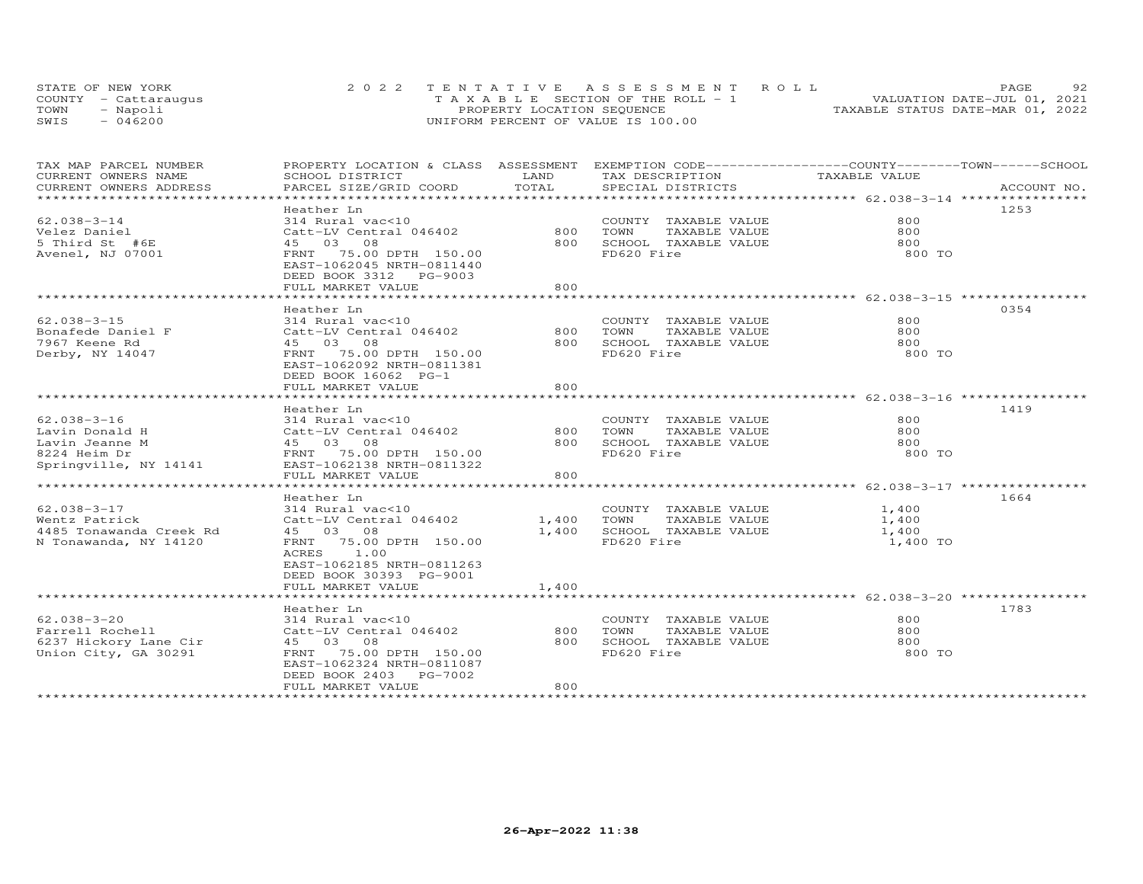|      | STATE OF NEW YORK    | 2022 TENTATIVE ASSESSMENT ROLL     | 92<br>PAGE.                      |
|------|----------------------|------------------------------------|----------------------------------|
|      | COUNTY - Cattarauqus | TAXABLE SECTION OF THE ROLL - 1    | VALUATION DATE-JUL 01, 2021      |
| TOWN | - Napoli             | PROPERTY LOCATION SEQUENCE         | TAXABLE STATUS DATE-MAR 01, 2022 |
| SWIS | $-046200$            | UNIFORM PERCENT OF VALUE IS 100.00 |                                  |

| TAX MAP PARCEL NUMBER                                                 |                                    |            | PROPERTY LOCATION & CLASS ASSESSMENT EXEMPTION CODE-----------------COUNTY-------TOWN------SCHOOL |               |             |
|-----------------------------------------------------------------------|------------------------------------|------------|---------------------------------------------------------------------------------------------------|---------------|-------------|
| CURRENT OWNERS NAME                                                   | SCHOOL DISTRICT                    | LAND       | TAX DESCRIPTION                                                                                   | TAXABLE VALUE |             |
| CURRENT OWNERS ADDRESS                                                | PARCEL SIZE/GRID COORD             | TOTAL      | SPECIAL DISTRICTS                                                                                 |               | ACCOUNT NO. |
| ******************************                                        |                                    |            |                                                                                                   |               |             |
|                                                                       | Heather Ln                         |            |                                                                                                   |               | 1253        |
| $62.038 - 3 - 14$                                                     | 314 Rural vac<10                   |            | COUNTY TAXABLE VALUE                                                                              | 800           |             |
| Velez Daniel                                                          | Catt-LV Central 046402             |            | 800 TOWN<br>TAXABLE VALUE                                                                         | 800           |             |
| 5 Third St #6E                                                        | 45 03 08                           |            | 800 SCHOOL TAXABLE VALUE                                                                          | 800           |             |
| Avenel, NJ 07001                                                      | FRNT 75.00 DPTH 150.00             |            | FD620 Fire                                                                                        | 800 TO        |             |
|                                                                       | EAST-1062045 NRTH-0811440          |            |                                                                                                   |               |             |
|                                                                       | DEED BOOK 3312 PG-9003             |            |                                                                                                   |               |             |
|                                                                       | FULL MARKET VALUE                  | 800        |                                                                                                   |               |             |
|                                                                       |                                    |            |                                                                                                   |               |             |
|                                                                       | Heather Ln                         |            |                                                                                                   |               | 0354        |
| $62.038 - 3 - 15$                                                     | 314 Rural vac<10                   |            | COUNTY TAXABLE VALUE                                                                              | 800           |             |
| Bonafede Daniel F<br>TACT Faana Pd                                    | Catt-LV Central 046402             |            | 800 TOWN<br>TAXABLE VALUE                                                                         | 800           |             |
| 7967 Keene Rd                                                         | 45 03 08                           |            | 800 SCHOOL TAXABLE VALUE                                                                          | 800           |             |
| Derby, NY 14047                                                       | FRNT 75.00 DPTH 150.00             |            | FD620 Fire                                                                                        | 800 TO        |             |
|                                                                       | EAST-1062092 NRTH-0811381          |            |                                                                                                   |               |             |
|                                                                       | DEED BOOK 16062 PG-1               |            |                                                                                                   |               |             |
|                                                                       | FULL MARKET VALUE                  | 800        |                                                                                                   |               |             |
|                                                                       |                                    |            |                                                                                                   |               |             |
|                                                                       | Heather Ln                         |            |                                                                                                   |               | 1419        |
| $62.038 - 3 - 16$                                                     | 314 Rural vac<10                   |            | COUNTY TAXABLE VALUE                                                                              | 800           |             |
| Lavin Donald H                                                        | Catt-LV Central 046402             |            | 800 TOWN<br>TAXABLE VALUE                                                                         | 800           |             |
| Lavin Jeanne M                                                        | 45 03 08<br>FRNT 75.00 DPTH 150.00 |            | 800 SCHOOL TAXABLE VALUE                                                                          | 800           |             |
| 8224 Heim Dr                                                          |                                    |            | FD620 Fire                                                                                        | 800 TO        |             |
| Springville, NY 14141                                                 | EAST-1062138 NRTH-0811322          |            |                                                                                                   |               |             |
|                                                                       | FULL MARKET VALUE                  | 800        |                                                                                                   |               |             |
|                                                                       |                                    |            |                                                                                                   |               |             |
|                                                                       | Heather Ln                         |            |                                                                                                   |               | 1664        |
| 62.038-3-17                                                           | 314 Rural vac<10                   |            | COUNTY TAXABLE VALUE                                                                              | 1,400         |             |
| Wentz Patrick                                                         | Catt-LV Central 046402             | 1,400 TOWN | TAXABLE VALUE                                                                                     | 1,400         |             |
| 4485 Tonawanda Creek Rd                                               | 45 03 08                           |            | 1,400 SCHOOL TAXABLE VALUE                                                                        | 1,400         |             |
| N Tonawanda, NY 14120                                                 | FRNT 75.00 DPTH 150.00             |            | FD620 Fire                                                                                        | 1,400 TO      |             |
|                                                                       | ACRES 1.00                         |            |                                                                                                   |               |             |
|                                                                       | EAST-1062185 NRTH-0811263          |            |                                                                                                   |               |             |
|                                                                       | DEED BOOK 30393 PG-9001            |            |                                                                                                   |               |             |
|                                                                       | FULL MARKET VALUE                  | 1,400      |                                                                                                   |               |             |
|                                                                       |                                    |            |                                                                                                   |               |             |
|                                                                       | Heather Ln                         |            |                                                                                                   |               | 1783        |
| 62.038-3-20                                                           | 314 Rural vac<10                   |            | COUNTY TAXABLE VALUE                                                                              | 800           |             |
| Farrell Rochell                                                       | Catt-LV Central 046402             | 800        | TAXABLE VALUE<br>TOWN                                                                             | 800           |             |
|                                                                       | 45 03 08                           | 800        | SCHOOL TAXABLE VALUE                                                                              | 800           |             |
| 6237 Hickory Lane Cir<br>Union City, GA 30291<br>Union City, GA 30291 | FRNT 75.00 DPTH 150.00             |            | FD620 Fire                                                                                        | 800 TO        |             |
|                                                                       | EAST-1062324 NRTH-0811087          |            |                                                                                                   |               |             |
|                                                                       | DEED BOOK 2403 PG-7002             |            |                                                                                                   |               |             |
|                                                                       | FULL MARKET VALUE                  | 800        |                                                                                                   |               |             |
|                                                                       |                                    |            |                                                                                                   |               |             |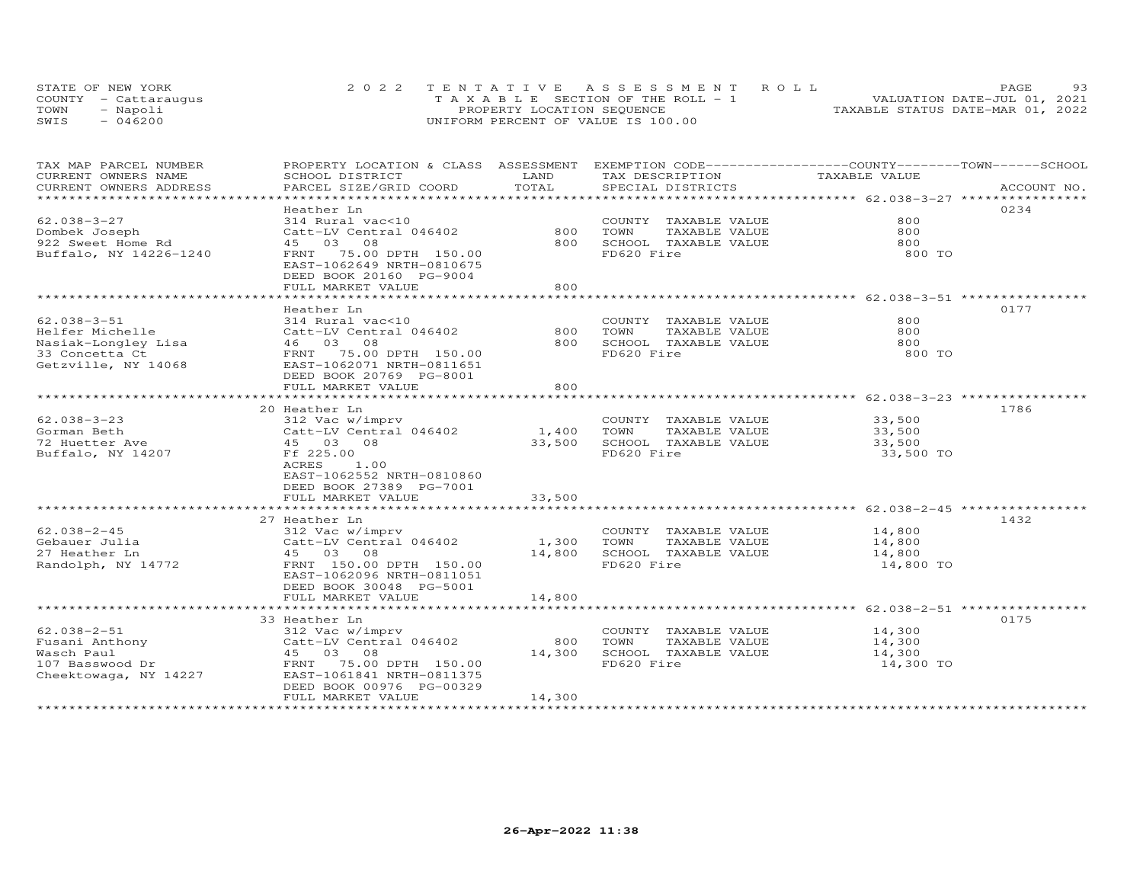|      | STATE OF NEW YORK    | 2022 TENTATIVE ASSESSMENT ROLL     | 93<br>PAGE.                      |
|------|----------------------|------------------------------------|----------------------------------|
|      | COUNTY - Cattarauqus | TAXABLE SECTION OF THE ROLL - 1    | VALUATION DATE-JUL 01, 2021      |
| TOWN | - Napoli             | PROPERTY LOCATION SEQUENCE         | TAXABLE STATUS DATE-MAR 01, 2022 |
| SWIS | $-046200$            | UNIFORM PERCENT OF VALUE IS 100.00 |                                  |

| TAX MAP PARCEL NUMBER<br>CURRENT OWNERS NAME | PROPERTY LOCATION & CLASS ASSESSMENT<br>SCHOOL DISTRICT                           | LAND       | EXEMPTION CODE-----------------COUNTY-------TOWN------SCHOOL<br>TAX DESCRIPTION | TAXABLE VALUE                            |             |
|----------------------------------------------|-----------------------------------------------------------------------------------|------------|---------------------------------------------------------------------------------|------------------------------------------|-------------|
| CURRENT OWNERS ADDRESS                       | PARCEL SIZE/GRID COORD                                                            | TOTAL      | SPECIAL DISTRICTS                                                               |                                          | ACCOUNT NO. |
| *****************                            |                                                                                   |            |                                                                                 |                                          |             |
|                                              | Heather Ln                                                                        |            |                                                                                 |                                          | 0234        |
| $62.038 - 3 - 27$                            | 314 Rural vac<10                                                                  |            | COUNTY TAXABLE VALUE                                                            | 800                                      |             |
| Dombek Joseph                                | Catt-LV Central 046402                                                            | 800        | TAXABLE VALUE<br>TOWN                                                           | 800                                      |             |
| 922 Sweet Home Rd                            | 45 03 08                                                                          | 800        | SCHOOL TAXABLE VALUE                                                            | 800                                      |             |
| Buffalo, NY 14226-1240                       | 75.00 DPTH 150.00<br>FRNT<br>EAST-1062649 NRTH-0810675<br>DEED BOOK 20160 PG-9004 |            | FD620 Fire                                                                      | 800 TO                                   |             |
|                                              | FULL MARKET VALUE                                                                 | 800        |                                                                                 |                                          |             |
|                                              | ***********************                                                           |            |                                                                                 | ************************ 62.038-3-51 *** |             |
|                                              | Heather Ln                                                                        |            |                                                                                 |                                          | 0177        |
| $62.038 - 3 - 51$                            | 314 Rural vac<10                                                                  |            | COUNTY TAXABLE VALUE                                                            | 800                                      |             |
| Helfer Michelle                              | Catt-LV Central 046402                                                            | 800        | TAXABLE VALUE<br>TOWN                                                           | 800                                      |             |
| Nasiak-Longley Lisa                          | 46 03 08                                                                          | 800        | SCHOOL TAXABLE VALUE                                                            | 800                                      |             |
| 33 Concetta Ct                               | 75.00 DPTH 150.00<br>FRNT                                                         |            | FD620 Fire                                                                      | 800 TO                                   |             |
| Getzville, NY 14068                          | EAST-1062071 NRTH-0811651<br>DEED BOOK 20769 PG-8001                              |            |                                                                                 |                                          |             |
|                                              | FULL MARKET VALUE                                                                 | 800        |                                                                                 |                                          |             |
|                                              |                                                                                   |            |                                                                                 |                                          |             |
|                                              | 20 Heather Ln                                                                     |            |                                                                                 |                                          | 1786        |
| $62.038 - 3 - 23$                            | 312 Vac w/imprv                                                                   |            | COUNTY TAXABLE VALUE                                                            | 33,500                                   |             |
| Gorman Beth                                  | Catt-LV Central 046402                                                            | 1,400 TOWN | TAXABLE VALUE                                                                   | 33,500                                   |             |
| 72 Huetter Ave                               | 45 03 08                                                                          | 33,500     | SCHOOL TAXABLE VALUE                                                            | 33,500                                   |             |
| Buffalo, NY 14207                            | Ff 225.00<br>1.00<br>ACRES<br>EAST-1062552 NRTH-0810860                           |            | FD620 Fire                                                                      | 33,500 TO                                |             |
|                                              | DEED BOOK 27389 PG-7001                                                           |            |                                                                                 |                                          |             |
|                                              | FULL MARKET VALUE                                                                 | 33,500     |                                                                                 |                                          |             |
|                                              |                                                                                   |            | .********************************* 62.038-2-45 **************                   |                                          |             |
|                                              | 27 Heather Ln                                                                     |            |                                                                                 |                                          | 1432        |
| $62.038 - 2 - 45$                            | 312 Vac w/imprv                                                                   |            | COUNTY TAXABLE VALUE                                                            | 14,800                                   |             |
| Gebauer Julia                                | Catt-LV Central 046402                                                            | 1,300      | TOWN<br>TAXABLE VALUE                                                           | 14,800                                   |             |
| 27 Heather Ln                                | 45 03 08                                                                          | 14,800     | SCHOOL TAXABLE VALUE                                                            | 14,800                                   |             |
| Randolph, NY 14772                           | FRNT 150.00 DPTH 150.00                                                           |            | FD620 Fire                                                                      | 14,800 TO                                |             |
|                                              | EAST-1062096 NRTH-0811051                                                         |            |                                                                                 |                                          |             |
|                                              | DEED BOOK 30048 PG-5001                                                           |            |                                                                                 |                                          |             |
|                                              | FULL MARKET VALUE                                                                 | 14,800     |                                                                                 |                                          |             |
|                                              |                                                                                   |            |                                                                                 |                                          |             |
|                                              | 33 Heather Ln                                                                     |            |                                                                                 |                                          | 0175        |
| $62.038 - 2 - 51$                            | 312 Vac w/imprv                                                                   |            | COUNTY TAXABLE VALUE                                                            | 14,300                                   |             |
| Fusani Anthony                               | 312 Vac w/imprv<br>Catt-LV Central 046402                                         | 800        | TOWN<br>TAXABLE VALUE                                                           | 14,300                                   |             |
| Wasch Paul                                   | 45 03 08                                                                          | 14,300     | SCHOOL TAXABLE VALUE                                                            | 14,300                                   |             |
| 107 Basswood Dr                              | 75.00 DPTH 150.00<br>FRNT                                                         |            | FD620 Fire                                                                      | 14,300 TO                                |             |
| Cheektowaga, NY 14227                        | EAST-1061841 NRTH-0811375                                                         |            |                                                                                 |                                          |             |
|                                              | DEED BOOK 00976 PG-00329                                                          |            |                                                                                 |                                          |             |
|                                              | FULL MARKET VALUE                                                                 | 14,300     |                                                                                 |                                          |             |
|                                              |                                                                                   |            |                                                                                 |                                          |             |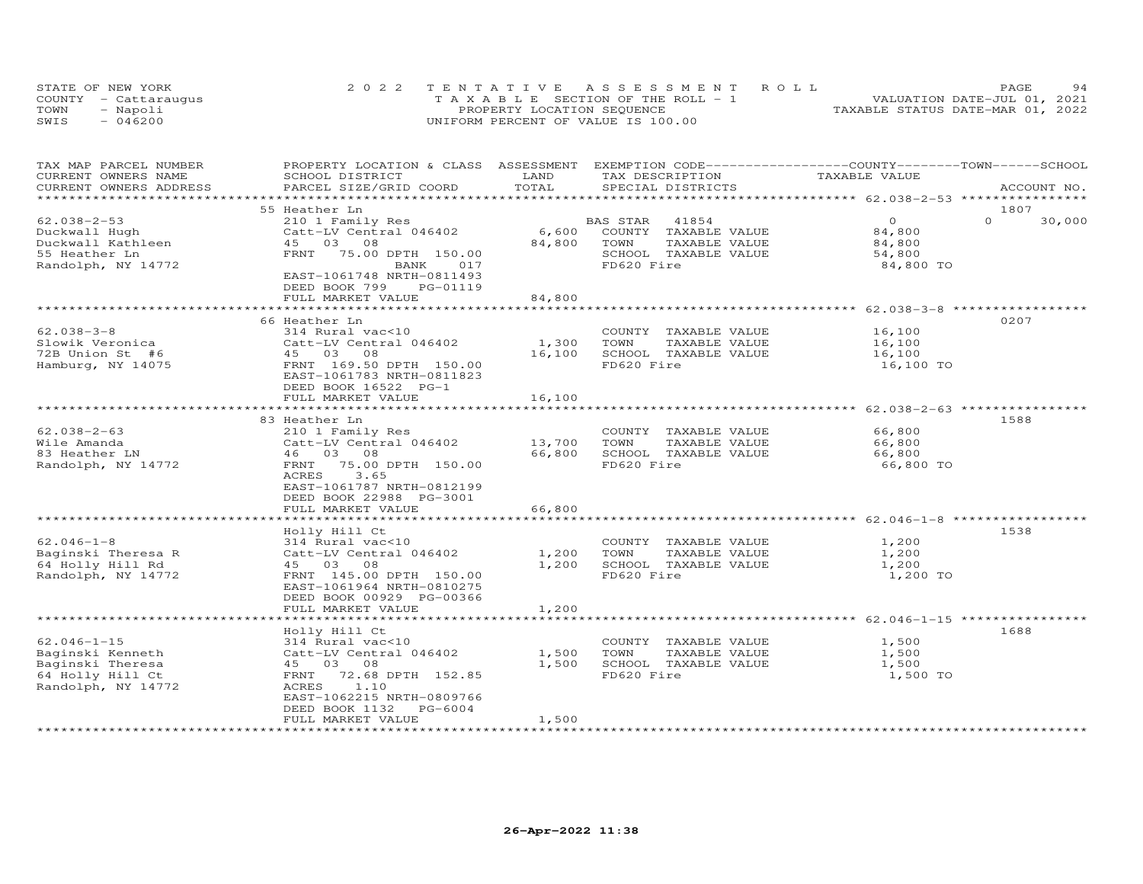| STATE OF NEW YORK    | 2022 TENTATIVE ASSESSMENT ROLL        |  |                                  | <b>PAGE</b>                 | 94 |
|----------------------|---------------------------------------|--|----------------------------------|-----------------------------|----|
| COUNTY - Cattaraugus | T A X A B L E SECTION OF THE ROLL - 1 |  |                                  | VALUATION DATE-JUL 01, 2021 |    |
| TOWN<br>- Napoli     | PROPERTY LOCATION SEQUENCE            |  | TAXABLE STATUS DATE-MAR 01, 2022 |                             |    |
| - 046200<br>SWIS     | UNIFORM PERCENT OF VALUE IS 100.00    |  |                                  |                             |    |

| TAX MAP PARCEL NUMBER<br>CURRENT OWNERS NAME                                                        | PROPERTY LOCATION & CLASS ASSESSMENT EXEMPTION CODE-----------------COUNTY-------TOWN------SCHOOL<br>SCHOOL DISTRICT                                                            | LAND                      | TAX DESCRIPTION                                                                                          | TAXABLE VALUE                                       |                    |
|-----------------------------------------------------------------------------------------------------|---------------------------------------------------------------------------------------------------------------------------------------------------------------------------------|---------------------------|----------------------------------------------------------------------------------------------------------|-----------------------------------------------------|--------------------|
| CURRENT OWNERS ADDRESS                                                                              | PARCEL SIZE/GRID COORD                                                                                                                                                          | TOTAL                     | SPECIAL DISTRICTS                                                                                        |                                                     | ACCOUNT NO.        |
|                                                                                                     | 55 Heather Ln                                                                                                                                                                   |                           |                                                                                                          |                                                     | 1807               |
| $62.038 - 2 - 53$<br>Duckwall Hugh<br>Duckwall Kathleen<br>55 Heather Ln<br>Randolph, NY 14772      | 210 1 Family Res<br>Catt-LV Central 046402<br>45 03 08<br>FRNT<br>75.00 DPTH 150.00<br>BANK<br>017<br>EAST-1061748 NRTH-0811493<br>DEED BOOK 799<br>PG-01119                    | 6,600<br>84,800           | BAS STAR<br>41854<br>COUNTY TAXABLE VALUE<br>TOWN<br>TAXABLE VALUE<br>SCHOOL TAXABLE VALUE<br>FD620 Fire | $\Omega$<br>84,800<br>84,800<br>54,800<br>84,800 TO | $\Omega$<br>30,000 |
|                                                                                                     | FULL MARKET VALUE                                                                                                                                                               | 84,800                    |                                                                                                          |                                                     |                    |
|                                                                                                     | **********************                                                                                                                                                          |                           |                                                                                                          | ******************* 62.038-3-8 *****************    |                    |
| $62.038 - 3 - 8$<br>Slowik Veronica<br>72B Union St #6<br>Hamburg, NY 14075                         | 66 Heather Ln<br>314 Rural vac<10<br>Catt-LV Central 046402<br>45 03 08<br>FRNT 169.50 DPTH 150.00<br>EAST-1061783 NRTH-0811823<br>DEED BOOK 16522 PG-1<br>FULL MARKET VALUE    | 1,300<br>16,100<br>16,100 | COUNTY TAXABLE VALUE<br>TOWN<br>TAXABLE VALUE<br>SCHOOL TAXABLE VALUE<br>FD620 Fire                      | 16,100<br>16,100<br>16,100<br>16,100 TO             | 0207               |
|                                                                                                     |                                                                                                                                                                                 |                           |                                                                                                          |                                                     |                    |
| $62.038 - 2 - 63$<br>Wile Amanda<br>83 Heather LN<br>Randolph, NY 14772                             | 83 Heather Ln<br>210 1 Family Res<br>Catt-LV Central 046402<br>46 03 08<br>75.00 DPTH 150.00<br>FRNT<br>ACRES<br>3.65<br>EAST-1061787 NRTH-0812199<br>DEED BOOK 22988 PG-3001   | 13,700<br>66,800          | COUNTY TAXABLE VALUE<br>TOWN<br>TAXABLE VALUE<br>SCHOOL TAXABLE VALUE<br>FD620 Fire                      | 66,800<br>66,800<br>66,800<br>66,800 TO             | 1588               |
|                                                                                                     | FULL MARKET VALUE                                                                                                                                                               | 66,800                    |                                                                                                          |                                                     |                    |
|                                                                                                     |                                                                                                                                                                                 | *********                 |                                                                                                          | *************************** 62.046-1-8 ************ |                    |
| $62.046 - 1 - 8$<br>Baginski Theresa R<br>64 Holly Hill Rd<br>Randolph, NY 14772                    | Holly Hill Ct<br>314 Rural vac<10<br>Catt-LV Central 046402<br>45 03 08<br>FRNT 145.00 DPTH 150.00<br>EAST-1061964 NRTH-0810275<br>DEED BOOK 00929 PG-00366                     | 1,200<br>1,200            | COUNTY TAXABLE VALUE<br>TOWN<br>TAXABLE VALUE<br>SCHOOL TAXABLE VALUE<br>FD620 Fire                      | 1,200<br>1,200<br>1,200<br>1,200 TO                 | 1538               |
|                                                                                                     | FULL MARKET VALUE                                                                                                                                                               | 1,200                     |                                                                                                          |                                                     |                    |
|                                                                                                     |                                                                                                                                                                                 |                           |                                                                                                          | ********** 62.046-1-15 ****                         |                    |
| $62.046 - 1 - 15$<br>Baginski Kenneth<br>Baginski Theresa<br>64 Holly Hill Ct<br>Randolph, NY 14772 | Holly Hill Ct<br>314 Rural vac<10<br>Catt-LV Central 046402<br>45 03 08<br>72.68 DPTH 152.85<br>FRNT<br>1.10<br>ACRES<br>EAST-1062215 NRTH-0809766<br>PG-6004<br>DEED BOOK 1132 | 1,500<br>1,500            | COUNTY TAXABLE VALUE<br>TAXABLE VALUE<br>TOWN<br>SCHOOL TAXABLE VALUE<br>FD620 Fire                      | 1,500<br>1,500<br>1,500<br>1,500 TO                 | 1688               |
| ************************                                                                            | FULL MARKET VALUE                                                                                                                                                               | 1,500                     |                                                                                                          |                                                     |                    |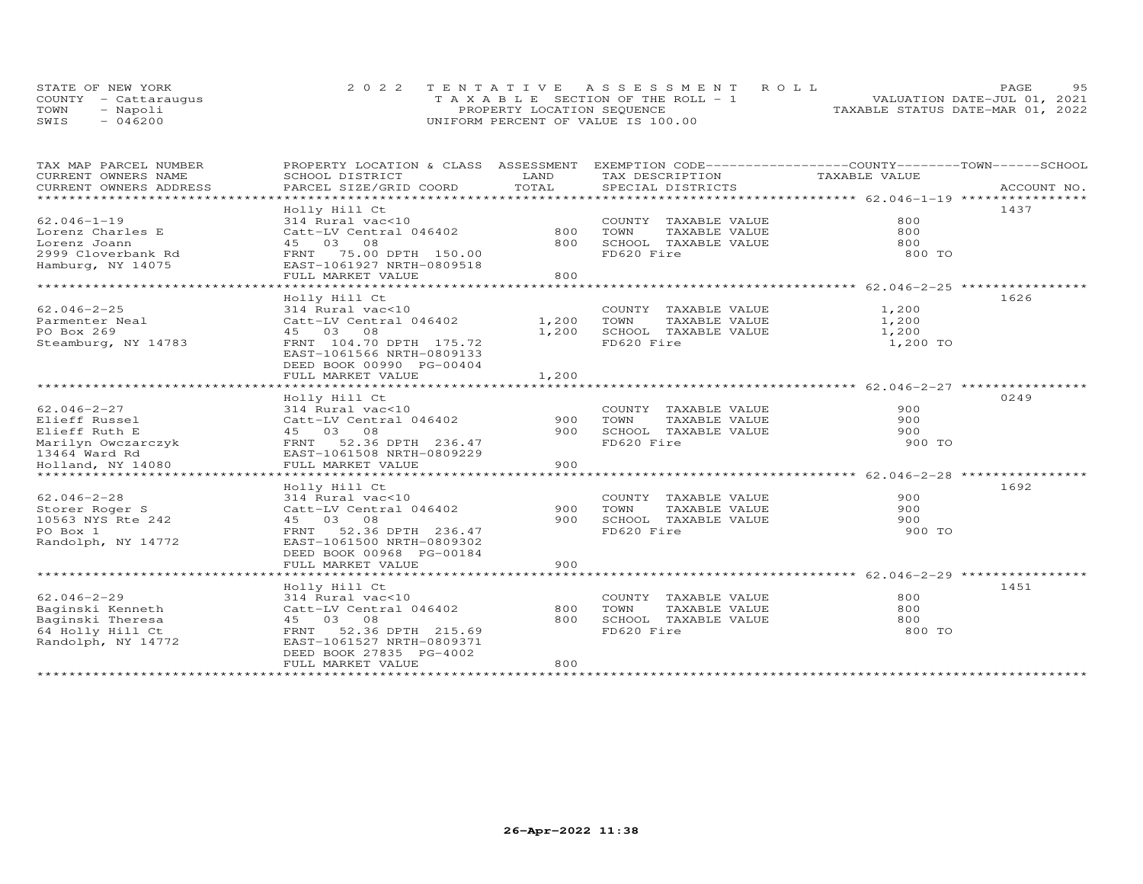|      | STATE OF NEW YORK    | 2022 TENTATIVE ASSESSMENT ROLL        | <b>PAGE</b>                      | 95 |
|------|----------------------|---------------------------------------|----------------------------------|----|
|      | COUNTY - Cattaraugus | T A X A B L E SECTION OF THE ROLL - 1 | VALUATION DATE-JUL 01, 2021      |    |
| TOWN | - Napoli             | PROPERTY LOCATION SEQUENCE            | TAXABLE STATUS DATE-MAR 01, 2022 |    |
| SWIS | $-046200$            | UNIFORM PERCENT OF VALUE IS 100.00    |                                  |    |

| TAX MAP PARCEL NUMBER<br>CURRENT OWNERS NAME<br>CURRENT OWNERS ADDRESS                                                                      | PROPERTY LOCATION & CLASS ASSESSMENT<br>SCHOOL DISTRICT<br>PARCEL SIZE/GRID COORD                                                                                                | LAND<br>TOTAL           | EXEMPTION CODE-----------------COUNTY-------TOWN------SCHOOL<br>TAX DESCRIPTION<br>SPECIAL DISTRICTS                                    | TAXABLE VALUE                       | ACCOUNT NO. |
|---------------------------------------------------------------------------------------------------------------------------------------------|----------------------------------------------------------------------------------------------------------------------------------------------------------------------------------|-------------------------|-----------------------------------------------------------------------------------------------------------------------------------------|-------------------------------------|-------------|
| **************************                                                                                                                  |                                                                                                                                                                                  |                         |                                                                                                                                         |                                     |             |
| $62.046 - 1 - 19$<br>Lorenz Charles E<br>Lorenz Joann<br>2999 Cloverbank Rd<br>Hamburg, NY 14075                                            | Holly Hill Ct<br>314 Rural vac<10<br>Catt-LV Central 046402<br>45 03 08<br>FRNT 75.00 DPTH 150.00<br>EAST-1061927 NRTH-0809518<br>FULL MARKET VALUE                              | 800<br>800<br>800       | COUNTY TAXABLE VALUE<br>TOWN<br>TAXABLE VALUE<br>SCHOOL TAXABLE VALUE<br>FD620 Fire                                                     | 800<br>800<br>800<br>800 TO         | 1437        |
|                                                                                                                                             |                                                                                                                                                                                  |                         |                                                                                                                                         |                                     |             |
| $62.046 - 2 - 25$<br>Parmenter Neal<br>PO Box 269<br>Steamburg, NY 14783                                                                    | Holly Hill Ct<br>314 Rural vac<10<br>Catt-LV Central 046402<br>45 03 08<br>FRNT 104.70 DPTH 175.72<br>EAST-1061566 NRTH-0809133<br>DEED BOOK 00990 PG-00404<br>FULL MARKET VALUE | 1,200<br>1,200<br>1,200 | COUNTY TAXABLE VALUE<br>TOWN<br>TAXABLE VALUE<br>SCHOOL TAXABLE VALUE<br>FD620 Fire<br>******************************** 62.046-2-27 *** | 1,200<br>1,200<br>1,200<br>1,200 TO | 1626        |
|                                                                                                                                             | Holly Hill Ct                                                                                                                                                                    |                         |                                                                                                                                         |                                     | 0249        |
| $62.046 - 2 - 27$<br>Elieff Russel<br>Elieff Ruth E<br>Marilyn Owczarczyk<br>13464 Ward Rd<br>Holland, NY 14080<br>************************ | 314 Rural vac<10<br>Catt-LV Central 046402<br>45 03 08<br>52.36 DPTH 236.47<br>FRNT<br>EAST-1061508 NRTH-0809229<br>FULL MARKET VALUE<br>*******************************         | 900<br>900<br>900       | COUNTY TAXABLE VALUE<br>TAXABLE VALUE<br>TOWN<br>SCHOOL TAXABLE VALUE<br>FD620 Fire                                                     | 900<br>900<br>900<br>900 TO         |             |
|                                                                                                                                             | Holly Hill Ct                                                                                                                                                                    |                         |                                                                                                                                         |                                     | 1692        |
| $62.046 - 2 - 28$<br>Storer Roger S<br>10563 NYS Rte 242<br>PO Box 1<br>Randolph, NY 14772                                                  | 314 Rural vac<10<br>Catt-LV Central 046402<br>45 03 08<br>52.36 DPTH 236.47<br>FRNT<br>EAST-1061500 NRTH-0809302<br>DEED BOOK 00968 PG-00184<br>FULL MARKET VALUE                | 900<br>900<br>900       | COUNTY TAXABLE VALUE<br>TOWN<br>TAXABLE VALUE<br>SCHOOL TAXABLE VALUE<br>FD620 Fire                                                     | 900<br>900<br>900<br>900 TO         |             |
|                                                                                                                                             | Holly Hill Ct                                                                                                                                                                    |                         |                                                                                                                                         |                                     | 1451        |
| $62.046 - 2 - 29$<br>Baginski Kenneth<br>Baginski Theresa<br>64 Holly Hill Ct<br>Randolph, NY 14772                                         | 314 Rural vac<10<br>Catt-LV Central 046402<br>45 03 08<br>FRNT 52.36 DPTH 215.69<br>EAST-1061527 NRTH-0809371<br>DEED BOOK 27835 PG-4002<br>FULL MARKET VALUE                    | 800<br>800<br>800       | COUNTY TAXABLE VALUE<br>TOWN<br>TAXABLE VALUE<br>SCHOOL TAXABLE VALUE<br>FD620 Fire                                                     | 800<br>800<br>800<br>800 TO         |             |
|                                                                                                                                             | ************************                                                                                                                                                         |                         |                                                                                                                                         |                                     |             |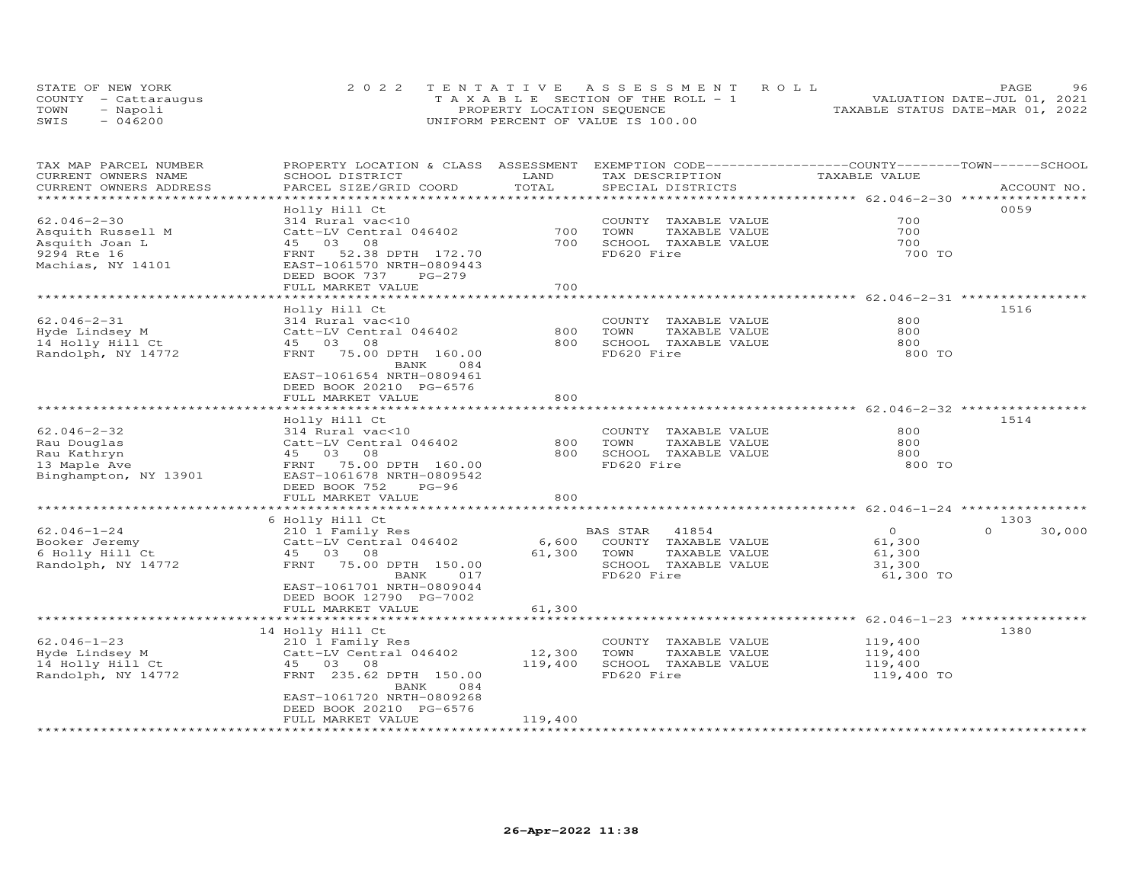| STATE OF NEW YORK    | 2022 TENTATIVE ASSESSMENT ROLL        | 96<br>PAGE.                      |
|----------------------|---------------------------------------|----------------------------------|
| COUNTY - Cattaraugus | T A X A B L E SECTION OF THE ROLL - 1 | VALUATION DATE-JUL 01, 2021      |
| TOWN<br>- Napoli     | PROPERTY LOCATION SEQUENCE            | TAXABLE STATUS DATE-MAR 01, 2022 |
| $-046200$<br>SWIS    | UNIFORM PERCENT OF VALUE IS 100.00    |                                  |

| TAX MAP PARCEL NUMBER<br>CURRENT OWNERS NAME<br>CURRENT OWNERS ADDRESS                       | PROPERTY LOCATION & CLASS ASSESSMENT<br>SCHOOL DISTRICT<br>PARCEL SIZE/GRID COORD                                                                                                             | LAND<br>TOTAL     | EXEMPTION CODE-----------------COUNTY-------TOWN------SCHOOL<br>TAX DESCRIPTION<br>SPECIAL DISTRICTS     | TAXABLE VALUE                                            | ACCOUNT NO.        |
|----------------------------------------------------------------------------------------------|-----------------------------------------------------------------------------------------------------------------------------------------------------------------------------------------------|-------------------|----------------------------------------------------------------------------------------------------------|----------------------------------------------------------|--------------------|
| *********************                                                                        |                                                                                                                                                                                               |                   |                                                                                                          |                                                          |                    |
| $62.046 - 2 - 30$<br>Asquith Russell M<br>Asquith Joan L<br>9294 Rte 16<br>Machias, NY 14101 | Holly Hill Ct<br>314 Rural vac<10<br>Catt-LV Central 046402<br>03<br>08<br>45<br>52.38 DPTH 172.70<br>FRNT<br>EAST-1061570 NRTH-0809443<br>DEED BOOK 737<br>$PG-279$<br>FULL MARKET VALUE     | 700<br>700<br>700 | COUNTY TAXABLE VALUE<br>TOWN<br>TAXABLE VALUE<br>SCHOOL TAXABLE VALUE<br>FD620 Fire                      | 700<br>700<br>700<br>700 TO                              | 0059               |
|                                                                                              |                                                                                                                                                                                               |                   |                                                                                                          |                                                          |                    |
| $62.046 - 2 - 31$<br>Hyde Lindsey M<br>14 Holly Hill Ct<br>Randolph, NY 14772                | Holly Hill Ct<br>314 Rural vac<10<br>Catt-LV Central 046402<br>45 03 08<br>FRNT 75.00 DPTH 160.00<br>BANK<br>084<br>EAST-1061654 NRTH-0809461<br>DEED BOOK 20210 PG-6576<br>FULL MARKET VALUE | 800<br>800<br>800 | COUNTY TAXABLE VALUE<br>TAXABLE VALUE<br>TOWN<br>SCHOOL TAXABLE VALUE<br>FD620 Fire                      | 800<br>800<br>800<br>800 TO                              | 1516               |
|                                                                                              |                                                                                                                                                                                               |                   |                                                                                                          |                                                          |                    |
| $62.046 - 2 - 32$<br>Rau Douglas<br>Rau Kathryn<br>13 Maple Ave<br>Binghampton, NY 13901     | Holly Hill Ct<br>314 Rural vac<10<br>Catt-LV Central 046402<br>45 03 08<br>FRNT 75.00 DPTH 160.00<br>EAST-1061678 NRTH-0809542<br>DEED BOOK 752<br>$PG-96$<br>FULL MARKET VALUE               | 800<br>800<br>800 | COUNTY TAXABLE VALUE<br>TAXABLE VALUE<br>TOWN<br>SCHOOL TAXABLE VALUE<br>FD620 Fire                      | 800<br>800<br>800<br>800 TO                              | 1514               |
|                                                                                              |                                                                                                                                                                                               |                   | **********************                                                                                   | *********** 62.046-1-24 **********                       | 1303               |
| $62.046 - 1 - 24$<br>Booker Jeremy<br>6 Holly Hill Ct<br>Randolph, NY 14772                  | 6 Holly Hill Ct<br>210 1 Family Res<br>Catt-LV Central 046402<br>45 03 08<br>FRNT<br>75.00 DPTH 150.00<br>BANK<br>017<br>EAST-1061701 NRTH-0809044<br>DEED BOOK 12790 PG-7002                 | 6,600<br>61,300   | 41854<br>BAS STAR<br>COUNTY TAXABLE VALUE<br>TAXABLE VALUE<br>TOWN<br>SCHOOL TAXABLE VALUE<br>FD620 Fire | $\Omega$<br>61,300<br>61,300<br>31,300<br>61,300 TO      | $\Omega$<br>30,000 |
|                                                                                              | FULL MARKET VALUE                                                                                                                                                                             | 61,300            |                                                                                                          |                                                          |                    |
| $62.046 - 1 - 23$<br>Hyde Lindsey M                                                          | 14 Holly Hill Ct<br>210 1 Family Res<br>Catt-LV Central 046402                                                                                                                                | 12,300            | COUNTY TAXABLE VALUE<br>TOWN<br>TAXABLE VALUE                                                            | **************** 62.046-1-23 *****<br>119,400<br>119,400 | 1380               |
| 14 Holly Hill Ct<br>Randolph, NY 14772                                                       | 45 03 08<br>FRNT 235.62 DPTH 150.00<br>BANK<br>084<br>EAST-1061720 NRTH-0809268                                                                                                               | 119,400           | SCHOOL TAXABLE VALUE<br>FD620 Fire                                                                       | 119,400<br>119,400 TO                                    |                    |
|                                                                                              | DEED BOOK 20210 PG-6576<br>FULL MARKET VALUE                                                                                                                                                  | 119,400           |                                                                                                          |                                                          |                    |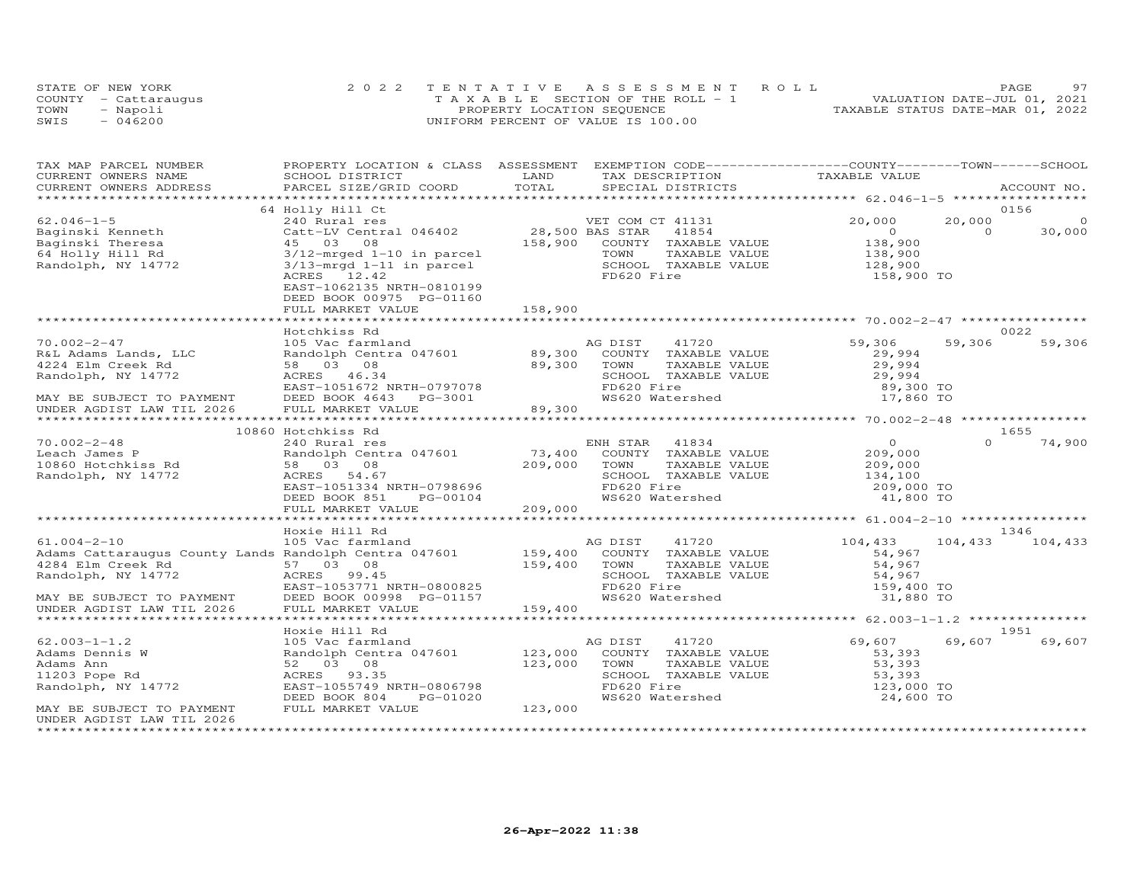|      | STATE OF NEW YORK    | 2022 TENTATIVE ASSESSMENT ROLL        |                                  | PAGE. | 97 |
|------|----------------------|---------------------------------------|----------------------------------|-------|----|
|      | COUNTY - Cattaraugus | T A X A B L E SECTION OF THE ROLL - 1 | VALUATION DATE-JUL 01, 2021      |       |    |
| TOWN | - Napoli             | PROPERTY LOCATION SEQUENCE            | TAXABLE STATUS DATE-MAR 01, 2022 |       |    |
| SWIS | $-046200$            | UNIFORM PERCENT OF VALUE IS 100.00    |                                  |       |    |

| TAX MAP PARCEL NUMBER                                                                                  | PROPERTY LOCATION & CLASS ASSESSMENT EXEMPTION CODE----------------COUNTY-------TOWN------SCHOOL |                 |                                                               |                                                     |          |             |
|--------------------------------------------------------------------------------------------------------|--------------------------------------------------------------------------------------------------|-----------------|---------------------------------------------------------------|-----------------------------------------------------|----------|-------------|
| CURRENT OWNERS NAME                                                                                    | SCHOOL DISTRICT                                                                                  | LAND            | TAX DESCRIPTION TAXABLE VALUE                                 |                                                     |          |             |
| CURRENT OWNERS ADDRESS                                                                                 | PARCEL SIZE/GRID COORD                                                                           | TOTAL           | SPECIAL DISTRICTS                                             |                                                     |          | ACCOUNT NO. |
|                                                                                                        |                                                                                                  |                 |                                                               |                                                     |          |             |
|                                                                                                        | 64 Holly Hill Ct                                                                                 |                 |                                                               |                                                     |          | 0156        |
| $62.046 - 1 - 5$                                                                                       | 240 Rural res                                                                                    |                 | VET COM CT 41131                                              | 20,000                                              | 20,000   | $\Omega$    |
| Baginski Kenneth                                                                                       | Catt-LV Central 046402                                                                           | 28,500 BAS STAR | 41854                                                         | $\overline{O}$                                      | $\Omega$ | 30,000      |
| Baginski Theresa                                                                                       | 45 03 08                                                                                         | 158,900         | COUNTY TAXABLE VALUE                                          | 138,900                                             |          |             |
| 64 Holly Hill Rd                                                                                       | $3/12$ -mrged $1-10$ in parcel                                                                   |                 | TOWN<br>TAXABLE VALUE                                         | 138,900<br>128,900                                  |          |             |
| Randolph, NY 14772                                                                                     | 3/13-mrgd 1-11 in parcel                                                                         |                 | SCHOOL TAXABLE VALUE                                          |                                                     |          |             |
|                                                                                                        | ACRES 12.42                                                                                      |                 | FD620 Fire                                                    | 158,900 TO                                          |          |             |
|                                                                                                        | EAST-1062135 NRTH-0810199<br>DEED BOOK 00975 PG-01160                                            |                 |                                                               |                                                     |          |             |
|                                                                                                        | FULL MARKET VALUE                                                                                | 158,900         |                                                               |                                                     |          |             |
|                                                                                                        |                                                                                                  |                 |                                                               |                                                     |          |             |
|                                                                                                        | Hotchkiss Rd                                                                                     |                 |                                                               |                                                     |          | 0022        |
| $70.002 - 2 - 47$                                                                                      | 105 Vac farmland                                                                                 |                 | AG DIST<br>41720                                              | 59,306                                              | 59,306   | 59,306      |
| R&L Adams Lands, LLC                                                                                   | Randolph Centra 047601 89,300                                                                    |                 | COUNTY TAXABLE VALUE                                          | 29,994                                              |          |             |
| 4224 Elm Creek Rd                                                                                      | 58 03 08                                                                                         | 89,300          | TOWN<br>TAXABLE VALUE                                         | 29,994                                              |          |             |
| Randolph, NY 14772                                                                                     |                                                                                                  |                 | SCHOOL TAXABLE VALUE                                          | 29,994                                              |          |             |
|                                                                                                        | ACRES 46.34<br>EAST-1051672 NRTH-0797078<br>EAST-10547 1055                                      |                 | FD620 Fire                                                    | 89,300 TO                                           |          |             |
|                                                                                                        | DEED BOOK 4643 PG-3001                                                                           |                 | WS620 Watershed                                               | 17,860 TO                                           |          |             |
| MAY BE SUBJECT TO PAYMENT<br>UNDER AGDIST LAW TIL 2026                                                 | FULL MARKET VALUE                                                                                | 89,300          |                                                               |                                                     |          |             |
|                                                                                                        |                                                                                                  |                 |                                                               |                                                     |          |             |
|                                                                                                        | 10860 Hotchkiss Rd                                                                               |                 |                                                               |                                                     |          | 1655        |
| $70.002 - 2 - 48$                                                                                      | 240 Rural res                                                                                    |                 | ENH STAR 41834                                                | $\overline{0}$                                      | $\Omega$ | 74,900      |
| Leach James P<br>10860 Hotchkiss Rd                                                                    | Randolph Centra 047601                                                                           | 73,400          | COUNTY TAXABLE VALUE                                          | 209,000                                             |          |             |
|                                                                                                        | 58 03 08                                                                                         | 209,000         | TAXABLE VALUE<br>TOWN                                         | 209,000                                             |          |             |
| Randolph, NY 14772                                                                                     | ACRES 54.67                                                                                      |                 | SCHOOL TAXABLE VALUE                                          | $\frac{203}{134}$ , 100                             |          |             |
|                                                                                                        | EAST-1051334 NRTH-0798696                                                                        |                 | FD620 Fire                                                    | 209,000 TO                                          |          |             |
|                                                                                                        | DEED BOOK 851<br>PG-00104                                                                        |                 | WS620 Watershed                                               | 41,800 TO                                           |          |             |
|                                                                                                        | FULL MARKET VALUE                                                                                | 209,000         |                                                               |                                                     |          |             |
|                                                                                                        |                                                                                                  |                 |                                                               | ********************* 61.004-2-10 ***************** |          |             |
|                                                                                                        | Hoxie Hill Rd                                                                                    |                 |                                                               |                                                     |          | 1346        |
|                                                                                                        |                                                                                                  |                 | AG DIST 41720                                                 | 104,433                                             | 104,433  | 104,433     |
| $61.004-2-10$ and $105$ Vac farmland as<br>Adminstrational county Lands Randolph Centra 047601 159,400 |                                                                                                  |                 | COUNTY TAXABLE VALUE                                          | 54,967                                              |          |             |
| 4284 Elm Creek Rd                                                                                      | 57 03 08                                                                                         | 159,400         | TOWN       TAXABLE  VALUE<br>SCHOOL    TAXABLE  VALUE<br>TOWN | 54,967                                              |          |             |
| Randolph, NY 14772                                                                                     | AURES 99.45<br>EAST-1053771 NRTH-0800825                                                         |                 |                                                               | 54,967                                              |          |             |
|                                                                                                        |                                                                                                  |                 | FD620 Fire                                                    | 159,400 TO                                          |          |             |
| MAY BE SUBJECT TO PAYMENT                                                                              | DEED BOOK 00998 PG-01157                                                                         |                 | WS620 Watershed                                               | 31,880 TO                                           |          |             |
| UNDER AGDIST LAW TIL 2026                                                                              | FULL MARKET VALUE                                                                                | 159,400         |                                                               |                                                     |          |             |
|                                                                                                        |                                                                                                  |                 |                                                               |                                                     |          |             |
|                                                                                                        | Hoxie Hill Rd                                                                                    |                 |                                                               |                                                     |          | 1951        |
| $62.003 - 1 - 1.2$                                                                                     | 105 Vac farmland                                                                                 |                 | AG DIST<br>41720                                              | 69,607                                              | 69,607   | 69,607      |
| Adams Dennis W                                                                                         | Randolph Centra 047601                                                                           | 123,000         | COUNTY TAXABLE VALUE                                          | 53,393                                              |          |             |
| Adams Ann                                                                                              | 52 03 08                                                                                         | 123,000         | TOWN<br>TAXABLE VALUE                                         | 53,393                                              |          |             |
| 11203 Pope Rd                                                                                          | ACRES 93.35                                                                                      |                 | SCHOOL TAXABLE VALUE                                          | 53,393                                              |          |             |
| Randolph, NY 14772                                                                                     | EAST-1055749 NRTH-0806798                                                                        |                 | FD620 Fire                                                    | 123,000 TO                                          |          |             |
|                                                                                                        | DEED BOOK 804<br>PG-01020                                                                        |                 | WS620 Watershed                                               | 24,600 TO                                           |          |             |
| MAY BE SUBJECT TO PAYMENT                                                                              | FULL MARKET VALUE                                                                                | 123,000         |                                                               |                                                     |          |             |
| UNDER AGDIST LAW TIL 2026                                                                              |                                                                                                  |                 |                                                               |                                                     |          |             |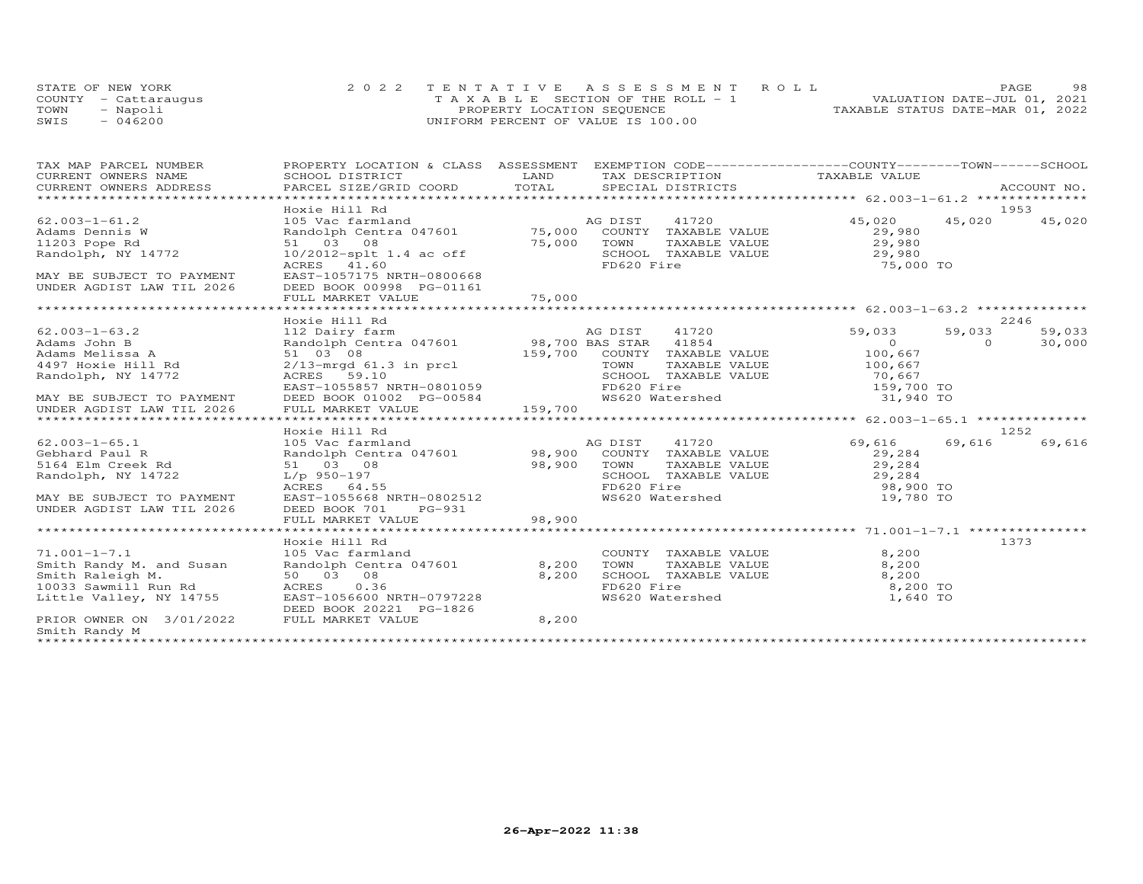|      | STATE OF NEW YORK    | 2022 TENTATIVE ASSESSMENT ROLL        |  |                                  | PAGE                        | 98 |
|------|----------------------|---------------------------------------|--|----------------------------------|-----------------------------|----|
|      | COUNTY - Cattarauqus | T A X A B L E SECTION OF THE ROLL - 1 |  |                                  | VALUATION DATE-JUL 01, 2021 |    |
| TOWN | - Napoli             | PROPERTY LOCATION SEQUENCE            |  | TAXABLE STATUS DATE-MAR 01, 2022 |                             |    |
| SWIS | $-046200$            | UNIFORM PERCENT OF VALUE IS 100.00    |  |                                  |                             |    |

| TAX MAP PARCEL NUMBER                                                                                                                                                                                                                                    | PROPERTY LOCATION & CLASS ASSESSMENT EXEMPTION CODE----------------COUNTY-------TOWN------SCHOOL                                                                                                 |                               |                                                                    |                                                                                  |          |        |
|----------------------------------------------------------------------------------------------------------------------------------------------------------------------------------------------------------------------------------------------------------|--------------------------------------------------------------------------------------------------------------------------------------------------------------------------------------------------|-------------------------------|--------------------------------------------------------------------|----------------------------------------------------------------------------------|----------|--------|
| CURRENT OWNERS NAME                                                                                                                                                                                                                                      | SCHOOL DISTRICT                                                                                                                                                                                  | LAND                          | TAX DESCRIPTION TAXABLE VALUE                                      |                                                                                  |          |        |
| .CURRENT OWNERS ADDRESS PARCEL SIZE/GRID COORD TOTAL SPECIAL DISTRICTS ACCOUNT NO ACCOUNT NO ACCOUNT NO ARE A TALL AND RESELL STRICTS ASSESS THAT A TALL THAT A TALL AND RESELL ASSESS THAT A TALL AND RESELL ASSESSED AND A T<br>CURRENT OWNERS ADDRESS |                                                                                                                                                                                                  |                               |                                                                    |                                                                                  |          |        |
|                                                                                                                                                                                                                                                          |                                                                                                                                                                                                  |                               |                                                                    |                                                                                  |          |        |
|                                                                                                                                                                                                                                                          | Hoxie Hill Rd                                                                                                                                                                                    |                               |                                                                    |                                                                                  |          | 1953   |
|                                                                                                                                                                                                                                                          |                                                                                                                                                                                                  |                               |                                                                    | 45,020 45,020 45,020                                                             |          |        |
|                                                                                                                                                                                                                                                          |                                                                                                                                                                                                  |                               |                                                                    |                                                                                  |          |        |
|                                                                                                                                                                                                                                                          |                                                                                                                                                                                                  |                               |                                                                    |                                                                                  |          |        |
|                                                                                                                                                                                                                                                          |                                                                                                                                                                                                  |                               |                                                                    | SCHOOL TAXABLE VALUE<br>FD620 Fire 75,000                                        |          |        |
|                                                                                                                                                                                                                                                          | ACRES 41.60                                                                                                                                                                                      |                               |                                                                    | 75,000 TO                                                                        |          |        |
| MAY BE SUBJECT TO PAYMENT<br>UNDER AGDIST LAW TIL 2026 DEED BOOK 00998 PG-01161                                                                                                                                                                          |                                                                                                                                                                                                  |                               |                                                                    |                                                                                  |          |        |
|                                                                                                                                                                                                                                                          |                                                                                                                                                                                                  |                               |                                                                    |                                                                                  |          |        |
|                                                                                                                                                                                                                                                          |                                                                                                                                                                                                  |                               |                                                                    |                                                                                  |          |        |
|                                                                                                                                                                                                                                                          | Hoxie Hill Rd                                                                                                                                                                                    |                               |                                                                    |                                                                                  |          | 2246   |
| $62.003 - 1 - 63.2$                                                                                                                                                                                                                                      |                                                                                                                                                                                                  |                               | AG DIST 41720 59,033                                               |                                                                                  | 59,033   | 59,033 |
|                                                                                                                                                                                                                                                          | AG DIST 41720<br>112 Dairy farm and and the Randolph Centra 047601<br>51 03 08 159,700 BAS STAR 41854<br>2/13-mrgd 61.3 in prcl 159,700 COUNTY TAXABLE VALUE<br>ACRES 59.10 SCHOOL TAXABLE VALUE |                               |                                                                    |                                                                                  | $\Omega$ | 30,000 |
| Adams John B<br>Adams Melissa A<br>4497 Hoxie Hill Rd                                                                                                                                                                                                    |                                                                                                                                                                                                  |                               |                                                                    | $\begin{array}{c} 0 \\ 100,667 \\ 100,667 \end{array}$                           |          |        |
|                                                                                                                                                                                                                                                          |                                                                                                                                                                                                  |                               |                                                                    |                                                                                  |          |        |
| Randolph, NY 14772                                                                                                                                                                                                                                       |                                                                                                                                                                                                  |                               | SCHOOL TAXABLE VALUE 70,667                                        |                                                                                  |          |        |
|                                                                                                                                                                                                                                                          |                                                                                                                                                                                                  |                               | FD620 Fire                                                         |                                                                                  |          |        |
| MAY BE SUBJECT TO PAYMENT                                                                                                                                                                                                                                | EAST-1055857 NRTH-0801059<br>DEED BOOK 01002 PG-00584                                                                                                                                            |                               | WS620 Watershed                                                    | 159,700 TO<br>31,940 TO                                                          |          |        |
| UNDER AGDIST LAW TIL 2026                                                                                                                                                                                                                                | FULL MARKET VALUE                                                                                                                                                                                | 159,700                       |                                                                    |                                                                                  |          |        |
|                                                                                                                                                                                                                                                          |                                                                                                                                                                                                  |                               |                                                                    |                                                                                  |          |        |
|                                                                                                                                                                                                                                                          | Hoxie Hill Rd                                                                                                                                                                                    |                               |                                                                    |                                                                                  |          | 1252   |
| $62.003 - 1 - 65.1$                                                                                                                                                                                                                                      |                                                                                                                                                                                                  |                               |                                                                    | 69,616                                                                           | 69,616   | 69,616 |
| Gebhard Paul R                                                                                                                                                                                                                                           |                                                                                                                                                                                                  |                               |                                                                    |                                                                                  |          |        |
| 5164 Elm Creek Rd                                                                                                                                                                                                                                        | 51 03 08                                                                                                                                                                                         | 98,900 TOWN<br>SCHOC<br>FD620 |                                                                    | TOWN TAXABLE VALUE 29,284<br>SCHOOL TAXABLE VALUE 29,284<br>FD620 Fire 98,900 TO |          |        |
| Randolph, NY 14722                                                                                                                                                                                                                                       | L/p 950-197                                                                                                                                                                                      |                               |                                                                    |                                                                                  |          |        |
|                                                                                                                                                                                                                                                          | ACRES 64.55                                                                                                                                                                                      |                               | FD620 Fire                                                         |                                                                                  |          |        |
| MAY BE SUBJECT TO PAYMENT                                                                                                                                                                                                                                | EAST-1055668 NRTH-0802512                                                                                                                                                                        |                               |                                                                    | WS620 Watershed 19,780 TO                                                        |          |        |
| UNDER AGDIST LAW TIL 2026                                                                                                                                                                                                                                | DEED BOOK 701<br>PG-931                                                                                                                                                                          |                               |                                                                    |                                                                                  |          |        |
|                                                                                                                                                                                                                                                          | FULL MARKET VALUE                                                                                                                                                                                | 98,900                        |                                                                    |                                                                                  |          |        |
|                                                                                                                                                                                                                                                          |                                                                                                                                                                                                  |                               |                                                                    |                                                                                  |          |        |
|                                                                                                                                                                                                                                                          | Hoxie Hill Rd                                                                                                                                                                                    |                               |                                                                    |                                                                                  |          | 1373   |
| $71.001 - 1 - 7.1$                                                                                                                                                                                                                                       | 105 Vac farmland                                                                                                                                                                                 |                               |                                                                    | 8,200                                                                            |          |        |
|                                                                                                                                                                                                                                                          |                                                                                                                                                                                                  | 8,200                         |                                                                    | 8,200                                                                            |          |        |
| Smith Randy M. and Susan<br>Smith Raleigh M. And Susan<br>So 03 08<br>10033 Samith M.                                                                                                                                                                    |                                                                                                                                                                                                  | 8,200                         | COUNTY TAXABLE VALUE<br>TOWN TAXABLE VALUE<br>SCHOOL TAXABLE VALUE | 8,200                                                                            |          |        |
|                                                                                                                                                                                                                                                          |                                                                                                                                                                                                  |                               |                                                                    | FD620 Fire<br>WS620 Watershed 1.640 TO                                           |          |        |
|                                                                                                                                                                                                                                                          |                                                                                                                                                                                                  |                               |                                                                    |                                                                                  |          |        |
| PRIOR OWNER ON 3/01/2022 FULL MARKET VALUE                                                                                                                                                                                                               | DEED BOOK 20221 PG-1826                                                                                                                                                                          | 8,200                         |                                                                    |                                                                                  |          |        |
| Smith Randy M                                                                                                                                                                                                                                            |                                                                                                                                                                                                  |                               |                                                                    |                                                                                  |          |        |
|                                                                                                                                                                                                                                                          |                                                                                                                                                                                                  |                               |                                                                    |                                                                                  |          |        |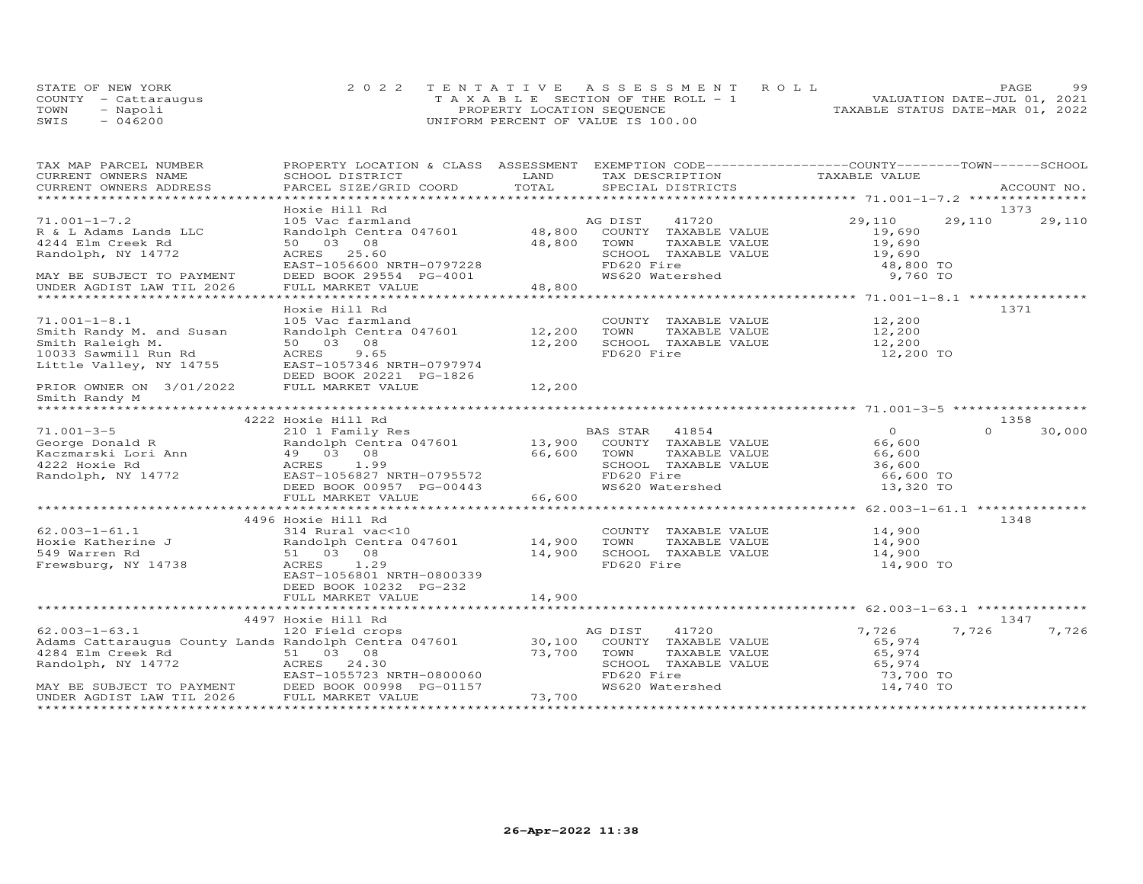|      | STATE OF NEW YORK    | 2022 TENTATIVE ASSESSMENT ROLL        | 99<br>PAGE.                      |
|------|----------------------|---------------------------------------|----------------------------------|
|      | COUNTY - Cattaraugus | T A X A B L E SECTION OF THE ROLL - 1 | VALUATION DATE-JUL 01, 2021      |
| TOWN | Napoli               | PROPERTY LOCATION SEQUENCE            | TAXABLE STATUS DATE-MAR 01, 2022 |
| SWIS | 046200               | UNIFORM PERCENT OF VALUE IS 100.00    |                                  |

| TAX MAP PARCEL NUMBER                                                                                                                                                                                                                                                                                                                                                                                                                                                                                                  | PROPERTY LOCATION & CLASS ASSESSMENT EXEMPTION CODE----------------COUNTY-------TOWN------SCHOOL |             |                                                                                                         |                        |          |        |
|------------------------------------------------------------------------------------------------------------------------------------------------------------------------------------------------------------------------------------------------------------------------------------------------------------------------------------------------------------------------------------------------------------------------------------------------------------------------------------------------------------------------|--------------------------------------------------------------------------------------------------|-------------|---------------------------------------------------------------------------------------------------------|------------------------|----------|--------|
| CURRENT OWNERS NAME                                                                                                                                                                                                                                                                                                                                                                                                                                                                                                    | SCHOOL DISTRICT                                                                                  | LAND        | TAX DESCRIPTION                                                                                         | TAXABLE VALUE          |          |        |
| $\begin{minipage}{.45\textwidth} \begin{minipage}{.45\textwidth} \begin{minipage}{.45\textwidth} \begin{minipage}{.45\textwidth} \begin{minipage}{.45\textwidth} \begin{minipage}{.45\textwidth} \begin{minipage}{.45\textwidth} \begin{minipage}{.45\textwidth} \begin{minipage}{.45\textwidth} \begin{minipage}{.45\textwidth} \begin{minipage}{.45\textwidth} \begin{minipage}{.45\textwidth} \begin{minipage}{.45\textwidth} \begin{minipage}{.45\textwidth} \begin{minipage}{.45\textwidth} \begin{minipage}{.45$ | PARCEL SIZE/GRID COORD                                                                           |             |                                                                                                         |                        |          |        |
|                                                                                                                                                                                                                                                                                                                                                                                                                                                                                                                        | Hoxie Hill Rd                                                                                    |             |                                                                                                         |                        |          | 1373   |
| $71.001 - 1 - 7.2$                                                                                                                                                                                                                                                                                                                                                                                                                                                                                                     |                                                                                                  |             |                                                                                                         | 29,110 29,110          |          | 29,110 |
| R & L Adams Lands LLC                                                                                                                                                                                                                                                                                                                                                                                                                                                                                                  |                                                                                                  |             |                                                                                                         | 19,690                 |          |        |
| 4244 Elm Creek Rd                                                                                                                                                                                                                                                                                                                                                                                                                                                                                                      | 50 03 08                                                                                         | 48,800      | TOWN<br>TAXABLE VALUE                                                                                   |                        |          |        |
| Randolph, NY 14772                                                                                                                                                                                                                                                                                                                                                                                                                                                                                                     |                                                                                                  |             | SCHOOL TAXABLE VALUE                                                                                    | 19,690<br>19,690       |          |        |
|                                                                                                                                                                                                                                                                                                                                                                                                                                                                                                                        |                                                                                                  |             | FD620 Fire                                                                                              | 48,800 TO              |          |        |
| MAY BE SUBJECT TO PAYMENT                                                                                                                                                                                                                                                                                                                                                                                                                                                                                              | DEED BOOK 29554 PG-4001                                                                          |             | WS620 Watershed                                                                                         | 9,760 TO               |          |        |
| UNDER AGDIST LAW TIL 2026                                                                                                                                                                                                                                                                                                                                                                                                                                                                                              | FULL MARKET VALUE                                                                                | 48,800      |                                                                                                         |                        |          |        |
|                                                                                                                                                                                                                                                                                                                                                                                                                                                                                                                        |                                                                                                  |             |                                                                                                         |                        |          |        |
|                                                                                                                                                                                                                                                                                                                                                                                                                                                                                                                        | Hoxie Hill Rd                                                                                    |             |                                                                                                         |                        |          | 1371   |
| $71.001 - 1 - 8.1$                                                                                                                                                                                                                                                                                                                                                                                                                                                                                                     | 105 Vac farmland                                                                                 |             | COUNTY TAXABLE VALUE                                                                                    | 12,200                 |          |        |
| Smith Randy M. and Susan                                                                                                                                                                                                                                                                                                                                                                                                                                                                                               | Randolph Centra 047601 12,200                                                                    |             | TAXABLE VALUE<br>TOWN                                                                                   | 12,200                 |          |        |
|                                                                                                                                                                                                                                                                                                                                                                                                                                                                                                                        | 50 03 08                                                                                         | 12,200      |                                                                                                         | 12,200                 |          |        |
|                                                                                                                                                                                                                                                                                                                                                                                                                                                                                                                        | ACRES<br>9.65                                                                                    |             | SCHOOL TAXABLE VALUE<br>FD620 Fire                                                                      | 12,200 TO              |          |        |
| Smith Raleigh M.<br>10033 Sawmill Run Rd<br>Little Valley, NY 14755                                                                                                                                                                                                                                                                                                                                                                                                                                                    | EAST-1057346 NRTH-0797974                                                                        |             |                                                                                                         |                        |          |        |
|                                                                                                                                                                                                                                                                                                                                                                                                                                                                                                                        | DEED BOOK 20221 PG-1826                                                                          |             |                                                                                                         |                        |          |        |
| PRIOR OWNER ON 3/01/2022                                                                                                                                                                                                                                                                                                                                                                                                                                                                                               | FULL MARKET VALUE                                                                                | 12,200      |                                                                                                         |                        |          |        |
|                                                                                                                                                                                                                                                                                                                                                                                                                                                                                                                        |                                                                                                  |             |                                                                                                         |                        |          |        |
| Smith Randy M                                                                                                                                                                                                                                                                                                                                                                                                                                                                                                          |                                                                                                  |             |                                                                                                         |                        |          |        |
|                                                                                                                                                                                                                                                                                                                                                                                                                                                                                                                        | 4222 Hoxie Hill Rd                                                                               |             |                                                                                                         |                        |          | 1358   |
| $71.001 - 3 - 5$                                                                                                                                                                                                                                                                                                                                                                                                                                                                                                       | 210 1 Family Res                                                                                 |             | <b>BAS STAR</b> 41854                                                                                   | $\overline{0}$         | $\Omega$ | 30,000 |
| VI.UUI-3-5<br>George Donald R (And Racemarski Lori Ann (And Allendon)<br>Az22 Hoxie Rd (ACRES 1.99)<br>Randolph, NY 14772 (BAST-1056827 N<br>DEED BOOK 009<br>DEED BOOK 009<br>DEED BOOK 009<br>DEED BOOK 009<br>DEED BOOK 009                                                                                                                                                                                                                                                                                         | Randolph Centra 047601 13,900 COUNTY TAXABLE VALUE                                               |             |                                                                                                         | 66,600                 |          |        |
|                                                                                                                                                                                                                                                                                                                                                                                                                                                                                                                        |                                                                                                  |             | TAXABLE VALUE                                                                                           | 66,600                 |          |        |
|                                                                                                                                                                                                                                                                                                                                                                                                                                                                                                                        |                                                                                                  | 66,600 TOWN | SCHOOL TAXABLE VALUE                                                                                    | 36,600                 |          |        |
|                                                                                                                                                                                                                                                                                                                                                                                                                                                                                                                        | EAST-1056827 NRTH-0795572                                                                        |             | FD620 Fire                                                                                              | 66,600 TO              |          |        |
|                                                                                                                                                                                                                                                                                                                                                                                                                                                                                                                        | DEED BOOK 00957 PG-00443                                                                         |             | WS620 Watershed                                                                                         | 13,320 TO              |          |        |
|                                                                                                                                                                                                                                                                                                                                                                                                                                                                                                                        | FULL MARKET VALUE                                                                                | 66,600      |                                                                                                         |                        |          |        |
|                                                                                                                                                                                                                                                                                                                                                                                                                                                                                                                        |                                                                                                  |             |                                                                                                         |                        |          |        |
|                                                                                                                                                                                                                                                                                                                                                                                                                                                                                                                        | 4496 Hoxie Hill Rd                                                                               |             |                                                                                                         |                        |          | 1348   |
| $62.003 - 1 - 61.1$                                                                                                                                                                                                                                                                                                                                                                                                                                                                                                    | 314 Rural vac<10                                                                                 |             | COUNTY TAXABLE VALUE 14,900                                                                             |                        |          |        |
|                                                                                                                                                                                                                                                                                                                                                                                                                                                                                                                        |                                                                                                  |             |                                                                                                         | 14,900                 |          |        |
|                                                                                                                                                                                                                                                                                                                                                                                                                                                                                                                        |                                                                                                  |             | TOWN       TAXABLE  VALUE<br>SCHOOL    TAXABLE  VALUE                                                   | 14,900                 |          |        |
| Frewsburg, NY 14738                                                                                                                                                                                                                                                                                                                                                                                                                                                                                                    | ACRES 1.29                                                                                       |             | FD620 Fire                                                                                              | 14,900 TO              |          |        |
|                                                                                                                                                                                                                                                                                                                                                                                                                                                                                                                        | EAST-1056801 NRTH-0800339                                                                        |             |                                                                                                         |                        |          |        |
|                                                                                                                                                                                                                                                                                                                                                                                                                                                                                                                        | DEED BOOK 10232 PG-232                                                                           |             |                                                                                                         |                        |          |        |
|                                                                                                                                                                                                                                                                                                                                                                                                                                                                                                                        | FULL MARKET VALUE                                                                                | 14,900      |                                                                                                         |                        |          |        |
|                                                                                                                                                                                                                                                                                                                                                                                                                                                                                                                        |                                                                                                  |             |                                                                                                         |                        |          |        |
|                                                                                                                                                                                                                                                                                                                                                                                                                                                                                                                        | 4497 Hoxie Hill Rd                                                                               |             |                                                                                                         |                        |          | 1347   |
|                                                                                                                                                                                                                                                                                                                                                                                                                                                                                                                        |                                                                                                  |             | AG DIST<br>41720                                                                                        | 7,726                  | 7,726    | 7,726  |
| 62.003-1-63.1 120 Field crops AC<br>Adams Cattaraugus County Lands Randolph Centra 047601 30,100                                                                                                                                                                                                                                                                                                                                                                                                                       |                                                                                                  |             | COUNTY TAXABLE VALUE                                                                                    | 65,974                 |          |        |
|                                                                                                                                                                                                                                                                                                                                                                                                                                                                                                                        |                                                                                                  | 73,700      |                                                                                                         |                        |          |        |
|                                                                                                                                                                                                                                                                                                                                                                                                                                                                                                                        |                                                                                                  |             |                                                                                                         |                        |          |        |
|                                                                                                                                                                                                                                                                                                                                                                                                                                                                                                                        |                                                                                                  |             |                                                                                                         |                        |          |        |
| 4284 Elm Creek Rd<br>Randolph, NY 14772<br>Randolph, NY 14772<br>EAST-1055723 NRTH-0800060<br>MAY BE SUBJECT TO PAYMENT<br>UNDER AGDIST LAW TIL 2026<br>PULL MARKET VALUE<br>TULL MARKET VALUE<br>TULL MARKET VALUE                                                                                                                                                                                                                                                                                                    |                                                                                                  |             | TOWN TAXABLE VALUE 65,974<br>SCHOOL TAXABLE VALUE 65,974<br>FD620 Fire 73,700<br>WS620 Watershed 14,740 | 73,700 TO<br>14,740 TO |          |        |
|                                                                                                                                                                                                                                                                                                                                                                                                                                                                                                                        |                                                                                                  | 73,700      |                                                                                                         |                        |          |        |
|                                                                                                                                                                                                                                                                                                                                                                                                                                                                                                                        |                                                                                                  |             |                                                                                                         |                        |          |        |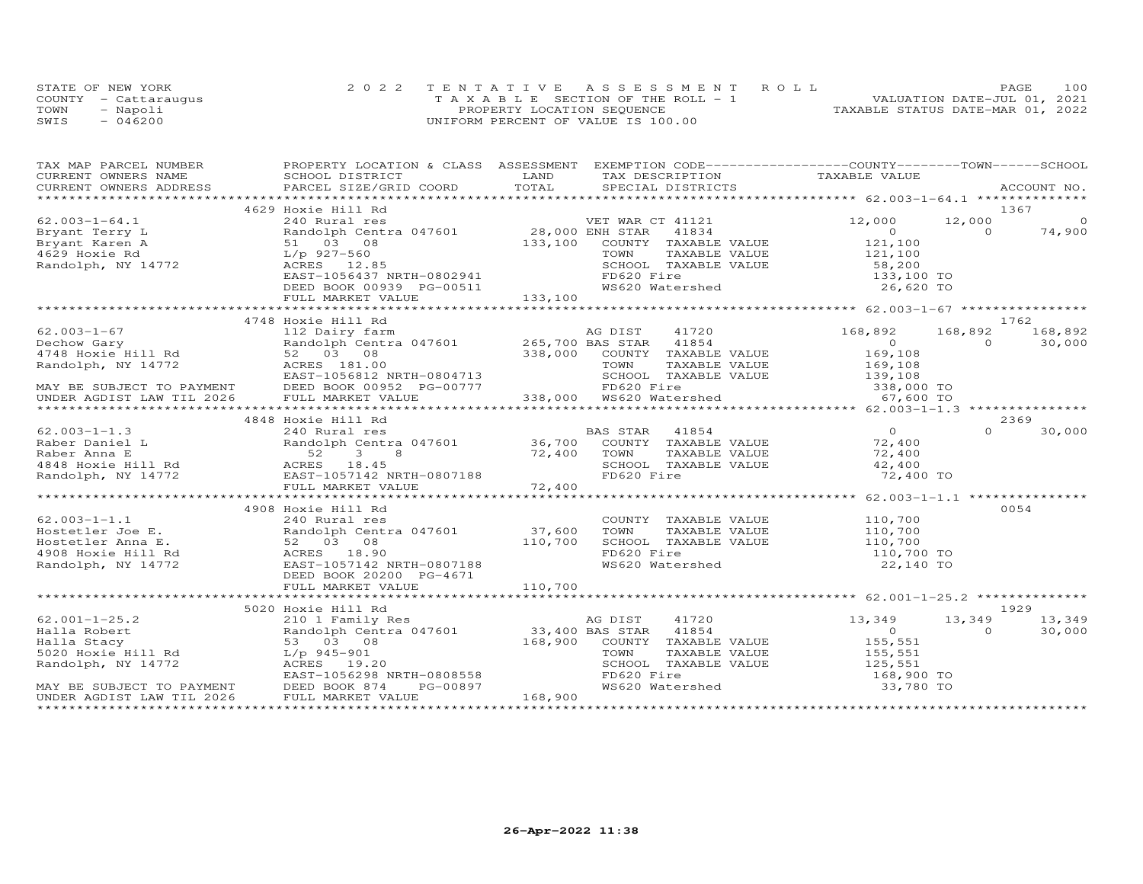|      | STATE OF NEW YORK    | 2022 TENTATIVE ASSESSMENT ROLL        | PAGE                             | 100 |
|------|----------------------|---------------------------------------|----------------------------------|-----|
|      | COUNTY - Cattarauqus | T A X A B L E SECTION OF THE ROLL - 1 | VALUATION DATE-JUL 01, 2021      |     |
| TOWN | - Napoli             | PROPERTY LOCATION SEQUENCE            | TAXABLE STATUS DATE-MAR 01, 2022 |     |
| SWIS | $-046200$            | UNIFORM PERCENT OF VALUE IS 100.00    |                                  |     |

| TAX MAP PARCEL NUMBER                                                                                                                                                                                                                                                                   | PROPERTY LOCATION & CLASS ASSESSMENT EXEMPTION CODE-----------------COUNTY-------TOWN------SCHOOL                                                                                                                                                                                                                                                                           |                                                                                                                                                            |          |         |
|-----------------------------------------------------------------------------------------------------------------------------------------------------------------------------------------------------------------------------------------------------------------------------------------|-----------------------------------------------------------------------------------------------------------------------------------------------------------------------------------------------------------------------------------------------------------------------------------------------------------------------------------------------------------------------------|------------------------------------------------------------------------------------------------------------------------------------------------------------|----------|---------|
|                                                                                                                                                                                                                                                                                         |                                                                                                                                                                                                                                                                                                                                                                             |                                                                                                                                                            |          |         |
|                                                                                                                                                                                                                                                                                         |                                                                                                                                                                                                                                                                                                                                                                             |                                                                                                                                                            |          |         |
|                                                                                                                                                                                                                                                                                         |                                                                                                                                                                                                                                                                                                                                                                             |                                                                                                                                                            |          |         |
| 62.003-1-64.1<br>Bryant Terry L<br>Bryant Karen A<br>4629 Hoxie Rd<br>Randolph, NY 14772<br>Randolph, NY 14772<br>$\begin{array}{r} 167.84 \times 10^{-10} \text{ R} \\ 51 & 03 & 08 \\ 107 & 927-560 \\ 208 & 12.85 \\ 208 & 12.85 \\ 208 & 12.85 \\ 2096 & 12.85 \\ 2096 & 12.85 \\ $ | 4629 Hoxie Hill Rd                                                                                                                                                                                                                                                                                                                                                          |                                                                                                                                                            |          | 1367    |
|                                                                                                                                                                                                                                                                                         | % Hoxie Hill Rd<br>240 Rural res<br>Randolph Centra 047601 28,000 ENH STAR 41834 0<br>51 03 08 133,100 COUNTY TAXABLE VALUE 121,100<br>L/p 927-560 133,100 COUNTY TAXABLE VALUE 121,100<br>ACRES 12.85 SCHOOL TAXABLE VALUE 58,200<br>EAST                                                                                                                                  |                                                                                                                                                            | 12,000   | $\circ$ |
|                                                                                                                                                                                                                                                                                         |                                                                                                                                                                                                                                                                                                                                                                             |                                                                                                                                                            | $\Omega$ | 74,900  |
|                                                                                                                                                                                                                                                                                         |                                                                                                                                                                                                                                                                                                                                                                             |                                                                                                                                                            |          |         |
|                                                                                                                                                                                                                                                                                         |                                                                                                                                                                                                                                                                                                                                                                             |                                                                                                                                                            |          |         |
|                                                                                                                                                                                                                                                                                         |                                                                                                                                                                                                                                                                                                                                                                             |                                                                                                                                                            |          |         |
|                                                                                                                                                                                                                                                                                         |                                                                                                                                                                                                                                                                                                                                                                             |                                                                                                                                                            |          |         |
|                                                                                                                                                                                                                                                                                         |                                                                                                                                                                                                                                                                                                                                                                             |                                                                                                                                                            |          |         |
|                                                                                                                                                                                                                                                                                         |                                                                                                                                                                                                                                                                                                                                                                             |                                                                                                                                                            |          |         |
|                                                                                                                                                                                                                                                                                         |                                                                                                                                                                                                                                                                                                                                                                             |                                                                                                                                                            |          |         |
|                                                                                                                                                                                                                                                                                         | 4748 Hoxie Hill Rd                                                                                                                                                                                                                                                                                                                                                          |                                                                                                                                                            |          | 1762    |
|                                                                                                                                                                                                                                                                                         |                                                                                                                                                                                                                                                                                                                                                                             |                                                                                                                                                            |          |         |
|                                                                                                                                                                                                                                                                                         |                                                                                                                                                                                                                                                                                                                                                                             |                                                                                                                                                            |          |         |
|                                                                                                                                                                                                                                                                                         |                                                                                                                                                                                                                                                                                                                                                                             |                                                                                                                                                            |          |         |
|                                                                                                                                                                                                                                                                                         |                                                                                                                                                                                                                                                                                                                                                                             |                                                                                                                                                            |          |         |
|                                                                                                                                                                                                                                                                                         |                                                                                                                                                                                                                                                                                                                                                                             |                                                                                                                                                            |          |         |
|                                                                                                                                                                                                                                                                                         |                                                                                                                                                                                                                                                                                                                                                                             |                                                                                                                                                            |          |         |
|                                                                                                                                                                                                                                                                                         |                                                                                                                                                                                                                                                                                                                                                                             |                                                                                                                                                            |          |         |
|                                                                                                                                                                                                                                                                                         | $\begin{tabular}{lllllllllllllllllll} \mbox{\small 62.003--1-67} & \mbox{\small 4748 Hox11L K} & \mbox{\small 168,892} & \mbox{\small 168,892} & \mbox{\small 168,892} & \mbox{\small 168,892} & \mbox{\small 168,892} & \mbox{\small 168,892} & \mbox{\small 168,892} & \mbox{\small 168,892} & \mbox{\small 168,892} & \mbox{\small 168,892} & \mbox{\small 168,892} & \$ |                                                                                                                                                            |          |         |
|                                                                                                                                                                                                                                                                                         |                                                                                                                                                                                                                                                                                                                                                                             |                                                                                                                                                            |          |         |
|                                                                                                                                                                                                                                                                                         |                                                                                                                                                                                                                                                                                                                                                                             |                                                                                                                                                            |          | 30,000  |
|                                                                                                                                                                                                                                                                                         |                                                                                                                                                                                                                                                                                                                                                                             |                                                                                                                                                            |          |         |
|                                                                                                                                                                                                                                                                                         |                                                                                                                                                                                                                                                                                                                                                                             |                                                                                                                                                            |          |         |
|                                                                                                                                                                                                                                                                                         |                                                                                                                                                                                                                                                                                                                                                                             |                                                                                                                                                            |          |         |
|                                                                                                                                                                                                                                                                                         |                                                                                                                                                                                                                                                                                                                                                                             |                                                                                                                                                            |          |         |
|                                                                                                                                                                                                                                                                                         |                                                                                                                                                                                                                                                                                                                                                                             |                                                                                                                                                            |          |         |
|                                                                                                                                                                                                                                                                                         |                                                                                                                                                                                                                                                                                                                                                                             |                                                                                                                                                            |          |         |
|                                                                                                                                                                                                                                                                                         | 4908 Hoxie Hill Rd                                                                                                                                                                                                                                                                                                                                                          |                                                                                                                                                            |          | 0054    |
|                                                                                                                                                                                                                                                                                         |                                                                                                                                                                                                                                                                                                                                                                             |                                                                                                                                                            |          |         |
|                                                                                                                                                                                                                                                                                         |                                                                                                                                                                                                                                                                                                                                                                             |                                                                                                                                                            |          |         |
|                                                                                                                                                                                                                                                                                         |                                                                                                                                                                                                                                                                                                                                                                             |                                                                                                                                                            |          |         |
|                                                                                                                                                                                                                                                                                         |                                                                                                                                                                                                                                                                                                                                                                             |                                                                                                                                                            |          |         |
|                                                                                                                                                                                                                                                                                         |                                                                                                                                                                                                                                                                                                                                                                             | COUNTY TAXABLE VALUE $110,700$<br>TOWN TAXABLE VALUE $110,700$<br>SCHOOL TAXABLE VALUE $110,700$<br>FD620 Fire $110,700$ TO<br>WS620 Watershed $22,140$ TO |          |         |
|                                                                                                                                                                                                                                                                                         |                                                                                                                                                                                                                                                                                                                                                                             |                                                                                                                                                            |          |         |
|                                                                                                                                                                                                                                                                                         |                                                                                                                                                                                                                                                                                                                                                                             |                                                                                                                                                            |          |         |
|                                                                                                                                                                                                                                                                                         |                                                                                                                                                                                                                                                                                                                                                                             |                                                                                                                                                            |          |         |
|                                                                                                                                                                                                                                                                                         | 5020 Hoxie Hill Rd                                                                                                                                                                                                                                                                                                                                                          |                                                                                                                                                            |          | 1929    |
| $62.001 - 1 - 25.2$                                                                                                                                                                                                                                                                     |                                                                                                                                                                                                                                                                                                                                                                             |                                                                                                                                                            | 13,349   | 13,349  |
|                                                                                                                                                                                                                                                                                         |                                                                                                                                                                                                                                                                                                                                                                             |                                                                                                                                                            | $\Omega$ | 30,000  |
|                                                                                                                                                                                                                                                                                         |                                                                                                                                                                                                                                                                                                                                                                             |                                                                                                                                                            |          |         |
|                                                                                                                                                                                                                                                                                         |                                                                                                                                                                                                                                                                                                                                                                             |                                                                                                                                                            |          |         |
|                                                                                                                                                                                                                                                                                         |                                                                                                                                                                                                                                                                                                                                                                             |                                                                                                                                                            |          |         |
|                                                                                                                                                                                                                                                                                         |                                                                                                                                                                                                                                                                                                                                                                             |                                                                                                                                                            |          |         |
|                                                                                                                                                                                                                                                                                         |                                                                                                                                                                                                                                                                                                                                                                             |                                                                                                                                                            |          |         |
| 62.001-1-25.2<br>210 1 Family Res<br>Halla Robert<br>Halla Stacy<br>53 03 08<br>5020 Hoxie Hill Rd<br>53 03 08<br>5020 EAST-1056298<br>Randolph, NY 14772<br>20RES<br>2020<br>EAST-1056298<br>EAST-1056298<br>NRY BE SUBJECT TO PAYMENT<br>TEED BOOK 874<br>                            | A moxie Hill Rd<br>210 1 Family Res<br>210 1 Family Res<br>210 1 Family Res<br>210 1 Family Res<br>2168,900 COUNTY TAXABLE VALUE<br>23 03 08<br>268,900 COUNTY TAXABLE VALUE<br>25,551<br>25,551<br>25,551<br>25,551<br>25,551<br>25,551<br>25,551<br>25,551                                                                                                                |                                                                                                                                                            |          |         |
|                                                                                                                                                                                                                                                                                         |                                                                                                                                                                                                                                                                                                                                                                             |                                                                                                                                                            |          |         |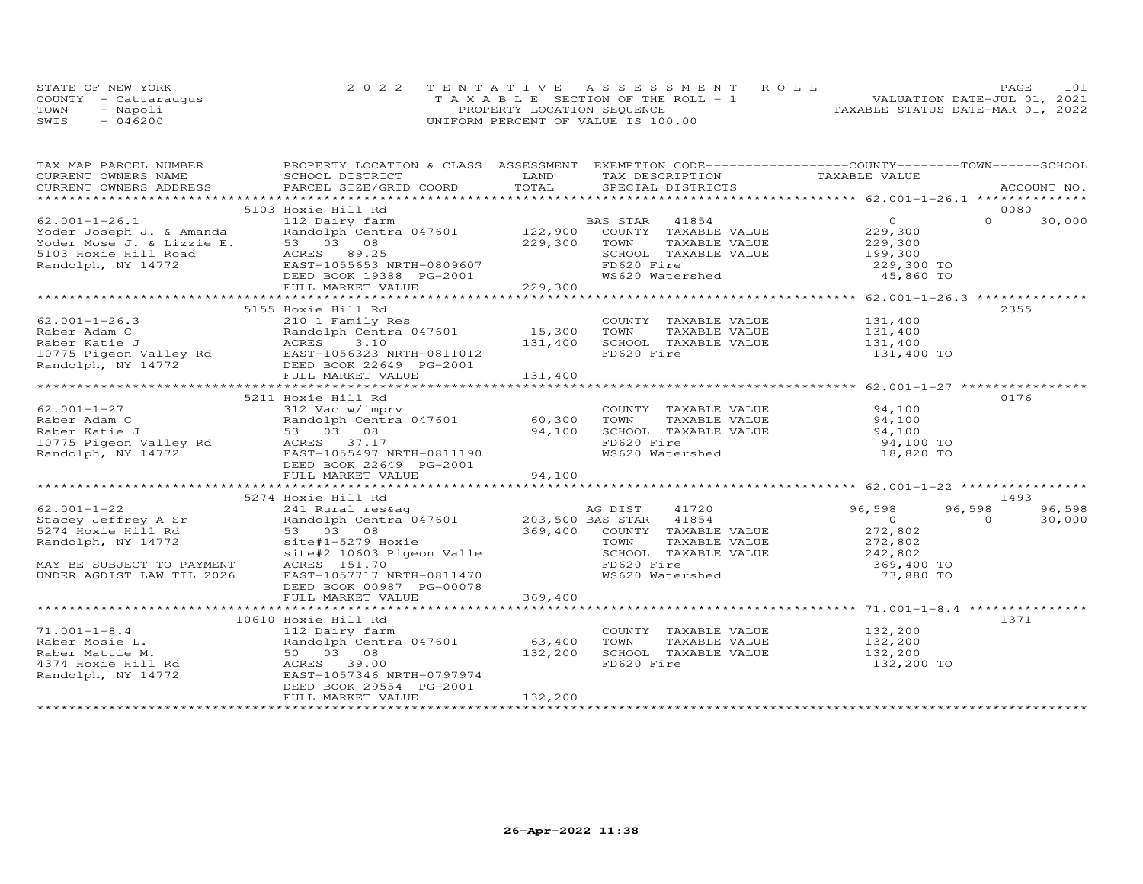|      | STATE OF NEW YORK    | 2022 TENTATIVE ASSESSMENT ROLL        |                                  | PAGE                        | 101 |
|------|----------------------|---------------------------------------|----------------------------------|-----------------------------|-----|
|      | COUNTY - Cattaraugus | T A X A B L E SECTION OF THE ROLL - 1 |                                  | VALUATION DATE-JUL 01, 2021 |     |
| TOWN | - Napoli             | PROPERTY LOCATION SEQUENCE            | TAXABLE STATUS DATE-MAR 01, 2022 |                             |     |
| SWIS | $-046200$            | UNIFORM PERCENT OF VALUE IS 100.00    |                                  |                             |     |

| TAX MAP PARCEL NUMBER THE PROPERTY LOCATION & CLASS ASSESSMENT EXEMPTION CODE----------------COUNTY-------TOWN------SCHOOL                                                                                                                                                  |                          |         |                               |                         |                         |
|-----------------------------------------------------------------------------------------------------------------------------------------------------------------------------------------------------------------------------------------------------------------------------|--------------------------|---------|-------------------------------|-------------------------|-------------------------|
| ENNE PARCEL SURFAINT SURFAINT SURFAINT SURFAINT CONSUMERS ADDRESS FORCED DISTRICT DAND TAXAGEMENT OWNERS ADDRESS SCHOOL DISTRICT DAND TOTAL SPECIAL DISTRICTS ACCOUNT NO.<br>CURRENT OWNERS ADDRESS PARCEL SIZE/GRID COORD TOTAL                                            |                          |         |                               |                         |                         |
|                                                                                                                                                                                                                                                                             |                          |         |                               |                         |                         |
|                                                                                                                                                                                                                                                                             |                          |         |                               |                         |                         |
|                                                                                                                                                                                                                                                                             | 5103 Hoxie Hill Rd       |         |                               |                         | 0080                    |
|                                                                                                                                                                                                                                                                             |                          |         |                               |                         |                         |
|                                                                                                                                                                                                                                                                             |                          |         |                               |                         |                         |
|                                                                                                                                                                                                                                                                             |                          |         |                               |                         |                         |
|                                                                                                                                                                                                                                                                             |                          |         |                               |                         |                         |
|                                                                                                                                                                                                                                                                             |                          |         |                               |                         |                         |
|                                                                                                                                                                                                                                                                             |                          |         |                               |                         |                         |
|                                                                                                                                                                                                                                                                             |                          |         |                               |                         |                         |
|                                                                                                                                                                                                                                                                             |                          |         |                               |                         |                         |
|                                                                                                                                                                                                                                                                             | 5155 Hoxie Hill Rd       |         |                               |                         | 2355                    |
|                                                                                                                                                                                                                                                                             |                          |         |                               |                         |                         |
|                                                                                                                                                                                                                                                                             |                          |         |                               |                         |                         |
|                                                                                                                                                                                                                                                                             |                          |         |                               |                         |                         |
|                                                                                                                                                                                                                                                                             |                          |         |                               |                         |                         |
|                                                                                                                                                                                                                                                                             |                          |         |                               |                         |                         |
|                                                                                                                                                                                                                                                                             |                          |         |                               |                         |                         |
| $\begin{tabular}{lllllllllllll} \hline 62.001-1-26.3 & 210 & 1 Family Res & 15,300 & 100011 & 1600210 & 1120011012 & 131,400101012 & 131,400101012 & 131,400101012 & 131,400101012 & 131,400101012 & 131,400101012 & 131,400101012 & 131,400101012 & 131,400101012 & 131,4$ |                          |         |                               |                         |                         |
|                                                                                                                                                                                                                                                                             | 5211 Hoxie Hill Rd       |         |                               |                         | 0176                    |
|                                                                                                                                                                                                                                                                             |                          |         | COUNTY TAXABLE VALUE 94,100   |                         |                         |
|                                                                                                                                                                                                                                                                             |                          |         |                               |                         |                         |
|                                                                                                                                                                                                                                                                             |                          |         |                               |                         |                         |
|                                                                                                                                                                                                                                                                             |                          |         |                               |                         |                         |
|                                                                                                                                                                                                                                                                             |                          |         |                               |                         |                         |
|                                                                                                                                                                                                                                                                             |                          |         |                               |                         |                         |
|                                                                                                                                                                                                                                                                             |                          |         |                               |                         |                         |
|                                                                                                                                                                                                                                                                             |                          |         |                               |                         |                         |
|                                                                                                                                                                                                                                                                             | 5274 Hoxie Hill Rd       |         |                               |                         | 1493                    |
| 32/4 HOXIE HILL NO CONTY A SERIE MAN BE SUBJECT TO PAYMENT AGNES 151.70 CONTRAND CONTRANSIVE CONTRANSIVE CONTRANSIVE CONTRANSIVE CONTRANSIVE CONTRANSIVE CONTRANSIVE CONTRANSIVE CONTRANSIVE CONTRANSIVE CONTRANSIVE CONTRANSI                                              |                          |         |                               |                         | $96,598$<br>0<br>96,598 |
|                                                                                                                                                                                                                                                                             |                          |         |                               |                         | 30,000                  |
|                                                                                                                                                                                                                                                                             |                          |         |                               |                         |                         |
|                                                                                                                                                                                                                                                                             |                          |         |                               |                         |                         |
|                                                                                                                                                                                                                                                                             |                          |         |                               |                         |                         |
|                                                                                                                                                                                                                                                                             |                          |         | FD620 Fire<br>WS620 Watershed | 369,400 TO<br>73,880 TO |                         |
|                                                                                                                                                                                                                                                                             |                          |         |                               |                         |                         |
|                                                                                                                                                                                                                                                                             | DEED BOOK 00987 PG-00078 |         |                               |                         |                         |
|                                                                                                                                                                                                                                                                             | FULL MARKET VALUE        | 369,400 |                               |                         |                         |
|                                                                                                                                                                                                                                                                             |                          |         |                               |                         |                         |
|                                                                                                                                                                                                                                                                             | 10610 Hoxie Hill Rd      |         |                               |                         | 1371                    |
|                                                                                                                                                                                                                                                                             |                          |         |                               |                         |                         |
|                                                                                                                                                                                                                                                                             |                          |         |                               |                         |                         |
|                                                                                                                                                                                                                                                                             |                          |         |                               |                         |                         |
|                                                                                                                                                                                                                                                                             |                          |         |                               |                         |                         |
|                                                                                                                                                                                                                                                                             |                          |         |                               |                         |                         |
|                                                                                                                                                                                                                                                                             |                          |         |                               |                         |                         |
|                                                                                                                                                                                                                                                                             | FULL MARKET VALUE        | 132,200 |                               |                         |                         |
|                                                                                                                                                                                                                                                                             |                          |         |                               |                         |                         |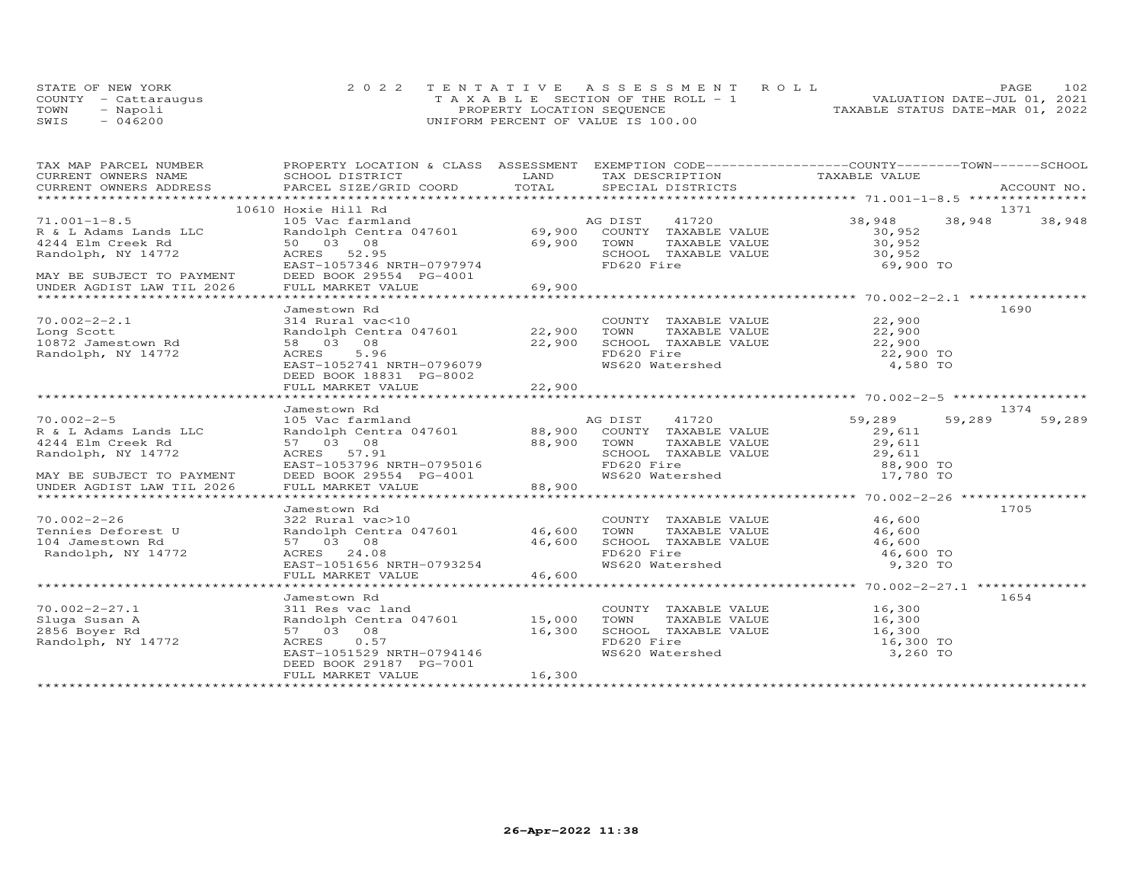|      | STATE OF NEW YORK    | 2022 TENTATIVE ASSESSMENT ROLL        | PAGE.                            | 102 |
|------|----------------------|---------------------------------------|----------------------------------|-----|
|      | COUNTY - Cattarauqus | T A X A B L E SECTION OF THE ROLL - 1 | VALUATION DATE-JUL 01, 2021      |     |
| TOWN | - Napoli             | PROPERTY LOCATION SEQUENCE            | TAXABLE STATUS DATE-MAR 01, 2022 |     |
| SWIS | $-046200$            | UNIFORM PERCENT OF VALUE IS 100.00    |                                  |     |

| TAX MAP PARCEL NUMBER<br>CURRENT OWNERS NAME                                                                    | PROPERTY LOCATION & CLASS ASSESSMENT EXEMPTION CODE----------------COUNTY-------TOWN------SCHOOL<br>SCHOOL DISTRICT | LAND        |                                                                                         |                  |        |        |
|-----------------------------------------------------------------------------------------------------------------|---------------------------------------------------------------------------------------------------------------------|-------------|-----------------------------------------------------------------------------------------|------------------|--------|--------|
|                                                                                                                 |                                                                                                                     |             | TAX DESCRIPTION TAXABLE VALUE                                                           |                  |        |        |
| .CURRENT OWNERS ADDRESS PARCEL SIZE/GRID COORD TOTAL SPECIAL DISTRICTS ACCOUNT NO ACCOUNT NO ACCOUNT NO ACCOUNT |                                                                                                                     |             |                                                                                         |                  |        |        |
|                                                                                                                 | 10610 Hoxie Hill Rd                                                                                                 |             |                                                                                         |                  |        | 1371   |
| $71.001 - 1 - 8.5$                                                                                              | 105 Vac farmland                                                                                                    |             | AG DIST<br>41720                                                                        | 38,948           | 38,948 | 38,948 |
| R & L Adams Lands LLC<br>4244 Elm Creek Rd                                                                      | Randolph Centra 047601 69,900 COUNTY TAXABLE VALUE                                                                  |             |                                                                                         | 30,952<br>30,952 |        |        |
| 4244 Elm Creek Rd                                                                                               | 50 03 08                                                                                                            | 69,900      | TOWN<br>TAXABLE VALUE                                                                   |                  |        |        |
| Randolph, NY 14772                                                                                              | ACRES<br>52.95                                                                                                      |             | SCHOOL TAXABLE VALUE 30,952<br>FD620 Fire                                               |                  |        |        |
| MAY BE SUBJECT TO PAYMENT                                                                                       | EAST-1057346 NRTH-0797974<br>DEED BOOK 29554 PG-4001                                                                |             |                                                                                         | 69,900 TO        |        |        |
| UNDER AGDIST LAW TIL 2026                                                                                       | FULL MARKET VALUE                                                                                                   | 69,900      |                                                                                         |                  |        |        |
|                                                                                                                 |                                                                                                                     |             |                                                                                         |                  |        |        |
|                                                                                                                 | Jamestown Rd                                                                                                        |             |                                                                                         |                  |        | 1690   |
| $70.002 - 2 - 2.1$                                                                                              | 314 Rural vac<10                                                                                                    |             | COUNTY TAXABLE VALUE 22,900                                                             |                  |        |        |
| Long Scott                                                                                                      | Randolph Centra 047601 22,900                                                                                       |             | TOWN                                                                                    |                  |        |        |
| 10872 Jamestown Rd                                                                                              | 58 03 08                                                                                                            | 22,900      | SCHOOL TAXABLE VALUE                                                                    |                  |        |        |
| Randolph, NY 14772                                                                                              | 5.96<br>ACRES                                                                                                       |             | FD620 Fire                                                                              | 22,900 TO        |        |        |
|                                                                                                                 | EAST-1052741 NRTH-0796079                                                                                           |             | WS620 Watershed                                                                         | 4,580 TO         |        |        |
|                                                                                                                 | DEED BOOK 18831 PG-8002                                                                                             |             |                                                                                         |                  |        |        |
|                                                                                                                 | FULL MARKET VALUE                                                                                                   | 22,900      |                                                                                         |                  |        |        |
|                                                                                                                 |                                                                                                                     |             |                                                                                         |                  |        |        |
| $70.002 - 2 - 5$                                                                                                | Jamestown Rd                                                                                                        |             |                                                                                         |                  |        | 1374   |
| R & L Adams Lands LLC                                                                                           | 105 Vac farmland                                                                                                    |             | AG DIST 41720<br>Randolph Centra 047601 88,900 COUNTY TAXABLE VALUE                     | 59,289<br>29,611 | 59,289 | 59,289 |
| 4244 Elm Creek Rd                                                                                               | 57 03 08                                                                                                            | 88,900 TOWN |                                                                                         |                  |        |        |
| Randolph, NY 14772                                                                                              | ACRES 57.91                                                                                                         |             | TOWN TAXABLE VALUE 29,611<br>SCHOOL TAXABLE VALUE 29,611                                |                  |        |        |
|                                                                                                                 |                                                                                                                     |             | FD620 Fire                                                                              | 88,900 TO        |        |        |
| MAY BE SUBJECT TO PAYMENT                                                                                       | EAST-1053796 NRTH-0795016<br>DEED BOOK 29554 PG-4001                                                                |             | rbozo rile<br>WS620 Watershed                                                           | 17,780 TO        |        |        |
| UNDER AGDIST LAW TIL 2026                                                                                       | FULL MARKET VALUE                                                                                                   | 88,900      |                                                                                         |                  |        |        |
|                                                                                                                 |                                                                                                                     |             |                                                                                         |                  |        |        |
|                                                                                                                 | Jamestown Rd                                                                                                        |             |                                                                                         |                  |        | 1705   |
| $70.002 - 2 - 26$                                                                                               | 322 Rural vac>10                                                                                                    |             | COUNTY TAXABLE VALUE 46,600                                                             |                  |        |        |
| Tennies Deforest U                                                                                              | Randolph Centra 047601 46,600                                                                                       |             | TOWN                                                                                    |                  |        |        |
| 104 Jamestown Rd                                                                                                | 57 03 08                                                                                                            | 46,600      | TOWN TAXABLE VALUE 46,600<br>SCHOOL TAXABLE VALUE 46,600<br>SCHOOL TAXABLE VALUE 46,600 |                  |        |        |
| Randolph, NY 14772                                                                                              | ACRES 24.08                                                                                                         |             | FD620 Fire<br>WS620 Watershed                                                           | 46,600 TO        |        |        |
|                                                                                                                 | EAST-1051656 NRTH-0793254<br>FULL MARKET VALUE                                                                      | 46,600      |                                                                                         | 9,320 TO         |        |        |
|                                                                                                                 |                                                                                                                     |             |                                                                                         |                  |        |        |
|                                                                                                                 | Jamestown Rd                                                                                                        |             |                                                                                         |                  |        | 1654   |
| $70.002 - 2 - 27.1$                                                                                             | 311 Res vac land                                                                                                    |             | COUNTY TAXABLE VALUE                                                                    | 16,300           |        |        |
| Sluga Susan A                                                                                                   | Randolph Centra 047601 15,000                                                                                       |             | TOWN<br>TAXABLE VALUE                                                                   | 16,300           |        |        |
| 2856 Boyer Rd                                                                                                   | 57 03 08                                                                                                            | 16,300      | SCHOOL TAXABLE VALUE                                                                    | 16,300           |        |        |
| Randolph, NY 14772                                                                                              | ACRES<br>0.57                                                                                                       |             |                                                                                         | 16,300 TO        |        |        |
|                                                                                                                 | EAST-1051529 NRTH-0794146                                                                                           |             | FD620 Fire<br>WS620 Watershed                                                           | 3,260 TO         |        |        |
|                                                                                                                 | DEED BOOK 29187 PG-7001                                                                                             |             |                                                                                         |                  |        |        |
|                                                                                                                 | FULL MARKET VALUE                                                                                                   | 16,300      |                                                                                         |                  |        |        |
|                                                                                                                 |                                                                                                                     |             |                                                                                         |                  |        |        |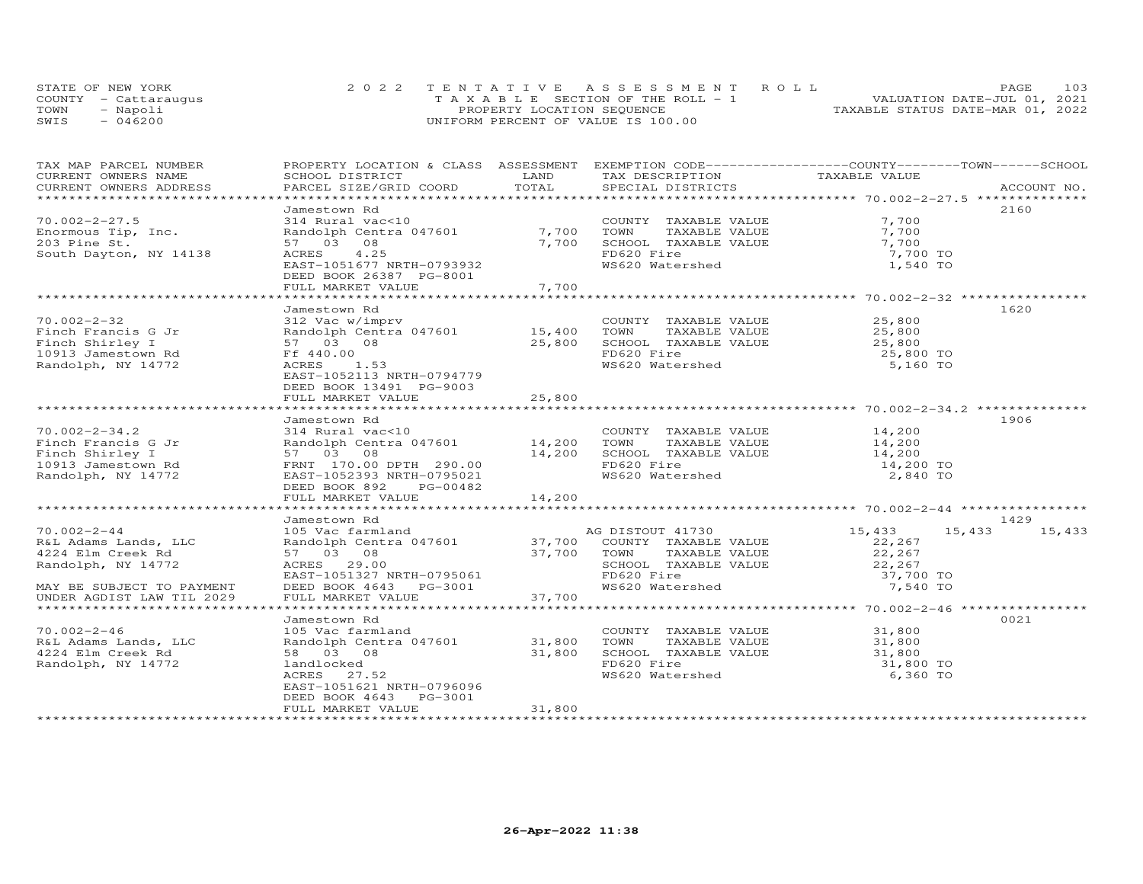| STATE OF NEW YORK    | 2022 TENTATIVE ASSESSMENT ROLL        | PAGE.                            | 103 |
|----------------------|---------------------------------------|----------------------------------|-----|
| COUNTY - Cattaraugus | T A X A B L E SECTION OF THE ROLL - 1 | VALUATION DATE-JUL 01, 2021      |     |
| TOWN<br>- Napoli     | PROPERTY LOCATION SEQUENCE            | TAXABLE STATUS DATE-MAR 01, 2022 |     |
| $-046200$<br>SWIS    | UNIFORM PERCENT OF VALUE IS 100.00    |                                  |     |

| TAX MAP PARCEL NUMBER                                                             | PROPERTY LOCATION & CLASS ASSESSMENT EXEMPTION CODE----------------COUNTY-------TOWN------SCHOOL                                                                                                                                         |        |                                                                                                                         |                     |               |
|-----------------------------------------------------------------------------------|------------------------------------------------------------------------------------------------------------------------------------------------------------------------------------------------------------------------------------------|--------|-------------------------------------------------------------------------------------------------------------------------|---------------------|---------------|
| CURRENT OWNERS NAME                                                               |                                                                                                                                                                                                                                          |        | TAX DESCRIPTION TAXABLE VALUE                                                                                           |                     |               |
| CURRENT OWNERS ADDRESS                                                            |                                                                                                                                                                                                                                          |        | SPECIAL DISTRICTS                                                                                                       |                     | ACCOUNT NO.   |
|                                                                                   |                                                                                                                                                                                                                                          |        |                                                                                                                         |                     |               |
|                                                                                   | Jamestown Rd                                                                                                                                                                                                                             |        | COUNTY TAXABLE VALUE 7,700<br>7,700 TOWN TAXABLE VALUE 7,700<br>7,700 SCHOOL TAXABLE VALUE 7,700<br>FDE20 Fire 7,700 TO |                     | 2160          |
| $70.002 - 2 - 27.5$                                                               |                                                                                                                                                                                                                                          |        |                                                                                                                         |                     |               |
| Enormous Tip, Inc.                                                                | COUNT<br>Randolph Centra 047601 7,700 TOWN<br>57 03 08                                                                                                                                                                                   |        |                                                                                                                         |                     |               |
| 203 Pine St.                                                                      | 57 03 08                                                                                                                                                                                                                                 |        |                                                                                                                         |                     |               |
| South Dayton, NY 14138                                                            | ACRES 4.25                                                                                                                                                                                                                               |        | FD620 Fire<br>WS620 Watershed                                                                                           |                     |               |
|                                                                                   | EAST-1051677 NRTH-0793932                                                                                                                                                                                                                |        |                                                                                                                         | 1,540 TO            |               |
|                                                                                   | DEED BOOK 26387 PG-8001<br>FULL MARKET VALUE                                                                                                                                                                                             |        |                                                                                                                         |                     |               |
|                                                                                   |                                                                                                                                                                                                                                          | 7,700  |                                                                                                                         |                     |               |
|                                                                                   |                                                                                                                                                                                                                                          |        |                                                                                                                         |                     |               |
| $70.002 - 2 - 32$                                                                 | Jamestown Rd<br>312 Vac w/imprv                                                                                                                                                                                                          |        |                                                                                                                         |                     | 1620          |
|                                                                                   |                                                                                                                                                                                                                                          |        | COUNTY TAXABLE VALUE 25,800                                                                                             |                     |               |
| Finch Francis G Jr<br>Finch Shirley I                                             |                                                                                                                                                                                                                                          |        |                                                                                                                         |                     |               |
|                                                                                   | Randolph Centra 047601 15,400 TOWN<br>57 03 08 25,800 SCHOO<br>Ff 440.00                                                                                                                                                                 |        |                                                                                                                         |                     |               |
| 10913 Jamestown Rd<br>Randolph, NY 14772                                          | ACRES<br>1.53                                                                                                                                                                                                                            |        | FD620 Fire 25,800 TO 25,800 TO 35,160 TO                                                                                |                     |               |
|                                                                                   | EAST-1052113 NRTH-0794779                                                                                                                                                                                                                |        |                                                                                                                         |                     |               |
|                                                                                   | DEED BOOK 13491 PG-9003                                                                                                                                                                                                                  |        |                                                                                                                         |                     |               |
|                                                                                   |                                                                                                                                                                                                                                          | 25,800 |                                                                                                                         |                     |               |
|                                                                                   | FULL MARKET VALUE                                                                                                                                                                                                                        |        |                                                                                                                         |                     |               |
|                                                                                   | Jamestown Rd                                                                                                                                                                                                                             |        |                                                                                                                         |                     | 1906          |
| $70.002 - 2 - 34.2$                                                               |                                                                                                                                                                                                                                          |        |                                                                                                                         |                     |               |
|                                                                                   |                                                                                                                                                                                                                                          |        |                                                                                                                         |                     |               |
|                                                                                   |                                                                                                                                                                                                                                          |        |                                                                                                                         |                     |               |
|                                                                                   |                                                                                                                                                                                                                                          |        |                                                                                                                         |                     |               |
| Finch Francis G Jr<br>Finch Shirley I<br>10913 Jamestown Rd<br>Randolph, NY 14772 | 314 Rural vac<10<br>Randolph Centra 047601<br>37 03 08<br>FRNT 170.00 DPTH 290.00<br>290.00<br>2,840 TO 20021<br>2,840 TO 20021<br>2,840 TO 20021<br>2,840 TO 2,840 TO                                                                   |        |                                                                                                                         |                     |               |
|                                                                                   |                                                                                                                                                                                                                                          |        |                                                                                                                         |                     |               |
|                                                                                   | DEED BOOK 892 PG-00482                                                                                                                                                                                                                   | 14,200 |                                                                                                                         |                     |               |
|                                                                                   | FULL MARKET VALUE                                                                                                                                                                                                                        |        |                                                                                                                         |                     |               |
|                                                                                   | Jamestown Rd                                                                                                                                                                                                                             |        |                                                                                                                         |                     | 1429          |
| $70.002 - 2 - 44$                                                                 |                                                                                                                                                                                                                                          |        |                                                                                                                         | 15,433              | 15,433 15,433 |
|                                                                                   |                                                                                                                                                                                                                                          |        |                                                                                                                         |                     |               |
| R&L Adams Lands, LLC<br>4224 Elm Creek Rd                                         |                                                                                                                                                                                                                                          |        |                                                                                                                         | 22,267<br>22,267    |               |
| Randolph, NY 14772                                                                |                                                                                                                                                                                                                                          |        |                                                                                                                         |                     |               |
|                                                                                   | 105 Vac farmland<br>Randolph Centra 047601 37,700 COUNTY TAXABLE VALUE<br>57 03 08 37,700 TOWN TAXABLE VALUE<br>RCRES 29.00 SCHOOL TAXABLE VALUE<br>EAST-1051327 NRTH-0795061 FD620 Fire<br>DEED BOOK 4643 PG-3001 737,700 WAS620 Waters |        | SCHOOL TAXABLE VALUE $22, 267$<br>FD620 Fire 37,700 TO<br>WS620 Watershed 7,540 TO                                      |                     |               |
| MAY BE SUBJECT TO PAYMENT                                                         |                                                                                                                                                                                                                                          |        |                                                                                                                         |                     |               |
| UNDER AGDIST LAW TIL 2029                                                         |                                                                                                                                                                                                                                          |        |                                                                                                                         |                     |               |
|                                                                                   |                                                                                                                                                                                                                                          |        |                                                                                                                         |                     |               |
|                                                                                   | Jamestown Rd                                                                                                                                                                                                                             |        |                                                                                                                         |                     | 0021          |
| $70.002 - 2 - 46$                                                                 | 105 Vac farmland                                                                                                                                                                                                                         |        |                                                                                                                         |                     |               |
| R&L Adams Lands, LLC                                                              | Randolph Centra 047601 31,800 TOWN                                                                                                                                                                                                       |        | COUNTY TAXABLE VALUE 31,800<br>TOWN TAXABLE VALUE 31,800                                                                |                     |               |
| 4224 Elm Creek Rd                                                                 |                                                                                                                                                                                                                                          | 31,800 | SCHOOL TAXABLE VALUE                                                                                                    |                     |               |
| Randolph, NY 14772                                                                |                                                                                                                                                                                                                                          |        | FD620 Fire                                                                                                              | 31,800<br>31,800 TO |               |
|                                                                                   | 58 03 08<br>landlocked<br>ACRES 27.52<br>ACRES 27.52                                                                                                                                                                                     |        | WS620 Watershed                                                                                                         | 6,360 TO            |               |
|                                                                                   | EAST-1051621 NRTH-0796096                                                                                                                                                                                                                |        |                                                                                                                         |                     |               |
|                                                                                   | DEED BOOK 4643 PG-3001                                                                                                                                                                                                                   |        |                                                                                                                         |                     |               |
|                                                                                   | FULL MARKET VALUE                                                                                                                                                                                                                        | 31,800 |                                                                                                                         |                     |               |
|                                                                                   |                                                                                                                                                                                                                                          |        |                                                                                                                         |                     |               |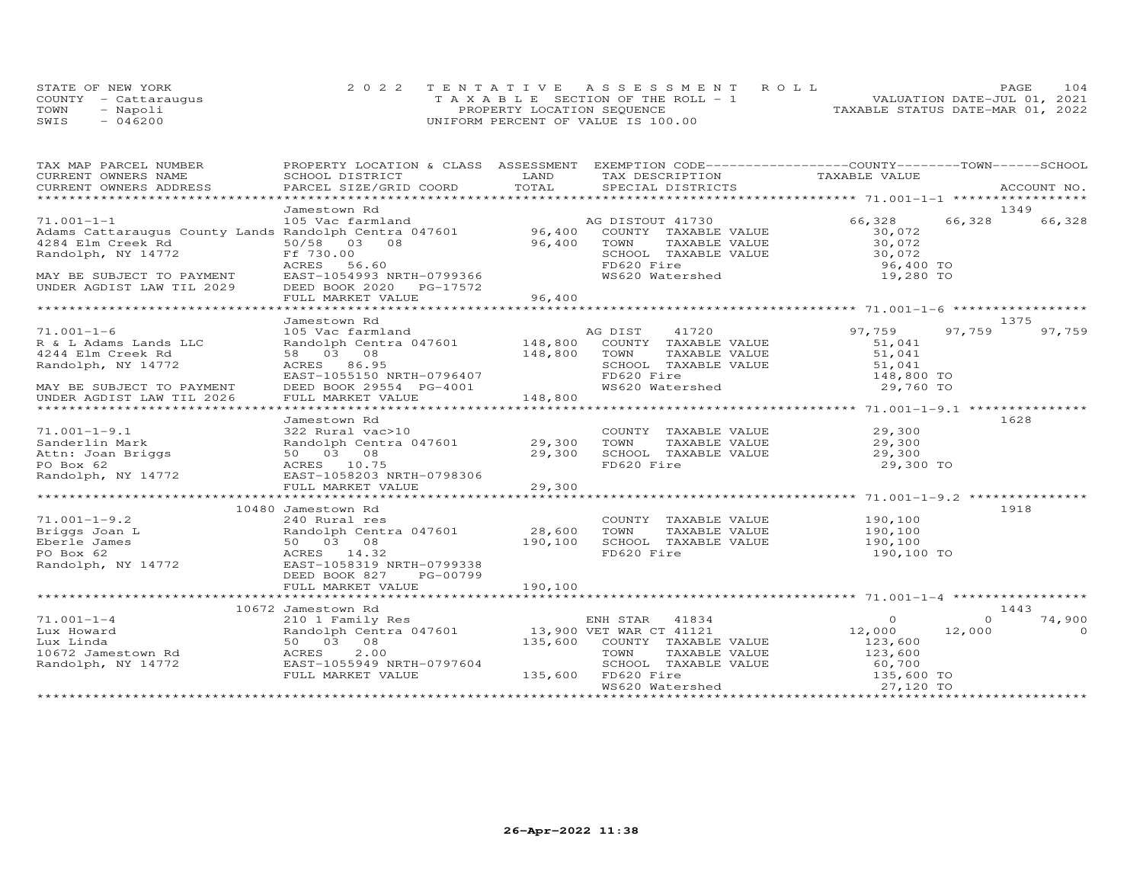|      | STATE OF NEW YORK    |                                    | 2022 TENTATIVE ASSESSMENT ROLL                |                                  | <b>PAGE</b>                 | 104 |
|------|----------------------|------------------------------------|-----------------------------------------------|----------------------------------|-----------------------------|-----|
|      | COUNTY - Cattaraugus |                                    | $T A X A B I E S E C T I ON OF THE RO I. - 1$ |                                  | VALUATION DATE-JUL 01, 2021 |     |
| TOWN | - Napoli             | PROPERTY LOCATION SEQUENCE         |                                               | TAXABLE STATUS DATE-MAR 01, 2022 |                             |     |
| SWIS | $-046200$            | UNIFORM PERCENT OF VALUE IS 100.00 |                                               |                                  |                             |     |

| TAX MAP PARCEL NUMBER<br>CURRENT OWNERS NAME                                                                                                                                                                               | PROPERTY LOCATION & CLASS ASSESSMENT EXEMPTION CODE----------------COUNTY-------TOWN-----SCHOOL<br>SCHOOL DISTRICT | LAND    | TAX DESCRIPTION TAXABLE VALUE                                                                    |                               |          |          |
|----------------------------------------------------------------------------------------------------------------------------------------------------------------------------------------------------------------------------|--------------------------------------------------------------------------------------------------------------------|---------|--------------------------------------------------------------------------------------------------|-------------------------------|----------|----------|
|                                                                                                                                                                                                                            |                                                                                                                    |         |                                                                                                  |                               |          |          |
|                                                                                                                                                                                                                            |                                                                                                                    |         |                                                                                                  |                               |          |          |
|                                                                                                                                                                                                                            | Jamestown Rd                                                                                                       |         |                                                                                                  |                               |          | 1349     |
| 71.001-1-1<br>Adams Cattaraugus County Lands Randolph Centra 047601 Moreover 26,400 COUNTY TAXABLE VALUE                                                                                                                   |                                                                                                                    |         |                                                                                                  | 66,328                        | 66,328   | 66,328   |
|                                                                                                                                                                                                                            |                                                                                                                    |         |                                                                                                  | 30,072                        |          |          |
| 4284 Elm Creek Rd                                                                                                                                                                                                          | 50/58 03 08                                                                                                        | 96,400  | TAXABLE VALUE<br>TOWN                                                                            | 30,072                        |          |          |
| Randolph, NY 14772                                                                                                                                                                                                         | Ff 730.00                                                                                                          |         | SCHOOL TAXABLE VALUE                                                                             | 30,072<br>30,072<br>96,400 TO |          |          |
|                                                                                                                                                                                                                            | ACRES 56.60                                                                                                        |         | FD620 Fire                                                                                       |                               |          |          |
| ACRES 56.60<br>MAY BE SUBJECT TO PAYMENT EAST-1054993 NRTH-0799366<br>UNDER AGDIST LAW TIL 2029 DEED BOOK 2020 PG-17572                                                                                                    | EAST-1054993 NRTH-0799366                                                                                          |         | WS620 Watershed                                                                                  | 19,280 TO                     |          |          |
|                                                                                                                                                                                                                            | FULL MARKET VALUE                                                                                                  | 96,400  |                                                                                                  |                               |          |          |
|                                                                                                                                                                                                                            |                                                                                                                    |         |                                                                                                  |                               |          |          |
|                                                                                                                                                                                                                            | Jamestown Rd                                                                                                       |         |                                                                                                  |                               |          | 1375     |
| $71.001 - 1 - 6$                                                                                                                                                                                                           | 105 Vac farmland                                                                                                   |         | AG DIST 41720                                                                                    | 97,759                        | 97,759   | 97,759   |
| R & L Adams Lands LLC                                                                                                                                                                                                      | Randolph Centra 047601 148,800                                                                                     |         | COUNTY TAXABLE VALUE                                                                             | 51,041                        |          |          |
| 4244 Elm Creek Rd                                                                                                                                                                                                          | 58 03 08                                                                                                           | 148,800 | TOWN<br>TAXABLE VALUE                                                                            | 51,041                        |          |          |
| Randolph, NY 14772                                                                                                                                                                                                         | ACRES 86.95                                                                                                        |         | SCHOOL TAXABLE VALUE                                                                             | 51,041                        |          |          |
|                                                                                                                                                                                                                            | EAST-1055150 NRTH-0796407                                                                                          |         | FD620 Fire                                                                                       | $148,800$ TO                  |          |          |
| MAY BE SUBJECT TO PAYMENT                                                                                                                                                                                                  | DEED BOOK 29554 PG-4001                                                                                            |         | FD620 Fire<br>WS620 Watershed                                                                    |                               |          |          |
| UNDER AGDIST LAW TIL 2026                                                                                                                                                                                                  |                                                                                                                    |         |                                                                                                  |                               |          |          |
|                                                                                                                                                                                                                            |                                                                                                                    |         |                                                                                                  |                               |          |          |
|                                                                                                                                                                                                                            | Jamestown Rd                                                                                                       |         |                                                                                                  |                               |          | 1628     |
| $71.001 - 1 - 9.1$                                                                                                                                                                                                         | 322 Rural vac>10                                                                                                   |         | COUNTY TAXABLE VALUE                                                                             | 29,300                        |          |          |
|                                                                                                                                                                                                                            | Randolph Centra 047601 29,300                                                                                      |         | TAXABLE VALUE 29,300<br>TOWN                                                                     |                               |          |          |
|                                                                                                                                                                                                                            |                                                                                                                    | 29,300  | SCHOOL TAXABLE VALUE                                                                             | 29,300                        |          |          |
|                                                                                                                                                                                                                            |                                                                                                                    |         | FD620 Fire                                                                                       | 29,300 TO                     |          |          |
| Filip Mark<br>Anderlin Mark<br>Attn: Joan Briggs<br>Po Box 62<br>Randolph, NY 14772<br>EAST-1058203 N<br>EIKIT, MARKET VA<br>ENSIMERT VARKET VA                                                                            | EAST-1058203 NRTH-0798306                                                                                          |         |                                                                                                  |                               |          |          |
|                                                                                                                                                                                                                            | FULL MARKET VALUE                                                                                                  | 29,300  |                                                                                                  |                               |          |          |
|                                                                                                                                                                                                                            |                                                                                                                    |         |                                                                                                  |                               |          |          |
|                                                                                                                                                                                                                            | 10480 Jamestown Rd                                                                                                 |         |                                                                                                  |                               |          | 1918     |
| $71.001 - 1 - 9.2$                                                                                                                                                                                                         | 240 Rural res                                                                                                      |         | COUNTY TAXABLE VALUE                                                                             | 190,100<br>190,100            |          |          |
|                                                                                                                                                                                                                            | Randolph Centra 047601 28,600                                                                                      |         | TOWN<br>TAXABLE VALUE                                                                            |                               |          |          |
|                                                                                                                                                                                                                            |                                                                                                                    | 190,100 | SCHOOL TAXABLE VALUE<br>FD620 Fire                                                               | 190,100<br>190,100 TO         |          |          |
| 71.001-1-9.2<br>Briggs Joan L<br>Eberle James<br>For De Randolph Centra 047601<br>For De Son Company<br>For Son Company<br>For Son Company<br>EAST-1058319 NRTH-0799338<br>Randolph, NY 14772<br>EAST-1058319 NRTH-0799338 |                                                                                                                    |         |                                                                                                  |                               |          |          |
|                                                                                                                                                                                                                            | DEED BOOK 827<br>PG-00799                                                                                          |         |                                                                                                  |                               |          |          |
|                                                                                                                                                                                                                            |                                                                                                                    |         |                                                                                                  |                               |          |          |
|                                                                                                                                                                                                                            |                                                                                                                    |         |                                                                                                  |                               |          |          |
|                                                                                                                                                                                                                            | 10672 Jamestown Rd                                                                                                 |         |                                                                                                  |                               |          | 1443     |
| $71.001 - 1 - 4$                                                                                                                                                                                                           | 210 1 Family Res                                                                                                   |         | ENH STAR 41834<br>VET WAR CT 41121                                                               | $\Omega$                      | $\Omega$ | 74,900   |
| Lux Howard                                                                                                                                                                                                                 | Randolph Centra 047601 13,900 VET WAR CT 41121                                                                     |         |                                                                                                  | 12,000                        | 12,000   | $\Omega$ |
| Lux Linda                                                                                                                                                                                                                  | 50 03 08                                                                                                           |         | 135,600 COUNTY TAXABLE VALUE                                                                     |                               |          |          |
|                                                                                                                                                                                                                            | 2.00                                                                                                               |         | TOWN<br>TAXABLE VALUE                                                                            | 123,600<br>123,600            |          |          |
|                                                                                                                                                                                                                            | EAST-1055949 NRTH-0797604                                                                                          |         |                                                                                                  |                               |          |          |
|                                                                                                                                                                                                                            | FULL MARKET VALUE                                                                                                  |         | TOWN IAAADDE VALUE<br>SCHOOL TAXABLE VALUE 60,700<br>EDS20 Fire 135,600 TO<br>135,600 FD620 Fire |                               |          |          |
|                                                                                                                                                                                                                            |                                                                                                                    |         | WS620 Watershed                                                                                  | 135,600 TO<br>27,120 TO       |          |          |
|                                                                                                                                                                                                                            |                                                                                                                    |         |                                                                                                  |                               |          |          |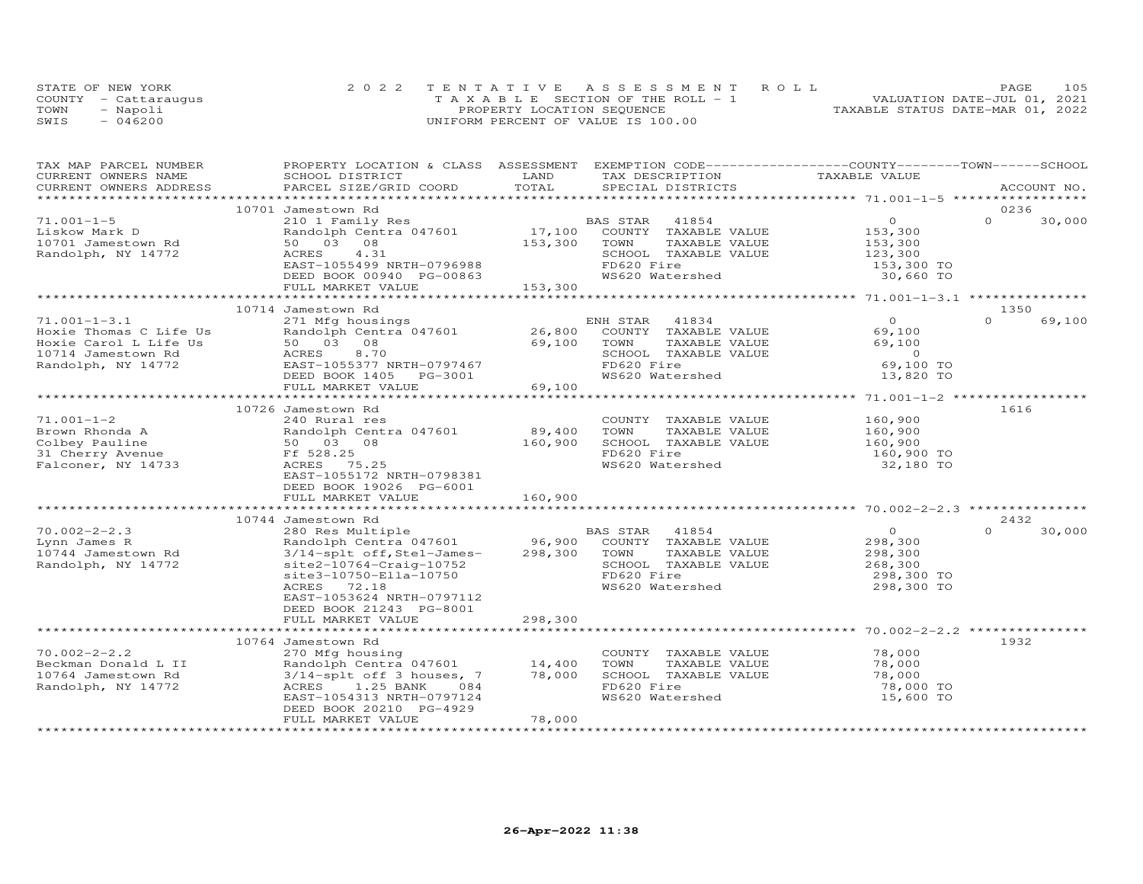|      | STATE OF NEW YORK    | 2022 TENTATIVE ASSESSMENT ROLL        | 105<br>PAGE.                     |
|------|----------------------|---------------------------------------|----------------------------------|
|      | COUNTY - Cattarauqus | T A X A B L E SECTION OF THE ROLL - 1 | VALUATION DATE-JUL 01, 2021      |
| TOWN | - Napoli             | PROPERTY LOCATION SEQUENCE            | TAXABLE STATUS DATE-MAR 01, 2022 |
| SWIS | $-046200$            | UNIFORM PERCENT OF VALUE IS 100.00    |                                  |

| TAX MAP PARCEL NUMBER  | PROPERTY LOCATION & CLASS ASSESSMENT EXEMPTION CODE-----------------COUNTY-------TOWN------SCHOOL |              |                       |                                             |                    |
|------------------------|---------------------------------------------------------------------------------------------------|--------------|-----------------------|---------------------------------------------|--------------------|
| CURRENT OWNERS NAME    | SCHOOL DISTRICT                                                                                   | LAND         | TAX DESCRIPTION       | TAXABLE VALUE                               |                    |
| CURRENT OWNERS ADDRESS | PARCEL SIZE/GRID COORD                                                                            | TOTAL        | SPECIAL DISTRICTS     |                                             | ACCOUNT NO.        |
|                        |                                                                                                   |              |                       |                                             |                    |
|                        | 10701 Jamestown Rd                                                                                |              |                       | $\circ$                                     | 0236<br>$\Omega$   |
| $71.001 - 1 - 5$       | 210 1 Family Res                                                                                  |              | BAS STAR<br>41854     |                                             | 30,000             |
| Liskow Mark D          | Randolph Centra 047601                                                                            | 17,100       | COUNTY TAXABLE VALUE  | 153,300                                     |                    |
| 10701 Jamestown Rd     | 50 03 08                                                                                          | 153,300      | TOWN<br>TAXABLE VALUE | 153,300                                     |                    |
| Randolph, NY 14772     | ACRES<br>4.31                                                                                     |              | SCHOOL TAXABLE VALUE  | 123,300                                     |                    |
|                        | EAST-1055499 NRTH-0796988                                                                         |              | FD620 Fire            | 153,300 TO                                  |                    |
|                        | DEED BOOK 00940 PG-00863<br>FULL MARKET VALUE                                                     | 153,300      | WS620 Watershed       | 30,660 TO                                   |                    |
|                        |                                                                                                   |              |                       |                                             |                    |
|                        | 10714 Jamestown Rd                                                                                |              |                       |                                             | 1350               |
| $71.001 - 1 - 3.1$     | 271 Mfg housings                                                                                  |              | ENH STAR<br>41834     | $\Omega$                                    | $\Omega$<br>69,100 |
| Hoxie Thomas C Life Us | Randolph Centra 047601                                                                            | 26,800       | COUNTY TAXABLE VALUE  | 69,100                                      |                    |
| Hoxie Carol L Life Us  | 50 03 08                                                                                          | 69,100       | TOWN<br>TAXABLE VALUE | 69,100                                      |                    |
| 10714 Jamestown Rd     | ACRES<br>8.70                                                                                     |              | SCHOOL TAXABLE VALUE  | $\overline{0}$                              |                    |
| Randolph, NY 14772     | EAST-1055377 NRTH-0797467                                                                         |              | FD620 Fire            | 69,100 TO                                   |                    |
|                        | DEED BOOK 1405<br>PG-3001                                                                         |              | WS620 Watershed       | 13,820 TO                                   |                    |
|                        | FULL MARKET VALUE                                                                                 | 69,100       |                       |                                             |                    |
|                        | ***************************                                                                       |              |                       |                                             |                    |
|                        | 10726 Jamestown Rd                                                                                |              |                       |                                             | 1616               |
| $71.001 - 1 - 2$       | 240 Rural res                                                                                     |              | COUNTY TAXABLE VALUE  | 160,900                                     |                    |
| Brown Rhonda A         | Randolph Centra 047601                                                                            | 89,400       | TOWN<br>TAXABLE VALUE | 160,900                                     |                    |
| Colbey Pauline         | 50 03 08                                                                                          | 160,900      | SCHOOL TAXABLE VALUE  | 160,900                                     |                    |
| 31 Cherry Avenue       | Ff 528.25                                                                                         |              | FD620 Fire            | 160,900 TO                                  |                    |
| Falconer, NY 14733     | 75.25<br>ACRES                                                                                    |              | WS620 Watershed       | 32,180 TO                                   |                    |
|                        | EAST-1055172 NRTH-0798381                                                                         |              |                       |                                             |                    |
|                        | DEED BOOK 19026 PG-6001                                                                           |              |                       |                                             |                    |
|                        | FULL MARKET VALUE                                                                                 | 160,900      |                       |                                             |                    |
|                        |                                                                                                   |              |                       |                                             |                    |
|                        | 10744 Jamestown Rd                                                                                |              |                       |                                             | 2432               |
| $70.002 - 2 - 2.3$     | 280 Res Multiple                                                                                  |              | 41854<br>BAS STAR     | $\circ$                                     | $\Omega$<br>30,000 |
| Lynn James R           | Randolph Centra 047601                                                                            | 96,900       | COUNTY TAXABLE VALUE  | 298,300                                     |                    |
| 10744 Jamestown Rd     | 3/14-splt off, Stel-James-                                                                        | 298,300      | TAXABLE VALUE<br>TOWN | 298,300                                     |                    |
| Randolph, NY 14772     | $site2-10764-Craig-10752$                                                                         |              | SCHOOL TAXABLE VALUE  | 268,300                                     |                    |
|                        | site3-10750-Ella-10750                                                                            |              | FD620 Fire            | 298,300 TO                                  |                    |
|                        | 72.18<br>ACRES                                                                                    |              | WS620 Watershed       | 298,300 TO                                  |                    |
|                        | EAST-1053624 NRTH-0797112                                                                         |              |                       |                                             |                    |
|                        | DEED BOOK 21243 PG-8001                                                                           |              |                       |                                             |                    |
|                        | FULL MARKET VALUE                                                                                 | 298,300      |                       |                                             |                    |
|                        |                                                                                                   | ************ |                       | **************** 70.002-2-2.2 ************* |                    |
|                        | 10764 Jamestown Rd                                                                                |              |                       |                                             | 1932               |
| $70.002 - 2 - 2.2$     | 270 Mfg housing                                                                                   |              | COUNTY TAXABLE VALUE  | 78,000                                      |                    |
| Beckman Donald L II    | Randolph Centra 047601                                                                            | 14,400       | TOWN<br>TAXABLE VALUE | 78,000                                      |                    |
| 10764 Jamestown Rd     | 3/14-splt off 3 houses, 7                                                                         | 78,000       | SCHOOL TAXABLE VALUE  | 78,000                                      |                    |
| Randolph, NY 14772     | ACRES 1.25 BANK<br>084                                                                            |              | FD620 Fire            | 78,000 TO                                   |                    |
|                        | EAST-1054313 NRTH-0797124                                                                         |              | WS620 Watershed       | 15,600 TO                                   |                    |
|                        | DEED BOOK 20210 PG-4929                                                                           |              |                       |                                             |                    |
|                        | FULL MARKET VALUE                                                                                 | 78,000       |                       |                                             |                    |
|                        |                                                                                                   |              |                       |                                             |                    |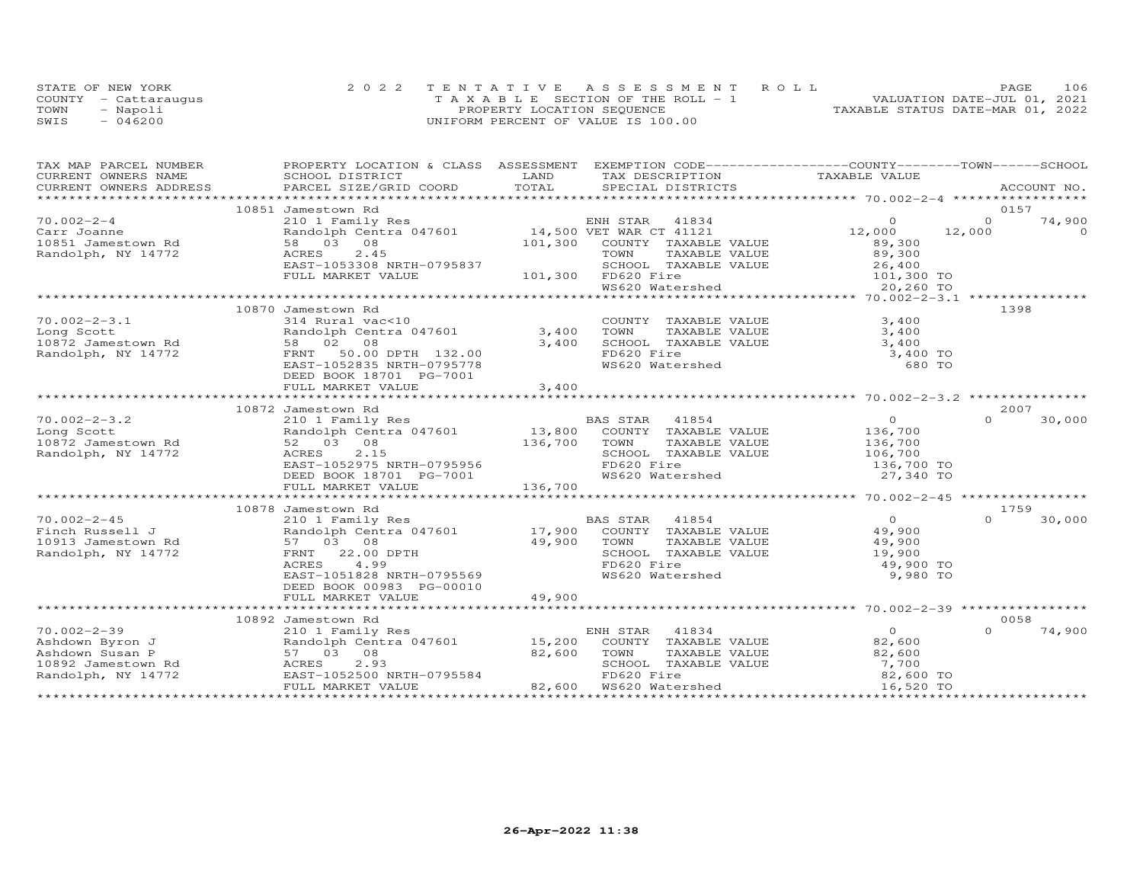| STATE OF NEW YORK    | 2022 TENTATIVE ASSESSMENT ROLL        | 106<br>PAGE.                     |
|----------------------|---------------------------------------|----------------------------------|
| COUNTY - Cattaraugus | T A X A B L E SECTION OF THE ROLL - 1 | VALUATION DATE-JUL 01, 2021      |
| TOWN<br>- Napoli     | PROPERTY LOCATION SEQUENCE            | TAXABLE STATUS DATE-MAR 01, 2022 |
| $-046200$<br>SWIS    | UNIFORM PERCENT OF VALUE IS 100.00    |                                  |

| TAX MAP PARCEL NUMBER | PROPERTY LOCATION & CLASS ASSESSMENT EXEMPTION CODE----------------COUNTY-------TOWN------SCHOOL                |         |                                               |                |          |          |
|-----------------------|-----------------------------------------------------------------------------------------------------------------|---------|-----------------------------------------------|----------------|----------|----------|
| CURRENT OWNERS NAME   | SCHOOL DISTRICT                                                                                                 | LAND    | TAX DESCRIPTION                               | TAXABLE VALUE  |          |          |
|                       | .CURRENT OWNERS ADDRESS PARCEL SIZE/GRID COORD TOTAL SPECIAL DISTRICTS ACCOUNT NO ACCOUNT NO ACCOUNT NO ACCOUNT |         |                                               |                |          |          |
|                       |                                                                                                                 |         |                                               |                |          |          |
|                       | 10851 Jamestown Rd                                                                                              |         |                                               |                | 0157     |          |
| $70.002 - 2 - 4$      | 210 1 Family Res                                                                                                |         | ENH STAR<br>41834                             | $\Omega$       | $\Omega$ | 74,900   |
| Carr Joanne           | Randolph Centra 047601 14,500 VET WAR CT 41121                                                                  |         |                                               | 12,000         | 12,000   | $\Omega$ |
| 10851 Jamestown Rd    | 58 03 08                                                                                                        |         | 101,300 COUNTY TAXABLE VALUE                  | 89,300         |          |          |
| Randolph, NY 14772    | ACRES<br>2.45                                                                                                   |         | TOWN<br>TAXABLE VALUE                         | 89,300         |          |          |
|                       | EAST-1053308 NRTH-0795837                                                                                       |         | SCHOOL TAXABLE VALUE                          | 26,400         |          |          |
|                       | FULL MARKET VALUE                                                                                               |         | 101,300 FD620 Fire                            | $101,300$ TO   |          |          |
|                       |                                                                                                                 |         | WS620 Watershed                               |                |          |          |
|                       | *********************                                                                                           |         |                                               |                |          |          |
|                       | 10870 Jamestown Rd                                                                                              |         |                                               |                | 1398     |          |
| $70.002 - 2 - 3.1$    | 314 Rural vac<10                                                                                                |         | COUNTY TAXABLE VALUE                          | 3,400          |          |          |
| Long Scott            | Randolph Centra 047601                                                                                          | 3,400   | TOWN<br>TAXABLE VALUE                         | 3,400          |          |          |
| 10872 Jamestown Rd    | 58 02 08                                                                                                        | 3,400   | SCHOOL TAXABLE VALUE                          | 3,400          |          |          |
| Randolph, NY 14772    | FRNT 50.00 DPTH 132.00                                                                                          |         | FD620 Fire                                    | 3,400 TO       |          |          |
|                       | EAST-1052835 NRTH-0795778                                                                                       |         | WS620 Watershed                               | 680 TO         |          |          |
|                       | DEED BOOK 18701 PG-7001                                                                                         |         |                                               |                |          |          |
|                       | FULL MARKET VALUE                                                                                               | 3,400   |                                               |                |          |          |
|                       |                                                                                                                 |         |                                               |                |          |          |
|                       | 10872 Jamestown Rd                                                                                              |         |                                               |                | 2007     |          |
| $70.002 - 2 - 3.2$    | 210 1 Family Res                                                                                                |         | BAS STAR 41854<br>13,800 COUNTY TAXABLE VALUE | $\overline{O}$ | $\cap$   | 30,000   |
| Long Scott            | Randolph Centra 047601                                                                                          |         |                                               | 136,700        |          |          |
| 10872 Jamestown Rd    | 52 03 08                                                                                                        | 136,700 | TAXABLE VALUE<br>TOWN                         | 136,700        |          |          |
| Randolph, NY 14772    | 2.15<br>ACRES                                                                                                   |         | SCHOOL TAXABLE VALUE                          | 106,700        |          |          |
|                       | EAST-1052975 NRTH-0795956                                                                                       |         | FD620 Fire                                    | 136,700 TO     |          |          |
|                       | DEED BOOK 18701 PG-7001                                                                                         |         | WS620 Watershed                               | 27,340 TO      |          |          |
|                       | FULL MARKET VALUE                                                                                               | 136,700 |                                               |                |          |          |
|                       |                                                                                                                 |         |                                               |                |          |          |
|                       | 10878 Jamestown Rd                                                                                              |         |                                               |                | 1759     |          |
| $70.002 - 2 - 45$     | 210 1 Family Res                                                                                                |         | BAS STAR<br>41854                             | $\overline{O}$ | $\cap$   | 30,000   |
| Finch Russell J       | Randolph Centra 047601                                                                                          | 17,900  | COUNTY TAXABLE VALUE                          | 49,900         |          |          |
| 10913 Jamestown Rd    | 57 03 08                                                                                                        | 49,900  | TOWN<br>TAXABLE VALUE                         | 49,900         |          |          |
| Randolph, NY 14772    | FRNT 22.00 DPTH                                                                                                 |         | SCHOOL TAXABLE VALUE                          | 19,900         |          |          |
|                       | ACRES<br>4.99                                                                                                   |         | FD620 Fire                                    | 49,900 TO      |          |          |
|                       | EAST-1051828 NRTH-0795569                                                                                       |         | WS620 Watershed                               | 9,980 TO       |          |          |
|                       | DEED BOOK 00983 PG-00010                                                                                        |         |                                               |                |          |          |
|                       | FULL MARKET VALUE                                                                                               | 49,900  |                                               |                |          |          |
|                       |                                                                                                                 |         |                                               |                |          |          |
|                       | 10892 Jamestown Rd                                                                                              |         |                                               |                | 0058     |          |
| $70.002 - 2 - 39$     | 210 1 Family Res                                                                                                |         | ENH STAR<br>41834                             | $\overline{O}$ | $\cap$   | 74,900   |
| Ashdown Byron J       | Randolph Centra 047601 15,200                                                                                   |         | COUNTY TAXABLE VALUE                          | 82,600         |          |          |
| Ashdown Susan P       | 57 03 08                                                                                                        | 82,600  | TOWN<br>TAXABLE VALUE                         | 82,600         |          |          |
| 10892 Jamestown Rd    | 2.93<br>ACRES                                                                                                   |         | SCHOOL TAXABLE VALUE                          | 7,700          |          |          |
| Randolph, NY 14772    | EAST-1052500 NRTH-0795584                                                                                       |         | FD620 Fire                                    | 82,600 TO      |          |          |
|                       | FULL MARKET VALUE                                                                                               |         | 82,600 WS620 Watershed                        | 16,520 TO      |          |          |
|                       |                                                                                                                 |         |                                               |                |          |          |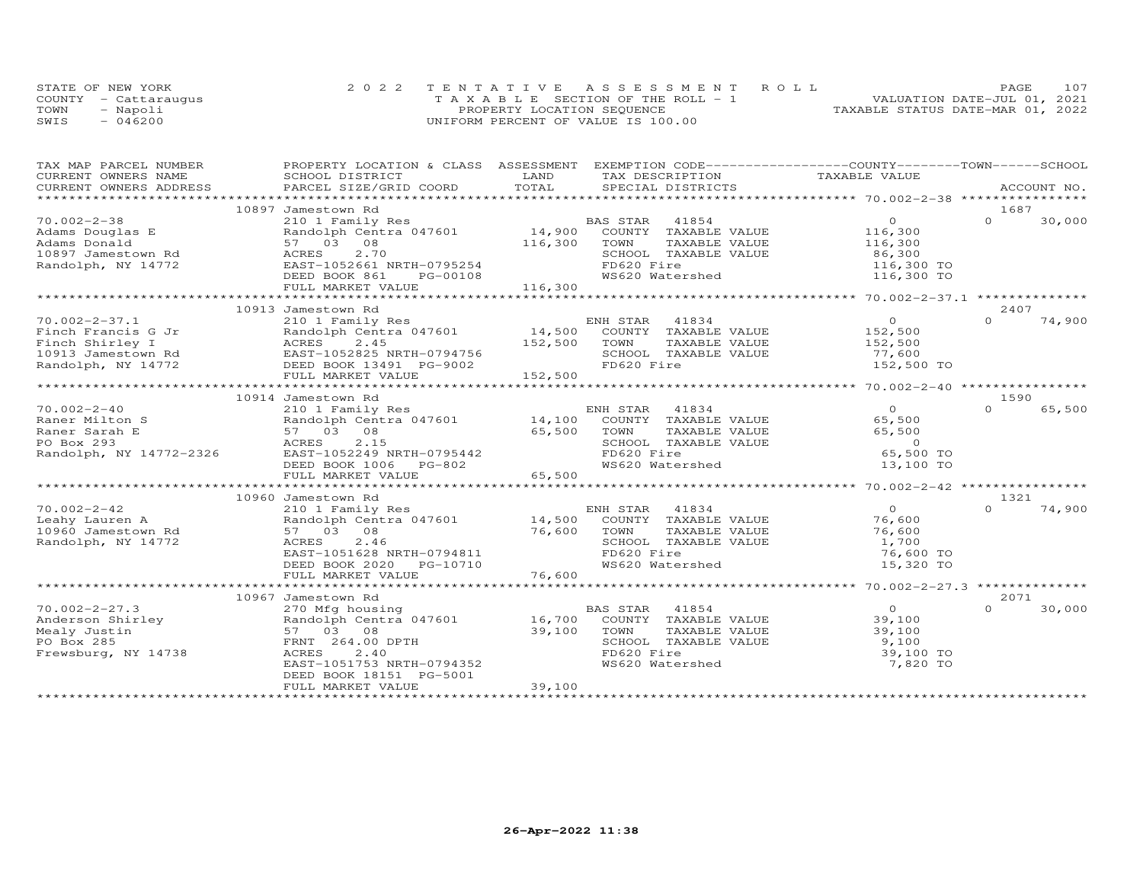|      | STATE OF NEW YORK    | 2022 TENTATIVE ASSESSMENT ROLL        | PAGE                             | 107 |
|------|----------------------|---------------------------------------|----------------------------------|-----|
|      | COUNTY - Cattaraugus | T A X A B L E SECTION OF THE ROLL - 1 | VALUATION DATE-JUL 01, 2021      |     |
| TOWN | - Napoli             | PROPERTY LOCATION SEQUENCE            | TAXABLE STATUS DATE-MAR 01, 2022 |     |
| SWIS | $-046200$            | UNIFORM PERCENT OF VALUE IS 100.00    |                                  |     |

| TAX MAP PARCEL NUMBER   | PROPERTY LOCATION & CLASS ASSESSMENT |               | EXEMPTION CODE-----------------COUNTY-------TOWN------SCHOOL |                                                      |          |             |
|-------------------------|--------------------------------------|---------------|--------------------------------------------------------------|------------------------------------------------------|----------|-------------|
| CURRENT OWNERS NAME     | SCHOOL DISTRICT                      | LAND          | TAX DESCRIPTION                                              | TAXABLE VALUE                                        |          |             |
| CURRENT OWNERS ADDRESS  | PARCEL SIZE/GRID COORD               | TOTAL         | SPECIAL DISTRICTS                                            |                                                      |          | ACCOUNT NO. |
|                         |                                      |               |                                                              |                                                      |          |             |
|                         | 10897 Jamestown Rd                   |               |                                                              |                                                      | 1687     |             |
| $70.002 - 2 - 38$       | 210 1 Family Res                     |               | BAS STAR<br>41854                                            | $\circ$                                              | $\Omega$ | 30,000      |
| Adams Douglas E         | Randolph Centra 047601               | 14,900        | COUNTY TAXABLE VALUE                                         | 116,300                                              |          |             |
| Adams Donald            | 08<br>57 03                          | 116,300       | TOWN<br>TAXABLE VALUE                                        | 116,300                                              |          |             |
| 10897 Jamestown Rd      | 2.70<br>ACRES                        |               | SCHOOL TAXABLE VALUE                                         | 86,300                                               |          |             |
| Randolph, NY 14772      | EAST-1052661 NRTH-0795254            |               | FD620 Fire                                                   | 116,300 TO                                           |          |             |
|                         | DEED BOOK 861<br>PG-00108            |               | WS620 Watershed                                              | 116,300 TO                                           |          |             |
|                         | FULL MARKET VALUE                    | 116,300       |                                                              |                                                      |          |             |
|                         |                                      |               |                                                              |                                                      |          |             |
|                         | 10913 Jamestown Rd                   |               |                                                              |                                                      | 2407     |             |
| $70.002 - 2 - 37.1$     | 210 1 Family Res                     |               | ENH STAR<br>41834                                            | $\overline{O}$                                       | $\cap$   | 74,900      |
| Finch Francis G Jr      | Randolph Centra 047601               | 14,500        | COUNTY TAXABLE VALUE                                         | 152,500                                              |          |             |
| Finch Shirley I         | ACRES<br>2.45                        | 152,500       | TOWN<br>TAXABLE VALUE                                        | 152,500                                              |          |             |
| 10913 Jamestown Rd      | EAST-1052825 NRTH-0794756            |               | SCHOOL TAXABLE VALUE                                         | 77,600                                               |          |             |
| Randolph, NY 14772      | DEED BOOK 13491 PG-9002              |               | FD620 Fire                                                   | 152,500 TO                                           |          |             |
|                         | FULL MARKET VALUE                    | 152,500       |                                                              |                                                      |          |             |
|                         |                                      |               |                                                              | ******************** 70.002-2-40 *****************   |          |             |
|                         | 10914 Jamestown Rd                   |               |                                                              |                                                      | 1590     |             |
| $70.002 - 2 - 40$       | 210 1 Family Res                     |               | ENH STAR<br>41834                                            | $\overline{O}$                                       | $\Omega$ | 65,500      |
| Raner Milton S          | Randolph Centra 047601               | 14,100        | COUNTY TAXABLE VALUE                                         | 65,500                                               |          |             |
| Raner Sarah E           | 57 03 08                             | 65,500        | TOWN<br>TAXABLE VALUE                                        | 65,500                                               |          |             |
| PO Box 293              | 2.15<br>ACRES                        |               | SCHOOL TAXABLE VALUE                                         | $\overline{0}$                                       |          |             |
| Randolph, NY 14772-2326 | EAST-1052249 NRTH-0795442            |               | FD620 Fire                                                   | 65,500 TO                                            |          |             |
|                         | DEED BOOK 1006<br>PG-802             |               | WS620 Watershed                                              | 13,100 TO                                            |          |             |
|                         | FULL MARKET VALUE                    | 65,500        |                                                              |                                                      |          |             |
|                         |                                      |               |                                                              |                                                      |          |             |
|                         | 10960 Jamestown Rd                   |               |                                                              |                                                      | 1321     |             |
| $70.002 - 2 - 42$       | 210 1 Family Res                     |               | 41834<br>ENH STAR                                            | $\overline{O}$                                       | $\cap$   | 74,900      |
| Leahy Lauren A          | Randolph Centra 047601               | 14,500        | COUNTY TAXABLE VALUE                                         | 76,600                                               |          |             |
| 10960 Jamestown Rd      | 08<br>57 03                          | 76,600        | TOWN<br>TAXABLE VALUE                                        | 76,600                                               |          |             |
| Randolph, NY 14772      | ACRES<br>2.46                        |               | SCHOOL TAXABLE VALUE                                         | 1,700                                                |          |             |
|                         | EAST-1051628 NRTH-0794811            |               | FD620 Fire                                                   | 76,600 TO                                            |          |             |
|                         | DEED BOOK 2020<br>PG-10710           |               | WS620 Watershed                                              | 15,320 TO                                            |          |             |
|                         | FULL MARKET VALUE                    | 76,600        |                                                              |                                                      |          |             |
|                         | *************************            | ************* |                                                              | *********************** 70.002-2-27.3 ************** |          |             |
|                         | 10967 Jamestown Rd                   |               |                                                              |                                                      | 2071     |             |
| $70.002 - 2 - 27.3$     | 270 Mfg housing                      |               | BAS STAR<br>41854                                            | $\Omega$                                             | $\Omega$ | 30,000      |
| Anderson Shirley        | Randolph Centra 047601               | 16,700        | COUNTY TAXABLE VALUE                                         | 39,100                                               |          |             |
| Mealy Justin            | 57 03<br>08                          | 39,100        | TOWN<br>TAXABLE VALUE                                        | 39,100                                               |          |             |
| PO Box 285              | FRNT 264.00 DPTH                     |               | SCHOOL TAXABLE VALUE                                         | 9,100                                                |          |             |
| Frewsburg, NY 14738     | 2.40<br>ACRES                        |               | FD620 Fire                                                   | 39,100 TO                                            |          |             |
|                         | EAST-1051753 NRTH-0794352            |               | WS620 Watershed                                              | 7,820 TO                                             |          |             |
|                         | DEED BOOK 18151 PG-5001              |               |                                                              |                                                      |          |             |
|                         | FULL MARKET VALUE                    | 39,100        |                                                              |                                                      |          |             |
|                         |                                      |               |                                                              |                                                      |          |             |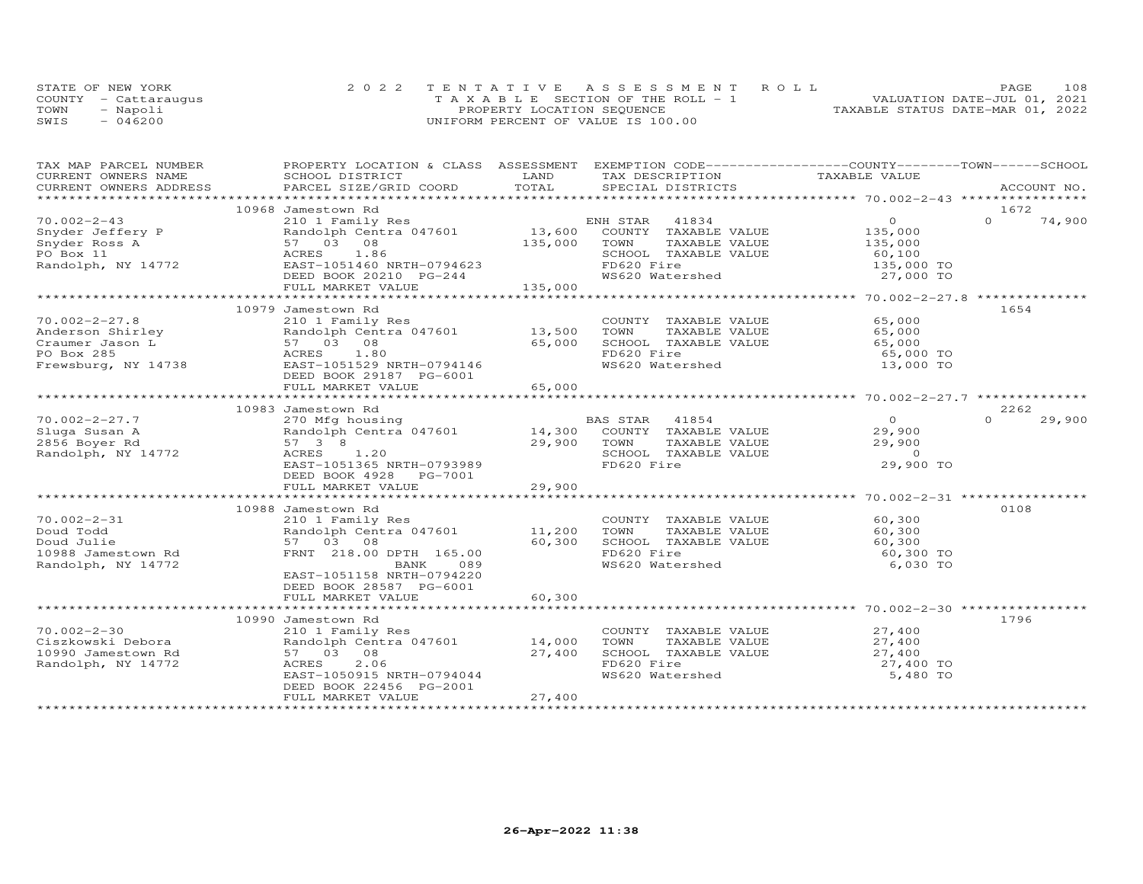|      | STATE OF NEW YORK    | 2022 TENTATIVE ASSESSMENT ROLL        |                                  | PAGE | 108 |
|------|----------------------|---------------------------------------|----------------------------------|------|-----|
|      | COUNTY - Cattaraugus | T A X A B L E SECTION OF THE ROLL - 1 | VALUATION DATE-JUL 01, 2021      |      |     |
| TOWN | - Napoli             | PROPERTY LOCATION SEQUENCE            | TAXABLE STATUS DATE-MAR 01, 2022 |      |     |
| SWIS | $-046200$            | UNIFORM PERCENT OF VALUE IS 100.00    |                                  |      |     |

| TAX MAP PARCEL NUMBER  | PROPERTY LOCATION & CLASS ASSESSMENT EXEMPTION CODE----------------COUNTY-------TOWN------SCHOOL |             |                                                                   |                |             |        |
|------------------------|--------------------------------------------------------------------------------------------------|-------------|-------------------------------------------------------------------|----------------|-------------|--------|
| CURRENT OWNERS NAME    | SCHOOL DISTRICT                                                                                  | LAND        | TAX DESCRIPTION                                                   | TAXABLE VALUE  |             |        |
| CURRENT OWNERS ADDRESS | PARCEL SIZE/GRID COORD                                                                           | TOTAL       | SPECIAL DISTRICTS                                                 |                | ACCOUNT NO. |        |
|                        |                                                                                                  |             |                                                                   |                |             |        |
|                        | 10968 Jamestown Rd                                                                               |             |                                                                   |                | 1672        |        |
| $70.002 - 2 - 43$      | 210 1 Family Res                                                                                 |             | ENH STAR<br>41834                                                 | $\overline{0}$ | $\Omega$    | 74,900 |
| Snyder Jeffery P       | Randolph Centra 047601                                                                           | $13,600$ E  | COUNTY TAXABLE VALUE                                              | 135,000        |             |        |
| Snyder Ross A          | 57 03 08                                                                                         | 135,000     | TOWN<br>TAXABLE VALUE                                             | 135,000        |             |        |
| PO Box 11              | ACRES 1.86                                                                                       |             | SCHOOL TAXABLE VALUE                                              | 60,100         |             |        |
| Randolph, NY 14772     | EAST-1051460 NRTH-0794623                                                                        |             | FD620 Fire                                                        | 135,000 TO     |             |        |
|                        | DEED BOOK 20210 PG-244                                                                           |             | WS620 Watershed                                                   | 27,000 TO      |             |        |
|                        | FULL MARKET VALUE                                                                                | 135,000     |                                                                   |                |             |        |
|                        |                                                                                                  |             |                                                                   |                |             |        |
|                        | 10979 Jamestown Rd                                                                               |             |                                                                   |                | 1654        |        |
| $70.002 - 2 - 27.8$    | 210 1 Family Res                                                                                 |             | COUNTY TAXABLE VALUE                                              | 65,000         |             |        |
|                        |                                                                                                  |             |                                                                   |                |             |        |
| Anderson Shirley       | Randolph Centra 047601                                                                           | 13,500      | TAXABLE VALUE<br>TOWN                                             | 65,000         |             |        |
| Craumer Jason L        | 57 03 08                                                                                         | 65,000      | SCHOOL TAXABLE VALUE                                              | 65,000         |             |        |
| PO Box 285             | ACRES 1.80                                                                                       |             | FD620 Fire                                                        | 65,000 TO      |             |        |
| Frewsburg, NY 14738    | EAST-1051529 NRTH-0794146                                                                        |             | WS620 Watershed                                                   | 13,000 TO      |             |        |
|                        | DEED BOOK 29187 PG-6001                                                                          |             |                                                                   |                |             |        |
|                        | FULL MARKET VALUE                                                                                | 65,000      |                                                                   |                |             |        |
|                        |                                                                                                  |             | *************************************70.002-2-27.7 ************** |                |             |        |
|                        | 10983 Jamestown Rd                                                                               |             |                                                                   |                | 2262        |        |
| $70.002 - 2 - 27.7$    | 270 Mfg housing                                                                                  |             | BAS STAR<br>41854                                                 | $\overline{O}$ | $\Omega$    | 29,900 |
| Sluga Susan A          | Randolph Centra 047601                                                                           |             | 14,300 COUNTY TAXABLE VALUE                                       | 29,900         |             |        |
| 2856 Boyer Rd          | 57 3 8                                                                                           | 29,900 TOWN | TAXABLE VALUE                                                     | 29,900         |             |        |
| Randolph, NY 14772     | ACRES 1.20                                                                                       |             | SCHOOL TAXABLE VALUE                                              | $\circ$        |             |        |
|                        | EAST-1051365 NRTH-0793989                                                                        |             | FD620 Fire                                                        | 29,900 TO      |             |        |
|                        | DEED BOOK 4928 PG-7001                                                                           |             |                                                                   |                |             |        |
|                        | FULL MARKET VALUE                                                                                | 29,900      |                                                                   |                |             |        |
|                        |                                                                                                  |             |                                                                   |                |             |        |
|                        | 10988 Jamestown Rd                                                                               |             |                                                                   |                | 0108        |        |
| $70.002 - 2 - 31$      | 210 1 Family Res                                                                                 |             | COUNTY TAXABLE VALUE                                              | 60,300         |             |        |
| Doud Todd              | Randolph Centra 047601 11,200                                                                    |             | TOWN<br>TAXABLE VALUE                                             | 60,300         |             |        |
| Doud Julie             | 57 03 08                                                                                         | 60,300      | SCHOOL TAXABLE VALUE                                              | 60,300         |             |        |
| 10988 Jamestown Rd     | FRNT 218.00 DPTH 165.00                                                                          |             | FD620 Fire                                                        |                |             |        |
|                        |                                                                                                  |             |                                                                   | 60,300 TO      |             |        |
| Randolph, NY 14772     | BANK<br>089                                                                                      |             | WS620 Watershed                                                   | 6,030 TO       |             |        |
|                        | EAST-1051158 NRTH-0794220                                                                        |             |                                                                   |                |             |        |
|                        | DEED BOOK 28587 PG-6001                                                                          |             |                                                                   |                |             |        |
|                        | FULL MARKET VALUE                                                                                | 60,300      |                                                                   |                |             |        |
|                        |                                                                                                  |             |                                                                   |                |             |        |
|                        | 10990 Jamestown Rd                                                                               |             |                                                                   |                | 1796        |        |
| $70.002 - 2 - 30$      | 210 1 Family Res                                                                                 |             | COUNTY TAXABLE VALUE                                              | 27,400         |             |        |
| Ciszkowski Debora      | Randolph Centra 047601 14,000                                                                    |             | TOWN<br>TAXABLE VALUE                                             | 27,400         |             |        |
| 10990 Jamestown Rd     | 57 03 08                                                                                         | 27,400      | SCHOOL TAXABLE VALUE                                              | 27,400         |             |        |
| Randolph, NY 14772     | 2.06<br>ACRES                                                                                    |             | FD620 Fire                                                        | 27,400 TO      |             |        |
|                        | EAST-1050915 NRTH-0794044                                                                        |             | WS620 Watershed                                                   | 5,480 TO       |             |        |
|                        | DEED BOOK 22456 PG-2001                                                                          |             |                                                                   |                |             |        |
|                        | FULL MARKET VALUE                                                                                | 27,400      |                                                                   |                |             |        |
|                        |                                                                                                  |             |                                                                   |                |             |        |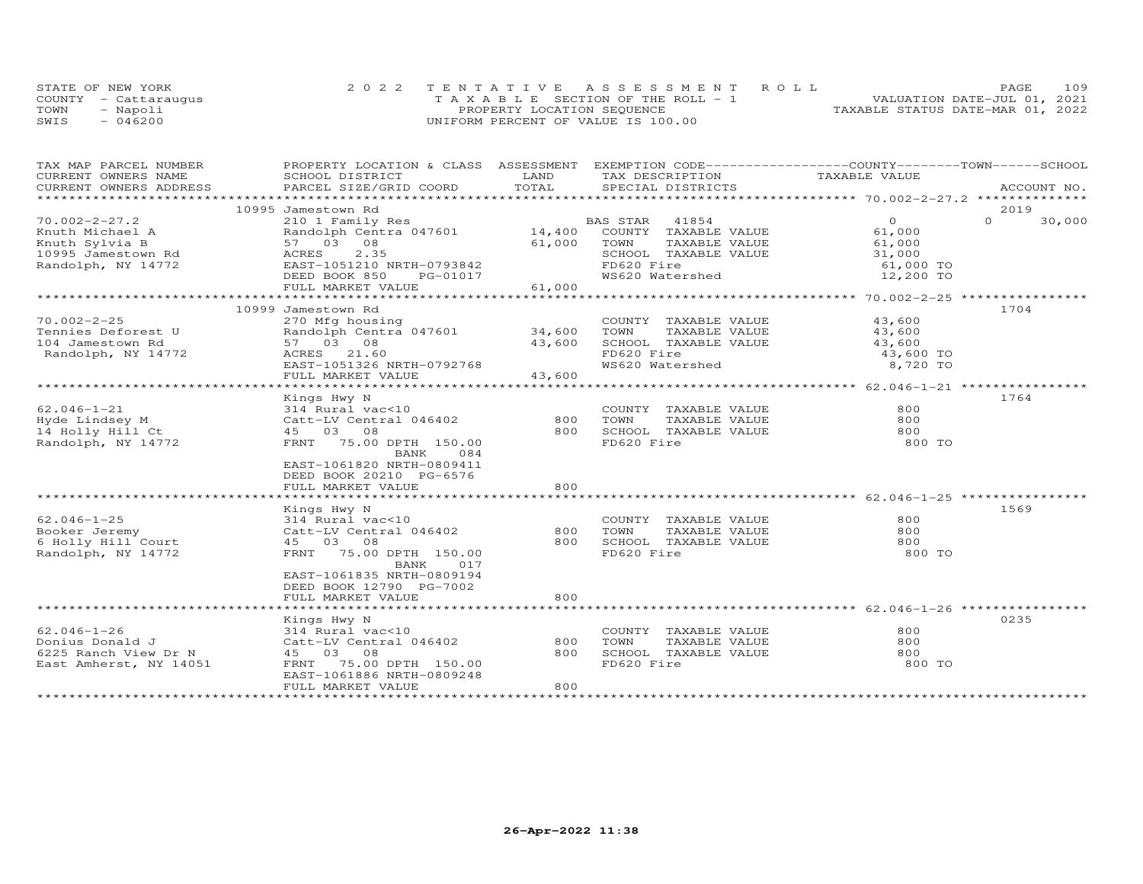| STATE OF NEW YORK    | 2022 TENTATIVE ASSESSMENT ROLL        | 109<br>PAGE.                     |
|----------------------|---------------------------------------|----------------------------------|
| COUNTY - Cattaraugus | T A X A B L E SECTION OF THE ROLL - 1 | VALUATION DATE-JUL 01, 2021      |
| TOWN<br>- Napoli     | PROPERTY LOCATION SEQUENCE            | TAXABLE STATUS DATE-MAR 01, 2022 |
| $-046200$<br>SWIS    | UNIFORM PERCENT OF VALUE IS 100.00    |                                  |

| TAX MAP PARCEL NUMBER   | PROPERTY LOCATION & CLASS ASSESSMENT EXEMPTION CODE----------------COUNTY-------TOWN-----SCHOOL |        |                             |               |                    |
|-------------------------|-------------------------------------------------------------------------------------------------|--------|-----------------------------|---------------|--------------------|
| CURRENT OWNERS NAME     | SCHOOL DISTRICT                                                                                 | LAND   | TAX DESCRIPTION             | TAXABLE VALUE |                    |
| CURRENT OWNERS ADDRESS  | PARCEL SIZE/GRID COORD                                                                          | TOTAL  | SPECIAL DISTRICTS           |               | ACCOUNT NO.        |
| *********************** |                                                                                                 |        |                             |               |                    |
|                         | 10995 Jamestown Rd                                                                              |        |                             |               | 2019               |
| $70.002 - 2 - 27.2$     | 210 1 Family Res                                                                                |        | BAS STAR<br>41854           | $\Omega$      | $\Omega$<br>30,000 |
| Knuth Michael A         | Randolph Centra 047601                                                                          |        | 14,400 COUNTY TAXABLE VALUE | 61,000        |                    |
| Knuth Sylvia B          | 57 03 08                                                                                        | 61,000 | TAXABLE VALUE<br>TOWN       | 61,000        |                    |
| 10995 Jamestown Rd      | 2.35<br>ACRES                                                                                   |        | SCHOOL TAXABLE VALUE        | 31,000        |                    |
| Randolph, NY 14772      | EAST-1051210 NRTH-0793842                                                                       |        | FD620 Fire                  | 61,000 TO     |                    |
|                         | DEED BOOK 850<br>PG-01017                                                                       |        | WS620 Watershed             | 12,200 TO     |                    |
|                         | FULL MARKET VALUE                                                                               | 61,000 |                             |               |                    |
|                         |                                                                                                 |        |                             |               |                    |
|                         | 10999 Jamestown Rd                                                                              |        |                             |               | 1704               |
| $70.002 - 2 - 25$       | 270 Mfg housing                                                                                 |        | COUNTY TAXABLE VALUE        | 43,600        |                    |
| Tennies Deforest U      |                                                                                                 |        | TOWN<br>TAXABLE VALUE       | 43,600        |                    |
| 104 Jamestown Rd        | 57 03 08                                                                                        | 43,600 | SCHOOL TAXABLE VALUE        | 43,600        |                    |
| Randolph, NY 14772      | ACRES 21.60                                                                                     |        | FD620 Fire                  | 43,600 TO     |                    |
|                         | EAST-1051326 NRTH-0792768                                                                       |        | WS620 Watershed             | 8,720 TO      |                    |
|                         | FULL MARKET VALUE                                                                               | 43,600 |                             |               |                    |
|                         |                                                                                                 |        |                             |               |                    |
|                         | Kings Hwy N                                                                                     |        |                             |               | 1764               |
| $62.046 - 1 - 21$       | 314 Rural vac<10                                                                                |        | COUNTY TAXABLE VALUE        | 800           |                    |
| Hyde Lindsey M          | Catt-LV Central 046402                                                                          | 800    | TOWN<br>TAXABLE VALUE       | 800           |                    |
| 14 Holly Hill Ct        | 45 03 08                                                                                        | 800    | SCHOOL TAXABLE VALUE        | 800           |                    |
| Randolph, NY 14772      | FRNT 75.00 DPTH 150.00                                                                          |        | FD620 Fire                  | 800 TO        |                    |
|                         | BANK<br>084                                                                                     |        |                             |               |                    |
|                         |                                                                                                 |        |                             |               |                    |
|                         | EAST-1061820 NRTH-0809411                                                                       |        |                             |               |                    |
|                         | DEED BOOK 20210 PG-6576                                                                         |        |                             |               |                    |
|                         | FULL MARKET VALUE                                                                               | 800    |                             |               |                    |
|                         |                                                                                                 |        |                             |               |                    |
|                         | Kings Hwy N                                                                                     |        |                             |               | 1569               |
| $62.046 - 1 - 25$       | 314 Rural vac<10                                                                                |        | COUNTY TAXABLE VALUE        | 800           |                    |
| Booker Jeremy           | Catt-LV Central 046402                                                                          | 800    | TOWN<br>TAXABLE VALUE       | 800           |                    |
| 6 Holly Hill Court      | 45 03 08                                                                                        | 800    | SCHOOL TAXABLE VALUE        | 800           |                    |
| Randolph, NY 14772      | FRNT 75.00 DPTH 150.00                                                                          |        | FD620 Fire                  | 800 TO        |                    |
|                         | BANK<br>017                                                                                     |        |                             |               |                    |
|                         | EAST-1061835 NRTH-0809194                                                                       |        |                             |               |                    |
|                         | DEED BOOK 12790 PG-7002                                                                         |        |                             |               |                    |
|                         | FULL MARKET VALUE                                                                               | 800    |                             |               |                    |
|                         |                                                                                                 |        |                             |               |                    |
|                         | Kings Hwy N                                                                                     |        |                             |               | 0235               |
| $62.046 - 1 - 26$       | 314 Rural vac<10                                                                                |        | COUNTY TAXABLE VALUE        | 800           |                    |
| Donius Donald J         | Catt-LV Central 046402                                                                          | 800    | TOWN<br>TAXABLE VALUE       | 800           |                    |
| 6225 Ranch View Dr N    | 45 03 08                                                                                        | 800    | SCHOOL TAXABLE VALUE        | 800           |                    |
| East Amherst, NY 14051  | FRNT 75.00 DPTH 150.00                                                                          |        | FD620 Fire                  | 800 TO        |                    |
|                         | EAST-1061886 NRTH-0809248                                                                       |        |                             |               |                    |
|                         | FULL MARKET VALUE                                                                               | 800    |                             |               |                    |
|                         |                                                                                                 |        |                             |               |                    |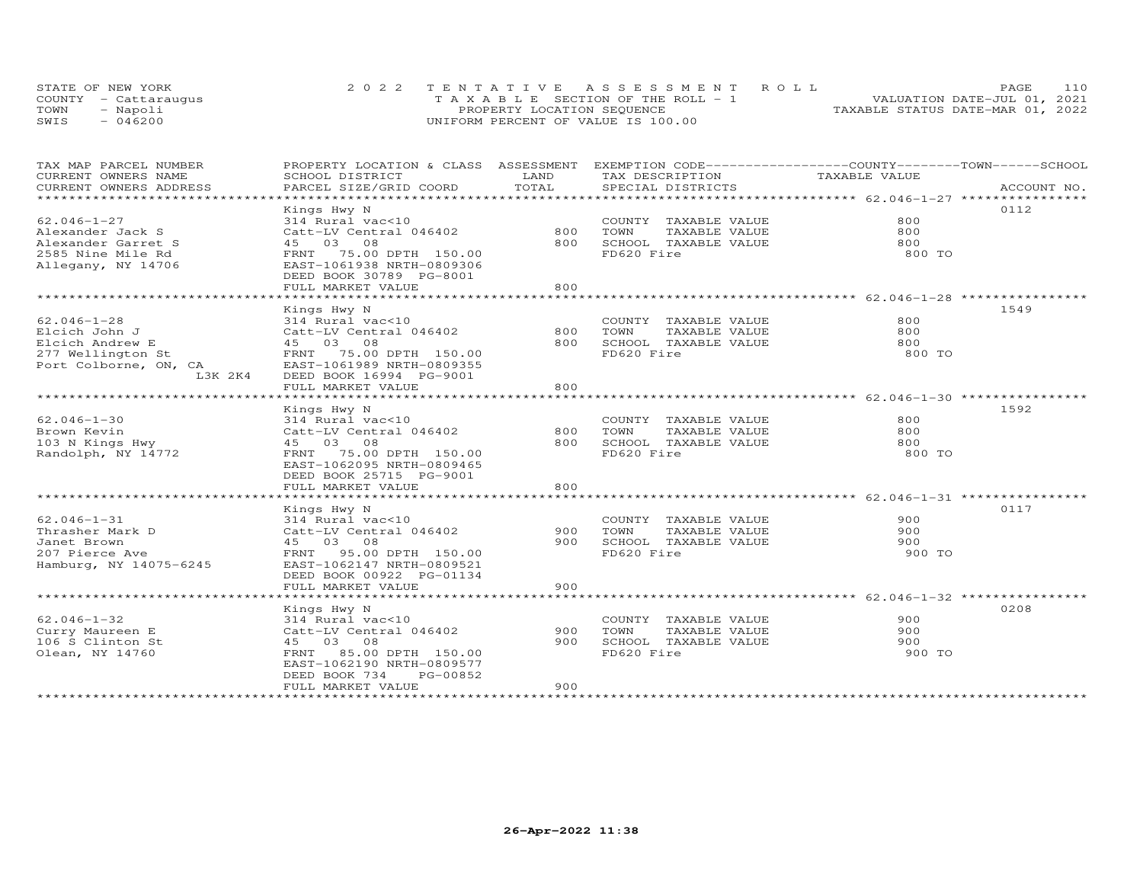| STATE OF NEW YORK    | 2022 TENTATIVE ASSESSMENT ROLL        | 110<br>PAGE.                     |
|----------------------|---------------------------------------|----------------------------------|
| COUNTY - Cattaraugus | T A X A B L E SECTION OF THE ROLL - 1 | VALUATION DATE-JUL 01, 2021      |
| TOWN<br>- Napoli     | PROPERTY LOCATION SEQUENCE            | TAXABLE STATUS DATE-MAR 01, 2022 |
| $-046200$<br>SWIS    | UNIFORM PERCENT OF VALUE IS 100.00    |                                  |

| TAX MAP PARCEL NUMBER    | PROPERTY LOCATION & CLASS ASSESSMENT EXEMPTION CODE----------------COUNTY-------TOWN-----SCHOOL |              |                       |               |             |
|--------------------------|-------------------------------------------------------------------------------------------------|--------------|-----------------------|---------------|-------------|
| CURRENT OWNERS NAME      | SCHOOL DISTRICT                                                                                 | LAND         | TAX DESCRIPTION       | TAXABLE VALUE |             |
| CURRENT OWNERS ADDRESS   | PARCEL SIZE/GRID COORD                                                                          | TOTAL        | SPECIAL DISTRICTS     |               | ACCOUNT NO. |
| ************************ |                                                                                                 |              |                       |               |             |
|                          | Kings Hwy N                                                                                     |              |                       |               | 0112        |
| $62.046 - 1 - 27$        | 314 Rural vac<10                                                                                |              | COUNTY TAXABLE VALUE  | 800           |             |
| Alexander Jack S         | Catt-LV Central 046402                                                                          | 800          | TOWN<br>TAXABLE VALUE | 800           |             |
| Alexander Garret S       | 45 03 08                                                                                        | 800          | SCHOOL TAXABLE VALUE  | 800           |             |
| 2585 Nine Mile Rd        | FRNT 75.00 DPTH 150.00                                                                          |              | FD620 Fire            | 800 TO        |             |
| Allegany, NY 14706       | EAST-1061938 NRTH-0809306                                                                       |              |                       |               |             |
|                          | DEED BOOK 30789 PG-8001                                                                         |              |                       |               |             |
|                          | FULL MARKET VALUE                                                                               | 800          |                       |               |             |
|                          | *******************                                                                             | ************ |                       |               |             |
|                          | Kings Hwy N                                                                                     |              |                       |               | 1549        |
| $62.046 - 1 - 28$        | 314 Rural vac<10                                                                                |              | COUNTY TAXABLE VALUE  | 800           |             |
| Elcich John J            | Catt-LV Central 046402                                                                          | 800          | TOWN<br>TAXABLE VALUE | 800           |             |
| Elcich Andrew E          | 45 03 08                                                                                        | 800          | SCHOOL TAXABLE VALUE  | 800           |             |
| 277 Wellington St        | FRNT 75.00 DPTH 150.00                                                                          |              | FD620 Fire            | 800 TO        |             |
| Port Colborne, ON, CA    | EAST-1061989 NRTH-0809355                                                                       |              |                       |               |             |
| L3K 2K4                  | DEED BOOK 16994 PG-9001                                                                         |              |                       |               |             |
|                          | FULL MARKET VALUE                                                                               | 800          |                       |               |             |
|                          |                                                                                                 |              |                       |               |             |
|                          | Kings Hwy N                                                                                     |              |                       |               | 1592        |
| $62.046 - 1 - 30$        | 314 Rural vac<10                                                                                |              | COUNTY TAXABLE VALUE  | 800           |             |
| Brown Kevin              | Catt-LV Central 046402                                                                          | 800          | TOWN<br>TAXABLE VALUE | 800           |             |
| 103 N Kings Hwy          | 45 03 08                                                                                        | 800          | SCHOOL TAXABLE VALUE  | 800           |             |
| Randolph, NY 14772       | FRNT 75.00 DPTH 150.00                                                                          |              | FD620 Fire            | 800 TO        |             |
|                          | EAST-1062095 NRTH-0809465                                                                       |              |                       |               |             |
|                          | DEED BOOK 25715 PG-9001                                                                         |              |                       |               |             |
|                          | FULL MARKET VALUE                                                                               | 800          |                       |               |             |
|                          |                                                                                                 |              |                       |               |             |
|                          | Kings Hwy N                                                                                     |              |                       |               | 0117        |
| $62.046 - 1 - 31$        | 314 Rural vac<10                                                                                |              | COUNTY TAXABLE VALUE  | 900           |             |
| Thrasher Mark D          | Catt-LV Central 046402                                                                          | 900          | TOWN<br>TAXABLE VALUE | 900           |             |
| Janet Brown              | 45 03 08                                                                                        | 900          | SCHOOL TAXABLE VALUE  | 900           |             |
| 207 Pierce Ave           | FRNT 95.00 DPTH 150.00                                                                          |              | FD620 Fire            | 900 TO        |             |
| Hamburg, NY 14075-6245   | EAST-1062147 NRTH-0809521                                                                       |              |                       |               |             |
|                          |                                                                                                 |              |                       |               |             |
|                          | DEED BOOK 00922 PG-01134                                                                        | 900          |                       |               |             |
|                          | FULL MARKET VALUE                                                                               |              |                       |               |             |
|                          |                                                                                                 |              |                       |               |             |
|                          | Kings Hwy N                                                                                     |              |                       |               | 0208        |
| $62.046 - 1 - 32$        | 314 Rural vac<10                                                                                |              | COUNTY TAXABLE VALUE  | 900           |             |
| Curry Maureen E          | Catt-LV Central 046402                                                                          | 900          | TOWN<br>TAXABLE VALUE | 900           |             |
| 106 S Clinton St         | 45 03 08                                                                                        | 900          | SCHOOL TAXABLE VALUE  | 900           |             |
| Olean, NY 14760          | 85.00 DPTH 150.00<br>FRNT                                                                       |              | FD620 Fire            | 900 TO        |             |
|                          | EAST-1062190 NRTH-0809577                                                                       |              |                       |               |             |
|                          | DEED BOOK 734<br>PG-00852                                                                       |              |                       |               |             |
|                          | FULL MARKET VALUE                                                                               | 900          |                       |               |             |
|                          |                                                                                                 |              |                       |               |             |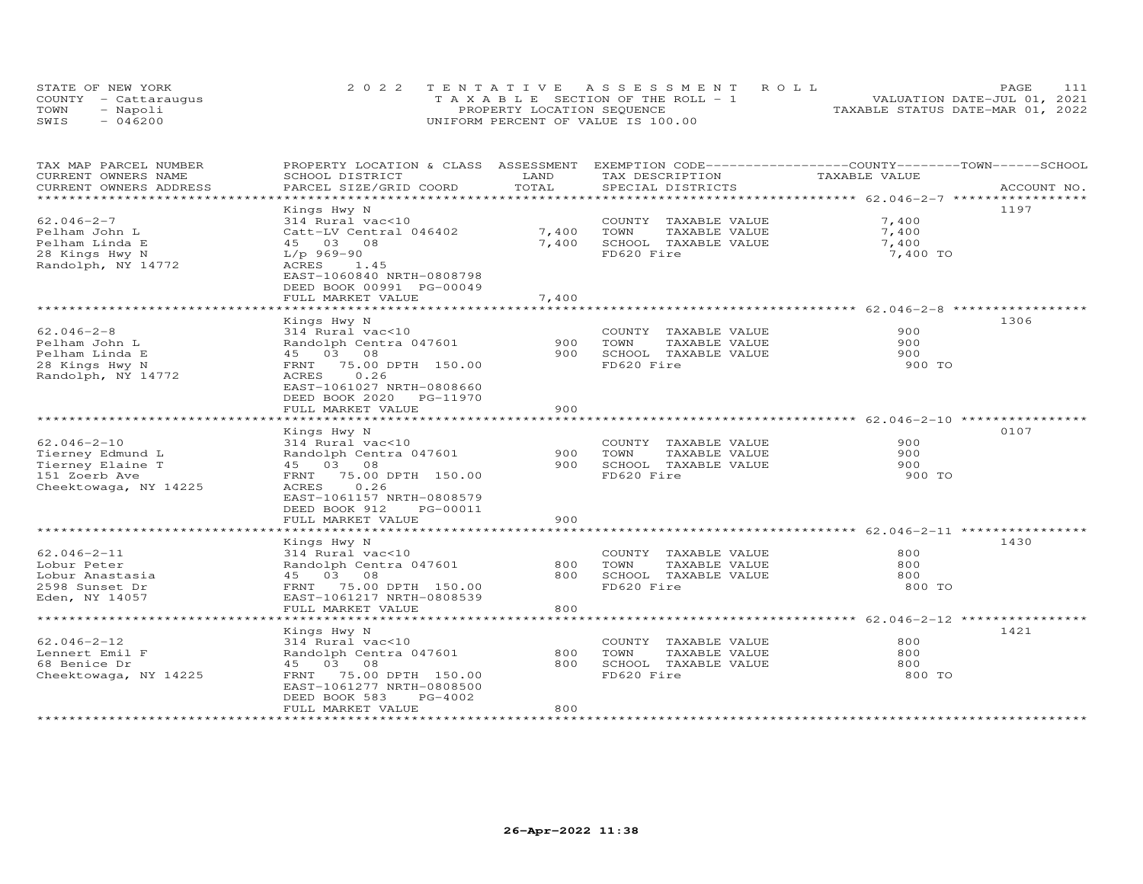| STATE OF NEW YORK    | 2022 TENTATIVE ASSESSMENT ROLL        | 111<br><b>PAGE</b>               |
|----------------------|---------------------------------------|----------------------------------|
| COUNTY - Cattaraugus | T A X A B L E SECTION OF THE ROLL - 1 | VALUATION DATE-JUL 01, 2021      |
| TOWN<br>- Napoli     | PROPERTY LOCATION SEQUENCE            | TAXABLE STATUS DATE-MAR 01, 2022 |
| $-046200$<br>SWIS    | UNIFORM PERCENT OF VALUE IS 100.00    |                                  |

| TOTAL<br>CURRENT OWNERS ADDRESS<br>PARCEL SIZE/GRID COORD<br>SPECIAL DISTRICTS<br>ACCOUNT NO.<br>**************************** 62.046-2-7 **********<br>*******<br>1197<br>Kings Hwy N<br>$62.046 - 2 - 7$<br>7,400<br>314 Rural vac<10<br>COUNTY TAXABLE VALUE<br>7,400<br>7,400<br>Pelham John L<br>Catt-LV Central 046402<br>TOWN<br>TAXABLE VALUE<br>Pelham Linda E<br>45 03 08<br>7,400<br>SCHOOL TAXABLE VALUE<br>7,400<br>FD620 Fire<br>28 Kings Hwy N<br>$L/p$ 969-90<br>7,400 TO<br>Randolph, NY 14772<br>ACRES<br>1.45<br>EAST-1060840 NRTH-0808798<br>DEED BOOK 00991 PG-00049<br>7,400<br>FULL MARKET VALUE<br>1306<br>Kings Hwy N<br>$62.046 - 2 - 8$<br>314 Rural vac<10<br>900<br>COUNTY TAXABLE VALUE<br>900<br>900<br>Pelham John L<br>Randolph Centra 047601<br>TOWN<br>TAXABLE VALUE | EXEMPTION CODE-----------------COUNTY-------TOWN-----SCHOOL |
|--------------------------------------------------------------------------------------------------------------------------------------------------------------------------------------------------------------------------------------------------------------------------------------------------------------------------------------------------------------------------------------------------------------------------------------------------------------------------------------------------------------------------------------------------------------------------------------------------------------------------------------------------------------------------------------------------------------------------------------------------------------------------------------------------------|-------------------------------------------------------------|
|                                                                                                                                                                                                                                                                                                                                                                                                                                                                                                                                                                                                                                                                                                                                                                                                        |                                                             |
|                                                                                                                                                                                                                                                                                                                                                                                                                                                                                                                                                                                                                                                                                                                                                                                                        |                                                             |
|                                                                                                                                                                                                                                                                                                                                                                                                                                                                                                                                                                                                                                                                                                                                                                                                        |                                                             |
|                                                                                                                                                                                                                                                                                                                                                                                                                                                                                                                                                                                                                                                                                                                                                                                                        |                                                             |
|                                                                                                                                                                                                                                                                                                                                                                                                                                                                                                                                                                                                                                                                                                                                                                                                        |                                                             |
| 900<br>SCHOOL TAXABLE VALUE<br>900<br>Pelham Linda E<br>45 03 08<br>FD620 Fire<br>28 Kings Hwy N<br>75.00 DPTH 150.00<br>900 TO<br>FRNT<br>0.26<br>Randolph, NY 14772<br>ACRES<br>EAST-1061027 NRTH-0808660                                                                                                                                                                                                                                                                                                                                                                                                                                                                                                                                                                                            |                                                             |
| DEED BOOK 2020 PG-11970<br>900                                                                                                                                                                                                                                                                                                                                                                                                                                                                                                                                                                                                                                                                                                                                                                         |                                                             |
| FULL MARKET VALUE                                                                                                                                                                                                                                                                                                                                                                                                                                                                                                                                                                                                                                                                                                                                                                                      |                                                             |
| 0107<br>Kings Hwy N                                                                                                                                                                                                                                                                                                                                                                                                                                                                                                                                                                                                                                                                                                                                                                                    |                                                             |
| $62.046 - 2 - 10$<br>900<br>314 Rural vac<10<br>COUNTY TAXABLE VALUE                                                                                                                                                                                                                                                                                                                                                                                                                                                                                                                                                                                                                                                                                                                                   |                                                             |
| 900<br>Tierney Edmund L<br>Randolph Centra 047601<br>900<br>TOWN<br>TAXABLE VALUE                                                                                                                                                                                                                                                                                                                                                                                                                                                                                                                                                                                                                                                                                                                      |                                                             |
| Tierney Elaine T<br>45 03 08<br>900<br>SCHOOL TAXABLE VALUE<br>900                                                                                                                                                                                                                                                                                                                                                                                                                                                                                                                                                                                                                                                                                                                                     |                                                             |
| FD620 Fire<br>151 Zoerb Ave<br>75.00 DPTH 150.00<br>900 TO<br>FRNT<br>0.26<br>Cheektowaga, NY 14225<br>ACRES                                                                                                                                                                                                                                                                                                                                                                                                                                                                                                                                                                                                                                                                                           |                                                             |
| EAST-1061157 NRTH-0808579<br>DEED BOOK 912<br>PG-00011<br>FULL MARKET VALUE<br>900                                                                                                                                                                                                                                                                                                                                                                                                                                                                                                                                                                                                                                                                                                                     |                                                             |
|                                                                                                                                                                                                                                                                                                                                                                                                                                                                                                                                                                                                                                                                                                                                                                                                        |                                                             |
| 1430<br>Kings Hwy N                                                                                                                                                                                                                                                                                                                                                                                                                                                                                                                                                                                                                                                                                                                                                                                    |                                                             |
| $62.046 - 2 - 11$<br>800<br>314 Rural vac<10<br>COUNTY TAXABLE VALUE                                                                                                                                                                                                                                                                                                                                                                                                                                                                                                                                                                                                                                                                                                                                   |                                                             |
| 800<br>800<br>Lobur Peter<br>Randolph Centra 047601<br>TOWN<br>TAXABLE VALUE                                                                                                                                                                                                                                                                                                                                                                                                                                                                                                                                                                                                                                                                                                                           |                                                             |
| SCHOOL TAXABLE VALUE<br>Lobur Anastasia<br>45 03 08<br>800<br>800                                                                                                                                                                                                                                                                                                                                                                                                                                                                                                                                                                                                                                                                                                                                      |                                                             |
| FD620 Fire<br>2598 Sunset Dr<br>75.00 DPTH 150.00<br>800 TO<br>FRNT<br>Eden, NY 14057<br>EAST-1061217 NRTH-0808539                                                                                                                                                                                                                                                                                                                                                                                                                                                                                                                                                                                                                                                                                     |                                                             |
| FULL MARKET VALUE<br>800                                                                                                                                                                                                                                                                                                                                                                                                                                                                                                                                                                                                                                                                                                                                                                               |                                                             |
| **************** 62.046-2-12 ************                                                                                                                                                                                                                                                                                                                                                                                                                                                                                                                                                                                                                                                                                                                                                              |                                                             |
| 1421<br>Kings Hwy N<br>$62.046 - 2 - 12$<br>800<br>314 Rural vac<10<br>COUNTY TAXABLE VALUE                                                                                                                                                                                                                                                                                                                                                                                                                                                                                                                                                                                                                                                                                                            |                                                             |
| 800<br>800<br>Lennert Emil F<br>Randolph Centra 047601<br>TOWN<br>TAXABLE VALUE                                                                                                                                                                                                                                                                                                                                                                                                                                                                                                                                                                                                                                                                                                                        |                                                             |
| 800<br>68 Benice Dr<br>45<br>03 08<br>SCHOOL TAXABLE VALUE<br>800                                                                                                                                                                                                                                                                                                                                                                                                                                                                                                                                                                                                                                                                                                                                      |                                                             |
| FD620 Fire<br>Cheektowaga, NY 14225<br>75.00 DPTH 150.00<br>800 TO<br>FRNT<br>EAST-1061277 NRTH-0808500<br>DEED BOOK 583<br>PG-4002                                                                                                                                                                                                                                                                                                                                                                                                                                                                                                                                                                                                                                                                    |                                                             |
| FULL MARKET VALUE<br>800                                                                                                                                                                                                                                                                                                                                                                                                                                                                                                                                                                                                                                                                                                                                                                               |                                                             |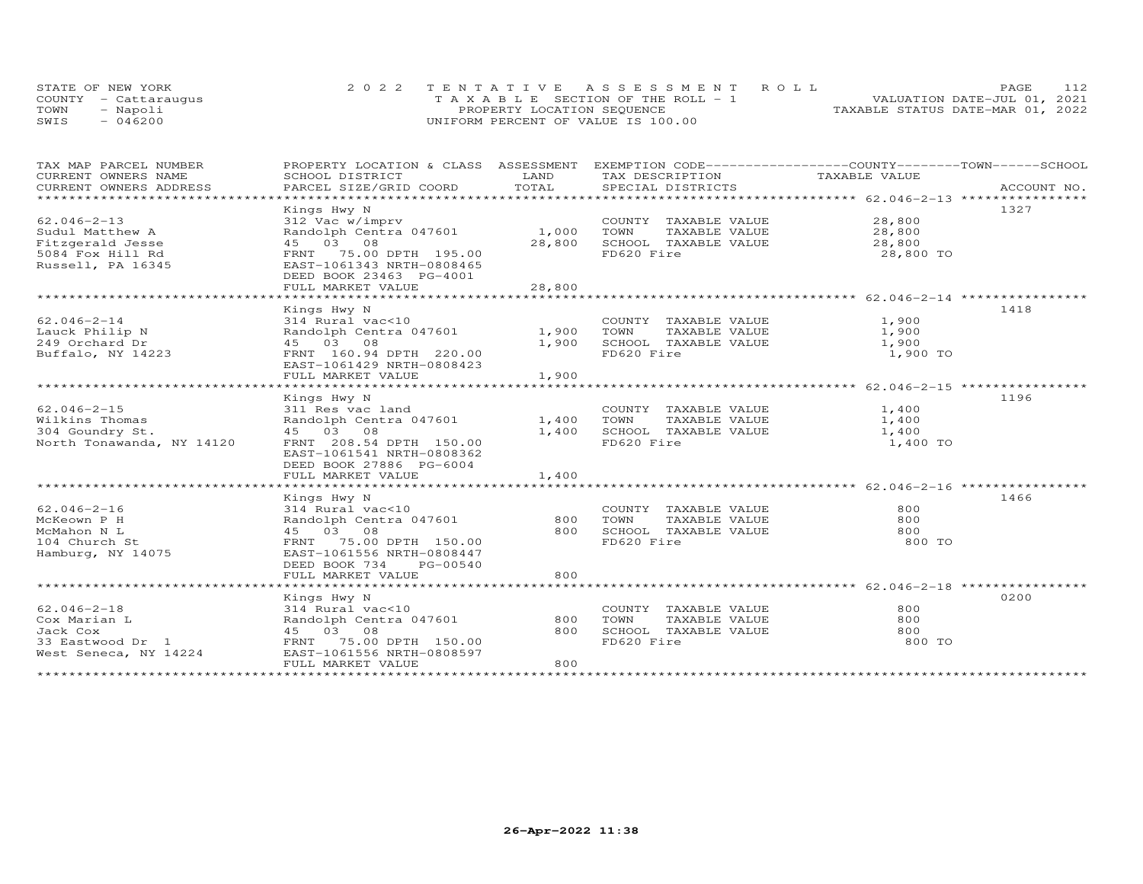| STATE OF NEW YORK    | 2022 TENTATIVE ASSESSMENT ROLL        | 112<br>PAGE.                     |
|----------------------|---------------------------------------|----------------------------------|
| COUNTY - Cattaraugus | T A X A B L E SECTION OF THE ROLL - 1 | VALUATION DATE-JUL 01, 2021      |
| TOWN<br>- Napoli     | PROPERTY LOCATION SEQUENCE            | TAXABLE STATUS DATE-MAR 01, 2022 |
| $-046200$<br>SWIS    | UNIFORM PERCENT OF VALUE IS 100.00    |                                  |

| TAX MAP PARCEL NUMBER     | PROPERTY LOCATION & CLASS ASSESSMENT EXEMPTION CODE----------------COUNTY-------TOWN-----SCHOOL |            |                             |               |      |
|---------------------------|-------------------------------------------------------------------------------------------------|------------|-----------------------------|---------------|------|
| CURRENT OWNERS NAME       | SCHOOL DISTRICT                                                                                 | LAND       | TAX DESCRIPTION             | TAXABLE VALUE |      |
| CURRENT OWNERS ADDRESS    |                                                                                                 | TOTAL      |                             |               |      |
|                           |                                                                                                 |            |                             |               |      |
|                           | Kings Hwy N                                                                                     |            |                             |               | 1327 |
| $62.046 - 2 - 13$         | 312 Vac w/imprv                                                                                 |            | COUNTY TAXABLE VALUE 28,800 |               |      |
| Sudul Matthew A           | Randolph Centra 047601 1,000                                                                    |            | TOWN<br>TAXABLE VALUE       | 28,800        |      |
| Fitzgerald Jesse          | 45 03 08                                                                                        | 28,800     | SCHOOL TAXABLE VALUE        | 28,800        |      |
| 5084 Fox Hill Rd          | FRNT 75.00 DPTH 195.00                                                                          |            | FD620 Fire                  | 28,800 TO     |      |
| Russell, PA 16345         | EAST-1061343 NRTH-0808465                                                                       |            |                             |               |      |
|                           | DEED BOOK 23463 PG-4001                                                                         |            |                             |               |      |
|                           | FULL MARKET VALUE                                                                               | 28,800     |                             |               |      |
|                           |                                                                                                 |            |                             |               |      |
|                           | Kings Hwy N                                                                                     |            |                             |               | 1418 |
| $62.046 - 2 - 14$         | 314 Rural vac<10                                                                                |            | COUNTY TAXABLE VALUE        | 1,900         |      |
| Lauck Philip N            | Randolph Centra 047601                                                                          | 1,900      | TAXABLE VALUE<br>TOWN       | 1,900         |      |
| 249 Orchard Dr            | 45 03 08                                                                                        | 1,900      | SCHOOL TAXABLE VALUE        | 1,900         |      |
| Buffalo, NY 14223         | FRNT 160.94 DPTH 220.00                                                                         |            | FD620 Fire                  | 1,900 TO      |      |
|                           | EAST-1061429 NRTH-0808423                                                                       |            |                             |               |      |
|                           | FULL MARKET VALUE                                                                               | 1,900      |                             |               |      |
|                           |                                                                                                 |            |                             |               |      |
|                           | Kings Hwy N                                                                                     |            |                             |               | 1196 |
| $62.046 - 2 - 15$         | 311 Res vac land                                                                                |            | COUNTY TAXABLE VALUE        | 1,400         |      |
| Wilkins Thomas            | Randolph Centra 047601                                                                          | 1,400 TOWN | TAXABLE VALUE               | 1,400         |      |
| 304 Goundry St.           | 45 03 08                                                                                        | 1,400      | SCHOOL TAXABLE VALUE        | 1,400         |      |
| North Tonawanda, NY 14120 | FRNT 208.54 DPTH 150.00                                                                         |            | FD620 Fire                  | 1,400 TO      |      |
|                           | EAST-1061541 NRTH-0808362                                                                       |            |                             |               |      |
|                           | DEED BOOK 27886 PG-6004                                                                         |            |                             |               |      |
|                           | FULL MARKET VALUE                                                                               | 1,400      |                             |               |      |
|                           |                                                                                                 |            |                             |               |      |
|                           | Kings Hwy N                                                                                     |            |                             |               | 1466 |
| $62.046 - 2 - 16$         | 314 Rural vac<10                                                                                |            | COUNTY TAXABLE VALUE        | 800           |      |
| McKeown P H               | Randolph Centra 047601                                                                          | 800        | TOWN<br>TAXABLE VALUE       | 800           |      |
| McMahon N L               | 45 03 08                                                                                        | 800        | SCHOOL TAXABLE VALUE        | 800           |      |
| 104 Church St             | FRNT 75.00 DPTH 150.00                                                                          |            | FD620 Fire                  | 800 TO        |      |
| Hamburg, NY 14075         | EAST-1061556 NRTH-0808447                                                                       |            |                             |               |      |
|                           | DEED BOOK 734<br>PG-00540                                                                       |            |                             |               |      |
|                           | FULL MARKET VALUE                                                                               | 800        |                             |               |      |
|                           |                                                                                                 |            |                             |               |      |
|                           | Kings Hwy N                                                                                     |            |                             |               | 0200 |
| $62.046 - 2 - 18$         | 314 Rural vac<10                                                                                |            | COUNTY TAXABLE VALUE        | 800           |      |
| Cox Marian L              | Randolph Centra 047601                                                                          | 800        | TAXABLE VALUE<br>TOWN       | 800           |      |
| Jack Cox                  | 45 03 08                                                                                        | 800        | SCHOOL TAXABLE VALUE        | 800           |      |
| 33 Eastwood Dr 1          | FRNT 75.00 DPTH 150.00                                                                          |            | FD620 Fire                  | 800 TO        |      |
| West Seneca, NY 14224     | EAST-1061556 NRTH-0808597                                                                       |            |                             |               |      |
|                           | FULL MARKET VALUE                                                                               | 800        |                             |               |      |
|                           |                                                                                                 |            |                             |               |      |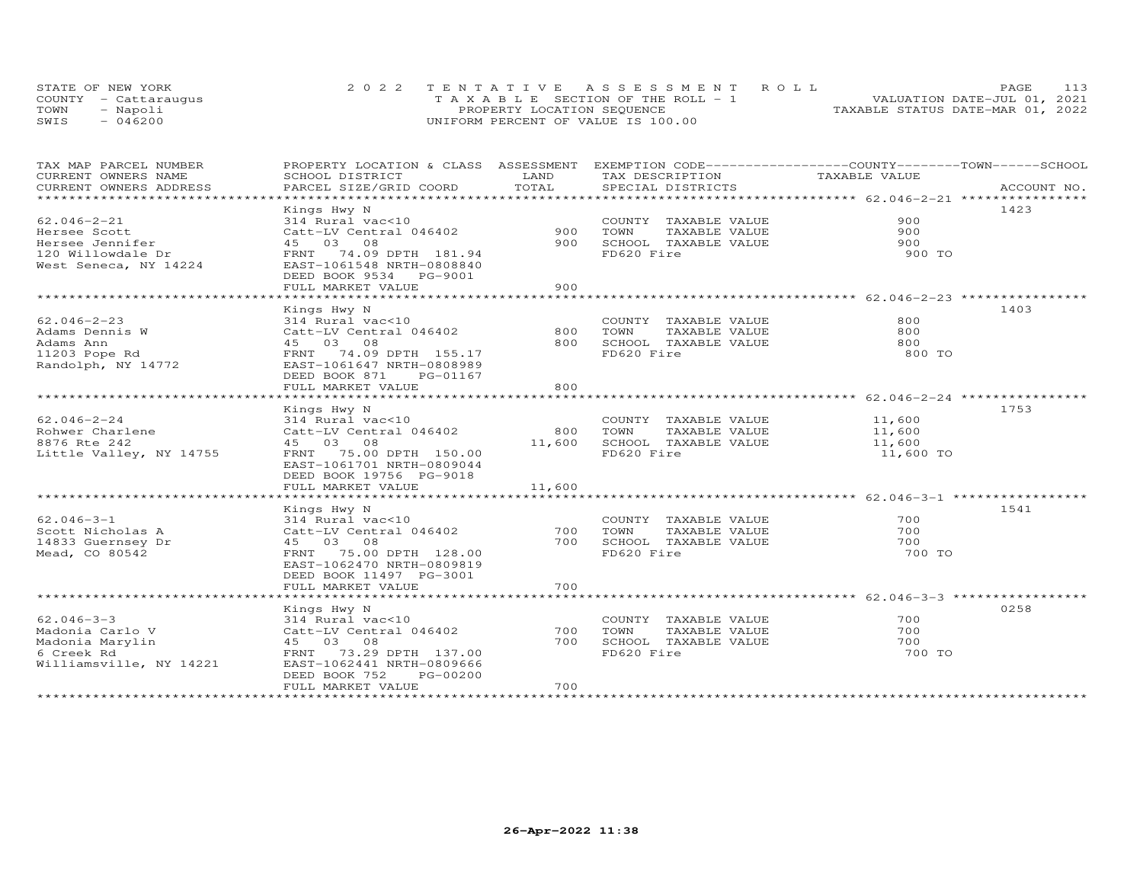| STATE OF NEW YORK    | 2022 TENTATIVE ASSESSMENT ROLL        | 113<br><b>PAGE</b>               |
|----------------------|---------------------------------------|----------------------------------|
| COUNTY - Cattaraugus | T A X A B L E SECTION OF THE ROLL - 1 | VALUATION DATE-JUL 01, 2021      |
| TOWN<br>- Napoli     | PROPERTY LOCATION SEQUENCE            | TAXABLE STATUS DATE-MAR 01, 2022 |
| $-046200$<br>SWIS    | UNIFORM PERCENT OF VALUE IS 100.00    |                                  |

| TAX MAP PARCEL NUMBER          | PROPERTY LOCATION & CLASS ASSESSMENT EXEMPTION CODE----------------COUNTY-------TOWN------SCHOOL |          |                       |               |             |
|--------------------------------|--------------------------------------------------------------------------------------------------|----------|-----------------------|---------------|-------------|
| CURRENT OWNERS NAME            | SCHOOL DISTRICT                                                                                  | LAND     | TAX DESCRIPTION       | TAXABLE VALUE |             |
| CURRENT OWNERS ADDRESS         | PARCEL SIZE/GRID COORD                                                                           | TOTAL    | SPECIAL DISTRICTS     |               | ACCOUNT NO. |
| ****************************** |                                                                                                  |          |                       |               |             |
|                                | Kings Hwy N                                                                                      |          |                       |               | 1423        |
| $62.046 - 2 - 21$              | 314 Rural vac<10                                                                                 |          | COUNTY TAXABLE VALUE  | 900           |             |
| Hersee Scott                   | Catt-LV Central 046402                                                                           | 900      | TOWN<br>TAXABLE VALUE | 900           |             |
| Hersee Jennifer                | 45 03 08                                                                                         | 900      | SCHOOL TAXABLE VALUE  | 900           |             |
| 120 Willowdale Dr              | FRNT 74.09 DPTH 181.94                                                                           |          | FD620 Fire            | 900 TO        |             |
| West Seneca, NY 14224          | EAST-1061548 NRTH-0808840                                                                        |          |                       |               |             |
|                                | DEED BOOK 9534 PG-9001                                                                           |          |                       |               |             |
|                                | FULL MARKET VALUE                                                                                | 900      |                       |               |             |
|                                |                                                                                                  |          |                       |               |             |
|                                | Kings Hwy N                                                                                      |          |                       |               | 1403        |
| $62.046 - 2 - 23$              | 314 Rural vac<10                                                                                 |          | COUNTY TAXABLE VALUE  | 800           |             |
| Adams Dennis W                 | Catt-LV Central 046402                                                                           | 800      | TOWN<br>TAXABLE VALUE | 800           |             |
| Adams Ann                      | 45 03 08                                                                                         | 800      | SCHOOL TAXABLE VALUE  | 800           |             |
| 11203 Pope Rd                  | FRNT 74.09 DPTH 155.17                                                                           |          | FD620 Fire            | 800 TO        |             |
| Randolph, NY 14772             | EAST-1061647 NRTH-0808989                                                                        |          |                       |               |             |
|                                | DEED BOOK 871<br>PG-01167                                                                        |          |                       |               |             |
|                                | FULL MARKET VALUE                                                                                | 800      |                       |               |             |
|                                |                                                                                                  |          |                       |               |             |
|                                | Kings Hwy N                                                                                      |          |                       |               | 1753        |
| 62.046-2-24                    | 314 Rural vac<10                                                                                 |          | COUNTY TAXABLE VALUE  | 11,600        |             |
| Rohwer Charlene                | Catt-LV Central 046402                                                                           | 800      | TOWN<br>TAXABLE VALUE | 11,600        |             |
| 8876 Rte 242                   | 45 03 08                                                                                         | 11,600   | SCHOOL TAXABLE VALUE  | 11,600        |             |
| Little Valley, NY 14755        | FRNT 75.00 DPTH 150.00                                                                           |          | FD620 Fire            | 11,600 TO     |             |
|                                | EAST-1061701 NRTH-0809044                                                                        |          |                       |               |             |
|                                | DEED BOOK 19756 PG-9018                                                                          |          |                       |               |             |
|                                | FULL MARKET VALUE                                                                                | 11,600   |                       |               |             |
|                                |                                                                                                  |          |                       |               |             |
|                                | Kings Hwy N                                                                                      |          |                       |               | 1541        |
| $62.046 - 3 - 1$               | 314 Rural vac<10                                                                                 |          | COUNTY TAXABLE VALUE  | 700           |             |
| Scott Nicholas A               | Catt-LV Central 046402                                                                           | 700 TOWN | TAXABLE VALUE         | 700           |             |
| 14833 Guernsey Dr              | 45 03 08                                                                                         | 700      | SCHOOL TAXABLE VALUE  | 700           |             |
| Mead, CO 80542                 | FRNT 75.00 DPTH 128.00                                                                           |          | FD620 Fire            | 700 TO        |             |
|                                | EAST-1062470 NRTH-0809819                                                                        |          |                       |               |             |
|                                | DEED BOOK 11497 PG-3001                                                                          |          |                       |               |             |
|                                | FULL MARKET VALUE                                                                                | 700      |                       |               |             |
|                                |                                                                                                  |          |                       |               |             |
|                                | Kings Hwy N                                                                                      |          |                       |               | 0258        |
| $62.046 - 3 - 3$               | 314 Rural vac<10                                                                                 |          | COUNTY TAXABLE VALUE  | 700           |             |
| Madonia Carlo V                | Catt-LV Central 046402                                                                           | 700      | TOWN<br>TAXABLE VALUE | 700           |             |
| Madonia Marylin                | 45 03 08                                                                                         | 700      | SCHOOL TAXABLE VALUE  | 700           |             |
| 6 Creek Rd                     | FRNT 73.29 DPTH 137.00                                                                           |          | FD620 Fire            | 700 TO        |             |
| Williamsville, NY 14221        | EAST-1062441 NRTH-0809666                                                                        |          |                       |               |             |
|                                | PG-00200<br>DEED BOOK 752                                                                        |          |                       |               |             |
|                                | FULL MARKET VALUE                                                                                | 700      |                       |               |             |
|                                |                                                                                                  |          |                       |               |             |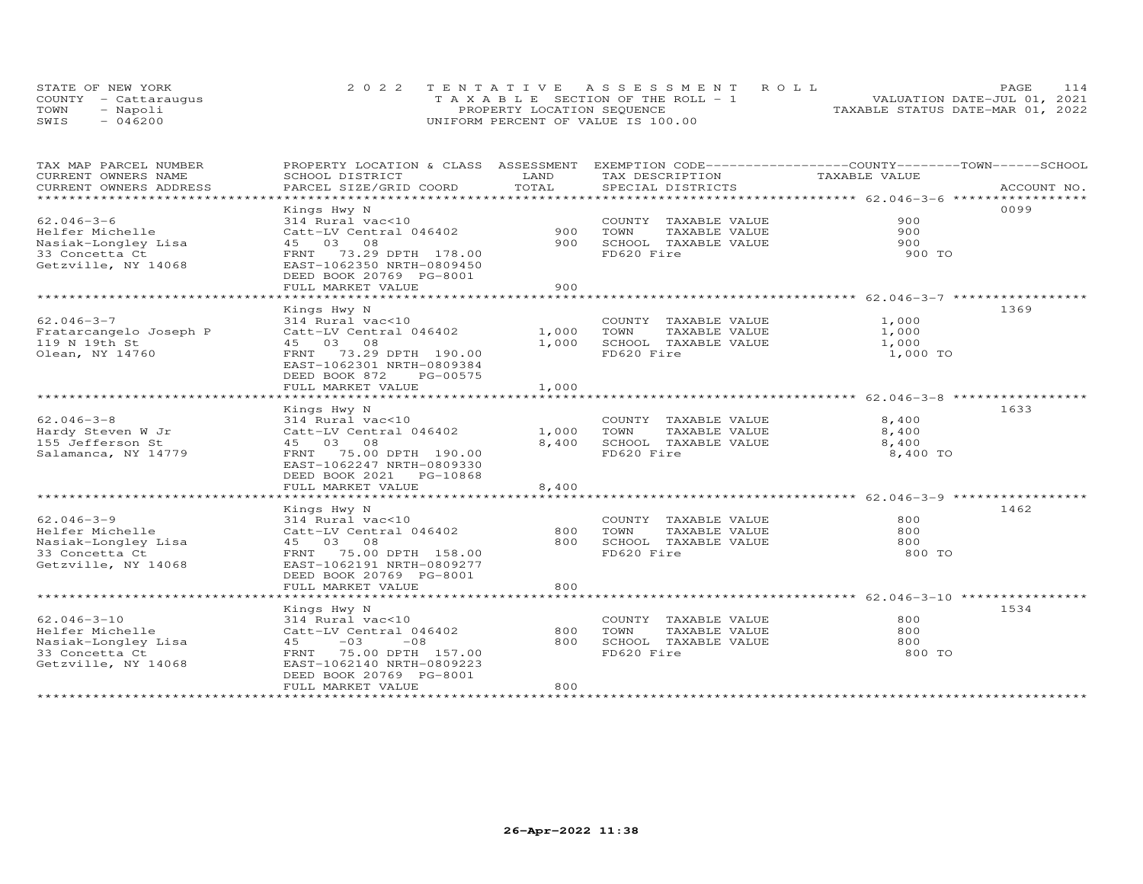|      | STATE OF NEW YORK    | 2022 TENTATIVE ASSESSMENT ROLL          | 114<br>PAGE.                     |
|------|----------------------|-----------------------------------------|----------------------------------|
|      | COUNTY - Cattaraugus | $T A X A B L E$ SECTION OF THE ROLL - 1 | VALUATION DATE-JUL 01, 2021      |
| TOWN | - Napoli             | PROPERTY LOCATION SEQUENCE              | TAXABLE STATUS DATE-MAR 01, 2022 |
| SWIS | $-046200$            | UNIFORM PERCENT OF VALUE IS 100.00      |                                  |

| TAX MAP PARCEL NUMBER   | PROPERTY LOCATION & CLASS ASSESSMENT |              | EXEMPTION CODE-----------------COUNTY-------TOWN------SCHOOL    |               |             |
|-------------------------|--------------------------------------|--------------|-----------------------------------------------------------------|---------------|-------------|
| CURRENT OWNERS NAME     | SCHOOL DISTRICT                      | LAND         | TAX DESCRIPTION                                                 | TAXABLE VALUE |             |
| CURRENT OWNERS ADDRESS  | PARCEL SIZE/GRID COORD               | TOTAL        | SPECIAL DISTRICTS                                               |               | ACCOUNT NO. |
| *********************** |                                      |              |                                                                 |               |             |
|                         | Kings Hwy N                          |              |                                                                 |               | 0099        |
| $62.046 - 3 - 6$        | 314 Rural vac<10                     |              | COUNTY TAXABLE VALUE                                            | 900           |             |
| Helfer Michelle         | Catt-LV Central 046402               | 900          | TOWN<br>TAXABLE VALUE                                           | 900           |             |
| Nasiak-Longley Lisa     | 45 03 08                             | 900          | SCHOOL TAXABLE VALUE                                            | 900           |             |
| 33 Concetta Ct          | FRNT 73.29 DPTH 178.00               |              | FD620 Fire                                                      | 900 TO        |             |
| Getzville, NY 14068     | EAST-1062350 NRTH-0809450            |              |                                                                 |               |             |
|                         | DEED BOOK 20769 PG-8001              |              |                                                                 |               |             |
|                         | FULL MARKET VALUE                    | 900          |                                                                 |               |             |
|                         |                                      |              | ********************************* 62.046-3-7 ****************** |               |             |
|                         | Kings Hwy N                          |              |                                                                 |               | 1369        |
| $62.046 - 3 - 7$        | 314 Rural vac<10                     |              | COUNTY TAXABLE VALUE                                            | 1,000         |             |
| Fratarcangelo Joseph P  | Catt-LV Central 046402               | 1,000        | TOWN<br>TAXABLE VALUE                                           | 1,000         |             |
| 119 N 19th St           | 45 03 08                             | 1,000        | SCHOOL TAXABLE VALUE                                            | 1,000         |             |
| Olean, NY 14760         | FRNT 73.29 DPTH 190.00               |              | FD620 Fire                                                      | 1,000 TO      |             |
|                         | EAST-1062301 NRTH-0809384            |              |                                                                 |               |             |
|                         | DEED BOOK 872<br>PG-00575            |              |                                                                 |               |             |
|                         | FULL MARKET VALUE                    | 1,000        |                                                                 |               |             |
|                         | *************************            | ************ | ********************************* 62.046-3-8 ****************   |               |             |
|                         | Kings Hwy N                          |              |                                                                 |               | 1633        |
| $62.046 - 3 - 8$        | 314 Rural vac<10                     |              | COUNTY TAXABLE VALUE                                            | 8,400         |             |
| Hardy Steven W Jr       | Catt-LV Central 046402               | 1,000        | TOWN<br>TAXABLE VALUE                                           | 8,400         |             |
| 155 Jefferson St        | 45 03 08                             | 8,400        | SCHOOL TAXABLE VALUE                                            | 8,400         |             |
| Salamanca, NY 14779     | FRNT 75.00 DPTH 190.00               |              | FD620 Fire                                                      | 8,400 TO      |             |
|                         | EAST-1062247 NRTH-0809330            |              |                                                                 |               |             |
|                         | DEED BOOK 2021 PG-10868              |              |                                                                 |               |             |
|                         | FULL MARKET VALUE                    | 8,400        |                                                                 |               |             |
|                         | ************************             |              |                                                                 |               |             |
|                         | Kings Hwy N                          |              |                                                                 |               | 1462        |
| $62.046 - 3 - 9$        | 314 Rural vac<10                     |              | COUNTY TAXABLE VALUE                                            | 800           |             |
| Helfer Michelle         | Catt-LV Central 046402               | 800          | TOWN<br>TAXABLE VALUE                                           | 800           |             |
| Nasiak-Longley Lisa     | 45 03 08                             | 800          | SCHOOL TAXABLE VALUE                                            | 800           |             |
| 33 Concetta Ct          | FRNT 75.00 DPTH 158.00               |              | FD620 Fire                                                      | 800 TO        |             |
| Getzville, NY 14068     | EAST-1062191 NRTH-0809277            |              |                                                                 |               |             |
|                         | DEED BOOK 20769 PG-8001              |              |                                                                 |               |             |
|                         | FULL MARKET VALUE                    | 800          |                                                                 |               |             |
|                         |                                      |              |                                                                 |               |             |
|                         | Kings Hwy N                          |              |                                                                 |               | 1534        |
| $62.046 - 3 - 10$       | 314 Rural vac<10                     |              | COUNTY TAXABLE VALUE                                            | 800           |             |
| Helfer Michelle         | Catt-LV Central 046402               | 800          | TOWN<br>TAXABLE VALUE                                           | 800           |             |
| Nasiak-Longley Lisa     | 45<br>$-03$<br>$-08$                 | 800          | SCHOOL TAXABLE VALUE                                            | 800           |             |
| 33 Concetta Ct          | FRNT<br>75.00 DPTH 157.00            |              | FD620 Fire                                                      | 800 TO        |             |
| Getzville, NY 14068     | EAST-1062140 NRTH-0809223            |              |                                                                 |               |             |
|                         | DEED BOOK 20769 PG-8001              |              |                                                                 |               |             |
|                         | FULL MARKET VALUE                    | 800          |                                                                 |               |             |
|                         |                                      |              |                                                                 |               |             |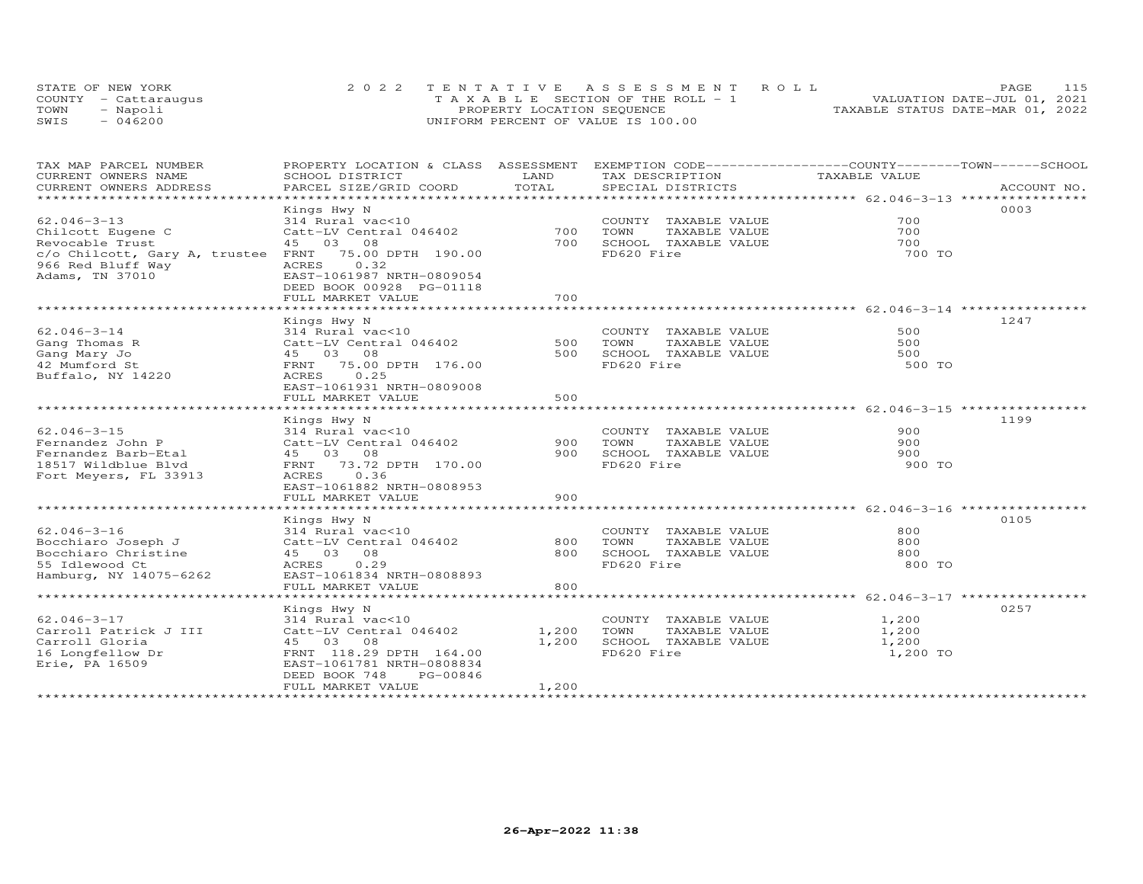|      | STATE OF NEW YORK    | 2022 TENTATIVE ASSESSMENT ROLL        | PAGE.                            |  |
|------|----------------------|---------------------------------------|----------------------------------|--|
|      | COUNTY - Cattaraugus | T A X A B L E SECTION OF THE ROLL - 1 | VALUATION DATE-JUL 01, 2021      |  |
| TOWN | - Napoli             | PROPERTY LOCATION SEQUENCE            | TAXABLE STATUS DATE-MAR 01, 2022 |  |
| SWIS | $-046200$            | UNIFORM PERCENT OF VALUE IS 100.00    |                                  |  |

| TAX MAP PARCEL NUMBER<br>CURRENT OWNERS NAME | PROPERTY LOCATION & CLASS ASSESSMENT<br>SCHOOL DISTRICT                | LAND  | EXEMPTION CODE-----------------COUNTY-------TOWN------SCHOOL<br>TAX DESCRIPTION | TAXABLE VALUE |             |
|----------------------------------------------|------------------------------------------------------------------------|-------|---------------------------------------------------------------------------------|---------------|-------------|
| CURRENT OWNERS ADDRESS                       | PARCEL SIZE/GRID COORD                                                 | TOTAL | SPECIAL DISTRICTS                                                               |               | ACCOUNT NO. |
|                                              |                                                                        |       |                                                                                 |               |             |
| $62.046 - 3 - 13$                            | Kings Hwy N<br>314 Rural vac<10                                        |       | COUNTY TAXABLE VALUE                                                            | 700           | 0003        |
| Chilcott Eugene C                            | Catt-LV Central 046402                                                 | 700   | TOWN<br>TAXABLE VALUE                                                           | 700           |             |
| Revocable Trust                              | 45 03 08                                                               | 700   | SCHOOL TAXABLE VALUE                                                            | 700           |             |
| c/o Chilcott, Gary A, trustee                | FRNT<br>75.00 DPTH 190.00                                              |       | FD620 Fire                                                                      | 700 TO        |             |
| 966 Red Bluff Way<br>Adams, TN 37010         | 0.32<br>ACRES<br>EAST-1061987 NRTH-0809054<br>DEED BOOK 00928 PG-01118 |       |                                                                                 |               |             |
|                                              | FULL MARKET VALUE                                                      | 700   |                                                                                 |               |             |
|                                              |                                                                        |       |                                                                                 |               |             |
|                                              | Kings Hwy N                                                            |       |                                                                                 |               | 1247        |
| $62.046 - 3 - 14$                            | 314 Rural vac<10                                                       |       | COUNTY TAXABLE VALUE                                                            | 500           |             |
| Gang Thomas R                                | Catt-LV Central 046402                                                 | 500   | TOWN<br>TAXABLE VALUE                                                           | 500           |             |
| Gang Mary Jo                                 | 45 03 08                                                               | 500   | SCHOOL TAXABLE VALUE                                                            | 500           |             |
| 42 Mumford St                                | 75.00 DPTH 176.00<br>FRNT                                              |       | FD620 Fire                                                                      | 500 TO        |             |
| Buffalo, NY 14220                            | 0.25<br>ACRES                                                          |       |                                                                                 |               |             |
|                                              | EAST-1061931 NRTH-0809008                                              |       |                                                                                 |               |             |
|                                              | FULL MARKET VALUE                                                      | 500   |                                                                                 |               |             |
|                                              |                                                                        |       | ******************************** 62.046-3-15 **                                 |               |             |
| $62.046 - 3 - 15$                            | Kings Hwy N<br>314 Rural vac<10                                        |       | COUNTY TAXABLE VALUE                                                            | 900           | 1199        |
| Fernandez John P                             | Catt-LV Central 046402                                                 | 900   | TOWN<br>TAXABLE VALUE                                                           | 900           |             |
| Fernandez Barb-Etal                          | 45 03 08                                                               | 900   | SCHOOL TAXABLE VALUE                                                            | 900           |             |
| 18517 Wildblue Blvd                          | 73.72 DPTH 170.00<br>FRNT                                              |       | FD620 Fire                                                                      | 900 TO        |             |
| Fort Meyers, FL 33913                        | 0.36<br>ACRES                                                          |       |                                                                                 |               |             |
|                                              | EAST-1061882 NRTH-0808953                                              |       |                                                                                 |               |             |
|                                              | FULL MARKET VALUE                                                      | 900   |                                                                                 |               |             |
|                                              |                                                                        |       |                                                                                 |               |             |
|                                              | Kings Hwy N                                                            |       |                                                                                 |               | 0105        |
| $62.046 - 3 - 16$                            | 314 Rural vac<10                                                       |       | COUNTY TAXABLE VALUE                                                            | 800           |             |
| Bocchiaro Joseph J                           | Catt-LV Central 046402                                                 | 800   | TOWN<br>TAXABLE VALUE                                                           | 800           |             |
| Bocchiaro Christine                          | 45 03 08                                                               | 800   | SCHOOL TAXABLE VALUE                                                            | 800           |             |
| 55 Idlewood Ct                               | ACRES<br>0.29                                                          |       | FD620 Fire                                                                      | 800 TO        |             |
| Hamburg, NY 14075-6262                       | EAST-1061834 NRTH-0808893                                              | 800   |                                                                                 |               |             |
|                                              | FULL MARKET VALUE                                                      |       |                                                                                 |               |             |
|                                              | Kings Hwy N                                                            |       |                                                                                 |               | 0257        |
| $62.046 - 3 - 17$                            | 314 Rural vac<10                                                       |       | COUNTY TAXABLE VALUE                                                            | 1,200         |             |
| Carroll Patrick J III                        | Catt-LV Central 046402                                                 | 1,200 | TOWN<br>TAXABLE VALUE                                                           | 1,200         |             |
| Carroll Gloria                               | 45<br>03 08                                                            | 1,200 | SCHOOL TAXABLE VALUE                                                            | 1,200         |             |
| 16 Longfellow Dr                             | FRNT 118.29 DPTH 164.00                                                |       | FD620 Fire                                                                      | 1,200 TO      |             |
| Erie, PA 16509                               | EAST-1061781 NRTH-0808834                                              |       |                                                                                 |               |             |
|                                              | DEED BOOK 748<br>PG-00846<br>FULL MARKET VALUE                         | 1,200 |                                                                                 |               |             |
|                                              |                                                                        |       |                                                                                 |               |             |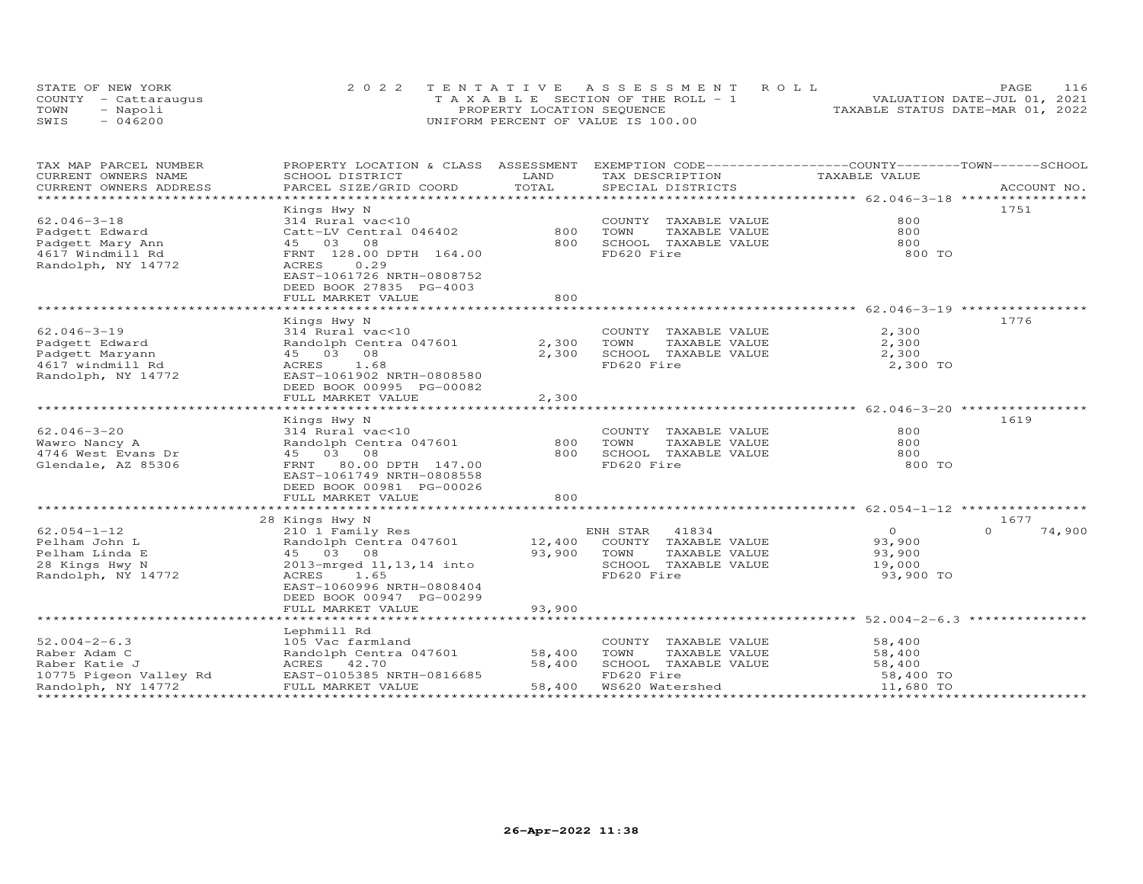| STATE OF NEW YORK    | 2022 TENTATIVE ASSESSMENT ROLL        | <b>PAGE</b>                      | 116 |
|----------------------|---------------------------------------|----------------------------------|-----|
| COUNTY - Cattaraugus | T A X A B L E SECTION OF THE ROLL - 1 | VALUATION DATE-JUL 01, 2021      |     |
| TOWN<br>- Napoli     | PROPERTY LOCATION SEQUENCE            | TAXABLE STATUS DATE-MAR 01, 2022 |     |
| $-046200$<br>SWIS    | UNIFORM PERCENT OF VALUE IS 100.00    |                                  |     |

| TAX MAP PARCEL NUMBER<br>CURRENT OWNERS NAME<br>CURRENT OWNERS ADDRESS | PROPERTY LOCATION & CLASS ASSESSMENT<br>SCHOOL DISTRICT<br>PARCEL SIZE/GRID COORD                | LAND<br>TOTAL | EXEMPTION CODE-----------------COUNTY-------TOWN------SCHOOL<br>TAX DESCRIPTION<br>SPECIAL DISTRICTS | TAXABLE VALUE | ACCOUNT NO.        |
|------------------------------------------------------------------------|--------------------------------------------------------------------------------------------------|---------------|------------------------------------------------------------------------------------------------------|---------------|--------------------|
|                                                                        |                                                                                                  |               |                                                                                                      |               |                    |
|                                                                        | Kings Hwy N                                                                                      |               |                                                                                                      |               | 1751               |
| $62.046 - 3 - 18$                                                      | 314 Rural vac<10                                                                                 |               | COUNTY TAXABLE VALUE                                                                                 | 800           |                    |
| Padgett Edward                                                         | Catt-LV Central 046402                                                                           | 800           | TOWN<br>TAXABLE VALUE                                                                                | 800           |                    |
| Padgett Mary Ann                                                       | 45 03 08                                                                                         | 800           | SCHOOL TAXABLE VALUE                                                                                 | 800           |                    |
| 4617 Windmill Rd<br>Randolph, NY 14772                                 | FRNT 128.00 DPTH 164.00<br>ACRES<br>0.29<br>EAST-1061726 NRTH-0808752<br>DEED BOOK 27835 PG-4003 |               | FD620 Fire                                                                                           | 800 TO        |                    |
|                                                                        | FULL MARKET VALUE                                                                                | 800           |                                                                                                      |               |                    |
|                                                                        |                                                                                                  |               |                                                                                                      |               |                    |
|                                                                        | Kings Hwy N                                                                                      |               |                                                                                                      |               | 1776               |
| $62.046 - 3 - 19$                                                      | 314 Rural vac<10                                                                                 |               | COUNTY TAXABLE VALUE                                                                                 | 2,300         |                    |
| Padgett Edward                                                         | Randolph Centra 047601                                                                           | 2,300         | TOWN<br>TAXABLE VALUE                                                                                | 2,300         |                    |
| Padgett Maryann                                                        | 45 03 08                                                                                         | 2,300         | SCHOOL TAXABLE VALUE                                                                                 | 2,300         |                    |
| 4617 windmill Rd                                                       | 1.68<br>ACRES                                                                                    |               | FD620 Fire                                                                                           | 2,300 TO      |                    |
| Randolph, NY 14772                                                     | EAST-1061902 NRTH-0808580                                                                        |               |                                                                                                      |               |                    |
|                                                                        | DEED BOOK 00995 PG-00082                                                                         |               |                                                                                                      |               |                    |
|                                                                        | FULL MARKET VALUE                                                                                | 2,300         |                                                                                                      |               |                    |
|                                                                        |                                                                                                  |               |                                                                                                      |               |                    |
|                                                                        | Kings Hwy N                                                                                      |               |                                                                                                      |               | 1619               |
| $62.046 - 3 - 20$                                                      | 314 Rural vac<10                                                                                 |               | COUNTY TAXABLE VALUE                                                                                 | 800           |                    |
| Wawro Nancy A                                                          | Randolph Centra 047601                                                                           | 800           | TOWN<br>TAXABLE VALUE                                                                                | 800           |                    |
| 4746 West Evans Dr                                                     | 45 03 08                                                                                         | 800           | SCHOOL TAXABLE VALUE                                                                                 | 800           |                    |
| Glendale, AZ 85306                                                     | FRNT<br>80.00 DPTH 147.00<br>EAST-1061749 NRTH-0808558<br>DEED BOOK 00981 PG-00026               |               | FD620 Fire                                                                                           | 800 TO        |                    |
|                                                                        | FULL MARKET VALUE                                                                                | 800           |                                                                                                      |               |                    |
|                                                                        |                                                                                                  |               |                                                                                                      |               |                    |
|                                                                        | 28 Kings Hwy N                                                                                   |               |                                                                                                      |               | 1677               |
| $62.054 - 1 - 12$                                                      | 210 1 Family Res                                                                                 |               | 41834<br>ENH STAR                                                                                    | $\Omega$      | $\Omega$<br>74,900 |
| Pelham John L                                                          | Randolph Centra 047601                                                                           | 12,400        | COUNTY TAXABLE VALUE                                                                                 | 93,900        |                    |
| Pelham Linda E                                                         | 45 03 08                                                                                         | 93,900        | TOWN<br>TAXABLE VALUE                                                                                | 93,900        |                    |
| 28 Kings Hwy N                                                         | 2013-mrged 11, 13, 14 into                                                                       |               | SCHOOL TAXABLE VALUE                                                                                 | 19,000        |                    |
| Randolph, NY 14772                                                     | ACRES 1.65<br>EAST-1060996 NRTH-0808404<br>DEED BOOK 00947 PG-00299                              |               | FD620 Fire                                                                                           | 93,900 TO     |                    |
|                                                                        | FULL MARKET VALUE                                                                                | 93,900        |                                                                                                      |               |                    |
|                                                                        |                                                                                                  |               |                                                                                                      |               |                    |
|                                                                        | Lephmill Rd                                                                                      |               |                                                                                                      |               |                    |
| $52.004 - 2 - 6.3$                                                     | 105 Vac farmland                                                                                 |               | COUNTY TAXABLE VALUE                                                                                 | 58,400        |                    |
| Raber Adam C                                                           | Randolph Centra 047601                                                                           | 58,400        | TAXABLE VALUE<br>TOWN                                                                                | 58,400        |                    |
| Raber Katie J                                                          | ACRES 42.70                                                                                      | 58,400        | SCHOOL TAXABLE VALUE                                                                                 | 58,400        |                    |
| 10775 Pigeon Valley Rd                                                 | EAST-0105385 NRTH-0816685                                                                        |               | FD620 Fire                                                                                           | 58,400 TO     |                    |
| Randolph, NY 14772                                                     | FULL MARKET VALUE                                                                                | 58,400        | WS620 Watershed                                                                                      | 11,680 TO     |                    |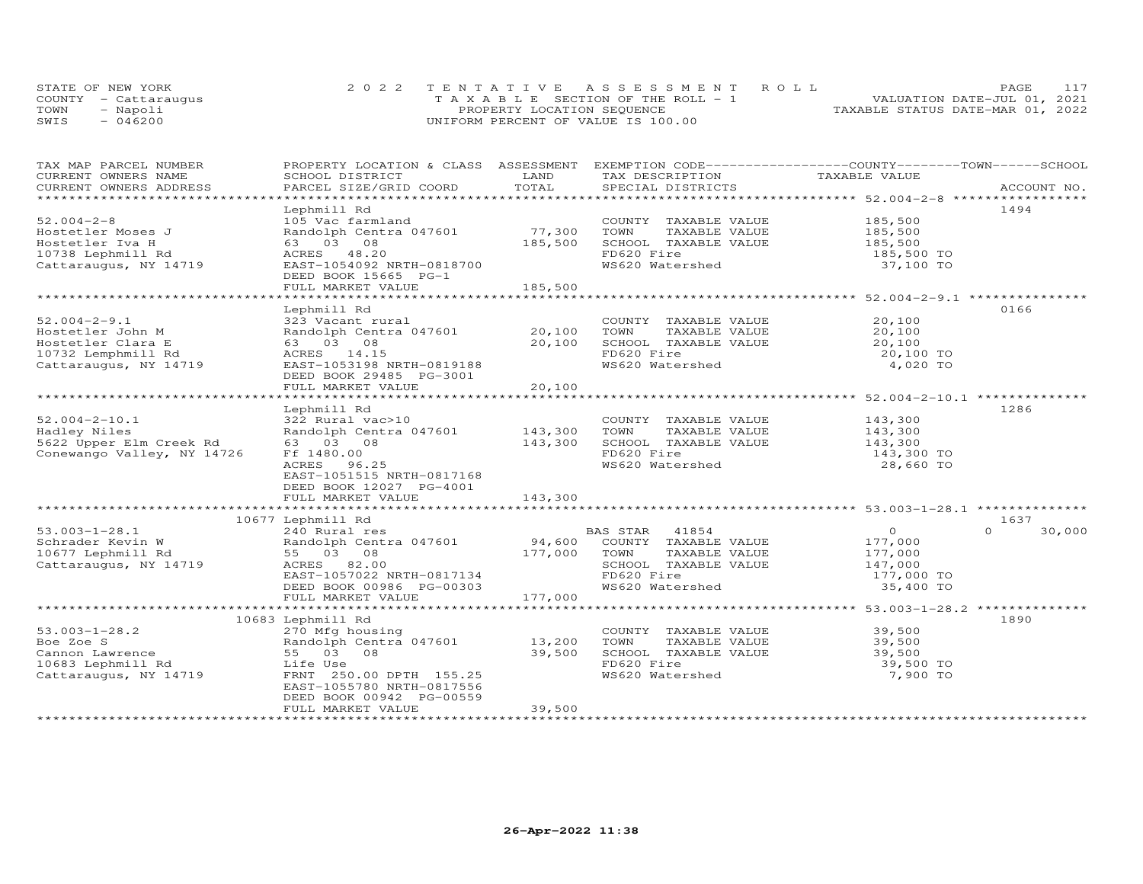|      | STATE OF NEW YORK    | 2022 TENTATIVE ASSESSMENT ROLL        | 117<br>PAGE.                     |
|------|----------------------|---------------------------------------|----------------------------------|
|      | COUNTY - Cattaraugus | T A X A B L E SECTION OF THE ROLL - 1 | VALUATION DATE-JUL 01, 2021      |
| TOWN | - Napoli             | PROPERTY LOCATION SEQUENCE            | TAXABLE STATUS DATE-MAR 01, 2022 |
| SWIS | $-046200$            | UNIFORM PERCENT OF VALUE IS 100.00    |                                  |

| TAX MAP PARCEL NUMBER                      |                                |         | PROPERTY LOCATION & CLASS ASSESSMENT EXEMPTION CODE----------------COUNTY-------TOWN------SCHOOL |                                                     |                    |
|--------------------------------------------|--------------------------------|---------|--------------------------------------------------------------------------------------------------|-----------------------------------------------------|--------------------|
| CURRENT OWNERS NAME                        | SCHOOL DISTRICT                | LAND    | TAX DESCRIPTION                                                                                  | TAXABLE VALUE                                       |                    |
| CURRENT OWNERS ADDRESS<br>**************** | PARCEL SIZE/GRID COORD         | TOTAL   | SPECIAL DISTRICTS                                                                                |                                                     | ACCOUNT NO.        |
|                                            |                                |         |                                                                                                  |                                                     |                    |
|                                            | Lephmill Rd                    |         |                                                                                                  |                                                     | 1494               |
| $52.004 - 2 - 8$                           | 105 Vac farmland               |         | COUNTY TAXABLE VALUE                                                                             | 185,500                                             |                    |
| Hostetler Moses J                          | Randolph Centra 047601         | 77,300  | TOWN<br>TAXABLE VALUE                                                                            | 185,500                                             |                    |
| Hostetler Iva H                            | 63 03 08                       | 185,500 | SCHOOL TAXABLE VALUE                                                                             | 185,500<br>185,500 TO                               |                    |
| 10738 Lephmill Rd                          | ACRES 48.20                    |         | FD620 Fire                                                                                       |                                                     |                    |
| Cattaraugus, NY 14719                      | EAST-1054092 NRTH-0818700      |         | WS620 Watershed                                                                                  | 37,100 TO                                           |                    |
|                                            | DEED BOOK 15665 PG-1           |         |                                                                                                  |                                                     |                    |
|                                            | FULL MARKET VALUE              | 185,500 |                                                                                                  |                                                     |                    |
|                                            |                                |         |                                                                                                  |                                                     |                    |
|                                            | Lephmill Rd                    |         |                                                                                                  |                                                     | 0166               |
| $52.004 - 2 - 9.1$                         | 323 Vacant rural               |         | COUNTY TAXABLE VALUE                                                                             | 20,100                                              |                    |
| Hostetler John M                           | Randolph Centra 047601         | 20,100  | TOWN<br>TAXABLE VALUE                                                                            | 20,100                                              |                    |
| Hostetler Clara E                          | 63 03 08                       | 20,100  | SCHOOL TAXABLE VALUE                                                                             | 20,100                                              |                    |
|                                            | ACRES 14.15                    |         | FD620 Fire                                                                                       |                                                     |                    |
| 10732 Lemphmill Rd                         |                                |         |                                                                                                  | 20,100 TO                                           |                    |
| Cattaraugus, NY 14719                      | EAST-1053198 NRTH-0819188      |         | WS620 Watershed                                                                                  | 4,020 TO                                            |                    |
|                                            | DEED BOOK 29485 PG-3001        |         |                                                                                                  |                                                     |                    |
|                                            | FULL MARKET VALUE              | 20,100  |                                                                                                  |                                                     |                    |
|                                            |                                |         |                                                                                                  | ********************** 52.004-2-10.1 ************** |                    |
|                                            | Lephmill Rd                    |         |                                                                                                  |                                                     | 1286               |
| $52.004 - 2 - 10.1$                        | 322 Rural vac>10               |         | COUNTY TAXABLE VALUE                                                                             | 143,300                                             |                    |
| Hadley Niles                               | Randolph Centra 047601 143,300 |         | TOWN<br>TAXABLE VALUE                                                                            | 143,300<br>143,300                                  |                    |
| 5622 Upper Elm Creek Rd                    | 63 03 08                       | 143,300 | SCHOOL TAXABLE VALUE                                                                             |                                                     |                    |
| Conewango Valley, NY 14726                 | Ff 1480.00                     |         | FD620 Fire                                                                                       | 143,300 TO                                          |                    |
|                                            | ACRES 96.25                    |         | WS620 Watershed                                                                                  | 28,660 TO                                           |                    |
|                                            | EAST-1051515 NRTH-0817168      |         |                                                                                                  |                                                     |                    |
|                                            | DEED BOOK 12027 PG-4001        |         |                                                                                                  |                                                     |                    |
|                                            | FULL MARKET VALUE              | 143,300 |                                                                                                  |                                                     |                    |
|                                            |                                |         |                                                                                                  |                                                     |                    |
|                                            | 10677 Lephmill Rd              |         |                                                                                                  |                                                     | 1637               |
| $53.003 - 1 - 28.1$                        | 240 Rural res                  |         | 41854<br>BAS STAR                                                                                | $\overline{0}$                                      | $\Omega$<br>30,000 |
| Schrader Kevin W                           | Randolph Centra 047601         | 94,600  | COUNTY TAXABLE VALUE                                                                             | 177,000                                             |                    |
| 10677 Lephmill Rd                          | 55 03 08                       | 177,000 | TOWN<br>TAXABLE VALUE                                                                            | 177,000                                             |                    |
|                                            |                                |         |                                                                                                  |                                                     |                    |
| Cattaraugus, NY 14719                      | ACRES 82.00                    |         | SCHOOL TAXABLE VALUE                                                                             | 147,000                                             |                    |
|                                            | EAST-1057022 NRTH-0817134      |         | FD620 Fire                                                                                       | 177,000 TO                                          |                    |
|                                            | DEED BOOK 00986 PG-00303       |         | WS620 Watershed                                                                                  | 35,400 TO                                           |                    |
|                                            | FULL MARKET VALUE              | 177,000 |                                                                                                  |                                                     |                    |
|                                            |                                |         |                                                                                                  |                                                     |                    |
|                                            | 10683 Lephmill Rd              |         |                                                                                                  |                                                     | 1890               |
| $53.003 - 1 - 28.2$                        | 270 Mfg housing                |         | COUNTY TAXABLE VALUE                                                                             | 39,500                                              |                    |
| Boe Zoe S                                  | Randolph Centra 047601 13,200  |         | TOWN<br>TAXABLE VALUE                                                                            | 39,500                                              |                    |
| Cannon Lawrence                            | 55 03<br>08                    | 39,500  | SCHOOL TAXABLE VALUE                                                                             | 39,500                                              |                    |
| 10683 Lephmill Rd                          | Life Use                       |         | FD620 Fire                                                                                       | 39,500 TO                                           |                    |
| Cattaraugus, NY 14719                      | FRNT 250.00 DPTH 155.25        |         | WS620 Watershed                                                                                  | 7,900 TO                                            |                    |
|                                            | EAST-1055780 NRTH-0817556      |         |                                                                                                  |                                                     |                    |
|                                            | DEED BOOK 00942 PG-00559       |         |                                                                                                  |                                                     |                    |
|                                            | FULL MARKET VALUE              | 39,500  |                                                                                                  |                                                     |                    |
|                                            |                                |         |                                                                                                  |                                                     |                    |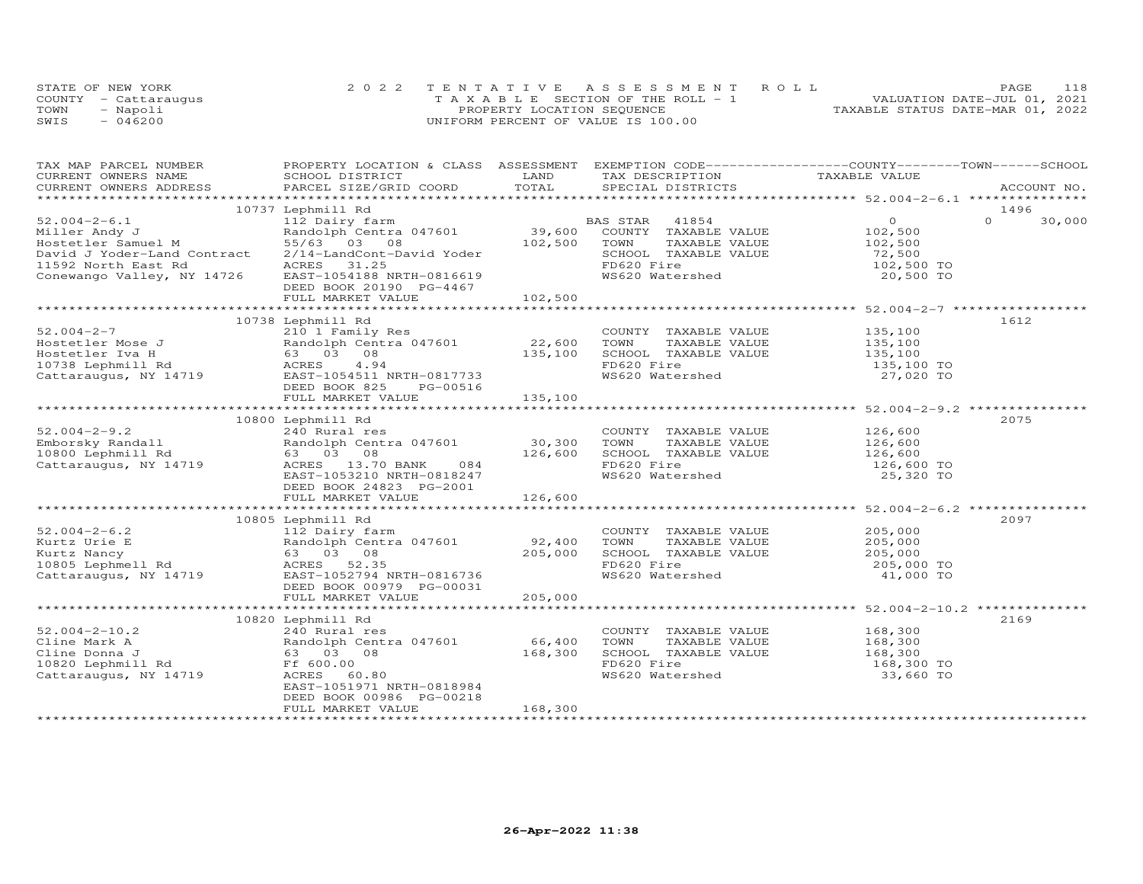|      | STATE OF NEW YORK    | 2022 TENTATIVE ASSESSMENT ROLL        | 118<br>PAGE                      |
|------|----------------------|---------------------------------------|----------------------------------|
|      | COUNTY - Cattaraugus | T A X A B L E SECTION OF THE ROLL - 1 | VALUATION DATE-JUL 01, 2021      |
| TOWN | - Napoli             | PROPERTY LOCATION SEQUENCE            | TAXABLE STATUS DATE-MAR 01, 2022 |
| SWIS | $-046200$            | UNIFORM PERCENT OF VALUE IS 100.00    |                                  |

| TAX MAP PARCEL NUMBER                                                                                                                                                                                                                      | PROPERTY LOCATION & CLASS ASSESSMENT EXEMPTION CODE----------------COUNTY-------TOWN------SCHOOL |         |                                                       |                                                                                                         |                    |
|--------------------------------------------------------------------------------------------------------------------------------------------------------------------------------------------------------------------------------------------|--------------------------------------------------------------------------------------------------|---------|-------------------------------------------------------|---------------------------------------------------------------------------------------------------------|--------------------|
|                                                                                                                                                                                                                                            |                                                                                                  |         |                                                       |                                                                                                         |                    |
|                                                                                                                                                                                                                                            |                                                                                                  |         |                                                       |                                                                                                         |                    |
|                                                                                                                                                                                                                                            |                                                                                                  |         |                                                       |                                                                                                         |                    |
|                                                                                                                                                                                                                                            | 10737 Lephmill Rd                                                                                |         |                                                       |                                                                                                         | 1496               |
| $52.004 - 2 - 6.1$                                                                                                                                                                                                                         | 112 Dairy farm bas STAR 41854 0<br>Randolph Centra 047601 39,600 COUNTY TAXABLE VALUE 102,500    |         |                                                       |                                                                                                         | $\Omega$<br>30,000 |
| Miller Andy J                                                                                                                                                                                                                              |                                                                                                  |         |                                                       |                                                                                                         |                    |
| Hostetler Samuel M                                                                                                                                                                                                                         | 55/63 03 08                                                                                      | 102,500 | TOWN<br>TOWN TAXABLE VALUE<br>SCHOOL TAXABLE VALUE    | 102,500<br>72,500                                                                                       |                    |
| David J Yoder-Land Contract                                                                                                                                                                                                                | 2/14-LandCont-David Yoder                                                                        |         |                                                       |                                                                                                         |                    |
| 11592 North East Rd<br>Conewango Valley, NY 14726                                                                                                                                                                                          | ACRES 31.25                                                                                      |         | FD620 Fire<br>WS620 Watershed                         | 102,500 TO                                                                                              |                    |
|                                                                                                                                                                                                                                            | EAST-1054188 NRTH-0816619                                                                        |         |                                                       | 20,500 TO                                                                                               |                    |
|                                                                                                                                                                                                                                            | DEED BOOK 20190 PG-4467                                                                          |         |                                                       |                                                                                                         |                    |
|                                                                                                                                                                                                                                            | FULL MARKET VALUE                                                                                | 102,500 |                                                       |                                                                                                         |                    |
|                                                                                                                                                                                                                                            | 10738 Lephmill Rd                                                                                |         |                                                       |                                                                                                         | 1612               |
|                                                                                                                                                                                                                                            |                                                                                                  |         |                                                       |                                                                                                         |                    |
|                                                                                                                                                                                                                                            |                                                                                                  |         | COUNTY TAXABLE VALUE                                  |                                                                                                         |                    |
|                                                                                                                                                                                                                                            |                                                                                                  |         |                                                       |                                                                                                         |                    |
|                                                                                                                                                                                                                                            |                                                                                                  |         | ION<br>SCHOOL TAXABLE VALUE<br>EDG20 Fire             | TAXABLE VALUE 135,100<br>TAXABLE VALUE 135,100<br>TAXABLE VALUE 135,100<br>ire 135,100 TO<br>135,100 TO |                    |
|                                                                                                                                                                                                                                            |                                                                                                  |         |                                                       |                                                                                                         |                    |
|                                                                                                                                                                                                                                            |                                                                                                  |         | WS620 Watershed                                       | 27,020 TO                                                                                               |                    |
|                                                                                                                                                                                                                                            |                                                                                                  | 135,100 |                                                       |                                                                                                         |                    |
|                                                                                                                                                                                                                                            |                                                                                                  |         |                                                       | ********************* 52.004-2-9.2 ************                                                         |                    |
|                                                                                                                                                                                                                                            | 10800 Lephmill Rd                                                                                |         |                                                       |                                                                                                         | 2075               |
|                                                                                                                                                                                                                                            |                                                                                                  |         |                                                       |                                                                                                         |                    |
|                                                                                                                                                                                                                                            |                                                                                                  |         |                                                       |                                                                                                         |                    |
|                                                                                                                                                                                                                                            |                                                                                                  |         |                                                       |                                                                                                         |                    |
| 10000 Emborsky Randall 240 Rural res<br>Emborsky Randall 240 Rural res<br>10800 Lephmill Rd 63 03 08<br>Cattaraugus, NY 14719 ACRES 13.70 BANK 084<br>Example 26,600<br>Cattaraugus, NY 14719 ACRES 13.70 BANK 084<br>EXAMPLE VALUE 126,60 |                                                                                                  |         |                                                       |                                                                                                         |                    |
|                                                                                                                                                                                                                                            |                                                                                                  |         |                                                       |                                                                                                         |                    |
|                                                                                                                                                                                                                                            |                                                                                                  |         |                                                       |                                                                                                         |                    |
|                                                                                                                                                                                                                                            |                                                                                                  |         |                                                       |                                                                                                         |                    |
|                                                                                                                                                                                                                                            |                                                                                                  |         |                                                       |                                                                                                         |                    |
|                                                                                                                                                                                                                                            | 10805 Lephmill Rd                                                                                |         |                                                       |                                                                                                         | 2097               |
|                                                                                                                                                                                                                                            |                                                                                                  |         | COUNTY TAXABLE VALUE                                  | 205,000                                                                                                 |                    |
|                                                                                                                                                                                                                                            |                                                                                                  |         |                                                       |                                                                                                         |                    |
|                                                                                                                                                                                                                                            |                                                                                                  |         | TOWN       TAXABLE  VALUE<br>SCHOOL    TAXABLE  VALUE | 205,000<br>205,000                                                                                      |                    |
|                                                                                                                                                                                                                                            |                                                                                                  |         |                                                       |                                                                                                         |                    |
| 52.004-2-6.2<br>Kurtz Urie E Randolph Centra 047601 92,400<br>Kurtz Nancy 63 03 08 205,000<br>10805 Lephmell Rd ACRES 52.35<br>Cattaraugus, NY 14719 EAST-1052794 NRTH-0816736                                                             |                                                                                                  |         | FD620 Fire<br>WS620 Watershed                         | 205,000 TO<br>41,000 TO                                                                                 |                    |
|                                                                                                                                                                                                                                            | DEED BOOK 00979 PG-00031                                                                         |         |                                                       |                                                                                                         |                    |
|                                                                                                                                                                                                                                            | FULL MARKET VALUE                                                                                | 205,000 |                                                       |                                                                                                         |                    |
|                                                                                                                                                                                                                                            |                                                                                                  |         |                                                       |                                                                                                         |                    |
|                                                                                                                                                                                                                                            | 10820 Lephmill Rd                                                                                |         |                                                       |                                                                                                         | 2169               |
| $52.004 - 2 - 10.2$                                                                                                                                                                                                                        | 240 Rural res                                                                                    |         | COUNTY TAXABLE VALUE                                  | 168,300                                                                                                 |                    |
| 52.004-2-10.2<br>Cline Mark A<br>Cline Donna J<br>Cline Donna J<br>168,300<br>Cline Donna J<br>168,300<br>Cattaraugus, NY 14719<br>ACRES 60.80<br>Cattaraugus, NY 14719<br>ACRES 60.80                                                     |                                                                                                  |         | TAXABLE VALUE 168,300<br>TOWN                         |                                                                                                         |                    |
|                                                                                                                                                                                                                                            |                                                                                                  |         | TOWN IRANGLE VALUE<br>SCHOOL TAXABLE VALUE            |                                                                                                         |                    |
|                                                                                                                                                                                                                                            |                                                                                                  |         | FD620 Fire                                            | 168,300<br>168,300 TO                                                                                   |                    |
|                                                                                                                                                                                                                                            |                                                                                                  |         | WS620 Watershed                                       | 33,660 TO                                                                                               |                    |
|                                                                                                                                                                                                                                            | EAST-1051971 NRTH-0818984                                                                        |         |                                                       |                                                                                                         |                    |
|                                                                                                                                                                                                                                            | DEED BOOK 00986 PG-00218                                                                         |         |                                                       |                                                                                                         |                    |
|                                                                                                                                                                                                                                            | FULL MARKET VALUE                                                                                | 168,300 |                                                       |                                                                                                         |                    |
|                                                                                                                                                                                                                                            |                                                                                                  |         |                                                       |                                                                                                         |                    |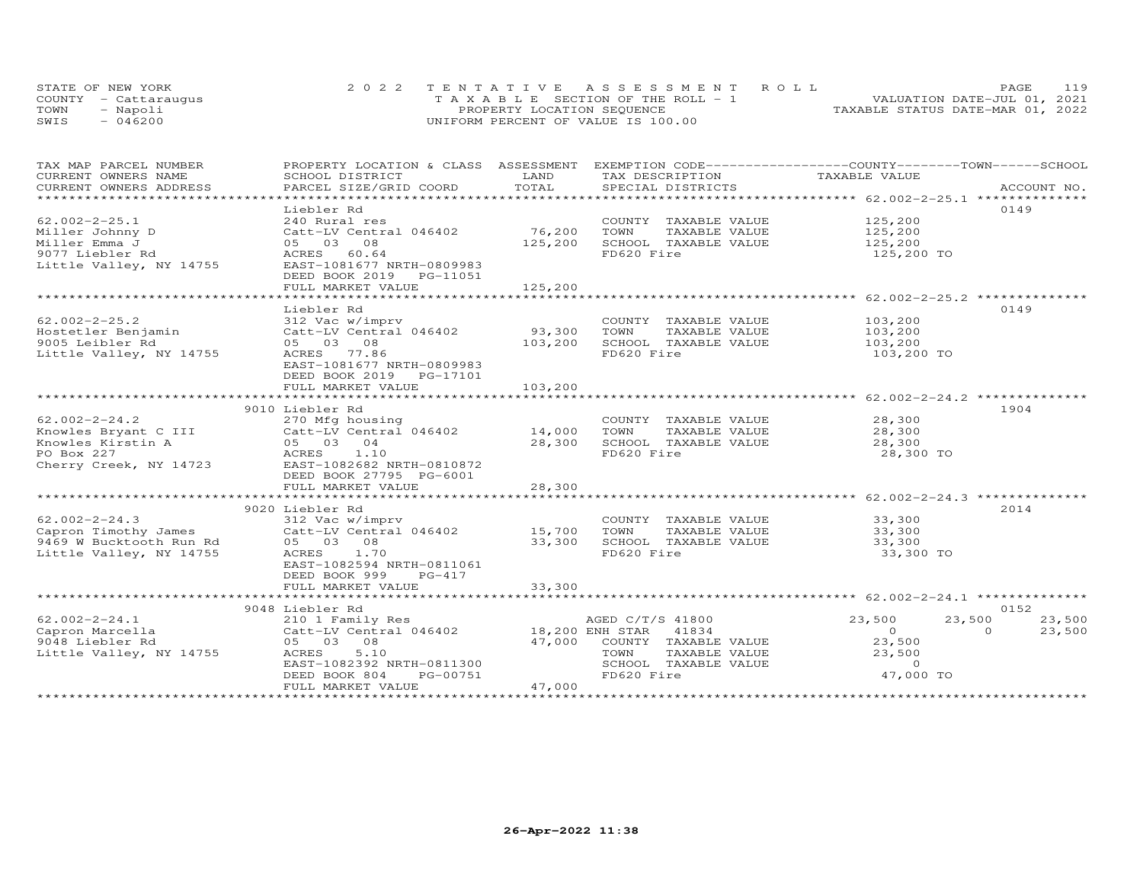|      | STATE OF NEW YORK    | 2022 TENTATIVE ASSESSMENT ROLL        | PAGE.                            | 119 |
|------|----------------------|---------------------------------------|----------------------------------|-----|
|      | COUNTY - Cattarauqus | T A X A B L E SECTION OF THE ROLL - 1 | VALUATION DATE-JUL 01, 2021      |     |
| TOWN | - Napoli             | PROPERTY LOCATION SEQUENCE            | TAXABLE STATUS DATE-MAR 01, 2022 |     |
| SWIS | $-046200$            | UNIFORM PERCENT OF VALUE IS 100.00    |                                  |     |

| TAX MAP PARCEL NUMBER     | PROPERTY LOCATION & CLASS ASSESSMENT |                      | EXEMPTION CODE-----------------COUNTY-------TOWN------SCHOOL |                                               |                    |
|---------------------------|--------------------------------------|----------------------|--------------------------------------------------------------|-----------------------------------------------|--------------------|
| CURRENT OWNERS NAME       | SCHOOL DISTRICT                      | LAND                 | TAX DESCRIPTION                                              | TAXABLE VALUE                                 |                    |
| CURRENT OWNERS ADDRESS    | PARCEL SIZE/GRID COORD               | TOTAL                | SPECIAL DISTRICTS                                            |                                               | ACCOUNT NO.        |
| ************************* |                                      |                      |                                                              |                                               |                    |
|                           | Liebler Rd                           |                      |                                                              |                                               | 0149               |
| $62.002 - 2 - 25.1$       | 240 Rural res                        |                      | COUNTY TAXABLE VALUE                                         | 125,200                                       |                    |
| Miller Johnny D           | Catt-LV Central 046402               | 76,200               | TOWN<br>TAXABLE VALUE                                        | 125,200                                       |                    |
| Miller Emma J             | 05 03<br>08                          | 125,200              | SCHOOL TAXABLE VALUE                                         | 125, 200                                      |                    |
| 9077 Liebler Rd           | ACRES<br>60.64                       |                      | FD620 Fire                                                   | 125,200 TO                                    |                    |
| Little Valley, NY 14755   | EAST-1081677 NRTH-0809983            |                      |                                                              |                                               |                    |
|                           | DEED BOOK 2019 PG-11051              |                      |                                                              |                                               |                    |
|                           | FULL MARKET VALUE                    | 125,200              |                                                              |                                               |                    |
|                           | ***********************              | .                    |                                                              | ********************* 62.002-2-25.2 ********* |                    |
|                           | Liebler Rd                           |                      |                                                              |                                               | 0149               |
| $62.002 - 2 - 25.2$       | 312 Vac w/imprv                      |                      | COUNTY TAXABLE VALUE                                         | 103,200                                       |                    |
| Hostetler Benjamin        | Catt-LV Central 046402               | 93,300               | TOWN<br>TAXABLE VALUE                                        | 103,200                                       |                    |
| 9005 Leibler Rd           | 05 03 08                             | 103,200              | SCHOOL TAXABLE VALUE                                         | 103,200                                       |                    |
| Little Valley, NY 14755   | ACRES 77.86                          |                      | FD620 Fire                                                   | 103,200 TO                                    |                    |
|                           | EAST-1081677 NRTH-0809983            |                      |                                                              |                                               |                    |
|                           | DEED BOOK 2019 PG-17101              |                      |                                                              |                                               |                    |
|                           | FULL MARKET VALUE                    | 103,200              |                                                              |                                               |                    |
|                           |                                      | ******************** |                                                              |                                               |                    |
|                           | 9010 Liebler Rd                      |                      |                                                              |                                               | 1904               |
| $62.002 - 2 - 24.2$       | 270 Mfg housing                      |                      | COUNTY TAXABLE VALUE                                         | 28,300                                        |                    |
| Knowles Bryant C III      | Catt-LV Central 046402               | 14,000               | TOWN<br>TAXABLE VALUE                                        | 28,300                                        |                    |
| Knowles Kirstin A         | 05 03 04                             | 28,300               | SCHOOL TAXABLE VALUE                                         | 28,300                                        |                    |
| PO Box 227                | ACRES<br>1.10                        |                      | FD620 Fire                                                   | 28,300 TO                                     |                    |
| Cherry Creek, NY 14723    | EAST-1082682 NRTH-0810872            |                      |                                                              |                                               |                    |
|                           | DEED BOOK 27795 PG-6001              |                      |                                                              |                                               |                    |
|                           |                                      |                      |                                                              |                                               |                    |
|                           | FULL MARKET VALUE                    | 28,300               |                                                              |                                               |                    |
|                           |                                      |                      |                                                              |                                               |                    |
|                           | 9020 Liebler Rd                      |                      |                                                              |                                               | 2014               |
| $62.002 - 2 - 24.3$       | 312 Vac w/imprv                      |                      | COUNTY TAXABLE VALUE                                         | 33,300                                        |                    |
| Capron Timothy James      | Catt-LV Central 046402               | 15,700               | TOWN<br>TAXABLE VALUE                                        | 33,300                                        |                    |
| 9469 W Bucktooth Run Rd   | 05 03 08                             | 33,300               | SCHOOL TAXABLE VALUE                                         | 33,300                                        |                    |
| Little Valley, NY 14755   | ACRES 1.70                           |                      | FD620 Fire                                                   | 33,300 TO                                     |                    |
|                           | EAST-1082594 NRTH-0811061            |                      |                                                              |                                               |                    |
|                           | DEED BOOK 999<br>PG-417              |                      |                                                              |                                               |                    |
|                           | FULL MARKET VALUE                    | 33,300               |                                                              |                                               |                    |
|                           |                                      |                      |                                                              |                                               |                    |
|                           | 9048 Liebler Rd                      |                      |                                                              |                                               | 0152               |
| $62.002 - 2 - 24.1$       | 210 1 Family Res                     |                      | AGED C/T/S 41800                                             | 23,500<br>23,500                              | 23,500             |
| Capron Marcella           | Catt-LV Central 046402               | 18,200 ENH STAR      | 41834                                                        | $\overline{O}$                                | $\Omega$<br>23,500 |
| 9048 Liebler Rd           | 05 03 08                             | 47,000               | COUNTY TAXABLE VALUE                                         | 23,500                                        |                    |
| Little Valley, NY 14755   | 5.10<br>ACRES                        |                      | TOWN<br>TAXABLE VALUE                                        | 23,500                                        |                    |
|                           | EAST-1082392 NRTH-0811300            |                      | SCHOOL TAXABLE VALUE                                         | $\Omega$                                      |                    |
|                           | PG-00751<br>DEED BOOK 804            |                      | FD620 Fire                                                   | 47,000 TO                                     |                    |
|                           | FULL MARKET VALUE                    | 47,000               |                                                              |                                               |                    |
|                           |                                      |                      |                                                              |                                               |                    |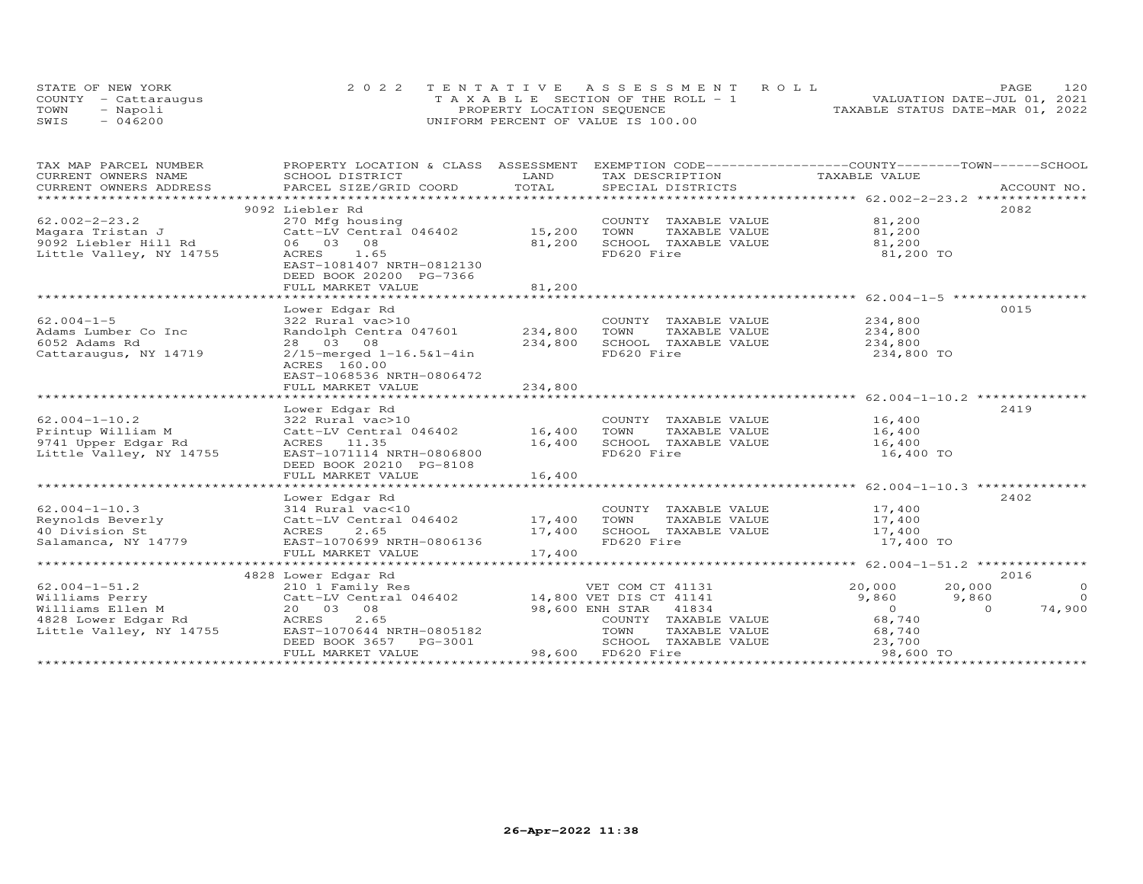|      | STATE OF NEW YORK    | 2022 TENTATIVE ASSESSMENT ROLL        | 120<br>PAGE                      |
|------|----------------------|---------------------------------------|----------------------------------|
|      | COUNTY - Cattarauqus | T A X A B L E SECTION OF THE ROLL - 1 | VALUATION DATE-JUL 01, 2021      |
| TOWN | - Napoli             | PROPERTY LOCATION SEQUENCE            | TAXABLE STATUS DATE-MAR 01, 2022 |
| SWIS | $-046200$            | UNIFORM PERCENT OF VALUE IS 100.00    |                                  |

| TAX MAP PARCEL NUMBER<br>CURRENT OWNERS NAME | PROPERTY LOCATION & CLASS ASSESSMENT<br>SCHOOL DISTRICT            | LAND    | EXEMPTION CODE------------------COUNTY-------TOWN------SCHOOL<br>TAX DESCRIPTION | TAXABLE VALUE                            |                         |
|----------------------------------------------|--------------------------------------------------------------------|---------|----------------------------------------------------------------------------------|------------------------------------------|-------------------------|
| CURRENT OWNERS ADDRESS                       | PARCEL SIZE/GRID COORD                                             | TOTAL   | SPECIAL DISTRICTS                                                                |                                          | ACCOUNT NO.             |
|                                              |                                                                    |         |                                                                                  |                                          |                         |
|                                              | 9092 Liebler Rd                                                    |         |                                                                                  |                                          | 2082                    |
| $62.002 - 2 - 23.2$                          | 270 Mfg housing                                                    |         | COUNTY TAXABLE VALUE                                                             | 81,200                                   |                         |
| Magara Tristan J                             | Catt-LV Central $046402$ 15,200                                    |         | TOWN<br>TAXABLE VALUE                                                            | 81,200                                   |                         |
| 9092 Liebler Hill Rd                         | 06 03 08                                                           | 81,200  | SCHOOL TAXABLE VALUE                                                             | 81,200                                   |                         |
| Little Valley, NY 14755                      | ACRES 1.65<br>EAST-1081407 NRTH-0812130<br>DEED BOOK 20200 PG-7366 |         | FD620 Fire                                                                       | 81,200 TO                                |                         |
|                                              | FULL MARKET VALUE                                                  | 81,200  |                                                                                  |                                          |                         |
|                                              |                                                                    |         |                                                                                  |                                          |                         |
|                                              | Lower Edgar Rd                                                     |         |                                                                                  |                                          | 0015                    |
| $62.004 - 1 - 5$                             | 322 Rural vac>10                                                   |         | COUNTY TAXABLE VALUE                                                             | 234,800                                  |                         |
| Adams Lumber Co Inc                          | Randolph Centra 047601 234,800                                     |         | TOWN<br>TAXABLE VALUE                                                            | 234,800                                  |                         |
| 6052 Adams Rd                                | 28 03 08                                                           | 234,800 | SCHOOL TAXABLE VALUE                                                             | 234,800                                  |                         |
| Cattaraugus, NY 14719                        | $2/15$ -merged $1-16.5$ & $1-4$ in                                 |         | FD620 Fire                                                                       | 234,800 TO                               |                         |
|                                              | ACRES 160.00                                                       |         |                                                                                  |                                          |                         |
|                                              | EAST-1068536 NRTH-0806472                                          |         |                                                                                  |                                          |                         |
|                                              | FULL MARKET VALUE                                                  | 234,800 |                                                                                  |                                          |                         |
|                                              |                                                                    |         |                                                                                  |                                          |                         |
|                                              | Lower Edgar Rd                                                     |         |                                                                                  |                                          | 2419                    |
| $62.004 - 1 - 10.2$                          | 322 Rural vac>10                                                   |         | COUNTY TAXABLE VALUE 16,400                                                      |                                          |                         |
| Printup William M                            | Catt-LV Central 046402                                             | 16,400  | TAXABLE VALUE<br>TOWN                                                            | 16,400                                   |                         |
| 9741 Upper Edgar Rd                          | ACRES 11.35                                                        | 16,400  | SCHOOL TAXABLE VALUE                                                             | 16,400                                   |                         |
| Little Valley, NY 14755                      | EAST-1071114 NRTH-0806800                                          |         | FD620 Fire                                                                       | 16,400 TO                                |                         |
|                                              | DEED BOOK 20210 PG-8108                                            |         |                                                                                  |                                          |                         |
|                                              | FULL MARKET VALUE                                                  | 16,400  |                                                                                  |                                          |                         |
|                                              |                                                                    |         |                                                                                  |                                          |                         |
|                                              | Lower Edgar Rd                                                     |         |                                                                                  |                                          | 2402                    |
| $62.004 - 1 - 10.3$                          | 314 Rural vac<10                                                   |         | COUNTY TAXABLE VALUE                                                             | 17,400                                   |                         |
| Reynolds Beverly                             | Catt-LV Central 046402                                             | 17,400  | TAXABLE VALUE<br>TOWN                                                            | 17,400                                   |                         |
| 40 Division St                               | ACRES<br>2.65                                                      | 17,400  | SCHOOL TAXABLE VALUE                                                             | 17,400                                   |                         |
| Salamanca, NY 14779                          | EAST-1070699 NRTH-0806136                                          |         | FD620 Fire                                                                       | 17,400 TO                                |                         |
|                                              | FULL MARKET VALUE                                                  | 17,400  |                                                                                  |                                          |                         |
|                                              |                                                                    |         |                                                                                  |                                          |                         |
|                                              | 4828 Lower Edgar Rd                                                |         |                                                                                  |                                          | 2016                    |
| $62.004 - 1 - 51.2$                          | 210 1 Family Res                                                   |         | VET COM CT 41131                                                                 | 20,000                                   | $\circ$<br>20,000       |
| Williams Perry                               | Catt-LV Central 046402 14,800 VET DIS CT 41141                     |         |                                                                                  | 9,860                                    | $\overline{a}$<br>9,860 |
| Williams Ellen M                             | 20  03  08                                                         |         | 98,600 ENH STAR 41834                                                            | $\begin{array}{c}\n0 \\ 69\n\end{array}$ | 74,900<br>$\Omega$      |
| 4828 Lower Edgar Rd                          | 2.65<br>ACRES                                                      |         | COUNTY TAXABLE VALUE                                                             |                                          |                         |
| Little Valley, NY 14755                      | EAST-1070644 NRTH-0805182                                          |         | TOWN<br>TAXABLE VALUE                                                            | 68,740                                   |                         |
|                                              | DEED BOOK 3657 PG-3001                                             |         | SCHOOL TAXABLE VALUE                                                             | 23,700                                   |                         |
|                                              | FULL MARKET VALUE                                                  |         | 98,600 FD620 Fire                                                                | 98,600 TO                                |                         |
|                                              |                                                                    |         |                                                                                  |                                          |                         |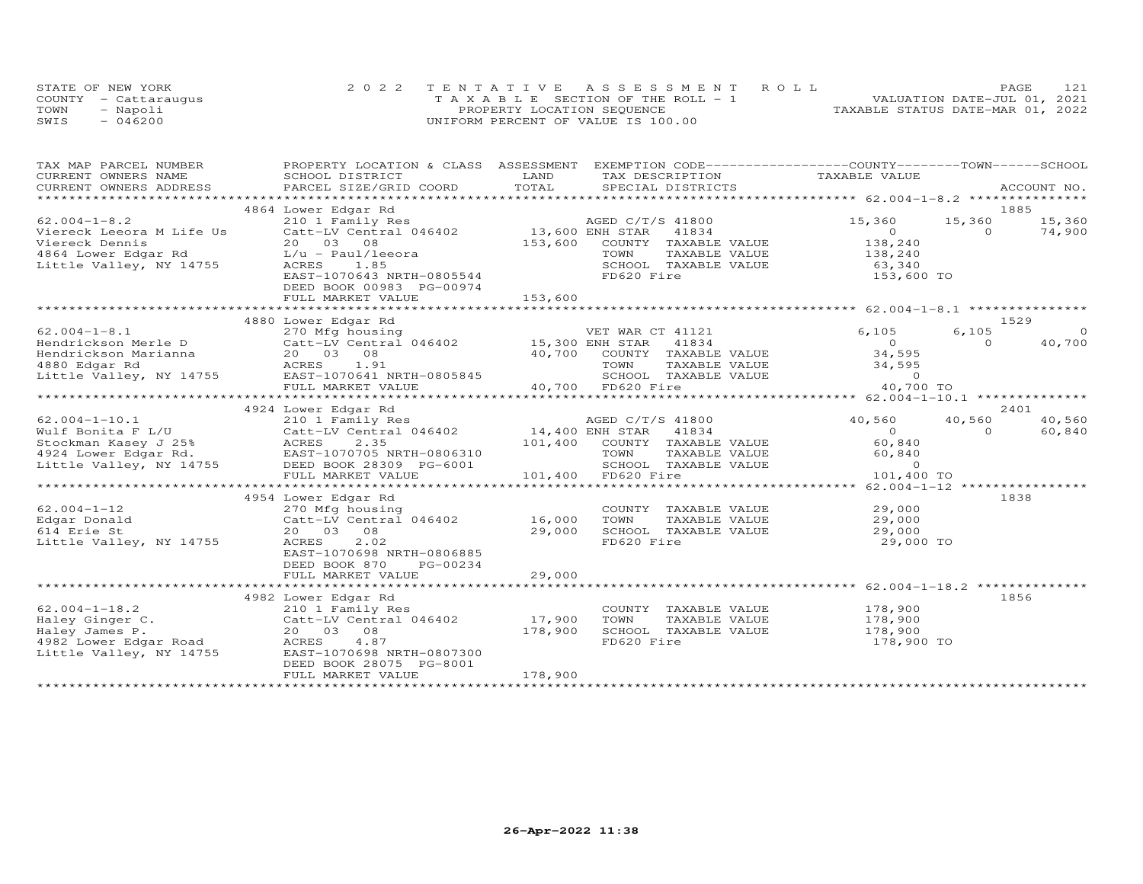|      | STATE OF NEW YORK    | 2022 TENTATIVE ASSESSMENT ROLL        |                                  | PAGE | 121 |
|------|----------------------|---------------------------------------|----------------------------------|------|-----|
|      | COUNTY - Cattaraugus | T A X A B L E SECTION OF THE ROLL - 1 | VALUATION DATE-JUL 01, 2021      |      |     |
| TOWN | - Napoli             | PROPERTY LOCATION SEQUENCE            | TAXABLE STATUS DATE-MAR 01, 2022 |      |     |
| SWIS | $-046200$            | UNIFORM PERCENT OF VALUE IS 100.00    |                                  |      |     |

| TAX MAP PARCEL NUMBER<br>CURRENT OWNERS NAME                                                                                                                                   | PROPERTY LOCATION & CLASS ASSESSMENT EXEMPTION CODE----------------COUNTY-------TOWN------SCHOOL<br>SCHOOL DISTRICT                                                                                                                                                     | LAND                         | TAX DESCRIPTION                                                                                                                                                                          | TAXABLE VALUE                                                                                      |                                      |
|--------------------------------------------------------------------------------------------------------------------------------------------------------------------------------|-------------------------------------------------------------------------------------------------------------------------------------------------------------------------------------------------------------------------------------------------------------------------|------------------------------|------------------------------------------------------------------------------------------------------------------------------------------------------------------------------------------|----------------------------------------------------------------------------------------------------|--------------------------------------|
|                                                                                                                                                                                | .CURRENT OWNERS ADDRESS PARCEL SIZE/GRID COORD TOTAL SPECIAL DISTRICTS ACCOUNT NO ACCOUNT NO ACCOUNT NO ACCOUNT                                                                                                                                                         |                              |                                                                                                                                                                                          |                                                                                                    |                                      |
|                                                                                                                                                                                |                                                                                                                                                                                                                                                                         |                              |                                                                                                                                                                                          |                                                                                                    |                                      |
| $62.004 - 1 - 8.2$<br>Viereck Leeora M Life Us<br>Viereck Dennis<br>vietes bemins<br>4864 Lower Edgar Rd 1984 Lower Edgar Rd 1984 Lower Edgar Rd 1984 Lower Edgar Rd 1985 1.85 | 4864 Lower Edgar Rd<br>210 1 Family Res<br>Catt-LV Central 046402 13,600 ENH STAR 41834<br>20 03 08 153,600 COUNTY TAXABLE VALUE<br>20 03 08<br>EAST-1070643 NRTH-0805544<br>DEED BOOK 00983 PG-00974<br>FULL MARKET VALUE                                              | 153,600                      | AGED C/T/S 41800<br>TAXABLE VALUE<br>TOWN<br>SCHOOL TAXABLE VALUE<br>FD620 Fire                                                                                                          | 15,360<br>15,360<br>$\overline{O}$<br>$\overline{0}$<br>138,240<br>138,240<br>63,340<br>153,600 TO | 1885<br>15,360<br>74,900             |
|                                                                                                                                                                                | 4880 Lower Edgar Rd                                                                                                                                                                                                                                                     |                              |                                                                                                                                                                                          |                                                                                                    | 1529                                 |
| $62.004 - 1 - 8.1$<br>Hendrickson Merle D<br>Hendrickson merie Dender (* 1990)<br>Hendrickson Marianna (* 1920)<br>1880 Edgar Rd (* 1920) ACRES (* 1931)                       | ACRES 1.91<br>Little Valley, NY 14755 EAST-1070641 NRTH-0805845<br>FULL MARKET WALLER WITH                                                                                                                                                                              |                              | 40,700 COUNTY TAXABLE VALUE<br>TOWN TAXABLE VALUE 34,595<br>SCHOOL TAXABLE VALUE 0<br>FD620 Fire 40,700<br>40,700 FD620 Fire                                                             | 6,105<br>6,105<br>$0$<br>34,595<br>40,700 TO                                                       | $\overline{0}$<br>40,700<br>$\Omega$ |
|                                                                                                                                                                                | 4924 Lower Edgar Rd                                                                                                                                                                                                                                                     |                              |                                                                                                                                                                                          |                                                                                                    | 2401                                 |
| $62.004 - 1 - 10.1$                                                                                                                                                            | 210 1 Family Res<br>valified and the contract of the contract of the contract of the contract of the contract of the contract of the contract of the contract of the contract of the contract of the contract of the contract of the contract of t<br>FULL MARKET VALUE | 14,400 ENH STAR              | AGED C/T/S 41800<br>41834<br>101,400 COUNTY TAXABLE VALUE<br>CONNI IAAADEE VALUE<br>TOWN TAXABLE VALUE 60,840<br>SCHOOL TAXABLE VALUE 60,840<br>FD620 Fire 101,400<br>101,400 FD620 Fire | 40,560 40,560<br>$\overline{0}$<br>60,840<br>101,400 TO                                            | 40,560<br>$\Omega$<br>60,840         |
|                                                                                                                                                                                | 4954 Lower Edgar Rd                                                                                                                                                                                                                                                     |                              |                                                                                                                                                                                          |                                                                                                    | 1838                                 |
| $62.004 - 1 - 12$<br>Edgar Donald<br>614 Erie St<br>Little Valley, NY 14755                                                                                                    | 270 Mfg housing<br>Catt-LV Central 046402<br>20  03  08<br>2.02<br>ACRES<br>EAST-1070698 NRTH-0806885<br>DEED BOOK 870<br>PG-00234<br>FULL MARKET VALUE                                                                                                                 | 16,000<br>29,000<br>29,000   | COUNTY TAXABLE VALUE<br>TOWN<br>TAXABLE VALUE<br>TOWN       TAXABLE  VALUE<br>SCHOOL    TAXABLE  VALUE<br>FD620 Fire                                                                     | 29,000<br>29,000<br>29,000<br>29,000 TO                                                            |                                      |
|                                                                                                                                                                                | 4982 Lower Edgar Rd                                                                                                                                                                                                                                                     |                              |                                                                                                                                                                                          |                                                                                                    | 1856                                 |
| $62.004 - 1 - 18.2$<br>Haley Ginger C.<br>Haley James P.<br>4982 Lower Edgar Road<br>Little Valley, NY 14755                                                                   | 210 1 Family Res<br>210 1 Family Res<br>Catt-LV Central 046402<br>20   03   08<br>ACRES<br>4.87<br>EAST-1070698 NRTH-0807300<br>DEED BOOK 28075 PG-8001<br>FULL MARKET VALUE                                                                                            | 17,900<br>178,900<br>178,900 | COUNTY TAXABLE VALUE 178,900<br>TOWN<br>TAXABLE VALUE<br>SCHOOL TAXABLE VALUE<br>FD620 Fire                                                                                              | 178,900<br>178,900<br>178,900 TO                                                                   |                                      |
|                                                                                                                                                                                |                                                                                                                                                                                                                                                                         |                              |                                                                                                                                                                                          |                                                                                                    |                                      |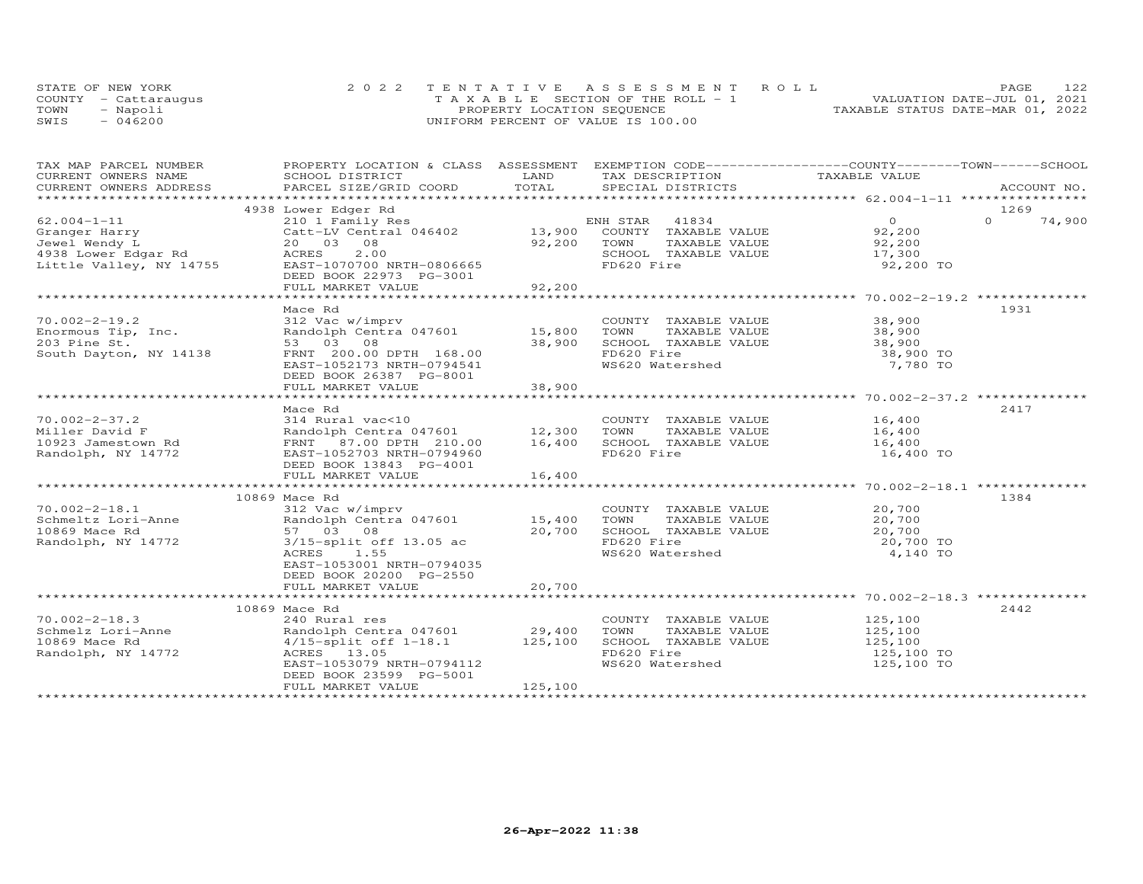| STATE OF NEW YORK    | 2022 TENTATIVE ASSESSMENT ROLL        |                            |  |                                  | PAGE | 122 |
|----------------------|---------------------------------------|----------------------------|--|----------------------------------|------|-----|
| COUNTY - Cattaraugus | T A X A B L E SECTION OF THE ROLL - 1 |                            |  | VALUATION DATE-JUL 01, 2021      |      |     |
| TOWN<br>- Napoli     |                                       | PROPERTY LOCATION SEQUENCE |  | TAXABLE STATUS DATE-MAR 01, 2022 |      |     |
| SWIS<br>$-046200$    | UNIFORM PERCENT OF VALUE IS 100.00    |                            |  |                                  |      |     |

| TAX MAP PARCEL NUMBER                                                                                                                                                                                                                                    | PROPERTY LOCATION & CLASS ASSESSMENT EXEMPTION CODE----------------COUNTY-------TOWN------SCHOOL |             |                               |                       |          |             |
|----------------------------------------------------------------------------------------------------------------------------------------------------------------------------------------------------------------------------------------------------------|--------------------------------------------------------------------------------------------------|-------------|-------------------------------|-----------------------|----------|-------------|
| CURRENT OWNERS NAME                                                                                                                                                                                                                                      | SCHOOL DISTRICT                                                                                  | LAND        | TAX DESCRIPTION TAXABLE VALUE |                       |          |             |
| CURRENT OWNERS ADDRESS<br>.CURRENT OWNERS ADDRESS PARCEL SIZE/GRID COORD TOTAL SPECIAL DISTRICTS ACCOUNT NO ACCOUNT NO ACCOUNT NO ARE A LATA AND RESOLUT A LATA AND MALL SERVERS AND RESOLUT A LATA AND MALL SERVERS AND RESOLUT A LATA AND A LATA AND A |                                                                                                  |             |                               |                       |          | ACCOUNT NO. |
|                                                                                                                                                                                                                                                          |                                                                                                  |             |                               |                       |          |             |
|                                                                                                                                                                                                                                                          | 4938 Lower Edger Rd                                                                              |             |                               |                       | 1269     |             |
| $62.004 - 1 - 11$                                                                                                                                                                                                                                        | 210 1 Family Res                                                                                 |             | ENH STAR 41834                | $\overline{O}$        | $\Omega$ | 74,900      |
| Granger Harry                                                                                                                                                                                                                                            | Catt-LV Central 046402                                                                           |             | 13,900 COUNTY TAXABLE VALUE   | 92,200                |          |             |
| Jewel Wendy L                                                                                                                                                                                                                                            | 20  03  08                                                                                       | 92,200      | TAXABLE VALUE<br>TOWN         | 92,200                |          |             |
| 4938 Lower Edgar Rd<br>Little Valley, NY 14755 EAST-1070700 NRTH-0806665                                                                                                                                                                                 |                                                                                                  |             | SCHOOL TAXABLE VALUE          | 17,300                |          |             |
|                                                                                                                                                                                                                                                          |                                                                                                  |             | FD620 Fire                    | 92,200 TO             |          |             |
|                                                                                                                                                                                                                                                          | DEED BOOK 22973 PG-3001                                                                          |             |                               |                       |          |             |
|                                                                                                                                                                                                                                                          | FULL MARKET VALUE                                                                                | 92,200      |                               |                       |          |             |
|                                                                                                                                                                                                                                                          |                                                                                                  |             |                               |                       |          |             |
|                                                                                                                                                                                                                                                          | Mace Rd                                                                                          |             |                               |                       | 1931     |             |
| $70.002 - 2 - 19.2$                                                                                                                                                                                                                                      | 312 Vac w/imprv<br>312 Vac w/imprv<br>Randolph Centra 047601             15,800                  |             | COUNTY TAXABLE VALUE 38,900   |                       |          |             |
| Enormous Tip, Inc.                                                                                                                                                                                                                                       |                                                                                                  |             | TOWN<br>TAXABLE VALUE         | 38,900                |          |             |
| 203 Pine St.                                                                                                                                                                                                                                             | 53 03 08                                                                                         | 38,900      | SCHOOL TAXABLE VALUE 38,900   |                       |          |             |
| South Dayton, NY 14138                                                                                                                                                                                                                                   | FRNT 200.00 DPTH 168.00                                                                          |             | FD620 Fire                    | 38,900 TO             |          |             |
|                                                                                                                                                                                                                                                          | EAST-1052173 NRTH-0794541                                                                        |             | WS620 Watershed               | 7,780 TO              |          |             |
|                                                                                                                                                                                                                                                          | DEED BOOK 26387 PG-8001                                                                          |             |                               |                       |          |             |
|                                                                                                                                                                                                                                                          | FULL MARKET VALUE                                                                                | 38,900      |                               |                       |          |             |
|                                                                                                                                                                                                                                                          |                                                                                                  |             |                               |                       |          |             |
|                                                                                                                                                                                                                                                          | Mace Rd                                                                                          |             |                               |                       | 2417     |             |
|                                                                                                                                                                                                                                                          |                                                                                                  |             | COUNTY TAXABLE VALUE          | 16,400<br>16,400      |          |             |
|                                                                                                                                                                                                                                                          |                                                                                                  |             | TAXABLE VALUE                 |                       |          |             |
|                                                                                                                                                                                                                                                          |                                                                                                  | 16,400      | SCHOOL TAXABLE VALUE          | 16,400                |          |             |
|                                                                                                                                                                                                                                                          |                                                                                                  |             | FD620 Fire                    | 16,400 TO             |          |             |
| Miller David F<br>10923 Jamestown Rd<br>Randolph, NY 14772<br>Randolph, NY 14772<br>EAST-1052703 NRTH-0794960<br>DEED BOOK 13843 DOM:                                                                                                                    |                                                                                                  |             |                               |                       |          |             |
|                                                                                                                                                                                                                                                          |                                                                                                  | 16,400      |                               |                       |          |             |
|                                                                                                                                                                                                                                                          |                                                                                                  |             |                               |                       |          |             |
|                                                                                                                                                                                                                                                          | 10869 Mace Rd                                                                                    |             |                               |                       | 1384     |             |
| $70.002 - 2 - 18.1$                                                                                                                                                                                                                                      | 312 Vac w/imprv                                                                                  |             | COUNTY TAXABLE VALUE 20,700   |                       |          |             |
| Schmeltz Lori-Anne                                                                                                                                                                                                                                       | Randolph Centra 047601                                                                           | 15,400 TOWN | TAXABLE VALUE                 | 20,700<br>20,700      |          |             |
| 10869 Mace Rd                                                                                                                                                                                                                                            | 57 03 08                                                                                         | 20,700      | SCHOOL TAXABLE VALUE          |                       |          |             |
| Randolph, NY 14772                                                                                                                                                                                                                                       | $3/15$ -split off 13.05 ac                                                                       |             | FD620 Fire                    | 20,700 TO             |          |             |
|                                                                                                                                                                                                                                                          | ACRES 1.55                                                                                       |             | WS620 Watershed               | 4,140 TO              |          |             |
|                                                                                                                                                                                                                                                          | EAST-1053001 NRTH-0794035                                                                        |             |                               |                       |          |             |
|                                                                                                                                                                                                                                                          | DEED BOOK 20200 PG-2550                                                                          |             |                               |                       |          |             |
|                                                                                                                                                                                                                                                          | FULL MARKET VALUE                                                                                | 20,700      |                               |                       |          |             |
|                                                                                                                                                                                                                                                          |                                                                                                  |             |                               |                       |          |             |
|                                                                                                                                                                                                                                                          | 10869 Mace Rd                                                                                    |             |                               |                       | 2442     |             |
| $70.002 - 2 - 18.3$<br>Schmelz Lori-Anne                                                                                                                                                                                                                 | 240 Rural res                                                                                    |             | COUNTY TAXABLE VALUE          | 125,100               |          |             |
|                                                                                                                                                                                                                                                          | Randolph Centra 047601 29,400<br>4/15-split off 1-18.1 125,100<br>20ES 13.05                     |             | TOWN<br>TAXABLE VALUE         | 125,100               |          |             |
| 10869 Mace Rd                                                                                                                                                                                                                                            |                                                                                                  |             | SCHOOL TAXABLE VALUE          | 125,100<br>125,100 TO |          |             |
| Randolph, NY 14772                                                                                                                                                                                                                                       | ACRES 13.05                                                                                      |             | FD620 Fire                    |                       |          |             |
|                                                                                                                                                                                                                                                          | EAST-1053079 NRTH-0794112                                                                        |             | WS620 Watershed               | 125,100 TO            |          |             |
|                                                                                                                                                                                                                                                          | DEED BOOK 23599 PG-5001                                                                          |             |                               |                       |          |             |
|                                                                                                                                                                                                                                                          | FULL MARKET VALUE                                                                                | 125,100     |                               |                       |          |             |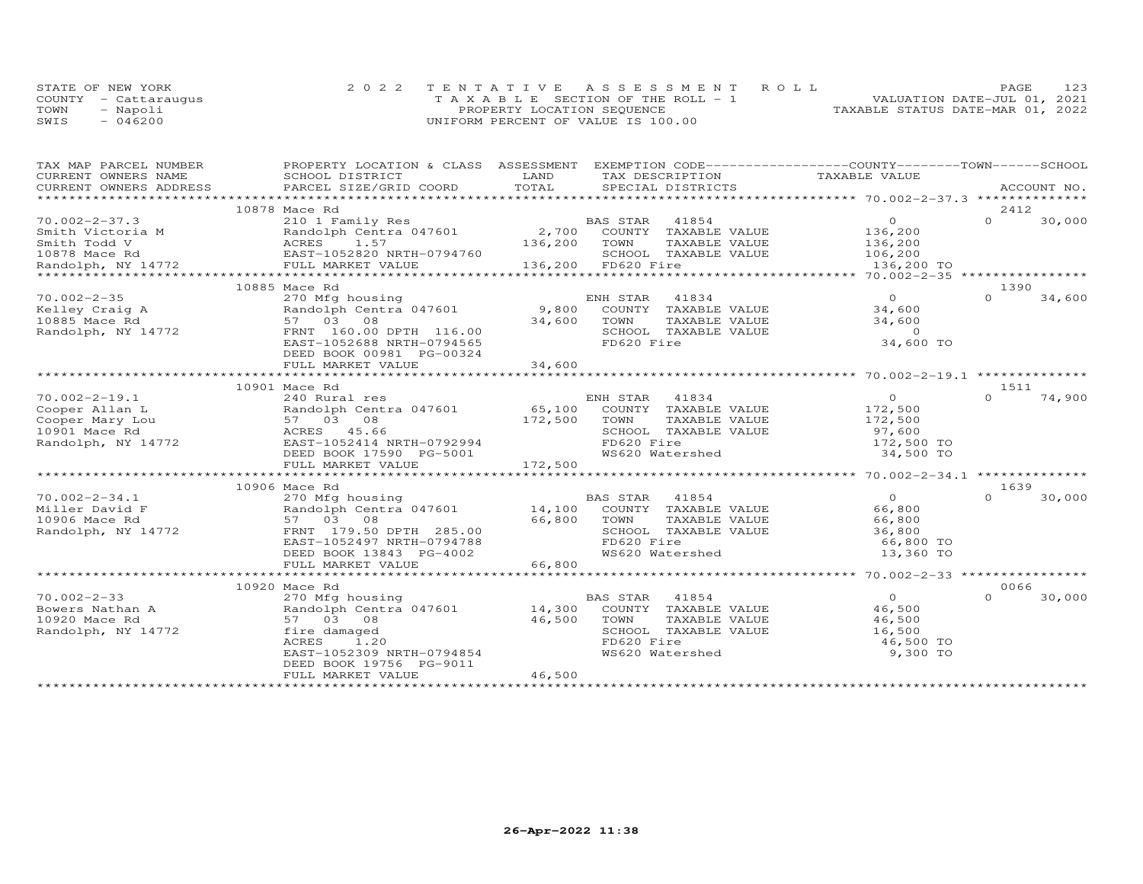| STATE OF NEW YORK    | 2022 TENTATIVE ASSESSMENT ROLL        | 123<br>PAGE.                     |
|----------------------|---------------------------------------|----------------------------------|
| COUNTY - Cattarauqus | T A X A B L E SECTION OF THE ROLL - 1 | VALUATION DATE-JUL 01, 2021      |
| TOWN<br>- Napoli     | PROPERTY LOCATION SEQUENCE            | TAXABLE STATUS DATE-MAR 01, 2022 |
| $-046200$<br>SWIS    | UNIFORM PERCENT OF VALUE IS 100.00    |                                  |

| TAX MAP PARCEL NUMBER               | PROPERTY LOCATION & CLASS ASSESSMENT EXEMPTION CODE----------------COUNTY-------TOWN-----SCHOOL                                                                                                                                     |        |                                                                                                                 |                |                |        |
|-------------------------------------|-------------------------------------------------------------------------------------------------------------------------------------------------------------------------------------------------------------------------------------|--------|-----------------------------------------------------------------------------------------------------------------|----------------|----------------|--------|
| CURRENT OWNERS NAME SCHOOL DISTRICT |                                                                                                                                                                                                                                     |        |                                                                                                                 |                |                |        |
|                                     |                                                                                                                                                                                                                                     |        |                                                                                                                 |                |                |        |
|                                     | 10878 Mace Rd                                                                                                                                                                                                                       |        |                                                                                                                 |                | 2412           |        |
|                                     |                                                                                                                                                                                                                                     |        |                                                                                                                 |                |                |        |
|                                     |                                                                                                                                                                                                                                     |        |                                                                                                                 |                |                |        |
|                                     |                                                                                                                                                                                                                                     |        |                                                                                                                 |                |                |        |
|                                     |                                                                                                                                                                                                                                     |        |                                                                                                                 |                |                |        |
|                                     |                                                                                                                                                                                                                                     |        |                                                                                                                 |                |                |        |
|                                     |                                                                                                                                                                                                                                     |        |                                                                                                                 |                |                |        |
|                                     | 10885 Mace Rd                                                                                                                                                                                                                       |        |                                                                                                                 | $\overline{O}$ | 1390<br>$\cap$ | 34,600 |
|                                     |                                                                                                                                                                                                                                     |        |                                                                                                                 |                |                |        |
|                                     |                                                                                                                                                                                                                                     |        |                                                                                                                 |                |                |        |
|                                     |                                                                                                                                                                                                                                     |        |                                                                                                                 |                |                |        |
|                                     | 0 1002-2-35 270 Mfg housing<br>Welley Craig A Randolph Centra 047601 9,800 COUNTY TAXABLE VALUE 34,600<br>10885 Mace Rd 57 03 08 34,600 TOWN TAXABLE VALUE 34,600<br>Randolph, NY 14772 FRNT 160.00 DPTH 116.00 5CHOOL TAXABLE VALU |        |                                                                                                                 |                |                |        |
|                                     |                                                                                                                                                                                                                                     |        |                                                                                                                 |                |                |        |
|                                     |                                                                                                                                                                                                                                     |        |                                                                                                                 |                |                |        |
|                                     |                                                                                                                                                                                                                                     |        |                                                                                                                 |                |                |        |
|                                     | 10901 Mace Rd                                                                                                                                                                                                                       |        |                                                                                                                 |                | 1511           |        |
|                                     |                                                                                                                                                                                                                                     |        |                                                                                                                 |                | $\Omega$       | 74,900 |
|                                     |                                                                                                                                                                                                                                     |        |                                                                                                                 |                |                |        |
|                                     |                                                                                                                                                                                                                                     |        |                                                                                                                 |                |                |        |
|                                     |                                                                                                                                                                                                                                     |        |                                                                                                                 |                |                |        |
|                                     |                                                                                                                                                                                                                                     |        |                                                                                                                 |                |                |        |
|                                     | Cooper Allan L (240 Rural res ENH STAR 41834<br>Cooper Allan L (240 Randolph Centra 047601 65,100 COUNTY TAXABLE VALUE 172,500<br>Cooper Mary Lou 57 03 08 172,500 TOWN TAXABLE VALUE 172,500<br>10901 Mace Rd ACRES 45.66 SCHOOL T |        | TOWN TAXABLE VALUE 172,500<br>SCHOOL TAXABLE VALUE 97,600<br>FD620 Fire 172,500 TO<br>WS620 Watershed 34,500 TO |                |                |        |
|                                     |                                                                                                                                                                                                                                     |        |                                                                                                                 |                |                |        |
|                                     |                                                                                                                                                                                                                                     |        |                                                                                                                 |                |                |        |
|                                     | 10906 Mace Rd                                                                                                                                                                                                                       |        |                                                                                                                 |                | 1639           |        |
|                                     |                                                                                                                                                                                                                                     |        |                                                                                                                 |                |                |        |
|                                     |                                                                                                                                                                                                                                     |        |                                                                                                                 |                |                |        |
|                                     |                                                                                                                                                                                                                                     |        |                                                                                                                 |                |                |        |
|                                     |                                                                                                                                                                                                                                     |        |                                                                                                                 |                |                |        |
|                                     |                                                                                                                                                                                                                                     |        |                                                                                                                 |                |                |        |
|                                     |                                                                                                                                                                                                                                     |        |                                                                                                                 |                |                |        |
|                                     |                                                                                                                                                                                                                                     |        |                                                                                                                 |                |                |        |
|                                     |                                                                                                                                                                                                                                     |        |                                                                                                                 |                | 0066           |        |
|                                     |                                                                                                                                                                                                                                     |        |                                                                                                                 |                | $\cap$         | 30,000 |
|                                     |                                                                                                                                                                                                                                     |        |                                                                                                                 |                |                |        |
|                                     |                                                                                                                                                                                                                                     |        |                                                                                                                 |                |                |        |
|                                     |                                                                                                                                                                                                                                     |        |                                                                                                                 |                |                |        |
|                                     | fire damaged<br>ACRES 1.20<br>EAST-1052309 NRTH-0794854                                                                                                                                                                             |        | TOWN TAXABLE VALUE 46,500<br>SCHOOL TAXABLE VALUE 46,500<br>FD620 Fire 46,500 TO<br>WS620 Watershed 9,300 TO    |                |                |        |
|                                     |                                                                                                                                                                                                                                     |        |                                                                                                                 |                |                |        |
|                                     | DEED BOOK 19756 PG-9011                                                                                                                                                                                                             |        |                                                                                                                 |                |                |        |
|                                     | FULL MARKET VALUE                                                                                                                                                                                                                   | 46,500 |                                                                                                                 |                |                |        |
|                                     |                                                                                                                                                                                                                                     |        |                                                                                                                 |                |                |        |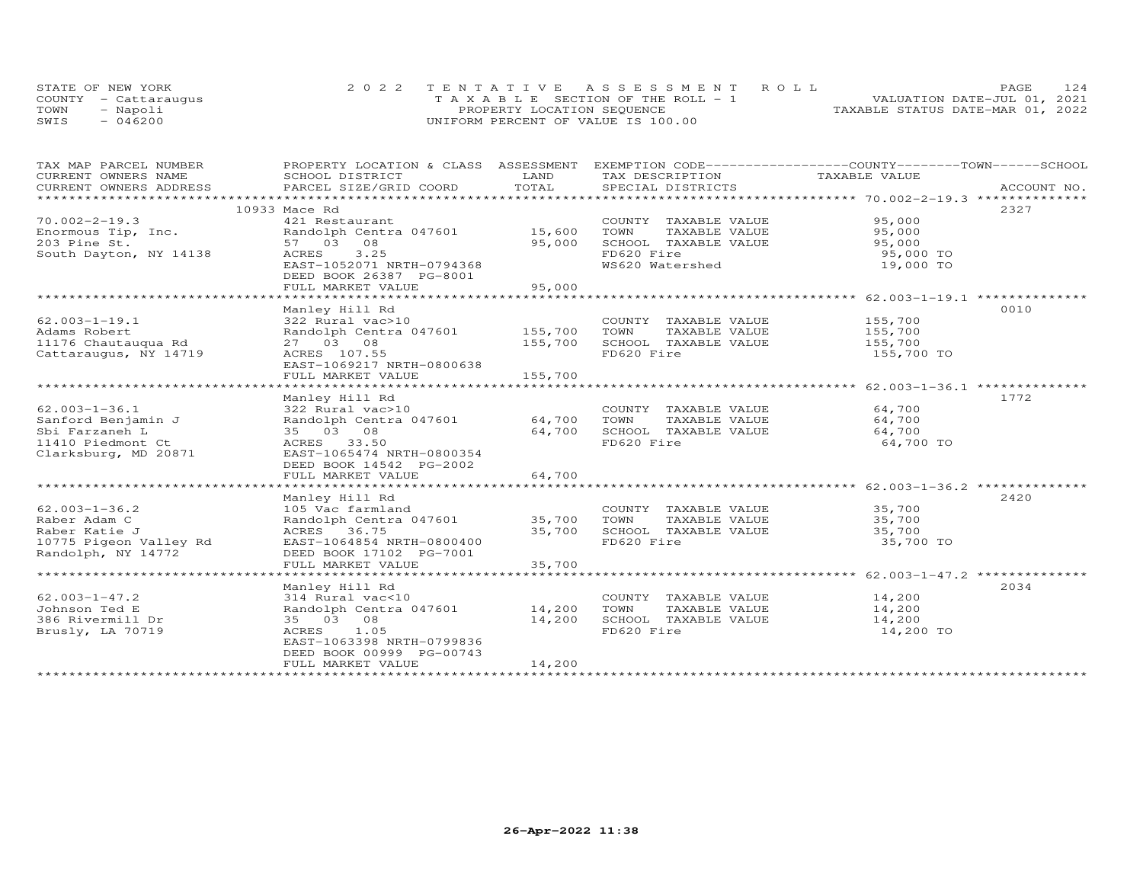|      | STATE OF NEW YORK    | 2022 TENTATIVE ASSESSMENT ROLL        | 124<br>PAGE                      |
|------|----------------------|---------------------------------------|----------------------------------|
|      | COUNTY - Cattaraugus | T A X A B L E SECTION OF THE ROLL - 1 | VALUATION DATE-JUL 01, 2021      |
| TOWN | - Napoli             | PROPERTY LOCATION SEQUENCE            | TAXABLE STATUS DATE-MAR 01, 2022 |
| SWIS | 046200               | UNIFORM PERCENT OF VALUE IS 100.00    |                                  |

| TAX MAP PARCEL NUMBER                                                                                                                                                                                                                                   | PROPERTY LOCATION & CLASS ASSESSMENT EXEMPTION CODE----------------COUNTY-------TOWN------SCHOOL |         |                              |                    |      |
|---------------------------------------------------------------------------------------------------------------------------------------------------------------------------------------------------------------------------------------------------------|--------------------------------------------------------------------------------------------------|---------|------------------------------|--------------------|------|
| CURRENT OWNERS NAME                                                                                                                                                                                                                                     | SCHOOL DISTRICT                                                                                  | LAND    | TAX DESCRIPTION              | TAXABLE VALUE      |      |
| CURRENT OWNERS ADDRESS<br>.CURRENT OWNERS ADDRESS PARCEL SIZE/GRID COORD TOTAL SPECIAL DISTRICTS (ACCOUNT NO ACCOUNT NO ACCOUNT NO ACCOUNT NO ACCOUNT NO A SEXALL SERVERS AND RESELL ASSESS THAT A SEXALL SERVERS AND RESERVE SERVERS AND A SEXALL THAT |                                                                                                  |         |                              |                    |      |
|                                                                                                                                                                                                                                                         |                                                                                                  |         |                              |                    |      |
|                                                                                                                                                                                                                                                         | 10933 Mace Rd                                                                                    |         |                              |                    | 2327 |
| $70.002 - 2 - 19.3$                                                                                                                                                                                                                                     | 421 Restaurant                                                                                   |         | COUNTY TAXABLE VALUE 95,000  |                    |      |
| Enormous Tip, Inc.                                                                                                                                                                                                                                      | Randolph Centra 047601 15,600                                                                    |         | TOWN<br>TAXABLE VALUE        | 95,000             |      |
| 203 Pine St.                                                                                                                                                                                                                                            | 57 03 08                                                                                         | 95,000  | SCHOOL TAXABLE VALUE         | 95,000             |      |
| South Dayton, NY 14138                                                                                                                                                                                                                                  | 3.25<br>ACRES                                                                                    |         | FD620 Fire                   | 95,000 TO          |      |
|                                                                                                                                                                                                                                                         | EAST-1052071 NRTH-0794368                                                                        |         | WS620 Watershed              | 19,000 TO          |      |
|                                                                                                                                                                                                                                                         | DEED BOOK 26387 PG-8001                                                                          |         |                              |                    |      |
|                                                                                                                                                                                                                                                         | FULL MARKET VALUE                                                                                | 95,000  |                              |                    |      |
|                                                                                                                                                                                                                                                         |                                                                                                  |         |                              |                    |      |
|                                                                                                                                                                                                                                                         | Manley Hill Rd                                                                                   |         |                              |                    | 0010 |
| $62.003 - 1 - 19.1$                                                                                                                                                                                                                                     | 322 Rural vac>10                                                                                 |         | COUNTY TAXABLE VALUE         | 155,700<br>155,700 |      |
| Adams Robert                                                                                                                                                                                                                                            | Randolph Centra 047601 155,700                                                                   |         | TOWN<br>TAXABLE VALUE        |                    |      |
| 11176 Chautauqua Rd                                                                                                                                                                                                                                     | 27 03 08                                                                                         | 155,700 | SCHOOL TAXABLE VALUE 155,700 |                    |      |
| Cattaraugus, NY 14719                                                                                                                                                                                                                                   | ACRES 107.55                                                                                     |         | FD620 Fire                   | 155,700 TO         |      |
|                                                                                                                                                                                                                                                         | EAST-1069217 NRTH-0800638                                                                        |         |                              |                    |      |
|                                                                                                                                                                                                                                                         | FULL MARKET VALUE                                                                                | 155,700 |                              |                    |      |
|                                                                                                                                                                                                                                                         |                                                                                                  |         |                              |                    |      |
|                                                                                                                                                                                                                                                         | Manley Hill Rd                                                                                   |         |                              |                    | 1772 |
| $62.003 - 1 - 36.1$                                                                                                                                                                                                                                     | 322 Rural vac>10                                                                                 |         | COUNTY TAXABLE VALUE         | 64,700             |      |
| Sanford Benjamin J                                                                                                                                                                                                                                      | Randolph Centra 047601 64,700                                                                    |         | TAXABLE VALUE<br>TOWN        | 64,700             |      |
| Sbi Farzaneh L                                                                                                                                                                                                                                          | 35 03 08                                                                                         | 64,700  | SCHOOL TAXABLE VALUE         | 64,700             |      |
| 11410 Piedmont Ct                                                                                                                                                                                                                                       | ACRES 33.50                                                                                      |         | FD620 Fire                   | 64,700 TO          |      |
| Clarksburg, MD 20871                                                                                                                                                                                                                                    | EAST-1065474 NRTH-0800354                                                                        |         |                              |                    |      |
|                                                                                                                                                                                                                                                         | DEED BOOK 14542 PG-2002                                                                          |         |                              |                    |      |
|                                                                                                                                                                                                                                                         | FULL MARKET VALUE                                                                                | 64,700  |                              |                    |      |
|                                                                                                                                                                                                                                                         |                                                                                                  |         |                              |                    |      |
|                                                                                                                                                                                                                                                         | Manley Hill Rd                                                                                   |         |                              |                    | 2420 |
| $62.003 - 1 - 36.2$                                                                                                                                                                                                                                     | The Vac farmland COUNT!<br>Randolph Centra 047601 35,700 TOWN                                    |         | COUNTY TAXABLE VALUE         | 35,700             |      |
| Raber Adam C                                                                                                                                                                                                                                            |                                                                                                  |         | TAXABLE VALUE                | 35,700             |      |
| Raber Katie J                                                                                                                                                                                                                                           | ACRES<br>36.75                                                                                   | 35,700  | SCHOOL TAXABLE VALUE 35,700  |                    |      |
| 10775 Pigeon Valley Rd                                                                                                                                                                                                                                  | EAST-1064854 NRTH-0800400                                                                        |         | FD620 Fire                   | 35,700 TO          |      |
| Randolph, NY 14772                                                                                                                                                                                                                                      | DEED BOOK 17102 PG-7001                                                                          |         |                              |                    |      |
|                                                                                                                                                                                                                                                         | FULL MARKET VALUE                                                                                | 35,700  |                              |                    |      |
|                                                                                                                                                                                                                                                         |                                                                                                  |         |                              |                    |      |
|                                                                                                                                                                                                                                                         | Manley Hill Rd                                                                                   |         |                              |                    | 2034 |
| $62.003 - 1 - 47.2$                                                                                                                                                                                                                                     | 314 Rural vac<10                                                                                 |         | COUNTY TAXABLE VALUE         | 14,200             |      |
| Johnson Ted E                                                                                                                                                                                                                                           | Randolph Centra 047601 14,200                                                                    |         | TOWN<br>TAXABLE VALUE        | 14,200             |      |
| 386 Rivermill Dr                                                                                                                                                                                                                                        | 35 03 08                                                                                         | 14,200  | SCHOOL TAXABLE VALUE         | 14,200             |      |
| Brusly, LA 70719                                                                                                                                                                                                                                        | ACRES 1.05                                                                                       |         | FD620 Fire                   | 14,200 TO          |      |
|                                                                                                                                                                                                                                                         | EAST-1063398 NRTH-0799836                                                                        |         |                              |                    |      |
|                                                                                                                                                                                                                                                         | DEED BOOK 00999 PG-00743                                                                         |         |                              |                    |      |
|                                                                                                                                                                                                                                                         | FULL MARKET VALUE                                                                                | 14,200  |                              |                    |      |
|                                                                                                                                                                                                                                                         |                                                                                                  |         |                              |                    |      |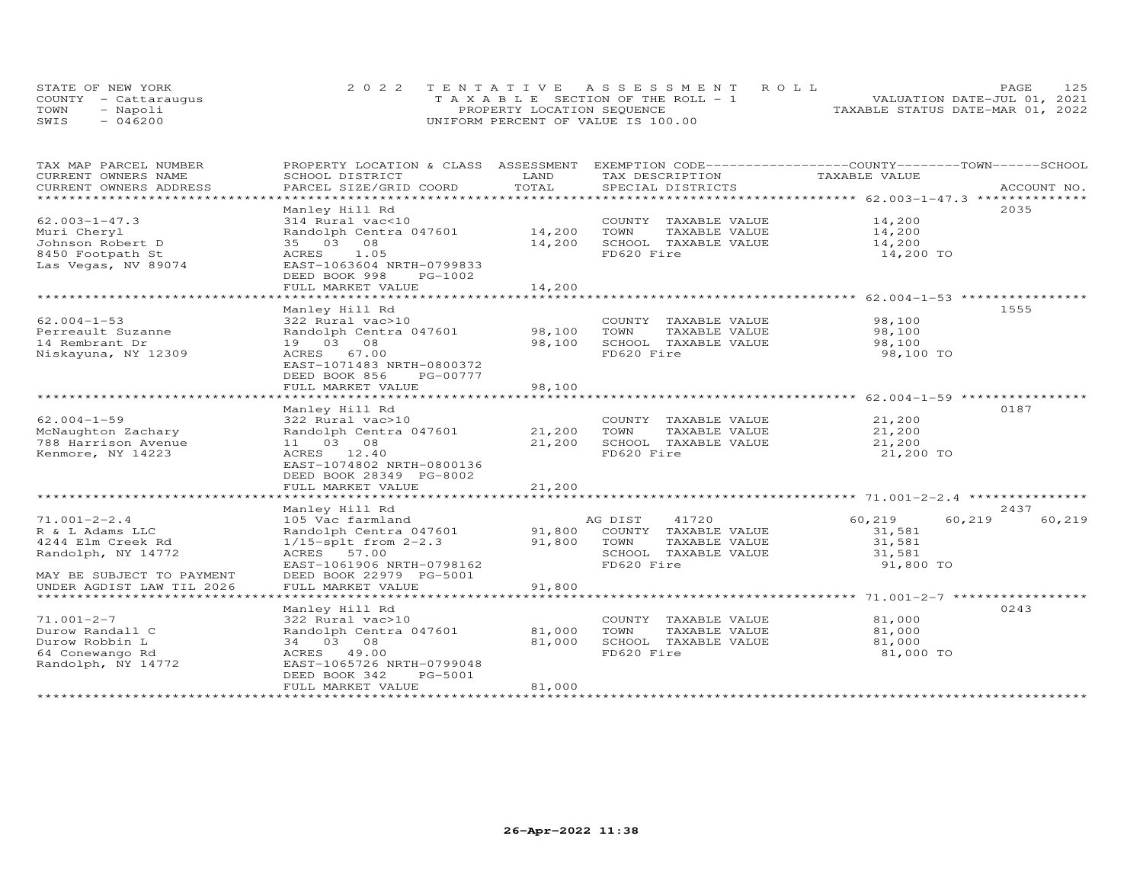|      | STATE OF NEW YORK    | 2022 TENTATIVE ASSESSMENT ROLL        | 125<br><b>PAGE</b>               |
|------|----------------------|---------------------------------------|----------------------------------|
|      | COUNTY - Cattaraugus | T A X A B L E SECTION OF THE ROLL - 1 | VALUATION DATE-JUL 01, 2021      |
| TOWN | - Napoli             | PROPERTY LOCATION SEQUENCE            | TAXABLE STATUS DATE-MAR 01, 2022 |
| SWIS | $-046200$            | UNIFORM PERCENT OF VALUE IS 100.00    |                                  |

| TAX MAP PARCEL NUMBER<br>CURRENT OWNERS NAME | PROPERTY LOCATION & CLASS ASSESSMENT<br>SCHOOL DISTRICT                | LAND          | EXEMPTION CODE------------------COUNTY-------TOWN------SCHOOL<br>TAX DESCRIPTION | TAXABLE VALUE                                                  |                  |
|----------------------------------------------|------------------------------------------------------------------------|---------------|----------------------------------------------------------------------------------|----------------------------------------------------------------|------------------|
| CURRENT OWNERS ADDRESS                       | PARCEL SIZE/GRID COORD                                                 | TOTAL         | SPECIAL DISTRICTS                                                                |                                                                | ACCOUNT NO.      |
| **********************                       |                                                                        |               |                                                                                  |                                                                |                  |
|                                              | Manley Hill Rd                                                         |               |                                                                                  |                                                                | 2035             |
| $62.003 - 1 - 47.3$                          | 314 Rural vac<10                                                       |               | COUNTY TAXABLE VALUE                                                             | 14,200                                                         |                  |
| Muri Cheryl                                  | Randolph Centra 047601                                                 | 14,200        | TOWN<br>TAXABLE VALUE                                                            | 14,200                                                         |                  |
| Johnson Robert D                             | 35 03 08                                                               | 14,200        | SCHOOL TAXABLE VALUE                                                             | 14,200                                                         |                  |
| 8450 Footpath St<br>Las Vegas, NV 89074      | 1.05<br>ACRES<br>EAST-1063604 NRTH-0799833<br>DEED BOOK 998<br>PG-1002 |               | FD620 Fire                                                                       | 14,200 TO                                                      |                  |
|                                              | FULL MARKET VALUE                                                      | 14,200        |                                                                                  |                                                                |                  |
|                                              | ********************                                                   | **********    |                                                                                  |                                                                |                  |
|                                              | Manley Hill Rd                                                         |               |                                                                                  |                                                                | 1555             |
| $62.004 - 1 - 53$                            | 322 Rural vac>10                                                       |               | COUNTY TAXABLE VALUE                                                             | 98,100                                                         |                  |
| Perreault Suzanne                            | Randolph Centra 047601                                                 | 98,100        | TOWN<br>TAXABLE VALUE                                                            | 98,100                                                         |                  |
| 14 Rembrant Dr                               | 19 03 08                                                               | 98,100        | SCHOOL TAXABLE VALUE                                                             | 98,100                                                         |                  |
| Niskayuna, NY 12309                          | ACRES 67.00                                                            |               | FD620 Fire                                                                       | 98,100 TO                                                      |                  |
|                                              | EAST-1071483 NRTH-0800372                                              |               |                                                                                  |                                                                |                  |
|                                              | DEED BOOK 856<br>PG-00777                                              |               |                                                                                  |                                                                |                  |
|                                              | FULL MARKET VALUE                                                      | 98,100        |                                                                                  |                                                                |                  |
|                                              | ************************                                               | ************* |                                                                                  | ******************************** 62.004-1-59 ***************** |                  |
|                                              | Manley Hill Rd                                                         |               |                                                                                  |                                                                | 0187             |
| $62.004 - 1 - 59$                            | 322 Rural vac>10                                                       |               | COUNTY TAXABLE VALUE                                                             | 21,200                                                         |                  |
| McNaughton Zachary                           | Randolph Centra 047601                                                 | 21,200        | TOWN<br>TAXABLE VALUE                                                            | 21,200                                                         |                  |
| 788 Harrison Avenue                          | 11 03 08                                                               | 21,200        | SCHOOL TAXABLE VALUE                                                             | 21,200                                                         |                  |
| Kenmore, NY 14223                            | ACRES 12.40                                                            |               | FD620 Fire                                                                       | 21,200 TO                                                      |                  |
|                                              | EAST-1074802 NRTH-0800136                                              |               |                                                                                  |                                                                |                  |
|                                              | DEED BOOK 28349 PG-8002<br>FULL MARKET VALUE                           |               |                                                                                  |                                                                |                  |
|                                              |                                                                        | 21,200        |                                                                                  |                                                                |                  |
|                                              | Manley Hill Rd                                                         |               |                                                                                  |                                                                | 2437             |
| $71.001 - 2 - 2.4$                           | 105 Vac farmland                                                       |               | AG DIST<br>41720                                                                 | 60,219                                                         | 60,219<br>60,219 |
| R & L Adams LLC                              | Randolph Centra 047601                                                 |               | 91,800 COUNTY TAXABLE VALUE                                                      | 31,581                                                         |                  |
| 4244 Elm Creek Rd                            | $1/15$ -splt from $2-2.3$                                              | 91,800        | TOWN<br>TAXABLE VALUE                                                            | 31,581                                                         |                  |
| Randolph, NY 14772                           | ACRES 57.00                                                            |               | SCHOOL TAXABLE VALUE                                                             | 31,581                                                         |                  |
|                                              | EAST-1061906 NRTH-0798162                                              |               | FD620 Fire                                                                       | 91,800 TO                                                      |                  |
| MAY BE SUBJECT TO PAYMENT                    | DEED BOOK 22979 PG-5001                                                |               |                                                                                  |                                                                |                  |
| UNDER AGDIST LAW TIL 2026                    | FULL MARKET VALUE                                                      | 91,800        |                                                                                  |                                                                |                  |
|                                              |                                                                        |               |                                                                                  |                                                                |                  |
|                                              | Manley Hill Rd                                                         |               |                                                                                  |                                                                | 0243             |
| $71.001 - 2 - 7$                             | 322 Rural vac>10                                                       |               | COUNTY TAXABLE VALUE                                                             | 81,000                                                         |                  |
| Durow Randall C                              | Randolph Centra 047601                                                 | 81,000        | TOWN<br>TAXABLE VALUE                                                            | 81,000                                                         |                  |
| Durow Robbin L                               | 34 03 08                                                               | 81,000        | SCHOOL TAXABLE VALUE                                                             | 81,000                                                         |                  |
| 64 Conewango Rd                              | ACRES 49.00                                                            |               | FD620 Fire                                                                       | 81,000 TO                                                      |                  |
| Randolph, NY 14772                           | EAST-1065726 NRTH-0799048                                              |               |                                                                                  |                                                                |                  |
|                                              | DEED BOOK 342<br>PG-5001                                               |               |                                                                                  |                                                                |                  |
|                                              | FULL MARKET VALUE                                                      | 81,000        |                                                                                  |                                                                |                  |
|                                              |                                                                        |               |                                                                                  |                                                                |                  |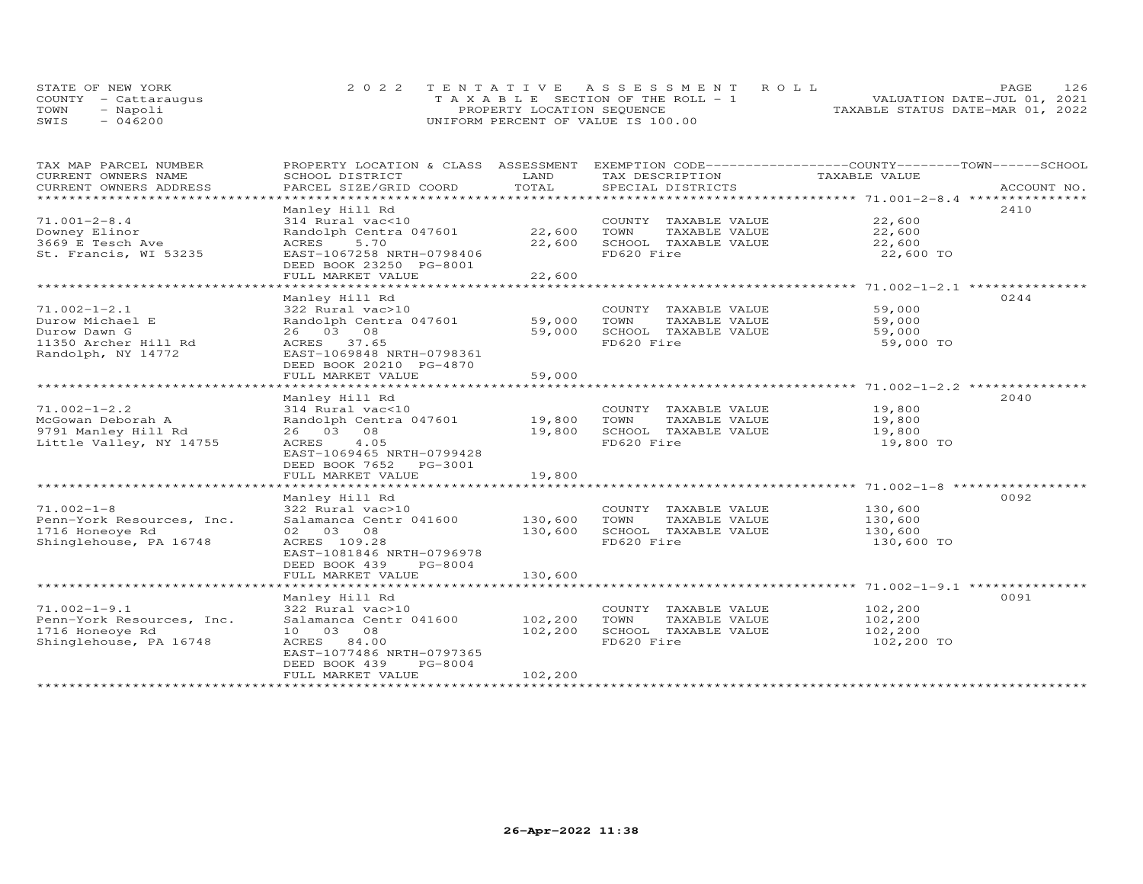|      | STATE OF NEW YORK    | 2022 TENTATIVE ASSESSMENT ROLL                |                                  | PAGE.                       | 126 |
|------|----------------------|-----------------------------------------------|----------------------------------|-----------------------------|-----|
|      | COUNTY - Cattaraugus | $T A X A B I F S E C T I ON OF THE RO I. - 1$ |                                  | VALUATION DATE-JUL 01, 2021 |     |
| TOWN | - Napoli             | PROPERTY LOCATION SEQUENCE                    | TAXABLE STATUS DATE-MAR 01, 2022 |                             |     |
| SWIS | $-046200$            | UNIFORM PERCENT OF VALUE IS 100.00            |                                  |                             |     |

| TAX MAP PARCEL NUMBER<br>CURRENT OWNERS NAME    | PROPERTY LOCATION & CLASS ASSESSMENT EXEMPTION CODE----------------COUNTY-------TOWN-----SCHOOL<br>SCHOOL DISTRICT | LAND    | TAX DESCRIPTION                               | TAXABLE VALUE |             |
|-------------------------------------------------|--------------------------------------------------------------------------------------------------------------------|---------|-----------------------------------------------|---------------|-------------|
| CURRENT OWNERS ADDRESS<br>********************* | PARCEL SIZE/GRID COORD                                                                                             | TOTAL   | SPECIAL DISTRICTS                             |               | ACCOUNT NO. |
| $71.001 - 2 - 8.4$                              | Manley Hill Rd<br>314 Rural vac<10                                                                                 |         |                                               | 22,600        | 2410        |
| Downey Elinor                                   | Randolph Centra 047601                                                                                             | 22,600  | COUNTY TAXABLE VALUE<br>TOWN<br>TAXABLE VALUE | 22,600        |             |
| 3669 E Tesch Ave                                | 5.70<br>ACRES                                                                                                      | 22,600  | SCHOOL TAXABLE VALUE                          | 22,600        |             |
| St. Francis, WI 53235                           | EAST-1067258 NRTH-0798406<br>DEED BOOK 23250 PG-8001                                                               |         | FD620 Fire                                    | 22,600 TO     |             |
|                                                 | FULL MARKET VALUE                                                                                                  | 22,600  |                                               |               |             |
|                                                 | Manley Hill Rd                                                                                                     |         |                                               |               | 0244        |
| $71.002 - 1 - 2.1$                              | 322 Rural vac>10                                                                                                   |         | COUNTY TAXABLE VALUE                          | 59,000        |             |
| Durow Michael E                                 | Randolph Centra 047601                                                                                             | 59,000  | TOWN<br>TAXABLE VALUE                         | 59,000        |             |
| Durow Dawn G                                    | 26 03 08                                                                                                           | 59,000  | SCHOOL TAXABLE VALUE                          | 59,000        |             |
| 11350 Archer Hill Rd<br>Randolph, NY 14772      | ACRES 37.65<br>EAST-1069848 NRTH-0798361<br>DEED BOOK 20210 PG-4870                                                |         | FD620 Fire                                    | 59,000 TO     |             |
|                                                 | FULL MARKET VALUE                                                                                                  | 59,000  |                                               |               |             |
|                                                 |                                                                                                                    |         |                                               |               |             |
| $71.002 - 1 - 2.2$                              | Manley Hill Rd<br>314 Rural vac<10                                                                                 |         | COUNTY TAXABLE VALUE                          | 19,800        | 2040        |
| McGowan Deborah A                               | Randolph Centra 047601                                                                                             | 19,800  | TAXABLE VALUE<br>TOWN                         | 19,800        |             |
| 9791 Manley Hill Rd                             | 26 03 08                                                                                                           | 19,800  | SCHOOL TAXABLE VALUE                          | 19,800        |             |
| Little Valley, NY 14755                         | 4.05<br>ACRES                                                                                                      |         | FD620 Fire                                    | 19,800 TO     |             |
|                                                 | EAST-1069465 NRTH-0799428                                                                                          |         |                                               |               |             |
|                                                 | DEED BOOK 7652<br>PG-3001<br>FULL MARKET VALUE                                                                     | 19,800  |                                               |               |             |
|                                                 |                                                                                                                    |         |                                               |               |             |
|                                                 | Manley Hill Rd                                                                                                     |         |                                               |               | 0092        |
| $71.002 - 1 - 8$                                | 322 Rural vac>10                                                                                                   |         | COUNTY TAXABLE VALUE                          | 130,600       |             |
| Penn-York Resources, Inc.                       | Salamanca Centr 041600                                                                                             | 130,600 | TOWN<br>TAXABLE VALUE                         | 130,600       |             |
| 1716 Honeoye Rd                                 | 02 03 08                                                                                                           | 130,600 | SCHOOL TAXABLE VALUE                          | 130,600       |             |
| Shinglehouse, PA 16748                          | ACRES 109.28                                                                                                       |         | FD620 Fire                                    | 130,600 TO    |             |
|                                                 | EAST-1081846 NRTH-0796978                                                                                          |         |                                               |               |             |
|                                                 | PG-8004<br>DEED BOOK 439<br>FULL MARKET VALUE                                                                      | 130,600 |                                               |               |             |
|                                                 |                                                                                                                    |         |                                               |               |             |
|                                                 | Manley Hill Rd                                                                                                     |         |                                               |               | 0091        |
| $71.002 - 1 - 9.1$                              | 322 Rural vac>10                                                                                                   |         | COUNTY TAXABLE VALUE                          | 102,200       |             |
| Penn-York Resources, Inc.                       | Salamanca Centr 041600                                                                                             | 102,200 | TOWN<br>TAXABLE VALUE                         | 102,200       |             |
| 1716 Honeoye Rd                                 | 10 03 08                                                                                                           | 102,200 | SCHOOL TAXABLE VALUE                          | 102,200       |             |
| Shinglehouse, PA 16748                          | ACRES 84.00                                                                                                        |         | FD620 Fire                                    | 102,200 TO    |             |
|                                                 | EAST-1077486 NRTH-0797365                                                                                          |         |                                               |               |             |
|                                                 | DEED BOOK 439<br>PG-8004                                                                                           |         |                                               |               |             |
|                                                 | FULL MARKET VALUE                                                                                                  | 102,200 |                                               |               |             |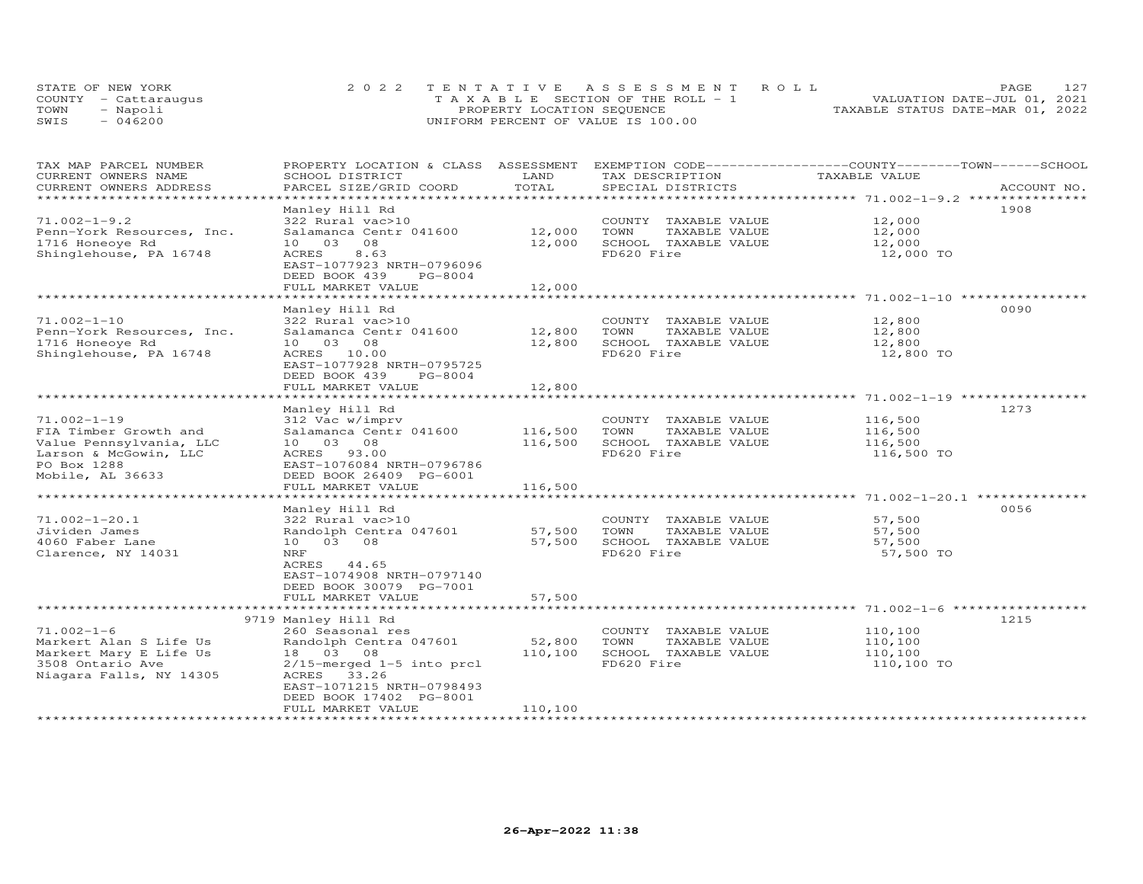|      | STATE OF NEW YORK    | 2022 TENTATIVE ASSESSMENT ROLL        | 127<br><b>PAGE</b>               |
|------|----------------------|---------------------------------------|----------------------------------|
|      | COUNTY - Cattaraugus | T A X A B L E SECTION OF THE ROLL - 1 | VALUATION DATE-JUL 01, 2021      |
| TOWN | - Napoli             | PROPERTY LOCATION SEQUENCE            | TAXABLE STATUS DATE-MAR 01, 2022 |
| SWIS | $-046200$            | UNIFORM PERCENT OF VALUE IS 100.00    |                                  |

| TAX MAP PARCEL NUMBER<br>CURRENT OWNERS NAME | PROPERTY LOCATION & CLASS ASSESSMENT<br>SCHOOL DISTRICT | LAND    | EXEMPTION CODE-----------------COUNTY-------TOWN------SCHOOL<br>TAX DESCRIPTION | TAXABLE VALUE |             |
|----------------------------------------------|---------------------------------------------------------|---------|---------------------------------------------------------------------------------|---------------|-------------|
| CURRENT OWNERS ADDRESS                       | PARCEL SIZE/GRID COORD                                  | TOTAL   | SPECIAL DISTRICTS                                                               |               | ACCOUNT NO. |
|                                              |                                                         |         |                                                                                 |               |             |
|                                              | Manley Hill Rd                                          |         |                                                                                 |               | 1908        |
| $71.002 - 1 - 9.2$                           | 322 Rural vac>10                                        |         | COUNTY TAXABLE VALUE                                                            | 12,000        |             |
| Penn-York Resources, Inc.                    | Salamanca Centr 041600                                  | 12,000  | TOWN<br>TAXABLE VALUE                                                           | 12,000        |             |
| 1716 Honeoye Rd                              | 10<br>03<br>08                                          | 12,000  | SCHOOL TAXABLE VALUE                                                            | 12,000        |             |
| Shinglehouse, PA 16748                       | 8.63<br>ACRES                                           |         | FD620 Fire                                                                      | 12,000 TO     |             |
|                                              | EAST-1077923 NRTH-0796096                               |         |                                                                                 |               |             |
|                                              | DEED BOOK 439<br>PG-8004                                |         |                                                                                 |               |             |
|                                              | FULL MARKET VALUE                                       | 12,000  |                                                                                 |               |             |
|                                              |                                                         |         |                                                                                 |               |             |
|                                              | Manley Hill Rd                                          |         |                                                                                 |               | 0090        |
| $71.002 - 1 - 10$                            | 322 Rural vac>10                                        |         | COUNTY TAXABLE VALUE                                                            | 12,800        |             |
| Penn-York Resources, Inc.                    | Salamanca Centr 041600                                  | 12,800  | TAXABLE VALUE<br>TOWN                                                           | 12,800        |             |
| 1716 Honeoye Rd                              | 10 03 08                                                | 12,800  | SCHOOL TAXABLE VALUE                                                            | 12,800        |             |
| Shinglehouse, PA 16748                       | ACRES 10.00                                             |         | FD620 Fire                                                                      | 12,800 TO     |             |
|                                              | EAST-1077928 NRTH-0795725                               |         |                                                                                 |               |             |
|                                              | DEED BOOK 439<br>PG-8004                                |         |                                                                                 |               |             |
|                                              | FULL MARKET VALUE                                       | 12,800  |                                                                                 |               |             |
|                                              | **********************                                  |         | ******************************** 71.002-1-19 ****                               |               |             |
|                                              | Manley Hill Rd                                          |         |                                                                                 |               | 1273        |
| $71.002 - 1 - 19$                            | 312 Vac w/imprv                                         |         | COUNTY TAXABLE VALUE                                                            | 116,500       |             |
| FIA Timber Growth and                        | Salamanca Centr 041600                                  | 116,500 | TOWN<br>TAXABLE VALUE                                                           | 116,500       |             |
| Value Pennsylvania, LLC                      | 10 03 08                                                | 116,500 | SCHOOL TAXABLE VALUE                                                            | 116,500       |             |
| Larson & McGowin, LLC                        | ACRES 93.00                                             |         | FD620 Fire                                                                      | 116,500 TO    |             |
| PO Box 1288                                  | EAST-1076084 NRTH-0796786                               |         |                                                                                 |               |             |
| Mobile, AL 36633                             | DEED BOOK 26409 PG-6001                                 |         |                                                                                 |               |             |
|                                              | FULL MARKET VALUE                                       | 116,500 |                                                                                 |               |             |
|                                              |                                                         |         |                                                                                 |               |             |
|                                              | Manley Hill Rd                                          |         |                                                                                 |               | 0056        |
| $71.002 - 1 - 20.1$                          | 322 Rural vac>10                                        |         | COUNTY TAXABLE VALUE                                                            | 57,500        |             |
| Jividen James                                | Randolph Centra 047601                                  | 57,500  | TOWN<br>TAXABLE VALUE                                                           | 57,500        |             |
| 4060 Faber Lane                              | 10 03 08                                                | 57,500  | SCHOOL TAXABLE VALUE                                                            | 57,500        |             |
| Clarence, NY 14031                           | NRF                                                     |         | FD620 Fire                                                                      | 57,500 TO     |             |
|                                              | ACRES 44.65                                             |         |                                                                                 |               |             |
|                                              | EAST-1074908 NRTH-0797140                               |         |                                                                                 |               |             |
|                                              | DEED BOOK 30079 PG-7001                                 |         |                                                                                 |               |             |
|                                              | FULL MARKET VALUE                                       | 57,500  |                                                                                 |               |             |
|                                              |                                                         |         |                                                                                 |               | 1215        |
| $71.002 - 1 - 6$                             | 9719 Manley Hill Rd                                     |         |                                                                                 |               |             |
| Markert Alan S Life Us                       | 260 Seasonal res<br>Randolph Centra 047601              | 52,800  | COUNTY TAXABLE VALUE<br>TOWN<br>TAXABLE VALUE                                   | 110,100       |             |
|                                              | 18  03  08                                              | 110,100 | SCHOOL TAXABLE VALUE                                                            | 110,100       |             |
| Markert Mary E Life Us                       |                                                         |         | FD620 Fire                                                                      | 110,100       |             |
| 3508 Ontario Ave<br>Niagara Falls, NY 14305  | $2/15$ -merged $1-5$ into prcl<br>ACRES 33.26           |         |                                                                                 | 110,100 TO    |             |
|                                              | EAST-1071215 NRTH-0798493                               |         |                                                                                 |               |             |
|                                              | DEED BOOK 17402 PG-8001                                 |         |                                                                                 |               |             |
|                                              | FULL MARKET VALUE                                       | 110,100 |                                                                                 |               |             |
|                                              |                                                         |         |                                                                                 |               |             |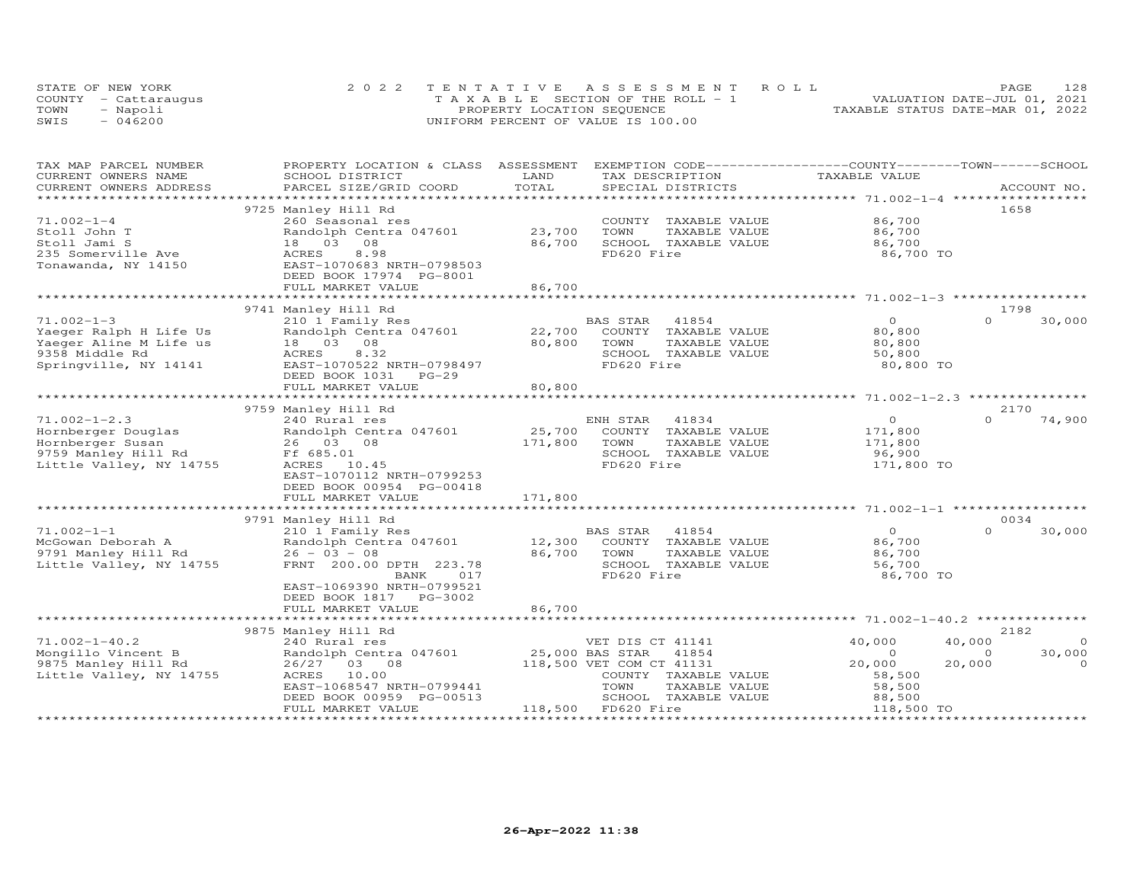|      | STATE OF NEW YORK    | 2022 TENTATIVE ASSESSMENT ROLL        | 128<br>PAGE                      |
|------|----------------------|---------------------------------------|----------------------------------|
|      | COUNTY - Cattarauqus | T A X A B L E SECTION OF THE ROLL - 1 | VALUATION DATE-JUL 01, 2021      |
| TOWN | - Napoli             | PROPERTY LOCATION SEQUENCE            | TAXABLE STATUS DATE-MAR 01, 2022 |
| SWIS | $-046200$            | UNIFORM PERCENT OF VALUE IS 100.00    |                                  |

| TAX MAP PARCEL NUMBER   | PROPERTY LOCATION & CLASS ASSESSMENT |         | EXEMPTION CODE-----------------COUNTY-------TOWN-----SCHOOL |                                                |                    |
|-------------------------|--------------------------------------|---------|-------------------------------------------------------------|------------------------------------------------|--------------------|
| CURRENT OWNERS NAME     | SCHOOL DISTRICT                      | LAND    | TAX DESCRIPTION                                             | TAXABLE VALUE                                  |                    |
| CURRENT OWNERS ADDRESS  | PARCEL SIZE/GRID COORD               | TOTAL   | SPECIAL DISTRICTS                                           |                                                | ACCOUNT NO.        |
|                         |                                      |         |                                                             |                                                |                    |
|                         | 9725 Manley Hill Rd                  |         |                                                             |                                                | 1658               |
| $71.002 - 1 - 4$        | 260 Seasonal res                     |         | COUNTY TAXABLE VALUE                                        | 86,700                                         |                    |
| Stoll John T            | Randolph Centra 047601               | 23,700  | TOWN<br>TAXABLE VALUE                                       | 86,700                                         |                    |
| Stoll Jami S            | 08<br>18 03                          | 86,700  | SCHOOL TAXABLE VALUE                                        | 86,700                                         |                    |
| 235 Somerville Ave      | <b>ACRES</b><br>8.98                 |         | FD620 Fire                                                  | 86,700 TO                                      |                    |
| Tonawanda, NY 14150     | EAST-1070683 NRTH-0798503            |         |                                                             |                                                |                    |
|                         | DEED BOOK 17974 PG-8001              |         |                                                             |                                                |                    |
|                         | FULL MARKET VALUE                    | 86,700  |                                                             |                                                |                    |
|                         |                                      |         |                                                             |                                                |                    |
|                         | 9741 Manley Hill Rd                  |         |                                                             |                                                | 1798               |
| $71.002 - 1 - 3$        | 210 1 Family Res                     |         | BAS STAR<br>41854                                           | $\Omega$                                       | $\Omega$<br>30,000 |
| Yaeger Ralph H Life Us  | Randolph Centra 047601               | 22,700  | COUNTY TAXABLE VALUE                                        | 80,800                                         |                    |
| Yaeger Aline M Life us  | 08<br>18 03                          | 80,800  | TAXABLE VALUE<br>TOWN                                       | 80,800                                         |                    |
| 9358 Middle Rd          | 8.32<br>ACRES                        |         | SCHOOL TAXABLE VALUE                                        | 50,800                                         |                    |
| Springville, NY 14141   | EAST-1070522 NRTH-0798497            |         | FD620 Fire                                                  | 80,800 TO                                      |                    |
|                         | DEED BOOK 1031<br>$PG-29$            |         |                                                             |                                                |                    |
|                         | FULL MARKET VALUE                    | 80,800  |                                                             |                                                |                    |
|                         | ***************************          |         |                                                             | ********************** 71.002-1-2.3 ********** |                    |
|                         | 9759 Manley Hill Rd                  |         |                                                             |                                                | 2170               |
| $71.002 - 1 - 2.3$      | 240 Rural res                        |         | ENH STAR<br>41834                                           | $\circ$                                        | $\Omega$<br>74,900 |
| Hornberger Douglas      | Randolph Centra 047601               | 25,700  | COUNTY TAXABLE VALUE                                        | 171,800                                        |                    |
| Hornberger Susan        | 26 03<br>08                          | 171,800 | TOWN<br>TAXABLE VALUE                                       | 171,800                                        |                    |
| 9759 Manley Hill Rd     | Ff 685.01                            |         | SCHOOL TAXABLE VALUE                                        | 96,900                                         |                    |
|                         |                                      |         |                                                             |                                                |                    |
| Little Valley, NY 14755 | ACRES<br>10.45                       |         | FD620 Fire                                                  | 171,800 TO                                     |                    |
|                         | EAST-1070112 NRTH-0799253            |         |                                                             |                                                |                    |
|                         | DEED BOOK 00954 PG-00418             |         |                                                             |                                                |                    |
|                         | FULL MARKET VALUE                    | 171,800 |                                                             |                                                |                    |
|                         |                                      |         |                                                             |                                                |                    |
|                         | 9791 Manley Hill Rd                  |         |                                                             |                                                | 0034               |
| $71.002 - 1 - 1$        | 210 1 Family Res                     |         | BAS STAR<br>41854                                           | $\Omega$                                       | 30,000<br>$\Omega$ |
| McGowan Deborah A       | Randolph Centra 047601               | 12,300  | COUNTY TAXABLE VALUE                                        | 86,700                                         |                    |
| 9791 Manley Hill Rd     | $26 - 03 - 08$                       | 86,700  | TOWN<br>TAXABLE VALUE                                       | 86,700                                         |                    |
| Little Valley, NY 14755 | FRNT 200.00 DPTH 223.78              |         | SCHOOL TAXABLE VALUE                                        | 56,700                                         |                    |
|                         | BANK<br>017                          |         | FD620 Fire                                                  | 86,700 TO                                      |                    |
|                         | EAST-1069390 NRTH-0799521            |         |                                                             |                                                |                    |
|                         | DEED BOOK 1817<br>PG-3002            |         |                                                             |                                                |                    |
|                         | FULL MARKET VALUE                    | 86,700  |                                                             |                                                |                    |
|                         |                                      |         |                                                             |                                                |                    |
|                         | 9875 Manley Hill Rd                  |         |                                                             |                                                | 2182               |
| $71.002 - 1 - 40.2$     | 240 Rural res                        |         | VET DIS CT 41141                                            | 40,000                                         | 40,000<br>$\circ$  |
| Mongillo Vincent B      | Randolph Centra 047601               |         | 25,000 BAS STAR<br>41854                                    | $\Omega$                                       | 30,000<br>$\Omega$ |
| 9875 Manley Hill Rd     | 26/27 03 08                          |         | 118,500 VET COM CT 41131                                    | 20,000                                         | 20,000<br>$\Omega$ |
| Little Valley, NY 14755 | 10.00<br>ACRES                       |         | COUNTY TAXABLE VALUE                                        | 58,500                                         |                    |
|                         | EAST-1068547 NRTH-0799441            |         | TOWN<br>TAXABLE VALUE                                       | 58,500                                         |                    |
|                         | DEED BOOK 00959 PG-00513             |         | SCHOOL TAXABLE VALUE                                        | 88,500                                         |                    |
|                         | FULL MARKET VALUE                    |         | 118,500 FD620 Fire                                          | 118,500 TO                                     |                    |
| **********************  | **************************           |         |                                                             |                                                |                    |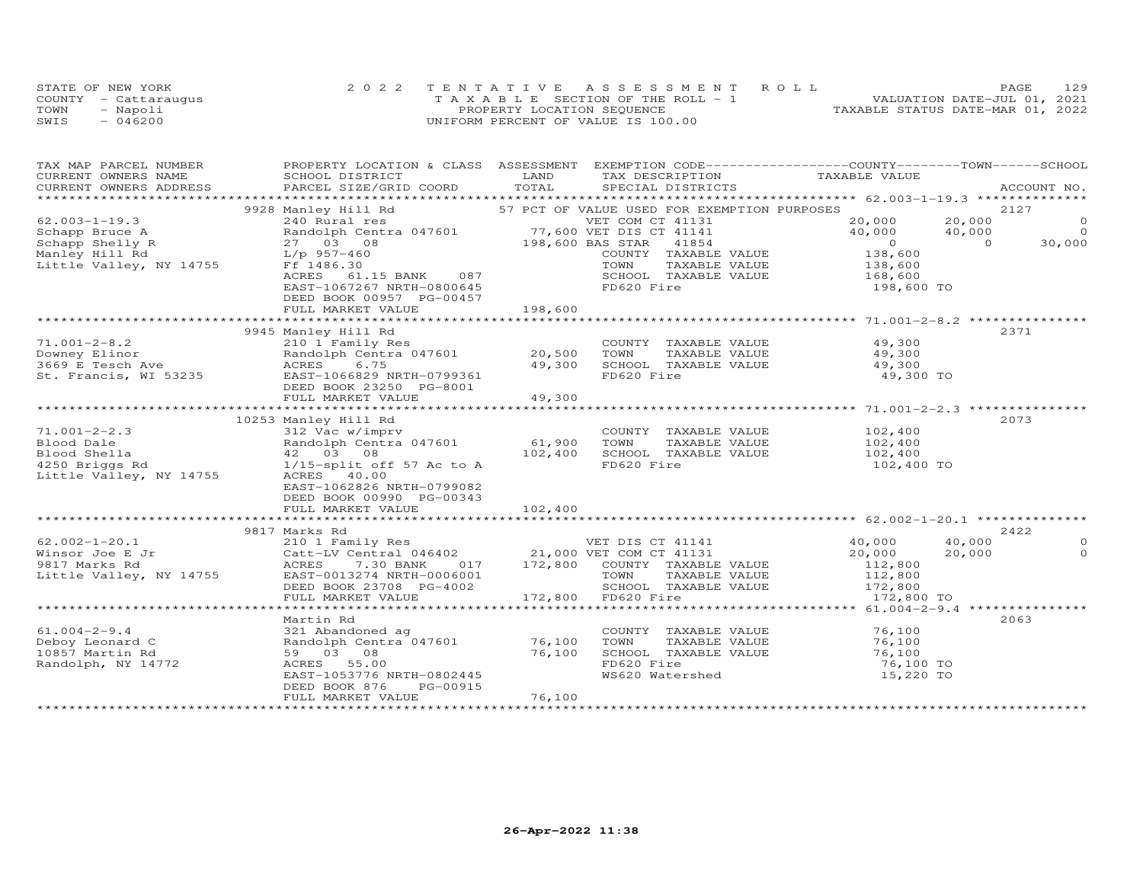|      | STATE OF NEW YORK    | 2022 TENTATIVE ASSESSMENT ROLL        | 129<br>PAGE                      |
|------|----------------------|---------------------------------------|----------------------------------|
|      | COUNTY - Cattaraugus | T A X A B L E SECTION OF THE ROLL - 1 | VALUATION DATE-JUL 01, 2021      |
| TOWN | - Napoli             | PROPERTY LOCATION SEQUENCE            | TAXABLE STATUS DATE-MAR 01, 2022 |
| SWIS | $-046200$            | UNIFORM PERCENT OF VALUE IS 100.00    |                                  |

| TAX MAP PARCEL NUMBER<br>CURRENT OWNERS NAME | PROPERTY LOCATION & CLASS ASSESSMENT EXEMPTION CODE----------------COUNTY-------TOWN------SCHOOL<br>SCHOOL DISTRICT                                                                                                                                      | LAND   | TAX DESCRIPTION TAXABLE VALUE<br>SPECIAL DISTRICTS                                                                                         |                  |                                       |
|----------------------------------------------|----------------------------------------------------------------------------------------------------------------------------------------------------------------------------------------------------------------------------------------------------------|--------|--------------------------------------------------------------------------------------------------------------------------------------------|------------------|---------------------------------------|
|                                              |                                                                                                                                                                                                                                                          |        |                                                                                                                                            |                  | ACCOUNT NO.                           |
|                                              | 3928 Manley Hill Rd 57 PCT OF VALUE USED FOR EXEMPTION PURPOSES<br>3928 Manley Hill Rd 57 PCT OF VALUE USED FOR EXEMPTION PURPOSES<br>3928 Manley Hill Rd 57 PCT OF VALUE USED FOR EXEMPTION PURPOSES<br>3928 Manley Hill Rd 57 PCT                      |        |                                                                                                                                            | 2127             |                                       |
|                                              |                                                                                                                                                                                                                                                          |        |                                                                                                                                            |                  |                                       |
|                                              |                                                                                                                                                                                                                                                          |        |                                                                                                                                            |                  | $\begin{array}{c} 0 \\ 0 \end{array}$ |
|                                              |                                                                                                                                                                                                                                                          |        |                                                                                                                                            |                  | 30,000                                |
|                                              |                                                                                                                                                                                                                                                          |        |                                                                                                                                            |                  |                                       |
|                                              |                                                                                                                                                                                                                                                          |        |                                                                                                                                            |                  |                                       |
|                                              |                                                                                                                                                                                                                                                          |        |                                                                                                                                            |                  |                                       |
|                                              |                                                                                                                                                                                                                                                          |        |                                                                                                                                            |                  |                                       |
|                                              | DEED BOOK 00957 PG-00457                                                                                                                                                                                                                                 |        |                                                                                                                                            |                  |                                       |
|                                              |                                                                                                                                                                                                                                                          |        |                                                                                                                                            |                  |                                       |
|                                              |                                                                                                                                                                                                                                                          |        |                                                                                                                                            |                  |                                       |
|                                              |                                                                                                                                                                                                                                                          |        |                                                                                                                                            | 2371             |                                       |
|                                              |                                                                                                                                                                                                                                                          |        |                                                                                                                                            |                  |                                       |
|                                              |                                                                                                                                                                                                                                                          |        |                                                                                                                                            |                  |                                       |
|                                              |                                                                                                                                                                                                                                                          |        |                                                                                                                                            |                  |                                       |
|                                              | 9945 Manley Hill Rd<br>20,500 TOWNTY TAXABLE VALUE<br>20,500 TOWN TAXABLE VALUE<br>3669 E Tesch Ave ACRES 6.75<br>20,500 TOWN TAXABLE VALUE 49,300<br>3669 E Tesch Ave ACRES 6.75<br>20,500 TOWN TAXABLE VALUE 49,300<br>3669 E Tesch Ave AC             |        |                                                                                                                                            |                  |                                       |
|                                              |                                                                                                                                                                                                                                                          |        |                                                                                                                                            |                  |                                       |
|                                              |                                                                                                                                                                                                                                                          |        |                                                                                                                                            |                  |                                       |
|                                              |                                                                                                                                                                                                                                                          |        |                                                                                                                                            |                  |                                       |
|                                              |                                                                                                                                                                                                                                                          |        |                                                                                                                                            | 2073             |                                       |
|                                              |                                                                                                                                                                                                                                                          |        |                                                                                                                                            |                  |                                       |
|                                              |                                                                                                                                                                                                                                                          |        |                                                                                                                                            |                  |                                       |
|                                              |                                                                                                                                                                                                                                                          |        |                                                                                                                                            |                  |                                       |
|                                              |                                                                                                                                                                                                                                                          |        |                                                                                                                                            |                  |                                       |
|                                              |                                                                                                                                                                                                                                                          |        |                                                                                                                                            |                  |                                       |
|                                              | EAST-1062826 NRTH-0799082                                                                                                                                                                                                                                |        |                                                                                                                                            |                  |                                       |
|                                              | DEED BOOK 00990 PG-00343                                                                                                                                                                                                                                 |        |                                                                                                                                            |                  |                                       |
|                                              |                                                                                                                                                                                                                                                          |        |                                                                                                                                            |                  |                                       |
|                                              | 9817 Marks Rd                                                                                                                                                                                                                                            |        |                                                                                                                                            |                  | 2422                                  |
|                                              | 981/ Marks Rd<br>21,000 VET DIS CT 41141<br>20,000 10,000 10,000 10<br>21,000 VET COM CT 41131<br>20,000 20,000 20,<br>20,000 20,000 20,<br>20,000 20,<br>20,000 20,<br>20,000 20,<br>20,000 20,<br>20,000 20,<br>20,000 20,<br>20,000 20,<br>20,000 20, |        |                                                                                                                                            |                  | $\circ$                               |
|                                              |                                                                                                                                                                                                                                                          |        |                                                                                                                                            | 40,000<br>20,000 | $\Omega$                              |
|                                              |                                                                                                                                                                                                                                                          |        |                                                                                                                                            |                  |                                       |
|                                              |                                                                                                                                                                                                                                                          |        |                                                                                                                                            |                  |                                       |
|                                              |                                                                                                                                                                                                                                                          |        |                                                                                                                                            |                  |                                       |
|                                              |                                                                                                                                                                                                                                                          |        |                                                                                                                                            |                  |                                       |
|                                              |                                                                                                                                                                                                                                                          |        |                                                                                                                                            |                  |                                       |
|                                              | Martin Rd                                                                                                                                                                                                                                                |        |                                                                                                                                            | 2063             |                                       |
|                                              |                                                                                                                                                                                                                                                          |        | COUNTY TAXABLE VALUE 76,100                                                                                                                |                  |                                       |
|                                              |                                                                                                                                                                                                                                                          |        |                                                                                                                                            |                  |                                       |
|                                              |                                                                                                                                                                                                                                                          |        |                                                                                                                                            |                  |                                       |
|                                              |                                                                                                                                                                                                                                                          |        |                                                                                                                                            |                  |                                       |
|                                              |                                                                                                                                                                                                                                                          |        | CONN TAXABLE VALUE 76,100<br>TOWN TAXABLE VALUE 76,100<br>SCHOOL TAXABLE VALUE 76,100<br>FD620 Fire 76,100 TO<br>WS620 Watershed 15,220 TO |                  |                                       |
|                                              | 61.004-2-9.4<br>Deboy Leonard C<br>10857 Martin Rd 10857 Martin Rd 59 03 08<br>Randolph, NY 14772<br>EAST-1053776 NRTH-0802445<br>DEED BOOK 876 PG-00915<br>THE DEED BOOK 876 PG-00915                                                                   |        |                                                                                                                                            |                  |                                       |
|                                              | FULL MARKET VALUE                                                                                                                                                                                                                                        | 76,100 |                                                                                                                                            |                  |                                       |
|                                              |                                                                                                                                                                                                                                                          |        |                                                                                                                                            |                  |                                       |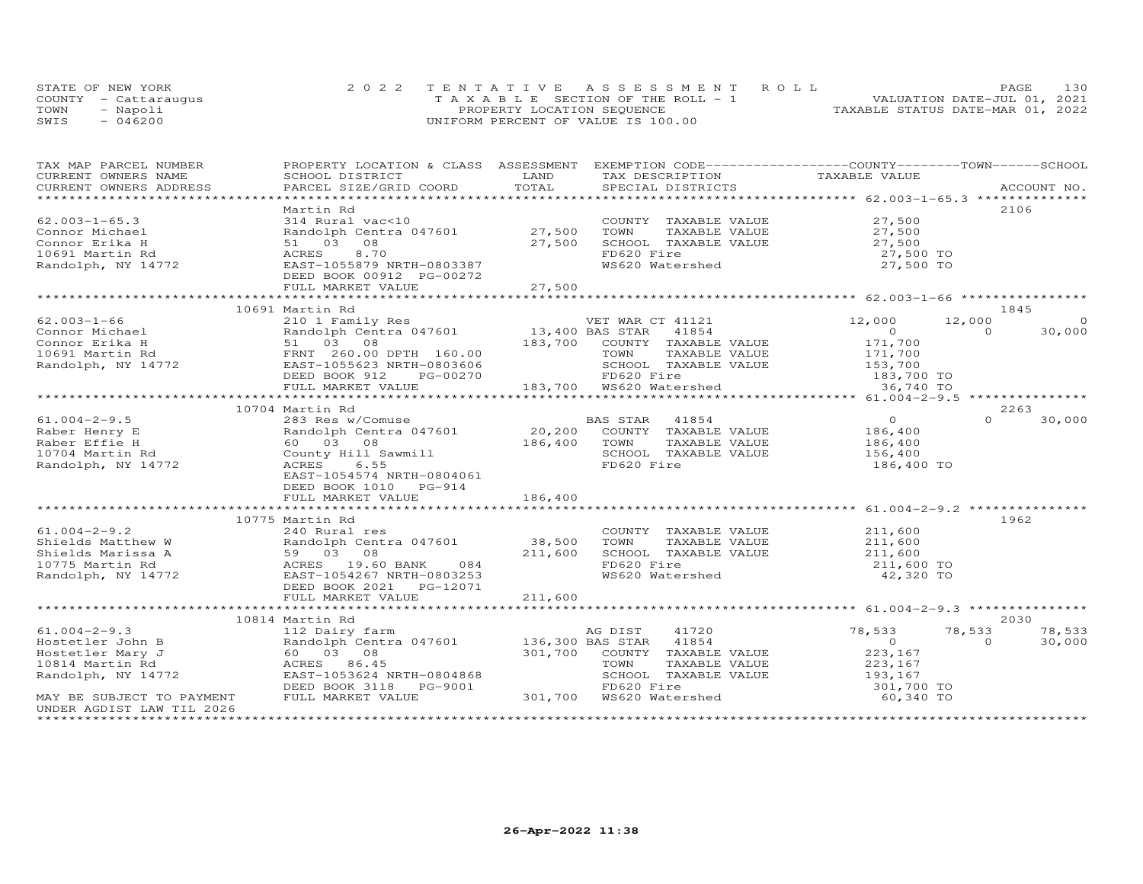| STATE OF NEW YORK    | 2022 TENTATIVE ASSESSMENT ROLL        | 130<br>PAGE.                     |
|----------------------|---------------------------------------|----------------------------------|
| COUNTY - Cattaraugus | T A X A B L E SECTION OF THE ROLL - 1 | VALUATION DATE-JUL 01, 2021      |
| TOWN<br>- Napoli     | PROPERTY LOCATION SEQUENCE            | TAXABLE STATUS DATE-MAR 01, 2022 |
| $-046200$<br>SWIS    | UNIFORM PERCENT OF VALUE IS 100.00    |                                  |

| TAX MAP PARCEL NUMBER                 | PROPERTY LOCATION & CLASS ASSESSMENT EXEMPTION CODE----------------COUNTY-------TOWN------SCHOOL                                                                                                                                                           |         |                                                                                                                                               |                                                                 |                    |
|---------------------------------------|------------------------------------------------------------------------------------------------------------------------------------------------------------------------------------------------------------------------------------------------------------|---------|-----------------------------------------------------------------------------------------------------------------------------------------------|-----------------------------------------------------------------|--------------------|
| CURRENT OWNERS NAME                   |                                                                                                                                                                                                                                                            |         |                                                                                                                                               |                                                                 |                    |
| CURRENT OWNERS ADDRESS                |                                                                                                                                                                                                                                                            |         |                                                                                                                                               |                                                                 |                    |
|                                       | Martin Rd                                                                                                                                                                                                                                                  |         |                                                                                                                                               |                                                                 | 2106               |
| $62.003 - 1 - 65.3$                   |                                                                                                                                                                                                                                                            |         | COUNTY TAXABLE VALUE<br>TOWN TAXABLE VALUE 27,500<br>SCHOOL TAXABLE VALUE 27,500<br>COLORING 27,500 TO                                        |                                                                 |                    |
| Connor Michael                        | 314 Rural vac<10 COUNI<br>Randolph Centra 047601 27,500 TOWN                                                                                                                                                                                               |         |                                                                                                                                               |                                                                 |                    |
| Connor Erika H                        | 51 03 08                                                                                                                                                                                                                                                   |         |                                                                                                                                               |                                                                 |                    |
|                                       | 8,70                                                                                                                                                                                                                                                       | 27,500  |                                                                                                                                               |                                                                 |                    |
| 10691 Martin Rd<br>Randolph, NY 14772 | ACRES                                                                                                                                                                                                                                                      |         | WS620 Watershed                                                                                                                               | 27,500 TO                                                       |                    |
|                                       | EAST-1055879 NRTH-0803387<br>DEED BOOK 00912 PG-00272                                                                                                                                                                                                      |         |                                                                                                                                               |                                                                 |                    |
|                                       |                                                                                                                                                                                                                                                            |         |                                                                                                                                               |                                                                 |                    |
|                                       |                                                                                                                                                                                                                                                            |         |                                                                                                                                               |                                                                 |                    |
|                                       | 10691 Martin Rd                                                                                                                                                                                                                                            |         |                                                                                                                                               |                                                                 | 1845               |
|                                       |                                                                                                                                                                                                                                                            |         |                                                                                                                                               | 12,000                                                          | 12,000             |
|                                       |                                                                                                                                                                                                                                                            |         |                                                                                                                                               |                                                                 | $\Omega$<br>30,000 |
|                                       |                                                                                                                                                                                                                                                            |         | --- JAN 41854<br>COUNTY TAXABLE VALUE 171,700<br>TOWN TAXABLE VALUE 171,700<br>SCHOOL TAXABLE VALUE 153,700<br>FD620 Fire 153,700<br>WSCOL TE |                                                                 |                    |
|                                       |                                                                                                                                                                                                                                                            |         |                                                                                                                                               |                                                                 |                    |
|                                       |                                                                                                                                                                                                                                                            |         |                                                                                                                                               |                                                                 |                    |
|                                       |                                                                                                                                                                                                                                                            |         |                                                                                                                                               |                                                                 |                    |
|                                       | FULL MARKET VALUE                                                                                                                                                                                                                                          |         |                                                                                                                                               |                                                                 |                    |
|                                       |                                                                                                                                                                                                                                                            |         |                                                                                                                                               |                                                                 |                    |
|                                       | 10704 Martin Rd                                                                                                                                                                                                                                            |         |                                                                                                                                               |                                                                 | 2263               |
|                                       | 1991 March 1997 March 1997 March 1997 March 1997 March 1997 March 1997 March 1997 March 1997 March 1997 March 1997 March 1997 March 1997 March 1997 March 1997 March 1997 March 1997 March 1997 March 1997 March 1997 March 19                             |         |                                                                                                                                               |                                                                 | $\Omega$<br>30,000 |
|                                       |                                                                                                                                                                                                                                                            |         |                                                                                                                                               |                                                                 |                    |
|                                       |                                                                                                                                                                                                                                                            |         |                                                                                                                                               |                                                                 |                    |
|                                       |                                                                                                                                                                                                                                                            |         |                                                                                                                                               |                                                                 |                    |
|                                       |                                                                                                                                                                                                                                                            |         |                                                                                                                                               | 186,400 TO                                                      |                    |
|                                       | EAST-1054574 NRTH-0804061                                                                                                                                                                                                                                  |         |                                                                                                                                               |                                                                 |                    |
|                                       | DEED BOOK 1010 PG-914                                                                                                                                                                                                                                      |         |                                                                                                                                               |                                                                 |                    |
|                                       |                                                                                                                                                                                                                                                            |         |                                                                                                                                               |                                                                 |                    |
|                                       |                                                                                                                                                                                                                                                            |         |                                                                                                                                               |                                                                 |                    |
|                                       | 10775 Martin Rd                                                                                                                                                                                                                                            |         |                                                                                                                                               |                                                                 | 1962               |
| $61.004 - 2 - 9.2$                    | 240 Rural res                                                                                                                                                                                                                                              |         | COUNTY TAXABLE VALUE 211,600                                                                                                                  |                                                                 |                    |
|                                       |                                                                                                                                                                                                                                                            |         |                                                                                                                                               |                                                                 |                    |
|                                       |                                                                                                                                                                                                                                                            |         | TOWN      TAXABLE VALUE<br>SCHOOL   TAXABLE VALUE                                                                                             | 211,600<br>211,600                                              |                    |
|                                       |                                                                                                                                                                                                                                                            |         |                                                                                                                                               |                                                                 |                    |
|                                       | Shields Matthew W<br>Shields Marissa A<br>10775 Martin Rd<br>Randolph Centra 047601<br>10775 Martin Rd<br>Randolph, NY 14772<br>EAST-1054267 NRTH-0803253                                                                                                  |         | FD620 Fire<br>WS620 Watershed                                                                                                                 | 211,600 TO<br>42,320 TO                                         |                    |
|                                       | DEED BOOK 2021    PG-12071                                                                                                                                                                                                                                 |         |                                                                                                                                               |                                                                 |                    |
|                                       | FULL MARKET VALUE                                                                                                                                                                                                                                          | 211,600 |                                                                                                                                               |                                                                 |                    |
|                                       |                                                                                                                                                                                                                                                            |         |                                                                                                                                               |                                                                 |                    |
|                                       | 10814 Martin Rd                                                                                                                                                                                                                                            |         |                                                                                                                                               |                                                                 | 2030               |
| $61.004 - 2 - 9.3$                    | 112 Dairy farm                                                                                                                                                                                                                                             |         | AG DIST<br>41720                                                                                                                              | 78,533                                                          | 78,533<br>78,533   |
|                                       |                                                                                                                                                                                                                                                            |         | 41854                                                                                                                                         | $\overline{0}$                                                  | $\Omega$<br>30,000 |
|                                       |                                                                                                                                                                                                                                                            |         | 301,700 COUNTY TAXABLE VALUE                                                                                                                  | 223,167                                                         |                    |
|                                       |                                                                                                                                                                                                                                                            |         | TAXABLE VALUE                                                                                                                                 |                                                                 |                    |
|                                       |                                                                                                                                                                                                                                                            |         | SCHOOL TAXABLE VALUE                                                                                                                          |                                                                 |                    |
|                                       |                                                                                                                                                                                                                                                            |         |                                                                                                                                               | NELE VALUE<br>NBLE VALUE<br>NBLE VALUE<br>193,167<br>301,700 TO |                    |
|                                       | 61.004-2-9.3<br>Hostetler John B<br>Hostetler Mary J<br>10814 Martin Rd<br>Randolph Centra 047601<br>136,300 BAS<br>136,300 BAS<br>136,300 BAS<br>201,700 CONNY<br>136,300 BAS<br>201,700 CONNY<br>201,700 CONNY<br>201,700 CONNY<br>201,700 CONNY<br>201, |         |                                                                                                                                               | 60,340 TO                                                       |                    |
| UNDER AGDIST LAW TIL 2026             |                                                                                                                                                                                                                                                            |         |                                                                                                                                               |                                                                 |                    |
|                                       |                                                                                                                                                                                                                                                            |         |                                                                                                                                               |                                                                 |                    |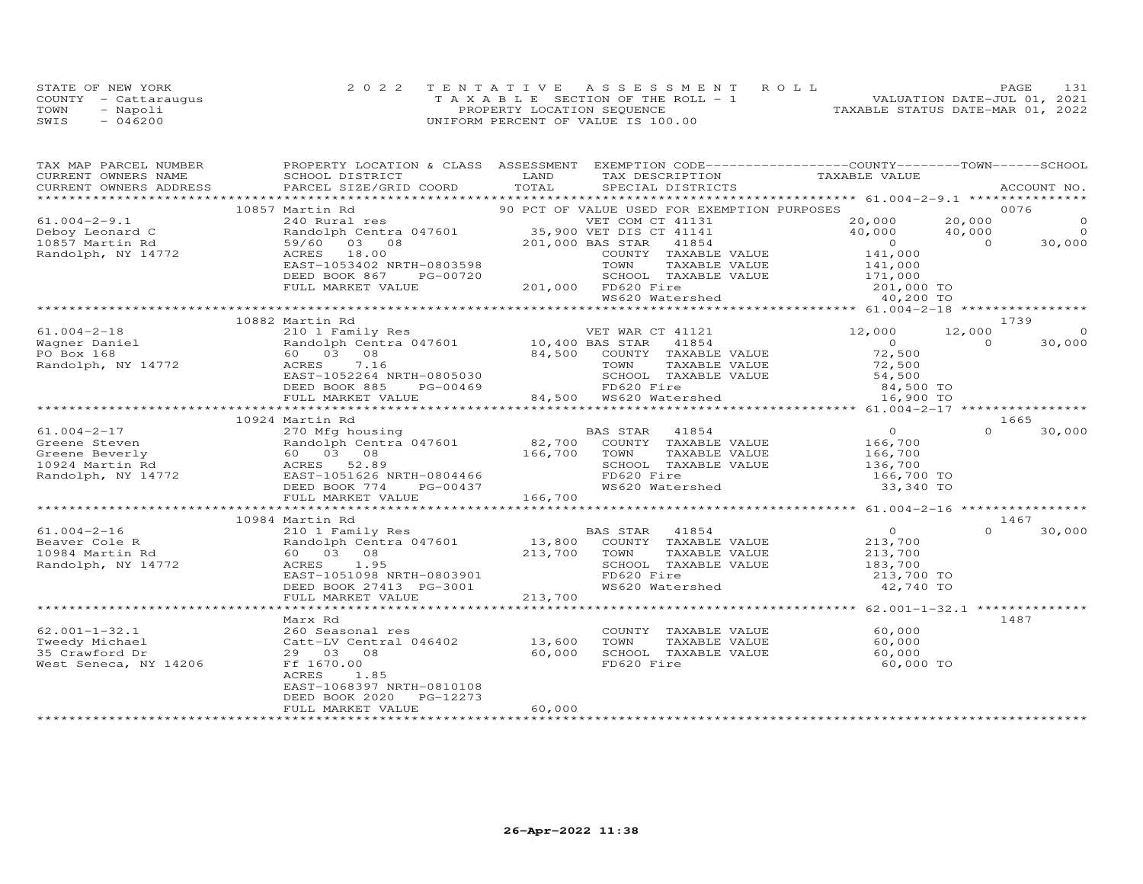|      | STATE OF NEW YORK    | 2022 TENTATIVE ASSESSMENT ROLL        | 131<br><b>PAGE</b>               |
|------|----------------------|---------------------------------------|----------------------------------|
|      | COUNTY - Cattaraugus | T A X A B L E SECTION OF THE ROLL - 1 | VALUATION DATE-JUL 01, 2021      |
| TOWN | - Napoli             | PROPERTY LOCATION SEQUENCE            | TAXABLE STATUS DATE-MAR 01, 2022 |
| SWIS | $-046200$            | UNIFORM PERCENT OF VALUE IS 100.00    |                                  |

| TAX MAP PARCEL NUMBER                   | PROPERTY LOCATION & CLASS ASSESSMENT EXEMPTION CODE----------------COUNTY-------TOWN------SCHOOL                                                                                                                                                                                                                                                       |         |                                             |                                            |          |          |
|-----------------------------------------|--------------------------------------------------------------------------------------------------------------------------------------------------------------------------------------------------------------------------------------------------------------------------------------------------------------------------------------------------------|---------|---------------------------------------------|--------------------------------------------|----------|----------|
|                                         |                                                                                                                                                                                                                                                                                                                                                        |         |                                             |                                            |          |          |
|                                         |                                                                                                                                                                                                                                                                                                                                                        |         |                                             |                                            |          |          |
|                                         |                                                                                                                                                                                                                                                                                                                                                        |         |                                             |                                            |          |          |
|                                         | 10857 Martin Rd                                                                                                                                                                                                                                                                                                                                        |         | 90 PCT OF VALUE USED FOR EXEMPTION PURPOSES |                                            | 0076     |          |
|                                         |                                                                                                                                                                                                                                                                                                                                                        |         |                                             |                                            |          |          |
|                                         |                                                                                                                                                                                                                                                                                                                                                        |         |                                             |                                            |          |          |
|                                         |                                                                                                                                                                                                                                                                                                                                                        |         |                                             |                                            |          |          |
|                                         |                                                                                                                                                                                                                                                                                                                                                        |         |                                             |                                            |          |          |
|                                         |                                                                                                                                                                                                                                                                                                                                                        |         |                                             |                                            |          |          |
|                                         |                                                                                                                                                                                                                                                                                                                                                        |         |                                             |                                            |          |          |
|                                         |                                                                                                                                                                                                                                                                                                                                                        |         |                                             |                                            |          |          |
|                                         | $(31.004-2-9.1\nDeboy Leonard C\n10857 Martin Rd\nRandom, NY 14772\n10857 Martin Rd\n10857 Martin Rd\n10857 Martin Rd\n10857 Martin Rd\n10857 Martin Rd\n10857 Martin Rd\n10857 Martin Rd\n10857 Martin Rd\n10857 Martin Rd\n10857 Martin Rd\n10857 Martin Rd\n10857 Martin Rd\n10857 Martin Rd\n10857 Martin Rd\n10857 Martin Rd\n10857 Martin Rd\n1$ |         |                                             |                                            |          |          |
|                                         |                                                                                                                                                                                                                                                                                                                                                        |         |                                             |                                            |          | 1739     |
|                                         |                                                                                                                                                                                                                                                                                                                                                        |         |                                             |                                            |          | $\sim$ 0 |
|                                         |                                                                                                                                                                                                                                                                                                                                                        |         | VET WAR CT 41121<br>BAS STAR 41854          | 12,000 12,000                              | $\Omega$ | 30,000   |
|                                         |                                                                                                                                                                                                                                                                                                                                                        |         |                                             | $\begin{array}{c} 0 \\ 72,500 \end{array}$ |          |          |
|                                         |                                                                                                                                                                                                                                                                                                                                                        |         |                                             |                                            |          |          |
|                                         |                                                                                                                                                                                                                                                                                                                                                        |         |                                             |                                            |          |          |
|                                         | Wagner Daniel Market Mandolph Centra 04/001<br>PO Box 168 (03 08 84,500 COINTY TAXABLE VALUE 72,500<br>Randolph, NY 14772 ACRES 7.16 TOWN TAXABLE VALUE 72,500<br>EAST-1052264 NRTH-0805030 SCHOOL TAXABLE VALUE 54,500<br>EEED BOOK 8                                                                                                                 |         |                                             |                                            |          |          |
|                                         |                                                                                                                                                                                                                                                                                                                                                        |         |                                             |                                            |          |          |
|                                         |                                                                                                                                                                                                                                                                                                                                                        |         |                                             |                                            |          |          |
|                                         | 10924 Martin Rd                                                                                                                                                                                                                                                                                                                                        |         |                                             |                                            | 1665     |          |
|                                         |                                                                                                                                                                                                                                                                                                                                                        |         |                                             |                                            |          |          |
|                                         |                                                                                                                                                                                                                                                                                                                                                        |         |                                             |                                            |          |          |
|                                         |                                                                                                                                                                                                                                                                                                                                                        |         |                                             |                                            |          |          |
|                                         |                                                                                                                                                                                                                                                                                                                                                        |         |                                             |                                            |          |          |
|                                         |                                                                                                                                                                                                                                                                                                                                                        |         |                                             |                                            |          |          |
|                                         |                                                                                                                                                                                                                                                                                                                                                        |         |                                             |                                            |          |          |
|                                         |                                                                                                                                                                                                                                                                                                                                                        |         |                                             |                                            |          |          |
|                                         |                                                                                                                                                                                                                                                                                                                                                        |         |                                             |                                            |          |          |
|                                         | 10984 Martin Rd                                                                                                                                                                                                                                                                                                                                        |         |                                             |                                            |          | 1467     |
|                                         |                                                                                                                                                                                                                                                                                                                                                        |         |                                             |                                            | $\Omega$ | 30,000   |
|                                         |                                                                                                                                                                                                                                                                                                                                                        |         |                                             |                                            |          |          |
|                                         |                                                                                                                                                                                                                                                                                                                                                        |         |                                             |                                            |          |          |
|                                         | 1.004-2-16<br>Beaver Cole R<br>210 1 Fandolph Centra 047601<br>213,700<br>213,700<br>213,700<br>213,700<br>213,700<br>213,700<br>213,700<br>213,700<br>213,700<br>213,700<br>213,700<br>213,700<br>213,700<br>213,700<br>213,700<br>213,700<br>213,700<br>213,700<br>213                                                                               |         |                                             |                                            |          |          |
|                                         |                                                                                                                                                                                                                                                                                                                                                        |         |                                             |                                            |          |          |
|                                         |                                                                                                                                                                                                                                                                                                                                                        |         |                                             |                                            |          |          |
|                                         | FULL MARKET VALUE                                                                                                                                                                                                                                                                                                                                      | 213,700 |                                             |                                            |          |          |
|                                         |                                                                                                                                                                                                                                                                                                                                                        |         |                                             |                                            |          |          |
|                                         | Marx Rd                                                                                                                                                                                                                                                                                                                                                |         |                                             |                                            |          | 1487     |
| $62.001 - 1 - 32.1$                     |                                                                                                                                                                                                                                                                                                                                                        |         | COUNTY TAXABLE VALUE 60,000                 |                                            |          |          |
| Tweedy Michael                          | 260 Seasonal res<br>Catt-LV Central 046402 13,600<br>29 03 08 60,000<br>Ff 1670.00                                                                                                                                                                                                                                                                     |         |                                             |                                            |          |          |
| 35 Crawford Dr<br>West Seneca, NY 14206 |                                                                                                                                                                                                                                                                                                                                                        |         | FD620 Fire                                  |                                            |          |          |
|                                         | ACRES<br>1.85                                                                                                                                                                                                                                                                                                                                          |         |                                             | 60,000 TO                                  |          |          |
|                                         | EAST-1068397 NRTH-0810108                                                                                                                                                                                                                                                                                                                              |         |                                             |                                            |          |          |
|                                         | DEED BOOK 2020 PG-12273                                                                                                                                                                                                                                                                                                                                |         |                                             |                                            |          |          |
|                                         | FULL MARKET VALUE                                                                                                                                                                                                                                                                                                                                      | 60,000  |                                             |                                            |          |          |
|                                         |                                                                                                                                                                                                                                                                                                                                                        |         |                                             |                                            |          |          |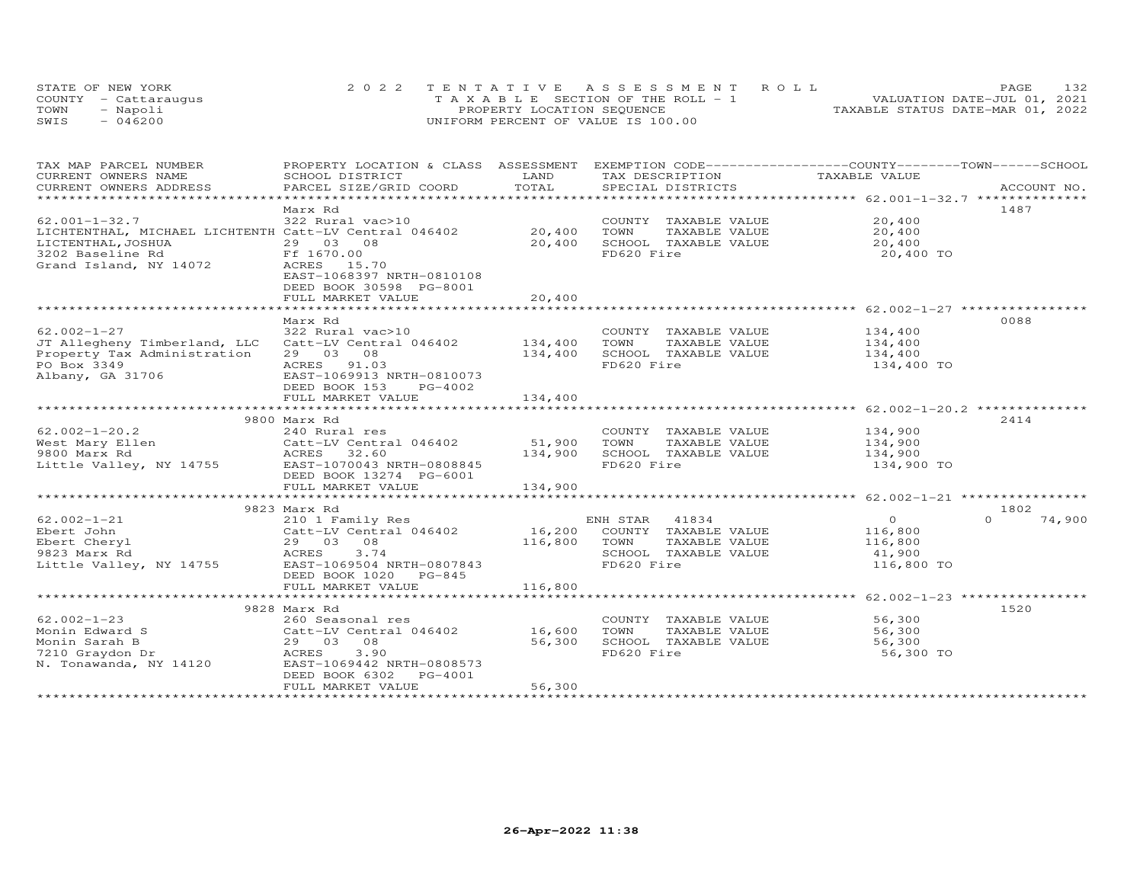| STATE OF NEW YORK    | 2022 TENTATIVE ASSESSMENT ROLL        | 132<br>PAGE.                     |
|----------------------|---------------------------------------|----------------------------------|
| COUNTY - Cattaraugus | T A X A B L E SECTION OF THE ROLL - 1 | VALUATION DATE-JUL 01, 2021      |
| TOWN<br>- Napoli     | PROPERTY LOCATION SEQUENCE            | TAXABLE STATUS DATE-MAR 01, 2022 |
| SWIS<br>$-046200$    | UNIFORM PERCENT OF VALUE IS 100.00    |                                  |

| TAX MAP PARCEL NUMBER                                 | PROPERTY LOCATION & CLASS ASSESSMENT EXEMPTION CODE----------------COUNTY-------TOWN------SCHOOL |               |            |                             |                             |          |             |
|-------------------------------------------------------|--------------------------------------------------------------------------------------------------|---------------|------------|-----------------------------|-----------------------------|----------|-------------|
| CURRENT OWNERS NAME                                   | SCHOOL DISTRICT                                                                                  | LAND<br>TOTAL |            | TAX DESCRIPTION             | TAXABLE VALUE               |          |             |
| CURRENT OWNERS ADDRESS                                | PARCEL SIZE/GRID COORD                                                                           |               |            | SPECIAL DISTRICTS           |                             |          | ACCOUNT NO. |
|                                                       | Marx Rd                                                                                          |               |            |                             |                             | 1487     |             |
| $62.001 - 1 - 32.7$                                   | 322 Rural vac>10                                                                                 |               |            |                             | COUNTY TAXABLE VALUE 20,400 |          |             |
| LICHTENTHAL, MICHAEL LICHTENTH Catt-LV Central 046402 |                                                                                                  | 20,400        | TOWN       | TAXABLE VALUE               | 20,400                      |          |             |
| LICTENTHAL, JOSHUA                                    | 29 03 08                                                                                         | 20,400        |            | SCHOOL TAXABLE VALUE        | 20,400                      |          |             |
| 3202 Baseline Rd                                      | Ff 1670.00                                                                                       |               | FD620 Fire |                             | 20,400 TO                   |          |             |
| Grand Island, NY 14072                                | ACRES 15.70                                                                                      |               |            |                             |                             |          |             |
|                                                       | EAST-1068397 NRTH-0810108                                                                        |               |            |                             |                             |          |             |
|                                                       | DEED BOOK 30598 PG-8001                                                                          |               |            |                             |                             |          |             |
|                                                       | FULL MARKET VALUE                                                                                | 20,400        |            |                             |                             |          |             |
|                                                       |                                                                                                  |               |            |                             |                             |          |             |
|                                                       | Marx Rd                                                                                          |               |            |                             |                             | 0088     |             |
| $62.002 - 1 - 27$                                     | 322 Rural vac>10                                                                                 |               |            | COUNTY TAXABLE VALUE        | 134,400                     |          |             |
| JT Allegheny Timberland, LLC                          | Catt-LV Central 046402 134,400                                                                   |               | TOWN       | TAXABLE VALUE               | 134,400                     |          |             |
| Property Tax Administration                           | 29 03 08                                                                                         | 134,400       |            | SCHOOL TAXABLE VALUE        | 134,400                     |          |             |
| PO Box 3349                                           | ACRES 91.03                                                                                      |               | FD620 Fire |                             | 134,400 TO                  |          |             |
| Albany, GA 31706                                      | EAST-1069913 NRTH-0810073                                                                        |               |            |                             |                             |          |             |
|                                                       | DEED BOOK 153<br>PG-4002                                                                         |               |            |                             |                             |          |             |
|                                                       | FULL MARKET VALUE                                                                                | 134,400       |            |                             |                             |          |             |
|                                                       |                                                                                                  |               |            |                             |                             |          |             |
|                                                       | 9800 Marx Rd                                                                                     |               |            |                             |                             | 2414     |             |
| $62.002 - 1 - 20.2$                                   | 240 Rural res                                                                                    |               |            | COUNTY TAXABLE VALUE        | 134,900                     |          |             |
| West Mary Ellen                                       |                                                                                                  | 51,900        | TOWN       | TAXABLE VALUE               | 134,900                     |          |             |
| 9800 Marx Rd                                          | 240 Nurar 100<br>Catt-LV Central 046402<br>ACRES 32.60<br>10010 NUTH-08086                       | 134,900       |            | SCHOOL TAXABLE VALUE        | 134,900                     |          |             |
| Little Valley, NY 14755 EAST-1070043 NRTH-0808845     |                                                                                                  |               | FD620 Fire |                             | 134,900 TO                  |          |             |
|                                                       | DEED BOOK 13274 PG-6001                                                                          |               |            |                             |                             |          |             |
|                                                       | FULL MARKET VALUE                                                                                | 134,900       |            |                             |                             |          |             |
|                                                       |                                                                                                  |               |            |                             |                             | 1802     |             |
| $62.002 - 1 - 21$                                     | 9823 Marx Rd                                                                                     |               | ENH STAR   | 41834                       | $\overline{O}$              | $\Omega$ | 74,900      |
| Ebert John                                            | 210 1 Family Res<br>Catt-LV Central 046402                                                       |               |            | 16,200 COUNTY TAXABLE VALUE | 116,800                     |          |             |
| Ebert Cheryl                                          | 29 03 08                                                                                         | 116,800 TOWN  |            | TAXABLE VALUE               | 116,800                     |          |             |
| 9823 Marx Rd                                          | ACRES<br>3.74                                                                                    |               |            | SCHOOL TAXABLE VALUE        | 41,900                      |          |             |
| Little Valley, NY 14755                               | EAST-1069504 NRTH-0807843                                                                        |               | FD620 Fire |                             | 116,800 TO                  |          |             |
|                                                       | DEED BOOK 1020 PG-845                                                                            |               |            |                             |                             |          |             |
|                                                       | FULL MARKET VALUE                                                                                | 116,800       |            |                             |                             |          |             |
|                                                       |                                                                                                  |               |            |                             |                             |          |             |
|                                                       | 9828 Marx Rd                                                                                     |               |            |                             |                             | 1520     |             |
| $62.002 - 1 - 23$                                     | 260 Seasonal res                                                                                 |               |            | COUNTY TAXABLE VALUE        | 56,300                      |          |             |
| Monin Edward S                                        | Catt-LV Central 046402 16,600                                                                    |               | TOWN       | TAXABLE VALUE               | 56,300                      |          |             |
| Monin Sarah B                                         | 29 03 08                                                                                         | 56,300        |            | SCHOOL TAXABLE VALUE        | 56,300                      |          |             |
| 7210 Graydon Dr                                       | 3.90<br>ACRES                                                                                    |               | FD620 Fire |                             | 56,300 TO                   |          |             |
| N. Tonawanda, NY 14120                                | EAST-1069442 NRTH-0808573                                                                        |               |            |                             |                             |          |             |
|                                                       | DEED BOOK 6302<br>PG-4001                                                                        |               |            |                             |                             |          |             |
|                                                       | FULL MARKET VALUE                                                                                | 56,300        |            |                             |                             |          |             |
|                                                       |                                                                                                  |               |            |                             |                             |          |             |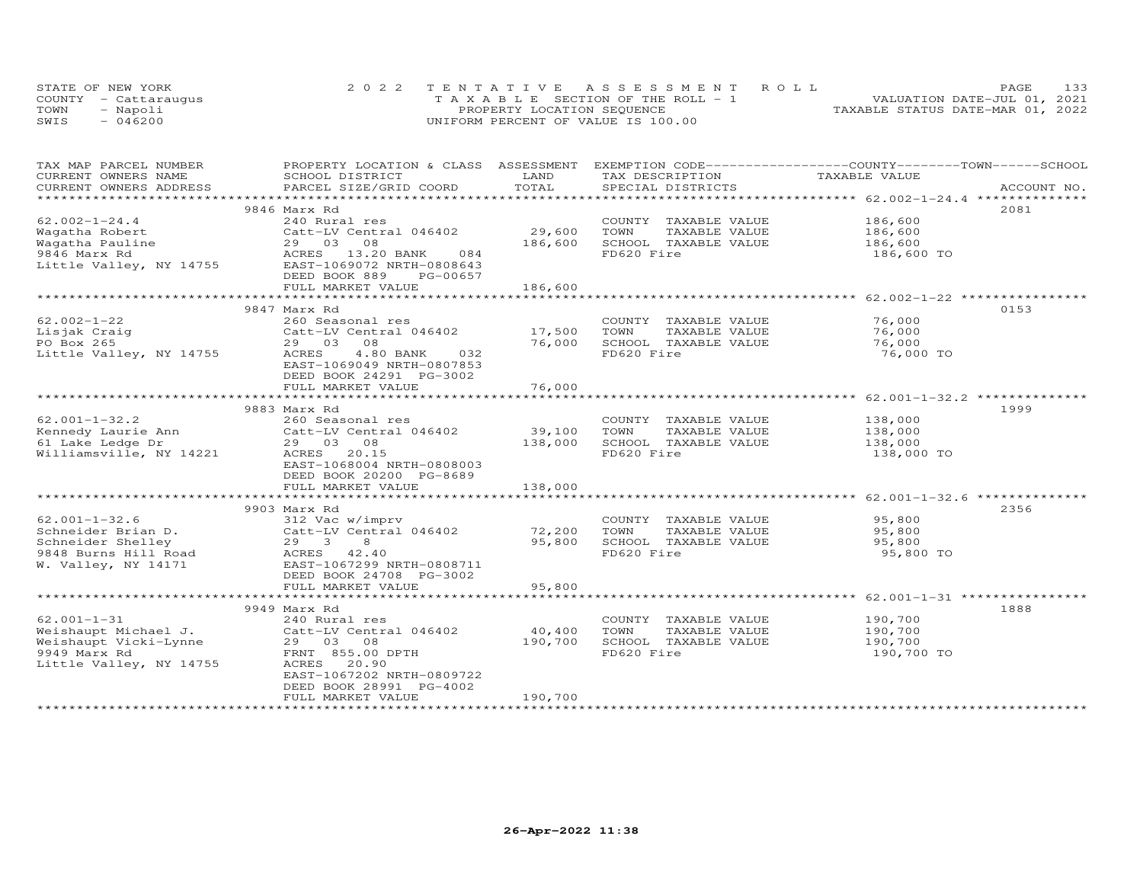|      | STATE OF NEW YORK    | 2022 TENTATIVE ASSESSMENT ROLL        | 133<br>PAGE                      |
|------|----------------------|---------------------------------------|----------------------------------|
|      | COUNTY - Cattarauqus | T A X A B L E SECTION OF THE ROLL - 1 | VALUATION DATE-JUL 01, 2021      |
| TOWN | - Napoli             | PROPERTY LOCATION SEQUENCE            | TAXABLE STATUS DATE-MAR 01, 2022 |
| SWIS | $-046200$            | UNIFORM PERCENT OF VALUE IS 100.00    |                                  |

| TAX MAP PARCEL NUMBER<br>CURRENT OWNERS NAME | PROPERTY LOCATION & CLASS ASSESSMENT<br>SCHOOL DISTRICT | LAND    | EXEMPTION CODE-----------------COUNTY-------TOWN------SCHOOL<br>TAX DESCRIPTION | TAXABLE VALUE      |             |
|----------------------------------------------|---------------------------------------------------------|---------|---------------------------------------------------------------------------------|--------------------|-------------|
| CURRENT OWNERS ADDRESS                       | PARCEL SIZE/GRID COORD                                  | TOTAL   | SPECIAL DISTRICTS                                                               |                    | ACCOUNT NO. |
|                                              |                                                         |         |                                                                                 |                    |             |
|                                              | 9846 Marx Rd                                            |         |                                                                                 |                    | 2081        |
| $62.002 - 1 - 24.4$                          | 240 Rural res                                           |         | COUNTY TAXABLE VALUE                                                            | 186,600            |             |
| Wagatha Robert                               | Catt-LV Central 046402                                  | 29,600  | TOWN<br>TAXABLE VALUE                                                           | 186,600            |             |
| Waqatha Pauline                              | 29 03 08                                                | 186,600 | SCHOOL TAXABLE VALUE                                                            | 186,600            |             |
| 9846 Marx Rd                                 | ACRES 13.20 BANK<br>084                                 |         | FD620 Fire                                                                      | 186,600 TO         |             |
| Little Valley, NY 14755                      | EAST-1069072 NRTH-0808643                               |         |                                                                                 |                    |             |
|                                              | DEED BOOK 889<br>PG-00657                               |         |                                                                                 |                    |             |
|                                              | FULL MARKET VALUE                                       | 186,600 |                                                                                 |                    |             |
|                                              |                                                         |         |                                                                                 |                    |             |
|                                              | 9847 Marx Rd                                            |         |                                                                                 |                    | 0153        |
| $62.002 - 1 - 22$                            | 260 Seasonal res                                        |         | COUNTY TAXABLE VALUE                                                            | 76,000             |             |
| Lisjak Craig                                 | Catt-LV Central 046402                                  | 17,500  | TOWN<br>TAXABLE VALUE                                                           | 76,000             |             |
| PO Box 265                                   | 29 03<br>08                                             | 76,000  | SCHOOL TAXABLE VALUE                                                            | 76,000             |             |
| Little Valley, NY 14755                      | 4.80 BANK<br>ACRES<br>032                               |         | FD620 Fire                                                                      | 76,000 TO          |             |
|                                              | EAST-1069049 NRTH-0807853                               |         |                                                                                 |                    |             |
|                                              | DEED BOOK 24291 PG-3002                                 |         |                                                                                 |                    |             |
|                                              | FULL MARKET VALUE                                       | 76,000  |                                                                                 |                    |             |
|                                              |                                                         |         |                                                                                 |                    |             |
|                                              | 9883 Marx Rd                                            |         |                                                                                 |                    | 1999        |
| $62.001 - 1 - 32.2$                          | 260 Seasonal res                                        |         | COUNTY TAXABLE VALUE                                                            |                    |             |
| Kennedy Laurie Ann                           | Catt-LV Central 046402                                  | 39,100  | TOWN<br>TAXABLE VALUE                                                           | 138,000<br>138,000 |             |
|                                              |                                                         | 138,000 | SCHOOL TAXABLE VALUE                                                            |                    |             |
| 61 Lake Ledge Dr                             | 29 03 08<br>ACRES 20.15                                 |         | FD620 Fire                                                                      | 138,000            |             |
| Williamsville, NY 14221                      |                                                         |         |                                                                                 | 138,000 TO         |             |
|                                              | EAST-1068004 NRTH-0808003                               |         |                                                                                 |                    |             |
|                                              | DEED BOOK 20200 PG-8689                                 |         |                                                                                 |                    |             |
|                                              | FULL MARKET VALUE                                       | 138,000 |                                                                                 |                    |             |
|                                              |                                                         |         |                                                                                 |                    |             |
|                                              | 9903 Marx Rd                                            |         |                                                                                 |                    | 2356        |
| $62.001 - 1 - 32.6$                          | 312 Vac w/imprv                                         |         | COUNTY TAXABLE VALUE                                                            | 95,800             |             |
| Schneider Brian D.                           | Catt-LV Central 046402                                  | 72,200  | TOWN<br>TAXABLE VALUE                                                           | 95,800             |             |
| Schneider Shelley                            | $29 \quad 3$<br>8                                       | 95,800  | SCHOOL TAXABLE VALUE                                                            | 95,800             |             |
| 9848 Burns Hill Road                         | ACRES 42.40                                             |         | FD620 Fire                                                                      | 95,800 TO          |             |
| W. Valley, NY 14171                          | EAST-1067299 NRTH-0808711                               |         |                                                                                 |                    |             |
|                                              | DEED BOOK 24708 PG-3002                                 |         |                                                                                 |                    |             |
|                                              | FULL MARKET VALUE                                       | 95,800  |                                                                                 |                    |             |
|                                              |                                                         |         |                                                                                 |                    |             |
|                                              | 9949 Marx Rd                                            |         |                                                                                 |                    | 1888        |
| $62.001 - 1 - 31$                            | 240 Rural res                                           |         | COUNTY TAXABLE VALUE                                                            | 190,700            |             |
| Weishaupt Michael J.                         | Catt-LV Central 046402                                  | 40,400  | TOWN<br>TAXABLE VALUE                                                           | 190,700            |             |
| Weishaupt Vicki-Lynne                        | 29 03 08                                                | 190,700 | SCHOOL TAXABLE VALUE                                                            | 190,700            |             |
| 9949 Marx Rd                                 | FRNT 855.00 DPTH                                        |         | FD620 Fire                                                                      | 190,700 TO         |             |
| Little Valley, NY 14755                      | ACRES 20.90                                             |         |                                                                                 |                    |             |
|                                              | EAST-1067202 NRTH-0809722                               |         |                                                                                 |                    |             |
|                                              | DEED BOOK 28991 PG-4002                                 |         |                                                                                 |                    |             |
|                                              | FULL MARKET VALUE                                       | 190,700 |                                                                                 |                    |             |
|                                              |                                                         |         |                                                                                 |                    |             |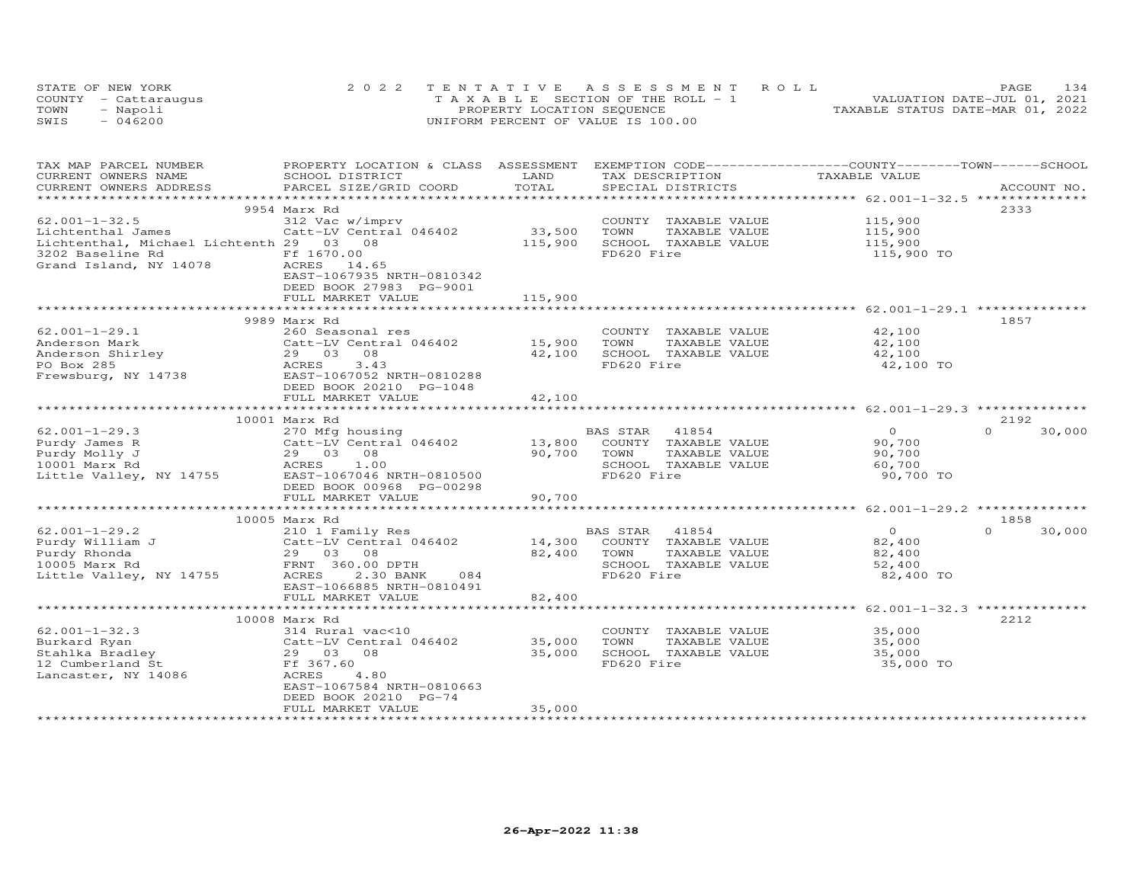|      | STATE OF NEW YORK    | 2022 TENTATIVE ASSESSMENT ROLL        | 1.34<br>PAGE                     |
|------|----------------------|---------------------------------------|----------------------------------|
|      | COUNTY - Cattaraugus | T A X A B L E SECTION OF THE ROLL - 1 | VALUATION DATE-JUL 01, 2021      |
| TOWN | - Napoli             | PROPERTY LOCATION SEQUENCE            | TAXABLE STATUS DATE-MAR 01, 2022 |
| SWIS | $-046200$            | UNIFORM PERCENT OF VALUE IS 100.00    |                                  |

| TAX MAP PARCEL NUMBER                        | PROPERTY LOCATION & CLASS ASSESSMENT                 |                         |                                    | EXEMPTION CODE-----------------COUNTY-------TOWN------SCHOOL |                     |                    |
|----------------------------------------------|------------------------------------------------------|-------------------------|------------------------------------|--------------------------------------------------------------|---------------------|--------------------|
| CURRENT OWNERS NAME                          | SCHOOL DISTRICT                                      | LAND<br>TOTAL           | TAX DESCRIPTION                    |                                                              | TAXABLE VALUE       | ACCOUNT NO.        |
| CURRENT OWNERS ADDRESS                       | PARCEL SIZE/GRID COORD                               |                         | SPECIAL DISTRICTS                  |                                                              |                     |                    |
|                                              | 9954 Marx Rd                                         |                         |                                    |                                                              |                     | 2333               |
| $62.001 - 1 - 32.5$                          | 312 Vac w/imprv                                      |                         | COUNTY TAXABLE VALUE               |                                                              | 115,900             |                    |
|                                              |                                                      | 33,500                  |                                    |                                                              |                     |                    |
| Lichtenthal James                            | Catt-LV Central 046402                               |                         | TOWN<br>TAXABLE VALUE              |                                                              | 115,900             |                    |
| Lichtenthal, Michael Lichtenth 29 03 08      |                                                      | 115,900                 | SCHOOL TAXABLE VALUE<br>FD620 Fire |                                                              | 115,900             |                    |
| 3202 Baseline Rd                             | Ff 1670.00                                           |                         |                                    |                                                              | 115,900 TO          |                    |
| Grand Island, NY 14078                       | ACRES 14.65<br>EAST-1067935 NRTH-0810342             |                         |                                    |                                                              |                     |                    |
|                                              |                                                      |                         |                                    |                                                              |                     |                    |
|                                              | DEED BOOK 27983 PG-9001<br>FULL MARKET VALUE         | 115,900                 |                                    |                                                              |                     |                    |
|                                              |                                                      |                         |                                    |                                                              |                     |                    |
|                                              | 9989 Marx Rd                                         |                         |                                    |                                                              |                     | 1857               |
| $62.001 - 1 - 29.1$                          | 260 Seasonal res                                     |                         | COUNTY TAXABLE VALUE               |                                                              | 42,100              |                    |
| Anderson Mark                                | Catt-LV Central 046402                               | 15,900                  | TOWN<br>TAXABLE VALUE              |                                                              | 42,100              |                    |
|                                              | 29 03 08                                             |                         | SCHOOL TAXABLE VALUE               |                                                              |                     |                    |
| Anderson Shirley<br>DO Ber 205<br>PO Box 285 | 3.43<br>ACRES                                        | 42,100                  | FD620 Fire                         |                                                              | 42,100<br>42,100 TO |                    |
| Frewsburg, NY 14738                          | EAST-1067052 NRTH-0810288                            |                         |                                    |                                                              |                     |                    |
|                                              | DEED BOOK 20210 PG-1048                              |                         |                                    |                                                              |                     |                    |
|                                              |                                                      |                         |                                    |                                                              |                     |                    |
|                                              | FULL MARKET VALUE<br>******************************* | 42,100<br>************* |                                    |                                                              |                     |                    |
|                                              | 10001 Marx Rd                                        |                         |                                    |                                                              |                     | 2192               |
| $62.001 - 1 - 29.3$                          | 270 Mfg housing                                      |                         | 41854<br>BAS STAR                  |                                                              | $\Omega$            | $\Omega$<br>30,000 |
| Purdy James R                                | Catt-LV Central 046402                               | 13,800                  | COUNTY TAXABLE VALUE               |                                                              | 90,700              |                    |
| Purdy Molly J                                | 29 03 08                                             | 90,700                  | TAXABLE VALUE<br>TOWN              |                                                              | 90,700              |                    |
| 10001 Marx Rd                                | 1.00<br>ACRES                                        |                         | SCHOOL TAXABLE VALUE               |                                                              | 60,700              |                    |
| Little Valley, NY 14755                      | EAST-1067046 NRTH-0810500                            |                         | FD620 Fire                         |                                                              | 90,700 TO           |                    |
|                                              | DEED BOOK 00968 PG-00298                             |                         |                                    |                                                              |                     |                    |
|                                              | FULL MARKET VALUE                                    | 90,700                  |                                    |                                                              |                     |                    |
|                                              |                                                      |                         |                                    |                                                              |                     |                    |
|                                              | 10005 Marx Rd                                        |                         |                                    |                                                              |                     | 1858               |
| $62.001 - 1 - 29.2$                          | 210 1 Family Res                                     |                         | BAS STAR<br>41854                  |                                                              | $\overline{0}$      | $\Omega$<br>30,000 |
| Purdy William J                              | Catt-LV Central 046402                               | 14,300                  | COUNTY TAXABLE VALUE               |                                                              | 82,400              |                    |
| Purdy Rhonda                                 | 29 03 08                                             | 82,400                  | TOWN<br>TAXABLE VALUE              |                                                              | 82,400              |                    |
| 10005 Marx Rd                                | FRNT 360.00 DPTH                                     |                         | SCHOOL TAXABLE VALUE               |                                                              | 52,400              |                    |
| Little Valley, NY 14755                      | ACRES<br>2.30 BANK<br>084                            |                         | FD620 Fire                         |                                                              | 82,400 TO           |                    |
|                                              | EAST-1066885 NRTH-0810491                            |                         |                                    |                                                              |                     |                    |
|                                              | FULL MARKET VALUE                                    | 82,400                  |                                    |                                                              |                     |                    |
|                                              |                                                      |                         |                                    |                                                              |                     |                    |
|                                              | 10008 Marx Rd                                        |                         |                                    |                                                              |                     | 2212               |
| $62.001 - 1 - 32.3$                          | 314 Rural vac<10                                     |                         | COUNTY TAXABLE VALUE               |                                                              | 35,000              |                    |
| Burkard Ryan                                 | Catt-LV Central 046402                               | 35,000                  | TOWN<br>TAXABLE VALUE              |                                                              | 35,000              |                    |
| Stahlka Bradley                              | 29 03<br>08                                          | 35,000                  | SCHOOL TAXABLE VALUE               |                                                              | 35,000              |                    |
| 12 Cumberland St                             | Ff 367.60                                            |                         | FD620 Fire                         |                                                              | 35,000 TO           |                    |
| Lancaster, NY 14086                          | 4.80<br>ACRES                                        |                         |                                    |                                                              |                     |                    |
|                                              | EAST-1067584 NRTH-0810663                            |                         |                                    |                                                              |                     |                    |
|                                              | DEED BOOK 20210 PG-74                                |                         |                                    |                                                              |                     |                    |
|                                              | FULL MARKET VALUE                                    | 35,000                  |                                    |                                                              |                     |                    |
|                                              |                                                      |                         |                                    |                                                              |                     |                    |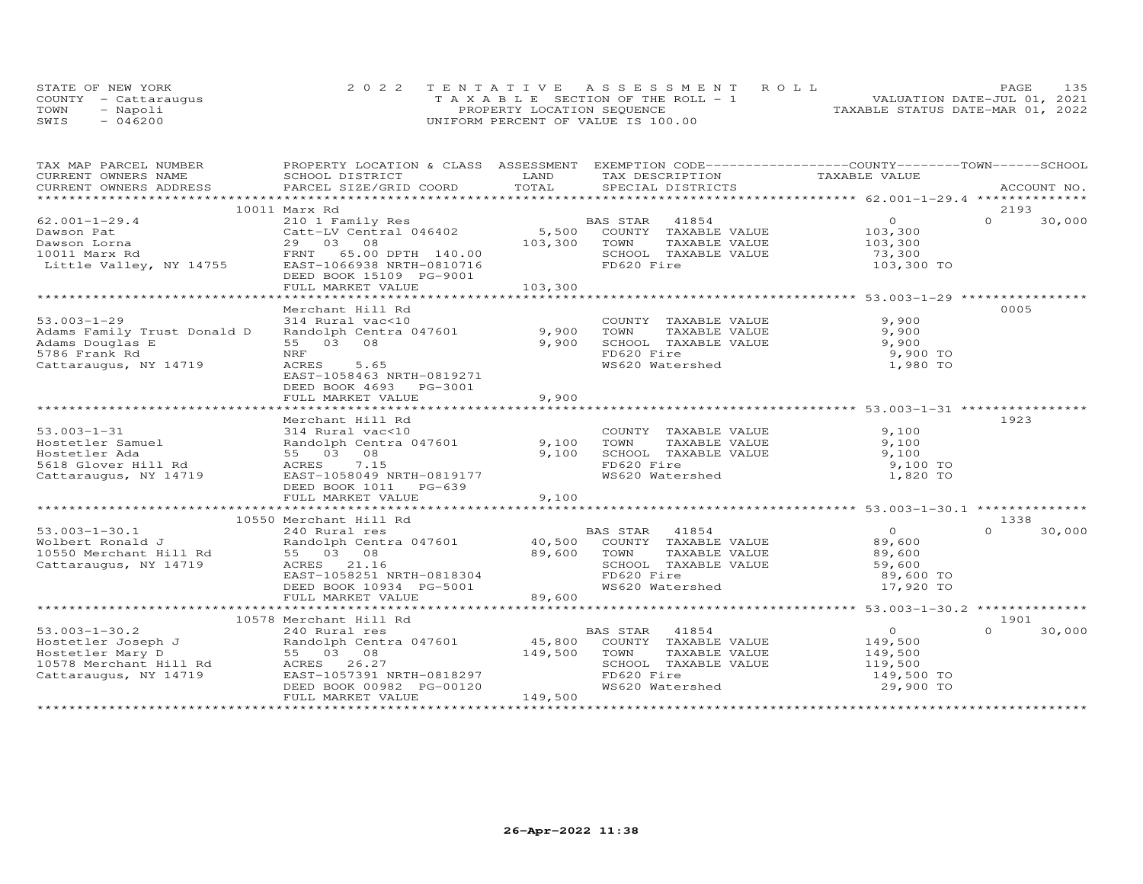|      | STATE OF NEW YORK    | 2022 TENTATIVE ASSESSMENT ROLL        | PAGE.                            | 135 |
|------|----------------------|---------------------------------------|----------------------------------|-----|
|      | COUNTY - Cattaraugus | T A X A B L E SECTION OF THE ROLL - 1 | VALUATION DATE-JUL 01, 2021      |     |
| TOWN | - Napoli             | PROPERTY LOCATION SEQUENCE            | TAXABLE STATUS DATE-MAR 01, 2022 |     |
| SWIS | $-046200$            | UNIFORM PERCENT OF VALUE IS 100.00    |                                  |     |

| TAX MAP PARCEL NUMBER                                                                                                                                                                                                                                  | PROPERTY LOCATION & CLASS ASSESSMENT EXEMPTION CODE-----------------COUNTY-------TOWN------SCHOOL |         |                                                          |                |                    |
|--------------------------------------------------------------------------------------------------------------------------------------------------------------------------------------------------------------------------------------------------------|---------------------------------------------------------------------------------------------------|---------|----------------------------------------------------------|----------------|--------------------|
| CURRENT OWNERS NAME<br>CURRENT OWNERS ADDRESS PARCEL SIZE/GRID COORD TOTAL                                                                                                                                                                             |                                                                                                   |         | TAX DESCRIPTION TAXABLE VALUE                            |                |                    |
|                                                                                                                                                                                                                                                        |                                                                                                   |         |                                                          |                |                    |
|                                                                                                                                                                                                                                                        |                                                                                                   |         |                                                          |                |                    |
|                                                                                                                                                                                                                                                        | 10011 Marx Rd                                                                                     |         |                                                          |                | 2193               |
|                                                                                                                                                                                                                                                        |                                                                                                   |         |                                                          | $\overline{0}$ | $\Omega$<br>30,000 |
|                                                                                                                                                                                                                                                        |                                                                                                   |         |                                                          | 103,300        |                    |
|                                                                                                                                                                                                                                                        |                                                                                                   |         |                                                          | 103,300        |                    |
|                                                                                                                                                                                                                                                        |                                                                                                   |         |                                                          | 73,300         |                    |
|                                                                                                                                                                                                                                                        |                                                                                                   |         |                                                          | 103,300 TO     |                    |
|                                                                                                                                                                                                                                                        | DEED BOOK 15109 PG-9001                                                                           |         |                                                          |                |                    |
|                                                                                                                                                                                                                                                        |                                                                                                   |         |                                                          |                |                    |
|                                                                                                                                                                                                                                                        |                                                                                                   |         |                                                          |                |                    |
|                                                                                                                                                                                                                                                        | Merchant Hill Rd                                                                                  |         |                                                          |                | 0005               |
| $53.003 - 1 - 29$                                                                                                                                                                                                                                      | 314 Rural vac<10                                                                                  |         |                                                          |                |                    |
| Adams Family Trust Donald D                                                                                                                                                                                                                            | Randolph Centra 047601 9,900                                                                      |         | COUNTY TAXABLE VALUE 9,900<br>TOWN TAXABLE VALUE 9,900   |                |                    |
| Adams Douglas E                                                                                                                                                                                                                                        | 55 03 08                                                                                          | 9,900   |                                                          | 9,900          |                    |
| 5786 Frank Rd                                                                                                                                                                                                                                          | NRF                                                                                               |         |                                                          | 9,900 TO       |                    |
| Cattaraugus, NY 14719                                                                                                                                                                                                                                  | ACRES<br>5.65                                                                                     |         | SCHOOL TAXABLE VALUE<br>FD620 Fire<br>WS620 Watershed    | 1,980 TO       |                    |
|                                                                                                                                                                                                                                                        | EAST-1058463 NRTH-0819271                                                                         |         |                                                          |                |                    |
|                                                                                                                                                                                                                                                        | DEED BOOK 4693 PG-3001                                                                            |         |                                                          |                |                    |
|                                                                                                                                                                                                                                                        | FULL MARKET VALUE                                                                                 | 9,900   |                                                          |                |                    |
|                                                                                                                                                                                                                                                        |                                                                                                   |         |                                                          |                |                    |
|                                                                                                                                                                                                                                                        |                                                                                                   |         |                                                          |                | 1923               |
| $53.003 - 1 - 31$                                                                                                                                                                                                                                      | Merchant Hill Rd<br>314 Rural vac<10                                                              |         | COUNTY TAXABLE VALUE                                     | 9,100          |                    |
|                                                                                                                                                                                                                                                        |                                                                                                   |         |                                                          |                |                    |
| 53.003-1-31 314 Rural vac<10 COUNT<br>Hostetler Samuel Randolph Centra 047601 9,100 TOWN<br>Hostetler Ada 55 03 08 9,100 SCHOO:<br>5618 Glover Hill Rd ACRES 7.15 FD620<br>Cattaraugus, NY 14719 EAST-1058049 NRTH-0819177 WS620<br>DEED               |                                                                                                   |         | TAXABLE VALUE 9,100                                      |                |                    |
|                                                                                                                                                                                                                                                        |                                                                                                   |         | $9,100$ SCHOOL TAXABLE VALUE                             | 9,100          |                    |
|                                                                                                                                                                                                                                                        |                                                                                                   |         | FD620 Fire                                               | 9,100 TO       |                    |
|                                                                                                                                                                                                                                                        |                                                                                                   |         | WS620 Watershed                                          | 1,820 TO       |                    |
|                                                                                                                                                                                                                                                        | DEED BOOK 1011<br>PG-639                                                                          |         |                                                          |                |                    |
|                                                                                                                                                                                                                                                        | FULL MARKET VALUE                                                                                 | 9,100   |                                                          |                |                    |
|                                                                                                                                                                                                                                                        |                                                                                                   |         |                                                          |                |                    |
| 10550 Merchant Hill Rd<br>33.003-1-30.1 240 Rural res<br>Wolbert Ronald J<br>240 Rural res<br>240 Rural res<br>240 Rural res<br>240 Rural res<br>240 Rural res<br>240 Rural res<br>240 Rural res<br>240 Rural res<br>240 20001 TAXABLE VALUE<br>29,600 |                                                                                                   |         |                                                          |                | 1338               |
|                                                                                                                                                                                                                                                        |                                                                                                   |         |                                                          |                | 30,000<br>$\Omega$ |
|                                                                                                                                                                                                                                                        |                                                                                                   |         |                                                          |                |                    |
|                                                                                                                                                                                                                                                        |                                                                                                   |         |                                                          |                |                    |
|                                                                                                                                                                                                                                                        |                                                                                                   |         | -<br>SCHOOL TAXABLE VALUE 59,600<br>FD620 Fire 89,600 TO |                |                    |
|                                                                                                                                                                                                                                                        |                                                                                                   |         |                                                          |                |                    |
|                                                                                                                                                                                                                                                        |                                                                                                   |         |                                                          | 17,920 TO      |                    |
|                                                                                                                                                                                                                                                        |                                                                                                   |         |                                                          |                |                    |
|                                                                                                                                                                                                                                                        |                                                                                                   |         |                                                          |                |                    |
|                                                                                                                                                                                                                                                        | 10578 Merchant Hill Rd                                                                            |         |                                                          |                | 1901               |
|                                                                                                                                                                                                                                                        |                                                                                                   |         |                                                          |                | 30,000             |
|                                                                                                                                                                                                                                                        |                                                                                                   |         |                                                          |                |                    |
| 53.003-1-30.2<br>Mostetler Joseph J<br>Hostetler Mary D<br>Hostetler Mary D<br>S5 03 08<br>149,500 TOWN TAXABLE VALUE<br>149,500 TOWN TAXABLE VALUE<br>149,500 TOWN TAXABLE VALUE<br>149,500 TOWN TAXABLE VALUE<br>149,500 TOWN TAXABLE VALUE<br>1     |                                                                                                   |         |                                                          |                |                    |
|                                                                                                                                                                                                                                                        |                                                                                                   |         |                                                          |                |                    |
|                                                                                                                                                                                                                                                        |                                                                                                   |         |                                                          | 149,500 TO     |                    |
|                                                                                                                                                                                                                                                        | EAST-1057391 NRTH-0818297<br>DEED BOOK 00982 PG-00120<br>FULI MARKET WATHER                       |         | FD620 Fire<br>WS620 Watershed                            | 29,900 TO      |                    |
|                                                                                                                                                                                                                                                        | FULL MARKET VALUE                                                                                 | 149,500 |                                                          |                |                    |
|                                                                                                                                                                                                                                                        |                                                                                                   |         |                                                          |                |                    |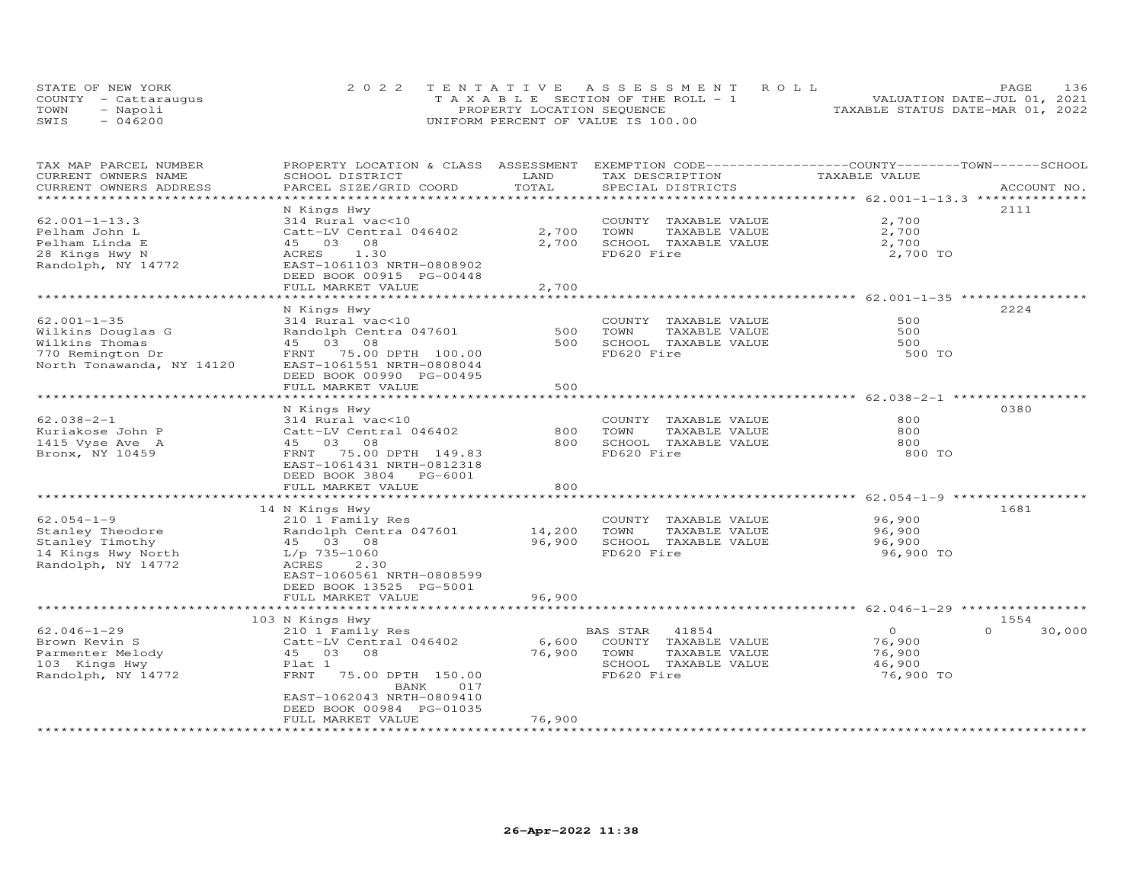|      | STATE OF NEW YORK    | 2022 TENTATIVE ASSESSMENT ROLL        | 136<br><b>PAGE</b>               |
|------|----------------------|---------------------------------------|----------------------------------|
|      | COUNTY - Cattaraugus | T A X A B L E SECTION OF THE ROLL - 1 | VALUATION DATE-JUL 01, 2021      |
| TOWN | - Napoli             | PROPERTY LOCATION SEQUENCE            | TAXABLE STATUS DATE-MAR 01, 2022 |
| SWIS | - 046200             | UNIFORM PERCENT OF VALUE IS 100.00    |                                  |

| TAX MAP PARCEL NUMBER<br>CURRENT OWNERS NAME<br>CURRENT OWNERS ADDRESS                                    | PROPERTY LOCATION & CLASS ASSESSMENT<br>SCHOOL DISTRICT<br>PARCEL SIZE/GRID COORD                                                                                                                    | LAND<br>TOTAL             | EXEMPTION CODE-----------------COUNTY-------TOWN------SCHOOL<br>TAX DESCRIPTION<br>SPECIAL DISTRICTS     | TAXABLE VALUE                                      | ACCOUNT NO.        |
|-----------------------------------------------------------------------------------------------------------|------------------------------------------------------------------------------------------------------------------------------------------------------------------------------------------------------|---------------------------|----------------------------------------------------------------------------------------------------------|----------------------------------------------------|--------------------|
| ********************                                                                                      |                                                                                                                                                                                                      |                           |                                                                                                          |                                                    |                    |
| $62.001 - 1 - 13.3$<br>Pelham John L<br>Pelham Linda E<br>28 Kings Hwy N<br>Randolph, NY 14772            | N Kings Hwy<br>314 Rural vac<10<br>Catt-LV Central 046402<br>03 08<br>45<br>ACRES<br>1.30<br>EAST-1061103 NRTH-0808902<br>DEED BOOK 00915 PG-00448<br>FULL MARKET VALUE                              | 2,700<br>2,700<br>2,700   | COUNTY TAXABLE VALUE<br>TOWN<br>TAXABLE VALUE<br>SCHOOL TAXABLE VALUE<br>FD620 Fire                      | 2,700<br>2,700<br>2,700<br>2,700 TO                | 2111               |
|                                                                                                           |                                                                                                                                                                                                      |                           |                                                                                                          |                                                    |                    |
| $62.001 - 1 - 35$<br>Wilkins Douglas G<br>Wilkins Thomas<br>770 Remington Dr<br>North Tonawanda, NY 14120 | N Kings Hwy<br>314 Rural vac<10<br>Randolph Centra 047601<br>45 03 08<br>75.00 DPTH 100.00<br>FRNT<br>EAST-1061551 NRTH-0808044<br>DEED BOOK 00990 PG-00495<br>FULL MARKET VALUE                     | 500<br>500<br>500         | COUNTY TAXABLE VALUE<br>TOWN<br>TAXABLE VALUE<br>SCHOOL TAXABLE VALUE<br>FD620 Fire                      | 500<br>500<br>500<br>500 TO                        | 2224               |
|                                                                                                           | ******************                                                                                                                                                                                   | **********                |                                                                                                          | ***************** 62.038-2-1 ***********           |                    |
| $62.038 - 2 - 1$<br>Kuriakose John P<br>1415 Vyse Ave A<br>Bronx, NY 10459                                | N Kings Hwy<br>314 Rural vac<10<br>Catt-LV Central 046402<br>03 08<br>45<br>75.00 DPTH 149.83<br>FRNT<br>EAST-1061431 NRTH-0812318<br>DEED BOOK 3804 PG-6001                                         | 800<br>800                | COUNTY TAXABLE VALUE<br>TOWN<br>TAXABLE VALUE<br>SCHOOL TAXABLE VALUE<br>FD620 Fire                      | 800<br>800<br>800<br>800 TO                        | 0380               |
|                                                                                                           | FULL MARKET VALUE<br>*********************                                                                                                                                                           | 800<br>**************     |                                                                                                          | *********** 62.054-1-9 **                          |                    |
| $62.054 - 1 - 9$<br>Stanley Theodore<br>Stanley Timothy<br>14 Kings Hwy North<br>Randolph, NY 14772       | 14 N Kings Hwy<br>210 1 Family Res<br>Randolph Centra 047601<br>45 03 08<br>$L/p$ 735-1060<br>ACRES<br>2.30<br>EAST-1060561 NRTH-0808599<br>DEED BOOK 13525 PG-5001                                  | 14,200<br>96,900          | COUNTY TAXABLE VALUE<br>TOWN<br>TAXABLE VALUE<br>SCHOOL TAXABLE VALUE<br>FD620 Fire                      | 96,900<br>96,900<br>96,900<br>96,900 TO            | 1681               |
|                                                                                                           | FULL MARKET VALUE                                                                                                                                                                                    | 96,900                    | ******************************** 62.046-1-29 **********                                                  |                                                    |                    |
|                                                                                                           | 103 N Kings Hwy                                                                                                                                                                                      |                           |                                                                                                          |                                                    | 1554               |
| $62.046 - 1 - 29$<br>Brown Kevin S<br>Parmenter Melody<br>103 Kings Hwy<br>Randolph, NY 14772             | 210 1 Family Res<br>Catt-LV Central 046402<br>08<br>45 03<br>Plat 1<br><b>FRNT</b><br>75.00 DPTH 150.00<br>BANK<br>017<br>EAST-1062043 NRTH-0809410<br>DEED BOOK 00984 PG-01035<br>FULL MARKET VALUE | 6,600<br>76,900<br>76,900 | BAS STAR<br>41854<br>COUNTY TAXABLE VALUE<br>TOWN<br>TAXABLE VALUE<br>SCHOOL TAXABLE VALUE<br>FD620 Fire | $\circ$<br>76,900<br>76,900<br>46,900<br>76,900 TO | 30,000<br>$\Omega$ |
|                                                                                                           |                                                                                                                                                                                                      |                           |                                                                                                          |                                                    |                    |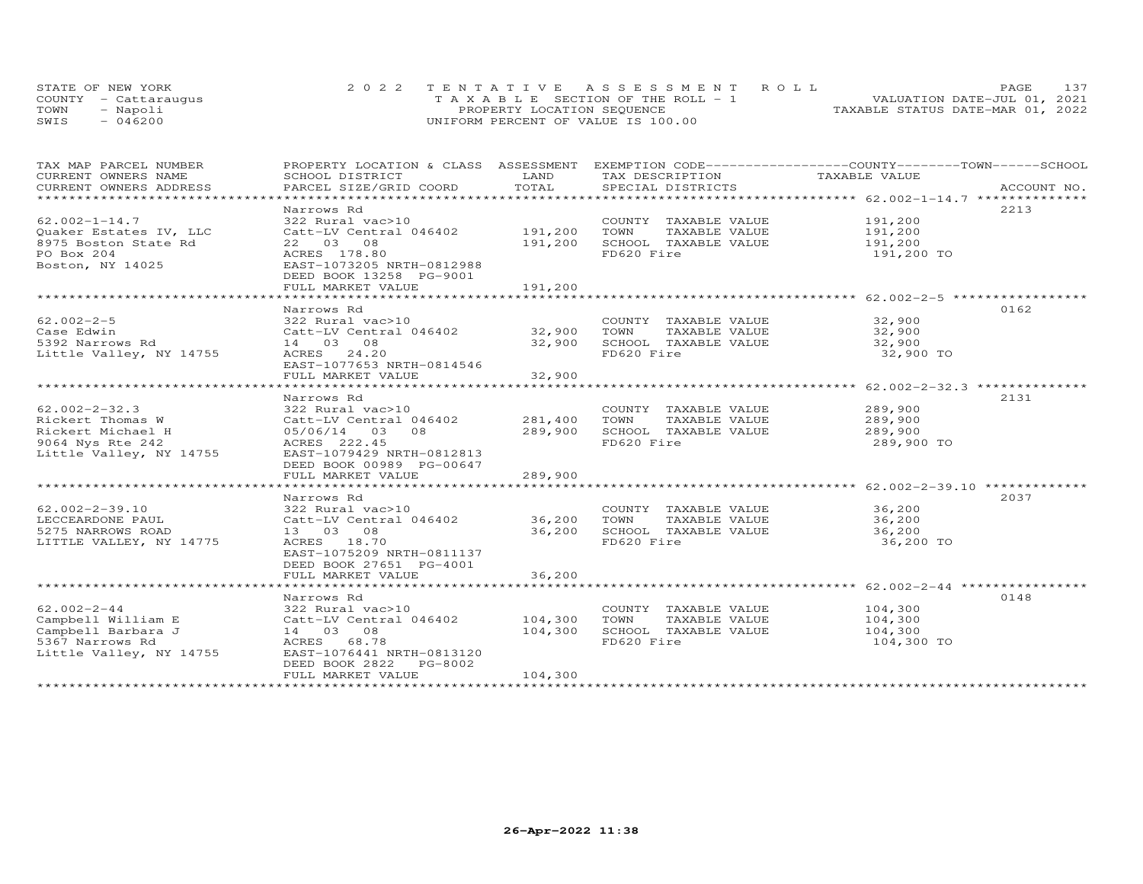|      | STATE OF NEW YORK    | 2022 TENTATIVE ASSESSMENT ROLL        |                                  | <b>PAGE</b>                 | 137 |
|------|----------------------|---------------------------------------|----------------------------------|-----------------------------|-----|
|      | COUNTY - Cattaraugus | T A X A B L E SECTION OF THE ROLL - 1 |                                  | VALUATION DATE-JUL 01, 2021 |     |
| TOWN | - Napoli             | PROPERTY LOCATION SEQUENCE            | TAXABLE STATUS DATE-MAR 01, 2022 |                             |     |
| SWIS | $-046200$            | UNIFORM PERCENT OF VALUE IS 100.00    |                                  |                             |     |

| TAX MAP PARCEL NUMBER<br>CURRENT OWNERS NAME                                                                | PROPERTY LOCATION & CLASS ASSESSMENT<br>SCHOOL DISTRICT                                                                                                           | LAND                          | TAX DESCRIPTION                                                                     | EXEMPTION CODE------------------COUNTY-------TOWN------SCHOOL<br>TAXABLE VALUE |             |
|-------------------------------------------------------------------------------------------------------------|-------------------------------------------------------------------------------------------------------------------------------------------------------------------|-------------------------------|-------------------------------------------------------------------------------------|--------------------------------------------------------------------------------|-------------|
| CURRENT OWNERS ADDRESS                                                                                      | PARCEL SIZE/GRID COORD                                                                                                                                            | TOTAL                         | SPECIAL DISTRICTS                                                                   |                                                                                | ACCOUNT NO. |
| $62.002 - 1 - 14.7$<br>Quaker Estates IV, LLC<br>8975 Boston State Rd<br>PO Box 204<br>Boston, NY 14025     | Narrows Rd<br>322 Rural vac>10<br>Catt-LV Central 046402<br>22 03 08<br>ACRES 178.80<br>EAST-1073205 NRTH-0812988<br>DEED BOOK 13258 PG-9001<br>FULL MARKET VALUE | 191,200<br>191,200<br>191,200 | COUNTY TAXABLE VALUE<br>TOWN<br>TAXABLE VALUE<br>SCHOOL TAXABLE VALUE<br>FD620 Fire | 2213<br>191,200<br>191,200<br>191,200<br>191,200 TO                            |             |
|                                                                                                             |                                                                                                                                                                   |                               |                                                                                     |                                                                                |             |
| $62.002 - 2 - 5$<br>Case Edwin<br>5392 Narrows Rd<br>Little Valley, NY 14755                                | Narrows Rd<br>322 Rural vac>10<br>Catt-LV Central 046402 32,900<br>14 03 08<br>ACRES 24.20<br>EAST-1077653 NRTH-0814546<br>FULL MARKET VALUE                      | 32,900<br>32,900              | COUNTY TAXABLE VALUE<br>TOWN<br>TAXABLE VALUE<br>SCHOOL TAXABLE VALUE<br>FD620 Fire | 0162<br>32,900<br>32,900<br>32,900<br>32,900 TO                                |             |
|                                                                                                             | Narrows Rd                                                                                                                                                        |                               |                                                                                     | 2131                                                                           |             |
| $62.002 - 2 - 32.3$<br>Rickert Thomas W<br>Rickert Michael H<br>9064 Nys Rte 242<br>Little Valley, NY 14755 | 322 Rural vac>10<br>Catt-LV Central 046402<br>05/06/14 03<br>08<br>ACRES 222.45<br>EAST-1079429 NRTH-0812813<br>DEED BOOK 00989 PG-00647<br>FULL MARKET VALUE     | 281,400<br>289,900<br>289,900 | COUNTY TAXABLE VALUE<br>TOWN<br>TAXABLE VALUE<br>SCHOOL TAXABLE VALUE<br>FD620 Fire | 289,900<br>289,900<br>289,900<br>289,900 TO                                    |             |
|                                                                                                             | Narrows Rd                                                                                                                                                        |                               |                                                                                     | 2037                                                                           |             |
| $62.002 - 2 - 39.10$<br>LECCEARDONE PAUL<br>5275 NARROWS ROAD<br>LITTLE VALLEY, NY 14775                    | 322 Rural vac>10<br>Catt-LV Central 046402<br>13 03 08<br>ACRES 18.70<br>EAST-1075209 NRTH-0811137<br>DEED BOOK 27651 PG-4001<br>FULL MARKET VALUE                | 36,200<br>36,200<br>36,200    | COUNTY TAXABLE VALUE<br>TOWN<br>TAXABLE VALUE<br>SCHOOL TAXABLE VALUE<br>FD620 Fire | 36,200<br>36,200<br>36,200<br>36,200 TO                                        |             |
|                                                                                                             | Narrows Rd                                                                                                                                                        |                               |                                                                                     | 0148                                                                           |             |
| $62.002 - 2 - 44$<br>Campbell William E<br>Campbell Barbara J<br>5367 Narrows Rd<br>Little Valley, NY 14755 | 322 Rural vac>10<br>Catt-LV Central 046402<br>14 03 08<br>ACRES 68.78<br>EAST-1076441 NRTH-0813120<br>DEED BOOK 2822<br>PG-8002<br>FULL MARKET VALUE              | 104,300<br>104,300<br>104,300 | COUNTY TAXABLE VALUE<br>TOWN<br>TAXABLE VALUE<br>SCHOOL TAXABLE VALUE<br>FD620 Fire | 104,300<br>104,300<br>104,300<br>104,300 TO                                    |             |
|                                                                                                             |                                                                                                                                                                   |                               |                                                                                     |                                                                                |             |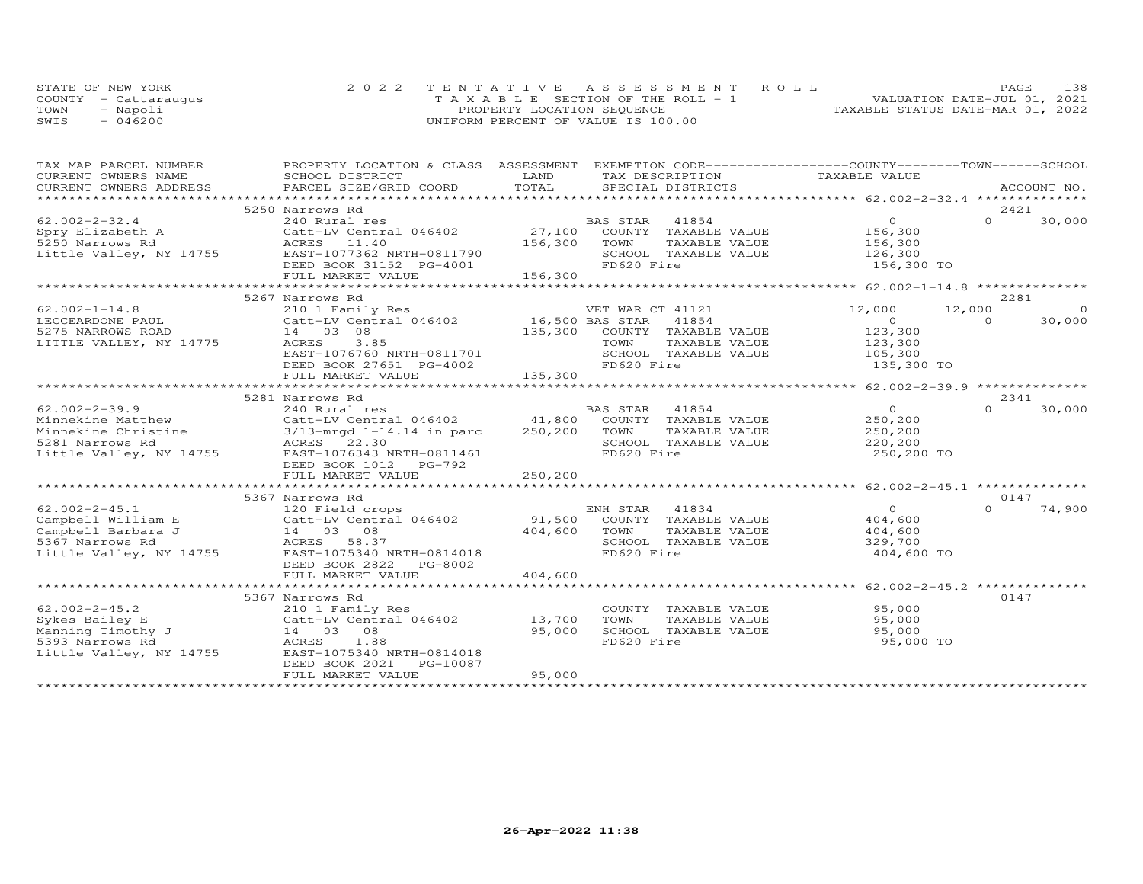|      | STATE OF NEW YORK    | 2022 TENTATIVE ASSESSMENT ROLL        | 138<br>PAGE                      |
|------|----------------------|---------------------------------------|----------------------------------|
|      | COUNTY - Cattaraugus | T A X A B L E SECTION OF THE ROLL - 1 | VALUATION DATE-JUL 01, 2021      |
| TOWN | - Napoli             | PROPERTY LOCATION SEQUENCE            | TAXABLE STATUS DATE-MAR 01, 2022 |
| SWIS | 046200               | UNIFORM PERCENT OF VALUE IS 100.00    |                                  |

| TAX MAP PARCEL NUMBER<br>CURRENT OWNERS NAME                                | PROPERTY LOCATION & CLASS ASSESSMENT<br>SCHOOL DISTRICT                                                                                                                                                                                                | LAND         | EXEMPTION CODE------------------COUNTY-------TOWN------SCHOOL<br>TAX DESCRIPTION | TAXABLE VALUE                      |                      |
|-----------------------------------------------------------------------------|--------------------------------------------------------------------------------------------------------------------------------------------------------------------------------------------------------------------------------------------------------|--------------|----------------------------------------------------------------------------------|------------------------------------|----------------------|
| CURRENT OWNERS ADDRESS                                                      | PARCEL SIZE/GRID COORD                                                                                                                                                                                                                                 | TOTAL        | SPECIAL DISTRICTS                                                                |                                    | ACCOUNT NO.          |
|                                                                             |                                                                                                                                                                                                                                                        |              |                                                                                  |                                    |                      |
|                                                                             | 5250 Narrows Rd                                                                                                                                                                                                                                        |              |                                                                                  |                                    | 2421                 |
| $62.002 - 2 - 32.4$                                                         | 240 Rural res                                                                                                                                                                                                                                          |              | BAS STAR 41854                                                                   | $\overline{O}$                     | $\Omega$<br>30,000   |
| Spry Elizabeth A                                                            | Catt-LV Central 046402                                                                                                                                                                                                                                 |              | 27,100 COUNTY TAXABLE VALUE                                                      | 156,300<br>156,300                 |                      |
| 5250 Narrows Rd                                                             | ACRES 11.40                                                                                                                                                                                                                                            | 156,300      | TOWN<br>TAXABLE VALUE                                                            |                                    |                      |
| Little Valley, NY 14755                                                     | EAST-1077362 NRTH-0811790                                                                                                                                                                                                                              |              | SCHOOL TAXABLE VALUE                                                             | 126,300                            |                      |
|                                                                             | DEED BOOK 31152 PG-4001                                                                                                                                                                                                                                |              | FD620 Fire                                                                       | 156,300 TO                         |                      |
|                                                                             | FULL MARKET VALUE                                                                                                                                                                                                                                      | 156,300      |                                                                                  |                                    |                      |
|                                                                             |                                                                                                                                                                                                                                                        |              |                                                                                  |                                    |                      |
|                                                                             | 5267 Narrows Rd                                                                                                                                                                                                                                        |              |                                                                                  |                                    | 2281                 |
| $62.002 - 1 - 14.8$                                                         | 210 1 Family Res<br>Catt-LV Central 046402 16,500 BAS STAR                                                                                                                                                                                             |              | VET WAR CT 41121<br>41854                                                        | 12,000<br>12,000<br>$\overline{O}$ | $\Omega$<br>$\Omega$ |
| LECCEARDONE PAUL                                                            |                                                                                                                                                                                                                                                        |              | 135,300 COUNTY TAXABLE VALUE                                                     | 123,300                            | 30,000               |
| 5275 NARROWS ROAD<br>LITTLE VALLEY, NY 14775                                | 14 03 08<br>ACRES<br>3.85                                                                                                                                                                                                                              |              | TOWN<br>TAXABLE VALUE                                                            | 123,300                            |                      |
|                                                                             | EAST-1076760 NRTH-0811701                                                                                                                                                                                                                              |              | SCHOOL TAXABLE VALUE                                                             |                                    |                      |
|                                                                             | DEED BOOK 27651 PG-4002                                                                                                                                                                                                                                |              | FD620 Fire                                                                       | 105,300<br>135,300 TO              |                      |
|                                                                             | FULL MARKET VALUE                                                                                                                                                                                                                                      | 135,300      |                                                                                  |                                    |                      |
|                                                                             |                                                                                                                                                                                                                                                        |              |                                                                                  |                                    |                      |
|                                                                             | 5281 Narrows Rd                                                                                                                                                                                                                                        |              |                                                                                  |                                    | 2341                 |
| $62.002 - 2 - 39.9$                                                         | 240 Rural res                                                                                                                                                                                                                                          |              | BAS STAR<br>41854                                                                | $\overline{O}$                     | $\Omega$<br>30,000   |
|                                                                             |                                                                                                                                                                                                                                                        |              | 41,800 COUNTY TAXABLE VALUE                                                      | 250,200                            |                      |
|                                                                             |                                                                                                                                                                                                                                                        | 250,200 TOWN | TAXABLE VALUE                                                                    | 250,200                            |                      |
|                                                                             |                                                                                                                                                                                                                                                        |              | SCHOOL TAXABLE VALUE                                                             | 220,200                            |                      |
|                                                                             | Minnekine Matthew<br>Minnekine Christine<br>5281 Narrows Rd<br>5281 Narrows Rd<br>5281 Narrows Rd<br>5281 Narrows Rd<br>5281 Narrows Rd<br>5281 Narrows Rd<br>5281 Narrows Rd<br>5281 Narrows Rd<br>5281 Narrows Rd<br>5281 Narrows Rd<br>5281 Narrows |              | FD620 Fire                                                                       | 250,200 TO                         |                      |
|                                                                             | DEED BOOK 1012 PG-792                                                                                                                                                                                                                                  |              |                                                                                  |                                    |                      |
|                                                                             | FULL MARKET VALUE                                                                                                                                                                                                                                      | 250,200      |                                                                                  |                                    |                      |
|                                                                             |                                                                                                                                                                                                                                                        |              |                                                                                  |                                    |                      |
|                                                                             | 5367 Narrows Rd                                                                                                                                                                                                                                        |              |                                                                                  |                                    | 0147                 |
| $62.002 - 2 - 45.1$                                                         | 120 Field crops                                                                                                                                                                                                                                        |              | ENH STAR<br>41834                                                                | $\Omega$                           | $\Omega$<br>74,900   |
| Campbell William E                                                          | Catt-LV Central 046402                                                                                                                                                                                                                                 |              | 91,500 COUNTY TAXABLE VALUE                                                      | 404,600                            |                      |
| Campbell Barbara J                                                          | $14$ 03 08                                                                                                                                                                                                                                             | 404,600      | TOWN<br>TAXABLE VALUE                                                            | 404,600                            |                      |
| 5367 Narrows Rd                                                             | ACRES 58.37                                                                                                                                                                                                                                            |              | SCHOOL TAXABLE VALUE                                                             | 329,700                            |                      |
| Little Valley, NY 14755                                                     | EAST-1075340 NRTH-0814018                                                                                                                                                                                                                              |              | FD620 Fire                                                                       | 404,600 TO                         |                      |
|                                                                             | DEED BOOK 2822<br>PG-8002                                                                                                                                                                                                                              |              |                                                                                  |                                    |                      |
|                                                                             | FULL MARKET VALUE                                                                                                                                                                                                                                      | 404,600      |                                                                                  |                                    |                      |
|                                                                             |                                                                                                                                                                                                                                                        |              |                                                                                  |                                    |                      |
|                                                                             | 5367 Narrows Rd                                                                                                                                                                                                                                        |              |                                                                                  |                                    | 0147                 |
| $62.002 - 2 - 45.2$<br>62.002-2-45.2<br>Sykes Bailey E<br>Manning Timothy J | 210 1 Family Res                                                                                                                                                                                                                                       | 13,700       | COUNTY TAXABLE VALUE<br>TOWN                                                     | 95,000                             |                      |
|                                                                             | Catt-LV Central 046402<br>14 03 08                                                                                                                                                                                                                     | 95,000       | TAXABLE VALUE<br>SCHOOL TAXABLE VALUE                                            | 95,000<br>95,000                   |                      |
| 5393 Narrows Rd                                                             | ACRES<br>1.88                                                                                                                                                                                                                                          |              | FD620 Fire                                                                       | 95,000 TO                          |                      |
| Little Valley, NY 14755                                                     | EAST-1075340 NRTH-0814018                                                                                                                                                                                                                              |              |                                                                                  |                                    |                      |
|                                                                             | DEED BOOK 2021<br>PG-10087                                                                                                                                                                                                                             |              |                                                                                  |                                    |                      |
|                                                                             | FULL MARKET VALUE                                                                                                                                                                                                                                      | 95,000       |                                                                                  |                                    |                      |
|                                                                             |                                                                                                                                                                                                                                                        |              |                                                                                  |                                    |                      |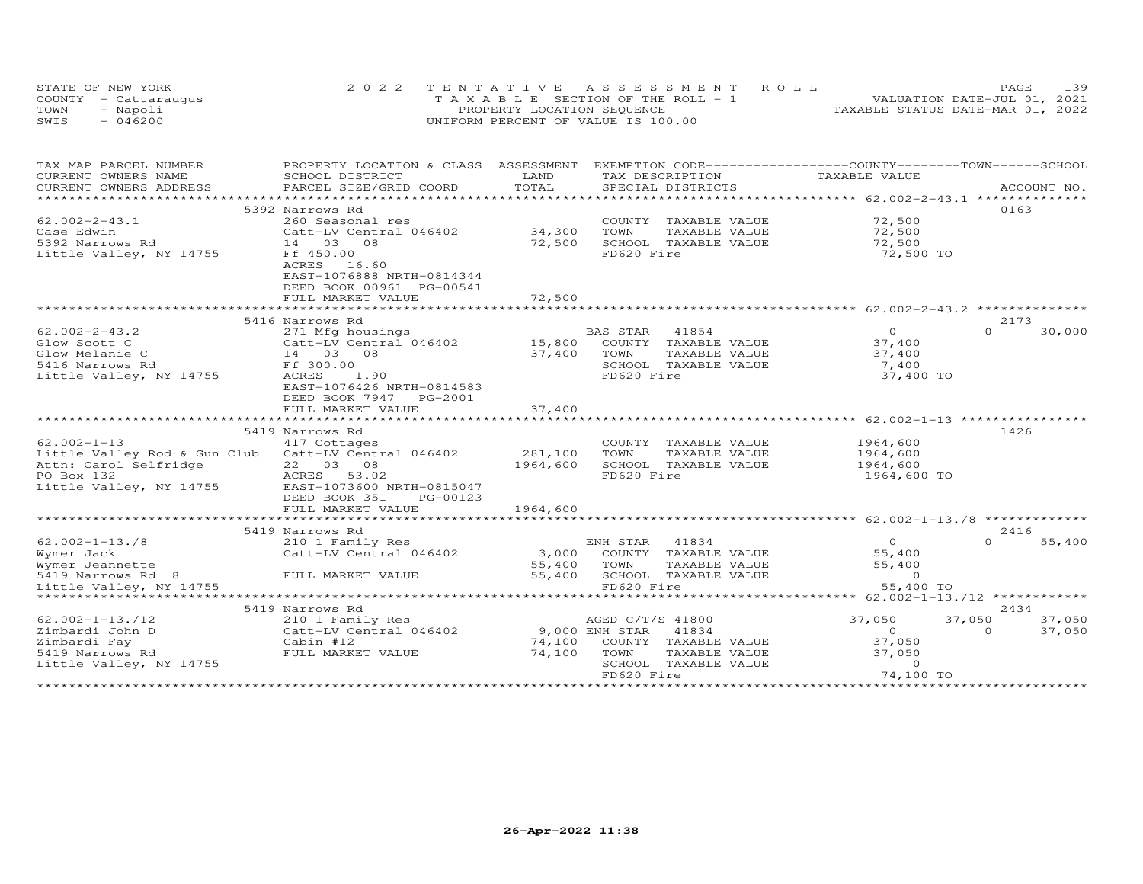|      | STATE OF NEW YORK    | 2022 TENTATIVE ASSESSMENT ROLL        | 139<br>PAGE                      |
|------|----------------------|---------------------------------------|----------------------------------|
|      | COUNTY - Cattaraugus | T A X A B L E SECTION OF THE ROLL - 1 | VALUATION DATE-JUL 01, 2021      |
| TOWN | - Napoli             | PROPERTY LOCATION SEQUENCE            | TAXABLE STATUS DATE-MAR 01, 2022 |
| SWIS | $-046200$            | UNIFORM PERCENT OF VALUE IS 100.00    |                                  |

| LAND<br>TAX DESCRIPTION<br>TAXABLE VALUE<br>SCHOOL DISTRICT<br>TOTAL<br>CURRENT OWNERS ADDRESS<br>PARCEL SIZE/GRID COORD<br>.CURRENT OWNERS ADDRESS PARCEL SIZE/GRID COORD TOTAL SPECIAL DISTRICTS (ACCOUNT NO ACCOUNT NO ACCOUNT NO ACCOUNT NO ACCOUNT NO A LOGGEN ASSEMBLY AND A LOGGEN A LOGGEN A LOGGEN A LOGGEN A LOGGEN A LOGGEN A LOGGEN A LOGGEN A<br>5392 Narrows Rd<br>0163<br>$62.002 - 2 - 43.1$<br>72,500<br>260 Seasonal res<br>COUNTY TAXABLE VALUE<br>Catt-LV Central 046402 34,300<br>TOWN<br>TAXABLE VALUE<br>72,500<br>72,500<br>SCHOOL TAXABLE VALUE<br>14 03 08<br>72,500<br>Ff 450.00<br>FD620 Fire<br>72,500 TO<br>ACRES 16.60<br>EAST-1076888 NRTH-0814344<br>DEED BOOK 00961 PG-00541<br>72,500<br>FULL MARKET VALUE<br>2173<br>5416 Narrows Rd<br>271 Mfg housings<br>BAS STAR<br>41854<br>$\overline{0}$<br>$\Omega$<br>30,000<br>15,800 COUNTY TAXABLE VALUE<br>Catt-LV Central 046402<br>Glow Scott C<br>37,400<br>$\frac{0.466 - 1.66}{0.3} = 0.01$<br>Glow Melanie C<br>37,400<br>TOWN<br>TAXABLE VALUE<br>37,400<br>SCHOOL TAXABLE VALUE<br>Ff 300.00<br>7,400<br><b>ACRES</b><br>1.90<br>Little Valley, NY 14755<br>FD620 Fire<br>37,400 TO<br>EAST-1076426 NRTH-0814583<br>DEED BOOK 7947 PG-2001<br>FULL MARKET VALUE<br>37,400<br>1426<br>5419 Narrows Rd<br>1964,600<br>417 Cottages<br>COUNTY TAXABLE VALUE<br>281,100<br>Little Valley Rod & Gun Club Catt-LV Central 046402<br>TOWN<br>TAXABLE VALUE<br>1964,600<br>22 03 08<br>SCHOOL TAXABLE VALUE<br>Attn: Carol Selfridge<br>PO Box 132<br>1964,600<br>1964,600<br>ACRES 53.02<br>FD620 Fire<br>1964,600 TO<br>Little Valley, NY 14755 EAST-1073600 NRTH-0815047<br>DEED BOOK 351<br>PG-00123<br>1964,600<br>FULL MARKET VALUE<br>******************************<br>******************<br>2416<br>5419 Narrows Rd<br>$62.002 - 1 - 13.78$<br>41834<br>$\Omega$<br>$\cap$<br>55,400<br>210 1 Family Res<br>ENH STAR<br>Catt-LV Central 046402<br>3,000 COUNTY TAXABLE VALUE<br>55,400<br>Wymer Jack<br>Wymer Jeannette<br>55,400<br>TOWN<br>TAXABLE VALUE<br>55,400<br>55,400<br>SCHOOL TAXABLE VALUE<br>5419 Narrows Rd 8<br>FULL MARKET VALUE<br>$\overline{0}$<br>55,400 TO<br>Little Valley, NY 14755<br>FD620 Fire<br>*********************************<br>********** 62.002-1-13./12 *************<br>2434<br>5419 Narrows Rd<br>$62.002 - 1 - 13.712$<br>37,050<br>37,050<br>37,050<br>210 1 Family Res<br>AGED C/T/S 41800<br>9,000 ENH STAR<br>Catt-LV Central 046402<br>41834<br>37,050<br>$\overline{O}$<br>$\circ$<br>Catt-LV ce<br>Cabin #12<br>74,100<br>COUNTY TAXABLE VALUE<br>37,050<br>37,050<br>FULL MARKET VALUE<br>74,100<br>TOWN<br>TAXABLE VALUE<br>Little Valley, NY 14755<br>SCHOOL TAXABLE VALUE<br>$\Omega$ | TAX MAP PARCEL NUMBER   | PROPERTY LOCATION & CLASS ASSESSMENT |            | EXEMPTION CODE-----------------COUNTY-------TOWN------SCHOOL |  |
|-----------------------------------------------------------------------------------------------------------------------------------------------------------------------------------------------------------------------------------------------------------------------------------------------------------------------------------------------------------------------------------------------------------------------------------------------------------------------------------------------------------------------------------------------------------------------------------------------------------------------------------------------------------------------------------------------------------------------------------------------------------------------------------------------------------------------------------------------------------------------------------------------------------------------------------------------------------------------------------------------------------------------------------------------------------------------------------------------------------------------------------------------------------------------------------------------------------------------------------------------------------------------------------------------------------------------------------------------------------------------------------------------------------------------------------------------------------------------------------------------------------------------------------------------------------------------------------------------------------------------------------------------------------------------------------------------------------------------------------------------------------------------------------------------------------------------------------------------------------------------------------------------------------------------------------------------------------------------------------------------------------------------------------------------------------------------------------------------------------------------------------------------------------------------------------------------------------------------------------------------------------------------------------------------------------------------------------------------------------------------------------------------------------------------------------------------------------------------------------------------------------------------------------------------------------------------------------------------------------------------------------------------------------------------------------------------------------------------------------|-------------------------|--------------------------------------|------------|--------------------------------------------------------------|--|
|                                                                                                                                                                                                                                                                                                                                                                                                                                                                                                                                                                                                                                                                                                                                                                                                                                                                                                                                                                                                                                                                                                                                                                                                                                                                                                                                                                                                                                                                                                                                                                                                                                                                                                                                                                                                                                                                                                                                                                                                                                                                                                                                                                                                                                                                                                                                                                                                                                                                                                                                                                                                                                                                                                                                   | CURRENT OWNERS NAME     |                                      |            |                                                              |  |
|                                                                                                                                                                                                                                                                                                                                                                                                                                                                                                                                                                                                                                                                                                                                                                                                                                                                                                                                                                                                                                                                                                                                                                                                                                                                                                                                                                                                                                                                                                                                                                                                                                                                                                                                                                                                                                                                                                                                                                                                                                                                                                                                                                                                                                                                                                                                                                                                                                                                                                                                                                                                                                                                                                                                   |                         |                                      |            |                                                              |  |
|                                                                                                                                                                                                                                                                                                                                                                                                                                                                                                                                                                                                                                                                                                                                                                                                                                                                                                                                                                                                                                                                                                                                                                                                                                                                                                                                                                                                                                                                                                                                                                                                                                                                                                                                                                                                                                                                                                                                                                                                                                                                                                                                                                                                                                                                                                                                                                                                                                                                                                                                                                                                                                                                                                                                   |                         |                                      |            |                                                              |  |
|                                                                                                                                                                                                                                                                                                                                                                                                                                                                                                                                                                                                                                                                                                                                                                                                                                                                                                                                                                                                                                                                                                                                                                                                                                                                                                                                                                                                                                                                                                                                                                                                                                                                                                                                                                                                                                                                                                                                                                                                                                                                                                                                                                                                                                                                                                                                                                                                                                                                                                                                                                                                                                                                                                                                   |                         |                                      |            |                                                              |  |
|                                                                                                                                                                                                                                                                                                                                                                                                                                                                                                                                                                                                                                                                                                                                                                                                                                                                                                                                                                                                                                                                                                                                                                                                                                                                                                                                                                                                                                                                                                                                                                                                                                                                                                                                                                                                                                                                                                                                                                                                                                                                                                                                                                                                                                                                                                                                                                                                                                                                                                                                                                                                                                                                                                                                   |                         |                                      |            |                                                              |  |
|                                                                                                                                                                                                                                                                                                                                                                                                                                                                                                                                                                                                                                                                                                                                                                                                                                                                                                                                                                                                                                                                                                                                                                                                                                                                                                                                                                                                                                                                                                                                                                                                                                                                                                                                                                                                                                                                                                                                                                                                                                                                                                                                                                                                                                                                                                                                                                                                                                                                                                                                                                                                                                                                                                                                   | Case Edwin              |                                      |            |                                                              |  |
|                                                                                                                                                                                                                                                                                                                                                                                                                                                                                                                                                                                                                                                                                                                                                                                                                                                                                                                                                                                                                                                                                                                                                                                                                                                                                                                                                                                                                                                                                                                                                                                                                                                                                                                                                                                                                                                                                                                                                                                                                                                                                                                                                                                                                                                                                                                                                                                                                                                                                                                                                                                                                                                                                                                                   | 5392 Narrows Rd         |                                      |            |                                                              |  |
|                                                                                                                                                                                                                                                                                                                                                                                                                                                                                                                                                                                                                                                                                                                                                                                                                                                                                                                                                                                                                                                                                                                                                                                                                                                                                                                                                                                                                                                                                                                                                                                                                                                                                                                                                                                                                                                                                                                                                                                                                                                                                                                                                                                                                                                                                                                                                                                                                                                                                                                                                                                                                                                                                                                                   | Little Valley, NY 14755 |                                      |            |                                                              |  |
|                                                                                                                                                                                                                                                                                                                                                                                                                                                                                                                                                                                                                                                                                                                                                                                                                                                                                                                                                                                                                                                                                                                                                                                                                                                                                                                                                                                                                                                                                                                                                                                                                                                                                                                                                                                                                                                                                                                                                                                                                                                                                                                                                                                                                                                                                                                                                                                                                                                                                                                                                                                                                                                                                                                                   |                         |                                      |            |                                                              |  |
|                                                                                                                                                                                                                                                                                                                                                                                                                                                                                                                                                                                                                                                                                                                                                                                                                                                                                                                                                                                                                                                                                                                                                                                                                                                                                                                                                                                                                                                                                                                                                                                                                                                                                                                                                                                                                                                                                                                                                                                                                                                                                                                                                                                                                                                                                                                                                                                                                                                                                                                                                                                                                                                                                                                                   |                         |                                      |            |                                                              |  |
|                                                                                                                                                                                                                                                                                                                                                                                                                                                                                                                                                                                                                                                                                                                                                                                                                                                                                                                                                                                                                                                                                                                                                                                                                                                                                                                                                                                                                                                                                                                                                                                                                                                                                                                                                                                                                                                                                                                                                                                                                                                                                                                                                                                                                                                                                                                                                                                                                                                                                                                                                                                                                                                                                                                                   |                         |                                      |            |                                                              |  |
|                                                                                                                                                                                                                                                                                                                                                                                                                                                                                                                                                                                                                                                                                                                                                                                                                                                                                                                                                                                                                                                                                                                                                                                                                                                                                                                                                                                                                                                                                                                                                                                                                                                                                                                                                                                                                                                                                                                                                                                                                                                                                                                                                                                                                                                                                                                                                                                                                                                                                                                                                                                                                                                                                                                                   |                         |                                      |            |                                                              |  |
|                                                                                                                                                                                                                                                                                                                                                                                                                                                                                                                                                                                                                                                                                                                                                                                                                                                                                                                                                                                                                                                                                                                                                                                                                                                                                                                                                                                                                                                                                                                                                                                                                                                                                                                                                                                                                                                                                                                                                                                                                                                                                                                                                                                                                                                                                                                                                                                                                                                                                                                                                                                                                                                                                                                                   |                         |                                      |            |                                                              |  |
|                                                                                                                                                                                                                                                                                                                                                                                                                                                                                                                                                                                                                                                                                                                                                                                                                                                                                                                                                                                                                                                                                                                                                                                                                                                                                                                                                                                                                                                                                                                                                                                                                                                                                                                                                                                                                                                                                                                                                                                                                                                                                                                                                                                                                                                                                                                                                                                                                                                                                                                                                                                                                                                                                                                                   |                         |                                      |            |                                                              |  |
|                                                                                                                                                                                                                                                                                                                                                                                                                                                                                                                                                                                                                                                                                                                                                                                                                                                                                                                                                                                                                                                                                                                                                                                                                                                                                                                                                                                                                                                                                                                                                                                                                                                                                                                                                                                                                                                                                                                                                                                                                                                                                                                                                                                                                                                                                                                                                                                                                                                                                                                                                                                                                                                                                                                                   | $62.002 - 2 - 43.2$     |                                      |            |                                                              |  |
|                                                                                                                                                                                                                                                                                                                                                                                                                                                                                                                                                                                                                                                                                                                                                                                                                                                                                                                                                                                                                                                                                                                                                                                                                                                                                                                                                                                                                                                                                                                                                                                                                                                                                                                                                                                                                                                                                                                                                                                                                                                                                                                                                                                                                                                                                                                                                                                                                                                                                                                                                                                                                                                                                                                                   |                         |                                      |            |                                                              |  |
|                                                                                                                                                                                                                                                                                                                                                                                                                                                                                                                                                                                                                                                                                                                                                                                                                                                                                                                                                                                                                                                                                                                                                                                                                                                                                                                                                                                                                                                                                                                                                                                                                                                                                                                                                                                                                                                                                                                                                                                                                                                                                                                                                                                                                                                                                                                                                                                                                                                                                                                                                                                                                                                                                                                                   |                         |                                      |            |                                                              |  |
|                                                                                                                                                                                                                                                                                                                                                                                                                                                                                                                                                                                                                                                                                                                                                                                                                                                                                                                                                                                                                                                                                                                                                                                                                                                                                                                                                                                                                                                                                                                                                                                                                                                                                                                                                                                                                                                                                                                                                                                                                                                                                                                                                                                                                                                                                                                                                                                                                                                                                                                                                                                                                                                                                                                                   | 5416 Narrows Rd         |                                      |            |                                                              |  |
|                                                                                                                                                                                                                                                                                                                                                                                                                                                                                                                                                                                                                                                                                                                                                                                                                                                                                                                                                                                                                                                                                                                                                                                                                                                                                                                                                                                                                                                                                                                                                                                                                                                                                                                                                                                                                                                                                                                                                                                                                                                                                                                                                                                                                                                                                                                                                                                                                                                                                                                                                                                                                                                                                                                                   |                         |                                      |            |                                                              |  |
|                                                                                                                                                                                                                                                                                                                                                                                                                                                                                                                                                                                                                                                                                                                                                                                                                                                                                                                                                                                                                                                                                                                                                                                                                                                                                                                                                                                                                                                                                                                                                                                                                                                                                                                                                                                                                                                                                                                                                                                                                                                                                                                                                                                                                                                                                                                                                                                                                                                                                                                                                                                                                                                                                                                                   |                         |                                      |            |                                                              |  |
|                                                                                                                                                                                                                                                                                                                                                                                                                                                                                                                                                                                                                                                                                                                                                                                                                                                                                                                                                                                                                                                                                                                                                                                                                                                                                                                                                                                                                                                                                                                                                                                                                                                                                                                                                                                                                                                                                                                                                                                                                                                                                                                                                                                                                                                                                                                                                                                                                                                                                                                                                                                                                                                                                                                                   |                         |                                      |            |                                                              |  |
|                                                                                                                                                                                                                                                                                                                                                                                                                                                                                                                                                                                                                                                                                                                                                                                                                                                                                                                                                                                                                                                                                                                                                                                                                                                                                                                                                                                                                                                                                                                                                                                                                                                                                                                                                                                                                                                                                                                                                                                                                                                                                                                                                                                                                                                                                                                                                                                                                                                                                                                                                                                                                                                                                                                                   |                         |                                      |            |                                                              |  |
|                                                                                                                                                                                                                                                                                                                                                                                                                                                                                                                                                                                                                                                                                                                                                                                                                                                                                                                                                                                                                                                                                                                                                                                                                                                                                                                                                                                                                                                                                                                                                                                                                                                                                                                                                                                                                                                                                                                                                                                                                                                                                                                                                                                                                                                                                                                                                                                                                                                                                                                                                                                                                                                                                                                                   |                         |                                      |            |                                                              |  |
|                                                                                                                                                                                                                                                                                                                                                                                                                                                                                                                                                                                                                                                                                                                                                                                                                                                                                                                                                                                                                                                                                                                                                                                                                                                                                                                                                                                                                                                                                                                                                                                                                                                                                                                                                                                                                                                                                                                                                                                                                                                                                                                                                                                                                                                                                                                                                                                                                                                                                                                                                                                                                                                                                                                                   |                         |                                      |            |                                                              |  |
|                                                                                                                                                                                                                                                                                                                                                                                                                                                                                                                                                                                                                                                                                                                                                                                                                                                                                                                                                                                                                                                                                                                                                                                                                                                                                                                                                                                                                                                                                                                                                                                                                                                                                                                                                                                                                                                                                                                                                                                                                                                                                                                                                                                                                                                                                                                                                                                                                                                                                                                                                                                                                                                                                                                                   | $62.002 - 1 - 13$       |                                      |            |                                                              |  |
|                                                                                                                                                                                                                                                                                                                                                                                                                                                                                                                                                                                                                                                                                                                                                                                                                                                                                                                                                                                                                                                                                                                                                                                                                                                                                                                                                                                                                                                                                                                                                                                                                                                                                                                                                                                                                                                                                                                                                                                                                                                                                                                                                                                                                                                                                                                                                                                                                                                                                                                                                                                                                                                                                                                                   |                         |                                      |            |                                                              |  |
|                                                                                                                                                                                                                                                                                                                                                                                                                                                                                                                                                                                                                                                                                                                                                                                                                                                                                                                                                                                                                                                                                                                                                                                                                                                                                                                                                                                                                                                                                                                                                                                                                                                                                                                                                                                                                                                                                                                                                                                                                                                                                                                                                                                                                                                                                                                                                                                                                                                                                                                                                                                                                                                                                                                                   |                         |                                      |            |                                                              |  |
|                                                                                                                                                                                                                                                                                                                                                                                                                                                                                                                                                                                                                                                                                                                                                                                                                                                                                                                                                                                                                                                                                                                                                                                                                                                                                                                                                                                                                                                                                                                                                                                                                                                                                                                                                                                                                                                                                                                                                                                                                                                                                                                                                                                                                                                                                                                                                                                                                                                                                                                                                                                                                                                                                                                                   |                         |                                      |            |                                                              |  |
|                                                                                                                                                                                                                                                                                                                                                                                                                                                                                                                                                                                                                                                                                                                                                                                                                                                                                                                                                                                                                                                                                                                                                                                                                                                                                                                                                                                                                                                                                                                                                                                                                                                                                                                                                                                                                                                                                                                                                                                                                                                                                                                                                                                                                                                                                                                                                                                                                                                                                                                                                                                                                                                                                                                                   |                         |                                      |            |                                                              |  |
|                                                                                                                                                                                                                                                                                                                                                                                                                                                                                                                                                                                                                                                                                                                                                                                                                                                                                                                                                                                                                                                                                                                                                                                                                                                                                                                                                                                                                                                                                                                                                                                                                                                                                                                                                                                                                                                                                                                                                                                                                                                                                                                                                                                                                                                                                                                                                                                                                                                                                                                                                                                                                                                                                                                                   |                         |                                      |            |                                                              |  |
|                                                                                                                                                                                                                                                                                                                                                                                                                                                                                                                                                                                                                                                                                                                                                                                                                                                                                                                                                                                                                                                                                                                                                                                                                                                                                                                                                                                                                                                                                                                                                                                                                                                                                                                                                                                                                                                                                                                                                                                                                                                                                                                                                                                                                                                                                                                                                                                                                                                                                                                                                                                                                                                                                                                                   |                         |                                      |            |                                                              |  |
|                                                                                                                                                                                                                                                                                                                                                                                                                                                                                                                                                                                                                                                                                                                                                                                                                                                                                                                                                                                                                                                                                                                                                                                                                                                                                                                                                                                                                                                                                                                                                                                                                                                                                                                                                                                                                                                                                                                                                                                                                                                                                                                                                                                                                                                                                                                                                                                                                                                                                                                                                                                                                                                                                                                                   |                         |                                      |            |                                                              |  |
|                                                                                                                                                                                                                                                                                                                                                                                                                                                                                                                                                                                                                                                                                                                                                                                                                                                                                                                                                                                                                                                                                                                                                                                                                                                                                                                                                                                                                                                                                                                                                                                                                                                                                                                                                                                                                                                                                                                                                                                                                                                                                                                                                                                                                                                                                                                                                                                                                                                                                                                                                                                                                                                                                                                                   |                         |                                      |            |                                                              |  |
|                                                                                                                                                                                                                                                                                                                                                                                                                                                                                                                                                                                                                                                                                                                                                                                                                                                                                                                                                                                                                                                                                                                                                                                                                                                                                                                                                                                                                                                                                                                                                                                                                                                                                                                                                                                                                                                                                                                                                                                                                                                                                                                                                                                                                                                                                                                                                                                                                                                                                                                                                                                                                                                                                                                                   |                         |                                      |            |                                                              |  |
|                                                                                                                                                                                                                                                                                                                                                                                                                                                                                                                                                                                                                                                                                                                                                                                                                                                                                                                                                                                                                                                                                                                                                                                                                                                                                                                                                                                                                                                                                                                                                                                                                                                                                                                                                                                                                                                                                                                                                                                                                                                                                                                                                                                                                                                                                                                                                                                                                                                                                                                                                                                                                                                                                                                                   |                         |                                      |            |                                                              |  |
|                                                                                                                                                                                                                                                                                                                                                                                                                                                                                                                                                                                                                                                                                                                                                                                                                                                                                                                                                                                                                                                                                                                                                                                                                                                                                                                                                                                                                                                                                                                                                                                                                                                                                                                                                                                                                                                                                                                                                                                                                                                                                                                                                                                                                                                                                                                                                                                                                                                                                                                                                                                                                                                                                                                                   |                         |                                      |            |                                                              |  |
|                                                                                                                                                                                                                                                                                                                                                                                                                                                                                                                                                                                                                                                                                                                                                                                                                                                                                                                                                                                                                                                                                                                                                                                                                                                                                                                                                                                                                                                                                                                                                                                                                                                                                                                                                                                                                                                                                                                                                                                                                                                                                                                                                                                                                                                                                                                                                                                                                                                                                                                                                                                                                                                                                                                                   |                         |                                      |            |                                                              |  |
|                                                                                                                                                                                                                                                                                                                                                                                                                                                                                                                                                                                                                                                                                                                                                                                                                                                                                                                                                                                                                                                                                                                                                                                                                                                                                                                                                                                                                                                                                                                                                                                                                                                                                                                                                                                                                                                                                                                                                                                                                                                                                                                                                                                                                                                                                                                                                                                                                                                                                                                                                                                                                                                                                                                                   |                         |                                      |            |                                                              |  |
|                                                                                                                                                                                                                                                                                                                                                                                                                                                                                                                                                                                                                                                                                                                                                                                                                                                                                                                                                                                                                                                                                                                                                                                                                                                                                                                                                                                                                                                                                                                                                                                                                                                                                                                                                                                                                                                                                                                                                                                                                                                                                                                                                                                                                                                                                                                                                                                                                                                                                                                                                                                                                                                                                                                                   |                         |                                      |            |                                                              |  |
|                                                                                                                                                                                                                                                                                                                                                                                                                                                                                                                                                                                                                                                                                                                                                                                                                                                                                                                                                                                                                                                                                                                                                                                                                                                                                                                                                                                                                                                                                                                                                                                                                                                                                                                                                                                                                                                                                                                                                                                                                                                                                                                                                                                                                                                                                                                                                                                                                                                                                                                                                                                                                                                                                                                                   |                         |                                      |            |                                                              |  |
|                                                                                                                                                                                                                                                                                                                                                                                                                                                                                                                                                                                                                                                                                                                                                                                                                                                                                                                                                                                                                                                                                                                                                                                                                                                                                                                                                                                                                                                                                                                                                                                                                                                                                                                                                                                                                                                                                                                                                                                                                                                                                                                                                                                                                                                                                                                                                                                                                                                                                                                                                                                                                                                                                                                                   |                         |                                      |            |                                                              |  |
|                                                                                                                                                                                                                                                                                                                                                                                                                                                                                                                                                                                                                                                                                                                                                                                                                                                                                                                                                                                                                                                                                                                                                                                                                                                                                                                                                                                                                                                                                                                                                                                                                                                                                                                                                                                                                                                                                                                                                                                                                                                                                                                                                                                                                                                                                                                                                                                                                                                                                                                                                                                                                                                                                                                                   | Zimbardi John D         |                                      |            |                                                              |  |
|                                                                                                                                                                                                                                                                                                                                                                                                                                                                                                                                                                                                                                                                                                                                                                                                                                                                                                                                                                                                                                                                                                                                                                                                                                                                                                                                                                                                                                                                                                                                                                                                                                                                                                                                                                                                                                                                                                                                                                                                                                                                                                                                                                                                                                                                                                                                                                                                                                                                                                                                                                                                                                                                                                                                   | Zimbardi Fay            |                                      |            |                                                              |  |
|                                                                                                                                                                                                                                                                                                                                                                                                                                                                                                                                                                                                                                                                                                                                                                                                                                                                                                                                                                                                                                                                                                                                                                                                                                                                                                                                                                                                                                                                                                                                                                                                                                                                                                                                                                                                                                                                                                                                                                                                                                                                                                                                                                                                                                                                                                                                                                                                                                                                                                                                                                                                                                                                                                                                   | 5419 Narrows Rd         |                                      |            |                                                              |  |
|                                                                                                                                                                                                                                                                                                                                                                                                                                                                                                                                                                                                                                                                                                                                                                                                                                                                                                                                                                                                                                                                                                                                                                                                                                                                                                                                                                                                                                                                                                                                                                                                                                                                                                                                                                                                                                                                                                                                                                                                                                                                                                                                                                                                                                                                                                                                                                                                                                                                                                                                                                                                                                                                                                                                   |                         |                                      |            |                                                              |  |
|                                                                                                                                                                                                                                                                                                                                                                                                                                                                                                                                                                                                                                                                                                                                                                                                                                                                                                                                                                                                                                                                                                                                                                                                                                                                                                                                                                                                                                                                                                                                                                                                                                                                                                                                                                                                                                                                                                                                                                                                                                                                                                                                                                                                                                                                                                                                                                                                                                                                                                                                                                                                                                                                                                                                   |                         |                                      | FD620 Fire | 74,100 TO                                                    |  |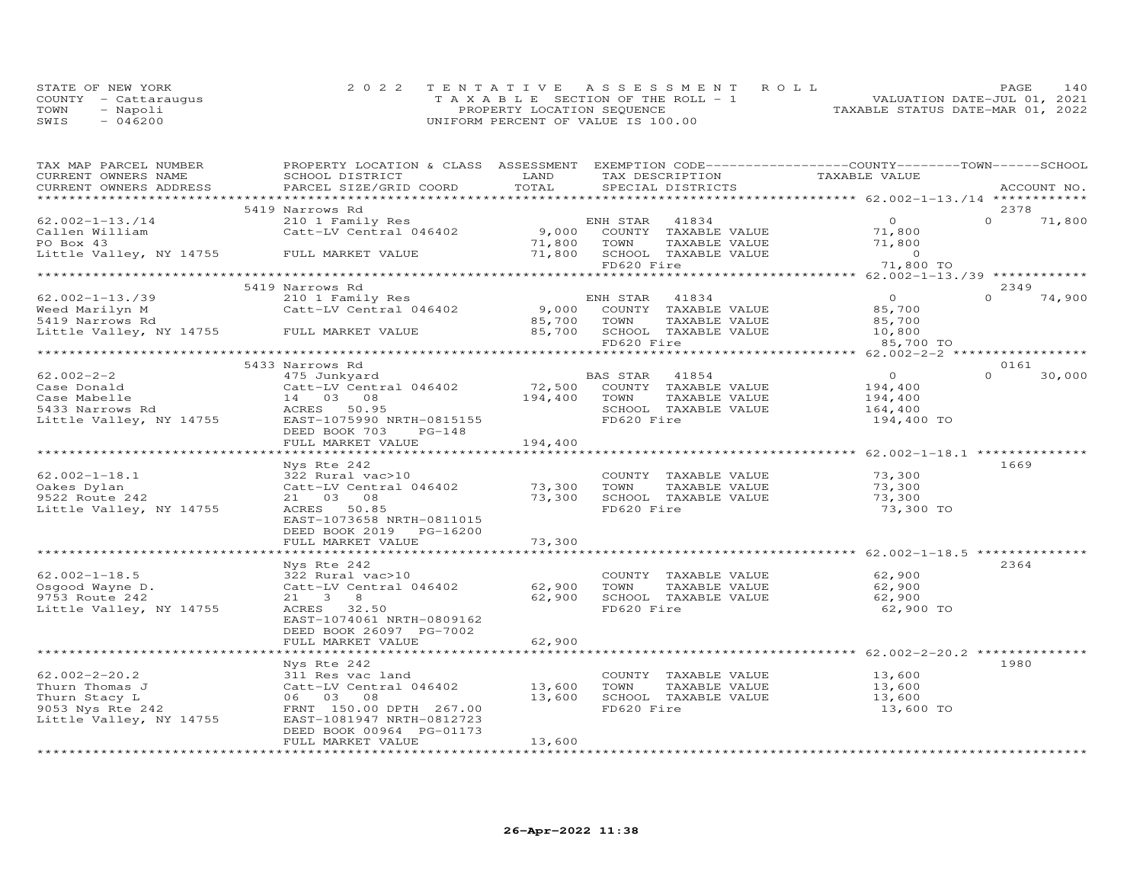|      | STATE OF NEW YORK    | 2022 TENTATIVE ASSESSMENT ROLL           | 140<br>PAGE.                     |
|------|----------------------|------------------------------------------|----------------------------------|
|      | COUNTY - Cattaraugus | $T A X A B L E$ SECTION OF THE ROLL $-1$ | VALUATION DATE-JUL 01, 2021      |
| TOWN | - Napoli             | PROPERTY LOCATION SEOUENCE               | TAXABLE STATUS DATE-MAR 01, 2022 |
| SWIS | $-046200$            | UNIFORM PERCENT OF VALUE IS 100.00       |                                  |

| TAX MAP PARCEL NUMBER                        | PROPERTY LOCATION & CLASS ASSESSMENT EXEMPTION CODE----------------COUNTY-------TOWN-----SCHOOL                                                                                                                                                                                                                                              |              |                                                 |                                                                  |                       |
|----------------------------------------------|----------------------------------------------------------------------------------------------------------------------------------------------------------------------------------------------------------------------------------------------------------------------------------------------------------------------------------------------|--------------|-------------------------------------------------|------------------------------------------------------------------|-----------------------|
| CURRENT OWNERS NAME                          | SCHOOL DISTRICT                                                                                                                                                                                                                                                                                                                              | LAND         | TAX DESCRIPTION                                 | TAXABLE VALUE                                                    |                       |
| CURRENT OWNERS ADDRESS                       | PARCEL SIZE/GRID COORD                                                                                                                                                                                                                                                                                                                       | TOTAL        | SPECIAL DISTRICTS                               |                                                                  | ACCOUNT NO.           |
|                                              |                                                                                                                                                                                                                                                                                                                                              |              |                                                 |                                                                  |                       |
|                                              | 5419 Narrows Rd                                                                                                                                                                                                                                                                                                                              |              |                                                 |                                                                  | 2378                  |
|                                              |                                                                                                                                                                                                                                                                                                                                              |              |                                                 | $\overline{O}$                                                   | $0 \t 71,800$         |
|                                              |                                                                                                                                                                                                                                                                                                                                              |              |                                                 | 71,800                                                           |                       |
| PO Box 43                                    |                                                                                                                                                                                                                                                                                                                                              |              | 71,800 TOWN                                     |                                                                  |                       |
| Little Valley, NY 14755 FULL MARKET VALUE    |                                                                                                                                                                                                                                                                                                                                              |              | 71,800 SCHOOL TAXABLE VALUE<br>FD620 Fire       |                                                                  |                       |
|                                              |                                                                                                                                                                                                                                                                                                                                              |              |                                                 | 71,800 TO                                                        |                       |
|                                              |                                                                                                                                                                                                                                                                                                                                              |              |                                                 |                                                                  |                       |
| $62.002 - 1 - 13.739$                        | 5419 Narrows Rd                                                                                                                                                                                                                                                                                                                              |              |                                                 |                                                                  | 2349<br>$0 \t 74,900$ |
| Weed Marilyn M                               | 210 1 Family Res<br>Catt-LV Central 046402                                                                                                                                                                                                                                                                                                   |              | ENH STAR 41834<br>9,000 COUNTY TAXABLE VALUE    | $\begin{array}{c} 0 \\ 85,700 \end{array}$                       |                       |
| 5419 Narrows Rd                              |                                                                                                                                                                                                                                                                                                                                              |              | 85,700 TOWN TAXABLE VALUE                       | 85,700                                                           |                       |
| Little Valley, NY 14755 FULL MARKET VALUE    |                                                                                                                                                                                                                                                                                                                                              |              | 85,700 SCHOOL TAXABLE VALUE 10,800              |                                                                  |                       |
|                                              |                                                                                                                                                                                                                                                                                                                                              |              | FD620 Fire                                      | 85,700 TO                                                        |                       |
|                                              |                                                                                                                                                                                                                                                                                                                                              |              |                                                 |                                                                  |                       |
|                                              | 5433 Narrows Rd                                                                                                                                                                                                                                                                                                                              |              |                                                 |                                                                  | 0161                  |
| $62.002 - 2 - 2$                             | 475 Junkyard                                                                                                                                                                                                                                                                                                                                 |              | BAS STAR 41854                                  | $\overline{O}$                                                   | $\Omega$<br>30,000    |
|                                              |                                                                                                                                                                                                                                                                                                                                              |              |                                                 | 194,400                                                          |                       |
|                                              |                                                                                                                                                                                                                                                                                                                                              |              |                                                 | 194,400                                                          |                       |
|                                              |                                                                                                                                                                                                                                                                                                                                              |              | SCHOOL TAXABLE VALUE 164,400                    |                                                                  |                       |
|                                              | Case Donald<br>Case Mabelle<br>Case Mabelle<br>Case Mabelle<br>Case Mabelle<br>Case Mabelle<br>Case Mabelle<br>Case Mabelle<br>20 08<br>Case Marrows Rd<br>20 08<br>20 194,400<br>20 TOWN<br>20 194,400<br>20 TOWN<br>20 194,400<br>20 TOWN<br>20 TOWN<br>20 TOWN<br>                                                                        |              |                                                 | 194,400 TO                                                       |                       |
|                                              | DEED BOOK 703<br>PG-148                                                                                                                                                                                                                                                                                                                      |              |                                                 |                                                                  |                       |
|                                              | FULL MARKET VALUE                                                                                                                                                                                                                                                                                                                            | 194,400      |                                                 |                                                                  |                       |
|                                              |                                                                                                                                                                                                                                                                                                                                              |              |                                                 |                                                                  |                       |
|                                              | Nys Rte 242                                                                                                                                                                                                                                                                                                                                  |              |                                                 |                                                                  | 1669                  |
| $62.002 - 1 - 18.1$                          | 322 Rural vac>10                                                                                                                                                                                                                                                                                                                             |              | COUNTY TAXABLE VALUE 73,300                     |                                                                  |                       |
| Oakes Dylan<br>Uares Dylan<br>9522 Route 242 | Catt-LV Central 046402<br>21 03 08 73,300 SCHOOL TAXABLE VALUE 73,300<br>ACRES 50.85 FD620 Fire FORD Fire 73.300                                                                                                                                                                                                                             |              |                                                 |                                                                  |                       |
|                                              |                                                                                                                                                                                                                                                                                                                                              |              |                                                 |                                                                  |                       |
| Little Valley, NY 14755                      | ACRES 50.85                                                                                                                                                                                                                                                                                                                                  |              | FD620 Fire                                      | 73,300 TO                                                        |                       |
|                                              | EAST-1073658 NRTH-0811015                                                                                                                                                                                                                                                                                                                    |              |                                                 |                                                                  |                       |
|                                              | DEED BOOK 2019 PG-16200                                                                                                                                                                                                                                                                                                                      |              |                                                 |                                                                  |                       |
|                                              | FULL MARKET VALUE                                                                                                                                                                                                                                                                                                                            | 73,300       |                                                 |                                                                  |                       |
|                                              | *****************************                                                                                                                                                                                                                                                                                                                | ************ |                                                 | ************************************62.002-1-18.5 ************** |                       |
|                                              | Nys Rte 242                                                                                                                                                                                                                                                                                                                                  |              |                                                 |                                                                  | 2364                  |
| $62.002 - 1 - 18.5$                          | $322$ Rural vac>10 (OUNT Catt-LV Central 046402 62,900 TOWN                                                                                                                                                                                                                                                                                  |              | COUNTY TAXABLE VALUE<br>TOWN      TAXABLE VALUE | 62,900<br>62,900                                                 |                       |
| Osgood Wayne D.                              | $21 \t 3 \t 8$                                                                                                                                                                                                                                                                                                                               |              |                                                 |                                                                  |                       |
| 9753 Route 242                               | ACRES 32.50                                                                                                                                                                                                                                                                                                                                  |              | 62,900 SCHOOL TAXABLE VALUE<br>FD620 Fire       | 62,900                                                           |                       |
| Little Valley, NY 14755                      | EAST-1074061 NRTH-0809162                                                                                                                                                                                                                                                                                                                    |              |                                                 | 62,900 TO                                                        |                       |
|                                              | DEED BOOK 26097 PG-7002                                                                                                                                                                                                                                                                                                                      |              |                                                 |                                                                  |                       |
|                                              | FULL MARKET VALUE                                                                                                                                                                                                                                                                                                                            | 62,900       |                                                 |                                                                  |                       |
|                                              |                                                                                                                                                                                                                                                                                                                                              |              |                                                 |                                                                  |                       |
|                                              | Nys Rte 242                                                                                                                                                                                                                                                                                                                                  |              |                                                 |                                                                  | 1980                  |
|                                              | $311$ Res vac land                                                                                                                                                                                                                                                                                                                           |              | COUNTY TAXABLE VALUE                            | 13,600                                                           |                       |
|                                              |                                                                                                                                                                                                                                                                                                                                              |              | TOWN                                            |                                                                  |                       |
|                                              | 62.002-2-20.2<br>Thurn Thomas J<br>Thurn Stacy L<br>Thurn Stacy L<br>9053 Nys Rte 242<br>9053 Nys Rte 242<br>$\begin{array}{ccc}\n & 311 \text{ Res } \text{vac } \text{land} \\  & \text{Catt-LV } \text{Central } 046402 \\  & 06 & 03 & 08 \\  & \text{FRNT } 150.00 \text{ DPTH } 267.00 \\  & \text{TRNT } 0310722\n\end{array}$ 13,600 |              | SCHOOL TAXABLE VALUE                            | TAXABLE VALUE 13,600<br>TAXABLE VALUE 13,600                     |                       |
|                                              |                                                                                                                                                                                                                                                                                                                                              |              | FD620 Fire                                      | 13,600 TO                                                        |                       |
| Little Valley, NY 14755                      | EAST-1081947 NRTH-0812723                                                                                                                                                                                                                                                                                                                    |              |                                                 |                                                                  |                       |
|                                              | DEED BOOK 00964 PG-01173                                                                                                                                                                                                                                                                                                                     |              |                                                 |                                                                  |                       |
|                                              | FULL MARKET VALUE                                                                                                                                                                                                                                                                                                                            | 13,600       |                                                 |                                                                  |                       |
|                                              |                                                                                                                                                                                                                                                                                                                                              |              |                                                 |                                                                  |                       |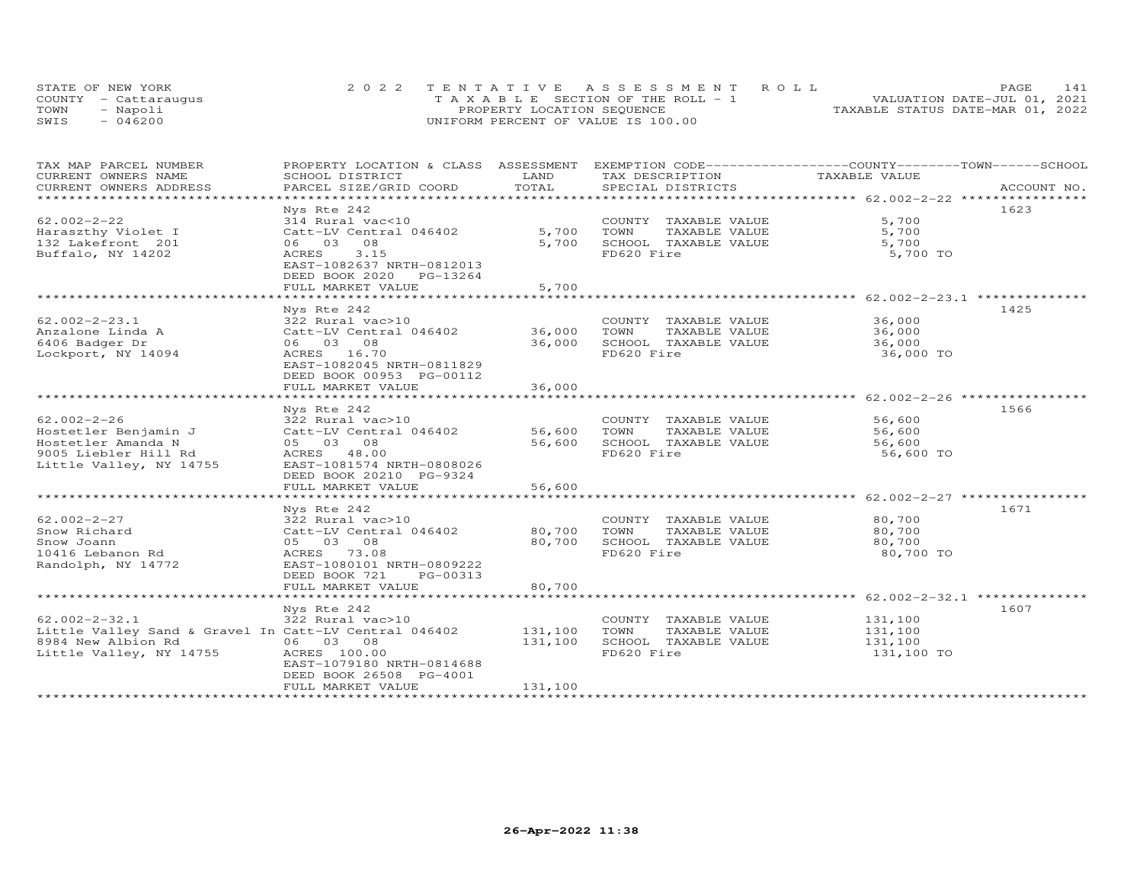| STATE OF NEW YORK    | 2022 TENTATIVE ASSESSMENT ROLL        | 141<br><b>PAGE</b>               |
|----------------------|---------------------------------------|----------------------------------|
| COUNTY - Cattaraugus | T A X A B L E SECTION OF THE ROLL - 1 | VALUATION DATE-JUL 01, 2021      |
| TOWN<br>- Napoli     | PROPERTY LOCATION SEQUENCE            | TAXABLE STATUS DATE-MAR 01, 2022 |
| $-046200$<br>SWIS    | UNIFORM PERCENT OF VALUE IS 100.00    |                                  |

| TAX MAP PARCEL NUMBER                                 | PROPERTY LOCATION & CLASS ASSESSMENT                  | LAND    | EXEMPTION CODE-----------------COUNTY-------TOWN------SCHOOL |                                                   |             |
|-------------------------------------------------------|-------------------------------------------------------|---------|--------------------------------------------------------------|---------------------------------------------------|-------------|
| CURRENT OWNERS NAME<br>CURRENT OWNERS ADDRESS         | SCHOOL DISTRICT<br>PARCEL SIZE/GRID COORD             | TOTAL   | TAX DESCRIPTION<br>SPECIAL DISTRICTS                         | TAXABLE VALUE                                     | ACCOUNT NO. |
| ***********************                               |                                                       |         |                                                              |                                                   |             |
|                                                       | Nys Rte 242                                           |         |                                                              |                                                   | 1623        |
| $62.002 - 2 - 22$                                     | 314 Rural vac<10                                      |         | COUNTY TAXABLE VALUE                                         | 5,700                                             |             |
| Haraszthy Violet I                                    | Catt-LV Central 046402                                | 5,700   | TOWN<br>TAXABLE VALUE                                        | 5,700                                             |             |
| 132 Lakefront 201                                     | 06 03 08                                              | 5,700   | SCHOOL TAXABLE VALUE                                         | 5,700                                             |             |
| Buffalo, NY 14202                                     | 3.15<br>ACRES<br>EAST-1082637 NRTH-0812013            |         | FD620 Fire                                                   | 5,700 TO                                          |             |
|                                                       | DEED BOOK 2020<br>PG-13264                            |         |                                                              |                                                   |             |
|                                                       | FULL MARKET VALUE<br>**********************           | 5,700   |                                                              | ******************* 62.002-2-23.1 *************** |             |
|                                                       | Nys Rte 242                                           |         |                                                              |                                                   | 1425        |
| $62.002 - 2 - 23.1$                                   | 322 Rural vac>10                                      |         | COUNTY TAXABLE VALUE                                         | 36,000                                            |             |
| Anzalone Linda A                                      | Catt-LV Central 046402                                | 36,000  | TOWN<br>TAXABLE VALUE                                        | 36,000                                            |             |
| 6406 Badger Dr                                        | 06 03 08                                              | 36,000  | SCHOOL TAXABLE VALUE                                         | 36,000                                            |             |
| Lockport, NY 14094                                    | ACRES 16.70                                           |         | FD620 Fire                                                   | 36,000 TO                                         |             |
|                                                       | EAST-1082045 NRTH-0811829<br>DEED BOOK 00953 PG-00112 |         |                                                              |                                                   |             |
|                                                       | FULL MARKET VALUE                                     | 36,000  |                                                              |                                                   |             |
|                                                       | · * * * * * * * * * * * * * * * * *                   | ******* |                                                              | ******************** 62.002-2-26 ***********      |             |
|                                                       | Nys Rte 242                                           |         |                                                              |                                                   | 1566        |
| $62.002 - 2 - 26$                                     | 322 Rural vac>10                                      |         | COUNTY TAXABLE VALUE                                         | 56,600                                            |             |
| Hostetler Benjamin J                                  | Catt-LV Central 046402                                | 56,600  | TOWN<br>TAXABLE VALUE                                        | 56,600                                            |             |
| Hostetler Amanda N                                    | 05 03 08                                              | 56,600  | SCHOOL TAXABLE VALUE                                         | 56,600                                            |             |
| 9005 Liebler Hill Rd                                  | ACRES 48.00                                           |         | FD620 Fire                                                   | 56,600 TO                                         |             |
| Little Valley, NY 14755                               | EAST-1081574 NRTH-0808026                             |         |                                                              |                                                   |             |
|                                                       | DEED BOOK 20210 PG-9324                               |         |                                                              |                                                   |             |
|                                                       | FULL MARKET VALUE                                     | 56,600  |                                                              |                                                   |             |
|                                                       | Nys Rte 242                                           |         |                                                              |                                                   | 1671        |
| $62.002 - 2 - 27$                                     | 322 Rural vac>10                                      |         | COUNTY TAXABLE VALUE                                         | 80,700                                            |             |
| Snow Richard                                          | Catt-LV Central 046402                                | 80,700  | TOWN<br>TAXABLE VALUE                                        | 80,700                                            |             |
| Snow Joann                                            | 05 03 08                                              | 80,700  | SCHOOL TAXABLE VALUE                                         | 80,700                                            |             |
| 10416 Lebanon Rd                                      | ACRES 73.08                                           |         | FD620 Fire                                                   | 80,700 TO                                         |             |
| Randolph, NY 14772                                    | EAST-1080101 NRTH-0809222                             |         |                                                              |                                                   |             |
|                                                       | DEED BOOK 721<br>PG-00313                             |         |                                                              |                                                   |             |
|                                                       | FULL MARKET VALUE                                     | 80,700  |                                                              |                                                   |             |
|                                                       | *********************                                 |         |                                                              |                                                   |             |
|                                                       | Nys Rte 242                                           |         |                                                              |                                                   | 1607        |
| $62.002 - 2 - 32.1$                                   | 322 Rural vac>10                                      |         | COUNTY TAXABLE VALUE                                         | 131,100                                           |             |
| Little Valley Sand & Gravel In Catt-LV Central 046402 |                                                       | 131,100 | TOWN<br>TAXABLE VALUE                                        | 131,100                                           |             |
| 8984 New Albion Rd                                    | 06 03 08                                              | 131,100 | SCHOOL TAXABLE VALUE                                         | 131,100                                           |             |
| Little Valley, NY 14755                               | ACRES 100.00                                          |         | FD620 Fire                                                   | 131,100 TO                                        |             |
|                                                       | EAST-1079180 NRTH-0814688                             |         |                                                              |                                                   |             |
|                                                       | DEED BOOK 26508 PG-4001                               |         |                                                              |                                                   |             |
|                                                       | FULL MARKET VALUE                                     | 131,100 |                                                              |                                                   |             |
|                                                       |                                                       |         |                                                              |                                                   |             |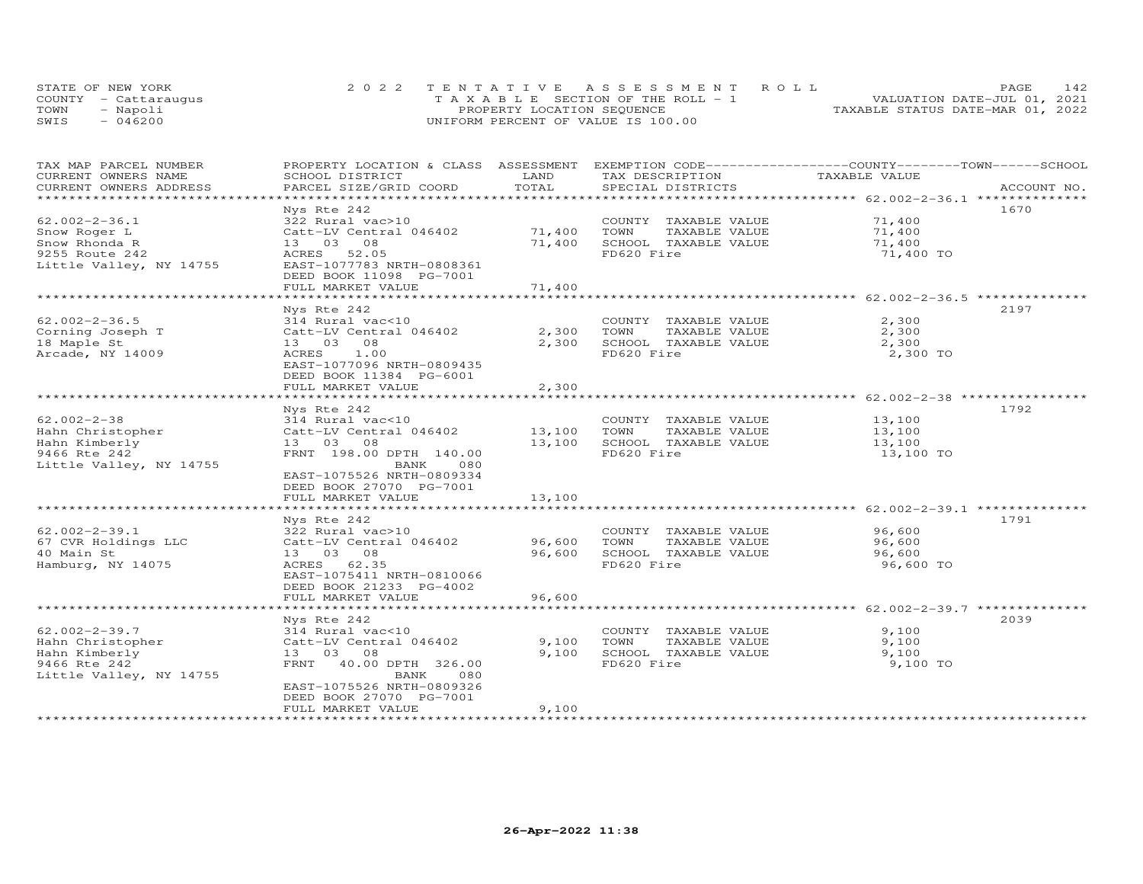| STATE OF NEW YORK    | 2022 TENTATIVE ASSESSMENT ROLL        | 142<br><b>PAGE</b>               |
|----------------------|---------------------------------------|----------------------------------|
| COUNTY - Cattaraugus | T A X A B L E SECTION OF THE ROLL - 1 | VALUATION DATE-JUL 01, 2021      |
| TOWN<br>- Napoli     | PROPERTY LOCATION SEQUENCE            | TAXABLE STATUS DATE-MAR 01, 2022 |
| $-046200$<br>SWIS    | UNIFORM PERCENT OF VALUE IS 100.00    |                                  |

| TAX MAP PARCEL NUMBER   | PROPERTY LOCATION & CLASS ASSESSMENT               |                | EXEMPTION CODE-----------------COUNTY-------TOWN------SCHOOL |                                                                 |             |
|-------------------------|----------------------------------------------------|----------------|--------------------------------------------------------------|-----------------------------------------------------------------|-------------|
| CURRENT OWNERS NAME     | SCHOOL DISTRICT                                    | LAND           | TAX DESCRIPTION                                              | TAXABLE VALUE                                                   |             |
| CURRENT OWNERS ADDRESS  | PARCEL SIZE/GRID COORD                             | TOTAL          | SPECIAL DISTRICTS                                            |                                                                 | ACCOUNT NO. |
|                         |                                                    |                |                                                              | ************************ 62.002-2-36.1 ***************          |             |
|                         | Nys Rte 242                                        |                |                                                              |                                                                 | 1670        |
| $62.002 - 2 - 36.1$     | 322 Rural vac>10                                   |                | COUNTY TAXABLE VALUE                                         | 71,400                                                          |             |
| Snow Roger L            | Catt-LV Central 046402                             | 71,400         | TOWN<br>TAXABLE VALUE                                        | 71,400                                                          |             |
| Snow Rhonda R           | 13 03 08                                           | 71,400         | SCHOOL TAXABLE VALUE                                         | 71,400                                                          |             |
| 9255 Route 242          | 52.05<br>ACRES                                     |                | FD620 Fire                                                   | 71,400 TO                                                       |             |
| Little Valley, NY 14755 | EAST-1077783 NRTH-0808361                          |                |                                                              |                                                                 |             |
|                         | DEED BOOK 11098 PG-7001                            |                |                                                              |                                                                 |             |
|                         | FULL MARKET VALUE                                  | 71,400         |                                                              |                                                                 |             |
|                         | *************************                          |                |                                                              | ***********************************62.002-2-36.5 ************** |             |
|                         | Nys Rte 242                                        |                |                                                              |                                                                 | 2197        |
| $62.002 - 2 - 36.5$     | 314 Rural vac<10                                   |                | COUNTY TAXABLE VALUE                                         | 2,300                                                           |             |
| Corning Joseph T        | Catt-LV Central 046402                             | 2,300          | TOWN<br>TAXABLE VALUE                                        | 2,300                                                           |             |
| 18 Maple St             | 13 03 08                                           | 2,300          | SCHOOL TAXABLE VALUE                                         | 2,300                                                           |             |
| Arcade, NY 14009        | 1.00<br>ACRES                                      |                | FD620 Fire                                                   | 2,300 TO                                                        |             |
|                         | EAST-1077096 NRTH-0809435                          |                |                                                              |                                                                 |             |
|                         | DEED BOOK 11384 PG-6001                            |                |                                                              |                                                                 |             |
|                         |                                                    | 2,300          |                                                              |                                                                 |             |
|                         | FULL MARKET VALUE<br>***************************** | ************** |                                                              | ************************ 62.002-2-38 *****************          |             |
|                         |                                                    |                |                                                              |                                                                 | 1792        |
|                         | Nys Rte 242                                        |                |                                                              |                                                                 |             |
| $62.002 - 2 - 38$       | 314 Rural vac<10                                   |                | COUNTY TAXABLE VALUE                                         | 13,100                                                          |             |
| Hahn Christopher        | Catt-LV Central 046402                             | 13,100         | TAXABLE VALUE<br>TOWN                                        | 13,100                                                          |             |
| Hahn Kimberly           | 13 03 08                                           | 13,100         | SCHOOL TAXABLE VALUE                                         | 13,100                                                          |             |
| 9466 Rte 242            | FRNT 198.00 DPTH 140.00                            |                | FD620 Fire                                                   | 13,100 TO                                                       |             |
| Little Valley, NY 14755 | <b>BANK</b><br>080                                 |                |                                                              |                                                                 |             |
|                         | EAST-1075526 NRTH-0809334                          |                |                                                              |                                                                 |             |
|                         | DEED BOOK 27070 PG-7001                            |                |                                                              |                                                                 |             |
|                         | FULL MARKET VALUE                                  | 13,100         |                                                              |                                                                 |             |
|                         |                                                    |                |                                                              | ******************************** 62.002-2-39.1 **************   |             |
|                         | Nys Rte 242                                        |                |                                                              |                                                                 | 1791        |
| $62.002 - 2 - 39.1$     | 322 Rural vac>10                                   |                | COUNTY TAXABLE VALUE                                         | 96,600                                                          |             |
| 67 CVR Holdings LLC     | Catt-LV Central 046402                             | 96,600         | TOWN<br>TAXABLE VALUE                                        | 96,600                                                          |             |
| 40 Main St              | 13 03 08                                           | 96,600         | SCHOOL TAXABLE VALUE                                         | 96,600                                                          |             |
| Hamburg, NY 14075       | ACRES 62.35                                        |                | FD620 Fire                                                   | 96,600 TO                                                       |             |
|                         | EAST-1075411 NRTH-0810066                          |                |                                                              |                                                                 |             |
|                         | DEED BOOK 21233 PG-4002                            |                |                                                              |                                                                 |             |
|                         | FULL MARKET VALUE                                  | 96,600         |                                                              |                                                                 |             |
|                         |                                                    |                |                                                              | *********************** 62.002-2-39.7 ***********               |             |
|                         | Nys Rte 242                                        |                |                                                              |                                                                 | 2039        |
| $62.002 - 2 - 39.7$     | 314 Rural vac<10                                   |                | COUNTY TAXABLE VALUE                                         | 9,100                                                           |             |
| Hahn Christopher        | Catt-LV Central 046402                             | 9,100          | TOWN<br>TAXABLE VALUE                                        | 9,100                                                           |             |
| Hahn Kimberly           | 13 03<br>08                                        | 9,100          | SCHOOL TAXABLE VALUE                                         | 9,100                                                           |             |
| 9466 Rte 242            | FRNT<br>40.00 DPTH 326.00                          |                | FD620 Fire                                                   | 9,100 TO                                                        |             |
| Little Valley, NY 14755 | BANK<br>080                                        |                |                                                              |                                                                 |             |
|                         | EAST-1075526 NRTH-0809326                          |                |                                                              |                                                                 |             |
|                         | DEED BOOK 27070 PG-7001                            |                |                                                              |                                                                 |             |
|                         | FULL MARKET VALUE                                  | 9,100          |                                                              |                                                                 |             |
|                         | *********************                              |                |                                                              |                                                                 |             |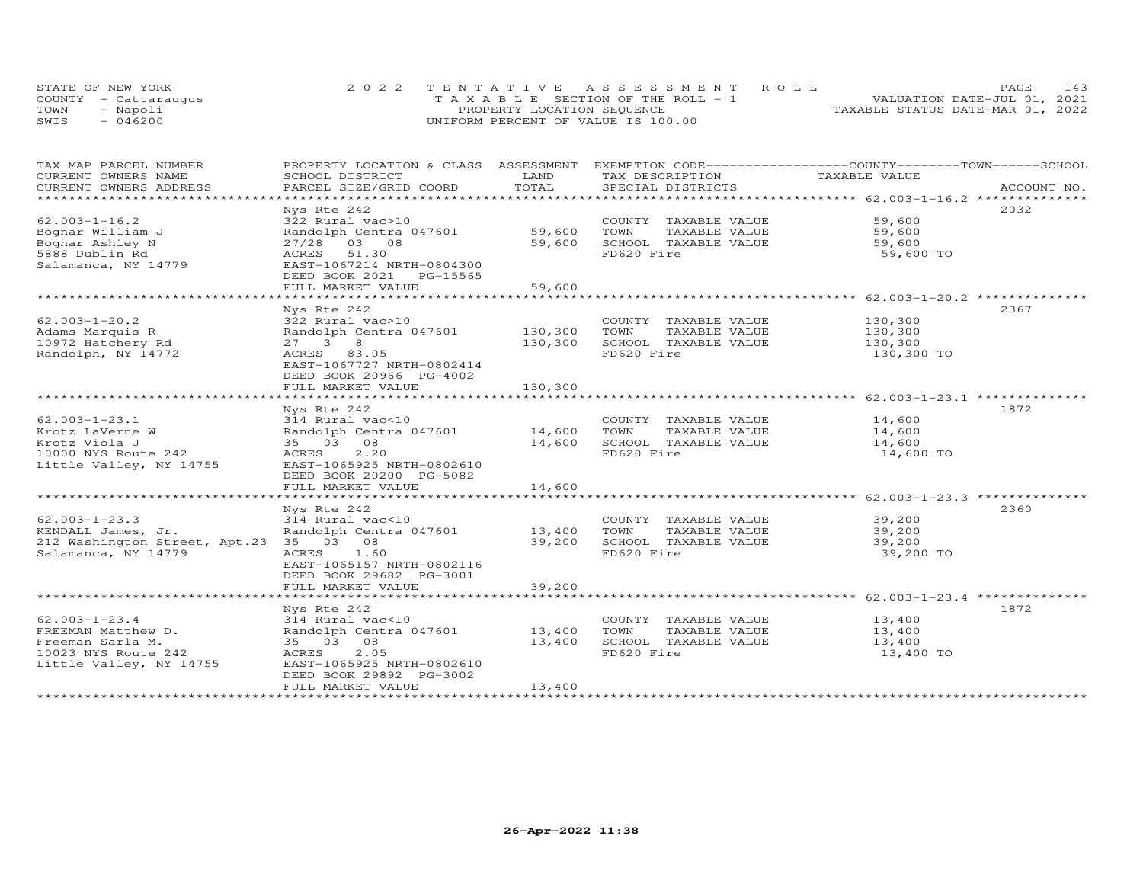|      | STATE OF NEW YORK    | 2022 TENTATIVE ASSESSMENT ROLL          | 143<br><b>PAGE</b>               |
|------|----------------------|-----------------------------------------|----------------------------------|
|      | COUNTY - Cattaraugus | $T A X A B L E$ SECTION OF THE ROLL - 1 | VALUATION DATE-JUL 01, 2021      |
| TOWN | - Napoli             | PROPERTY LOCATION SEQUENCE              | TAXABLE STATUS DATE-MAR 01, 2022 |
| SWIS | $-046200$            | UNIFORM PERCENT OF VALUE IS 100.00      |                                  |

| TAX MAP PARCEL NUMBER<br>CURRENT OWNERS NAME | PROPERTY LOCATION & CLASS ASSESSMENT EXEMPTION CODE----------------COUNTY-------TOWN-----SCHOOL<br>SCHOOL DISTRICT | LAND           | TAX DESCRIPTION                               | TAXABLE VALUE                                   |             |
|----------------------------------------------|--------------------------------------------------------------------------------------------------------------------|----------------|-----------------------------------------------|-------------------------------------------------|-------------|
| CURRENT OWNERS ADDRESS                       | PARCEL SIZE/GRID COORD                                                                                             | TOTAL          | SPECIAL DISTRICTS                             |                                                 | ACCOUNT NO. |
| *************************                    |                                                                                                                    |                |                                               |                                                 |             |
|                                              | Nys Rte 242                                                                                                        |                |                                               |                                                 | 2032        |
| $62.003 - 1 - 16.2$                          | 322 Rural vac>10                                                                                                   |                | COUNTY TAXABLE VALUE                          | 59,600                                          |             |
| Bognar William J                             | Randolph Centra 047601                                                                                             | 59,600         | TOWN<br>TAXABLE VALUE                         | 59,600                                          |             |
| Bognar Ashley N                              | 27/28 03 08                                                                                                        | 59,600         | SCHOOL TAXABLE VALUE                          | 59,600                                          |             |
| 5888 Dublin Rd                               | ACRES<br>51.30                                                                                                     |                | FD620 Fire                                    | 59,600 TO                                       |             |
| Salamanca, NY 14779                          | EAST-1067214 NRTH-0804300                                                                                          |                |                                               |                                                 |             |
|                                              | DEED BOOK 2021<br>PG-15565                                                                                         |                |                                               |                                                 |             |
|                                              | FULL MARKET VALUE                                                                                                  | 59,600         |                                               |                                                 |             |
|                                              | ************************                                                                                           | ***********    |                                               |                                                 |             |
|                                              | Nys Rte 242                                                                                                        |                |                                               |                                                 | 2367        |
| $62.003 - 1 - 20.2$                          | 322 Rural vac>10                                                                                                   |                | COUNTY TAXABLE VALUE                          | 130,300                                         |             |
| Adams Marquis R<br>10972 Hatchery Rd         | Randolph Centra 047601<br>27 3 8                                                                                   | 130,300        | TOWN<br>TAXABLE VALUE<br>SCHOOL TAXABLE VALUE | 130,300                                         |             |
| Randolph, NY 14772                           | ACRES 83.05                                                                                                        | 130,300        | FD620 Fire                                    | 130,300<br>130,300 TO                           |             |
|                                              | EAST-1067727 NRTH-0802414                                                                                          |                |                                               |                                                 |             |
|                                              | DEED BOOK 20966 PG-4002                                                                                            |                |                                               |                                                 |             |
|                                              | FULL MARKET VALUE                                                                                                  | 130,300        |                                               |                                                 |             |
|                                              | ***********************                                                                                            | ************** |                                               | *********************** 62.003-1-23.1 ********* |             |
|                                              | Nys Rte 242                                                                                                        |                |                                               |                                                 | 1872        |
| $62.003 - 1 - 23.1$                          | 314 Rural vac<10                                                                                                   |                | COUNTY TAXABLE VALUE                          | 14,600                                          |             |
| Krotz LaVerne W                              | Randolph Centra 047601                                                                                             | 14,600         | TOWN<br>TAXABLE VALUE                         | 14,600                                          |             |
| Krotz Viola J                                | 35 03 08                                                                                                           | 14,600         | SCHOOL TAXABLE VALUE                          | 14,600                                          |             |
| 10000 NYS Route 242                          | 2.20<br>ACRES                                                                                                      |                | FD620 Fire                                    | 14,600 TO                                       |             |
| Little Valley, NY 14755                      | EAST-1065925 NRTH-0802610                                                                                          |                |                                               |                                                 |             |
|                                              | DEED BOOK 20200 PG-5082                                                                                            |                |                                               |                                                 |             |
|                                              | FULL MARKET VALUE                                                                                                  | 14,600         |                                               |                                                 |             |
|                                              |                                                                                                                    |                |                                               |                                                 |             |
|                                              | Nys Rte 242                                                                                                        |                |                                               |                                                 | 2360        |
| $62.003 - 1 - 23.3$                          | 314 Rural vac<10                                                                                                   |                | COUNTY TAXABLE VALUE                          | 39,200                                          |             |
| KENDALL James, Jr.                           | Randolph Centra 047601                                                                                             | 13,400         | TOWN<br>TAXABLE VALUE                         | 39,200                                          |             |
| 212 Washington Street, Apt.23                | 35 03 08                                                                                                           | 39,200         | SCHOOL TAXABLE VALUE<br>FD620 Fire            | 39,200                                          |             |
| Salamanca, NY 14779                          | ACRES 1.60<br>EAST-1065157 NRTH-0802116                                                                            |                |                                               | 39,200 TO                                       |             |
|                                              | DEED BOOK 29682 PG-3001                                                                                            |                |                                               |                                                 |             |
|                                              | FULL MARKET VALUE                                                                                                  | 39,200         |                                               |                                                 |             |
|                                              |                                                                                                                    |                |                                               |                                                 |             |
|                                              | Nys Rte 242                                                                                                        |                |                                               |                                                 | 1872        |
| $62.003 - 1 - 23.4$                          | 314 Rural vac<10                                                                                                   |                | COUNTY TAXABLE VALUE                          | 13,400                                          |             |
| FREEMAN Matthew D.                           | Randolph Centra 047601                                                                                             | 13,400         | TOWN<br>TAXABLE VALUE                         | 13,400                                          |             |
| Freeman Sarla M.                             | 35 03 08                                                                                                           | 13,400         | SCHOOL TAXABLE VALUE                          | 13,400                                          |             |
| 10023 NYS Route 242                          | 2.05<br>ACRES                                                                                                      |                | FD620 Fire                                    | 13,400 TO                                       |             |
| Little Valley, NY 14755                      | EAST-1065925 NRTH-0802610                                                                                          |                |                                               |                                                 |             |
|                                              | DEED BOOK 29892 PG-3002                                                                                            |                |                                               |                                                 |             |
|                                              | FULL MARKET VALUE                                                                                                  | 13,400         |                                               |                                                 |             |
| ********************                         |                                                                                                                    |                |                                               |                                                 |             |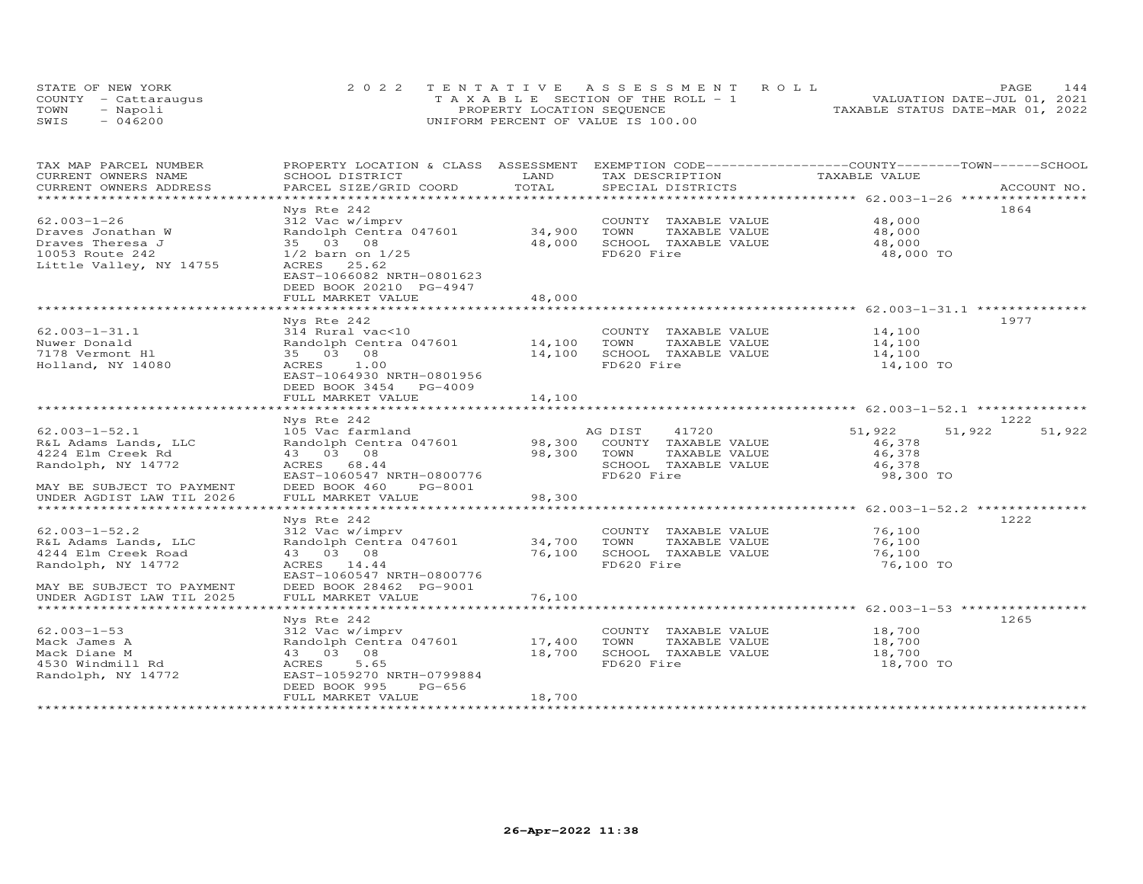| STATE OF NEW YORK    | 2022 TENTATIVE ASSESSMENT ROLL        | 144<br><b>PAGE</b>               |
|----------------------|---------------------------------------|----------------------------------|
| COUNTY - Cattaraugus | T A X A B L E SECTION OF THE ROLL - 1 | VALUATION DATE-JUL 01, 2021      |
| TOWN<br>- Napoli     | PROPERTY LOCATION SEQUENCE            | TAXABLE STATUS DATE-MAR 01, 2022 |
| SWIS<br>$-046200$    | UNIFORM PERCENT OF VALUE IS 100.00    |                                  |

| TAX MAP PARCEL NUMBER<br>CURRENT OWNERS NAME | PROPERTY LOCATION & CLASS ASSESSMENT<br>SCHOOL DISTRICT | LAND                          | EXEMPTION CODE-----------------COUNTY-------TOWN------SCHOOL<br>TAX DESCRIPTION | TAXABLE VALUE                                          |                  |
|----------------------------------------------|---------------------------------------------------------|-------------------------------|---------------------------------------------------------------------------------|--------------------------------------------------------|------------------|
| CURRENT OWNERS ADDRESS                       | PARCEL SIZE/GRID COORD                                  | TOTAL                         | SPECIAL DISTRICTS                                                               |                                                        | ACCOUNT NO.      |
|                                              |                                                         | ***************************** |                                                                                 | ************************ 62.003-1-26 ***************** |                  |
|                                              | Nys Rte 242                                             |                               |                                                                                 |                                                        | 1864             |
| $62.003 - 1 - 26$                            | 312 Vac w/imprv                                         |                               | COUNTY TAXABLE VALUE                                                            | 48,000                                                 |                  |
| Draves Jonathan W                            | Randolph Centra 047601                                  | 34,900                        | TOWN<br>TAXABLE VALUE                                                           | 48,000                                                 |                  |
| Draves Theresa J                             | 35 03 08                                                | 48,000                        | SCHOOL TAXABLE VALUE                                                            | 48,000                                                 |                  |
| 10053 Route 242                              | $1/2$ barn on $1/25$                                    |                               | FD620 Fire                                                                      | 48,000 TO                                              |                  |
| Little Valley, NY 14755                      | 25.62<br>ACRES                                          |                               |                                                                                 |                                                        |                  |
|                                              | EAST-1066082 NRTH-0801623                               |                               |                                                                                 |                                                        |                  |
|                                              | DEED BOOK 20210 PG-4947                                 |                               |                                                                                 |                                                        |                  |
|                                              | FULL MARKET VALUE                                       | 48,000                        |                                                                                 |                                                        |                  |
|                                              |                                                         |                               |                                                                                 |                                                        |                  |
|                                              | Nys Rte 242                                             |                               |                                                                                 |                                                        | 1977             |
| $62.003 - 1 - 31.1$                          | 314 Rural vac<10                                        |                               | COUNTY TAXABLE VALUE                                                            | 14,100                                                 |                  |
| Nuwer Donald                                 | Randolph Centra 047601                                  | 14,100                        | TOWN<br>TAXABLE VALUE                                                           | 14,100                                                 |                  |
| 7178 Vermont Hl                              | 35 03 08                                                | 14,100                        | SCHOOL TAXABLE VALUE                                                            | 14,100                                                 |                  |
| Holland, NY 14080                            | 1.00<br>ACRES                                           |                               | FD620 Fire                                                                      | 14,100 TO                                              |                  |
|                                              | EAST-1064930 NRTH-0801956                               |                               |                                                                                 |                                                        |                  |
|                                              | DEED BOOK 3454 PG-4009                                  |                               |                                                                                 |                                                        |                  |
|                                              | FULL MARKET VALUE                                       | 14,100                        |                                                                                 |                                                        |                  |
|                                              | *****************************                           |                               |                                                                                 |                                                        |                  |
|                                              | Nys Rte 242                                             |                               |                                                                                 |                                                        | 1222             |
| $62.003 - 1 - 52.1$                          | 105 Vac farmland                                        |                               | AG DIST 41720                                                                   | 51,922                                                 | 51,922<br>51,922 |
| R&L Adams Lands, LLC                         | Randolph Centra 047601 98,300                           |                               | COUNTY TAXABLE VALUE                                                            | 46,378                                                 |                  |
| 4224 Elm Creek Rd                            | 43 03 08                                                | 98,300                        | TOWN<br>TAXABLE VALUE                                                           | 46,378                                                 |                  |
| Randolph, NY 14772                           | 68.44<br>ACRES                                          |                               | SCHOOL TAXABLE VALUE                                                            | 46,378                                                 |                  |
|                                              | EAST-1060547 NRTH-0800776                               |                               | FD620 Fire                                                                      | 98,300 TO                                              |                  |
| MAY BE SUBJECT TO PAYMENT                    | PG-8001<br>DEED BOOK 460                                |                               |                                                                                 |                                                        |                  |
| UNDER AGDIST LAW TIL 2026                    | FULL MARKET VALUE                                       | 98,300                        |                                                                                 |                                                        |                  |
| ******************************               |                                                         |                               |                                                                                 |                                                        |                  |
|                                              | Nys Rte 242                                             |                               |                                                                                 |                                                        | 1222             |
| $62.003 - 1 - 52.2$                          | 312 Vac w/imprv                                         |                               | COUNTY TAXABLE VALUE                                                            | 76,100                                                 |                  |
| R&L Adams Lands, LLC                         | Randolph Centra 047601 34,700                           |                               | TOWN<br>TAXABLE VALUE                                                           | 76,100                                                 |                  |
| 4244 Elm Creek Road                          | 43 03 08                                                | 76,100                        | SCHOOL TAXABLE VALUE                                                            | 76,100                                                 |                  |
| Randolph, NY 14772                           | ACRES 14.44                                             |                               | FD620 Fire                                                                      | 76,100 TO                                              |                  |
|                                              | EAST-1060547 NRTH-0800776                               |                               |                                                                                 |                                                        |                  |
| MAY BE SUBJECT TO PAYMENT                    | DEED BOOK 28462 PG-9001                                 |                               |                                                                                 |                                                        |                  |
| UNDER AGDIST LAW TIL 2025                    | FULL MARKET VALUE                                       | 76,100                        |                                                                                 |                                                        |                  |
|                                              |                                                         |                               |                                                                                 |                                                        |                  |
|                                              | Nys Rte 242                                             |                               |                                                                                 |                                                        | 1265             |
| $62.003 - 1 - 53$                            | 312 Vac w/imprv                                         |                               | COUNTY TAXABLE VALUE                                                            | 18,700                                                 |                  |
| Mack James A                                 | Randolph Centra 047601 17,400                           |                               | TOWN<br>TAXABLE VALUE                                                           | 18,700                                                 |                  |
| Mack Diane M                                 | 43 03 08                                                | 18,700                        | SCHOOL TAXABLE VALUE                                                            | 18,700                                                 |                  |
| 4530 Windmill Rd                             | 5.65<br>ACRES                                           |                               | FD620 Fire                                                                      | 18,700 TO                                              |                  |
| Randolph, NY 14772                           | EAST-1059270 NRTH-0799884                               |                               |                                                                                 |                                                        |                  |
|                                              | DEED BOOK 995<br>PG-656                                 |                               |                                                                                 |                                                        |                  |
|                                              | FULL MARKET VALUE                                       | 18,700                        |                                                                                 |                                                        |                  |
|                                              |                                                         |                               | ****************************                                                    |                                                        |                  |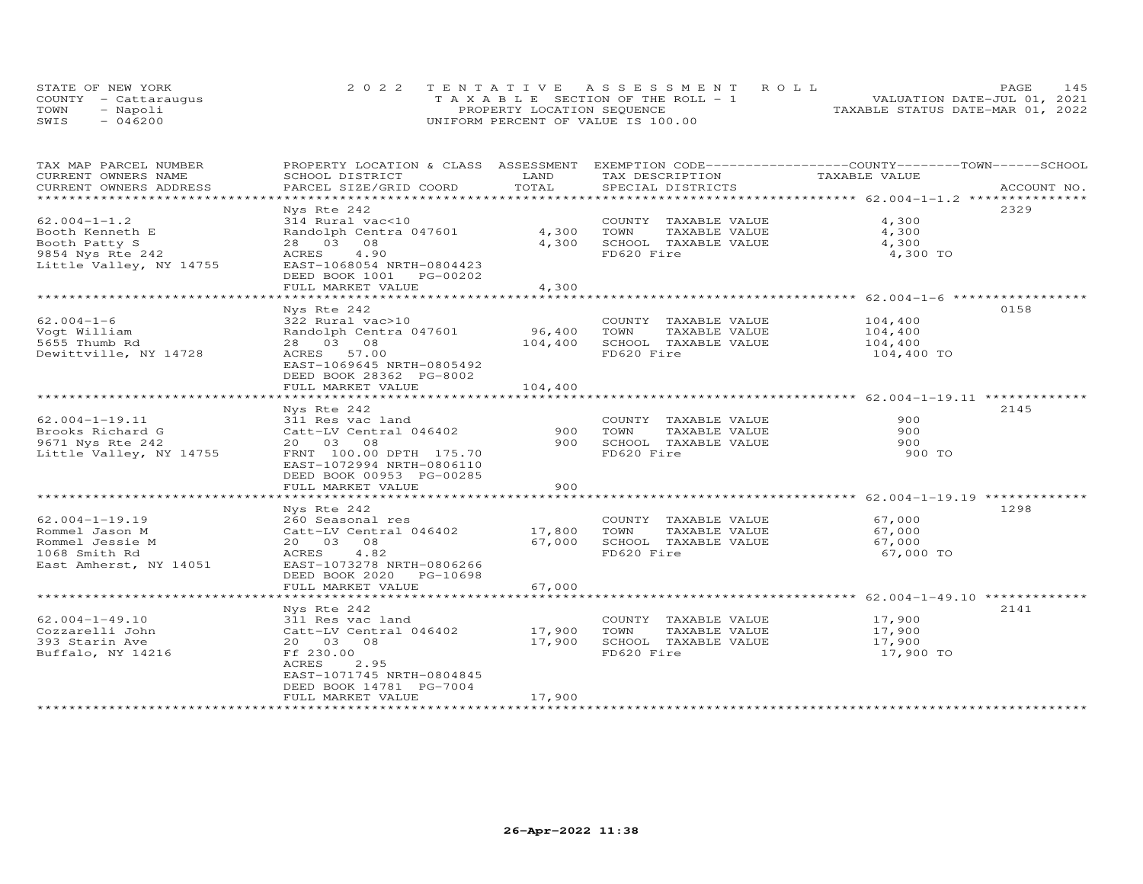| STATE OF NEW YORK    | 2022 TENTATIVE ASSESSMENT ROLL        | 145<br>PAGE.                     |
|----------------------|---------------------------------------|----------------------------------|
| COUNTY - Cattaraugus | T A X A B L E SECTION OF THE ROLL - 1 | VALUATION DATE-JUL 01, 2021      |
| TOWN<br>- Napoli     | PROPERTY LOCATION SEQUENCE            | TAXABLE STATUS DATE-MAR 01, 2022 |
| $-046200$<br>SWIS    | UNIFORM PERCENT OF VALUE IS 100.00    |                                  |

| TAX MAP PARCEL NUMBER   |                           |               |                       | PROPERTY LOCATION & CLASS ASSESSMENT EXEMPTION CODE----------------COUNTY-------TOWN------SCHOOL |  |
|-------------------------|---------------------------|---------------|-----------------------|--------------------------------------------------------------------------------------------------|--|
| CURRENT OWNERS NAME     | SCHOOL DISTRICT           | LAND          | TAX DESCRIPTION       | TAXABLE VALUE                                                                                    |  |
| CURRENT OWNERS ADDRESS  | PARCEL SIZE/GRID COORD    | TOTAL         | SPECIAL DISTRICTS     | ACCOUNT NO.                                                                                      |  |
| *********************   |                           |               |                       |                                                                                                  |  |
|                         | Nys Rte 242               |               |                       | 2329                                                                                             |  |
| $62.004 - 1 - 1.2$      | 314 Rural vac<10          |               | COUNTY TAXABLE VALUE  | 4,300                                                                                            |  |
| Booth Kenneth E         | Randolph Centra 047601    | 4,300         | TOWN<br>TAXABLE VALUE | 4,300                                                                                            |  |
| Booth Patty S           | 28 03 08                  | 4,300         | SCHOOL TAXABLE VALUE  | 4,300                                                                                            |  |
| 9854 Nys Rte 242        | 4,90<br>ACRES             |               | FD620 Fire            | 4,300 TO                                                                                         |  |
| Little Valley, NY 14755 | EAST-1068054 NRTH-0804423 |               |                       |                                                                                                  |  |
|                         | DEED BOOK 1001 PG-00202   |               |                       |                                                                                                  |  |
|                         | FULL MARKET VALUE         | 4,300         |                       |                                                                                                  |  |
|                         |                           |               |                       | ******************************** 62.004-1-6 ******************                                   |  |
|                         | Nys Rte 242               |               |                       | 0158                                                                                             |  |
| $62.004 - 1 - 6$        | 322 Rural vac>10          |               | COUNTY TAXABLE VALUE  | 104,400                                                                                          |  |
| Voqt William            | Randolph Centra 047601    | 96,400        | TAXABLE VALUE<br>TOWN | 104,400                                                                                          |  |
| 5655 Thumb Rd           | 28 03 08                  | 104,400       | SCHOOL TAXABLE VALUE  | 104,400                                                                                          |  |
| Dewittville, NY 14728   | ACRES 57.00               |               | FD620 Fire            | 104,400 TO                                                                                       |  |
|                         | EAST-1069645 NRTH-0805492 |               |                       |                                                                                                  |  |
|                         | DEED BOOK 28362 PG-8002   |               |                       |                                                                                                  |  |
|                         | FULL MARKET VALUE         | 104,400       |                       |                                                                                                  |  |
| **********************  |                           |               |                       |                                                                                                  |  |
|                         | Nys Rte 242               |               |                       | 2145                                                                                             |  |
| $62.004 - 1 - 19.11$    | 311 Res vac land          |               | COUNTY TAXABLE VALUE  | 900                                                                                              |  |
| Brooks Richard G        | Catt-LV Central 046402    | 900           | TOWN<br>TAXABLE VALUE | 900                                                                                              |  |
| 9671 Nys Rte 242        | 20 03 08                  | 900           | SCHOOL TAXABLE VALUE  | 900                                                                                              |  |
| Little Valley, NY 14755 | FRNT 100.00 DPTH 175.70   |               | FD620 Fire            | 900 TO                                                                                           |  |
|                         | EAST-1072994 NRTH-0806110 |               |                       |                                                                                                  |  |
|                         | DEED BOOK 00953 PG-00285  |               |                       |                                                                                                  |  |
|                         | FULL MARKET VALUE         | 900           |                       |                                                                                                  |  |
|                         |                           |               |                       |                                                                                                  |  |
|                         | Nys Rte 242               |               |                       | 1298                                                                                             |  |
| $62.004 - 1 - 19.19$    | 260 Seasonal res          |               | COUNTY TAXABLE VALUE  | 67,000                                                                                           |  |
| Rommel Jason M          | Catt-LV Central 046402    | 17,800        | TAXABLE VALUE<br>TOWN | 67,000                                                                                           |  |
| Rommel Jessie M         | 20  03  08                | 67,000        | SCHOOL TAXABLE VALUE  | 67,000                                                                                           |  |
| 1068 Smith Rd           | 4.82<br>ACRES             |               | FD620 Fire            | 67,000 TO                                                                                        |  |
| East Amherst, NY 14051  | EAST-1073278 NRTH-0806266 |               |                       |                                                                                                  |  |
|                         | DEED BOOK 2020 PG-10698   |               |                       |                                                                                                  |  |
|                         | FULL MARKET VALUE         | 67,000        |                       |                                                                                                  |  |
|                         | **********************    | ************* |                       |                                                                                                  |  |
|                         | Nys Rte 242               |               |                       | 2141                                                                                             |  |
| $62.004 - 1 - 49.10$    | 311 Res vac land          |               | COUNTY TAXABLE VALUE  | 17,900                                                                                           |  |
| Cozzarelli John         | Catt-LV Central 046402    | 17,900        | TOWN<br>TAXABLE VALUE | 17,900                                                                                           |  |
| 393 Starin Ave          | 20 03 08                  | 17,900        | SCHOOL TAXABLE VALUE  | 17,900                                                                                           |  |
| Buffalo, NY 14216       | Ff 230.00                 |               | FD620 Fire            | 17,900 TO                                                                                        |  |
|                         | ACRES<br>2.95             |               |                       |                                                                                                  |  |
|                         | EAST-1071745 NRTH-0804845 |               |                       |                                                                                                  |  |
|                         | DEED BOOK 14781 PG-7004   |               |                       |                                                                                                  |  |
|                         | FULL MARKET VALUE         | 17,900        |                       |                                                                                                  |  |
|                         |                           |               |                       |                                                                                                  |  |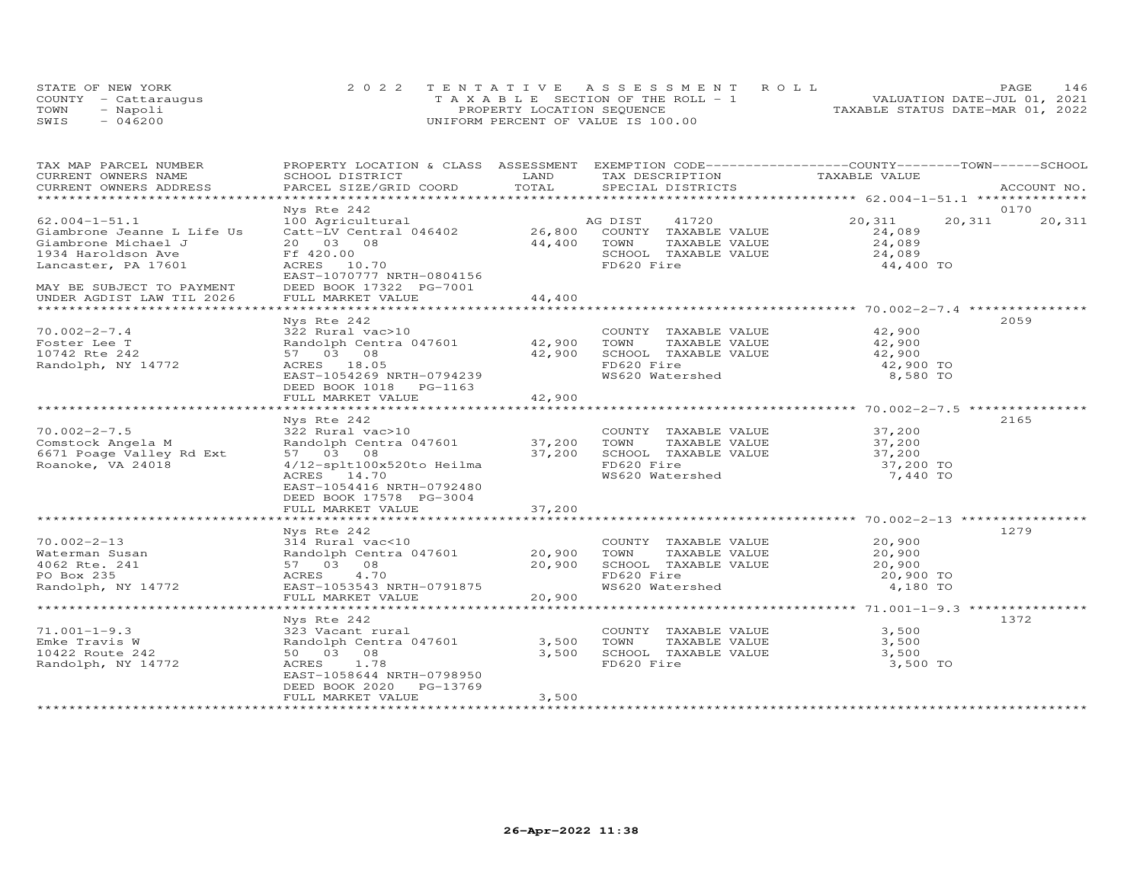| STATE OF NEW YORK    | 2022 TENTATIVE ASSESSMENT ROLL        | <b>PAGE</b>                      | 146 |
|----------------------|---------------------------------------|----------------------------------|-----|
| COUNTY - Cattaraugus | T A X A B L E SECTION OF THE ROLL - 1 | VALUATION DATE-JUL 01, 2021      |     |
| TOWN<br>- Napoli     | PROPERTY LOCATION SEQUENCE            | TAXABLE STATUS DATE-MAR 01, 2022 |     |
| $-046200$<br>SWIS    | UNIFORM PERCENT OF VALUE IS 100.00    |                                  |     |

| TAX MAP PARCEL NUMBER<br>CURRENT OWNERS NAME | PROPERTY LOCATION & CLASS ASSESSMENT<br>SCHOOL DISTRICT | LAND   | EXEMPTION CODE-----------------COUNTY-------TOWN------SCHOOL<br>TAX DESCRIPTION | TAXABLE VALUE          |                  |
|----------------------------------------------|---------------------------------------------------------|--------|---------------------------------------------------------------------------------|------------------------|------------------|
| CURRENT OWNERS ADDRESS                       | PARCEL SIZE/GRID COORD                                  | TOTAL  | SPECIAL DISTRICTS                                                               |                        | ACCOUNT NO.      |
|                                              |                                                         |        |                                                                                 |                        |                  |
|                                              | Nys Rte 242                                             |        |                                                                                 |                        | 0170             |
| $62.004 - 1 - 51.1$                          | 100 Agricultural                                        |        | 41720<br>AG DIST                                                                | 20,311                 | 20,311<br>20,311 |
| Giambrone Jeanne L Life Us                   | Catt-LV Central 046402                                  |        | 26,800 COUNTY TAXABLE VALUE                                                     | 24,089                 |                  |
| Giambrone Michael J                          | 20  03  08                                              | 44,400 | TOWN<br>TAXABLE VALUE                                                           | 24,089                 |                  |
| 1934 Haroldson Ave                           | Ff 420.00                                               |        | SCHOOL TAXABLE VALUE                                                            | 24,089                 |                  |
| Lancaster, PA 17601                          | ACRES 10.70                                             |        | FD620 Fire                                                                      | 44,400 TO              |                  |
|                                              | EAST-1070777 NRTH-0804156                               |        |                                                                                 |                        |                  |
| MAY BE SUBJECT TO PAYMENT                    | DEED BOOK 17322 PG-7001                                 |        |                                                                                 |                        |                  |
| UNDER AGDIST LAW TIL 2026                    | FULL MARKET VALUE                                       | 44,400 |                                                                                 |                        |                  |
|                                              |                                                         |        |                                                                                 |                        |                  |
|                                              | Nys Rte 242                                             |        |                                                                                 |                        | 2059             |
| $70.002 - 2 - 7.4$                           | 322 Rural vac>10                                        |        | COUNTY TAXABLE VALUE                                                            | 42,900<br>42,900       |                  |
| Foster Lee T                                 | Randolph Centra 047601                                  | 42,900 | TOWN<br>TAXABLE VALUE                                                           |                        |                  |
| 10742 Rte 242                                | 57 03 08                                                | 42,900 | SCHOOL TAXABLE VALUE                                                            | 42,900                 |                  |
| Randolph, NY 14772                           | ACRES 18.05                                             |        | FD620 Fire                                                                      | 42,900 TO              |                  |
|                                              | EAST-1054269 NRTH-0794239                               |        | WS620 Watershed                                                                 | 8,580 TO               |                  |
|                                              | DEED BOOK 1018 PG-1163                                  |        |                                                                                 |                        |                  |
|                                              | FULL MARKET VALUE                                       | 42,900 |                                                                                 |                        |                  |
|                                              |                                                         |        |                                                                                 |                        |                  |
|                                              | Nys Rte 242                                             |        |                                                                                 | 37,200                 | 2165             |
| $70.002 - 2 - 7.5$                           | 322 Rural vac>10                                        |        | COUNTY TAXABLE VALUE                                                            |                        |                  |
| Comstock Angela M                            | Randolph Centra 047601 37,200                           |        | TOWN<br>TAXABLE VALUE                                                           | $\frac{37}{200}$ , 200 |                  |
| 6671 Poage Valley Rd Ext                     | 57 03 08                                                | 37,200 | SCHOOL TAXABLE VALUE                                                            |                        |                  |
| Roanoke, VA 24018                            | 4/12-splt100x520to Heilma                               |        | FD620 Fire                                                                      | 37,200 TO              |                  |
|                                              | ACRES 14.70                                             |        | WS620 Watershed                                                                 | 7,440 TO               |                  |
|                                              | EAST-1054416 NRTH-0792480                               |        |                                                                                 |                        |                  |
|                                              | DEED BOOK 17578 PG-3004<br>FULL MARKET VALUE            | 37,200 |                                                                                 |                        |                  |
|                                              |                                                         |        |                                                                                 |                        |                  |
|                                              | Nys Rte 242                                             |        |                                                                                 |                        | 1279             |
| $70.002 - 2 - 13$                            | 314 Rural vac<10                                        |        | COUNTY TAXABLE VALUE                                                            | 20,900                 |                  |
| Waterman Susan                               | Randolph Centra 047601 20,900                           |        | TAXABLE VALUE<br>TOWN                                                           | 20,900                 |                  |
| 4062 Rte. 241                                | 57 03 08                                                | 20,900 | SCHOOL TAXABLE VALUE                                                            | 20,900                 |                  |
| PO Box 235                                   | ACRES<br>4.70                                           |        | FD620 Fire                                                                      | 20,900 TO              |                  |
| Randolph, NY 14772                           | EAST-1053543 NRTH-0791875                               |        | WS620 Watershed                                                                 | 4,180 TO               |                  |
|                                              | FULL MARKET VALUE                                       | 20,900 |                                                                                 |                        |                  |
|                                              |                                                         |        |                                                                                 |                        |                  |
|                                              | Nys Rte 242                                             |        |                                                                                 |                        | 1372             |
| $71.001 - 1 - 9.3$                           | 323 Vacant rural                                        |        | COUNTY TAXABLE VALUE                                                            | 3,500                  |                  |
| Emke Travis W                                | Randolph Centra 047601                                  | 3,500  | TAXABLE VALUE<br>TOWN                                                           | 3,500                  |                  |
| 10422 Route 242                              | 50 03 08                                                | 3,500  | SCHOOL TAXABLE VALUE                                                            | 3,500                  |                  |
| Randolph, NY 14772                           | ACRES<br>1.78                                           |        | FD620 Fire                                                                      | 3,500 TO               |                  |
|                                              | EAST-1058644 NRTH-0798950                               |        |                                                                                 |                        |                  |
|                                              | DEED BOOK 2020<br>PG-13769                              |        |                                                                                 |                        |                  |
|                                              | FULL MARKET VALUE                                       | 3,500  |                                                                                 |                        |                  |
|                                              |                                                         |        |                                                                                 |                        |                  |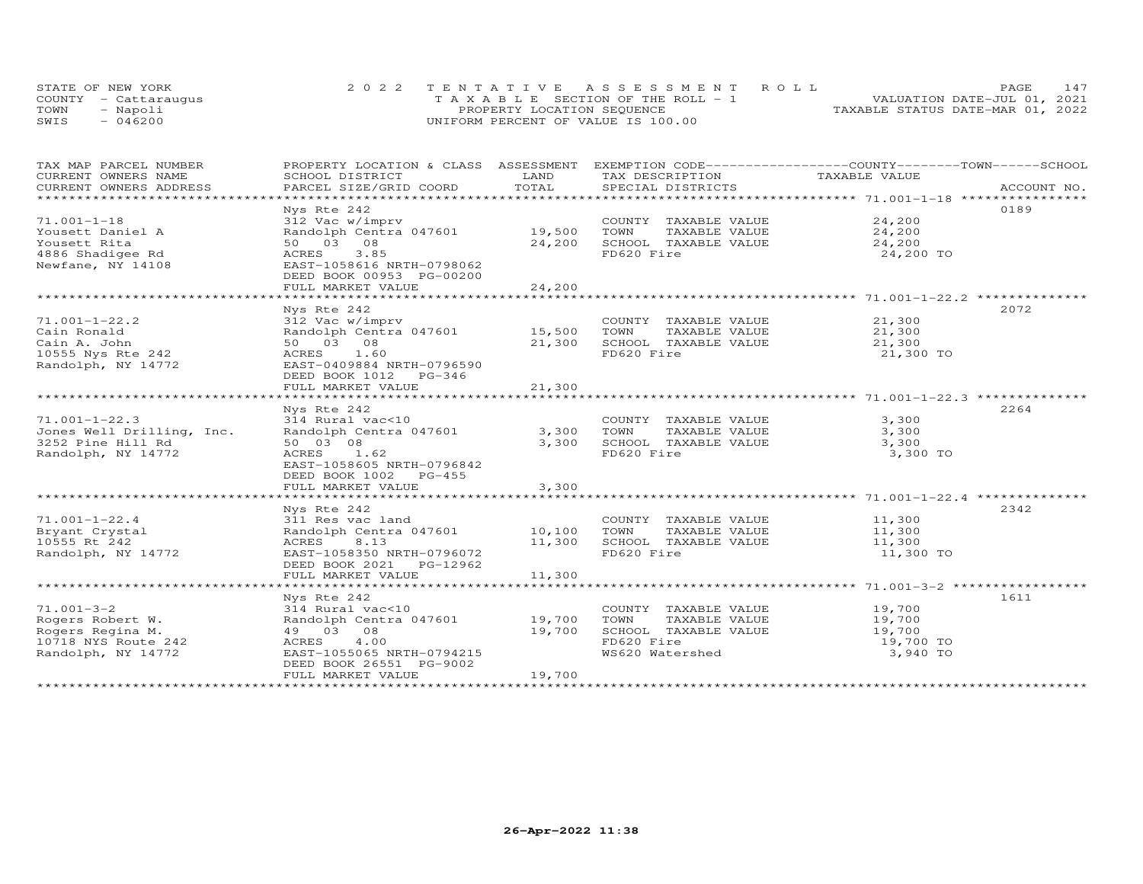|      | STATE OF NEW YORK    | 2022 TENTATIVE ASSESSMENT ROLL        | 147<br>PAGE.                     |
|------|----------------------|---------------------------------------|----------------------------------|
|      | COUNTY - Cattarauqus | T A X A B L E SECTION OF THE ROLL - 1 | VALUATION DATE-JUL 01, 2021      |
| TOWN | - Napoli             | PROPERTY LOCATION SEQUENCE            | TAXABLE STATUS DATE-MAR 01, 2022 |
| SWIS | $-046200$            | UNIFORM PERCENT OF VALUE IS 100.00    |                                  |

| TAX MAP PARCEL NUMBER<br>CURRENT OWNERS NAME                                                                                                                                                                                                                                                                                                                                                                                                                                  | PROPERTY LOCATION & CLASS ASSESSMENT EXEMPTION CODE----------------COUNTY-------TOWN-----SCHOOL<br>SCHOOL DISTRICT | LAND   | TAX DESCRIPTION                                    | TAXABLE VALUE        |             |
|-------------------------------------------------------------------------------------------------------------------------------------------------------------------------------------------------------------------------------------------------------------------------------------------------------------------------------------------------------------------------------------------------------------------------------------------------------------------------------|--------------------------------------------------------------------------------------------------------------------|--------|----------------------------------------------------|----------------------|-------------|
| $\begin{minipage}{.5cm} \begin{minipage}{.4cm} \begin{minipage}{.4cm} \begin{minipage}{.4cm} \begin{minipage}{.4cm} \begin{minipage}{.4cm} \begin{minipage}{.4cm} \begin{minipage}{.4cm} \begin{minipage}{.4cm} \begin{minipage}{.4cm} \begin{minipage}{.4cm} \begin{minipage}{.4cm} \begin{minipage}{.4cm} \begin{minipage}{.4cm} \begin{minipage}{.4cm} \begin{minipage}{.4cm} \begin{minipage}{.4cm} \begin{minipage}{.4cm} \begin{minipage}{.4cm} \begin{minipage}{.4cm}$ |                                                                                                                    |        |                                                    |                      | ACCOUNT NO. |
|                                                                                                                                                                                                                                                                                                                                                                                                                                                                               |                                                                                                                    |        |                                                    |                      |             |
| $71.001 - 1 - 18$                                                                                                                                                                                                                                                                                                                                                                                                                                                             | Nys Rte 242<br>312 Vac w/imprv                                                                                     |        | COUNTY TAXABLE VALUE 24,200                        |                      | 0189        |
| Yousett Daniel A                                                                                                                                                                                                                                                                                                                                                                                                                                                              | Randolph Centra 047601 19,500                                                                                      |        | TOWN                                               |                      |             |
| Yousett Rita                                                                                                                                                                                                                                                                                                                                                                                                                                                                  | 50 03 08                                                                                                           | 24,200 |                                                    |                      |             |
| 4886 Shadigee Rd                                                                                                                                                                                                                                                                                                                                                                                                                                                              | 3.85<br>ACRES                                                                                                      |        | TOWN LOWN---<br>SCHOOL TAXABLE VALUE<br>FD620 Fire | 24,200 TO            |             |
| Newfane, NY 14108                                                                                                                                                                                                                                                                                                                                                                                                                                                             | EAST-1058616 NRTH-0798062                                                                                          |        |                                                    |                      |             |
|                                                                                                                                                                                                                                                                                                                                                                                                                                                                               | DEED BOOK 00953 PG-00200                                                                                           |        |                                                    |                      |             |
|                                                                                                                                                                                                                                                                                                                                                                                                                                                                               | FULL MARKET VALUE                                                                                                  | 24,200 |                                                    |                      |             |
|                                                                                                                                                                                                                                                                                                                                                                                                                                                                               |                                                                                                                    |        |                                                    |                      |             |
|                                                                                                                                                                                                                                                                                                                                                                                                                                                                               | Nys Rte 242                                                                                                        |        |                                                    |                      | 2072        |
| $71.001 - 1 - 22.2$                                                                                                                                                                                                                                                                                                                                                                                                                                                           | 312 Vac w/imprv                                                                                                    |        | COUNTY TAXABLE VALUE 21,300                        |                      |             |
| Cain Ronald                                                                                                                                                                                                                                                                                                                                                                                                                                                                   | Randolph Centra 047601 15,500 TOWN                                                                                 |        | TAXABLE VALUE                                      | 21,300               |             |
| Cain A. John                                                                                                                                                                                                                                                                                                                                                                                                                                                                  | 50 03 08                                                                                                           |        | 21,300 SCHOOL TAXABLE VALUE                        | 21,300               |             |
| 10555 Nys Rte 242                                                                                                                                                                                                                                                                                                                                                                                                                                                             | ACRES 1.60                                                                                                         |        | FD620 Fire                                         | 21,300 TO            |             |
| Randolph, NY 14772                                                                                                                                                                                                                                                                                                                                                                                                                                                            | EAST-0409884 NRTH-0796590                                                                                          |        |                                                    |                      |             |
|                                                                                                                                                                                                                                                                                                                                                                                                                                                                               | DEED BOOK 1012 PG-346                                                                                              |        |                                                    |                      |             |
|                                                                                                                                                                                                                                                                                                                                                                                                                                                                               |                                                                                                                    |        |                                                    |                      |             |
|                                                                                                                                                                                                                                                                                                                                                                                                                                                                               | Nys Rte 242                                                                                                        |        |                                                    |                      | 2264        |
| $71.001 - 1 - 22.3$                                                                                                                                                                                                                                                                                                                                                                                                                                                           | 314 Rural vac<10                                                                                                   |        | COUNTY TAXABLE VALUE                               | 3,300                |             |
| Jones Well Drilling, Inc.                                                                                                                                                                                                                                                                                                                                                                                                                                                     | Randolph Centra 047601 3,300 TOWN                                                                                  |        | TAXABLE VALUE                                      | 3,300                |             |
| 3252 Pine Hill Rd<br>Bandolph NY 14772                                                                                                                                                                                                                                                                                                                                                                                                                                        | 50 03 08                                                                                                           |        | 3,300 SCHOOL TAXABLE VALUE                         | 3,300                |             |
| Randolph, NY 14772                                                                                                                                                                                                                                                                                                                                                                                                                                                            | ACRES 1.62                                                                                                         |        | FD620 Fire                                         | 3,300 TO             |             |
|                                                                                                                                                                                                                                                                                                                                                                                                                                                                               | EAST-1058605 NRTH-0796842                                                                                          |        |                                                    |                      |             |
|                                                                                                                                                                                                                                                                                                                                                                                                                                                                               | DEED BOOK 1002 PG-455                                                                                              |        |                                                    |                      |             |
|                                                                                                                                                                                                                                                                                                                                                                                                                                                                               | FULL MARKET VALUE                                                                                                  | 3,300  |                                                    |                      |             |
|                                                                                                                                                                                                                                                                                                                                                                                                                                                                               |                                                                                                                    |        |                                                    |                      |             |
|                                                                                                                                                                                                                                                                                                                                                                                                                                                                               | Nys Rte 242                                                                                                        |        |                                                    |                      | 2342        |
| $71.001 - 1 - 22.4$<br>Bryant Crystal                                                                                                                                                                                                                                                                                                                                                                                                                                         | 311 Res vac land<br>Randolph Centra 047601 10,100 TOWN                                                             |        | COUNTY TAXABLE VALUE<br>TAXABLE VALUE              | 11,300<br>11,300     |             |
| 10555 Rt 242                                                                                                                                                                                                                                                                                                                                                                                                                                                                  | ACRES<br>8.13                                                                                                      | 11,300 | SCHOOL TAXABLE VALUE                               | 11,300               |             |
| Randolph, NY 14772                                                                                                                                                                                                                                                                                                                                                                                                                                                            | EAST-1058350 NRTH-0796072                                                                                          |        | FD620 Fire                                         | 11,300 TO            |             |
|                                                                                                                                                                                                                                                                                                                                                                                                                                                                               | DEED BOOK 2021    PG-12962                                                                                         |        |                                                    |                      |             |
|                                                                                                                                                                                                                                                                                                                                                                                                                                                                               | FULL MARKET VALUE                                                                                                  | 11,300 |                                                    |                      |             |
|                                                                                                                                                                                                                                                                                                                                                                                                                                                                               |                                                                                                                    |        |                                                    |                      |             |
|                                                                                                                                                                                                                                                                                                                                                                                                                                                                               | Nys Rte 242                                                                                                        |        |                                                    |                      | 1611        |
| $71.001 - 3 - 2$                                                                                                                                                                                                                                                                                                                                                                                                                                                              | 314 Rural vac<10                                                                                                   |        | COUNTY TAXABLE VALUE                               | 19,700               |             |
| Rogers Robert W.                                                                                                                                                                                                                                                                                                                                                                                                                                                              | Randolph Centra 047601 19,700                                                                                      |        | TOWN                                               | TAXABLE VALUE 19,700 |             |
| Rogers Regina M.                                                                                                                                                                                                                                                                                                                                                                                                                                                              | 49 03 08                                                                                                           | 19,700 | SCHOOL TAXABLE VALUE                               | 19,700<br>19,700 TO  |             |
| 10718 NYS Route 242                                                                                                                                                                                                                                                                                                                                                                                                                                                           | 4.00<br>ACRES                                                                                                      |        | FD620 Fire                                         |                      |             |
| Randolph, NY 14772                                                                                                                                                                                                                                                                                                                                                                                                                                                            | EAST-1055065 NRTH-0794215                                                                                          |        | WS620 Watershed                                    | 3,940 TO             |             |
|                                                                                                                                                                                                                                                                                                                                                                                                                                                                               | DEED BOOK 26551 PG-9002                                                                                            |        |                                                    |                      |             |
|                                                                                                                                                                                                                                                                                                                                                                                                                                                                               | FULL MARKET VALUE                                                                                                  | 19,700 |                                                    |                      |             |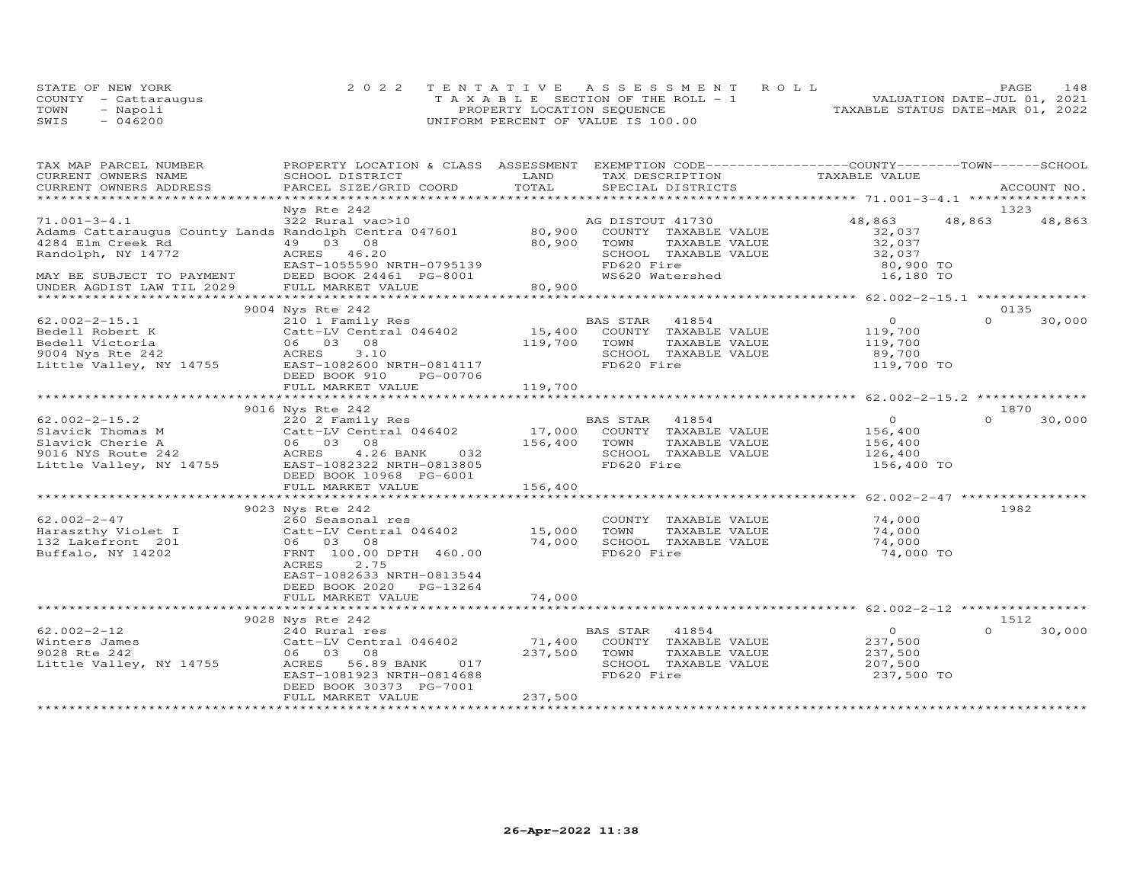|      | STATE OF NEW YORK    | 2022 TENTATIVE ASSESSMENT ROLL        | 148<br>PAGE.                     |
|------|----------------------|---------------------------------------|----------------------------------|
|      | COUNTY - Cattaraugus | T A X A B L E SECTION OF THE ROLL - 1 | VALUATION DATE-JUL 01, 2021      |
| TOWN | - Napoli             | PROPERTY LOCATION SEQUENCE            | TAXABLE STATUS DATE-MAR 01, 2022 |
| SWIS | 046200               | UNIFORM PERCENT OF VALUE IS 100.00    |                                  |

| TAX MAP PARCEL NUMBER                                                                                                                                                                                                                    | PROPERTY LOCATION & CLASS ASSESSMENT    |         | EXEMPTION CODE-----------------COUNTY-------TOWN------SCHOOL |                                      |          |             |
|------------------------------------------------------------------------------------------------------------------------------------------------------------------------------------------------------------------------------------------|-----------------------------------------|---------|--------------------------------------------------------------|--------------------------------------|----------|-------------|
| CURRENT OWNERS NAME                                                                                                                                                                                                                      | SCHOOL DISTRICT                         | LAND    | TAX DESCRIPTION                                              | TAXABLE VALUE                        |          |             |
| CURRENT OWNERS ADDRESS                                                                                                                                                                                                                   | PARCEL SIZE/GRID COORD                  | TOTAL   | SPECIAL DISTRICTS                                            |                                      |          | ACCOUNT NO. |
|                                                                                                                                                                                                                                          |                                         |         |                                                              |                                      |          |             |
|                                                                                                                                                                                                                                          | Nys Rte 242                             |         |                                                              |                                      | 1323     |             |
| 71.001-3-4.1 322 Rural vac>10 30,900 AG DISTOUT 41730<br>Adams Cattaraugus County Lands Randolph Centra 047601 80,900 COUNTY TAXABLE                                                                                                     |                                         |         |                                                              | 48,863                               | 48,863   | 48,863      |
|                                                                                                                                                                                                                                          |                                         |         | COUNTY TAXABLE VALUE                                         | 32,037                               |          |             |
| 4284 Elm Creek Rd                                                                                                                                                                                                                        | 49 03 08                                | 80,900  | TOWN<br>TAXABLE VALUE                                        |                                      |          |             |
| Randolph, NY 14772                                                                                                                                                                                                                       | ACRES 46.20                             |         | SCHOOL TAXABLE VALUE                                         | 32,037<br>32,037                     |          |             |
|                                                                                                                                                                                                                                          | EAST-1055590 NRTH-0795139               |         | FD620 Fire                                                   | 80,900 TO                            |          |             |
| MAY BE SUBJECT TO PAYMENT                                                                                                                                                                                                                | DEED BOOK 24461 PG-8001                 |         | WS620 Watershed                                              | 16,180 TO                            |          |             |
| UNDER AGDIST LAW TIL 2029                                                                                                                                                                                                                | FULL MARKET VALUE                       | 80,900  |                                                              |                                      |          |             |
|                                                                                                                                                                                                                                          |                                         |         |                                                              |                                      |          |             |
|                                                                                                                                                                                                                                          | 9004 Nys Rte 242                        |         |                                                              |                                      | 0135     |             |
| $62.002 - 2 - 15.1$                                                                                                                                                                                                                      | 210 1 Family Res                        |         | BAS STAR 41854                                               | $\Omega$                             | $\cap$   | 30,000      |
| Bedell Robert K                                                                                                                                                                                                                          |                                         |         | 15,400 COUNTY TAXABLE VALUE                                  |                                      |          |             |
| Bedell Victoria                                                                                                                                                                                                                          | Catt-LV Central 046402<br>06 03 08      | 119,700 | TOWN<br>TAXABLE VALUE                                        | 119,700<br>119,700                   |          |             |
| 9004 Nys Rte 242<br>Little Valley, NY 14755                                                                                                                                                                                              | ACRES<br>3.10                           |         | SCHOOL TAXABLE VALUE                                         | 89,700                               |          |             |
|                                                                                                                                                                                                                                          | EAST-1082600 NRTH-0814117               |         | FD620 Fire                                                   | 119,700 TO                           |          |             |
|                                                                                                                                                                                                                                          |                                         |         |                                                              |                                      |          |             |
|                                                                                                                                                                                                                                          | DEED BOOK 910<br>PG-00706               |         |                                                              |                                      |          |             |
|                                                                                                                                                                                                                                          | FULL MARKET VALUE                       | 119,700 |                                                              |                                      |          |             |
|                                                                                                                                                                                                                                          |                                         |         |                                                              |                                      |          |             |
|                                                                                                                                                                                                                                          | 9016 Nys Rte 242                        |         |                                                              |                                      | 1870     |             |
| $62.002 - 2 - 15.2$                                                                                                                                                                                                                      | 220 2 Family Res                        |         | BAS SIAR TION.<br>17,000 COUNTY TAXABLE VALUE                | $\overline{0}$                       | $\Omega$ | 30,000      |
|                                                                                                                                                                                                                                          |                                         |         |                                                              | 156,400                              |          |             |
|                                                                                                                                                                                                                                          |                                         |         |                                                              | 156,400                              |          |             |
|                                                                                                                                                                                                                                          |                                         |         | SCHOOL TAXABLE VALUE                                         | 126,400                              |          |             |
| 62.002-2-15.2<br>Slavick Thomas M<br>Slavick Cherie A<br>9016 NYS Route 242<br>Little Valley, NY 14755<br>EAST-1082322 NRTH-0813805<br>ROUTE 2013<br>ROUTE 202322 NRTH-0813805<br>ROUTE 202322 NRTH-0813805<br>ROUTE 202322 NRTH-0813805 |                                         |         | FD620 Fire                                                   | 156,400 TO                           |          |             |
|                                                                                                                                                                                                                                          | DEED BOOK 10968 PG-6001                 |         |                                                              |                                      |          |             |
|                                                                                                                                                                                                                                          | FULL MARKET VALUE                       | 156,400 |                                                              |                                      |          |             |
|                                                                                                                                                                                                                                          | ******************************          |         |                                                              | ******************** 62.002-2-47 *** |          |             |
|                                                                                                                                                                                                                                          | 9023 Nys Rte 242                        |         |                                                              |                                      | 1982     |             |
| $62.002 - 2 - 47$                                                                                                                                                                                                                        | 260 Seasonal res                        |         | COUNTY TAXABLE VALUE                                         | 74,000                               |          |             |
| Haraszthy Violet I (Catt-LV Cent:<br>132 Lakefront 201 (06 03 08                                                                                                                                                                         | Catt-LV Central 046402 15,000           |         | TAXABLE VALUE<br>TOWN                                        | 74,000                               |          |             |
|                                                                                                                                                                                                                                          |                                         | 74,000  | SCHOOL TAXABLE VALUE                                         | 74,000                               |          |             |
| Buffalo, NY 14202                                                                                                                                                                                                                        | FRNT 100.00 DPTH 460.00                 |         | FD620 Fire                                                   | 74,000 TO                            |          |             |
|                                                                                                                                                                                                                                          | <b>ACRES</b><br>2.75                    |         |                                                              |                                      |          |             |
|                                                                                                                                                                                                                                          | EAST-1082633 NRTH-0813544               |         |                                                              |                                      |          |             |
|                                                                                                                                                                                                                                          | DEED BOOK 2020 PG-13264                 |         |                                                              |                                      |          |             |
|                                                                                                                                                                                                                                          | FULL MARKET VALUE                       | 74,000  |                                                              |                                      |          |             |
|                                                                                                                                                                                                                                          |                                         |         |                                                              |                                      |          |             |
|                                                                                                                                                                                                                                          | 9028 Nys Rte 242                        |         |                                                              |                                      | 1512     |             |
| $62.002 - 2 - 12$                                                                                                                                                                                                                        | 240 Rural res<br>Catt-LV Central 046402 |         | BAS STAR 41854                                               | $\overline{0}$                       | $\cap$   | 30,000      |
| Winters James                                                                                                                                                                                                                            |                                         |         | 71,400 COUNTY TAXABLE VALUE                                  | 237,500                              |          |             |
|                                                                                                                                                                                                                                          |                                         | 237,500 | TAXABLE VALUE                                                | 237,500                              |          |             |
| 9028 Rte 242                                                                                                                                                                                                                             | 06 03 08                                |         | TOWN                                                         |                                      |          |             |
| Little Valley, NY 14755                                                                                                                                                                                                                  | ACRES<br>56.89 BANK<br>017              |         | SCHOOL TAXABLE VALUE                                         | 207,500                              |          |             |
|                                                                                                                                                                                                                                          | EAST-1081923 NRTH-0814688               |         | FD620 Fire                                                   | 237,500 TO                           |          |             |
|                                                                                                                                                                                                                                          | DEED BOOK 30373 PG-7001                 |         |                                                              |                                      |          |             |
|                                                                                                                                                                                                                                          | FULL MARKET VALUE                       | 237,500 |                                                              |                                      |          |             |
|                                                                                                                                                                                                                                          |                                         |         |                                                              |                                      |          |             |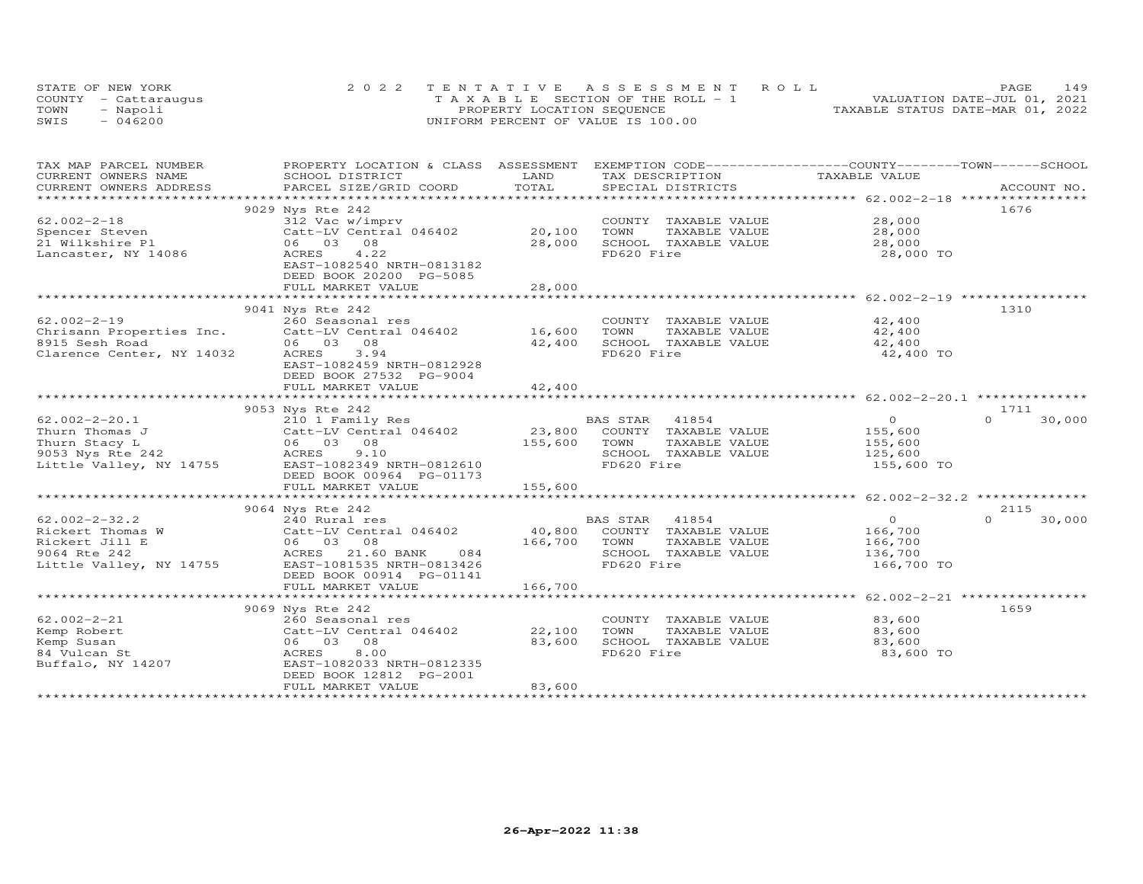|      | STATE OF NEW YORK    | 2022 TENTATIVE ASSESSMENT ROLL        | 149<br>PAGE                      |
|------|----------------------|---------------------------------------|----------------------------------|
|      | COUNTY - Cattarauqus | T A X A B L E SECTION OF THE ROLL - 1 | VALUATION DATE-JUL 01, 2021      |
| TOWN | - Napoli             | PROPERTY LOCATION SEQUENCE            | TAXABLE STATUS DATE-MAR 01, 2022 |
| SWIS | $-046200$            | UNIFORM PERCENT OF VALUE IS 100.00    |                                  |

| TAX MAP PARCEL NUMBER                         | PROPERTY LOCATION & CLASS ASSESSMENT EXEMPTION CODE-----------------COUNTY-------TOWN------SCHOOL |                       |                                                  |                |                    |
|-----------------------------------------------|---------------------------------------------------------------------------------------------------|-----------------------|--------------------------------------------------|----------------|--------------------|
| CURRENT OWNERS NAME<br>CURRENT OWNERS ADDRESS | SCHOOL DISTRICT<br>PARCEL SIZE/GRID COORD                                                         | LAND<br>TOTAL         | TAX DESCRIPTION<br>SPECIAL DISTRICTS             | TAXABLE VALUE  | ACCOUNT NO.        |
|                                               |                                                                                                   |                       |                                                  |                |                    |
|                                               | 9029 Nys Rte 242                                                                                  |                       |                                                  |                | 1676               |
| $62.002 - 2 - 18$                             | 312 Vac w/imprv                                                                                   |                       | COUNTY TAXABLE VALUE                             | 28,000         |                    |
| Spencer Steven                                | Catt-LV Central 046402                                                                            | 20,100                | TOWN<br>TAXABLE VALUE                            | 28,000         |                    |
| 21 Wilkshire Pl                               | 06 03 08                                                                                          | 28,000                | SCHOOL TAXABLE VALUE                             | 28,000         |                    |
| Lancaster, NY 14086                           | 4.22<br>ACRES                                                                                     |                       | FD620 Fire                                       | 28,000 TO      |                    |
|                                               | EAST-1082540 NRTH-0813182                                                                         |                       |                                                  |                |                    |
|                                               | DEED BOOK 20200 PG-5085                                                                           |                       |                                                  |                |                    |
|                                               | FULL MARKET VALUE                                                                                 | 28,000                |                                                  |                |                    |
|                                               |                                                                                                   | ************          |                                                  |                |                    |
|                                               | 9041 Nys Rte 242                                                                                  |                       |                                                  |                | 1310               |
| $62.002 - 2 - 19$                             | 260 Seasonal res                                                                                  |                       | COUNTY TAXABLE VALUE                             | 42,400         |                    |
| Chrisann Properties Inc.                      | Catt-LV Central 046402                                                                            | 16,600                | TOWN<br>TAXABLE VALUE                            | 42,400         |                    |
| 8915 Sesh Road                                | 06 03 08                                                                                          | 42,400                | SCHOOL TAXABLE VALUE                             | 42,400         |                    |
| Clarence Center, NY 14032                     | ACRES<br>3.94                                                                                     |                       | FD620 Fire                                       | 42,400 TO      |                    |
|                                               | EAST-1082459 NRTH-0812928                                                                         |                       |                                                  |                |                    |
|                                               | DEED BOOK 27532 PG-9004                                                                           |                       |                                                  |                |                    |
|                                               | FULL MARKET VALUE                                                                                 | 42,400<br>*********** |                                                  |                |                    |
|                                               |                                                                                                   |                       |                                                  |                |                    |
| $62.002 - 2 - 20.1$                           | 9053 Nys Rte 242                                                                                  |                       |                                                  | $\overline{O}$ | 1711<br>$\Omega$   |
| Thurn Thomas J                                | 210 1 Family Res<br>Catt-LV Central 046402                                                        |                       | BAS STAR<br>41854<br>23,800 COUNTY TAXABLE VALUE | 155,600        | 30,000             |
| Thurn Stacy L                                 | 06 03 08                                                                                          | 155,600               | TOWN<br>TAXABLE VALUE                            | 155,600        |                    |
| 9053 Nys Rte 242                              | ACRES<br>9.10                                                                                     |                       | SCHOOL TAXABLE VALUE                             | 125,600        |                    |
| Little Valley, NY 14755                       | EAST-1082349 NRTH-0812610                                                                         |                       | FD620 Fire                                       | 155,600 TO     |                    |
|                                               | DEED BOOK 00964 PG-01173                                                                          |                       |                                                  |                |                    |
|                                               | FULL MARKET VALUE                                                                                 | 155,600               |                                                  |                |                    |
|                                               |                                                                                                   |                       |                                                  |                |                    |
|                                               | 9064 Nys Rte 242                                                                                  |                       |                                                  |                | 2115               |
| $62.002 - 2 - 32.2$                           | 240 Rural res                                                                                     |                       | BAS STAR<br>41854                                | $\overline{O}$ | $\Omega$<br>30,000 |
| Rickert Thomas W                              | Catt-LV Central 046402                                                                            | 40,800                | COUNTY TAXABLE VALUE                             | 166,700        |                    |
| Rickert Jill E                                | 06 03 08                                                                                          | 166,700               | TOWN<br>TAXABLE VALUE                            | 166,700        |                    |
| 9064 Rte 242                                  | ACRES 21.60 BANK 084                                                                              |                       | SCHOOL TAXABLE VALUE                             | 136,700        |                    |
| Little Valley, NY 14755                       | EAST-1081535 NRTH-0813426                                                                         |                       | FD620 Fire                                       | 166,700 TO     |                    |
|                                               | DEED BOOK 00914 PG-01141                                                                          |                       |                                                  |                |                    |
|                                               | FULL MARKET VALUE                                                                                 | 166,700               |                                                  |                |                    |
|                                               |                                                                                                   |                       |                                                  |                |                    |
|                                               | 9069 Nys Rte 242                                                                                  |                       |                                                  |                | 1659               |
| $62.002 - 2 - 21$                             | 260 Seasonal res                                                                                  |                       | COUNTY TAXABLE VALUE                             | 83,600         |                    |
| Kemp Robert                                   | Catt-LV Central 046402                                                                            | 22,100                | TOWN<br>TAXABLE VALUE                            | 83,600         |                    |
| Kemp Susan                                    | 06 03 08                                                                                          | 83,600                | SCHOOL TAXABLE VALUE                             | 83,600         |                    |
| 84 Vulcan St                                  | 8.00<br>ACRES                                                                                     |                       | FD620 Fire                                       | 83,600 TO      |                    |
| Buffalo, NY 14207                             | EAST-1082033 NRTH-0812335                                                                         |                       |                                                  |                |                    |
|                                               | DEED BOOK 12812 PG-2001<br>FULL MARKET VALUE                                                      | 83,600                |                                                  |                |                    |
|                                               |                                                                                                   |                       |                                                  |                |                    |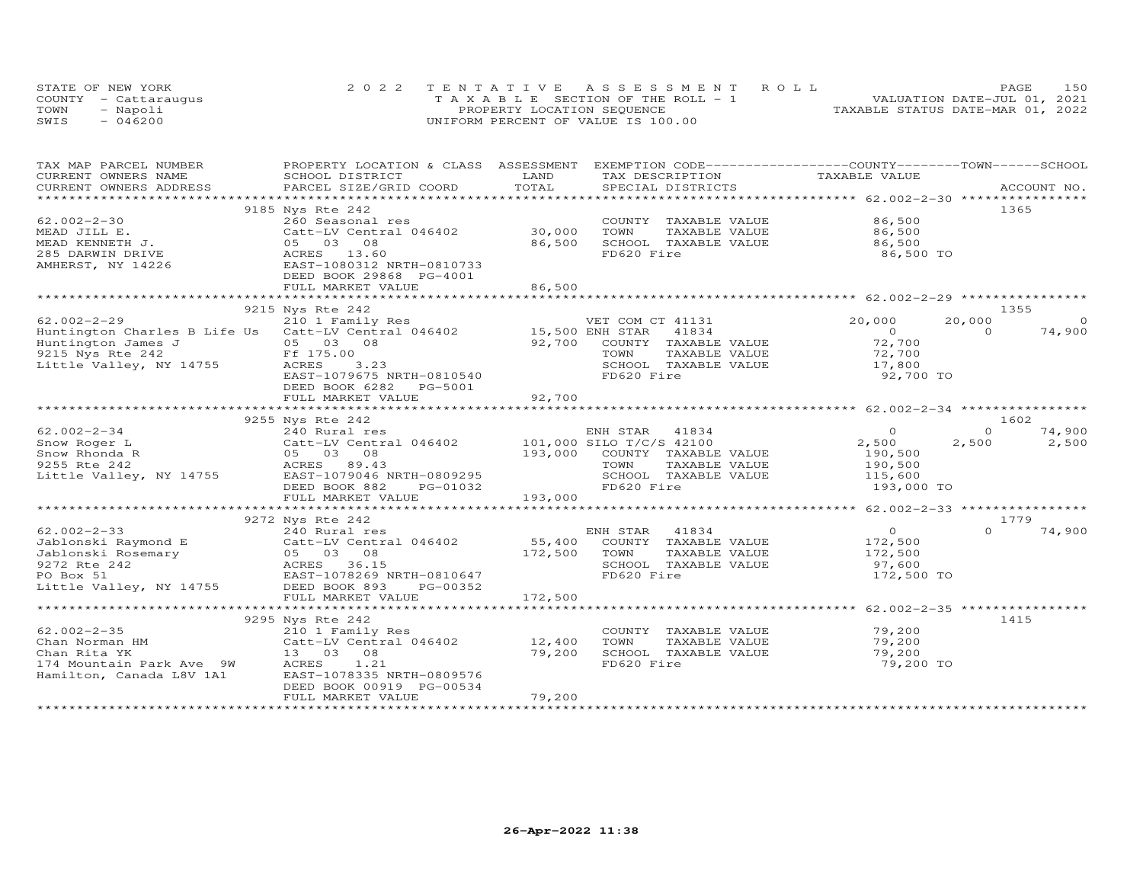|      | STATE OF NEW YORK    | 2022 TENTATIVE ASSESSMENT ROLL        | 150<br>PAGE                      |
|------|----------------------|---------------------------------------|----------------------------------|
|      | COUNTY - Cattaraugus | T A X A B L E SECTION OF THE ROLL - 1 | VALUATION DATE-JUL 01, 2021      |
| TOWN | - Napoli             | PROPERTY LOCATION SEQUENCE            | TAXABLE STATUS DATE-MAR 01, 2022 |
| SWIS | $-046200$            | UNIFORM PERCENT OF VALUE IS 100.00    |                                  |

| TAX MAP PARCEL NUMBER<br>CURRENT OWNERS NAME | PROPERTY LOCATION & CLASS ASSESSMENT EXEMPTION CODE----------------COUNTY-------TOWN------SCHOOL<br>SCHOOL DISTRICT                                                                                                                                                                                                                                                                                        | LAND    | TAX DESCRIPTION                    |                                             |                    |
|----------------------------------------------|------------------------------------------------------------------------------------------------------------------------------------------------------------------------------------------------------------------------------------------------------------------------------------------------------------------------------------------------------------------------------------------------------------|---------|------------------------------------|---------------------------------------------|--------------------|
|                                              |                                                                                                                                                                                                                                                                                                                                                                                                            |         |                                    | TAXABLE VALUE                               | ACCOUNT NO.        |
|                                              | .CURRENT OWNERS ADDRESS PARCEL SIZE/GRID COORD TOTAL SPECIAL DISTRICTS ACCOUNT NO ACCOUNT NO ACCOUNT NO ARE A A                                                                                                                                                                                                                                                                                            |         |                                    |                                             |                    |
|                                              | 9185 Nys Rte 242                                                                                                                                                                                                                                                                                                                                                                                           |         |                                    |                                             | 1365               |
| $62.002 - 2 - 30$                            | 260 Seasonal res                                                                                                                                                                                                                                                                                                                                                                                           |         | COUNTY TAXABLE VALUE               | 86,500                                      |                    |
| MEAD JILL E.                                 | zou seasonaí res<br>Catt-LV Central 046402 (30,000)                                                                                                                                                                                                                                                                                                                                                        |         | TOWN<br>TAXABLE VALUE              | 86,500                                      |                    |
| MEAD KENNETH J.                              | 05 03 08                                                                                                                                                                                                                                                                                                                                                                                                   | 86,500  | SCHOOL TAXABLE VALUE               | 86,500                                      |                    |
| 285 DARWIN DRIVE                             | ACRES 13.60                                                                                                                                                                                                                                                                                                                                                                                                |         | FD620 Fire                         | 86,500 TO                                   |                    |
| AMHERST, NY 14226                            | EAST-1080312 NRTH-0810733                                                                                                                                                                                                                                                                                                                                                                                  |         |                                    |                                             |                    |
|                                              | DEED BOOK 29868 PG-4001                                                                                                                                                                                                                                                                                                                                                                                    |         |                                    |                                             |                    |
|                                              | FULL MARKET VALUE                                                                                                                                                                                                                                                                                                                                                                                          | 86,500  |                                    |                                             |                    |
|                                              |                                                                                                                                                                                                                                                                                                                                                                                                            |         |                                    |                                             |                    |
|                                              | 9215 Nys Rte 242                                                                                                                                                                                                                                                                                                                                                                                           |         |                                    |                                             | 1355               |
| $62.002 - 2 - 29$                            | 210 1 Family Res                                                                                                                                                                                                                                                                                                                                                                                           |         | VET COM CT 41131                   | 20,000                                      | $\circ$<br>20,000  |
|                                              | Huntington Charles B Life Us Catt-LV Central 046402 15,500 ENH STAR 41834                                                                                                                                                                                                                                                                                                                                  |         |                                    |                                             | 74,900<br>$\Omega$ |
| Huntington James J                           | 05 03 08                                                                                                                                                                                                                                                                                                                                                                                                   | 92,700  | COUNTY TAXABLE VALUE               | $\begin{array}{c}0\\72,700\end{array}$      |                    |
|                                              | Ff 175.00                                                                                                                                                                                                                                                                                                                                                                                                  |         | TOWN<br>TAXABLE VALUE              |                                             |                    |
| 9215 Nys Rte 242<br>Little Valley, NY 14755  | ACRES<br>3.23                                                                                                                                                                                                                                                                                                                                                                                              |         |                                    | 72,700<br>17,800                            |                    |
|                                              | EAST-1079675 NRTH-0810540                                                                                                                                                                                                                                                                                                                                                                                  |         | SCHOOL TAXABLE VALUE<br>FD620 Fire | 92,700 TO                                   |                    |
|                                              | DEED BOOK 6282 PG-5001                                                                                                                                                                                                                                                                                                                                                                                     |         |                                    |                                             |                    |
|                                              | FULL MARKET VALUE                                                                                                                                                                                                                                                                                                                                                                                          | 92,700  |                                    |                                             |                    |
|                                              |                                                                                                                                                                                                                                                                                                                                                                                                            |         |                                    |                                             |                    |
|                                              | 9255 Nys Rte 242                                                                                                                                                                                                                                                                                                                                                                                           |         |                                    |                                             | 1602               |
| $62.002 - 2 - 34$                            | 240 Rural res                                                                                                                                                                                                                                                                                                                                                                                              |         | ENH STAR 41834                     | $\circ$                                     | $\Omega$<br>74,900 |
|                                              |                                                                                                                                                                                                                                                                                                                                                                                                            |         |                                    | 2,500                                       | 2,500<br>2,500     |
|                                              | Show Roger<br>Catt-LV Central 046402<br>Show Rhonda R<br>255 Rte 242<br>Little Valley, NY 14755<br>CARES 89.43<br>Little Valley, NY 14755<br>CARES 89.43<br>Little Valley, NY 14755<br>CARES 89.43<br>CARES 89.43<br>CARES 89.43<br>CARES 89.43<br>CARE                                                                                                                                                    |         | 193,000 COUNTY TAXABLE VALUE       | 190,500                                     |                    |
|                                              |                                                                                                                                                                                                                                                                                                                                                                                                            |         | TAXABLE VALUE                      | 190,500                                     |                    |
|                                              |                                                                                                                                                                                                                                                                                                                                                                                                            |         | SCHOOL TAXABLE VALUE               | 115,600                                     |                    |
|                                              |                                                                                                                                                                                                                                                                                                                                                                                                            |         |                                    | 193,000 TO                                  |                    |
|                                              | FULL MARKET VALUE                                                                                                                                                                                                                                                                                                                                                                                          | 193,000 |                                    |                                             |                    |
|                                              |                                                                                                                                                                                                                                                                                                                                                                                                            |         |                                    |                                             |                    |
|                                              | 9272 Nys Rte 242                                                                                                                                                                                                                                                                                                                                                                                           |         |                                    |                                             | 1779               |
|                                              | $\begin{tabular}{lllllllllllllllllllll} \begin{array}{l} \mbox{62.002--2-33} & \mbox{240 Rural res} & \mbox{EMH STAR} & 41834 \\ \mbox{Jablonski Raymond E} & \mbox{Catt-LV Central} & 046402 & 55,400 & \mbox{COUNTY} & \mbox{TAXABLE VALUE} \\ \mbox{Jablonski Rosemary} & 05 & 03 & 08 & 172,500 & \mbox{TOWN} & \mbox{TAXABLE VALUE} \\ \mbox{9272 Rte 242} & \mbox{ACRES} & 36.15 & \mbox{SCHOOL TAX$ |         |                                    |                                             | $\Omega$<br>74,900 |
|                                              |                                                                                                                                                                                                                                                                                                                                                                                                            |         |                                    | $\begin{array}{c} 0 \\ 172,500 \end{array}$ |                    |
|                                              |                                                                                                                                                                                                                                                                                                                                                                                                            |         | TAXABLE VALUE                      | 172,500                                     |                    |
|                                              |                                                                                                                                                                                                                                                                                                                                                                                                            |         |                                    | 97,600                                      |                    |
|                                              |                                                                                                                                                                                                                                                                                                                                                                                                            |         |                                    | 172,500 TO                                  |                    |
|                                              |                                                                                                                                                                                                                                                                                                                                                                                                            |         |                                    |                                             |                    |
|                                              | FULL MARKET VALUE                                                                                                                                                                                                                                                                                                                                                                                          | 172,500 |                                    |                                             |                    |
|                                              |                                                                                                                                                                                                                                                                                                                                                                                                            |         |                                    |                                             |                    |
|                                              | 9295 Nys Rte 242                                                                                                                                                                                                                                                                                                                                                                                           |         |                                    |                                             | 1415               |
|                                              |                                                                                                                                                                                                                                                                                                                                                                                                            |         | COUNTY TAXABLE VALUE 79,200        |                                             |                    |
|                                              | $02.002 - 2 - 35$<br>Chan Norman HM<br>Chan Norman HM<br>Chan Nite With Central 046402<br>Chan Nite With With Central 046402<br>Chan Nite With Central 046402                                                                                                                                                                                                                                              |         | TOWN<br>TAXABLE VALUE              | 79,200                                      |                    |
| Chan Rita YK                                 | 13 03 08                                                                                                                                                                                                                                                                                                                                                                                                   | 79,200  | SCHOOL TAXABLE VALUE               | 79,200                                      |                    |
| 174 Mountain Park Ave 9W                     | ACRES<br>1.21                                                                                                                                                                                                                                                                                                                                                                                              |         | FD620 Fire                         | 79,200 TO                                   |                    |
| Hamilton, Canada L8V 1A1                     | EAST-1078335 NRTH-0809576                                                                                                                                                                                                                                                                                                                                                                                  |         |                                    |                                             |                    |
|                                              | DEED BOOK 00919 PG-00534                                                                                                                                                                                                                                                                                                                                                                                   |         |                                    |                                             |                    |
|                                              | FULL MARKET VALUE                                                                                                                                                                                                                                                                                                                                                                                          | 79,200  |                                    |                                             |                    |
|                                              |                                                                                                                                                                                                                                                                                                                                                                                                            |         |                                    |                                             |                    |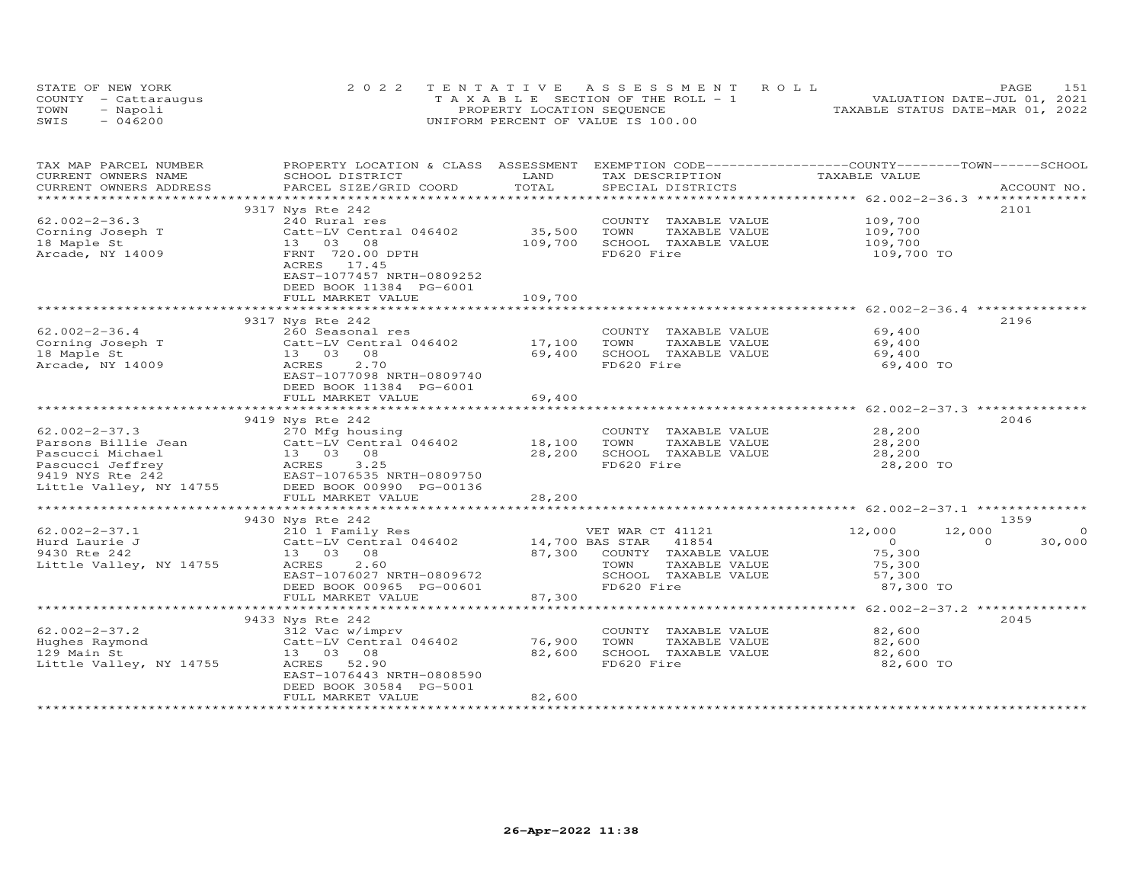|      | STATE OF NEW YORK    | 2022 TENTATIVE ASSESSMENT ROLL        | 151<br>PAGE                      |
|------|----------------------|---------------------------------------|----------------------------------|
|      | COUNTY - Cattarauqus | T A X A B L E SECTION OF THE ROLL - 1 | VALUATION DATE-JUL 01, 2021      |
| TOWN | - Napoli             | PROPERTY LOCATION SEQUENCE            | TAXABLE STATUS DATE-MAR 01, 2022 |
| SWIS | $-046200$            | UNIFORM PERCENT OF VALUE IS 100.00    |                                  |

| TOTAL<br>CURRENT OWNERS ADDRESS<br>PARCEL SIZE/GRID COORD<br>SPECIAL DISTRICTS<br>ACCOUNT NO.<br>**********************<br>9317 Nys Rte 242<br>2101<br>$62.002 - 2 - 36.3$<br>109,700<br>240 Rural res<br>COUNTY TAXABLE VALUE<br>35,500<br>TAXABLE VALUE<br>Corning Joseph T<br>Catt-LV Central 046402<br>TOWN<br>109,700<br>109,700<br>18 Maple St<br>13 03 08<br>109,700<br>SCHOOL TAXABLE VALUE<br>Arcade, NY 14009<br>FD620 Fire<br>FRNT 720.00 DPTH<br>109,700 TO<br>ACRES<br>17.45<br>EAST-1077457 NRTH-0809252<br>DEED BOOK 11384 PG-6001<br>109,700<br>FULL MARKET VALUE<br>2196<br>9317 Nys Rte 242<br>$62.002 - 2 - 36.4$<br>69,400<br>260 Seasonal res<br>COUNTY TAXABLE VALUE<br>Corning Joseph T<br>17,100<br>TOWN<br>TAXABLE VALUE<br>69,400<br>Catt-LV Central 046402<br>08<br>69,400<br>SCHOOL TAXABLE VALUE<br>18 Maple St<br>13 03<br>69,400<br>2.70<br>FD620 Fire<br>Arcade, NY 14009<br>ACRES<br>69,400 TO<br>EAST-1077098 NRTH-0809740<br>DEED BOOK 11384 PG-6001<br>69,400<br>FULL MARKET VALUE<br>2046<br>9419 Nys Rte 242<br>28,200<br>$62.002 - 2 - 37.3$<br>270 Mfg housing<br>COUNTY TAXABLE VALUE<br>Catt-LV Central 046402 18,100<br>TOWN<br>TAXABLE VALUE<br>28,200<br>13 03 08<br>28,200<br>SCHOOL TAXABLE VALUE<br>28,200<br>ACRES<br>EAST-1<br>Pascucci Jeffrey<br>3.25<br>FD620 Fire<br>28,200 TO<br>EAST-1076535 NRTH-0809750<br>Little Valley, NY 14755<br>DEED BOOK 00990 PG-00136<br>28,200<br>FULL MARKET VALUE<br>1359<br>9430 Nys Rte 242<br>210 1 Family Res<br>Catt-LV Central 046402 14,700 BAS STAR 41854<br>$62.002 - 2 - 37.1$<br>VET WAR CT 41121<br>12,000<br>12,000<br>$\Omega$<br>$\overline{0}$<br>30,000<br>$\Omega$<br>Hurd Laurie J<br>87,300<br>COUNTY TAXABLE VALUE<br>75,300<br>13  03  08<br>2.60<br>ACRES<br>TOWN<br>TAXABLE VALUE<br>75,300<br>EAST-1076027 NRTH-0809672<br>SCHOOL TAXABLE VALUE<br>57,300<br>FD620 Fire<br>DEED BOOK 00965 PG-00601<br>87,300 TO<br>87,300<br>FULL MARKET VALUE<br>9433 Nys Rte 242<br>2045<br>$62.002 - 2 - 37.2$<br>82,600<br>COUNTY TAXABLE VALUE<br>312 Vac w/imprv<br>Catt-LV Central 046402<br>76,900<br>TOWN<br>TAXABLE VALUE<br>82,600<br>Hughes Raymond<br>129 Main St<br>13 03 08<br>82,600<br>SCHOOL TAXABLE VALUE<br>82,600<br>Little Valley, NY 14755<br>ACRES<br>52.90<br>FD620 Fire<br>82,600 TO<br>EAST-1076443 NRTH-0808590<br>DEED BOOK 30584 PG-5001<br>82,600<br>FULL MARKET VALUE | TAX MAP PARCEL NUMBER<br>CURRENT OWNERS NAME | PROPERTY LOCATION & CLASS ASSESSMENT EXEMPTION CODE----------------COUNTY-------TOWN------SCHOOL<br>SCHOOL DISTRICT | LAND | TAX DESCRIPTION | TAXABLE VALUE |  |
|-------------------------------------------------------------------------------------------------------------------------------------------------------------------------------------------------------------------------------------------------------------------------------------------------------------------------------------------------------------------------------------------------------------------------------------------------------------------------------------------------------------------------------------------------------------------------------------------------------------------------------------------------------------------------------------------------------------------------------------------------------------------------------------------------------------------------------------------------------------------------------------------------------------------------------------------------------------------------------------------------------------------------------------------------------------------------------------------------------------------------------------------------------------------------------------------------------------------------------------------------------------------------------------------------------------------------------------------------------------------------------------------------------------------------------------------------------------------------------------------------------------------------------------------------------------------------------------------------------------------------------------------------------------------------------------------------------------------------------------------------------------------------------------------------------------------------------------------------------------------------------------------------------------------------------------------------------------------------------------------------------------------------------------------------------------------------------------------------------------------------------------------------------------------------------------------------------------------------------------------------------------------------------------------------------------------------------------------------------------------------------------------------------|----------------------------------------------|---------------------------------------------------------------------------------------------------------------------|------|-----------------|---------------|--|
|                                                                                                                                                                                                                                                                                                                                                                                                                                                                                                                                                                                                                                                                                                                                                                                                                                                                                                                                                                                                                                                                                                                                                                                                                                                                                                                                                                                                                                                                                                                                                                                                                                                                                                                                                                                                                                                                                                                                                                                                                                                                                                                                                                                                                                                                                                                                                                                                       |                                              |                                                                                                                     |      |                 |               |  |
|                                                                                                                                                                                                                                                                                                                                                                                                                                                                                                                                                                                                                                                                                                                                                                                                                                                                                                                                                                                                                                                                                                                                                                                                                                                                                                                                                                                                                                                                                                                                                                                                                                                                                                                                                                                                                                                                                                                                                                                                                                                                                                                                                                                                                                                                                                                                                                                                       |                                              |                                                                                                                     |      |                 |               |  |
|                                                                                                                                                                                                                                                                                                                                                                                                                                                                                                                                                                                                                                                                                                                                                                                                                                                                                                                                                                                                                                                                                                                                                                                                                                                                                                                                                                                                                                                                                                                                                                                                                                                                                                                                                                                                                                                                                                                                                                                                                                                                                                                                                                                                                                                                                                                                                                                                       |                                              |                                                                                                                     |      |                 |               |  |
|                                                                                                                                                                                                                                                                                                                                                                                                                                                                                                                                                                                                                                                                                                                                                                                                                                                                                                                                                                                                                                                                                                                                                                                                                                                                                                                                                                                                                                                                                                                                                                                                                                                                                                                                                                                                                                                                                                                                                                                                                                                                                                                                                                                                                                                                                                                                                                                                       |                                              |                                                                                                                     |      |                 |               |  |
|                                                                                                                                                                                                                                                                                                                                                                                                                                                                                                                                                                                                                                                                                                                                                                                                                                                                                                                                                                                                                                                                                                                                                                                                                                                                                                                                                                                                                                                                                                                                                                                                                                                                                                                                                                                                                                                                                                                                                                                                                                                                                                                                                                                                                                                                                                                                                                                                       |                                              |                                                                                                                     |      |                 |               |  |
|                                                                                                                                                                                                                                                                                                                                                                                                                                                                                                                                                                                                                                                                                                                                                                                                                                                                                                                                                                                                                                                                                                                                                                                                                                                                                                                                                                                                                                                                                                                                                                                                                                                                                                                                                                                                                                                                                                                                                                                                                                                                                                                                                                                                                                                                                                                                                                                                       |                                              |                                                                                                                     |      |                 |               |  |
|                                                                                                                                                                                                                                                                                                                                                                                                                                                                                                                                                                                                                                                                                                                                                                                                                                                                                                                                                                                                                                                                                                                                                                                                                                                                                                                                                                                                                                                                                                                                                                                                                                                                                                                                                                                                                                                                                                                                                                                                                                                                                                                                                                                                                                                                                                                                                                                                       |                                              |                                                                                                                     |      |                 |               |  |
|                                                                                                                                                                                                                                                                                                                                                                                                                                                                                                                                                                                                                                                                                                                                                                                                                                                                                                                                                                                                                                                                                                                                                                                                                                                                                                                                                                                                                                                                                                                                                                                                                                                                                                                                                                                                                                                                                                                                                                                                                                                                                                                                                                                                                                                                                                                                                                                                       |                                              |                                                                                                                     |      |                 |               |  |
|                                                                                                                                                                                                                                                                                                                                                                                                                                                                                                                                                                                                                                                                                                                                                                                                                                                                                                                                                                                                                                                                                                                                                                                                                                                                                                                                                                                                                                                                                                                                                                                                                                                                                                                                                                                                                                                                                                                                                                                                                                                                                                                                                                                                                                                                                                                                                                                                       |                                              |                                                                                                                     |      |                 |               |  |
|                                                                                                                                                                                                                                                                                                                                                                                                                                                                                                                                                                                                                                                                                                                                                                                                                                                                                                                                                                                                                                                                                                                                                                                                                                                                                                                                                                                                                                                                                                                                                                                                                                                                                                                                                                                                                                                                                                                                                                                                                                                                                                                                                                                                                                                                                                                                                                                                       |                                              |                                                                                                                     |      |                 |               |  |
|                                                                                                                                                                                                                                                                                                                                                                                                                                                                                                                                                                                                                                                                                                                                                                                                                                                                                                                                                                                                                                                                                                                                                                                                                                                                                                                                                                                                                                                                                                                                                                                                                                                                                                                                                                                                                                                                                                                                                                                                                                                                                                                                                                                                                                                                                                                                                                                                       |                                              |                                                                                                                     |      |                 |               |  |
|                                                                                                                                                                                                                                                                                                                                                                                                                                                                                                                                                                                                                                                                                                                                                                                                                                                                                                                                                                                                                                                                                                                                                                                                                                                                                                                                                                                                                                                                                                                                                                                                                                                                                                                                                                                                                                                                                                                                                                                                                                                                                                                                                                                                                                                                                                                                                                                                       |                                              |                                                                                                                     |      |                 |               |  |
|                                                                                                                                                                                                                                                                                                                                                                                                                                                                                                                                                                                                                                                                                                                                                                                                                                                                                                                                                                                                                                                                                                                                                                                                                                                                                                                                                                                                                                                                                                                                                                                                                                                                                                                                                                                                                                                                                                                                                                                                                                                                                                                                                                                                                                                                                                                                                                                                       |                                              |                                                                                                                     |      |                 |               |  |
|                                                                                                                                                                                                                                                                                                                                                                                                                                                                                                                                                                                                                                                                                                                                                                                                                                                                                                                                                                                                                                                                                                                                                                                                                                                                                                                                                                                                                                                                                                                                                                                                                                                                                                                                                                                                                                                                                                                                                                                                                                                                                                                                                                                                                                                                                                                                                                                                       |                                              |                                                                                                                     |      |                 |               |  |
|                                                                                                                                                                                                                                                                                                                                                                                                                                                                                                                                                                                                                                                                                                                                                                                                                                                                                                                                                                                                                                                                                                                                                                                                                                                                                                                                                                                                                                                                                                                                                                                                                                                                                                                                                                                                                                                                                                                                                                                                                                                                                                                                                                                                                                                                                                                                                                                                       |                                              |                                                                                                                     |      |                 |               |  |
|                                                                                                                                                                                                                                                                                                                                                                                                                                                                                                                                                                                                                                                                                                                                                                                                                                                                                                                                                                                                                                                                                                                                                                                                                                                                                                                                                                                                                                                                                                                                                                                                                                                                                                                                                                                                                                                                                                                                                                                                                                                                                                                                                                                                                                                                                                                                                                                                       |                                              |                                                                                                                     |      |                 |               |  |
|                                                                                                                                                                                                                                                                                                                                                                                                                                                                                                                                                                                                                                                                                                                                                                                                                                                                                                                                                                                                                                                                                                                                                                                                                                                                                                                                                                                                                                                                                                                                                                                                                                                                                                                                                                                                                                                                                                                                                                                                                                                                                                                                                                                                                                                                                                                                                                                                       |                                              |                                                                                                                     |      |                 |               |  |
|                                                                                                                                                                                                                                                                                                                                                                                                                                                                                                                                                                                                                                                                                                                                                                                                                                                                                                                                                                                                                                                                                                                                                                                                                                                                                                                                                                                                                                                                                                                                                                                                                                                                                                                                                                                                                                                                                                                                                                                                                                                                                                                                                                                                                                                                                                                                                                                                       |                                              |                                                                                                                     |      |                 |               |  |
|                                                                                                                                                                                                                                                                                                                                                                                                                                                                                                                                                                                                                                                                                                                                                                                                                                                                                                                                                                                                                                                                                                                                                                                                                                                                                                                                                                                                                                                                                                                                                                                                                                                                                                                                                                                                                                                                                                                                                                                                                                                                                                                                                                                                                                                                                                                                                                                                       |                                              |                                                                                                                     |      |                 |               |  |
|                                                                                                                                                                                                                                                                                                                                                                                                                                                                                                                                                                                                                                                                                                                                                                                                                                                                                                                                                                                                                                                                                                                                                                                                                                                                                                                                                                                                                                                                                                                                                                                                                                                                                                                                                                                                                                                                                                                                                                                                                                                                                                                                                                                                                                                                                                                                                                                                       |                                              |                                                                                                                     |      |                 |               |  |
|                                                                                                                                                                                                                                                                                                                                                                                                                                                                                                                                                                                                                                                                                                                                                                                                                                                                                                                                                                                                                                                                                                                                                                                                                                                                                                                                                                                                                                                                                                                                                                                                                                                                                                                                                                                                                                                                                                                                                                                                                                                                                                                                                                                                                                                                                                                                                                                                       |                                              |                                                                                                                     |      |                 |               |  |
|                                                                                                                                                                                                                                                                                                                                                                                                                                                                                                                                                                                                                                                                                                                                                                                                                                                                                                                                                                                                                                                                                                                                                                                                                                                                                                                                                                                                                                                                                                                                                                                                                                                                                                                                                                                                                                                                                                                                                                                                                                                                                                                                                                                                                                                                                                                                                                                                       |                                              |                                                                                                                     |      |                 |               |  |
|                                                                                                                                                                                                                                                                                                                                                                                                                                                                                                                                                                                                                                                                                                                                                                                                                                                                                                                                                                                                                                                                                                                                                                                                                                                                                                                                                                                                                                                                                                                                                                                                                                                                                                                                                                                                                                                                                                                                                                                                                                                                                                                                                                                                                                                                                                                                                                                                       |                                              |                                                                                                                     |      |                 |               |  |
|                                                                                                                                                                                                                                                                                                                                                                                                                                                                                                                                                                                                                                                                                                                                                                                                                                                                                                                                                                                                                                                                                                                                                                                                                                                                                                                                                                                                                                                                                                                                                                                                                                                                                                                                                                                                                                                                                                                                                                                                                                                                                                                                                                                                                                                                                                                                                                                                       |                                              |                                                                                                                     |      |                 |               |  |
|                                                                                                                                                                                                                                                                                                                                                                                                                                                                                                                                                                                                                                                                                                                                                                                                                                                                                                                                                                                                                                                                                                                                                                                                                                                                                                                                                                                                                                                                                                                                                                                                                                                                                                                                                                                                                                                                                                                                                                                                                                                                                                                                                                                                                                                                                                                                                                                                       | Parsons Billie Jean                          |                                                                                                                     |      |                 |               |  |
|                                                                                                                                                                                                                                                                                                                                                                                                                                                                                                                                                                                                                                                                                                                                                                                                                                                                                                                                                                                                                                                                                                                                                                                                                                                                                                                                                                                                                                                                                                                                                                                                                                                                                                                                                                                                                                                                                                                                                                                                                                                                                                                                                                                                                                                                                                                                                                                                       | Pascucci Michael                             |                                                                                                                     |      |                 |               |  |
|                                                                                                                                                                                                                                                                                                                                                                                                                                                                                                                                                                                                                                                                                                                                                                                                                                                                                                                                                                                                                                                                                                                                                                                                                                                                                                                                                                                                                                                                                                                                                                                                                                                                                                                                                                                                                                                                                                                                                                                                                                                                                                                                                                                                                                                                                                                                                                                                       |                                              |                                                                                                                     |      |                 |               |  |
|                                                                                                                                                                                                                                                                                                                                                                                                                                                                                                                                                                                                                                                                                                                                                                                                                                                                                                                                                                                                                                                                                                                                                                                                                                                                                                                                                                                                                                                                                                                                                                                                                                                                                                                                                                                                                                                                                                                                                                                                                                                                                                                                                                                                                                                                                                                                                                                                       | 9419 NYS Rte 242                             |                                                                                                                     |      |                 |               |  |
|                                                                                                                                                                                                                                                                                                                                                                                                                                                                                                                                                                                                                                                                                                                                                                                                                                                                                                                                                                                                                                                                                                                                                                                                                                                                                                                                                                                                                                                                                                                                                                                                                                                                                                                                                                                                                                                                                                                                                                                                                                                                                                                                                                                                                                                                                                                                                                                                       |                                              |                                                                                                                     |      |                 |               |  |
|                                                                                                                                                                                                                                                                                                                                                                                                                                                                                                                                                                                                                                                                                                                                                                                                                                                                                                                                                                                                                                                                                                                                                                                                                                                                                                                                                                                                                                                                                                                                                                                                                                                                                                                                                                                                                                                                                                                                                                                                                                                                                                                                                                                                                                                                                                                                                                                                       |                                              |                                                                                                                     |      |                 |               |  |
|                                                                                                                                                                                                                                                                                                                                                                                                                                                                                                                                                                                                                                                                                                                                                                                                                                                                                                                                                                                                                                                                                                                                                                                                                                                                                                                                                                                                                                                                                                                                                                                                                                                                                                                                                                                                                                                                                                                                                                                                                                                                                                                                                                                                                                                                                                                                                                                                       |                                              |                                                                                                                     |      |                 |               |  |
|                                                                                                                                                                                                                                                                                                                                                                                                                                                                                                                                                                                                                                                                                                                                                                                                                                                                                                                                                                                                                                                                                                                                                                                                                                                                                                                                                                                                                                                                                                                                                                                                                                                                                                                                                                                                                                                                                                                                                                                                                                                                                                                                                                                                                                                                                                                                                                                                       |                                              |                                                                                                                     |      |                 |               |  |
|                                                                                                                                                                                                                                                                                                                                                                                                                                                                                                                                                                                                                                                                                                                                                                                                                                                                                                                                                                                                                                                                                                                                                                                                                                                                                                                                                                                                                                                                                                                                                                                                                                                                                                                                                                                                                                                                                                                                                                                                                                                                                                                                                                                                                                                                                                                                                                                                       |                                              |                                                                                                                     |      |                 |               |  |
|                                                                                                                                                                                                                                                                                                                                                                                                                                                                                                                                                                                                                                                                                                                                                                                                                                                                                                                                                                                                                                                                                                                                                                                                                                                                                                                                                                                                                                                                                                                                                                                                                                                                                                                                                                                                                                                                                                                                                                                                                                                                                                                                                                                                                                                                                                                                                                                                       |                                              |                                                                                                                     |      |                 |               |  |
|                                                                                                                                                                                                                                                                                                                                                                                                                                                                                                                                                                                                                                                                                                                                                                                                                                                                                                                                                                                                                                                                                                                                                                                                                                                                                                                                                                                                                                                                                                                                                                                                                                                                                                                                                                                                                                                                                                                                                                                                                                                                                                                                                                                                                                                                                                                                                                                                       | 9430 Rte 242                                 |                                                                                                                     |      |                 |               |  |
|                                                                                                                                                                                                                                                                                                                                                                                                                                                                                                                                                                                                                                                                                                                                                                                                                                                                                                                                                                                                                                                                                                                                                                                                                                                                                                                                                                                                                                                                                                                                                                                                                                                                                                                                                                                                                                                                                                                                                                                                                                                                                                                                                                                                                                                                                                                                                                                                       | Little Valley, NY 14755                      |                                                                                                                     |      |                 |               |  |
|                                                                                                                                                                                                                                                                                                                                                                                                                                                                                                                                                                                                                                                                                                                                                                                                                                                                                                                                                                                                                                                                                                                                                                                                                                                                                                                                                                                                                                                                                                                                                                                                                                                                                                                                                                                                                                                                                                                                                                                                                                                                                                                                                                                                                                                                                                                                                                                                       |                                              |                                                                                                                     |      |                 |               |  |
|                                                                                                                                                                                                                                                                                                                                                                                                                                                                                                                                                                                                                                                                                                                                                                                                                                                                                                                                                                                                                                                                                                                                                                                                                                                                                                                                                                                                                                                                                                                                                                                                                                                                                                                                                                                                                                                                                                                                                                                                                                                                                                                                                                                                                                                                                                                                                                                                       |                                              |                                                                                                                     |      |                 |               |  |
|                                                                                                                                                                                                                                                                                                                                                                                                                                                                                                                                                                                                                                                                                                                                                                                                                                                                                                                                                                                                                                                                                                                                                                                                                                                                                                                                                                                                                                                                                                                                                                                                                                                                                                                                                                                                                                                                                                                                                                                                                                                                                                                                                                                                                                                                                                                                                                                                       |                                              |                                                                                                                     |      |                 |               |  |
|                                                                                                                                                                                                                                                                                                                                                                                                                                                                                                                                                                                                                                                                                                                                                                                                                                                                                                                                                                                                                                                                                                                                                                                                                                                                                                                                                                                                                                                                                                                                                                                                                                                                                                                                                                                                                                                                                                                                                                                                                                                                                                                                                                                                                                                                                                                                                                                                       |                                              |                                                                                                                     |      |                 |               |  |
|                                                                                                                                                                                                                                                                                                                                                                                                                                                                                                                                                                                                                                                                                                                                                                                                                                                                                                                                                                                                                                                                                                                                                                                                                                                                                                                                                                                                                                                                                                                                                                                                                                                                                                                                                                                                                                                                                                                                                                                                                                                                                                                                                                                                                                                                                                                                                                                                       |                                              |                                                                                                                     |      |                 |               |  |
|                                                                                                                                                                                                                                                                                                                                                                                                                                                                                                                                                                                                                                                                                                                                                                                                                                                                                                                                                                                                                                                                                                                                                                                                                                                                                                                                                                                                                                                                                                                                                                                                                                                                                                                                                                                                                                                                                                                                                                                                                                                                                                                                                                                                                                                                                                                                                                                                       |                                              |                                                                                                                     |      |                 |               |  |
|                                                                                                                                                                                                                                                                                                                                                                                                                                                                                                                                                                                                                                                                                                                                                                                                                                                                                                                                                                                                                                                                                                                                                                                                                                                                                                                                                                                                                                                                                                                                                                                                                                                                                                                                                                                                                                                                                                                                                                                                                                                                                                                                                                                                                                                                                                                                                                                                       |                                              |                                                                                                                     |      |                 |               |  |
|                                                                                                                                                                                                                                                                                                                                                                                                                                                                                                                                                                                                                                                                                                                                                                                                                                                                                                                                                                                                                                                                                                                                                                                                                                                                                                                                                                                                                                                                                                                                                                                                                                                                                                                                                                                                                                                                                                                                                                                                                                                                                                                                                                                                                                                                                                                                                                                                       |                                              |                                                                                                                     |      |                 |               |  |
|                                                                                                                                                                                                                                                                                                                                                                                                                                                                                                                                                                                                                                                                                                                                                                                                                                                                                                                                                                                                                                                                                                                                                                                                                                                                                                                                                                                                                                                                                                                                                                                                                                                                                                                                                                                                                                                                                                                                                                                                                                                                                                                                                                                                                                                                                                                                                                                                       |                                              |                                                                                                                     |      |                 |               |  |
|                                                                                                                                                                                                                                                                                                                                                                                                                                                                                                                                                                                                                                                                                                                                                                                                                                                                                                                                                                                                                                                                                                                                                                                                                                                                                                                                                                                                                                                                                                                                                                                                                                                                                                                                                                                                                                                                                                                                                                                                                                                                                                                                                                                                                                                                                                                                                                                                       |                                              |                                                                                                                     |      |                 |               |  |
|                                                                                                                                                                                                                                                                                                                                                                                                                                                                                                                                                                                                                                                                                                                                                                                                                                                                                                                                                                                                                                                                                                                                                                                                                                                                                                                                                                                                                                                                                                                                                                                                                                                                                                                                                                                                                                                                                                                                                                                                                                                                                                                                                                                                                                                                                                                                                                                                       |                                              |                                                                                                                     |      |                 |               |  |
|                                                                                                                                                                                                                                                                                                                                                                                                                                                                                                                                                                                                                                                                                                                                                                                                                                                                                                                                                                                                                                                                                                                                                                                                                                                                                                                                                                                                                                                                                                                                                                                                                                                                                                                                                                                                                                                                                                                                                                                                                                                                                                                                                                                                                                                                                                                                                                                                       |                                              |                                                                                                                     |      |                 |               |  |
|                                                                                                                                                                                                                                                                                                                                                                                                                                                                                                                                                                                                                                                                                                                                                                                                                                                                                                                                                                                                                                                                                                                                                                                                                                                                                                                                                                                                                                                                                                                                                                                                                                                                                                                                                                                                                                                                                                                                                                                                                                                                                                                                                                                                                                                                                                                                                                                                       |                                              |                                                                                                                     |      |                 |               |  |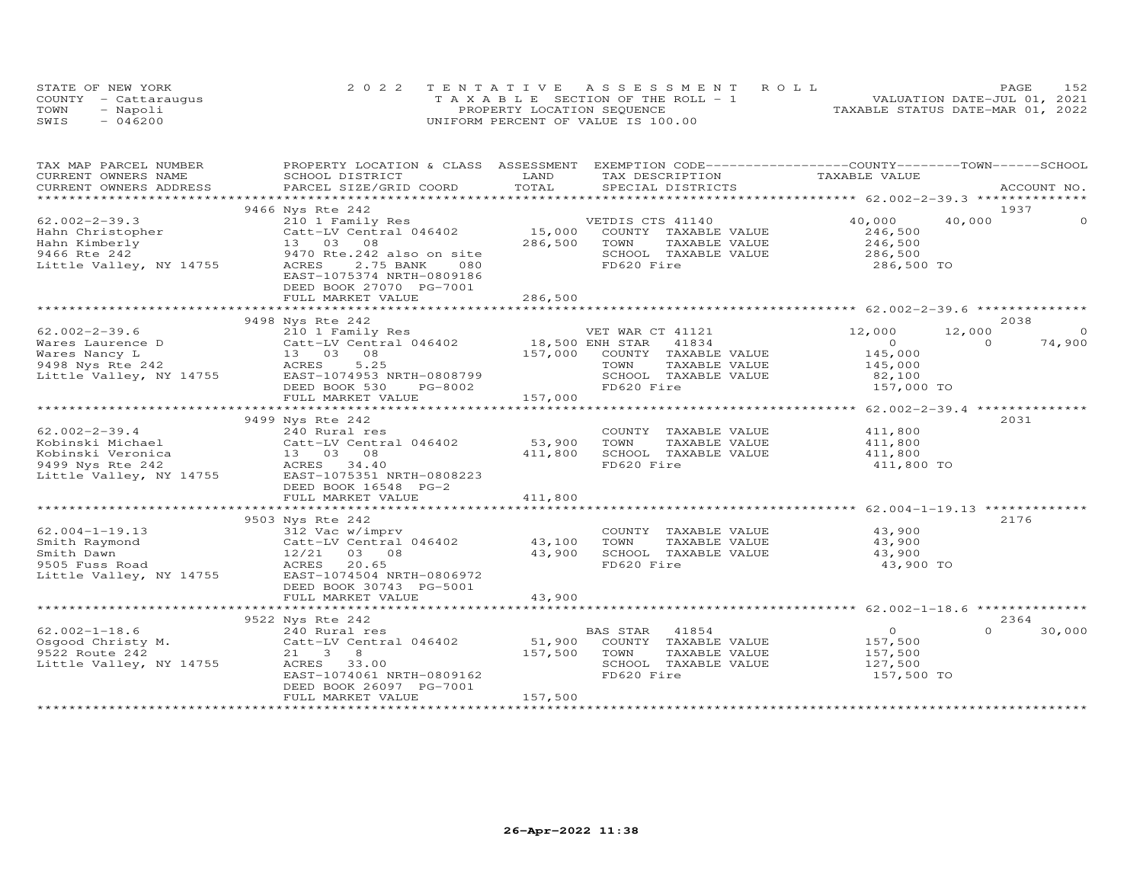|      | STATE OF NEW YORK    | 2022 TENTATIVE ASSESSMENT ROLL        | 152<br>PAGE                      |
|------|----------------------|---------------------------------------|----------------------------------|
|      | COUNTY - Cattaraugus | T A X A B L E SECTION OF THE ROLL - 1 | VALUATION DATE-JUL 01, 2021      |
| TOWN | - Napoli             | PROPERTY LOCATION SEQUENCE            | TAXABLE STATUS DATE-MAR 01, 2022 |
| SWIS | $-046200$            | UNIFORM PERCENT OF VALUE IS 100.00    |                                  |

| TAX MAP PARCEL NUMBER<br>CURRENT OWNERS NAME | PROPERTY LOCATION & CLASS ASSESSMENT EXEMPTION CODE----------------COUNTY-------TOWN------SCHOOL<br>SCHOOL DISTRICT                                                                                                                                                                                                                                                                                                                                                                                                  | LAND    |                               |                       |          |             |
|----------------------------------------------|----------------------------------------------------------------------------------------------------------------------------------------------------------------------------------------------------------------------------------------------------------------------------------------------------------------------------------------------------------------------------------------------------------------------------------------------------------------------------------------------------------------------|---------|-------------------------------|-----------------------|----------|-------------|
|                                              |                                                                                                                                                                                                                                                                                                                                                                                                                                                                                                                      |         | TAX DESCRIPTION TAXABLE VALUE |                       |          | ACCOUNT NO. |
|                                              |                                                                                                                                                                                                                                                                                                                                                                                                                                                                                                                      |         |                               |                       |          |             |
|                                              |                                                                                                                                                                                                                                                                                                                                                                                                                                                                                                                      |         |                               |                       | 1937     |             |
|                                              | 9466 Nys Rte 242                                                                                                                                                                                                                                                                                                                                                                                                                                                                                                     |         |                               |                       |          |             |
| $62.002 - 2 - 39.3$                          | 210 1 Family Res<br>Catt-LV Central 046402 15,000 COUNTY TAXABLE VALUE<br>13 03 08 286,500 TOWN TAXABLE VALUE                                                                                                                                                                                                                                                                                                                                                                                                        |         | VETDIS CTS 41140              | 40,000                | 40,000   |             |
| Hahn Christopher                             |                                                                                                                                                                                                                                                                                                                                                                                                                                                                                                                      |         |                               | 246,500               |          |             |
| Hahn Kimberly                                | 13  03  08<br>9470 Rte.242 also on site<br>9470 Rte.242 also on site                                                                                                                                                                                                                                                                                                                                                                                                                                                 | 286,500 | TAXABLE VALUE                 | 246,500               |          |             |
| 9466 Rte 242                                 |                                                                                                                                                                                                                                                                                                                                                                                                                                                                                                                      |         | SCHOOL TAXABLE VALUE          | 286,500               |          |             |
| Little Valley, NY 14755                      |                                                                                                                                                                                                                                                                                                                                                                                                                                                                                                                      |         | FD620 Fire                    | 286,500 TO            |          |             |
|                                              | EAST-1075374 NRTH-0809186                                                                                                                                                                                                                                                                                                                                                                                                                                                                                            |         |                               |                       |          |             |
|                                              | DEED BOOK 27070 PG-7001                                                                                                                                                                                                                                                                                                                                                                                                                                                                                              |         |                               |                       |          |             |
|                                              |                                                                                                                                                                                                                                                                                                                                                                                                                                                                                                                      |         |                               |                       |          |             |
|                                              |                                                                                                                                                                                                                                                                                                                                                                                                                                                                                                                      |         |                               |                       |          |             |
|                                              | 9498 Nys Rte 242                                                                                                                                                                                                                                                                                                                                                                                                                                                                                                     |         |                               |                       | 2038     |             |
|                                              | $\begin{array}{lllllllllllllllllllll} \end{array} & \begin{array}{lllllllllllllll} \end{array} & \begin{array}{lllllllllllll} \end{array} & \begin{array}{lllllllllll} \end{array} & \begin{array}{lllllllllll} \end{array} & \begin{array}{lllllllllll} \end{array} & \begin{array}{lllllllllll} \end{array} & \begin{array}{lllllllllll} \end{array} & \begin{array}{lllllllllll} \end{array} & \begin{array}{lllllllllllll} \end{array} & \begin{array}{lllllllllllll} \end{array} & \begin{array}{lllllllllllll$ |         |                               | 12,000                | 12,000   | $\Omega$    |
|                                              |                                                                                                                                                                                                                                                                                                                                                                                                                                                                                                                      |         |                               | $\overline{O}$        | $\Omega$ | 74,900      |
|                                              |                                                                                                                                                                                                                                                                                                                                                                                                                                                                                                                      |         |                               | 145,000               |          |             |
|                                              |                                                                                                                                                                                                                                                                                                                                                                                                                                                                                                                      |         |                               | 145,000               |          |             |
|                                              |                                                                                                                                                                                                                                                                                                                                                                                                                                                                                                                      |         | SCHOOL TAXABLE VALUE 82,100   |                       |          |             |
|                                              |                                                                                                                                                                                                                                                                                                                                                                                                                                                                                                                      |         |                               | 157,000 TO            |          |             |
|                                              |                                                                                                                                                                                                                                                                                                                                                                                                                                                                                                                      |         |                               |                       |          |             |
|                                              | FULL MARKET VALUE                                                                                                                                                                                                                                                                                                                                                                                                                                                                                                    | 157,000 |                               |                       |          |             |
|                                              |                                                                                                                                                                                                                                                                                                                                                                                                                                                                                                                      |         |                               |                       |          |             |
|                                              | 9499 Nys Rte 242                                                                                                                                                                                                                                                                                                                                                                                                                                                                                                     |         |                               |                       | 2031     |             |
| $62.002 - 2 - 39.4$                          | 240 Rural res                                                                                                                                                                                                                                                                                                                                                                                                                                                                                                        |         | COUNTY TAXABLE VALUE          | 411,800               |          |             |
|                                              | Experience of Columbus Experience Catt-LV Central 046402<br>Robinski Veronica (13 03 08<br>9499 Nys Rte 242 (24) ACRES 34.40<br>Little Valley, NY 14755 (25.87 -1075351 NRTH-0808223<br>Catt-LV Central 046402 53,900                                                                                                                                                                                                                                                                                                |         | TOWN<br>TAXABLE VALUE         | 411,800               |          |             |
|                                              |                                                                                                                                                                                                                                                                                                                                                                                                                                                                                                                      | 411,800 | SCHOOL TAXABLE VALUE          | 411,800<br>411,800 TO |          |             |
|                                              |                                                                                                                                                                                                                                                                                                                                                                                                                                                                                                                      |         | FD620 Fire                    |                       |          |             |
|                                              |                                                                                                                                                                                                                                                                                                                                                                                                                                                                                                                      |         |                               |                       |          |             |
|                                              | DEED BOOK 16548 PG-2                                                                                                                                                                                                                                                                                                                                                                                                                                                                                                 |         |                               |                       |          |             |
|                                              | FULL MARKET VALUE                                                                                                                                                                                                                                                                                                                                                                                                                                                                                                    | 411,800 |                               |                       |          |             |
|                                              |                                                                                                                                                                                                                                                                                                                                                                                                                                                                                                                      |         |                               |                       |          |             |
|                                              | 9503 Nys Rte 242                                                                                                                                                                                                                                                                                                                                                                                                                                                                                                     |         |                               |                       | 2176     |             |
| $62.004 - 1 - 19.13$                         | -12 Vac w/imprv<br>Catt-LV Central 046402 43,100                                                                                                                                                                                                                                                                                                                                                                                                                                                                     |         | COUNTY TAXABLE VALUE 43,900   |                       |          |             |
| Smith Raymond                                |                                                                                                                                                                                                                                                                                                                                                                                                                                                                                                                      |         | TOWN<br>TAXABLE VALUE         |                       |          |             |
| Smith Dawn                                   |                                                                                                                                                                                                                                                                                                                                                                                                                                                                                                                      | 43,900  | SCHOOL TAXABLE VALUE          | $43,900$<br>$43,900$  |          |             |
| 9505 Fuss Road                               |                                                                                                                                                                                                                                                                                                                                                                                                                                                                                                                      |         | FD620 Fire                    | 43,900 TO             |          |             |
| Little Valley, NY 14755                      | 312 v.<br>Catt-LV Centra.<br>12/21 03 08<br>ACRES 20.65<br>PAST-1074504 N<br>EAST-1074504 NRTH-0806972                                                                                                                                                                                                                                                                                                                                                                                                               |         |                               |                       |          |             |
|                                              | DEED BOOK 30743 PG-5001                                                                                                                                                                                                                                                                                                                                                                                                                                                                                              |         |                               |                       |          |             |
|                                              | FULL MARKET VALUE                                                                                                                                                                                                                                                                                                                                                                                                                                                                                                    | 43,900  |                               |                       |          |             |
|                                              |                                                                                                                                                                                                                                                                                                                                                                                                                                                                                                                      |         |                               |                       |          |             |
|                                              |                                                                                                                                                                                                                                                                                                                                                                                                                                                                                                                      |         |                               |                       |          |             |
|                                              | 9522 Nys Rte 242<br>240 Rural res<br>Catt-LV Central 046402 51,900<br>21 3 8                                                                                                                                                                                                                                                                                                                                                                                                                                         |         |                               |                       | 2364     |             |
| $62.002 - 1 - 18.6$                          |                                                                                                                                                                                                                                                                                                                                                                                                                                                                                                                      |         | BAS STAR 41854                | $\overline{0}$        | $\Omega$ | 30,000      |
| Osgood Christy M.                            |                                                                                                                                                                                                                                                                                                                                                                                                                                                                                                                      |         | COUNTY TAXABLE VALUE          | 157,500               |          |             |
| 9522 Route 242                               |                                                                                                                                                                                                                                                                                                                                                                                                                                                                                                                      | 157,500 | TOWN<br>TAXABLE VALUE         | 157,500               |          |             |
| Little Valley, NY 14755                      | ACRES 33.00                                                                                                                                                                                                                                                                                                                                                                                                                                                                                                          |         | SCHOOL TAXABLE VALUE          | 127,500               |          |             |
|                                              | EAST-1074061 NRTH-0809162                                                                                                                                                                                                                                                                                                                                                                                                                                                                                            |         | FD620 Fire                    | 157,500 TO            |          |             |
|                                              | DEED BOOK 26097 PG-7001                                                                                                                                                                                                                                                                                                                                                                                                                                                                                              |         |                               |                       |          |             |
|                                              | FULL MARKET VALUE                                                                                                                                                                                                                                                                                                                                                                                                                                                                                                    | 157,500 |                               |                       |          |             |
|                                              |                                                                                                                                                                                                                                                                                                                                                                                                                                                                                                                      |         |                               |                       |          |             |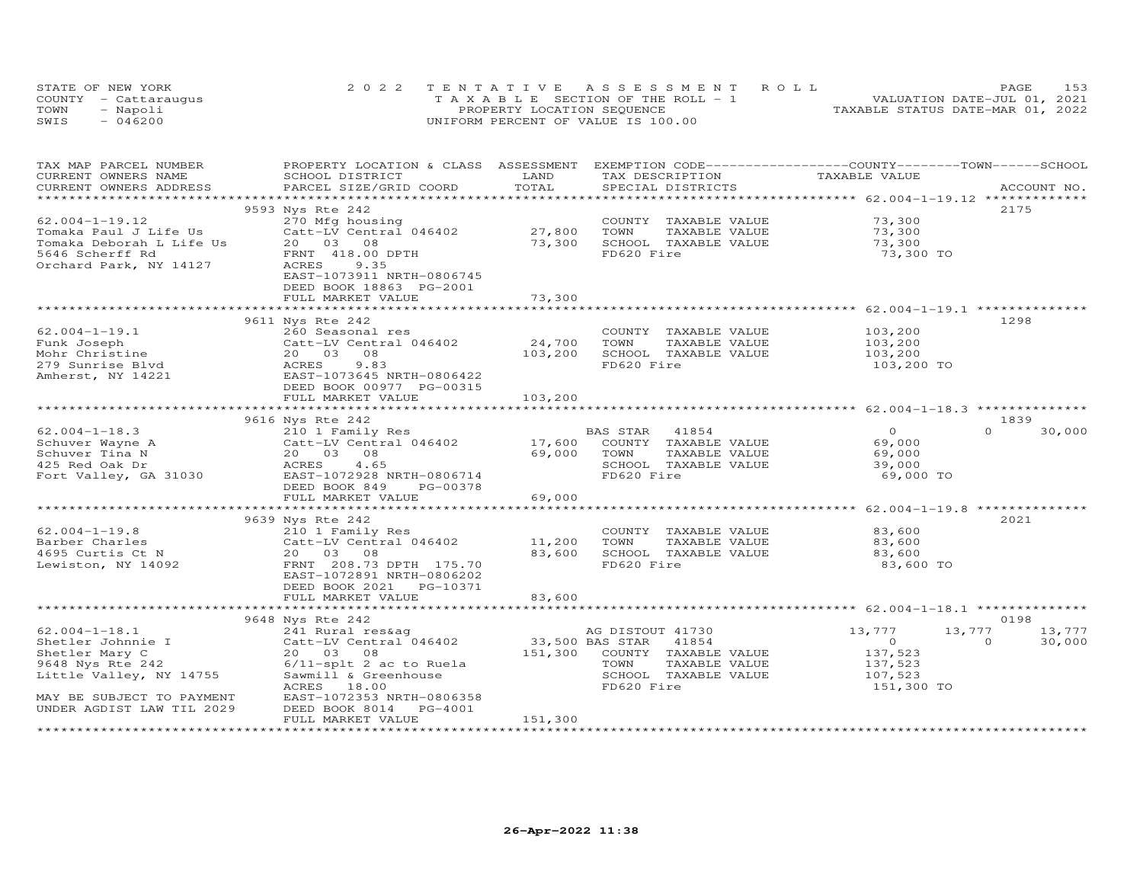|      | STATE OF NEW YORK    | 2022 TENTATIVE ASSESSMENT ROLL        | 153<br>PAGE                      |
|------|----------------------|---------------------------------------|----------------------------------|
|      | COUNTY - Cattaraugus | T A X A B L E SECTION OF THE ROLL - 1 | VALUATION DATE-JUL 01, 2021      |
| TOWN | - Napoli             | PROPERTY LOCATION SEQUENCE            | TAXABLE STATUS DATE-MAR 01, 2022 |
| SWIS | $-046200$            | UNIFORM PERCENT OF VALUE IS 100.00    |                                  |

| TAX MAP PARCEL NUMBER<br>CURRENT OWNERS NAME<br>CURRENT OWNERS ADDRESS                                                 | PROPERTY LOCATION & CLASS ASSESSMENT<br>SCHOOL DISTRICT<br>PARCEL SIZE/GRID COORD                                                                                   | LAND<br>TOTAL              | TAX DESCRIPTION<br>SPECIAL DISTRICTS                                                                     | EXEMPTION CODE-----------------COUNTY-------TOWN------SCHOOL<br>TAXABLE VALUE | ACCOUNT NO.                         |
|------------------------------------------------------------------------------------------------------------------------|---------------------------------------------------------------------------------------------------------------------------------------------------------------------|----------------------------|----------------------------------------------------------------------------------------------------------|-------------------------------------------------------------------------------|-------------------------------------|
| **********************                                                                                                 | 9593 Nys Rte 242                                                                                                                                                    |                            |                                                                                                          |                                                                               | 2175                                |
| $62.004 - 1 - 19.12$<br>Tomaka Paul J Life Us<br>Tomaka Deborah L Life Us<br>5646 Scherff Rd<br>Orchard Park, NY 14127 | 270 Mfg housing<br>Catt-LV Central 046402<br>20 03 08<br>FRNT 418.00 DPTH<br>ACRES<br>9.35<br>EAST-1073911 NRTH-0806745                                             | 27,800<br>73,300           | COUNTY TAXABLE VALUE<br>TOWN<br>TAXABLE VALUE<br>SCHOOL TAXABLE VALUE<br>FD620 Fire                      | 73,300<br>73,300<br>73,300<br>73,300 TO                                       |                                     |
|                                                                                                                        | DEED BOOK 18863 PG-2001<br>FULL MARKET VALUE                                                                                                                        | 73,300                     |                                                                                                          |                                                                               |                                     |
|                                                                                                                        | 9611 Nys Rte 242                                                                                                                                                    |                            |                                                                                                          |                                                                               | 1298                                |
| $62.004 - 1 - 19.1$<br>Funk Joseph<br>Mohr Christine<br>279 Sunrise Blvd<br>Amherst, NY 14221                          | 260 Seasonal res<br>Catt-LV Central 046402<br>08<br>20 03<br>ACRES<br>9.83<br>EAST-1073645 NRTH-0806422<br>DEED BOOK 00977 PG-00315                                 | 24,700<br>103,200          | COUNTY TAXABLE VALUE<br>TOWN<br>TAXABLE VALUE<br>SCHOOL TAXABLE VALUE<br>FD620 Fire                      | 103,200<br>103,200<br>103,200<br>103,200 TO                                   |                                     |
|                                                                                                                        | FULL MARKET VALUE                                                                                                                                                   | 103,200                    |                                                                                                          |                                                                               |                                     |
|                                                                                                                        | 9616 Nys Rte 242                                                                                                                                                    |                            |                                                                                                          |                                                                               | 1839                                |
| $62.004 - 1 - 18.3$<br>Schuver Wayne A<br>Schuver Tina N<br>425 Red Oak Dr<br>Fort Valley, GA 31030                    | 210 1 Family Res<br>Catt-LV Central 046402<br>20 03<br>08<br>4.65<br>ACRES<br>EAST-1072928 NRTH-0806714<br>DEED BOOK 849<br>PG-00378<br>FULL MARKET VALUE           | 17,600<br>69,000<br>69,000 | BAS STAR<br>41854<br>COUNTY TAXABLE VALUE<br>TOWN<br>TAXABLE VALUE<br>SCHOOL TAXABLE VALUE<br>FD620 Fire | $\circ$<br>69,000<br>69,000<br>39,000<br>69,000 TO                            | $\Omega$<br>30,000                  |
|                                                                                                                        | 9639 Nys Rte 242                                                                                                                                                    |                            |                                                                                                          | *********************** 62.004-1-19.8 *************                           | 2021                                |
| $62.004 - 1 - 19.8$<br>Barber Charles<br>4695 Curtis Ct N<br>Lewiston, NY 14092                                        | 210 1 Family Res<br>Catt-LV Central 046402<br>20  03  08<br>FRNT 208.73 DPTH 175.70<br>EAST-1072891 NRTH-0806202<br>DEED BOOK 2021    PG-10371<br>FULL MARKET VALUE | 11,200<br>83,600<br>83,600 | COUNTY TAXABLE VALUE<br>TOWN<br>TAXABLE VALUE<br>SCHOOL TAXABLE VALUE<br>FD620 Fire                      | 83,600<br>83,600<br>83,600<br>83,600 TO                                       |                                     |
|                                                                                                                        |                                                                                                                                                                     |                            |                                                                                                          |                                                                               |                                     |
| $62.004 - 1 - 18.1$<br>Shetler Johnnie I<br>Shetler Mary C                                                             | 9648 Nys Rte 242<br>241 Rural res&ag<br>Catt-LV Central 046402<br>20  03  08                                                                                        | 33,500 BAS STAR<br>151,300 | AG DISTOUT 41730<br>41854<br>COUNTY TAXABLE VALUE<br>TOWN                                                | 13,777<br>13,777<br>$\circ$<br>137,523                                        | 0198<br>13,777<br>$\circ$<br>30,000 |
| 9648 Nys Rte 242<br>Little Valley, NY 14755<br>MAY BE SUBJECT TO PAYMENT                                               | $6/11$ -splt 2 ac to Ruela<br>Sawmill & Greenhouse<br>ACRES<br>18.00<br>EAST-1072353 NRTH-0806358                                                                   |                            | TAXABLE VALUE<br>SCHOOL TAXABLE VALUE<br>FD620 Fire                                                      | 137,523<br>107,523<br>151,300 TO                                              |                                     |
| UNDER AGDIST LAW TIL 2029                                                                                              | DEED BOOK 8014<br>PG-4001<br>FULL MARKET VALUE                                                                                                                      | 151,300                    |                                                                                                          |                                                                               |                                     |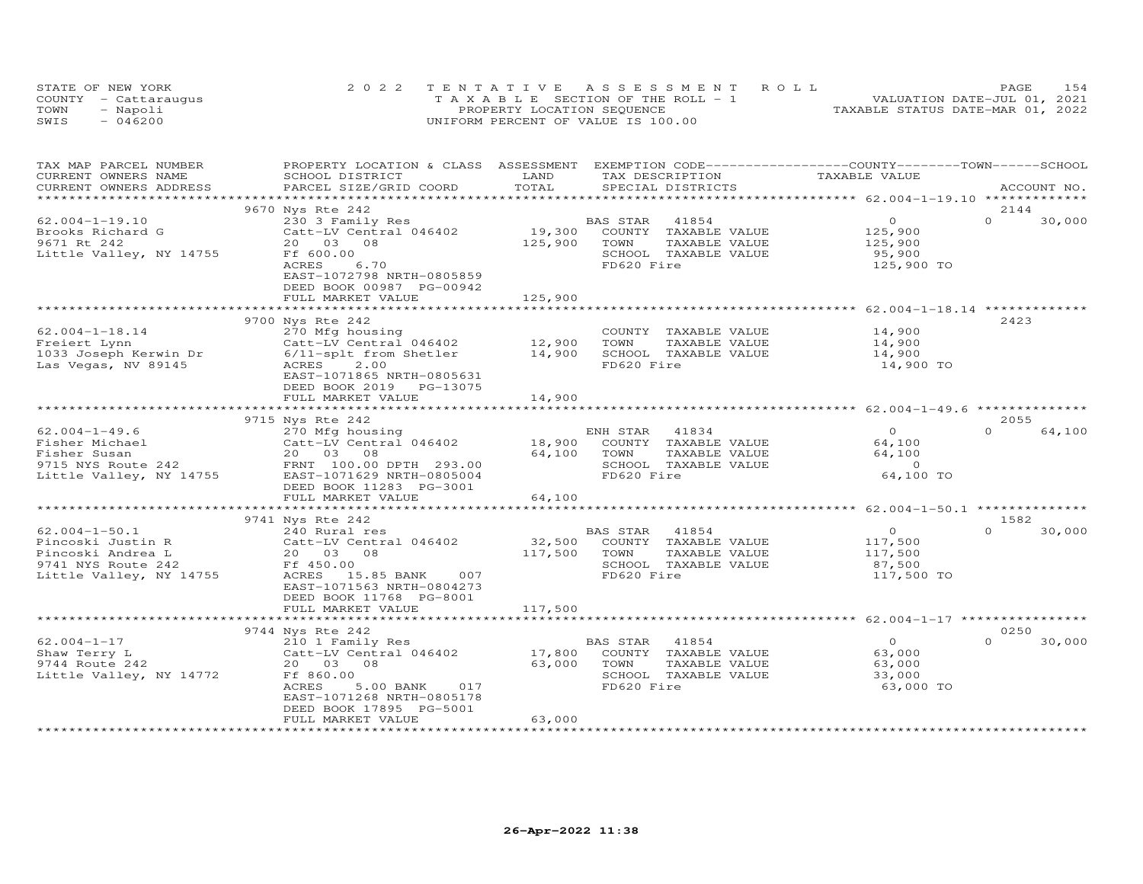|      | STATE OF NEW YORK    | 2022 TENTATIVE ASSESSMENT ROLL                | PAGE.                            | 1.54 |
|------|----------------------|-----------------------------------------------|----------------------------------|------|
|      | COUNTY - Cattaraugus | $T A X A B I F S E C T I ON OF THE RO I. - 1$ | VALUATION DATE-JUL 01, 2021      |      |
| TOWN | - Napoli             | PROPERTY LOCATION SEQUENCE                    | TAXABLE STATUS DATE-MAR 01, 2022 |      |
| SWIS | - 046200             | UNIFORM PERCENT OF VALUE IS 100.00            |                                  |      |

| TAX MAP PARCEL NUMBER<br>CURRENT OWNERS NAME                                                                   | PROPERTY LOCATION & CLASS ASSESSMENT<br>SCHOOL DISTRICT                                                                                                                                                           | LAND                         | TAX DESCRIPTION                                                                                             | EXEMPTION CODE-----------------COUNTY-------TOWN------SCHOOL<br>TAXABLE VALUE |                            |
|----------------------------------------------------------------------------------------------------------------|-------------------------------------------------------------------------------------------------------------------------------------------------------------------------------------------------------------------|------------------------------|-------------------------------------------------------------------------------------------------------------|-------------------------------------------------------------------------------|----------------------------|
| CURRENT OWNERS ADDRESS<br>*******************                                                                  | PARCEL SIZE/GRID COORD                                                                                                                                                                                            | TOTAL                        | SPECIAL DISTRICTS                                                                                           |                                                                               | ACCOUNT NO.                |
|                                                                                                                | 9670 Nys Rte 242                                                                                                                                                                                                  |                              |                                                                                                             |                                                                               | 2144                       |
| $62.004 - 1 - 19.10$<br>Brooks Richard G<br>9671 Rt 242<br>Little Valley, NY 14755                             | 230 3 Family Res<br>Catt-LV Central 046402<br>20  03  08<br>Ff 600.00<br>6.70<br>ACRES<br>EAST-1072798 NRTH-0805859<br>DEED BOOK 00987 PG-00942<br>FULL MARKET VALUE                                              | 19,300<br>125,900<br>125,900 | 41854<br>BAS STAR<br>COUNTY TAXABLE VALUE<br>TOWN<br>TAXABLE VALUE<br>SCHOOL TAXABLE VALUE<br>FD620 Fire    | $\circ$<br>125,900<br>125,900<br>95,900<br>125,900 TO                         | $\Omega$<br>30,000         |
|                                                                                                                | ****************************                                                                                                                                                                                      | **************               |                                                                                                             | *********************** 62.004-1-18.14 **************                         |                            |
| $62.004 - 1 - 18.14$<br>Freiert Lynn<br>1033 Joseph Kerwin Dr<br>Las Vegas, NV 89145                           | 9700 Nys Rte 242<br>270 Mfg housing<br>Catt-LV Central 046402<br>6/11-splt from Shetler<br>ACRES<br>2.00<br>EAST-1071865 NRTH-0805631<br>DEED BOOK 2019 PG-13075<br>FULL MARKET VALUE                             | 12,900<br>14,900<br>14,900   | COUNTY TAXABLE VALUE<br>TOWN<br>TAXABLE VALUE<br>SCHOOL TAXABLE VALUE<br>FD620 Fire                         | 14,900<br>14,900<br>14,900<br>14,900 TO                                       | 2423                       |
|                                                                                                                |                                                                                                                                                                                                                   |                              |                                                                                                             |                                                                               |                            |
| $62.004 - 1 - 49.6$<br>Fisher Michael<br>Fisher Susan<br>9715 NYS Route 242<br>Little Valley, NY 14755         | 9715 Nys Rte 242<br>270 Mfg housing<br>Catt-LV Central 046402<br>20 03<br>08<br>FRNT 100.00 DPTH 293.00<br>EAST-1071629 NRTH-0805004<br>DEED BOOK 11283 PG-3001<br>FULL MARKET VALUE<br>************************* | 18,900<br>64,100<br>64,100   | ENH STAR<br>41834<br>COUNTY TAXABLE VALUE<br>TOWN<br>TAXABLE VALUE<br>SCHOOL TAXABLE VALUE<br>FD620 Fire    | $\circ$<br>64,100<br>64,100<br>$\Omega$<br>64,100 TO                          | 2055<br>$\Omega$<br>64,100 |
|                                                                                                                | 9741 Nys Rte 242                                                                                                                                                                                                  |                              |                                                                                                             |                                                                               | 1582                       |
| $62.004 - 1 - 50.1$<br>Pincoski Justin R<br>Pincoski Andrea L<br>9741 NYS Route 242<br>Little Valley, NY 14755 | 240 Rural res<br>Catt-LV Central 046402<br>20  03  08<br>Ff 450.00<br>ACRES 15.85 BANK<br>007<br>EAST-1071563 NRTH-0804273<br>DEED BOOK 11768 PG-8001                                                             | 32,500<br>117,500            | 41854<br>BAS STAR<br>COUNTY TAXABLE VALUE<br>TOWN<br>TAXABLE VALUE<br>SCHOOL TAXABLE VALUE<br>FD620 Fire    | $\overline{0}$<br>117,500<br>117,500<br>87,500<br>117,500 TO                  | $\Omega$<br>30,000         |
|                                                                                                                | FULL MARKET VALUE                                                                                                                                                                                                 | 117,500                      |                                                                                                             |                                                                               |                            |
|                                                                                                                | ***********************<br>9744 Nys Rte 242                                                                                                                                                                       |                              |                                                                                                             |                                                                               | 0250                       |
| $62.004 - 1 - 17$<br>Shaw Terry L<br>9744 Route 242<br>Little Valley, NY 14772                                 | 210 1 Family Res<br>Catt-LV Central 046402<br>20 03<br>08<br>Ff 860.00<br>ACRES<br>5.00 BANK<br>017<br>EAST-1071268 NRTH-0805178<br>DEED BOOK 17895 PG-5001<br>FULL MARKET VALUE                                  | 17,800<br>63,000<br>63,000   | BAS STAR<br>41854<br>TAXABLE VALUE<br>COUNTY<br>TOWN<br>TAXABLE VALUE<br>SCHOOL TAXABLE VALUE<br>FD620 Fire | $\Omega$<br>63,000<br>63,000<br>33,000<br>63,000 TO                           | $\Omega$<br>30,000         |
|                                                                                                                |                                                                                                                                                                                                                   |                              |                                                                                                             |                                                                               |                            |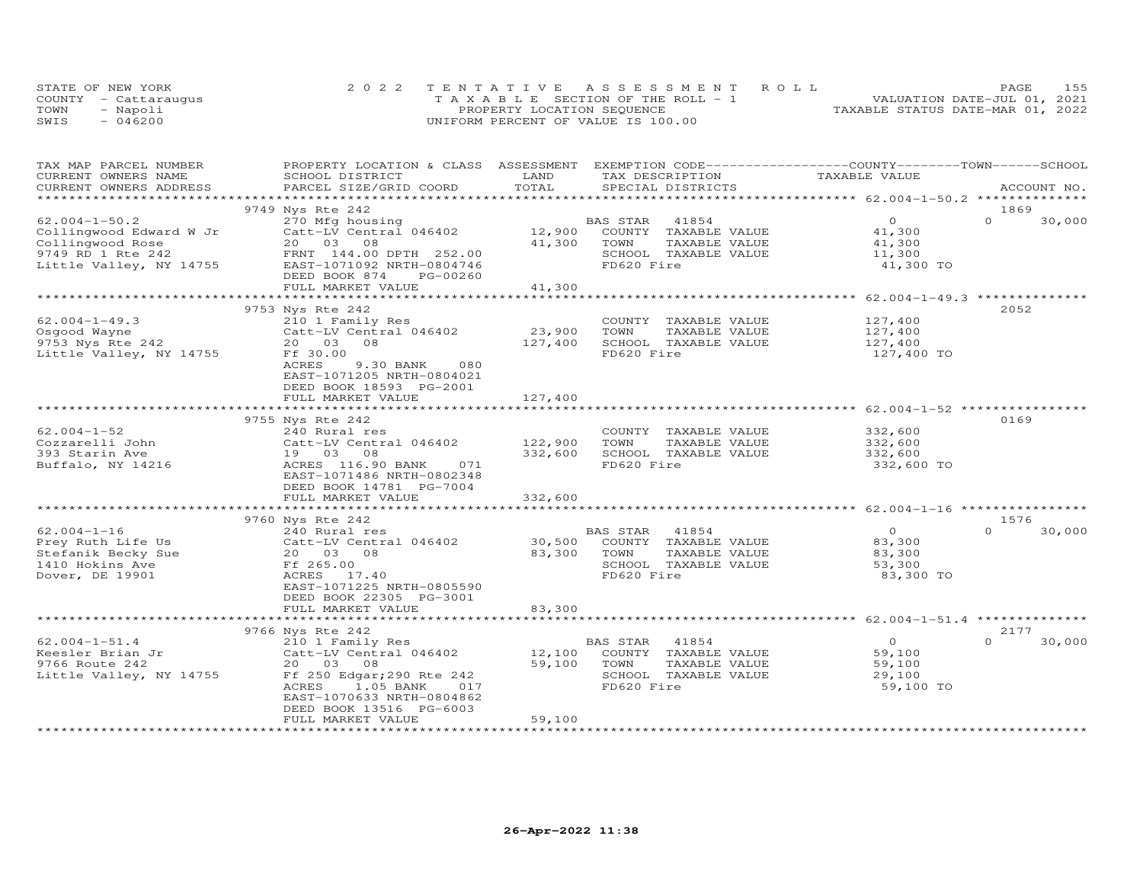|      | STATE OF NEW YORK    | 2022 TENTATIVE ASSESSMENT ROLL        | 155<br>PAGE                      |
|------|----------------------|---------------------------------------|----------------------------------|
|      | COUNTY - Cattaraugus | T A X A B L E SECTION OF THE ROLL - 1 | VALUATION DATE-JUL 01, 2021      |
| TOWN | - Napoli             | PROPERTY LOCATION SEQUENCE            | TAXABLE STATUS DATE-MAR 01, 2022 |
| SWIS | $-046200$            | UNIFORM PERCENT OF VALUE IS 100.00    |                                  |

| TAX MAP PARCEL NUMBER<br>CURRENT OWNERS NAME<br>CURRENT OWNERS ADDRESS                                             | PROPERTY LOCATION & CLASS ASSESSMENT<br>SCHOOL DISTRICT<br>PARCEL SIZE/GRID COORD                                                                                              | LAND<br>TOTAL                 | EXEMPTION CODE-----------------COUNTY-------TOWN-----SCHOOL<br>TAX DESCRIPTION<br>SPECIAL DISTRICTS      | TAXABLE VALUE                                             | ACCOUNT NO.              |
|--------------------------------------------------------------------------------------------------------------------|--------------------------------------------------------------------------------------------------------------------------------------------------------------------------------|-------------------------------|----------------------------------------------------------------------------------------------------------|-----------------------------------------------------------|--------------------------|
|                                                                                                                    |                                                                                                                                                                                |                               |                                                                                                          |                                                           |                          |
|                                                                                                                    | 9749 Nys Rte 242                                                                                                                                                               |                               |                                                                                                          |                                                           | 1869                     |
| $62.004 - 1 - 50.2$<br>Collingwood Edward W Jr<br>Collingwood Rose<br>9749 RD 1 Rte 242<br>Little Valley, NY 14755 | 270 Mfg housing<br>Catt-LV Central 046402<br>20  03  08<br>FRNT 144.00 DPTH 252.00<br>EAST-1071092 NRTH-0804746<br>DEED BOOK 874<br>PG-00260<br>FULL MARKET VALUE              | 12,900<br>41,300<br>41,300    | BAS STAR<br>41854<br>COUNTY TAXABLE VALUE<br>TOWN<br>TAXABLE VALUE<br>SCHOOL TAXABLE VALUE<br>FD620 Fire | $\circ$<br>41,300<br>41,300<br>11,300<br>41,300 TO        | $\Omega$<br>30,000       |
|                                                                                                                    |                                                                                                                                                                                |                               |                                                                                                          |                                                           |                          |
| $62.004 - 1 - 49.3$<br>Osgood Wayne<br>9753 Nys Rte 242<br>Little Valley, NY 14755                                 | 9753 Nys Rte 242<br>210 1 Family Res<br>Catt-LV Central 046402<br>20 03<br>08<br>Ff 30.00<br>ACRES<br>9.30 BANK<br>080<br>EAST-1071205 NRTH-0804021<br>DEED BOOK 18593 PG-2001 | 23,900<br>127,400<br>127,400  | COUNTY TAXABLE VALUE<br>TOWN<br>TAXABLE VALUE<br>SCHOOL TAXABLE VALUE<br>FD620 Fire                      | 127,400<br>127,400<br>127,400<br>127,400 TO               | 2052                     |
|                                                                                                                    | FULL MARKET VALUE                                                                                                                                                              |                               |                                                                                                          |                                                           |                          |
|                                                                                                                    | 9755 Nys Rte 242                                                                                                                                                               |                               |                                                                                                          |                                                           | 0169                     |
| $62.004 - 1 - 52$<br>Cozzarelli John<br>393 Starin Ave<br>Buffalo, NY 14216                                        | 240 Rural res<br>Catt-LV Central 046402<br>19 03<br>08<br>ACRES 116.90 BANK<br>071<br>EAST-1071486 NRTH-0802348<br>DEED BOOK 14781 PG-7004<br>FULL MARKET VALUE                | 122,900<br>332,600<br>332,600 | COUNTY TAXABLE VALUE<br>TAXABLE VALUE<br>TOWN<br>SCHOOL TAXABLE VALUE<br>FD620 Fire                      | 332,600<br>332,600<br>332,600<br>332,600 TO               |                          |
|                                                                                                                    |                                                                                                                                                                                |                               |                                                                                                          |                                                           |                          |
| $62.004 - 1 - 16$<br>Prey Ruth Life Us<br>Stefanik Becky Sue<br>1410 Hokins Ave<br>Dover, DE 19901                 | 9760 Nys Rte 242<br>240 Rural res<br>Catt-LV Central 046402<br>20  03  08<br>Ff 265.00<br>ACRES 17.40<br>EAST-1071225 NRTH-0805590<br>DEED BOOK 22305 PG-3001                  | 30,500<br>83,300              | BAS STAR<br>41854<br>COUNTY TAXABLE VALUE<br>TOWN<br>TAXABLE VALUE<br>SCHOOL TAXABLE VALUE<br>FD620 Fire | $\overline{0}$<br>83,300<br>83,300<br>53,300<br>83,300 TO | 1576<br>$\cap$<br>30,000 |
|                                                                                                                    | FULL MARKET VALUE                                                                                                                                                              | 83,300                        |                                                                                                          |                                                           |                          |
|                                                                                                                    |                                                                                                                                                                                |                               |                                                                                                          |                                                           |                          |
|                                                                                                                    | 9766 Nys Rte 242                                                                                                                                                               |                               |                                                                                                          | $\circ$                                                   | 2177<br>$\Omega$         |
| $62.004 - 1 - 51.4$<br>Keesler Brian Jr<br>9766 Route 242<br>Little Valley, NY 14755                               | 210 1 Family Res<br>Catt-LV Central 046402<br>20  03  08<br>Ff 250 Edgar; 290 Rte 242<br>ACRES<br>1.05 BANK<br>017<br>EAST-1070633 NRTH-0804862<br>DEED BOOK 13516 PG-6003     | 12,100<br>59,100              | BAS STAR<br>41854<br>COUNTY TAXABLE VALUE<br>TOWN<br>TAXABLE VALUE<br>SCHOOL TAXABLE VALUE<br>FD620 Fire | 59,100<br>59,100<br>29,100<br>59,100 TO                   | 30,000                   |
|                                                                                                                    | FULL MARKET VALUE                                                                                                                                                              | 59,100                        |                                                                                                          |                                                           |                          |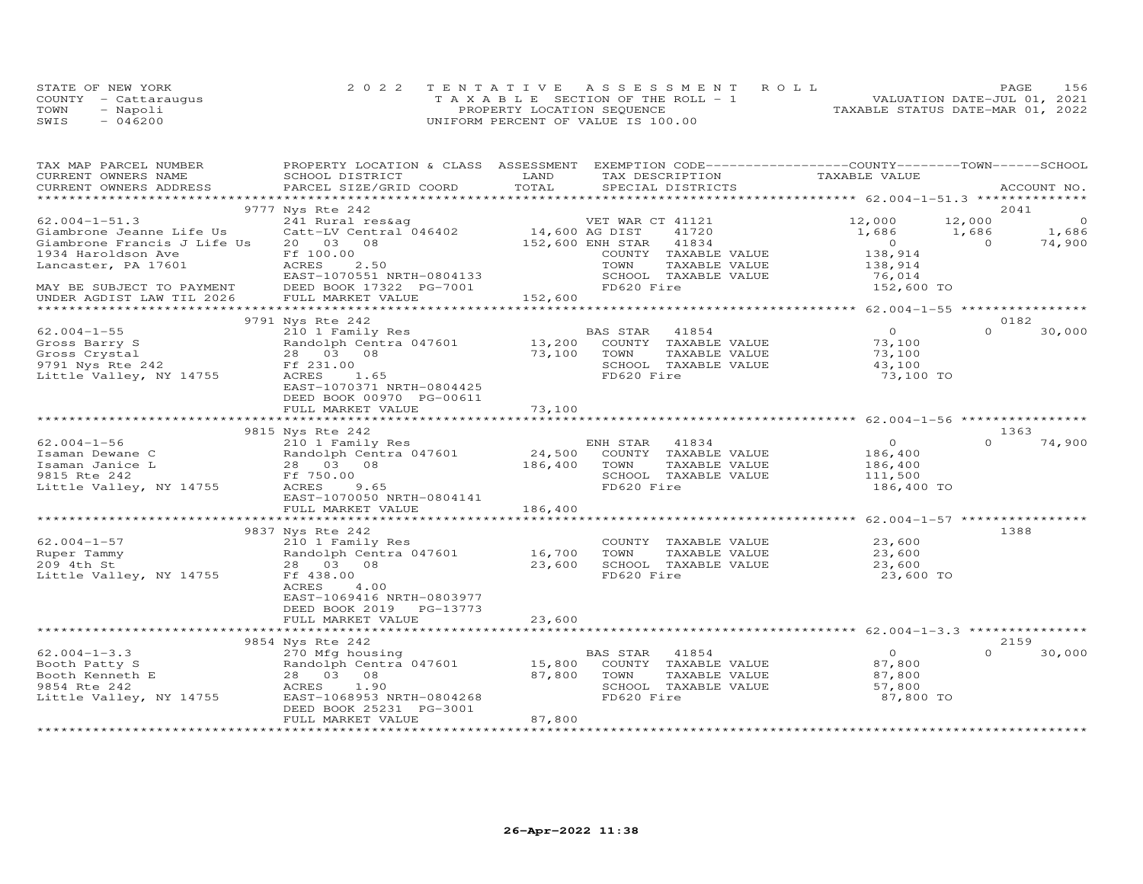|      | STATE OF NEW YORK    | 2022 TENTATIVE ASSESSMENT ROLL        | 156<br>PAGE                      |
|------|----------------------|---------------------------------------|----------------------------------|
|      | COUNTY - Cattaraugus | T A X A B L E SECTION OF THE ROLL - 1 | VALUATION DATE-JUL 01, 2021      |
| TOWN | - Napoli             | PROPERTY LOCATION SEQUENCE            | TAXABLE STATUS DATE-MAR 01, 2022 |
| SWIS | $-046200$            | UNIFORM PERCENT OF VALUE IS 100.00    |                                  |

| TAX MAP PARCEL NUMBER                              | PROPERTY LOCATION & CLASS ASSESSMENT EXEMPTION CODE----------------COUNTY-------TOWN------SCHOOL |               |                           |               |                                                  |                |             |
|----------------------------------------------------|--------------------------------------------------------------------------------------------------|---------------|---------------------------|---------------|--------------------------------------------------|----------------|-------------|
| CURRENT OWNERS NAME                                | SCHOOL DISTRICT                                                                                  | LAND          | TAX DESCRIPTION           |               | TAXABLE VALUE                                    |                |             |
| CURRENT OWNERS ADDRESS                             | PARCEL SIZE/GRID COORD                                                                           | TOTAL         | SPECIAL DISTRICTS         |               |                                                  |                | ACCOUNT NO. |
|                                                    |                                                                                                  |               |                           |               |                                                  |                |             |
|                                                    | 9777 Nys Rte 242                                                                                 |               |                           |               |                                                  |                | 2041        |
| $62.004 - 1 - 51.3$                                | 241 Rural res&aq                                                                                 |               | VET WAR CT 41121          |               | 12,000                                           | 12,000         | $\circ$     |
| Giambrone Jeanne Life Us                           | Catt-LV Central 046402 14,600 AG DIST                                                            |               | 41720                     |               | 1,686                                            | 1,686          | 1,686       |
| Giambrone Francis J Life Us                        | 20  03  08                                                                                       |               | 152,600 ENH STAR<br>41834 |               | $\overline{O}$                                   | $\overline{0}$ | 74,900      |
| 1934 Haroldson Ave                                 | Ff 100.00                                                                                        |               | COUNTY TAXABLE VALUE      |               | 138,914                                          |                |             |
| Lancaster, PA 17601                                | 2.50<br>ACRES                                                                                    |               | TOWN                      | TAXABLE VALUE | 138,914                                          |                |             |
|                                                    | EAST-1070551 NRTH-0804133                                                                        |               | SCHOOL TAXABLE VALUE      |               | 76,014                                           |                |             |
| MAY BE SUBJECT TO PAYMENT                          | DEED BOOK 17322 PG-7001                                                                          |               | FD620 Fire                |               | 152,600 TO                                       |                |             |
| UNDER AGDIST LAW TIL 2026                          | FULL MARKET VALUE                                                                                | 152,600       |                           |               |                                                  |                |             |
|                                                    |                                                                                                  |               |                           |               |                                                  |                |             |
|                                                    | 9791 Nys Rte 242                                                                                 |               |                           |               |                                                  |                | 0182        |
| $62.004 - 1 - 55$                                  | 210 1 Family Res                                                                                 |               | BAS STAR<br>41854         |               | $\overline{0}$                                   | $\Omega$       | 30,000      |
| Gross Barry S<br>Gross Crystal<br>9791 Nys Rte 242 | Randolph Centra 047601                                                                           | 13,200        | COUNTY TAXABLE VALUE      |               | 73,100                                           |                |             |
|                                                    | 28 03 08                                                                                         | 73,100        | TOWN                      | TAXABLE VALUE | 73,100                                           |                |             |
|                                                    | Ff 231.00                                                                                        |               | SCHOOL TAXABLE VALUE      |               | 43,100                                           |                |             |
| Little Valley, NY 14755                            | ACRES<br>1.65                                                                                    |               | FD620 Fire                |               | 73,100 TO                                        |                |             |
|                                                    | EAST-1070371 NRTH-0804425                                                                        |               |                           |               |                                                  |                |             |
|                                                    | DEED BOOK 00970 PG-00611                                                                         |               |                           |               |                                                  |                |             |
|                                                    |                                                                                                  |               |                           |               |                                                  |                |             |
|                                                    |                                                                                                  |               |                           |               |                                                  |                |             |
|                                                    | 9815 Nys Rte 242                                                                                 |               |                           |               |                                                  |                | 1363        |
| $62.004 - 1 - 56$                                  | 210 1 Family Res                                                                                 |               | 41834<br>ENH STAR         |               | $\overline{O}$                                   | $\Omega$       | 74,900      |
| Isaman Dewane C                                    | Randolph Centra 047601                                                                           | 24,500        | COUNTY TAXABLE VALUE      |               | 186,400                                          |                |             |
| Isaman Janice L                                    | 28 03 08                                                                                         | 186,400       | TOWN                      | TAXABLE VALUE | 186,400                                          |                |             |
| 9815 Rte 242                                       | Ff 750.00                                                                                        |               | SCHOOL TAXABLE VALUE      |               | 111,500                                          |                |             |
| Little Valley, NY 14755                            | ACRES<br>9.65                                                                                    |               | FD620 Fire                |               | 186,400 TO                                       |                |             |
|                                                    | EAST-1070050 NRTH-0804141                                                                        |               |                           |               |                                                  |                |             |
|                                                    | FULL MARKET VALUE                                                                                | 186,400       |                           |               |                                                  |                |             |
|                                                    |                                                                                                  | ************* |                           |               | ******************* 62.004-1-57 **************** |                |             |
|                                                    | 9837 Nys Rte 242                                                                                 |               |                           |               |                                                  |                | 1388        |
| $62.004 - 1 - 57$                                  | 210 1 Family Res                                                                                 |               | COUNTY TAXABLE VALUE      |               | 23,600                                           |                |             |
| Ruper Tammy                                        | Example 210 1 Pandaly Res<br>Randolph Centra 047601 16,700                                       |               | TOWN                      | TAXABLE VALUE | 23,600                                           |                |             |
| 209 4th St                                         | 28 03 08                                                                                         | 23,600        | SCHOOL TAXABLE VALUE      |               | 23,600                                           |                |             |
| Little Valley, NY 14755                            | Ff 438.00                                                                                        |               | FD620 Fire                |               | 23,600 TO                                        |                |             |
|                                                    | ACRES<br>4.00                                                                                    |               |                           |               |                                                  |                |             |
|                                                    | EAST-1069416 NRTH-0803977                                                                        |               |                           |               |                                                  |                |             |
|                                                    | DEED BOOK 2019 PG-13773                                                                          |               |                           |               |                                                  |                |             |
|                                                    | FULL MARKET VALUE                                                                                | 23,600        |                           |               |                                                  |                |             |
|                                                    |                                                                                                  |               |                           |               |                                                  |                |             |
|                                                    | 9854 Nys Rte 242                                                                                 |               |                           |               |                                                  |                | 2159        |
| $62.004 - 1 - 3.3$                                 | 270 Mfg housing                                                                                  |               | BAS STAR 41854            |               | $\overline{0}$                                   | $\Omega$       | 30,000      |
| Booth Patty S                                      | Randolph Centra 047601 15,800                                                                    |               | COUNTY TAXABLE VALUE      |               | 87,800                                           |                |             |
| Booth Kenneth E                                    | 28 03 08                                                                                         | 87,800        | TOWN                      | TAXABLE VALUE | 87,800                                           |                |             |
| 9854 Rte 242                                       | 1.90<br>ACRES                                                                                    |               | SCHOOL TAXABLE VALUE      |               | 57,800                                           |                |             |
| Little Valley, NY 14755                            | EAST-1068953 NRTH-0804268                                                                        |               | FD620 Fire                |               | 87,800 TO                                        |                |             |
|                                                    | DEED BOOK 25231 PG-3001                                                                          |               |                           |               |                                                  |                |             |
|                                                    | FULL MARKET VALUE                                                                                | 87,800        |                           |               |                                                  |                |             |
|                                                    |                                                                                                  |               |                           |               |                                                  |                |             |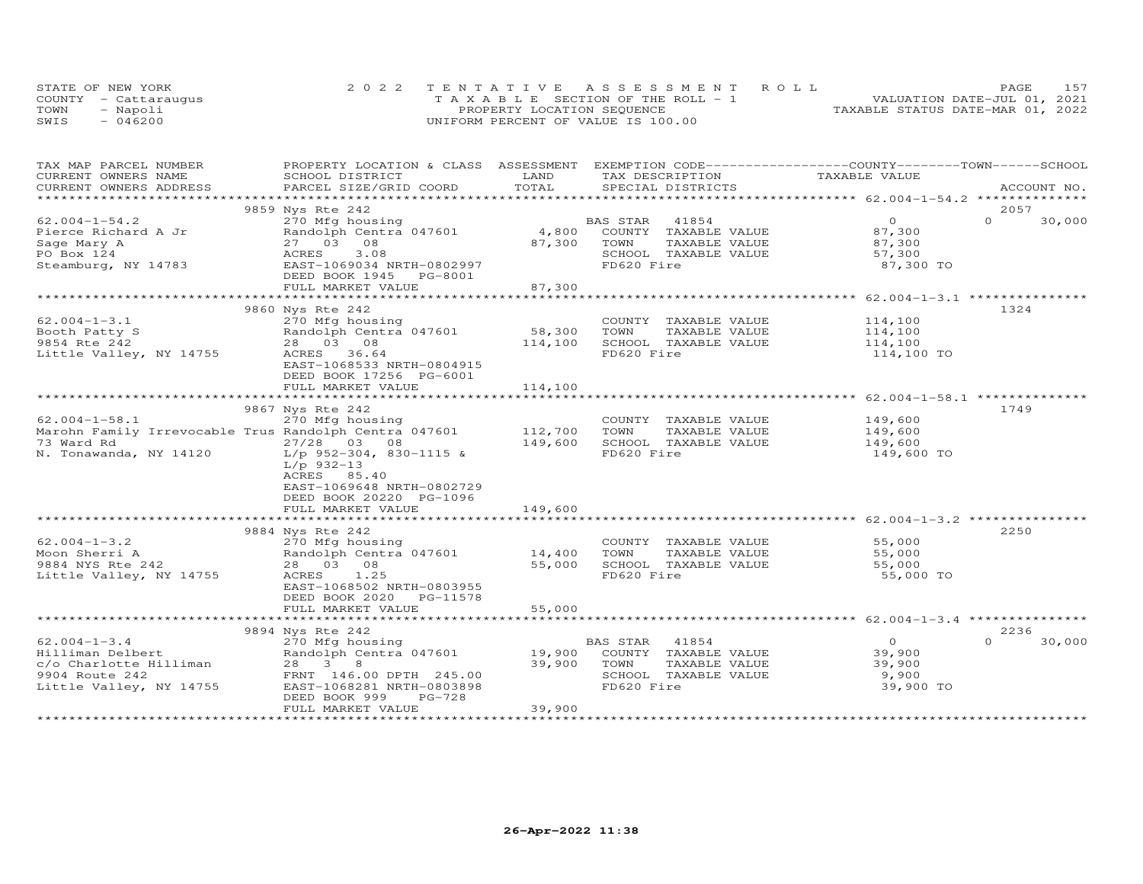|      | STATE OF NEW YORK    | 2022 TENTATIVE ASSESSMENT ROLL        | 157<br>PAGE                      |
|------|----------------------|---------------------------------------|----------------------------------|
|      | COUNTY - Cattaraugus | T A X A B L E SECTION OF THE ROLL - 1 | VALUATION DATE-JUL 01, 2021      |
| TOWN | - Napoli             | PROPERTY LOCATION SEQUENCE            | TAXABLE STATUS DATE-MAR 01, 2022 |
| SWIS | $-046200$            | UNIFORM PERCENT OF VALUE IS 100.00    |                                  |

| TAX MAP PARCEL NUMBER<br>CURRENT OWNERS NAME<br>SCHOOL DISTRICT                     | LAND              | PROPERTY LOCATION & CLASS ASSESSMENT EXEMPTION CODE----------------COUNTY-------TOWN------SCHOOL<br>TAX DESCRIPTION | TAXABLE VALUE      |                    |
|-------------------------------------------------------------------------------------|-------------------|---------------------------------------------------------------------------------------------------------------------|--------------------|--------------------|
| CURRENT OWNERS ADDRESS<br>PARCEL SIZE/GRID COORD                                    | TOTAL             | SPECIAL DISTRICTS                                                                                                   |                    | ACCOUNT NO.        |
|                                                                                     |                   |                                                                                                                     |                    |                    |
| 9859 Nys Rte 242                                                                    |                   |                                                                                                                     |                    | 2057               |
| $62.004 - 1 - 54.2$<br>270 Mfg housing<br>270 mig nousing<br>Randolph Centra 047601 |                   | BAS STAR 41854<br>4,800 COUNTY TAXABLE VALUE                                                                        | $\overline{O}$     | $\Omega$<br>30,000 |
| Pierce Richard A Jr                                                                 |                   |                                                                                                                     | 87,300             |                    |
| 27 03 08<br>Sage Mary A                                                             | 87,300            | TOWN<br>TAXABLE VALUE                                                                                               | 87,300<br>57,300   |                    |
| 3.08<br>PO Box 124<br>ACRES                                                         |                   | SCHOOL TAXABLE VALUE                                                                                                |                    |                    |
| Steamburg, NY 14783<br>EAST-1069034 NRTH-0802997<br>DEED BOOK 1945 PG-8001          |                   | FD620 Fire                                                                                                          | 87,300 TO          |                    |
| FULL MARKET VALUE                                                                   | 87,300            |                                                                                                                     |                    |                    |
|                                                                                     |                   |                                                                                                                     |                    |                    |
| 9860 Nys Rte 242                                                                    |                   |                                                                                                                     |                    | 1324               |
| $62.004 - 1 - 3.1$<br>270 Mfg housing                                               |                   | COUNTY TAXABLE VALUE 114,100                                                                                        |                    |                    |
| Booth Patty S                                                                       |                   | TOWN<br>TAXABLE VALUE                                                                                               |                    |                    |
| 28 03 08 01 128 1391<br>28 03 08 1291 1292 1393 1404<br>9854 Rte 242                | 58,300<br>114,100 | SCHOOL TAXABLE VALUE                                                                                                | 114,100<br>114,100 |                    |
| ACRES 36.64<br>Little Valley, NY 14755                                              |                   | FD620 Fire                                                                                                          | 114,100 TO         |                    |
| EAST-1068533 NRTH-0804915                                                           |                   |                                                                                                                     |                    |                    |
| DEED BOOK 17256 PG-6001                                                             |                   |                                                                                                                     |                    |                    |
| FULL MARKET VALUE                                                                   | 114,100           |                                                                                                                     |                    |                    |
|                                                                                     |                   |                                                                                                                     |                    |                    |
| 9867 Nys Rte 242                                                                    |                   |                                                                                                                     |                    | 1749               |
| $62.004 - 1 - 58.1$<br>270 Mfg housing                                              |                   | COUNTY TAXABLE VALUE                                                                                                | 149,600            |                    |
| Marohn Family Irrevocable Trus Randolph Centra 047601 112,700                       |                   | TOWN<br>TAXABLE VALUE                                                                                               |                    |                    |
| 73 Ward Rd<br>$27/28$ 03 08                                                         |                   | SCHOOL TAXABLE VALUE                                                                                                | 149,600<br>149,600 |                    |
| N. Tonawanda, NY 14120 L/p 952-304, 830-1115 &                                      | 149,600           | FD620 Fire                                                                                                          | 149,600 TO         |                    |
| $L/p$ 932-13                                                                        |                   |                                                                                                                     |                    |                    |
| ACRES 85.40                                                                         |                   |                                                                                                                     |                    |                    |
| EAST-1069648 NRTH-0802729                                                           |                   |                                                                                                                     |                    |                    |
| DEED BOOK 20220 PG-1096                                                             |                   |                                                                                                                     |                    |                    |
| FULL MARKET VALUE                                                                   | 149,600           |                                                                                                                     |                    |                    |
|                                                                                     |                   |                                                                                                                     |                    |                    |
| 9884 Nys Rte 242                                                                    |                   |                                                                                                                     |                    | 2250               |
| $62.004 - 1 - 3.2$<br>270 Mfg housing                                               |                   | COUNTY TAXABLE VALUE                                                                                                | 55,000             |                    |
| Randolph Centra 047601 14,400<br>Moon Sherri A                                      |                   | TOWN<br>TAXABLE VALUE                                                                                               | 55,000             |                    |
| 9884 NYS Rte 242<br>28 03 08                                                        | 55,000            | SCHOOL TAXABLE VALUE                                                                                                | 55,000             |                    |
| Little Valley, NY 14755<br>ACRES 1.25                                               |                   | FD620 Fire                                                                                                          | 55,000 TO          |                    |
| EAST-1068502 NRTH-0803955                                                           |                   |                                                                                                                     |                    |                    |
| DEED BOOK 2020 PG-11578                                                             |                   |                                                                                                                     |                    |                    |
| FULL MARKET VALUE                                                                   | 55,000            |                                                                                                                     |                    |                    |
| *************************                                                           |                   |                                                                                                                     |                    |                    |
| 9894 Nys Rte 242                                                                    |                   |                                                                                                                     |                    | 2236               |
| $62.004 - 1 - 3.4$                                                                  |                   | 270 Mfg housing<br>Randolph Centra 047601 19,900 COUNTY TAXABLE VALUE                                               | $\overline{O}$     | $\Omega$<br>30,000 |
| Hilliman Delbert                                                                    |                   |                                                                                                                     | 39,900             |                    |
| $\frac{c}{0}$ Charlotte Hilliman 28 3 8                                             | 39,900 TOWN       | TAXABLE VALUE                                                                                                       | 39,900             |                    |
| 9904 Route 242<br>FRNT 146.00 DPTH 245.00                                           |                   | SCHOOL TAXABLE VALUE                                                                                                | 9,900              |                    |
| Little Valley, NY 14755<br>EAST-1068281 NRTH-0803898                                |                   | FD620 Fire                                                                                                          | 39,900 TO          |                    |
| DEED BOOK 999                                                                       | PG-728            |                                                                                                                     |                    |                    |
| FULL MARKET VALUE                                                                   | 39,900            |                                                                                                                     |                    |                    |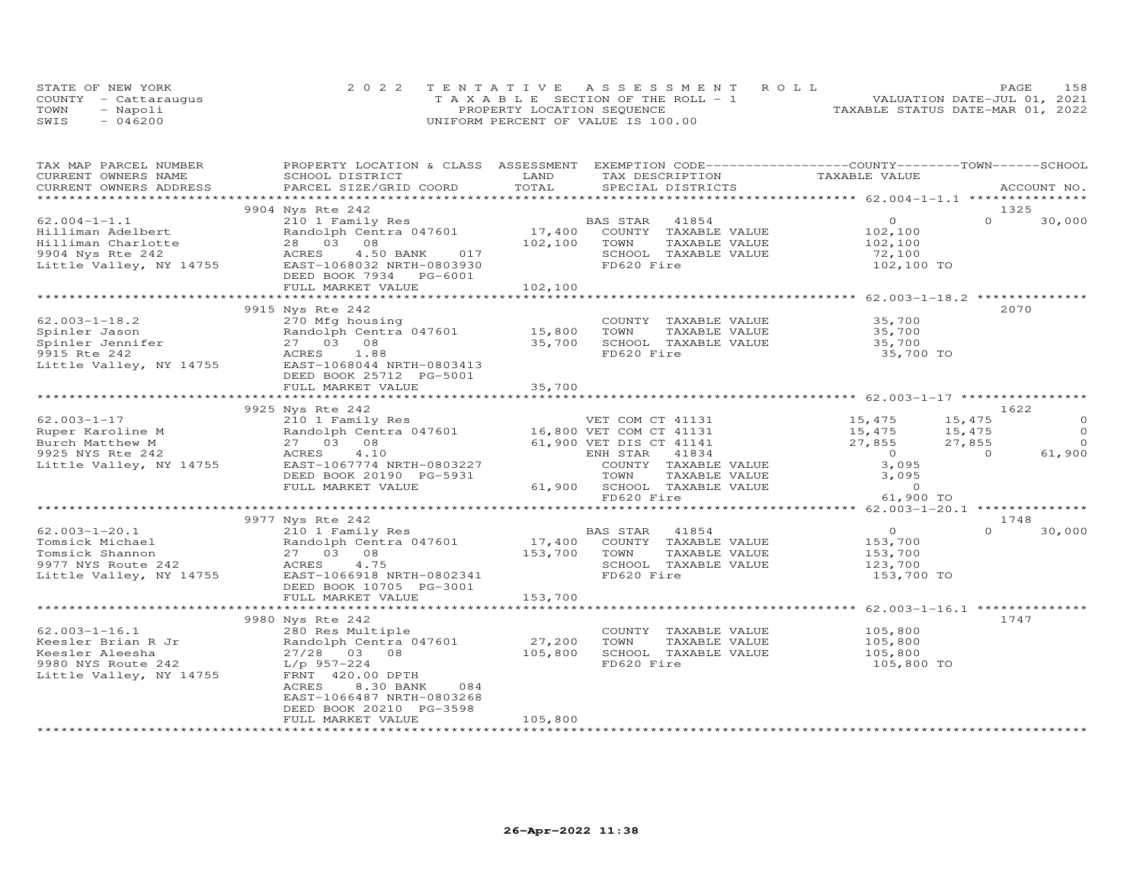|      | STATE OF NEW YORK    | 2022 TENTATIVE ASSESSMENT ROLL        | 158<br>PAGE                      |
|------|----------------------|---------------------------------------|----------------------------------|
|      | COUNTY - Cattarauqus | T A X A B L E SECTION OF THE ROLL - 1 | VALUATION DATE-JUL 01, 2021      |
| TOWN | - Napoli             | PROPERTY LOCATION SEQUENCE            | TAXABLE STATUS DATE-MAR 01, 2022 |
| SWIS | $-046200$            | UNIFORM PERCENT OF VALUE IS 100.00    |                                  |

| TAX MAP PARCEL NUMBER<br>CURRENT OWNERS NAME                                                                  | PROPERTY LOCATION & CLASS ASSESSMENT EXEMPTION CODE----------------COUNTY--------TOWN------SCHOOL<br>SCHOOL DISTRICT                                                                | LAND              | TAX DESCRIPTION                                                                                                                                 | TAXABLE VALUE                                                 |                                                      |
|---------------------------------------------------------------------------------------------------------------|-------------------------------------------------------------------------------------------------------------------------------------------------------------------------------------|-------------------|-------------------------------------------------------------------------------------------------------------------------------------------------|---------------------------------------------------------------|------------------------------------------------------|
| CURRENT OWNERS ADDRESS                                                                                        | PARCEL SIZE/GRID COORD                                                                                                                                                              | TOTAL             | SPECIAL DISTRICTS                                                                                                                               |                                                               | ACCOUNT NO.                                          |
|                                                                                                               |                                                                                                                                                                                     |                   |                                                                                                                                                 |                                                               |                                                      |
| $62.004 - 1 - 1.1$<br>Hilliman Adelbert<br>Hilliman Charlotte                                                 | 9904 Nys Rte 242<br>210 1 Family Res<br>Randolph Centra 047601<br>28 03 08                                                                                                          | 17,400<br>102,100 | BAS STAR<br>41854<br>COUNTY TAXABLE VALUE<br>TOWN<br>TAXABLE VALUE                                                                              | $\overline{0}$<br>102,100<br>102,100                          | 1325<br>$\Omega$<br>30,000                           |
| 9904 Nys Rte 242<br>Little Valley, NY 14755                                                                   | ACRES<br>017<br>4.50 BANK<br>EAST-1068032 NRTH-0803930<br>DEED BOOK 7934 PG-6001<br>FULL MARKET VALUE                                                                               | 102,100           | SCHOOL TAXABLE VALUE<br>FD620 Fire                                                                                                              | 72,100<br>102,100 TO                                          |                                                      |
|                                                                                                               |                                                                                                                                                                                     |                   |                                                                                                                                                 |                                                               |                                                      |
| $62.003 - 1 - 18.2$<br>Spinler Jason<br>Spinler Jennifer<br>9915 Rte 242<br>Little Valley, NY 14755           | 9915 Nys Rte 242<br>270 Mfg housing<br>Randolph Centra 047601 15,800<br>27 03 08<br>1.88<br>ACRES<br>EAST-1068044 NRTH-0803413                                                      | 35,700            | COUNTY TAXABLE VALUE<br>TOWN<br>TAXABLE VALUE<br>SCHOOL TAXABLE VALUE<br>FD620 Fire                                                             | 35,700<br>35,700<br>35,700<br>35,700 TO                       | 2070                                                 |
|                                                                                                               | DEED BOOK 25712 PG-5001<br>FULL MARKET VALUE                                                                                                                                        | 35,700            |                                                                                                                                                 |                                                               |                                                      |
|                                                                                                               | *****************************                                                                                                                                                       |                   |                                                                                                                                                 |                                                               |                                                      |
|                                                                                                               | 9925 Nys Rte 242                                                                                                                                                                    |                   |                                                                                                                                                 |                                                               | 1622                                                 |
| $62.003 - 1 - 17$<br>Ruper Karoline M                                                                         | 27 03 08                                                                                                                                                                            |                   |                                                                                                                                                 | 15,475<br>15,475                                              | 15,475<br>$\Omega$<br>$\Omega$<br>15,475<br>$\Omega$ |
| Burch Matthew M<br>9925 NYS Rte 242                                                                           | ACRES<br>4.10                                                                                                                                                                       |                   | 61,900 VET DIS CT 41141<br>ENH STAR<br>41834                                                                                                    | 27,855<br>$\overline{0}$                                      | 27,855<br>61,900<br>$\Omega$                         |
| Little Valley, NY 14755                                                                                       | EAST-1067774 NRTH-0803227<br>DEED BOOK 20190 PG-5931<br>FULL MARKET VALUE                                                                                                           |                   | COUNTY TAXABLE VALUE<br>TAXABLE VALUE<br>TOWN<br>61,900 SCHOOL TAXABLE VALUE                                                                    | 3,095<br>3,095<br>$\overline{0}$                              |                                                      |
|                                                                                                               |                                                                                                                                                                                     |                   | FD620 Fire                                                                                                                                      | 61,900 TO                                                     |                                                      |
|                                                                                                               | 9977 Nys Rte 242                                                                                                                                                                    |                   |                                                                                                                                                 |                                                               | 1748                                                 |
| $62.003 - 1 - 20.1$<br>Tomsick Michael<br>Tomsick Shannon<br>9977 NYS Route 242<br>Little Valley, NY 14755    | 210 1 Family Res<br>Randolph Centra 047601<br>27 03 08<br>4.75<br>ACRES<br>EAST-1066918 NRTH-0802341<br>DEED BOOK 10705 PG-3001                                                     |                   | BAS STAR<br>41854<br>41854 ALUE ARABLE VALUE<br>17,400 COUNTY TAXABLE VALUE<br>153,700 TOWN TAXABLE VALUE<br>SCHOOL TAXABLE VALUE<br>FD620 Fire | $\overline{O}$<br>153,700<br>153,700<br>123,700<br>153,700 TO | $\Omega$<br>30,000                                   |
|                                                                                                               | FULL MARKET VALUE                                                                                                                                                                   | 153,700           |                                                                                                                                                 |                                                               |                                                      |
|                                                                                                               | 9980 Nys Rte 242                                                                                                                                                                    |                   |                                                                                                                                                 |                                                               | 1747                                                 |
| $62.003 - 1 - 16.1$<br>Keesler Brian R Jr<br>Keesler Aleesha<br>9980 NYS Route 242<br>Little Valley, NY 14755 | 280 Res Multiple<br>Randolph Centra 047601<br>27/28 03 08<br>$L/p$ 957-224<br>FRNT 420.00 DPTH<br>ACRES<br>8.30 BANK<br>084<br>EAST-1066487 NRTH-0803268<br>DEED BOOK 20210 PG-3598 | 27,200<br>105,800 | COUNTY TAXABLE VALUE<br>TOWN<br>TAXABLE VALUE<br>SCHOOL TAXABLE VALUE<br>FD620 Fire                                                             | 105,800<br>105,800<br>105,800<br>105,800 TO                   |                                                      |
|                                                                                                               | FULL MARKET VALUE                                                                                                                                                                   | 105,800           |                                                                                                                                                 |                                                               |                                                      |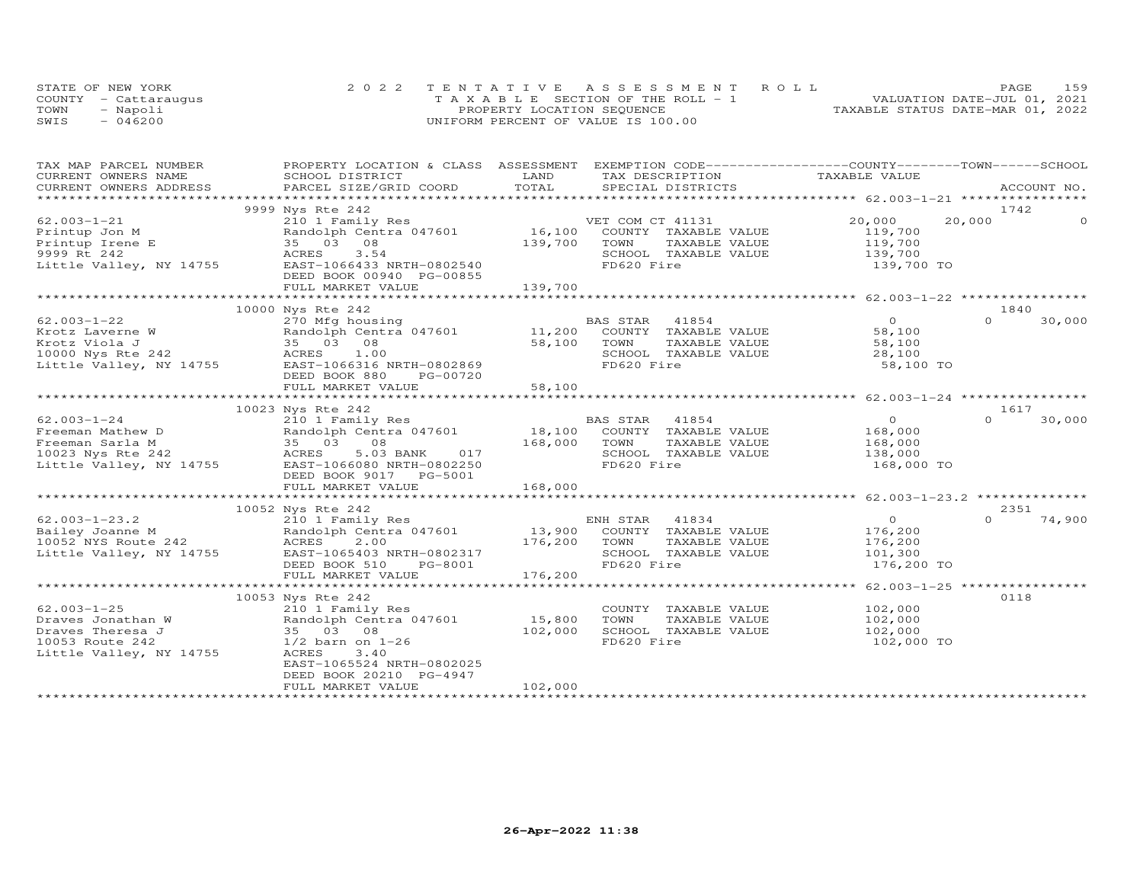|      | STATE OF NEW YORK    | 2022 TENTATIVE ASSESSMENT ROLL        | 159<br>PAGE                      |
|------|----------------------|---------------------------------------|----------------------------------|
|      | COUNTY - Cattarauqus | T A X A B L E SECTION OF THE ROLL - 1 | VALUATION DATE-JUL 01, 2021      |
| TOWN | - Napoli             | PROPERTY LOCATION SEQUENCE            | TAXABLE STATUS DATE-MAR 01, 2022 |
| SWIS | $-046200$            | UNIFORM PERCENT OF VALUE IS 100.00    |                                  |

| TAX MAP PARCEL NUMBER                                                                         | PROPERTY LOCATION & CLASS ASSESSMENT EXEMPTION CODE----------------COUNTY-------TOWN------SCHOOL               |              |                       |                    |          |             |
|-----------------------------------------------------------------------------------------------|----------------------------------------------------------------------------------------------------------------|--------------|-----------------------|--------------------|----------|-------------|
| CURRENT OWNERS NAME                                                                           | SCHOOL DISTRICT                                                                                                | LAND         | TAX DESCRIPTION       | TAXABLE VALUE      |          |             |
| CURRENT OWNERS ADDRESS<br>*************************                                           | .PARCEL SIZE/GRID COORD TOTAL SPECIAL DISTRICTS 4CCOUNT NO ACCOUNT NO ACCOUNT NO ACCOUNT NO ACCOUNT NO ACCOUNT |              |                       |                    |          | ACCOUNT NO. |
|                                                                                               |                                                                                                                |              |                       |                    |          |             |
|                                                                                               | 9999 Nys Rte 242                                                                                               |              |                       |                    | 1742     |             |
| $62.003 - 1 - 21$                                                                             | 210 1 Family Res                                                                                               |              | VET COM CT 41131      | 20,000             | 20,000   |             |
| Printup Jon M                                                                                 | Randolph Centra 047601                                                                                         | 16,100       | COUNTY TAXABLE VALUE  | 119,700            |          |             |
| Printup Irene E                                                                               | 35 03 08                                                                                                       | 139,700      | TOWN<br>TAXABLE VALUE | 119,700            |          |             |
| 9999 Rt 242                                                                                   | ACRES<br>3.54                                                                                                  |              | SCHOOL TAXABLE VALUE  | 139,700            |          |             |
| Little Valley, NY 14755                                                                       | EAST-1066433 NRTH-0802540                                                                                      |              | FD620 Fire            | 139,700 TO         |          |             |
|                                                                                               | DEED BOOK 00940 PG-00855                                                                                       |              |                       |                    |          |             |
|                                                                                               | FULL MARKET VALUE                                                                                              | 139,700      |                       |                    |          |             |
|                                                                                               |                                                                                                                |              |                       |                    |          |             |
|                                                                                               | 10000 Nys Rte 242                                                                                              |              |                       |                    | 1840     |             |
| $62.003 - 1 - 22$                                                                             |                                                                                                                |              |                       | $\overline{0}$     | $\Omega$ | 30,000      |
|                                                                                               |                                                                                                                |              |                       | 58,100             |          |             |
|                                                                                               |                                                                                                                | 58,100       | TOWN<br>TAXABLE VALUE | 58,100             |          |             |
| Extracts Laverne W Randolph Cent<br>Extracts Viola J 35 03 08<br>10000 Nys Rte 242 ACRES 1.00 | ACRES 1.00                                                                                                     |              | SCHOOL TAXABLE VALUE  | 28,100             |          |             |
|                                                                                               | Little Valley, NY 14755 EAST-1066316 NRTH-0802869                                                              |              | FD620 Fire            | 58,100 TO          |          |             |
|                                                                                               | DEED BOOK 880<br>PG-00720                                                                                      |              |                       |                    |          |             |
|                                                                                               | FULL MARKET VALUE                                                                                              | 58,100       |                       |                    |          |             |
|                                                                                               |                                                                                                                |              |                       |                    |          |             |
|                                                                                               | 10023 Nys Rte 242                                                                                              |              |                       |                    | 1617     |             |
| $62.003 - 1 - 24$                                                                             | 210 1 Family Res                                                                                               |              | BAS STAR 41854        | $\overline{0}$     | $\Omega$ | 30,000      |
| Freeman Mathew D                                                                              |                                                                                                                |              | COUNTY TAXABLE VALUE  | 168,000            |          |             |
| Freeman Sarla M                                                                               |                                                                                                                | 168,000 TOWN | TAXABLE VALUE         |                    |          |             |
| 10023 Nys Rte 242                                                                             | 2101 18, 100<br>Randolph Centra 047601 18, 100<br>35 03 08 168, 000<br>ACRES 5.03 BANK 017 168, 000            |              | SCHOOL TAXABLE VALUE  | 168,000<br>138,000 |          |             |
| Little Valley, NY 14755                                                                       | EAST-1066080 NRTH-0802250                                                                                      |              | FD620 Fire            | 168,000 TO         |          |             |
|                                                                                               | DEED BOOK 9017 PG-5001                                                                                         |              |                       |                    |          |             |
|                                                                                               | FULL MARKET VALUE                                                                                              | 168,000      |                       |                    |          |             |
|                                                                                               |                                                                                                                |              |                       |                    |          |             |
|                                                                                               | 10052 Nys Rte 242                                                                                              |              |                       |                    | 2351     |             |
| $62.003 - 1 - 23.2$                                                                           | 210 1 Family Res                                                                                               |              | ENH STAR 41834        | $\overline{0}$     | $\Omega$ | 74,900      |
|                                                                                               |                                                                                                                |              |                       |                    |          |             |
| Bailey Joanne M                                                                               |                                                                                                                |              | COUNTY TAXABLE VALUE  | 176,200            |          |             |
| 10052 NYS Route 242                                                                           | ACRES<br>2.00                                                                                                  | 176,200      | TOWN<br>TAXABLE VALUE | 176,200            |          |             |
| Little Valley, NY 14755                                                                       | EAST-1065403 NRTH-0802317                                                                                      |              | SCHOOL TAXABLE VALUE  | 101,300            |          |             |
|                                                                                               | DEED BOOK 510<br>PG-8001                                                                                       |              | FD620 Fire            | 176,200 TO         |          |             |
|                                                                                               | FULL MARKET VALUE                                                                                              | 176,200      |                       |                    |          |             |
|                                                                                               |                                                                                                                |              |                       |                    |          |             |
|                                                                                               | 10053 Nys Rte 242                                                                                              |              |                       |                    | 0118     |             |
| $62.003 - 1 - 25$                                                                             | 210 1 Family Res                                                                                               |              | COUNTY TAXABLE VALUE  | 102,000            |          |             |
| Draves Jonathan W                                                                             | Randolph Centra 047601                                                                                         | 15,800       | TOWN<br>TAXABLE VALUE | 102,000            |          |             |
| Draves Theresa J                                                                              | 35 03 08                                                                                                       | 102,000      | SCHOOL TAXABLE VALUE  | 102,000            |          |             |
| 10053 Route 242                                                                               | $1/2$ barn on $1-26$                                                                                           |              | FD620 Fire            | 102,000 TO         |          |             |
| Little Valley, NY 14755                                                                       | ACRES<br>3.40                                                                                                  |              |                       |                    |          |             |
|                                                                                               | EAST-1065524 NRTH-0802025                                                                                      |              |                       |                    |          |             |
|                                                                                               | DEED BOOK 20210 PG-4947                                                                                        |              |                       |                    |          |             |
|                                                                                               | FULL MARKET VALUE                                                                                              | 102,000      |                       |                    |          |             |
|                                                                                               |                                                                                                                |              |                       |                    |          |             |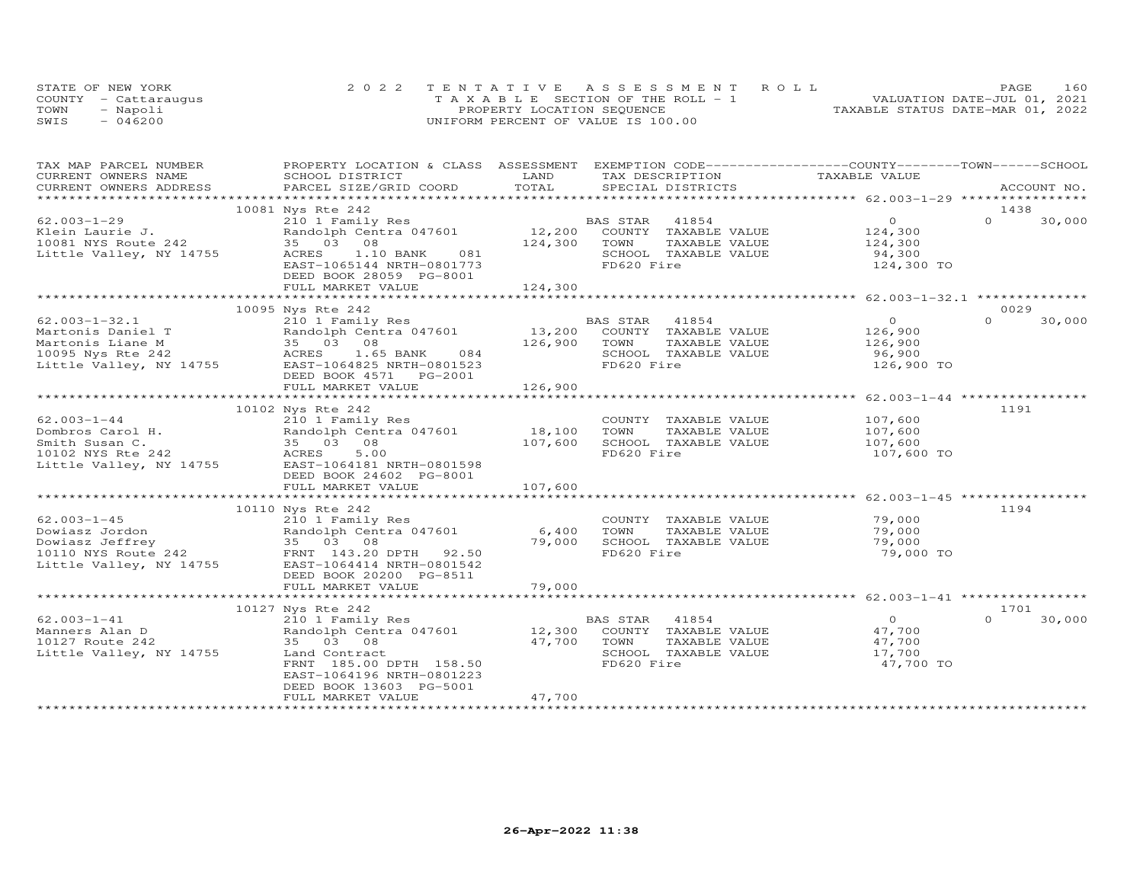|      | STATE OF NEW YORK    | 2022 TENTATIVE ASSESSMENT ROLL        | 160<br>PAGE                      |
|------|----------------------|---------------------------------------|----------------------------------|
|      | COUNTY - Cattarauqus | T A X A B L E SECTION OF THE ROLL - 1 | VALUATION DATE-JUL 01, 2021      |
| TOWN | - Napoli             | PROPERTY LOCATION SEQUENCE            | TAXABLE STATUS DATE-MAR 01, 2022 |
| SWIS | $-046200$            | UNIFORM PERCENT OF VALUE IS 100.00    |                                  |

| TAX MAP PARCEL NUMBER                            | PROPERTY LOCATION & CLASS ASSESSMENT EXEMPTION CODE----------------COUNTY-------TOWN-----SCHOOL |                 |                       |               |                    |
|--------------------------------------------------|-------------------------------------------------------------------------------------------------|-----------------|-----------------------|---------------|--------------------|
| CURRENT OWNERS NAME                              | SCHOOL DISTRICT                                                                                 | LAND            | TAX DESCRIPTION       | TAXABLE VALUE |                    |
| CURRENT OWNERS ADDRESS<br>********************** | PARCEL SIZE/GRID COORD                                                                          | TOTAL           | SPECIAL DISTRICTS     |               | ACCOUNT NO.        |
|                                                  |                                                                                                 |                 |                       |               |                    |
|                                                  | 10081 Nys Rte 242                                                                               |                 |                       |               | 1438               |
| $62.003 - 1 - 29$                                | 210 1 Family Res                                                                                |                 | BAS STAR<br>41854     | $\Omega$      | $\Omega$<br>30,000 |
| Klein Laurie J.                                  | Randolph Centra 047601                                                                          | 12,200          | COUNTY TAXABLE VALUE  | 124,300       |                    |
| 10081 NYS Route 242                              | 35 03 08                                                                                        | 124,300         | TOWN<br>TAXABLE VALUE | 124,300       |                    |
| Little Valley, NY 14755                          | ACRES 1.10 BANK<br>081                                                                          |                 | SCHOOL TAXABLE VALUE  | 94,300        |                    |
|                                                  | EAST-1065144 NRTH-0801773                                                                       |                 | FD620 Fire            | 124,300 TO    |                    |
|                                                  | DEED BOOK 28059 PG-8001                                                                         |                 |                       |               |                    |
|                                                  | FULL MARKET VALUE                                                                               | 124,300         |                       |               |                    |
|                                                  |                                                                                                 |                 |                       |               |                    |
|                                                  | 10095 Nys Rte 242                                                                               |                 |                       |               | 0029               |
| $62.003 - 1 - 32.1$                              | 210 1 Family Res                                                                                |                 | BAS STAR<br>41854     | $\circ$       | $\Omega$<br>30,000 |
| Martonis Daniel T                                | Randolph Centra 047601                                                                          | 13,200          | COUNTY TAXABLE VALUE  | 126,900       |                    |
| Martonis Liane M                                 | $\begin{array}{cccc}\n\text{Ranav}_{1} & 0 & 0 \\ 35 & 0 & 0 & 0 \\ 1 & 6 & 0 & 0\n\end{array}$ | 126,900         | TOWN<br>TAXABLE VALUE | 126,900       |                    |
| 10095 Nys Rte 242                                | 1.65 BANK<br>084<br>ACRES                                                                       |                 | SCHOOL TAXABLE VALUE  | 96,900        |                    |
| Little Valley, NY 14755                          | EAST-1064825 NRTH-0801523                                                                       |                 | FD620 Fire            | 126,900 TO    |                    |
|                                                  | DEED BOOK 4571 PG-2001                                                                          |                 |                       |               |                    |
|                                                  | FULL MARKET VALUE                                                                               | 126,900         |                       |               |                    |
|                                                  |                                                                                                 |                 |                       |               |                    |
|                                                  | 10102 Nys Rte 242                                                                               |                 |                       |               | 1191               |
| $62.003 - 1 - 44$                                | 210 1 Family Res                                                                                |                 | COUNTY TAXABLE VALUE  | 107,600       |                    |
| Dombros Carol H.                                 | Randolph Centra 047601                                                                          | 18,100          | TOWN<br>TAXABLE VALUE | 107,600       |                    |
|                                                  |                                                                                                 |                 |                       |               |                    |
| Smith Susan C.                                   | 35 03 08                                                                                        | 107,600         | SCHOOL TAXABLE VALUE  | 107,600       |                    |
| 10102 NYS Rte 242                                | 5.00<br>ACRES                                                                                   |                 | FD620 Fire            | 107,600 TO    |                    |
| Little Valley, NY 14755                          | EAST-1064181 NRTH-0801598                                                                       |                 |                       |               |                    |
|                                                  | DEED BOOK 24602 PG-8001                                                                         |                 |                       |               |                    |
|                                                  | FULL MARKET VALUE                                                                               | 107,600         |                       |               |                    |
|                                                  |                                                                                                 |                 |                       |               |                    |
|                                                  | 10110 Nys Rte 242                                                                               |                 |                       |               | 1194               |
| $62.003 - 1 - 45$                                | 210 1 Family Res                                                                                |                 | COUNTY TAXABLE VALUE  | 79,000        |                    |
| Dowiasz Jordon                                   | Randolph Centra 047601                                                                          | 6,400           | TOWN<br>TAXABLE VALUE | 79,000        |                    |
| Dowiasz Jeffrey                                  | 35 03 08                                                                                        | 79,000          | SCHOOL TAXABLE VALUE  | 79,000        |                    |
| 10110 NYS Route 242                              | FRNT 143.20 DPTH 92.50                                                                          |                 | FD620 Fire            | 79,000 TO     |                    |
| Little Valley, NY 14755                          | EAST-1064414 NRTH-0801542                                                                       |                 |                       |               |                    |
|                                                  | DEED BOOK 20200 PG-8511                                                                         |                 |                       |               |                    |
|                                                  | FULL MARKET VALUE                                                                               | 79,000          |                       |               |                    |
|                                                  | **************************                                                                      | *************** |                       |               |                    |
|                                                  | 10127 Nys Rte 242                                                                               |                 |                       |               | 1701               |
| $62.003 - 1 - 41$                                | 210 1 Family Res                                                                                |                 | BAS STAR<br>41854     | $\Omega$      | $\Omega$<br>30,000 |
| Manners Alan D                                   | Randolph Centra 047601                                                                          | 12,300          | COUNTY TAXABLE VALUE  | 47,700        |                    |
| 10127 Route 242                                  | 35 03 08                                                                                        | 47,700          | TOWN<br>TAXABLE VALUE | 47,700        |                    |
| Little Valley, NY 14755                          | Land Contract                                                                                   |                 | SCHOOL TAXABLE VALUE  | 17,700        |                    |
|                                                  | FRNT 185.00 DPTH 158.50                                                                         |                 | FD620 Fire            | 47,700 TO     |                    |
|                                                  | EAST-1064196 NRTH-0801223                                                                       |                 |                       |               |                    |
|                                                  | DEED BOOK 13603 PG-5001                                                                         |                 |                       |               |                    |
|                                                  | FULL MARKET VALUE                                                                               | 47,700          |                       |               |                    |
|                                                  |                                                                                                 |                 |                       |               |                    |
|                                                  |                                                                                                 |                 |                       |               |                    |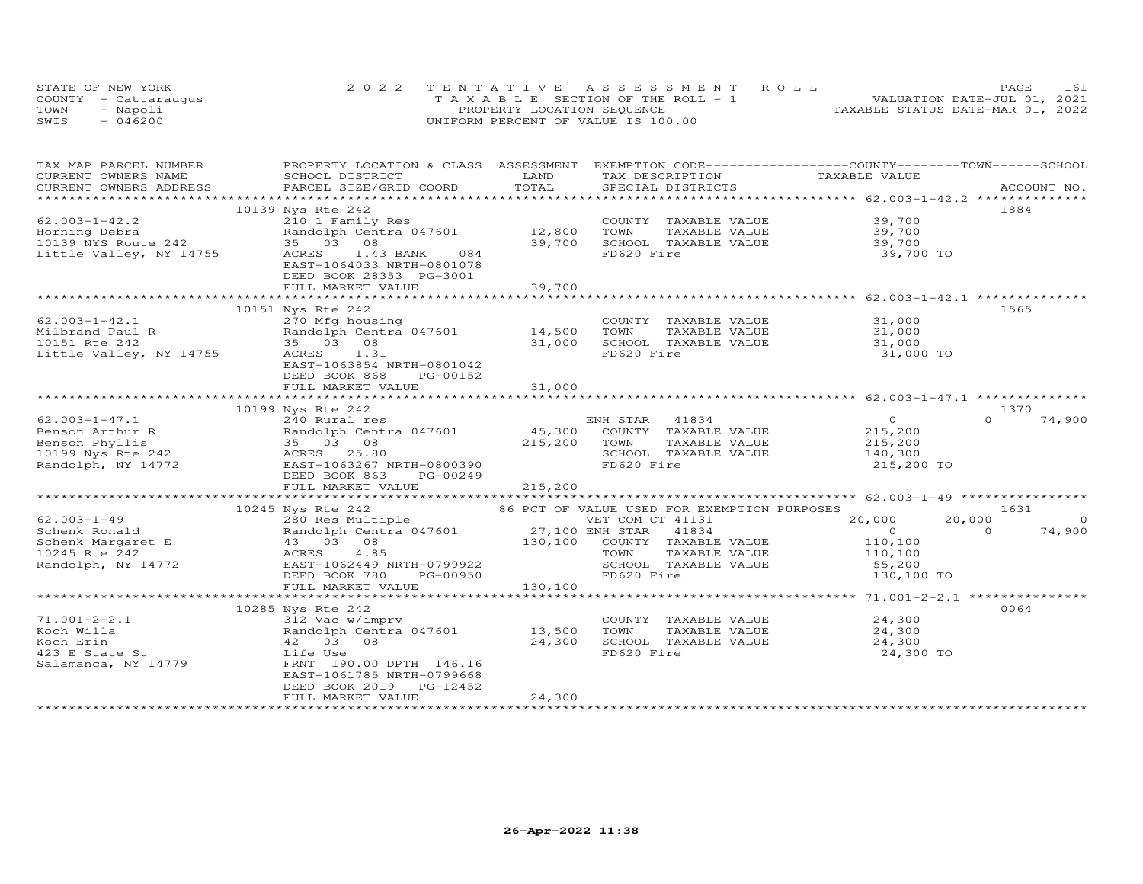|      | STATE OF NEW YORK    | 2022 TENTATIVE ASSESSMENT ROLL        | 161<br>PAGE                      |
|------|----------------------|---------------------------------------|----------------------------------|
|      | COUNTY - Cattaraugus | T A X A B L E SECTION OF THE ROLL - 1 | VALUATION DATE-JUL 01, 2021      |
| TOWN | - Napoli             | PROPERTY LOCATION SEQUENCE            | TAXABLE STATUS DATE-MAR 01, 2022 |
| SWIS | $-046200$            | UNIFORM PERCENT OF VALUE IS 100.00    |                                  |

| TAX MAP PARCEL NUMBER<br>CURRENT OWNERS NAME              | PROPERTY LOCATION & CLASS ASSESSMENT<br>SCHOOL DISTRICT | LAND    | TAX DESCRIPTION                                       | EXEMPTION CODE-----------------COUNTY-------TOWN------SCHOOL<br>TAXABLE VALUE |                          |
|-----------------------------------------------------------|---------------------------------------------------------|---------|-------------------------------------------------------|-------------------------------------------------------------------------------|--------------------------|
| CURRENT OWNERS ADDRESS                                    | PARCEL SIZE/GRID COORD                                  | TOTAL   | SPECIAL DISTRICTS                                     |                                                                               | ACCOUNT NO.              |
|                                                           |                                                         |         |                                                       |                                                                               |                          |
|                                                           | 10139 Nys Rte 242                                       |         |                                                       |                                                                               | 1884                     |
| $62.003 - 1 - 42.2$                                       | 210 1 Family Res                                        |         | COUNTY TAXABLE VALUE                                  | 39,700                                                                        |                          |
| Horning Debra                                             | Randolph Centra 047601                                  | 12,800  | TOWN<br>TAXABLE VALUE                                 | 39,700                                                                        |                          |
| 10139 NYS Route 242                                       | 35 03 08                                                | 39,700  | SCHOOL TAXABLE VALUE                                  | 39,700                                                                        |                          |
| Little Valley, NY 14755                                   | ACRES 1.43 BANK<br>084                                  |         | FD620 Fire                                            | 39,700 TO                                                                     |                          |
|                                                           | EAST-1064033 NRTH-0801078                               |         |                                                       |                                                                               |                          |
|                                                           | DEED BOOK 28353 PG-3001                                 |         |                                                       |                                                                               |                          |
|                                                           | FULL MARKET VALUE                                       | 39,700  |                                                       |                                                                               |                          |
|                                                           |                                                         |         |                                                       |                                                                               |                          |
|                                                           | 10151 Nys Rte 242                                       |         |                                                       |                                                                               | 1565                     |
| $62.003 - 1 - 42.1$                                       | 270 Mfg housing                                         |         | COUNTY TAXABLE VALUE                                  | 31,000                                                                        |                          |
|                                                           |                                                         |         |                                                       |                                                                               |                          |
| Milbrand Paul R                                           | Randolph Centra 047601                                  | 14,500  | TOWN<br>TAXABLE VALUE                                 | 31,000                                                                        |                          |
| 10151 Rte 242                                             | 35 03 08                                                | 31,000  | SCHOOL TAXABLE VALUE                                  | 31,000                                                                        |                          |
| Little Valley, NY 14755                                   | ACRES 1.31                                              |         | FD620 Fire                                            | 31,000 TO                                                                     |                          |
|                                                           | EAST-1063854 NRTH-0801042                               |         |                                                       |                                                                               |                          |
|                                                           | DEED BOOK 868<br>PG-00152                               |         |                                                       |                                                                               |                          |
|                                                           | FULL MARKET VALUE                                       | 31,000  |                                                       |                                                                               |                          |
|                                                           |                                                         |         |                                                       |                                                                               |                          |
|                                                           | 10199 Nys Rte 242                                       |         |                                                       |                                                                               | 1370                     |
| $62.003 - 1 - 47.1$                                       | 240 Rural res                                           |         | ENH STAR 41834                                        | $\overline{0}$                                                                | $\Omega$<br>74,900       |
| Benson Arthur R                                           | Randolph Centra 047601                                  | 45,300  | COUNTY TAXABLE VALUE                                  | 215,200                                                                       |                          |
| Expression Phyllis<br>10199 Nys Rte 242 (and ACRES 25.80) |                                                         | 215,200 | TOWN<br>TAXABLE VALUE                                 | 215,200<br>140,300                                                            |                          |
|                                                           |                                                         |         | SCHOOL TAXABLE VALUE                                  |                                                                               |                          |
| Randolph, NY 14772                                        | EAST-1063267 NRTH-0800390                               |         | FD620 Fire                                            | 215,200 TO                                                                    |                          |
|                                                           | DEED BOOK 863<br>PG-00249                               |         |                                                       |                                                                               |                          |
|                                                           | FULL MARKET VALUE                                       | 215,200 |                                                       |                                                                               |                          |
|                                                           |                                                         |         |                                                       |                                                                               |                          |
|                                                           | 10245 Nys Rte 242                                       |         | 86 PCT OF VALUE USED FOR EXEMPTION PURPOSES           |                                                                               | 1631                     |
| $62.003 - 1 - 49$                                         | 280 Res Multiple                                        |         | VET COM CT 41131                                      | 20,000                                                                        | 20,000<br>$\overline{0}$ |
| Schenk Ronald                                             | Randolph Centra 047601                                  |         | 27,100 ENH STAR 41834<br>130,100 COUNTY TAXABLE VALUE | $\sim$ 0                                                                      | 74,900<br>$\Omega$       |
|                                                           | Randolph Cent<br>43    03    08                         |         |                                                       | 110,100                                                                       |                          |
| Schenk Margaret E<br>10245 Pto 242<br>10245 Rte 242       | 4.85<br>ACRES                                           |         | TAXABLE VALUE<br>TOWN                                 | 110,100                                                                       |                          |
| Randolph, NY 14772                                        | EAST-1062449 NRTH-0799922                               |         | SCHOOL TAXABLE VALUE                                  | 55,200                                                                        |                          |
|                                                           | DEED BOOK 780<br>PG-00950                               |         | FD620 Fire                                            | 130,100 TO                                                                    |                          |
|                                                           | FULL MARKET VALUE                                       | 130,100 |                                                       |                                                                               |                          |
|                                                           |                                                         |         |                                                       |                                                                               |                          |
|                                                           |                                                         |         |                                                       |                                                                               | 0064                     |
| $71.001 - 2 - 2.1$                                        | 10285 Nys Rte 242                                       |         | COUNTY TAXABLE VALUE                                  | 24,300                                                                        |                          |
|                                                           | 312 Vac w/imprv<br>Randolph Centra 047601 13,500        |         |                                                       |                                                                               |                          |
| Koch Willa                                                |                                                         |         | TOWN<br>TAXABLE VALUE                                 | 24,300                                                                        |                          |
| Koch Erin                                                 | 42 03 08                                                | 24,300  | SCHOOL TAXABLE VALUE                                  | 24,300                                                                        |                          |
| 423 E State St                                            | Life Use                                                |         | FD620 Fire                                            | 24,300 TO                                                                     |                          |
| Salamanca, NY 14779                                       | FRNT 190.00 DPTH 146.16                                 |         |                                                       |                                                                               |                          |
|                                                           | EAST-1061785 NRTH-0799668                               |         |                                                       |                                                                               |                          |
|                                                           | DEED BOOK 2019<br>PG-12452                              |         |                                                       |                                                                               |                          |
|                                                           | FULL MARKET VALUE                                       | 24,300  |                                                       |                                                                               |                          |
|                                                           |                                                         |         |                                                       |                                                                               |                          |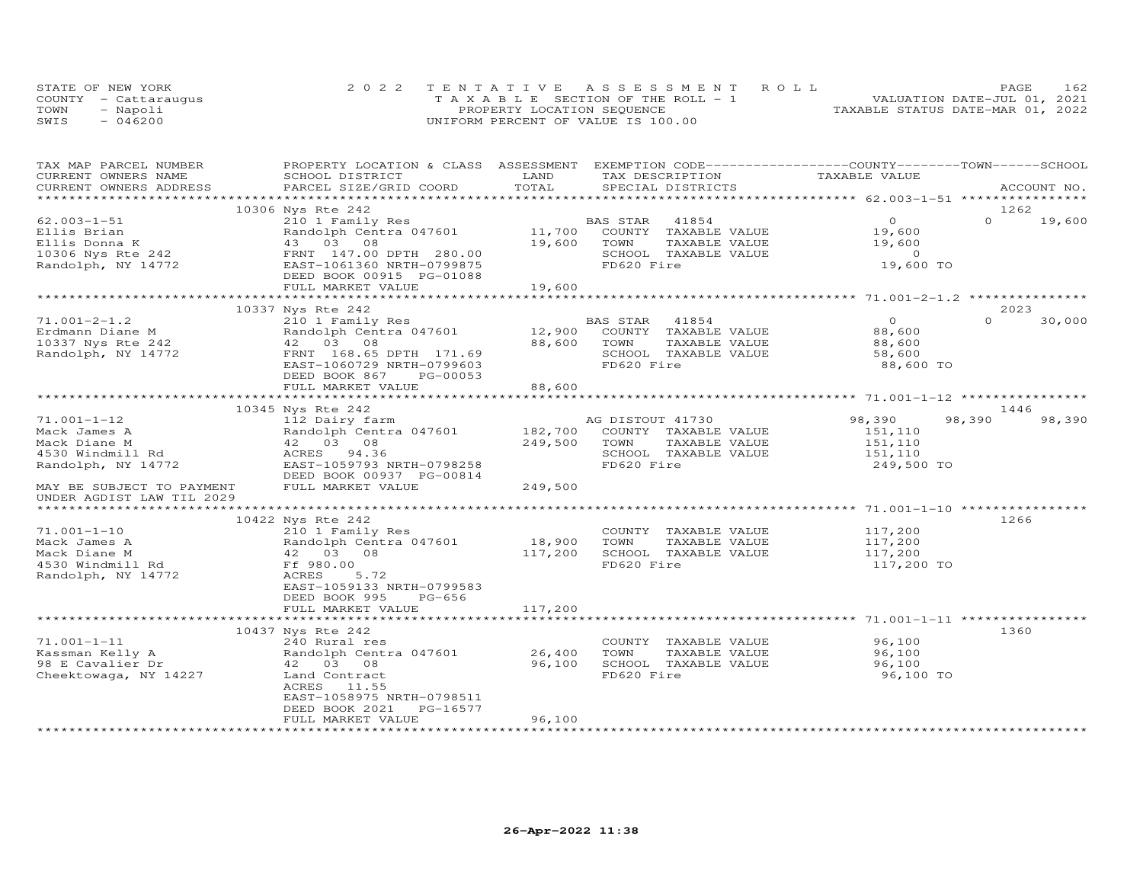|      | STATE OF NEW YORK    | 2022 TENTATIVE ASSESSMENT ROLL        | PAGE                             | 162 |
|------|----------------------|---------------------------------------|----------------------------------|-----|
|      | COUNTY - Cattaraugus | T A X A B L E SECTION OF THE ROLL - 1 | VALUATION DATE-JUL 01, 2021      |     |
| TOWN | - Napoli             | PROPERTY LOCATION SEQUENCE            | TAXABLE STATUS DATE-MAR 01, 2022 |     |
| SWIS | $-046200$            | UNIFORM PERCENT OF VALUE IS 100.00    |                                  |     |

| TOTAL<br>CURRENT OWNERS ADDRESS<br>PARCEL SIZE/GRID COORD<br>SPECIAL DISTRICTS<br>ACCOUNT NO.<br>10306 Nys Rte 242<br>1262<br>$\Omega$<br>$62.003 - 1 - 51$<br>210 1 Family Res<br>$\circ$<br>19,600<br>BAS STAR<br>41854<br>Ellis Brian<br>Randolph Centra 047601<br>11,700<br>COUNTY TAXABLE VALUE<br>19,600<br>43 03 08<br>19,600<br>TOWN<br>TAXABLE VALUE<br>19,600<br>Ellis Donna K<br>10306 Nys Rte 242<br>FRNT 147.00 DPTH 280.00<br>SCHOOL TAXABLE VALUE<br>$\circ$<br>FD620 Fire<br>19,600 TO<br>Randolph, NY 14772<br>EAST-1061360 NRTH-0799875<br>DEED BOOK 00915 PG-01088<br>19,600<br>FULL MARKET VALUE<br>10337 Nys Rte 242<br>2023<br>BAS STAR<br>$\Omega$<br>$\Omega$<br>$71.001 - 2 - 1.2$<br>210 1 Family Res<br>41854<br>30,000<br>Randolph Centra 047601<br>12,900<br>COUNTY TAXABLE VALUE<br>88,600<br>Erdmann Diane M<br>42 03 08<br>88,600<br>10337 Nys Rte 242<br>TOWN<br>TAXABLE VALUE<br>88,600<br>FRNT 168.65 DPTH 171.69<br>SCHOOL TAXABLE VALUE<br>Randolph, NY 14772<br>58,600<br>EAST-1060729 NRTH-0799603<br>FD620 Fire<br>88,600 TO<br>DEED BOOK 867<br>PG-00053<br>88,600<br>FULL MARKET VALUE<br>10345 Nys Rte 242<br>1446<br>$71.001 - 1 - 12$<br>112 Dairy farm<br>98,390<br>98,390<br>98,390<br>AG DISTOUT 41730<br>Randolph Centra 047601<br>182,700<br>COUNTY TAXABLE VALUE<br>151,110<br>42 03 08<br>249,500<br>TOWN<br>TAXABLE VALUE<br>151,110<br>SCHOOL TAXABLE VALUE<br>4530 Windmill Rd<br>ACRES 94.36<br>151,110<br>FD620 Fire<br>Randolph, NY 14772<br>EAST-1059793 NRTH-0798258<br>249,500 TO<br>DEED BOOK 00937 PG-00814<br>249,500<br>FULL MARKET VALUE<br>MAY BE SUBJECT TO PAYMENT<br>UNDER AGDIST LAW TIL 2029<br>1266<br>10422 Nys Rte 242<br>$71.001 - 1 - 10$<br>210 1 Family Res<br>COUNTY TAXABLE VALUE<br>117,200<br>Randolph Centra 047601<br>18,900<br>TOWN<br>TAXABLE VALUE<br>117,200<br>Mack James A<br>42 03<br>08<br>117,200<br>SCHOOL TAXABLE VALUE<br>117,200<br>Mack Diane M<br>FD620 Fire<br>4530 Windmill Rd<br>Ff 980.00<br>117,200 TO<br>Randolph, NY 14772<br>ACRES<br>5.72<br>EAST-1059133 NRTH-0799583<br>DEED BOOK 995<br>$PG-656$<br>117,200<br>FULL MARKET VALUE<br>10437 Nys Rte 242<br>1360<br>240 Rural res<br>96,100<br>COUNTY TAXABLE VALUE<br>Randolph Centra 047601<br>26,400<br>TOWN<br>TAXABLE VALUE<br>96,100<br>96,100<br>SCHOOL TAXABLE VALUE<br>98 E Cavalier Dr<br>42 03 08<br>96,100<br>FD620 Fire<br>Cheektowaga, NY 14227<br>96,100 TO<br>Land Contract<br>ACRES<br>11.55<br>EAST-1058975 NRTH-0798511<br>DEED BOOK 2021<br>PG-16577<br>96,100<br>FULL MARKET VALUE | TAX MAP PARCEL NUMBER<br>CURRENT OWNERS NAME | PROPERTY LOCATION & CLASS ASSESSMENT EXEMPTION CODE----------------COUNTY--------TOWN------SCHOOL<br>SCHOOL DISTRICT | LAND | TAX DESCRIPTION | TAXABLE VALUE |  |
|----------------------------------------------------------------------------------------------------------------------------------------------------------------------------------------------------------------------------------------------------------------------------------------------------------------------------------------------------------------------------------------------------------------------------------------------------------------------------------------------------------------------------------------------------------------------------------------------------------------------------------------------------------------------------------------------------------------------------------------------------------------------------------------------------------------------------------------------------------------------------------------------------------------------------------------------------------------------------------------------------------------------------------------------------------------------------------------------------------------------------------------------------------------------------------------------------------------------------------------------------------------------------------------------------------------------------------------------------------------------------------------------------------------------------------------------------------------------------------------------------------------------------------------------------------------------------------------------------------------------------------------------------------------------------------------------------------------------------------------------------------------------------------------------------------------------------------------------------------------------------------------------------------------------------------------------------------------------------------------------------------------------------------------------------------------------------------------------------------------------------------------------------------------------------------------------------------------------------------------------------------------------------------------------------------------------------------------------------------------------------------------------------------------------------------------------------------------------------------------------------------------------------------------------------------------------|----------------------------------------------|----------------------------------------------------------------------------------------------------------------------|------|-----------------|---------------|--|
|                                                                                                                                                                                                                                                                                                                                                                                                                                                                                                                                                                                                                                                                                                                                                                                                                                                                                                                                                                                                                                                                                                                                                                                                                                                                                                                                                                                                                                                                                                                                                                                                                                                                                                                                                                                                                                                                                                                                                                                                                                                                                                                                                                                                                                                                                                                                                                                                                                                                                                                                                                      |                                              |                                                                                                                      |      |                 |               |  |
|                                                                                                                                                                                                                                                                                                                                                                                                                                                                                                                                                                                                                                                                                                                                                                                                                                                                                                                                                                                                                                                                                                                                                                                                                                                                                                                                                                                                                                                                                                                                                                                                                                                                                                                                                                                                                                                                                                                                                                                                                                                                                                                                                                                                                                                                                                                                                                                                                                                                                                                                                                      |                                              |                                                                                                                      |      |                 |               |  |
|                                                                                                                                                                                                                                                                                                                                                                                                                                                                                                                                                                                                                                                                                                                                                                                                                                                                                                                                                                                                                                                                                                                                                                                                                                                                                                                                                                                                                                                                                                                                                                                                                                                                                                                                                                                                                                                                                                                                                                                                                                                                                                                                                                                                                                                                                                                                                                                                                                                                                                                                                                      |                                              |                                                                                                                      |      |                 |               |  |
|                                                                                                                                                                                                                                                                                                                                                                                                                                                                                                                                                                                                                                                                                                                                                                                                                                                                                                                                                                                                                                                                                                                                                                                                                                                                                                                                                                                                                                                                                                                                                                                                                                                                                                                                                                                                                                                                                                                                                                                                                                                                                                                                                                                                                                                                                                                                                                                                                                                                                                                                                                      |                                              |                                                                                                                      |      |                 |               |  |
|                                                                                                                                                                                                                                                                                                                                                                                                                                                                                                                                                                                                                                                                                                                                                                                                                                                                                                                                                                                                                                                                                                                                                                                                                                                                                                                                                                                                                                                                                                                                                                                                                                                                                                                                                                                                                                                                                                                                                                                                                                                                                                                                                                                                                                                                                                                                                                                                                                                                                                                                                                      |                                              |                                                                                                                      |      |                 |               |  |
|                                                                                                                                                                                                                                                                                                                                                                                                                                                                                                                                                                                                                                                                                                                                                                                                                                                                                                                                                                                                                                                                                                                                                                                                                                                                                                                                                                                                                                                                                                                                                                                                                                                                                                                                                                                                                                                                                                                                                                                                                                                                                                                                                                                                                                                                                                                                                                                                                                                                                                                                                                      |                                              |                                                                                                                      |      |                 |               |  |
|                                                                                                                                                                                                                                                                                                                                                                                                                                                                                                                                                                                                                                                                                                                                                                                                                                                                                                                                                                                                                                                                                                                                                                                                                                                                                                                                                                                                                                                                                                                                                                                                                                                                                                                                                                                                                                                                                                                                                                                                                                                                                                                                                                                                                                                                                                                                                                                                                                                                                                                                                                      |                                              |                                                                                                                      |      |                 |               |  |
|                                                                                                                                                                                                                                                                                                                                                                                                                                                                                                                                                                                                                                                                                                                                                                                                                                                                                                                                                                                                                                                                                                                                                                                                                                                                                                                                                                                                                                                                                                                                                                                                                                                                                                                                                                                                                                                                                                                                                                                                                                                                                                                                                                                                                                                                                                                                                                                                                                                                                                                                                                      |                                              |                                                                                                                      |      |                 |               |  |
|                                                                                                                                                                                                                                                                                                                                                                                                                                                                                                                                                                                                                                                                                                                                                                                                                                                                                                                                                                                                                                                                                                                                                                                                                                                                                                                                                                                                                                                                                                                                                                                                                                                                                                                                                                                                                                                                                                                                                                                                                                                                                                                                                                                                                                                                                                                                                                                                                                                                                                                                                                      |                                              |                                                                                                                      |      |                 |               |  |
|                                                                                                                                                                                                                                                                                                                                                                                                                                                                                                                                                                                                                                                                                                                                                                                                                                                                                                                                                                                                                                                                                                                                                                                                                                                                                                                                                                                                                                                                                                                                                                                                                                                                                                                                                                                                                                                                                                                                                                                                                                                                                                                                                                                                                                                                                                                                                                                                                                                                                                                                                                      |                                              |                                                                                                                      |      |                 |               |  |
|                                                                                                                                                                                                                                                                                                                                                                                                                                                                                                                                                                                                                                                                                                                                                                                                                                                                                                                                                                                                                                                                                                                                                                                                                                                                                                                                                                                                                                                                                                                                                                                                                                                                                                                                                                                                                                                                                                                                                                                                                                                                                                                                                                                                                                                                                                                                                                                                                                                                                                                                                                      |                                              |                                                                                                                      |      |                 |               |  |
|                                                                                                                                                                                                                                                                                                                                                                                                                                                                                                                                                                                                                                                                                                                                                                                                                                                                                                                                                                                                                                                                                                                                                                                                                                                                                                                                                                                                                                                                                                                                                                                                                                                                                                                                                                                                                                                                                                                                                                                                                                                                                                                                                                                                                                                                                                                                                                                                                                                                                                                                                                      |                                              |                                                                                                                      |      |                 |               |  |
|                                                                                                                                                                                                                                                                                                                                                                                                                                                                                                                                                                                                                                                                                                                                                                                                                                                                                                                                                                                                                                                                                                                                                                                                                                                                                                                                                                                                                                                                                                                                                                                                                                                                                                                                                                                                                                                                                                                                                                                                                                                                                                                                                                                                                                                                                                                                                                                                                                                                                                                                                                      |                                              |                                                                                                                      |      |                 |               |  |
|                                                                                                                                                                                                                                                                                                                                                                                                                                                                                                                                                                                                                                                                                                                                                                                                                                                                                                                                                                                                                                                                                                                                                                                                                                                                                                                                                                                                                                                                                                                                                                                                                                                                                                                                                                                                                                                                                                                                                                                                                                                                                                                                                                                                                                                                                                                                                                                                                                                                                                                                                                      |                                              |                                                                                                                      |      |                 |               |  |
|                                                                                                                                                                                                                                                                                                                                                                                                                                                                                                                                                                                                                                                                                                                                                                                                                                                                                                                                                                                                                                                                                                                                                                                                                                                                                                                                                                                                                                                                                                                                                                                                                                                                                                                                                                                                                                                                                                                                                                                                                                                                                                                                                                                                                                                                                                                                                                                                                                                                                                                                                                      |                                              |                                                                                                                      |      |                 |               |  |
|                                                                                                                                                                                                                                                                                                                                                                                                                                                                                                                                                                                                                                                                                                                                                                                                                                                                                                                                                                                                                                                                                                                                                                                                                                                                                                                                                                                                                                                                                                                                                                                                                                                                                                                                                                                                                                                                                                                                                                                                                                                                                                                                                                                                                                                                                                                                                                                                                                                                                                                                                                      |                                              |                                                                                                                      |      |                 |               |  |
|                                                                                                                                                                                                                                                                                                                                                                                                                                                                                                                                                                                                                                                                                                                                                                                                                                                                                                                                                                                                                                                                                                                                                                                                                                                                                                                                                                                                                                                                                                                                                                                                                                                                                                                                                                                                                                                                                                                                                                                                                                                                                                                                                                                                                                                                                                                                                                                                                                                                                                                                                                      |                                              |                                                                                                                      |      |                 |               |  |
|                                                                                                                                                                                                                                                                                                                                                                                                                                                                                                                                                                                                                                                                                                                                                                                                                                                                                                                                                                                                                                                                                                                                                                                                                                                                                                                                                                                                                                                                                                                                                                                                                                                                                                                                                                                                                                                                                                                                                                                                                                                                                                                                                                                                                                                                                                                                                                                                                                                                                                                                                                      |                                              |                                                                                                                      |      |                 |               |  |
|                                                                                                                                                                                                                                                                                                                                                                                                                                                                                                                                                                                                                                                                                                                                                                                                                                                                                                                                                                                                                                                                                                                                                                                                                                                                                                                                                                                                                                                                                                                                                                                                                                                                                                                                                                                                                                                                                                                                                                                                                                                                                                                                                                                                                                                                                                                                                                                                                                                                                                                                                                      |                                              |                                                                                                                      |      |                 |               |  |
|                                                                                                                                                                                                                                                                                                                                                                                                                                                                                                                                                                                                                                                                                                                                                                                                                                                                                                                                                                                                                                                                                                                                                                                                                                                                                                                                                                                                                                                                                                                                                                                                                                                                                                                                                                                                                                                                                                                                                                                                                                                                                                                                                                                                                                                                                                                                                                                                                                                                                                                                                                      |                                              |                                                                                                                      |      |                 |               |  |
|                                                                                                                                                                                                                                                                                                                                                                                                                                                                                                                                                                                                                                                                                                                                                                                                                                                                                                                                                                                                                                                                                                                                                                                                                                                                                                                                                                                                                                                                                                                                                                                                                                                                                                                                                                                                                                                                                                                                                                                                                                                                                                                                                                                                                                                                                                                                                                                                                                                                                                                                                                      | Mack James A                                 |                                                                                                                      |      |                 |               |  |
|                                                                                                                                                                                                                                                                                                                                                                                                                                                                                                                                                                                                                                                                                                                                                                                                                                                                                                                                                                                                                                                                                                                                                                                                                                                                                                                                                                                                                                                                                                                                                                                                                                                                                                                                                                                                                                                                                                                                                                                                                                                                                                                                                                                                                                                                                                                                                                                                                                                                                                                                                                      | Mack Diane M                                 |                                                                                                                      |      |                 |               |  |
|                                                                                                                                                                                                                                                                                                                                                                                                                                                                                                                                                                                                                                                                                                                                                                                                                                                                                                                                                                                                                                                                                                                                                                                                                                                                                                                                                                                                                                                                                                                                                                                                                                                                                                                                                                                                                                                                                                                                                                                                                                                                                                                                                                                                                                                                                                                                                                                                                                                                                                                                                                      |                                              |                                                                                                                      |      |                 |               |  |
|                                                                                                                                                                                                                                                                                                                                                                                                                                                                                                                                                                                                                                                                                                                                                                                                                                                                                                                                                                                                                                                                                                                                                                                                                                                                                                                                                                                                                                                                                                                                                                                                                                                                                                                                                                                                                                                                                                                                                                                                                                                                                                                                                                                                                                                                                                                                                                                                                                                                                                                                                                      |                                              |                                                                                                                      |      |                 |               |  |
|                                                                                                                                                                                                                                                                                                                                                                                                                                                                                                                                                                                                                                                                                                                                                                                                                                                                                                                                                                                                                                                                                                                                                                                                                                                                                                                                                                                                                                                                                                                                                                                                                                                                                                                                                                                                                                                                                                                                                                                                                                                                                                                                                                                                                                                                                                                                                                                                                                                                                                                                                                      |                                              |                                                                                                                      |      |                 |               |  |
|                                                                                                                                                                                                                                                                                                                                                                                                                                                                                                                                                                                                                                                                                                                                                                                                                                                                                                                                                                                                                                                                                                                                                                                                                                                                                                                                                                                                                                                                                                                                                                                                                                                                                                                                                                                                                                                                                                                                                                                                                                                                                                                                                                                                                                                                                                                                                                                                                                                                                                                                                                      |                                              |                                                                                                                      |      |                 |               |  |
|                                                                                                                                                                                                                                                                                                                                                                                                                                                                                                                                                                                                                                                                                                                                                                                                                                                                                                                                                                                                                                                                                                                                                                                                                                                                                                                                                                                                                                                                                                                                                                                                                                                                                                                                                                                                                                                                                                                                                                                                                                                                                                                                                                                                                                                                                                                                                                                                                                                                                                                                                                      |                                              |                                                                                                                      |      |                 |               |  |
|                                                                                                                                                                                                                                                                                                                                                                                                                                                                                                                                                                                                                                                                                                                                                                                                                                                                                                                                                                                                                                                                                                                                                                                                                                                                                                                                                                                                                                                                                                                                                                                                                                                                                                                                                                                                                                                                                                                                                                                                                                                                                                                                                                                                                                                                                                                                                                                                                                                                                                                                                                      |                                              |                                                                                                                      |      |                 |               |  |
|                                                                                                                                                                                                                                                                                                                                                                                                                                                                                                                                                                                                                                                                                                                                                                                                                                                                                                                                                                                                                                                                                                                                                                                                                                                                                                                                                                                                                                                                                                                                                                                                                                                                                                                                                                                                                                                                                                                                                                                                                                                                                                                                                                                                                                                                                                                                                                                                                                                                                                                                                                      |                                              |                                                                                                                      |      |                 |               |  |
|                                                                                                                                                                                                                                                                                                                                                                                                                                                                                                                                                                                                                                                                                                                                                                                                                                                                                                                                                                                                                                                                                                                                                                                                                                                                                                                                                                                                                                                                                                                                                                                                                                                                                                                                                                                                                                                                                                                                                                                                                                                                                                                                                                                                                                                                                                                                                                                                                                                                                                                                                                      |                                              |                                                                                                                      |      |                 |               |  |
|                                                                                                                                                                                                                                                                                                                                                                                                                                                                                                                                                                                                                                                                                                                                                                                                                                                                                                                                                                                                                                                                                                                                                                                                                                                                                                                                                                                                                                                                                                                                                                                                                                                                                                                                                                                                                                                                                                                                                                                                                                                                                                                                                                                                                                                                                                                                                                                                                                                                                                                                                                      |                                              |                                                                                                                      |      |                 |               |  |
|                                                                                                                                                                                                                                                                                                                                                                                                                                                                                                                                                                                                                                                                                                                                                                                                                                                                                                                                                                                                                                                                                                                                                                                                                                                                                                                                                                                                                                                                                                                                                                                                                                                                                                                                                                                                                                                                                                                                                                                                                                                                                                                                                                                                                                                                                                                                                                                                                                                                                                                                                                      |                                              |                                                                                                                      |      |                 |               |  |
|                                                                                                                                                                                                                                                                                                                                                                                                                                                                                                                                                                                                                                                                                                                                                                                                                                                                                                                                                                                                                                                                                                                                                                                                                                                                                                                                                                                                                                                                                                                                                                                                                                                                                                                                                                                                                                                                                                                                                                                                                                                                                                                                                                                                                                                                                                                                                                                                                                                                                                                                                                      |                                              |                                                                                                                      |      |                 |               |  |
|                                                                                                                                                                                                                                                                                                                                                                                                                                                                                                                                                                                                                                                                                                                                                                                                                                                                                                                                                                                                                                                                                                                                                                                                                                                                                                                                                                                                                                                                                                                                                                                                                                                                                                                                                                                                                                                                                                                                                                                                                                                                                                                                                                                                                                                                                                                                                                                                                                                                                                                                                                      |                                              |                                                                                                                      |      |                 |               |  |
|                                                                                                                                                                                                                                                                                                                                                                                                                                                                                                                                                                                                                                                                                                                                                                                                                                                                                                                                                                                                                                                                                                                                                                                                                                                                                                                                                                                                                                                                                                                                                                                                                                                                                                                                                                                                                                                                                                                                                                                                                                                                                                                                                                                                                                                                                                                                                                                                                                                                                                                                                                      |                                              |                                                                                                                      |      |                 |               |  |
|                                                                                                                                                                                                                                                                                                                                                                                                                                                                                                                                                                                                                                                                                                                                                                                                                                                                                                                                                                                                                                                                                                                                                                                                                                                                                                                                                                                                                                                                                                                                                                                                                                                                                                                                                                                                                                                                                                                                                                                                                                                                                                                                                                                                                                                                                                                                                                                                                                                                                                                                                                      |                                              |                                                                                                                      |      |                 |               |  |
|                                                                                                                                                                                                                                                                                                                                                                                                                                                                                                                                                                                                                                                                                                                                                                                                                                                                                                                                                                                                                                                                                                                                                                                                                                                                                                                                                                                                                                                                                                                                                                                                                                                                                                                                                                                                                                                                                                                                                                                                                                                                                                                                                                                                                                                                                                                                                                                                                                                                                                                                                                      |                                              |                                                                                                                      |      |                 |               |  |
|                                                                                                                                                                                                                                                                                                                                                                                                                                                                                                                                                                                                                                                                                                                                                                                                                                                                                                                                                                                                                                                                                                                                                                                                                                                                                                                                                                                                                                                                                                                                                                                                                                                                                                                                                                                                                                                                                                                                                                                                                                                                                                                                                                                                                                                                                                                                                                                                                                                                                                                                                                      | $71.001 - 1 - 11$                            |                                                                                                                      |      |                 |               |  |
|                                                                                                                                                                                                                                                                                                                                                                                                                                                                                                                                                                                                                                                                                                                                                                                                                                                                                                                                                                                                                                                                                                                                                                                                                                                                                                                                                                                                                                                                                                                                                                                                                                                                                                                                                                                                                                                                                                                                                                                                                                                                                                                                                                                                                                                                                                                                                                                                                                                                                                                                                                      | Kassman Kelly A                              |                                                                                                                      |      |                 |               |  |
|                                                                                                                                                                                                                                                                                                                                                                                                                                                                                                                                                                                                                                                                                                                                                                                                                                                                                                                                                                                                                                                                                                                                                                                                                                                                                                                                                                                                                                                                                                                                                                                                                                                                                                                                                                                                                                                                                                                                                                                                                                                                                                                                                                                                                                                                                                                                                                                                                                                                                                                                                                      |                                              |                                                                                                                      |      |                 |               |  |
|                                                                                                                                                                                                                                                                                                                                                                                                                                                                                                                                                                                                                                                                                                                                                                                                                                                                                                                                                                                                                                                                                                                                                                                                                                                                                                                                                                                                                                                                                                                                                                                                                                                                                                                                                                                                                                                                                                                                                                                                                                                                                                                                                                                                                                                                                                                                                                                                                                                                                                                                                                      |                                              |                                                                                                                      |      |                 |               |  |
|                                                                                                                                                                                                                                                                                                                                                                                                                                                                                                                                                                                                                                                                                                                                                                                                                                                                                                                                                                                                                                                                                                                                                                                                                                                                                                                                                                                                                                                                                                                                                                                                                                                                                                                                                                                                                                                                                                                                                                                                                                                                                                                                                                                                                                                                                                                                                                                                                                                                                                                                                                      |                                              |                                                                                                                      |      |                 |               |  |
|                                                                                                                                                                                                                                                                                                                                                                                                                                                                                                                                                                                                                                                                                                                                                                                                                                                                                                                                                                                                                                                                                                                                                                                                                                                                                                                                                                                                                                                                                                                                                                                                                                                                                                                                                                                                                                                                                                                                                                                                                                                                                                                                                                                                                                                                                                                                                                                                                                                                                                                                                                      |                                              |                                                                                                                      |      |                 |               |  |
|                                                                                                                                                                                                                                                                                                                                                                                                                                                                                                                                                                                                                                                                                                                                                                                                                                                                                                                                                                                                                                                                                                                                                                                                                                                                                                                                                                                                                                                                                                                                                                                                                                                                                                                                                                                                                                                                                                                                                                                                                                                                                                                                                                                                                                                                                                                                                                                                                                                                                                                                                                      |                                              |                                                                                                                      |      |                 |               |  |
|                                                                                                                                                                                                                                                                                                                                                                                                                                                                                                                                                                                                                                                                                                                                                                                                                                                                                                                                                                                                                                                                                                                                                                                                                                                                                                                                                                                                                                                                                                                                                                                                                                                                                                                                                                                                                                                                                                                                                                                                                                                                                                                                                                                                                                                                                                                                                                                                                                                                                                                                                                      |                                              |                                                                                                                      |      |                 |               |  |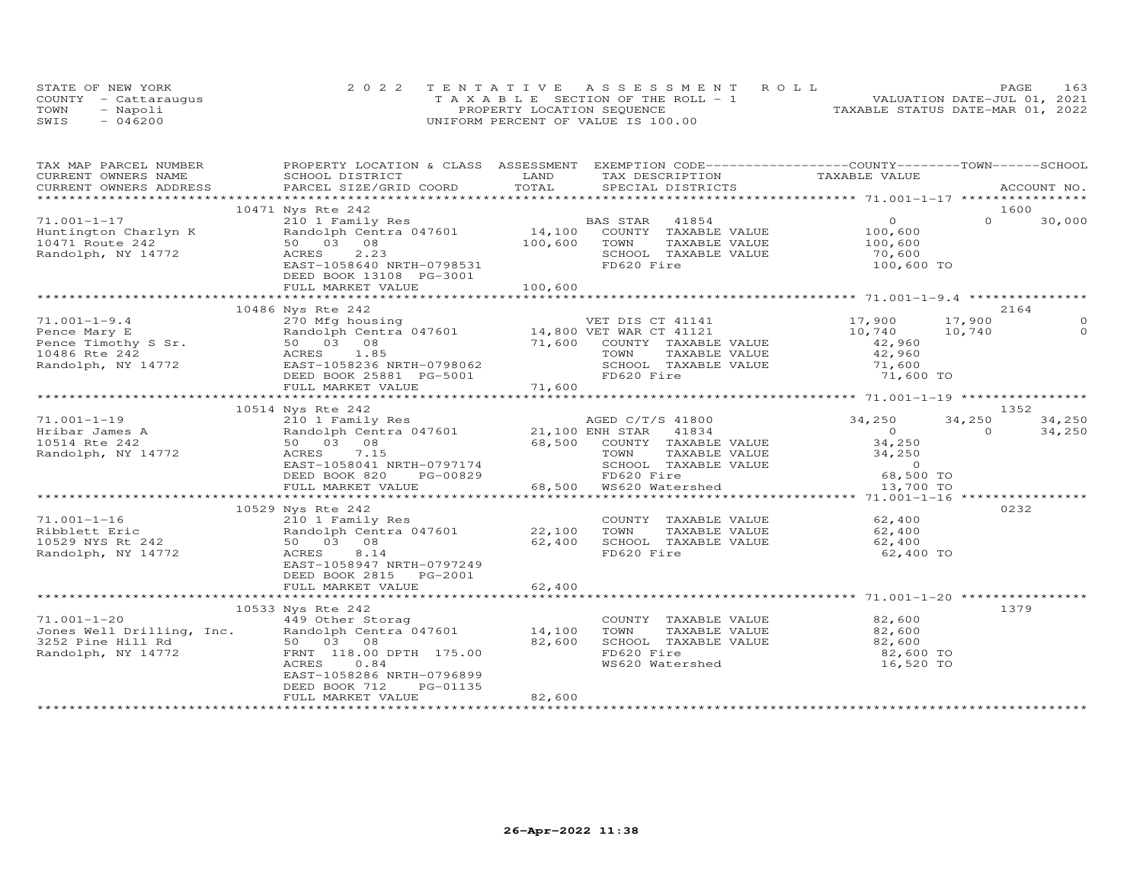| STATE OF NEW YORK    |           | 2022 TENTATIVE ASSESSMENT ROLL        |  |  |                                  | PAGE. | 163 |
|----------------------|-----------|---------------------------------------|--|--|----------------------------------|-------|-----|
| COUNTY - Cattarauqus |           | T A X A B L E SECTION OF THE ROLL - 1 |  |  | VALUATION DATE-JUL 01, 2021      |       |     |
| TOWN                 | - Napoli  | PROPERTY LOCATION SEQUENCE            |  |  | TAXABLE STATUS DATE-MAR 01, 2022 |       |     |
| SWIS                 | $-046200$ | UNIFORM PERCENT OF VALUE IS 100.00    |  |  |                                  |       |     |

| TAX MAP PARCEL NUMBER                   | PROPERTY LOCATION & CLASS ASSESSMENT EXEMPTION CODE-----------------COUNTY-------TOWN------SCHOOL                                                                                                                                                    | LAND    |                                                                                                                        |                   |          |         |
|-----------------------------------------|------------------------------------------------------------------------------------------------------------------------------------------------------------------------------------------------------------------------------------------------------|---------|------------------------------------------------------------------------------------------------------------------------|-------------------|----------|---------|
| CURRENT OWNERS NAME                     | SCHOOL DISTRICT                                                                                                                                                                                                                                      | TOTAL   | TAX DESCRIPTION TAXABLE VALUE                                                                                          |                   |          |         |
|                                         | .CURRENT OWNERS ADDRESS PARCEL SIZE/GRID COORD TOTAL SPECIAL DISTRICTS ACCOUNT NO ACCOUNT NO ACCOUNT NO ACCOUNT                                                                                                                                      |         |                                                                                                                        |                   |          |         |
|                                         | 10471 Nys Rte 242                                                                                                                                                                                                                                    |         |                                                                                                                        |                   | 1600     |         |
| $71.001 - 1 - 17$                       |                                                                                                                                                                                                                                                      |         | BAS STAR                                                                                                               | $\overline{O}$    | $\Omega$ | 30,000  |
| Huntington Charlyn K<br>10471 Route 242 | 210 1 Family Res B.<br>Randolph Centra 047601 14,100<br>50 03 08                                                                                                                                                                                     |         | AS STAR - 41854<br>COUNTY - TAXABLE VALUE                                                                              | 100,600           |          |         |
|                                         | 50 03 08                                                                                                                                                                                                                                             | 100,600 | TOWN<br>TAXABLE VALUE                                                                                                  |                   |          |         |
| Randolph, NY 14772                      | 2.23<br>ACRES                                                                                                                                                                                                                                        |         | SCHOOL TAXABLE VALUE                                                                                                   | 100,600<br>70,600 |          |         |
|                                         | EAST-1058640 NRTH-0798531                                                                                                                                                                                                                            |         | FD620 Fire                                                                                                             | 100,600 TO        |          |         |
|                                         | DEED BOOK 13108 PG-3001                                                                                                                                                                                                                              |         |                                                                                                                        |                   |          |         |
|                                         | FULL MARKET VALUE                                                                                                                                                                                                                                    | 100,600 |                                                                                                                        |                   |          |         |
|                                         |                                                                                                                                                                                                                                                      |         |                                                                                                                        |                   |          |         |
|                                         |                                                                                                                                                                                                                                                      |         |                                                                                                                        |                   |          | 2164    |
|                                         | Pence Mary E<br>Pence Mary E<br>Pence Timothy S Sr. 50 03 08<br>The Sandolph Centra 047601<br>270 Mfg housing<br>Randolph Centra 047601<br>270 Mfg housing<br>270 Mfg housing<br>270 Mfg housing<br>270 Mfg housing<br>270 Mfg housing<br>270 Mfg ho |         | VET DIS CT 41141                                                                                                       | 17,900            | 17,900   | $\circ$ |
|                                         |                                                                                                                                                                                                                                                      |         |                                                                                                                        | 10,740            | 10,740   | $\circ$ |
|                                         |                                                                                                                                                                                                                                                      |         | COUNTY TAXABLE VALUE                                                                                                   | 42,960            |          |         |
|                                         |                                                                                                                                                                                                                                                      |         |                                                                                                                        |                   |          |         |
|                                         |                                                                                                                                                                                                                                                      |         |                                                                                                                        |                   |          |         |
|                                         |                                                                                                                                                                                                                                                      |         | TOWN TAXABLE VALUE 42,960<br>SCHOOL TAXABLE VALUE 71,600<br>FD620 Fire 71,600 TO                                       |                   |          |         |
|                                         |                                                                                                                                                                                                                                                      |         |                                                                                                                        |                   |          |         |
|                                         |                                                                                                                                                                                                                                                      |         |                                                                                                                        |                   |          |         |
|                                         | 10514 Nys Rte 242                                                                                                                                                                                                                                    |         |                                                                                                                        |                   |          | 1352    |
|                                         | 1.001-1-19<br>Hribar James A 210 1 Family Res<br>10514 Rte 242 50 03 08 68,500 COUNTY TAXABLE<br>Randolph, NY 14772 ACRES 7.15<br>TOWN TAXABLE                                                                                                       |         |                                                                                                                        | 34,250            | 34,250   | 34,250  |
|                                         |                                                                                                                                                                                                                                                      |         |                                                                                                                        | $\overline{0}$    | $\Omega$ | 34,250  |
|                                         |                                                                                                                                                                                                                                                      |         |                                                                                                                        |                   |          |         |
|                                         |                                                                                                                                                                                                                                                      |         | 68,500 COUNTY TAXABLE VALUE 34,250<br>TOWN TAXABLE VALUE 34,250<br>SCHOOL TAXABLE VALUE 34,250<br>FD620 Fire 68,500 TO |                   |          |         |
|                                         | EAST-1058041 NRTH-0797174                                                                                                                                                                                                                            |         |                                                                                                                        |                   |          |         |
|                                         | DEED BOOK 820<br>PG-00829                                                                                                                                                                                                                            |         |                                                                                                                        |                   |          |         |
|                                         | FULL MARKET VALUE                                                                                                                                                                                                                                    |         | 68,500 WS620 Watershed                                                                                                 | 13,700 TO         |          |         |
|                                         |                                                                                                                                                                                                                                                      |         |                                                                                                                        |                   |          |         |
|                                         | 10529 Nys Rte 242                                                                                                                                                                                                                                    |         |                                                                                                                        |                   |          | 0232    |
| $71.001 - 1 - 16$                       | 210 1 Family Res                                                                                                                                                                                                                                     |         | COUNTY TAXABLE VALUE 62,400                                                                                            |                   |          |         |
|                                         | Ribblett Eric                   Randolph Centra 047601             22,100<br>10529 NYS Rt 242                   50   03   08                         62,400                                                                                          |         | TOWN<br>TAXABLE VALUE                                                                                                  | 62,400<br>62,400  |          |         |
|                                         |                                                                                                                                                                                                                                                      |         | SCHOOL TAXABLE VALUE                                                                                                   |                   |          |         |
| Randolph, NY 14772                      | ACRES<br>8.14                                                                                                                                                                                                                                        |         | FD620 Fire                                                                                                             | 62,400 TO         |          |         |
|                                         | EAST-1058947 NRTH-0797249                                                                                                                                                                                                                            |         |                                                                                                                        |                   |          |         |
|                                         | DEED BOOK 2815 PG-2001                                                                                                                                                                                                                               |         |                                                                                                                        |                   |          |         |
|                                         | FULL MARKET VALUE                                                                                                                                                                                                                                    | 62,400  |                                                                                                                        |                   |          |         |
|                                         |                                                                                                                                                                                                                                                      |         |                                                                                                                        |                   |          |         |
|                                         | 10533 Nys Rte 242                                                                                                                                                                                                                                    |         |                                                                                                                        |                   |          | 1379    |
| $71.001 - 1 - 20$                       | 449 Other Storag                                                                                                                                                                                                                                     |         | COUNTY TAXABLE VALUE<br>TOWN      TAXABLE VALUE                                                                        | 82,600            |          |         |
|                                         |                                                                                                                                                                                                                                                      |         |                                                                                                                        | 82,600            |          |         |
|                                         |                                                                                                                                                                                                                                                      |         | SCHOOL TAXABLE VALUE 82,600<br>FD620 Fire 82,600 TO                                                                    |                   |          |         |
|                                         |                                                                                                                                                                                                                                                      |         |                                                                                                                        |                   |          |         |
|                                         | ACRES 0.84                                                                                                                                                                                                                                           |         | WS620 Watershed                                                                                                        | 16,520 TO         |          |         |
|                                         | EAST-1058286 NRTH-0796899                                                                                                                                                                                                                            |         |                                                                                                                        |                   |          |         |
|                                         | DEED BOOK 712<br>PG-01135<br>FULL MARKET VALUE                                                                                                                                                                                                       | 82,600  |                                                                                                                        |                   |          |         |
|                                         |                                                                                                                                                                                                                                                      |         |                                                                                                                        |                   |          |         |
|                                         |                                                                                                                                                                                                                                                      |         |                                                                                                                        |                   |          |         |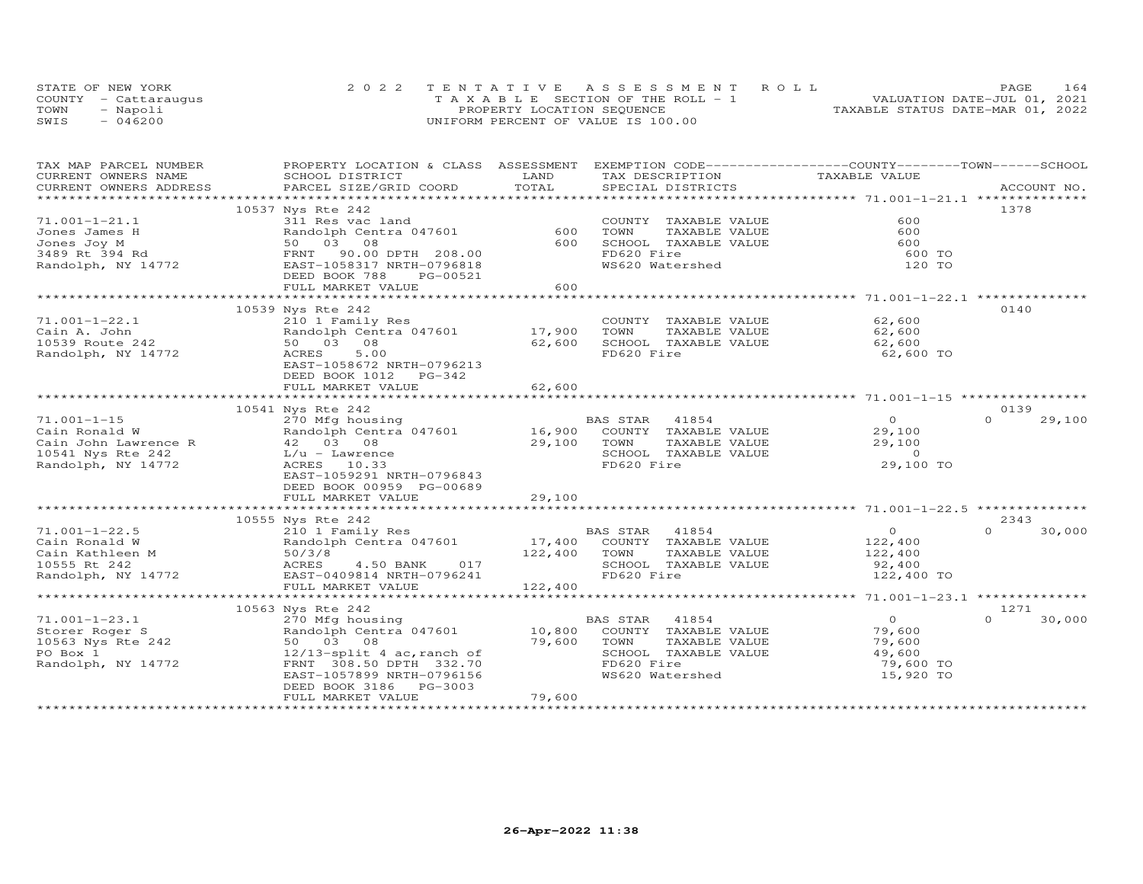|      | STATE OF NEW YORK    | 2022 TENTATIVE ASSESSMENT ROLL        | 164<br>PAGE                      |
|------|----------------------|---------------------------------------|----------------------------------|
|      | COUNTY - Cattaraugus | T A X A B L E SECTION OF THE ROLL - 1 | VALUATION DATE-JUL 01, 2021      |
| TOWN | - Napoli             | PROPERTY LOCATION SEQUENCE            | TAXABLE STATUS DATE-MAR 01, 2022 |
| SWIS | $-046200$            | UNIFORM PERCENT OF VALUE IS 100.00    |                                  |

| CURRENT OWNERS NAME<br>SCHOOL DISTRICT<br>LAND<br>TAX DESCRIPTION<br>TAXABLE VALUE<br>TOTAL<br>PARCEL SIZE/GRID COORD<br>CURRENT OWNERS ADDRESS<br>SPECIAL DISTRICTS<br>ACCOUNT NO.<br>***********************<br>10537 Nys Rte 242<br>1378<br>$71.001 - 1 - 21.1$<br>600<br>311 Res vac land<br>COUNTY TAXABLE VALUE<br>600<br>600<br>Randolph Centra 047601<br>TOWN<br>TAXABLE VALUE<br>Jones James H<br>Jones Joy M<br>3489 Rt 394 Rd<br>Randolph, NY 14772<br>50 03 08<br>600<br>SCHOOL TAXABLE VALUE<br>600<br>FD620 Fire<br>FRNT 90.00 DPTH 208.00<br>600 TO<br>EAST-1058317 NRTH-0796818<br>WS620 Watershed<br>120 TO<br>DEED BOOK 788<br>PG-00521<br>600<br>FULL MARKET VALUE<br>***********<br>************************<br>$**********************71.001-1-22.1**$<br>10539 Nys Rte 242<br>0140<br>$71.001 - 1 - 22.1$<br>210 1 Family Res<br>COUNTY TAXABLE VALUE<br>62,600<br>17,900<br>Randolph Centra 047601<br>TOWN<br>TAXABLE VALUE<br>62,600<br>Cain A. John<br>10539 Route 242<br>62,600<br>50 03 08<br>SCHOOL TAXABLE VALUE<br>62,600<br>Randolph, NY 14772<br>ACRES<br>5.00<br>FD620 Fire<br>62,600 TO<br>EAST-1058672 NRTH-0796213<br>DEED BOOK 1012<br>PG-342<br>62,600<br>FULL MARKET VALUE<br>**************<br>******************************<br>10541 Nys Rte 242<br>0139<br>$71.001 - 1 - 15$<br>BAS STAR<br>41854<br>$\overline{O}$<br>$\Omega$<br>29,100<br>270 Mfg housing<br>16,900 COUNTY TAXABLE VALUE<br>Randolph Centra 047601<br>Cain Ronald W<br>29,100<br>$42 \t 03 \t 08$<br>29,100<br>TAXABLE VALUE<br>29,100<br>Cain John Lawrence R<br>TOWN<br>10541 Nys Rte 242<br>$L/u$ - Lawrence<br>SCHOOL TAXABLE VALUE<br>$\sim$ 0<br>29,100 TO<br>FD620 Fire<br>Randolph, NY 14772<br>ACRES 10.33<br>EAST-1059291 NRTH-0796843<br>DEED BOOK 00959 PG-00689<br>29,100<br>FULL MARKET VALUE<br>************************* 71.001-1-22.5 ************<br>***********<br>************************<br>2343<br>10555 Nys Rte 242<br>210 1 Family Res<br>BAS STAR 41854<br>17,400 COUNTY TAXABLE VALUE<br>$71.001 - 1 - 22.5$<br>$\overline{0}$<br>$\Omega$<br>30,000<br>Randolph Centra 047601<br>122,400<br>Cain Ronald W<br>50/3/8<br>ACRES<br>Cain Kathleen M<br>50/3/8<br>122,400<br>TOWN<br>TAXABLE VALUE<br>122,400<br>10555 Rt 242<br>4.50 BANK<br>017<br>SCHOOL TAXABLE VALUE<br>92,400<br>Randolph, NY 14772 EAST-0409814 NRTH-0796241<br>FD620 Fire<br>122,400 TO<br>FULL MARKET VALUE<br>122,400<br>**************************<br>******************** 71.001-1-23.1 ***************<br>10563 Nys Rte 242<br>1271<br>$\overline{0}$<br>$71.001 - 1 - 23.1$<br>270 Mfg housing<br>BAS STAR<br>41854<br>$\Omega$<br>30,000<br>Randolph Centra 047601<br>10,800<br>COUNTY TAXABLE VALUE<br>79,600<br>Storer Roger S<br>10563 Nys Rte 242<br>50 03 08<br>79,600<br>TOWN<br>TAXABLE VALUE<br>79,600<br>SCHOOL TAXABLE VALUE<br>49,600<br>PO Box 1<br>$12/13$ -split 4 ac, ranch of<br>Randolph, NY 14772<br>FD620 Fire<br>79,600 TO<br>FRNT 308.50 DPTH 332.70<br>EAST-1057899 NRTH-0796156<br>WS620 Watershed<br>15,920 TO<br>DEED BOOK 3186 PG-3003<br>79,600<br>FULL MARKET VALUE | TAX MAP PARCEL NUMBER | PROPERTY LOCATION & CLASS ASSESSMENT | EXEMPTION CODE-----------------COUNTY-------TOWN------SCHOOL |  |
|---------------------------------------------------------------------------------------------------------------------------------------------------------------------------------------------------------------------------------------------------------------------------------------------------------------------------------------------------------------------------------------------------------------------------------------------------------------------------------------------------------------------------------------------------------------------------------------------------------------------------------------------------------------------------------------------------------------------------------------------------------------------------------------------------------------------------------------------------------------------------------------------------------------------------------------------------------------------------------------------------------------------------------------------------------------------------------------------------------------------------------------------------------------------------------------------------------------------------------------------------------------------------------------------------------------------------------------------------------------------------------------------------------------------------------------------------------------------------------------------------------------------------------------------------------------------------------------------------------------------------------------------------------------------------------------------------------------------------------------------------------------------------------------------------------------------------------------------------------------------------------------------------------------------------------------------------------------------------------------------------------------------------------------------------------------------------------------------------------------------------------------------------------------------------------------------------------------------------------------------------------------------------------------------------------------------------------------------------------------------------------------------------------------------------------------------------------------------------------------------------------------------------------------------------------------------------------------------------------------------------------------------------------------------------------------------------------------------------------------------------------------------------------------------------------------------------------------------------------------------------------------------------------------------------------------------------------------------------------------------------------------------------------------------------------------------------------------------------------------------|-----------------------|--------------------------------------|--------------------------------------------------------------|--|
|                                                                                                                                                                                                                                                                                                                                                                                                                                                                                                                                                                                                                                                                                                                                                                                                                                                                                                                                                                                                                                                                                                                                                                                                                                                                                                                                                                                                                                                                                                                                                                                                                                                                                                                                                                                                                                                                                                                                                                                                                                                                                                                                                                                                                                                                                                                                                                                                                                                                                                                                                                                                                                                                                                                                                                                                                                                                                                                                                                                                                                                                                                                     |                       |                                      |                                                              |  |
|                                                                                                                                                                                                                                                                                                                                                                                                                                                                                                                                                                                                                                                                                                                                                                                                                                                                                                                                                                                                                                                                                                                                                                                                                                                                                                                                                                                                                                                                                                                                                                                                                                                                                                                                                                                                                                                                                                                                                                                                                                                                                                                                                                                                                                                                                                                                                                                                                                                                                                                                                                                                                                                                                                                                                                                                                                                                                                                                                                                                                                                                                                                     |                       |                                      |                                                              |  |
|                                                                                                                                                                                                                                                                                                                                                                                                                                                                                                                                                                                                                                                                                                                                                                                                                                                                                                                                                                                                                                                                                                                                                                                                                                                                                                                                                                                                                                                                                                                                                                                                                                                                                                                                                                                                                                                                                                                                                                                                                                                                                                                                                                                                                                                                                                                                                                                                                                                                                                                                                                                                                                                                                                                                                                                                                                                                                                                                                                                                                                                                                                                     |                       |                                      |                                                              |  |
|                                                                                                                                                                                                                                                                                                                                                                                                                                                                                                                                                                                                                                                                                                                                                                                                                                                                                                                                                                                                                                                                                                                                                                                                                                                                                                                                                                                                                                                                                                                                                                                                                                                                                                                                                                                                                                                                                                                                                                                                                                                                                                                                                                                                                                                                                                                                                                                                                                                                                                                                                                                                                                                                                                                                                                                                                                                                                                                                                                                                                                                                                                                     |                       |                                      |                                                              |  |
|                                                                                                                                                                                                                                                                                                                                                                                                                                                                                                                                                                                                                                                                                                                                                                                                                                                                                                                                                                                                                                                                                                                                                                                                                                                                                                                                                                                                                                                                                                                                                                                                                                                                                                                                                                                                                                                                                                                                                                                                                                                                                                                                                                                                                                                                                                                                                                                                                                                                                                                                                                                                                                                                                                                                                                                                                                                                                                                                                                                                                                                                                                                     |                       |                                      |                                                              |  |
|                                                                                                                                                                                                                                                                                                                                                                                                                                                                                                                                                                                                                                                                                                                                                                                                                                                                                                                                                                                                                                                                                                                                                                                                                                                                                                                                                                                                                                                                                                                                                                                                                                                                                                                                                                                                                                                                                                                                                                                                                                                                                                                                                                                                                                                                                                                                                                                                                                                                                                                                                                                                                                                                                                                                                                                                                                                                                                                                                                                                                                                                                                                     |                       |                                      |                                                              |  |
|                                                                                                                                                                                                                                                                                                                                                                                                                                                                                                                                                                                                                                                                                                                                                                                                                                                                                                                                                                                                                                                                                                                                                                                                                                                                                                                                                                                                                                                                                                                                                                                                                                                                                                                                                                                                                                                                                                                                                                                                                                                                                                                                                                                                                                                                                                                                                                                                                                                                                                                                                                                                                                                                                                                                                                                                                                                                                                                                                                                                                                                                                                                     |                       |                                      |                                                              |  |
|                                                                                                                                                                                                                                                                                                                                                                                                                                                                                                                                                                                                                                                                                                                                                                                                                                                                                                                                                                                                                                                                                                                                                                                                                                                                                                                                                                                                                                                                                                                                                                                                                                                                                                                                                                                                                                                                                                                                                                                                                                                                                                                                                                                                                                                                                                                                                                                                                                                                                                                                                                                                                                                                                                                                                                                                                                                                                                                                                                                                                                                                                                                     |                       |                                      |                                                              |  |
|                                                                                                                                                                                                                                                                                                                                                                                                                                                                                                                                                                                                                                                                                                                                                                                                                                                                                                                                                                                                                                                                                                                                                                                                                                                                                                                                                                                                                                                                                                                                                                                                                                                                                                                                                                                                                                                                                                                                                                                                                                                                                                                                                                                                                                                                                                                                                                                                                                                                                                                                                                                                                                                                                                                                                                                                                                                                                                                                                                                                                                                                                                                     |                       |                                      |                                                              |  |
|                                                                                                                                                                                                                                                                                                                                                                                                                                                                                                                                                                                                                                                                                                                                                                                                                                                                                                                                                                                                                                                                                                                                                                                                                                                                                                                                                                                                                                                                                                                                                                                                                                                                                                                                                                                                                                                                                                                                                                                                                                                                                                                                                                                                                                                                                                                                                                                                                                                                                                                                                                                                                                                                                                                                                                                                                                                                                                                                                                                                                                                                                                                     |                       |                                      |                                                              |  |
|                                                                                                                                                                                                                                                                                                                                                                                                                                                                                                                                                                                                                                                                                                                                                                                                                                                                                                                                                                                                                                                                                                                                                                                                                                                                                                                                                                                                                                                                                                                                                                                                                                                                                                                                                                                                                                                                                                                                                                                                                                                                                                                                                                                                                                                                                                                                                                                                                                                                                                                                                                                                                                                                                                                                                                                                                                                                                                                                                                                                                                                                                                                     |                       |                                      |                                                              |  |
|                                                                                                                                                                                                                                                                                                                                                                                                                                                                                                                                                                                                                                                                                                                                                                                                                                                                                                                                                                                                                                                                                                                                                                                                                                                                                                                                                                                                                                                                                                                                                                                                                                                                                                                                                                                                                                                                                                                                                                                                                                                                                                                                                                                                                                                                                                                                                                                                                                                                                                                                                                                                                                                                                                                                                                                                                                                                                                                                                                                                                                                                                                                     |                       |                                      |                                                              |  |
|                                                                                                                                                                                                                                                                                                                                                                                                                                                                                                                                                                                                                                                                                                                                                                                                                                                                                                                                                                                                                                                                                                                                                                                                                                                                                                                                                                                                                                                                                                                                                                                                                                                                                                                                                                                                                                                                                                                                                                                                                                                                                                                                                                                                                                                                                                                                                                                                                                                                                                                                                                                                                                                                                                                                                                                                                                                                                                                                                                                                                                                                                                                     |                       |                                      |                                                              |  |
|                                                                                                                                                                                                                                                                                                                                                                                                                                                                                                                                                                                                                                                                                                                                                                                                                                                                                                                                                                                                                                                                                                                                                                                                                                                                                                                                                                                                                                                                                                                                                                                                                                                                                                                                                                                                                                                                                                                                                                                                                                                                                                                                                                                                                                                                                                                                                                                                                                                                                                                                                                                                                                                                                                                                                                                                                                                                                                                                                                                                                                                                                                                     |                       |                                      |                                                              |  |
|                                                                                                                                                                                                                                                                                                                                                                                                                                                                                                                                                                                                                                                                                                                                                                                                                                                                                                                                                                                                                                                                                                                                                                                                                                                                                                                                                                                                                                                                                                                                                                                                                                                                                                                                                                                                                                                                                                                                                                                                                                                                                                                                                                                                                                                                                                                                                                                                                                                                                                                                                                                                                                                                                                                                                                                                                                                                                                                                                                                                                                                                                                                     |                       |                                      |                                                              |  |
|                                                                                                                                                                                                                                                                                                                                                                                                                                                                                                                                                                                                                                                                                                                                                                                                                                                                                                                                                                                                                                                                                                                                                                                                                                                                                                                                                                                                                                                                                                                                                                                                                                                                                                                                                                                                                                                                                                                                                                                                                                                                                                                                                                                                                                                                                                                                                                                                                                                                                                                                                                                                                                                                                                                                                                                                                                                                                                                                                                                                                                                                                                                     |                       |                                      |                                                              |  |
|                                                                                                                                                                                                                                                                                                                                                                                                                                                                                                                                                                                                                                                                                                                                                                                                                                                                                                                                                                                                                                                                                                                                                                                                                                                                                                                                                                                                                                                                                                                                                                                                                                                                                                                                                                                                                                                                                                                                                                                                                                                                                                                                                                                                                                                                                                                                                                                                                                                                                                                                                                                                                                                                                                                                                                                                                                                                                                                                                                                                                                                                                                                     |                       |                                      |                                                              |  |
|                                                                                                                                                                                                                                                                                                                                                                                                                                                                                                                                                                                                                                                                                                                                                                                                                                                                                                                                                                                                                                                                                                                                                                                                                                                                                                                                                                                                                                                                                                                                                                                                                                                                                                                                                                                                                                                                                                                                                                                                                                                                                                                                                                                                                                                                                                                                                                                                                                                                                                                                                                                                                                                                                                                                                                                                                                                                                                                                                                                                                                                                                                                     |                       |                                      |                                                              |  |
|                                                                                                                                                                                                                                                                                                                                                                                                                                                                                                                                                                                                                                                                                                                                                                                                                                                                                                                                                                                                                                                                                                                                                                                                                                                                                                                                                                                                                                                                                                                                                                                                                                                                                                                                                                                                                                                                                                                                                                                                                                                                                                                                                                                                                                                                                                                                                                                                                                                                                                                                                                                                                                                                                                                                                                                                                                                                                                                                                                                                                                                                                                                     |                       |                                      |                                                              |  |
|                                                                                                                                                                                                                                                                                                                                                                                                                                                                                                                                                                                                                                                                                                                                                                                                                                                                                                                                                                                                                                                                                                                                                                                                                                                                                                                                                                                                                                                                                                                                                                                                                                                                                                                                                                                                                                                                                                                                                                                                                                                                                                                                                                                                                                                                                                                                                                                                                                                                                                                                                                                                                                                                                                                                                                                                                                                                                                                                                                                                                                                                                                                     |                       |                                      |                                                              |  |
|                                                                                                                                                                                                                                                                                                                                                                                                                                                                                                                                                                                                                                                                                                                                                                                                                                                                                                                                                                                                                                                                                                                                                                                                                                                                                                                                                                                                                                                                                                                                                                                                                                                                                                                                                                                                                                                                                                                                                                                                                                                                                                                                                                                                                                                                                                                                                                                                                                                                                                                                                                                                                                                                                                                                                                                                                                                                                                                                                                                                                                                                                                                     |                       |                                      |                                                              |  |
|                                                                                                                                                                                                                                                                                                                                                                                                                                                                                                                                                                                                                                                                                                                                                                                                                                                                                                                                                                                                                                                                                                                                                                                                                                                                                                                                                                                                                                                                                                                                                                                                                                                                                                                                                                                                                                                                                                                                                                                                                                                                                                                                                                                                                                                                                                                                                                                                                                                                                                                                                                                                                                                                                                                                                                                                                                                                                                                                                                                                                                                                                                                     |                       |                                      |                                                              |  |
|                                                                                                                                                                                                                                                                                                                                                                                                                                                                                                                                                                                                                                                                                                                                                                                                                                                                                                                                                                                                                                                                                                                                                                                                                                                                                                                                                                                                                                                                                                                                                                                                                                                                                                                                                                                                                                                                                                                                                                                                                                                                                                                                                                                                                                                                                                                                                                                                                                                                                                                                                                                                                                                                                                                                                                                                                                                                                                                                                                                                                                                                                                                     |                       |                                      |                                                              |  |
|                                                                                                                                                                                                                                                                                                                                                                                                                                                                                                                                                                                                                                                                                                                                                                                                                                                                                                                                                                                                                                                                                                                                                                                                                                                                                                                                                                                                                                                                                                                                                                                                                                                                                                                                                                                                                                                                                                                                                                                                                                                                                                                                                                                                                                                                                                                                                                                                                                                                                                                                                                                                                                                                                                                                                                                                                                                                                                                                                                                                                                                                                                                     |                       |                                      |                                                              |  |
|                                                                                                                                                                                                                                                                                                                                                                                                                                                                                                                                                                                                                                                                                                                                                                                                                                                                                                                                                                                                                                                                                                                                                                                                                                                                                                                                                                                                                                                                                                                                                                                                                                                                                                                                                                                                                                                                                                                                                                                                                                                                                                                                                                                                                                                                                                                                                                                                                                                                                                                                                                                                                                                                                                                                                                                                                                                                                                                                                                                                                                                                                                                     |                       |                                      |                                                              |  |
|                                                                                                                                                                                                                                                                                                                                                                                                                                                                                                                                                                                                                                                                                                                                                                                                                                                                                                                                                                                                                                                                                                                                                                                                                                                                                                                                                                                                                                                                                                                                                                                                                                                                                                                                                                                                                                                                                                                                                                                                                                                                                                                                                                                                                                                                                                                                                                                                                                                                                                                                                                                                                                                                                                                                                                                                                                                                                                                                                                                                                                                                                                                     |                       |                                      |                                                              |  |
|                                                                                                                                                                                                                                                                                                                                                                                                                                                                                                                                                                                                                                                                                                                                                                                                                                                                                                                                                                                                                                                                                                                                                                                                                                                                                                                                                                                                                                                                                                                                                                                                                                                                                                                                                                                                                                                                                                                                                                                                                                                                                                                                                                                                                                                                                                                                                                                                                                                                                                                                                                                                                                                                                                                                                                                                                                                                                                                                                                                                                                                                                                                     |                       |                                      |                                                              |  |
|                                                                                                                                                                                                                                                                                                                                                                                                                                                                                                                                                                                                                                                                                                                                                                                                                                                                                                                                                                                                                                                                                                                                                                                                                                                                                                                                                                                                                                                                                                                                                                                                                                                                                                                                                                                                                                                                                                                                                                                                                                                                                                                                                                                                                                                                                                                                                                                                                                                                                                                                                                                                                                                                                                                                                                                                                                                                                                                                                                                                                                                                                                                     |                       |                                      |                                                              |  |
|                                                                                                                                                                                                                                                                                                                                                                                                                                                                                                                                                                                                                                                                                                                                                                                                                                                                                                                                                                                                                                                                                                                                                                                                                                                                                                                                                                                                                                                                                                                                                                                                                                                                                                                                                                                                                                                                                                                                                                                                                                                                                                                                                                                                                                                                                                                                                                                                                                                                                                                                                                                                                                                                                                                                                                                                                                                                                                                                                                                                                                                                                                                     |                       |                                      |                                                              |  |
|                                                                                                                                                                                                                                                                                                                                                                                                                                                                                                                                                                                                                                                                                                                                                                                                                                                                                                                                                                                                                                                                                                                                                                                                                                                                                                                                                                                                                                                                                                                                                                                                                                                                                                                                                                                                                                                                                                                                                                                                                                                                                                                                                                                                                                                                                                                                                                                                                                                                                                                                                                                                                                                                                                                                                                                                                                                                                                                                                                                                                                                                                                                     |                       |                                      |                                                              |  |
|                                                                                                                                                                                                                                                                                                                                                                                                                                                                                                                                                                                                                                                                                                                                                                                                                                                                                                                                                                                                                                                                                                                                                                                                                                                                                                                                                                                                                                                                                                                                                                                                                                                                                                                                                                                                                                                                                                                                                                                                                                                                                                                                                                                                                                                                                                                                                                                                                                                                                                                                                                                                                                                                                                                                                                                                                                                                                                                                                                                                                                                                                                                     |                       |                                      |                                                              |  |
|                                                                                                                                                                                                                                                                                                                                                                                                                                                                                                                                                                                                                                                                                                                                                                                                                                                                                                                                                                                                                                                                                                                                                                                                                                                                                                                                                                                                                                                                                                                                                                                                                                                                                                                                                                                                                                                                                                                                                                                                                                                                                                                                                                                                                                                                                                                                                                                                                                                                                                                                                                                                                                                                                                                                                                                                                                                                                                                                                                                                                                                                                                                     |                       |                                      |                                                              |  |
|                                                                                                                                                                                                                                                                                                                                                                                                                                                                                                                                                                                                                                                                                                                                                                                                                                                                                                                                                                                                                                                                                                                                                                                                                                                                                                                                                                                                                                                                                                                                                                                                                                                                                                                                                                                                                                                                                                                                                                                                                                                                                                                                                                                                                                                                                                                                                                                                                                                                                                                                                                                                                                                                                                                                                                                                                                                                                                                                                                                                                                                                                                                     |                       |                                      |                                                              |  |
|                                                                                                                                                                                                                                                                                                                                                                                                                                                                                                                                                                                                                                                                                                                                                                                                                                                                                                                                                                                                                                                                                                                                                                                                                                                                                                                                                                                                                                                                                                                                                                                                                                                                                                                                                                                                                                                                                                                                                                                                                                                                                                                                                                                                                                                                                                                                                                                                                                                                                                                                                                                                                                                                                                                                                                                                                                                                                                                                                                                                                                                                                                                     |                       |                                      |                                                              |  |
|                                                                                                                                                                                                                                                                                                                                                                                                                                                                                                                                                                                                                                                                                                                                                                                                                                                                                                                                                                                                                                                                                                                                                                                                                                                                                                                                                                                                                                                                                                                                                                                                                                                                                                                                                                                                                                                                                                                                                                                                                                                                                                                                                                                                                                                                                                                                                                                                                                                                                                                                                                                                                                                                                                                                                                                                                                                                                                                                                                                                                                                                                                                     |                       |                                      |                                                              |  |
|                                                                                                                                                                                                                                                                                                                                                                                                                                                                                                                                                                                                                                                                                                                                                                                                                                                                                                                                                                                                                                                                                                                                                                                                                                                                                                                                                                                                                                                                                                                                                                                                                                                                                                                                                                                                                                                                                                                                                                                                                                                                                                                                                                                                                                                                                                                                                                                                                                                                                                                                                                                                                                                                                                                                                                                                                                                                                                                                                                                                                                                                                                                     |                       |                                      |                                                              |  |
|                                                                                                                                                                                                                                                                                                                                                                                                                                                                                                                                                                                                                                                                                                                                                                                                                                                                                                                                                                                                                                                                                                                                                                                                                                                                                                                                                                                                                                                                                                                                                                                                                                                                                                                                                                                                                                                                                                                                                                                                                                                                                                                                                                                                                                                                                                                                                                                                                                                                                                                                                                                                                                                                                                                                                                                                                                                                                                                                                                                                                                                                                                                     |                       |                                      |                                                              |  |
|                                                                                                                                                                                                                                                                                                                                                                                                                                                                                                                                                                                                                                                                                                                                                                                                                                                                                                                                                                                                                                                                                                                                                                                                                                                                                                                                                                                                                                                                                                                                                                                                                                                                                                                                                                                                                                                                                                                                                                                                                                                                                                                                                                                                                                                                                                                                                                                                                                                                                                                                                                                                                                                                                                                                                                                                                                                                                                                                                                                                                                                                                                                     |                       |                                      |                                                              |  |
|                                                                                                                                                                                                                                                                                                                                                                                                                                                                                                                                                                                                                                                                                                                                                                                                                                                                                                                                                                                                                                                                                                                                                                                                                                                                                                                                                                                                                                                                                                                                                                                                                                                                                                                                                                                                                                                                                                                                                                                                                                                                                                                                                                                                                                                                                                                                                                                                                                                                                                                                                                                                                                                                                                                                                                                                                                                                                                                                                                                                                                                                                                                     |                       |                                      |                                                              |  |
|                                                                                                                                                                                                                                                                                                                                                                                                                                                                                                                                                                                                                                                                                                                                                                                                                                                                                                                                                                                                                                                                                                                                                                                                                                                                                                                                                                                                                                                                                                                                                                                                                                                                                                                                                                                                                                                                                                                                                                                                                                                                                                                                                                                                                                                                                                                                                                                                                                                                                                                                                                                                                                                                                                                                                                                                                                                                                                                                                                                                                                                                                                                     |                       |                                      |                                                              |  |
|                                                                                                                                                                                                                                                                                                                                                                                                                                                                                                                                                                                                                                                                                                                                                                                                                                                                                                                                                                                                                                                                                                                                                                                                                                                                                                                                                                                                                                                                                                                                                                                                                                                                                                                                                                                                                                                                                                                                                                                                                                                                                                                                                                                                                                                                                                                                                                                                                                                                                                                                                                                                                                                                                                                                                                                                                                                                                                                                                                                                                                                                                                                     |                       |                                      |                                                              |  |
|                                                                                                                                                                                                                                                                                                                                                                                                                                                                                                                                                                                                                                                                                                                                                                                                                                                                                                                                                                                                                                                                                                                                                                                                                                                                                                                                                                                                                                                                                                                                                                                                                                                                                                                                                                                                                                                                                                                                                                                                                                                                                                                                                                                                                                                                                                                                                                                                                                                                                                                                                                                                                                                                                                                                                                                                                                                                                                                                                                                                                                                                                                                     |                       |                                      |                                                              |  |
|                                                                                                                                                                                                                                                                                                                                                                                                                                                                                                                                                                                                                                                                                                                                                                                                                                                                                                                                                                                                                                                                                                                                                                                                                                                                                                                                                                                                                                                                                                                                                                                                                                                                                                                                                                                                                                                                                                                                                                                                                                                                                                                                                                                                                                                                                                                                                                                                                                                                                                                                                                                                                                                                                                                                                                                                                                                                                                                                                                                                                                                                                                                     |                       |                                      |                                                              |  |
|                                                                                                                                                                                                                                                                                                                                                                                                                                                                                                                                                                                                                                                                                                                                                                                                                                                                                                                                                                                                                                                                                                                                                                                                                                                                                                                                                                                                                                                                                                                                                                                                                                                                                                                                                                                                                                                                                                                                                                                                                                                                                                                                                                                                                                                                                                                                                                                                                                                                                                                                                                                                                                                                                                                                                                                                                                                                                                                                                                                                                                                                                                                     |                       |                                      |                                                              |  |
|                                                                                                                                                                                                                                                                                                                                                                                                                                                                                                                                                                                                                                                                                                                                                                                                                                                                                                                                                                                                                                                                                                                                                                                                                                                                                                                                                                                                                                                                                                                                                                                                                                                                                                                                                                                                                                                                                                                                                                                                                                                                                                                                                                                                                                                                                                                                                                                                                                                                                                                                                                                                                                                                                                                                                                                                                                                                                                                                                                                                                                                                                                                     |                       |                                      |                                                              |  |
|                                                                                                                                                                                                                                                                                                                                                                                                                                                                                                                                                                                                                                                                                                                                                                                                                                                                                                                                                                                                                                                                                                                                                                                                                                                                                                                                                                                                                                                                                                                                                                                                                                                                                                                                                                                                                                                                                                                                                                                                                                                                                                                                                                                                                                                                                                                                                                                                                                                                                                                                                                                                                                                                                                                                                                                                                                                                                                                                                                                                                                                                                                                     |                       |                                      |                                                              |  |
|                                                                                                                                                                                                                                                                                                                                                                                                                                                                                                                                                                                                                                                                                                                                                                                                                                                                                                                                                                                                                                                                                                                                                                                                                                                                                                                                                                                                                                                                                                                                                                                                                                                                                                                                                                                                                                                                                                                                                                                                                                                                                                                                                                                                                                                                                                                                                                                                                                                                                                                                                                                                                                                                                                                                                                                                                                                                                                                                                                                                                                                                                                                     |                       |                                      |                                                              |  |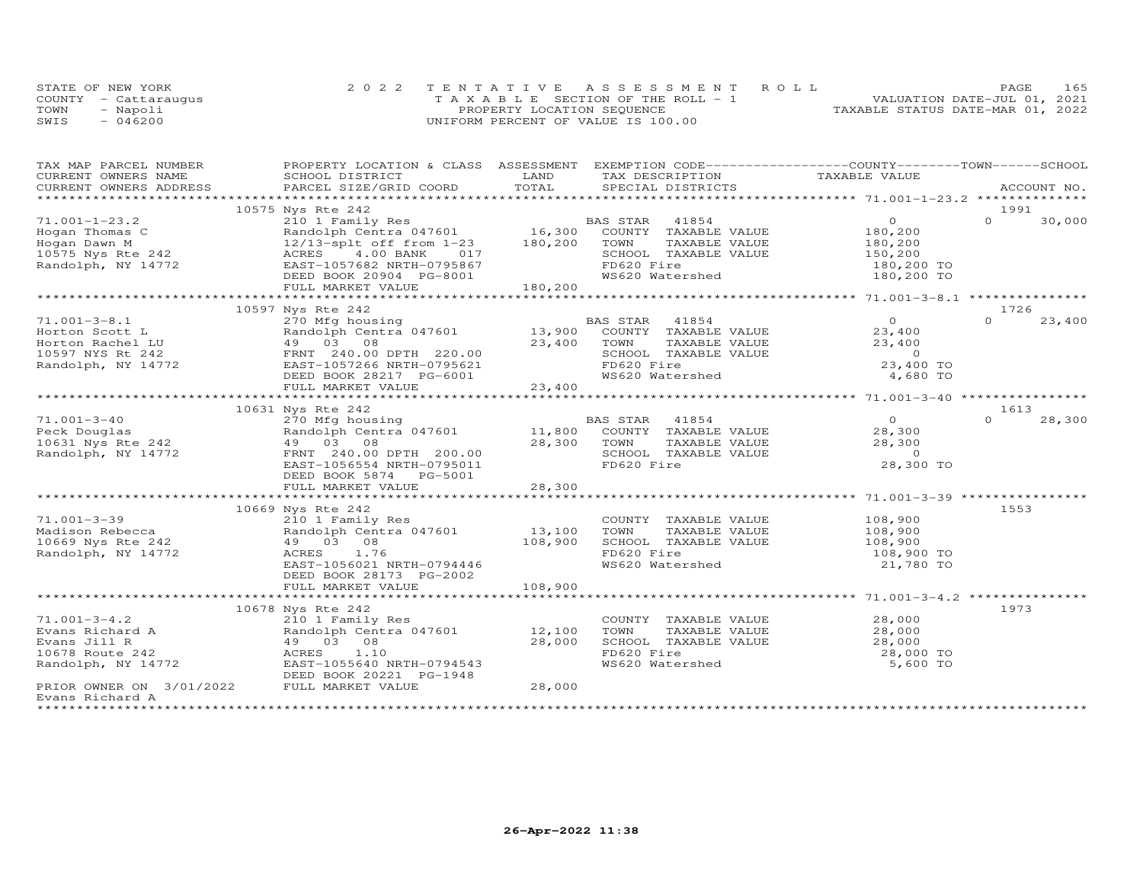|      | STATE OF NEW YORK    | 2022 TENTATIVE ASSESSMENT ROLL        | 165<br>PAGE                      |
|------|----------------------|---------------------------------------|----------------------------------|
|      | COUNTY - Cattaraugus | T A X A B L E SECTION OF THE ROLL - 1 | VALUATION DATE-JUL 01, 2021      |
| TOWN | - Napoli             | PROPERTY LOCATION SEQUENCE            | TAXABLE STATUS DATE-MAR 01, 2022 |
| SWIS | $-046200$            | UNIFORM PERCENT OF VALUE IS 100.00    |                                  |

| TAX MAP PARCEL NUMBER                      | PROPERTY LOCATION & CLASS ASSESSMENT EXEMPTION CODE----------------COUNTY-------TOWN------SCHOOL |               |                |                             |               |                                           |          |             |
|--------------------------------------------|--------------------------------------------------------------------------------------------------|---------------|----------------|-----------------------------|---------------|-------------------------------------------|----------|-------------|
| CURRENT OWNERS NAME                        | SCHOOL DISTRICT                                                                                  | LAND          |                | TAX DESCRIPTION             | TAXABLE VALUE |                                           |          |             |
| CURRENT OWNERS ADDRESS                     | PARCEL SIZE/GRID COORD                                                                           | TOTAL         |                | SPECIAL DISTRICTS           |               |                                           |          | ACCOUNT NO. |
|                                            |                                                                                                  |               |                |                             |               |                                           |          |             |
|                                            | 10575 Nys Rte 242                                                                                |               |                |                             |               |                                           | 1991     |             |
| $71.001 - 1 - 23.2$                        |                                                                                                  |               |                |                             |               | $\overline{O}$                            | $\Omega$ | 30,000      |
| Hogan Thomas C                             |                                                                                                  |               |                |                             |               | 180,200                                   |          |             |
| Hogan Dawn M                               | 12/13-splt off from 1-23 180,200                                                                 |               | TOWN           | TAXABLE VALUE               |               | 180,200                                   |          |             |
| 10575 Nys Rte 242                          | ACRES 4.00 BANK<br>017                                                                           |               |                | SCHOOL TAXABLE VALUE        |               | 150,200                                   |          |             |
| Randolph, NY 14772                         | EAST-1057682 NRTH-0795867                                                                        |               | FD620 Fire     |                             |               | 180,200 TO                                |          |             |
|                                            | DEED BOOK 20904 PG-8001                                                                          |               |                | WS620 Watershed             |               | 180,200 TO                                |          |             |
|                                            | FULL MARKET VALUE                                                                                | 180, 200      |                |                             |               |                                           |          |             |
|                                            |                                                                                                  |               |                |                             |               |                                           |          |             |
|                                            | 10597 Nys Rte 242                                                                                |               |                |                             |               |                                           | 1726     |             |
| $71.001 - 3 - 8.1$                         | 270 Mfg housing                                                                                  |               | BAS STAR 41854 |                             |               | $\Omega$                                  | $\Omega$ | 23,400      |
| Horton Scott L                             | Randolph Centra 047601 13,900                                                                    |               |                | COUNTY TAXABLE VALUE        |               | 23,400                                    |          |             |
| Horton Rachel LU                           | 49 03 08                                                                                         | 23,400        | TOWN           | TAXABLE VALUE               |               | 23,400                                    |          |             |
| 10597 NYS Rt 242                           | FRNT 240.00 DPTH 220.00                                                                          |               |                | SCHOOL TAXABLE VALUE        |               | $\sim$ 0                                  |          |             |
| Randolph, NY 14772                         | EAST-1057266 NRTH-0795621                                                                        |               | FD620 Fire     |                             |               | 23,400 TO                                 |          |             |
|                                            | DEED BOOK 28217 PG-6001                                                                          |               |                | WS620 Watershed             |               |                                           |          |             |
|                                            |                                                                                                  | 23,400        |                |                             |               | 4,680 TO                                  |          |             |
|                                            | FULL MARKET VALUE                                                                                |               |                |                             |               |                                           |          |             |
|                                            |                                                                                                  |               |                |                             |               |                                           |          |             |
|                                            | 10631 Nys Rte 242                                                                                |               |                |                             |               |                                           | 1613     |             |
| $71.001 - 3 - 40$                          | 270 Mfg housing                                                                                  |               | BAS STAR       | 41854                       |               | $\overline{O}$                            | $\Omega$ | 28,300      |
| Peck Douglas                               | Randolph Centra 047601                                                                           | 11,800        |                | COUNTY TAXABLE VALUE        |               | 28,300                                    |          |             |
| 10631 Nys Rte 242                          | 49 03 08                                                                                         | 28,300        | TOWN           | TAXABLE VALUE               |               | 28,300                                    |          |             |
| Randolph, NY 14772                         | FRNT 240.00 DPTH 200.00                                                                          |               |                | SCHOOL TAXABLE VALUE        |               | $\circ$                                   |          |             |
|                                            | EAST-1056554 NRTH-0795011                                                                        |               | FD620 Fire     |                             |               | 28,300 TO                                 |          |             |
|                                            | DEED BOOK 5874 PG-5001                                                                           |               |                |                             |               |                                           |          |             |
|                                            | FULL MARKET VALUE                                                                                | 28,300        |                |                             |               |                                           |          |             |
|                                            |                                                                                                  |               |                |                             |               |                                           |          |             |
|                                            | 10669 Nys Rte 242                                                                                |               |                |                             |               |                                           | 1553     |             |
| $71.001 - 3 - 39$                          | 210 1 Family Res                                                                                 |               |                | COUNTY TAXABLE VALUE        |               | 108,900                                   |          |             |
| Madison Rebecca                            | Randolph Centra 047601                                                                           | 13,100        | TOWN           | TAXABLE VALUE               |               | 108,900                                   |          |             |
| 10669 Nys Rte 242                          | 49 03 08                                                                                         | 108,900       |                | SCHOOL TAXABLE VALUE        |               | 108,900                                   |          |             |
| Randolph, NY 14772                         | ACRES<br>1.76                                                                                    |               | FD620 Fire     |                             |               | 108,900 TO                                |          |             |
|                                            | EAST-1056021 NRTH-0794446                                                                        |               |                | WS620 Watershed             |               | 21,780 TO                                 |          |             |
|                                            | DEED BOOK 28173 PG-2002                                                                          |               |                |                             |               |                                           |          |             |
|                                            | FULL MARKET VALUE                                                                                | 108,900       |                |                             |               |                                           |          |             |
|                                            | ****************************                                                                     | ************* |                |                             |               | ****************** 71.001-3-4.2 ********* |          |             |
|                                            | 10678 Nys Rte 242                                                                                |               |                |                             |               |                                           | 1973     |             |
| $71.001 - 3 - 4.2$                         | 210 1 Family Res                                                                                 |               |                | COUNTY TAXABLE VALUE 28,000 |               |                                           |          |             |
| Evans Richard A                            | Randolph Centra 047601                                                                           | 12,100        | TOWN           | TAXABLE VALUE               |               | 28,000                                    |          |             |
| Evans Jill R                               | 49 03 08                                                                                         | 28,000        |                | SCHOOL TAXABLE VALUE        |               | 28,000                                    |          |             |
| 10678 Route 242                            | ACRES<br>1.10                                                                                    |               | FD620 Fire     |                             |               | 28,000 TO                                 |          |             |
| Randolph, NY 14772                         | EAST-1055640 NRTH-0794543                                                                        |               |                | WS620 Watershed             |               | 5,600 TO                                  |          |             |
|                                            | DEED BOOK 20221 PG-1948                                                                          |               |                |                             |               |                                           |          |             |
| PRIOR OWNER ON 3/01/2022 FULL MARKET VALUE |                                                                                                  | 28,000        |                |                             |               |                                           |          |             |
| Evans Richard A                            |                                                                                                  |               |                |                             |               |                                           |          |             |
| *************                              |                                                                                                  |               |                |                             |               |                                           |          |             |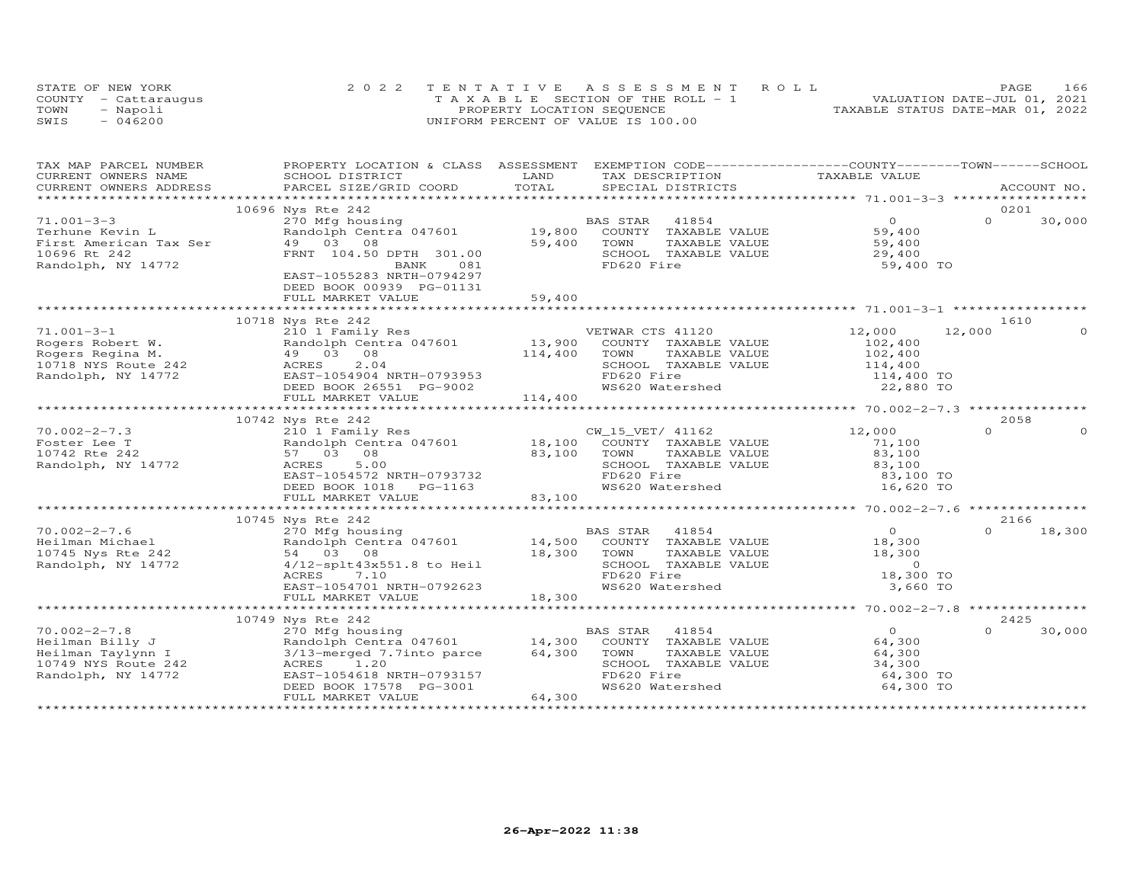|      | STATE OF NEW YORK    | 2022 TENTATIVE ASSESSMENT ROLL        | 166<br>PAGE                      |
|------|----------------------|---------------------------------------|----------------------------------|
|      | COUNTY - Cattaraugus | T A X A B L E SECTION OF THE ROLL - 1 | VALUATION DATE-JUL 01, 2021      |
| TOWN | - Napoli             | PROPERTY LOCATION SEQUENCE            | TAXABLE STATUS DATE-MAR 01, 2022 |
| SWIS | $-046200$            | UNIFORM PERCENT OF VALUE IS 100.00    |                                  |

| TAX MAP PARCEL NUMBER                                                                                                 | PROPERTY LOCATION & CLASS ASSESSMENT EXEMPTION CODE----------------COUNTY-------TOWN------SCHOOL  |             |                             |                  |          |             |
|-----------------------------------------------------------------------------------------------------------------------|---------------------------------------------------------------------------------------------------|-------------|-----------------------------|------------------|----------|-------------|
| CURRENT OWNERS NAME                                                                                                   | SCHOOL DISTRICT                                                                                   | LAND        | TAX DESCRIPTION             | TAXABLE VALUE    |          |             |
| CURRENT OWNERS ADDRESS                                                                                                | PARCEL SIZE/GRID COORD                                                                            | TOTAL       | SPECIAL DISTRICTS           |                  |          | ACCOUNT NO. |
| *************************                                                                                             |                                                                                                   |             |                             |                  |          |             |
|                                                                                                                       | 10696 Nys Rte 242                                                                                 |             |                             |                  | 0201     |             |
| $71.001 - 3 - 3$                                                                                                      |                                                                                                   |             |                             | $\overline{O}$   | $\Omega$ | 30,000      |
| Terhune Kevin L                                                                                                       |                                                                                                   |             |                             | 59,400           |          |             |
| First American Tax Ser 49 03 08                                                                                       |                                                                                                   | 59,400      | TOWN<br>TAXABLE VALUE       | 59,400           |          |             |
| 10696 Rt 242                                                                                                          | FRNT 104.50 DPTH 301.00                                                                           |             | SCHOOL TAXABLE VALUE        | 29,400           |          |             |
| Randolph, NY 14772                                                                                                    | BANK<br>081                                                                                       |             | FD620 Fire                  | 59,400 TO        |          |             |
|                                                                                                                       | EAST-1055283 NRTH-0794297                                                                         |             |                             |                  |          |             |
|                                                                                                                       | DEED BOOK 00939 PG-01131                                                                          |             |                             |                  |          |             |
|                                                                                                                       |                                                                                                   |             |                             |                  |          |             |
|                                                                                                                       |                                                                                                   |             |                             |                  |          |             |
|                                                                                                                       | 10718 Nys Rte 242                                                                                 |             |                             |                  | 1610     |             |
| $71.001 - 3 - 1$                                                                                                      | 210 1 Family Res                                                                                  |             | VETWAR CTS 41120            | 12,000           | 12,000   |             |
| Rogers Robert W.                                                                                                      |                                                                                                   |             |                             | 102,400          |          |             |
| Rogers Regina M.                                                                                                      |                                                                                                   |             |                             | 102,400          |          |             |
| 10718 NYS Route 242                                                                                                   | 2.04<br>ACRES                                                                                     |             | SCHOOL TAXABLE VALUE        | 114,400          |          |             |
| Randolph, NY 14772                                                                                                    | EAST-1054904 NRTH-0793953                                                                         |             | FD620 Fire                  | 114,400 TO       |          |             |
|                                                                                                                       | DEED BOOK 26551 PG-9002                                                                           |             | WS620 Watershed             | 22,880 TO        |          |             |
|                                                                                                                       |                                                                                                   | 114,400     |                             |                  |          |             |
|                                                                                                                       | FULL MARKET VALUE                                                                                 |             |                             |                  |          |             |
|                                                                                                                       |                                                                                                   |             |                             |                  | 2058     |             |
|                                                                                                                       | 10742 Nys Rte 242<br>210 1 Family Res                                                             |             |                             |                  | $\Omega$ | $\Omega$    |
| $70.002 - 2 - 7.3$                                                                                                    |                                                                                                   |             | CW_15_VET/ 41162            | 12,000           |          |             |
| Foster Lee T                                                                                                          | Randolph Centra 047601 18,100 COUNTY TAXABLE VALUE                                                |             |                             | 71,100           |          |             |
| 10742 Rte 242                                                                                                         | 57 03 08                                                                                          | 83,100 TOWN | TAXABLE VALUE               | 83,100           |          |             |
| Randolph, NY 14772                                                                                                    | 5.00<br>ACRES                                                                                     |             | SCHOOL TAXABLE VALUE        | 83,100           |          |             |
|                                                                                                                       | EAST-1054572 NRTH-0793732                                                                         |             | FD620 Fire                  | 83,100 TO        |          |             |
|                                                                                                                       | DEED BOOK 1018<br>PG-1163                                                                         |             | WS620 Watershed             | 16,620 TO        |          |             |
|                                                                                                                       | FULL MARKET VALUE                                                                                 | 83,100      |                             |                  |          |             |
|                                                                                                                       |                                                                                                   |             |                             |                  |          |             |
|                                                                                                                       | 10745 Nys Rte 242                                                                                 |             |                             |                  | 2166     |             |
| $70.002 - 2 - 7.6$                                                                                                    | 270 Mfg housing                                                                                   |             | BAS STAR 41854              | $\overline{O}$   | $\Omega$ | 18,300      |
| Heilman Michael                           Randolph Cent<br>10745 Nys Rte 242                         54     03     08 | Randolph Centra 047601                                                                            |             | 14,500 COUNTY TAXABLE VALUE |                  |          |             |
|                                                                                                                       |                                                                                                   | 18,300      | TAXABLE VALUE<br>TOWN       | 18,300<br>18,300 |          |             |
| Randolph, NY 14772                                                                                                    | 4/12-splt43x551.8 to Heil                                                                         |             | SCHOOL TAXABLE VALUE        | $\overline{0}$   |          |             |
|                                                                                                                       | ACRES<br>7.10                                                                                     |             | FD620 Fire                  | 18,300 TO        |          |             |
|                                                                                                                       | EAST-1054701 NRTH-0792623                                                                         |             | WS620 Watershed             | 3,660 TO         |          |             |
|                                                                                                                       | FULL MARKET VALUE                                                                                 | 18,300      |                             |                  |          |             |
|                                                                                                                       |                                                                                                   |             |                             |                  |          |             |
|                                                                                                                       | 10749 Nys Rte 242                                                                                 |             |                             |                  | 2425     |             |
| $70.002 - 2 - 7.8$                                                                                                    |                                                                                                   |             | BAS STAR<br>41854           | $\overline{O}$   | $\Omega$ | 30,000      |
| Heilman Billy J                                                                                                       |                                                                                                   |             | COUNTY TAXABLE VALUE        | 64,300           |          |             |
| Heilman Taylynn I                                                                                                     | 270 Mfg housing<br>Randolph Centra 047601 14,300<br>3/13-merged 7.7into parce 64,300<br>ACRES 120 |             | TOWN<br>TAXABLE VALUE       | 64,300           |          |             |
| 10749 NYS Route 242                                                                                                   |                                                                                                   |             | SCHOOL TAXABLE VALUE        | 34,300           |          |             |
| Randolph, NY 14772                                                                                                    |                                                                                                   |             | FD620 Fire                  | 64,300 TO        |          |             |
|                                                                                                                       | EAST-1054618 NRTH-0793157<br>DEED BOOK 17578 PG-3001<br>DEED BOOK 17578 PG-3001                   |             | WS620 Watershed             | 64,300 TO        |          |             |
|                                                                                                                       | FULL MARKET VALUE                                                                                 | 64,300      |                             |                  |          |             |
|                                                                                                                       |                                                                                                   |             |                             |                  |          |             |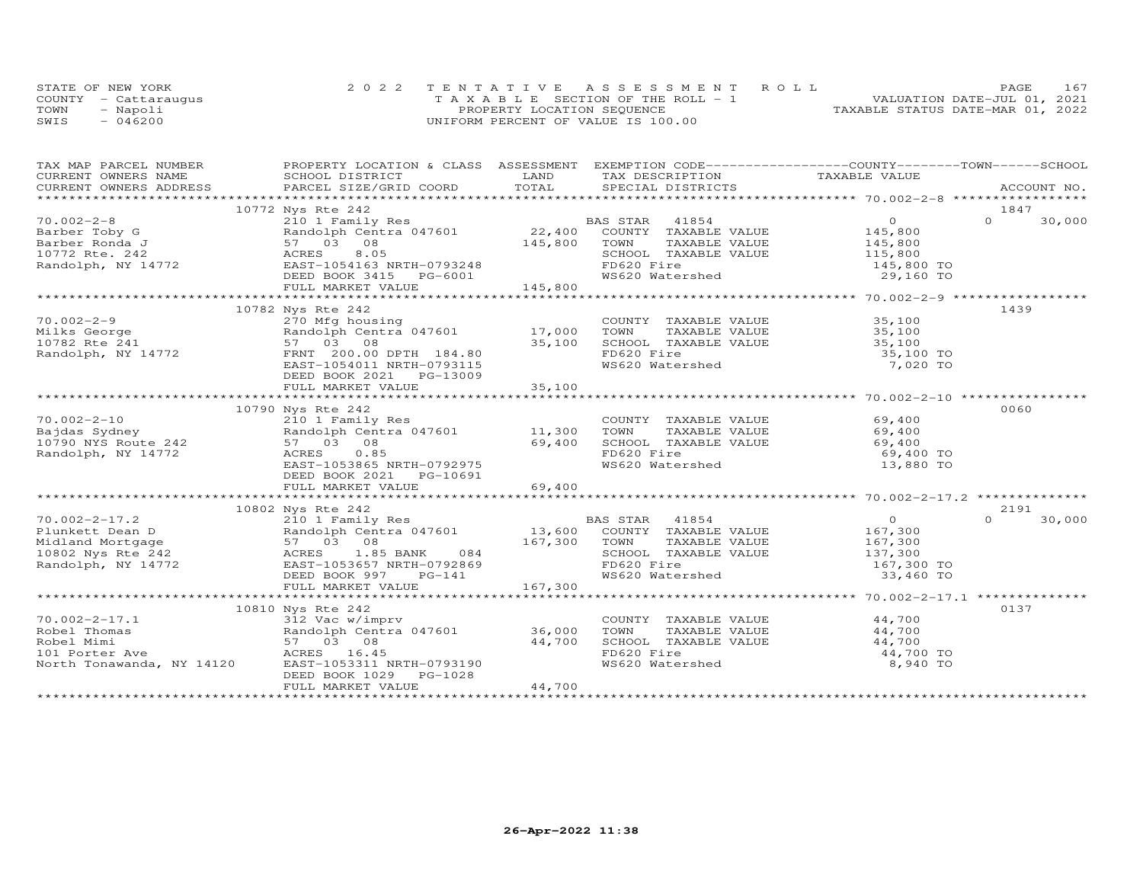|      | STATE OF NEW YORK    | 2022 TENTATIVE ASSESSMENT ROLL        | 167<br><b>PAGE</b>               |
|------|----------------------|---------------------------------------|----------------------------------|
|      | COUNTY - Cattaraugus | T A X A B L E SECTION OF THE ROLL - 1 | VALUATION DATE-JUL 01, 2021      |
| TOWN | - Napoli             | PROPERTY LOCATION SEQUENCE            | TAXABLE STATUS DATE-MAR 01, 2022 |
| SWIS | $-046200$            | UNIFORM PERCENT OF VALUE IS 100.00    |                                  |

| TAX MAP PARCEL NUMBER | PROPERTY LOCATION & CLASS ASSESSMENT EXEMPTION CODE-----------------COUNTY-------TOWN------SCHOOL                                                                                                                                                                                                                                                                    |        |                                                                                                                  |                                                |                                                     |          |        |
|-----------------------|----------------------------------------------------------------------------------------------------------------------------------------------------------------------------------------------------------------------------------------------------------------------------------------------------------------------------------------------------------------------|--------|------------------------------------------------------------------------------------------------------------------|------------------------------------------------|-----------------------------------------------------|----------|--------|
|                       |                                                                                                                                                                                                                                                                                                                                                                      |        |                                                                                                                  |                                                |                                                     |          |        |
|                       |                                                                                                                                                                                                                                                                                                                                                                      |        |                                                                                                                  |                                                |                                                     |          |        |
|                       |                                                                                                                                                                                                                                                                                                                                                                      |        |                                                                                                                  |                                                |                                                     |          |        |
|                       | 10772 Nys Rte 242                                                                                                                                                                                                                                                                                                                                                    |        |                                                                                                                  |                                                |                                                     | 1847     |        |
|                       |                                                                                                                                                                                                                                                                                                                                                                      |        |                                                                                                                  |                                                |                                                     |          | 30,000 |
|                       |                                                                                                                                                                                                                                                                                                                                                                      |        |                                                                                                                  |                                                |                                                     |          |        |
|                       |                                                                                                                                                                                                                                                                                                                                                                      |        |                                                                                                                  |                                                |                                                     |          |        |
|                       |                                                                                                                                                                                                                                                                                                                                                                      |        |                                                                                                                  |                                                |                                                     |          |        |
|                       |                                                                                                                                                                                                                                                                                                                                                                      |        |                                                                                                                  |                                                |                                                     |          |        |
|                       |                                                                                                                                                                                                                                                                                                                                                                      |        |                                                                                                                  |                                                |                                                     |          |        |
|                       |                                                                                                                                                                                                                                                                                                                                                                      |        |                                                                                                                  |                                                |                                                     |          |        |
|                       | $\begin{array}{cccccccc} 70.002-2-8 & & & 10772 & \text{Ny St } = 242 & & & 10772 & \text{Ny St } = 242 & & & 10772 & \text{Ny St } = 242 & & & 154 & \text{Ny St } = 242 & & & 154 & \text{Ny St } = 242 & & & 154 & \text{Ny St } = 242 & & & 154 & \text{Ny St } = 242 & & & 154 & \text{Ny St } = 242 & & & 154 & \text{Ny St } = 242 & & & 154 & \text{Ny St }$ |        |                                                                                                                  |                                                |                                                     |          |        |
|                       | 10782 Nys Rte 242                                                                                                                                                                                                                                                                                                                                                    |        |                                                                                                                  |                                                |                                                     | 1439     |        |
| $70.002 - 2 - 9$      |                                                                                                                                                                                                                                                                                                                                                                      |        | COUNTY TAXABLE VALUE 35,100                                                                                      |                                                |                                                     |          |        |
|                       |                                                                                                                                                                                                                                                                                                                                                                      |        | TOWN TAXABLE VALUE 35,100<br>SCHOOL TAXABLE VALUE 35,100                                                         |                                                |                                                     |          |        |
|                       |                                                                                                                                                                                                                                                                                                                                                                      | 35,100 |                                                                                                                  |                                                |                                                     |          |        |
|                       | Milks George<br>10782 Rte 241 57 03 08<br>Randolph, NY 14772 FRNT 200.00<br>FRNT 1054011 NPTH-0793115                                                                                                                                                                                                                                                                |        | FD620 Fire                                                                                                       |                                                | 35,100 TO<br>7,020 TO                               |          |        |
|                       | EAST-1054011 NRTH-0793115                                                                                                                                                                                                                                                                                                                                            |        | WS620 Watershed                                                                                                  |                                                |                                                     |          |        |
|                       | DEED BOOK 2021    PG-13009                                                                                                                                                                                                                                                                                                                                           |        |                                                                                                                  |                                                |                                                     |          |        |
|                       |                                                                                                                                                                                                                                                                                                                                                                      |        |                                                                                                                  |                                                |                                                     |          |        |
|                       |                                                                                                                                                                                                                                                                                                                                                                      |        |                                                                                                                  |                                                |                                                     |          |        |
|                       | 10790 Nys Rte 242<br>10.002-2-10<br>Bajdas Sydney<br>10790 NYS Route 242<br>Randolph, NY 14772<br>Randolph, NY 14772<br>210 1 Family Res<br>210 1 Family Res<br>210 1 Family Res<br>210 1 Family Res<br>210 1 Family Res<br>210 1 Family Res<br>210 1 Family Res<br>210 1 F                                                                                          |        |                                                                                                                  |                                                |                                                     | 0060     |        |
|                       |                                                                                                                                                                                                                                                                                                                                                                      |        |                                                                                                                  |                                                |                                                     |          |        |
|                       |                                                                                                                                                                                                                                                                                                                                                                      |        |                                                                                                                  |                                                |                                                     |          |        |
|                       |                                                                                                                                                                                                                                                                                                                                                                      |        | COUNTY TAXABLE VALUE 69,400<br>TOWN TAXABLE VALUE 69,400<br>SCHOOL TAXABLE VALUE 69,400<br>FR620 Fire 100 69,400 |                                                |                                                     |          |        |
|                       | 57 03 08<br>EAST-1053865 NRTH-0792975<br>EAST-1053865 NRTH-0792975                                                                                                                                                                                                                                                                                                   |        | FD620 Fire                                                                                                       |                                                | 69,400 TO                                           |          |        |
|                       |                                                                                                                                                                                                                                                                                                                                                                      |        | WS620 Watershed                                                                                                  |                                                | 13,880 TO                                           |          |        |
|                       | DEED BOOK 2021    PG-10691                                                                                                                                                                                                                                                                                                                                           |        |                                                                                                                  |                                                |                                                     |          |        |
|                       | FULL MARKET VALUE                                                                                                                                                                                                                                                                                                                                                    | 69,400 |                                                                                                                  |                                                |                                                     |          |        |
|                       |                                                                                                                                                                                                                                                                                                                                                                      |        |                                                                                                                  |                                                |                                                     |          |        |
|                       | 10802 Nys Rte 242                                                                                                                                                                                                                                                                                                                                                    |        |                                                                                                                  |                                                |                                                     | 2191     |        |
|                       |                                                                                                                                                                                                                                                                                                                                                                      |        |                                                                                                                  |                                                | $\begin{smallmatrix}&&0\0&167,300\end{smallmatrix}$ | $\Omega$ | 30,000 |
|                       |                                                                                                                                                                                                                                                                                                                                                                      |        |                                                                                                                  |                                                |                                                     |          |        |
|                       |                                                                                                                                                                                                                                                                                                                                                                      |        |                                                                                                                  |                                                |                                                     |          |        |
|                       |                                                                                                                                                                                                                                                                                                                                                                      |        |                                                                                                                  | TAXABLE VALUE 167,300<br>TAXABLE VALUE 137,300 |                                                     |          |        |
|                       |                                                                                                                                                                                                                                                                                                                                                                      |        |                                                                                                                  |                                                |                                                     |          |        |
|                       | 10.002-2-17.2<br>Plunkett Dean D<br>Midland Mortgage 57 03 08<br>Randolph Centra 047601 13,600 COUNTY TAXABLE VALUE<br>Midland Mortgage 57 03 08<br>Randolph, NY 14772 AGRES 1.85 BANK 084<br>Randolph, NY 14772 EAST-1053657 NRTH-0792869                                                                                                                           |        | SCHOOL TAXABLE VALUE 137,300<br>FD620 Fire 167,300 TO<br>WS620 Watershed 33,460 TO                               |                                                |                                                     |          |        |
|                       |                                                                                                                                                                                                                                                                                                                                                                      |        |                                                                                                                  |                                                |                                                     |          |        |
|                       |                                                                                                                                                                                                                                                                                                                                                                      |        |                                                                                                                  |                                                |                                                     |          |        |
|                       | 10810 Nys Rte 242                                                                                                                                                                                                                                                                                                                                                    |        |                                                                                                                  |                                                |                                                     | 0137     |        |
|                       |                                                                                                                                                                                                                                                                                                                                                                      |        | COUNTY TAXABLE VALUE 44,700<br>TOWN TAXABLE VALUE 44,700                                                         |                                                |                                                     |          |        |
|                       |                                                                                                                                                                                                                                                                                                                                                                      |        |                                                                                                                  |                                                |                                                     |          |        |
|                       |                                                                                                                                                                                                                                                                                                                                                                      |        | SCHOOL TAXABLE VALUE<br>FD620 Fire 44,700 TD620 Fire 49,700 TD620 Fire                                           |                                                |                                                     |          |        |
|                       |                                                                                                                                                                                                                                                                                                                                                                      |        |                                                                                                                  |                                                |                                                     |          |        |
|                       | 70.002-2-17.1<br>Robel Thomas<br>Robel Mimi<br>Robel Mimi<br>S7 03 08<br>101 Porter Ave Rorth Tonawanda, NY 14120<br>Robel Mimi<br>S7 03 08<br>ACRES 16.45<br>North Tonawanda, NY 14120<br>EAST-1053311 NRTH-0793190                                                                                                                                                 |        | WS620 Watershed                                                                                                  |                                                | 8,940 TO                                            |          |        |
|                       | DEED BOOK 1029 PG-1028                                                                                                                                                                                                                                                                                                                                               |        |                                                                                                                  |                                                |                                                     |          |        |
|                       | FULL MARKET VALUE                                                                                                                                                                                                                                                                                                                                                    | 44,700 |                                                                                                                  |                                                |                                                     |          |        |
|                       |                                                                                                                                                                                                                                                                                                                                                                      |        |                                                                                                                  |                                                |                                                     |          |        |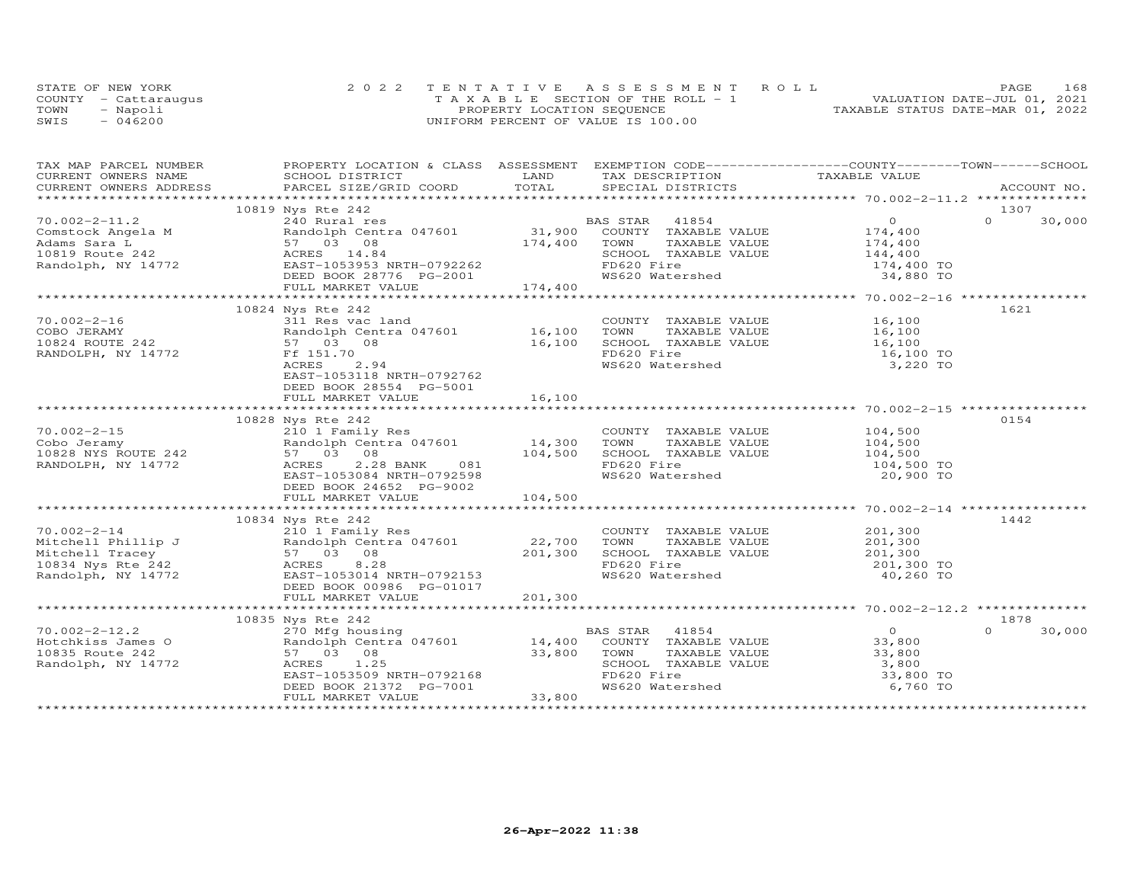|      | STATE OF NEW YORK    | 2022 TENTATIVE ASSESSMENT ROLL        | 168<br>PAGE                      |
|------|----------------------|---------------------------------------|----------------------------------|
|      | COUNTY - Cattaraugus | T A X A B L E SECTION OF THE ROLL - 1 | VALUATION DATE-JUL 01, 2021      |
| TOWN | - Napoli             | PROPERTY LOCATION SEQUENCE            | TAXABLE STATUS DATE-MAR 01, 2022 |
| SWIS | $-046200$            | UNIFORM PERCENT OF VALUE IS 100.00    |                                  |

| TAX MAP PARCEL NUMBER | PROPERTY LOCATION & CLASS ASSESSMENT EXEMPTION CODE-----------------COUNTY-------TOWN------SCHOOL                                                                                                                                                   |         |                                                                                                                          |                         |                    |
|-----------------------|-----------------------------------------------------------------------------------------------------------------------------------------------------------------------------------------------------------------------------------------------------|---------|--------------------------------------------------------------------------------------------------------------------------|-------------------------|--------------------|
|                       |                                                                                                                                                                                                                                                     |         |                                                                                                                          |                         |                    |
|                       |                                                                                                                                                                                                                                                     |         |                                                                                                                          |                         |                    |
|                       |                                                                                                                                                                                                                                                     |         |                                                                                                                          |                         | 1307               |
|                       |                                                                                                                                                                                                                                                     |         |                                                                                                                          |                         | $\Omega$<br>30,000 |
|                       |                                                                                                                                                                                                                                                     |         |                                                                                                                          |                         |                    |
|                       |                                                                                                                                                                                                                                                     |         |                                                                                                                          |                         |                    |
|                       |                                                                                                                                                                                                                                                     |         |                                                                                                                          |                         |                    |
|                       |                                                                                                                                                                                                                                                     |         |                                                                                                                          |                         |                    |
|                       |                                                                                                                                                                                                                                                     |         |                                                                                                                          |                         |                    |
|                       | FULL MARKET VALUE                                                                                                                                                                                                                                   | 174,400 |                                                                                                                          |                         |                    |
|                       |                                                                                                                                                                                                                                                     |         |                                                                                                                          |                         |                    |
|                       | 10824 Nys Rte 242                                                                                                                                                                                                                                   |         |                                                                                                                          |                         | 1621               |
|                       | VU.002-2-16 311 Res vac land COUNT<br>COBO JERAMY Randolph Centra 047601 16,100 TOWN<br>10824 ROUTE 242 57 03 08 16,100 SCHOO<br>RANDOLPH, NY 14772 Ff 151.70 FD620                                                                                 |         | COUNTY TAXABLE VALUE 16,100<br>TOWN TAXABLE VALUE 16,100                                                                 |                         |                    |
|                       |                                                                                                                                                                                                                                                     |         |                                                                                                                          |                         |                    |
|                       |                                                                                                                                                                                                                                                     |         | SCHOOL TAXABLE VALUE<br>FD620 Fire<br>WS620 Watershed                                                                    | 16,100<br>16,100 TO     |                    |
|                       |                                                                                                                                                                                                                                                     |         |                                                                                                                          |                         |                    |
|                       | ACRES<br>2.94                                                                                                                                                                                                                                       |         |                                                                                                                          | 3,220 TO                |                    |
|                       | EAST-1053118 NRTH-0792762                                                                                                                                                                                                                           |         |                                                                                                                          |                         |                    |
|                       | DEED BOOK 28554 PG-5001                                                                                                                                                                                                                             |         |                                                                                                                          |                         |                    |
|                       | FULL MARKET VALUE                                                                                                                                                                                                                                   | 16,100  |                                                                                                                          |                         |                    |
|                       |                                                                                                                                                                                                                                                     |         |                                                                                                                          |                         |                    |
|                       | 10828 Nys Rte 242                                                                                                                                                                                                                                   |         |                                                                                                                          |                         | 0154               |
|                       | 210 1 Family Res                                                                                                                                                                                                                                    |         |                                                                                                                          |                         |                    |
|                       |                                                                                                                                                                                                                                                     |         |                                                                                                                          |                         |                    |
|                       | 70.002-2-15<br>Cobo Jeramy Randolph Centra 047601 14,300 TOWN<br>10828 NYS ROUTE 242 57 03 08 104,500 SCHOO<br>RANDOLPH, NY 14772 ACRES 2.28 BANK 081 FD620                                                                                         |         | COUNTY TAXABLE VALUE $104,500$<br>TOWN TAXABLE VALUE $104,500$<br>SCHOOL TAXABLE VALUE $104,500$<br>FD620 Fire $104,500$ |                         |                    |
|                       |                                                                                                                                                                                                                                                     |         |                                                                                                                          |                         |                    |
|                       | $1047,500$<br>BANK 081<br>NRTH-0792598<br>EAST-1053084 NRTH-0792598                                                                                                                                                                                 |         | WS620 Watershed                                                                                                          | 20,900 TO               |                    |
|                       | DEED BOOK 24652 PG-9002                                                                                                                                                                                                                             |         |                                                                                                                          |                         |                    |
|                       |                                                                                                                                                                                                                                                     |         |                                                                                                                          |                         |                    |
|                       |                                                                                                                                                                                                                                                     |         |                                                                                                                          |                         |                    |
|                       | 10834 Nys Rte 242<br>210 1 Family Res                                                                                                                                                                                                               |         |                                                                                                                          |                         | 1442               |
|                       |                                                                                                                                                                                                                                                     |         | COUNTY TAXABLE VALUE 201,300                                                                                             |                         |                    |
|                       |                                                                                                                                                                                                                                                     |         | TOWN TAXABLE VALUE 201,300<br>SCHOOL TAXABLE VALUE 201,300                                                               |                         |                    |
|                       | 10.002-2-14 210 1 Family Res<br>Mitchell Phillip J Randolph Centra 047601 22,700 TOWN<br>Mitchell Tracey 57 03 08 201,300 SCHOOL<br>10834 Nys Rte 242 ACRES 8.28 FD620 Fi<br>Randolph, NY 14772 EAST-1053014 NRTH-0792153 WS620 Wa                  |         | FD620 Fire                                                                                                               |                         |                    |
|                       |                                                                                                                                                                                                                                                     |         | WS620 Watershed                                                                                                          | 201,300 TO<br>40,260 TO |                    |
|                       | DEED BOOK 00986 PG-01017                                                                                                                                                                                                                            |         |                                                                                                                          |                         |                    |
|                       | FULL MARKET VALUE                                                                                                                                                                                                                                   | 201,300 |                                                                                                                          |                         |                    |
|                       |                                                                                                                                                                                                                                                     |         |                                                                                                                          |                         |                    |
|                       |                                                                                                                                                                                                                                                     |         |                                                                                                                          |                         | 1878               |
|                       |                                                                                                                                                                                                                                                     |         |                                                                                                                          | $\overline{0}$          | 30,000<br>$\Omega$ |
|                       |                                                                                                                                                                                                                                                     |         |                                                                                                                          | 33,800                  |                    |
|                       | Account 242<br>Hotchkiss James O 270 Mfg housing<br>Hotchkiss James O 200 Mfg housing<br>270 Mfg housing<br>270 Mfg housing<br>270 Mfg housing<br>270 Mfg housing<br>270 Mfg housing<br>270 Mfg housing<br>270 Mfg housing<br>288 STAR 41854<br>288 |         |                                                                                                                          |                         |                    |
|                       |                                                                                                                                                                                                                                                     |         |                                                                                                                          |                         |                    |
|                       | 57 03 08 53,800 TOWN<br>ACRES 1.25 5CHOO<br>EAST-1053509 NRTH-0792168 FD620<br>DEED BOOK 21372 PG-7001 WS620                                                                                                                                        |         | TOWN TAXABLE VALUE 33,800<br>SCHOOL TAXABLE VALUE 3,800<br>FD620 Fire 33,800 TO<br>WS620 Watershed 6,760 TO              |                         |                    |
|                       |                                                                                                                                                                                                                                                     |         |                                                                                                                          |                         |                    |
|                       | FULL MARKET VALUE                                                                                                                                                                                                                                   | 33,800  |                                                                                                                          |                         |                    |
|                       |                                                                                                                                                                                                                                                     |         |                                                                                                                          |                         |                    |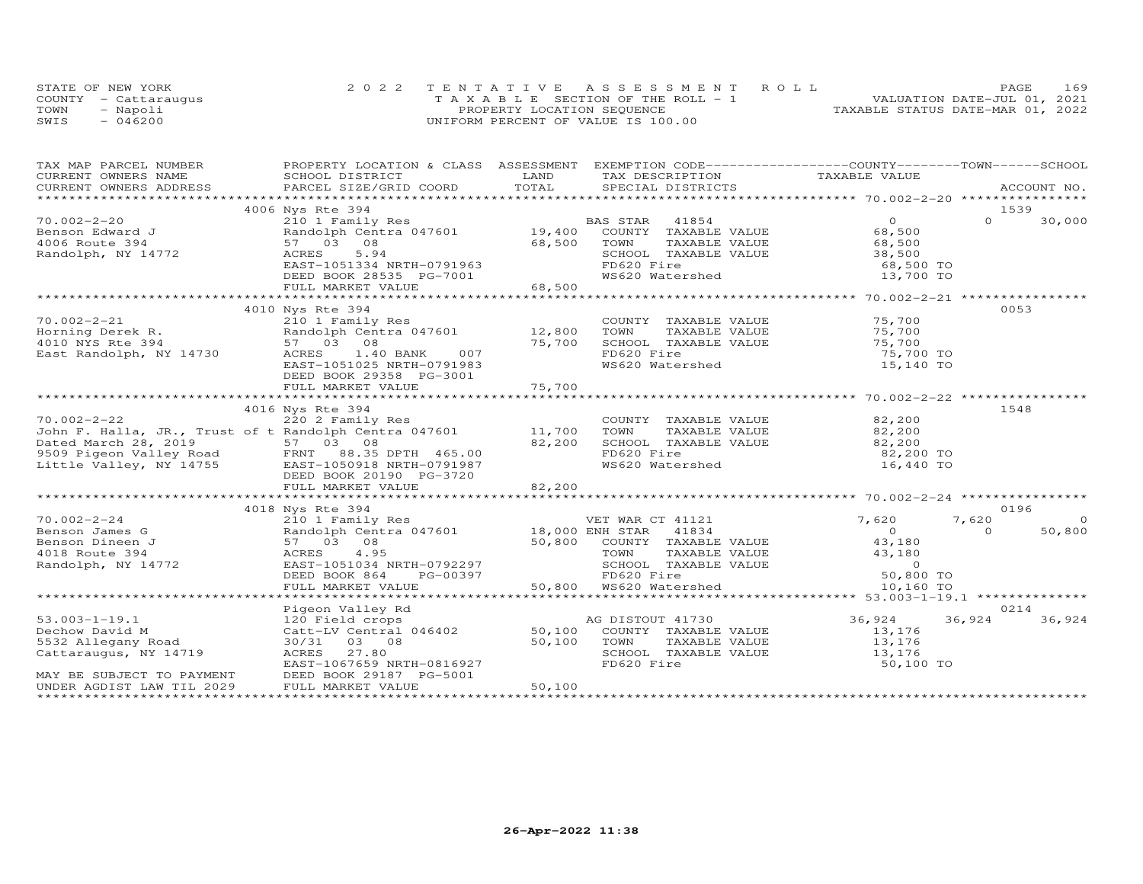| STATE OF NEW YORK    | 2022 TENTATIVE ASSESSMENT ROLL        | PAGE.                            | 169 |
|----------------------|---------------------------------------|----------------------------------|-----|
| COUNTY - Cattaraugus | T A X A B L E SECTION OF THE ROLL - 1 | VALUATION DATE-JUL 01, 2021      |     |
| TOWN<br>- Napoli     | PROPERTY LOCATION SEQUENCE            | TAXABLE STATUS DATE-MAR 01, 2022 |     |
| $-046200$<br>SWIS    | UNIFORM PERCENT OF VALUE IS 100.00    |                                  |     |

| TAX MAP PARCEL NUMBER                                  | PROPERTY LOCATION & CLASS ASSESSMENT EXEMPTION CODE----------------COUNTY-------TOWN------SCHOOL                                                                |               |                                                                 |                                                                                     |                    |
|--------------------------------------------------------|-----------------------------------------------------------------------------------------------------------------------------------------------------------------|---------------|-----------------------------------------------------------------|-------------------------------------------------------------------------------------|--------------------|
| CURRENT OWNERS NAME                                    | SCHOOL DISTRICT                                                                                                                                                 | LAND          | TAX DESCRIPTION                                                 | TAXABLE VALUE                                                                       |                    |
|                                                        |                                                                                                                                                                 |               |                                                                 |                                                                                     |                    |
|                                                        |                                                                                                                                                                 |               |                                                                 |                                                                                     |                    |
|                                                        | 4006 Nys Rte 394                                                                                                                                                |               |                                                                 |                                                                                     | 1539               |
| $70.002 - 2 - 20$                                      | 210 1 Family Res<br>Randolph Centra 047601 19,400 COUNTY TAXABLE VALUE                                                                                          |               |                                                                 | $\overline{O}$                                                                      | $\Omega$<br>30,000 |
|                                                        |                                                                                                                                                                 |               |                                                                 | 68,500                                                                              |                    |
| 70.002-2 L.<br>Benson Edward J                         | 57 03 08                                                                                                                                                        | 68,500        | TAXABLE VALUE<br>TOWN                                           | 68,500                                                                              |                    |
| Randolph, NY 14772                                     | ACRES<br>5.94                                                                                                                                                   |               |                                                                 |                                                                                     |                    |
|                                                        | EAST-1051334 NRTH-0791963                                                                                                                                       |               | SCHOOL TAXABLE VALUE 38,500<br>FD620 Fire 68,500 TO             |                                                                                     |                    |
|                                                        | DEED BOOK 28535 PG-7001                                                                                                                                         |               | WS620 Watershed                                                 | 13,700 TO                                                                           |                    |
|                                                        | FULL MARKET VALUE                                                                                                                                               | $7001$ 68,500 |                                                                 |                                                                                     |                    |
|                                                        |                                                                                                                                                                 |               |                                                                 |                                                                                     |                    |
|                                                        | 4010 Nys Rte 394                                                                                                                                                |               |                                                                 |                                                                                     | 0053               |
| $70.002 - 2 - 21$                                      |                                                                                                                                                                 |               | COUNTY TAXABLE VALUE 75,700                                     |                                                                                     |                    |
| Horning Derek R.                                       | 210 1 Family Res<br>Randolph Centra 047601     12,800<br>Ero I Family<br>Randolph Cent<br>57 03 08                                                              |               | TOWN<br>TAXABLE VALUE                                           | 75,700                                                                              |                    |
| 4010 NYS Rte 394                                       |                                                                                                                                                                 | 75,700        | SCHOOL TAXABLE VALUE 75,700                                     |                                                                                     |                    |
| East Randolph, NY 14730                                | 007<br>1.40 BANK<br>ACRES                                                                                                                                       |               | FD620 Fire                                                      | 75,700 TO                                                                           |                    |
|                                                        | EAST-1051025 NRTH-0791983                                                                                                                                       |               | WS620 Watershed                                                 | 15,140 TO                                                                           |                    |
|                                                        | DEED BOOK 29358 PG-3001                                                                                                                                         |               |                                                                 |                                                                                     |                    |
|                                                        | FULL MARKET VALUE                                                                                                                                               | 75,700        |                                                                 |                                                                                     |                    |
|                                                        |                                                                                                                                                                 |               |                                                                 |                                                                                     |                    |
|                                                        | 4016 Nys Rte 394                                                                                                                                                |               |                                                                 |                                                                                     | 1548               |
|                                                        |                                                                                                                                                                 |               |                                                                 | 82,200                                                                              |                    |
|                                                        | 70.002-2-22 220 2 Family Res COUNTY<br>John F. Halla, JR., Trust of t Randolph Centra 047601 11,700 TOWN                                                        |               | COUNTY TAXABLE VALUE<br>TOWN TAXABLE VALUE                      | 82,200                                                                              |                    |
|                                                        |                                                                                                                                                                 | 82,200        | SCHOOL TAXABLE VALUE 82,200                                     |                                                                                     |                    |
|                                                        |                                                                                                                                                                 |               | FD620 Fire                                                      | 82,200 TO                                                                           |                    |
|                                                        | Dated March 28, 2019 57 03 08<br>9509 Pigeon Valley Road FRNT 88.35 DPTH 465.00<br>Little Valley, NY 14755 EAST-1050918 NRTH-0791987<br>DEED BOOK 20190 PG-3720 |               | WS620 Watershed                                                 | 16,440 TO                                                                           |                    |
|                                                        | DEED BOOK 20190 PG-3720                                                                                                                                         |               |                                                                 |                                                                                     |                    |
|                                                        | FULL MARKET VALUE                                                                                                                                               | 82,200        |                                                                 |                                                                                     |                    |
|                                                        |                                                                                                                                                                 |               |                                                                 |                                                                                     |                    |
|                                                        | 4018 Nys Rte 394                                                                                                                                                |               |                                                                 |                                                                                     | 0196               |
| $70.002 - 2 - 24$                                      |                                                                                                                                                                 |               | VET WAR CT 41121                                                | 7,620                                                                               | 7,620<br>$\Omega$  |
| Benson James G                                         |                                                                                                                                                                 |               |                                                                 | $\overline{0}$                                                                      | $\Omega$<br>50,800 |
| Benson Dineen J                                        | 57 03 08                                                                                                                                                        |               |                                                                 |                                                                                     |                    |
| 4018 Route 394                                         | ACRES 4.95                                                                                                                                                      |               | 50,800 COUNTY TAXABLE VALUE<br>TOWN       TAXABLE VALUE<br>TOWN | 43,180<br>43,180                                                                    |                    |
| Randolph, NY 14772                                     |                                                                                                                                                                 |               | SCHOOL TAXABLE VALUE                                            | TAXABLE VALUE<br>TAXABLE VALUE 179 (1994)<br>TAXABLE VALUE 179 (1995)<br>179 (1995) |                    |
|                                                        | EAST-1051034 NRTH-0792297<br>DEED BOOK 864 PG-00397                                                                                                             |               |                                                                 |                                                                                     |                    |
|                                                        |                                                                                                                                                                 |               |                                                                 |                                                                                     |                    |
|                                                        |                                                                                                                                                                 |               |                                                                 |                                                                                     |                    |
|                                                        |                                                                                                                                                                 |               |                                                                 |                                                                                     | 0214               |
| $53.003 - 1 - 19.1$                                    | Pigeon Valley Rd                                                                                                                                                |               |                                                                 | 36,924                                                                              | 36,924<br>36,924   |
| Dechow David M                                         |                                                                                                                                                                 |               | AG DISTOUT 41730<br>COUNTY TAXABLE VALUE                        |                                                                                     |                    |
| 5532 Allegany Road                                     | 30/31 03 08                                                                                                                                                     | 50,100        |                                                                 | 13,176                                                                              |                    |
| 5532 Allegany Road<br>Cattaraugus, NY 14719            | ACRES 27.80                                                                                                                                                     |               | TOWN TAXABLE VALUE<br>SCHOOL TAXABLE VALUE                      | 13,176<br>13,176                                                                    |                    |
|                                                        | EAST-1067659 NRTH-0816927                                                                                                                                       |               | FD620 Fire                                                      | 50,100 TO                                                                           |                    |
|                                                        |                                                                                                                                                                 |               |                                                                 |                                                                                     |                    |
| MAY BE SUBJECT TO PAYMENT<br>UNDER AGDIST LAW TIL 2029 | DEED BOOK 29187 PG-5001<br>FULL MARKET VALUE                                                                                                                    | 50,100        |                                                                 |                                                                                     |                    |
|                                                        |                                                                                                                                                                 |               |                                                                 |                                                                                     |                    |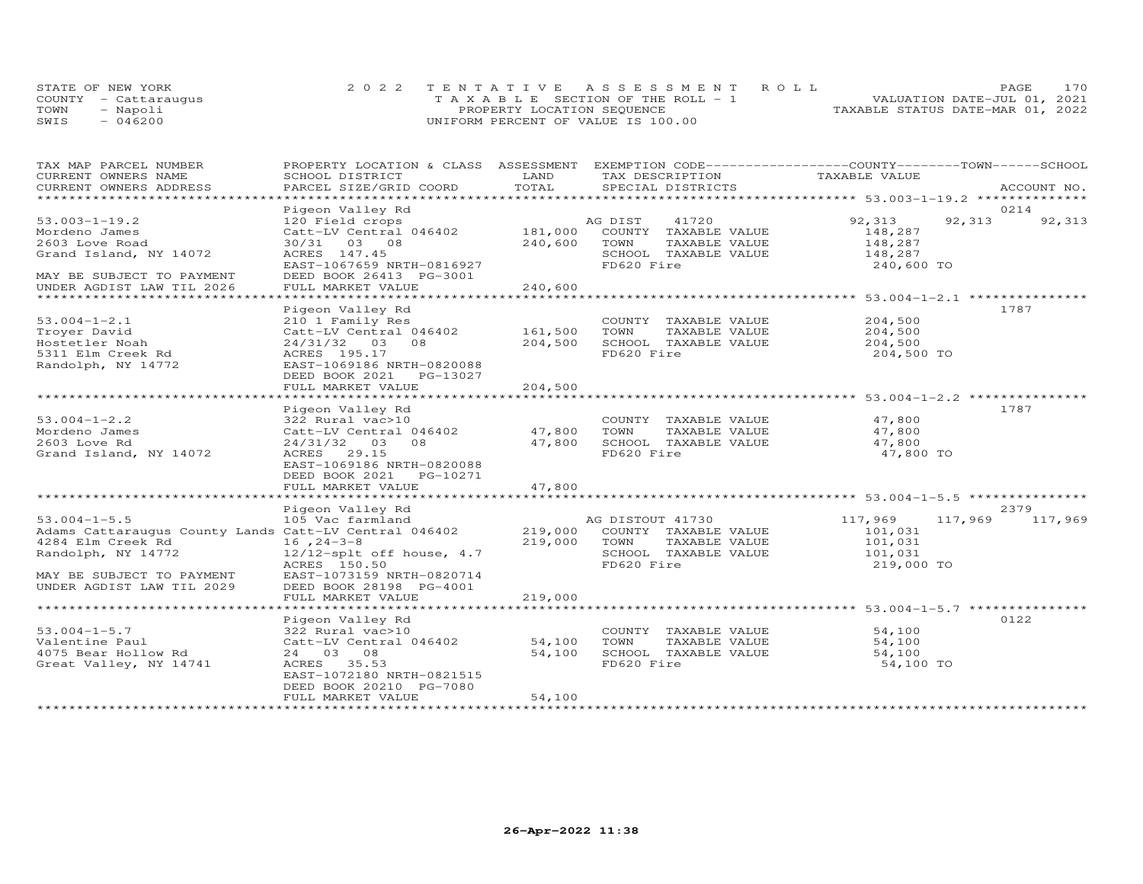|      | STATE OF NEW YORK    | 2022 TENTATIVE ASSESSMENT ROLL     | PAGE.                            | 170 |
|------|----------------------|------------------------------------|----------------------------------|-----|
|      | COUNTY - Cattaraugus | TAXABLE SECTION OF THE ROLL - 1    | VALUATION DATE-JUL 01, 2021      |     |
| TOWN | - Napoli             | PROPERTY LOCATION SEQUENCE         | TAXABLE STATUS DATE-MAR 01, 2022 |     |
| SWIS | $-046200$            | UNIFORM PERCENT OF VALUE IS 100.00 |                                  |     |

| TAX MAP PARCEL NUMBER                                         | PROPERTY LOCATION & CLASS ASSESSMENT EXEMPTION CODE----------------COUNTY-------TOWN------SCHOOL |         |                                       |                    |             |
|---------------------------------------------------------------|--------------------------------------------------------------------------------------------------|---------|---------------------------------------|--------------------|-------------|
| CURRENT OWNERS NAME                                           | SCHOOL DISTRICT                                                                                  | LAND    | TAX DESCRIPTION                       | TAXABLE VALUE      |             |
| CURRENT OWNERS ADDRESS                                        | PARCEL SIZE/GRID COORD                                                                           | TOTAL   | SPECIAL DISTRICTS                     |                    | ACCOUNT NO. |
|                                                               |                                                                                                  |         |                                       |                    |             |
|                                                               | Pigeon Valley Rd                                                                                 |         |                                       |                    | 0214        |
| $53.003 - 1 - 19.2$                                           | 120 Field crops                                                                                  |         | AG DIST<br>41720                      | 92,313<br>92, 313  | 92,313      |
| Mordeno James                                                 | Catt-LV Central 046402                                                                           | 181,000 | COUNTY TAXABLE VALUE                  | 148,287            |             |
| 2603 Love Road                                                | 30/31 03 08                                                                                      | 240,600 | TOWN<br>TAXABLE VALUE                 | 148,287            |             |
| Grand Island, NY 14072                                        | ACRES 147.45                                                                                     |         | SCHOOL TAXABLE VALUE                  | 148,287            |             |
|                                                               | EAST-1067659 NRTH-0816927                                                                        |         | FD620 Fire                            | 240,600 TO         |             |
| MAY BE SUBJECT TO PAYMENT                                     | DEED BOOK 26413 PG-3001                                                                          |         |                                       |                    |             |
| UNDER AGDIST LAW TIL 2026                                     | FULL MARKET VALUE                                                                                | 240,600 |                                       |                    |             |
|                                                               |                                                                                                  |         |                                       |                    |             |
|                                                               | Pigeon Valley Rd                                                                                 |         |                                       |                    | 1787        |
| $53.004 - 1 - 2.1$                                            | 210 1 Family Res                                                                                 |         | COUNTY TAXABLE VALUE                  | 204,500            |             |
| Troyer David                                                  | Catt-LV Central 046402                                                                           | 161,500 | TOWN<br>TAXABLE VALUE                 | 204,500            |             |
| Hostetler Noah                                                | 24/31/32 03 08                                                                                   | 204,500 | SCHOOL TAXABLE VALUE                  | 204,500            |             |
| 5311 Elm Creek Rd                                             | ACRES 195.17                                                                                     |         | FD620 Fire                            | 204,500 TO         |             |
| Randolph, NY 14772                                            | EAST-1069186 NRTH-0820088                                                                        |         |                                       |                    |             |
|                                                               | DEED BOOK 2021 PG-13027                                                                          |         |                                       |                    |             |
|                                                               | FULL MARKET VALUE                                                                                | 204,500 |                                       |                    |             |
|                                                               |                                                                                                  |         |                                       |                    |             |
|                                                               | Pigeon Valley Rd                                                                                 |         |                                       |                    | 1787        |
| $53.004 - 1 - 2.2$                                            | 322 Rural vac>10                                                                                 |         | COUNTY TAXABLE VALUE                  | 47,800             |             |
| Mordeno James                                                 | Catt-LV Central 046402                                                                           | 47,800  | TOWN<br>TAXABLE VALUE                 | 47,800             |             |
| 2603 Love Rd                                                  | $24/31/32$ 03<br>08                                                                              | 47,800  | SCHOOL TAXABLE VALUE                  | 47,800             |             |
| Grand Island, NY 14072                                        | ACRES 29.15                                                                                      |         | FD620 Fire                            | 47,800 TO          |             |
|                                                               | EAST-1069186 NRTH-0820088                                                                        |         |                                       |                    |             |
|                                                               | DEED BOOK 2021    PG-10271                                                                       |         |                                       |                    |             |
|                                                               | FULL MARKET VALUE                                                                                | 47,800  |                                       |                    |             |
|                                                               |                                                                                                  |         |                                       |                    |             |
|                                                               | Pigeon Valley Rd                                                                                 |         |                                       |                    | 2379        |
| $53.004 - 1 - 5.5$                                            | 105 Vac farmland                                                                                 |         | AG DISTOUT 41730                      | 117,969<br>117,969 | 117,969     |
| Adams Cattaraugus County Lands Catt-LV Central 046402 219,000 |                                                                                                  |         | COUNTY TAXABLE VALUE                  | 101,031            |             |
| 4284 Elm Creek Rd                                             | $16, 24-3-8$                                                                                     | 219,000 | TOWN<br>TAXABLE VALUE                 | 101,031            |             |
| Randolph, NY 14772                                            | $12/12$ -splt off house, 4.7                                                                     |         | SCHOOL TAXABLE VALUE                  | 101,031            |             |
|                                                               | ACRES 150.50                                                                                     |         | FD620 Fire                            | 219,000 TO         |             |
| MAY BE SUBJECT TO PAYMENT                                     | EAST-1073159 NRTH-0820714                                                                        |         |                                       |                    |             |
| UNDER AGDIST LAW TIL 2029                                     | DEED BOOK 28198 PG-4001                                                                          |         |                                       |                    |             |
|                                                               | FULL MARKET VALUE                                                                                | 219,000 |                                       |                    |             |
|                                                               |                                                                                                  |         |                                       |                    |             |
|                                                               | Pigeon Valley Rd                                                                                 |         |                                       |                    | 0122        |
| $53.004 - 1 - 5.7$                                            | 322 Rural vac>10                                                                                 | 54,100  | COUNTY TAXABLE VALUE<br>TOWN          | 54,100             |             |
| Valentine Paul<br>4075 Bear Hollow Rd                         | Catt-LV Central 046402                                                                           | 54,100  | TAXABLE VALUE<br>SCHOOL TAXABLE VALUE | 54,100             |             |
|                                                               | 24 03 08                                                                                         |         | FD620 Fire                            | 54,100             |             |
| Great Valley, NY 14741                                        | ACRES 35.53                                                                                      |         |                                       | 54,100 TO          |             |
|                                                               | EAST-1072180 NRTH-0821515<br>DEED BOOK 20210 PG-7080                                             |         |                                       |                    |             |
|                                                               | FULL MARKET VALUE                                                                                | 54,100  |                                       |                    |             |
|                                                               |                                                                                                  |         |                                       |                    |             |
|                                                               |                                                                                                  |         |                                       |                    |             |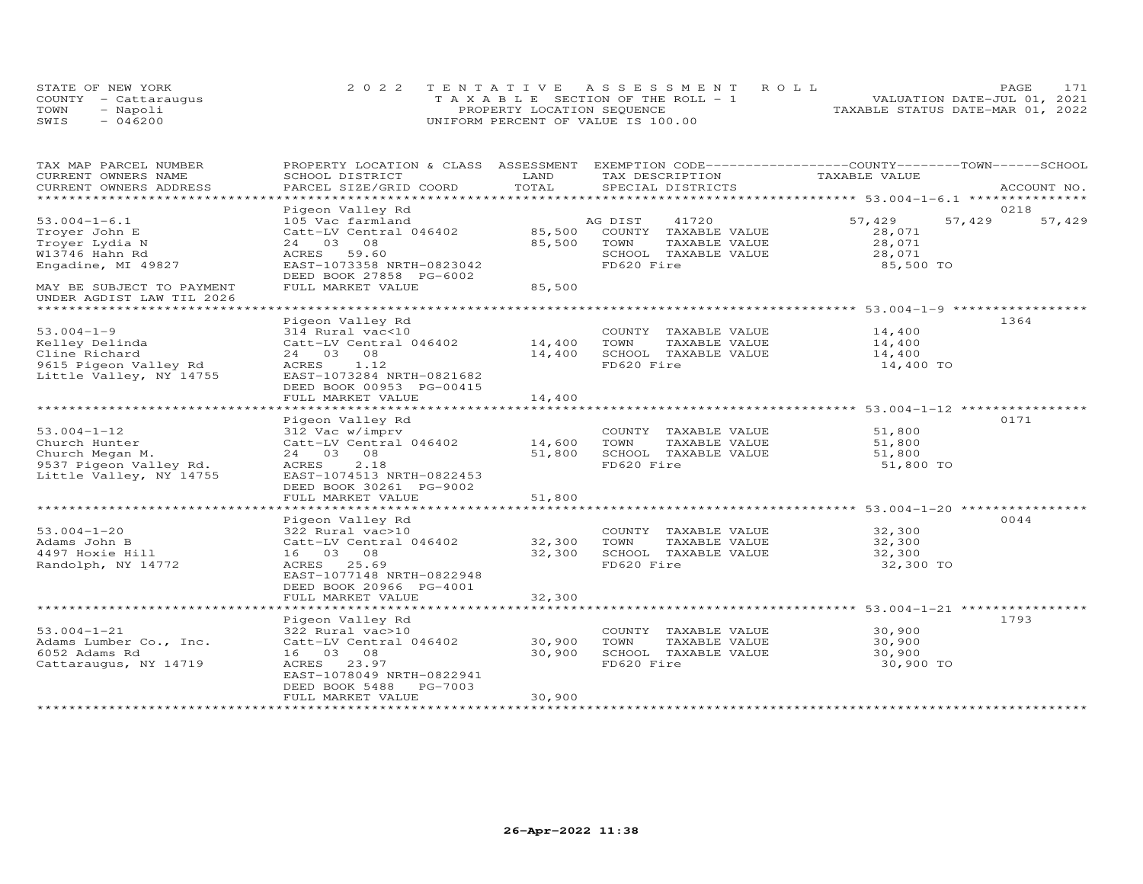| STATE OF NEW YORK    | 2022 TENTATIVE ASSESSMENT ROLL        | 171<br>PAGE.                     |
|----------------------|---------------------------------------|----------------------------------|
| COUNTY - Cattaraugus | T A X A B L E SECTION OF THE ROLL - 1 | VALUATION DATE-JUL 01, 2021      |
| TOWN<br>- Napoli     | PROPERTY LOCATION SEQUENCE            | TAXABLE STATUS DATE-MAR 01, 2022 |
| $-046200$<br>SWIS    | UNIFORM PERCENT OF VALUE IS 100.00    |                                  |

| TOTAL<br>CURRENT OWNERS ADDRESS<br>PARCEL SIZE/GRID COORD<br>SPECIAL DISTRICTS<br>ACCOUNT NO.<br>********************<br>Pigeon Valley Rd<br>0218<br>57,429<br>57,429<br>$53.004 - 1 - 6.1$<br>105 Vac farmland<br>AG DIST<br>41720<br>57,429<br>85,500<br>Troyer John E<br>Catt-LV Central 046402<br>COUNTY TAXABLE VALUE<br>28,071<br>Troyer Lydia N<br>24 03 08<br>85,500<br>TOWN<br>TAXABLE VALUE<br>28,071<br>W13746 Hahn Rd<br>ACRES 59.60<br>SCHOOL TAXABLE VALUE<br>28,071<br>FD620 Fire<br>Engadine, MI 49827<br>EAST-1073358 NRTH-0823042<br>85,500 TO<br>DEED BOOK 27858 PG-6002<br>FULL MARKET VALUE<br>85,500<br>MAY BE SUBJECT TO PAYMENT<br>UNDER AGDIST LAW TIL 2026<br>Pigeon Valley Rd<br>1364<br>$53.004 - 1 - 9$<br>314 Rural vac<10<br>14,400<br>COUNTY TAXABLE VALUE<br>Kelley Delinda<br>Catt-LV Central 046402<br>14,400<br>TOWN<br>TAXABLE VALUE<br>14,400<br>14,400<br>Cline Richard<br>24 03 08<br>SCHOOL TAXABLE VALUE<br>14,400<br>ACRES 1.12<br>FD620 Fire<br>9615 Pigeon Valley Rd<br>14,400 TO<br>Little Valley, NY 14755<br>EAST-1073284 NRTH-0821682<br>DEED BOOK 00953 PG-00415<br>14,400<br>FULL MARKET VALUE<br>Pigeon Valley Rd<br>0171<br>$53.004 - 1 - 12$<br>312 Vac w/imprv<br>COUNTY TAXABLE VALUE<br>51,800<br>Church Hunter<br>Catt-LV Central 046402<br>14,600<br>TOWN<br>TAXABLE VALUE<br>51,800<br>Church Megan M.<br>24 03 08<br>51,800<br>SCHOOL TAXABLE VALUE<br>51,800<br>9537 Pigeon Valley Rd.<br>2.18<br>FD620 Fire<br>ACRES<br>51,800 TO<br>Little Valley, NY 14755<br>EAST-1074513 NRTH-0822453<br>DEED BOOK 30261 PG-9002<br>51,800<br>FULL MARKET VALUE<br>***********************************53.004-1-20 *****************<br>0044<br>Pigeon Valley Rd<br>$53.004 - 1 - 20$<br>322 Rural vac>10<br>32,300<br>COUNTY TAXABLE VALUE<br>32,300<br>Catt-LV Central 046402<br>TOWN<br>TAXABLE VALUE<br>32,300<br>Adams John B<br>32,300<br>SCHOOL TAXABLE VALUE<br>4497 Hoxie Hill<br>16 03 08<br>32,300<br>FD620 Fire<br>Randolph, NY 14772<br>ACRES 25.69<br>32,300 TO<br>EAST-1077148 NRTH-0822948<br>DEED BOOK 20966 PG-4001<br>32,300<br>FULL MARKET VALUE<br>1793<br>Pigeon Valley Rd<br>$53.004 - 1 - 21$<br>322 Rural vac>10<br>COUNTY TAXABLE VALUE<br>30,900<br>Catt-LV Central 046402<br>30,900<br>Adams Lumber Co., Inc.<br>TOWN<br>TAXABLE VALUE<br>30,900<br>6052 Adams Rd<br>16 03 08<br>30,900<br>SCHOOL TAXABLE VALUE<br>30,900<br>Cattaraugus, NY 14719<br>ACRES 23.97<br>FD620 Fire<br>30,900 TO<br>EAST-1078049 NRTH-0822941<br>DEED BOOK 5488<br>PG-7003<br>30,900<br>FULL MARKET VALUE | TAX MAP PARCEL NUMBER<br>CURRENT OWNERS NAME | PROPERTY LOCATION & CLASS ASSESSMENT EXEMPTION CODE----------------COUNTY-------TOWN------SCHOOL<br>SCHOOL DISTRICT | LAND | TAX DESCRIPTION | TAXABLE VALUE |  |
|---------------------------------------------------------------------------------------------------------------------------------------------------------------------------------------------------------------------------------------------------------------------------------------------------------------------------------------------------------------------------------------------------------------------------------------------------------------------------------------------------------------------------------------------------------------------------------------------------------------------------------------------------------------------------------------------------------------------------------------------------------------------------------------------------------------------------------------------------------------------------------------------------------------------------------------------------------------------------------------------------------------------------------------------------------------------------------------------------------------------------------------------------------------------------------------------------------------------------------------------------------------------------------------------------------------------------------------------------------------------------------------------------------------------------------------------------------------------------------------------------------------------------------------------------------------------------------------------------------------------------------------------------------------------------------------------------------------------------------------------------------------------------------------------------------------------------------------------------------------------------------------------------------------------------------------------------------------------------------------------------------------------------------------------------------------------------------------------------------------------------------------------------------------------------------------------------------------------------------------------------------------------------------------------------------------------------------------------------------------------------------------------------------------------------------------------------------------------------------------------------------------------------------------------------------------------|----------------------------------------------|---------------------------------------------------------------------------------------------------------------------|------|-----------------|---------------|--|
|                                                                                                                                                                                                                                                                                                                                                                                                                                                                                                                                                                                                                                                                                                                                                                                                                                                                                                                                                                                                                                                                                                                                                                                                                                                                                                                                                                                                                                                                                                                                                                                                                                                                                                                                                                                                                                                                                                                                                                                                                                                                                                                                                                                                                                                                                                                                                                                                                                                                                                                                                                     |                                              |                                                                                                                     |      |                 |               |  |
|                                                                                                                                                                                                                                                                                                                                                                                                                                                                                                                                                                                                                                                                                                                                                                                                                                                                                                                                                                                                                                                                                                                                                                                                                                                                                                                                                                                                                                                                                                                                                                                                                                                                                                                                                                                                                                                                                                                                                                                                                                                                                                                                                                                                                                                                                                                                                                                                                                                                                                                                                                     |                                              |                                                                                                                     |      |                 |               |  |
|                                                                                                                                                                                                                                                                                                                                                                                                                                                                                                                                                                                                                                                                                                                                                                                                                                                                                                                                                                                                                                                                                                                                                                                                                                                                                                                                                                                                                                                                                                                                                                                                                                                                                                                                                                                                                                                                                                                                                                                                                                                                                                                                                                                                                                                                                                                                                                                                                                                                                                                                                                     |                                              |                                                                                                                     |      |                 |               |  |
|                                                                                                                                                                                                                                                                                                                                                                                                                                                                                                                                                                                                                                                                                                                                                                                                                                                                                                                                                                                                                                                                                                                                                                                                                                                                                                                                                                                                                                                                                                                                                                                                                                                                                                                                                                                                                                                                                                                                                                                                                                                                                                                                                                                                                                                                                                                                                                                                                                                                                                                                                                     |                                              |                                                                                                                     |      |                 |               |  |
|                                                                                                                                                                                                                                                                                                                                                                                                                                                                                                                                                                                                                                                                                                                                                                                                                                                                                                                                                                                                                                                                                                                                                                                                                                                                                                                                                                                                                                                                                                                                                                                                                                                                                                                                                                                                                                                                                                                                                                                                                                                                                                                                                                                                                                                                                                                                                                                                                                                                                                                                                                     |                                              |                                                                                                                     |      |                 |               |  |
|                                                                                                                                                                                                                                                                                                                                                                                                                                                                                                                                                                                                                                                                                                                                                                                                                                                                                                                                                                                                                                                                                                                                                                                                                                                                                                                                                                                                                                                                                                                                                                                                                                                                                                                                                                                                                                                                                                                                                                                                                                                                                                                                                                                                                                                                                                                                                                                                                                                                                                                                                                     |                                              |                                                                                                                     |      |                 |               |  |
|                                                                                                                                                                                                                                                                                                                                                                                                                                                                                                                                                                                                                                                                                                                                                                                                                                                                                                                                                                                                                                                                                                                                                                                                                                                                                                                                                                                                                                                                                                                                                                                                                                                                                                                                                                                                                                                                                                                                                                                                                                                                                                                                                                                                                                                                                                                                                                                                                                                                                                                                                                     |                                              |                                                                                                                     |      |                 |               |  |
|                                                                                                                                                                                                                                                                                                                                                                                                                                                                                                                                                                                                                                                                                                                                                                                                                                                                                                                                                                                                                                                                                                                                                                                                                                                                                                                                                                                                                                                                                                                                                                                                                                                                                                                                                                                                                                                                                                                                                                                                                                                                                                                                                                                                                                                                                                                                                                                                                                                                                                                                                                     |                                              |                                                                                                                     |      |                 |               |  |
|                                                                                                                                                                                                                                                                                                                                                                                                                                                                                                                                                                                                                                                                                                                                                                                                                                                                                                                                                                                                                                                                                                                                                                                                                                                                                                                                                                                                                                                                                                                                                                                                                                                                                                                                                                                                                                                                                                                                                                                                                                                                                                                                                                                                                                                                                                                                                                                                                                                                                                                                                                     |                                              |                                                                                                                     |      |                 |               |  |
|                                                                                                                                                                                                                                                                                                                                                                                                                                                                                                                                                                                                                                                                                                                                                                                                                                                                                                                                                                                                                                                                                                                                                                                                                                                                                                                                                                                                                                                                                                                                                                                                                                                                                                                                                                                                                                                                                                                                                                                                                                                                                                                                                                                                                                                                                                                                                                                                                                                                                                                                                                     |                                              |                                                                                                                     |      |                 |               |  |
|                                                                                                                                                                                                                                                                                                                                                                                                                                                                                                                                                                                                                                                                                                                                                                                                                                                                                                                                                                                                                                                                                                                                                                                                                                                                                                                                                                                                                                                                                                                                                                                                                                                                                                                                                                                                                                                                                                                                                                                                                                                                                                                                                                                                                                                                                                                                                                                                                                                                                                                                                                     |                                              |                                                                                                                     |      |                 |               |  |
|                                                                                                                                                                                                                                                                                                                                                                                                                                                                                                                                                                                                                                                                                                                                                                                                                                                                                                                                                                                                                                                                                                                                                                                                                                                                                                                                                                                                                                                                                                                                                                                                                                                                                                                                                                                                                                                                                                                                                                                                                                                                                                                                                                                                                                                                                                                                                                                                                                                                                                                                                                     |                                              |                                                                                                                     |      |                 |               |  |
|                                                                                                                                                                                                                                                                                                                                                                                                                                                                                                                                                                                                                                                                                                                                                                                                                                                                                                                                                                                                                                                                                                                                                                                                                                                                                                                                                                                                                                                                                                                                                                                                                                                                                                                                                                                                                                                                                                                                                                                                                                                                                                                                                                                                                                                                                                                                                                                                                                                                                                                                                                     |                                              |                                                                                                                     |      |                 |               |  |
|                                                                                                                                                                                                                                                                                                                                                                                                                                                                                                                                                                                                                                                                                                                                                                                                                                                                                                                                                                                                                                                                                                                                                                                                                                                                                                                                                                                                                                                                                                                                                                                                                                                                                                                                                                                                                                                                                                                                                                                                                                                                                                                                                                                                                                                                                                                                                                                                                                                                                                                                                                     |                                              |                                                                                                                     |      |                 |               |  |
|                                                                                                                                                                                                                                                                                                                                                                                                                                                                                                                                                                                                                                                                                                                                                                                                                                                                                                                                                                                                                                                                                                                                                                                                                                                                                                                                                                                                                                                                                                                                                                                                                                                                                                                                                                                                                                                                                                                                                                                                                                                                                                                                                                                                                                                                                                                                                                                                                                                                                                                                                                     |                                              |                                                                                                                     |      |                 |               |  |
|                                                                                                                                                                                                                                                                                                                                                                                                                                                                                                                                                                                                                                                                                                                                                                                                                                                                                                                                                                                                                                                                                                                                                                                                                                                                                                                                                                                                                                                                                                                                                                                                                                                                                                                                                                                                                                                                                                                                                                                                                                                                                                                                                                                                                                                                                                                                                                                                                                                                                                                                                                     |                                              |                                                                                                                     |      |                 |               |  |
|                                                                                                                                                                                                                                                                                                                                                                                                                                                                                                                                                                                                                                                                                                                                                                                                                                                                                                                                                                                                                                                                                                                                                                                                                                                                                                                                                                                                                                                                                                                                                                                                                                                                                                                                                                                                                                                                                                                                                                                                                                                                                                                                                                                                                                                                                                                                                                                                                                                                                                                                                                     |                                              |                                                                                                                     |      |                 |               |  |
|                                                                                                                                                                                                                                                                                                                                                                                                                                                                                                                                                                                                                                                                                                                                                                                                                                                                                                                                                                                                                                                                                                                                                                                                                                                                                                                                                                                                                                                                                                                                                                                                                                                                                                                                                                                                                                                                                                                                                                                                                                                                                                                                                                                                                                                                                                                                                                                                                                                                                                                                                                     |                                              |                                                                                                                     |      |                 |               |  |
|                                                                                                                                                                                                                                                                                                                                                                                                                                                                                                                                                                                                                                                                                                                                                                                                                                                                                                                                                                                                                                                                                                                                                                                                                                                                                                                                                                                                                                                                                                                                                                                                                                                                                                                                                                                                                                                                                                                                                                                                                                                                                                                                                                                                                                                                                                                                                                                                                                                                                                                                                                     |                                              |                                                                                                                     |      |                 |               |  |
|                                                                                                                                                                                                                                                                                                                                                                                                                                                                                                                                                                                                                                                                                                                                                                                                                                                                                                                                                                                                                                                                                                                                                                                                                                                                                                                                                                                                                                                                                                                                                                                                                                                                                                                                                                                                                                                                                                                                                                                                                                                                                                                                                                                                                                                                                                                                                                                                                                                                                                                                                                     |                                              |                                                                                                                     |      |                 |               |  |
|                                                                                                                                                                                                                                                                                                                                                                                                                                                                                                                                                                                                                                                                                                                                                                                                                                                                                                                                                                                                                                                                                                                                                                                                                                                                                                                                                                                                                                                                                                                                                                                                                                                                                                                                                                                                                                                                                                                                                                                                                                                                                                                                                                                                                                                                                                                                                                                                                                                                                                                                                                     |                                              |                                                                                                                     |      |                 |               |  |
|                                                                                                                                                                                                                                                                                                                                                                                                                                                                                                                                                                                                                                                                                                                                                                                                                                                                                                                                                                                                                                                                                                                                                                                                                                                                                                                                                                                                                                                                                                                                                                                                                                                                                                                                                                                                                                                                                                                                                                                                                                                                                                                                                                                                                                                                                                                                                                                                                                                                                                                                                                     |                                              |                                                                                                                     |      |                 |               |  |
|                                                                                                                                                                                                                                                                                                                                                                                                                                                                                                                                                                                                                                                                                                                                                                                                                                                                                                                                                                                                                                                                                                                                                                                                                                                                                                                                                                                                                                                                                                                                                                                                                                                                                                                                                                                                                                                                                                                                                                                                                                                                                                                                                                                                                                                                                                                                                                                                                                                                                                                                                                     |                                              |                                                                                                                     |      |                 |               |  |
|                                                                                                                                                                                                                                                                                                                                                                                                                                                                                                                                                                                                                                                                                                                                                                                                                                                                                                                                                                                                                                                                                                                                                                                                                                                                                                                                                                                                                                                                                                                                                                                                                                                                                                                                                                                                                                                                                                                                                                                                                                                                                                                                                                                                                                                                                                                                                                                                                                                                                                                                                                     |                                              |                                                                                                                     |      |                 |               |  |
|                                                                                                                                                                                                                                                                                                                                                                                                                                                                                                                                                                                                                                                                                                                                                                                                                                                                                                                                                                                                                                                                                                                                                                                                                                                                                                                                                                                                                                                                                                                                                                                                                                                                                                                                                                                                                                                                                                                                                                                                                                                                                                                                                                                                                                                                                                                                                                                                                                                                                                                                                                     |                                              |                                                                                                                     |      |                 |               |  |
|                                                                                                                                                                                                                                                                                                                                                                                                                                                                                                                                                                                                                                                                                                                                                                                                                                                                                                                                                                                                                                                                                                                                                                                                                                                                                                                                                                                                                                                                                                                                                                                                                                                                                                                                                                                                                                                                                                                                                                                                                                                                                                                                                                                                                                                                                                                                                                                                                                                                                                                                                                     |                                              |                                                                                                                     |      |                 |               |  |
|                                                                                                                                                                                                                                                                                                                                                                                                                                                                                                                                                                                                                                                                                                                                                                                                                                                                                                                                                                                                                                                                                                                                                                                                                                                                                                                                                                                                                                                                                                                                                                                                                                                                                                                                                                                                                                                                                                                                                                                                                                                                                                                                                                                                                                                                                                                                                                                                                                                                                                                                                                     |                                              |                                                                                                                     |      |                 |               |  |
|                                                                                                                                                                                                                                                                                                                                                                                                                                                                                                                                                                                                                                                                                                                                                                                                                                                                                                                                                                                                                                                                                                                                                                                                                                                                                                                                                                                                                                                                                                                                                                                                                                                                                                                                                                                                                                                                                                                                                                                                                                                                                                                                                                                                                                                                                                                                                                                                                                                                                                                                                                     |                                              |                                                                                                                     |      |                 |               |  |
|                                                                                                                                                                                                                                                                                                                                                                                                                                                                                                                                                                                                                                                                                                                                                                                                                                                                                                                                                                                                                                                                                                                                                                                                                                                                                                                                                                                                                                                                                                                                                                                                                                                                                                                                                                                                                                                                                                                                                                                                                                                                                                                                                                                                                                                                                                                                                                                                                                                                                                                                                                     |                                              |                                                                                                                     |      |                 |               |  |
|                                                                                                                                                                                                                                                                                                                                                                                                                                                                                                                                                                                                                                                                                                                                                                                                                                                                                                                                                                                                                                                                                                                                                                                                                                                                                                                                                                                                                                                                                                                                                                                                                                                                                                                                                                                                                                                                                                                                                                                                                                                                                                                                                                                                                                                                                                                                                                                                                                                                                                                                                                     |                                              |                                                                                                                     |      |                 |               |  |
|                                                                                                                                                                                                                                                                                                                                                                                                                                                                                                                                                                                                                                                                                                                                                                                                                                                                                                                                                                                                                                                                                                                                                                                                                                                                                                                                                                                                                                                                                                                                                                                                                                                                                                                                                                                                                                                                                                                                                                                                                                                                                                                                                                                                                                                                                                                                                                                                                                                                                                                                                                     |                                              |                                                                                                                     |      |                 |               |  |
|                                                                                                                                                                                                                                                                                                                                                                                                                                                                                                                                                                                                                                                                                                                                                                                                                                                                                                                                                                                                                                                                                                                                                                                                                                                                                                                                                                                                                                                                                                                                                                                                                                                                                                                                                                                                                                                                                                                                                                                                                                                                                                                                                                                                                                                                                                                                                                                                                                                                                                                                                                     |                                              |                                                                                                                     |      |                 |               |  |
|                                                                                                                                                                                                                                                                                                                                                                                                                                                                                                                                                                                                                                                                                                                                                                                                                                                                                                                                                                                                                                                                                                                                                                                                                                                                                                                                                                                                                                                                                                                                                                                                                                                                                                                                                                                                                                                                                                                                                                                                                                                                                                                                                                                                                                                                                                                                                                                                                                                                                                                                                                     |                                              |                                                                                                                     |      |                 |               |  |
|                                                                                                                                                                                                                                                                                                                                                                                                                                                                                                                                                                                                                                                                                                                                                                                                                                                                                                                                                                                                                                                                                                                                                                                                                                                                                                                                                                                                                                                                                                                                                                                                                                                                                                                                                                                                                                                                                                                                                                                                                                                                                                                                                                                                                                                                                                                                                                                                                                                                                                                                                                     |                                              |                                                                                                                     |      |                 |               |  |
|                                                                                                                                                                                                                                                                                                                                                                                                                                                                                                                                                                                                                                                                                                                                                                                                                                                                                                                                                                                                                                                                                                                                                                                                                                                                                                                                                                                                                                                                                                                                                                                                                                                                                                                                                                                                                                                                                                                                                                                                                                                                                                                                                                                                                                                                                                                                                                                                                                                                                                                                                                     |                                              |                                                                                                                     |      |                 |               |  |
|                                                                                                                                                                                                                                                                                                                                                                                                                                                                                                                                                                                                                                                                                                                                                                                                                                                                                                                                                                                                                                                                                                                                                                                                                                                                                                                                                                                                                                                                                                                                                                                                                                                                                                                                                                                                                                                                                                                                                                                                                                                                                                                                                                                                                                                                                                                                                                                                                                                                                                                                                                     |                                              |                                                                                                                     |      |                 |               |  |
|                                                                                                                                                                                                                                                                                                                                                                                                                                                                                                                                                                                                                                                                                                                                                                                                                                                                                                                                                                                                                                                                                                                                                                                                                                                                                                                                                                                                                                                                                                                                                                                                                                                                                                                                                                                                                                                                                                                                                                                                                                                                                                                                                                                                                                                                                                                                                                                                                                                                                                                                                                     |                                              |                                                                                                                     |      |                 |               |  |
|                                                                                                                                                                                                                                                                                                                                                                                                                                                                                                                                                                                                                                                                                                                                                                                                                                                                                                                                                                                                                                                                                                                                                                                                                                                                                                                                                                                                                                                                                                                                                                                                                                                                                                                                                                                                                                                                                                                                                                                                                                                                                                                                                                                                                                                                                                                                                                                                                                                                                                                                                                     |                                              |                                                                                                                     |      |                 |               |  |
|                                                                                                                                                                                                                                                                                                                                                                                                                                                                                                                                                                                                                                                                                                                                                                                                                                                                                                                                                                                                                                                                                                                                                                                                                                                                                                                                                                                                                                                                                                                                                                                                                                                                                                                                                                                                                                                                                                                                                                                                                                                                                                                                                                                                                                                                                                                                                                                                                                                                                                                                                                     |                                              |                                                                                                                     |      |                 |               |  |
|                                                                                                                                                                                                                                                                                                                                                                                                                                                                                                                                                                                                                                                                                                                                                                                                                                                                                                                                                                                                                                                                                                                                                                                                                                                                                                                                                                                                                                                                                                                                                                                                                                                                                                                                                                                                                                                                                                                                                                                                                                                                                                                                                                                                                                                                                                                                                                                                                                                                                                                                                                     |                                              |                                                                                                                     |      |                 |               |  |
|                                                                                                                                                                                                                                                                                                                                                                                                                                                                                                                                                                                                                                                                                                                                                                                                                                                                                                                                                                                                                                                                                                                                                                                                                                                                                                                                                                                                                                                                                                                                                                                                                                                                                                                                                                                                                                                                                                                                                                                                                                                                                                                                                                                                                                                                                                                                                                                                                                                                                                                                                                     |                                              |                                                                                                                     |      |                 |               |  |
|                                                                                                                                                                                                                                                                                                                                                                                                                                                                                                                                                                                                                                                                                                                                                                                                                                                                                                                                                                                                                                                                                                                                                                                                                                                                                                                                                                                                                                                                                                                                                                                                                                                                                                                                                                                                                                                                                                                                                                                                                                                                                                                                                                                                                                                                                                                                                                                                                                                                                                                                                                     |                                              |                                                                                                                     |      |                 |               |  |
|                                                                                                                                                                                                                                                                                                                                                                                                                                                                                                                                                                                                                                                                                                                                                                                                                                                                                                                                                                                                                                                                                                                                                                                                                                                                                                                                                                                                                                                                                                                                                                                                                                                                                                                                                                                                                                                                                                                                                                                                                                                                                                                                                                                                                                                                                                                                                                                                                                                                                                                                                                     |                                              |                                                                                                                     |      |                 |               |  |
|                                                                                                                                                                                                                                                                                                                                                                                                                                                                                                                                                                                                                                                                                                                                                                                                                                                                                                                                                                                                                                                                                                                                                                                                                                                                                                                                                                                                                                                                                                                                                                                                                                                                                                                                                                                                                                                                                                                                                                                                                                                                                                                                                                                                                                                                                                                                                                                                                                                                                                                                                                     |                                              |                                                                                                                     |      |                 |               |  |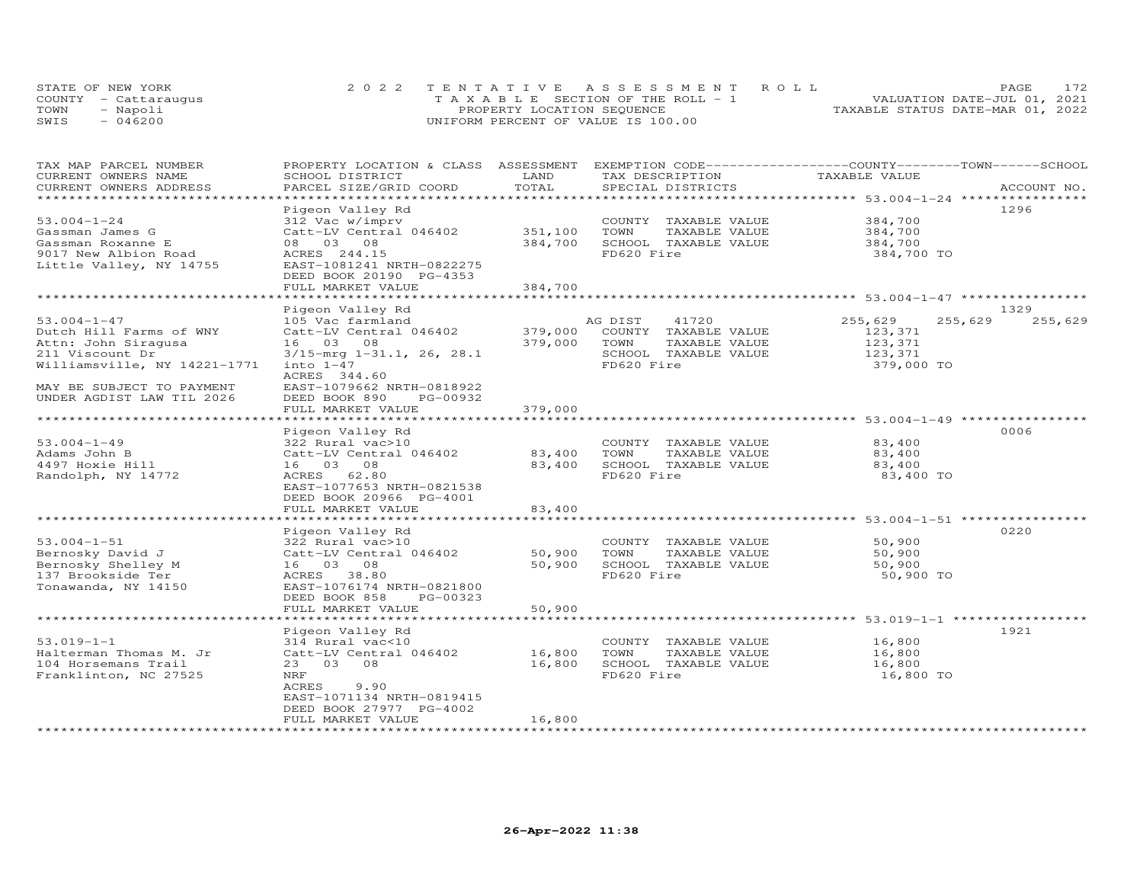| STATE OF NEW YORK    | 2022 TENTATIVE ASSESSMENT ROLL        | 172<br><b>PAGE</b>               |
|----------------------|---------------------------------------|----------------------------------|
| COUNTY - Cattaraugus | T A X A B L E SECTION OF THE ROLL - 1 | VALUATION DATE-JUL 01, 2021      |
| TOWN<br>- Napoli     | PROPERTY LOCATION SEQUENCE            | TAXABLE STATUS DATE-MAR 01, 2022 |
| $-046200$<br>SWIS    | UNIFORM PERCENT OF VALUE IS 100.00    |                                  |

| TAX MAP PARCEL NUMBER                             | PROPERTY LOCATION & CLASS ASSESSMENT |         |                       | EXEMPTION CODE------------------COUNTY-------TOWN------SCHOOL   |                    |
|---------------------------------------------------|--------------------------------------|---------|-----------------------|-----------------------------------------------------------------|--------------------|
| CURRENT OWNERS NAME                               | SCHOOL DISTRICT                      | LAND    | TAX DESCRIPTION       | TAXABLE VALUE                                                   |                    |
| CURRENT OWNERS ADDRESS<br>*********************** | PARCEL SIZE/GRID COORD               | TOTAL   | SPECIAL DISTRICTS     |                                                                 | ACCOUNT NO.        |
|                                                   |                                      |         |                       |                                                                 | 1296               |
| $53.004 - 1 - 24$                                 | Pigeon Valley Rd<br>312 Vac w/imprv  |         | COUNTY TAXABLE VALUE  | 384,700                                                         |                    |
|                                                   | Catt-LV Central 046402               | 351,100 | TOWN<br>TAXABLE VALUE | 384,700                                                         |                    |
| Gassman James G                                   |                                      |         |                       |                                                                 |                    |
| Gassman Roxanne E                                 | 08 03 08                             | 384,700 | SCHOOL TAXABLE VALUE  | 384,700                                                         |                    |
| 9017 New Albion Road                              | ACRES 244.15                         |         | FD620 Fire            | 384,700 TO                                                      |                    |
| Little Valley, NY 14755                           | EAST-1081241 NRTH-0822275            |         |                       |                                                                 |                    |
|                                                   | DEED BOOK 20190 PG-4353              | 384,700 |                       |                                                                 |                    |
|                                                   | FULL MARKET VALUE                    |         |                       |                                                                 |                    |
|                                                   |                                      |         |                       |                                                                 | 1329               |
| $53.004 - 1 - 47$                                 | Pigeon Valley Rd                     |         |                       |                                                                 |                    |
|                                                   | 105 Vac farmland                     |         | AG DIST<br>41720      | 255,629                                                         | 255,629<br>255,629 |
| Dutch Hill Farms of WNY                           | Catt-LV Central 046402               | 379,000 | COUNTY TAXABLE VALUE  | 123,371                                                         |                    |
| Attn: John Siragusa                               | 16 03 08                             | 379,000 | TOWN<br>TAXABLE VALUE | 123,371                                                         |                    |
| 211 Viscount Dr                                   | $3/15$ -mrg $1-31.1$ , 26, 28.1      |         | SCHOOL TAXABLE VALUE  | 123,371                                                         |                    |
| Williamsville, NY 14221-1771                      | $into 1-47$                          |         | FD620 Fire            | 379,000 TO                                                      |                    |
|                                                   | ACRES 344.60                         |         |                       |                                                                 |                    |
| MAY BE SUBJECT TO PAYMENT                         | EAST-1079662 NRTH-0818922            |         |                       |                                                                 |                    |
| UNDER AGDIST LAW TIL 2026                         | DEED BOOK 890<br>PG-00932            |         |                       |                                                                 |                    |
|                                                   | FULL MARKET VALUE                    | 379,000 |                       |                                                                 |                    |
|                                                   |                                      |         |                       |                                                                 |                    |
|                                                   | Pigeon Valley Rd                     |         |                       |                                                                 | 0006               |
| $53.004 - 1 - 49$                                 | 322 Rural vac>10                     |         | COUNTY TAXABLE VALUE  | 83,400                                                          |                    |
| Adams John B                                      | Catt-LV Central 046402               | 83,400  | TOWN<br>TAXABLE VALUE | 83,400                                                          |                    |
| 4497 Hoxie Hill                                   | 16 03 08                             | 83,400  | SCHOOL TAXABLE VALUE  | 83,400                                                          |                    |
| Randolph, NY 14772                                | ACRES 62.80                          |         | FD620 Fire            | 83,400 TO                                                       |                    |
|                                                   | EAST-1077653 NRTH-0821538            |         |                       |                                                                 |                    |
|                                                   | DEED BOOK 20966 PG-4001              |         |                       |                                                                 |                    |
|                                                   | FULL MARKET VALUE                    | 83,400  |                       |                                                                 |                    |
|                                                   |                                      |         |                       |                                                                 |                    |
|                                                   | Pigeon Valley Rd                     |         |                       |                                                                 | 0220               |
| $53.004 - 1 - 51$                                 | 322 Rural vac>10                     |         | COUNTY TAXABLE VALUE  | 50,900                                                          |                    |
| Bernosky David J                                  | Catt-LV Central 046402               | 50,900  | TOWN<br>TAXABLE VALUE | 50,900                                                          |                    |
| Bernosky Shelley M                                | 16 03 08                             | 50,900  | SCHOOL TAXABLE VALUE  | 50,900                                                          |                    |
| 137 Brookside Ter                                 | ACRES 38.80                          |         | FD620 Fire            | 50,900 TO                                                       |                    |
| Tonawanda, NY 14150                               | EAST-1076174 NRTH-0821800            |         |                       |                                                                 |                    |
|                                                   | DEED BOOK 858<br>PG-00323            |         |                       |                                                                 |                    |
|                                                   | FULL MARKET VALUE                    | 50,900  |                       |                                                                 |                    |
|                                                   |                                      |         |                       | ********************************* 53.019-1-1 ****************** |                    |
|                                                   | Pigeon Valley Rd                     |         |                       |                                                                 | 1921               |
| $53.019 - 1 - 1$                                  | 314 Rural vac<10                     |         | COUNTY TAXABLE VALUE  | 16,800                                                          |                    |
| Halterman Thomas M. Jr                            | Catt-LV Central 046402               | 16,800  | TOWN<br>TAXABLE VALUE | 16,800                                                          |                    |
| 104 Horsemans Trail                               | 23 03 08                             | 16,800  | SCHOOL TAXABLE VALUE  | 16,800                                                          |                    |
| Franklinton, NC 27525                             | NRF                                  |         | FD620 Fire            | 16,800 TO                                                       |                    |
|                                                   | ACRES<br>9.90                        |         |                       |                                                                 |                    |
|                                                   | EAST-1071134 NRTH-0819415            |         |                       |                                                                 |                    |
|                                                   | DEED BOOK 27977 PG-4002              |         |                       |                                                                 |                    |
|                                                   | FULL MARKET VALUE                    | 16,800  |                       |                                                                 |                    |
|                                                   |                                      |         |                       |                                                                 |                    |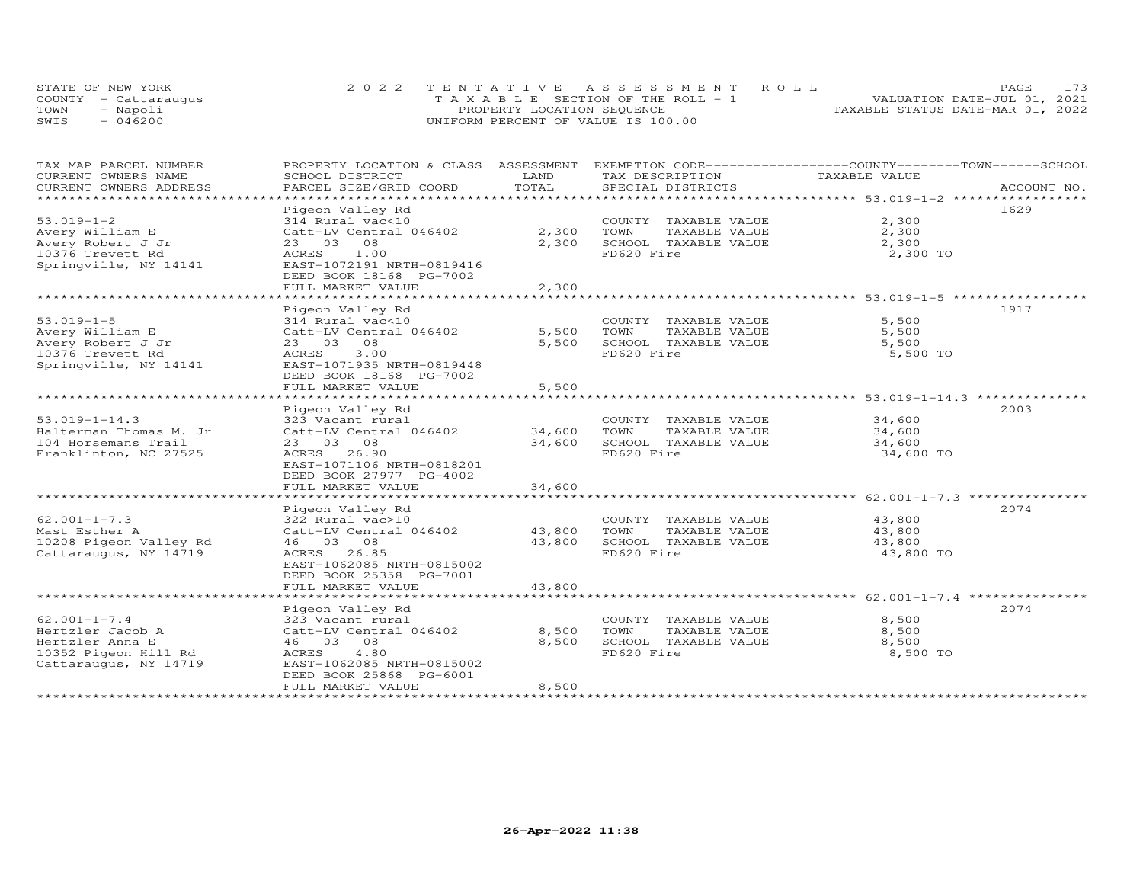| STATE OF NEW YORK    | 2022 TENTATIVE ASSESSMENT ROLL        | PAGE.                            | 173 |
|----------------------|---------------------------------------|----------------------------------|-----|
| COUNTY - Cattaraugus | T A X A B L E SECTION OF THE ROLL - 1 | VALUATION DATE-JUL 01, 2021      |     |
| TOWN<br>- Napoli     | PROPERTY LOCATION SEQUENCE            | TAXABLE STATUS DATE-MAR 01, 2022 |     |
| $-046200$<br>SWIS    | UNIFORM PERCENT OF VALUE IS 100.00    |                                  |     |

| TAX MAP PARCEL NUMBER<br>CURRENT OWNERS NAME | PROPERTY LOCATION & CLASS ASSESSMENT<br>SCHOOL DISTRICT | LAND           | EXEMPTION CODE-----------------COUNTY-------TOWN------SCHOOL<br>TAX DESCRIPTION | TAXABLE VALUE  |             |
|----------------------------------------------|---------------------------------------------------------|----------------|---------------------------------------------------------------------------------|----------------|-------------|
| CURRENT OWNERS ADDRESS                       | PARCEL SIZE/GRID COORD                                  | TOTAL          | SPECIAL DISTRICTS                                                               |                | ACCOUNT NO. |
| ***********************                      |                                                         |                |                                                                                 |                |             |
|                                              | Pigeon Valley Rd                                        |                |                                                                                 |                | 1629        |
| $53.019 - 1 - 2$                             | 314 Rural vac<10                                        |                | COUNTY TAXABLE VALUE                                                            | 2,300          |             |
| Avery William E                              | Catt-LV Central 046402                                  | 2,300          | TAXABLE VALUE<br>TOWN                                                           | 2,300          |             |
| Avery Robert J Jr                            | 23 03 08                                                | 2,300          | SCHOOL TAXABLE VALUE                                                            | 2,300          |             |
| 10376 Trevett Rd                             | ACRES 1.00                                              |                | FD620 Fire                                                                      | 2,300 TO       |             |
| Springville, NY 14141                        | EAST-1072191 NRTH-0819416                               |                |                                                                                 |                |             |
|                                              | DEED BOOK 18168 PG-7002                                 |                |                                                                                 |                |             |
|                                              | FULL MARKET VALUE                                       | 2,300          |                                                                                 |                |             |
|                                              |                                                         |                |                                                                                 |                |             |
| $53.019 - 1 - 5$                             | Pigeon Valley Rd<br>314 Rural vac<10                    |                | COUNTY TAXABLE VALUE                                                            | 5,500          | 1917        |
|                                              |                                                         | 5,500          | TOWN                                                                            | 5,500          |             |
| Avery William E<br>Avery Robert J Jr         | Catt-LV Central 046402<br>23 03 08                      | 5,500          | TAXABLE VALUE<br>SCHOOL TAXABLE VALUE                                           | 5,500          |             |
| 10376 Trevett Rd                             | ACRES 3.00                                              |                | FD620 Fire                                                                      | 5,500 TO       |             |
| Springville, NY 14141                        | EAST-1071935 NRTH-0819448                               |                |                                                                                 |                |             |
|                                              | DEED BOOK 18168 PG-7002                                 |                |                                                                                 |                |             |
|                                              | FULL MARKET VALUE                                       | 5,500          |                                                                                 |                |             |
|                                              |                                                         |                |                                                                                 |                |             |
|                                              | Pigeon Valley Rd                                        |                |                                                                                 |                | 2003        |
| $53.019 - 1 - 14.3$                          | 323 Vacant rural                                        |                | COUNTY TAXABLE VALUE                                                            | 34,600         |             |
| Halterman Thomas M. Jr                       | Catt-LV Central 046402                                  | 34,600         | TOWN<br>TAXABLE VALUE                                                           | 34,600         |             |
| 104 Horsemans Trail                          | 23 03 08                                                | 34,600         | SCHOOL TAXABLE VALUE                                                            | 34,600         |             |
| Franklinton, NC 27525                        | ACRES 26.90                                             |                | FD620 Fire                                                                      | 34,600 TO      |             |
|                                              | EAST-1071106 NRTH-0818201                               |                |                                                                                 |                |             |
|                                              | DEED BOOK 27977 PG-4002                                 |                |                                                                                 |                |             |
|                                              | FULL MARKET VALUE                                       | 34,600         |                                                                                 |                |             |
|                                              |                                                         |                |                                                                                 |                |             |
|                                              | Pigeon Valley Rd                                        |                |                                                                                 |                | 2074        |
| $62.001 - 1 - 7.3$                           | 322 Rural vac>10                                        |                | COUNTY TAXABLE VALUE                                                            | 43,800         |             |
| Mast Esther A                                | Catt-LV Central 046402                                  | 43,800         | TOWN<br>TAXABLE VALUE                                                           | 43,800         |             |
| 10208 Pigeon Valley Rd                       | 46 03 08                                                | 43,800         | SCHOOL TAXABLE VALUE                                                            | 43,800         |             |
| Cattaraugus, NY 14719                        | ACRES 26.85                                             |                | FD620 Fire                                                                      | 43,800 TO      |             |
|                                              | EAST-1062085 NRTH-0815002                               |                |                                                                                 |                |             |
|                                              | DEED BOOK 25358 PG-7001                                 |                |                                                                                 |                |             |
|                                              | FULL MARKET VALUE                                       | 43,800         |                                                                                 |                |             |
|                                              |                                                         |                |                                                                                 |                |             |
|                                              | Pigeon Valley Rd                                        |                |                                                                                 |                | 2074        |
| $62.001 - 1 - 7.4$                           | 323 Vacant rural                                        |                | COUNTY TAXABLE VALUE                                                            | 8,500          |             |
| Hertzler Jacob A<br>Hertzler Anna E          | Catt-LV Central 046402<br>46 03 08                      | 8,500<br>8,500 | TOWN<br>TAXABLE VALUE<br>SCHOOL TAXABLE VALUE                                   | 8,500<br>8,500 |             |
| 10352 Pigeon Hill Rd                         | 4.80<br>ACRES                                           |                | FD620 Fire                                                                      | 8,500 TO       |             |
| Cattaraugus, NY 14719                        | EAST-1062085 NRTH-0815002                               |                |                                                                                 |                |             |
|                                              | DEED BOOK 25868 PG-6001                                 |                |                                                                                 |                |             |
|                                              | FULL MARKET VALUE                                       | 8,500          |                                                                                 |                |             |
|                                              |                                                         |                |                                                                                 |                |             |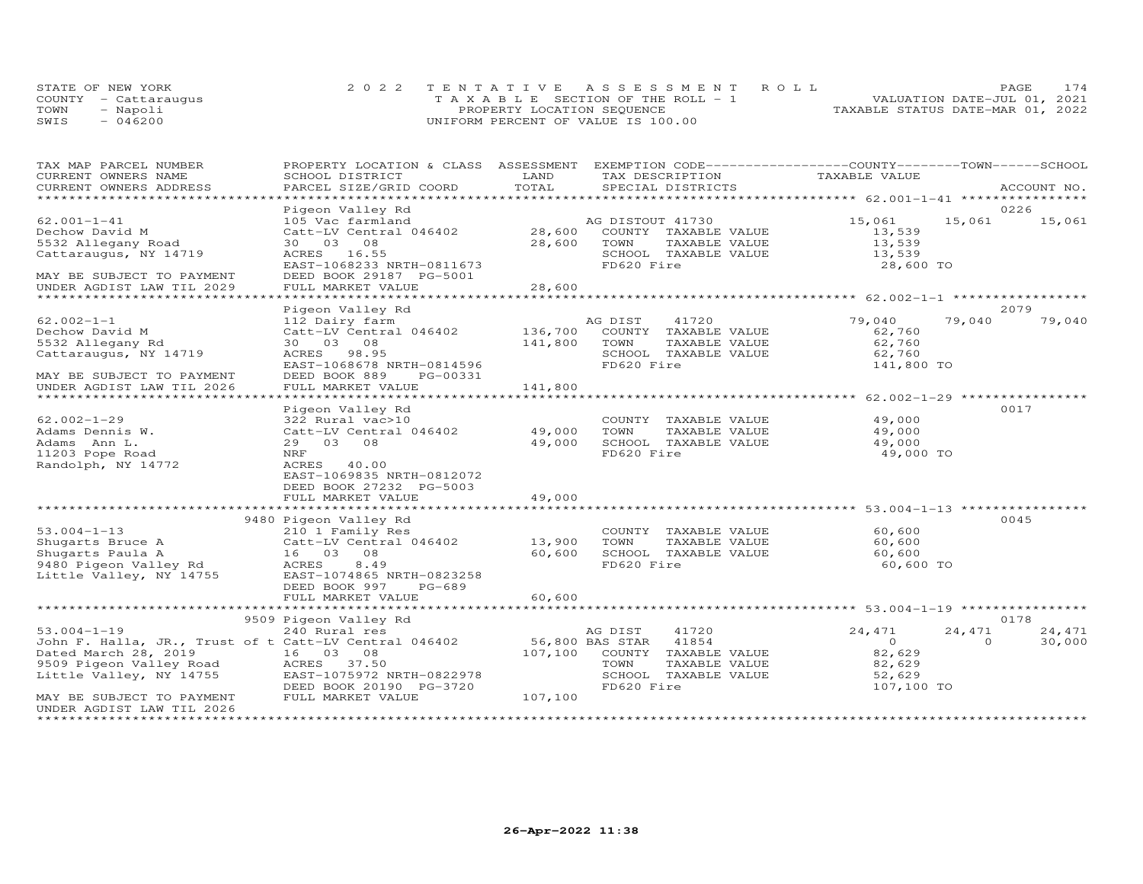|      | STATE OF NEW YORK    | 2022 TENTATIVE ASSESSMENT ROLL        | PAGE.                            | 174 |
|------|----------------------|---------------------------------------|----------------------------------|-----|
|      | COUNTY - Cattaraugus | T A X A B L E SECTION OF THE ROLL - 1 | VALUATION DATE-JUL 01, 2021      |     |
| TOWN | Napoli               | PROPERTY LOCATION SEQUENCE            | TAXABLE STATUS DATE-MAR 01, 2022 |     |
| SWIS | 046200               | UNIFORM PERCENT OF VALUE IS 100.00    |                                  |     |

| TAX MAP PARCEL NUMBER                                                                                          | PROPERTY LOCATION & CLASS ASSESSMENT EXEMPTION CODE----------------COUNTY--------TOWN-----SCHOOL |                  |                                                                  |               |          |             |
|----------------------------------------------------------------------------------------------------------------|--------------------------------------------------------------------------------------------------|------------------|------------------------------------------------------------------|---------------|----------|-------------|
| CURRENT OWNERS NAME                                                                                            | SCHOOL DISTRICT                                                                                  | LAND             | TAX DESCRIPTION                                                  | TAXABLE VALUE |          |             |
| CURRENT OWNERS ADDRESS                                                                                         | PARCEL SIZE/GRID COORD                                                                           | TOTAL            | SPECIAL DISTRICTS                                                |               |          | ACCOUNT NO. |
|                                                                                                                |                                                                                                  |                  |                                                                  |               |          |             |
|                                                                                                                | Pigeon Valley Rd                                                                                 |                  |                                                                  |               |          | 0226        |
| $62.001 - 1 - 41$                                                                                              | 105 Vac farmland                                                                                 |                  | AG DISTOUT 41730                                                 | 15,061        | 15,061   | 15,061      |
| Dechow David M                                                                                                 |                                                                                                  |                  | COUNTY TAXABLE VALUE                                             | 13,539        |          |             |
| 5532 Allegany Road                                                                                             | 30  03  08                                                                                       | 28,600           | TOWN<br>TAXABLE VALUE                                            | 13,539        |          |             |
| Cattaraugus, NY 14719                                                                                          | ACRES 16.55                                                                                      |                  | SCHOOL TAXABLE VALUE                                             | 13,539        |          |             |
|                                                                                                                | EAST-1068233 NRTH-0811673                                                                        |                  | FD620 Fire                                                       | 28,600 TO     |          |             |
| MAY BE SUBJECT TO PAYMENT                                                                                      | DEED BOOK 29187 PG-5001                                                                          |                  |                                                                  |               |          |             |
| UNDER AGDIST LAW TIL 2029                                                                                      |                                                                                                  |                  |                                                                  |               |          |             |
|                                                                                                                |                                                                                                  |                  |                                                                  |               |          |             |
|                                                                                                                | Pigeon Valley Rd                                                                                 |                  |                                                                  |               |          | 2079        |
| $62.002 - 1 - 1$                                                                                               | 112 Dairy farm                                                                                   |                  | AG DIST<br>41720                                                 | 79,040        | 79,040   | 79,040      |
| Dechow David M                                                                                                 | Catt-LV Central 046402                                                                           | 136,700          | COUNTY TAXABLE VALUE                                             | 62,760        |          |             |
| 5532 Allegany Rd                                                                                               | 30  03  08                                                                                       | 141,800          | TOWN<br>TAXABLE VALUE                                            | 62,760        |          |             |
| Cattaraugus, NY 14719                                                                                          | ACRES 98.95                                                                                      |                  | SCHOOL TAXABLE VALUE                                             | 62,760        |          |             |
|                                                                                                                | EAST-1068678 NRTH-0814596                                                                        |                  | FD620 Fire                                                       | 141,800 TO    |          |             |
| MAY BE SUBJECT TO PAYMENT                                                                                      | DEED BOOK 889<br>PG-00331                                                                        |                  |                                                                  |               |          |             |
| UNDER AGDIST LAW TIL 2026                                                                                      | FULL MARKET VALUE                                                                                | 141,800          |                                                                  |               |          |             |
|                                                                                                                |                                                                                                  |                  |                                                                  |               |          |             |
|                                                                                                                | Pigeon Valley Rd                                                                                 |                  |                                                                  |               |          | 0017        |
| $62.002 - 1 - 29$                                                                                              | 322 Rural vac>10                                                                                 |                  | COUNTY TAXABLE VALUE                                             | 49,000        |          |             |
| Adams Dennis W.                                                                                                | Catt-LV Central 046402 49,000                                                                    |                  | TOWN<br>TAXABLE VALUE                                            | 49,000        |          |             |
| Adams Ann L.                                                                                                   | 29 03 08                                                                                         | 49,000           | SCHOOL TAXABLE VALUE                                             | 49,000        |          |             |
| 11203 Pope Road                                                                                                | NRF                                                                                              |                  | FD620 Fire                                                       | 49,000 TO     |          |             |
| Randolph, NY 14772                                                                                             | ACRES 40.00                                                                                      |                  |                                                                  |               |          |             |
|                                                                                                                | EAST-1069835 NRTH-0812072                                                                        |                  |                                                                  |               |          |             |
|                                                                                                                | DEED BOOK 27232 PG-5003                                                                          |                  |                                                                  |               |          |             |
|                                                                                                                | FULL MARKET VALUE                                                                                | 49,000           |                                                                  |               |          |             |
|                                                                                                                |                                                                                                  |                  |                                                                  |               |          |             |
|                                                                                                                |                                                                                                  |                  |                                                                  |               |          | 0045        |
|                                                                                                                |                                                                                                  |                  | COUNTY TAXABLE VALUE                                             | 60,600        |          |             |
|                                                                                                                |                                                                                                  |                  | TOWN                                                             | 60,600        |          |             |
|                                                                                                                |                                                                                                  | 13,900<br>60,600 | INNE--<br>TAXABLE VALUE<br>TAYARLE VALUE<br>SCHOOL TAXABLE VALUE | 60,600        |          |             |
|                                                                                                                |                                                                                                  |                  | FD620 Fire                                                       | 60,600 TO     |          |             |
|                                                                                                                |                                                                                                  |                  |                                                                  |               |          |             |
|                                                                                                                |                                                                                                  |                  |                                                                  |               |          |             |
|                                                                                                                | FULL MARKET VALUE                                                                                | 60,600           |                                                                  |               |          |             |
|                                                                                                                |                                                                                                  |                  |                                                                  |               |          |             |
|                                                                                                                | 9509 Pigeon Valley Rd                                                                            |                  |                                                                  |               |          | 0178        |
| $53.004 - 1 - 19$                                                                                              | 240 Rural res                                                                                    |                  | AG DIST<br>41720                                                 | 24,471        | 24,471   | 24,471      |
| John F. Halla, JR., Trust of t Catt-LV Central 046402 56,800 BAS STAR                                          |                                                                                                  |                  | 41854                                                            | $\Omega$      | $\Omega$ | 30,000      |
|                                                                                                                |                                                                                                  |                  | 107,100 COUNTY TAXABLE VALUE                                     | 82,629        |          |             |
| Dated March 28, 2019 16 03 08<br>9509 Pigeon Valley Road ACRES 37.50<br>Little Valley, NY 14755 EAST-1075972 N |                                                                                                  |                  | TOWN<br>TAXABLE VALUE                                            | 82,629        |          |             |
|                                                                                                                | EAST-1075972 NRTH-0822978                                                                        |                  | SCHOOL TAXABLE VALUE                                             | 52,629        |          |             |
|                                                                                                                | DEED BOOK 20190 PG-3720                                                                          |                  | FD620 Fire                                                       | 107,100 TO    |          |             |
| MAY BE SUBJECT TO PAYMENT                                                                                      | FULL MARKET VALUE                                                                                | 107,100          |                                                                  |               |          |             |
| UNDER AGDIST LAW TIL 2026                                                                                      |                                                                                                  |                  |                                                                  |               |          |             |
|                                                                                                                |                                                                                                  |                  |                                                                  |               |          |             |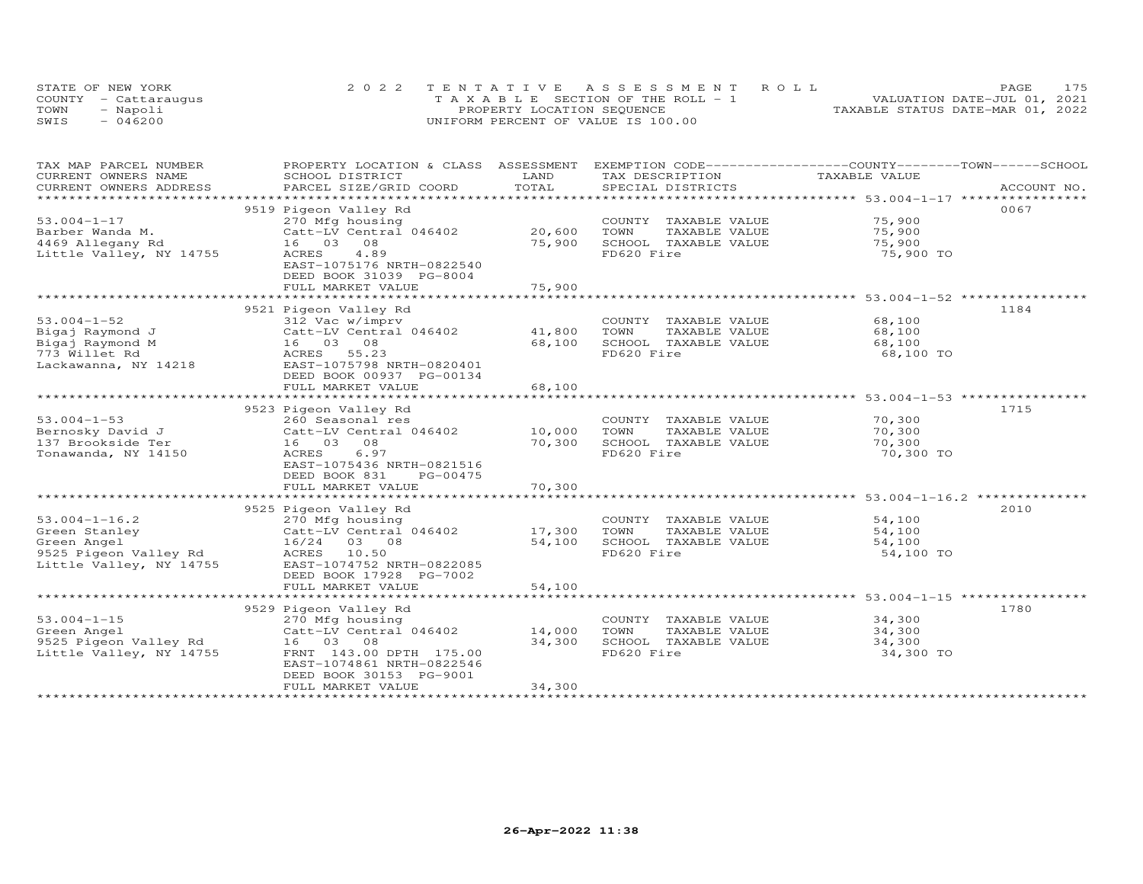|      | STATE OF NEW YORK    | 2022 TENTATIVE ASSESSMENT ROLL        | 175<br>PAGE                      |
|------|----------------------|---------------------------------------|----------------------------------|
|      | COUNTY - Cattaraugus | T A X A B L E SECTION OF THE ROLL - 1 | VALUATION DATE-JUL 01, 2021      |
| TOWN | - Napoli             | PROPERTY LOCATION SEQUENCE            | TAXABLE STATUS DATE-MAR 01, 2022 |
| SWIS | $-046200$            | UNIFORM PERCENT OF VALUE IS 100.00    |                                  |

| TAX MAP PARCEL NUMBER                               | PROPERTY LOCATION & CLASS ASSESSMENT EXEMPTION CODE----------------COUNTY-------TOWN------SCHOOL                                                       |                        |                       |                                                         |             |
|-----------------------------------------------------|--------------------------------------------------------------------------------------------------------------------------------------------------------|------------------------|-----------------------|---------------------------------------------------------|-------------|
| CURRENT OWNERS NAME                                 | SCHOOL DISTRICT                                                                                                                                        | LAND                   | TAX DESCRIPTION       | TAXABLE VALUE                                           |             |
| CURRENT OWNERS ADDRESS<br>************************* | PARCEL SIZE/GRID COORD                                                                                                                                 | TOTAL                  | SPECIAL DISTRICTS     |                                                         | ACCOUNT NO. |
|                                                     |                                                                                                                                                        |                        |                       |                                                         |             |
|                                                     | 9519 Pigeon Valley Rd                                                                                                                                  |                        |                       |                                                         | 0067        |
| $53.004 - 1 - 17$                                   | 270 Mfg housing                                                                                                                                        |                        | COUNTY TAXABLE VALUE  | 75,900                                                  |             |
| Barber Wanda M.                                     | Catt-LV Central 046402                                                                                                                                 | 20,600                 | TOWN<br>TAXABLE VALUE | 75,900                                                  |             |
| 4469 Allegany Rd                                    | 16 03<br>08                                                                                                                                            | 75,900                 | SCHOOL TAXABLE VALUE  | 75,900                                                  |             |
| Little Valley, NY 14755                             | ACRES<br>4.89                                                                                                                                          |                        | FD620 Fire            | 75,900 TO                                               |             |
|                                                     | EAST-1075176 NRTH-0822540                                                                                                                              |                        |                       |                                                         |             |
|                                                     | DEED BOOK 31039 PG-8004                                                                                                                                |                        |                       |                                                         |             |
|                                                     | FULL MARKET VALUE<br>*****************************                                                                                                     | 75,900<br>************ |                       | ************************** 53.004-1-52 **************** |             |
|                                                     |                                                                                                                                                        |                        |                       |                                                         |             |
|                                                     | 9521 Pigeon Valley Rd                                                                                                                                  |                        |                       |                                                         | 1184        |
| $53.004 - 1 - 52$                                   | 312 Vac w/imprv                                                                                                                                        |                        | COUNTY TAXABLE VALUE  | 68,100                                                  |             |
| Bigaj Raymond J                                     | Catt-LV Central 046402                                                                                                                                 | 41,800                 | TOWN<br>TAXABLE VALUE | 68,100                                                  |             |
| Bigaj Raymond M                                     | 16 03 08                                                                                                                                               | 68,100                 | SCHOOL TAXABLE VALUE  | 68,100                                                  |             |
| 773 Willet Rd                                       | ACRES 55.23                                                                                                                                            |                        | FD620 Fire            | 68,100 TO                                               |             |
|                                                     | Lackawanna, NY 14218 EAST-1075798 NRTH-0820401                                                                                                         |                        |                       |                                                         |             |
|                                                     | DEED BOOK 00937 PG-00134                                                                                                                               |                        |                       |                                                         |             |
|                                                     | FULL MARKET VALUE                                                                                                                                      | 68,100                 |                       |                                                         |             |
|                                                     |                                                                                                                                                        |                        |                       |                                                         |             |
|                                                     | 9523 Pigeon Valley Rd                                                                                                                                  |                        |                       |                                                         | 1715        |
| $53.004 - 1 - 53$                                   | 260 Seasonal res                                                                                                                                       |                        | COUNTY TAXABLE VALUE  | 70,300                                                  |             |
| Bernosky David J                                    | Catt-LV Central 046402 10,000                                                                                                                          |                        | TOWN<br>TAXABLE VALUE | 70,300                                                  |             |
| 137 Brookside Ter                                   | 16 03 08                                                                                                                                               | 70,300                 | SCHOOL TAXABLE VALUE  | 70,300                                                  |             |
| Tonawanda, NY 14150                                 | ACRES<br>6.97                                                                                                                                          |                        | FD620 Fire            | 70,300 TO                                               |             |
|                                                     | EAST-1075436 NRTH-0821516                                                                                                                              |                        |                       |                                                         |             |
|                                                     | DEED BOOK 831<br>PG-00475                                                                                                                              |                        |                       |                                                         |             |
|                                                     | FULL MARKET VALUE                                                                                                                                      | 70,300                 |                       |                                                         |             |
|                                                     |                                                                                                                                                        |                        |                       |                                                         |             |
|                                                     | 9525 Pigeon Valley Rd                                                                                                                                  |                        |                       |                                                         | 2010        |
|                                                     |                                                                                                                                                        |                        | COUNTY TAXABLE VALUE  | 54,100                                                  |             |
|                                                     |                                                                                                                                                        |                        | TOWN<br>TAXABLE VALUE | 54,100                                                  |             |
|                                                     |                                                                                                                                                        |                        | SCHOOL TAXABLE VALUE  | 54,100                                                  |             |
|                                                     | 53.004-1-16.2 270 Mfg housing<br>Green Stanley Catt-LV Central 046402 17,300<br>Green Angel 16/24 03 08 54,100<br>9525 Pigeon Valley Rd ACRES 10.50 50 |                        | FD620 Fire            | 54,100 TO                                               |             |
| Little Valley, NY 14755                             | EAST-1074752 NRTH-0822085                                                                                                                              |                        |                       |                                                         |             |
|                                                     | DEED BOOK 17928 PG-7002                                                                                                                                |                        |                       |                                                         |             |
|                                                     | FULL MARKET VALUE                                                                                                                                      | 54,100                 |                       |                                                         |             |
|                                                     |                                                                                                                                                        |                        |                       |                                                         |             |
|                                                     | 9529 Pigeon Valley Rd                                                                                                                                  |                        |                       |                                                         | 1780        |
| $53.004 - 1 - 15$                                   | 270 Mfg housing                                                                                                                                        |                        | COUNTY TAXABLE VALUE  | 34,300                                                  |             |
| Green Angel                                         | Catt-LV Central 046402                                                                                                                                 | 14,000                 | TOWN<br>TAXABLE VALUE | 34,300                                                  |             |
|                                                     |                                                                                                                                                        | 34,300                 | SCHOOL TAXABLE VALUE  | 34,300                                                  |             |
|                                                     |                                                                                                                                                        |                        | FD620 Fire            | 34,300 TO                                               |             |
|                                                     | EAST-1074861 NRTH-0822546                                                                                                                              |                        |                       |                                                         |             |
|                                                     | DEED BOOK 30153 PG-9001                                                                                                                                |                        |                       |                                                         |             |
|                                                     | FULL MARKET VALUE                                                                                                                                      | 34,300                 |                       |                                                         |             |
|                                                     |                                                                                                                                                        |                        |                       |                                                         |             |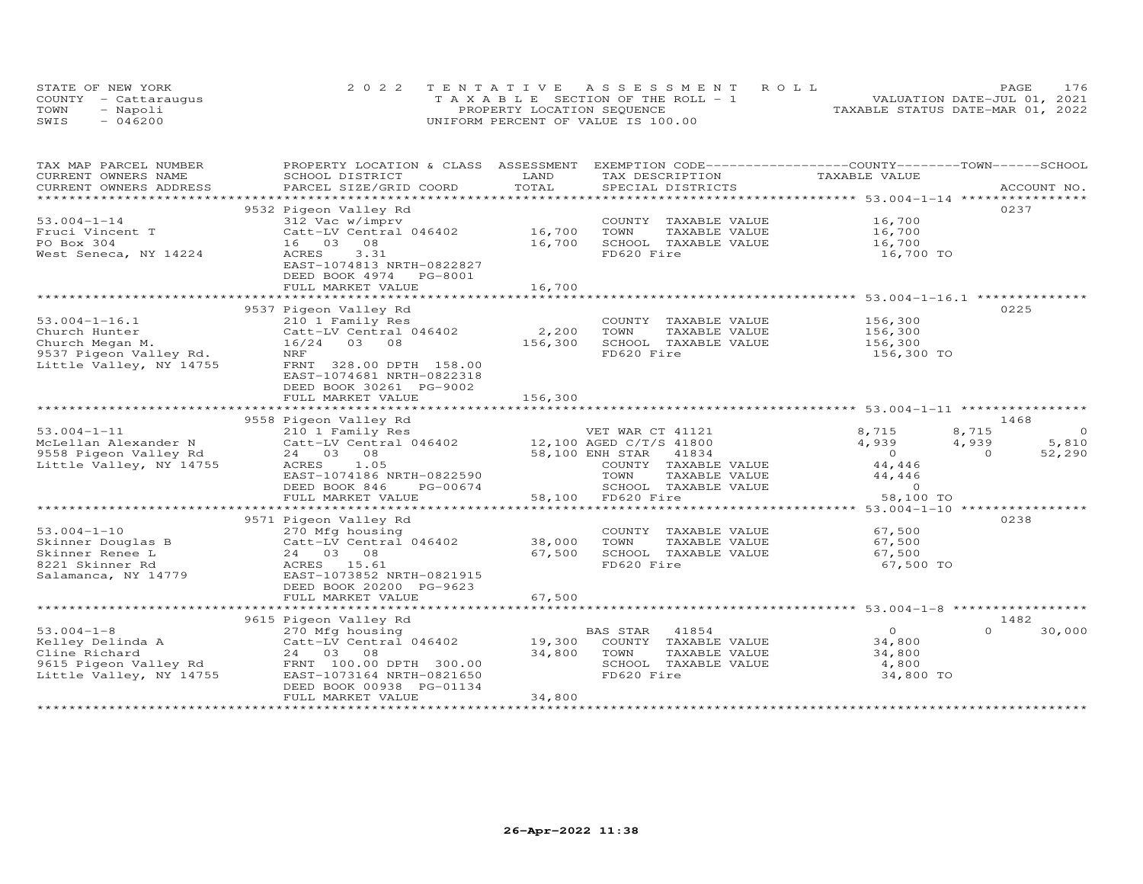| STATE OF NEW YORK    | 2022 TENTATIVE ASSESSMENT ROLL        | 176<br><b>PAGE</b>               |
|----------------------|---------------------------------------|----------------------------------|
| COUNTY - Cattaraugus | T A X A B L E SECTION OF THE ROLL - 1 | VALUATION DATE-JUL 01, 2021      |
| TOWN<br>- Napoli     | PROPERTY LOCATION SEQUENCE            | TAXABLE STATUS DATE-MAR 01, 2022 |
| SWIS<br>$-046200$    | UNIFORM PERCENT OF VALUE IS 100.00    |                                  |

| TAX MAP PARCEL NUMBER                                                                                         | PROPERTY LOCATION & CLASS ASSESSMENT                                                  |         | EXEMPTION CODE-----------------COUNTY-------TOWN------SCHOOL |                |                         |
|---------------------------------------------------------------------------------------------------------------|---------------------------------------------------------------------------------------|---------|--------------------------------------------------------------|----------------|-------------------------|
| CURRENT OWNERS NAME                                                                                           | SCHOOL DISTRICT                                                                       | LAND    | TAX DESCRIPTION                                              | TAXABLE VALUE  |                         |
| CURRENT OWNERS ADDRESS                                                                                        | PARCEL SIZE/GRID COORD                                                                | TOTAL   | SPECIAL DISTRICTS                                            |                | ACCOUNT NO.             |
|                                                                                                               |                                                                                       |         |                                                              |                |                         |
|                                                                                                               | 9532 Pigeon Valley Rd                                                                 |         |                                                              |                | 0237                    |
| $53.004 - 1 - 14$                                                                                             | 312 Vac w/imprv                                                                       |         | COUNTY TAXABLE VALUE                                         | 16,700         |                         |
| Fruci Vincent T                                                                                               | $Catt-LV$ Central 046402 $16,700$                                                     |         | TOWN<br>TAXABLE VALUE                                        | 16,700         |                         |
| PO Box 304                                                                                                    | 16 03 08                                                                              | 16,700  | SCHOOL TAXABLE VALUE                                         | 16,700         |                         |
| West Seneca, NY 14224                                                                                         | 3.31<br>ACRES                                                                         |         | FD620 Fire                                                   | 16,700 TO      |                         |
|                                                                                                               | EAST-1074813 NRTH-0822827                                                             |         |                                                              |                |                         |
|                                                                                                               | DEED BOOK 4974 PG-8001                                                                |         |                                                              |                |                         |
|                                                                                                               | FULL MARKET VALUE                                                                     | 16,700  |                                                              |                |                         |
|                                                                                                               |                                                                                       |         |                                                              |                |                         |
|                                                                                                               | 9537 Pigeon Valley Rd                                                                 |         |                                                              |                | 0225                    |
| $53.004 - 1 - 16.1$                                                                                           | 210 1 Family Res                                                                      |         | COUNTY TAXABLE VALUE                                         | 156,300        |                         |
| Church Hunter                                                                                                 | Catt-LV Central 046402                                                                | 2,200   | TOWN<br>TAXABLE VALUE                                        | 156,300        |                         |
| Church Megan M.                                                                                               | 16/24 03 08                                                                           | 156,300 | SCHOOL TAXABLE VALUE                                         | 156,300        |                         |
| 9537 Pigeon Valley Rd.                                                                                        | <b>NRF</b>                                                                            |         | FD620 Fire                                                   | 156,300 TO     |                         |
| Little Valley, NY 14755                                                                                       | FRNT 328.00 DPTH 158.00                                                               |         |                                                              |                |                         |
|                                                                                                               | EAST-1074681 NRTH-0822318                                                             |         |                                                              |                |                         |
|                                                                                                               | DEED BOOK 30261 PG-9002                                                               |         |                                                              |                |                         |
|                                                                                                               | FULL MARKET VALUE                                                                     | 156,300 |                                                              |                |                         |
|                                                                                                               |                                                                                       |         |                                                              |                |                         |
|                                                                                                               | 9558 Pigeon Valley Rd                                                                 |         |                                                              |                | 1468                    |
| $53.004 - 1 - 11$                                                                                             | 210 1 Family Res                                                                      |         | VET WAR CT 41121                                             | 8,715          | $\overline{0}$<br>8,715 |
|                                                                                                               | McLellan Alexander N Catt-LV Central 046402 12,100 AGED C/T/S 41800                   |         |                                                              | 4,939          | 4,939<br>5,810          |
| ncional contracts<br>9558 Pigeon Valley Rd<br>Iittle Valley, NY 14755                                         | 24 03 08                                                                              |         | 58,100 ENH STAR 41834                                        | $\overline{0}$ | $\Omega$<br>52,290      |
| Little Valley, NY 14755                                                                                       | 1.05<br>ACRES                                                                         |         | COUNTY TAXABLE VALUE                                         | 44,446         |                         |
|                                                                                                               | EAST-1074186 NRTH-0822590                                                             |         | TOWN<br>TAXABLE VALUE                                        | 44,446         |                         |
|                                                                                                               | DEED BOOK 846<br>PG-00674                                                             |         | SCHOOL TAXABLE VALUE                                         | $\sim$ 0       |                         |
|                                                                                                               | FULL MARKET VALUE                                                                     |         | 58,100 FD620 Fire                                            | 58,100 TO      |                         |
|                                                                                                               |                                                                                       |         |                                                              |                |                         |
|                                                                                                               | 9571 Pigeon Valley Rd                                                                 |         |                                                              |                | 0238                    |
|                                                                                                               | 270 Mfg housing                                                                       |         | COUNTY TAXABLE VALUE                                         | 67,500         |                         |
|                                                                                                               | $Catt-LV$ Central 046402 38,000                                                       |         | TAXABLE VALUE<br>TOWN                                        | 67,500         |                         |
|                                                                                                               |                                                                                       | 67,500  | SCHOOL TAXABLE VALUE                                         | 67,500         |                         |
| 53.004-1-10<br>Skinner Douglas B (24 03 08)<br>1990 - Catt-LV Cencer<br>24 03 08<br>ACRES 15.61<br>20073852 1 | EAST-1073852 NRTH-0821915                                                             |         | FD620 Fire                                                   | 67,500 TO      |                         |
| Salamanca, NY 14779                                                                                           |                                                                                       |         |                                                              |                |                         |
|                                                                                                               | DEED BOOK 20200 PG-9623<br>FULL MARKET VALUE                                          | 67,500  |                                                              |                |                         |
|                                                                                                               |                                                                                       |         |                                                              |                |                         |
|                                                                                                               |                                                                                       |         |                                                              |                | 1482                    |
|                                                                                                               | 9615 Pigeon Valley Rd                                                                 |         | BAS STAR<br>41854                                            | $\overline{O}$ | $\Omega$                |
|                                                                                                               |                                                                                       | 19,300  | COUNTY TAXABLE VALUE                                         | 34,800         | 30,000                  |
| Cline Richard                                                                                                 | 53.004-1-8<br>Xelley Delinda A (270 Mfg housing<br>Catt-LV Central 046402<br>24 03 08 | 34,800  | TOWN<br>TAXABLE VALUE                                        | 34,800         |                         |
|                                                                                                               |                                                                                       |         | SCHOOL TAXABLE VALUE                                         | 4,800          |                         |
| Little Valley, NY 14755                                                                                       | EAST-1073164 NRTH-0821650                                                             |         | FD620 Fire                                                   | 34,800 TO      |                         |
|                                                                                                               | DEED BOOK 00938 PG-01134                                                              |         |                                                              |                |                         |
|                                                                                                               | FULL MARKET VALUE                                                                     | 34,800  |                                                              |                |                         |
|                                                                                                               |                                                                                       |         |                                                              |                |                         |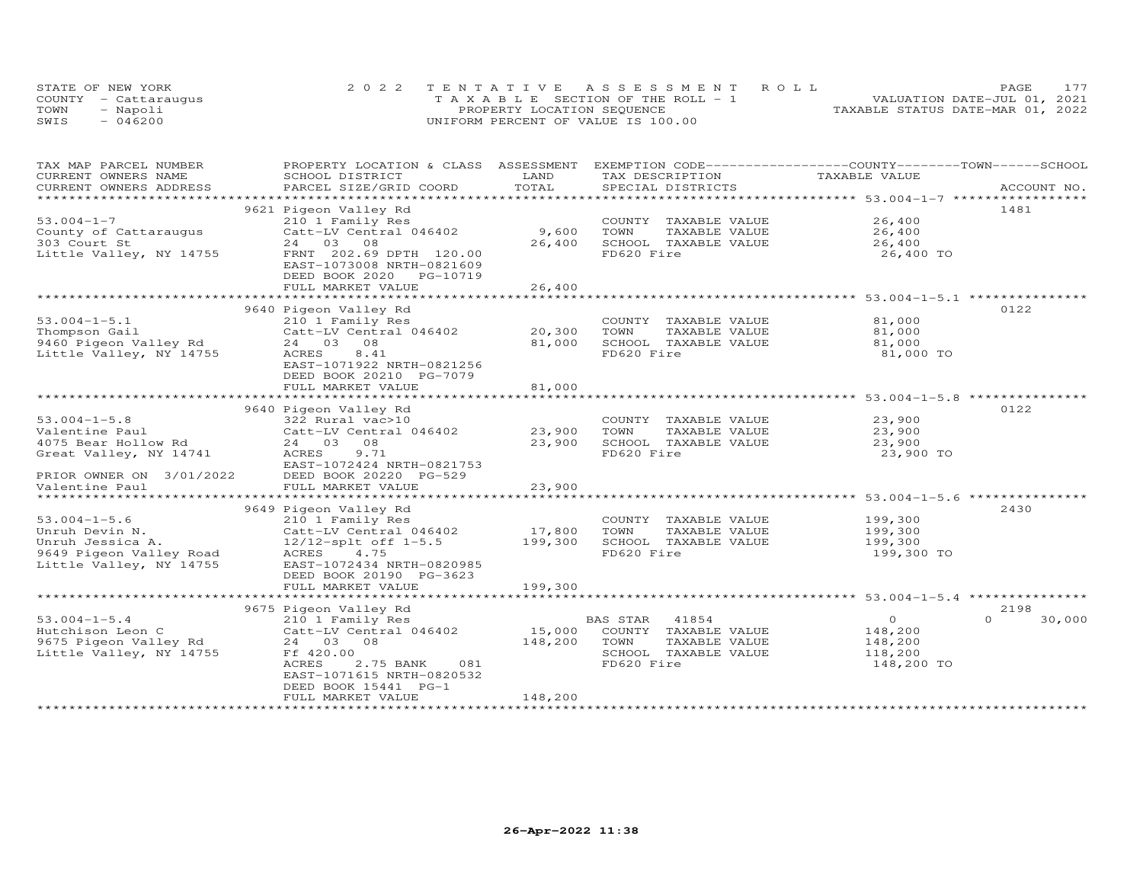|      | STATE OF NEW YORK    | 2022 TENTATIVE ASSESSMENT ROLL        | 177<br>PAGE.                     |
|------|----------------------|---------------------------------------|----------------------------------|
|      | COUNTY - Cattarauqus | T A X A B L E SECTION OF THE ROLL - 1 | VALUATION DATE-JUL 01, 2021      |
| TOWN | - Napoli             | PROPERTY LOCATION SEQUENCE            | TAXABLE STATUS DATE-MAR 01, 2022 |
| SWIS | $-046200$            | UNIFORM PERCENT OF VALUE IS 100.00    |                                  |

| TOTAL<br>CURRENT OWNERS ADDRESS<br>PARCEL SIZE/GRID COORD<br>SPECIAL DISTRICTS<br>ACCOUNT NO.<br>***********<br>********************** 53.004-1-7 ************<br>9621 Pigeon Valley Rd<br>1481<br>$53.004 - 1 - 7$<br>26,400<br>210 1 Family Res<br>COUNTY TAXABLE VALUE<br>County of Cattaraugus<br>Catt-LV Central 046402<br>9,600<br>TOWN<br>TAXABLE VALUE<br>26,400<br>24 03<br>26,400<br>SCHOOL TAXABLE VALUE<br>26,400<br>303 Court St<br>08<br>Little Valley, NY 14755<br>FRNT 202.69 DPTH 120.00<br>FD620 Fire<br>26,400 TO<br>EAST-1073008 NRTH-0821609<br>DEED BOOK 2020<br>PG-10719<br>26,400<br>FULL MARKET VALUE<br>********************************* 53.004-1-5.1 **********<br>9640 Pigeon Valley Rd<br>0122<br>$53.004 - 1 - 5.1$<br>COUNTY TAXABLE VALUE<br>81,000<br>210 1 Family Res<br>20,300<br>81,000<br>Thompson Gail<br>Catt-LV Central 046402<br>TOWN<br>TAXABLE VALUE<br>81,000<br>9460 Pigeon Valley Rd<br>24 03<br>08<br>SCHOOL TAXABLE VALUE<br>81,000<br>Little Valley, NY 14755<br>ACRES<br>FD620 Fire<br>8.41<br>81,000 TO<br>EAST-1071922 NRTH-0821256<br>DEED BOOK 20210 PG-7079<br>81,000<br>FULL MARKET VALUE<br>0122<br>9640 Pigeon Valley Rd<br>$53.004 - 1 - 5.8$<br>322 Rural vac>10<br>23,900<br>COUNTY TAXABLE VALUE<br>23,900<br>Valentine Paul<br>Catt-LV Central 046402<br>TOWN<br>TAXABLE VALUE<br>23,900<br>4075 Bear Hollow Rd<br>24 03 08<br>23,900<br>SCHOOL TAXABLE VALUE<br>23,900<br>FD620 Fire<br>Great Valley, NY 14741<br>ACRES<br>9.71<br>23,900 TO<br>EAST-1072424 NRTH-0821753<br>PRIOR OWNER ON 3/01/2022<br>DEED BOOK 20220 PG-529<br>23,900<br>Valentine Paul<br>FULL MARKET VALUE<br>************************ 53.004-1-5.6 ****************<br>************<br>**************************<br>*****************<br>2430<br>9649 Pigeon Valley Rd<br>$53.004 - 1 - 5.6$<br>210 1 Family Res<br>COUNTY TAXABLE VALUE<br>199,300<br>17,800<br>TOWN<br>Unruh Devin N.<br>Catt-LV Central 046402<br>TAXABLE VALUE<br>199,300<br>$12/12$ -splt off $1-5.5$<br>199,300<br>SCHOOL TAXABLE VALUE<br>199,300<br>Unruh Jessica A.<br>FD620 Fire<br>199,300 TO<br>9649 Pigeon Valley Road<br>ACRES<br>4.75<br>Little Valley, NY 14755<br>EAST-1072434 NRTH-0820985<br>DEED BOOK 20190 PG-3623<br>199,300<br>FULL MARKET VALUE<br>*******************************<br>2198<br>9675 Pigeon Valley Rd<br>$\Omega$<br>$53.004 - 1 - 5.4$<br>$\circ$<br>30,000<br>210 1 Family Res<br>BAS STAR<br>41854<br>Catt-LV Central 046402<br>15,000<br>COUNTY TAXABLE VALUE<br>Hutchison Leon C<br>148,200<br>24 03 08<br>148,200<br>9675 Pigeon Valley Rd<br>TOWN<br>TAXABLE VALUE<br>148,200<br>Little Valley, NY 14755<br>Ff 420.00<br>SCHOOL TAXABLE VALUE<br>118,200<br>FD620 Fire<br><b>ACRES</b><br>2.75 BANK<br>081<br>148,200 TO<br>EAST-1071615 NRTH-0820532<br>DEED BOOK 15441 PG-1<br>148,200<br>FULL MARKET VALUE | TAX MAP PARCEL NUMBER<br>CURRENT OWNERS NAME | PROPERTY LOCATION & CLASS ASSESSMENT<br>SCHOOL DISTRICT | LAND | EXEMPTION CODE------------------COUNTY-------TOWN------SCHOOL<br>TAX DESCRIPTION | TAXABLE VALUE |  |
|---------------------------------------------------------------------------------------------------------------------------------------------------------------------------------------------------------------------------------------------------------------------------------------------------------------------------------------------------------------------------------------------------------------------------------------------------------------------------------------------------------------------------------------------------------------------------------------------------------------------------------------------------------------------------------------------------------------------------------------------------------------------------------------------------------------------------------------------------------------------------------------------------------------------------------------------------------------------------------------------------------------------------------------------------------------------------------------------------------------------------------------------------------------------------------------------------------------------------------------------------------------------------------------------------------------------------------------------------------------------------------------------------------------------------------------------------------------------------------------------------------------------------------------------------------------------------------------------------------------------------------------------------------------------------------------------------------------------------------------------------------------------------------------------------------------------------------------------------------------------------------------------------------------------------------------------------------------------------------------------------------------------------------------------------------------------------------------------------------------------------------------------------------------------------------------------------------------------------------------------------------------------------------------------------------------------------------------------------------------------------------------------------------------------------------------------------------------------------------------------------------------------------------------------------------------------------------------------------------------------------------------------------------------------------------------------------------------------------------------------------------------------------------------------------------------------------------------------------------------------|----------------------------------------------|---------------------------------------------------------|------|----------------------------------------------------------------------------------|---------------|--|
|                                                                                                                                                                                                                                                                                                                                                                                                                                                                                                                                                                                                                                                                                                                                                                                                                                                                                                                                                                                                                                                                                                                                                                                                                                                                                                                                                                                                                                                                                                                                                                                                                                                                                                                                                                                                                                                                                                                                                                                                                                                                                                                                                                                                                                                                                                                                                                                                                                                                                                                                                                                                                                                                                                                                                                                                                                                                     |                                              |                                                         |      |                                                                                  |               |  |
|                                                                                                                                                                                                                                                                                                                                                                                                                                                                                                                                                                                                                                                                                                                                                                                                                                                                                                                                                                                                                                                                                                                                                                                                                                                                                                                                                                                                                                                                                                                                                                                                                                                                                                                                                                                                                                                                                                                                                                                                                                                                                                                                                                                                                                                                                                                                                                                                                                                                                                                                                                                                                                                                                                                                                                                                                                                                     |                                              |                                                         |      |                                                                                  |               |  |
|                                                                                                                                                                                                                                                                                                                                                                                                                                                                                                                                                                                                                                                                                                                                                                                                                                                                                                                                                                                                                                                                                                                                                                                                                                                                                                                                                                                                                                                                                                                                                                                                                                                                                                                                                                                                                                                                                                                                                                                                                                                                                                                                                                                                                                                                                                                                                                                                                                                                                                                                                                                                                                                                                                                                                                                                                                                                     |                                              |                                                         |      |                                                                                  |               |  |
|                                                                                                                                                                                                                                                                                                                                                                                                                                                                                                                                                                                                                                                                                                                                                                                                                                                                                                                                                                                                                                                                                                                                                                                                                                                                                                                                                                                                                                                                                                                                                                                                                                                                                                                                                                                                                                                                                                                                                                                                                                                                                                                                                                                                                                                                                                                                                                                                                                                                                                                                                                                                                                                                                                                                                                                                                                                                     |                                              |                                                         |      |                                                                                  |               |  |
|                                                                                                                                                                                                                                                                                                                                                                                                                                                                                                                                                                                                                                                                                                                                                                                                                                                                                                                                                                                                                                                                                                                                                                                                                                                                                                                                                                                                                                                                                                                                                                                                                                                                                                                                                                                                                                                                                                                                                                                                                                                                                                                                                                                                                                                                                                                                                                                                                                                                                                                                                                                                                                                                                                                                                                                                                                                                     |                                              |                                                         |      |                                                                                  |               |  |
|                                                                                                                                                                                                                                                                                                                                                                                                                                                                                                                                                                                                                                                                                                                                                                                                                                                                                                                                                                                                                                                                                                                                                                                                                                                                                                                                                                                                                                                                                                                                                                                                                                                                                                                                                                                                                                                                                                                                                                                                                                                                                                                                                                                                                                                                                                                                                                                                                                                                                                                                                                                                                                                                                                                                                                                                                                                                     |                                              |                                                         |      |                                                                                  |               |  |
|                                                                                                                                                                                                                                                                                                                                                                                                                                                                                                                                                                                                                                                                                                                                                                                                                                                                                                                                                                                                                                                                                                                                                                                                                                                                                                                                                                                                                                                                                                                                                                                                                                                                                                                                                                                                                                                                                                                                                                                                                                                                                                                                                                                                                                                                                                                                                                                                                                                                                                                                                                                                                                                                                                                                                                                                                                                                     |                                              |                                                         |      |                                                                                  |               |  |
|                                                                                                                                                                                                                                                                                                                                                                                                                                                                                                                                                                                                                                                                                                                                                                                                                                                                                                                                                                                                                                                                                                                                                                                                                                                                                                                                                                                                                                                                                                                                                                                                                                                                                                                                                                                                                                                                                                                                                                                                                                                                                                                                                                                                                                                                                                                                                                                                                                                                                                                                                                                                                                                                                                                                                                                                                                                                     |                                              |                                                         |      |                                                                                  |               |  |
|                                                                                                                                                                                                                                                                                                                                                                                                                                                                                                                                                                                                                                                                                                                                                                                                                                                                                                                                                                                                                                                                                                                                                                                                                                                                                                                                                                                                                                                                                                                                                                                                                                                                                                                                                                                                                                                                                                                                                                                                                                                                                                                                                                                                                                                                                                                                                                                                                                                                                                                                                                                                                                                                                                                                                                                                                                                                     |                                              |                                                         |      |                                                                                  |               |  |
|                                                                                                                                                                                                                                                                                                                                                                                                                                                                                                                                                                                                                                                                                                                                                                                                                                                                                                                                                                                                                                                                                                                                                                                                                                                                                                                                                                                                                                                                                                                                                                                                                                                                                                                                                                                                                                                                                                                                                                                                                                                                                                                                                                                                                                                                                                                                                                                                                                                                                                                                                                                                                                                                                                                                                                                                                                                                     |                                              |                                                         |      |                                                                                  |               |  |
|                                                                                                                                                                                                                                                                                                                                                                                                                                                                                                                                                                                                                                                                                                                                                                                                                                                                                                                                                                                                                                                                                                                                                                                                                                                                                                                                                                                                                                                                                                                                                                                                                                                                                                                                                                                                                                                                                                                                                                                                                                                                                                                                                                                                                                                                                                                                                                                                                                                                                                                                                                                                                                                                                                                                                                                                                                                                     |                                              |                                                         |      |                                                                                  |               |  |
|                                                                                                                                                                                                                                                                                                                                                                                                                                                                                                                                                                                                                                                                                                                                                                                                                                                                                                                                                                                                                                                                                                                                                                                                                                                                                                                                                                                                                                                                                                                                                                                                                                                                                                                                                                                                                                                                                                                                                                                                                                                                                                                                                                                                                                                                                                                                                                                                                                                                                                                                                                                                                                                                                                                                                                                                                                                                     |                                              |                                                         |      |                                                                                  |               |  |
|                                                                                                                                                                                                                                                                                                                                                                                                                                                                                                                                                                                                                                                                                                                                                                                                                                                                                                                                                                                                                                                                                                                                                                                                                                                                                                                                                                                                                                                                                                                                                                                                                                                                                                                                                                                                                                                                                                                                                                                                                                                                                                                                                                                                                                                                                                                                                                                                                                                                                                                                                                                                                                                                                                                                                                                                                                                                     |                                              |                                                         |      |                                                                                  |               |  |
|                                                                                                                                                                                                                                                                                                                                                                                                                                                                                                                                                                                                                                                                                                                                                                                                                                                                                                                                                                                                                                                                                                                                                                                                                                                                                                                                                                                                                                                                                                                                                                                                                                                                                                                                                                                                                                                                                                                                                                                                                                                                                                                                                                                                                                                                                                                                                                                                                                                                                                                                                                                                                                                                                                                                                                                                                                                                     |                                              |                                                         |      |                                                                                  |               |  |
|                                                                                                                                                                                                                                                                                                                                                                                                                                                                                                                                                                                                                                                                                                                                                                                                                                                                                                                                                                                                                                                                                                                                                                                                                                                                                                                                                                                                                                                                                                                                                                                                                                                                                                                                                                                                                                                                                                                                                                                                                                                                                                                                                                                                                                                                                                                                                                                                                                                                                                                                                                                                                                                                                                                                                                                                                                                                     |                                              |                                                         |      |                                                                                  |               |  |
|                                                                                                                                                                                                                                                                                                                                                                                                                                                                                                                                                                                                                                                                                                                                                                                                                                                                                                                                                                                                                                                                                                                                                                                                                                                                                                                                                                                                                                                                                                                                                                                                                                                                                                                                                                                                                                                                                                                                                                                                                                                                                                                                                                                                                                                                                                                                                                                                                                                                                                                                                                                                                                                                                                                                                                                                                                                                     |                                              |                                                         |      |                                                                                  |               |  |
|                                                                                                                                                                                                                                                                                                                                                                                                                                                                                                                                                                                                                                                                                                                                                                                                                                                                                                                                                                                                                                                                                                                                                                                                                                                                                                                                                                                                                                                                                                                                                                                                                                                                                                                                                                                                                                                                                                                                                                                                                                                                                                                                                                                                                                                                                                                                                                                                                                                                                                                                                                                                                                                                                                                                                                                                                                                                     |                                              |                                                         |      |                                                                                  |               |  |
|                                                                                                                                                                                                                                                                                                                                                                                                                                                                                                                                                                                                                                                                                                                                                                                                                                                                                                                                                                                                                                                                                                                                                                                                                                                                                                                                                                                                                                                                                                                                                                                                                                                                                                                                                                                                                                                                                                                                                                                                                                                                                                                                                                                                                                                                                                                                                                                                                                                                                                                                                                                                                                                                                                                                                                                                                                                                     |                                              |                                                         |      |                                                                                  |               |  |
|                                                                                                                                                                                                                                                                                                                                                                                                                                                                                                                                                                                                                                                                                                                                                                                                                                                                                                                                                                                                                                                                                                                                                                                                                                                                                                                                                                                                                                                                                                                                                                                                                                                                                                                                                                                                                                                                                                                                                                                                                                                                                                                                                                                                                                                                                                                                                                                                                                                                                                                                                                                                                                                                                                                                                                                                                                                                     |                                              |                                                         |      |                                                                                  |               |  |
|                                                                                                                                                                                                                                                                                                                                                                                                                                                                                                                                                                                                                                                                                                                                                                                                                                                                                                                                                                                                                                                                                                                                                                                                                                                                                                                                                                                                                                                                                                                                                                                                                                                                                                                                                                                                                                                                                                                                                                                                                                                                                                                                                                                                                                                                                                                                                                                                                                                                                                                                                                                                                                                                                                                                                                                                                                                                     |                                              |                                                         |      |                                                                                  |               |  |
|                                                                                                                                                                                                                                                                                                                                                                                                                                                                                                                                                                                                                                                                                                                                                                                                                                                                                                                                                                                                                                                                                                                                                                                                                                                                                                                                                                                                                                                                                                                                                                                                                                                                                                                                                                                                                                                                                                                                                                                                                                                                                                                                                                                                                                                                                                                                                                                                                                                                                                                                                                                                                                                                                                                                                                                                                                                                     |                                              |                                                         |      |                                                                                  |               |  |
|                                                                                                                                                                                                                                                                                                                                                                                                                                                                                                                                                                                                                                                                                                                                                                                                                                                                                                                                                                                                                                                                                                                                                                                                                                                                                                                                                                                                                                                                                                                                                                                                                                                                                                                                                                                                                                                                                                                                                                                                                                                                                                                                                                                                                                                                                                                                                                                                                                                                                                                                                                                                                                                                                                                                                                                                                                                                     |                                              |                                                         |      |                                                                                  |               |  |
|                                                                                                                                                                                                                                                                                                                                                                                                                                                                                                                                                                                                                                                                                                                                                                                                                                                                                                                                                                                                                                                                                                                                                                                                                                                                                                                                                                                                                                                                                                                                                                                                                                                                                                                                                                                                                                                                                                                                                                                                                                                                                                                                                                                                                                                                                                                                                                                                                                                                                                                                                                                                                                                                                                                                                                                                                                                                     |                                              |                                                         |      |                                                                                  |               |  |
|                                                                                                                                                                                                                                                                                                                                                                                                                                                                                                                                                                                                                                                                                                                                                                                                                                                                                                                                                                                                                                                                                                                                                                                                                                                                                                                                                                                                                                                                                                                                                                                                                                                                                                                                                                                                                                                                                                                                                                                                                                                                                                                                                                                                                                                                                                                                                                                                                                                                                                                                                                                                                                                                                                                                                                                                                                                                     |                                              |                                                         |      |                                                                                  |               |  |
|                                                                                                                                                                                                                                                                                                                                                                                                                                                                                                                                                                                                                                                                                                                                                                                                                                                                                                                                                                                                                                                                                                                                                                                                                                                                                                                                                                                                                                                                                                                                                                                                                                                                                                                                                                                                                                                                                                                                                                                                                                                                                                                                                                                                                                                                                                                                                                                                                                                                                                                                                                                                                                                                                                                                                                                                                                                                     |                                              |                                                         |      |                                                                                  |               |  |
|                                                                                                                                                                                                                                                                                                                                                                                                                                                                                                                                                                                                                                                                                                                                                                                                                                                                                                                                                                                                                                                                                                                                                                                                                                                                                                                                                                                                                                                                                                                                                                                                                                                                                                                                                                                                                                                                                                                                                                                                                                                                                                                                                                                                                                                                                                                                                                                                                                                                                                                                                                                                                                                                                                                                                                                                                                                                     |                                              |                                                         |      |                                                                                  |               |  |
|                                                                                                                                                                                                                                                                                                                                                                                                                                                                                                                                                                                                                                                                                                                                                                                                                                                                                                                                                                                                                                                                                                                                                                                                                                                                                                                                                                                                                                                                                                                                                                                                                                                                                                                                                                                                                                                                                                                                                                                                                                                                                                                                                                                                                                                                                                                                                                                                                                                                                                                                                                                                                                                                                                                                                                                                                                                                     |                                              |                                                         |      |                                                                                  |               |  |
|                                                                                                                                                                                                                                                                                                                                                                                                                                                                                                                                                                                                                                                                                                                                                                                                                                                                                                                                                                                                                                                                                                                                                                                                                                                                                                                                                                                                                                                                                                                                                                                                                                                                                                                                                                                                                                                                                                                                                                                                                                                                                                                                                                                                                                                                                                                                                                                                                                                                                                                                                                                                                                                                                                                                                                                                                                                                     |                                              |                                                         |      |                                                                                  |               |  |
|                                                                                                                                                                                                                                                                                                                                                                                                                                                                                                                                                                                                                                                                                                                                                                                                                                                                                                                                                                                                                                                                                                                                                                                                                                                                                                                                                                                                                                                                                                                                                                                                                                                                                                                                                                                                                                                                                                                                                                                                                                                                                                                                                                                                                                                                                                                                                                                                                                                                                                                                                                                                                                                                                                                                                                                                                                                                     |                                              |                                                         |      |                                                                                  |               |  |
|                                                                                                                                                                                                                                                                                                                                                                                                                                                                                                                                                                                                                                                                                                                                                                                                                                                                                                                                                                                                                                                                                                                                                                                                                                                                                                                                                                                                                                                                                                                                                                                                                                                                                                                                                                                                                                                                                                                                                                                                                                                                                                                                                                                                                                                                                                                                                                                                                                                                                                                                                                                                                                                                                                                                                                                                                                                                     |                                              |                                                         |      |                                                                                  |               |  |
|                                                                                                                                                                                                                                                                                                                                                                                                                                                                                                                                                                                                                                                                                                                                                                                                                                                                                                                                                                                                                                                                                                                                                                                                                                                                                                                                                                                                                                                                                                                                                                                                                                                                                                                                                                                                                                                                                                                                                                                                                                                                                                                                                                                                                                                                                                                                                                                                                                                                                                                                                                                                                                                                                                                                                                                                                                                                     |                                              |                                                         |      |                                                                                  |               |  |
|                                                                                                                                                                                                                                                                                                                                                                                                                                                                                                                                                                                                                                                                                                                                                                                                                                                                                                                                                                                                                                                                                                                                                                                                                                                                                                                                                                                                                                                                                                                                                                                                                                                                                                                                                                                                                                                                                                                                                                                                                                                                                                                                                                                                                                                                                                                                                                                                                                                                                                                                                                                                                                                                                                                                                                                                                                                                     |                                              |                                                         |      |                                                                                  |               |  |
|                                                                                                                                                                                                                                                                                                                                                                                                                                                                                                                                                                                                                                                                                                                                                                                                                                                                                                                                                                                                                                                                                                                                                                                                                                                                                                                                                                                                                                                                                                                                                                                                                                                                                                                                                                                                                                                                                                                                                                                                                                                                                                                                                                                                                                                                                                                                                                                                                                                                                                                                                                                                                                                                                                                                                                                                                                                                     |                                              |                                                         |      |                                                                                  |               |  |
|                                                                                                                                                                                                                                                                                                                                                                                                                                                                                                                                                                                                                                                                                                                                                                                                                                                                                                                                                                                                                                                                                                                                                                                                                                                                                                                                                                                                                                                                                                                                                                                                                                                                                                                                                                                                                                                                                                                                                                                                                                                                                                                                                                                                                                                                                                                                                                                                                                                                                                                                                                                                                                                                                                                                                                                                                                                                     |                                              |                                                         |      |                                                                                  |               |  |
|                                                                                                                                                                                                                                                                                                                                                                                                                                                                                                                                                                                                                                                                                                                                                                                                                                                                                                                                                                                                                                                                                                                                                                                                                                                                                                                                                                                                                                                                                                                                                                                                                                                                                                                                                                                                                                                                                                                                                                                                                                                                                                                                                                                                                                                                                                                                                                                                                                                                                                                                                                                                                                                                                                                                                                                                                                                                     |                                              |                                                         |      |                                                                                  |               |  |
|                                                                                                                                                                                                                                                                                                                                                                                                                                                                                                                                                                                                                                                                                                                                                                                                                                                                                                                                                                                                                                                                                                                                                                                                                                                                                                                                                                                                                                                                                                                                                                                                                                                                                                                                                                                                                                                                                                                                                                                                                                                                                                                                                                                                                                                                                                                                                                                                                                                                                                                                                                                                                                                                                                                                                                                                                                                                     |                                              |                                                         |      |                                                                                  |               |  |
|                                                                                                                                                                                                                                                                                                                                                                                                                                                                                                                                                                                                                                                                                                                                                                                                                                                                                                                                                                                                                                                                                                                                                                                                                                                                                                                                                                                                                                                                                                                                                                                                                                                                                                                                                                                                                                                                                                                                                                                                                                                                                                                                                                                                                                                                                                                                                                                                                                                                                                                                                                                                                                                                                                                                                                                                                                                                     |                                              |                                                         |      |                                                                                  |               |  |
|                                                                                                                                                                                                                                                                                                                                                                                                                                                                                                                                                                                                                                                                                                                                                                                                                                                                                                                                                                                                                                                                                                                                                                                                                                                                                                                                                                                                                                                                                                                                                                                                                                                                                                                                                                                                                                                                                                                                                                                                                                                                                                                                                                                                                                                                                                                                                                                                                                                                                                                                                                                                                                                                                                                                                                                                                                                                     |                                              |                                                         |      |                                                                                  |               |  |
|                                                                                                                                                                                                                                                                                                                                                                                                                                                                                                                                                                                                                                                                                                                                                                                                                                                                                                                                                                                                                                                                                                                                                                                                                                                                                                                                                                                                                                                                                                                                                                                                                                                                                                                                                                                                                                                                                                                                                                                                                                                                                                                                                                                                                                                                                                                                                                                                                                                                                                                                                                                                                                                                                                                                                                                                                                                                     |                                              |                                                         |      |                                                                                  |               |  |
|                                                                                                                                                                                                                                                                                                                                                                                                                                                                                                                                                                                                                                                                                                                                                                                                                                                                                                                                                                                                                                                                                                                                                                                                                                                                                                                                                                                                                                                                                                                                                                                                                                                                                                                                                                                                                                                                                                                                                                                                                                                                                                                                                                                                                                                                                                                                                                                                                                                                                                                                                                                                                                                                                                                                                                                                                                                                     |                                              |                                                         |      |                                                                                  |               |  |
|                                                                                                                                                                                                                                                                                                                                                                                                                                                                                                                                                                                                                                                                                                                                                                                                                                                                                                                                                                                                                                                                                                                                                                                                                                                                                                                                                                                                                                                                                                                                                                                                                                                                                                                                                                                                                                                                                                                                                                                                                                                                                                                                                                                                                                                                                                                                                                                                                                                                                                                                                                                                                                                                                                                                                                                                                                                                     |                                              |                                                         |      |                                                                                  |               |  |
|                                                                                                                                                                                                                                                                                                                                                                                                                                                                                                                                                                                                                                                                                                                                                                                                                                                                                                                                                                                                                                                                                                                                                                                                                                                                                                                                                                                                                                                                                                                                                                                                                                                                                                                                                                                                                                                                                                                                                                                                                                                                                                                                                                                                                                                                                                                                                                                                                                                                                                                                                                                                                                                                                                                                                                                                                                                                     |                                              |                                                         |      |                                                                                  |               |  |
|                                                                                                                                                                                                                                                                                                                                                                                                                                                                                                                                                                                                                                                                                                                                                                                                                                                                                                                                                                                                                                                                                                                                                                                                                                                                                                                                                                                                                                                                                                                                                                                                                                                                                                                                                                                                                                                                                                                                                                                                                                                                                                                                                                                                                                                                                                                                                                                                                                                                                                                                                                                                                                                                                                                                                                                                                                                                     |                                              |                                                         |      |                                                                                  |               |  |
|                                                                                                                                                                                                                                                                                                                                                                                                                                                                                                                                                                                                                                                                                                                                                                                                                                                                                                                                                                                                                                                                                                                                                                                                                                                                                                                                                                                                                                                                                                                                                                                                                                                                                                                                                                                                                                                                                                                                                                                                                                                                                                                                                                                                                                                                                                                                                                                                                                                                                                                                                                                                                                                                                                                                                                                                                                                                     |                                              |                                                         |      |                                                                                  |               |  |
|                                                                                                                                                                                                                                                                                                                                                                                                                                                                                                                                                                                                                                                                                                                                                                                                                                                                                                                                                                                                                                                                                                                                                                                                                                                                                                                                                                                                                                                                                                                                                                                                                                                                                                                                                                                                                                                                                                                                                                                                                                                                                                                                                                                                                                                                                                                                                                                                                                                                                                                                                                                                                                                                                                                                                                                                                                                                     |                                              |                                                         |      |                                                                                  |               |  |
|                                                                                                                                                                                                                                                                                                                                                                                                                                                                                                                                                                                                                                                                                                                                                                                                                                                                                                                                                                                                                                                                                                                                                                                                                                                                                                                                                                                                                                                                                                                                                                                                                                                                                                                                                                                                                                                                                                                                                                                                                                                                                                                                                                                                                                                                                                                                                                                                                                                                                                                                                                                                                                                                                                                                                                                                                                                                     |                                              |                                                         |      |                                                                                  |               |  |
|                                                                                                                                                                                                                                                                                                                                                                                                                                                                                                                                                                                                                                                                                                                                                                                                                                                                                                                                                                                                                                                                                                                                                                                                                                                                                                                                                                                                                                                                                                                                                                                                                                                                                                                                                                                                                                                                                                                                                                                                                                                                                                                                                                                                                                                                                                                                                                                                                                                                                                                                                                                                                                                                                                                                                                                                                                                                     |                                              |                                                         |      |                                                                                  |               |  |
|                                                                                                                                                                                                                                                                                                                                                                                                                                                                                                                                                                                                                                                                                                                                                                                                                                                                                                                                                                                                                                                                                                                                                                                                                                                                                                                                                                                                                                                                                                                                                                                                                                                                                                                                                                                                                                                                                                                                                                                                                                                                                                                                                                                                                                                                                                                                                                                                                                                                                                                                                                                                                                                                                                                                                                                                                                                                     |                                              |                                                         |      |                                                                                  |               |  |
|                                                                                                                                                                                                                                                                                                                                                                                                                                                                                                                                                                                                                                                                                                                                                                                                                                                                                                                                                                                                                                                                                                                                                                                                                                                                                                                                                                                                                                                                                                                                                                                                                                                                                                                                                                                                                                                                                                                                                                                                                                                                                                                                                                                                                                                                                                                                                                                                                                                                                                                                                                                                                                                                                                                                                                                                                                                                     |                                              |                                                         |      |                                                                                  |               |  |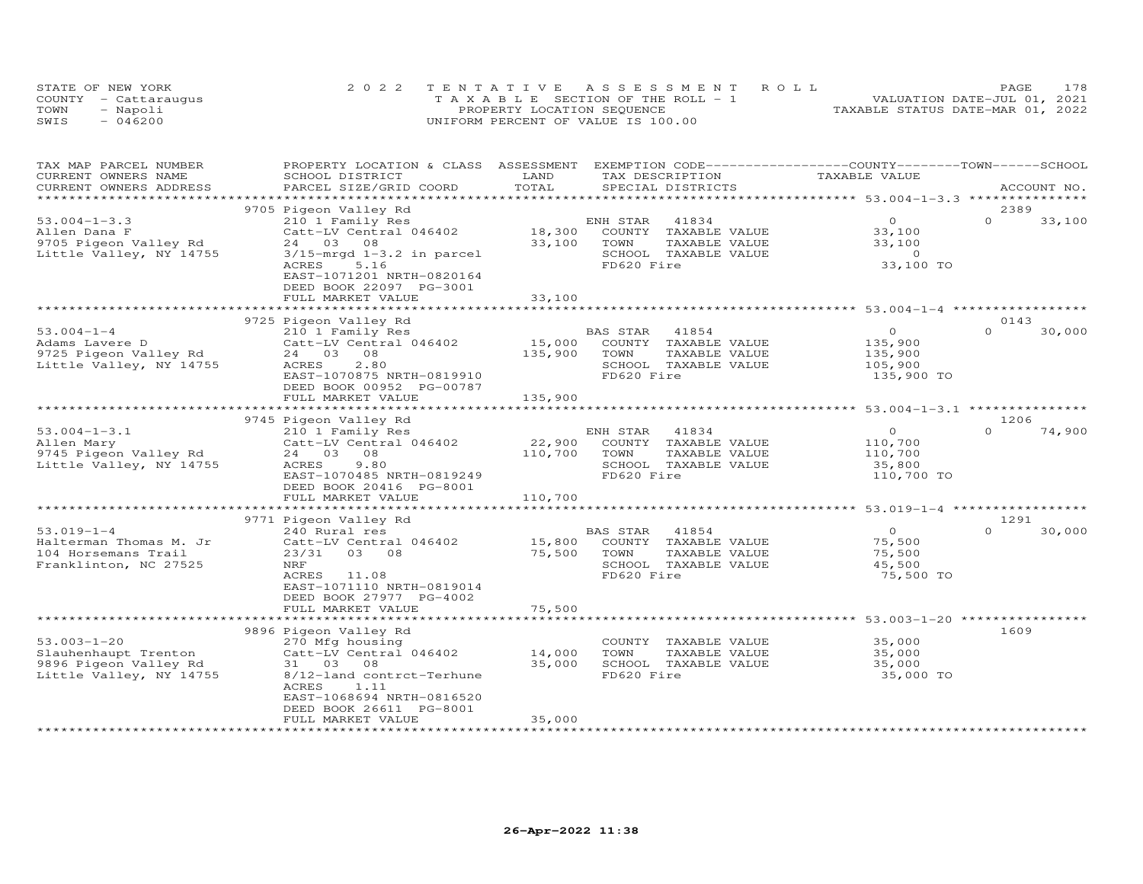|      | STATE OF NEW YORK    | 2022 TENTATIVE ASSESSMENT ROLL        | 178<br>PAGE                      |
|------|----------------------|---------------------------------------|----------------------------------|
|      | COUNTY - Cattaraugus | T A X A B L E SECTION OF THE ROLL - 1 | VALUATION DATE-JUL 01, 2021      |
| TOWN | - Napoli             | PROPERTY LOCATION SEQUENCE            | TAXABLE STATUS DATE-MAR 01, 2022 |
| SWIS | $-046200$            | UNIFORM PERCENT OF VALUE IS 100.00    |                                  |

| TAX MAP PARCEL NUMBER<br>CURRENT OWNERS NAME<br>CURRENT OWNERS ADDRESS                        | PROPERTY LOCATION & CLASS ASSESSMENT EXEMPTION CODE----------------COUNTY-------TOWN------SCHOOL<br>SCHOOL DISTRICT<br>PARCEL SIZE/GRID COORD                                                                   | LAND<br>TOTAL                | TAX DESCRIPTION<br>SPECIAL DISTRICTS                                                                     | TAXABLE VALUE                                              | ACCOUNT NO.                |
|-----------------------------------------------------------------------------------------------|-----------------------------------------------------------------------------------------------------------------------------------------------------------------------------------------------------------------|------------------------------|----------------------------------------------------------------------------------------------------------|------------------------------------------------------------|----------------------------|
|                                                                                               |                                                                                                                                                                                                                 |                              |                                                                                                          |                                                            |                            |
| $53.004 - 1 - 3.3$<br>Allen Dana F<br>9705 Pigeon Valley Rd<br>Little Valley, NY 14755        | 9705 Pigeon Valley Rd<br>210 1 Family Res<br>Catt-LV Central 046402<br>24 03 08<br>$3/15$ -mrgd $1-3.2$ in parcel<br>ACRES<br>5.16<br>EAST-1071201 NRTH-0820164<br>DEED BOOK 22097 PG-3001<br>FULL MARKET VALUE | 18,300<br>33,100<br>33,100   | ENH STAR<br>41834<br>COUNTY TAXABLE VALUE<br>TOWN<br>TAXABLE VALUE<br>SCHOOL TAXABLE VALUE<br>FD620 Fire | $\circ$<br>33,100<br>33,100<br>$\overline{0}$<br>33,100 TO | 2389<br>$\Omega$<br>33,100 |
|                                                                                               | 9725 Pigeon Valley Rd                                                                                                                                                                                           |                              |                                                                                                          |                                                            | 0143                       |
| $53.004 - 1 - 4$<br>Adams Lavere D<br>9725 Pigeon Valley Rd<br>Little Valley, NY 14755        | 210 1 Family Res<br>Catt-LV Central 046402<br>24 03 08<br>2.80<br>ACRES<br>EAST-1070875 NRTH-0819910<br>DEED BOOK 00952 PG-00787<br>FULL MARKET VALUE                                                           | 15,000<br>135,900<br>135,900 | BAS STAR<br>41854<br>COUNTY TAXABLE VALUE<br>TOWN<br>TAXABLE VALUE<br>SCHOOL TAXABLE VALUE<br>FD620 Fire | $\circ$<br>135,900<br>135,900<br>105,900<br>135,900 TO     | $\Omega$<br>30,000         |
|                                                                                               |                                                                                                                                                                                                                 |                              |                                                                                                          |                                                            |                            |
| $53.004 - 1 - 3.1$<br>Allen Mary<br>9745 Pigeon Valley Rd<br>Little Valley, NY 14755          | 9745 Pigeon Valley Rd<br>210 1 Family Res<br>Catt-LV Central 046402<br>24 03<br>08<br>ACRES<br>9.80<br>EAST-1070485 NRTH-0819249<br>DEED BOOK 20416 PG-8001<br>FULL MARKET VALUE                                | 22,900<br>110,700<br>110,700 | ENH STAR<br>41834<br>COUNTY TAXABLE VALUE<br>TOWN<br>TAXABLE VALUE<br>SCHOOL TAXABLE VALUE<br>FD620 Fire | $\circ$<br>110,700<br>110,700<br>35,800<br>110,700 TO      | 1206<br>$\cap$<br>74,900   |
|                                                                                               | *************************<br>9771 Pigeon Valley Rd                                                                                                                                                              |                              |                                                                                                          | ********************* 53.019-1-4 **************            | 1291                       |
| $53.019 - 1 - 4$<br>Halterman Thomas M. Jr<br>104 Horsemans Trail<br>Franklinton, NC 27525    | 240 Rural res<br>Catt-LV Central 046402<br>23/31 03 08<br>NRF<br>ACRES<br>11.08<br>EAST-1071110 NRTH-0819014<br>DEED BOOK 27977 PG-4002                                                                         | 15,800<br>75,500             | 41854<br>BAS STAR<br>COUNTY TAXABLE VALUE<br>TOWN<br>TAXABLE VALUE<br>SCHOOL TAXABLE VALUE<br>FD620 Fire | $\overline{O}$<br>75,500<br>75,500<br>45,500<br>75,500 TO  | $\Omega$<br>30,000         |
|                                                                                               | FULL MARKET VALUE<br>*******************                                                                                                                                                                        | 75,500                       |                                                                                                          | ************************** 53.003-1-20 ****                |                            |
| $53.003 - 1 - 20$<br>Slauhenhaupt Trenton<br>9896 Pigeon Valley Rd<br>Little Valley, NY 14755 | 9896 Pigeon Valley Rd<br>270 Mfg housing<br>Catt-LV Central 046402<br>31 03 08<br>8/12-land contrct-Terhune<br>1.11<br>ACRES<br>EAST-1068694 NRTH-0816520<br>DEED BOOK 26611 PG-8001                            | 14,000<br>35,000             | COUNTY TAXABLE VALUE<br>TOWN<br>TAXABLE VALUE<br>SCHOOL TAXABLE VALUE<br>FD620 Fire                      | 35,000<br>35,000<br>35,000<br>35,000 TO                    | 1609                       |
|                                                                                               | FULL MARKET VALUE                                                                                                                                                                                               | 35,000                       |                                                                                                          |                                                            |                            |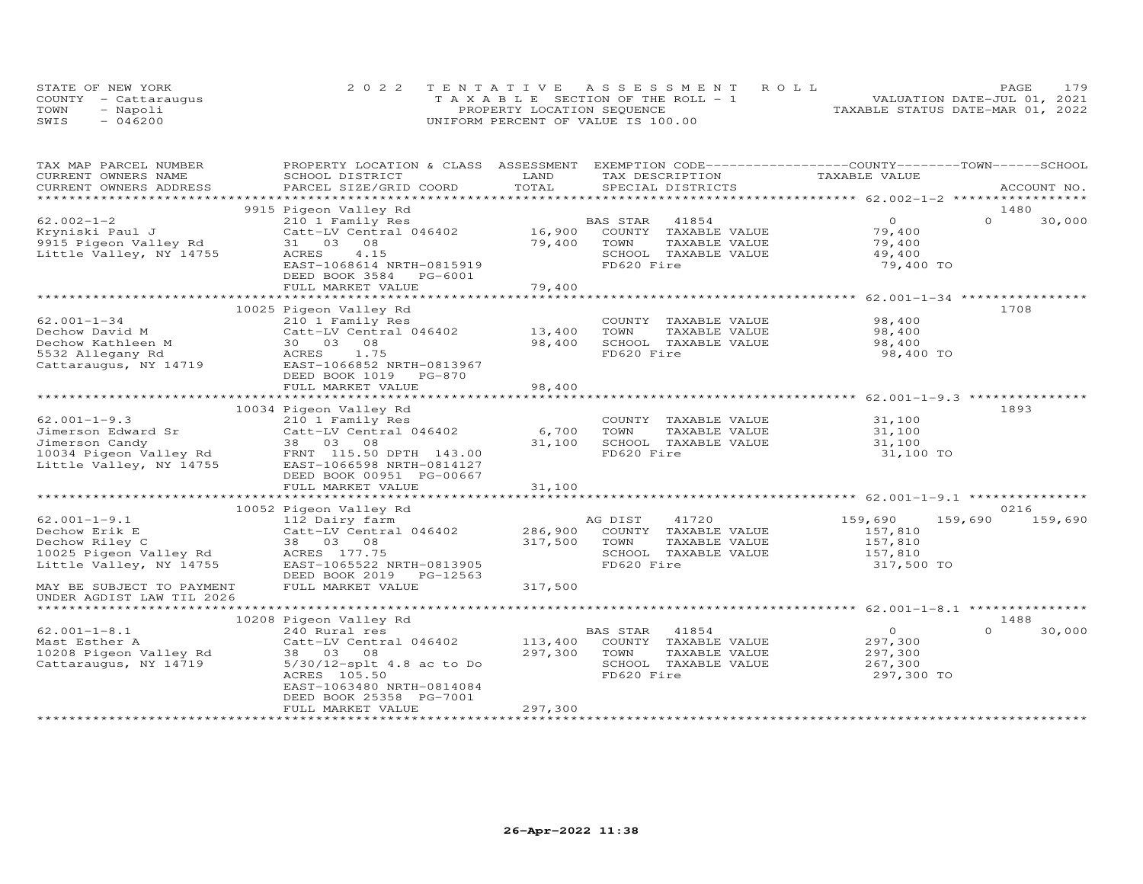|      | STATE OF NEW YORK    | 2022 TENTATIVE ASSESSMENT ROLL        | 179<br>PAGE                      |
|------|----------------------|---------------------------------------|----------------------------------|
|      | COUNTY - Cattarauqus | T A X A B L E SECTION OF THE ROLL - 1 | VALUATION DATE-JUL 01, 2021      |
| TOWN | - Napoli             | PROPERTY LOCATION SEQUENCE            | TAXABLE STATUS DATE-MAR 01, 2022 |
| SWIS | $-046200$            | UNIFORM PERCENT OF VALUE IS 100.00    |                                  |

| TAX MAP PARCEL NUMBER     | PROPERTY LOCATION & CLASS ASSESSMENT                                                                                                                                                                                                 |                | EXEMPTION CODE-----------------COUNTY-------TOWN------SCHOOL |                                           |                    |
|---------------------------|--------------------------------------------------------------------------------------------------------------------------------------------------------------------------------------------------------------------------------------|----------------|--------------------------------------------------------------|-------------------------------------------|--------------------|
| CURRENT OWNERS NAME       | SCHOOL DISTRICT                                                                                                                                                                                                                      | LAND<br>TOTAL  | TAX DESCRIPTION                                              | TAXABLE VALUE                             |                    |
| CURRENT OWNERS ADDRESS    | PARCEL SIZE/GRID COORD                                                                                                                                                                                                               |                | SPECIAL DISTRICTS                                            |                                           | ACCOUNT NO.        |
|                           | 9915 Pigeon Valley Rd                                                                                                                                                                                                                |                |                                                              |                                           | 1480               |
| $62.002 - 1 - 2$          | 210 1 Family Res                                                                                                                                                                                                                     |                | BAS STAR<br>41854                                            | $\overline{O}$                            | $\Omega$<br>30,000 |
| Kryniski Paul J           | Catt-LV Central 046402                                                                                                                                                                                                               | 16,900         | COUNTY TAXABLE VALUE                                         | 79,400                                    |                    |
| 9915 Pigeon Valley Rd     | 31 03 08                                                                                                                                                                                                                             | 79,400         | TAXABLE VALUE<br>TOWN                                        | 79,400                                    |                    |
| Little Valley, NY 14755   | ACRES<br>4.15                                                                                                                                                                                                                        |                | SCHOOL TAXABLE VALUE                                         | 49,400                                    |                    |
|                           | EAST-1068614 NRTH-0815919                                                                                                                                                                                                            |                | FD620 Fire                                                   | 79,400 TO                                 |                    |
|                           | DEED BOOK 3584 PG-6001                                                                                                                                                                                                               |                |                                                              |                                           |                    |
|                           | FULL MARKET VALUE                                                                                                                                                                                                                    | 79,400         |                                                              |                                           |                    |
|                           |                                                                                                                                                                                                                                      |                |                                                              |                                           |                    |
|                           | 10025 Pigeon Valley Rd                                                                                                                                                                                                               |                |                                                              |                                           | 1708               |
| $62.001 - 1 - 34$         | 210 1 Family Res                                                                                                                                                                                                                     |                | COUNTY TAXABLE VALUE                                         | 98,400                                    |                    |
| Dechow David M            | Catt-LV Central 046402                                                                                                                                                                                                               | 13,400         | TOWN<br>TAXABLE VALUE                                        | 98,400                                    |                    |
| Dechow Kathleen M         | 30  03  08                                                                                                                                                                                                                           | 98,400         | SCHOOL TAXABLE VALUE                                         | 98,400                                    |                    |
| 5532 Allegany Rd          | ACRES 1.75                                                                                                                                                                                                                           |                | FD620 Fire                                                   | 98,400 TO                                 |                    |
| Cattaraugus, NY 14719     | EAST-1066852 NRTH-0813967                                                                                                                                                                                                            |                |                                                              |                                           |                    |
|                           | DEED BOOK 1019 PG-870                                                                                                                                                                                                                |                |                                                              |                                           |                    |
|                           | FULL MARKET VALUE                                                                                                                                                                                                                    | 98,400         |                                                              |                                           |                    |
|                           | ******************************                                                                                                                                                                                                       | ************** |                                                              | ************************ 62.001-1-9.3 *** |                    |
|                           | 10034 Pigeon Valley Rd                                                                                                                                                                                                               |                |                                                              |                                           | 1893               |
| $62.001 - 1 - 9.3$        | 210 1 Family Res                                                                                                                                                                                                                     |                | COUNTY TAXABLE VALUE                                         | 31,100                                    |                    |
| Jimerson Edward Sr        | Catt-LV Central 046402                                                                                                                                                                                                               | 6,700          | TOWN<br>TAXABLE VALUE                                        | 31,100                                    |                    |
| Jimerson Candy            | 38 03 08                                                                                                                                                                                                                             | 31,100         | SCHOOL TAXABLE VALUE                                         | 31,100                                    |                    |
|                           | University of the Maritan of the Samuel Constantine of the Maritan of the Maritan of the Maritan of the Marita<br>The Maritan of the Maritan of the Maritan of the Maritan of the Maritan of the Maritan of the Maritan of the M<br> |                | FD620 Fire                                                   | 31,100 TO                                 |                    |
|                           |                                                                                                                                                                                                                                      |                |                                                              |                                           |                    |
|                           | DEED BOOK 00951 PG-00667                                                                                                                                                                                                             |                |                                                              |                                           |                    |
|                           | FULL MARKET VALUE                                                                                                                                                                                                                    | 31,100         |                                                              |                                           |                    |
|                           | 10052 Pigeon Valley Rd                                                                                                                                                                                                               |                |                                                              |                                           | 0216               |
| $62.001 - 1 - 9.1$        | 112 Dairy farm                                                                                                                                                                                                                       |                | AG DIST<br>41720                                             | 159,690                                   | 159,690<br>159,690 |
| Dechow Erik E             | Catt-LV Central 046402                                                                                                                                                                                                               | 286,900        | COUNTY TAXABLE VALUE                                         | 157,810                                   |                    |
| Dechow Riley C            | 38 03 08                                                                                                                                                                                                                             | 317,500        | TAXABLE VALUE<br>TOWN                                        | 157,810                                   |                    |
| 10025 Pigeon Valley Rd    | ACRES 177.75                                                                                                                                                                                                                         |                | SCHOOL TAXABLE VALUE                                         | 157,810                                   |                    |
| Little Valley, NY 14755   | EAST-1065522 NRTH-0813905                                                                                                                                                                                                            |                | FD620 Fire                                                   | 317,500 TO                                |                    |
|                           | DEED BOOK 2019 PG-12563                                                                                                                                                                                                              |                |                                                              |                                           |                    |
| MAY BE SUBJECT TO PAYMENT | FULL MARKET VALUE                                                                                                                                                                                                                    | 317,500        |                                                              |                                           |                    |
| UNDER AGDIST LAW TIL 2026 |                                                                                                                                                                                                                                      |                |                                                              |                                           |                    |
|                           |                                                                                                                                                                                                                                      |                |                                                              |                                           |                    |
|                           | 10208 Pigeon Valley Rd                                                                                                                                                                                                               |                |                                                              |                                           | 1488               |
| $62.001 - 1 - 8.1$        | 240 Rural res                                                                                                                                                                                                                        |                | BAS STAR<br>41854                                            | $\circ$                                   | $\Omega$<br>30,000 |
| Mast Esther A             | Catt-LV Central 046402                                                                                                                                                                                                               | 113,400        | COUNTY TAXABLE VALUE                                         | 297,300                                   |                    |
| 10208 Pigeon Valley Rd    | 38 03 08                                                                                                                                                                                                                             | 297,300        | TOWN<br>TAXABLE VALUE                                        | 297,300                                   |                    |
| Cattaraugus, NY 14719     | 5/30/12-splt 4.8 ac to Do                                                                                                                                                                                                            |                | SCHOOL TAXABLE VALUE                                         | 267,300                                   |                    |
|                           | ACRES 105.50                                                                                                                                                                                                                         |                | FD620 Fire                                                   | 297,300 TO                                |                    |
|                           | EAST-1063480 NRTH-0814084                                                                                                                                                                                                            |                |                                                              |                                           |                    |
|                           | DEED BOOK 25358 PG-7001                                                                                                                                                                                                              |                |                                                              |                                           |                    |
|                           | FULL MARKET VALUE                                                                                                                                                                                                                    | 297,300        |                                                              |                                           |                    |
|                           |                                                                                                                                                                                                                                      |                |                                                              |                                           |                    |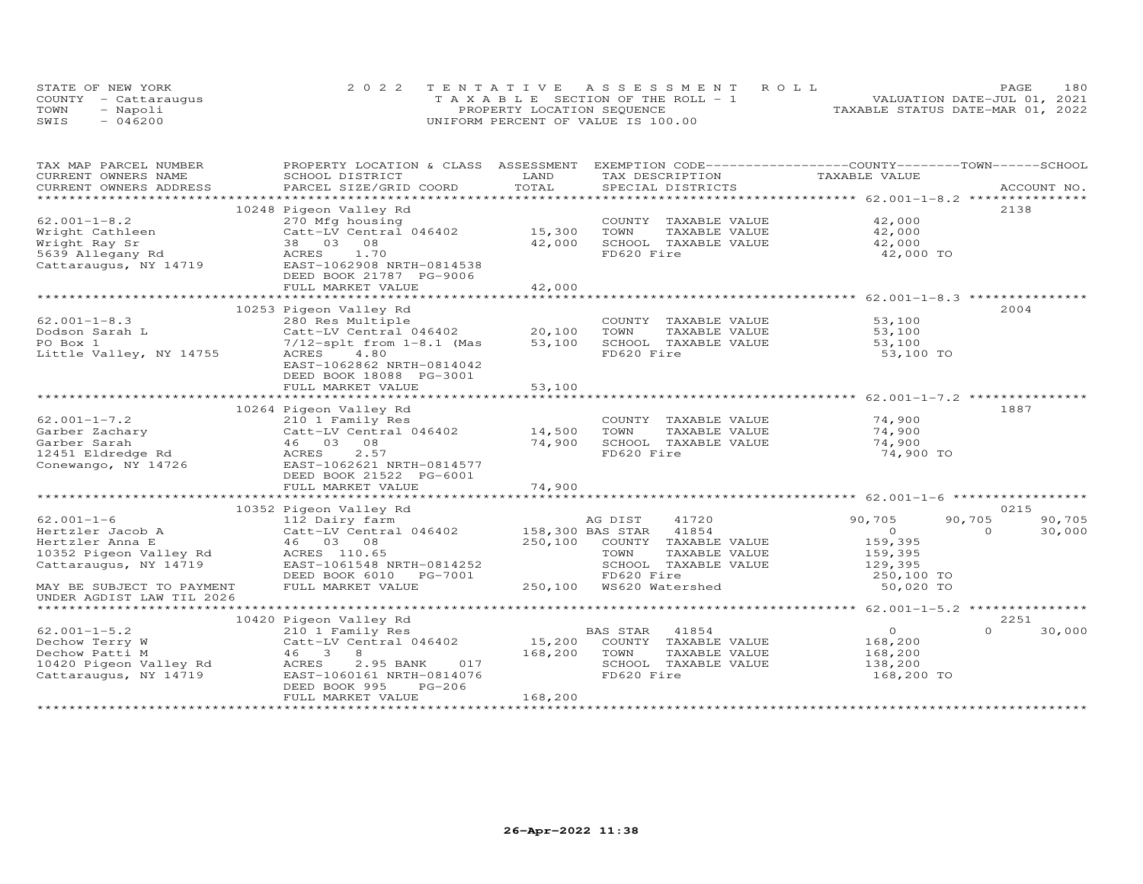|      | STATE OF NEW YORK    | 2022 TENTATIVE ASSESSMENT ROLL        | 180<br>PAGE                      |
|------|----------------------|---------------------------------------|----------------------------------|
|      | COUNTY - Cattaraugus | T A X A B L E SECTION OF THE ROLL - 1 | VALUATION DATE-JUL 01, 2021      |
| TOWN | - Napoli             | PROPERTY LOCATION SEQUENCE            | TAXABLE STATUS DATE-MAR 01, 2022 |
| SWIS | $-046200$            | UNIFORM PERCENT OF VALUE IS 100.00    |                                  |

| TAX MAP PARCEL NUMBER<br>CURRENT OWNERS NAME | PROPERTY LOCATION & CLASS ASSESSMENT<br>SCHOOL DISTRICT         | LAND             | EXEMPTION CODE-----------------COUNTY-------TOWN------SCHOOL<br>TAX DESCRIPTION | TAXABLE VALUE         |                    |
|----------------------------------------------|-----------------------------------------------------------------|------------------|---------------------------------------------------------------------------------|-----------------------|--------------------|
| CURRENT OWNERS ADDRESS                       | PARCEL SIZE/GRID COORD                                          | TOTAL            | SPECIAL DISTRICTS                                                               |                       | ACCOUNT NO.        |
|                                              |                                                                 |                  |                                                                                 |                       |                    |
|                                              | 10248 Pigeon Valley Rd                                          |                  |                                                                                 |                       | 2138               |
| $62.001 - 1 - 8.2$                           | 270 Mfg housing                                                 |                  | COUNTY TAXABLE VALUE                                                            | 42,000                |                    |
| Wright Cathleen                              | Catt-LV Central 046402                                          | 15,300           | TOWN<br>TAXABLE VALUE                                                           | 42,000                |                    |
| Wright Ray Sr                                | 38 03 08                                                        | 42,000           | SCHOOL TAXABLE VALUE                                                            | 42,000                |                    |
| 5639 Allegany Rd                             | ACRES 1.70                                                      |                  | FD620 Fire                                                                      | 42,000 TO             |                    |
| Cattaraugus, NY 14719                        | EAST-1062908 NRTH-0814538                                       |                  |                                                                                 |                       |                    |
|                                              | DEED BOOK 21787 PG-9006                                         |                  |                                                                                 |                       |                    |
|                                              | FULL MARKET VALUE                                               | 42,000           |                                                                                 |                       |                    |
|                                              |                                                                 |                  |                                                                                 |                       |                    |
|                                              | 10253 Pigeon Valley Rd                                          |                  |                                                                                 |                       | 2004               |
| $62.001 - 1 - 8.3$                           | 280 Res Multiple                                                |                  | COUNTY TAXABLE VALUE                                                            | 53,100                |                    |
| Dodson Sarah L                               | $Cat-LV$ Central $046402$                                       | 20,100           | TAXABLE VALUE<br>TOWN                                                           | 53,100                |                    |
| PO Box 1                                     | $7/12$ -splt from $1-8.1$ (Mas                                  | 53,100           | SCHOOL TAXABLE VALUE                                                            | 53,100                |                    |
| Little Valley, NY 14755                      | 4.80<br>ACRES                                                   |                  | FD620 Fire                                                                      | 53,100 TO             |                    |
|                                              | EAST-1062862 NRTH-0814042                                       |                  |                                                                                 |                       |                    |
|                                              | DEED BOOK 18088 PG-3001                                         |                  |                                                                                 |                       |                    |
|                                              | FULL MARKET VALUE                                               | 53,100           |                                                                                 |                       |                    |
|                                              |                                                                 |                  |                                                                                 |                       |                    |
|                                              | 10264 Pigeon Valley Rd                                          |                  |                                                                                 |                       | 1887               |
| $62.001 - 1 - 7.2$                           |                                                                 |                  | COUNTY TAXABLE VALUE                                                            | 74,900                |                    |
| Garber Zachary<br>Curber Sarah               | Catt-LV Central 046402                                          | 14,500           | TOWN<br>TAXABLE VALUE                                                           | 74,900                |                    |
| Garber Sarah                                 | 210 1 Family Res<br>Catt-LV Central 0<br>46 03 08<br>ACRES 2.57 | 74,900           | SCHOOL TAXABLE VALUE                                                            | 74,900                |                    |
| 12451 Eldredge Rd                            |                                                                 |                  | FD620 Fire                                                                      | 74,900 TO             |                    |
| Conewango, NY 14726                          | EAST-1062621 NRTH-0814577                                       |                  |                                                                                 |                       |                    |
|                                              | DEED BOOK 21522 PG-6001                                         |                  |                                                                                 |                       |                    |
|                                              | FULL MARKET VALUE                                               | 74,900           |                                                                                 |                       |                    |
|                                              |                                                                 |                  |                                                                                 |                       |                    |
|                                              | 10352 Pigeon Valley Rd                                          |                  |                                                                                 |                       | 0215               |
| $62.001 - 1 - 6$                             | 112 Dairy farm                                                  |                  | AG DIST<br>41720                                                                | 90,705<br>90,705      | 90,705             |
| Hertzler Jacob A                             | Catt-LV Central 046402                                          | 158,300 BAS STAR | 41854                                                                           | $\overline{0}$        | 30,000<br>$\Omega$ |
| Hertzler Anna E                              | 46 03 08                                                        |                  | 250,100 COUNTY TAXABLE VALUE                                                    | 159,395               |                    |
| 10352 Pigeon Valley Rd ACRES 110.65          |                                                                 |                  | TOWN<br>TAXABLE VALUE                                                           | 159,395               |                    |
| Cattaraugus, NY 14719                        | EAST-1061548 NRTH-0814252                                       |                  | SCHOOL TAXABLE VALUE                                                            |                       |                    |
|                                              | DEED BOOK 6010 PG-7001                                          |                  | FD620 Fire                                                                      | 129,395<br>250,100 TO |                    |
| MAY BE SUBJECT TO PAYMENT                    | FULL MARKET VALUE                                               |                  | 250,100 WS620 Watershed                                                         | 50,020 TO             |                    |
| UNDER AGDIST LAW TIL 2026                    |                                                                 |                  |                                                                                 |                       |                    |
|                                              |                                                                 |                  |                                                                                 |                       |                    |
|                                              | 10420 Pigeon Valley Rd                                          |                  |                                                                                 |                       | 2251               |
| $62.001 - 1 - 5.2$                           | 210 1 Family Res                                                |                  | BAS STAR<br>41854                                                               | $\overline{O}$        | $\Omega$<br>30,000 |
| Dechow Terry W                               | Catt-LV Central 046402                                          | 15,200           | COUNTY TAXABLE VALUE                                                            | 168,200               |                    |
| Dechow Patti M                               | 46 3<br>8                                                       | 168,200          | TOWN<br>TAXABLE VALUE                                                           | 168,200               |                    |
| 10420 Pigeon Valley Rd ACRES                 | 017<br>2.95 BANK                                                |                  | SCHOOL TAXABLE VALUE                                                            | 138,200               |                    |
| Cattaraugus, NY 14719                        | EAST-1060161 NRTH-0814076                                       |                  | FD620 Fire                                                                      | 168,200 TO            |                    |
|                                              | DEED BOOK 995<br>$PG-206$                                       |                  |                                                                                 |                       |                    |
|                                              | FULL MARKET VALUE                                               | 168,200          |                                                                                 |                       |                    |
|                                              |                                                                 |                  |                                                                                 |                       |                    |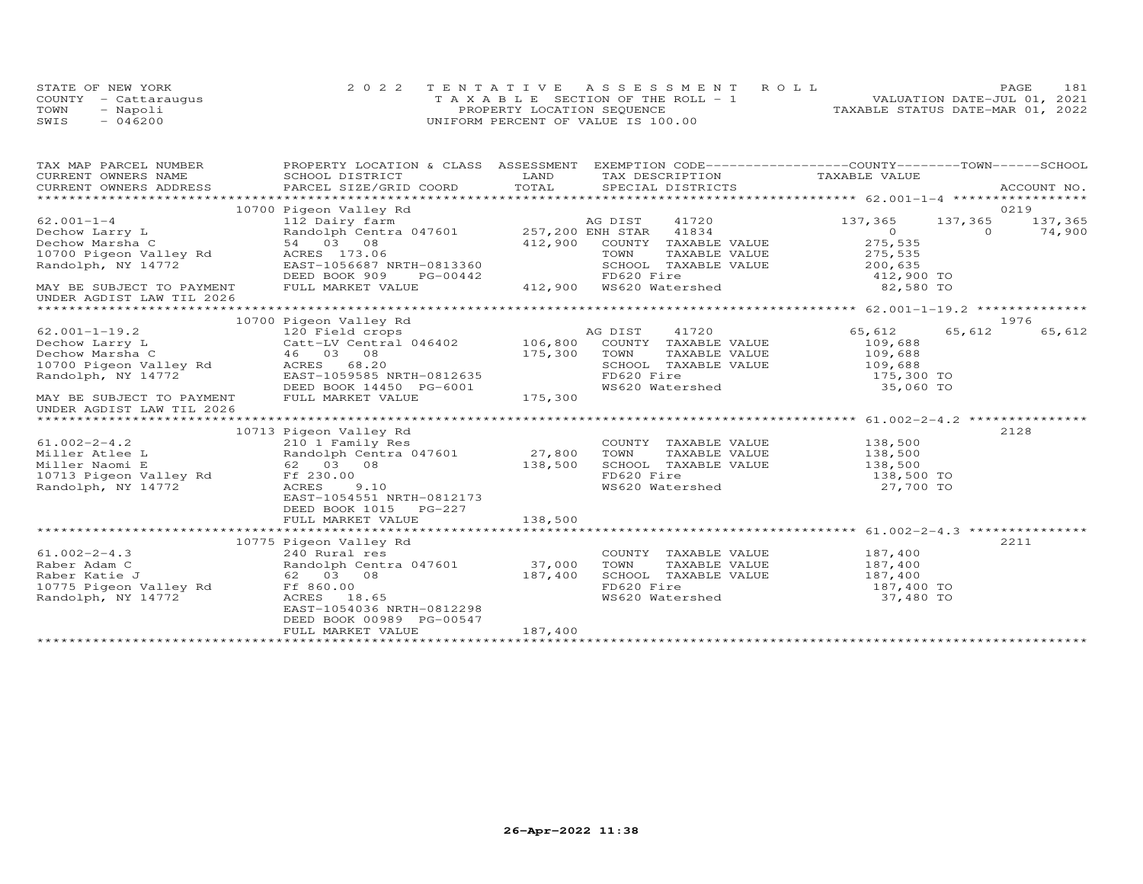|      | STATE OF NEW YORK    | 2022 TENTATIVE ASSESSMENT ROLL     |  |                                  | PAGE | 181 |
|------|----------------------|------------------------------------|--|----------------------------------|------|-----|
|      | COUNTY - Cattaraugus | TAXABLE SECTION OF THE ROLL - 1    |  | VALUATION DATE-JUL 01, 2021      |      |     |
| TOWN | - Napoli             | PROPERTY LOCATION SEQUENCE         |  | TAXABLE STATUS DATE-MAR 01, 2022 |      |     |
| SWIS | $-046200$            | UNIFORM PERCENT OF VALUE IS 100.00 |  |                                  |      |     |

| TAX MAP PARCEL NUMBER                                            | PROPERTY LOCATION & CLASS ASSESSMENT EXEMPTION CODE----------------COUNTY-------TOWN------SCHOOL                                                                                                                                                         |              |                                                                                     |                       |         |               |
|------------------------------------------------------------------|----------------------------------------------------------------------------------------------------------------------------------------------------------------------------------------------------------------------------------------------------------|--------------|-------------------------------------------------------------------------------------|-----------------------|---------|---------------|
| CURRENT OWNERS NAME                                              | SCHOOL DISTRICT                                                                                                                                                                                                                                          | LAND         | TAX DESCRIPTION                                                                     | TAXABLE VALUE         |         |               |
|                                                                  | .CURRENT OWNERS ADDRESS PARCEL SIZE/GRID COORD TOTAL SPECIAL DISTRICTS ACCOUNT NO ACCOUNT NO ACCOUNT NO ARE THE SERVER AND THE SERVER AS THE SERVER OF THE SERVER OF THE SERVER OF THE SERVER OF THE SERVER OF THE SERVER OF T                           |              |                                                                                     |                       |         |               |
|                                                                  | 10700 Pigeon Valley Rd                                                                                                                                                                                                                                   |              |                                                                                     |                       |         | 0219          |
|                                                                  | Dechow Larry L<br>Dechow Larry L<br>Dechow Marsha C<br>10700 Pigeon Valley Rd<br>Randolph, NY 14772<br>Randolph, NY 14772<br>Pang 1073116<br>Pang 1073116<br>Pang 1073116<br>Pang 1073116<br>Pang 1073116<br>Pang 1073116<br>Pang 1073116<br>Pang 107311 |              | 41720                                                                               | 137,365               | 137,365 | 137,365       |
|                                                                  |                                                                                                                                                                                                                                                          |              |                                                                                     | $\Omega$              |         | $0 \t 74,900$ |
|                                                                  |                                                                                                                                                                                                                                                          |              | 412,900 COUNTY TAXABLE VALUE                                                        | 275,535               |         |               |
|                                                                  |                                                                                                                                                                                                                                                          |              |                                                                                     | 275,535               |         |               |
|                                                                  | EAST-1056687 NRTH-0813360                                                                                                                                                                                                                                |              | TOWN TAXABLE VALUE 275,535<br>SCHOOL TAXABLE VALUE 200,635                          |                       |         |               |
|                                                                  | DEED BOOK 909<br>PG-00442                                                                                                                                                                                                                                |              |                                                                                     |                       |         |               |
| MAY BE SUBJECT TO PAYMENT FULL MARKET VALUE                      |                                                                                                                                                                                                                                                          |              | G-00442 FD620 Fire 412,900 TO<br>412,900 WS620 Watershed 82,580 TO                  |                       |         |               |
| UNDER AGDIST LAW TIL 2026                                        |                                                                                                                                                                                                                                                          |              |                                                                                     |                       |         |               |
|                                                                  |                                                                                                                                                                                                                                                          |              |                                                                                     |                       |         |               |
|                                                                  | 10700 Pigeon Valley Rd                                                                                                                                                                                                                                   |              |                                                                                     |                       |         | 1976          |
| $62.001 - 1 - 19.2$                                              |                                                                                                                                                                                                                                                          |              |                                                                                     | 65,612                | 65,612  | 65,612        |
| Dechow Larry L                                                   |                                                                                                                                                                                                                                                          |              |                                                                                     | 109,688               |         |               |
|                                                                  |                                                                                                                                                                                                                                                          | 175,300 TOWN |                                                                                     |                       |         |               |
|                                                                  |                                                                                                                                                                                                                                                          |              |                                                                                     |                       |         |               |
|                                                                  |                                                                                                                                                                                                                                                          |              | TOWN TAXABLE VALUE 109,688<br>SCHOOL TAXABLE VALUE 109,688<br>FD620 Fire 175,300 TO |                       |         |               |
|                                                                  |                                                                                                                                                                                                                                                          |              | WS620 Watershed 35,060 TO                                                           |                       |         |               |
| DEED BOOK 14450 F<br>MAY BE SUBJECT TO PAYMENT FULL MARKET VALUE |                                                                                                                                                                                                                                                          |              |                                                                                     |                       |         |               |
| UNDER AGDIST LAW TIL 2026                                        |                                                                                                                                                                                                                                                          |              |                                                                                     |                       |         |               |
|                                                                  |                                                                                                                                                                                                                                                          |              |                                                                                     |                       |         |               |
|                                                                  | 10713 Pigeon Valley Rd                                                                                                                                                                                                                                   |              |                                                                                     |                       |         | 2128          |
|                                                                  |                                                                                                                                                                                                                                                          |              | COUNTY TAXABLE VALUE 138,500                                                        |                       |         |               |
|                                                                  |                                                                                                                                                                                                                                                          |              | TOWN                                                                                | TAXABLE VALUE 138,500 |         |               |
|                                                                  | 61.002-2-4.2<br>Miller Atlee L<br>Miller Naomi E<br>Miller Naomi E<br>52 03 08 138,500                                                                                                                                                                   |              | SCHOOL TAXABLE VALUE 138,500                                                        |                       |         |               |
| 10713 Pigeon Valley Rd Ff 230.00<br>Randolph, NY 14772 ACRES 9   |                                                                                                                                                                                                                                                          |              | FD620 Fire<br>FD620 Fire<br>WS620 Watershed                                         | $138,500$ TO          |         |               |
|                                                                  | 9.10                                                                                                                                                                                                                                                     |              |                                                                                     |                       |         |               |
|                                                                  | EAST-1054551 NRTH-0812173                                                                                                                                                                                                                                |              |                                                                                     |                       |         |               |
|                                                                  | DEED BOOK 1015 PG-227                                                                                                                                                                                                                                    |              |                                                                                     |                       |         |               |
|                                                                  | FULL MARKET VALUE                                                                                                                                                                                                                                        | 138,500      |                                                                                     |                       |         |               |
|                                                                  |                                                                                                                                                                                                                                                          |              |                                                                                     |                       |         |               |
|                                                                  | 10775 Pigeon Valley Rd                                                                                                                                                                                                                                   |              |                                                                                     |                       |         | 2211          |
| $61.002 - 2 - 4.3$                                               | 240 Rural res                                                                                                                                                                                                                                            |              | COUNTY TAXABLE VALUE 187,400<br>TOWN      TAXABLE VALUE 187,400                     |                       |         |               |
| Raber Adam C                                                     |                                                                                                                                                                                                                                                          |              |                                                                                     |                       |         |               |
| Raber Katie J                                                    | 240 Rural res<br>Randolph Centra 047601     37,000<br>62   03   08          187,400                                                                                                                                                                      |              | SCHOOL TAXABLE VALUE 187, 400                                                       |                       |         |               |
| 10775 Pigeon Valley Rd<br>Ff 860.00                              |                                                                                                                                                                                                                                                          |              | FD620 Fire 187,400 TO<br>WS620 Watershed 37,480 TO                                  |                       |         |               |
| Randolph, NY 14772                                               | ACRES 18.65                                                                                                                                                                                                                                              |              |                                                                                     |                       |         |               |
|                                                                  | EAST-1054036 NRTH-0812298                                                                                                                                                                                                                                |              |                                                                                     |                       |         |               |
|                                                                  | DEED BOOK 00989 PG-00547                                                                                                                                                                                                                                 |              |                                                                                     |                       |         |               |
|                                                                  | FULL MARKET VALUE                                                                                                                                                                                                                                        | 187,400      |                                                                                     |                       |         |               |
|                                                                  |                                                                                                                                                                                                                                                          |              |                                                                                     |                       |         |               |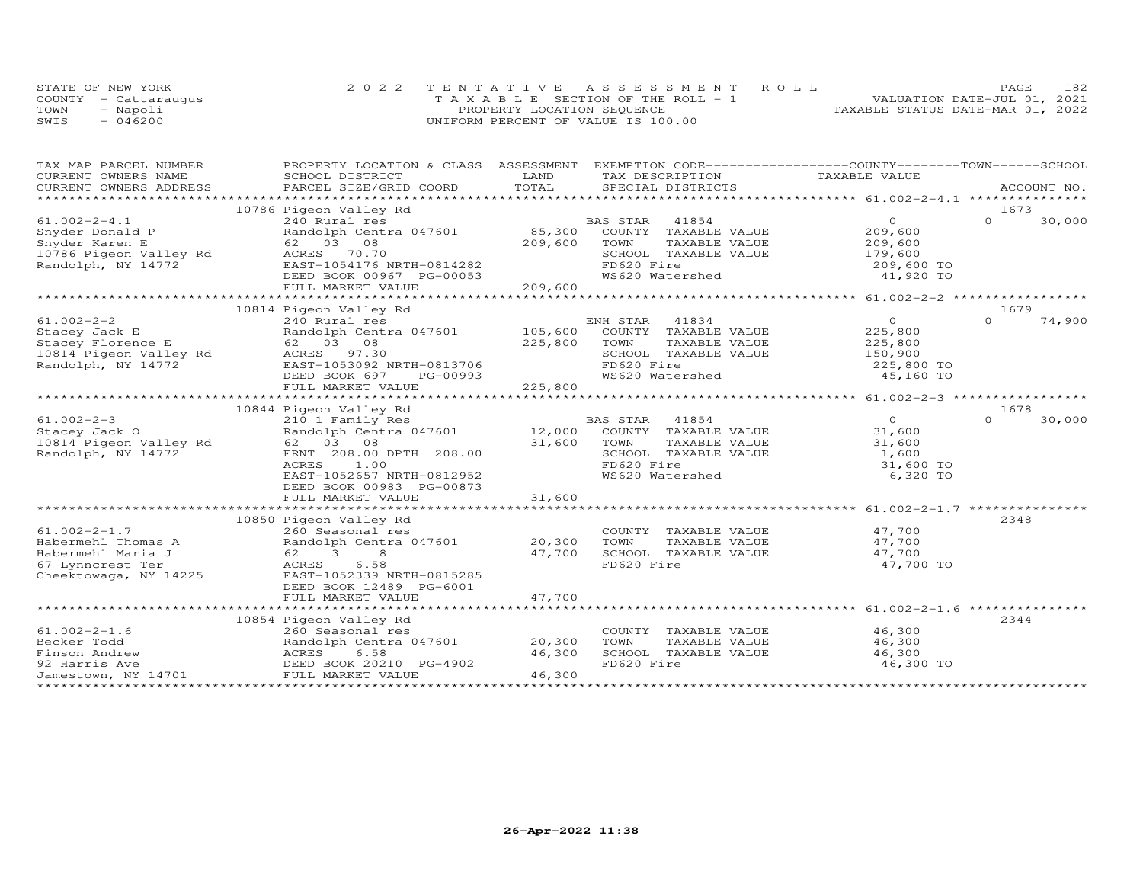|      | STATE OF NEW YORK    | 2022 TENTATIVE ASSESSMENT ROLL        |                                  | PAGE | 182 |
|------|----------------------|---------------------------------------|----------------------------------|------|-----|
|      | COUNTY - Cattaraugus | T A X A B L E SECTION OF THE ROLL - 1 | VALUATION DATE-JUL 01, 2021      |      |     |
| TOWN | - Napoli             | PROPERTY LOCATION SEQUENCE            | TAXABLE STATUS DATE-MAR 01, 2022 |      |     |
| SWIS | $-046200$            | UNIFORM PERCENT OF VALUE IS 100.00    |                                  |      |     |

| TAX MAP PARCEL NUMBER  | PROPERTY LOCATION & CLASS ASSESSMENT |                       | EXEMPTION CODE------------------COUNTY-------TOWN------SCHOOL |                                                 |                    |
|------------------------|--------------------------------------|-----------------------|---------------------------------------------------------------|-------------------------------------------------|--------------------|
| CURRENT OWNERS NAME    | SCHOOL DISTRICT                      | LAND                  | TAX DESCRIPTION                                               | TAXABLE VALUE                                   |                    |
| CURRENT OWNERS ADDRESS |                                      | TOTAL                 |                                                               |                                                 |                    |
| ********************** |                                      |                       |                                                               |                                                 |                    |
|                        | 10786 Pigeon Valley Rd               |                       |                                                               |                                                 | 1673               |
| $61.002 - 2 - 4.1$     | 240 Rural res                        |                       | 41854<br>BAS STAR                                             | $\circ$                                         | $\Omega$<br>30,000 |
| Snyder Donald P        | Randolph Centra 047601               | 85,300                | COUNTY TAXABLE VALUE                                          | 209,600                                         |                    |
| Snyder Karen E         | 62 03 08                             | 209,600               | TOWN<br>TAXABLE VALUE                                         | 209,600                                         |                    |
| 10786 Pigeon Valley Rd | ACRES<br>70.70                       |                       | SCHOOL TAXABLE VALUE                                          | 179,600                                         |                    |
| Randolph, NY 14772     | EAST-1054176 NRTH-0814282            |                       | FD620 Fire                                                    | 209,600 TO                                      |                    |
|                        | DEED BOOK 00967 PG-00053             |                       | WS620 Watershed                                               | 41,920 TO                                       |                    |
|                        | FULL MARKET VALUE                    | 209,600               |                                                               |                                                 |                    |
|                        |                                      |                       |                                                               | ******************* 61.002-2-2 **************** |                    |
|                        | 10814 Pigeon Valley Rd               |                       |                                                               |                                                 | 1679               |
| $61.002 - 2 - 2$       | 240 Rural res                        |                       | 41834<br>ENH STAR                                             | $\circ$                                         | 74,900<br>$\Omega$ |
|                        |                                      |                       |                                                               |                                                 |                    |
| Stacey Jack E          | Randolph Centra 047601 105,600       |                       | COUNTY TAXABLE VALUE                                          | 225,800                                         |                    |
| Stacey Florence E      | 62 03 08                             | 225,800               | TOWN<br>TAXABLE VALUE                                         | 225,800                                         |                    |
| 10814 Pigeon Valley Rd | ACRES<br>97.30                       |                       | SCHOOL TAXABLE VALUE                                          | 150,900                                         |                    |
| Randolph, NY 14772     | EAST-1053092 NRTH-0813706            |                       | FD620 Fire                                                    | 225,800 TO                                      |                    |
|                        | DEED BOOK 697<br>PG-00993            |                       | WS620 Watershed                                               | 45,160 TO                                       |                    |
|                        | FULL MARKET VALUE                    | 225,800               |                                                               |                                                 |                    |
|                        |                                      |                       |                                                               |                                                 |                    |
|                        | 10844 Pigeon Valley Rd               |                       |                                                               |                                                 | 1678               |
| $61.002 - 2 - 3$       | 210 1 Family Res                     |                       | BAS STAR 41854                                                | $\overline{0}$                                  | $\Omega$<br>30,000 |
| Stacey Jack O          | Randolph Centra 047601 12,000        |                       | COUNTY TAXABLE VALUE                                          | 31,600                                          |                    |
| 10814 Pigeon Valley Rd | 62 03 08                             | 31,600                | TOWN<br>TAXABLE VALUE                                         | 31,600                                          |                    |
| Randolph, NY 14772     | FRNT 208.00 DPTH 208.00              |                       | SCHOOL TAXABLE VALUE                                          | 1,600                                           |                    |
|                        | ACRES<br>1.00                        |                       | FD620 Fire                                                    | 31,600 TO                                       |                    |
|                        | EAST-1052657 NRTH-0812952            |                       | WS620 Watershed                                               | 6,320 TO                                        |                    |
|                        | DEED BOOK 00983 PG-00873             |                       |                                                               |                                                 |                    |
|                        | FULL MARKET VALUE                    | 31,600                |                                                               |                                                 |                    |
|                        |                                      |                       |                                                               |                                                 |                    |
|                        | 10850 Pigeon Valley Rd               |                       |                                                               |                                                 | 2348               |
| $61.002 - 2 - 1.7$     | 260 Seasonal res                     |                       | COUNTY TAXABLE VALUE                                          | 47,700                                          |                    |
| Habermehl Thomas A     | Randolph Centra 047601 20,300        |                       | TOWN<br>TAXABLE VALUE                                         | 47,700                                          |                    |
| Habermehl Maria J      | 62 3<br>8                            | 47,700                | SCHOOL TAXABLE VALUE                                          | 47,700                                          |                    |
| 67 Lynncrest Ter       | 6.58<br>ACRES                        |                       | FD620 Fire                                                    | 47,700 TO                                       |                    |
| Cheektowaga, NY 14225  | EAST-1052339 NRTH-0815285            |                       |                                                               |                                                 |                    |
|                        | DEED BOOK 12489 PG-6001              |                       |                                                               |                                                 |                    |
|                        | FULL MARKET VALUE                    | 47,700                |                                                               |                                                 |                    |
|                        | *****************************        | ********************* |                                                               | *********************** 61.002-2-1.6            |                    |
|                        | 10854 Pigeon Valley Rd               |                       |                                                               |                                                 | 2344               |
| $61.002 - 2 - 1.6$     | 260 Seasonal res                     |                       | COUNTY TAXABLE VALUE                                          | 46,300                                          |                    |
| Becker Todd            | Randolph Centra 047601 20,300        |                       | TOWN<br>TAXABLE VALUE                                         | 46,300                                          |                    |
| Finson Andrew          | ACRES<br>6.58                        | 46,300                | SCHOOL TAXABLE VALUE                                          | 46,300                                          |                    |
| 92 Harris Ave          | DEED BOOK 20210 PG-4902              |                       | FD620 Fire                                                    | 46,300 TO                                       |                    |
| Jamestown, NY 14701    | FULL MARKET VALUE                    | 46,300                |                                                               |                                                 |                    |
|                        |                                      |                       |                                                               |                                                 |                    |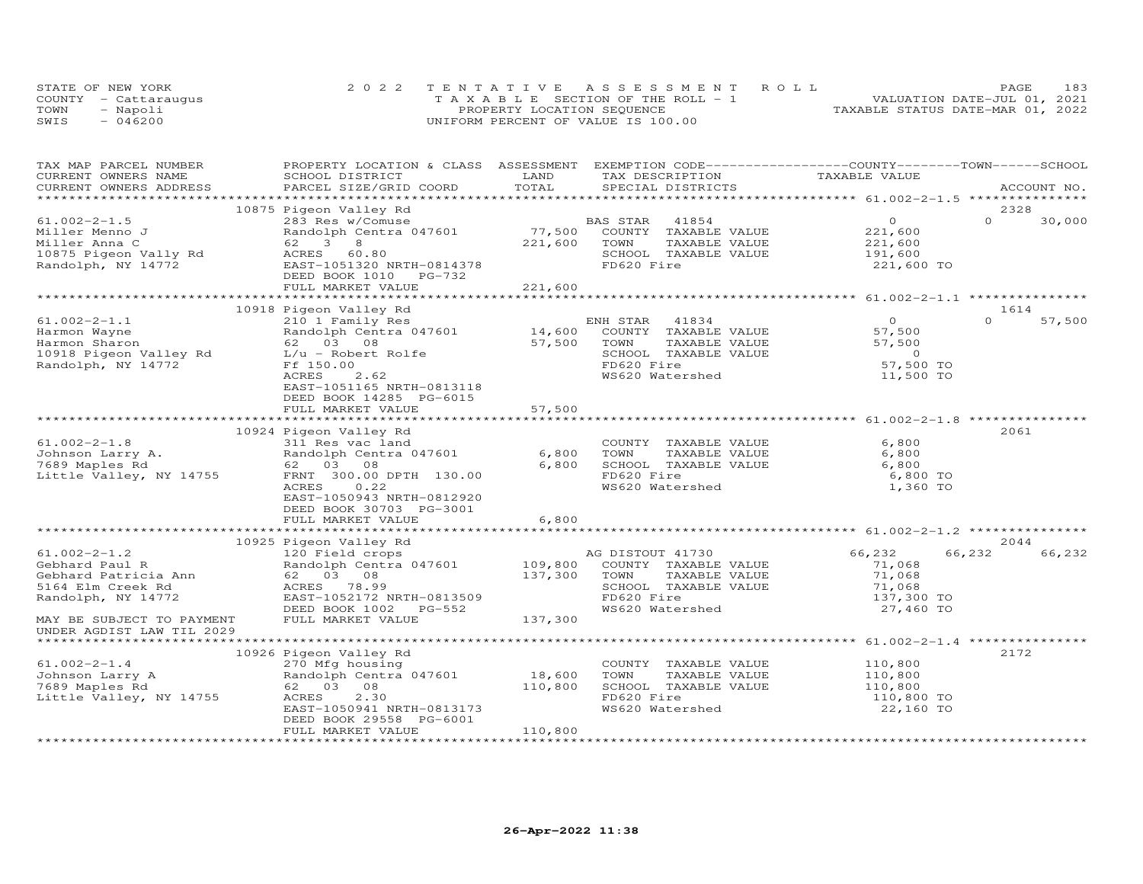|      | STATE OF NEW YORK    | 2022 TENTATIVE ASSESSMENT ROLL        | 183<br>PAGE                      |
|------|----------------------|---------------------------------------|----------------------------------|
|      | COUNTY - Cattarauqus | T A X A B L E SECTION OF THE ROLL - 1 | VALUATION DATE-JUL 01, 2021      |
| TOWN | - Napoli             | PROPERTY LOCATION SEQUENCE            | TAXABLE STATUS DATE-MAR 01, 2022 |
| SWIS | $-046200$            | UNIFORM PERCENT OF VALUE IS 100.00    |                                  |

| TAX MAP PARCEL NUMBER<br>CURRENT OWNERS NAME | PROPERTY LOCATION & CLASS ASSESSMENT EXEMPTION CODE----------------COUNTY-------TOWN------SCHOOL<br>SCHOOL DISTRICT | LAND    | TAX DESCRIPTION       | TAXABLE VALUE  |                    |
|----------------------------------------------|---------------------------------------------------------------------------------------------------------------------|---------|-----------------------|----------------|--------------------|
| CURRENT OWNERS ADDRESS                       | PARCEL SIZE/GRID COORD                                                                                              | TOTAL   | SPECIAL DISTRICTS     |                | ACCOUNT NO.        |
|                                              |                                                                                                                     |         |                       |                | 2328               |
| $61.002 - 2 - 1.5$                           | 10875 Pigeon Valley Rd<br>283 Res w/Comuse                                                                          |         | BAS STAR<br>41854     | $\Omega$       | $\Omega$<br>30,000 |
| Miller Menno J                               | Randolph Centra 047601                                                                                              | 77,500  | COUNTY TAXABLE VALUE  | 221,600        |                    |
| Miller Anna C                                | 62<br>3<br>8 <sup>8</sup>                                                                                           | 221,600 | TOWN<br>TAXABLE VALUE | 221,600        |                    |
| 10875 Pigeon Vally Rd                        | ACRES 60.80                                                                                                         |         | SCHOOL TAXABLE VALUE  | 191,600        |                    |
| Randolph, NY 14772                           | EAST-1051320 NRTH-0814378                                                                                           |         | FD620 Fire            | 221,600 TO     |                    |
|                                              | DEED BOOK 1010 PG-732                                                                                               |         |                       |                |                    |
|                                              | FULL MARKET VALUE                                                                                                   | 221,600 |                       |                |                    |
|                                              | ********                                                                                                            |         |                       |                |                    |
|                                              | 10918 Pigeon Valley Rd                                                                                              |         |                       |                | 1614               |
| $61.002 - 2 - 1.1$                           | 210 1 Family Res                                                                                                    |         | 41834<br>ENH STAR     | $\overline{0}$ | $\Omega$<br>57,500 |
| Harmon Wayne                                 | Randolph Centra 047601                                                                                              | 14,600  | COUNTY TAXABLE VALUE  | 57,500         |                    |
| Harmon Sharon                                | 62 03 08                                                                                                            | 57,500  | TOWN<br>TAXABLE VALUE | 57,500         |                    |
| 10918 Pigeon Valley Rd                       | L/u - Robert Rolfe                                                                                                  |         | SCHOOL TAXABLE VALUE  | $\overline{O}$ |                    |
| Randolph, NY 14772                           | Ff 150.00                                                                                                           |         | FD620 Fire            | 57,500 TO      |                    |
|                                              | 2.62<br>ACRES                                                                                                       |         | WS620 Watershed       | 11,500 TO      |                    |
|                                              | EAST-1051165 NRTH-0813118                                                                                           |         |                       |                |                    |
|                                              | DEED BOOK 14285 PG-6015                                                                                             |         |                       |                |                    |
|                                              | FULL MARKET VALUE                                                                                                   | 57,500  |                       |                |                    |
|                                              |                                                                                                                     |         |                       |                |                    |
|                                              | 10924 Pigeon Valley Rd                                                                                              |         |                       |                | 2061               |
| $61.002 - 2 - 1.8$                           | 311 Res vac land                                                                                                    |         | COUNTY TAXABLE VALUE  | 6,800          |                    |
| Johnson Larry A.                             | Randolph Centra 047601                                                                                              | 6,800   | TOWN<br>TAXABLE VALUE | 6,800          |                    |
| 7689 Maples Rd                               | 62 03 08                                                                                                            | 6,800   | SCHOOL TAXABLE VALUE  | 6,800          |                    |
| Little Valley, NY 14755                      | FRNT 300.00 DPTH 130.00                                                                                             |         | FD620 Fire            | 6,800 TO       |                    |
|                                              | 0.22<br>ACRES<br>EAST-1050943 NRTH-0812920                                                                          |         | WS620 Watershed       | 1,360 TO       |                    |
|                                              | DEED BOOK 30703 PG-3001                                                                                             |         |                       |                |                    |
|                                              | FULL MARKET VALUE                                                                                                   | 6,800   |                       |                |                    |
|                                              |                                                                                                                     |         |                       |                |                    |
|                                              | 10925 Pigeon Valley Rd                                                                                              |         |                       |                | 2044               |
| $61.002 - 2 - 1.2$                           | 120 Field crops                                                                                                     |         | AG DISTOUT 41730      | 66,232         | 66,232<br>66,232   |
| Gebhard Paul R                               | Randolph Centra 047601 109,800                                                                                      |         | COUNTY TAXABLE VALUE  | 71,068         |                    |
| Gebhard Patricia Ann                         | 62 03 08                                                                                                            | 137,300 | TAXABLE VALUE<br>TOWN | 71,068         |                    |
| 5164 Elm Creek Rd                            | ACRES 78.99                                                                                                         |         | SCHOOL TAXABLE VALUE  | 71,068         |                    |
| Randolph, NY 14772                           | EAST-1052172 NRTH-0813509                                                                                           |         | FD620 Fire            | 137,300 TO     |                    |
|                                              | DEED BOOK 1002<br>PG-552                                                                                            |         | WS620 Watershed       | 27,460 TO      |                    |
| MAY BE SUBJECT TO PAYMENT                    | FULL MARKET VALUE                                                                                                   | 137,300 |                       |                |                    |
| UNDER AGDIST LAW TIL 2029                    |                                                                                                                     |         |                       |                |                    |
|                                              |                                                                                                                     |         |                       |                |                    |
|                                              | 10926 Pigeon Valley Rd                                                                                              |         |                       |                | 2172               |
| $61.002 - 2 - 1.4$                           | 270 Mfg housing                                                                                                     |         | COUNTY TAXABLE VALUE  | 110,800        |                    |
| Johnson Larry A                              | Randolph Centra 047601                                                                                              | 18,600  | TOWN<br>TAXABLE VALUE | 110,800        |                    |
| 7689 Maples Rd                               | 62 03 08                                                                                                            | 110,800 | SCHOOL TAXABLE VALUE  | 110,800        |                    |
| Little Valley, NY 14755                      | 2.30<br>ACRES                                                                                                       |         | FD620 Fire            | 110,800 TO     |                    |
|                                              | EAST-1050941 NRTH-0813173                                                                                           |         | WS620 Watershed       | 22,160 TO      |                    |
|                                              | DEED BOOK 29558 PG-6001                                                                                             |         |                       |                |                    |
|                                              | FULL MARKET VALUE                                                                                                   | 110,800 |                       |                |                    |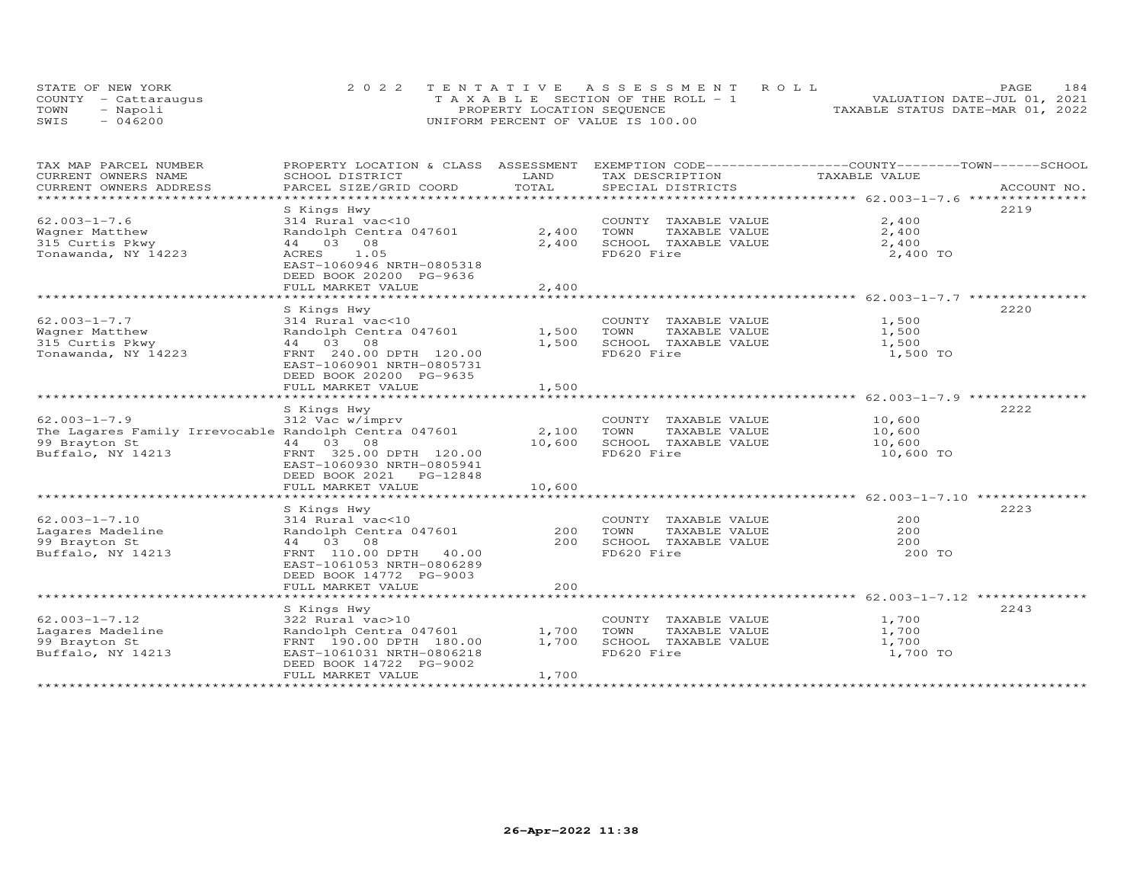|      | STATE OF NEW YORK    | 2022 TENTATIVE ASSESSMENT ROLL        | 184<br><b>PAGE</b>               |
|------|----------------------|---------------------------------------|----------------------------------|
|      | COUNTY - Cattarauqus | T A X A B L E SECTION OF THE ROLL - 1 | VALUATION DATE-JUL 01, 2021      |
| TOWN | - Napoli             | PROPERTY LOCATION SEQUENCE            | TAXABLE STATUS DATE-MAR 01, 2022 |
| SWIS | $-046200$            | UNIFORM PERCENT OF VALUE IS 100.00    |                                  |

| SCHOOL DISTRICT                                                                                                                                                               | LAND                                                                                                                | TAX DESCRIPTION                                                                     | TAXABLE VALUE                                             |                                                                                                           |
|-------------------------------------------------------------------------------------------------------------------------------------------------------------------------------|---------------------------------------------------------------------------------------------------------------------|-------------------------------------------------------------------------------------|-----------------------------------------------------------|-----------------------------------------------------------------------------------------------------------|
|                                                                                                                                                                               |                                                                                                                     |                                                                                     |                                                           | ACCOUNT NO.                                                                                               |
| S Kings Hwy<br>314 Rural vac<10<br>Randolph Centra 047601<br>44 03 08<br>1.05<br>ACRES<br>EAST-1060946 NRTH-0805318<br>DEED BOOK 20200 PG-9636<br>FULL MARKET VALUE           | 2,400<br>2,400<br>2,400                                                                                             | COUNTY TAXABLE VALUE<br>TOWN<br>TAXABLE VALUE<br>SCHOOL TAXABLE VALUE<br>FD620 Fire | 2,400<br>2,400<br>2,400<br>2,400 TO                       | 2219                                                                                                      |
| S Kings Hwy<br>314 Rural vac<10<br>Randolph Centra 047601<br>44 03 08<br>FRNT 240.00 DPTH 120.00<br>EAST-1060901 NRTH-0805731<br>DEED BOOK 20200 PG-9635<br>FULL MARKET VALUE | 1,500<br>1,500<br>1,500                                                                                             | COUNTY TAXABLE VALUE<br>TOWN<br>TAXABLE VALUE<br>SCHOOL TAXABLE VALUE<br>FD620 Fire | 1,500<br>1,500<br>1,500<br>1,500 TO                       | 2220                                                                                                      |
| S Kings Hwy<br>312 Vac w/imprv<br>44 03 08<br>FRNT 325.00 DPTH 120.00<br>EAST-1060930 NRTH-0805941<br>DEED BOOK 2021 PG-12848<br>FULL MARKET VALUE                            | 2,100<br>10,600<br>10,600                                                                                           | COUNTY TAXABLE VALUE<br>TOWN<br>TAXABLE VALUE<br>SCHOOL TAXABLE VALUE<br>FD620 Fire | 10,600<br>10,600<br>10,600<br>10,600 TO                   | 2222                                                                                                      |
|                                                                                                                                                                               |                                                                                                                     |                                                                                     |                                                           |                                                                                                           |
| 314 Rural vac<10<br>Randolph Centra 047601<br>44 03 08<br>FRNT 110.00 DPTH 40.00<br>EAST-1061053 NRTH-0806289<br>DEED BOOK 14772 PG-9003                                      | 200<br>200                                                                                                          | COUNTY TAXABLE VALUE<br>TOWN<br>TAXABLE VALUE<br>SCHOOL TAXABLE VALUE<br>FD620 Fire | 200<br>200<br>200<br>200 TO                               | 2223                                                                                                      |
|                                                                                                                                                                               |                                                                                                                     |                                                                                     |                                                           |                                                                                                           |
| S Kings Hwy<br>322 Rural vac>10<br>Randolph Centra 047601<br>FRNT 190.00 DPTH 180.00<br>EAST-1061031 NRTH-0806218<br>DEED BOOK 14722 PG-9002<br>FULL MARKET VALUE             | 1,700<br>1,700<br>1,700                                                                                             | COUNTY TAXABLE VALUE<br>TAXABLE VALUE<br>TOWN<br>SCHOOL TAXABLE VALUE<br>FD620 Fire | 1,700<br>1,700<br>1,700<br>1,700 TO                       | 2243                                                                                                      |
|                                                                                                                                                                               | PARCEL SIZE/GRID COORD<br>The Lagares Family Irrevocable Randolph Centra 047601<br>S Kings Hwy<br>FULL MARKET VALUE | TOTAL<br>200                                                                        | PROPERTY LOCATION & CLASS ASSESSMENT<br>SPECIAL DISTRICTS | EXEMPTION CODE-----------------COUNTY-------TOWN------SCHOOL<br>************************ 62.003-1-7.12 ** |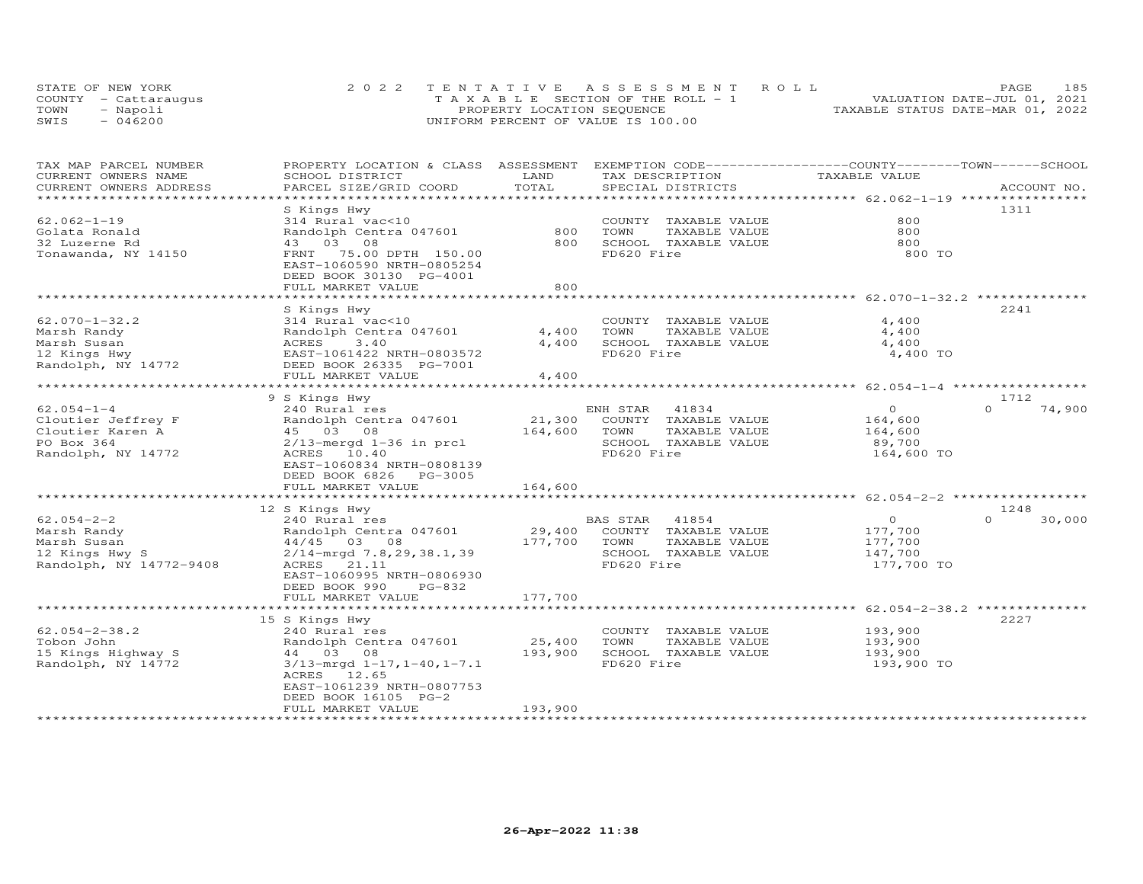| STATE OF NEW YORK    | 2022 TENTATIVE ASSESSMENT ROLL        | 185<br>PAGE.                     |
|----------------------|---------------------------------------|----------------------------------|
| COUNTY - Cattaraugus | T A X A B L E SECTION OF THE ROLL - 1 | VALUATION DATE-JUL 01, 2021      |
| TOWN<br>- Napoli     | PROPERTY LOCATION SEQUENCE            | TAXABLE STATUS DATE-MAR 01, 2022 |
| $-046200$<br>SWIS    | UNIFORM PERCENT OF VALUE IS 100.00    |                                  |

| TAX MAP PARCEL NUMBER<br>CURRENT OWNERS NAME | PROPERTY LOCATION & CLASS ASSESSMENT<br>SCHOOL DISTRICT | LAND    |            | TAX DESCRIPTION      | EXEMPTION CODE-----------------COUNTY-------TOWN-----SCHOOL<br>TAXABLE VALUE |                    |
|----------------------------------------------|---------------------------------------------------------|---------|------------|----------------------|------------------------------------------------------------------------------|--------------------|
| CURRENT OWNERS ADDRESS                       | PARCEL SIZE/GRID COORD                                  | TOTAL   |            | SPECIAL DISTRICTS    |                                                                              | ACCOUNT NO.        |
| *************                                | * * * * * * * * * * * * * * * * * * *                   |         |            |                      |                                                                              |                    |
|                                              | S Kings Hwy                                             |         |            |                      |                                                                              | 1311               |
| $62.062 - 1 - 19$                            | 314 Rural vac<10                                        |         |            | COUNTY TAXABLE VALUE | 800                                                                          |                    |
| Golata Ronald                                | Randolph Centra 047601                                  | 800     | TOWN       | TAXABLE VALUE        | 800                                                                          |                    |
| 32 Luzerne Rd                                | 43 03 08                                                | 800     |            | SCHOOL TAXABLE VALUE | 800                                                                          |                    |
| Tonawanda, NY 14150                          | 75.00 DPTH 150.00<br>FRNT                               |         | FD620 Fire |                      | 800 TO                                                                       |                    |
|                                              | EAST-1060590 NRTH-0805254                               |         |            |                      |                                                                              |                    |
|                                              | DEED BOOK 30130 PG-4001                                 |         |            |                      |                                                                              |                    |
|                                              | FULL MARKET VALUE                                       | 800     |            |                      |                                                                              |                    |
|                                              |                                                         |         |            |                      | ********************************** 62.070-1-32.2 ***************             |                    |
|                                              | S Kings Hwy                                             |         |            |                      |                                                                              | 2241               |
| $62.070 - 1 - 32.2$                          | 314 Rural vac<10                                        |         | COUNTY     | TAXABLE VALUE        | 4,400                                                                        |                    |
| Marsh Randy                                  | Randolph Centra 047601                                  | 4,400   | TOWN       | TAXABLE VALUE        | 4,400                                                                        |                    |
| Marsh Susan                                  | ACRES<br>3.40                                           | 4,400   |            | SCHOOL TAXABLE VALUE | 4,400                                                                        |                    |
| 12 Kings Hwy                                 | EAST-1061422 NRTH-0803572                               |         | FD620 Fire |                      | 4,400 TO                                                                     |                    |
| Randolph, NY 14772                           | DEED BOOK 26335 PG-7001                                 |         |            |                      |                                                                              |                    |
|                                              | FULL MARKET VALUE                                       | 4,400   |            |                      |                                                                              |                    |
|                                              |                                                         |         |            |                      | **************************** 62.054-1-4 **********                           |                    |
|                                              | 9 S Kings Hwy                                           |         |            |                      |                                                                              | 1712               |
| $62.054 - 1 - 4$                             | 240 Rural res                                           |         | ENH STAR   | 41834                | $\circ$                                                                      | $\Omega$<br>74,900 |
| Cloutier Jeffrey F                           | Randolph Centra 047601                                  | 21,300  |            | COUNTY TAXABLE VALUE | 164,600                                                                      |                    |
| Cloutier Karen A                             | 45 03 08                                                | 164,600 | TOWN       | TAXABLE VALUE        | 164,600                                                                      |                    |
| PO Box 364                                   | $2/13$ -mergd $1-36$ in prcl                            |         |            | SCHOOL TAXABLE VALUE | 89,700                                                                       |                    |
| Randolph, NY 14772                           | ACRES 10.40                                             |         | FD620 Fire |                      | 164,600 TO                                                                   |                    |
|                                              | EAST-1060834 NRTH-0808139                               |         |            |                      |                                                                              |                    |
|                                              | DEED BOOK 6826<br>PG-3005                               |         |            |                      |                                                                              |                    |
|                                              | FULL MARKET VALUE                                       | 164,600 |            |                      |                                                                              |                    |
|                                              | ****************************                            |         |            |                      |                                                                              |                    |
|                                              | 12 S Kings Hwy                                          |         |            |                      |                                                                              | 1248               |
| $62.054 - 2 - 2$                             | 240 Rural res                                           |         | BAS STAR   | 41854                | $\circ$                                                                      | $\Omega$<br>30,000 |
| Marsh Randy                                  | Randolph Centra 047601                                  | 29,400  |            | COUNTY TAXABLE VALUE | 177,700                                                                      |                    |
| Marsh Susan                                  | 44/45 03 08                                             | 177,700 | TOWN       | TAXABLE VALUE        | 177,700                                                                      |                    |
| 12 Kings Hwy S                               | $2/14$ -mrqd 7.8,29,38.1,39                             |         |            | SCHOOL TAXABLE VALUE | 147,700                                                                      |                    |
| Randolph, NY 14772-9408                      | ACRES 21.11                                             |         | FD620 Fire |                      | 177,700 TO                                                                   |                    |
|                                              | EAST-1060995 NRTH-0806930                               |         |            |                      |                                                                              |                    |
|                                              | DEED BOOK 990<br>PG-832                                 |         |            |                      |                                                                              |                    |
|                                              | FULL MARKET VALUE                                       | 177,700 |            |                      |                                                                              |                    |
|                                              |                                                         |         |            |                      |                                                                              |                    |
|                                              | 15 S Kings Hwy                                          |         |            |                      |                                                                              | 2227               |
| $62.054 - 2 - 38.2$                          | 240 Rural res                                           |         |            | COUNTY TAXABLE VALUE | 193,900                                                                      |                    |
| Tobon John                                   | Randolph Centra 047601                                  | 25,400  | TOWN       | TAXABLE VALUE        | 193,900                                                                      |                    |
| 15 Kings Highway S                           | 44 03 08                                                | 193,900 |            | SCHOOL TAXABLE VALUE | 193,900                                                                      |                    |
| Randolph, NY 14772                           | $3/13$ -mrqd $1-17$ , $1-40$ , $1-7.1$                  |         | FD620 Fire |                      | 193,900 TO                                                                   |                    |
|                                              | ACRES 12.65                                             |         |            |                      |                                                                              |                    |
|                                              | EAST-1061239 NRTH-0807753                               |         |            |                      |                                                                              |                    |
|                                              | DEED BOOK 16105 PG-2                                    |         |            |                      |                                                                              |                    |
|                                              | FULL MARKET VALUE                                       | 193,900 |            |                      |                                                                              |                    |
|                                              |                                                         |         |            |                      |                                                                              |                    |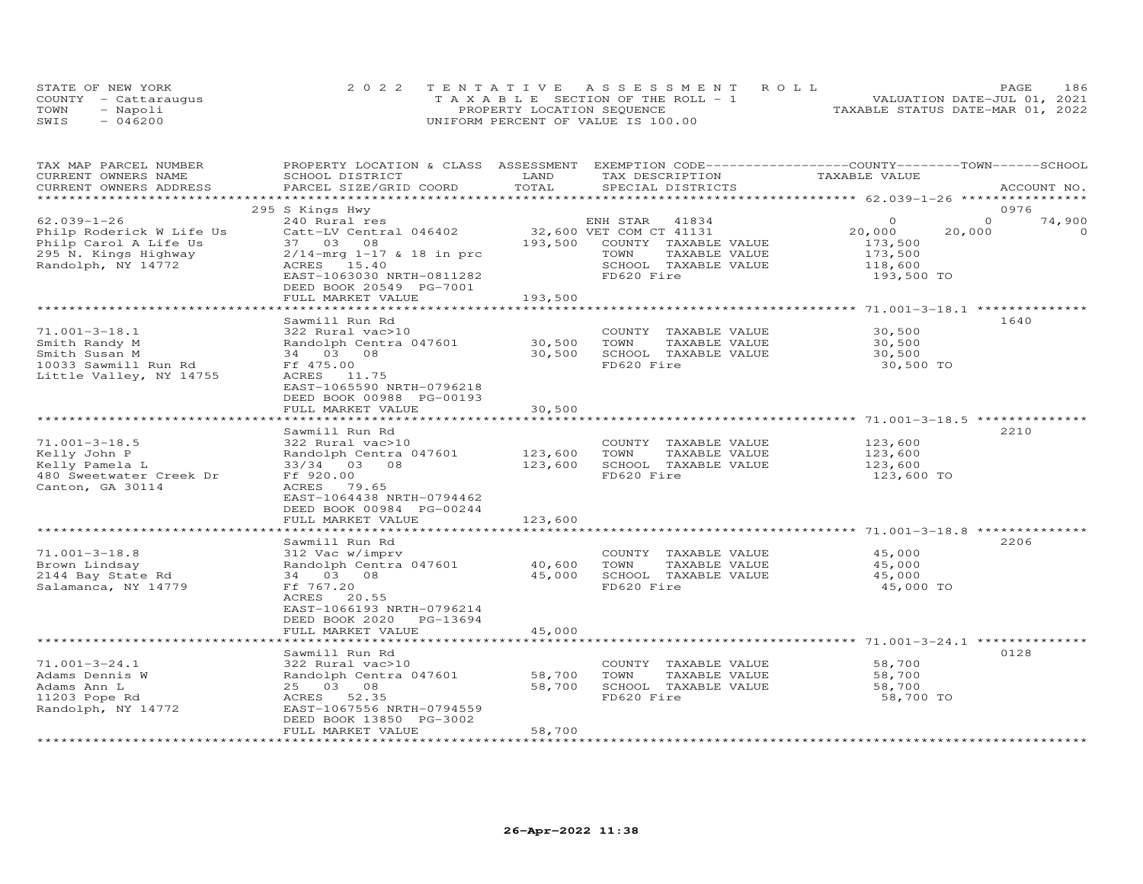| STATE OF NEW YORK    | 2022 TENTATIVE ASSESSMENT ROLL        | 186<br><b>PAGE</b>               |
|----------------------|---------------------------------------|----------------------------------|
| COUNTY - Cattaraugus | T A X A B L E SECTION OF THE ROLL - 1 | VALUATION DATE-JUL 01, 2021      |
| TOWN<br>- Napoli     | PROPERTY LOCATION SEQUENCE            | TAXABLE STATUS DATE-MAR 01, 2022 |
| $-046200$<br>SWIS    | UNIFORM PERCENT OF VALUE IS 100.00    |                                  |

| TAX MAP PARCEL NUMBER    | PROPERTY LOCATION & CLASS ASSESSMENT EXEMPTION CODE----------------COUNTY-------TOWN------SCHOOL |         |                         |               |          |             |
|--------------------------|--------------------------------------------------------------------------------------------------|---------|-------------------------|---------------|----------|-------------|
| CURRENT OWNERS NAME      | SCHOOL DISTRICT                                                                                  | LAND    | TAX DESCRIPTION         | TAXABLE VALUE |          |             |
| CURRENT OWNERS ADDRESS   | PARCEL SIZE/GRID COORD                                                                           | TOTAL   | SPECIAL DISTRICTS       |               |          | ACCOUNT NO. |
|                          |                                                                                                  |         |                         |               |          | 0976        |
| $62.039 - 1 - 26$        | 295 S Kings Hwy<br>240 Rural res                                                                 |         | ENH STAR 41834          | $\Omega$      | $\Omega$ | 74,900      |
| Philp Roderick W Life Us | Catt-LV Central 046402                                                                           |         | 32,600 VET COM CT 41131 | 20,000        | 20,000   | $\Omega$    |
| Philp Carol A Life Us    | 37 03 08                                                                                         | 193,500 | COUNTY TAXABLE VALUE    | 173,500       |          |             |
| 295 N. Kings Highway     | $2/14 - mrg$ 1-17 & 18 in prc                                                                    |         | TOWN<br>TAXABLE VALUE   | 173,500       |          |             |
| Randolph, NY 14772       | ACRES 15.40                                                                                      |         | SCHOOL TAXABLE VALUE    | 118,600       |          |             |
|                          | EAST-1063030 NRTH-0811282                                                                        |         | FD620 Fire              | 193,500 TO    |          |             |
|                          | DEED BOOK 20549 PG-7001                                                                          |         |                         |               |          |             |
|                          | FULL MARKET VALUE                                                                                | 193,500 |                         |               |          |             |
|                          |                                                                                                  |         |                         |               |          |             |
|                          | Sawmill Run Rd                                                                                   |         |                         |               |          | 1640        |
| $71.001 - 3 - 18.1$      | 322 Rural vac>10                                                                                 |         | COUNTY TAXABLE VALUE    | 30,500        |          |             |
| Smith Randy M            | Randolph Centra 047601                                                                           | 30,500  | TOWN<br>TAXABLE VALUE   | 30,500        |          |             |
| Smith Susan M            | 34 03 08                                                                                         | 30,500  | SCHOOL TAXABLE VALUE    | 30,500        |          |             |
| 10033 Sawmill Run Rd     | Ff 475.00                                                                                        |         | FD620 Fire              | 30,500 TO     |          |             |
| Little Valley, NY 14755  | ACRES 11.75                                                                                      |         |                         |               |          |             |
|                          | EAST-1065590 NRTH-0796218                                                                        |         |                         |               |          |             |
|                          | DEED BOOK 00988 PG-00193                                                                         |         |                         |               |          |             |
|                          | FULL MARKET VALUE                                                                                | 30,500  |                         |               |          |             |
|                          | Sawmill Run Rd                                                                                   |         |                         |               |          | 2210        |
| $71.001 - 3 - 18.5$      | 322 Rural vac>10                                                                                 |         | COUNTY TAXABLE VALUE    | 123,600       |          |             |
| Kelly John P             | Randolph Centra 047601                                                                           | 123,600 | TOWN<br>TAXABLE VALUE   | 123,600       |          |             |
| Kelly Pamela L           | 33/34 03 08                                                                                      | 123,600 | SCHOOL TAXABLE VALUE    | 123,600       |          |             |
| 480 Sweetwater Creek Dr  | Ff 920.00                                                                                        |         | FD620 Fire              | 123,600 TO    |          |             |
| Canton, GA 30114         | ACRES 79.65                                                                                      |         |                         |               |          |             |
|                          | EAST-1064438 NRTH-0794462                                                                        |         |                         |               |          |             |
|                          | DEED BOOK 00984 PG-00244                                                                         |         |                         |               |          |             |
|                          | FULL MARKET VALUE                                                                                | 123,600 |                         |               |          |             |
|                          | ****************************                                                                     |         |                         |               |          |             |
|                          | Sawmill Run Rd                                                                                   |         |                         |               |          | 2206        |
| $71.001 - 3 - 18.8$      | 312 Vac w/imprv                                                                                  |         | COUNTY TAXABLE VALUE    | 45,000        |          |             |
| Brown Lindsay            | Randolph Centra 047601                                                                           | 40,600  | TOWN<br>TAXABLE VALUE   | 45,000        |          |             |
| 2144 Bay State Rd        | 34 03 08                                                                                         | 45,000  | SCHOOL TAXABLE VALUE    | 45,000        |          |             |
| Salamanca, NY 14779      | Ff 767.20                                                                                        |         | FD620 Fire              | 45,000 TO     |          |             |
|                          | ACRES 20.55                                                                                      |         |                         |               |          |             |
|                          | EAST-1066193 NRTH-0796214                                                                        |         |                         |               |          |             |
|                          | DEED BOOK 2020 PG-13694                                                                          |         |                         |               |          |             |
|                          | FULL MARKET VALUE                                                                                | 45,000  |                         |               |          |             |
|                          |                                                                                                  |         |                         |               |          | 0128        |
| $71.001 - 3 - 24.1$      | Sawmill Run Rd<br>322 Rural vac>10                                                               |         | COUNTY TAXABLE VALUE    | 58,700        |          |             |
| Adams Dennis W           | Randolph Centra 047601                                                                           | 58,700  | TOWN<br>TAXABLE VALUE   | 58,700        |          |             |
| Adams Ann L              | 25 03 08                                                                                         | 58,700  | SCHOOL TAXABLE VALUE    | 58,700        |          |             |
| 11203 Pope Rd            | ACRES 52.35                                                                                      |         | FD620 Fire              | 58,700 TO     |          |             |
| Randolph, NY 14772       | EAST-1067556 NRTH-0794559                                                                        |         |                         |               |          |             |
|                          | DEED BOOK 13850 PG-3002                                                                          |         |                         |               |          |             |
|                          | FULL MARKET VALUE                                                                                | 58,700  |                         |               |          |             |
|                          |                                                                                                  |         |                         |               |          |             |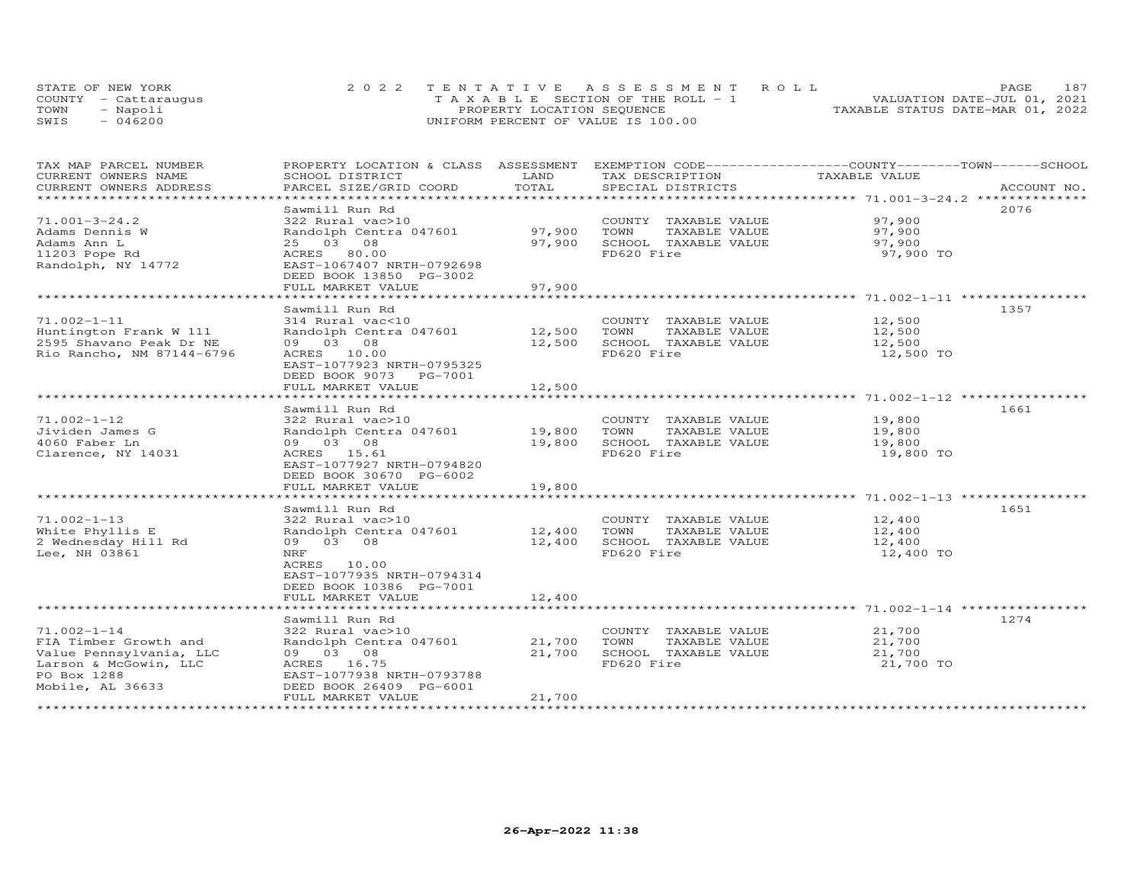|      | STATE OF NEW YORK    | 2022 TENTATIVE ASSESSMENT ROLL        | 187<br>PAGE.                     |
|------|----------------------|---------------------------------------|----------------------------------|
|      | COUNTY - Cattaraugus | T A X A B L E SECTION OF THE ROLL - 1 | VALUATION DATE-JUL 01, 2021      |
| TOWN | - Napoli             | PROPERTY LOCATION SEQUENCE            | TAXABLE STATUS DATE-MAR 01, 2022 |
| SWIS | $-046200$            | UNIFORM PERCENT OF VALUE IS 100.00    |                                  |

| TAX MAP PARCEL NUMBER     | PROPERTY LOCATION & CLASS ASSESSMENT EXEMPTION CODE----------------COUNTY-------TOWN-----SCHOOL |        |                       |               |             |
|---------------------------|-------------------------------------------------------------------------------------------------|--------|-----------------------|---------------|-------------|
| CURRENT OWNERS NAME       | SCHOOL DISTRICT                                                                                 | LAND   | TAX DESCRIPTION       | TAXABLE VALUE |             |
| CURRENT OWNERS ADDRESS    | PARCEL SIZE/GRID COORD                                                                          | TOTAL  | SPECIAL DISTRICTS     |               | ACCOUNT NO. |
| ********************      |                                                                                                 |        |                       |               |             |
|                           | Sawmill Run Rd                                                                                  |        |                       |               | 2076        |
| $71.001 - 3 - 24.2$       | 322 Rural vac>10                                                                                |        | COUNTY TAXABLE VALUE  | 97,900        |             |
| Adams Dennis W            | Randolph Centra 047601                                                                          | 97,900 | TOWN<br>TAXABLE VALUE | 97,900        |             |
| Adams Ann L               | 25 03 08                                                                                        | 97,900 | SCHOOL TAXABLE VALUE  | 97,900        |             |
| 11203 Pope Rd             | ACRES 80.00                                                                                     |        | FD620 Fire            | 97,900 TO     |             |
| Randolph, NY 14772        | EAST-1067407 NRTH-0792698                                                                       |        |                       |               |             |
|                           | DEED BOOK 13850 PG-3002                                                                         |        |                       |               |             |
|                           | FULL MARKET VALUE                                                                               | 97,900 |                       |               |             |
|                           |                                                                                                 |        |                       |               |             |
|                           | Sawmill Run Rd                                                                                  |        |                       |               | 1357        |
| $71.002 - 1 - 11$         | 314 Rural vac<10                                                                                |        | COUNTY TAXABLE VALUE  | 12,500        |             |
| Huntington Frank W 111    | Randolph Centra 047601                                                                          | 12,500 | TOWN<br>TAXABLE VALUE | 12,500        |             |
| 2595 Shavano Peak Dr NE   | 09 03 08                                                                                        | 12,500 | SCHOOL TAXABLE VALUE  | 12,500        |             |
| Rio Rancho, NM 87144-6796 | ACRES 10.00                                                                                     |        | FD620 Fire            | 12,500 TO     |             |
|                           | EAST-1077923 NRTH-0795325                                                                       |        |                       |               |             |
|                           |                                                                                                 |        |                       |               |             |
|                           | DEED BOOK 9073 PG-7001                                                                          |        |                       |               |             |
|                           | FULL MARKET VALUE                                                                               | 12,500 |                       |               |             |
|                           |                                                                                                 |        |                       |               |             |
|                           | Sawmill Run Rd                                                                                  |        |                       |               | 1661        |
| $71.002 - 1 - 12$         | 322 Rural vac>10                                                                                |        | COUNTY TAXABLE VALUE  | 19,800        |             |
| Jividen James G           | Randolph Centra 047601                                                                          | 19,800 | TOWN<br>TAXABLE VALUE | 19,800        |             |
| 4060 Faber Ln             | 09 03 08                                                                                        | 19,800 | SCHOOL TAXABLE VALUE  | 19,800        |             |
| Clarence, NY 14031        | ACRES 15.61                                                                                     |        | FD620 Fire            | 19,800 TO     |             |
|                           | EAST-1077927 NRTH-0794820                                                                       |        |                       |               |             |
|                           | DEED BOOK 30670 PG-6002                                                                         |        |                       |               |             |
|                           | FULL MARKET VALUE                                                                               | 19,800 |                       |               |             |
|                           |                                                                                                 |        |                       |               |             |
|                           | Sawmill Run Rd                                                                                  |        |                       |               | 1651        |
| $71.002 - 1 - 13$         | 322 Rural vac>10                                                                                |        | COUNTY TAXABLE VALUE  | 12,400        |             |
| White Phyllis E           | Randolph Centra 047601                                                                          | 12,400 | TOWN<br>TAXABLE VALUE | 12,400        |             |
| 2 Wednesday Hill Rd       | 09 03 08                                                                                        | 12,400 | SCHOOL TAXABLE VALUE  | 12,400        |             |
| Lee, NH 03861             | NRF                                                                                             |        | FD620 Fire            | 12,400 TO     |             |
|                           | ACRES 10.00                                                                                     |        |                       |               |             |
|                           | EAST-1077935 NRTH-0794314                                                                       |        |                       |               |             |
|                           | DEED BOOK 10386 PG-7001                                                                         |        |                       |               |             |
|                           | FULL MARKET VALUE                                                                               | 12,400 |                       |               |             |
|                           |                                                                                                 |        |                       |               |             |
|                           | Sawmill Run Rd                                                                                  |        |                       |               | 1274        |
| $71.002 - 1 - 14$         | 322 Rural vac>10                                                                                |        | COUNTY TAXABLE VALUE  | 21,700        |             |
| FIA Timber Growth and     | Randolph Centra 047601                                                                          | 21,700 | TOWN<br>TAXABLE VALUE | 21,700        |             |
| Value Pennsylvania, LLC   | 09 03 08                                                                                        | 21,700 | SCHOOL TAXABLE VALUE  | 21,700        |             |
| Larson & McGowin, LLC     | ACRES 16.75                                                                                     |        | FD620 Fire            | 21,700 TO     |             |
| PO Box 1288               | EAST-1077938 NRTH-0793788                                                                       |        |                       |               |             |
| Mobile, AL 36633          | DEED BOOK 26409 PG-6001                                                                         |        |                       |               |             |
|                           | FULL MARKET VALUE                                                                               | 21,700 |                       |               |             |
|                           |                                                                                                 |        |                       |               |             |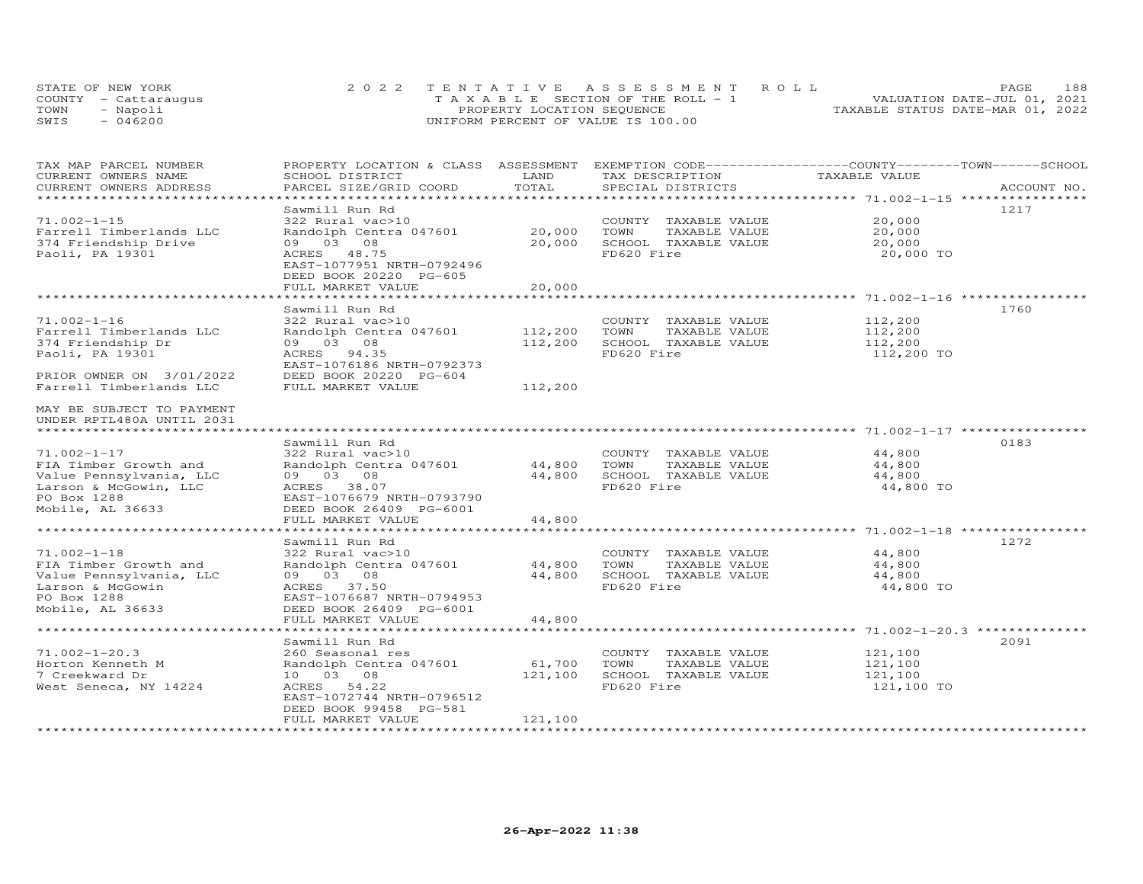| STATE OF NEW YORK    | 2022 TENTATIVE ASSESSMENT ROLL        | 188<br><b>PAGE</b>               |
|----------------------|---------------------------------------|----------------------------------|
| COUNTY - Cattaraugus | T A X A B L E SECTION OF THE ROLL - 1 | VALUATION DATE-JUL 01, 2021      |
| TOWN<br>- Napoli     | PROPERTY LOCATION SEQUENCE            | TAXABLE STATUS DATE-MAR 01, 2022 |
| SWIS<br>$-046200$    | UNIFORM PERCENT OF VALUE IS 100.00    |                                  |

| TAX MAP PARCEL NUMBER<br>CURRENT OWNERS NAME<br>CURRENT OWNERS ADDRESS                                                            | PROPERTY LOCATION & CLASS ASSESSMENT EXEMPTION CODE----------------COUNTY-------TOWN------SCHOOL<br>SCHOOL DISTRICT<br>PARCEL SIZE/GRID COORD                        | LAND<br>TOTAL              | TAX DESCRIPTION<br>SPECIAL DISTRICTS                                                | TAXABLE VALUE                               | ACCOUNT NO. |
|-----------------------------------------------------------------------------------------------------------------------------------|----------------------------------------------------------------------------------------------------------------------------------------------------------------------|----------------------------|-------------------------------------------------------------------------------------|---------------------------------------------|-------------|
|                                                                                                                                   |                                                                                                                                                                      |                            |                                                                                     |                                             |             |
| $71.002 - 1 - 15$<br>Farrell Timberlands LLC<br>374 Friendship Drive<br>Paoli, PA 19301                                           | Sawmill Run Rd<br>322 Rural vac>10<br>Randolph Centra 047601<br>09 03 08<br>ACRES 48.75<br>EAST-1077951 NRTH-0792496<br>DEED BOOK 20220 PG-605                       | 20,000<br>20,000           | COUNTY TAXABLE VALUE<br>TOWN<br>TAXABLE VALUE<br>SCHOOL TAXABLE VALUE<br>FD620 Fire | 20,000<br>20,000<br>20,000<br>20,000 TO     | 1217        |
|                                                                                                                                   | FULL MARKET VALUE                                                                                                                                                    | 20,000                     |                                                                                     |                                             |             |
|                                                                                                                                   |                                                                                                                                                                      |                            |                                                                                     |                                             |             |
| $71.002 - 1 - 16$<br>Farrell Timberlands LLC<br>374 Friendship Dr<br>Paoli, PA 19301<br>PRIOR OWNER ON 3/01/2022                  | Sawmill Run Rd<br>322 Rural vac>10<br>Randolph Centra 047601<br>09 03 08<br>ACRES 94.35<br>EAST-1076186 NRTH-0792373<br>DEED BOOK 20220 PG-604                       | 112,200<br>112,200         | COUNTY TAXABLE VALUE<br>TOWN<br>TAXABLE VALUE<br>SCHOOL TAXABLE VALUE<br>FD620 Fire | 112,200<br>112,200<br>112,200<br>112,200 TO | 1760        |
| Farrell Timberlands LLC                                                                                                           | FULL MARKET VALUE                                                                                                                                                    | 112,200                    |                                                                                     |                                             |             |
| MAY BE SUBJECT TO PAYMENT<br>UNDER RPTL480A UNTIL 2031                                                                            |                                                                                                                                                                      |                            |                                                                                     |                                             |             |
|                                                                                                                                   |                                                                                                                                                                      |                            |                                                                                     |                                             |             |
| $71.002 - 1 - 17$<br>FIA Timber Growth and<br>Value Pennsylvania, LLC<br>Larson & McGowin, LLC<br>PO Box 1288<br>Mobile, AL 36633 | Sawmill Run Rd<br>322 Rural vac>10<br>Randolph Centra 047601<br>09 03 08<br>ACRES 38.07<br>EAST-1076679 NRTH-0793790<br>DEED BOOK 26409 PG-6001                      | 44,800<br>44,800           | COUNTY TAXABLE VALUE<br>TOWN<br>TAXABLE VALUE<br>SCHOOL TAXABLE VALUE<br>FD620 Fire | 44,800<br>44,800<br>44,800<br>44,800 TO     | 0183        |
|                                                                                                                                   | FULL MARKET VALUE                                                                                                                                                    | 44,800                     |                                                                                     |                                             |             |
| $71.002 - 1 - 18$<br>FIA Timber Growth and<br>Value Pennsylvania, LLC<br>Larson & McGowin<br>PO Box 1288<br>Mobile, AL 36633      | Sawmill Run Rd<br>322 Rural vac>10<br>Randolph Centra 047601<br>09 03 08<br>ACRES 37.50<br>EAST-1076687 NRTH-0794953<br>DEED BOOK 26409 PG-6001<br>FULL MARKET VALUE | 44,800<br>44,800<br>44,800 | COUNTY TAXABLE VALUE<br>TOWN<br>TAXABLE VALUE<br>SCHOOL TAXABLE VALUE<br>FD620 Fire | 44,800<br>44,800<br>44,800<br>44,800 TO     | 1272        |
|                                                                                                                                   |                                                                                                                                                                      |                            |                                                                                     |                                             |             |
| $71.002 - 1 - 20.3$<br>Horton Kenneth M<br>7 Creekward Dr<br>West Seneca, NY 14224                                                | Sawmill Run Rd<br>260 Seasonal res<br>Randolph Centra 047601<br>10 03 08<br>ACRES 54.22<br>EAST-1072744 NRTH-0796512<br>DEED BOOK 99458 PG-581                       | 61,700<br>121,100          | COUNTY TAXABLE VALUE<br>TAXABLE VALUE<br>TOWN<br>SCHOOL TAXABLE VALUE<br>FD620 Fire | 121,100<br>121,100<br>121,100<br>121,100 TO | 2091        |
|                                                                                                                                   | FULL MARKET VALUE                                                                                                                                                    | 121,100                    |                                                                                     |                                             |             |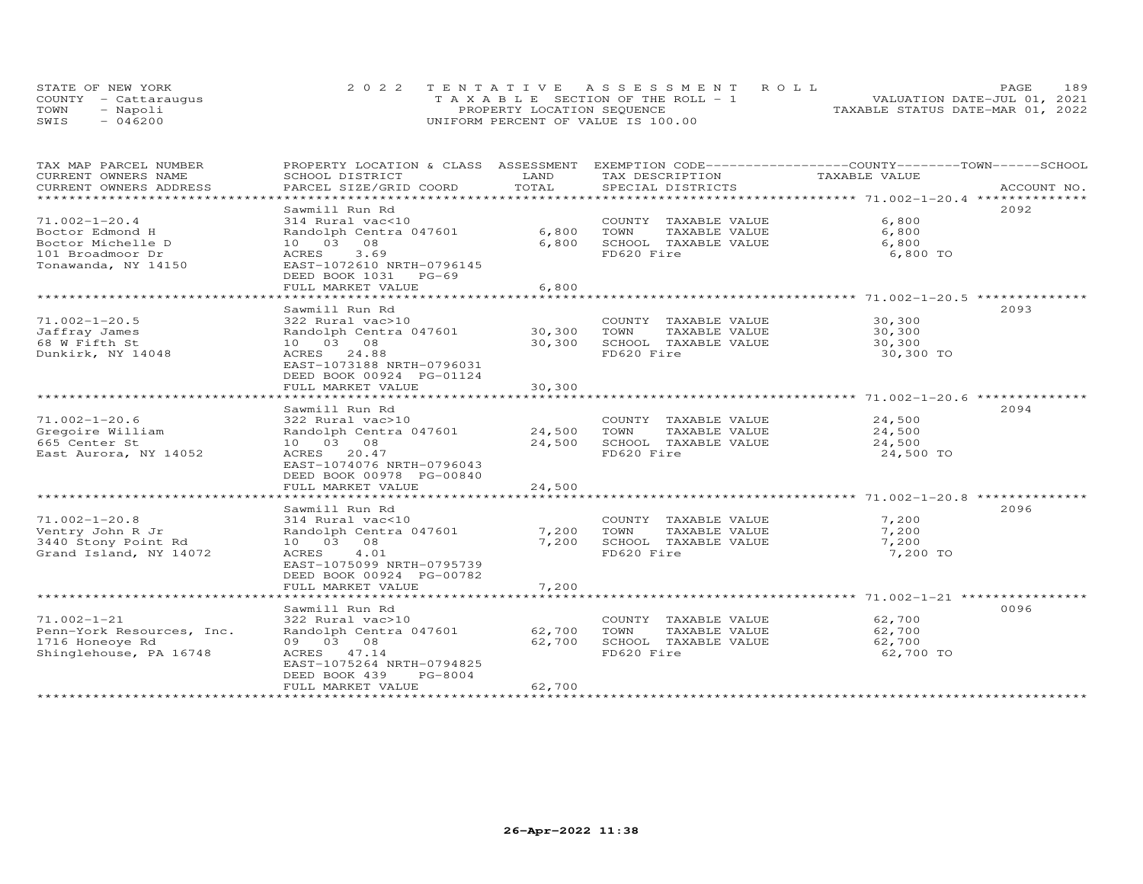| STATE OF NEW YORK    | 2022 TENTATIVE ASSESSMENT ROLL        | PAGE.                            | 189 |
|----------------------|---------------------------------------|----------------------------------|-----|
| COUNTY - Cattaraugus | T A X A B L E SECTION OF THE ROLL - 1 | VALUATION DATE-JUL 01, 2021      |     |
| TOWN<br>- Napoli     | PROPERTY LOCATION SEQUENCE            | TAXABLE STATUS DATE-MAR 01, 2022 |     |
| $-046200$<br>SWIS    | UNIFORM PERCENT OF VALUE IS 100.00    |                                  |     |

| TAX MAP PARCEL NUMBER                           | PROPERTY LOCATION & CLASS ASSESSMENT |             |                                               | EXEMPTION CODE------------------COUNTY-------TOWN-----SCHOOL |             |
|-------------------------------------------------|--------------------------------------|-------------|-----------------------------------------------|--------------------------------------------------------------|-------------|
| CURRENT OWNERS NAME                             | SCHOOL DISTRICT                      | LAND        | TAX DESCRIPTION                               | TAXABLE VALUE                                                |             |
| CURRENT OWNERS ADDRESS<br>********************* | PARCEL SIZE/GRID COORD               | TOTAL       | SPECIAL DISTRICTS                             |                                                              | ACCOUNT NO. |
|                                                 |                                      |             |                                               |                                                              |             |
|                                                 | Sawmill Run Rd<br>314 Rural vac<10   |             |                                               | 6,800                                                        | 2092        |
| $71.002 - 1 - 20.4$<br>Boctor Edmond H          | Randolph Centra 047601               | 6,800       | COUNTY TAXABLE VALUE<br>TOWN<br>TAXABLE VALUE | 6,800                                                        |             |
| Boctor Michelle D                               | 10 03 08                             | 6,800       | SCHOOL TAXABLE VALUE                          | 6,800                                                        |             |
| 101 Broadmoor Dr<br>ACRES                       | 3.69                                 |             | FD620 Fire                                    | 6,800 TO                                                     |             |
| Tonawanda, NY 14150                             | EAST-1072610 NRTH-0796145            |             |                                               |                                                              |             |
|                                                 | DEED BOOK 1031 PG-69                 |             |                                               |                                                              |             |
|                                                 | FULL MARKET VALUE                    | 6,800       |                                               |                                                              |             |
|                                                 | ********************                 |             |                                               |                                                              |             |
|                                                 | Sawmill Run Rd                       |             |                                               |                                                              | 2093        |
| $71.002 - 1 - 20.5$                             | 322 Rural vac>10                     |             | COUNTY TAXABLE VALUE                          | 30,300                                                       |             |
| Jaffray James                                   | Randolph Centra 047601               | 30,300      | TOWN<br>TAXABLE VALUE                         | 30,300                                                       |             |
| 68 W Fifth St                                   | 10 03 08                             | 30,300      | SCHOOL TAXABLE VALUE                          | 30,300                                                       |             |
| Dunkirk, NY 14048                               | ACRES 24.88                          |             | FD620 Fire                                    | 30,300 TO                                                    |             |
|                                                 | EAST-1073188 NRTH-0796031            |             |                                               |                                                              |             |
|                                                 | DEED BOOK 00924 PG-01124             |             |                                               |                                                              |             |
|                                                 | FULL MARKET VALUE                    | 30,300      |                                               |                                                              |             |
|                                                 | *******************                  | *********** |                                               |                                                              |             |
|                                                 | Sawmill Run Rd                       |             |                                               |                                                              | 2094        |
| $71.002 - 1 - 20.6$                             | 322 Rural vac>10                     |             | COUNTY TAXABLE VALUE                          | 24,500                                                       |             |
| Gregoire William                                | Randolph Centra 047601               | 24,500      | TOWN<br>TAXABLE VALUE                         | 24,500                                                       |             |
| 665 Center St                                   | 10 03 08                             | 24,500      | SCHOOL TAXABLE VALUE                          | 24,500                                                       |             |
| East Aurora, NY 14052                           | ACRES 20.47                          |             | FD620 Fire                                    | 24,500 TO                                                    |             |
|                                                 | EAST-1074076 NRTH-0796043            |             |                                               |                                                              |             |
|                                                 | DEED BOOK 00978 PG-00840             |             |                                               |                                                              |             |
|                                                 | FULL MARKET VALUE                    | 24,500      |                                               |                                                              |             |
|                                                 | Sawmill Run Rd                       |             |                                               |                                                              | 2096        |
| $71.002 - 1 - 20.8$                             | 314 Rural vac<10                     |             | COUNTY TAXABLE VALUE                          | 7,200                                                        |             |
| Ventry John R Jr                                | Randolph Centra 047601               | 7,200       | TOWN<br>TAXABLE VALUE                         | 7,200                                                        |             |
| 3440 Stony Point Rd                             | 10 03 08                             | 7,200       | SCHOOL TAXABLE VALUE                          | 7,200                                                        |             |
| Grand Island, NY 14072                          | ACRES 4.01                           |             | FD620 Fire                                    | 7,200 TO                                                     |             |
|                                                 | EAST-1075099 NRTH-0795739            |             |                                               |                                                              |             |
|                                                 | DEED BOOK 00924 PG-00782             |             |                                               |                                                              |             |
|                                                 | FULL MARKET VALUE                    | 7,200       |                                               |                                                              |             |
|                                                 |                                      |             |                                               |                                                              |             |
|                                                 | Sawmill Run Rd                       |             |                                               |                                                              | 0096        |
| $71.002 - 1 - 21$                               | 322 Rural vac>10                     |             | COUNTY TAXABLE VALUE                          | 62,700                                                       |             |
| Penn-York Resources, Inc.                       | Randolph Centra 047601               | 62,700      | TOWN<br>TAXABLE VALUE                         | 62,700                                                       |             |
| 1716 Honeoye Rd                                 | 09 03 08                             | 62,700      | SCHOOL TAXABLE VALUE                          | 62,700                                                       |             |
| Shinglehouse, PA 16748                          | ACRES 47.14                          |             | FD620 Fire                                    | 62,700 TO                                                    |             |
|                                                 | EAST-1075264 NRTH-0794825            |             |                                               |                                                              |             |
|                                                 | PG-8004<br>DEED BOOK 439             |             |                                               |                                                              |             |
|                                                 | FULL MARKET VALUE                    | 62,700      |                                               |                                                              |             |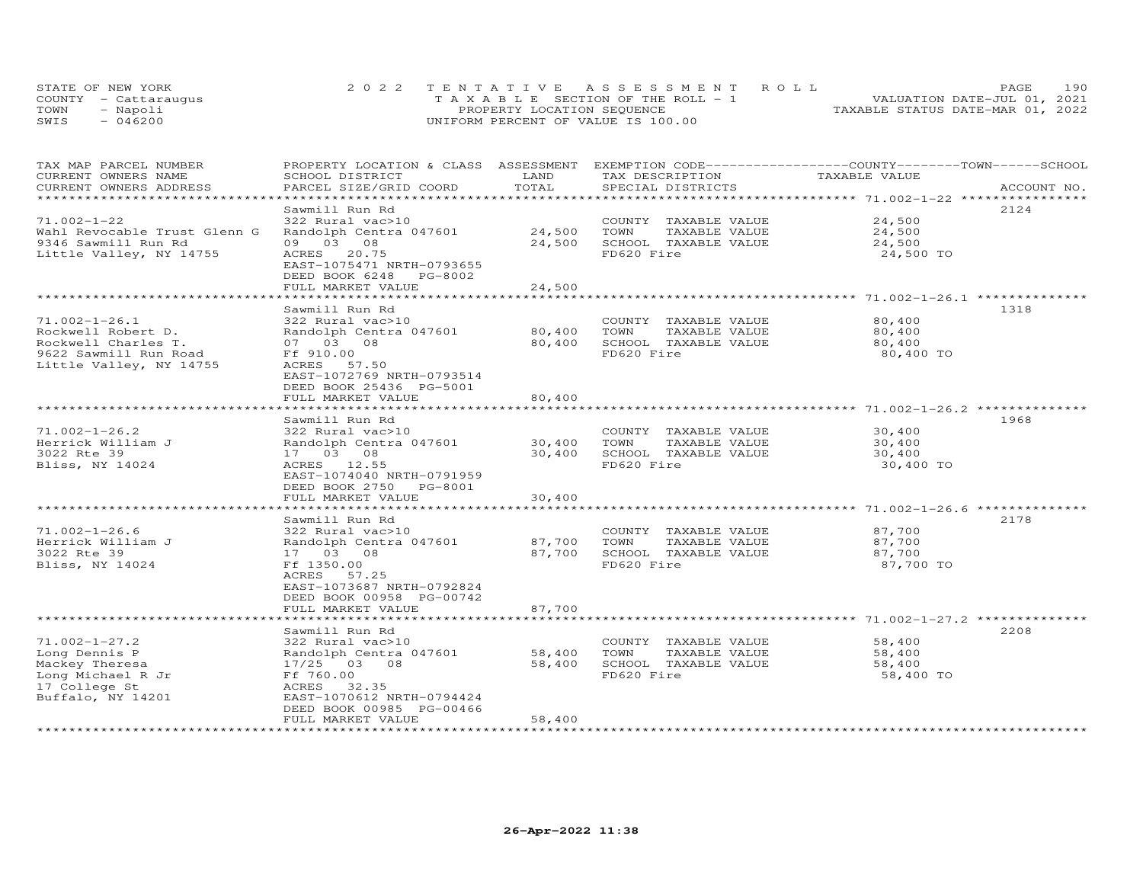|      | STATE OF NEW YORK    | 2022 TENTATIVE ASSESSMENT ROLL        | 190<br><b>PAGE</b>               |
|------|----------------------|---------------------------------------|----------------------------------|
|      | COUNTY - Cattarauqus | T A X A B L E SECTION OF THE ROLL - 1 | VALUATION DATE-JUL 01, 2021      |
| TOWN | - Napoli             | PROPERTY LOCATION SEQUENCE            | TAXABLE STATUS DATE-MAR 01, 2022 |
| SWIS | $-046200$            | UNIFORM PERCENT OF VALUE IS 100.00    |                                  |

| TAX MAP PARCEL NUMBER<br>CURRENT OWNERS NAME<br>CURRENT OWNERS ADDRESS | PROPERTY LOCATION & CLASS ASSESSMENT EXEMPTION CODE----------------COUNTY-------TOWN------SCHOOL<br>SCHOOL DISTRICT<br>PARCEL SIZE/GRID COORD | LAND<br>TOTAL    | TAX DESCRIPTION<br>SPECIAL DISTRICTS  | TAXABLE VALUE                                       | ACCOUNT NO. |
|------------------------------------------------------------------------|-----------------------------------------------------------------------------------------------------------------------------------------------|------------------|---------------------------------------|-----------------------------------------------------|-------------|
| **********************                                                 |                                                                                                                                               |                  |                                       |                                                     |             |
|                                                                        | Sawmill Run Rd                                                                                                                                |                  |                                       |                                                     | 2124        |
| $71.002 - 1 - 22$                                                      | 322 Rural vac>10                                                                                                                              |                  | COUNTY TAXABLE VALUE                  | 24,500                                              |             |
| Wahl Revocable Trust Glenn G                                           | Randolph Centra 047601                                                                                                                        | 24,500           | TOWN<br>TAXABLE VALUE                 | 24,500                                              |             |
| 9346 Sawmill Run Rd                                                    | 09 03 08                                                                                                                                      | 24,500           | SCHOOL TAXABLE VALUE                  | 24,500                                              |             |
| Little Valley, NY 14755                                                | 20.75<br>ACRES                                                                                                                                |                  | FD620 Fire                            | 24,500 TO                                           |             |
|                                                                        | EAST-1075471 NRTH-0793655                                                                                                                     |                  |                                       |                                                     |             |
|                                                                        | DEED BOOK 6248 PG-8002<br>FULL MARKET VALUE                                                                                                   | 24,500           |                                       |                                                     |             |
|                                                                        |                                                                                                                                               |                  |                                       | *********** 71.002-1-26.1 ***                       |             |
|                                                                        | Sawmill Run Rd                                                                                                                                |                  |                                       |                                                     | 1318        |
| $71.002 - 1 - 26.1$                                                    | 322 Rural vac>10                                                                                                                              |                  | COUNTY TAXABLE VALUE                  | 80,400                                              |             |
| Rockwell Robert D.                                                     | Randolph Centra 047601                                                                                                                        | 80,400           | TAXABLE VALUE<br>TOWN                 | 80,400                                              |             |
| Rockwell Charles T.                                                    | 07 03 08                                                                                                                                      | 80,400           | SCHOOL TAXABLE VALUE                  | 80,400                                              |             |
| 9622 Sawmill Run Road                                                  | Ff 910.00                                                                                                                                     |                  | FD620 Fire                            | 80,400 TO                                           |             |
| Little Valley, NY 14755                                                | ACRES 57.50                                                                                                                                   |                  |                                       |                                                     |             |
|                                                                        | EAST-1072769 NRTH-0793514                                                                                                                     |                  |                                       |                                                     |             |
|                                                                        | DEED BOOK 25436 PG-5001                                                                                                                       |                  |                                       |                                                     |             |
|                                                                        | FULL MARKET VALUE                                                                                                                             | 80,400           |                                       | $***************************71.002-1-26.2*********$ |             |
|                                                                        | Sawmill Run Rd                                                                                                                                |                  |                                       |                                                     | 1968        |
| $71.002 - 1 - 26.2$                                                    | 322 Rural vac>10                                                                                                                              |                  | COUNTY TAXABLE VALUE                  | 30,400                                              |             |
| Herrick William J                                                      | Randolph Centra 047601                                                                                                                        | 30,400           | TOWN<br>TAXABLE VALUE                 | 30,400                                              |             |
| 3022 Rte 39                                                            | 17 03 08                                                                                                                                      | 30,400           | SCHOOL TAXABLE VALUE                  | 30,400                                              |             |
| Bliss, NY 14024                                                        | ACRES 12.55                                                                                                                                   |                  | FD620 Fire                            | 30,400 TO                                           |             |
|                                                                        | EAST-1074040 NRTH-0791959                                                                                                                     |                  |                                       |                                                     |             |
|                                                                        | DEED BOOK 2750 PG-8001                                                                                                                        |                  |                                       |                                                     |             |
|                                                                        | FULL MARKET VALUE                                                                                                                             | 30,400           |                                       |                                                     |             |
|                                                                        |                                                                                                                                               |                  |                                       |                                                     |             |
|                                                                        | Sawmill Run Rd                                                                                                                                |                  |                                       |                                                     | 2178        |
| $71.002 - 1 - 26.6$<br>Herrick William J                               | 322 Rural vac>10<br>Randolph Centra 047601                                                                                                    | 87,700           | COUNTY TAXABLE VALUE<br>TOWN          | 87,700<br>87,700                                    |             |
| 3022 Rte 39                                                            | 17 03 08                                                                                                                                      | 87,700           | TAXABLE VALUE<br>SCHOOL TAXABLE VALUE | 87,700                                              |             |
| Bliss, NY 14024                                                        | Ff 1350.00                                                                                                                                    |                  | FD620 Fire                            | 87,700 TO                                           |             |
|                                                                        | 57.25<br>ACRES                                                                                                                                |                  |                                       |                                                     |             |
|                                                                        | EAST-1073687 NRTH-0792824                                                                                                                     |                  |                                       |                                                     |             |
|                                                                        | DEED BOOK 00958 PG-00742                                                                                                                      |                  |                                       |                                                     |             |
|                                                                        | FULL MARKET VALUE                                                                                                                             | 87,700           |                                       |                                                     |             |
|                                                                        |                                                                                                                                               |                  |                                       |                                                     |             |
|                                                                        | Sawmill Run Rd                                                                                                                                |                  |                                       |                                                     | 2208        |
| $71.002 - 1 - 27.2$                                                    | 322 Rural vac>10                                                                                                                              |                  | COUNTY TAXABLE VALUE                  | 58,400                                              |             |
| Long Dennis P                                                          | Randolph Centra 047601                                                                                                                        | 58,400<br>58,400 | TOWN<br>TAXABLE VALUE                 | 58,400                                              |             |
| Mackey Theresa<br>Long Michael R Jr                                    | 17/25 03 08<br>Ff 760.00                                                                                                                      |                  | SCHOOL TAXABLE VALUE<br>FD620 Fire    | 58,400<br>58,400 TO                                 |             |
| 17 College St                                                          | ACRES<br>32.35                                                                                                                                |                  |                                       |                                                     |             |
| Buffalo, NY 14201                                                      | EAST-1070612 NRTH-0794424                                                                                                                     |                  |                                       |                                                     |             |
|                                                                        | DEED BOOK 00985 PG-00466                                                                                                                      |                  |                                       |                                                     |             |
|                                                                        | FULL MARKET VALUE                                                                                                                             | 58,400           |                                       |                                                     |             |
| ************************                                               | **************************                                                                                                                    | ***************  |                                       |                                                     |             |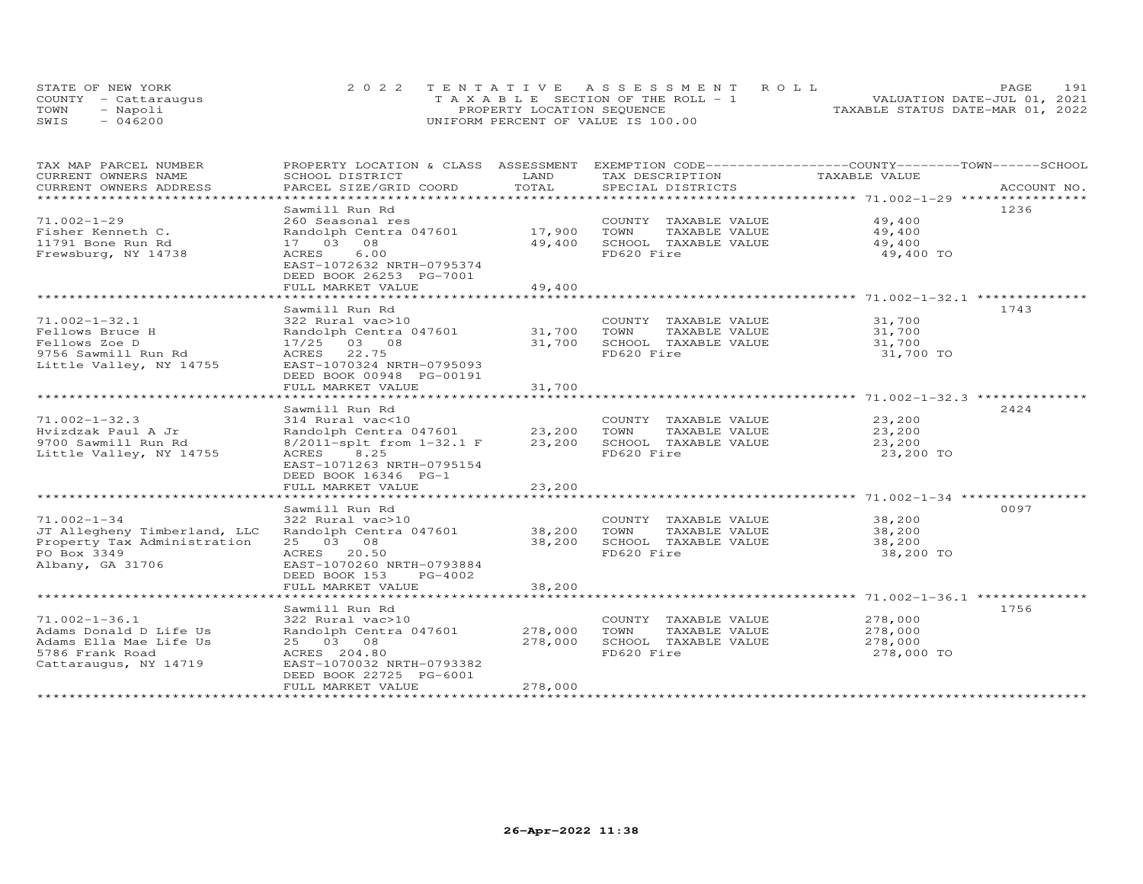| STATE OF NEW YORK    | 2022 TENTATIVE ASSESSMENT ROLL        |                                  | PAGE.                       | 191 |
|----------------------|---------------------------------------|----------------------------------|-----------------------------|-----|
| COUNTY - Cattaraugus | T A X A B L E SECTION OF THE ROLL - 1 |                                  | VALUATION DATE-JUL 01, 2021 |     |
| TOWN<br>- Napoli     | PROPERTY LOCATION SEQUENCE            | TAXABLE STATUS DATE-MAR 01, 2022 |                             |     |
| $-046200$<br>SWIS    | UNIFORM PERCENT OF VALUE IS 100.00    |                                  |                             |     |

| TAX MAP PARCEL NUMBER                         | PROPERTY LOCATION & CLASS ASSESSMENT EXEMPTION CODE----------------COUNTY-------TOWN-----SCHOOL |                |                                      |               |             |
|-----------------------------------------------|-------------------------------------------------------------------------------------------------|----------------|--------------------------------------|---------------|-------------|
| CURRENT OWNERS NAME<br>CURRENT OWNERS ADDRESS | SCHOOL DISTRICT<br>PARCEL SIZE/GRID COORD                                                       | LAND<br>TOTAL  | TAX DESCRIPTION<br>SPECIAL DISTRICTS | TAXABLE VALUE | ACCOUNT NO. |
| ***********************                       |                                                                                                 |                |                                      |               |             |
|                                               | Sawmill Run Rd                                                                                  |                |                                      |               | 1236        |
| $71.002 - 1 - 29$                             | 260 Seasonal res                                                                                |                | COUNTY TAXABLE VALUE                 | 49,400        |             |
| Fisher Kenneth C.                             | Randolph Centra 047601                                                                          | 17,900         | TOWN<br>TAXABLE VALUE                | 49,400        |             |
| 11791 Bone Run Rd                             | 17 03 08                                                                                        | 49,400         | SCHOOL TAXABLE VALUE                 | 49,400        |             |
| Frewsburg, NY 14738                           | 6.00<br>ACRES<br>EAST-1072632 NRTH-0795374                                                      |                | FD620 Fire                           | 49,400 TO     |             |
|                                               | DEED BOOK 26253 PG-7001                                                                         |                |                                      |               |             |
|                                               | FULL MARKET VALUE                                                                               | 49,400         |                                      |               |             |
|                                               |                                                                                                 | ***********    |                                      |               |             |
|                                               | Sawmill Run Rd                                                                                  |                |                                      |               | 1743        |
| $71.002 - 1 - 32.1$                           | 322 Rural vac>10                                                                                |                | COUNTY TAXABLE VALUE                 | 31,700        |             |
| Fellows Bruce H                               | Randolph Centra 047601                                                                          | 31,700         | TOWN<br>TAXABLE VALUE                | 31,700        |             |
| Fellows Zoe D                                 | 17/25 03 08                                                                                     | 31,700         | SCHOOL TAXABLE VALUE                 | 31,700        |             |
| 9756 Sawmill Run Rd                           | ACRES 22.75                                                                                     |                | FD620 Fire                           | 31,700 TO     |             |
| Little Valley, NY 14755                       | EAST-1070324 NRTH-0795093<br>DEED BOOK 00948 PG-00191                                           |                |                                      |               |             |
|                                               | FULL MARKET VALUE                                                                               | 31,700         |                                      |               |             |
|                                               | ***************************                                                                     | ************** |                                      |               |             |
|                                               | Sawmill Run Rd                                                                                  |                |                                      |               | 2424        |
| $71.002 - 1 - 32.3$                           | 314 Rural vac<10                                                                                |                | COUNTY TAXABLE VALUE                 | 23,200        |             |
| Hvizdzak Paul A Jr                            | العبد - المسير بن من المسير -<br>Randolph Centra 047601                                         |                | 23,200 TOWN<br>TAXABLE VALUE         | 23,200        |             |
| 9700 Sawmill Run Rd                           | 8/2011-splt from 1-32.1 F                                                                       | 23,200         | SCHOOL TAXABLE VALUE                 | 23,200        |             |
| Little Valley, NY 14755                       | ACRES 8.25                                                                                      |                | FD620 Fire                           | 23,200 TO     |             |
|                                               | EAST-1071263 NRTH-0795154                                                                       |                |                                      |               |             |
|                                               | DEED BOOK 16346 PG-1                                                                            |                |                                      |               |             |
|                                               | FULL MARKET VALUE                                                                               | 23,200         |                                      |               |             |
|                                               |                                                                                                 |                |                                      |               | 0097        |
| $71.002 - 1 - 34$                             | Sawmill Run Rd<br>322 Rural vac>10                                                              |                | COUNTY TAXABLE VALUE                 | 38,200        |             |
| JT Allegheny Timberland, LLC                  | Randolph Centra 047601 38,200 TOWN                                                              |                | TAXABLE VALUE                        | 38,200        |             |
| Property Tax Administration                   | 25 03 08                                                                                        | 38,200         | SCHOOL TAXABLE VALUE                 | 38,200        |             |
| PO Box 3349                                   | ACRES 20.50                                                                                     |                | FD620 Fire                           | 38,200 TO     |             |
| Albany, GA 31706                              | EAST-1070260 NRTH-0793884                                                                       |                |                                      |               |             |
|                                               | DEED BOOK 153<br>PG-4002                                                                        |                |                                      |               |             |
|                                               | FULL MARKET VALUE                                                                               | 38,200         |                                      |               |             |
|                                               |                                                                                                 |                |                                      |               |             |
|                                               | Sawmill Run Rd                                                                                  |                |                                      |               | 1756        |
| $71.002 - 1 - 36.1$                           | 322 Rural vac>10                                                                                |                | COUNTY TAXABLE VALUE                 | 278,000       |             |
| Adams Donald D Life Us                        | Randolph Centra 047601                                                                          | 278,000        | TOWN<br>TAXABLE VALUE                | 278,000       |             |
| Adams Ella Mae Life Us                        | 25 03 08                                                                                        | 278,000        | SCHOOL TAXABLE VALUE                 | 278,000       |             |
| 5786 Frank Road<br>Cattaraugus, NY 14719      | ACRES 204.80<br>EAST-1070032 NRTH-0793382                                                       |                | FD620 Fire                           | 278,000 TO    |             |
|                                               | DEED BOOK 22725 PG-6001                                                                         |                |                                      |               |             |
|                                               | FULL MARKET VALUE                                                                               | 278,000        |                                      |               |             |
|                                               |                                                                                                 |                |                                      |               |             |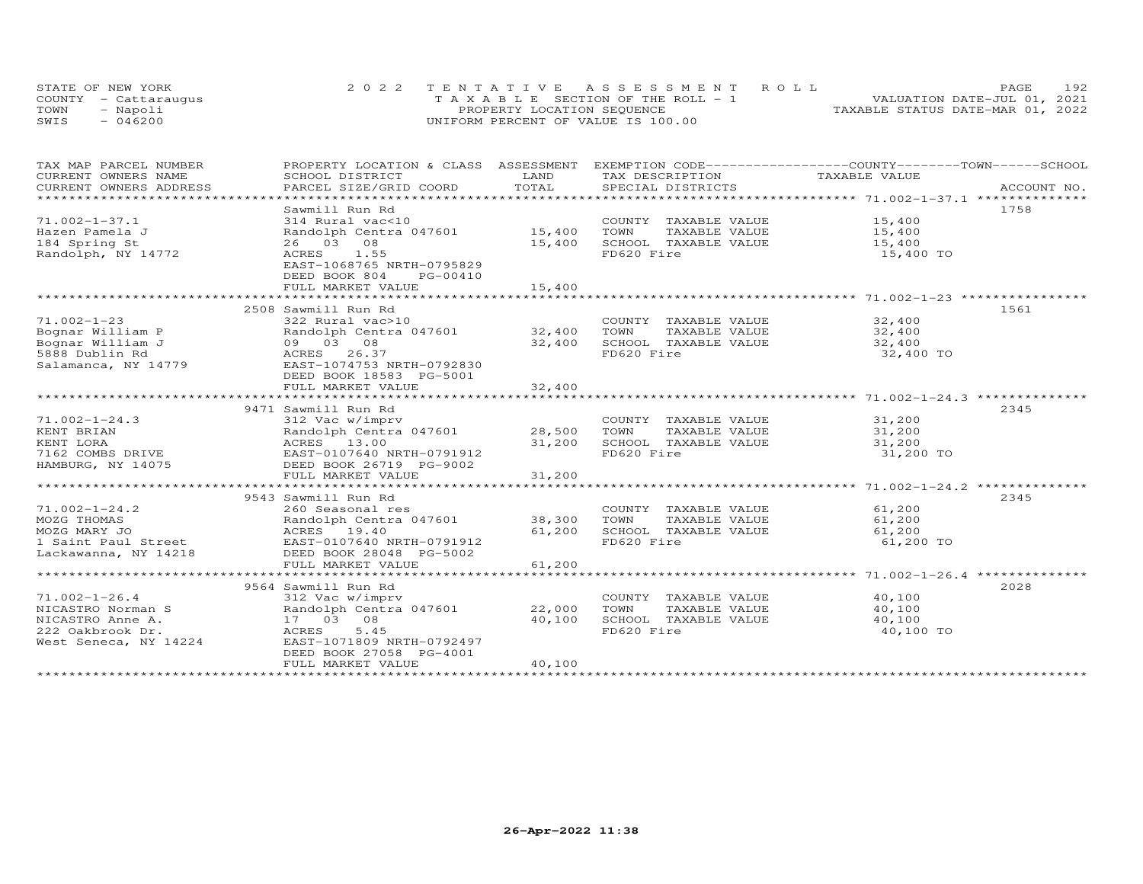|      | STATE OF NEW YORK    | 2022 TENTATIVE ASSESSMENT ROLL        | 192<br>PAGE.                     |
|------|----------------------|---------------------------------------|----------------------------------|
|      | COUNTY - Cattaraugus | T A X A B L E SECTION OF THE ROLL - 1 | VALUATION DATE-JUL 01, 2021      |
| TOWN | - Napoli             | PROPERTY LOCATION SEQUENCE            | TAXABLE STATUS DATE-MAR 01, 2022 |
| SWIS | - 046200             | UNIFORM PERCENT OF VALUE IS 100.00    |                                  |

| TAX MAP PARCEL NUMBER                       | PROPERTY LOCATION & CLASS ASSESSMENT                              |        | EXEMPTION CODE-----------------COUNTY-------TOWN-----SCHOOL |               |             |
|---------------------------------------------|-------------------------------------------------------------------|--------|-------------------------------------------------------------|---------------|-------------|
| CURRENT OWNERS NAME                         | SCHOOL DISTRICT                                                   | LAND   | TAX DESCRIPTION                                             | TAXABLE VALUE |             |
| CURRENT OWNERS ADDRESS                      | PARCEL SIZE/GRID COORD                                            | TOTAL  | SPECIAL DISTRICTS                                           |               | ACCOUNT NO. |
|                                             |                                                                   |        |                                                             |               |             |
|                                             | Sawmill Run Rd                                                    |        |                                                             |               | 1758        |
| $71.002 - 1 - 37.1$                         | 314 Rural vac<10                                                  |        | COUNTY TAXABLE VALUE 15,400                                 |               |             |
| Hazen Pamela J                              | Randolph Centra 047601 15,400                                     |        | TOWN<br>TAXABLE VALUE                                       | 15,400        |             |
| 184 Spring St                               | 26 03 08                                                          | 15,400 | SCHOOL TAXABLE VALUE                                        | 15,400        |             |
| Randolph, NY 14772                          | ACRES 1.55                                                        |        | FD620 Fire                                                  | 15,400 TO     |             |
|                                             | EAST-1068765 NRTH-0795829                                         |        |                                                             |               |             |
|                                             | DEED BOOK 804<br>PG-00410                                         |        |                                                             |               |             |
|                                             | FULL MARKET VALUE                                                 | 15,400 |                                                             |               |             |
|                                             |                                                                   |        |                                                             |               |             |
|                                             | 2508 Sawmill Run Rd                                               |        |                                                             |               | 1561        |
| $71.002 - 1 - 23$                           | 322 Rural vac>10                                                  |        | COUNTY TAXABLE VALUE                                        | 32,400        |             |
| Bognar William P                            | Randolph Centra 047601                                            | 32,400 | TOWN<br>TAXABLE VALUE                                       | 32,400        |             |
| Bognar William J                            | 09 03 08                                                          | 32,400 | SCHOOL TAXABLE VALUE                                        | 32,400        |             |
| 5888 Dublin Rd                              | ACRES 26.37                                                       |        | FD620 Fire                                                  | 32,400 TO     |             |
| Salamanca, NY 14779                         | EAST-1074753 NRTH-0792830                                         |        |                                                             |               |             |
|                                             | DEED BOOK 18583 PG-5001                                           |        |                                                             |               |             |
|                                             |                                                                   |        |                                                             |               |             |
|                                             |                                                                   |        |                                                             |               |             |
|                                             | 9471 Sawmill Run Rd                                               |        |                                                             |               | 2345        |
| $71.002 - 1 - 24.3$                         | 312 Vac w/imprv                                                   |        | COUNTY TAXABLE VALUE 31,200                                 |               |             |
| KENT BRIAN                                  | Randolph Centra 047601 28,500<br>Randolph Centr<br>ACRES    13.00 |        | TOWN<br>TAXABLE VALUE                                       | 31,200        |             |
| KENT LORA                                   |                                                                   | 31,200 | SCHOOL TAXABLE VALUE                                        | 31,200        |             |
| 7162 COMBS DRIVE                            | EAST-0107640 NRTH-0791912                                         |        | FD620 Fire                                                  | 31,200 TO     |             |
| HAMBURG, NY 14075                           | DEED BOOK 26719 PG-9002                                           |        |                                                             |               |             |
|                                             | FULL MARKET VALUE                                                 | 31,200 |                                                             |               |             |
|                                             |                                                                   |        |                                                             |               |             |
|                                             | 9543 Sawmill Run Rd                                               |        |                                                             |               | 2345        |
| $71.002 - 1 - 24.2$                         | 260 Seasonal res                                                  |        | COUNTY TAXABLE VALUE 61,200                                 |               |             |
| MOZG THOMAS                                 | Randolph Centra 047601 38,300                                     |        | TOWN<br>TAXABLE VALUE                                       | 61,200        |             |
| MOZG MARY JO                                | ACRES 19.40                                                       | 61,200 | SCHOOL TAXABLE VALUE                                        | 61,200        |             |
| 1 Saint Paul Street<br>Lackawanna. NY 14218 | EAST-0107640 NRTH-0791912                                         |        | FD620 Fire                                                  | 61,200 TO     |             |
| Lackawanna, NY 14218                        | DEED BOOK 28048 PG-5002<br>FULL MARKET VALUE                      | 61,200 |                                                             |               |             |
|                                             |                                                                   |        |                                                             |               |             |
|                                             | 9564 Sawmill Run Rd                                               |        |                                                             |               | 2028        |
| $71.002 - 1 - 26.4$                         | 312 Vac w/imprv                                                   |        | COUNTY TAXABLE VALUE                                        | 40,100        |             |
| NICASTRO Norman S                           | Randolph Centra 047601 22,000                                     |        | TOWN<br>TAXABLE VALUE                                       | 40,100        |             |
| NICASTRO Anne A.                            | 17 03 08                                                          | 40,100 | SCHOOL TAXABLE VALUE                                        | 40,100        |             |
| 222 Oakbrook Dr.                            | 5.45<br>ACRES                                                     |        | FD620 Fire                                                  | 40,100 TO     |             |
| West Seneca, NY 14224                       | EAST-1071809 NRTH-0792497                                         |        |                                                             |               |             |
|                                             | DEED BOOK 27058 PG-4001                                           |        |                                                             |               |             |
|                                             | FULL MARKET VALUE                                                 | 40,100 |                                                             |               |             |
|                                             |                                                                   |        |                                                             |               |             |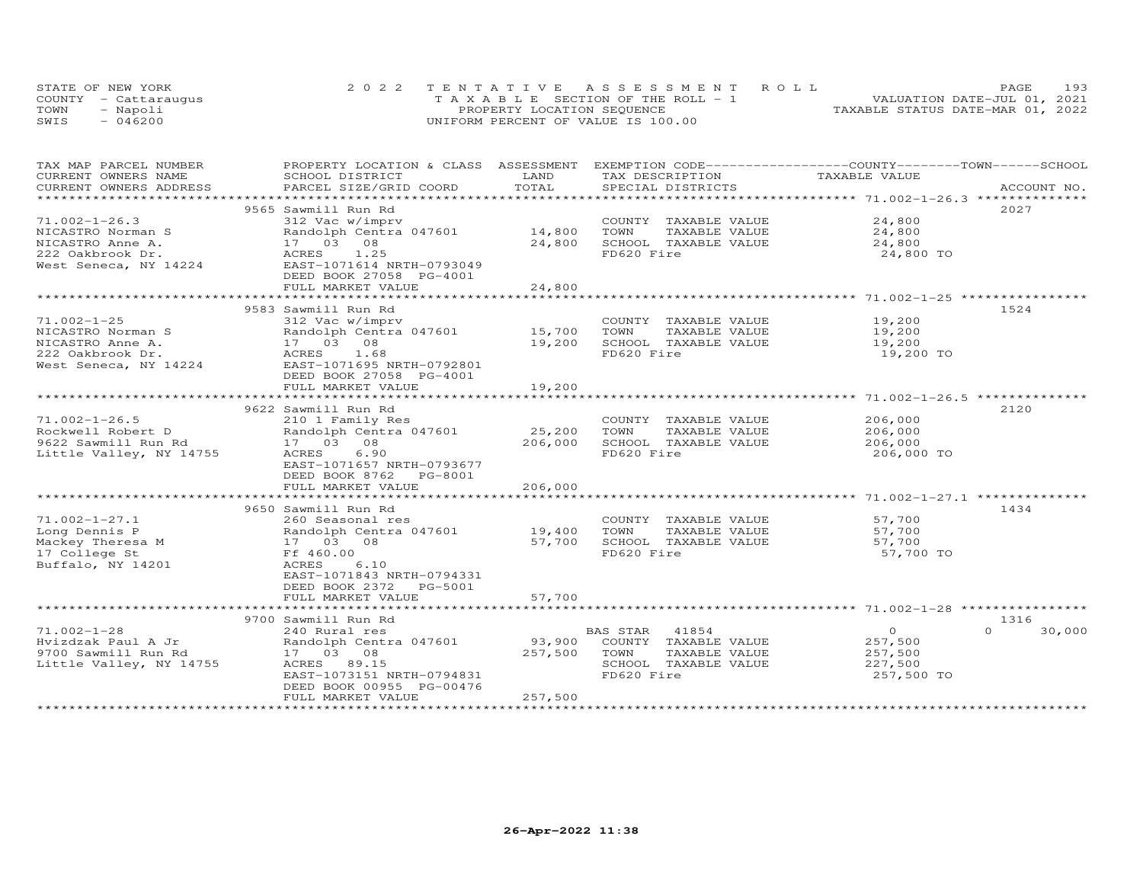|      | STATE OF NEW YORK    | 2022 TENTATIVE ASSESSMENT ROLL        | 193<br>PAGE                      |  |
|------|----------------------|---------------------------------------|----------------------------------|--|
|      | COUNTY - Cattarauqus | T A X A B L E SECTION OF THE ROLL - 1 | VALUATION DATE-JUL 01, 2021      |  |
| TOWN | - Napoli             | PROPERTY LOCATION SEQUENCE            | TAXABLE STATUS DATE-MAR 01, 2022 |  |
| SWIS | $-046200$            | UNIFORM PERCENT OF VALUE IS 100.00    |                                  |  |

| TAX MAP PARCEL NUMBER<br>CURRENT OWNERS NAME        | PROPERTY LOCATION & CLASS ASSESSMENT<br>SCHOOL DISTRICT | LAND    | EXEMPTION CODE-----------------COUNTY-------TOWN------SCHOOL<br>TAX DESCRIPTION | TAXABLE VALUE  |                    |
|-----------------------------------------------------|---------------------------------------------------------|---------|---------------------------------------------------------------------------------|----------------|--------------------|
| CURRENT OWNERS ADDRESS<br>************************* | PARCEL SIZE/GRID COORD                                  | TOTAL   | SPECIAL DISTRICTS                                                               |                | ACCOUNT NO.        |
|                                                     | 9565 Sawmill Run Rd                                     |         |                                                                                 |                | 2027               |
| $71.002 - 1 - 26.3$                                 | 312 Vac w/imprv                                         |         | COUNTY TAXABLE VALUE                                                            | 24,800         |                    |
| NICASTRO Norman S                                   | Randolph Centra 047601 14,800                           |         | TOWN<br>TAXABLE VALUE                                                           | 24,800         |                    |
| NICASTRO Anne A.                                    | 17 03 08                                                | 24,800  | SCHOOL TAXABLE VALUE                                                            | 24,800         |                    |
| 222 Oakbrook Dr.                                    | ACRES 1.25                                              |         | FD620 Fire                                                                      | 24,800 TO      |                    |
| West Seneca, NY 14224                               | EAST-1071614 NRTH-0793049                               |         |                                                                                 |                |                    |
|                                                     | DEED BOOK 27058 PG-4001                                 |         |                                                                                 |                |                    |
|                                                     | FULL MARKET VALUE                                       | 24,800  |                                                                                 |                |                    |
|                                                     |                                                         |         |                                                                                 |                |                    |
|                                                     | 9583 Sawmill Run Rd                                     |         |                                                                                 |                | 1524               |
| $71.002 - 1 - 25$                                   | 312 Vac w/imprv                                         |         | COUNTY TAXABLE VALUE                                                            | 19,200         |                    |
| NICASTRO Norman S                                   | Randolph Centra 047601 15,700                           |         | TOWN<br>TAXABLE VALUE                                                           | 19,200         |                    |
| NICASTRO Anne A.                                    |                                                         | 19,200  | SCHOOL TAXABLE VALUE                                                            | 19,200         |                    |
| 222 Oakbrook Dr.                                    | Randolph Cent<br>17 03 08<br>ACRES 1.68<br>1.68         |         | FD620 Fire                                                                      | 19,200 TO      |                    |
| West Seneca, NY 14224                               | EAST-1071695 NRTH-0792801                               |         |                                                                                 |                |                    |
|                                                     | DEED BOOK 27058 PG-4001                                 |         |                                                                                 |                |                    |
|                                                     | FULL MARKET VALUE                                       | 19,200  |                                                                                 |                |                    |
|                                                     |                                                         |         |                                                                                 |                |                    |
|                                                     | 9622 Sawmill Run Rd                                     |         |                                                                                 |                | 2120               |
| $71.002 - 1 - 26.5$                                 | 210 1 Family Res                                        |         | COUNTY TAXABLE VALUE                                                            | 206,000        |                    |
| Rockwell Robert D                                   | Randolph Centra 047601                                  | 25,200  | TOWN<br>TAXABLE VALUE                                                           | 206,000        |                    |
| 9622 Sawmill Run Rd                                 | 17 03 08                                                | 206,000 | SCHOOL TAXABLE VALUE                                                            | 206,000        |                    |
| Little Valley, NY 14755                             | ACRES<br>6.90                                           |         | FD620 Fire                                                                      | 206,000 TO     |                    |
|                                                     | EAST-1071657 NRTH-0793677                               |         |                                                                                 |                |                    |
|                                                     | DEED BOOK 8762 PG-8001                                  |         |                                                                                 |                |                    |
|                                                     | FULL MARKET VALUE                                       | 206,000 |                                                                                 |                |                    |
|                                                     |                                                         |         |                                                                                 |                |                    |
|                                                     | 9650 Sawmill Run Rd                                     |         |                                                                                 |                | 1434               |
| $71.002 - 1 - 27.1$                                 | 260 Seasonal res                                        |         | COUNTY TAXABLE VALUE                                                            | 57,700         |                    |
| Long Dennis P                                       | Randolph Centra 047601 19,400                           |         | TOWN<br>TAXABLE VALUE                                                           | 57,700         |                    |
| Mackey Theresa M                                    | 17 03 08                                                | 57,700  | SCHOOL TAXABLE VALUE                                                            | 57,700         |                    |
| 17 College St                                       | Ff 460.00                                               |         | FD620 Fire                                                                      | 57,700 TO      |                    |
| Buffalo, NY 14201                                   | ACRES<br>6.10                                           |         |                                                                                 |                |                    |
|                                                     | EAST-1071843 NRTH-0794331                               |         |                                                                                 |                |                    |
|                                                     | DEED BOOK 2372 PG-5001<br>FULL MARKET VALUE             | 57,700  |                                                                                 |                |                    |
|                                                     |                                                         |         |                                                                                 |                |                    |
|                                                     | 9700 Sawmill Run Rd                                     |         |                                                                                 |                | 1316               |
| $71.002 - 1 - 28$                                   | 240 Rural res                                           |         | BAS STAR<br>41854                                                               | $\overline{O}$ | $\Omega$<br>30,000 |
| Hvizdzak Paul A Jr                                  | Randolph Centra 047601                                  | 93,900  | COUNTY TAXABLE VALUE                                                            | 257,500        |                    |
| 9700 Sawmill Run Rd                                 | 17 03 08                                                | 257,500 | TAXABLE VALUE<br>TOWN                                                           | 257,500        |                    |
| Little Valley, NY 14755                             | ACRES 89.15                                             |         | SCHOOL TAXABLE VALUE                                                            | 227,500        |                    |
|                                                     | EAST-1073151 NRTH-0794831                               |         | FD620 Fire                                                                      | 257,500 TO     |                    |
|                                                     | DEED BOOK 00955 PG-00476                                |         |                                                                                 |                |                    |
|                                                     | FULL MARKET VALUE                                       | 257,500 |                                                                                 |                |                    |
|                                                     |                                                         |         |                                                                                 |                |                    |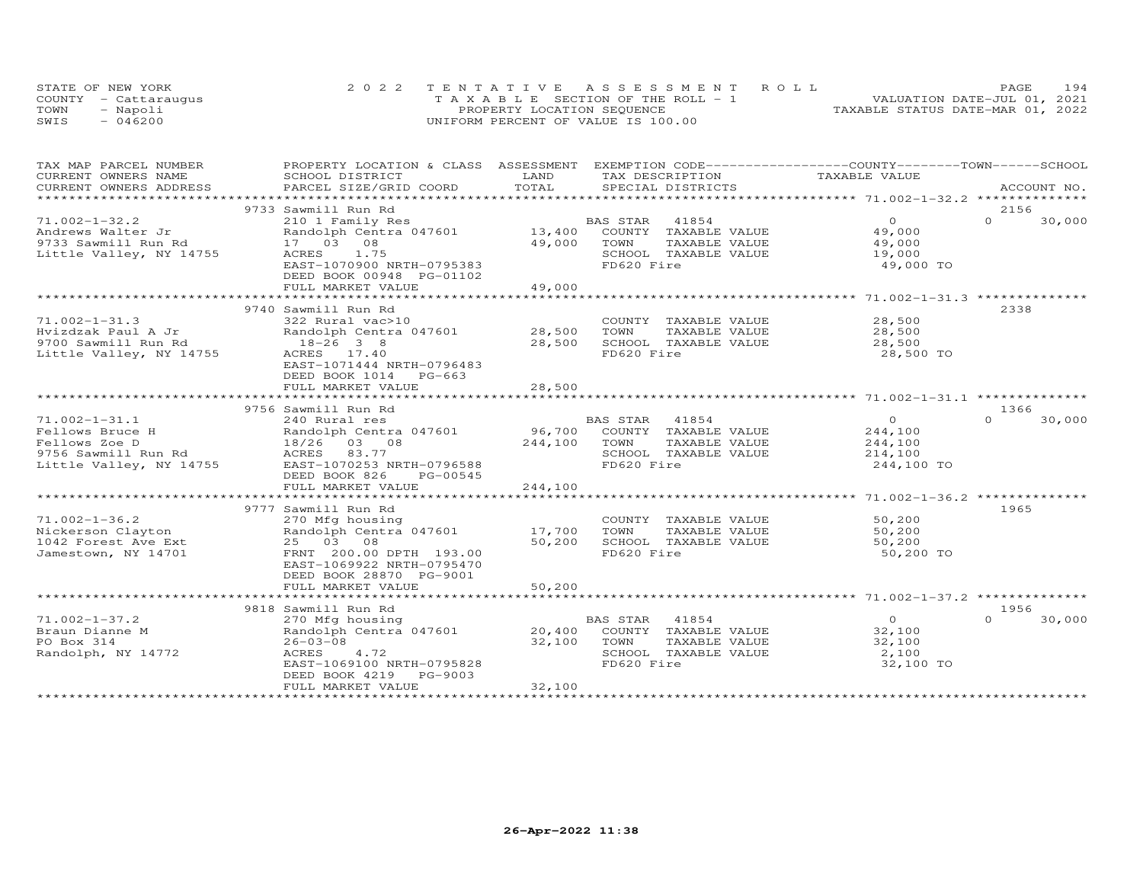|      | STATE OF NEW YORK    | 2022 TENTATIVE ASSESSMENT ROLL        | 194<br>PAGE                      |
|------|----------------------|---------------------------------------|----------------------------------|
|      | COUNTY - Cattaraugus | T A X A B L E SECTION OF THE ROLL - 1 | VALUATION DATE-JUL 01, 2021      |
| TOWN | - Napoli             | PROPERTY LOCATION SEQUENCE            | TAXABLE STATUS DATE-MAR 01, 2022 |
| SWIS | $-046200$            | UNIFORM PERCENT OF VALUE IS 100.00    |                                  |

| TAX MAP PARCEL NUMBER    | PROPERTY LOCATION & CLASS ASSESSMENT EXEMPTION CODE----------------COUNTY--------TOWN-----SCHOOL |              |                                    |                |                    |
|--------------------------|--------------------------------------------------------------------------------------------------|--------------|------------------------------------|----------------|--------------------|
| CURRENT OWNERS NAME      | SCHOOL DISTRICT                                                                                  | LAND         | TAX DESCRIPTION                    | TAXABLE VALUE  |                    |
| CURRENT OWNERS ADDRESS   | PARCEL SIZE/GRID COORD                                                                           | TOTAL        | SPECIAL DISTRICTS                  |                | ACCOUNT NO.        |
| ************************ |                                                                                                  |              |                                    |                |                    |
|                          | 9733 Sawmill Run Rd                                                                              |              |                                    |                | 2156               |
| $71.002 - 1 - 32.2$      | 210 1 Family Res                                                                                 |              | 41854<br>BAS STAR                  | $\overline{O}$ | $\Omega$<br>30,000 |
| Andrews Walter Jr        | Randolph Centra 047601                                                                           | 13,400       | COUNTY TAXABLE VALUE               | 49,000         |                    |
| 9733 Sawmill Run Rd      | 17 03 08                                                                                         | 49,000       | TOWN<br>TAXABLE VALUE              | 49,000         |                    |
| Little Valley, NY 14755  | 1.75<br>ACRES                                                                                    |              | SCHOOL TAXABLE VALUE               | 19,000         |                    |
|                          | EAST-1070900 NRTH-0795383                                                                        |              | FD620 Fire                         | 49,000 TO      |                    |
|                          | DEED BOOK 00948 PG-01102                                                                         |              |                                    |                |                    |
|                          | FULL MARKET VALUE                                                                                | 49,000       |                                    |                |                    |
|                          | ***************************                                                                      | ************ |                                    |                |                    |
|                          | 9740 Sawmill Run Rd                                                                              |              |                                    |                | 2338               |
| $71.002 - 1 - 31.3$      | 322 Rural vac>10                                                                                 |              | COUNTY TAXABLE VALUE               | 28,500         |                    |
| Hvizdzak Paul A Jr       | Randolph Centra 047601                                                                           | 28,500       | TOWN<br>TAXABLE VALUE              | 28,500         |                    |
| 9700 Sawmill Run Rd      | $18 - 26$ 3 8                                                                                    | 28,500       | SCHOOL TAXABLE VALUE               | 28,500         |                    |
| Little Valley, NY 14755  | ACRES 17.40                                                                                      |              | FD620 Fire                         | 28,500 TO      |                    |
|                          | EAST-1071444 NRTH-0796483                                                                        |              |                                    |                |                    |
|                          | DEED BOOK 1014 PG-663                                                                            |              |                                    |                |                    |
|                          | FULL MARKET VALUE                                                                                | 28,500       |                                    |                |                    |
|                          |                                                                                                  |              |                                    |                |                    |
|                          | 9756 Sawmill Run Rd                                                                              |              |                                    |                | 1366               |
| $71.002 - 1 - 31.1$      | 240 Rural res                                                                                    |              | BAS STAR<br>41854                  | $\overline{O}$ | $\Omega$<br>30,000 |
| Fellows Bruce H          | Randolph Centra 047601                                                                           |              | 96,700 COUNTY TAXABLE VALUE        | 244,100        |                    |
| Fellows Zoe D            | 18/26 03 08                                                                                      | 244,100      | TAXABLE VALUE<br>TOWN              | 244,100        |                    |
| 9756 Sawmill Run Rd      | ACRES 83.77                                                                                      |              | SCHOOL TAXABLE VALUE               | 214,100        |                    |
| Little Valley, NY 14755  | EAST-1070253 NRTH-0796588                                                                        |              | FD620 Fire                         | 244,100 TO     |                    |
|                          | DEED BOOK 826<br>PG-00545                                                                        |              |                                    |                |                    |
|                          | FULL MARKET VALUE                                                                                | 244,100      |                                    |                |                    |
|                          |                                                                                                  |              |                                    |                |                    |
|                          | 9777 Sawmill Run Rd                                                                              |              |                                    |                | 1965               |
| $71.002 - 1 - 36.2$      |                                                                                                  |              | COUNTY TAXABLE VALUE               | 50,200         |                    |
|                          | 270 Mfg housing                                                                                  |              |                                    |                |                    |
| Nickerson Clayton        | Randolph Centra 047601                                                                           | 17,700       | TOWN<br>TAXABLE VALUE              | 50,200         |                    |
| 1042 Forest Ave Ext      | 25 03 08                                                                                         | 50,200       | SCHOOL TAXABLE VALUE<br>FD620 Fire | 50,200         |                    |
| Jamestown, NY 14701      | FRNT 200.00 DPTH 193.00                                                                          |              |                                    | 50,200 TO      |                    |
|                          | EAST-1069922 NRTH-0795470                                                                        |              |                                    |                |                    |
|                          | DEED BOOK 28870 PG-9001                                                                          |              |                                    |                |                    |
|                          | FULL MARKET VALUE                                                                                | 50,200       |                                    |                |                    |
|                          |                                                                                                  |              |                                    |                |                    |
|                          | 9818 Sawmill Run Rd                                                                              |              |                                    |                | 1956               |
| $71.002 - 1 - 37.2$      | 270 Mfg housing                                                                                  |              | 41854<br>BAS STAR                  | $\overline{0}$ | $\Omega$<br>30,000 |
| Braun Dianne M           | Randolph Centra 047601                                                                           | 20,400       | COUNTY TAXABLE VALUE               | 32,100         |                    |
| PO Box 314               | $26 - 03 - 08$                                                                                   | 32,100       | TOWN<br>TAXABLE VALUE              | 32,100         |                    |
| Randolph, NY 14772       | ACRES<br>4.72                                                                                    |              | SCHOOL TAXABLE VALUE               | 2,100          |                    |
|                          | EAST-1069100 NRTH-0795828                                                                        |              | FD620 Fire                         | 32,100 TO      |                    |
|                          | PG-9003<br>DEED BOOK 4219                                                                        |              |                                    |                |                    |
|                          | FULL MARKET VALUE                                                                                | 32,100       |                                    |                |                    |
|                          |                                                                                                  |              |                                    |                |                    |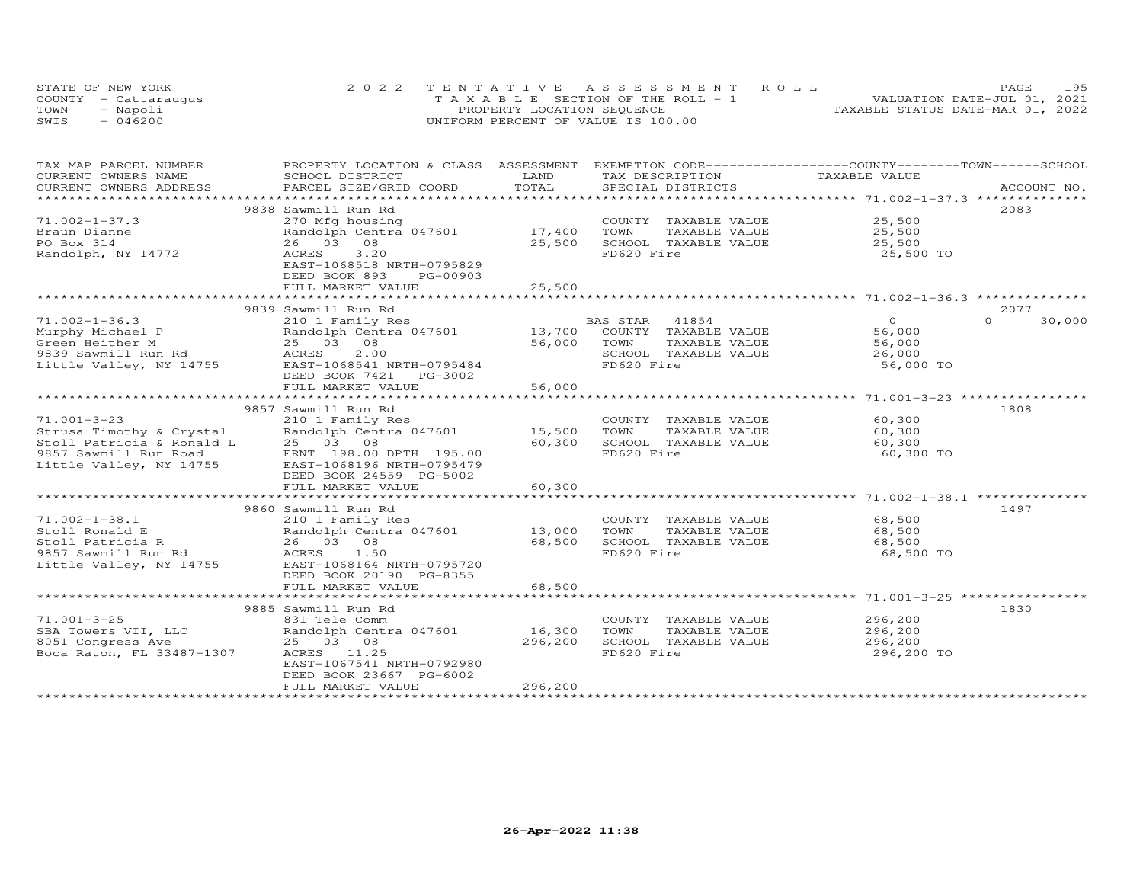|      | STATE OF NEW YORK    | 2022 TENTATIVE ASSESSMENT ROLL        | 195<br>PAGE                      |
|------|----------------------|---------------------------------------|----------------------------------|
|      | COUNTY - Cattarauqus | T A X A B L E SECTION OF THE ROLL - 1 | VALUATION DATE-JUL 01, 2021      |
| TOWN | - Napoli             | PROPERTY LOCATION SEQUENCE            | TAXABLE STATUS DATE-MAR 01, 2022 |
| SWIS | $-046200$            | UNIFORM PERCENT OF VALUE IS 100.00    |                                  |

| TAXABLE VALUE<br>CURRENT OWNERS NAME<br>SCHOOL DISTRICT<br>LAND<br>TAX DESCRIPTION<br>TOTAL<br>CURRENT OWNERS ADDRESS<br>PARCEL SIZE/GRID COORD<br>SPECIAL DISTRICTS<br>ACCOUNT NO.<br>************************<br>9838 Sawmill Run Rd<br>2083<br>$71.002 - 1 - 37.3$<br>COUNTY TAXABLE VALUE 25,500<br>270 Mfg housing<br>Randolph Centra 047601<br>17,400<br>TOWN<br>TAXABLE VALUE<br>25,500<br>Braun Dianne<br>25,500<br>26 03 08<br>25,500<br>SCHOOL TAXABLE VALUE<br>PO Box 314<br>FD620 Fire<br>Randolph, NY 14772<br>ACRES<br>3,20<br>25,500 TO<br>EAST-1068518 NRTH-0795829<br>DEED BOOK 893<br>PG-00903<br>25,500<br>FULL MARKET VALUE<br>**************<br>2077<br>9839 Sawmill Run Rd<br>$71.002 - 1 - 36.3$<br>BAS STAR<br>41854<br>$\overline{O}$<br>$\Omega$<br>30,000<br>210 1 Family Res<br>13,700 COUNTY TAXABLE VALUE<br>Murphy Michael P<br>Randolph Centra 047601<br>56,000<br>25 03 08<br>56,000<br>TOWN<br>TAXABLE VALUE<br>Green Heither M<br>56,000<br>2.00<br>SCHOOL TAXABLE VALUE<br>9839 Sawmill Run Rd<br>ACRES<br>26,000<br>FD620 Fire<br>56,000 TO<br>DEED BOOK 7421<br>PG-3002<br>56,000<br>FULL MARKET VALUE<br>9857 Sawmill Run Rd<br>1808<br>60,300<br>$71.001 - 3 - 23$<br>210 1 Family Res<br>COUNTY TAXABLE VALUE<br>210 1 Family Res<br>Randolph Centra 047601               15,500<br>Strusa Timothy & Crystal<br>TOWN<br>TAXABLE VALUE<br>60,300<br>Stoll Patricia & Ronald L<br>9857 Sawmill Run Road<br>25 03 08<br>60,300<br>SCHOOL TAXABLE VALUE<br>60,300<br>FD620 Fire<br>FRNT 198.00 DPTH 195.00<br>60,300 TO<br>Little Valley, NY 14755<br>EAST-1068196 NRTH-0795479<br>DEED BOOK 24559 PG-5002<br>FULL MARKET VALUE<br>60,300<br>9860 Sawmill Run Rd<br>1497<br>$71.002 - 1 - 38.1$<br>68,500<br>210 1 Family Res<br>COUNTY TAXABLE VALUE<br>Randolph Centra 047601 13,000<br>TOWN<br>TAXABLE VALUE<br>68,500<br>Stoll Ronald E<br>26 03 08<br>68,500<br>SCHOOL TAXABLE VALUE<br>Stoll Patricia R<br>68,500<br>FD620 Fire<br>68,500 TO<br>9857 Sawmill Run Rd<br>ACRES 1.50<br>Little Valley, NY 14755<br>EAST-1068164 NRTH-0795720<br>DEED BOOK 20190 PG-8355<br>68,500<br>FULL MARKET VALUE<br>9885 Sawmill Run Rd<br>1830<br>$71.001 - 3 - 25$<br>296,200<br>831 Tele Comm<br>COUNTY TAXABLE VALUE<br>16,300<br>Randolph Centra 047601<br>TOWN<br>TAXABLE VALUE<br>296,200<br>SBA Towers VII, LLC<br>25 03 08<br>296,200<br>SCHOOL TAXABLE VALUE<br>8051 Congress Ave<br>296,200<br>Boca Raton, FL 33487-1307<br>FD620 Fire<br>296,200 TO<br>ACRES 11.25<br>EAST-1067541 NRTH-0792980<br>DEED BOOK 23667 PG-6002<br>296,200<br>FULL MARKET VALUE | TAX MAP PARCEL NUMBER | PROPERTY LOCATION & CLASS ASSESSMENT | EXEMPTION CODE-----------------COUNTY-------TOWN------SCHOOL |  |
|------------------------------------------------------------------------------------------------------------------------------------------------------------------------------------------------------------------------------------------------------------------------------------------------------------------------------------------------------------------------------------------------------------------------------------------------------------------------------------------------------------------------------------------------------------------------------------------------------------------------------------------------------------------------------------------------------------------------------------------------------------------------------------------------------------------------------------------------------------------------------------------------------------------------------------------------------------------------------------------------------------------------------------------------------------------------------------------------------------------------------------------------------------------------------------------------------------------------------------------------------------------------------------------------------------------------------------------------------------------------------------------------------------------------------------------------------------------------------------------------------------------------------------------------------------------------------------------------------------------------------------------------------------------------------------------------------------------------------------------------------------------------------------------------------------------------------------------------------------------------------------------------------------------------------------------------------------------------------------------------------------------------------------------------------------------------------------------------------------------------------------------------------------------------------------------------------------------------------------------------------------------------------------------------------------------------------------------------------------------------------------------------------------------------------------------------------------------------------------------------------------------------------------------------------------------------------------------------------|-----------------------|--------------------------------------|--------------------------------------------------------------|--|
|                                                                                                                                                                                                                                                                                                                                                                                                                                                                                                                                                                                                                                                                                                                                                                                                                                                                                                                                                                                                                                                                                                                                                                                                                                                                                                                                                                                                                                                                                                                                                                                                                                                                                                                                                                                                                                                                                                                                                                                                                                                                                                                                                                                                                                                                                                                                                                                                                                                                                                                                                                                                      |                       |                                      |                                                              |  |
|                                                                                                                                                                                                                                                                                                                                                                                                                                                                                                                                                                                                                                                                                                                                                                                                                                                                                                                                                                                                                                                                                                                                                                                                                                                                                                                                                                                                                                                                                                                                                                                                                                                                                                                                                                                                                                                                                                                                                                                                                                                                                                                                                                                                                                                                                                                                                                                                                                                                                                                                                                                                      |                       |                                      |                                                              |  |
|                                                                                                                                                                                                                                                                                                                                                                                                                                                                                                                                                                                                                                                                                                                                                                                                                                                                                                                                                                                                                                                                                                                                                                                                                                                                                                                                                                                                                                                                                                                                                                                                                                                                                                                                                                                                                                                                                                                                                                                                                                                                                                                                                                                                                                                                                                                                                                                                                                                                                                                                                                                                      |                       |                                      |                                                              |  |
|                                                                                                                                                                                                                                                                                                                                                                                                                                                                                                                                                                                                                                                                                                                                                                                                                                                                                                                                                                                                                                                                                                                                                                                                                                                                                                                                                                                                                                                                                                                                                                                                                                                                                                                                                                                                                                                                                                                                                                                                                                                                                                                                                                                                                                                                                                                                                                                                                                                                                                                                                                                                      |                       |                                      |                                                              |  |
|                                                                                                                                                                                                                                                                                                                                                                                                                                                                                                                                                                                                                                                                                                                                                                                                                                                                                                                                                                                                                                                                                                                                                                                                                                                                                                                                                                                                                                                                                                                                                                                                                                                                                                                                                                                                                                                                                                                                                                                                                                                                                                                                                                                                                                                                                                                                                                                                                                                                                                                                                                                                      |                       |                                      |                                                              |  |
|                                                                                                                                                                                                                                                                                                                                                                                                                                                                                                                                                                                                                                                                                                                                                                                                                                                                                                                                                                                                                                                                                                                                                                                                                                                                                                                                                                                                                                                                                                                                                                                                                                                                                                                                                                                                                                                                                                                                                                                                                                                                                                                                                                                                                                                                                                                                                                                                                                                                                                                                                                                                      |                       |                                      |                                                              |  |
|                                                                                                                                                                                                                                                                                                                                                                                                                                                                                                                                                                                                                                                                                                                                                                                                                                                                                                                                                                                                                                                                                                                                                                                                                                                                                                                                                                                                                                                                                                                                                                                                                                                                                                                                                                                                                                                                                                                                                                                                                                                                                                                                                                                                                                                                                                                                                                                                                                                                                                                                                                                                      |                       |                                      |                                                              |  |
|                                                                                                                                                                                                                                                                                                                                                                                                                                                                                                                                                                                                                                                                                                                                                                                                                                                                                                                                                                                                                                                                                                                                                                                                                                                                                                                                                                                                                                                                                                                                                                                                                                                                                                                                                                                                                                                                                                                                                                                                                                                                                                                                                                                                                                                                                                                                                                                                                                                                                                                                                                                                      |                       |                                      |                                                              |  |
|                                                                                                                                                                                                                                                                                                                                                                                                                                                                                                                                                                                                                                                                                                                                                                                                                                                                                                                                                                                                                                                                                                                                                                                                                                                                                                                                                                                                                                                                                                                                                                                                                                                                                                                                                                                                                                                                                                                                                                                                                                                                                                                                                                                                                                                                                                                                                                                                                                                                                                                                                                                                      |                       |                                      |                                                              |  |
|                                                                                                                                                                                                                                                                                                                                                                                                                                                                                                                                                                                                                                                                                                                                                                                                                                                                                                                                                                                                                                                                                                                                                                                                                                                                                                                                                                                                                                                                                                                                                                                                                                                                                                                                                                                                                                                                                                                                                                                                                                                                                                                                                                                                                                                                                                                                                                                                                                                                                                                                                                                                      |                       |                                      |                                                              |  |
|                                                                                                                                                                                                                                                                                                                                                                                                                                                                                                                                                                                                                                                                                                                                                                                                                                                                                                                                                                                                                                                                                                                                                                                                                                                                                                                                                                                                                                                                                                                                                                                                                                                                                                                                                                                                                                                                                                                                                                                                                                                                                                                                                                                                                                                                                                                                                                                                                                                                                                                                                                                                      |                       |                                      |                                                              |  |
|                                                                                                                                                                                                                                                                                                                                                                                                                                                                                                                                                                                                                                                                                                                                                                                                                                                                                                                                                                                                                                                                                                                                                                                                                                                                                                                                                                                                                                                                                                                                                                                                                                                                                                                                                                                                                                                                                                                                                                                                                                                                                                                                                                                                                                                                                                                                                                                                                                                                                                                                                                                                      |                       |                                      |                                                              |  |
|                                                                                                                                                                                                                                                                                                                                                                                                                                                                                                                                                                                                                                                                                                                                                                                                                                                                                                                                                                                                                                                                                                                                                                                                                                                                                                                                                                                                                                                                                                                                                                                                                                                                                                                                                                                                                                                                                                                                                                                                                                                                                                                                                                                                                                                                                                                                                                                                                                                                                                                                                                                                      |                       |                                      |                                                              |  |
|                                                                                                                                                                                                                                                                                                                                                                                                                                                                                                                                                                                                                                                                                                                                                                                                                                                                                                                                                                                                                                                                                                                                                                                                                                                                                                                                                                                                                                                                                                                                                                                                                                                                                                                                                                                                                                                                                                                                                                                                                                                                                                                                                                                                                                                                                                                                                                                                                                                                                                                                                                                                      |                       |                                      |                                                              |  |
|                                                                                                                                                                                                                                                                                                                                                                                                                                                                                                                                                                                                                                                                                                                                                                                                                                                                                                                                                                                                                                                                                                                                                                                                                                                                                                                                                                                                                                                                                                                                                                                                                                                                                                                                                                                                                                                                                                                                                                                                                                                                                                                                                                                                                                                                                                                                                                                                                                                                                                                                                                                                      |                       |                                      |                                                              |  |
|                                                                                                                                                                                                                                                                                                                                                                                                                                                                                                                                                                                                                                                                                                                                                                                                                                                                                                                                                                                                                                                                                                                                                                                                                                                                                                                                                                                                                                                                                                                                                                                                                                                                                                                                                                                                                                                                                                                                                                                                                                                                                                                                                                                                                                                                                                                                                                                                                                                                                                                                                                                                      |                       |                                      |                                                              |  |
|                                                                                                                                                                                                                                                                                                                                                                                                                                                                                                                                                                                                                                                                                                                                                                                                                                                                                                                                                                                                                                                                                                                                                                                                                                                                                                                                                                                                                                                                                                                                                                                                                                                                                                                                                                                                                                                                                                                                                                                                                                                                                                                                                                                                                                                                                                                                                                                                                                                                                                                                                                                                      |                       |                                      |                                                              |  |
|                                                                                                                                                                                                                                                                                                                                                                                                                                                                                                                                                                                                                                                                                                                                                                                                                                                                                                                                                                                                                                                                                                                                                                                                                                                                                                                                                                                                                                                                                                                                                                                                                                                                                                                                                                                                                                                                                                                                                                                                                                                                                                                                                                                                                                                                                                                                                                                                                                                                                                                                                                                                      |                       |                                      |                                                              |  |
|                                                                                                                                                                                                                                                                                                                                                                                                                                                                                                                                                                                                                                                                                                                                                                                                                                                                                                                                                                                                                                                                                                                                                                                                                                                                                                                                                                                                                                                                                                                                                                                                                                                                                                                                                                                                                                                                                                                                                                                                                                                                                                                                                                                                                                                                                                                                                                                                                                                                                                                                                                                                      |                       |                                      |                                                              |  |
|                                                                                                                                                                                                                                                                                                                                                                                                                                                                                                                                                                                                                                                                                                                                                                                                                                                                                                                                                                                                                                                                                                                                                                                                                                                                                                                                                                                                                                                                                                                                                                                                                                                                                                                                                                                                                                                                                                                                                                                                                                                                                                                                                                                                                                                                                                                                                                                                                                                                                                                                                                                                      |                       |                                      |                                                              |  |
|                                                                                                                                                                                                                                                                                                                                                                                                                                                                                                                                                                                                                                                                                                                                                                                                                                                                                                                                                                                                                                                                                                                                                                                                                                                                                                                                                                                                                                                                                                                                                                                                                                                                                                                                                                                                                                                                                                                                                                                                                                                                                                                                                                                                                                                                                                                                                                                                                                                                                                                                                                                                      |                       |                                      |                                                              |  |
|                                                                                                                                                                                                                                                                                                                                                                                                                                                                                                                                                                                                                                                                                                                                                                                                                                                                                                                                                                                                                                                                                                                                                                                                                                                                                                                                                                                                                                                                                                                                                                                                                                                                                                                                                                                                                                                                                                                                                                                                                                                                                                                                                                                                                                                                                                                                                                                                                                                                                                                                                                                                      |                       |                                      |                                                              |  |
|                                                                                                                                                                                                                                                                                                                                                                                                                                                                                                                                                                                                                                                                                                                                                                                                                                                                                                                                                                                                                                                                                                                                                                                                                                                                                                                                                                                                                                                                                                                                                                                                                                                                                                                                                                                                                                                                                                                                                                                                                                                                                                                                                                                                                                                                                                                                                                                                                                                                                                                                                                                                      |                       |                                      |                                                              |  |
|                                                                                                                                                                                                                                                                                                                                                                                                                                                                                                                                                                                                                                                                                                                                                                                                                                                                                                                                                                                                                                                                                                                                                                                                                                                                                                                                                                                                                                                                                                                                                                                                                                                                                                                                                                                                                                                                                                                                                                                                                                                                                                                                                                                                                                                                                                                                                                                                                                                                                                                                                                                                      |                       |                                      |                                                              |  |
|                                                                                                                                                                                                                                                                                                                                                                                                                                                                                                                                                                                                                                                                                                                                                                                                                                                                                                                                                                                                                                                                                                                                                                                                                                                                                                                                                                                                                                                                                                                                                                                                                                                                                                                                                                                                                                                                                                                                                                                                                                                                                                                                                                                                                                                                                                                                                                                                                                                                                                                                                                                                      |                       |                                      |                                                              |  |
|                                                                                                                                                                                                                                                                                                                                                                                                                                                                                                                                                                                                                                                                                                                                                                                                                                                                                                                                                                                                                                                                                                                                                                                                                                                                                                                                                                                                                                                                                                                                                                                                                                                                                                                                                                                                                                                                                                                                                                                                                                                                                                                                                                                                                                                                                                                                                                                                                                                                                                                                                                                                      |                       |                                      |                                                              |  |
|                                                                                                                                                                                                                                                                                                                                                                                                                                                                                                                                                                                                                                                                                                                                                                                                                                                                                                                                                                                                                                                                                                                                                                                                                                                                                                                                                                                                                                                                                                                                                                                                                                                                                                                                                                                                                                                                                                                                                                                                                                                                                                                                                                                                                                                                                                                                                                                                                                                                                                                                                                                                      |                       |                                      |                                                              |  |
|                                                                                                                                                                                                                                                                                                                                                                                                                                                                                                                                                                                                                                                                                                                                                                                                                                                                                                                                                                                                                                                                                                                                                                                                                                                                                                                                                                                                                                                                                                                                                                                                                                                                                                                                                                                                                                                                                                                                                                                                                                                                                                                                                                                                                                                                                                                                                                                                                                                                                                                                                                                                      |                       |                                      |                                                              |  |
|                                                                                                                                                                                                                                                                                                                                                                                                                                                                                                                                                                                                                                                                                                                                                                                                                                                                                                                                                                                                                                                                                                                                                                                                                                                                                                                                                                                                                                                                                                                                                                                                                                                                                                                                                                                                                                                                                                                                                                                                                                                                                                                                                                                                                                                                                                                                                                                                                                                                                                                                                                                                      |                       |                                      |                                                              |  |
|                                                                                                                                                                                                                                                                                                                                                                                                                                                                                                                                                                                                                                                                                                                                                                                                                                                                                                                                                                                                                                                                                                                                                                                                                                                                                                                                                                                                                                                                                                                                                                                                                                                                                                                                                                                                                                                                                                                                                                                                                                                                                                                                                                                                                                                                                                                                                                                                                                                                                                                                                                                                      |                       |                                      |                                                              |  |
|                                                                                                                                                                                                                                                                                                                                                                                                                                                                                                                                                                                                                                                                                                                                                                                                                                                                                                                                                                                                                                                                                                                                                                                                                                                                                                                                                                                                                                                                                                                                                                                                                                                                                                                                                                                                                                                                                                                                                                                                                                                                                                                                                                                                                                                                                                                                                                                                                                                                                                                                                                                                      |                       |                                      |                                                              |  |
|                                                                                                                                                                                                                                                                                                                                                                                                                                                                                                                                                                                                                                                                                                                                                                                                                                                                                                                                                                                                                                                                                                                                                                                                                                                                                                                                                                                                                                                                                                                                                                                                                                                                                                                                                                                                                                                                                                                                                                                                                                                                                                                                                                                                                                                                                                                                                                                                                                                                                                                                                                                                      |                       |                                      |                                                              |  |
|                                                                                                                                                                                                                                                                                                                                                                                                                                                                                                                                                                                                                                                                                                                                                                                                                                                                                                                                                                                                                                                                                                                                                                                                                                                                                                                                                                                                                                                                                                                                                                                                                                                                                                                                                                                                                                                                                                                                                                                                                                                                                                                                                                                                                                                                                                                                                                                                                                                                                                                                                                                                      |                       |                                      |                                                              |  |
|                                                                                                                                                                                                                                                                                                                                                                                                                                                                                                                                                                                                                                                                                                                                                                                                                                                                                                                                                                                                                                                                                                                                                                                                                                                                                                                                                                                                                                                                                                                                                                                                                                                                                                                                                                                                                                                                                                                                                                                                                                                                                                                                                                                                                                                                                                                                                                                                                                                                                                                                                                                                      |                       |                                      |                                                              |  |
|                                                                                                                                                                                                                                                                                                                                                                                                                                                                                                                                                                                                                                                                                                                                                                                                                                                                                                                                                                                                                                                                                                                                                                                                                                                                                                                                                                                                                                                                                                                                                                                                                                                                                                                                                                                                                                                                                                                                                                                                                                                                                                                                                                                                                                                                                                                                                                                                                                                                                                                                                                                                      |                       |                                      |                                                              |  |
|                                                                                                                                                                                                                                                                                                                                                                                                                                                                                                                                                                                                                                                                                                                                                                                                                                                                                                                                                                                                                                                                                                                                                                                                                                                                                                                                                                                                                                                                                                                                                                                                                                                                                                                                                                                                                                                                                                                                                                                                                                                                                                                                                                                                                                                                                                                                                                                                                                                                                                                                                                                                      |                       |                                      |                                                              |  |
|                                                                                                                                                                                                                                                                                                                                                                                                                                                                                                                                                                                                                                                                                                                                                                                                                                                                                                                                                                                                                                                                                                                                                                                                                                                                                                                                                                                                                                                                                                                                                                                                                                                                                                                                                                                                                                                                                                                                                                                                                                                                                                                                                                                                                                                                                                                                                                                                                                                                                                                                                                                                      |                       |                                      |                                                              |  |
|                                                                                                                                                                                                                                                                                                                                                                                                                                                                                                                                                                                                                                                                                                                                                                                                                                                                                                                                                                                                                                                                                                                                                                                                                                                                                                                                                                                                                                                                                                                                                                                                                                                                                                                                                                                                                                                                                                                                                                                                                                                                                                                                                                                                                                                                                                                                                                                                                                                                                                                                                                                                      |                       |                                      |                                                              |  |
|                                                                                                                                                                                                                                                                                                                                                                                                                                                                                                                                                                                                                                                                                                                                                                                                                                                                                                                                                                                                                                                                                                                                                                                                                                                                                                                                                                                                                                                                                                                                                                                                                                                                                                                                                                                                                                                                                                                                                                                                                                                                                                                                                                                                                                                                                                                                                                                                                                                                                                                                                                                                      |                       |                                      |                                                              |  |
|                                                                                                                                                                                                                                                                                                                                                                                                                                                                                                                                                                                                                                                                                                                                                                                                                                                                                                                                                                                                                                                                                                                                                                                                                                                                                                                                                                                                                                                                                                                                                                                                                                                                                                                                                                                                                                                                                                                                                                                                                                                                                                                                                                                                                                                                                                                                                                                                                                                                                                                                                                                                      |                       |                                      |                                                              |  |
|                                                                                                                                                                                                                                                                                                                                                                                                                                                                                                                                                                                                                                                                                                                                                                                                                                                                                                                                                                                                                                                                                                                                                                                                                                                                                                                                                                                                                                                                                                                                                                                                                                                                                                                                                                                                                                                                                                                                                                                                                                                                                                                                                                                                                                                                                                                                                                                                                                                                                                                                                                                                      |                       |                                      |                                                              |  |
|                                                                                                                                                                                                                                                                                                                                                                                                                                                                                                                                                                                                                                                                                                                                                                                                                                                                                                                                                                                                                                                                                                                                                                                                                                                                                                                                                                                                                                                                                                                                                                                                                                                                                                                                                                                                                                                                                                                                                                                                                                                                                                                                                                                                                                                                                                                                                                                                                                                                                                                                                                                                      |                       |                                      |                                                              |  |
|                                                                                                                                                                                                                                                                                                                                                                                                                                                                                                                                                                                                                                                                                                                                                                                                                                                                                                                                                                                                                                                                                                                                                                                                                                                                                                                                                                                                                                                                                                                                                                                                                                                                                                                                                                                                                                                                                                                                                                                                                                                                                                                                                                                                                                                                                                                                                                                                                                                                                                                                                                                                      |                       |                                      |                                                              |  |
|                                                                                                                                                                                                                                                                                                                                                                                                                                                                                                                                                                                                                                                                                                                                                                                                                                                                                                                                                                                                                                                                                                                                                                                                                                                                                                                                                                                                                                                                                                                                                                                                                                                                                                                                                                                                                                                                                                                                                                                                                                                                                                                                                                                                                                                                                                                                                                                                                                                                                                                                                                                                      |                       |                                      |                                                              |  |
|                                                                                                                                                                                                                                                                                                                                                                                                                                                                                                                                                                                                                                                                                                                                                                                                                                                                                                                                                                                                                                                                                                                                                                                                                                                                                                                                                                                                                                                                                                                                                                                                                                                                                                                                                                                                                                                                                                                                                                                                                                                                                                                                                                                                                                                                                                                                                                                                                                                                                                                                                                                                      |                       |                                      |                                                              |  |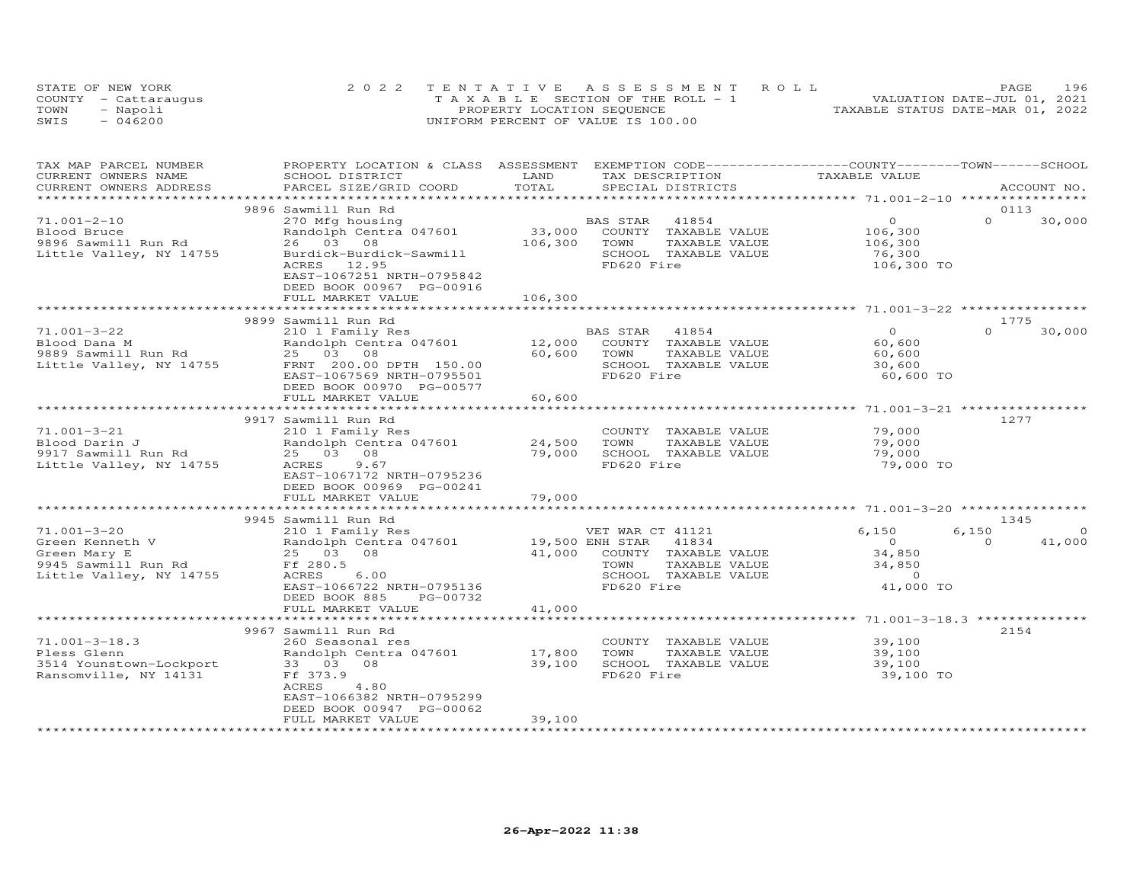|      | STATE OF NEW YORK    | 2022 TENTATIVE ASSESSMENT ROLL        | 196<br>PAGE                      |
|------|----------------------|---------------------------------------|----------------------------------|
|      | COUNTY - Cattarauqus | T A X A B L E SECTION OF THE ROLL - 1 | VALUATION DATE-JUL 01, 2021      |
| TOWN | - Napoli             | PROPERTY LOCATION SEQUENCE            | TAXABLE STATUS DATE-MAR 01, 2022 |
| SWIS | $-046200$            | UNIFORM PERCENT OF VALUE IS 100.00    |                                  |

| TAX MAP PARCEL NUMBER<br>CURRENT OWNERS NAME                                                     | PROPERTY LOCATION & CLASS ASSESSMENT EXEMPTION CODE----------------COUNTY-------TOWN------SCHOOL<br>SCHOOL DISTRICT                                         | LAND                          | TAX DESCRIPTION                                                                                                                     | TAXABLE VALUE                                                              |                                         |
|--------------------------------------------------------------------------------------------------|-------------------------------------------------------------------------------------------------------------------------------------------------------------|-------------------------------|-------------------------------------------------------------------------------------------------------------------------------------|----------------------------------------------------------------------------|-----------------------------------------|
| CURRENT OWNERS ADDRESS<br>**********************                                                 | PARCEL SIZE/GRID COORD                                                                                                                                      | TOTAL                         | SPECIAL DISTRICTS                                                                                                                   |                                                                            | ACCOUNT NO.                             |
|                                                                                                  | 9896 Sawmill Run Rd                                                                                                                                         |                               |                                                                                                                                     |                                                                            | 0113                                    |
| $71.001 - 2 - 10$<br>Blood Bruce<br>9896 Sawmill Run Rd<br>Little Valley, NY 14755               | 270 Mfg housing<br>Randolph Centra 047601<br>26 03 08<br>Burdick-Burdick-Sawmill<br>ACRES<br>12.95<br>EAST-1067251 NRTH-0795842<br>DEED BOOK 00967 PG-00916 | 33,000<br>106,300             | BAS STAR<br>41854<br>COUNTY TAXABLE VALUE<br>TOWN<br>TAXABLE VALUE<br>SCHOOL TAXABLE VALUE<br>FD620 Fire                            | $\Omega$<br>106,300<br>106,300<br>76,300<br>106,300 TO                     | $\Omega$<br>30,000                      |
|                                                                                                  | FULL MARKET VALUE                                                                                                                                           | 106,300                       |                                                                                                                                     |                                                                            |                                         |
|                                                                                                  | 9899 Sawmill Run Rd                                                                                                                                         |                               |                                                                                                                                     |                                                                            | 1775                                    |
| $71.001 - 3 - 22$<br>Blood Dana M<br>9889 Sawmill Run Rd<br>Little Valley, NY 14755              | 210 1 Family Res<br>Randolph Centra 047601<br>25 03 08<br>FRNT 200.00 DPTH 150.00<br>EAST-1067569 NRTH-0795501<br>DEED BOOK 00970 PG-00577                  | 12,000<br>60,600              | 41854<br>BAS STAR<br>COUNTY TAXABLE VALUE<br>TOWN<br>TAXABLE VALUE<br>SCHOOL TAXABLE VALUE<br>FD620 Fire                            | $\circ$<br>60,600<br>60,600<br>30,600<br>60,600 TO                         | $\Omega$<br>30,000                      |
|                                                                                                  | FULL MARKET VALUE                                                                                                                                           | 60,600<br>*************       |                                                                                                                                     |                                                                            |                                         |
|                                                                                                  | 9917 Sawmill Run Rd                                                                                                                                         |                               |                                                                                                                                     |                                                                            | 1277                                    |
| $71.001 - 3 - 21$<br>Blood Darin J<br>9917 Sawmill Run Rd<br>Little Valley, NY 14755             | 210 1 Family Res<br>Randolph Centra 047601<br>25 03 08<br>9.67<br>ACRES<br>EAST-1067172 NRTH-0795236<br>DEED BOOK 00969 PG-00241<br>FULL MARKET VALUE       | 24,500<br>79,000<br>79,000    | COUNTY TAXABLE VALUE<br>TAXABLE VALUE<br>TOWN<br>SCHOOL TAXABLE VALUE<br>FD620 Fire                                                 | 79,000<br>79,000<br>79,000<br>79,000 TO                                    |                                         |
|                                                                                                  | 9945 Sawmill Run Rd                                                                                                                                         |                               |                                                                                                                                     |                                                                            | 1345                                    |
| 71.001-3-20<br>Green Kenneth V<br>Green Mary E<br>9945 Sawmill Run Rd<br>Little Valley, NY 14755 | 210 1 Family Res<br>Randolph Centra 047601<br>25 03 08<br>Ff 280.5<br>ACRES<br>6.00<br>EAST-1066722 NRTH-0795136<br>DEED BOOK 885<br>PG-00732               | 41,000                        | VET WAR CT 41121<br>19,500 ENH STAR<br>41834<br>COUNTY TAXABLE VALUE<br>TAXABLE VALUE<br>TOWN<br>SCHOOL TAXABLE VALUE<br>FD620 Fire | 6,150<br>$\overline{0}$<br>34,850<br>34,850<br>$\overline{0}$<br>41,000 TO | 6,150<br>$\Omega$<br>41,000<br>$\Omega$ |
|                                                                                                  | FULL MARKET VALUE                                                                                                                                           | 41,000                        |                                                                                                                                     |                                                                            |                                         |
|                                                                                                  | 9967 Sawmill Run Rd                                                                                                                                         |                               |                                                                                                                                     |                                                                            | 2154                                    |
| $71.001 - 3 - 18.3$<br>Pless Glenn<br>3514 Younstown-Lockport<br>Ransomville, NY 14131           | 260 Seasonal res<br>Randolph Centra 047601<br>33 03 08<br>Ff 373.9<br>ACRES<br>4.80<br>EAST-1066382 NRTH-0795299<br>DEED BOOK 00947 PG-00062                | 17,800<br>39,100              | COUNTY TAXABLE VALUE<br>TAXABLE VALUE<br>TOWN<br>SCHOOL TAXABLE VALUE<br>FD620 Fire                                                 | 39,100<br>39,100<br>39,100<br>39,100 TO                                    |                                         |
|                                                                                                  | FULL MARKET VALUE                                                                                                                                           | 39,100<br>******************* |                                                                                                                                     |                                                                            |                                         |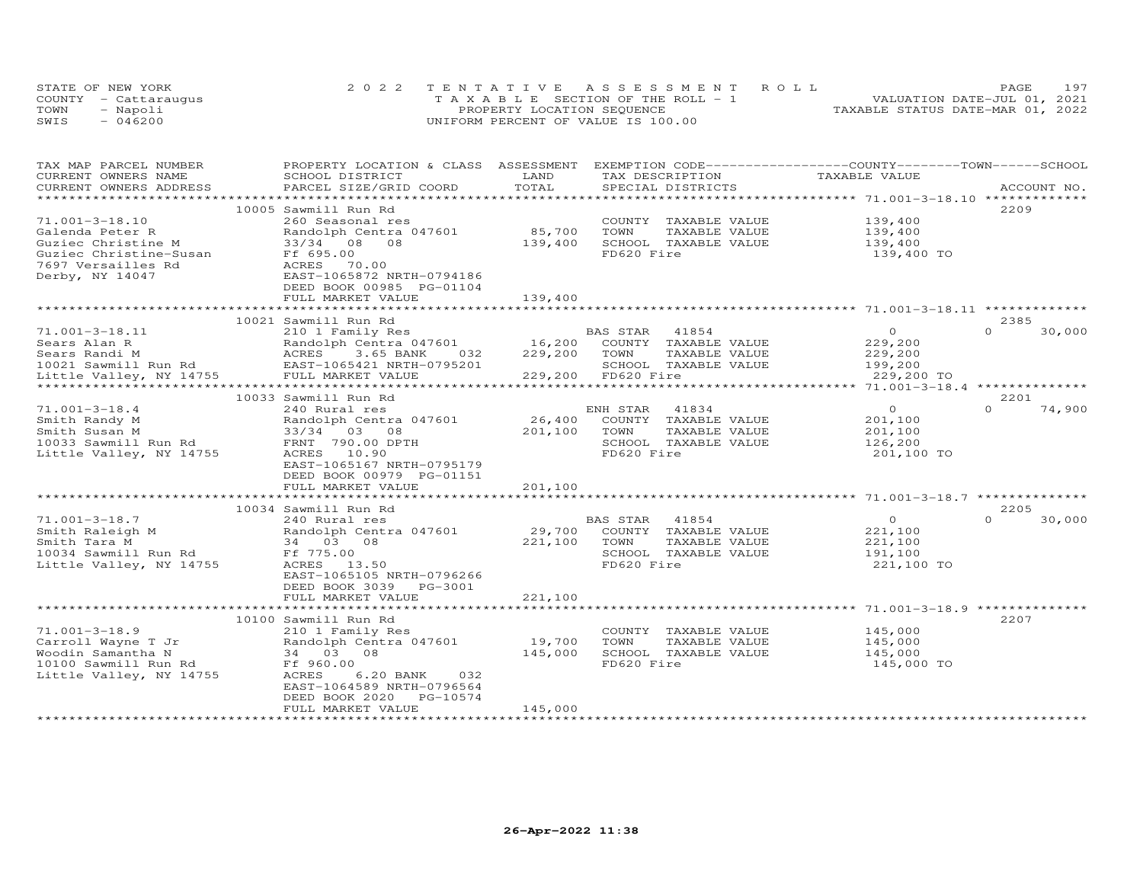|      | STATE OF NEW YORK    | 2022 TENTATIVE ASSESSMENT ROLL        | 197<br><b>PAGE</b>               |
|------|----------------------|---------------------------------------|----------------------------------|
|      | COUNTY - Cattarauqus | T A X A B L E SECTION OF THE ROLL - 1 | VALUATION DATE-JUL 01, 2021      |
| TOWN | - Napoli             | PROPERTY LOCATION SEQUENCE            | TAXABLE STATUS DATE-MAR 01, 2022 |
| SWIS | $-046200$            | UNIFORM PERCENT OF VALUE IS 100.00    |                                  |

| TAX MAP PARCEL NUMBER<br>CURRENT OWNERS NAME | PROPERTY LOCATION & CLASS ASSESSMENT EXEMPTION CODE----------------COUNTY-------TOWN------SCHOOL<br>SCHOOL DISTRICT                                                                                                                                | LAND              | TAX DESCRIPTION                       | TAXABLE VALUE         |                    |
|----------------------------------------------|----------------------------------------------------------------------------------------------------------------------------------------------------------------------------------------------------------------------------------------------------|-------------------|---------------------------------------|-----------------------|--------------------|
| CURRENT OWNERS ADDRESS                       | PARCEL SIZE/GRID COORD                                                                                                                                                                                                                             | TOTAL             | SPECIAL DISTRICTS                     |                       | ACCOUNT NO.        |
|                                              |                                                                                                                                                                                                                                                    |                   |                                       |                       |                    |
|                                              | 10005 Sawmill Run Rd                                                                                                                                                                                                                               |                   |                                       |                       | 2209               |
| $71.001 - 3 - 18.10$                         | 260 Seasonal res                                                                                                                                                                                                                                   |                   | COUNTY TAXABLE VALUE                  | 139,400<br>139,400    |                    |
|                                              | Randolph Centra 047601 85,700 TOWN                                                                                                                                                                                                                 |                   | TAXABLE VALUE                         |                       |                    |
|                                              |                                                                                                                                                                                                                                                    | 139,400           | SCHOOL TAXABLE VALUE                  | 139,400               |                    |
|                                              | Galenda Peter R<br>Guziec Christine M<br>Guziec Christine-Susan<br>Terres in the Contra 047601<br>Guziec Christine-Susan<br>Terres 70.00<br>Derby, NY 14047<br>EAST-10658720 NRTH-0794186<br>RES 70.00<br>Derby, NY 14047<br>EAST-10658720 NRTH-07 |                   | FD620 Fire                            | 139,400 TO            |                    |
|                                              |                                                                                                                                                                                                                                                    |                   |                                       |                       |                    |
|                                              |                                                                                                                                                                                                                                                    |                   |                                       |                       |                    |
|                                              | DEED BOOK 00985 PG-01104                                                                                                                                                                                                                           |                   |                                       |                       |                    |
|                                              | FULL MARKET VALUE                                                                                                                                                                                                                                  | 139,400           |                                       |                       |                    |
|                                              | 10021 Sawmill Run Rd                                                                                                                                                                                                                               |                   |                                       |                       | 2385               |
| 71.001-3-18.11                               | 210 1 Family Res                                                                                                                                                                                                                                   |                   | BAS STAR 41854                        | $\overline{O}$        | $\Omega$<br>30,000 |
|                                              |                                                                                                                                                                                                                                                    |                   |                                       | 229, 200              |                    |
|                                              | 210 I Family Res<br>Randolph Centra 047601 16,200 COUNTY TAXABLE VALUE<br>ACRES 3.65 BANK 032 229,200 TOWN TAXABLE VALUE                                                                                                                           |                   |                                       |                       |                    |
|                                              |                                                                                                                                                                                                                                                    |                   | SCHOOL TAXABLE VALUE                  | 229,200               |                    |
|                                              | Sears Alan R<br>Sears Randi M<br>10021 Sawmill Run Rd<br>10021 Sawmill Run Rd<br>EAST-1065421 NRTH-0795201<br>Little Valley, NY 14755<br>FULL MARKET VALUE                                                                                         |                   | 37.11111 229,200 FD620 Fire           | 199,200<br>229,200 TO |                    |
|                                              |                                                                                                                                                                                                                                                    |                   |                                       |                       |                    |
|                                              |                                                                                                                                                                                                                                                    |                   |                                       |                       | 2201               |
| $71.001 - 3 - 18.4$                          | 10033 Sawmill Run Rd<br>240 Rural res                                                                                                                                                                                                              |                   | ENH STAR<br>41834                     | $\Omega$              | $\Omega$<br>74,900 |
|                                              |                                                                                                                                                                                                                                                    | 26,400            | COUNTY TAXABLE VALUE                  | 201,100               |                    |
|                                              |                                                                                                                                                                                                                                                    |                   |                                       |                       |                    |
|                                              | Smith Randy M<br>Smith Susan M<br>10033 Sawmill Run Rd 10033 Sawmill Run Rd 20033 Sawmill Run Rd 20033 Sawmill Run Rd 20033 Sawmill Run Rd 20033 Sawmill Run Rd 20033 Sawmill Run Rd 20033 Sawmill Run Rd 20033 Sawmill Run Rd 200                 | 201,100 TOWN      | TAXABLE VALUE<br>SCHOOL TAXABLE VALUE | 201,100<br>126,200    |                    |
| Little Valley, NY 14755                      | ACRES 10.90                                                                                                                                                                                                                                        |                   | FD620 Fire                            | 201,100 TO            |                    |
|                                              | EAST-1065167 NRTH-0795179                                                                                                                                                                                                                          |                   |                                       |                       |                    |
|                                              | DEED BOOK 00979 PG-01151                                                                                                                                                                                                                           |                   |                                       |                       |                    |
|                                              | FULL MARKET VALUE                                                                                                                                                                                                                                  | 201,100           |                                       |                       |                    |
|                                              |                                                                                                                                                                                                                                                    |                   |                                       |                       |                    |
|                                              | 10034 Sawmill Run Rd                                                                                                                                                                                                                               |                   |                                       |                       | 2205               |
| $71.001 - 3 - 18.7$                          | 240 Rural res                                                                                                                                                                                                                                      |                   | BAS STAR 41854                        | $\overline{O}$        | $\cap$<br>30,000   |
|                                              | Smith Raleigh M<br>Smith Raleigh M<br>Smith Tara M<br>34 03 08                                                                                                                                                                                     | 29,700            | COUNTY TAXABLE VALUE                  | 221,100               |                    |
|                                              |                                                                                                                                                                                                                                                    | 221,100           | TOWN<br>TAXABLE VALUE                 | 221,100               |                    |
| 10034 Sawmill Run Rd Ff 775.00               |                                                                                                                                                                                                                                                    |                   | SCHOOL TAXABLE VALUE                  | 191,100               |                    |
| Little Valley, NY 14755                      | ACRES 13.50                                                                                                                                                                                                                                        |                   | FD620 Fire                            | 221,100 TO            |                    |
|                                              | EAST-1065105 NRTH-0796266                                                                                                                                                                                                                          |                   |                                       |                       |                    |
|                                              | DEED BOOK 3039 PG-3001                                                                                                                                                                                                                             |                   |                                       |                       |                    |
|                                              | FULL MARKET VALUE                                                                                                                                                                                                                                  | 221,100           |                                       |                       |                    |
|                                              |                                                                                                                                                                                                                                                    |                   |                                       |                       |                    |
|                                              | 10100 Sawmill Run Rd                                                                                                                                                                                                                               |                   |                                       |                       | 2207               |
| $71.001 - 3 - 18.9$                          | 210 1 Family Res                                                                                                                                                                                                                                   |                   | COUNTY TAXABLE VALUE 145,000          |                       |                    |
|                                              |                                                                                                                                                                                                                                                    |                   | TOWN<br>TAXABLE VALUE                 |                       |                    |
|                                              | Carroll Wayne T Jr<br>Woodin Samantha N 34 03 08<br>10100 Sawmill Run Rd<br>Little Valley, NY 14755 ACRES 6.20 BANK 032                                                                                                                            | 19,700<br>145,000 | SCHOOL TAXABLE VALUE                  | 145,000<br>145,000    |                    |
|                                              |                                                                                                                                                                                                                                                    |                   | FD620 Fire                            | 145,000 TO            |                    |
|                                              |                                                                                                                                                                                                                                                    |                   |                                       |                       |                    |
|                                              | EAST-1064589 NRTH-0796564                                                                                                                                                                                                                          |                   |                                       |                       |                    |
|                                              | DEED BOOK 2020<br>PG-10574                                                                                                                                                                                                                         |                   |                                       |                       |                    |
|                                              | FULL MARKET VALUE                                                                                                                                                                                                                                  | 145,000           |                                       |                       |                    |
|                                              |                                                                                                                                                                                                                                                    |                   |                                       |                       |                    |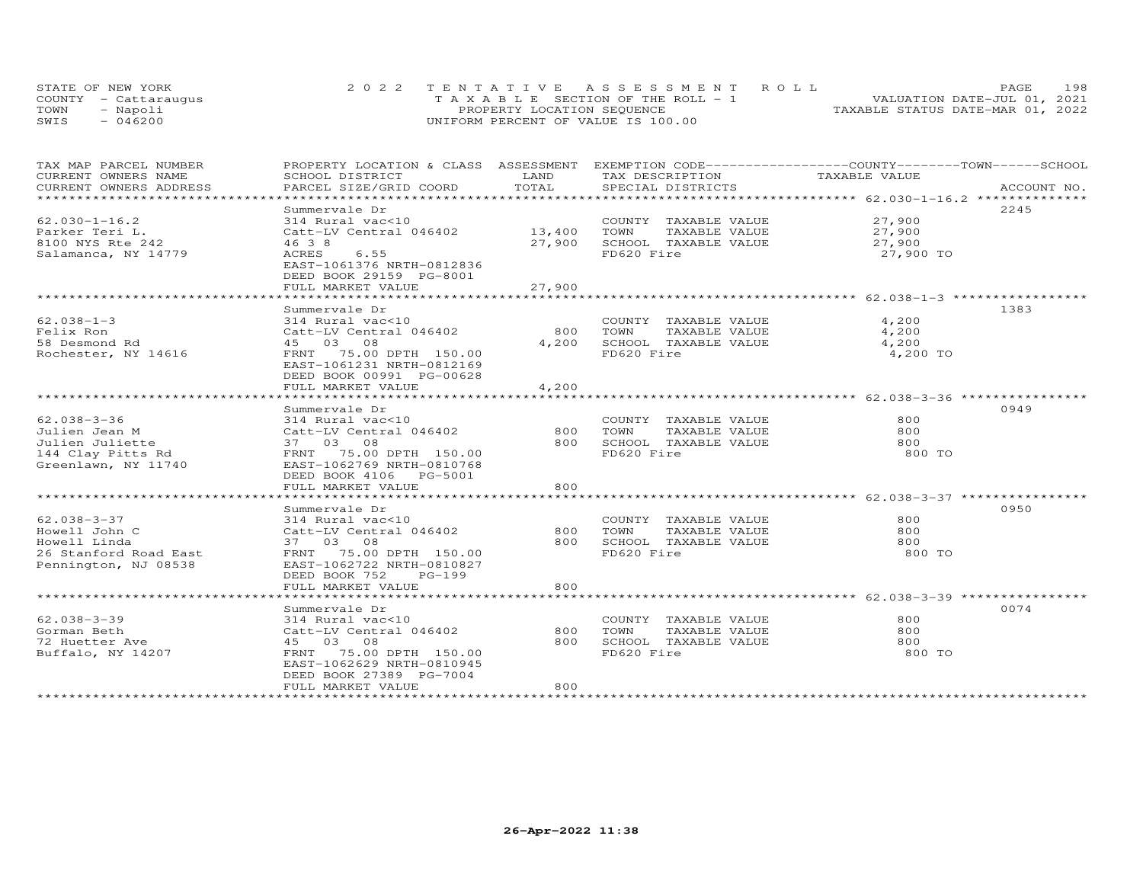| STATE OF NEW YORK    |  | 2022 TENTATIVE ASSESSMENT ROLL        |  |                                  | <b>PAGE</b> | 198 |
|----------------------|--|---------------------------------------|--|----------------------------------|-------------|-----|
| COUNTY - Cattaraugus |  | T A X A B L E SECTION OF THE ROLL - 1 |  | VALUATION DATE-JUL 01, 2021      |             |     |
| TOWN<br>- Napoli     |  | PROPERTY LOCATION SEQUENCE            |  | TAXABLE STATUS DATE-MAR 01, 2022 |             |     |
| $-046200$<br>SWIS    |  | UNIFORM PERCENT OF VALUE IS 100.00    |  |                                  |             |     |

| TAX MAP PARCEL NUMBER<br>CURRENT OWNERS NAME | PROPERTY LOCATION & CLASS ASSESSMENT<br>SCHOOL DISTRICT                                              | LAND                 | EXEMPTION CODE------------------COUNTY-------TOWN------SCHOOL<br>TAX DESCRIPTION | TAXABLE VALUE                                 |             |
|----------------------------------------------|------------------------------------------------------------------------------------------------------|----------------------|----------------------------------------------------------------------------------|-----------------------------------------------|-------------|
| CURRENT OWNERS ADDRESS                       | PARCEL SIZE/GRID COORD                                                                               | TOTAL                | SPECIAL DISTRICTS                                                                |                                               | ACCOUNT NO. |
| ***********************                      |                                                                                                      |                      |                                                                                  |                                               |             |
|                                              | Summervale Dr                                                                                        |                      |                                                                                  |                                               | 2245        |
| $62.030 - 1 - 16.2$                          | 314 Rural vac<10                                                                                     |                      | COUNTY TAXABLE VALUE                                                             | 27,900                                        |             |
| Parker Teri L.                               | Catt-LV Central 046402                                                                               | 13,400               | TOWN<br>TAXABLE VALUE                                                            | 27,900                                        |             |
| 8100 NYS Rte 242                             | 46 3 8                                                                                               | 27,900               | SCHOOL TAXABLE VALUE                                                             | 27,900                                        |             |
| Salamanca, NY 14779                          | ACRES<br>6.55<br>EAST-1061376 NRTH-0812836<br>DEED BOOK 29159 PG-8001                                |                      | FD620 Fire                                                                       | 27,900 TO                                     |             |
|                                              | FULL MARKET VALUE<br>*********************                                                           | 27,900<br>********** |                                                                                  |                                               |             |
|                                              |                                                                                                      |                      |                                                                                  |                                               |             |
|                                              | Summervale Dr                                                                                        |                      |                                                                                  |                                               | 1383        |
| $62.038 - 1 - 3$                             | 314 Rural vac<10                                                                                     |                      | COUNTY TAXABLE VALUE                                                             | 4,200                                         |             |
| Felix Ron                                    | Catt-LV Central 046402                                                                               | 800                  | TOWN<br>TAXABLE VALUE                                                            | 4,200                                         |             |
| 58 Desmond Rd                                | 45 03 08                                                                                             | 4,200                | SCHOOL TAXABLE VALUE                                                             | 4,200                                         |             |
| Rochester, NY 14616                          | FRNT 75.00 DPTH 150.00<br>EAST-1061231 NRTH-0812169<br>DEED BOOK 00991 PG-00628<br>FULL MARKET VALUE | 4,200                | FD620 Fire                                                                       | 4,200 TO                                      |             |
|                                              | *******************                                                                                  |                      |                                                                                  | *********************** 62.038-3-36 ********* |             |
|                                              | Summervale Dr                                                                                        |                      |                                                                                  |                                               | 0949        |
| $62.038 - 3 - 36$                            | 314 Rural vac<10                                                                                     |                      | COUNTY TAXABLE VALUE                                                             | 800                                           |             |
| Julien Jean M                                | Catt-LV Central 046402                                                                               | 800                  | TOWN<br>TAXABLE VALUE                                                            | 800                                           |             |
| Julien Juliette                              | 37 03 08                                                                                             | 800                  | SCHOOL TAXABLE VALUE                                                             | 800                                           |             |
| 144 Clay Pitts Rd                            | FRNT 75.00 DPTH 150.00                                                                               |                      | FD620 Fire                                                                       | 800 TO                                        |             |
| Greenlawn, NY 11740                          | EAST-1062769 NRTH-0810768<br>DEED BOOK 4106 PG-5001                                                  |                      |                                                                                  |                                               |             |
|                                              | FULL MARKET VALUE                                                                                    | 800                  |                                                                                  |                                               |             |
|                                              |                                                                                                      |                      |                                                                                  |                                               |             |
|                                              | Summervale Dr                                                                                        |                      |                                                                                  |                                               | 0950        |
| 62.038-3-37                                  | 314 Rural vac<10                                                                                     |                      | COUNTY TAXABLE VALUE                                                             | 800                                           |             |
| Howell John C                                | Catt-LV Central 046402                                                                               | 800                  | TOWN<br>TAXABLE VALUE                                                            | 800                                           |             |
| Howell Linda                                 | 37 03 08                                                                                             | 800                  | SCHOOL TAXABLE VALUE                                                             | 800                                           |             |
| 26 Stanford Road East                        | FRNT 75.00 DPTH 150.00                                                                               |                      | FD620 Fire                                                                       | 800 TO                                        |             |
| Pennington, NJ 08538                         | EAST-1062722 NRTH-0810827<br>DEED BOOK 752<br>PG-199                                                 |                      |                                                                                  |                                               |             |
|                                              | FULL MARKET VALUE                                                                                    | 800                  |                                                                                  |                                               |             |
|                                              |                                                                                                      |                      |                                                                                  |                                               |             |
|                                              | Summervale Dr                                                                                        |                      |                                                                                  |                                               | 0074        |
| 62.038-3-39                                  | 314 Rural vac<10                                                                                     |                      | COUNTY TAXABLE VALUE                                                             | 800                                           |             |
| Gorman Beth                                  | Catt-LV Central 046402                                                                               | 800                  | TOWN<br>TAXABLE VALUE                                                            | 800                                           |             |
| 72 Huetter Ave                               | 45 03 08                                                                                             | 800                  | SCHOOL TAXABLE VALUE                                                             | 800                                           |             |
| Buffalo, NY 14207                            | 75.00 DPTH 150.00<br>FRNT<br>EAST-1062629 NRTH-0810945                                               |                      | FD620 Fire                                                                       | 800 TO                                        |             |
|                                              | DEED BOOK 27389 PG-7004<br>FULL MARKET VALUE                                                         | 800                  |                                                                                  |                                               |             |
|                                              |                                                                                                      |                      |                                                                                  |                                               |             |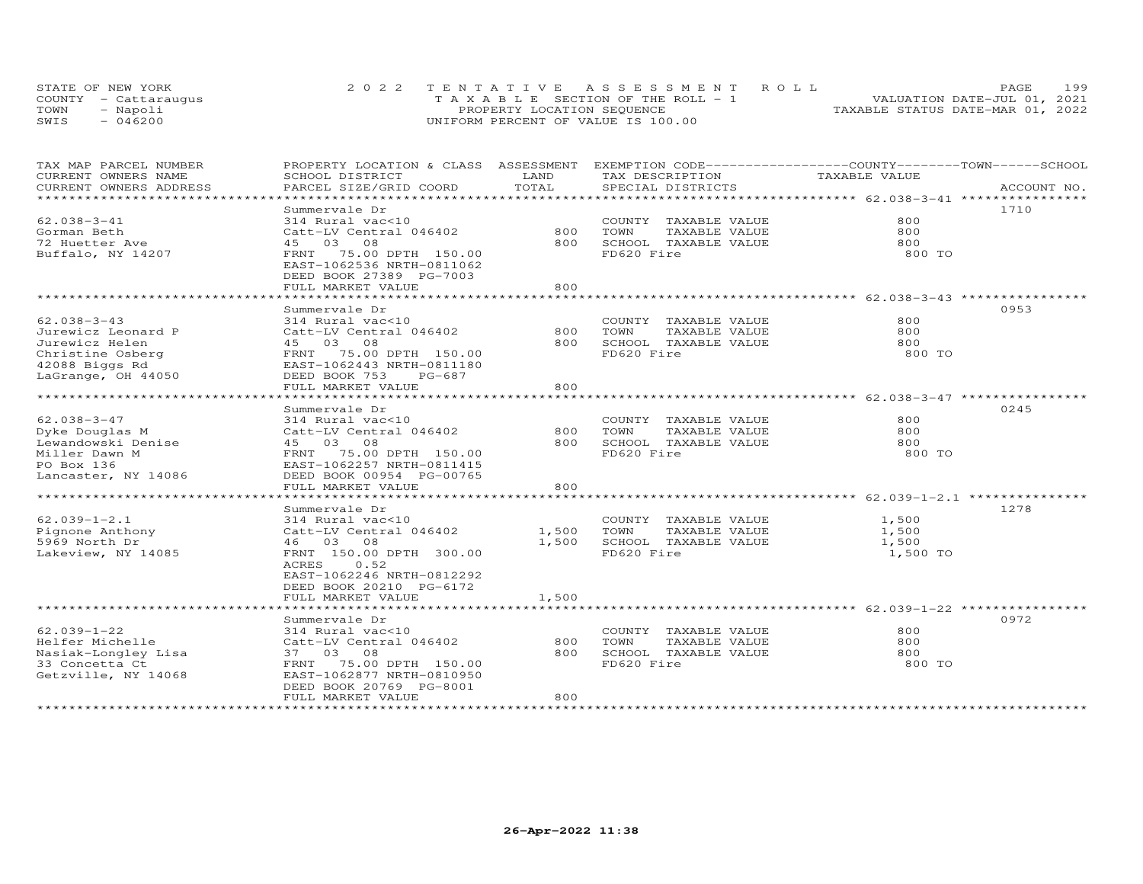|      | STATE OF NEW YORK    | 2022 TENTATIVE ASSESSMENT ROLL        |                                  | PAGE.                       | 199 |
|------|----------------------|---------------------------------------|----------------------------------|-----------------------------|-----|
|      | COUNTY - Cattaraugus | T A X A B L E SECTION OF THE ROLL - 1 |                                  | VALUATION DATE-JUL 01, 2021 |     |
| TOWN | - Napoli             | PROPERTY LOCATION SEQUENCE            | TAXABLE STATUS DATE-MAR 01, 2022 |                             |     |
| SWIS | $-046200$            | UNIFORM PERCENT OF VALUE IS 100.00    |                                  |                             |     |

| TAX MAP PARCEL NUMBER<br>CURRENT OWNERS NAME | PROPERTY LOCATION & CLASS ASSESSMENT EXEMPTION CODE-----------------COUNTY-------TOWN------SCHOOL<br>SCHOOL DISTRICT | LAND  | TAX DESCRIPTION                                   | TAXABLE VALUE |             |
|----------------------------------------------|----------------------------------------------------------------------------------------------------------------------|-------|---------------------------------------------------|---------------|-------------|
| CURRENT OWNERS ADDRESS                       | PARCEL SIZE/GRID COORD                                                                                               | TOTAL | SPECIAL DISTRICTS                                 |               | ACCOUNT NO. |
| *********************                        |                                                                                                                      |       |                                                   |               |             |
|                                              | Summervale Dr                                                                                                        |       |                                                   |               | 1710        |
| $62.038 - 3 - 41$                            | 314 Rural vac<10                                                                                                     |       | COUNTY TAXABLE VALUE                              | 800           |             |
| Gorman Beth                                  | Catt-LV Central 046402                                                                                               | 800   | TOWN<br>TAXABLE VALUE                             | 800           |             |
| 72 Huetter Ave                               | 45 03 08                                                                                                             | 800   | SCHOOL TAXABLE VALUE                              | 800           |             |
| Buffalo, NY 14207                            | FRNT 75.00 DPTH 150.00<br>EAST-1062536 NRTH-0811062<br>DEED BOOK 27389 PG-7003                                       |       | FD620 Fire                                        | 800 TO        |             |
|                                              | FULL MARKET VALUE                                                                                                    | 800   |                                                   |               |             |
|                                              |                                                                                                                      |       |                                                   |               |             |
|                                              | Summervale Dr                                                                                                        |       |                                                   |               | 0953        |
| $62.038 - 3 - 43$                            | 314 Rural vac<10                                                                                                     |       | COUNTY TAXABLE VALUE                              | 800           |             |
| Jurewicz Leonard P                           | Catt-LV Central 046402                                                                                               | 800   | TAXABLE VALUE<br>TOWN                             | 800           |             |
| Jurewicz Helen                               | 45 03 08                                                                                                             | 800   | SCHOOL TAXABLE VALUE                              | 800           |             |
| Christine Osberg                             | FRNT 75.00 DPTH 150.00                                                                                               |       | FD620 Fire                                        | 800 TO        |             |
| 42088 Biggs Rd                               | EAST-1062443 NRTH-0811180                                                                                            |       |                                                   |               |             |
| LaGrange, OH 44050                           | DEED BOOK 753<br>PG-687                                                                                              |       |                                                   |               |             |
|                                              | FULL MARKET VALUE                                                                                                    | 800   |                                                   |               |             |
| ********************                         | *********************                                                                                                |       | ******************************** 62.038-3-47 **** |               |             |
|                                              | Summervale Dr                                                                                                        |       |                                                   |               | 0245        |
| $62.038 - 3 - 47$                            | 314 Rural vac<10                                                                                                     |       | COUNTY TAXABLE VALUE                              | 800           |             |
| Dyke Douglas M                               | Catt-LV Central 046402                                                                                               | 800   | TAXABLE VALUE<br>TOWN                             | 800           |             |
| Lewandowski Denise                           | 45 03 08                                                                                                             | 800   | SCHOOL TAXABLE VALUE                              | 800           |             |
| Miller Dawn M                                | FRNT 75.00 DPTH 150.00                                                                                               |       | FD620 Fire                                        | 800 TO        |             |
| PO Box 136                                   | EAST-1062257 NRTH-0811415                                                                                            |       |                                                   |               |             |
| Lancaster, NY 14086                          | DEED BOOK 00954 PG-00765                                                                                             |       |                                                   |               |             |
|                                              | FULL MARKET VALUE                                                                                                    | 800   |                                                   |               |             |
|                                              |                                                                                                                      |       | ******************************** 62.039-1-2.1 *** |               |             |
|                                              | Summervale Dr                                                                                                        |       |                                                   |               | 1278        |
| $62.039 - 1 - 2.1$                           | 314 Rural vac<10                                                                                                     |       | COUNTY TAXABLE VALUE                              | 1,500         |             |
| Pignone Anthony                              | Catt-LV Central 046402                                                                                               | 1,500 | TOWN<br>TAXABLE VALUE                             | 1,500         |             |
| 5969 North Dr                                | 46 03 08                                                                                                             |       | 1,500 SCHOOL TAXABLE VALUE                        | 1,500         |             |
| Lakeview, NY 14085                           | FRNT 150.00 DPTH 300.00                                                                                              |       | FD620 Fire                                        | 1,500 TO      |             |
|                                              | 0.52<br>ACRES                                                                                                        |       |                                                   |               |             |
|                                              | EAST-1062246 NRTH-0812292                                                                                            |       |                                                   |               |             |
|                                              | DEED BOOK 20210 PG-6172                                                                                              |       |                                                   |               |             |
|                                              | FULL MARKET VALUE<br>****************************                                                                    | 1,500 |                                                   |               |             |
|                                              | Summervale Dr                                                                                                        |       |                                                   |               | 0972        |
| $62.039 - 1 - 22$                            |                                                                                                                      |       |                                                   |               |             |
| Helfer Michelle                              | 314 Rural vac<10                                                                                                     | 800   | COUNTY TAXABLE VALUE<br>TOWN<br>TAXABLE VALUE     | 800<br>800    |             |
|                                              | Catt-LV Central 046402<br>37 03 08                                                                                   | 800   |                                                   | 800           |             |
| Nasiak-Longley Lisa                          |                                                                                                                      |       | SCHOOL TAXABLE VALUE<br>FD620 Fire                | 800 TO        |             |
| 33 Concetta Ct                               | FRNT 75.00 DPTH 150.00<br>EAST-1062877 NRTH-0810950                                                                  |       |                                                   |               |             |
| Getzville, NY 14068                          |                                                                                                                      |       |                                                   |               |             |
|                                              | DEED BOOK 20769 PG-8001<br>FULL MARKET VALUE                                                                         | 800   |                                                   |               |             |
|                                              |                                                                                                                      |       |                                                   |               |             |
|                                              |                                                                                                                      |       |                                                   |               |             |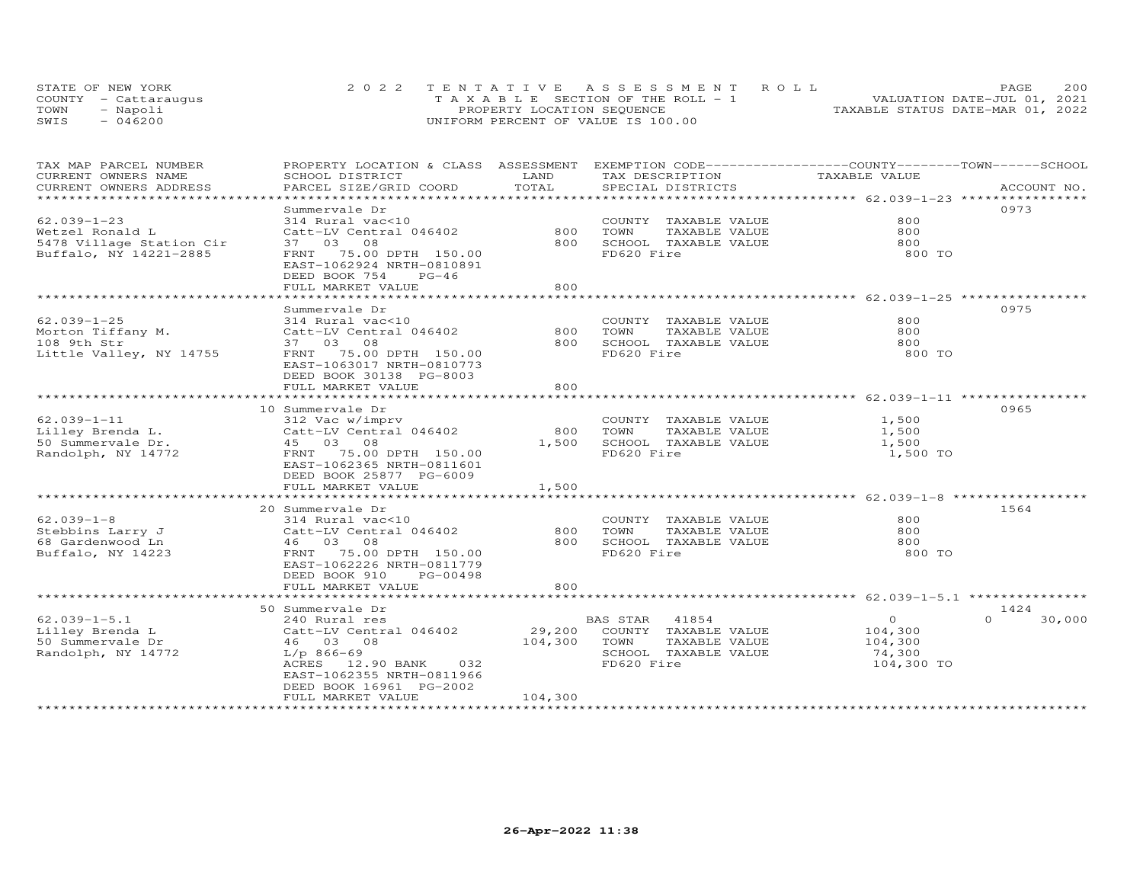|      | STATE OF NEW YORK    | 2022 TENTATIVE ASSESSMENT ROLL        | 200<br>PAGE.                     |
|------|----------------------|---------------------------------------|----------------------------------|
|      | COUNTY - Cattarauqus | T A X A B L E SECTION OF THE ROLL - 1 | VALUATION DATE-JUL 01, 2021      |
| TOWN | - Napoli             | PROPERTY LOCATION SEQUENCE            | TAXABLE STATUS DATE-MAR 01, 2022 |
| SWIS | $-046200$            | UNIFORM PERCENT OF VALUE IS 100.00    |                                  |

| TAX MAP PARCEL NUMBER<br>CURRENT OWNERS NAME | PROPERTY LOCATION & CLASS ASSESSMENT<br>SCHOOL DISTRICT                                             | LAND          | EXEMPTION CODE-----------------COUNTY-------TOWN------SCHOOL<br>TAX DESCRIPTION | TAXABLE VALUE                                   |                  |
|----------------------------------------------|-----------------------------------------------------------------------------------------------------|---------------|---------------------------------------------------------------------------------|-------------------------------------------------|------------------|
| CURRENT OWNERS ADDRESS                       | PARCEL SIZE/GRID COORD                                                                              | TOTAL         | SPECIAL DISTRICTS                                                               |                                                 | ACCOUNT NO.      |
|                                              |                                                                                                     | ************* |                                                                                 | ************************ 62.039-1-23 ********** |                  |
|                                              | Summervale Dr                                                                                       |               |                                                                                 |                                                 | 0973             |
| $62.039 - 1 - 23$                            | 314 Rural vac<10                                                                                    |               | COUNTY TAXABLE VALUE                                                            | 800                                             |                  |
| Wetzel Ronald L                              | Catt-LV Central 046402                                                                              | 800           | TOWN<br>TAXABLE VALUE                                                           | 800                                             |                  |
| 5478 Village Station Cir                     | 37 03 08                                                                                            | 800           | SCHOOL TAXABLE VALUE                                                            | 800                                             |                  |
| Buffalo, NY 14221-2885                       | 75.00 DPTH 150.00<br>FRNT<br>EAST-1062924 NRTH-0810891<br>DEED BOOK 754<br>$PG-46$                  |               | FD620 Fire                                                                      | 800 TO                                          |                  |
|                                              | FULL MARKET VALUE                                                                                   | 800           |                                                                                 |                                                 |                  |
|                                              |                                                                                                     |               |                                                                                 |                                                 |                  |
|                                              | Summervale Dr                                                                                       |               |                                                                                 |                                                 | 0975             |
| $62.039 - 1 - 25$                            | 314 Rural vac<10                                                                                    |               | COUNTY TAXABLE VALUE                                                            | 800                                             |                  |
| Morton Tiffany M.                            | Catt-LV Central 046402                                                                              | 800           | TOWN<br>TAXABLE VALUE                                                           | 800                                             |                  |
| 108 9th Str                                  | 37 03 08                                                                                            | 800           | SCHOOL TAXABLE VALUE                                                            | 800                                             |                  |
| Little Valley, NY 14755                      | FRNT 75.00 DPTH 150.00<br>EAST-1063017 NRTH-0810773<br>DEED BOOK 30138 PG-8003                      |               | FD620 Fire                                                                      | 800 TO                                          |                  |
|                                              | FULL MARKET VALUE                                                                                   | 800           |                                                                                 |                                                 |                  |
|                                              |                                                                                                     |               |                                                                                 |                                                 |                  |
|                                              | 10 Summervale Dr                                                                                    |               |                                                                                 |                                                 | 0965             |
| $62.039 - 1 - 11$                            | 312 Vac w/imprv                                                                                     |               | COUNTY TAXABLE VALUE                                                            | 1,500                                           |                  |
| Lilley Brenda L.                             | Catt-LV Central 046402                                                                              | 800           | TOWN<br>TAXABLE VALUE                                                           | 1,500                                           |                  |
| 50 Summervale Dr.                            | 45 03 08                                                                                            | 1,500         | SCHOOL TAXABLE VALUE                                                            | 1,500                                           |                  |
| Randolph, NY 14772                           | FRNT 75.00 DPTH 150.00<br>EAST-1062365 NRTH-0811601<br>DEED BOOK 25877 PG-6009<br>FULL MARKET VALUE | 1,500         | FD620 Fire                                                                      | 1,500 TO                                        |                  |
|                                              | ****************************                                                                        |               |                                                                                 |                                                 |                  |
|                                              | 20 Summervale Dr                                                                                    |               |                                                                                 |                                                 | 1564             |
| $62.039 - 1 - 8$                             | 314 Rural vac<10                                                                                    |               | COUNTY TAXABLE VALUE                                                            | 800                                             |                  |
| Stebbins Larry J                             | Catt-LV Central 046402                                                                              | 800           | TAXABLE VALUE<br>TOWN                                                           | 800                                             |                  |
| 68 Gardenwood Ln                             | 46 03 08                                                                                            | 800           | SCHOOL TAXABLE VALUE                                                            | 800                                             |                  |
| Buffalo, NY 14223                            | FRNT 75.00 DPTH 150.00<br>EAST-1062226 NRTH-0811779<br>DEED BOOK 910<br>PG-00498                    |               | FD620 Fire                                                                      | 800 TO                                          |                  |
|                                              | FULL MARKET VALUE                                                                                   | 800           |                                                                                 |                                                 |                  |
|                                              | ************************                                                                            |               |                                                                                 |                                                 |                  |
|                                              | 50 Summervale Dr                                                                                    |               |                                                                                 |                                                 | 1424             |
| $62.039 - 1 - 5.1$                           | 240 Rural res                                                                                       |               | BAS STAR<br>41854                                                               | $\circ$                                         | $\cap$<br>30,000 |
| Lilley Brenda L                              | Catt-LV Central 046402                                                                              | 29,200        | COUNTY TAXABLE VALUE                                                            | 104,300                                         |                  |
| 50 Summervale Dr                             | 46 03 08                                                                                            | 104,300       | TOWN<br>TAXABLE VALUE                                                           | 104,300                                         |                  |
| Randolph, NY 14772                           | $L/p$ 866-69                                                                                        |               | SCHOOL TAXABLE VALUE                                                            | 74,300                                          |                  |
|                                              | ACRES 12.90 BANK<br>032<br>EAST-1062355 NRTH-0811966<br>DEED BOOK 16961 PG-2002                     |               | FD620 Fire                                                                      | 104,300 TO                                      |                  |
|                                              | FULL MARKET VALUE                                                                                   | 104,300       |                                                                                 |                                                 |                  |
|                                              |                                                                                                     |               |                                                                                 |                                                 |                  |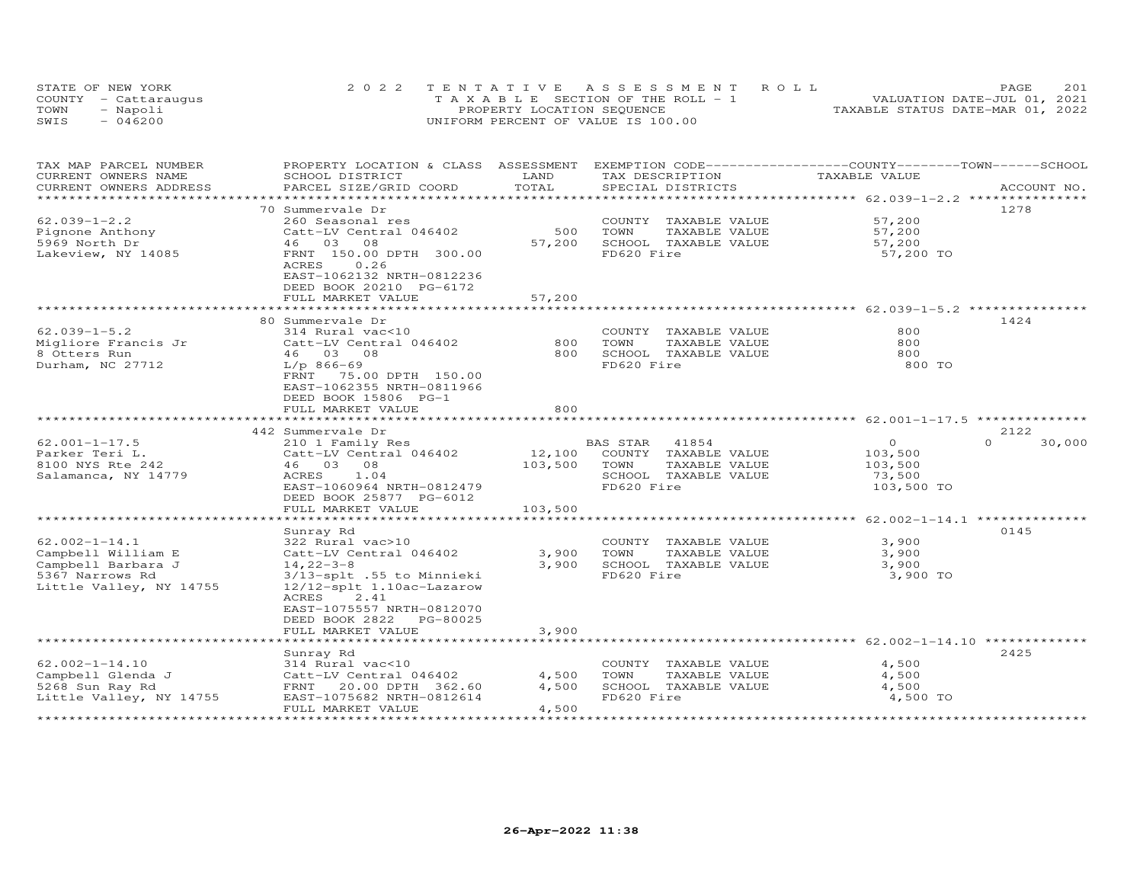| STATE OF NEW YORK    | 2022 TENTATIVE ASSESSMENT ROLL        | 201<br>PAGE.                     |
|----------------------|---------------------------------------|----------------------------------|
| COUNTY - Cattaraugus | T A X A B L E SECTION OF THE ROLL - 1 | VALUATION DATE-JUL 01, 2021      |
| TOWN<br>- Napoli     | PROPERTY LOCATION SEQUENCE            | TAXABLE STATUS DATE-MAR 01, 2022 |
| $-046200$<br>SWIS    | UNIFORM PERCENT OF VALUE IS 100.00    |                                  |

| TAX MAP PARCEL NUMBER<br>CURRENT OWNERS NAME | PROPERTY LOCATION & CLASS ASSESSMENT<br>SCHOOL DISTRICT | LAND    | EXEMPTION CODE-----------------COUNTY-------TOWN------SCHOOL<br>TAX DESCRIPTION | TAXABLE VALUE                                                |                    |
|----------------------------------------------|---------------------------------------------------------|---------|---------------------------------------------------------------------------------|--------------------------------------------------------------|--------------------|
| CURRENT OWNERS ADDRESS                       | PARCEL SIZE/GRID COORD                                  | TOTAL   | SPECIAL DISTRICTS                                                               |                                                              | ACCOUNT NO.        |
|                                              |                                                         |         |                                                                                 |                                                              |                    |
|                                              | 70 Summervale Dr                                        |         |                                                                                 |                                                              | 1278               |
| $62.039 - 1 - 2.2$                           | 260 Seasonal res                                        |         | COUNTY TAXABLE VALUE                                                            | 57,200                                                       |                    |
| Pignone Anthony                              | Catt-LV Central 046402                                  | 500     | TAXABLE VALUE<br>TOWN                                                           | 57,200                                                       |                    |
| 5969 North Dr                                | 46 03 08                                                | 57,200  | SCHOOL TAXABLE VALUE                                                            | 57,200                                                       |                    |
| Lakeview, NY 14085                           | FRNT 150.00 DPTH 300.00                                 |         | FD620 Fire                                                                      | 57,200 TO                                                    |                    |
|                                              | ACRES<br>0.26                                           |         |                                                                                 |                                                              |                    |
|                                              | EAST-1062132 NRTH-0812236                               |         |                                                                                 |                                                              |                    |
|                                              | DEED BOOK 20210 PG-6172                                 |         |                                                                                 |                                                              |                    |
|                                              | FULL MARKET VALUE                                       | 57,200  |                                                                                 |                                                              |                    |
|                                              |                                                         |         |                                                                                 |                                                              | 1424               |
| $62.039 - 1 - 5.2$                           | 80 Summervale Dr<br>314 Rural vac<10                    |         | COUNTY TAXABLE VALUE                                                            | 800                                                          |                    |
| Migliore Francis Jr                          | Catt-LV Central 046402                                  | 800     | TOWN<br>TAXABLE VALUE                                                           | 800                                                          |                    |
| 8 Otters Run                                 | 46 03 08                                                | 800     | SCHOOL TAXABLE VALUE                                                            | 800                                                          |                    |
|                                              | $L/p$ 866-69                                            |         | FD620 Fire                                                                      | 800 TO                                                       |                    |
| Durham, NC 27712                             | FRNT                                                    |         |                                                                                 |                                                              |                    |
|                                              | 75.00 DPTH 150.00<br>EAST-1062355 NRTH-0811966          |         |                                                                                 |                                                              |                    |
|                                              | DEED BOOK 15806 PG-1                                    |         |                                                                                 |                                                              |                    |
|                                              |                                                         | 800     |                                                                                 |                                                              |                    |
|                                              | FULL MARKET VALUE                                       |         |                                                                                 | ******************************* 62.001-1-17.5 ************** |                    |
|                                              | 442 Summervale Dr                                       |         |                                                                                 |                                                              | 2122               |
| $62.001 - 1 - 17.5$                          | 210 1 Family Res                                        |         | BAS STAR<br>41854                                                               | $\circ$                                                      | $\Omega$<br>30,000 |
| Parker Teri L.                               | Catt-LV Central 046402                                  | 12,100  | COUNTY TAXABLE VALUE                                                            | 103,500                                                      |                    |
| 8100 NYS Rte 242                             | 46 03 08                                                | 103,500 | TOWN<br>TAXABLE VALUE                                                           | 103,500                                                      |                    |
| Salamanca, NY 14779                          | ACRES<br>1.04                                           |         | SCHOOL TAXABLE VALUE                                                            | 73,500                                                       |                    |
|                                              | EAST-1060964 NRTH-0812479                               |         | FD620 Fire                                                                      | 103,500 TO                                                   |                    |
|                                              | DEED BOOK 25877 PG-6012                                 |         |                                                                                 |                                                              |                    |
|                                              | FULL MARKET VALUE                                       | 103,500 |                                                                                 |                                                              |                    |
|                                              |                                                         |         |                                                                                 |                                                              |                    |
|                                              | Sunray Rd                                               |         |                                                                                 |                                                              | 0145               |
| $62.002 - 1 - 14.1$                          | 322 Rural vac>10                                        |         | COUNTY TAXABLE VALUE                                                            | 3,900                                                        |                    |
| Campbell William E                           | Catt-LV Central 046402                                  | 3,900   | TOWN<br>TAXABLE VALUE                                                           | 3,900                                                        |                    |
| Campbell Barbara J                           | $14, 22 - 3 - 8$                                        | 3,900   | SCHOOL TAXABLE VALUE                                                            | 3,900                                                        |                    |
| 5367 Narrows Rd                              | 3/13-splt .55 to Minnieki                               |         | FD620 Fire                                                                      | 3,900 TO                                                     |                    |
| Little Valley, NY 14755                      | 12/12-splt 1.10ac-Lazarow                               |         |                                                                                 |                                                              |                    |
|                                              | ACRES<br>2.41                                           |         |                                                                                 |                                                              |                    |
|                                              | EAST-1075557 NRTH-0812070                               |         |                                                                                 |                                                              |                    |
|                                              | DEED BOOK 2822 PG-80025                                 |         |                                                                                 |                                                              |                    |
|                                              | FULL MARKET VALUE                                       | 3,900   |                                                                                 |                                                              |                    |
|                                              | *********************                                   |         |                                                                                 |                                                              |                    |
|                                              | Sunray Rd                                               |         |                                                                                 |                                                              | 2425               |
| $62.002 - 1 - 14.10$                         | 314 Rural vac<10                                        |         | COUNTY<br>TAXABLE VALUE                                                         | 4,500                                                        |                    |
| Campbell Glenda J                            | Catt-LV Central 046402                                  | 4,500   | TOWN<br>TAXABLE VALUE                                                           | 4,500                                                        |                    |
| 5268 Sun Ray Rd                              | FRNT 20.00 DPTH 362.60                                  | 4,500   | SCHOOL TAXABLE VALUE                                                            | 4,500                                                        |                    |
| Little Valley, NY 14755                      | EAST-1075682 NRTH-0812614                               |         | FD620 Fire                                                                      | 4,500 TO                                                     |                    |
|                                              | FULL MARKET VALUE                                       | 4,500   |                                                                                 |                                                              |                    |
| ******************                           |                                                         |         |                                                                                 |                                                              |                    |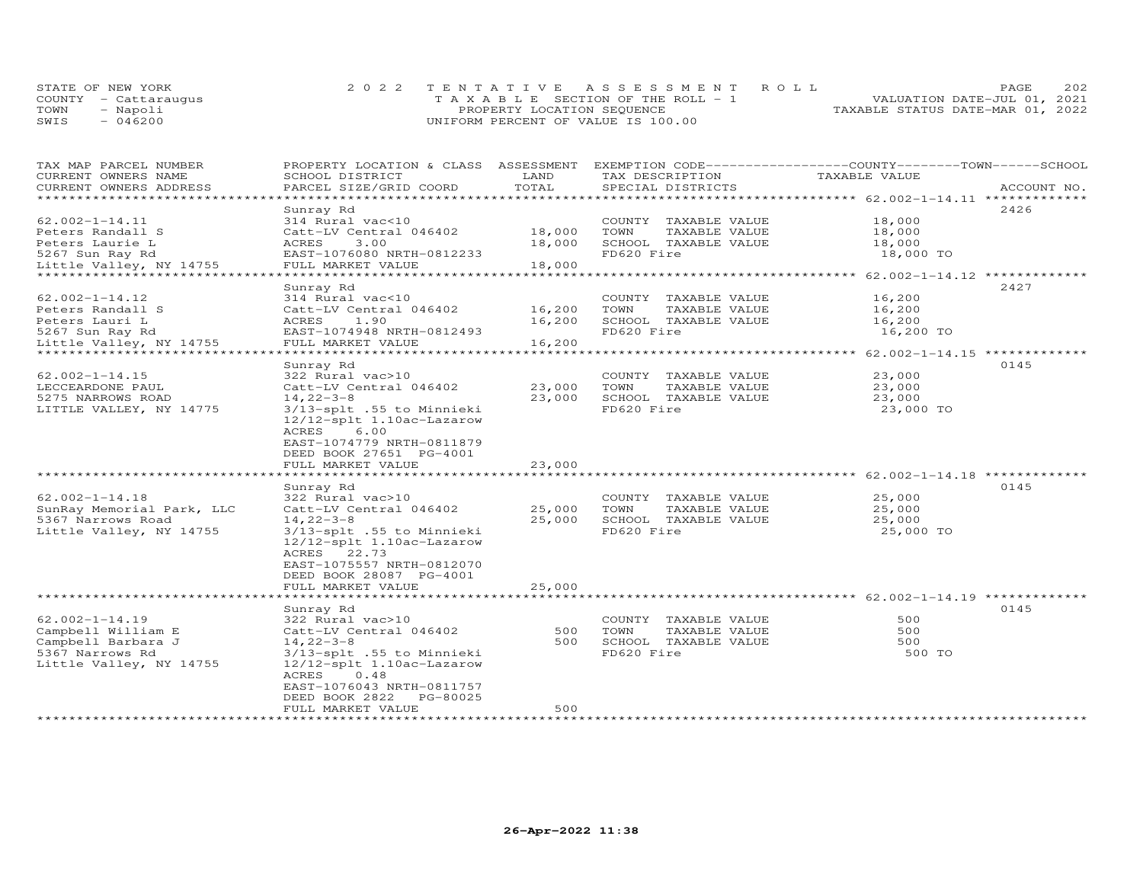|      | STATE OF NEW YORK    | 2022 TENTATIVE ASSESSMENT ROLL     | 202<br>PAGE.                     |
|------|----------------------|------------------------------------|----------------------------------|
|      | COUNTY - Cattaraugus | TAXABLE SECTION OF THE ROLL - 1    | VALUATION DATE-JUL 01, 2021      |
| TOWN | - Napoli             | PROPERTY LOCATION SEQUENCE         | TAXABLE STATUS DATE-MAR 01, 2022 |
| SWIS | $-046200$            | UNIFORM PERCENT OF VALUE IS 100.00 |                                  |

| TAX MAP PARCEL NUMBER        | PROPERTY LOCATION & CLASS ASSESSMENT |             | EXEMPTION CODE------------------COUNTY-------TOWN------SCHOOL  |                                                   |             |
|------------------------------|--------------------------------------|-------------|----------------------------------------------------------------|---------------------------------------------------|-------------|
| CURRENT OWNERS NAME          | SCHOOL DISTRICT                      | LAND        | TAX DESCRIPTION                                                | TAXABLE VALUE                                     |             |
| CURRENT OWNERS ADDRESS       | PARCEL SIZE/GRID COORD               | TOTAL       | SPECIAL DISTRICTS                                              |                                                   | ACCOUNT NO. |
| ******************           |                                      |             |                                                                |                                                   |             |
|                              | Sunray Rd                            |             |                                                                |                                                   | 2426        |
| $62.002 - 1 - 14.11$         | 314 Rural vac<10                     |             | COUNTY<br>TAXABLE VALUE                                        | 18,000                                            |             |
| Peters Randall S             | Catt-LV Central 046402               | 18,000      | TOWN<br>TAXABLE VALUE                                          | 18,000                                            |             |
| Peters Laurie L              | ACRES<br>3,00                        | 18,000      | SCHOOL TAXABLE VALUE                                           | 18,000                                            |             |
| 5267 Sun Ray Rd              | EAST-1076080 NRTH-0812233            |             | FD620 Fire                                                     | 18,000 TO                                         |             |
| Little Valley, NY 14755      | FULL MARKET VALUE                    | 18,000      |                                                                |                                                   |             |
|                              |                                      |             |                                                                | ********** 62.002-1-14.12 **************          |             |
|                              | Sunray Rd                            |             |                                                                |                                                   | 2427        |
| $62.002 - 1 - 14.12$         | 314 Rural vac<10                     |             | COUNTY<br>TAXABLE VALUE                                        | 16,200                                            |             |
| Peters Randall S             | Catt-LV Central 046402               | 16,200      | TOWN<br>TAXABLE VALUE                                          | 16,200                                            |             |
| Peters Lauri L               | ACRES<br>1.90                        | 16,200      | SCHOOL TAXABLE VALUE                                           | 16,200                                            |             |
| 5267 Sun Ray Rd              | EAST-1074948 NRTH-0812493            |             | FD620 Fire                                                     | 16,200 TO                                         |             |
| Little Valley, NY 14755      | FULL MARKET VALUE                    | 16,200      |                                                                |                                                   |             |
| **************************** |                                      | *********** | ********************************* 62.002-1-14.15 ************* |                                                   |             |
|                              | Sunray Rd                            |             |                                                                |                                                   | 0145        |
| $62.002 - 1 - 14.15$         | 322 Rural vac>10                     |             | COUNTY TAXABLE VALUE                                           | 23,000                                            |             |
| LECCEARDONE PAUL             | Catt-LV Central 046402               | 23,000      | TOWN<br>TAXABLE VALUE                                          | 23,000                                            |             |
| 5275 NARROWS ROAD            | $14, 22 - 3 - 8$                     | 23,000      | SCHOOL TAXABLE VALUE                                           | 23,000                                            |             |
| LITTLE VALLEY, NY 14775      | 3/13-splt .55 to Minnieki            |             | FD620 Fire                                                     | 23,000 TO                                         |             |
|                              | 12/12-splt 1.10ac-Lazarow            |             |                                                                |                                                   |             |
|                              | 6.00<br>ACRES                        |             |                                                                |                                                   |             |
|                              | EAST-1074779 NRTH-0811879            |             |                                                                |                                                   |             |
|                              | DEED BOOK 27651 PG-4001              |             |                                                                |                                                   |             |
|                              | FULL MARKET VALUE                    | 23,000      |                                                                |                                                   |             |
|                              |                                      |             |                                                                | ******************** 62.002-1-14.18 ************* |             |
|                              | Sunray Rd                            |             |                                                                |                                                   | 0145        |
| $62.002 - 1 - 14.18$         | 322 Rural vac>10                     |             | COUNTY<br>TAXABLE VALUE                                        | 25,000                                            |             |
| SunRay Memorial Park, LLC    | Catt-LV Central 046402               | 25,000      | TOWN<br>TAXABLE VALUE                                          | 25,000                                            |             |
| 5367 Narrows Road            | $14, 22 - 3 - 8$                     | 25,000      | SCHOOL TAXABLE VALUE                                           | 25,000                                            |             |
| Little Valley, NY 14755      | 3/13-splt .55 to Minnieki            |             | FD620 Fire                                                     | 25,000 TO                                         |             |
|                              | 12/12-splt 1.10ac-Lazarow            |             |                                                                |                                                   |             |
|                              | ACRES 22.73                          |             |                                                                |                                                   |             |
|                              | EAST-1075557 NRTH-0812070            |             |                                                                |                                                   |             |
|                              | DEED BOOK 28087 PG-4001              |             |                                                                |                                                   |             |
|                              | FULL MARKET VALUE                    | 25,000      |                                                                |                                                   |             |
|                              |                                      |             |                                                                |                                                   |             |
|                              | Sunray Rd                            |             |                                                                |                                                   | 0145        |
| $62.002 - 1 - 14.19$         | 322 Rural vac>10                     |             | COUNTY TAXABLE VALUE                                           | 500                                               |             |
| Campbell William E           |                                      | 500         | TOWN<br>TAXABLE VALUE                                          | 500                                               |             |
|                              | Catt-LV Central 046402               | 500         |                                                                | 500                                               |             |
| Campbell Barbara J           | $14, 22 - 3 - 8$                     |             | SCHOOL TAXABLE VALUE                                           |                                                   |             |
| 5367 Narrows Rd              | 3/13-splt .55 to Minnieki            |             | FD620 Fire                                                     | 500 TO                                            |             |
| Little Valley, NY 14755      | 12/12-splt 1.10ac-Lazarow            |             |                                                                |                                                   |             |
|                              | ACRES<br>0.48                        |             |                                                                |                                                   |             |
|                              | EAST-1076043 NRTH-0811757            |             |                                                                |                                                   |             |
|                              | DEED BOOK 2822<br>PG-80025           |             |                                                                |                                                   |             |
|                              | FULL MARKET VALUE                    | 500         |                                                                |                                                   |             |
|                              |                                      |             |                                                                |                                                   |             |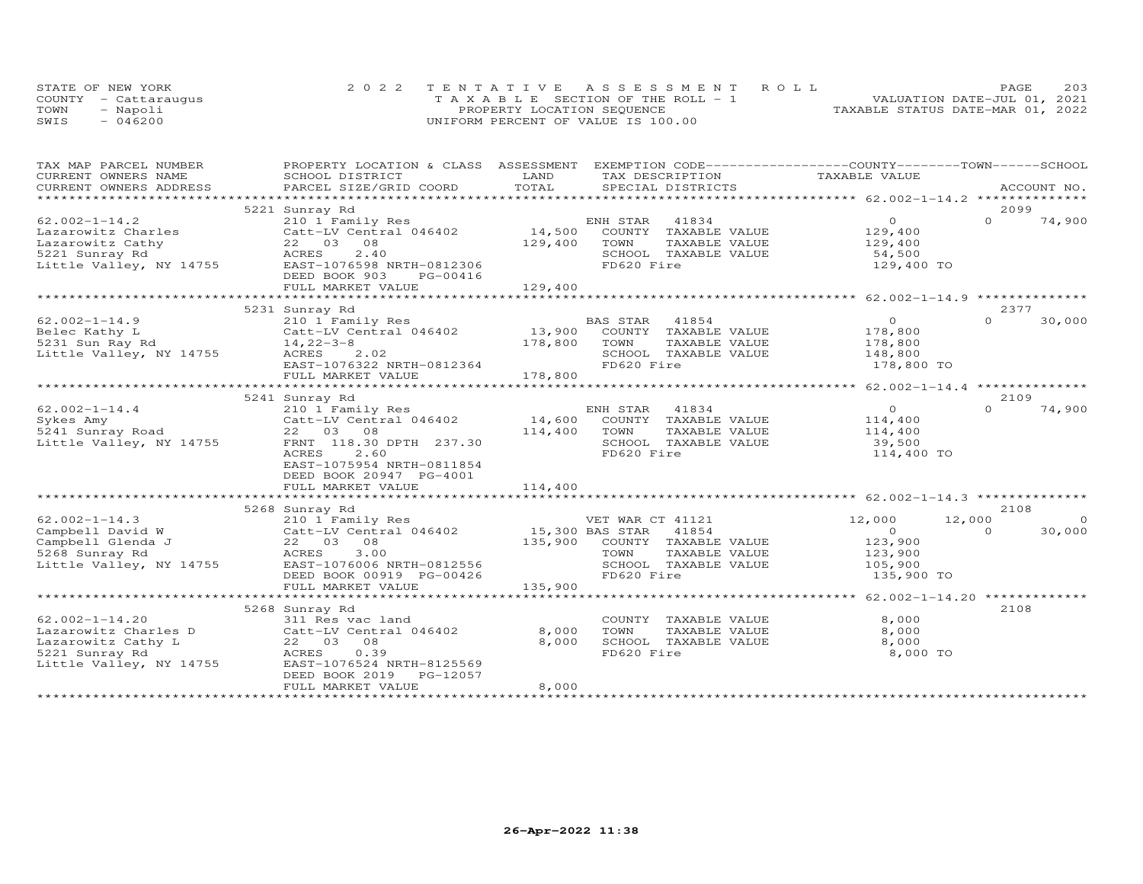|      | STATE OF NEW YORK    | 2022 TENTATIVE ASSESSMENT ROLL        | 203<br>PAGE                      |
|------|----------------------|---------------------------------------|----------------------------------|
|      | COUNTY - Cattaraugus | T A X A B L E SECTION OF THE ROLL - 1 | VALUATION DATE-JUL 01, 2021      |
| TOWN | - Napoli             | PROPERTY LOCATION SEQUENCE            | TAXABLE STATUS DATE-MAR 01, 2022 |
| SWIS | $-046200$            | UNIFORM PERCENT OF VALUE IS 100.00    |                                  |

| TAX MAP PARCEL NUMBER                                                          | PROPERTY LOCATION & CLASS ASSESSMENT                                                                                                                                                                                           |         | EXEMPTION CODE-----------------COUNTY-------TOWN------SCHOOL |                    |                    |
|--------------------------------------------------------------------------------|--------------------------------------------------------------------------------------------------------------------------------------------------------------------------------------------------------------------------------|---------|--------------------------------------------------------------|--------------------|--------------------|
| CURRENT OWNERS NAME                                                            | SCHOOL DISTRICT                                                                                                                                                                                                                | LAND    | TAX DESCRIPTION                                              | TAXABLE VALUE      |                    |
|                                                                                | .CURRENT OWNERS ADDRESS PARCEL SIZE/GRID COORD TOTAL SPECIAL DISTRICTS ACCOUNT NO ACCOUNT NO ACCOUNT NO ARE THE SERVER AND THE SERVER ASSESS THE SERVER OF THE SERVER SERVER AND THE SERVER SERVER AND THE SERVER SERVER AND T |         |                                                              |                    |                    |
|                                                                                |                                                                                                                                                                                                                                |         |                                                              |                    |                    |
|                                                                                | 5221 Sunray Rd                                                                                                                                                                                                                 |         |                                                              |                    | 2099               |
| $62.002 - 1 - 14.2$                                                            | 210 1 Family Res                                                                                                                                                                                                               |         | 41834<br>ENH STAR                                            | $\overline{0}$     | $\Omega$<br>74,900 |
| Lazarowitz Charles<br>Lazarowitz Cathy                                         |                                                                                                                                                                                                                                |         | 14,500 COUNTY TAXABLE VALUE                                  | 129,400<br>129,400 |                    |
|                                                                                |                                                                                                                                                                                                                                | 129,400 | TOWN<br>TAXABLE VALUE                                        |                    |                    |
|                                                                                |                                                                                                                                                                                                                                |         | SCHOOL TAXABLE VALUE                                         | 54,500             |                    |
|                                                                                |                                                                                                                                                                                                                                |         | FD620 Fire                                                   | 129,400 TO         |                    |
|                                                                                | DEED BOOK 903<br>PG-00416                                                                                                                                                                                                      |         |                                                              |                    |                    |
|                                                                                | FULL MARKET VALUE                                                                                                                                                                                                              | 129,400 |                                                              |                    |                    |
|                                                                                |                                                                                                                                                                                                                                |         |                                                              |                    |                    |
|                                                                                | 5231 Sunray Rd                                                                                                                                                                                                                 |         |                                                              |                    | 2377               |
| $62.002 - 1 - 14.9$                                                            | 210 1 Family Res<br>210 1 Family Res BA<br>Catt-LV Central 046402 13,900                                                                                                                                                       |         | BAS STAR<br>41854                                            | $\overline{O}$     | $\Omega$<br>30,000 |
| Belec Kathy L<br>5231 Sun Ray Rd<br>14,22-3-8<br>Little Valley, NY 14755 ACRES |                                                                                                                                                                                                                                |         | COUNTY TAXABLE VALUE                                         | 178,800            |                    |
|                                                                                |                                                                                                                                                                                                                                | 178,800 | TOWN<br>TAXABLE VALUE                                        | 178,800            |                    |
|                                                                                | ACRES 2.02                                                                                                                                                                                                                     |         | SCHOOL TAXABLE VALUE                                         | 148,800            |                    |
|                                                                                | $RAST-1076322$ NRTH-0812364                                                                                                                                                                                                    |         | FD620 Fire                                                   | 178,800 TO         |                    |
|                                                                                | FULL MARKET VALUE                                                                                                                                                                                                              | 178,800 |                                                              |                    |                    |
|                                                                                |                                                                                                                                                                                                                                |         |                                                              |                    |                    |
|                                                                                | 5241 Sunray Rd                                                                                                                                                                                                                 |         |                                                              |                    | 2109               |
| $62.002 - 1 - 14.4$                                                            | 210 1 Family Res                                                                                                                                                                                                               |         | 41834<br>ENH STAR                                            | $\overline{0}$     | $\Omega$<br>74,900 |
|                                                                                | Catt-LV Central 046402                                                                                                                                                                                                         | 14,600  | COUNTY TAXABLE VALUE                                         |                    |                    |
| oykes Amy<br>5241 Sunray Road<br>Little Valler Amy 1955                        | 22 03 08                                                                                                                                                                                                                       | 114,400 | TOWN<br>TAXABLE VALUE                                        | 114,400<br>114,400 |                    |
| Little Valley, NY 14755                                                        | FRNT 118.30 DPTH 237.30                                                                                                                                                                                                        |         | SCHOOL TAXABLE VALUE                                         | 39,500             |                    |
|                                                                                | ACRES<br>2,60                                                                                                                                                                                                                  |         | FD620 Fire                                                   | 114,400 TO         |                    |
|                                                                                | EAST-1075954 NRTH-0811854                                                                                                                                                                                                      |         |                                                              |                    |                    |
|                                                                                | DEED BOOK 20947 PG-4001                                                                                                                                                                                                        |         |                                                              |                    |                    |
|                                                                                | FULL MARKET VALUE                                                                                                                                                                                                              | 114,400 |                                                              |                    |                    |
|                                                                                |                                                                                                                                                                                                                                |         |                                                              |                    |                    |
|                                                                                | 5268 Sunray Rd                                                                                                                                                                                                                 |         |                                                              |                    | 2108               |
| $62.002 - 1 - 14.3$                                                            | 210 1 Family Res                                                                                                                                                                                                               |         | VET WAR CT 41121                                             | 12,000<br>12,000   | $\Omega$           |
| Campbell David W                                                               | Catt-LV Central 046402 15,300 BAS STAR 41854                                                                                                                                                                                   |         |                                                              | $\overline{0}$     | $\Omega$<br>30,000 |
| Campbell Glenda J                                                              | 22 03 08                                                                                                                                                                                                                       |         | 135,900 COUNTY TAXABLE VALUE                                 | 123,900<br>123,900 |                    |
| 5268 Sunray Rd                                                                 | 3.00<br>ACRES                                                                                                                                                                                                                  |         | TOWN<br>TAXABLE VALUE                                        |                    |                    |
| Little Valley, NY 14755                                                        | EAST-1076006 NRTH-0812556                                                                                                                                                                                                      |         | SCHOOL TAXABLE VALUE                                         | 105,900            |                    |
|                                                                                | DEED BOOK 00919 PG-00426                                                                                                                                                                                                       |         | FD620 Fire                                                   | 135,900 TO         |                    |
|                                                                                | FULL MARKET VALUE                                                                                                                                                                                                              | 135,900 |                                                              |                    |                    |
|                                                                                |                                                                                                                                                                                                                                |         |                                                              |                    |                    |
|                                                                                | 5268 Sunray Rd                                                                                                                                                                                                                 |         |                                                              |                    | 2108               |
| $62.002 - 1 - 14.20$                                                           | 311 Res vac land                                                                                                                                                                                                               |         | COUNTY TAXABLE VALUE                                         | 8,000              |                    |
|                                                                                |                                                                                                                                                                                                                                | 8,000   | TOWN<br>TAXABLE VALUE                                        | 8,000              |                    |
| Lazarowitz Cathy L                                                             | 22 03 08                                                                                                                                                                                                                       | 8,000   | SCHOOL TAXABLE VALUE                                         | 8,000              |                    |
| 5221 Sunray Rd                                                                 | 0.39<br>ACRES                                                                                                                                                                                                                  |         | FD620 Fire                                                   | 8,000 TO           |                    |
| Little Valley, NY 14755                                                        | EAST-1076524 NRTH-8125569                                                                                                                                                                                                      |         |                                                              |                    |                    |
|                                                                                | PG-12057<br>DEED BOOK 2019                                                                                                                                                                                                     |         |                                                              |                    |                    |
|                                                                                | FULL MARKET VALUE                                                                                                                                                                                                              | 8,000   |                                                              |                    |                    |
|                                                                                |                                                                                                                                                                                                                                |         |                                                              |                    |                    |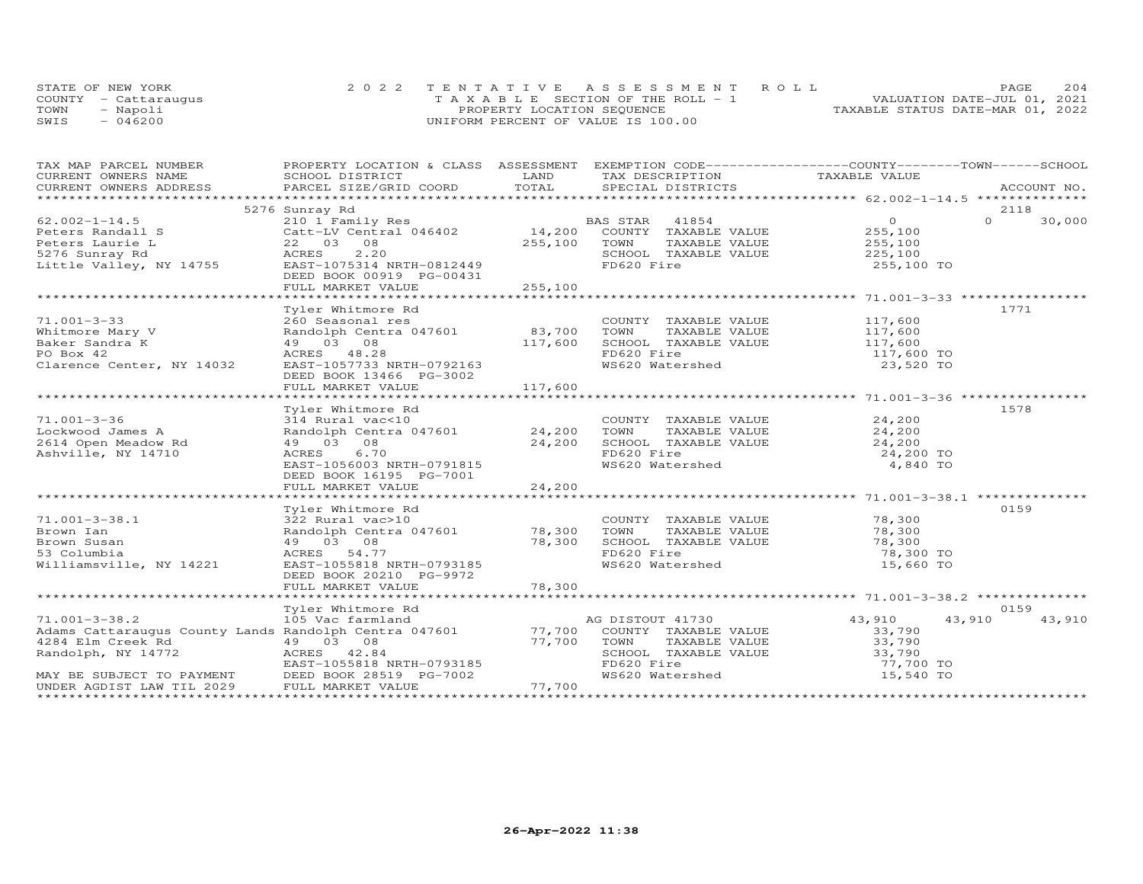| STATE OF NEW YORK    | 2022 TENTATIVE ASSESSMENT ROLL     | 2.04<br>PAGE.                    |
|----------------------|------------------------------------|----------------------------------|
| COUNTY - Cattaraugus | TAXABLE SECTION OF THE ROLL - 1    | VALUATION DATE-JUL 01, 2021      |
| TOWN<br>- Napoli     | PROPERTY LOCATION SEQUENCE         | TAXABLE STATUS DATE-MAR 01, 2022 |
| $-046200$<br>SWIS    | UNIFORM PERCENT OF VALUE IS 100.00 |                                  |

| TAX MAP PARCEL NUMBER                                                                                                                                                                                                                | PROPERTY LOCATION & CLASS ASSESSMENT EXEMPTION CODE-----------------COUNTY-------TOWN------SCHOOL                                                                        |             |                                                                                                                                                   |                  |                    |
|--------------------------------------------------------------------------------------------------------------------------------------------------------------------------------------------------------------------------------------|--------------------------------------------------------------------------------------------------------------------------------------------------------------------------|-------------|---------------------------------------------------------------------------------------------------------------------------------------------------|------------------|--------------------|
|                                                                                                                                                                                                                                      |                                                                                                                                                                          |             |                                                                                                                                                   |                  |                    |
|                                                                                                                                                                                                                                      |                                                                                                                                                                          |             |                                                                                                                                                   |                  |                    |
|                                                                                                                                                                                                                                      |                                                                                                                                                                          |             |                                                                                                                                                   |                  |                    |
|                                                                                                                                                                                                                                      | 5276 Sunray Rd                                                                                                                                                           |             |                                                                                                                                                   |                  | 2118               |
| $62.002 - 1 - 14.5$                                                                                                                                                                                                                  | 210 1 Family Res<br>Catt-LV Central 046402 14,200 COUNTY TAXABLE VALUE<br>22 03 08<br>255,100 TOWN TAXABLE VALUE                                                         |             |                                                                                                                                                   | $\overline{0}$   | $\Omega$<br>30,000 |
|                                                                                                                                                                                                                                      |                                                                                                                                                                          |             |                                                                                                                                                   |                  |                    |
| 62.002-1-14.5<br>Peters Randall S<br>Peters Laurie L<br>Setters Laurie L<br>Setters Laurie L<br>Setters Laurie L<br>Setters Laurie MacRES<br>Setters Capital ACRES<br>2.20<br>Little Valley, NY 14755<br>EAST-1075314 NRTH-0812449   |                                                                                                                                                                          |             |                                                                                                                                                   |                  |                    |
|                                                                                                                                                                                                                                      |                                                                                                                                                                          |             | SCHOOL TAXABLE VALUE 225, 100                                                                                                                     |                  |                    |
|                                                                                                                                                                                                                                      |                                                                                                                                                                          |             | FD620 Fire                                                                                                                                        | 255,100 TO       |                    |
|                                                                                                                                                                                                                                      | DEED BOOK 00919 PG-00431                                                                                                                                                 |             |                                                                                                                                                   |                  |                    |
|                                                                                                                                                                                                                                      | FULL MARKET VALUE                                                                                                                                                        | 255,100     |                                                                                                                                                   |                  |                    |
|                                                                                                                                                                                                                                      |                                                                                                                                                                          |             |                                                                                                                                                   |                  |                    |
|                                                                                                                                                                                                                                      | Tyler Whitmore Rd                                                                                                                                                        |             |                                                                                                                                                   |                  | 1771               |
|                                                                                                                                                                                                                                      | 260 Seasonal res<br>Randolph Centra 047601 (83,700 TOWN TAXABLE VALUE 117,600<br>49 03 08 (117,600 SCHOOL TAXABLE VALUE 117,600<br>ACRES 48.28 (FD620 Fire 117,600 FORES |             |                                                                                                                                                   |                  |                    |
|                                                                                                                                                                                                                                      |                                                                                                                                                                          |             |                                                                                                                                                   |                  |                    |
|                                                                                                                                                                                                                                      |                                                                                                                                                                          |             |                                                                                                                                                   |                  |                    |
| 71.001-3-33<br>Whitmore Mary V<br>Baker Sandra K<br>PO Box 42<br>PO Box 42<br>RACRES<br>28<br>ACRES<br>48.28                                                                                                                         |                                                                                                                                                                          |             |                                                                                                                                                   |                  |                    |
|                                                                                                                                                                                                                                      |                                                                                                                                                                          |             | FD620 Fire<br>WS620 Watershed                                                                                                                     | 117,600 TO       |                    |
| Clarence Center, NY 14032 EAST-1057733 NRTH-0792163                                                                                                                                                                                  |                                                                                                                                                                          |             |                                                                                                                                                   | 23,520 TO        |                    |
|                                                                                                                                                                                                                                      | DEED BOOK 13466 PG-3002                                                                                                                                                  |             |                                                                                                                                                   |                  |                    |
|                                                                                                                                                                                                                                      | FULL MARKET VALUE                                                                                                                                                        | 117,600     |                                                                                                                                                   |                  |                    |
|                                                                                                                                                                                                                                      |                                                                                                                                                                          |             |                                                                                                                                                   |                  |                    |
|                                                                                                                                                                                                                                      | Tyler Whitmore Rd                                                                                                                                                        |             |                                                                                                                                                   |                  | 1578               |
|                                                                                                                                                                                                                                      |                                                                                                                                                                          |             |                                                                                                                                                   |                  |                    |
|                                                                                                                                                                                                                                      |                                                                                                                                                                          |             |                                                                                                                                                   |                  |                    |
|                                                                                                                                                                                                                                      |                                                                                                                                                                          |             |                                                                                                                                                   |                  |                    |
|                                                                                                                                                                                                                                      |                                                                                                                                                                          |             | 0 COUNTY TAXABLE VALUE 24,200<br>047601 24,200 TOWN TAXABLE VALUE 24,200<br>24,200 SCHOOL TAXABLE VALUE 24,200<br>FD620 Fire 34,300<br>FD620 Fire | 24,200 TO        |                    |
|                                                                                                                                                                                                                                      | EAST-1056003 NRTH-0791815                                                                                                                                                |             | WS620 Watershed                                                                                                                                   | 4,840 TO         |                    |
|                                                                                                                                                                                                                                      | DEED BOOK 16195 PG-7001                                                                                                                                                  |             |                                                                                                                                                   |                  |                    |
|                                                                                                                                                                                                                                      | FULL MARKET VALUE                                                                                                                                                        | 24,200      |                                                                                                                                                   |                  |                    |
|                                                                                                                                                                                                                                      |                                                                                                                                                                          |             |                                                                                                                                                   |                  |                    |
|                                                                                                                                                                                                                                      |                                                                                                                                                                          |             |                                                                                                                                                   |                  | 0159               |
| $71.001 - 3 - 38.1$                                                                                                                                                                                                                  | Tyler Whitmore Rd<br>322 Rural vac>10                                                                                                                                    |             |                                                                                                                                                   |                  |                    |
|                                                                                                                                                                                                                                      |                                                                                                                                                                          |             | COUNTY TAXABLE VALUE 78,300<br>TOWN TAXABLE VALUE 78,300                                                                                          |                  |                    |
| Brown Ian                                                                                                                                                                                                                            |                                                                                                                                                                          |             |                                                                                                                                                   |                  |                    |
| Brown Susan                                                                                                                                                                                                                          | 322 Rural vac><br>Randolph Centr<br>49 03 08<br>ACRES 54.77                                                                                                              | 78,300      | 10ww income vince<br>SCHOOL TAXABLE VALUE 78,300<br>FD620 Fire 78,300 TO                                                                          |                  |                    |
| 53 Columbia                                                                                                                                                                                                                          |                                                                                                                                                                          |             |                                                                                                                                                   |                  |                    |
| Williamsville, NY 14221 EAST-1055818 NRTH-0793185                                                                                                                                                                                    |                                                                                                                                                                          |             | WS620 Watershed                                                                                                                                   | 15,660 TO        |                    |
|                                                                                                                                                                                                                                      | DEED BOOK 20210 PG-9972                                                                                                                                                  |             |                                                                                                                                                   |                  |                    |
|                                                                                                                                                                                                                                      | FULL MARKET VALUE                                                                                                                                                        | 78,300      |                                                                                                                                                   |                  |                    |
|                                                                                                                                                                                                                                      |                                                                                                                                                                          |             |                                                                                                                                                   |                  |                    |
|                                                                                                                                                                                                                                      | Tyler Whitmore Rd                                                                                                                                                        |             |                                                                                                                                                   |                  | 0159               |
| 71.001-3-38.2<br>105 Vac farmland<br>Adams Cattaraugus County Lands Randolph Centra 047601<br>2004 Elm Guash Paper County Lands Randolph Centra 047601<br>2004 Elm Guash Paper County Randolph Centra 047601                         |                                                                                                                                                                          |             |                                                                                                                                                   | 43,910           | 43,910<br>43,910   |
|                                                                                                                                                                                                                                      |                                                                                                                                                                          |             |                                                                                                                                                   | 33,790           |                    |
|                                                                                                                                                                                                                                      |                                                                                                                                                                          | 77,700 TOWN |                                                                                                                                                   |                  |                    |
|                                                                                                                                                                                                                                      |                                                                                                                                                                          |             |                                                                                                                                                   | 33,790<br>33,790 |                    |
|                                                                                                                                                                                                                                      |                                                                                                                                                                          |             |                                                                                                                                                   | 77,700 TO        |                    |
| Addissolution of the Magnetic Council Control of the Magnetic Council Capital Council Council CACRES<br>MAY BE SUBJECT TO PAYMENT<br>MAY BE SUBJECT TO PAYMENT DEED BOOK 28519 PG-7002<br>UNDER AGDIST LAW TIL 2029 FULL MARKET VALU |                                                                                                                                                                          |             | TOWN TAXABLE VALUE<br>SCHOOL TAXABLE VALUE<br>FD620 Fire<br>WS620 Watershed                                                                       | 15,540 TO        |                    |
|                                                                                                                                                                                                                                      |                                                                                                                                                                          | 77,700      |                                                                                                                                                   |                  |                    |
|                                                                                                                                                                                                                                      |                                                                                                                                                                          |             |                                                                                                                                                   |                  |                    |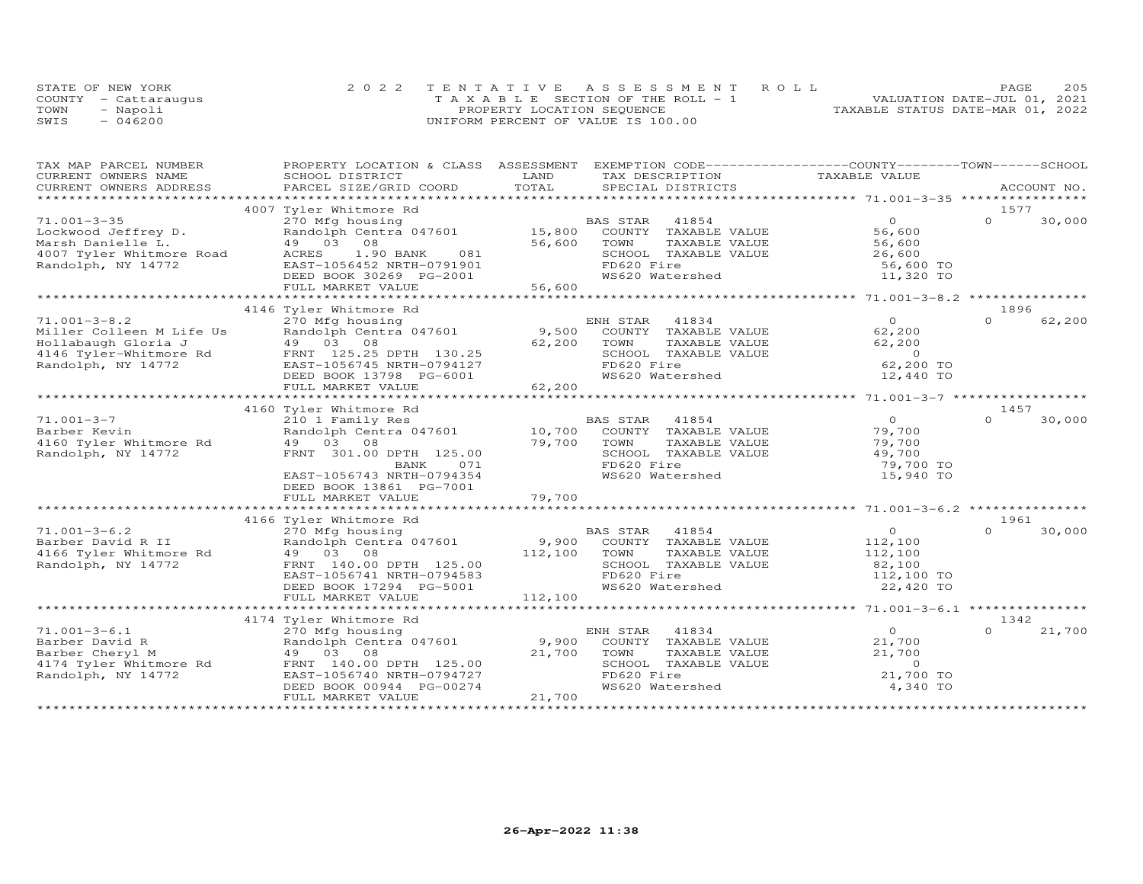| STATE OF NEW YORK    |           | 2022 TENTATIVE ASSESSMENT ROLL |                                    |  |                                  | PAGE | 205 |
|----------------------|-----------|--------------------------------|------------------------------------|--|----------------------------------|------|-----|
| COUNTY - Cattaraugus |           |                                | TAXABLE SECTION OF THE ROLL - 1    |  | VALUATION DATE-JUL 01, 2021      |      |     |
| TOWN                 | - Napoli  |                                | PROPERTY LOCATION SEQUENCE         |  | TAXABLE STATUS DATE-MAR 01, 2022 |      |     |
| SWIS                 | $-046200$ |                                | UNIFORM PERCENT OF VALUE IS 100.00 |  |                                  |      |     |

| TAX MAP PARCEL NUMBER    |                           |                                  | PROPERTY LOCATION & CLASS ASSESSMENT EXEMPTION CODE----------------COUNTY-------TOWN-----SCHOOL |
|--------------------------|---------------------------|----------------------------------|-------------------------------------------------------------------------------------------------|
| CURRENT OWNERS NAME      | SCHOOL DISTRICT           | LAND<br>TAX DESCRIPTION          | TAXABLE VALUE                                                                                   |
| CURRENT OWNERS ADDRESS   | PARCEL SIZE/GRID COORD    | TOTAL<br>SPECIAL DISTRICTS       | ACCOUNT NO.                                                                                     |
|                          |                           |                                  |                                                                                                 |
|                          | 4007 Tyler Whitmore Rd    |                                  | 1577                                                                                            |
| $71.001 - 3 - 35$        | 270 Mfg housing           | BAS STAR<br>41854                | $\circ$<br>$\Omega$<br>30,000                                                                   |
| Lockwood Jeffrey D.      | Randolph Centra 047601    | 15,800<br>COUNTY TAXABLE VALUE   | 56,600                                                                                          |
| Marsh Danielle L.        | 49 03 08                  | 56,600<br>TOWN<br>TAXABLE VALUE  | 56,600                                                                                          |
| 4007 Tyler Whitmore Road | ACRES<br>1.90 BANK<br>081 | SCHOOL TAXABLE VALUE             | 26,600                                                                                          |
| Randolph, NY 14772       | EAST-1056452 NRTH-0791901 | FD620 Fire                       | 56,600 TO                                                                                       |
|                          | DEED BOOK 30269 PG-2001   | WS620 Watershed                  | 11,320 TO                                                                                       |
|                          | FULL MARKET VALUE         | 56,600                           |                                                                                                 |
|                          |                           |                                  |                                                                                                 |
|                          | 4146 Tyler Whitmore Rd    |                                  | 1896                                                                                            |
| $71.001 - 3 - 8.2$       | 270 Mfg housing           | ENH STAR 41834                   | $\Omega$<br>62,200<br>$\Omega$                                                                  |
| Miller Colleen M Life Us | Randolph Centra 047601    | 9,500<br>COUNTY TAXABLE VALUE    | 62,200                                                                                          |
| Hollabaugh Gloria J      | 49 03 08                  | 62,200<br>TOWN<br>TAXABLE VALUE  | 62,200                                                                                          |
| 4146 Tyler-Whitmore Rd   | FRNT 125.25 DPTH 130.25   | SCHOOL TAXABLE VALUE             | $\overline{0}$                                                                                  |
| Randolph, NY 14772       | EAST-1056745 NRTH-0794127 | FD620 Fire                       | 62,200 TO                                                                                       |
|                          | DEED BOOK 13798 PG-6001   | WS620 Watershed                  | 12,440 TO                                                                                       |
|                          | FULL MARKET VALUE         | 62,200                           |                                                                                                 |
|                          |                           |                                  |                                                                                                 |
|                          | 4160 Tyler Whitmore Rd    |                                  | 1457                                                                                            |
| $71.001 - 3 - 7$         |                           |                                  | $\overline{O}$<br>$\Omega$                                                                      |
|                          | 210 1 Family Res          | BAS STAR<br>41854                | 30,000                                                                                          |
| Barber Kevin             | Randolph Centra 047601    | COUNTY TAXABLE VALUE<br>10,700   | 79,700                                                                                          |
| 4160 Tyler Whitmore Rd   | 49 03 08                  | 79,700<br>TAXABLE VALUE<br>TOWN  | 79,700                                                                                          |
| Randolph, NY 14772       | FRNT 301.00 DPTH 125.00   | SCHOOL TAXABLE VALUE             | 49,700                                                                                          |
|                          | BANK<br>071               | FD620 Fire                       | 79,700 TO                                                                                       |
|                          | EAST-1056743 NRTH-0794354 | WS620 Watershed                  | 15,940 TO                                                                                       |
|                          | DEED BOOK 13861 PG-7001   |                                  |                                                                                                 |
|                          | FULL MARKET VALUE         | 79,700                           |                                                                                                 |
|                          |                           |                                  |                                                                                                 |
|                          | 4166 Tyler Whitmore Rd    |                                  | 1961                                                                                            |
| $71.001 - 3 - 6.2$       | 270 Mfg housing           | BAS STAR<br>41854                | $\overline{O}$<br>30,000<br>$\cap$                                                              |
| Barber David R II        | Randolph Centra 047601    | 9,900 COUNTY TAXABLE VALUE       | 112,100                                                                                         |
| 4166 Tyler Whitmore Rd   | 49 03 08                  | 112,100<br>TAXABLE VALUE<br>TOWN | 112,100                                                                                         |
| Randolph, NY 14772       | FRNT 140.00 DPTH 125.00   | SCHOOL TAXABLE VALUE             | 82,100                                                                                          |
|                          | EAST-1056741 NRTH-0794583 | FD620 Fire                       | 112,100 TO                                                                                      |
|                          | DEED BOOK 17294 PG-5001   | WS620 Watershed                  | 22,420 TO                                                                                       |
|                          | FULL MARKET VALUE         | 112,100                          |                                                                                                 |
|                          |                           |                                  |                                                                                                 |
|                          | 4174 Tyler Whitmore Rd    |                                  | 1342                                                                                            |
| $71.001 - 3 - 6.1$       | 270 Mfg housing           | 41834<br>ENH STAR                | $\Omega$<br>21,700                                                                              |
| Barber David R           | Randolph Centra 047601    | 9,900<br>COUNTY TAXABLE VALUE    | 21,700                                                                                          |
| Barber Cheryl M          | 49 03 08                  | 21,700<br>TOWN<br>TAXABLE VALUE  | 21,700                                                                                          |
| 4174 Tyler Whitmore Rd   | FRNT 140.00 DPTH 125.00   | SCHOOL TAXABLE VALUE             | $\Omega$                                                                                        |
| Randolph, NY 14772       | EAST-1056740 NRTH-0794727 | FD620 Fire                       | 21,700 TO                                                                                       |
|                          | DEED BOOK 00944 PG-00274  | WS620 Watershed                  | 4,340 TO                                                                                        |
|                          | FULL MARKET VALUE         | 21,700                           |                                                                                                 |
|                          |                           |                                  |                                                                                                 |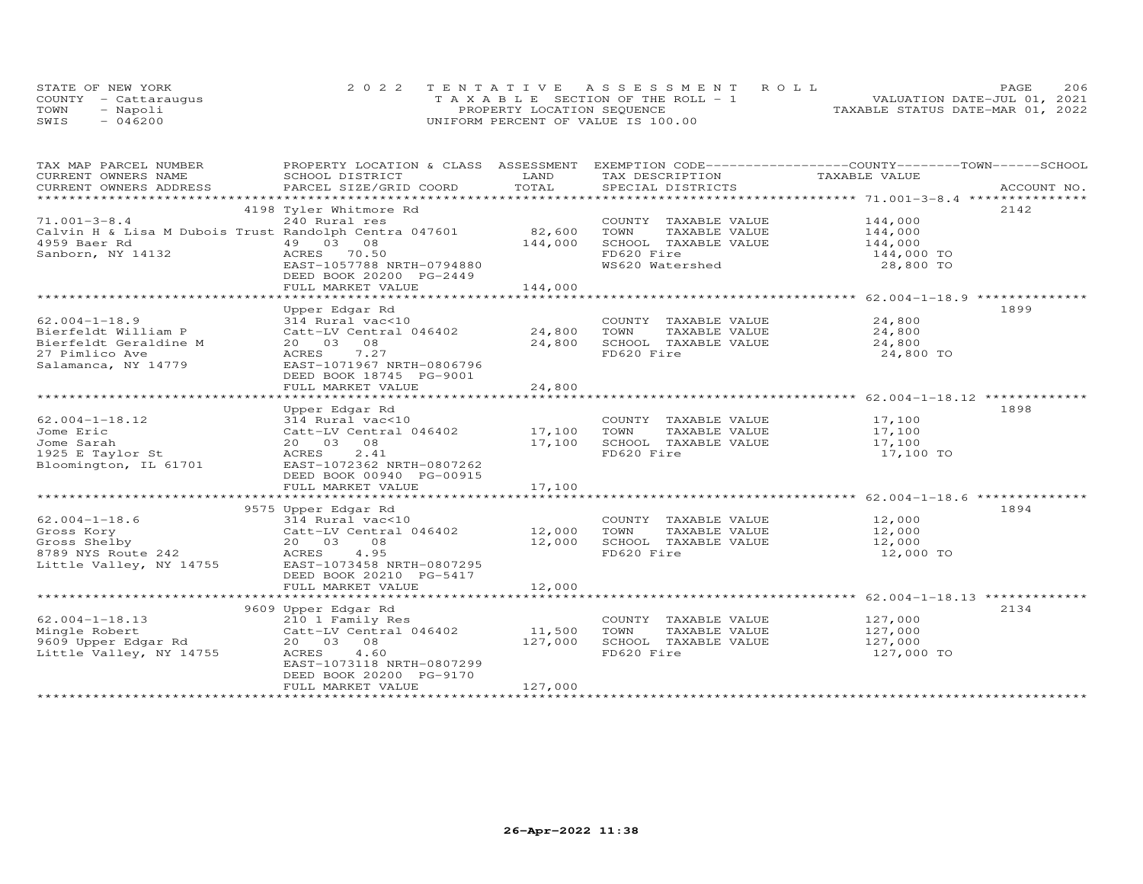|      | STATE OF NEW YORK    | 2022 TENTATIVE ASSESSMENT ROLL        | 206<br><b>PAGE</b>               |
|------|----------------------|---------------------------------------|----------------------------------|
|      | COUNTY - Cattaraugus | T A X A B L E SECTION OF THE ROLL - 1 | VALUATION DATE-JUL 01, 2021      |
| TOWN | Napoli               | PROPERTY LOCATION SEQUENCE            | TAXABLE STATUS DATE-MAR 01, 2022 |
| SWIS | 046200               | UNIFORM PERCENT OF VALUE IS 100.00    |                                  |

| TAX MAP PARCEL NUMBER                                                                                                                                        | PROPERTY LOCATION & CLASS ASSESSMENT EXEMPTION CODE----------------COUNTY-------TOWN------SCHOOL |               |                              |                                                 |      |
|--------------------------------------------------------------------------------------------------------------------------------------------------------------|--------------------------------------------------------------------------------------------------|---------------|------------------------------|-------------------------------------------------|------|
| CURRENT OWNERS NAME                                                                                                                                          | SCHOOL DISTRICT                                                                                  | LAND          | TAX DESCRIPTION              | TAXABLE VALUE                                   |      |
| .CURRENT OWNERS ADDRESS PARCEL SIZE/GRID COORD TOTAL SPECIAL DISTRICTS ACCOUNT NO ACCOUNT NO ACCOUNT NO ACCOUNT                                              |                                                                                                  |               |                              |                                                 |      |
|                                                                                                                                                              | 4198 Tyler Whitmore Rd                                                                           |               |                              |                                                 | 2142 |
| $71.001 - 3 - 8.4$                                                                                                                                           | 240 Rural res                                                                                    |               | COUNTY TAXABLE VALUE 144,000 |                                                 |      |
| Calvin H & Lisa M Dubois Trust Randolph Centra 047601                                                                                                        |                                                                                                  | 82,600        | TAXABLE VALUE<br>TOWN        |                                                 |      |
| 4959 Baer Rd                                                                                                                                                 | 49 03 08                                                                                         | 144,000       | SCHOOL TAXABLE VALUE         | 144,000<br>144,000                              |      |
| Sanborn, NY 14132                                                                                                                                            | ACRES 70.50                                                                                      |               | FD620 Fire                   | 144,000 TO                                      |      |
|                                                                                                                                                              | EAST-1057788 NRTH-0794880                                                                        |               | WS620 Watershed              | 28,800 TO                                       |      |
|                                                                                                                                                              | DEED BOOK 20200 PG-2449                                                                          |               |                              |                                                 |      |
|                                                                                                                                                              | FULL MARKET VALUE                                                                                | 144,000       |                              |                                                 |      |
|                                                                                                                                                              |                                                                                                  | ************* |                              | ****************** 62.004-1-18.9 ************** |      |
|                                                                                                                                                              | Upper Edgar Rd                                                                                   |               |                              |                                                 | 1899 |
| $62.004 - 1 - 18.9$                                                                                                                                          | 314 Rural vac<10                                                                                 |               | COUNTY TAXABLE VALUE 24,800  |                                                 |      |
| Bierfeldt William P                                                                                                                                          | Catt-LV Central 046402                                                                           | 24,800        | TOWN<br>TAXABLE VALUE        | 24,800                                          |      |
| Bierfeldt Geraldine M                                                                                                                                        | 20  03  08                                                                                       | 24,800        | SCHOOL TAXABLE VALUE         | 24,800                                          |      |
| 27 Pimlico Ave                                                                                                                                               | 7.27<br>ACRES                                                                                    |               | FD620 Fire                   | 24,800 TO                                       |      |
| Salamanca, NY 14779                                                                                                                                          | EAST-1071967 NRTH-0806796                                                                        |               |                              |                                                 |      |
|                                                                                                                                                              | DEED BOOK 18745 PG-9001                                                                          | 24,800        |                              |                                                 |      |
|                                                                                                                                                              | FULL MARKET VALUE                                                                                |               |                              |                                                 |      |
|                                                                                                                                                              | Upper Edgar Rd                                                                                   |               |                              |                                                 | 1898 |
| $62.004 - 1 - 18.12$                                                                                                                                         |                                                                                                  |               | COUNTY TAXABLE VALUE         | 17,100                                          |      |
| Jome Eric                                                                                                                                                    | 314 Rural vac<10<br>Catt-LV Central 046402 17,100                                                |               | TOWN<br>TAXABLE VALUE        | 17,100                                          |      |
| Jome Sarah                                                                                                                                                   | 20  03  08                                                                                       | 17,100        | SCHOOL TAXABLE VALUE         | 17,100                                          |      |
| 1925 E Taylor St                                                                                                                                             | 2.41<br>ACRES                                                                                    |               | FD620 Fire                   | 17,100 TO                                       |      |
| Bloomington, IL 61701                                                                                                                                        | EAST-1072362 NRTH-0807262                                                                        |               |                              |                                                 |      |
|                                                                                                                                                              | DEED BOOK 00940 PG-00915                                                                         |               |                              |                                                 |      |
|                                                                                                                                                              | FULL MARKET VALUE                                                                                | 17,100        |                              |                                                 |      |
|                                                                                                                                                              |                                                                                                  |               |                              |                                                 |      |
|                                                                                                                                                              | 9575 Upper Edgar Rd                                                                              |               |                              |                                                 | 1894 |
| $62.004 - 1 - 18.6$                                                                                                                                          | 314 Rural vac<10                                                                                 |               | COUNTY TAXABLE VALUE         | 12,000                                          |      |
| Gross Kory                                                                                                                                                   |                                                                                                  |               | TOWN<br>TAXABLE VALUE        | 12,000                                          |      |
|                                                                                                                                                              |                                                                                                  |               | SCHOOL TAXABLE VALUE         | 12,000                                          |      |
| sus sneiby<br>8789 NYS Route 242<br>Little Vall                                                                                                              | 314 Rural vac<10<br>Catt-LV Central 046402 12,000<br>20 03 08 12,000<br>ACRES 4.95 12,000        |               | FD620 Fire                   | 12,000 TO                                       |      |
| Little Valley, NY 14755 EAST-1073458 NRTH-0807295                                                                                                            |                                                                                                  |               |                              |                                                 |      |
|                                                                                                                                                              | DEED BOOK 20210 PG-5417                                                                          |               |                              |                                                 |      |
|                                                                                                                                                              | FULL MARKET VALUE                                                                                | 12,000        |                              |                                                 |      |
|                                                                                                                                                              |                                                                                                  |               |                              |                                                 | 2134 |
|                                                                                                                                                              | 9609 Upper Edgar Rd                                                                              |               | COUNTY TAXABLE VALUE         | 127,000                                         |      |
|                                                                                                                                                              |                                                                                                  | 11,500        | TOWN<br>TAXABLE VALUE        | 127,000                                         |      |
|                                                                                                                                                              |                                                                                                  | 127,000       | SCHOOL TAXABLE VALUE         | 127,000                                         |      |
| % b2.004-1-18.13<br>Mingle Robert<br>9609 Upper Edgar Rd<br>1.1110 Catt-LV Central 046402<br>9609 Upper Edgar Rd<br>1.60<br>20 03 08<br>20 03 08<br>20 03 08 |                                                                                                  |               | FD620 Fire                   | 127,000 TO                                      |      |
|                                                                                                                                                              | EAST-1073118 NRTH-0807299                                                                        |               |                              |                                                 |      |
|                                                                                                                                                              | DEED BOOK 20200 PG-9170                                                                          |               |                              |                                                 |      |
|                                                                                                                                                              | FULL MARKET VALUE                                                                                | 127,000       |                              |                                                 |      |
|                                                                                                                                                              |                                                                                                  |               |                              |                                                 |      |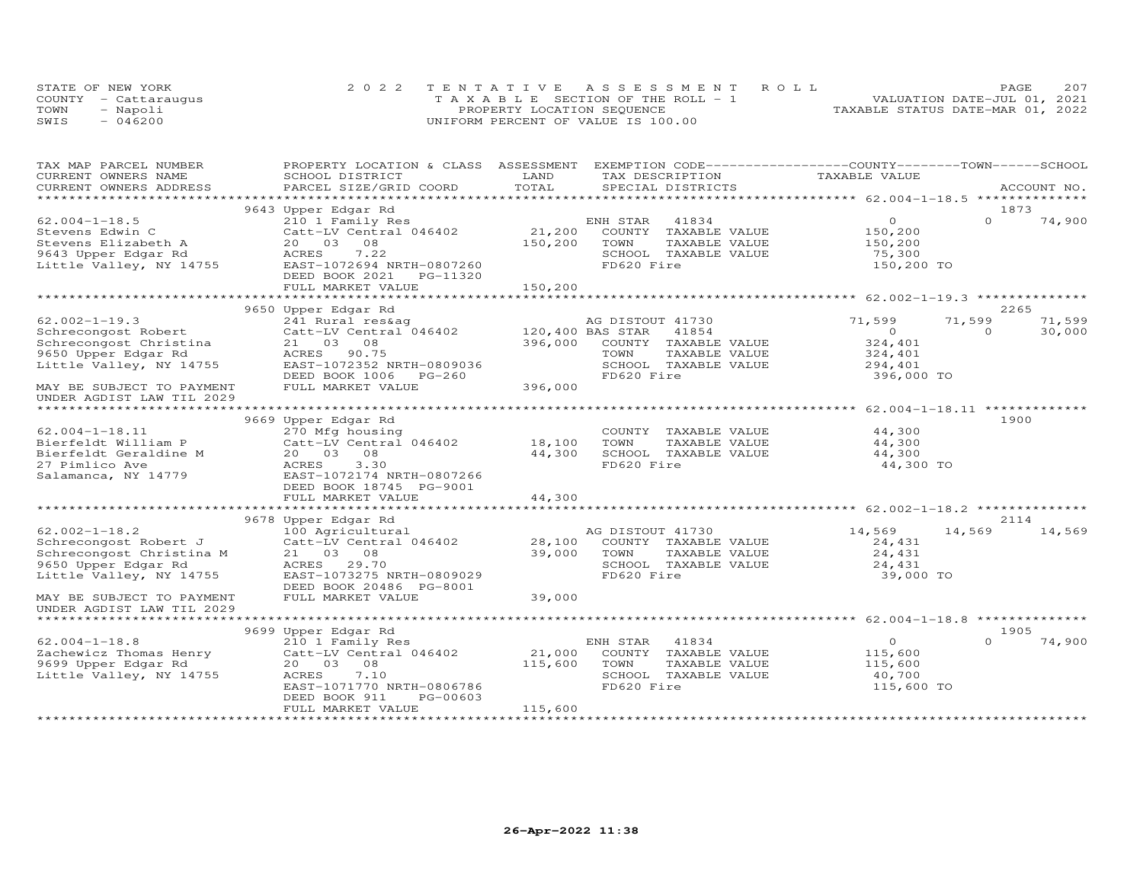|      | STATE OF NEW YORK    | 2022 TENTATIVE ASSESSMENT ROLL        | 207<br>PAGE.                     |
|------|----------------------|---------------------------------------|----------------------------------|
|      | COUNTY - Cattaraugus | T A X A B L E SECTION OF THE ROLL - 1 | VALUATION DATE-JUL 01, 2021      |
| TOWN | - Napoli             | PROPERTY LOCATION SEQUENCE            | TAXABLE STATUS DATE-MAR 01, 2022 |
| SWIS | $-046200$            | UNIFORM PERCENT OF VALUE IS 100.00    |                                  |

| TAX MAP PARCEL NUMBER                             | PROPERTY LOCATION & CLASS ASSESSMENT              |                  | EXEMPTION CODE-----------------COUNTY-------TOWN-----SCHOOL |                |             |        |
|---------------------------------------------------|---------------------------------------------------|------------------|-------------------------------------------------------------|----------------|-------------|--------|
| CURRENT OWNERS NAME                               | SCHOOL DISTRICT                                   | LAND             | TAX DESCRIPTION                                             | TAXABLE VALUE  |             |        |
| CURRENT OWNERS ADDRESS<br>*********************** | PARCEL SIZE/GRID COORD<br>*********************** | TOTAL            | SPECIAL DISTRICTS                                           |                | ACCOUNT NO. |        |
|                                                   |                                                   |                  |                                                             |                |             |        |
|                                                   | 9643 Upper Edgar Rd                               |                  |                                                             |                | 1873        |        |
| $62.004 - 1 - 18.5$                               | 210 1 Family Res                                  |                  | ENH STAR<br>41834                                           | $\overline{O}$ | $\Omega$    | 74,900 |
| Stevens Edwin C                                   | Catt-LV Central 046402                            | 21,200           | COUNTY TAXABLE VALUE                                        | 150,200        |             |        |
| Stevens Elizabeth A                               | 20  03  08                                        | 150,200          | TOWN<br>TAXABLE VALUE                                       | 150,200        |             |        |
| 9643 Upper Edgar Rd                               | ACRES<br>7.22                                     |                  | SCHOOL TAXABLE VALUE                                        | 75,300         |             |        |
| Little Valley, NY 14755                           | EAST-1072694 NRTH-0807260                         |                  | FD620 Fire                                                  | 150,200 TO     |             |        |
|                                                   | DEED BOOK 2021<br>PG-11320                        |                  |                                                             |                |             |        |
|                                                   | FULL MARKET VALUE                                 | 150,200          |                                                             |                |             |        |
|                                                   |                                                   |                  |                                                             |                |             |        |
|                                                   | 9650 Upper Edgar Rd                               |                  |                                                             |                | 2265        |        |
| $62.002 - 1 - 19.3$                               | 241 Rural res&ag                                  |                  | AG DISTOUT 41730                                            | 71,599         | 71,599      | 71,599 |
| Schrecongost Robert                               | Catt-LV Central 046402                            | 120,400 BAS STAR | 41854                                                       | $\circ$        | $\Omega$    | 30,000 |
| Schrecongost Christina                            | 21 03 08                                          | 396,000          | COUNTY TAXABLE VALUE                                        | 324,401        |             |        |
| 9650 Upper Edgar Rd                               | ACRES 90.75                                       |                  | TOWN<br>TAXABLE VALUE                                       | 324,401        |             |        |
| Little Valley, NY 14755                           | EAST-1072352 NRTH-0809036                         |                  | SCHOOL TAXABLE VALUE                                        | 294,401        |             |        |
|                                                   | DEED BOOK 1006<br>PG-260                          |                  | FD620 Fire                                                  | 396,000 TO     |             |        |
| MAY BE SUBJECT TO PAYMENT                         | FULL MARKET VALUE                                 | 396,000          |                                                             |                |             |        |
| UNDER AGDIST LAW TIL 2029                         |                                                   |                  |                                                             |                |             |        |
|                                                   |                                                   |                  |                                                             |                |             |        |
|                                                   | 9669 Upper Edgar Rd                               |                  |                                                             |                | 1900        |        |
| $62.004 - 1 - 18.11$                              | 270 Mfg housing                                   |                  | COUNTY TAXABLE VALUE                                        | 44,300         |             |        |
| Bierfeldt William P                               | Catt-LV Central 046402                            | 18,100           | TOWN<br>TAXABLE VALUE                                       | 44,300         |             |        |
| Bierfeldt Geraldine M                             | 20  03  08                                        | 44,300           | SCHOOL TAXABLE VALUE                                        | 44,300         |             |        |
| 27 Pimlico Ave                                    | ACRES<br>3.30                                     |                  | FD620 Fire                                                  | 44,300 TO      |             |        |
| Salamanca, NY 14779                               | EAST-1072174 NRTH-0807266                         |                  |                                                             |                |             |        |
|                                                   | DEED BOOK 18745 PG-9001                           |                  |                                                             |                |             |        |
|                                                   | FULL MARKET VALUE                                 | 44,300           |                                                             |                |             |        |
|                                                   |                                                   |                  |                                                             |                |             |        |
|                                                   | 9678 Upper Edgar Rd                               |                  |                                                             |                | 2114        |        |
| $62.002 - 1 - 18.2$                               | 100 Agricultural                                  |                  | AG DISTOUT 41730                                            | 14,569         | 14,569      | 14,569 |
| Schrecongost Robert J                             | Catt-LV Central 046402                            | 28,100           | COUNTY TAXABLE VALUE                                        | 24,431         |             |        |
| Schrecongost Christina M                          | 21 03 08                                          | 39,000           | TOWN<br>TAXABLE VALUE                                       | 24,431         |             |        |
| 9650 Upper Edgar Rd                               | ACRES 29.70                                       |                  | SCHOOL TAXABLE VALUE                                        | 24,431         |             |        |
| Little Valley, NY 14755                           | EAST-1073275 NRTH-0809029                         |                  | FD620 Fire                                                  | 39,000 TO      |             |        |
|                                                   | DEED BOOK 20486 PG-8001                           |                  |                                                             |                |             |        |
| MAY BE SUBJECT TO PAYMENT                         | FULL MARKET VALUE                                 | 39,000           |                                                             |                |             |        |
| UNDER AGDIST LAW TIL 2029                         |                                                   |                  |                                                             |                |             |        |
|                                                   |                                                   |                  |                                                             |                |             |        |
|                                                   | 9699 Upper Edgar Rd                               |                  |                                                             |                | 1905        |        |
| $62.004 - 1 - 18.8$                               | 210 1 Family Res                                  |                  | 41834<br>ENH STAR                                           | $\overline{O}$ | $\Omega$    | 74,900 |
| Zachewicz Thomas Henry                            | Catt-LV Central 046402                            | 21,000           | COUNTY TAXABLE VALUE                                        | 115,600        |             |        |
| 9699 Upper Edgar Rd                               | 08<br>20 03                                       | 115,600          | TOWN<br>TAXABLE VALUE                                       | 115,600        |             |        |
| Little Valley, NY 14755                           | ACRES<br>7.10                                     |                  | SCHOOL TAXABLE VALUE                                        | 40,700         |             |        |
|                                                   | EAST-1071770 NRTH-0806786                         |                  | FD620 Fire                                                  | 115,600 TO     |             |        |
|                                                   | PG-00603<br>DEED BOOK 911                         |                  |                                                             |                |             |        |
|                                                   | FULL MARKET VALUE                                 | 115,600          |                                                             |                |             |        |
|                                                   |                                                   |                  |                                                             |                |             |        |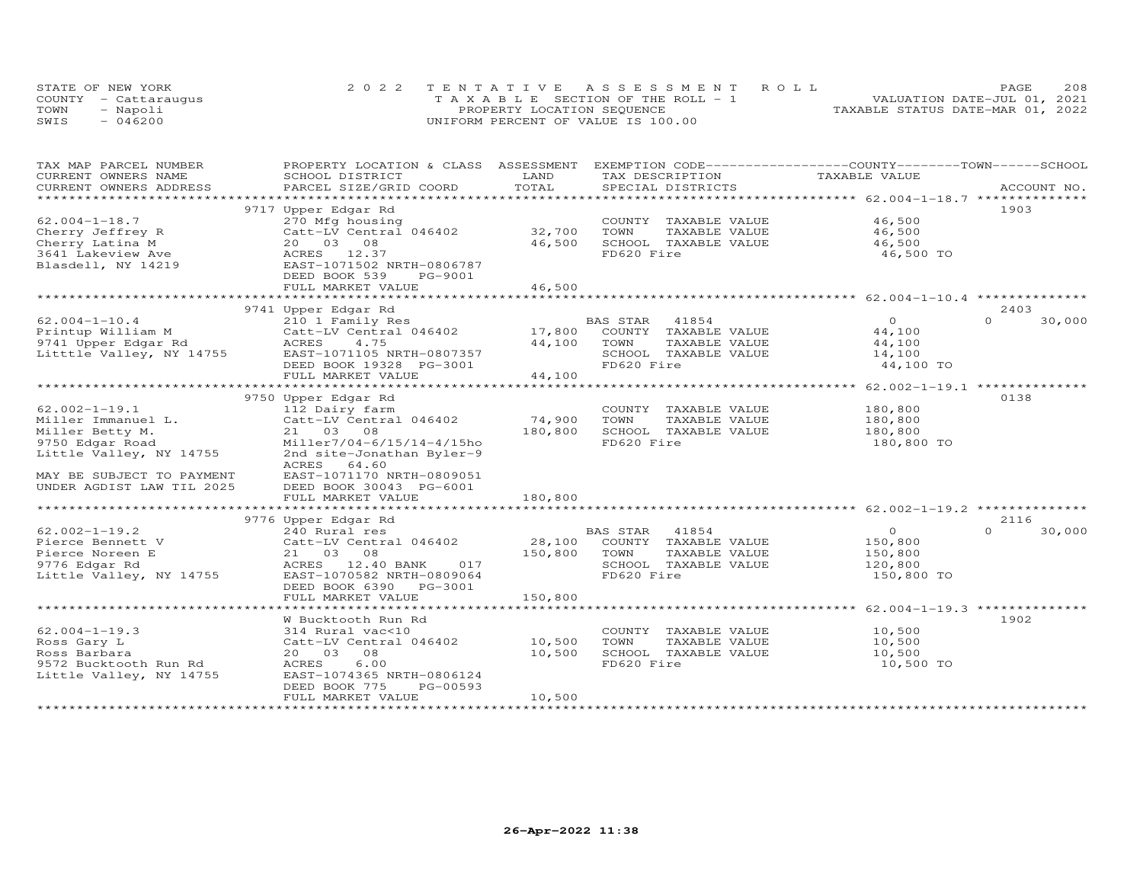|      | STATE OF NEW YORK    | 2022 TENTATIVE ASSESSMENT ROLL        |                                  | PAGE                        | 208 |
|------|----------------------|---------------------------------------|----------------------------------|-----------------------------|-----|
|      | COUNTY - Cattaraugus | T A X A B L E SECTION OF THE ROLL - 1 |                                  | VALUATION DATE-JUL 01, 2021 |     |
| TOWN | - Napoli             | PROPERTY LOCATION SEQUENCE            | TAXABLE STATUS DATE-MAR 01, 2022 |                             |     |
| SWIS | $-046200$            | UNIFORM PERCENT OF VALUE IS 100.00    |                                  |                             |     |

| TAX MAP PARCEL NUMBER     | PROPERTY LOCATION & CLASS ASSESSMENT |         | EXEMPTION CODE-----------------COUNTY-------TOWN------SCHOOL |               |                    |
|---------------------------|--------------------------------------|---------|--------------------------------------------------------------|---------------|--------------------|
| CURRENT OWNERS NAME       | SCHOOL DISTRICT                      | LAND    | TAX DESCRIPTION                                              | TAXABLE VALUE |                    |
| CURRENT OWNERS ADDRESS    | PARCEL SIZE/GRID COORD               | TOTAL   | SPECIAL DISTRICTS                                            |               | ACCOUNT NO.        |
| **********************    |                                      |         |                                                              |               |                    |
|                           | 9717 Upper Edgar Rd                  |         |                                                              |               | 1903               |
| $62.004 - 1 - 18.7$       | 270 Mfg housing                      |         | COUNTY TAXABLE VALUE                                         | 46,500        |                    |
| Cherry Jeffrey R          | Catt-LV Central 046402               | 32,700  | TOWN<br>TAXABLE VALUE                                        | 46,500        |                    |
| Cherry Latina M           | 20  03  08                           | 46,500  | SCHOOL TAXABLE VALUE                                         | 46,500        |                    |
| 3641 Lakeview Ave         | ACRES 12.37                          |         | FD620 Fire                                                   | 46,500 TO     |                    |
| Blasdell, NY 14219        | EAST-1071502 NRTH-0806787            |         |                                                              |               |                    |
|                           | DEED BOOK 539<br>PG-9001             |         |                                                              |               |                    |
|                           | FULL MARKET VALUE                    | 46,500  |                                                              |               |                    |
|                           |                                      |         |                                                              |               |                    |
|                           | 9741 Upper Edgar Rd                  |         |                                                              |               | 2403               |
| $62.004 - 1 - 10.4$       | 210 1 Family Res                     |         | BAS STAR<br>41854                                            | $\Omega$      | $\Omega$<br>30,000 |
| Printup William M         | Catt-LV Central 046402               | 17,800  | COUNTY TAXABLE VALUE                                         | 44,100        |                    |
| 9741 Upper Edgar Rd       | ACRES<br>4.75                        | 44,100  | TOWN<br>TAXABLE VALUE                                        | 44,100        |                    |
| Litttle Valley, NY 14755  | EAST-1071105 NRTH-0807357            |         | SCHOOL TAXABLE VALUE                                         | 14,100        |                    |
|                           | DEED BOOK 19328 PG-3001              |         | FD620 Fire                                                   | 44,100 TO     |                    |
|                           | FULL MARKET VALUE                    | 44,100  |                                                              |               |                    |
|                           |                                      |         |                                                              |               |                    |
|                           | 9750 Upper Edgar Rd                  |         |                                                              |               | 0138               |
| $62.002 - 1 - 19.1$       | 112 Dairy farm                       |         | COUNTY TAXABLE VALUE                                         | 180,800       |                    |
| Miller Immanuel L.        | Catt-LV Central 046402               | 74,900  | TOWN<br>TAXABLE VALUE                                        | 180,800       |                    |
| Miller Betty M.           | 21 03<br>08                          | 180,800 | SCHOOL TAXABLE VALUE                                         | 180,800       |                    |
| 9750 Edgar Road           | Miller7/04-6/15/14-4/15ho            |         | FD620 Fire                                                   | 180,800 TO    |                    |
| Little Valley, NY 14755   | 2nd site-Jonathan Byler-9            |         |                                                              |               |                    |
|                           | ACRES<br>64.60                       |         |                                                              |               |                    |
| MAY BE SUBJECT TO PAYMENT | EAST-1071170 NRTH-0809051            |         |                                                              |               |                    |
| UNDER AGDIST LAW TIL 2025 | DEED BOOK 30043 PG-6001              |         |                                                              |               |                    |
|                           | FULL MARKET VALUE                    | 180,800 |                                                              |               |                    |
|                           |                                      |         |                                                              |               |                    |
|                           | 9776 Upper Edgar Rd                  |         |                                                              |               | 2116               |
| $62.002 - 1 - 19.2$       | 240 Rural res                        |         | BAS STAR<br>41854                                            | $\circ$       | $\Omega$<br>30,000 |
| Pierce Bennett V          | Catt-LV Central 046402               | 28,100  | COUNTY TAXABLE VALUE                                         | 150,800       |                    |
| Pierce Noreen E           | 21 03 08                             | 150,800 | TOWN<br>TAXABLE VALUE                                        | 150,800       |                    |
| 9776 Edgar Rd             | ACRES 12.40 BANK<br>017              |         | SCHOOL TAXABLE VALUE                                         | 120,800       |                    |
| Little Valley, NY 14755   | EAST-1070582 NRTH-0809064            |         | FD620 Fire                                                   | 150,800 TO    |                    |
|                           | DEED BOOK 6390 PG-3001               |         |                                                              |               |                    |
|                           | FULL MARKET VALUE                    | 150,800 |                                                              |               |                    |
|                           |                                      |         |                                                              |               |                    |
|                           | W Bucktooth Run Rd                   |         |                                                              |               | 1902               |
| $62.004 - 1 - 19.3$       | 314 Rural vac<10                     |         | COUNTY TAXABLE VALUE                                         | 10,500        |                    |
| Ross Gary L               | Catt-LV Central 046402               | 10,500  | TOWN<br>TAXABLE VALUE                                        | 10,500        |                    |
| Ross Barbara              | 20  03  08                           | 10,500  | SCHOOL TAXABLE VALUE                                         | 10,500        |                    |
| 9572 Bucktooth Run Rd     | ACRES<br>6.00                        |         | FD620 Fire                                                   | 10,500 TO     |                    |
| Little Valley, NY 14755   | EAST-1074365 NRTH-0806124            |         |                                                              |               |                    |
|                           | DEED BOOK 775<br>PG-00593            |         |                                                              |               |                    |
|                           | FULL MARKET VALUE                    | 10,500  |                                                              |               |                    |
|                           | *********************                |         |                                                              |               |                    |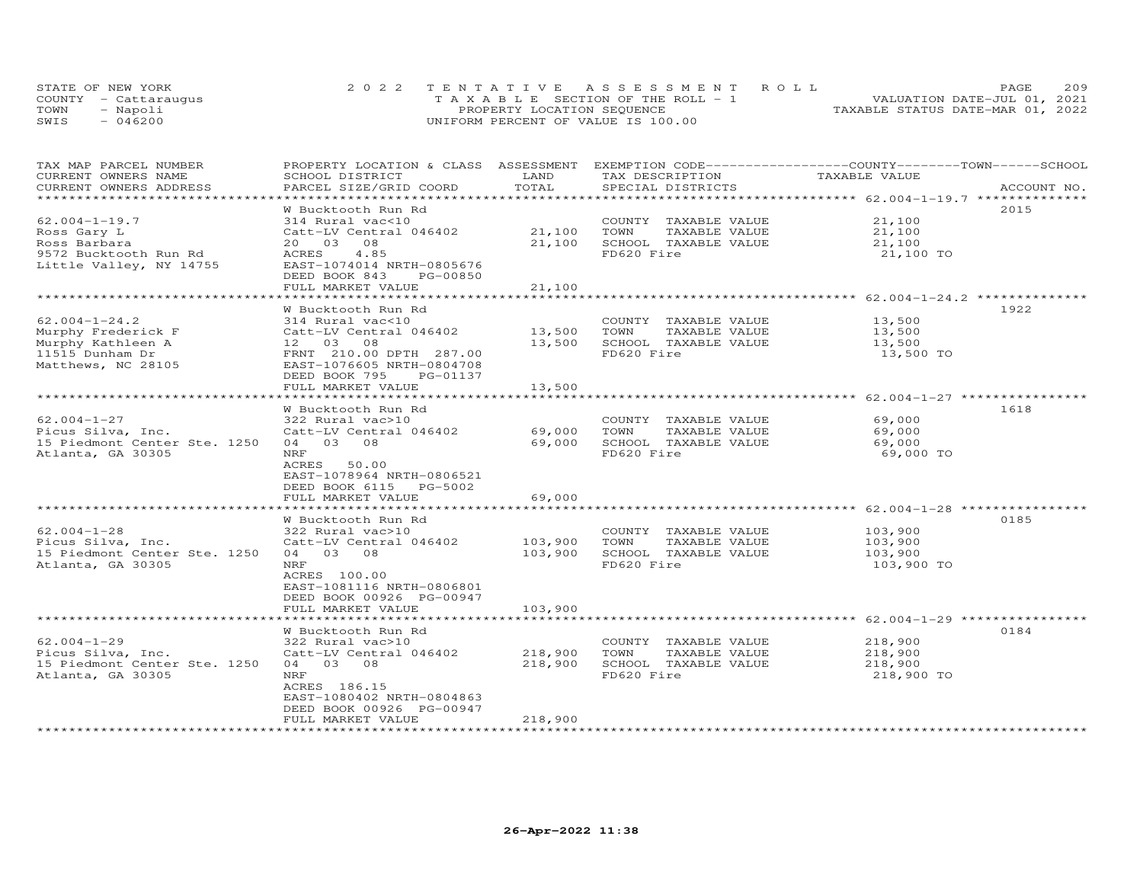| STATE OF NEW YORK    |           | 2022 TENTATIVE ASSESSMENT ROLL        |  |  |                                  | PAGE. | 209 |
|----------------------|-----------|---------------------------------------|--|--|----------------------------------|-------|-----|
| COUNTY - Cattaraugus |           | T A X A B L E SECTION OF THE ROLL - 1 |  |  | VALUATION DATE-JUL 01, 2021      |       |     |
| TOWN                 | - Napoli  | PROPERTY LOCATION SEQUENCE            |  |  | TAXABLE STATUS DATE-MAR 01, 2022 |       |     |
| SWIS                 | $-046200$ | UNIFORM PERCENT OF VALUE IS 100.00    |  |  |                                  |       |     |

| TAX MAP PARCEL NUMBER<br>CURRENT OWNERS NAME<br>CURRENT OWNERS ADDRESS                                  | PROPERTY LOCATION & CLASS ASSESSMENT<br>SCHOOL DISTRICT<br>PARCEL SIZE/GRID COORD                                                                                  | LAND<br>TOTAL                 | EXEMPTION CODE-----------------COUNTY-------TOWN------SCHOOL<br>TAX DESCRIPTION<br>SPECIAL DISTRICTS | TAXABLE VALUE                                       | ACCOUNT NO. |
|---------------------------------------------------------------------------------------------------------|--------------------------------------------------------------------------------------------------------------------------------------------------------------------|-------------------------------|------------------------------------------------------------------------------------------------------|-----------------------------------------------------|-------------|
|                                                                                                         |                                                                                                                                                                    |                               |                                                                                                      |                                                     |             |
| $62.004 - 1 - 19.7$<br>Ross Gary L<br>Ross Barbara<br>9572 Bucktooth Run Rd<br>Little Valley, NY 14755  | W Bucktooth Run Rd<br>314 Rural vac<10<br>Catt-LV Central 046402<br>20 03 08<br>4.85<br>ACRES<br>EAST-1074014 NRTH-0805676                                         | 21,100<br>21,100              | COUNTY TAXABLE VALUE<br>TAXABLE VALUE<br>TOWN<br>SCHOOL TAXABLE VALUE<br>FD620 Fire                  | 21,100<br>21,100<br>21,100<br>21,100 TO             | 2015        |
|                                                                                                         | DEED BOOK 843<br>PG-00850<br>FULL MARKET VALUE                                                                                                                     | 21,100                        |                                                                                                      |                                                     |             |
|                                                                                                         |                                                                                                                                                                    |                               |                                                                                                      |                                                     |             |
| $62.004 - 1 - 24.2$<br>Murphy Frederick F<br>Murphy Kathleen A<br>11515 Dunham Dr<br>Matthews, NC 28105 | W Bucktooth Run Rd<br>314 Rural vac<10<br>Catt-LV Central 046402<br>12 03 08<br>FRNT 210.00 DPTH 287.00<br>EAST-1076605 NRTH-0804708<br>DEED BOOK 795<br>PG-01137  | 13,500<br>13,500              | COUNTY TAXABLE VALUE<br>TAXABLE VALUE<br>TOWN<br>SCHOOL TAXABLE VALUE<br>FD620 Fire                  | 13,500<br>13,500<br>13,500<br>13,500 TO             | 1922        |
|                                                                                                         | FULL MARKET VALUE                                                                                                                                                  | 13,500                        |                                                                                                      |                                                     |             |
|                                                                                                         | * * * * * * * * * * * * * * * * * * *<br>W Bucktooth Run Rd                                                                                                        | *********                     |                                                                                                      | ********************* 62.004-1-27 ***************** | 1618        |
| $62.004 - 1 - 27$<br>Picus Silva, Inc.<br>15 Piedmont Center Ste. 1250<br>Atlanta, GA 30305             | 322 Rural vac>10<br>Catt-LV Central 046402<br>04 03 08<br>NRF<br>ACRES<br>50.00<br>EAST-1078964 NRTH-0806521<br>DEED BOOK 6115 PG-5002                             | 69,000<br>69,000              | COUNTY TAXABLE VALUE<br>TAXABLE VALUE<br>TOWN<br>SCHOOL TAXABLE VALUE<br>FD620 Fire                  | 69,000<br>69,000<br>69,000<br>69,000 TO             |             |
|                                                                                                         | FULL MARKET VALUE                                                                                                                                                  | 69,000                        |                                                                                                      |                                                     |             |
| $62.004 - 1 - 28$<br>Picus Silva, Inc.<br>15 Piedmont Center Ste. 1250<br>Atlanta, GA 30305             | W Bucktooth Run Rd<br>322 Rural vac>10<br>Catt-LV Central 046402<br>04 03 08<br>NRF<br>ACRES 100.00<br>EAST-1081116 NRTH-0806801<br>DEED BOOK 00926 PG-00947       | 103,900<br>103,900            | COUNTY TAXABLE VALUE<br>TAXABLE VALUE<br>TOWN<br>SCHOOL TAXABLE VALUE<br>FD620 Fire                  | 103,900<br>103,900<br>103,900<br>103,900 TO         | 0185        |
|                                                                                                         | FULL MARKET VALUE                                                                                                                                                  | 103,900                       |                                                                                                      |                                                     |             |
|                                                                                                         | W Bucktooth Run Rd                                                                                                                                                 |                               |                                                                                                      |                                                     | 0184        |
| $62.004 - 1 - 29$<br>Picus Silva, Inc.<br>15 Piedmont Center Ste. 1250<br>Atlanta, GA 30305             | 322 Rural vac>10<br>Catt-LV Central 046402<br>04 03 08<br><b>NRF</b><br>ACRES 186.15<br>EAST-1080402 NRTH-0804863<br>DEED BOOK 00926 PG-00947<br>FULL MARKET VALUE | 218,900<br>218,900<br>218,900 | COUNTY TAXABLE VALUE<br>TAXABLE VALUE<br>TOWN<br>SCHOOL TAXABLE VALUE<br>FD620 Fire                  | 218,900<br>218,900<br>218,900<br>218,900 TO         |             |
|                                                                                                         |                                                                                                                                                                    |                               |                                                                                                      |                                                     |             |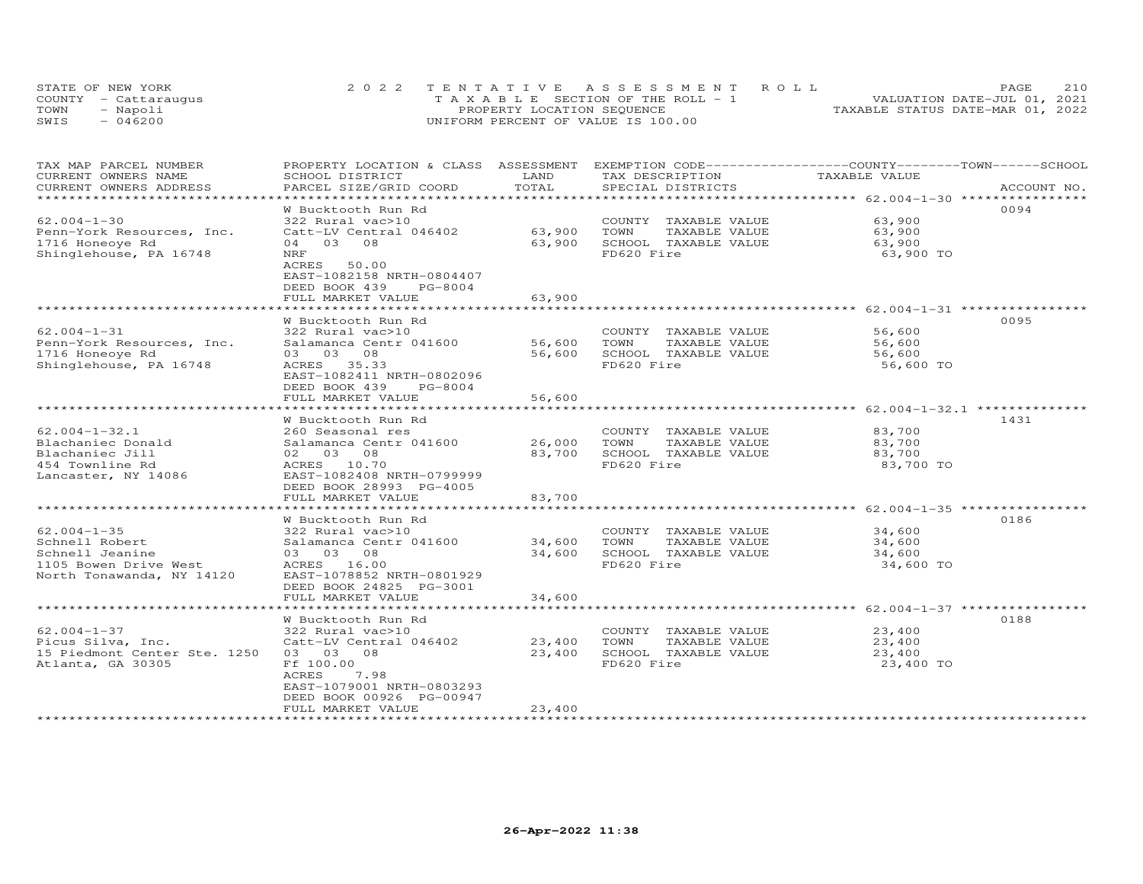| STATE OF NEW YORK    |           | 2022 TENTATIVE ASSESSMENT ROLL        |  |  |                                  | <b>PAGE</b> | 210 |
|----------------------|-----------|---------------------------------------|--|--|----------------------------------|-------------|-----|
| COUNTY - Cattaraugus |           | T A X A B L E SECTION OF THE ROLL - 1 |  |  | VALUATION DATE-JUL 01, 2021      |             |     |
| TOWN                 | - Napoli  | PROPERTY LOCATION SEQUENCE            |  |  | TAXABLE STATUS DATE-MAR 01, 2022 |             |     |
| SWIS                 | $-046200$ | UNIFORM PERCENT OF VALUE IS 100.00    |  |  |                                  |             |     |

| TAX MAP PARCEL NUMBER<br>CURRENT OWNERS NAME      | PROPERTY LOCATION & CLASS ASSESSMENT EXEMPTION CODE----------------COUNTY-------TOWN-----SCHOOL<br>SCHOOL DISTRICT | LAND<br>TOTAL    | TAX DESCRIPTION                                                | TAXABLE VALUE    |             |
|---------------------------------------------------|--------------------------------------------------------------------------------------------------------------------|------------------|----------------------------------------------------------------|------------------|-------------|
| CURRENT OWNERS ADDRESS<br>*********************   | PARCEL SIZE/GRID COORD                                                                                             |                  | SPECIAL DISTRICTS                                              |                  | ACCOUNT NO. |
|                                                   | W Bucktooth Run Rd                                                                                                 |                  |                                                                |                  | 0094        |
| $62.004 - 1 - 30$                                 | 322 Rural vac>10                                                                                                   |                  | COUNTY TAXABLE VALUE                                           | 63,900           |             |
| Penn-York Resources, Inc.                         | Catt-LV Central 046402                                                                                             | 63,900           | TOWN<br>TAXABLE VALUE                                          | 63,900           |             |
| 1716 Honeoye Rd                                   | 04 03 08                                                                                                           | 63,900           | SCHOOL TAXABLE VALUE                                           | 63,900           |             |
| Shinglehouse, PA 16748                            | NRF                                                                                                                |                  | FD620 Fire                                                     | 63,900 TO        |             |
|                                                   | ACRES<br>50.00                                                                                                     |                  |                                                                |                  |             |
|                                                   | EAST-1082158 NRTH-0804407                                                                                          |                  |                                                                |                  |             |
|                                                   | $PG-8004$<br>DEED BOOK 439                                                                                         |                  |                                                                |                  |             |
|                                                   | FULL MARKET VALUE                                                                                                  | 63,900           |                                                                |                  |             |
|                                                   | W Bucktooth Run Rd                                                                                                 |                  |                                                                |                  | 0095        |
| $62.004 - 1 - 31$                                 | 322 Rural vac>10                                                                                                   |                  | COUNTY TAXABLE VALUE                                           | 56,600           |             |
| Penn-York Resources, Inc.                         | Salamanca Centr 041600                                                                                             | 56,600           | TOWN<br>TAXABLE VALUE                                          | 56,600           |             |
| 1716 Honeoye Rd                                   | 03 03 08                                                                                                           | 56,600           | SCHOOL TAXABLE VALUE                                           | 56,600           |             |
| Shinglehouse, PA 16748                            | ACRES 35.33                                                                                                        |                  | FD620 Fire                                                     | 56,600 TO        |             |
|                                                   | EAST-1082411 NRTH-0802096                                                                                          |                  |                                                                |                  |             |
|                                                   | DEED BOOK 439<br>PG-8004                                                                                           |                  |                                                                |                  |             |
|                                                   | FULL MARKET VALUE                                                                                                  | 56,600           |                                                                |                  |             |
|                                                   | **************************                                                                                         | ************     | ******************************** 62.004-1-32.1 *************** |                  |             |
|                                                   | W Bucktooth Run Rd                                                                                                 |                  |                                                                |                  | 1431        |
| $62.004 - 1 - 32.1$                               | 260 Seasonal res                                                                                                   |                  | COUNTY TAXABLE VALUE                                           | 83,700           |             |
| Blachaniec Donald                                 | Salamanca Centr 041600                                                                                             | 26,000           | TOWN<br>TAXABLE VALUE                                          | 83,700           |             |
| Blachaniec Jill                                   | 02 03 08                                                                                                           | 83,700           | SCHOOL TAXABLE VALUE                                           | 83,700           |             |
| 454 Townline Rd                                   | ACRES 10.70                                                                                                        |                  | FD620 Fire                                                     | 83,700 TO        |             |
| Lancaster, NY 14086                               | EAST-1082408 NRTH-0799999                                                                                          |                  |                                                                |                  |             |
|                                                   | DEED BOOK 28993 PG-4005                                                                                            | 83,700           |                                                                |                  |             |
|                                                   | FULL MARKET VALUE                                                                                                  |                  |                                                                |                  |             |
|                                                   | W Bucktooth Run Rd                                                                                                 |                  |                                                                |                  | 0186        |
| $62.004 - 1 - 35$                                 | 322 Rural vac>10                                                                                                   |                  | COUNTY TAXABLE VALUE                                           | 34,600           |             |
| Schnell Robert                                    | Salamanca Centr 041600                                                                                             | 34,600           | TAXABLE VALUE<br>TOWN                                          | 34,600           |             |
| Schnell Jeanine                                   | 03 03<br>08                                                                                                        | 34,600           | SCHOOL TAXABLE VALUE                                           | 34,600           |             |
| 1105 Bowen Drive West                             | ACRES 16.00                                                                                                        |                  | FD620 Fire                                                     | 34,600 TO        |             |
| North Tonawanda, NY 14120                         | EAST-1078852 NRTH-0801929                                                                                          |                  |                                                                |                  |             |
|                                                   | DEED BOOK 24825 PG-3001                                                                                            |                  |                                                                |                  |             |
|                                                   | FULL MARKET VALUE                                                                                                  | 34,600           |                                                                |                  |             |
|                                                   |                                                                                                                    |                  |                                                                |                  |             |
|                                                   | W Bucktooth Run Rd                                                                                                 |                  |                                                                |                  | 0188        |
| $62.004 - 1 - 37$                                 | 322 Rural vac>10<br>Catt-LV Central 046402                                                                         |                  | COUNTY TAXABLE VALUE                                           | 23,400<br>23,400 |             |
| Picus Silva, Inc.<br>15 Piedmont Center Ste. 1250 | 03 03<br>08                                                                                                        | 23,400<br>23,400 | TOWN<br>TAXABLE VALUE<br>SCHOOL TAXABLE VALUE                  | 23,400           |             |
| Atlanta, GA 30305                                 | Ff 100.00                                                                                                          |                  | FD620 Fire                                                     | 23,400 TO        |             |
|                                                   | 7.98<br>ACRES                                                                                                      |                  |                                                                |                  |             |
|                                                   | EAST-1079001 NRTH-0803293                                                                                          |                  |                                                                |                  |             |
|                                                   | DEED BOOK 00926 PG-00947                                                                                           |                  |                                                                |                  |             |
|                                                   | FULL MARKET VALUE                                                                                                  | 23,400           |                                                                |                  |             |
|                                                   |                                                                                                                    |                  |                                                                |                  |             |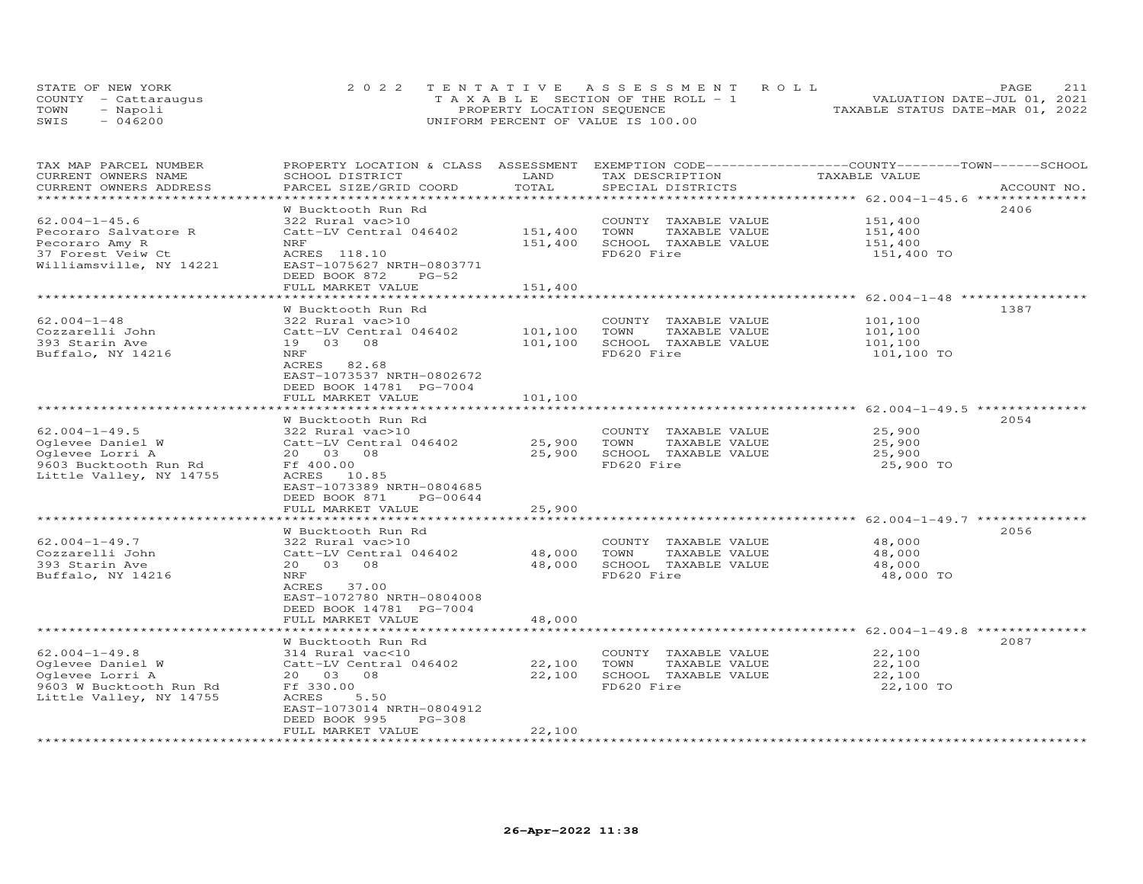|      | STATE OF NEW YORK    | 2022 TENTATIVE ASSESSMENT ROLL        | 211<br>PAGE.                     |
|------|----------------------|---------------------------------------|----------------------------------|
|      | COUNTY - Cattaraugus | T A X A B L E SECTION OF THE ROLL - 1 | VALUATION DATE-JUL 01, 2021      |
| TOWN | - Napoli             | PROPERTY LOCATION SEQUENCE            | TAXABLE STATUS DATE-MAR 01, 2022 |
| SWIS | $-046200$            | UNIFORM PERCENT OF VALUE IS 100.00    |                                  |

| TAX MAP PARCEL NUMBER<br>CURRENT OWNERS NAME   | PROPERTY LOCATION & CLASS ASSESSMENT EXEMPTION CODE-----------------COUNTY-------TOWN------SCHOOL<br>SCHOOL DISTRICT | LAND<br>TOTAL            | TAX DESCRIPTION       | TAXABLE VALUE                                                    |             |
|------------------------------------------------|----------------------------------------------------------------------------------------------------------------------|--------------------------|-----------------------|------------------------------------------------------------------|-------------|
| CURRENT OWNERS ADDRESS<br>******************** | PARCEL SIZE/GRID COORD<br>**********************                                                                     | ************************ | SPECIAL DISTRICTS     | ************************ 62.004-1-45.6 **************            | ACCOUNT NO. |
|                                                | W Bucktooth Run Rd                                                                                                   |                          |                       |                                                                  | 2406        |
| $62.004 - 1 - 45.6$                            | 322 Rural vac>10                                                                                                     |                          | COUNTY TAXABLE VALUE  | 151,400                                                          |             |
| Pecoraro Salvatore R                           | Catt-LV Central 046402                                                                                               | 151,400                  | TAXABLE VALUE<br>TOWN | 151,400                                                          |             |
| Pecoraro Amy R                                 | NRF                                                                                                                  | 151,400                  | SCHOOL TAXABLE VALUE  | 151,400                                                          |             |
| 37 Forest Veiw Ct                              | ACRES 118.10                                                                                                         |                          | FD620 Fire            | 151,400 TO                                                       |             |
| Williamsville, NY 14221                        | EAST-1075627 NRTH-0803771<br>DEED BOOK 872<br>$PG-52$                                                                |                          |                       |                                                                  |             |
|                                                | FULL MARKET VALUE                                                                                                    | 151,400                  |                       |                                                                  |             |
|                                                |                                                                                                                      |                          |                       | ************************ 62.004-1-48 *****************           |             |
|                                                | W Bucktooth Run Rd                                                                                                   |                          |                       |                                                                  | 1387        |
| $62.004 - 1 - 48$                              | 322 Rural vac>10                                                                                                     |                          | COUNTY TAXABLE VALUE  | 101,100                                                          |             |
| Cozzarelli John                                | Catt-LV Central 046402                                                                                               | 101,100                  | TOWN<br>TAXABLE VALUE | 101,100                                                          |             |
| 393 Starin Ave                                 | 19 03 08                                                                                                             | 101,100                  | SCHOOL TAXABLE VALUE  | 101,100                                                          |             |
| Buffalo, NY 14216                              | NRF                                                                                                                  |                          | FD620 Fire            | 101,100 TO                                                       |             |
|                                                | ACRES 82.68                                                                                                          |                          |                       |                                                                  |             |
|                                                | EAST-1073537 NRTH-0802672                                                                                            |                          |                       |                                                                  |             |
|                                                | DEED BOOK 14781 PG-7004<br>FULL MARKET VALUE                                                                         | 101,100                  |                       |                                                                  |             |
|                                                |                                                                                                                      |                          |                       |                                                                  |             |
|                                                | W Bucktooth Run Rd                                                                                                   |                          |                       |                                                                  | 2054        |
| $62.004 - 1 - 49.5$                            | 322 Rural vac>10                                                                                                     |                          | COUNTY TAXABLE VALUE  | 25,900                                                           |             |
| Oglevee Daniel W                               | Catt-LV Central 046402                                                                                               | 25,900                   | TOWN<br>TAXABLE VALUE | 25,900                                                           |             |
| Oglevee Lorri A                                | 20  03  08                                                                                                           | 25,900                   | SCHOOL TAXABLE VALUE  | 25,900                                                           |             |
| 9603 Bucktooth Run Rd                          | Ff 400.00                                                                                                            |                          | FD620 Fire            | 25,900 TO                                                        |             |
| Little Valley, NY 14755                        | ACRES 10.85                                                                                                          |                          |                       |                                                                  |             |
|                                                | EAST-1073389 NRTH-0804685                                                                                            |                          |                       |                                                                  |             |
|                                                | DEED BOOK 871<br>PG-00644                                                                                            |                          |                       |                                                                  |             |
|                                                | FULL MARKET VALUE                                                                                                    | 25,900                   |                       |                                                                  |             |
|                                                |                                                                                                                      |                          |                       |                                                                  |             |
|                                                | W Bucktooth Run Rd                                                                                                   |                          |                       |                                                                  | 2056        |
| $62.004 - 1 - 49.7$                            | 322 Rural vac>10                                                                                                     |                          | COUNTY TAXABLE VALUE  | 48,000                                                           |             |
| Cozzarelli John                                | Catt-LV Central 046402                                                                                               | 48,000                   | TAXABLE VALUE<br>TOWN | 48,000                                                           |             |
| 393 Starin Ave                                 | 20  03  08                                                                                                           | 48,000                   | SCHOOL TAXABLE VALUE  | 48,000                                                           |             |
| Buffalo, NY 14216                              | NRF                                                                                                                  |                          | FD620 Fire            | 48,000 TO                                                        |             |
|                                                | ACRES 37.00                                                                                                          |                          |                       |                                                                  |             |
|                                                | EAST-1072780 NRTH-0804008                                                                                            |                          |                       |                                                                  |             |
|                                                | DEED BOOK 14781 PG-7004<br>FULL MARKET VALUE                                                                         | 48,000                   |                       |                                                                  |             |
|                                                |                                                                                                                      |                          |                       | ********************************** 62.004–1–49.8 *************** |             |
|                                                | W Bucktooth Run Rd                                                                                                   |                          |                       |                                                                  | 2087        |
| $62.004 - 1 - 49.8$                            | 314 Rural vac<10                                                                                                     |                          | COUNTY TAXABLE VALUE  | 22,100                                                           |             |
| Oglevee Daniel W                               | Catt-LV Central 046402                                                                                               | 22,100                   | TOWN<br>TAXABLE VALUE | 22,100                                                           |             |
| Oglevee Lorri A                                | 20  03  08                                                                                                           | 22,100                   | SCHOOL TAXABLE VALUE  | 22,100                                                           |             |
| 9603 W Bucktooth Run Rd                        | Ff 330.00                                                                                                            |                          | FD620 Fire            | 22,100 TO                                                        |             |
| Little Valley, NY 14755                        | 5.50<br>ACRES                                                                                                        |                          |                       |                                                                  |             |
|                                                | EAST-1073014 NRTH-0804912                                                                                            |                          |                       |                                                                  |             |
|                                                | DEED BOOK 995<br>$PG-308$                                                                                            |                          |                       |                                                                  |             |
|                                                | FULL MARKET VALUE                                                                                                    | 22,100                   |                       |                                                                  |             |
|                                                |                                                                                                                      |                          |                       |                                                                  |             |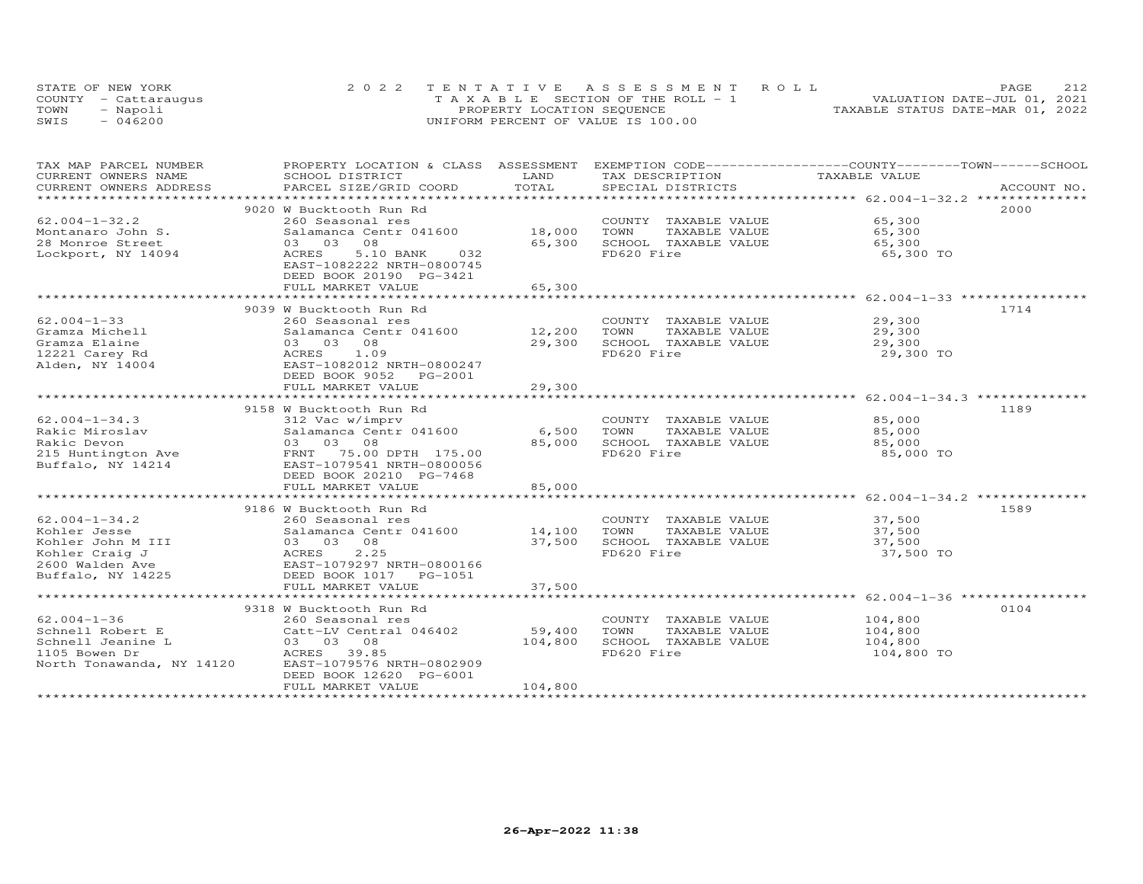|      | STATE OF NEW YORK    | 2022 TENTATIVE ASSESSMENT ROLL        | 212<br>PAGE                      |
|------|----------------------|---------------------------------------|----------------------------------|
|      | COUNTY - Cattaraugus | T A X A B L E SECTION OF THE ROLL - 1 | VALUATION DATE-JUL 01, 2021      |
| TOWN | - Napoli             | PROPERTY LOCATION SEQUENCE            | TAXABLE STATUS DATE-MAR 01, 2022 |
| SWIS | $-046200$            | UNIFORM PERCENT OF VALUE IS 100.00    |                                  |

| TAX MAP PARCEL NUMBER     |                                                                                                                                                                                                                                                                                                                                                                                                                          |         |                                                                               | PROPERTY LOCATION & CLASS ASSESSMENT EXEMPTION CODE----------------COUNTY-------TOWN-----SCHOOL |      |
|---------------------------|--------------------------------------------------------------------------------------------------------------------------------------------------------------------------------------------------------------------------------------------------------------------------------------------------------------------------------------------------------------------------------------------------------------------------|---------|-------------------------------------------------------------------------------|-------------------------------------------------------------------------------------------------|------|
| CURRENT OWNERS NAME       | SCHOOL DISTRICT                                                                                                                                                                                                                                                                                                                                                                                                          | LAND    | TAX DESCRIPTION TAXABLE VALUE                                                 |                                                                                                 |      |
| CURRENT OWNERS ADDRESS    | .PARCEL SIZE/GRID COORD TOTAL SPECIAL DISTRICTS 4CCOUNT NO ACCOUNT NO ARE PRESS AND RESERVE A SPECIAL DISTRICTS                                                                                                                                                                                                                                                                                                          |         |                                                                               |                                                                                                 |      |
| ************************* |                                                                                                                                                                                                                                                                                                                                                                                                                          |         |                                                                               |                                                                                                 |      |
|                           | 9020 W Bucktooth Run Rd                                                                                                                                                                                                                                                                                                                                                                                                  |         |                                                                               |                                                                                                 | 2000 |
| $62.004 - 1 - 32.2$       |                                                                                                                                                                                                                                                                                                                                                                                                                          |         | COUNTY TAXABLE VALUE 65,300                                                   |                                                                                                 |      |
| Montanaro John S.         |                                                                                                                                                                                                                                                                                                                                                                                                                          |         |                                                                               | 65,300                                                                                          |      |
| 28 Monroe Street          | 08<br>03 03                                                                                                                                                                                                                                                                                                                                                                                                              |         | 18,000 TOWN TAXABLE VALUE<br>65,300 SCHOOL TAXABLE VALUE                      | 65,300                                                                                          |      |
| Lockport, NY 14094        | ACRES<br>5.10 BANK<br>032                                                                                                                                                                                                                                                                                                                                                                                                |         | FD620 Fire                                                                    | 65,300 TO                                                                                       |      |
|                           | EAST-1082222 NRTH-0800745                                                                                                                                                                                                                                                                                                                                                                                                |         |                                                                               |                                                                                                 |      |
|                           | DEED BOOK 20190 PG-3421                                                                                                                                                                                                                                                                                                                                                                                                  |         |                                                                               |                                                                                                 |      |
|                           | FULL MARKET VALUE                                                                                                                                                                                                                                                                                                                                                                                                        | 65,300  |                                                                               |                                                                                                 |      |
|                           |                                                                                                                                                                                                                                                                                                                                                                                                                          |         |                                                                               |                                                                                                 |      |
|                           | 9039 W Bucktooth Run Rd                                                                                                                                                                                                                                                                                                                                                                                                  |         |                                                                               |                                                                                                 | 1714 |
| $62.004 - 1 - 33$         |                                                                                                                                                                                                                                                                                                                                                                                                                          |         | COUNTY TAXABLE VALUE 29,300                                                   |                                                                                                 |      |
| Gramza Michell            | 260 Seasonal res<br>Salamanca Centr 041600 12,200                                                                                                                                                                                                                                                                                                                                                                        |         | TOWN<br>TAXABLE VALUE                                                         | 29,300                                                                                          |      |
| Gramza Elaine             |                                                                                                                                                                                                                                                                                                                                                                                                                          | 29,300  | SCHOOL TAXABLE VALUE 29,300                                                   |                                                                                                 |      |
| 12221 Carey Rd            | Salamanca Centr 041600<br>03 03 08<br>ACRES 1.09<br>EAST-1082012 NRTH-0800247                                                                                                                                                                                                                                                                                                                                            |         | FD620 Fire                                                                    | 29,300 TO                                                                                       |      |
| Alden, NY 14004           |                                                                                                                                                                                                                                                                                                                                                                                                                          |         |                                                                               |                                                                                                 |      |
|                           | DEED BOOK 9052 PG-2001                                                                                                                                                                                                                                                                                                                                                                                                   |         |                                                                               |                                                                                                 |      |
|                           | FULL MARKET VALUE                                                                                                                                                                                                                                                                                                                                                                                                        | 29,300  |                                                                               |                                                                                                 |      |
|                           |                                                                                                                                                                                                                                                                                                                                                                                                                          |         |                                                                               |                                                                                                 |      |
|                           | 9158 W Bucktooth Run Rd                                                                                                                                                                                                                                                                                                                                                                                                  |         |                                                                               |                                                                                                 | 1189 |
|                           |                                                                                                                                                                                                                                                                                                                                                                                                                          |         |                                                                               |                                                                                                 |      |
|                           |                                                                                                                                                                                                                                                                                                                                                                                                                          |         | COUNTY TAXABLE VALUE $85,000$<br>TOWN TAXABLE VALUE $85,000$<br>TAXABLE VALUE | 85,000                                                                                          |      |
|                           |                                                                                                                                                                                                                                                                                                                                                                                                                          |         | SCHOOL TAXABLE VALUE                                                          |                                                                                                 |      |
|                           |                                                                                                                                                                                                                                                                                                                                                                                                                          |         | FD620 Fire                                                                    | 85,000<br>85,000 TO                                                                             |      |
|                           |                                                                                                                                                                                                                                                                                                                                                                                                                          |         |                                                                               |                                                                                                 |      |
|                           | DEED BOOK 20210 PG-7468                                                                                                                                                                                                                                                                                                                                                                                                  |         |                                                                               |                                                                                                 |      |
|                           |                                                                                                                                                                                                                                                                                                                                                                                                                          | 85,000  |                                                                               |                                                                                                 |      |
|                           | FULL MARKET VALUE                                                                                                                                                                                                                                                                                                                                                                                                        |         |                                                                               |                                                                                                 |      |
|                           |                                                                                                                                                                                                                                                                                                                                                                                                                          |         |                                                                               |                                                                                                 |      |
|                           | 9186 W Bucktooth Run Rd                                                                                                                                                                                                                                                                                                                                                                                                  |         |                                                                               |                                                                                                 | 1589 |
|                           |                                                                                                                                                                                                                                                                                                                                                                                                                          |         | COUNTY TAXABLE VALUE<br>TOWN      TAXABLE VALUE                               | 37,500<br>37,500                                                                                |      |
|                           |                                                                                                                                                                                                                                                                                                                                                                                                                          |         |                                                                               |                                                                                                 |      |
|                           |                                                                                                                                                                                                                                                                                                                                                                                                                          | 37,500  | SCHOOL TAXABLE VALUE                                                          | 37,500                                                                                          |      |
|                           | $\begin{tabular}{lllllllllllll} \multicolumn{3}{c}{62.004--1-34.2} & & & & & 260 \text{ Seasonal res} \\ \text{Kohler Jesse} & & & & & \text{Salamanca Centr 041600} \\ \text{Kohler Tonin M III} & & & & 03 & 08 & 08 \\ \text{Kohler Craig J} & & & & \text{ACRES} & 2.25 \\ \text{2600 Walden Ave} & & & \text{EAST-1079297 NRTH-0800166} \\ \text{Buffalo, NY 14225} & & & & \text{DEED BOKN 1017} & & \text{PG-105$ |         | FD620 Fire                                                                    | 37,500 TO                                                                                       |      |
|                           |                                                                                                                                                                                                                                                                                                                                                                                                                          |         |                                                                               |                                                                                                 |      |
|                           |                                                                                                                                                                                                                                                                                                                                                                                                                          |         |                                                                               |                                                                                                 |      |
|                           | FULL MARKET VALUE                                                                                                                                                                                                                                                                                                                                                                                                        | 37,500  |                                                                               |                                                                                                 |      |
|                           |                                                                                                                                                                                                                                                                                                                                                                                                                          |         |                                                                               |                                                                                                 |      |
|                           | 9318 W Bucktooth Run Rd                                                                                                                                                                                                                                                                                                                                                                                                  |         |                                                                               |                                                                                                 | 0104 |
| $62.004 - 1 - 36$         | 260 Seasonal res                                                                                                                                                                                                                                                                                                                                                                                                         |         | COUNTY TAXABLE VALUE                                                          | 104,800                                                                                         |      |
| Schnell Robert E          |                                                                                                                                                                                                                                                                                                                                                                                                                          |         | TOWN<br>TAXABLE VALUE                                                         | 104,800                                                                                         |      |
| Schnell Jeanine L         | Catt-LV central 046402 59,400<br>03 03 08 104,800<br>ACRES 39.85 10000000                                                                                                                                                                                                                                                                                                                                                |         | SCHOOL TAXABLE VALUE                                                          | 104,800                                                                                         |      |
| 1105 Bowen Dr             |                                                                                                                                                                                                                                                                                                                                                                                                                          |         | FD620 Fire                                                                    | 104,800 TO                                                                                      |      |
| North Tonawanda, NY 14120 | EAST-1079576 NRTH-0802909                                                                                                                                                                                                                                                                                                                                                                                                |         |                                                                               |                                                                                                 |      |
|                           | DEED BOOK 12620 PG-6001                                                                                                                                                                                                                                                                                                                                                                                                  |         |                                                                               |                                                                                                 |      |
|                           | FULL MARKET VALUE                                                                                                                                                                                                                                                                                                                                                                                                        | 104,800 |                                                                               |                                                                                                 |      |
|                           |                                                                                                                                                                                                                                                                                                                                                                                                                          |         |                                                                               |                                                                                                 |      |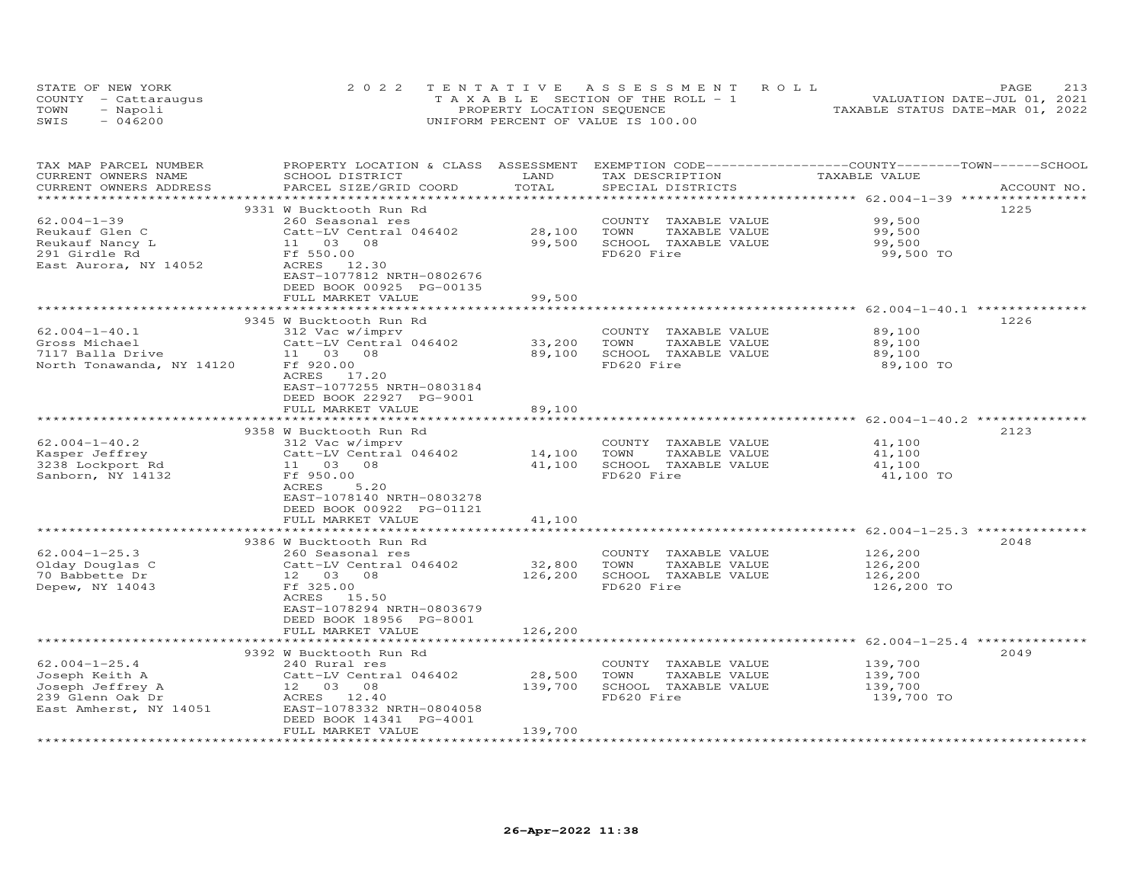|      | STATE OF NEW YORK    | 2022 TENTATIVE ASSESSMENT ROLL        | 213<br>PAGE                      |
|------|----------------------|---------------------------------------|----------------------------------|
|      | COUNTY - Cattaraugus | T A X A B L E SECTION OF THE ROLL - 1 | VALUATION DATE-JUL 01, 2021      |
| TOWN | - Napoli             | PROPERTY LOCATION SEQUENCE            | TAXABLE STATUS DATE-MAR 01, 2022 |
| SWIS | $-046200$            | UNIFORM PERCENT OF VALUE IS 100.00    |                                  |

| TAX MAP PARCEL NUMBER<br>CURRENT OWNERS NAME      | PROPERTY LOCATION & CLASS ASSESSMENT<br>SCHOOL DISTRICT | LAND             | EXEMPTION CODE-----------------COUNTY-------TOWN------SCHOOL<br>TAX DESCRIPTION | TAXABLE VALUE                                                  |             |
|---------------------------------------------------|---------------------------------------------------------|------------------|---------------------------------------------------------------------------------|----------------------------------------------------------------|-------------|
| CURRENT OWNERS ADDRESS<br>*********************** | PARCEL SIZE/GRID COORD<br>***************************** | TOTAL            | SPECIAL DISTRICTS                                                               |                                                                | ACCOUNT NO. |
|                                                   | 9331 W Bucktooth Run Rd                                 |                  |                                                                                 |                                                                | 1225        |
| $62.004 - 1 - 39$                                 | 260 Seasonal res                                        |                  | COUNTY TAXABLE VALUE                                                            | 99,500                                                         |             |
| Reukauf Glen C                                    | Catt-LV Central 046402                                  | 28,100           | TOWN<br>TAXABLE VALUE                                                           | 99,500                                                         |             |
| Reukauf Nancy L                                   | 11 03 08                                                | 99,500           | SCHOOL TAXABLE VALUE                                                            | 99,500                                                         |             |
| 291 Girdle Rd                                     | Ff 550.00                                               |                  | FD620 Fire                                                                      | 99,500 TO                                                      |             |
| East Aurora, NY 14052                             | 12.30<br>ACRES                                          |                  |                                                                                 |                                                                |             |
|                                                   | EAST-1077812 NRTH-0802676                               |                  |                                                                                 |                                                                |             |
|                                                   | DEED BOOK 00925 PG-00135                                |                  |                                                                                 |                                                                |             |
|                                                   | FULL MARKET VALUE                                       | 99,500           |                                                                                 |                                                                |             |
|                                                   |                                                         | *********        |                                                                                 | ********************** 62.004-1-40.1 *********                 |             |
|                                                   | 9345 W Bucktooth Run Rd                                 |                  |                                                                                 |                                                                | 1226        |
| $62.004 - 1 - 40.1$<br>Gross Michael              | 312 Vac w/imprv<br>Catt-LV Central 046402               |                  | COUNTY TAXABLE VALUE<br>TOWN<br>TAXABLE VALUE                                   | 89,100<br>89,100                                               |             |
| 7117 Balla Drive                                  | 11 03 08                                                | 33,200<br>89,100 | SCHOOL TAXABLE VALUE                                                            | 89,100                                                         |             |
| North Tonawanda, NY 14120                         | Ff 920.00                                               |                  | FD620 Fire                                                                      | 89,100 TO                                                      |             |
|                                                   | ACRES<br>17.20                                          |                  |                                                                                 |                                                                |             |
|                                                   | EAST-1077255 NRTH-0803184                               |                  |                                                                                 |                                                                |             |
|                                                   | DEED BOOK 22927 PG-9001                                 |                  |                                                                                 |                                                                |             |
|                                                   | FULL MARKET VALUE                                       | 89,100           |                                                                                 |                                                                |             |
|                                                   | **************************                              | *************    |                                                                                 |                                                                |             |
|                                                   | 9358 W Bucktooth Run Rd                                 |                  |                                                                                 |                                                                | 2123        |
| $62.004 - 1 - 40.2$                               | 312 Vac w/imprv                                         |                  | COUNTY TAXABLE VALUE                                                            | 41,100                                                         |             |
| Kasper Jeffrey                                    | Catt-LV Central 046402                                  | 14,100           | TOWN<br>TAXABLE VALUE                                                           | 41,100                                                         |             |
| 3238 Lockport Rd                                  | 11 03 08                                                | 41,100           | SCHOOL TAXABLE VALUE                                                            | 41,100                                                         |             |
| Sanborn, NY 14132                                 | Ff 950.00                                               |                  | FD620 Fire                                                                      | 41,100 TO                                                      |             |
|                                                   | ACRES<br>5.20                                           |                  |                                                                                 |                                                                |             |
|                                                   | EAST-1078140 NRTH-0803278                               |                  |                                                                                 |                                                                |             |
|                                                   | DEED BOOK 00922 PG-01121<br>FULL MARKET VALUE           | 41,100           |                                                                                 |                                                                |             |
|                                                   | ************************                                | *************    |                                                                                 | ******************************* 62.004-1-25.3 *********        |             |
|                                                   | 9386 W Bucktooth Run Rd                                 |                  |                                                                                 |                                                                | 2048        |
| $62.004 - 1 - 25.3$                               | 260 Seasonal res                                        |                  | COUNTY TAXABLE VALUE                                                            | 126,200                                                        |             |
| Olday Douglas C                                   | Catt-LV Central 046402                                  | 32,800           | TOWN<br>TAXABLE VALUE                                                           | 126,200                                                        |             |
| 70 Babbette Dr                                    | 12  03  08                                              | 126,200          | SCHOOL TAXABLE VALUE                                                            | 126,200                                                        |             |
| Depew, NY 14043                                   | Ff 325.00                                               |                  | FD620 Fire                                                                      | 126,200 TO                                                     |             |
|                                                   | ACRES 15.50                                             |                  |                                                                                 |                                                                |             |
|                                                   | EAST-1078294 NRTH-0803679                               |                  |                                                                                 |                                                                |             |
|                                                   | DEED BOOK 18956 PG-8001                                 |                  |                                                                                 |                                                                |             |
|                                                   | FULL MARKET VALUE<br>***********************            | 126,200          |                                                                                 |                                                                |             |
|                                                   |                                                         |                  |                                                                                 | ********************************* 62.004–1–25.4 ************** | 2049        |
| $62.004 - 1 - 25.4$                               | 9392 W Bucktooth Run Rd<br>240 Rural res                |                  | COUNTY TAXABLE VALUE                                                            | 139,700                                                        |             |
| Joseph Keith A                                    | Catt-LV Central 046402                                  | 28,500           | TOWN<br>TAXABLE VALUE                                                           | 139,700                                                        |             |
| Joseph Jeffrey A                                  | 12 03 08                                                | 139,700          | SCHOOL TAXABLE VALUE                                                            | 139,700                                                        |             |
| 239 Glenn Oak Dr                                  | ACRES 12.40                                             |                  | FD620 Fire                                                                      | 139,700 TO                                                     |             |
| East Amherst, NY 14051                            | EAST-1078332 NRTH-0804058                               |                  |                                                                                 |                                                                |             |
|                                                   | DEED BOOK 14341 PG-4001                                 |                  |                                                                                 |                                                                |             |
|                                                   | FULL MARKET VALUE                                       | 139,700          |                                                                                 |                                                                |             |
|                                                   |                                                         |                  |                                                                                 |                                                                |             |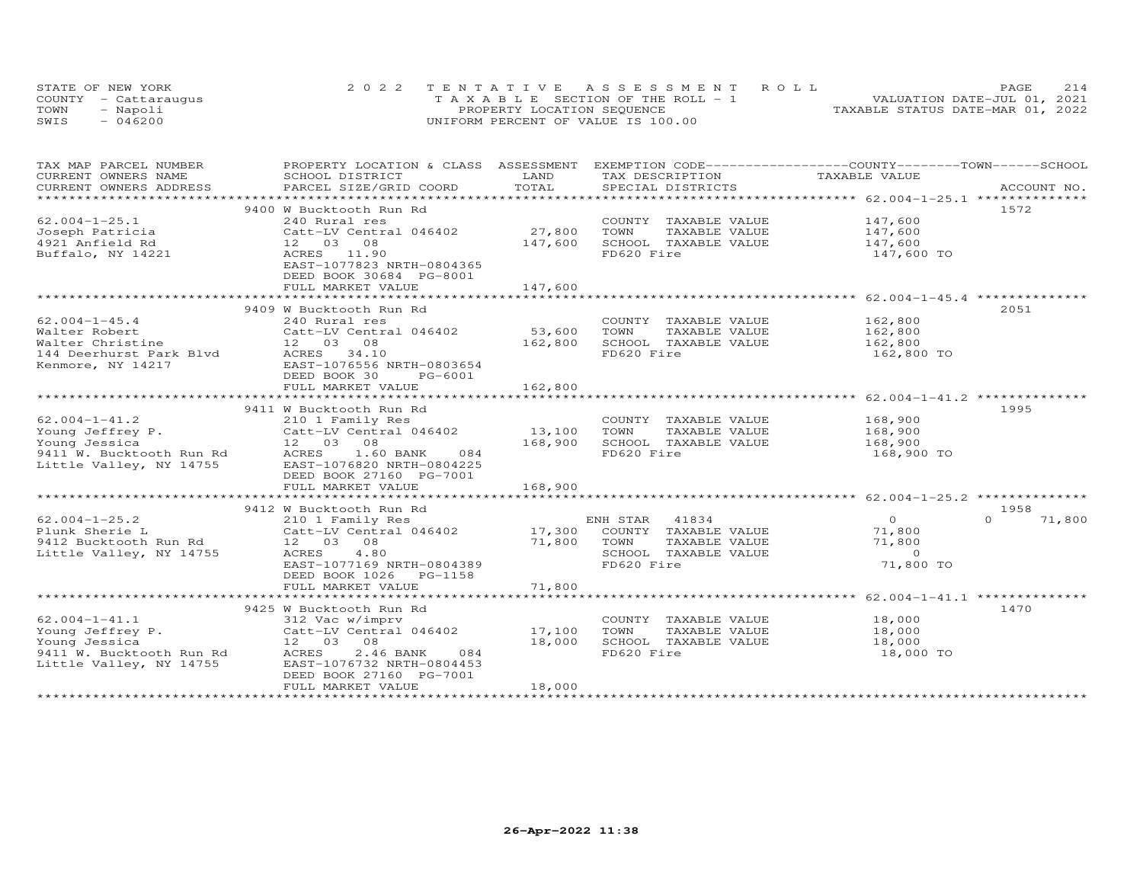|      | STATE OF NEW YORK    | 2022 TENTATIVE ASSESSMENT ROLL        | PAGE                             |
|------|----------------------|---------------------------------------|----------------------------------|
|      | COUNTY - Cattaraugus | T A X A B L E SECTION OF THE ROLL - 1 | VALUATION DATE-JUL 01, 2021      |
| TOWN | - Napoli             | PROPERTY LOCATION SEQUENCE            | TAXABLE STATUS DATE-MAR 01, 2022 |
| SWIS | $-046200$            | UNIFORM PERCENT OF VALUE IS 100.00    |                                  |

| TAX MAP PARCEL NUMBER    | PROPERTY LOCATION & CLASS ASSESSMENT EXEMPTION CODE----------------COUNTY--------TOWN-----SCHOOL |                   |                             |                          |             |
|--------------------------|--------------------------------------------------------------------------------------------------|-------------------|-----------------------------|--------------------------|-------------|
| CURRENT OWNERS NAME      | SCHOOL DISTRICT                                                                                  | LAND              | TAX DESCRIPTION             | TAXABLE VALUE            |             |
| CURRENT OWNERS ADDRESS   | PARCEL SIZE/GRID COORD                                                                           | TOTAL             | SPECIAL DISTRICTS           |                          | ACCOUNT NO. |
| ***********************  |                                                                                                  |                   |                             |                          |             |
|                          | 9400 W Bucktooth Run Rd                                                                          |                   |                             |                          | 1572        |
| $62.004 - 1 - 25.1$      | 240 Rural res                                                                                    |                   | COUNTY TAXABLE VALUE        | 147,600                  |             |
| Joseph Patricia          | Catt-LV Central 046402                                                                           | 27,800            | TOWN<br>TAXABLE VALUE       | 147.600                  |             |
| 4921 Anfield Rd          | 12 03 08                                                                                         | 147,600           | SCHOOL TAXABLE VALUE        | 147,600                  |             |
| Buffalo, NY 14221        | ACRES 11.90                                                                                      |                   | FD620 Fire                  | 147,600 TO               |             |
|                          | EAST-1077823 NRTH-0804365                                                                        |                   |                             |                          |             |
|                          | DEED BOOK 30684 PG-8001                                                                          |                   |                             |                          |             |
|                          | FULL MARKET VALUE                                                                                | 147,600           |                             |                          |             |
|                          |                                                                                                  | ***************** |                             |                          |             |
|                          | 9409 W Bucktooth Run Rd                                                                          |                   |                             |                          | 2051        |
| $62.004 - 1 - 45.4$      | 240 Rural res                                                                                    |                   | COUNTY TAXABLE VALUE        | 162,800                  |             |
| Walter Robert            | Catt-LV Central 046402                                                                           | 53,600            | TOWN<br>TAXABLE VALUE       | 162,800                  |             |
| Walter Christine         | 12 03 08                                                                                         | 162,800           | SCHOOL TAXABLE VALUE        | 162,800                  |             |
| 144 Deerhurst Park Blvd  | ACRES 34.10                                                                                      |                   | FD620 Fire                  | 162,800 TO               |             |
| Kenmore, NY 14217        | EAST-1076556 NRTH-0803654                                                                        |                   |                             |                          |             |
|                          | DEED BOOK 30<br>PG-6001                                                                          |                   |                             |                          |             |
|                          | FULL MARKET VALUE                                                                                | 162,800           |                             |                          |             |
|                          |                                                                                                  |                   |                             |                          |             |
|                          | 9411 W Bucktooth Run Rd                                                                          |                   |                             |                          | 1995        |
| $62.004 - 1 - 41.2$      | 210 1 Family Res                                                                                 |                   | COUNTY TAXABLE VALUE        | 168,900                  |             |
| Young Jeffrey P.         | Catt-LV Central 046402                                                                           | 13,100            | TOWN<br>TAXABLE VALUE       | 168,900                  |             |
| Young Jessica            | 12  03  08                                                                                       | 168,900           | SCHOOL TAXABLE VALUE        | 168,900                  |             |
| 9411 W. Bucktooth Run Rd | ACRES<br>1.60 BANK<br>084                                                                        |                   | FD620 Fire                  | 168,900 TO               |             |
| Little Valley, NY 14755  | EAST-1076820 NRTH-0804225                                                                        |                   |                             |                          |             |
|                          | DEED BOOK 27160 PG-7001                                                                          |                   |                             |                          |             |
|                          | FULL MARKET VALUE                                                                                | 168,900           |                             |                          |             |
|                          |                                                                                                  |                   |                             |                          |             |
|                          |                                                                                                  |                   |                             |                          | 1958        |
| $62.004 - 1 - 25.2$      | 9412 W Bucktooth Run Rd                                                                          |                   |                             | $\Omega$                 | $\cap$      |
|                          | 210 1 Family Res                                                                                 |                   | ENH STAR<br>41834           |                          | 71,800      |
| Plunk Sherie L           | Catt-LV Central 046402                                                                           |                   | 17,300 COUNTY TAXABLE VALUE | 71,800                   |             |
| 9412 Bucktooth Run Rd    | 12  03  08                                                                                       | 71,800            | TOWN<br>TAXABLE VALUE       | 71,800<br>$\overline{0}$ |             |
| Little Valley, NY 14755  | ACRES 4.80                                                                                       |                   | SCHOOL TAXABLE VALUE        |                          |             |
|                          | EAST-1077169 NRTH-0804389                                                                        |                   | FD620 Fire                  | 71,800 TO                |             |
|                          | DEED BOOK 1026 PG-1158                                                                           |                   |                             |                          |             |
|                          | FULL MARKET VALUE                                                                                | 71,800            |                             |                          |             |
|                          |                                                                                                  |                   |                             |                          |             |
|                          | 9425 W Bucktooth Run Rd                                                                          |                   |                             |                          | 1470        |
| $62.004 - 1 - 41.1$      | 312 Vac w/imprv                                                                                  |                   | COUNTY TAXABLE VALUE        | 18,000                   |             |
| Young Jeffrey P.         | Catt-LV Central 046402                                                                           | 17,100            | TAXABLE VALUE<br>TOWN       | 18,000                   |             |
| Young Jessica            | 12 03 08                                                                                         | 18,000            | SCHOOL TAXABLE VALUE        | 18,000                   |             |
| 9411 W. Bucktooth Run Rd | 2.46 BANK<br>ACRES<br>084                                                                        |                   | FD620 Fire                  | 18,000 TO                |             |
| Little Valley, NY 14755  | EAST-1076732 NRTH-0804453                                                                        |                   |                             |                          |             |
|                          | DEED BOOK 27160 PG-7001                                                                          |                   |                             |                          |             |
|                          | FULL MARKET VALUE                                                                                | 18,000            |                             |                          |             |
|                          |                                                                                                  |                   |                             |                          |             |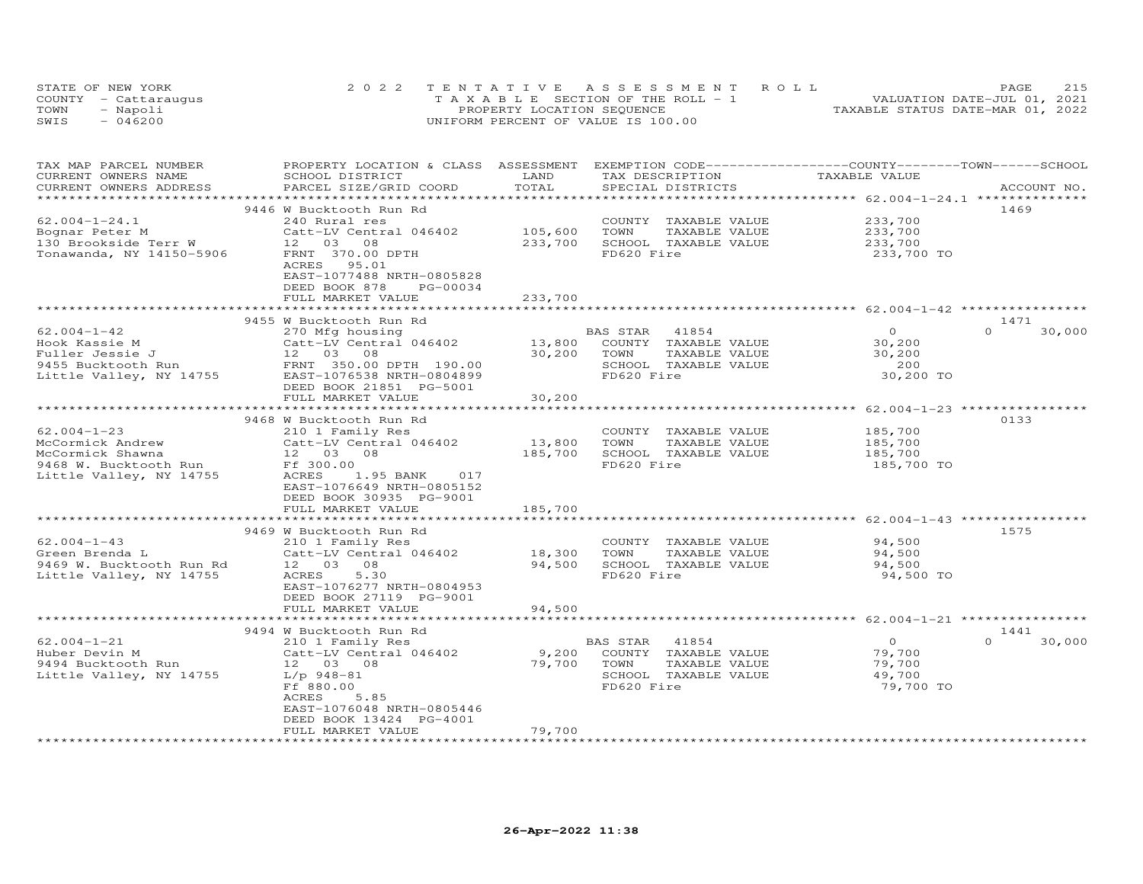|      | STATE OF NEW YORK    | 2022 TENTATIVE ASSESSMENT ROLL        | 215<br>PAGE                      |
|------|----------------------|---------------------------------------|----------------------------------|
|      | COUNTY - Cattarauqus | T A X A B L E SECTION OF THE ROLL - 1 | VALUATION DATE-JUL 01, 2021      |
| TOWN | - Napoli             | PROPERTY LOCATION SEQUENCE            | TAXABLE STATUS DATE-MAR 01, 2022 |
| SWIS | $-046200$            | UNIFORM PERCENT OF VALUE IS 100.00    |                                  |

| TAX MAP PARCEL NUMBER<br>CURRENT OWNERS NAME      | PROPERTY LOCATION & CLASS ASSESSMENT EXEMPTION CODE-----------------COUNTY-------TOWN------SCHOOL<br>SCHOOL DISTRICT | LAND                              | TAX DESCRIPTION       | TAXABLE VALUE                                                  |                    |
|---------------------------------------------------|----------------------------------------------------------------------------------------------------------------------|-----------------------------------|-----------------------|----------------------------------------------------------------|--------------------|
| CURRENT OWNERS ADDRESS<br>*********************** | PARCEL SIZE/GRID COORD<br>****************************                                                               | TOTAL<br>************************ | SPECIAL DISTRICTS     | *********************** 62.004-1-24.1 **************           | ACCOUNT NO.        |
|                                                   | 9446 W Bucktooth Run Rd                                                                                              |                                   |                       |                                                                | 1469               |
| $62.004 - 1 - 24.1$                               | 240 Rural res                                                                                                        |                                   | COUNTY TAXABLE VALUE  | 233,700                                                        |                    |
| Bognar Peter M                                    | Catt-LV Central 046402                                                                                               | 105,600                           | TAXABLE VALUE<br>TOWN | 233,700                                                        |                    |
| 130 Brookside Terr W                              | 12 03<br>08                                                                                                          | 233,700                           | SCHOOL TAXABLE VALUE  | 233,700                                                        |                    |
| Tonawanda, NY 14150-5906                          | FRNT 370.00 DPTH                                                                                                     |                                   | FD620 Fire            | 233,700 TO                                                     |                    |
|                                                   | 95.01<br>ACRES                                                                                                       |                                   |                       |                                                                |                    |
|                                                   | EAST-1077488 NRTH-0805828                                                                                            |                                   |                       |                                                                |                    |
|                                                   | DEED BOOK 878<br>PG-00034                                                                                            |                                   |                       |                                                                |                    |
|                                                   | FULL MARKET VALUE                                                                                                    | 233,700                           |                       |                                                                |                    |
|                                                   | ***********************                                                                                              | ***********                       |                       |                                                                |                    |
|                                                   | 9455 W Bucktooth Run Rd                                                                                              |                                   |                       |                                                                | 1471               |
| $62.004 - 1 - 42$                                 | 270 Mfg housing                                                                                                      |                                   | BAS STAR<br>41854     | $\Omega$                                                       | $\Omega$<br>30,000 |
| Hook Kassie M                                     | Catt-LV Central 046402                                                                                               | 13,800                            | COUNTY TAXABLE VALUE  | 30,200                                                         |                    |
| Fuller Jessie J                                   | 12  03  08                                                                                                           | 30,200                            | TAXABLE VALUE<br>TOWN | 30,200                                                         |                    |
| 9455 Bucktooth Run                                | FRNT 350.00 DPTH 190.00                                                                                              |                                   | SCHOOL TAXABLE VALUE  | 200                                                            |                    |
| Little Valley, NY 14755                           | EAST-1076538 NRTH-0804899                                                                                            |                                   | FD620 Fire            | 30,200 TO                                                      |                    |
|                                                   | DEED BOOK 21851 PG-5001                                                                                              |                                   |                       |                                                                |                    |
|                                                   | FULL MARKET VALUE                                                                                                    | 30,200                            |                       |                                                                |                    |
|                                                   |                                                                                                                      |                                   |                       |                                                                |                    |
|                                                   | 9468 W Bucktooth Run Rd                                                                                              |                                   |                       |                                                                | 0133               |
| $62.004 - 1 - 23$                                 | 210 1 Family Res                                                                                                     |                                   | COUNTY TAXABLE VALUE  | 185,700                                                        |                    |
| McCormick Andrew                                  | Catt-LV Central 046402                                                                                               | 13,800                            | TOWN<br>TAXABLE VALUE | 185,700                                                        |                    |
| McCormick Shawna                                  | 12  03  08                                                                                                           | 185,700                           | SCHOOL TAXABLE VALUE  | 185,700                                                        |                    |
| 9468 W. Bucktooth Run                             | Ff 300.00                                                                                                            |                                   | FD620 Fire            | 185,700 TO                                                     |                    |
| Little Valley, NY 14755                           | ACRES<br>1.95 BANK<br>017                                                                                            |                                   |                       |                                                                |                    |
|                                                   | EAST-1076649 NRTH-0805152                                                                                            |                                   |                       |                                                                |                    |
|                                                   | DEED BOOK 30935 PG-9001<br>FULL MARKET VALUE                                                                         | 185,700                           |                       |                                                                |                    |
|                                                   |                                                                                                                      |                                   |                       | **************************** 62.004-1-43 *****                 |                    |
|                                                   | 9469 W Bucktooth Run Rd                                                                                              |                                   |                       |                                                                | 1575               |
| $62.004 - 1 - 43$                                 | 210 1 Family Res                                                                                                     |                                   | COUNTY TAXABLE VALUE  | 94,500                                                         |                    |
| Green Brenda L                                    | Catt-LV Central 046402                                                                                               | 18,300                            | TOWN<br>TAXABLE VALUE | 94,500                                                         |                    |
| 9469 W. Bucktooth Run Rd                          | 12 03 08                                                                                                             | 94,500                            | SCHOOL TAXABLE VALUE  | 94,500                                                         |                    |
| Little Valley, NY 14755                           | ACRES<br>5.30                                                                                                        |                                   | FD620 Fire            | 94,500 TO                                                      |                    |
|                                                   | EAST-1076277 NRTH-0804953                                                                                            |                                   |                       |                                                                |                    |
|                                                   | DEED BOOK 27119 PG-9001                                                                                              |                                   |                       |                                                                |                    |
|                                                   | FULL MARKET VALUE                                                                                                    | 94,500                            |                       |                                                                |                    |
|                                                   | **************************                                                                                           | **************                    |                       | ******************************** 62.004-1-21 ***************** |                    |
|                                                   | 9494 W Bucktooth Run Rd                                                                                              |                                   |                       |                                                                | 1441               |
| $62.004 - 1 - 21$                                 | 210 1 Family Res                                                                                                     |                                   | BAS STAR<br>41854     | $\overline{O}$                                                 | $\Omega$<br>30,000 |
| Huber Devin M                                     | Catt-LV Central 046402                                                                                               | 9,200                             | COUNTY TAXABLE VALUE  | 79,700                                                         |                    |
| 9494 Bucktooth Run                                | 12  03  08                                                                                                           | 79,700                            | TOWN<br>TAXABLE VALUE | 79,700                                                         |                    |
| Little Valley, NY 14755                           | L/p 948-81                                                                                                           |                                   | SCHOOL TAXABLE VALUE  | 49,700                                                         |                    |
|                                                   | Ff 880.00                                                                                                            |                                   | FD620 Fire            | 79,700 TO                                                      |                    |
|                                                   | ACRES<br>5.85                                                                                                        |                                   |                       |                                                                |                    |
|                                                   | EAST-1076048 NRTH-0805446                                                                                            |                                   |                       |                                                                |                    |
|                                                   | DEED BOOK 13424 PG-4001                                                                                              |                                   |                       |                                                                |                    |
|                                                   | FULL MARKET VALUE                                                                                                    | 79,700                            |                       |                                                                |                    |
|                                                   |                                                                                                                      |                                   |                       |                                                                |                    |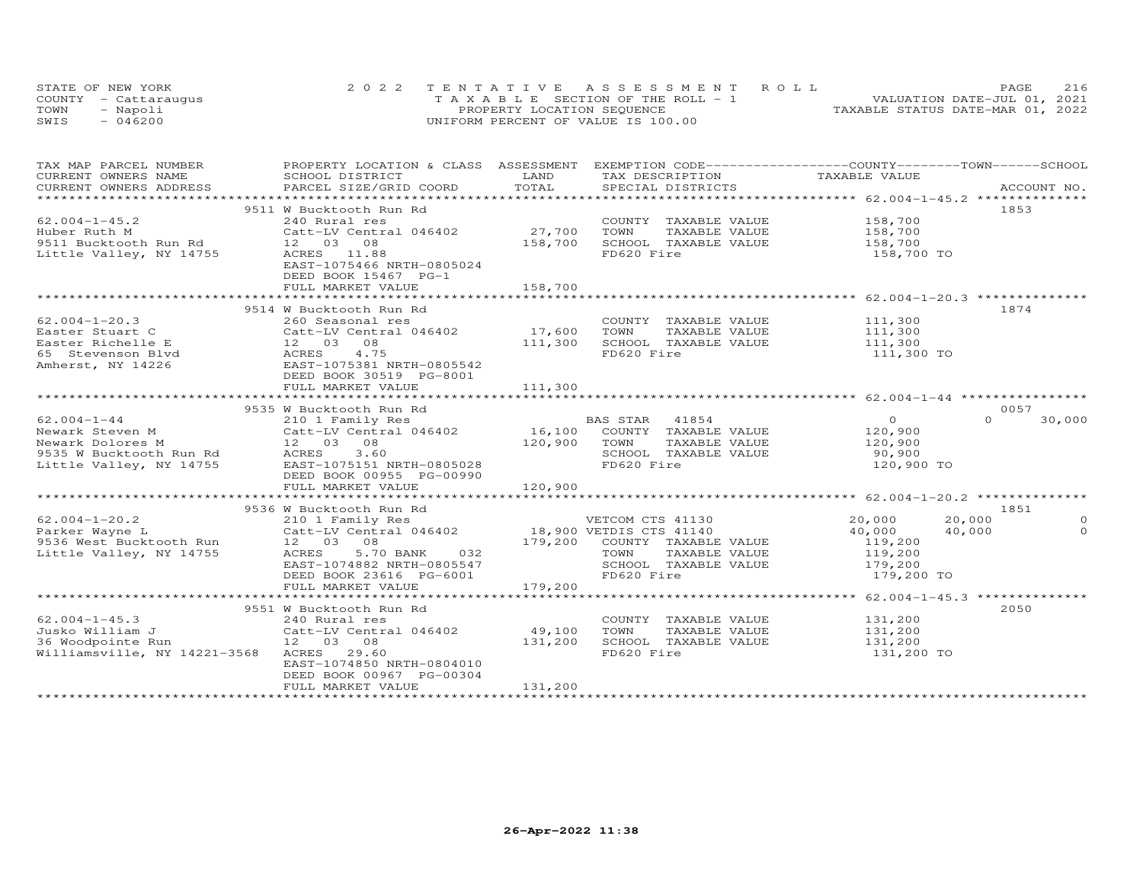|      | STATE OF NEW YORK    | 2022 TENTATIVE ASSESSMENT ROLL        | 216<br>PAGE                      |
|------|----------------------|---------------------------------------|----------------------------------|
|      | COUNTY - Cattaraugus | T A X A B L E SECTION OF THE ROLL - 1 | VALUATION DATE-JUL 01, 2021      |
| TOWN | - Napoli             | PROPERTY LOCATION SEQUENCE            | TAXABLE STATUS DATE-MAR 01, 2022 |
| SWIS | $-046200$            | UNIFORM PERCENT OF VALUE IS 100.00    |                                  |

| TAX MAP PARCEL NUMBER                                                                                                                                                                                                          | PROPERTY LOCATION & CLASS ASSESSMENT EXEMPTION CODE----------------COUNTY-------TOWN-----SCHOOL |              |                              |                    |                    |
|--------------------------------------------------------------------------------------------------------------------------------------------------------------------------------------------------------------------------------|-------------------------------------------------------------------------------------------------|--------------|------------------------------|--------------------|--------------------|
| CURRENT OWNERS NAME                                                                                                                                                                                                            | SCHOOL DISTRICT                                                                                 | LAND         | TAX DESCRIPTION              | TAXABLE VALUE      |                    |
| .CURRENT OWNERS ADDRESS PARCEL SIZE/GRID COORD TOTAL SPECIAL DISTRICTS ACCOUNT NO ACCOUNT NO ARCOUNT NO ARE THE RAND RESOLUT AS THE SERVER ASSESS THAT A SERVER A SERVER AND THE SERVER ASSESS THAT A THE SERVER OF THE SERVER |                                                                                                 |              |                              |                    | ACCOUNT NO.        |
|                                                                                                                                                                                                                                |                                                                                                 |              |                              |                    |                    |
|                                                                                                                                                                                                                                | 9511 W Bucktooth Run Rd                                                                         |              |                              |                    | 1853               |
| $62.004 - 1 - 45.2$                                                                                                                                                                                                            | 240 Rural res                                                                                   |              | COUNTY TAXABLE VALUE         | 158,700            |                    |
| Huber Ruth M                                                                                                                                                                                                                   | Catt-LV Central 046402                                                                          | 27,700       | TOWN<br>TAXABLE VALUE        | 158,700            |                    |
|                                                                                                                                                                                                                                |                                                                                                 | 158,700      | SCHOOL TAXABLE VALUE         | 158,700            |                    |
| Little Valley, NY 14755 ACRES 11.88                                                                                                                                                                                            |                                                                                                 |              | FD620 Fire                   | 158,700 TO         |                    |
|                                                                                                                                                                                                                                | EAST-1075466 NRTH-0805024                                                                       |              |                              |                    |                    |
|                                                                                                                                                                                                                                | DEED BOOK 15467 PG-1                                                                            |              |                              |                    |                    |
|                                                                                                                                                                                                                                | FULL MARKET VALUE                                                                               | 158,700      |                              |                    |                    |
|                                                                                                                                                                                                                                |                                                                                                 |              |                              |                    |                    |
|                                                                                                                                                                                                                                | 9514 W Bucktooth Run Rd                                                                         |              |                              |                    | 1874               |
| $62.004 - 1 - 20.3$                                                                                                                                                                                                            |                                                                                                 |              | COUNTY TAXABLE VALUE         |                    |                    |
| Easter Stuart C                                                                                                                                                                                                                | 260 Seasonal res<br>Catt-LV Central 046402             17,600                                   |              | TOWN<br>TAXABLE VALUE        | 111,300<br>111,300 |                    |
| Easter Richelle E                                                                                                                                                                                                              | 12 03 08<br>d ACRES 4.75                                                                        | 111,300      | SCHOOL TAXABLE VALUE         | 111,300            |                    |
|                                                                                                                                                                                                                                |                                                                                                 |              | FD620 Fire                   | 111,300 TO         |                    |
| Easter Alexandre -<br>65 Stevenson Blvd<br>19226 - EAST-1075381 NRTH-0805542<br>-- 1997 - 1998 - 1998                                                                                                                          |                                                                                                 |              |                              |                    |                    |
|                                                                                                                                                                                                                                | DEED BOOK 30519 PG-8001                                                                         |              |                              |                    |                    |
|                                                                                                                                                                                                                                | FULL MARKET VALUE                                                                               | 111,300      |                              |                    |                    |
|                                                                                                                                                                                                                                |                                                                                                 |              |                              |                    |                    |
|                                                                                                                                                                                                                                | 9535 W Bucktooth Run Rd                                                                         |              |                              |                    | 0057               |
| $62.004 - 1 - 44$                                                                                                                                                                                                              | 210 1 Family Res                                                                                |              |                              | $\Omega$           | $\Omega$<br>30,000 |
| 62.004-1-44 210 1 Family Res BAS STAR 41854<br>Newark Steven M Catt-LV Central 046402 16,100 COUNTY TAXABLE VALUE                                                                                                              |                                                                                                 |              |                              | 120,900            |                    |
|                                                                                                                                                                                                                                |                                                                                                 | 120,900 TOWN | TAXABLE VALUE                | 120,900            |                    |
| Newark Dolores M 12 03 08<br>9535 W Bucktooth Run Rd ACRES 3.60                                                                                                                                                                |                                                                                                 |              | SCHOOL TAXABLE VALUE         | 90,900             |                    |
| Little Valley, NY 14755                                                                                                                                                                                                        | EAST-1075151 NRTH-0805028                                                                       |              | FD620 Fire                   | 120,900 TO         |                    |
|                                                                                                                                                                                                                                | DEED BOOK 00955 PG-00990                                                                        |              |                              |                    |                    |
|                                                                                                                                                                                                                                | FULL MARKET VALUE                                                                               | 120,900      |                              |                    |                    |
|                                                                                                                                                                                                                                |                                                                                                 |              |                              |                    |                    |
|                                                                                                                                                                                                                                | 9536 W Bucktooth Run Rd                                                                         |              |                              |                    | 1851               |
| $62.004 - 1 - 20.2$                                                                                                                                                                                                            |                                                                                                 |              |                              | 20,000<br>20,000   | $\circ$            |
| Parker Wayne L                                                                                                                                                                                                                 | 210 1 Family Res<br>Catt-LV Central 046402 18,900 VETCUM CIS 41130<br>18,900 VETCUM CIS 41140   |              |                              | 40,000<br>40,000   | $\circ$            |
|                                                                                                                                                                                                                                |                                                                                                 |              | 179,200 COUNTY TAXABLE VALUE |                    |                    |
| 9536 West Bucktooth Run 12 03 08<br>Little Valley, NY 14755 ACRES 5.7<br>Little Valley, NY 14755                                                                                                                               | 5.70 BANK<br>032                                                                                |              | TOWN<br>TAXABLE VALUE        | 119,200<br>119,200 |                    |
|                                                                                                                                                                                                                                | EAST-1074882 NRTH-0805547                                                                       |              | SCHOOL TAXABLE VALUE         | 179,200            |                    |
|                                                                                                                                                                                                                                | DEED BOOK 23616 PG-6001                                                                         |              | FD620 Fire                   | 179,200 TO         |                    |
|                                                                                                                                                                                                                                | FULL MARKET VALUE                                                                               | 179,200      |                              |                    |                    |
|                                                                                                                                                                                                                                |                                                                                                 |              |                              |                    |                    |
|                                                                                                                                                                                                                                | 9551 W Bucktooth Run Rd                                                                         |              |                              |                    | 2050               |
| $62.004 - 1 - 45.3$                                                                                                                                                                                                            | 240 Rural res<br>Catt-LV Central 046402<br>12 03 08                                             |              | COUNTY TAXABLE VALUE         | 131,200            |                    |
| Jusko William J                                                                                                                                                                                                                |                                                                                                 | 49,100       | TOWN<br>TAXABLE VALUE        | 131,200            |                    |
| 36 Woodpointe Run                                                                                                                                                                                                              | 12 03 08                                                                                        | 131,200      | SCHOOL TAXABLE VALUE         | 131,200            |                    |
| Williamsville, NY 14221-3568 ACRES 29.60                                                                                                                                                                                       |                                                                                                 |              | FD620 Fire                   | 131,200 TO         |                    |
|                                                                                                                                                                                                                                | EAST-1074850 NRTH-0804010                                                                       |              |                              |                    |                    |
|                                                                                                                                                                                                                                | DEED BOOK 00967 PG-00304                                                                        |              |                              |                    |                    |
|                                                                                                                                                                                                                                | FULL MARKET VALUE                                                                               | 131,200      |                              |                    |                    |
|                                                                                                                                                                                                                                |                                                                                                 |              |                              |                    |                    |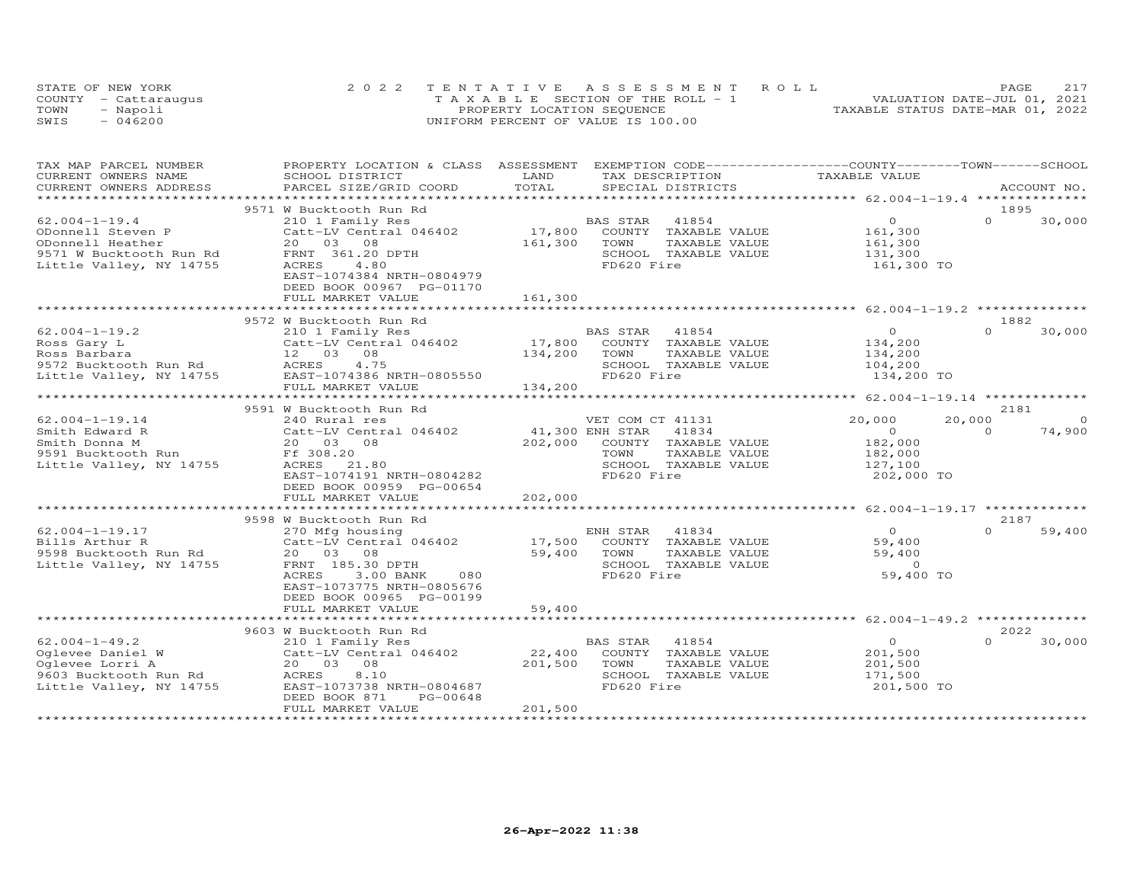|      | STATE OF NEW YORK    | 2022 TENTATIVE ASSESSMENT ROLL        | PAGE.                            |
|------|----------------------|---------------------------------------|----------------------------------|
|      | COUNTY - Cattaraugus | T A X A B L E SECTION OF THE ROLL - 1 | VALUATION DATE-JUL 01, 2021      |
| TOWN | - Napoli             | PROPERTY LOCATION SEQUENCE            | TAXABLE STATUS DATE-MAR 01, 2022 |
| SWIS | $-046200$            | UNIFORM PERCENT OF VALUE IS 100.00    |                                  |

| TAX MAP PARCEL NUMBER<br>CURRENT OWNERS NAME                                                                                               | PROPERTY LOCATION & CLASS ASSESSMENT<br>SCHOOL DISTRICT                                                                                                                     | LAND                                  | EXEMPTION CODE-----------------COUNTY-------TOWN------SCHOOL<br>TAX DESCRIPTION                              | TAXABLE VALUE                                                  |                            |
|--------------------------------------------------------------------------------------------------------------------------------------------|-----------------------------------------------------------------------------------------------------------------------------------------------------------------------------|---------------------------------------|--------------------------------------------------------------------------------------------------------------|----------------------------------------------------------------|----------------------------|
| CURRENT OWNERS ADDRESS<br>**********************                                                                                           | PARCEL SIZE/GRID COORD                                                                                                                                                      | TOTAL                                 | SPECIAL DISTRICTS                                                                                            |                                                                | ACCOUNT NO.                |
|                                                                                                                                            | 9571 W Bucktooth Run Rd                                                                                                                                                     |                                       |                                                                                                              |                                                                | 1895                       |
| $62.004 - 1 - 19.4$<br>ODonnell Steven P<br>ODonnell Heather<br>9571 W Bucktooth Run Rd<br>Little Valley, NY 14755                         | 210 1 Family Res<br>Catt-LV Central 046402<br>20  03  08<br>FRNT 361.20 DPTH<br>ACRES<br>4.80<br>EAST-1074384 NRTH-0804979<br>DEED BOOK 00967 PG-01170<br>FULL MARKET VALUE | 161,300<br>161,300                    | BAS STAR 41854<br>17,800 COUNTY TAXABLE VALUE<br>TOWN<br>TAXABLE VALUE<br>SCHOOL TAXABLE VALUE<br>FD620 Fire | $\overline{O}$<br>161,300<br>161,300<br>131,300<br>161,300 TO  | $\Omega$<br>30,000         |
|                                                                                                                                            |                                                                                                                                                                             |                                       |                                                                                                              |                                                                |                            |
| $62.004 - 1 - 19.2$<br>Ross Gary L<br>Ross Barbara<br>Ross Baibaia<br>9572 Bucktooth Run Rd               ACRES<br>Little Valley, NY 14755 | 9572 W Bucktooth Run Rd<br>210 1 Family Res<br>Catt-LV Central 046402<br>12  03  08<br>4.75<br>EAST-1074386 NRTH-0805550<br>FULL MARKET VALUE                               | 17,800<br>134,200<br>134,200          | BAS STAR<br>41854<br>COUNTY TAXABLE VALUE<br>TAXABLE VALUE<br>TOWN<br>SCHOOL TAXABLE VALUE<br>FD620 Fire     | $\overline{O}$<br>134,200<br>134,200<br>104,200<br>134,200 TO  | 1882<br>$\Omega$<br>30,000 |
|                                                                                                                                            | 9591 W Bucktooth Run Rd                                                                                                                                                     |                                       |                                                                                                              |                                                                | 2181                       |
| $62.004 - 1 - 19.14$                                                                                                                       | 240 Rural res                                                                                                                                                               |                                       | VET COM CT 41131                                                                                             | 20,000                                                         | 20,000<br>$\circ$          |
| Smith Edward R<br>Smith Donna M<br>9591 Bucktooth Run<br>Little Valley, NY 14755                                                           | Catt-LV Central 046402<br>20  03  08<br>Ff 308.20<br>21.80<br>ACRES<br>EAST-1074191 NRTH-0804282<br>DEED BOOK 00959 PG-00654<br>FULL MARKET VALUE                           | 41,300 ENH STAR<br>202,000<br>202,000 | 41834<br>COUNTY TAXABLE VALUE<br>TOWN<br>TAXABLE VALUE<br>SCHOOL TAXABLE VALUE<br>FD620 Fire                 | $\sim$ 0 $\sim$<br>182,000<br>182,000<br>127,100<br>202,000 TO | 74,900<br>$\Omega$         |
|                                                                                                                                            |                                                                                                                                                                             |                                       |                                                                                                              |                                                                |                            |
| $62.004 - 1 - 19.17$                                                                                                                       | 9598 W Bucktooth Run Rd<br>270 Mfg housing                                                                                                                                  |                                       | ENH STAR<br>41834                                                                                            | $\overline{0}$                                                 | 2187<br>$\Omega$<br>59,400 |
| Bills Arthur R<br>9598 Bucktooth Run Rd<br>Little Valley, NY 14755                                                                         | Catt-LV Central 046402<br>20 03 08<br>FRNT 185.30 DPTH<br>3.00 BANK<br>080<br>ACRES<br>EAST-1073775 NRTH-0805676<br>DEED BOOK 00965 PG-00199<br>FULL MARKET VALUE           | 59,400<br>59,400                      | 17,500 COUNTY TAXABLE VALUE<br>TOWN<br>TAXABLE VALUE<br>SCHOOL TAXABLE VALUE<br>FD620 Fire                   | 59,400<br>59,400<br>$\overline{0}$<br>59,400 TO                |                            |
|                                                                                                                                            |                                                                                                                                                                             |                                       |                                                                                                              |                                                                |                            |
| $62.004 - 1 - 49.2$<br>Oglevee Daniel W<br>Oglevee Lorri A<br>9603 Bucktooth Run Rd<br>Little Valley, NY 14755                             | 9603 W Bucktooth Run Rd<br>210 1 Family Res<br>Catt-LV Central 046402<br>20  03  08<br>8.10<br>ACRES<br>EAST-1073738 NRTH-0804687<br>DEED BOOK 871<br>PG-00648              | 22,400<br>201,500                     | BAS STAR<br>41854<br>COUNTY TAXABLE VALUE<br>TOWN<br>TAXABLE VALUE<br>SCHOOL TAXABLE VALUE<br>FD620 Fire     | $\overline{0}$<br>201,500<br>201,500<br>171,500<br>201,500 TO  | 2022<br>$\Omega$<br>30,000 |
|                                                                                                                                            | FULL MARKET VALUE                                                                                                                                                           | 201,500                               |                                                                                                              |                                                                |                            |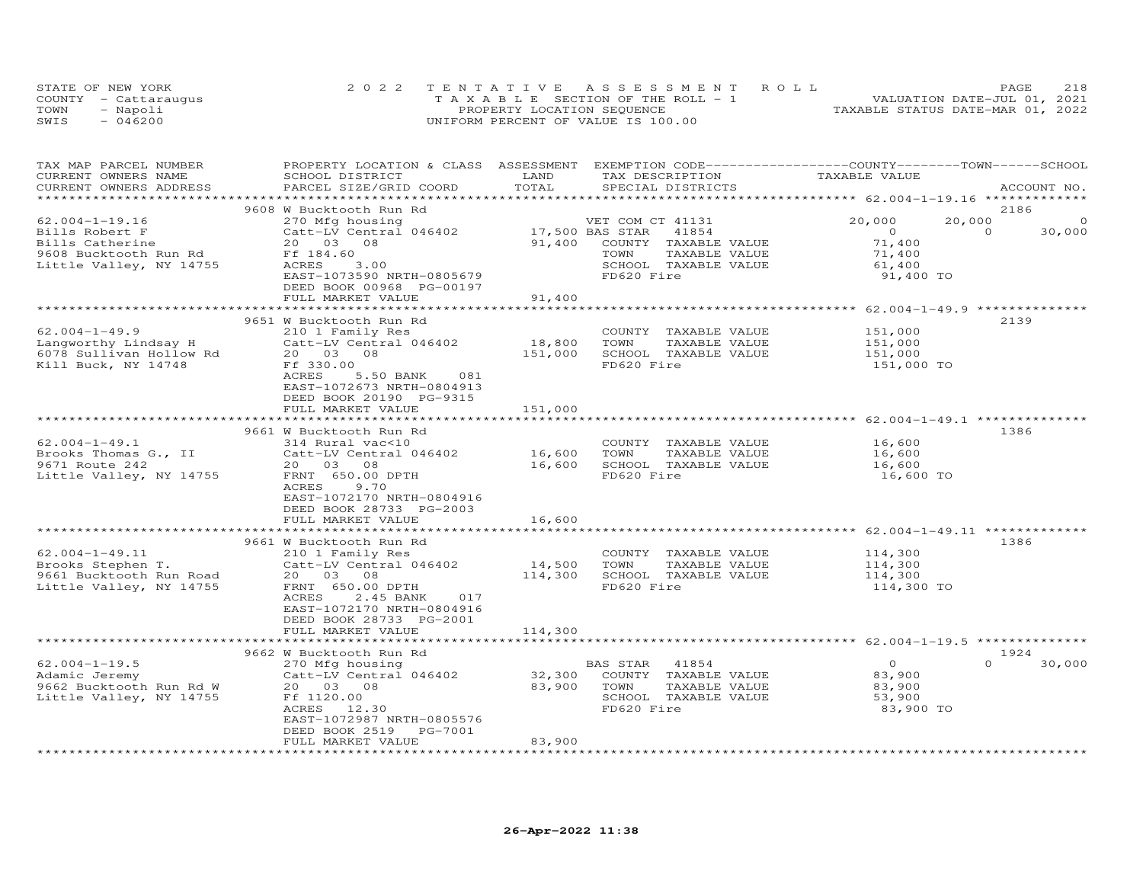|      | STATE OF NEW YORK    | 2022 TENTATIVE ASSESSMENT ROLL        | 218<br>PAGE                      |
|------|----------------------|---------------------------------------|----------------------------------|
|      | COUNTY - Cattaraugus | T A X A B L E SECTION OF THE ROLL - 1 | VALUATION DATE-JUL 01, 2021      |
| TOWN | - Napoli             | PROPERTY LOCATION SEQUENCE            | TAXABLE STATUS DATE-MAR 01, 2022 |
| SWIS | - 046200             | UNIFORM PERCENT OF VALUE IS 100.00    |                                  |

| TAX MAP PARCEL NUMBER<br>CURRENT OWNERS NAME | PROPERTY LOCATION & CLASS ASSESSMENT EXEMPTION CODE----------------COUNTY-------TOWN-----SCHOOL<br>SCHOOL DISTRICT | LAND            | TAX DESCRIPTION                                      | TAXABLE VALUE                      |                                     |
|----------------------------------------------|--------------------------------------------------------------------------------------------------------------------|-----------------|------------------------------------------------------|------------------------------------|-------------------------------------|
| CURRENT OWNERS ADDRESS                       | PARCEL SIZE/GRID COORD                                                                                             | TOTAL           | SPECIAL DISTRICTS                                    |                                    | ACCOUNT NO.                         |
|                                              | 9608 W Bucktooth Run Rd                                                                                            |                 |                                                      |                                    | 2186                                |
| $62.004 - 1 - 19.16$<br>Bills Robert F       | 270 Mfg housing<br>Catt-LV Central 046402                                                                          | 17,500 BAS STAR | VET COM CT 41131<br>41854                            | 20,000<br>20,000<br>$\overline{0}$ | $\circ$<br>$\overline{0}$<br>30,000 |
| Bills Catherine<br>9608 Bucktooth Run Rd     | 20  03  08<br>Ff 184.60                                                                                            |                 | 91,400 COUNTY TAXABLE VALUE<br>TOWN<br>TAXABLE VALUE | 71,400<br>71,400                   |                                     |
| Little Valley, NY 14755                      | ACRES<br>3.00<br>EAST-1073590 NRTH-0805679<br>DEED BOOK 00968 PG-00197                                             |                 | SCHOOL TAXABLE VALUE<br>FD620 Fire                   | 61,400<br>91,400 TO                |                                     |
|                                              | FULL MARKET VALUE                                                                                                  | 91,400          |                                                      |                                    |                                     |
|                                              |                                                                                                                    |                 |                                                      |                                    |                                     |
| $62.004 - 1 - 49.9$<br>Langworthy Lindsay H  | 9651 W Bucktooth Run Rd<br>210 1 Family Res<br>Catt-LV Central 046402                                              | 18,800          | COUNTY TAXABLE VALUE<br>TOWN<br>TAXABLE VALUE        | 151,000<br>151,000                 | 2139                                |
| 6078 Sullivan Hollow Rd                      | 20  03  08                                                                                                         | 151,000         | SCHOOL TAXABLE VALUE                                 | 151,000                            |                                     |
| Kill Buck, NY 14748                          | Ff 330.00<br>ACRES<br>5.50 BANK<br>081<br>EAST-1072673 NRTH-0804913<br>DEED BOOK 20190 PG-9315                     |                 | FD620 Fire                                           | 151,000 TO                         |                                     |
|                                              | FULL MARKET VALUE                                                                                                  | 151,000         |                                                      |                                    |                                     |
|                                              |                                                                                                                    |                 |                                                      |                                    |                                     |
|                                              | 9661 W Bucktooth Run Rd                                                                                            |                 |                                                      |                                    | 1386                                |
| $62.004 - 1 - 49.1$                          | 314 Rural vac<10                                                                                                   |                 | COUNTY TAXABLE VALUE                                 | 16,600                             |                                     |
| Brooks Thomas G., II                         | Catt-LV Central 046402                                                                                             | 16,600          | TOWN<br>TAXABLE VALUE                                | 16,600                             |                                     |
| 9671 Route 242                               | 20  03  08                                                                                                         | 16,600          | SCHOOL TAXABLE VALUE                                 | 16,600                             |                                     |
| Little Valley, NY 14755                      | FRNT 650.00 DPTH<br>ACRES<br>9.70<br>EAST-1072170 NRTH-0804916<br>DEED BOOK 28733 PG-2003<br>FULL MARKET VALUE     | 16,600          | FD620 Fire                                           | 16,600 TO                          |                                     |
|                                              | *************************                                                                                          |                 |                                                      |                                    |                                     |
|                                              | 9661 W Bucktooth Run Rd                                                                                            |                 |                                                      |                                    | 1386                                |
| $62.004 - 1 - 49.11$                         | 210 1 Family Res                                                                                                   |                 | COUNTY TAXABLE VALUE                                 | 114,300                            |                                     |
| Brooks Stephen T.                            | Catt-LV Central 046402                                                                                             | 14,500          | TAXABLE VALUE<br>TOWN                                | 114,300                            |                                     |
| 9661 Bucktooth Run Road                      | 20  03  08                                                                                                         | 114,300         | SCHOOL TAXABLE VALUE                                 | 114,300                            |                                     |
| Little Valley, NY 14755                      | FRNT 650.00 DPTH<br>ACRES<br>2.45 BANK<br>017<br>EAST-1072170 NRTH-0804916<br>DEED BOOK 28733 PG-2001              |                 | FD620 Fire                                           | 114,300 TO                         |                                     |
|                                              | FULL MARKET VALUE                                                                                                  | 114,300         |                                                      |                                    |                                     |
|                                              | 9662 W Bucktooth Run Rd                                                                                            |                 |                                                      |                                    | 1924                                |
| $62.004 - 1 - 19.5$                          | 270 Mfg housing                                                                                                    |                 | 41854<br>BAS STAR                                    | $\overline{0}$                     | $\Omega$<br>30,000                  |
| Adamic Jeremy                                | Catt-LV Central 046402                                                                                             | 32,300          | COUNTY TAXABLE VALUE                                 | 83,900                             |                                     |
| 9662 Bucktooth Run Rd W                      | 20  03  08                                                                                                         | 83,900 TOWN     | TAXABLE VALUE                                        | 83,900                             |                                     |
| Little Valley, NY 14755                      | Ff 1120.00<br>ACRES 12.30                                                                                          |                 | SCHOOL TAXABLE VALUE<br>FD620 Fire                   | 53,900<br>83,900 TO                |                                     |
|                                              | EAST-1072987 NRTH-0805576<br>DEED BOOK 2519 PG-7001                                                                | 83,900          |                                                      |                                    |                                     |
|                                              | FULL MARKET VALUE                                                                                                  |                 |                                                      |                                    |                                     |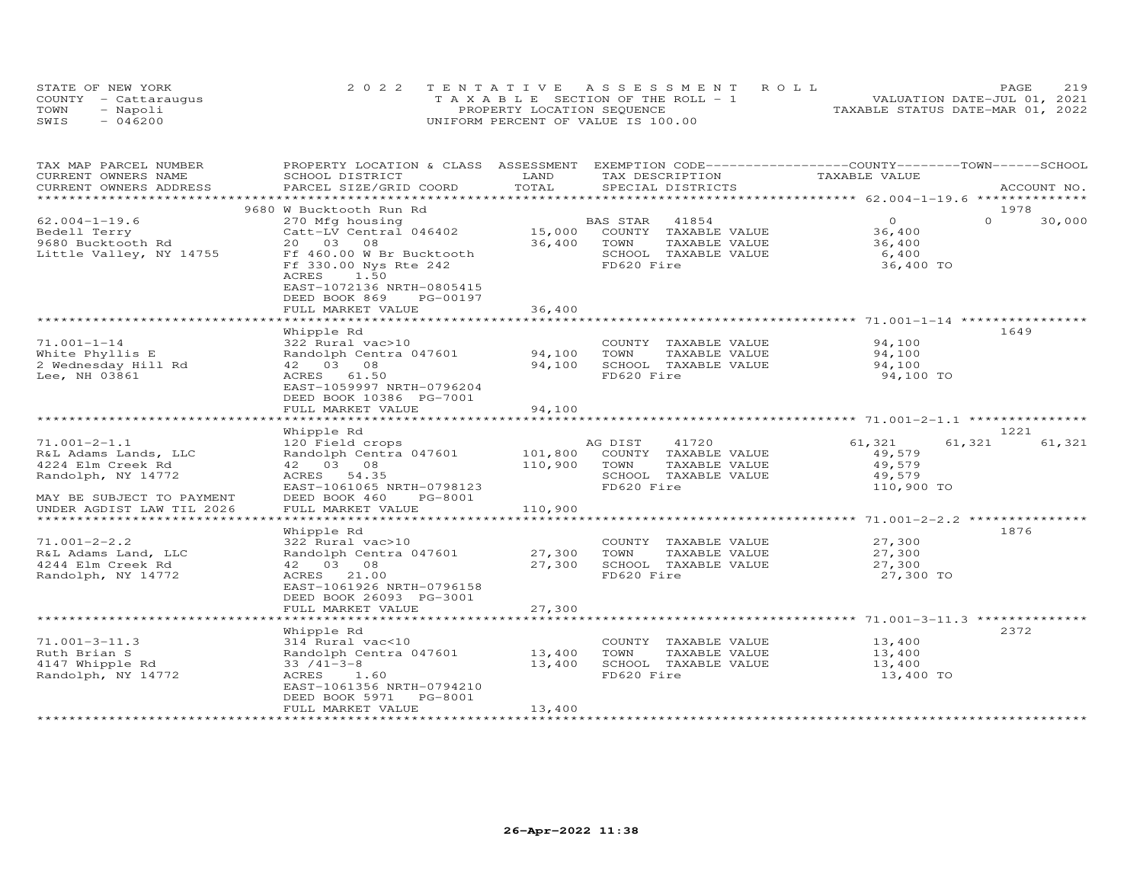|      | STATE OF NEW YORK    | 2022 TENTATIVE ASSESSMENT ROLL        | 219<br>PAGE.                     |
|------|----------------------|---------------------------------------|----------------------------------|
|      | COUNTY - Cattaraugus | T A X A B L E SECTION OF THE ROLL - 1 | VALUATION DATE-JUL 01, 2021      |
| TOWN | - Napoli             | PROPERTY LOCATION SEQUENCE            | TAXABLE STATUS DATE-MAR 01, 2022 |
| SWIS | $-046200$            | UNIFORM PERCENT OF VALUE IS 100.00    |                                  |

| TAX MAP PARCEL NUMBER<br>CURRENT OWNERS NAME                                                                                                                                      | PROPERTY LOCATION & CLASS ASSESSMENT EXEMPTION CODE----------------COUNTY-------TOWN------SCHOOL<br>SCHOOL DISTRICT                                                                                                                   | LAND                                       | TAX DESCRIPTION                                                                                          | TAXABLE VALUE                                               |                            |
|-----------------------------------------------------------------------------------------------------------------------------------------------------------------------------------|---------------------------------------------------------------------------------------------------------------------------------------------------------------------------------------------------------------------------------------|--------------------------------------------|----------------------------------------------------------------------------------------------------------|-------------------------------------------------------------|----------------------------|
| CURRENT OWNERS ADDRESS                                                                                                                                                            | PARCEL SIZE/GRID COORD                                                                                                                                                                                                                | TOTAL                                      | SPECIAL DISTRICTS                                                                                        |                                                             | ACCOUNT NO.                |
|                                                                                                                                                                                   |                                                                                                                                                                                                                                       |                                            |                                                                                                          |                                                             |                            |
| $62.004 - 1 - 19.6$<br>Bedell Terry<br>9680 Bucktooth Rd<br>Little Valley, NY 14755                                                                                               | 9680 W Bucktooth Run Rd<br>270 Mfg housing<br>Catt-LV Central 046402<br>20 03 08<br>Ff 460.00 W Br Bucktooth<br>Ff 330.00 Nys Rte 242<br>1.50<br>ACRES<br>EAST-1072136 NRTH-0805415<br>DEED BOOK 869<br>PG-00197<br>FULL MARKET VALUE | 15,000<br>36,400<br>36,400<br>************ | 41854<br>BAS STAR<br>COUNTY TAXABLE VALUE<br>TAXABLE VALUE<br>TOWN<br>SCHOOL TAXABLE VALUE<br>FD620 Fire | $0 \qquad \qquad$<br>36,400<br>36,400<br>6,400<br>36,400 TO | 1978<br>$\Omega$<br>30,000 |
|                                                                                                                                                                                   | Whipple Rd                                                                                                                                                                                                                            |                                            |                                                                                                          |                                                             | 1649                       |
| $71.001 - 1 - 14$<br>White Phyllis E<br>2 Wednesday Hill Rd<br>Lee, NH 03861                                                                                                      | 322 Rural vac>10<br>Randolph Centra 047601<br>42 03 08<br>ACRES 61.50<br>EAST-1059997 NRTH-0796204<br>DEED BOOK 10386 PG-7001<br>FULL MARKET VALUE                                                                                    | 94,100<br>94,100<br>94,100                 | COUNTY TAXABLE VALUE<br>TOWN<br>TAXABLE VALUE<br>SCHOOL TAXABLE VALUE<br>FD620 Fire                      | 94,100<br>94,100<br>94,100<br>94,100 TO                     |                            |
|                                                                                                                                                                                   |                                                                                                                                                                                                                                       |                                            |                                                                                                          |                                                             |                            |
| $71.001 - 2 - 1.1$<br>R&L Adams Lands, LLC<br>4224 Elm Creek Rd<br>Randolph, NY 14772<br>MAY BE SUBJECT TO PAYMENT<br>UNDER AGDIST LAW TIL 2026<br>****************************** | Whipple Rd<br>120 Field crops<br>Randolph Centra 047601<br>42 03 08<br>ACRES 54.35<br>EAST-1061065 NRTH-0798123<br>DEED BOOK 460<br>PG-8001<br>FULL MARKET VALUE                                                                      | 101,800<br>110,900<br>110,900              | AG DIST<br>41720<br>COUNTY TAXABLE VALUE<br>TOWN<br>TAXABLE VALUE<br>SCHOOL TAXABLE VALUE<br>FD620 Fire  | 61,321<br>49,579<br>49,579<br>49,579<br>110,900 TO          | 1221<br>61,321<br>61,321   |
|                                                                                                                                                                                   | Whipple Rd                                                                                                                                                                                                                            |                                            |                                                                                                          |                                                             | 1876                       |
| $71.001 - 2 - 2.2$<br>R&L Adams Land, LLC<br>4244 Elm Creek Rd<br>Randolph, NY 14772                                                                                              | 322 Rural vac>10<br>Randolph Centra 047601<br>42 03 08<br>ACRES 21.00<br>EAST-1061926 NRTH-0796158<br>DEED BOOK 26093 PG-3001<br>FULL MARKET VALUE                                                                                    | 27,300<br>27,300<br>27,300                 | COUNTY TAXABLE VALUE<br>TOWN<br>TAXABLE VALUE<br>SCHOOL TAXABLE VALUE<br>FD620 Fire                      | 27,300<br>27,300<br>27,300<br>27,300 TO                     |                            |
|                                                                                                                                                                                   |                                                                                                                                                                                                                                       |                                            |                                                                                                          |                                                             |                            |
| $71.001 - 3 - 11.3$<br>Ruth Brian S<br>4147 Whipple Rd<br>Randolph, NY 14772                                                                                                      | Whipple Rd<br>314 Rural vac<10<br>Randolph Centra 047601<br>$33 / 41 - 3 - 8$<br>ACRES 1.60<br>EAST-1061356 NRTH-0794210<br>DEED BOOK 5971<br>PG-8001<br>FULL MARKET VALUE                                                            | 13,400<br>13,400<br>13,400                 | COUNTY TAXABLE VALUE<br>TOWN<br>TAXABLE VALUE<br>SCHOOL TAXABLE VALUE<br>FD620 Fire                      | 13,400<br>13,400<br>13,400<br>13,400 TO                     | 2372                       |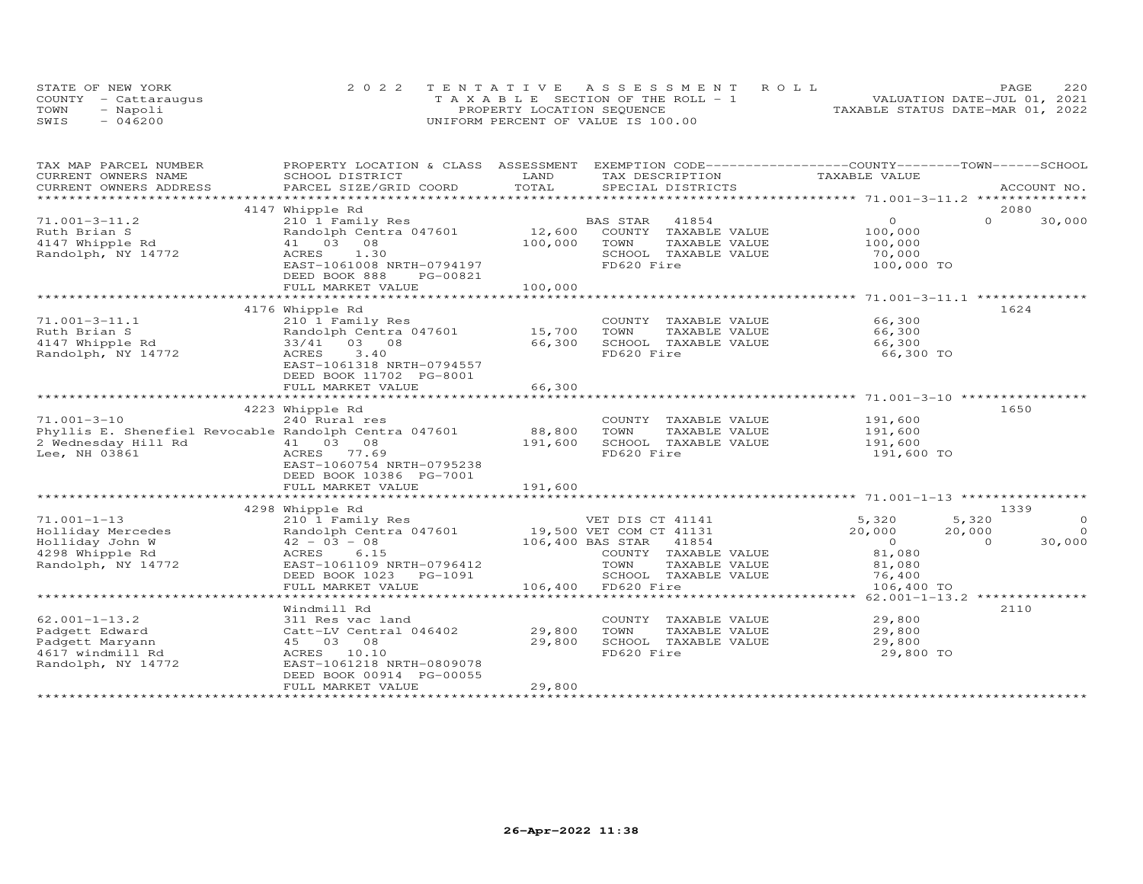| STATE OF NEW YORK    | 2022 TENTATIVE ASSESSMENT ROLL        |  |                                  | PAGE. | 2.2.0 |
|----------------------|---------------------------------------|--|----------------------------------|-------|-------|
| COUNTY - Cattarauqus | T A X A B L E SECTION OF THE ROLL - 1 |  | VALUATION DATE-JUL 01, 2021      |       |       |
| TOWN<br>- Napoli     | PROPERTY LOCATION SEQUENCE            |  | TAXABLE STATUS DATE-MAR 01, 2022 |       |       |
| $-046200$<br>SWIS    | UNIFORM PERCENT OF VALUE IS 100.00    |  |                                  |       |       |

| TAX MAP PARCEL NUMBER                                                                                                                                                                                                                                                                                                               | PROPERTY LOCATION & CLASS ASSESSMENT EXEMPTION CODE----------------COUNTY-------TOWN------SCHOOL                                                                                                                              |                   |                               |                                                     |                    |
|-------------------------------------------------------------------------------------------------------------------------------------------------------------------------------------------------------------------------------------------------------------------------------------------------------------------------------------|-------------------------------------------------------------------------------------------------------------------------------------------------------------------------------------------------------------------------------|-------------------|-------------------------------|-----------------------------------------------------|--------------------|
| CURRENT OWNERS NAME                                                                                                                                                                                                                                                                                                                 | SCHOOL DISTRICT                                                                                                                                                                                                               | LAND              | TAX DESCRIPTION TAXABLE VALUE |                                                     |                    |
|                                                                                                                                                                                                                                                                                                                                     | .CURRENT OWNERS ADDRESS PARCEL SIZE/GRID COORD TOTAL SPECIAL DISTRICTS ACCOUNT NO ACCOUNT NO ARCOUNT NO ARE THE SERVER AND REALLY AND THE SERVER AND HER ASSESS THAT A LATER THAT A LATER OF THE SERVER OF THE SERVER AND THE |                   |                               |                                                     | ACCOUNT NO.        |
|                                                                                                                                                                                                                                                                                                                                     |                                                                                                                                                                                                                               |                   |                               |                                                     |                    |
|                                                                                                                                                                                                                                                                                                                                     | 4147 Whipple Rd                                                                                                                                                                                                               |                   |                               |                                                     | 2080               |
| $71.001 - 3 - 11.2$                                                                                                                                                                                                                                                                                                                 | 210 1 Family Res                                                                                                                                                                                                              |                   | BAS STAR 41854                | $\overline{0}$                                      | $\Omega$<br>30,000 |
| Ruth Brian S                                                                                                                                                                                                                                                                                                                        | Randolph Centra 047601                                                                                                                                                                                                        |                   | 12,600 COUNTY TAXABLE VALUE   | 100,000<br>100,000                                  |                    |
| 4147 Whipple Rd                                                                                                                                                                                                                                                                                                                     | 41 03 08                                                                                                                                                                                                                      | 100,000           | TOWN<br>TAXABLE VALUE         |                                                     |                    |
| Randolph, NY 14772                                                                                                                                                                                                                                                                                                                  | ACRES<br>1.30                                                                                                                                                                                                                 |                   | SCHOOL TAXABLE VALUE          | 70,000                                              |                    |
|                                                                                                                                                                                                                                                                                                                                     | EAST-1061008 NRTH-0794197                                                                                                                                                                                                     |                   | FD620 Fire                    | 100,000 TO                                          |                    |
|                                                                                                                                                                                                                                                                                                                                     | DEED BOOK 888<br>PG-00821                                                                                                                                                                                                     |                   |                               |                                                     |                    |
|                                                                                                                                                                                                                                                                                                                                     | FULL MARKET VALUE                                                                                                                                                                                                             | 100,000           |                               |                                                     |                    |
|                                                                                                                                                                                                                                                                                                                                     |                                                                                                                                                                                                                               | ***************** |                               |                                                     |                    |
|                                                                                                                                                                                                                                                                                                                                     | 4176 Whipple Rd                                                                                                                                                                                                               |                   |                               |                                                     | 1624               |
| $71.001 - 3 - 11.1$                                                                                                                                                                                                                                                                                                                 | 210 1 Family Res                                                                                                                                                                                                              |                   | COUNTY TAXABLE VALUE 66,300   |                                                     |                    |
|                                                                                                                                                                                                                                                                                                                                     | Randolph Centra 047601 15,700                                                                                                                                                                                                 |                   | TOWN<br>TAXABLE VALUE         | 66,300                                              |                    |
| kutn Brian S<br>4147 Whipple Rd                                                                                                                                                                                                                                                                                                     | 33/41 03 08                                                                                                                                                                                                                   | 66,300            | SCHOOL TAXABLE VALUE          | 66,300                                              |                    |
| Randolph, NY 14772                                                                                                                                                                                                                                                                                                                  | ACRES<br>3.40                                                                                                                                                                                                                 |                   | FD620 Fire                    | 66,300 TO                                           |                    |
|                                                                                                                                                                                                                                                                                                                                     | EAST-1061318 NRTH-0794557                                                                                                                                                                                                     |                   |                               |                                                     |                    |
|                                                                                                                                                                                                                                                                                                                                     | DEED BOOK 11702 PG-8001                                                                                                                                                                                                       |                   |                               |                                                     |                    |
|                                                                                                                                                                                                                                                                                                                                     | FULL MARKET VALUE                                                                                                                                                                                                             | 66,300            |                               |                                                     |                    |
|                                                                                                                                                                                                                                                                                                                                     |                                                                                                                                                                                                                               |                   |                               |                                                     |                    |
|                                                                                                                                                                                                                                                                                                                                     | 4223 Whipple Rd                                                                                                                                                                                                               |                   |                               |                                                     | 1650               |
| $71.001 - 3 - 10$                                                                                                                                                                                                                                                                                                                   | 240 Rural res                                                                                                                                                                                                                 |                   | COUNTY TAXABLE VALUE          | 191,600                                             |                    |
|                                                                                                                                                                                                                                                                                                                                     | Phyllis E. Shenefiel Revocable Randolph Centra 047601 88,800                                                                                                                                                                  |                   | TOWN<br>TAXABLE VALUE         | 191,600                                             |                    |
|                                                                                                                                                                                                                                                                                                                                     |                                                                                                                                                                                                                               | 191,600           | SCHOOL TAXABLE VALUE          | 191,600                                             |                    |
| 2 Wednesday Hill Rd $\begin{array}{ccc} 2 & 41 & 03 & 08 \\ 1 & 0 & 3 & 68 \\ 2 & 0 & 0 & 41 & 03 \\ 3 & 0 & 0 & 0 & 77.6 \\ 4 & 0 & 0 & 0 & 0 \\ 5 & 0 & 0 & 0 & 0 \\ 6 & 0 & 0 & 0 & 0 \\ 7 & 0 & 0 & 0 & 0 \\ 8 & 0 & 0 & 0 & 0 \\ 9 & 0 & 0 & 0 & 0 \\ 10 & 0 & 0 & 0 & 0 \\ 11 & 0 & 0 & 0 & 0 \\ 12 & 0 & 0$<br>Lee, NH 03861 | ACRES 77.69                                                                                                                                                                                                                   |                   | FD620 Fire                    | 191,600 TO                                          |                    |
|                                                                                                                                                                                                                                                                                                                                     | EAST-1060754 NRTH-0795238                                                                                                                                                                                                     |                   |                               |                                                     |                    |
|                                                                                                                                                                                                                                                                                                                                     | DEED BOOK 10386 PG-7001                                                                                                                                                                                                       |                   |                               |                                                     |                    |
|                                                                                                                                                                                                                                                                                                                                     | FULL MARKET VALUE                                                                                                                                                                                                             | 191,600           |                               |                                                     |                    |
|                                                                                                                                                                                                                                                                                                                                     |                                                                                                                                                                                                                               |                   |                               |                                                     |                    |
|                                                                                                                                                                                                                                                                                                                                     |                                                                                                                                                                                                                               |                   |                               |                                                     | 1339               |
|                                                                                                                                                                                                                                                                                                                                     | 4298 Whipple Rd                                                                                                                                                                                                               |                   |                               |                                                     | 5,320<br>$\circ$   |
|                                                                                                                                                                                                                                                                                                                                     |                                                                                                                                                                                                                               |                   |                               | $5,320$<br>20,000                                   |                    |
|                                                                                                                                                                                                                                                                                                                                     |                                                                                                                                                                                                                               |                   |                               |                                                     | 20,000<br>$\Omega$ |
|                                                                                                                                                                                                                                                                                                                                     |                                                                                                                                                                                                                               |                   |                               | $\begin{smallmatrix}&&0\\&&31\end{smallmatrix},080$ | 30,000<br>$\Omega$ |
|                                                                                                                                                                                                                                                                                                                                     |                                                                                                                                                                                                                               |                   | COUNTY TAXABLE VALUE          |                                                     |                    |
| Randolph, NY 14772                                                                                                                                                                                                                                                                                                                  | EAST-1061109 NRTH-0796412                                                                                                                                                                                                     |                   | TOWN<br>TAXABLE VALUE         | 81,080                                              |                    |
|                                                                                                                                                                                                                                                                                                                                     | DEED BOOK 1023 PG-1091                                                                                                                                                                                                        |                   | SCHOOL TAXABLE VALUE          | 76,400                                              |                    |
|                                                                                                                                                                                                                                                                                                                                     | FULL MARKET VALUE                                                                                                                                                                                                             |                   | 106,400 FD620 Fire            | 106,400 TO                                          |                    |
|                                                                                                                                                                                                                                                                                                                                     |                                                                                                                                                                                                                               |                   |                               |                                                     |                    |
|                                                                                                                                                                                                                                                                                                                                     | Windmill Rd                                                                                                                                                                                                                   |                   |                               |                                                     | 2110               |
| $62.001 - 1 - 13.2$                                                                                                                                                                                                                                                                                                                 | 311 Res vac land                                                                                                                                                                                                              |                   | COUNTY TAXABLE VALUE          | 29,800                                              |                    |
| Padgett Edward                                                                                                                                                                                                                                                                                                                      | Catt-LV Central 046402 29,800                                                                                                                                                                                                 |                   | TOWN<br>TAXABLE VALUE         | 29,800                                              |                    |
| Padgett Maryann                                                                                                                                                                                                                                                                                                                     | 45 03 08                                                                                                                                                                                                                      | 29,800            | SCHOOL TAXABLE VALUE          | 29,800                                              |                    |
| 4617 windmill Rd                                                                                                                                                                                                                                                                                                                    | ACRES 10.10                                                                                                                                                                                                                   |                   | FD620 Fire                    | 29,800 TO                                           |                    |
| Randolph, NY 14772                                                                                                                                                                                                                                                                                                                  | EAST-1061218 NRTH-0809078                                                                                                                                                                                                     |                   |                               |                                                     |                    |
|                                                                                                                                                                                                                                                                                                                                     | DEED BOOK 00914 PG-00055                                                                                                                                                                                                      |                   |                               |                                                     |                    |
|                                                                                                                                                                                                                                                                                                                                     | FULL MARKET VALUE                                                                                                                                                                                                             | 29,800            |                               |                                                     |                    |
|                                                                                                                                                                                                                                                                                                                                     |                                                                                                                                                                                                                               |                   |                               |                                                     |                    |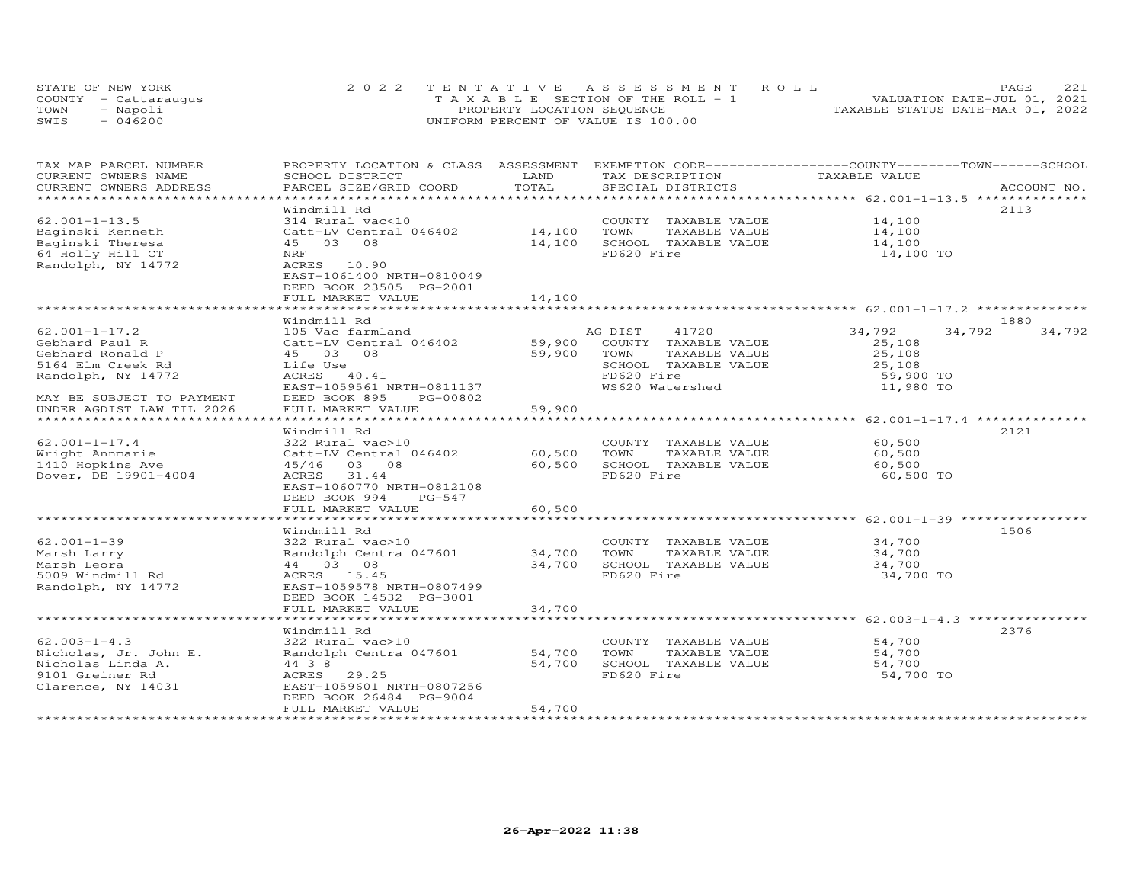| STATE OF NEW YORK    | 2022 TENTATIVE ASSESSMENT ROLL     | 221<br><b>PAGE</b>               |
|----------------------|------------------------------------|----------------------------------|
| COUNTY - Cattaraugus | TAXABLE SECTION OF THE ROLL - 1    | VALUATION DATE-JUL 01, 2021      |
| TOWN<br>- Napoli     | PROPERTY LOCATION SEQUENCE         | TAXABLE STATUS DATE-MAR 01, 2022 |
| $-046200$<br>SWIS    | UNIFORM PERCENT OF VALUE IS 100.00 |                                  |

| TAX MAP PARCEL NUMBER<br>CURRENT OWNERS NAME<br>CURRENT OWNERS ADDRESS | PROPERTY LOCATION & CLASS ASSESSMENT<br>SCHOOL DISTRICT<br>PARCEL SIZE/GRID COORD | LAND<br>TOTAL           |            | TAX DESCRIPTION<br>SPECIAL DISTRICTS | TAXABLE VALUE                                                  | EXEMPTION CODE-----------------COUNTY-------TOWN------SCHOOL<br>ACCOUNT NO. |
|------------------------------------------------------------------------|-----------------------------------------------------------------------------------|-------------------------|------------|--------------------------------------|----------------------------------------------------------------|-----------------------------------------------------------------------------|
| *********************                                                  |                                                                                   | *************           |            |                                      |                                                                |                                                                             |
|                                                                        | Windmill Rd                                                                       |                         |            |                                      |                                                                | 2113                                                                        |
| $62.001 - 1 - 13.5$                                                    | 314 Rural vac<10                                                                  |                         |            | COUNTY TAXABLE VALUE                 | 14,100                                                         |                                                                             |
| Baginski Kenneth                                                       | Catt-LV Central 046402                                                            | 14,100                  | TOWN       | TAXABLE VALUE                        | 14,100                                                         |                                                                             |
| Baginski Theresa                                                       | 45 03 08                                                                          | 14,100                  |            | SCHOOL TAXABLE VALUE                 | 14,100                                                         |                                                                             |
| 64 Holly Hill CT                                                       | NRF                                                                               |                         | FD620 Fire |                                      | 14,100 TO                                                      |                                                                             |
| Randolph, NY 14772                                                     | ACRES 10.90                                                                       |                         |            |                                      |                                                                |                                                                             |
|                                                                        | EAST-1061400 NRTH-0810049                                                         |                         |            |                                      |                                                                |                                                                             |
|                                                                        | DEED BOOK 23505 PG-2001                                                           |                         |            |                                      |                                                                |                                                                             |
|                                                                        | FULL MARKET VALUE                                                                 | 14,100                  |            |                                      |                                                                |                                                                             |
|                                                                        | Windmill Rd                                                                       |                         |            |                                      |                                                                | 1880                                                                        |
| $62.001 - 1 - 17.2$                                                    | 105 Vac farmland                                                                  |                         | AG DIST    | 41720                                | 34,792                                                         | 34,792<br>34,792                                                            |
| Gebhard Paul R                                                         | Catt-LV Central 046402                                                            | 59,900                  |            | COUNTY TAXABLE VALUE                 | 25,108                                                         |                                                                             |
| Gebhard Ronald P                                                       | 45 03 08                                                                          | 59,900                  | TOWN       | TAXABLE VALUE                        | 25,108                                                         |                                                                             |
| 5164 Elm Creek Rd                                                      | Life Use                                                                          |                         |            | SCHOOL TAXABLE VALUE                 | 25,108                                                         |                                                                             |
| Randolph, NY 14772                                                     | ACRES 40.41                                                                       |                         | FD620 Fire |                                      | 59,900 TO                                                      |                                                                             |
|                                                                        | EAST-1059561 NRTH-0811137                                                         |                         |            | WS620 Watershed                      | 11,980 TO                                                      |                                                                             |
| MAY BE SUBJECT TO PAYMENT                                              | DEED BOOK 895<br>PG-00802                                                         |                         |            |                                      |                                                                |                                                                             |
| UNDER AGDIST LAW TIL 2026                                              | FULL MARKET VALUE                                                                 | 59,900                  |            |                                      |                                                                |                                                                             |
|                                                                        |                                                                                   |                         |            |                                      |                                                                |                                                                             |
|                                                                        | Windmill Rd                                                                       |                         |            |                                      |                                                                | 2121                                                                        |
| $62.001 - 1 - 17.4$                                                    | 322 Rural vac>10                                                                  |                         |            | COUNTY TAXABLE VALUE                 | 60,500                                                         |                                                                             |
| Wright Annmarie                                                        | Catt-LV Central 046402                                                            | 60,500                  | TOWN       | TAXABLE VALUE                        | 60,500                                                         |                                                                             |
| 1410 Hopkins Ave                                                       | 45/46 03 08                                                                       | 60,500                  |            | SCHOOL TAXABLE VALUE                 | 60,500                                                         |                                                                             |
| Dover, DE 19901-4004                                                   | ACRES<br>31.44                                                                    |                         | FD620 Fire |                                      | 60,500 TO                                                      |                                                                             |
|                                                                        | EAST-1060770 NRTH-0812108                                                         |                         |            |                                      |                                                                |                                                                             |
|                                                                        | DEED BOOK 994<br>$PG-547$                                                         |                         |            |                                      |                                                                |                                                                             |
|                                                                        | FULL MARKET VALUE                                                                 | 60,500                  |            |                                      |                                                                |                                                                             |
|                                                                        | **********************                                                            |                         |            |                                      |                                                                |                                                                             |
|                                                                        | Windmill Rd                                                                       |                         |            |                                      |                                                                | 1506                                                                        |
| $62.001 - 1 - 39$                                                      | 322 Rural vac>10                                                                  |                         |            | COUNTY TAXABLE VALUE                 | 34,700                                                         |                                                                             |
| Marsh Larry                                                            | Randolph Centra 047601                                                            | 34,700                  | TOWN       | TAXABLE VALUE                        | 34,700                                                         |                                                                             |
| Marsh Leora                                                            | 44 03 08                                                                          | 34,700                  |            | SCHOOL TAXABLE VALUE                 | 34,700                                                         |                                                                             |
| 5009 Windmill Rd                                                       | ACRES 15.45                                                                       |                         | FD620 Fire |                                      | 34,700 TO                                                      |                                                                             |
| Randolph, NY 14772                                                     | EAST-1059578 NRTH-0807499                                                         |                         |            |                                      |                                                                |                                                                             |
|                                                                        | DEED BOOK 14532 PG-3001                                                           |                         |            |                                      |                                                                |                                                                             |
|                                                                        | FULL MARKET VALUE                                                                 | 34,700<br>************* |            |                                      |                                                                |                                                                             |
|                                                                        |                                                                                   |                         |            |                                      | ******************************** 62.003-1-4.3 **************** |                                                                             |
|                                                                        | Windmill Rd                                                                       |                         |            |                                      |                                                                | 2376                                                                        |
| $62.003 - 1 - 4.3$                                                     | 322 Rural vac>10                                                                  |                         |            | COUNTY TAXABLE VALUE                 | 54,700                                                         |                                                                             |
| Nicholas, Jr. John E.                                                  | Randolph Centra 047601                                                            | 54,700                  | TOWN       | TAXABLE VALUE                        | 54,700                                                         |                                                                             |
| Nicholas Linda A.                                                      | 44 3 8                                                                            | 54,700                  |            | SCHOOL TAXABLE VALUE                 | 54,700                                                         |                                                                             |
| 9101 Greiner Rd                                                        | ACRES<br>29.25<br>EAST-1059601 NRTH-0807256                                       |                         | FD620 Fire |                                      | 54,700 TO                                                      |                                                                             |
| Clarence, NY 14031                                                     | DEED BOOK 26484 PG-9004                                                           |                         |            |                                      |                                                                |                                                                             |
|                                                                        | FULL MARKET VALUE                                                                 | 54,700                  |            |                                      |                                                                |                                                                             |
|                                                                        |                                                                                   |                         |            |                                      |                                                                |                                                                             |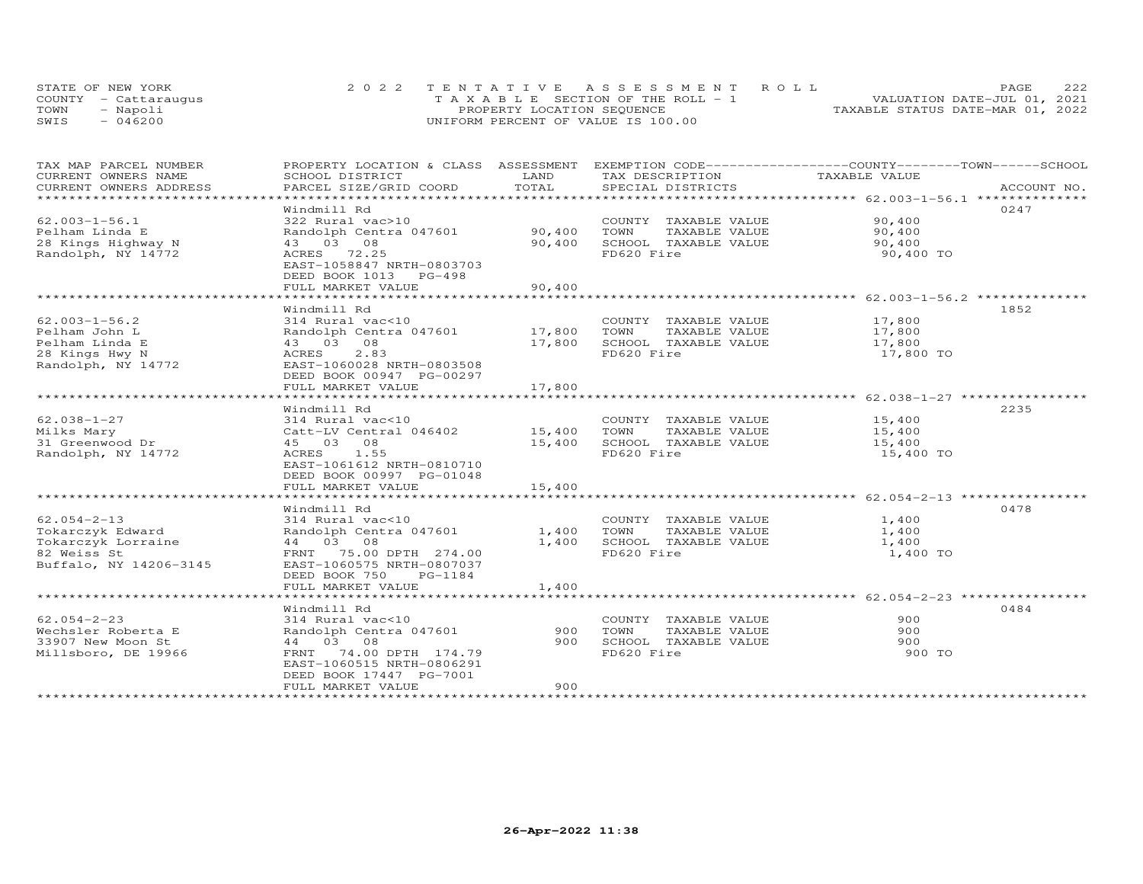|      | STATE OF NEW YORK    | 2022 TENTATIVE ASSESSMENT ROLL        | PAGE.                            | 222 |
|------|----------------------|---------------------------------------|----------------------------------|-----|
|      | COUNTY - Cattarauqus | T A X A B L E SECTION OF THE ROLL - 1 | VALUATION DATE-JUL 01, 2021      |     |
| TOWN | - Napoli             | PROPERTY LOCATION SEQUENCE            | TAXABLE STATUS DATE-MAR 01, 2022 |     |
| SWIS | $-046200$            | UNIFORM PERCENT OF VALUE IS 100.00    |                                  |     |

| TAX MAP PARCEL NUMBER          | PROPERTY LOCATION & CLASS ASSESSMENT EXEMPTION CODE----------------COUNTY-------TOWN-----SCHOOL |               |                       |                                                                    |             |
|--------------------------------|-------------------------------------------------------------------------------------------------|---------------|-----------------------|--------------------------------------------------------------------|-------------|
| CURRENT OWNERS NAME            | SCHOOL DISTRICT                                                                                 | LAND          | TAX DESCRIPTION       | TAXABLE VALUE                                                      |             |
| CURRENT OWNERS ADDRESS         | PARCEL SIZE/GRID COORD                                                                          | TOTAL         | SPECIAL DISTRICTS     |                                                                    | ACCOUNT NO. |
| ****************************** |                                                                                                 |               |                       |                                                                    |             |
|                                | Windmill Rd                                                                                     |               |                       |                                                                    | 0247        |
| $62.003 - 1 - 56.1$            | 322 Rural vac>10                                                                                |               | COUNTY TAXABLE VALUE  | 90,400                                                             |             |
| Pelham Linda E                 | Randolph Centra 047601                                                                          | 90,400        | TOWN<br>TAXABLE VALUE | 90,400                                                             |             |
| 28 Kings Highway N             | 43 03 08                                                                                        | 90,400        | SCHOOL TAXABLE VALUE  | 90,400                                                             |             |
| Randolph, NY 14772             | ACRES 72.25                                                                                     |               | FD620 Fire            | 90,400 TO                                                          |             |
|                                | EAST-1058847 NRTH-0803703                                                                       |               |                       |                                                                    |             |
|                                | DEED BOOK 1013 PG-498                                                                           |               |                       |                                                                    |             |
|                                | FULL MARKET VALUE                                                                               | 90,400        |                       |                                                                    |             |
|                                | ************************                                                                        | ************* |                       | ************************************62.003-1-56.2 **************** |             |
|                                | Windmill Rd                                                                                     |               |                       |                                                                    | 1852        |
| $62.003 - 1 - 56.2$            | 314 Rural vac<10                                                                                |               | COUNTY TAXABLE VALUE  | 17,800                                                             |             |
| Pelham John L                  | Randolph Centra 047601                                                                          | 17,800        | TAXABLE VALUE<br>TOWN | 17,800                                                             |             |
| Pelham Linda E                 | 43 03 08                                                                                        | 17,800        | SCHOOL TAXABLE VALUE  | 17,800                                                             |             |
| 28 Kings Hwy N                 | 2.83<br>ACRES                                                                                   |               | FD620 Fire            | 17,800 TO                                                          |             |
| Randolph, NY 14772             | EAST-1060028 NRTH-0803508                                                                       |               |                       |                                                                    |             |
|                                | DEED BOOK 00947 PG-00297                                                                        |               |                       |                                                                    |             |
|                                | FULL MARKET VALUE                                                                               | 17,800        |                       |                                                                    |             |
|                                |                                                                                                 |               |                       |                                                                    |             |
|                                | Windmill Rd                                                                                     |               |                       |                                                                    | 2235        |
| 62.038-1-27                    | 314 Rural vac<10                                                                                |               | COUNTY TAXABLE VALUE  | 15,400                                                             |             |
| Milks Mary                     | Catt-LV Central 046402                                                                          | 15,400        | TOWN<br>TAXABLE VALUE | 15,400                                                             |             |
| 31 Greenwood Dr                | 45 03 08                                                                                        | 15,400        | SCHOOL TAXABLE VALUE  | 15,400                                                             |             |
| Randolph, NY 14772             | ACRES 1.55                                                                                      |               | FD620 Fire            | 15,400 TO                                                          |             |
|                                |                                                                                                 |               |                       |                                                                    |             |
|                                | EAST-1061612 NRTH-0810710                                                                       |               |                       |                                                                    |             |
|                                | DEED BOOK 00997 PG-01048                                                                        |               |                       |                                                                    |             |
|                                | FULL MARKET VALUE                                                                               | 15,400        |                       |                                                                    |             |
|                                |                                                                                                 |               |                       |                                                                    |             |
|                                | Windmill Rd                                                                                     |               |                       |                                                                    | 0478        |
| $62.054 - 2 - 13$              | 314 Rural vac<10                                                                                |               | COUNTY TAXABLE VALUE  | 1,400                                                              |             |
| Tokarczyk Edward               | Randolph Centra 047601                                                                          | 1,400         | TOWN<br>TAXABLE VALUE | 1,400                                                              |             |
| Tokarczyk Lorraine             | 44 03 08                                                                                        | 1,400         | SCHOOL TAXABLE VALUE  | 1,400                                                              |             |
| 82 Weiss St                    | FRNT 75.00 DPTH 274.00                                                                          |               | FD620 Fire            | 1,400 TO                                                           |             |
| Buffalo, NY 14206-3145         | EAST-1060575 NRTH-0807037                                                                       |               |                       |                                                                    |             |
|                                | DEED BOOK 750<br>PG-1184                                                                        |               |                       |                                                                    |             |
|                                | FULL MARKET VALUE                                                                               | 1,400         |                       |                                                                    |             |
|                                |                                                                                                 |               |                       |                                                                    |             |
|                                | Windmill Rd                                                                                     |               |                       |                                                                    | 0484        |
| $62.054 - 2 - 23$              | 314 Rural vac<10                                                                                |               | COUNTY TAXABLE VALUE  | 900                                                                |             |
| Wechsler Roberta E             | Randolph Centra 047601                                                                          | 900           | TAXABLE VALUE<br>TOWN | 900                                                                |             |
| 33907 New Moon St              | 44 03 08                                                                                        | 900           | SCHOOL TAXABLE VALUE  | 900                                                                |             |
| Millsboro, DE 19966            | 74.00 DPTH 174.79<br>FRNT                                                                       |               | FD620 Fire            | 900 TO                                                             |             |
|                                | EAST-1060515 NRTH-0806291                                                                       |               |                       |                                                                    |             |
|                                | DEED BOOK 17447 PG-7001                                                                         |               |                       |                                                                    |             |
|                                | FULL MARKET VALUE                                                                               | 900           |                       |                                                                    |             |
|                                |                                                                                                 |               |                       |                                                                    |             |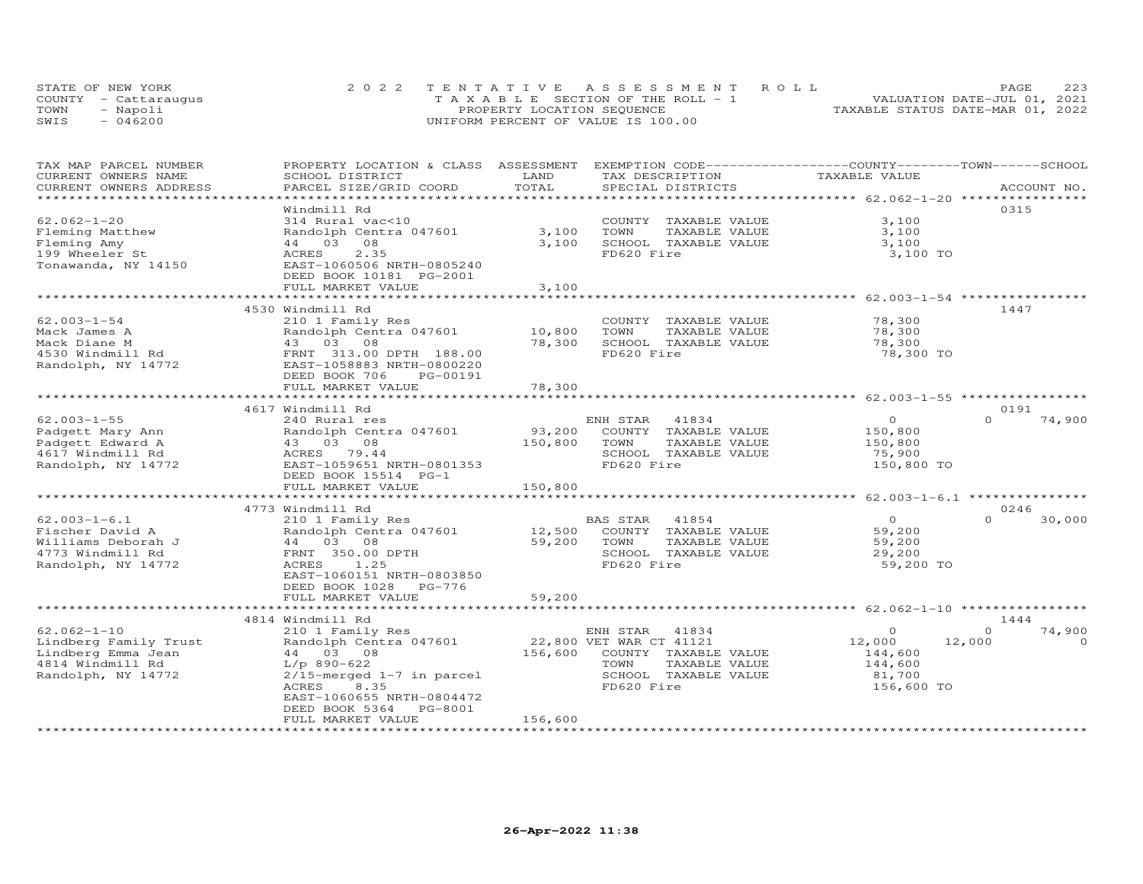|      | STATE OF NEW YORK    | 2022 TENTATIVE ASSESSMENT ROLL        | 223<br>PAGE.                     |
|------|----------------------|---------------------------------------|----------------------------------|
|      | COUNTY - Cattaraugus | T A X A B L E SECTION OF THE ROLL - 1 | VALUATION DATE-JUL 01, 2021      |
| TOWN | - Napoli             | PROPERTY LOCATION SEQUENCE            | TAXABLE STATUS DATE-MAR 01, 2022 |
| SWIS | - 046200             | UNIFORM PERCENT OF VALUE IS 100.00    |                                  |

| TAX MAP PARCEL NUMBER<br>CURRENT OWNERS NAME   | PROPERTY LOCATION & CLASS ASSESSMENT EXEMPTION CODE----------------COUNTY-------TOWN------SCHOOL<br>SCHOOL DISTRICT | LAND         | TAX DESCRIPTION                           | TAXABLE VALUE                                                 |                            |
|------------------------------------------------|---------------------------------------------------------------------------------------------------------------------|--------------|-------------------------------------------|---------------------------------------------------------------|----------------------------|
| CURRENT OWNERS ADDRESS<br>******************** | PARCEL SIZE/GRID COORD                                                                                              | TOTAL        | SPECIAL DISTRICTS                         |                                                               | ACCOUNT NO.                |
|                                                | Windmill Rd                                                                                                         |              |                                           |                                                               | 0315                       |
| $62.062 - 1 - 20$                              | 314 Rural vac<10                                                                                                    |              | COUNTY TAXABLE VALUE                      | 3,100                                                         |                            |
| Fleming Matthew                                | Randolph Centra 047601                                                                                              | 3,100        | TAXABLE VALUE<br>TOWN                     | 3,100                                                         |                            |
| Fleming Amy                                    | 44 03 08                                                                                                            | 3,100        | SCHOOL TAXABLE VALUE                      | 3,100                                                         |                            |
| 199 Wheeler St                                 | ACRES<br>2.35                                                                                                       |              | FD620 Fire                                | 3,100 TO                                                      |                            |
| Tonawanda, NY 14150                            | EAST-1060506 NRTH-0805240<br>DEED BOOK 10181 PG-2001                                                                |              |                                           |                                                               |                            |
|                                                | FULL MARKET VALUE                                                                                                   | 3,100        |                                           |                                                               |                            |
|                                                |                                                                                                                     |              |                                           |                                                               |                            |
|                                                | 4530 Windmill Rd                                                                                                    |              |                                           |                                                               | 1447                       |
| $62.003 - 1 - 54$                              | 210 1 Family Res                                                                                                    |              | COUNTY TAXABLE VALUE                      | 78,300                                                        |                            |
| Mack James A                                   | Randolph Centra 047601                                                                                              | 10,800       | TOWN<br>TAXABLE VALUE                     | 78,300                                                        |                            |
| Mack Diane M                                   | 43 03 08                                                                                                            | 78,300       | SCHOOL TAXABLE VALUE                      | 78,300                                                        |                            |
| 4530 Windmill Rd<br>Randolph, NY 14772         | FRNT 313.00 DPTH 188.00<br>EAST-1058883 NRTH-0800220                                                                |              | FD620 Fire                                | 78,300 TO                                                     |                            |
|                                                | DEED BOOK 706<br>PG-00191                                                                                           |              |                                           |                                                               |                            |
|                                                | FULL MARKET VALUE                                                                                                   | 78,300       |                                           |                                                               |                            |
|                                                | *************************                                                                                           | ************ |                                           | ******************************* 62.003-1-55 ***************** |                            |
|                                                | 4617 Windmill Rd                                                                                                    |              |                                           |                                                               | 0191<br>$\Omega$           |
| $62.003 - 1 - 55$                              | 240 Rural res<br>Randolph Centra 047601                                                                             | 93,200       | ENH STAR<br>41834<br>COUNTY TAXABLE VALUE | $\overline{0}$<br>150,800                                     | 74,900                     |
| Padgett Mary Ann<br>Padgett Edward A           | 43 03 08                                                                                                            | 150,800      | TOWN<br>TAXABLE VALUE                     | 150,800                                                       |                            |
| 4617 Windmill Rd                               | ACRES 79.44                                                                                                         |              | SCHOOL TAXABLE VALUE                      | 75,900                                                        |                            |
| Randolph, NY 14772                             | EAST-1059651 NRTH-0801353                                                                                           |              | FD620 Fire                                | 150,800 TO                                                    |                            |
|                                                | DEED BOOK 15514 PG-1                                                                                                |              |                                           |                                                               |                            |
|                                                | FULL MARKET VALUE                                                                                                   | 150,800      |                                           |                                                               |                            |
|                                                |                                                                                                                     |              |                                           |                                                               |                            |
|                                                | 4773 Windmill Rd                                                                                                    |              |                                           |                                                               | 0246                       |
| $62.003 - 1 - 6.1$                             | 210 1 Family Res                                                                                                    |              | BAS STAR<br>41854                         | $\Omega$                                                      | $\Omega$<br>30,000         |
| Fischer David A                                | Randolph Centra 047601                                                                                              | 12,500       | COUNTY TAXABLE VALUE                      | 59,200                                                        |                            |
| Williams Deborah J                             | 44 03 08                                                                                                            | 59,200       | TOWN<br>TAXABLE VALUE                     | 59,200                                                        |                            |
| 4773 Windmill Rd                               | FRNT 350.00 DPTH                                                                                                    |              | SCHOOL TAXABLE VALUE                      | 29,200                                                        |                            |
| Randolph, NY 14772                             | ACRES<br>1.25                                                                                                       |              | FD620 Fire                                | 59,200 TO                                                     |                            |
|                                                | EAST-1060151 NRTH-0803850                                                                                           |              |                                           |                                                               |                            |
|                                                | DEED BOOK 1028 PG-776                                                                                               |              |                                           |                                                               |                            |
|                                                | FULL MARKET VALUE                                                                                                   | 59,200       |                                           |                                                               |                            |
|                                                |                                                                                                                     |              |                                           |                                                               |                            |
| $62.062 - 1 - 10$                              | 4814 Windmill Rd                                                                                                    |              | ENH STAR 41834                            | $\circ$                                                       | 1444<br>74,900<br>$\Omega$ |
| Lindberg Family Trust                          | 210 1 Family Res<br>Randolph Centra 047601                                                                          |              | 22,800 VET WAR CT 41121                   | 12,000                                                        | 12,000<br>$\Omega$         |
| Lindberg Emma Jean                             | 44 03 08                                                                                                            | 156,600      | COUNTY TAXABLE VALUE                      | 144,600                                                       |                            |
| 4814 Windmill Rd                               | $L/p$ 890-622                                                                                                       |              | TOWN<br>TAXABLE VALUE                     | 144,600                                                       |                            |
| Randolph, NY 14772                             | $2/15$ -merged $1-7$ in parcel                                                                                      |              | SCHOOL TAXABLE VALUE                      | 81,700                                                        |                            |
|                                                | 8.35<br>ACRES                                                                                                       |              | FD620 Fire                                | 156,600 TO                                                    |                            |
|                                                | EAST-1060655 NRTH-0804472                                                                                           |              |                                           |                                                               |                            |
|                                                | DEED BOOK 5364<br>PG-8001                                                                                           |              |                                           |                                                               |                            |
|                                                | FULL MARKET VALUE                                                                                                   | 156,600      |                                           |                                                               |                            |
|                                                |                                                                                                                     |              |                                           |                                                               |                            |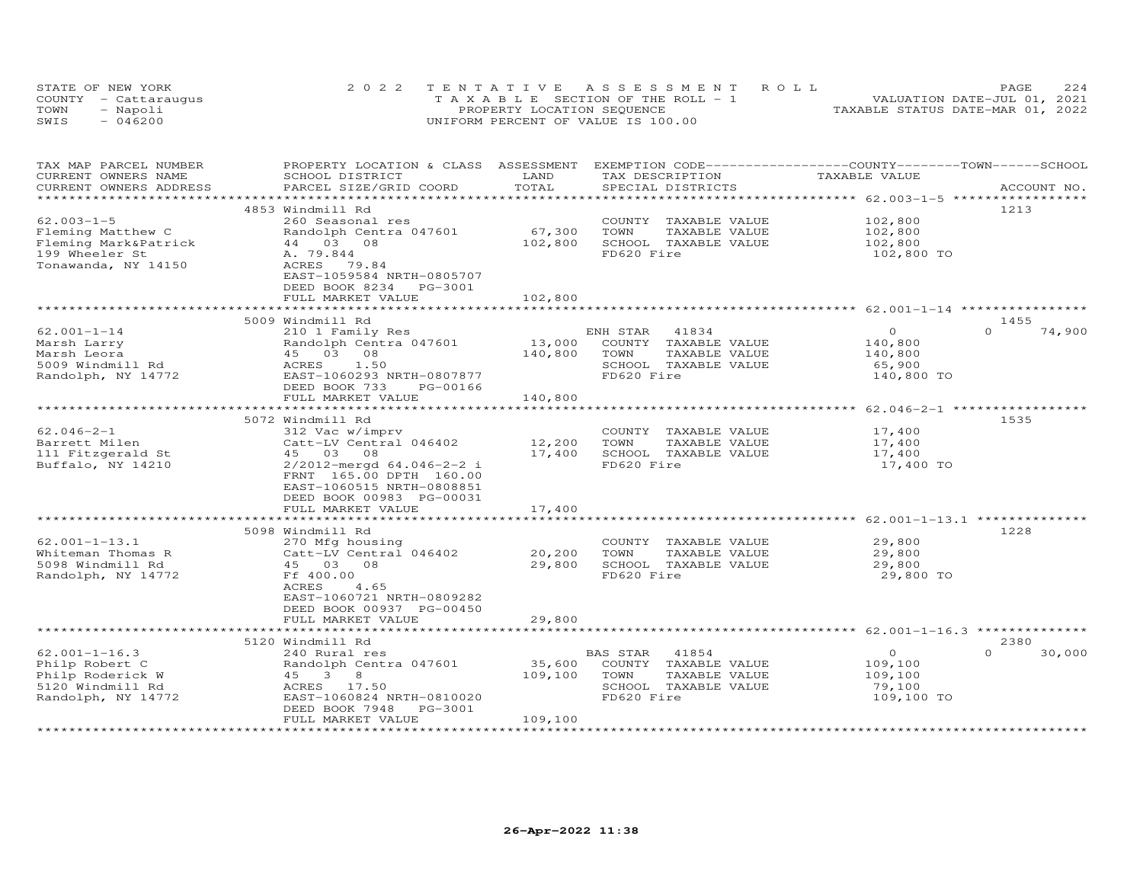|      | STATE OF NEW YORK    | 2022 TENTATIVE ASSESSMENT ROLL        | 2.2.4<br>PAGE.                   |
|------|----------------------|---------------------------------------|----------------------------------|
|      | COUNTY - Cattarauqus | T A X A B L E SECTION OF THE ROLL - 1 | VALUATION DATE-JUL 01, 2021      |
| TOWN | - Napoli             | PROPERTY LOCATION SEQUENCE            | TAXABLE STATUS DATE-MAR 01, 2022 |
| SWIS | $-046200$            | UNIFORM PERCENT OF VALUE IS 100.00    |                                  |

| TAX MAP PARCEL NUMBER<br>CURRENT OWNERS NAME | PROPERTY LOCATION & CLASS<br>SCHOOL DISTRICT | ASSESSMENT<br>LAND | EXEMPTION CODE-----------------COUNTY-------TOWN-----SCHOOL<br>TAX DESCRIPTION | TAXABLE VALUE                                             |                    |
|----------------------------------------------|----------------------------------------------|--------------------|--------------------------------------------------------------------------------|-----------------------------------------------------------|--------------------|
| CURRENT OWNERS ADDRESS                       | PARCEL SIZE/GRID COORD                       | TOTAL<br>********* | SPECIAL DISTRICTS                                                              |                                                           | ACCOUNT NO.        |
|                                              | 4853 Windmill Rd                             |                    |                                                                                |                                                           | 1213               |
| $62.003 - 1 - 5$                             | 260 Seasonal res                             |                    | COUNTY TAXABLE VALUE                                                           | 102,800                                                   |                    |
| Fleming Matthew C                            | Randolph Centra 047601                       | 67,300             | TOWN<br>TAXABLE VALUE                                                          | 102,800                                                   |                    |
| Fleming Mark&Patrick                         | 44 03 08                                     | 102,800            | SCHOOL TAXABLE VALUE                                                           | 102,800                                                   |                    |
| 199 Wheeler St                               | A. 79.844                                    |                    | FD620 Fire                                                                     | 102,800 TO                                                |                    |
| Tonawanda, NY 14150                          | ACRES 79.84<br>EAST-1059584 NRTH-0805707     |                    |                                                                                |                                                           |                    |
|                                              | DEED BOOK 8234<br>PG-3001                    |                    |                                                                                |                                                           |                    |
|                                              | FULL MARKET VALUE                            | 102,800            |                                                                                |                                                           |                    |
|                                              |                                              |                    |                                                                                | ******************************* 62.001-1-14 **********    |                    |
|                                              | 5009 Windmill Rd                             |                    |                                                                                |                                                           | 1455               |
| $62.001 - 1 - 14$                            | 210 1 Family Res                             |                    | ENH STAR<br>41834                                                              | $\circ$                                                   | $\Omega$<br>74,900 |
| Marsh Larry                                  | Randolph Centra 047601                       | 13,000             | COUNTY TAXABLE VALUE                                                           | 140,800                                                   |                    |
| Marsh Leora                                  | 45 03 08                                     | 140,800            | TOWN<br>TAXABLE VALUE                                                          | 140,800                                                   |                    |
| 5009 Windmill Rd                             | 1.50<br>ACRES                                |                    | SCHOOL TAXABLE VALUE                                                           | 65,900                                                    |                    |
| Randolph, NY 14772                           | EAST-1060293 NRTH-0807877                    |                    | FD620 Fire                                                                     | 140,800 TO                                                |                    |
|                                              | DEED BOOK 733<br>PG-00166                    |                    |                                                                                |                                                           |                    |
|                                              | FULL MARKET VALUE<br>*********************   | 140,800            |                                                                                | *********************** 62.046-2-1                        |                    |
|                                              | 5072 Windmill Rd                             |                    |                                                                                |                                                           | 1535               |
| $62.046 - 2 - 1$                             | 312 Vac w/imprv                              |                    | COUNTY TAXABLE VALUE                                                           | 17,400                                                    |                    |
| Barrett Milen                                | Catt-LV Central 046402                       | 12,200             | TOWN<br>TAXABLE VALUE                                                          | 17,400                                                    |                    |
| 111 Fitzgerald St                            | 45 03 08                                     | 17,400             | SCHOOL TAXABLE VALUE                                                           | 17,400                                                    |                    |
| Buffalo, NY 14210                            | 2/2012-mergd 64.046-2-2 i                    |                    | FD620 Fire                                                                     | 17,400 TO                                                 |                    |
|                                              | FRNT 165.00 DPTH 160.00                      |                    |                                                                                |                                                           |                    |
|                                              | EAST-1060515 NRTH-0808851                    |                    |                                                                                |                                                           |                    |
|                                              | DEED BOOK 00983 PG-00031                     |                    |                                                                                |                                                           |                    |
|                                              | FULL MARKET VALUE                            | 17,400             |                                                                                |                                                           |                    |
|                                              |                                              |                    |                                                                                | *************************** 62.001-1-13.1 *************** |                    |
|                                              | 5098 Windmill Rd                             |                    |                                                                                |                                                           | 1228               |
| $62.001 - 1 - 13.1$                          | 270 Mfg housing                              |                    | COUNTY TAXABLE VALUE                                                           | 29,800                                                    |                    |
| Whiteman Thomas R                            | Catt-LV Central 046402                       | 20,200             | TOWN<br>TAXABLE VALUE                                                          | 29,800                                                    |                    |
| 5098 Windmill Rd                             | 45 03 08                                     | 29,800             | SCHOOL TAXABLE VALUE                                                           | 29,800                                                    |                    |
| Randolph, NY 14772                           | Ff 400.00                                    |                    | FD620 Fire                                                                     | 29,800 TO                                                 |                    |
|                                              | ACRES<br>4.65                                |                    |                                                                                |                                                           |                    |
|                                              | EAST-1060721 NRTH-0809282                    |                    |                                                                                |                                                           |                    |
|                                              | DEED BOOK 00937 PG-00450                     |                    |                                                                                |                                                           |                    |
|                                              | FULL MARKET VALUE                            | 29,800             |                                                                                |                                                           |                    |
|                                              | 5120 Windmill Rd                             |                    |                                                                                | ******** 62.001-1-16.3 ********                           | 2380               |
| $62.001 - 1 - 16.3$                          | 240 Rural res                                |                    | 41854<br>BAS STAR                                                              | $\circ$                                                   | $\Omega$<br>30,000 |
| Philp Robert C                               | Randolph Centra 047601                       | 35,600             | COUNTY TAXABLE VALUE                                                           | 109,100                                                   |                    |
| Philp Roderick W                             | 45 3 8                                       | 109,100            | TOWN<br>TAXABLE VALUE                                                          | 109,100                                                   |                    |
| 5120 Windmill Rd                             | ACRES 17.50                                  |                    | SCHOOL TAXABLE VALUE                                                           | 79,100                                                    |                    |
| Randolph, NY 14772                           | EAST-1060824 NRTH-0810020                    |                    | FD620 Fire                                                                     | 109,100 TO                                                |                    |
|                                              | DEED BOOK 7948<br>PG-3001                    |                    |                                                                                |                                                           |                    |
|                                              | FULL MARKET VALUE                            | 109,100            |                                                                                |                                                           |                    |
|                                              |                                              |                    |                                                                                |                                                           |                    |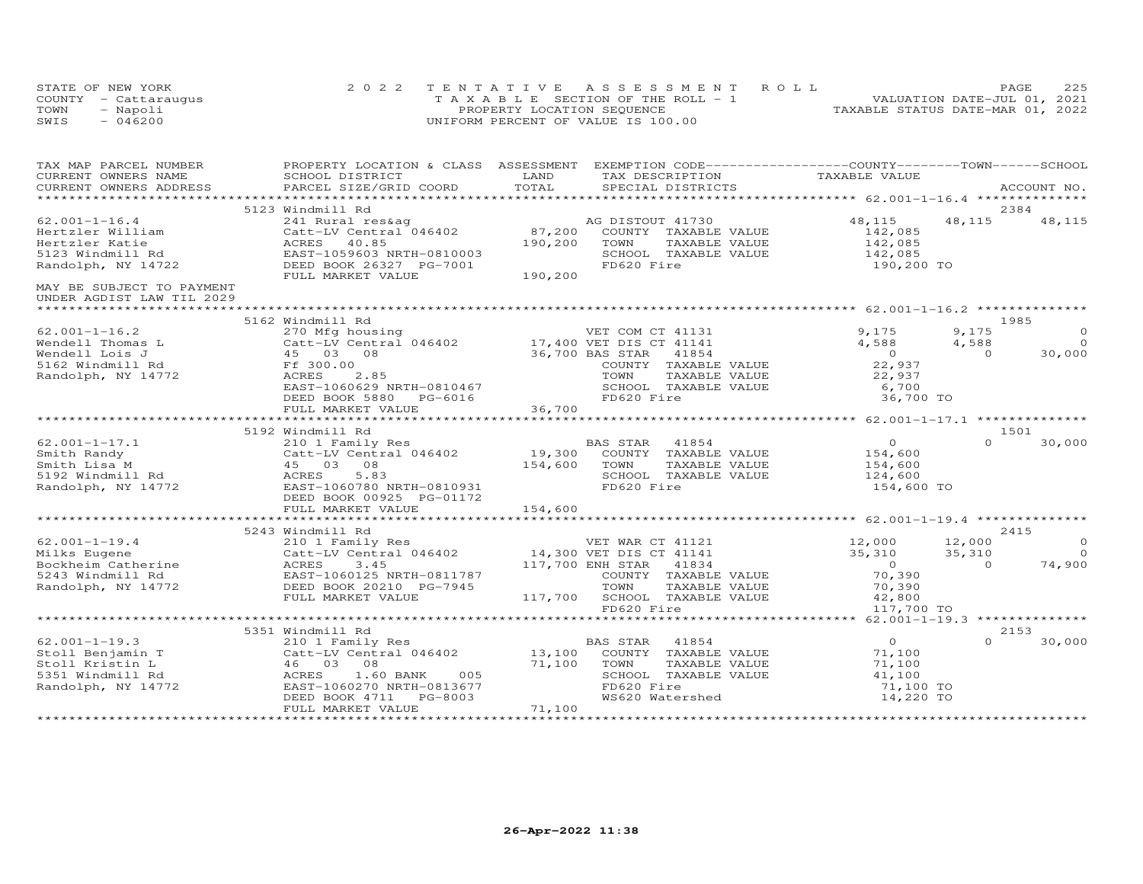|      | STATE OF NEW YORK    | 2022 TENTATIVE ASSESSMENT ROLL        | PAGE.                            | 225 |
|------|----------------------|---------------------------------------|----------------------------------|-----|
|      | COUNTY - Cattaraugus | T A X A B L E SECTION OF THE ROLL - 1 | VALUATION DATE-JUL 01, 2021      |     |
| TOWN | - Napoli             | PROPERTY LOCATION SEQUENCE            | TAXABLE STATUS DATE-MAR 01, 2022 |     |
| SWIS | $-046200$            | UNIFORM PERCENT OF VALUE IS 100.00    |                                  |     |

| TAX MAP PARCEL NUMBER                                  | PROPERTY LOCATION & CLASS ASSESSMENT EXEMPTION CODE----------------COUNTY--------TOWN-----SCHOOL                                                                               |         |                                                           |                                          |          |                |
|--------------------------------------------------------|--------------------------------------------------------------------------------------------------------------------------------------------------------------------------------|---------|-----------------------------------------------------------|------------------------------------------|----------|----------------|
| CURRENT OWNERS NAME                                    | SCHOOL DISTRICT                                                                                                                                                                | LAND    | TAX DESCRIPTION                                           | TAXABLE VALUE                            |          |                |
| CURRENT OWNERS ADDRESS                                 | PARCEL SIZE/GRID COORD                                                                                                                                                         | TOTAL   | SPECIAL DISTRICTS                                         |                                          |          | ACCOUNT NO.    |
|                                                        |                                                                                                                                                                                |         |                                                           |                                          |          |                |
|                                                        | 5123 Windmill Rd                                                                                                                                                               |         |                                                           |                                          |          | 2384           |
| $62.001 - 1 - 16.4$                                    | 241 Rural res&ag<br>Catt-LV Central 046402 87,200                                                                                                                              |         | AG DISTOUT 41730                                          | 48,115                                   | 48,115   | 48,115         |
| Hertzler William                                       |                                                                                                                                                                                |         | COUNTY TAXABLE VALUE                                      | 142,085                                  |          |                |
| Hertzler Katie                                         | ACRES 40.85                                                                                                                                                                    | 190,200 | TOWN<br>TAXABLE VALUE                                     | 142,085                                  |          |                |
| 5123 Windmill Rd                                       | EAST-1059603 NRTH-0810003                                                                                                                                                      |         | SCHOOL TAXABLE VALUE                                      | 142,085                                  |          |                |
| Randolph, NY 14722                                     | DEED BOOK 26327 PG-7001                                                                                                                                                        |         | FD620 Fire                                                | 190,200 TO                               |          |                |
|                                                        | FULL MARKET VALUE                                                                                                                                                              | 190,200 |                                                           |                                          |          |                |
| MAY BE SUBJECT TO PAYMENT<br>UNDER AGDIST LAW TIL 2029 |                                                                                                                                                                                |         |                                                           |                                          |          |                |
|                                                        |                                                                                                                                                                                |         |                                                           |                                          |          |                |
|                                                        | 5162 Windmill Rd                                                                                                                                                               |         |                                                           |                                          |          | 1985           |
| $62.001 - 1 - 16.2$                                    | 270 Mfg housing                                                                                                                                                                |         | VET COM CT 41131                                          | 9,175                                    | 9,175    | $\circ$        |
| Wendell Thomas L                                       | Catt-LV Central 046402 17,400 VET DIS CT 41141                                                                                                                                 |         |                                                           | 4,588                                    | 4,588    | $\overline{0}$ |
| Wendell Lois J                                         | 45 03 08                                                                                                                                                                       |         | 36,700 BAS STAR 41854                                     | $\overline{0}$                           | $\Omega$ | 30,000         |
| 5162 Windmill Rd                                       | $\overrightarrow{Ff}$ 300.00<br>ACRES 2                                                                                                                                        |         | COUNTY TAXABLE VALUE                                      | 22,937                                   |          |                |
| Randolph, NY 14772                                     | 2.85                                                                                                                                                                           |         | TOWN<br>TAXABLE VALUE                                     | 22,937                                   |          |                |
|                                                        |                                                                                                                                                                                |         | SCHOOL TAXABLE VALUE                                      | 6,700                                    |          |                |
|                                                        | EAST-1060629 NRTH-0810467<br>DEED BOOK 5880 PG-6016                                                                                                                            |         | FD620 Fire                                                | 36,700 TO                                |          |                |
|                                                        | FULL MARKET VALUE                                                                                                                                                              | 36,700  |                                                           |                                          |          |                |
|                                                        |                                                                                                                                                                                |         |                                                           |                                          |          |                |
|                                                        | 5192 Windmill Rd                                                                                                                                                               |         |                                                           |                                          |          | 1501           |
| $62.001 - 1 - 17.1$                                    | 210 1 Family Res                                                                                                                                                               |         | BAS STAR 41854                                            | $\overline{0}$                           | $\Omega$ | 30,000         |
|                                                        |                                                                                                                                                                                |         | 19,300 COUNTY TAXABLE VALUE<br>154,600 TOWN TAXABLE VALUE |                                          |          |                |
|                                                        |                                                                                                                                                                                |         |                                                           | 154,600<br>154,600                       |          |                |
|                                                        |                                                                                                                                                                                |         | SCHOOL TAXABLE VALUE                                      | 124,600                                  |          |                |
|                                                        | 62.001-1-17.1<br>Smith Randy<br>Smith Lisa M<br>5192 Windmill Rd<br>Randolph, NY 14772<br>EAST-1060780 NRTH-0810931<br>Randolph, NY 14772<br>EAST-1060780 NRTH-0810931         |         | FD620 Fire                                                | 154,600 TO                               |          |                |
|                                                        | DEED BOOK 00925 PG-01172                                                                                                                                                       |         |                                                           |                                          |          |                |
|                                                        |                                                                                                                                                                                |         |                                                           |                                          |          |                |
|                                                        |                                                                                                                                                                                |         |                                                           |                                          |          |                |
|                                                        | 5243 Windmill Rd                                                                                                                                                               |         |                                                           |                                          |          | 2415           |
| $62.001 - 1 - 19.4$                                    |                                                                                                                                                                                |         | VET WAR CT 41121                                          | 12,000                                   | 12,000   | $\overline{O}$ |
|                                                        | 62.001-1-19.4<br>Milks Eugene<br>Bockheim Catherine<br>5243 Windmill Rd<br>Randolph, NY 14772<br>Randolph, NY 14772<br>CALL DEED BOOK 20210 PG-7945<br>DEED BOOK 20210 PG-7945 |         |                                                           | 35,310                                   | 35,310   | $\overline{O}$ |
|                                                        |                                                                                                                                                                                |         | 117,700 ENH STAR 41834                                    | $\overline{0}$                           | $\Omega$ | 74,900         |
|                                                        |                                                                                                                                                                                |         | COUNTY TAXABLE VALUE                                      | 70,390                                   |          |                |
|                                                        |                                                                                                                                                                                |         | TOWN<br>TAXABLE VALUE                                     | 70,390                                   |          |                |
|                                                        | FULL MARKET VALUE                                                                                                                                                              |         | 117,700 SCHOOL TAXABLE VALUE                              | 42,800                                   |          |                |
|                                                        |                                                                                                                                                                                |         | FD620 Fire                                                | 117,700 TO                               |          |                |
|                                                        | **************************************                                                                                                                                         |         | ****************************                              | *********** 62.001-1-19.3 ************** |          |                |
|                                                        | 5351 Windmill Rd                                                                                                                                                               |         |                                                           |                                          |          | 2153           |
| $62.001 - 1 - 19.3$                                    |                                                                                                                                                                                |         | BAS STAR<br>41854                                         | $\overline{O}$                           | $\Omega$ | 30,000         |
| Stoll Benjamin T                                       | 210 1 Family Res BA<br>Catt-LV Central 046402 13,100                                                                                                                           |         | COUNTY TAXABLE VALUE                                      | 71,100                                   |          |                |
| Stoll Kristin L                                        | 46 03 08                                                                                                                                                                       | 71,100  | TOWN<br>TAXABLE VALUE                                     | 71,100                                   |          |                |
| 5351 Windmill Rd                                       | 005<br>1.60 BANK<br>ACRES                                                                                                                                                      |         | SCHOOL TAXABLE VALUE                                      | 41,100                                   |          |                |
| Randolph, NY 14772                                     | EAST-1060270 NRTH-0813677                                                                                                                                                      |         |                                                           | 71,100 TO                                |          |                |
|                                                        | PG-8003<br>DEED BOOK 4711                                                                                                                                                      |         | FD620 Fire<br>WS620 Watershed                             | 14,220 TO                                |          |                |
|                                                        | FULL MARKET VALUE                                                                                                                                                              | 71,100  |                                                           |                                          |          |                |
|                                                        |                                                                                                                                                                                |         |                                                           |                                          |          |                |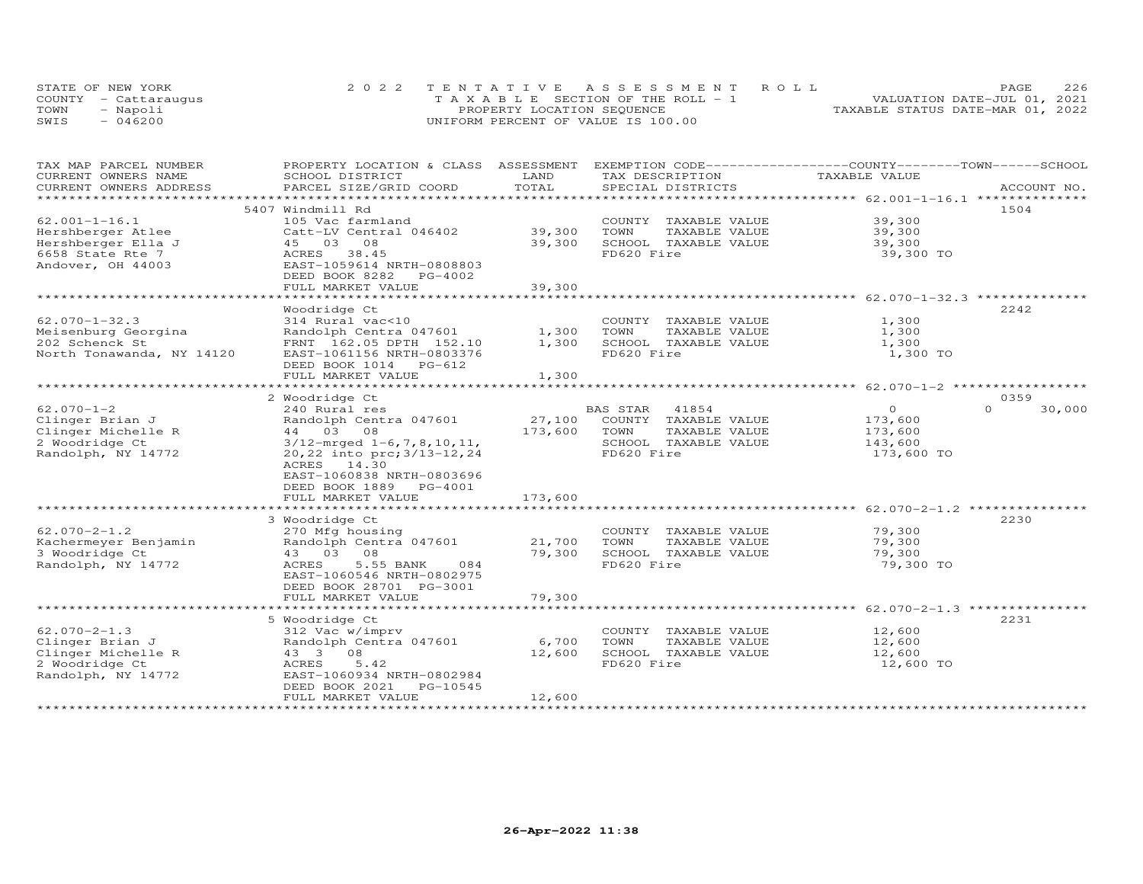| STATE OF NEW YORK    | 2022 TENTATIVE ASSESSMENT ROLL        | 226<br>PAGE.                     |
|----------------------|---------------------------------------|----------------------------------|
| COUNTY - Cattaraugus | T A X A B L E SECTION OF THE ROLL - 1 | VALUATION DATE-JUL 01, 2021      |
| TOWN<br>- Napoli     | PROPERTY LOCATION SEQUENCE            | TAXABLE STATUS DATE-MAR 01, 2022 |
| $-046200$<br>SWIS    | UNIFORM PERCENT OF VALUE IS 100.00    |                                  |

| TAX MAP PARCEL NUMBER     | PROPERTY LOCATION & CLASS ASSESSMENT |              | EXEMPTION CODE-----------------COUNTY-------TOWN------SCHOOL |                                                  |                    |
|---------------------------|--------------------------------------|--------------|--------------------------------------------------------------|--------------------------------------------------|--------------------|
| CURRENT OWNERS NAME       | SCHOOL DISTRICT                      | LAND         | TAX DESCRIPTION                                              | TAXABLE VALUE                                    |                    |
| CURRENT OWNERS ADDRESS    | PARCEL SIZE/GRID COORD               | TOTAL        | SPECIAL DISTRICTS                                            |                                                  | ACCOUNT NO.        |
| **********************    |                                      |              |                                                              |                                                  |                    |
|                           | 5407 Windmill Rd                     |              |                                                              |                                                  | 1504               |
| $62.001 - 1 - 16.1$       | 105 Vac farmland                     |              | COUNTY TAXABLE VALUE                                         | 39,300                                           |                    |
| Hershberger Atlee         | Catt-LV Central 046402               | 39,300       | TOWN<br>TAXABLE VALUE                                        | 39,300                                           |                    |
| Hershberger Ella J        | 45 03 08                             | 39,300       | SCHOOL TAXABLE VALUE                                         | 39,300                                           |                    |
| 6658 State Rte 7          | ACRES 38.45                          |              | FD620 Fire                                                   | 39,300 TO                                        |                    |
| Andover, OH 44003         | EAST-1059614 NRTH-0808803            |              |                                                              |                                                  |                    |
|                           | DEED BOOK 8282 PG-4002               |              |                                                              |                                                  |                    |
|                           | FULL MARKET VALUE                    | 39,300       |                                                              |                                                  |                    |
|                           |                                      |              |                                                              |                                                  |                    |
|                           | Woodridge Ct                         |              |                                                              |                                                  | 2242               |
| $62.070 - 1 - 32.3$       | 314 Rural vac<10                     |              | COUNTY TAXABLE VALUE                                         | 1,300                                            |                    |
| Meisenburg Georgina       | Randolph Centra 047601               | 1,300        | TOWN<br>TAXABLE VALUE                                        | 1,300                                            |                    |
| 202 Schenck St            | FRNT 162.05 DPTH 152.10              | 1,300        | SCHOOL TAXABLE VALUE                                         | 1,300                                            |                    |
| North Tonawanda, NY 14120 | EAST-1061156 NRTH-0803376            |              | FD620 Fire                                                   | 1,300 TO                                         |                    |
|                           |                                      |              |                                                              |                                                  |                    |
|                           | DEED BOOK 1014 PG-612                |              |                                                              |                                                  |                    |
|                           | FULL MARKET VALUE                    | 1,300        |                                                              |                                                  |                    |
|                           | 2 Woodridge Ct                       |              |                                                              |                                                  | 0359               |
| $62.070 - 1 - 2$          | 240 Rural res                        |              | BAS STAR 41854                                               | $\Omega$                                         | 30,000<br>$\Omega$ |
|                           | Randolph Centra 047601               | 27,100       |                                                              |                                                  |                    |
| Clinger Brian J           | 44 03 08                             |              | COUNTY TAXABLE VALUE<br>TOWN                                 | 173,600                                          |                    |
| Clinger Michelle R        |                                      | 173,600      | TAXABLE VALUE                                                | 173,600                                          |                    |
| 2 Woodridge Ct            | $3/12$ -mrged $1-6, 7, 8, 10, 11,$   |              | SCHOOL TAXABLE VALUE                                         | 143,600                                          |                    |
| Randolph, NY 14772        | 20,22 into prc; 3/13-12,24           |              | FD620 Fire                                                   | 173,600 TO                                       |                    |
|                           | ACRES 14.30                          |              |                                                              |                                                  |                    |
|                           | EAST-1060838 NRTH-0803696            |              |                                                              |                                                  |                    |
|                           | DEED BOOK 1889 PG-4001               |              |                                                              |                                                  |                    |
|                           | FULL MARKET VALUE                    | 173,600      |                                                              |                                                  |                    |
|                           |                                      | ************ |                                                              | ************************ 62.070-2-1.2 ********** |                    |
|                           | 3 Woodridge Ct                       |              |                                                              |                                                  | 2230               |
| $62.070 - 2 - 1.2$        | 270 Mfg housing                      |              | COUNTY TAXABLE VALUE                                         | 79,300                                           |                    |
| Kachermeyer Benjamin      | Randolph Centra 047601               | 21,700       | TOWN<br>TAXABLE VALUE                                        | 79,300                                           |                    |
| 3 Woodridge Ct            | 43 03 08                             | 79,300       | SCHOOL TAXABLE VALUE                                         | 79,300                                           |                    |
| Randolph, NY 14772        | 5.55 BANK<br>ACRES<br>084            |              | FD620 Fire                                                   | 79,300 TO                                        |                    |
|                           | EAST-1060546 NRTH-0802975            |              |                                                              |                                                  |                    |
|                           | DEED BOOK 28701 PG-3001              |              |                                                              |                                                  |                    |
|                           | FULL MARKET VALUE                    | 79,300       |                                                              |                                                  |                    |
|                           |                                      |              |                                                              |                                                  |                    |
|                           | 5 Woodridge Ct                       |              |                                                              |                                                  | 2231               |
| $62.070 - 2 - 1.3$        | 312 Vac w/imprv                      |              | COUNTY TAXABLE VALUE                                         | 12,600                                           |                    |
| Clinger Brian J           | Randolph Centra 047601               | 6,700        | TOWN<br>TAXABLE VALUE                                        | 12,600                                           |                    |
| Clinger Michelle R        | 43 3 08                              | 12,600       | SCHOOL TAXABLE VALUE                                         | 12,600                                           |                    |
| 2 Woodridge Ct            | ACRES<br>5.42                        |              | FD620 Fire                                                   | 12,600 TO                                        |                    |
| Randolph, NY 14772        | EAST-1060934 NRTH-0802984            |              |                                                              |                                                  |                    |
|                           | DEED BOOK 2021<br>PG-10545           |              |                                                              |                                                  |                    |
|                           | FULL MARKET VALUE                    | 12,600       |                                                              |                                                  |                    |
|                           |                                      |              |                                                              |                                                  |                    |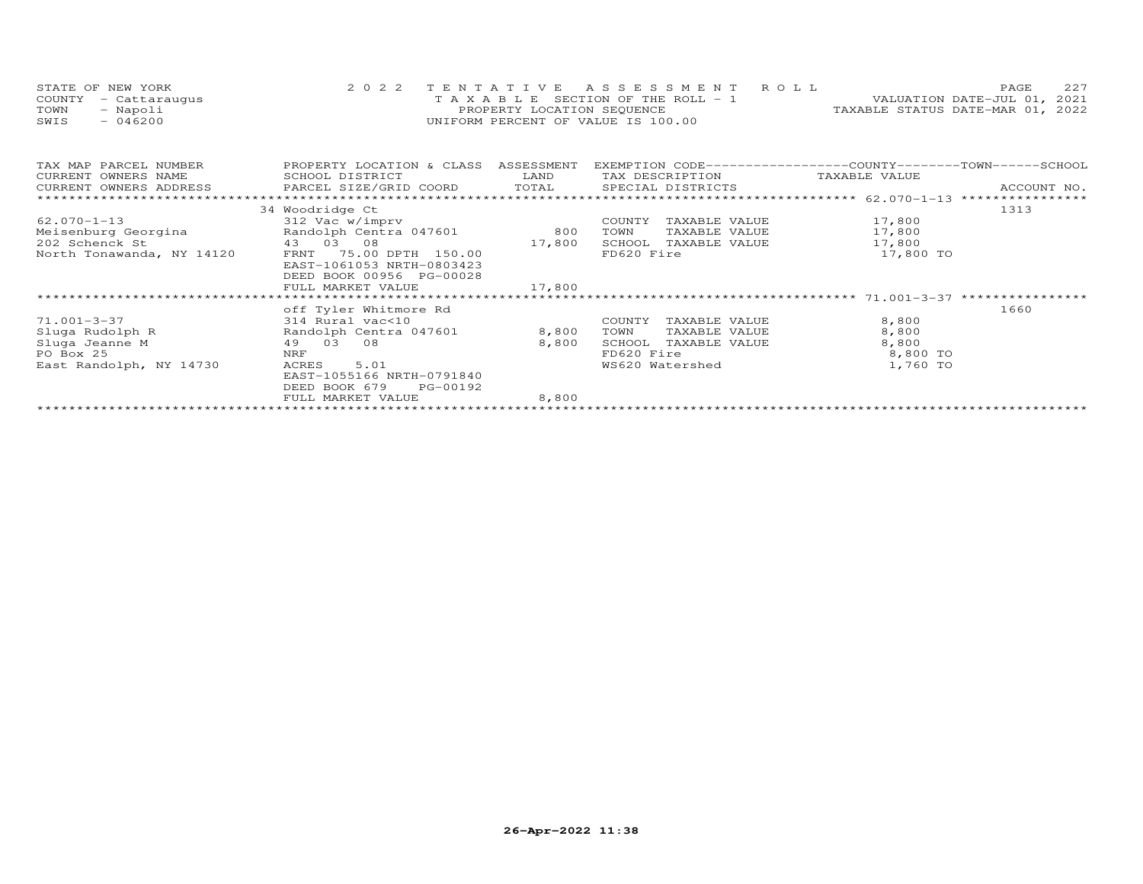| STATE OF NEW YORK    | 2022 TENTATIVE ASSESSMENT ROLL        | 2.2.7<br>PAGE.                   |
|----------------------|---------------------------------------|----------------------------------|
| COUNTY - Cattaraugus | T A X A B L E SECTION OF THE ROLL - 1 | VALUATION DATE-JUL 01, 2021      |
| TOWN<br>- Napoli     | PROPERTY LOCATION SEQUENCE            | TAXABLE STATUS DATE-MAR 01, 2022 |
| $-046200$<br>SWIS    | UNIFORM PERCENT OF VALUE IS 100.00    |                                  |

| TAX MAP PARCEL NUMBER     | PROPERTY LOCATION & CLASS | ASSESSMENT | EXEMPTION CODE-----------------COUNTY-------TOWN------SCHOOL |           |      |
|---------------------------|---------------------------|------------|--------------------------------------------------------------|-----------|------|
| CURRENT OWNERS NAME       | SCHOOL DISTRICT           | LAND       | TAX DESCRIPTION TAXABLE VALUE                                |           |      |
|                           |                           |            |                                                              |           |      |
|                           |                           |            |                                                              |           |      |
|                           | 34 Woodridge Ct           |            |                                                              |           | 1313 |
| $62.070 - 1 - 13$         | 312 Vac w/imprv           |            | COUNTY<br>TAXABLE VALUE                                      | 17,800    |      |
| Meisenburg Georgina       | Randolph Centra 047601    | 800        | TOWN<br>TAXABLE VALUE                                        | 17,800    |      |
| 202 Schenck St            | 43 03 08                  | 17,800     | SCHOOL<br>TAXABLE VALUE                                      | 17,800    |      |
| North Tonawanda, NY 14120 | FRNT 75.00 DPTH 150.00    |            | FD620 Fire                                                   | 17,800 TO |      |
|                           | EAST-1061053 NRTH-0803423 |            |                                                              |           |      |
|                           | DEED BOOK 00956 PG-00028  |            |                                                              |           |      |
|                           | FULL MARKET VALUE         | 17,800     |                                                              |           |      |
|                           |                           |            |                                                              |           |      |
|                           | off Tyler Whitmore Rd     |            |                                                              |           | 1660 |
| 71.001-3-37               | 314 Rural vac<10          |            | TAXABLE VALUE<br>COUNTY                                      | 8,800     |      |
| Sluga Rudolph R           | Randolph Centra 047601    | 8,800      | TOWN<br>TAXABLE VALUE                                        | 8,800     |      |
| Sluga Jeanne M            | 08<br>49 03               | 8,800      | SCHOOL<br>TAXABLE VALUE                                      | 8,800     |      |
| PO Box 25                 | NRF                       |            | FD620 Fire                                                   | 8,800 TO  |      |
| East Randolph, NY 14730   | 5.01<br>ACRES             |            | WS620 Watershed                                              | 1,760 TO  |      |
|                           | EAST-1055166 NRTH-0791840 |            |                                                              |           |      |
|                           | DEED BOOK 679 PG-00192    |            |                                                              |           |      |
|                           | FULL MARKET VALUE         | 8,800      |                                                              |           |      |
|                           |                           |            |                                                              |           |      |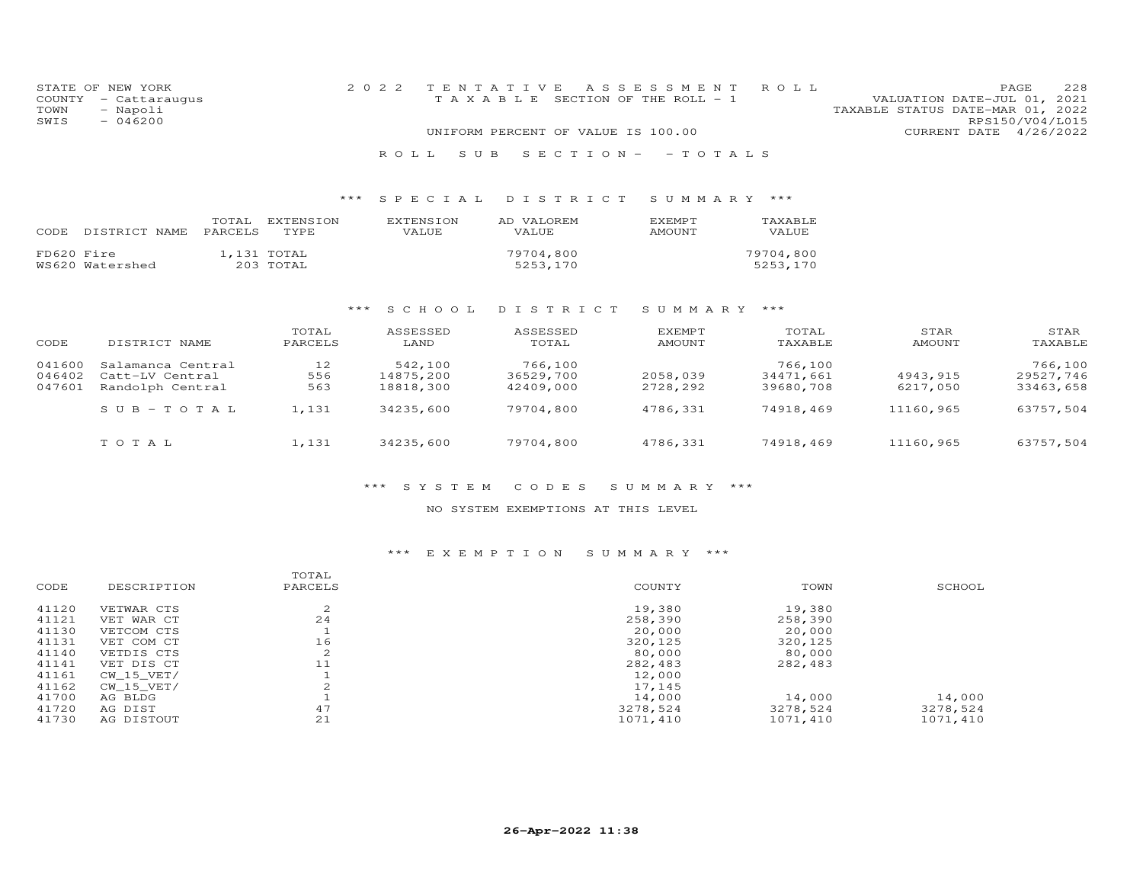| STATE OF NEW YORK    | 2022 TENTATIVE ASSESSMENT ROLL                                 | PAGE                   | 228 |
|----------------------|----------------------------------------------------------------|------------------------|-----|
| COUNTY - Cattaraugus | TAXABLE SECTION OF THE ROLL - 1<br>VALUATION DATE-JUL 01, 2021 |                        |     |
| - Napoli<br>TOWN     | TAXABLE STATUS DATE-MAR 01, 2022                               |                        |     |
| SWIS<br>$-046200$    |                                                                | RPS150/V04/L015        |     |
|                      | UNIFORM PERCENT OF VALUE IS 100.00                             | CURRENT DATE 4/26/2022 |     |
|                      |                                                                |                        |     |

## R O L L S U B S E C T I O N - - T O T A L S

## \*\*\* S P E C I A L D I S T R I C T S U M M A R Y \*\*\*

| CODE.      | DISTRICT NAME PARCELS TYPE | TOTAL. | EXTENSION                | <b>EXTENSION</b><br>VALUE | AD VALOREM<br>VALUE   | <b>EXEMPT</b><br>AMOUNT | TAXABLE<br>VALUE      |
|------------|----------------------------|--------|--------------------------|---------------------------|-----------------------|-------------------------|-----------------------|
| FD620 Fire | WS620 Watershed            |        | 1,131 TOTAL<br>203 TOTAL |                           | 79704,800<br>5253,170 |                         | 79704,800<br>5253,170 |

## \*\*\* S C H O O L D I S T R I C T S U M M A R Y \*\*\*

| CODE   | DISTRICT NAME     | TOTAL<br>PARCELS | ASSESSED<br>LAND | ASSESSED<br>TOTAL | EXEMPT<br>AMOUNT | TOTAL<br>TAXABLE | STAR<br>AMOUNT | STAR<br>TAXABLE |
|--------|-------------------|------------------|------------------|-------------------|------------------|------------------|----------------|-----------------|
| 041600 | Salamanca Central | 12               | 542,100          | 766,100           |                  | 766,100          |                | 766,100         |
| 046402 | Catt-LV Central   | 556              | 14875,200        | 36529,700         | 2058,039         | 34471,661        | 4943,915       | 29527.746       |
| 047601 | Randolph Central  | 563              | 18818,300        | 42409,000         | 2728,292         | 39680,708        | 6217,050       | 33463,658       |
|        | $SUB - TO T AL$   | 1,131            | 34235,600        | 79704,800         | 4786.331         | 74918,469        | 11160,965      | 63757,504       |
|        | TOTAL             | 1,131            | 34235,600        | 79704,800         | 4786,331         | 74918,469        | 11160,965      | 63757,504       |

## \*\*\* S Y S T E M C O D E S S U M M A R Y \*\*\*

## NO SYSTEM EXEMPTIONS AT THIS LEVEL

## \*\*\* E X E M P T I O N S U M M A R Y \*\*\*

|       |              | TOTAL       |          |          |          |
|-------|--------------|-------------|----------|----------|----------|
| CODE  | DESCRIPTION  | PARCELS     | COUNTY   | TOWN     | SCHOOL   |
| 41120 | VETWAR CTS   | $\sim$<br>∠ | 19,380   | 19,380   |          |
| 41121 | VET WAR CT   | 24          | 258,390  | 258,390  |          |
| 41130 | VETCOM CTS   |             | 20,000   | 20,000   |          |
| 41131 | VET COM CT   | 16          | 320,125  | 320,125  |          |
| 41140 | VETDIS CTS   | 2           | 80,000   | 80,000   |          |
| 41141 | VET DIS CT   | 11          | 282,483  | 282,483  |          |
| 41161 | CW 15 VET/   |             | 12,000   |          |          |
| 41162 | $CW_15_VET/$ |             | 17,145   |          |          |
| 41700 | AG BLDG      |             | 14,000   | 14,000   | 14,000   |
| 41720 | AG DIST      | 47          | 3278,524 | 3278,524 | 3278,524 |
| 41730 | AG DISTOUT   | 21          | 1071,410 | 1071,410 | 1071,410 |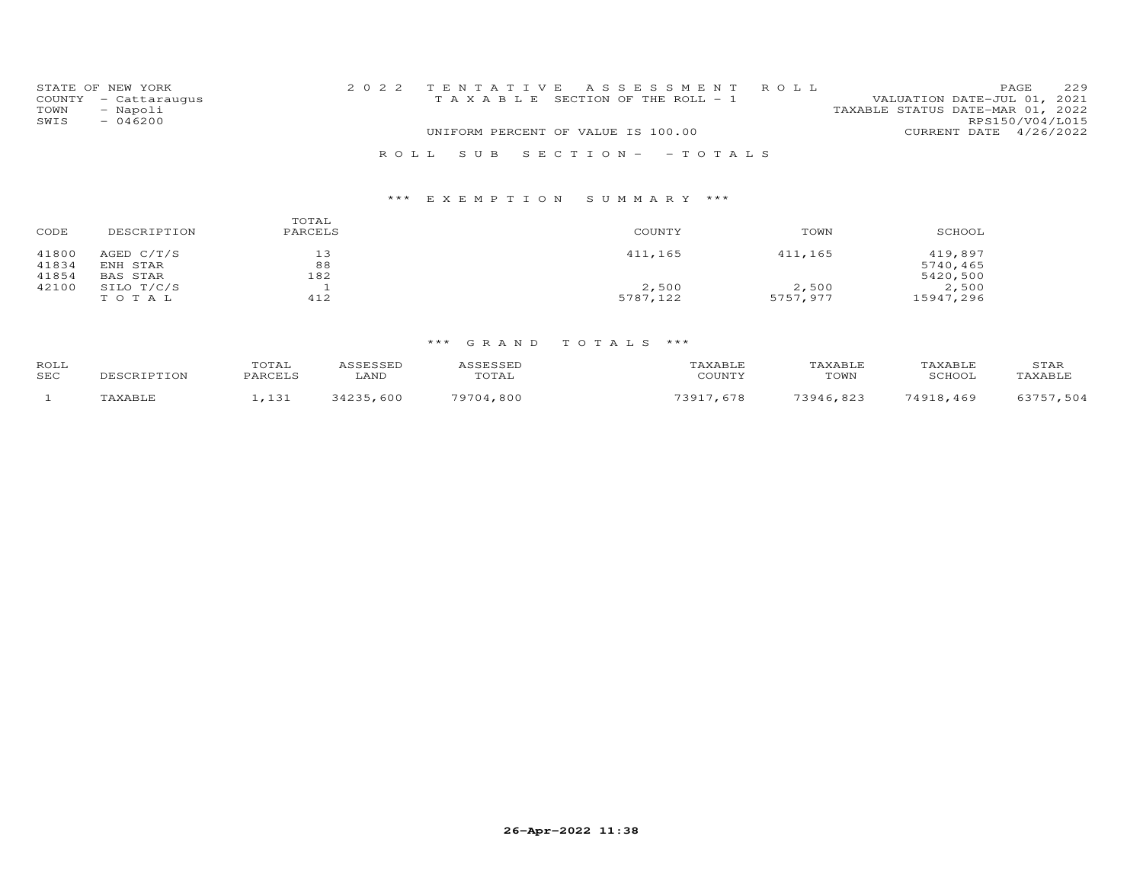|      | STATE OF NEW YORK    | 2022 TENTATIVE ASSESSMENT ROLL |                                       |  |                                  |                 | PAGE. | 229 |
|------|----------------------|--------------------------------|---------------------------------------|--|----------------------------------|-----------------|-------|-----|
|      | COUNTY - Cattaraugus |                                | T A X A B L E SECTION OF THE ROLL - 1 |  | VALUATION DATE-JUL 01, 2021      |                 |       |     |
| TOWN | - Napoli             |                                |                                       |  | TAXABLE STATUS DATE-MAR 01, 2022 |                 |       |     |
| SWIS | $-046200$            |                                |                                       |  |                                  | RPS150/V04/L015 |       |     |
|      |                      |                                | UNIFORM PERCENT OF VALUE IS 100.00    |  | CURRENT DATE 4/26/2022           |                 |       |     |
|      |                      |                                |                                       |  |                                  |                 |       |     |
|      |                      | ROLL SUB SECTION- - TOTALS     |                                       |  |                                  |                 |       |     |

# \*\*\* E X E M P T I O N S U M M A R Y \*\*\*

| CODE           | DESCRIPTION              | TOTAL<br>PARCELS | COUNTY   | TOWN     | SCHOOL              |
|----------------|--------------------------|------------------|----------|----------|---------------------|
| 41800<br>41834 | AGED $C/T/S$<br>ENH STAR | 13<br>88         | 411,165  | 411,165  | 419,897<br>5740,465 |
| 41854          | BAS STAR                 | 182              |          |          | 5420,500            |
| 42100          | SILO T/C/S               |                  | 2,500    | 2,500    | 2,500               |
|                | TOTAL                    | 412              | 5787,122 | 5757,977 | 15947,296           |

| ROLL<br>SEC | SCRIPTION | TOTAL<br>PARCELS | ⊥AND | <b>SSESSED</b><br>,,,,,,,,,,,<br>TOTAL | AXABLE<br>COUNTY | `AXABLE<br>TOWN | SCHOOT    | STAR<br><b>TAXABLE</b> |
|-------------|-----------|------------------|------|----------------------------------------|------------------|-----------------|-----------|------------------------|
|             |           | 121<br>, 101     | 600  | 79704<br>,800                          | 73917            | 73916<br>, 823  | 74918,469 | $F \cap A$             |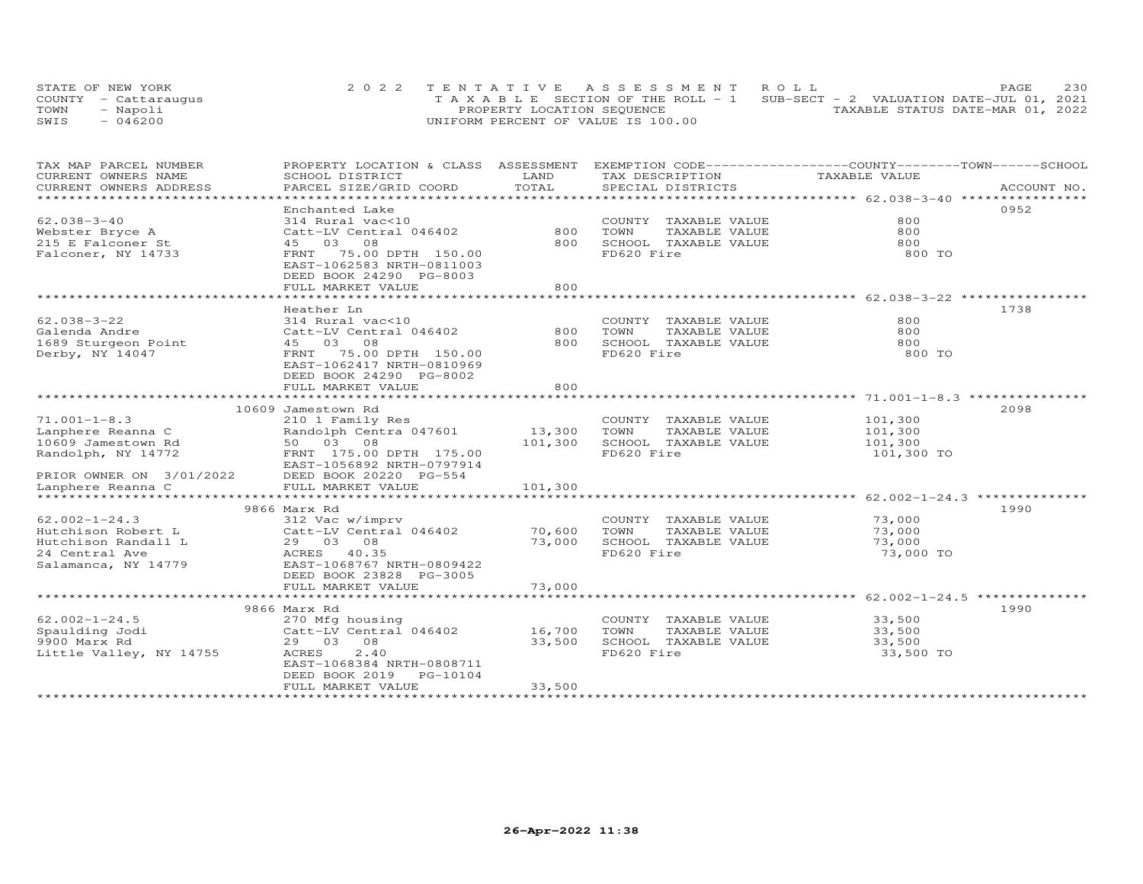|      | STATE OF NEW YORK    | 2022 TENTATIVE ASSESSMENT ROLL        |                                          | PAGE | 230 |
|------|----------------------|---------------------------------------|------------------------------------------|------|-----|
|      | COUNTY - Cattaraugus | T A X A B L E SECTION OF THE ROLL - 1 | SUB-SECT - 2 VALUATION DATE-JUL 01, 2021 |      |     |
| TOWN | - Napoli             | PROPERTY LOCATION SEQUENCE            | TAXABLE STATUS DATE-MAR 01, 2022         |      |     |
| SWIS | $-046200$            | UNIFORM PERCENT OF VALUE IS 100.00    |                                          |      |     |

| TAX MAP PARCEL NUMBER<br>CURRENT OWNERS NAME | PROPERTY LOCATION & CLASS ASSESSMENT<br>SCHOOL DISTRICT                           | LAND    | EXEMPTION CODE-----------------COUNTY-------TOWN-----SCHOOL<br>TAX DESCRIPTION | TAXABLE VALUE               |             |
|----------------------------------------------|-----------------------------------------------------------------------------------|---------|--------------------------------------------------------------------------------|-----------------------------|-------------|
| CURRENT OWNERS ADDRESS                       | PARCEL SIZE/GRID COORD                                                            | TOTAL   | SPECIAL DISTRICTS                                                              |                             | ACCOUNT NO. |
| **********************                       |                                                                                   |         |                                                                                |                             |             |
|                                              | Enchanted Lake                                                                    |         |                                                                                |                             | 0952        |
| $62.038 - 3 - 40$                            | 314 Rural vac<10                                                                  |         | COUNTY TAXABLE VALUE                                                           | 800                         |             |
| Webster Bryce A                              | Catt-LV Central 046402                                                            | 800     | TAXABLE VALUE<br>TOWN                                                          | 800                         |             |
| 215 E Falconer St                            | 08<br>45 03                                                                       | 800     | SCHOOL TAXABLE VALUE                                                           | 800                         |             |
| Falconer, NY 14733                           | FRNT<br>75.00 DPTH 150.00<br>EAST-1062583 NRTH-0811003<br>DEED BOOK 24290 PG-8003 |         | FD620 Fire                                                                     | 800 TO                      |             |
|                                              | FULL MARKET VALUE                                                                 | 800     |                                                                                |                             |             |
|                                              |                                                                                   |         |                                                                                | ************ 62.038-3-22 ** |             |
|                                              | Heather Ln                                                                        |         |                                                                                |                             | 1738        |
| $62.038 - 3 - 22$                            | 314 Rural vac<10                                                                  |         | COUNTY<br>TAXABLE VALUE                                                        | 800                         |             |
| Galenda Andre                                | Catt-LV Central 046402                                                            | 800     | TOWN<br>TAXABLE VALUE                                                          | 800                         |             |
| 1689 Sturgeon Point                          | 45 03<br>08                                                                       | 800     | SCHOOL TAXABLE VALUE                                                           | 800                         |             |
| Derby, NY 14047                              | FRNT<br>75.00 DPTH 150.00                                                         |         | FD620 Fire                                                                     | 800 TO                      |             |
|                                              | EAST-1062417 NRTH-0810969                                                         |         |                                                                                |                             |             |
|                                              | DEED BOOK 24290 PG-8002                                                           |         |                                                                                |                             |             |
|                                              | FULL MARKET VALUE                                                                 | 800     |                                                                                |                             |             |
|                                              |                                                                                   |         |                                                                                |                             |             |
|                                              | 10609 Jamestown Rd                                                                |         |                                                                                |                             | 2098        |
| $71.001 - 1 - 8.3$                           | 210 1 Family Res                                                                  |         | COUNTY TAXABLE VALUE                                                           | 101,300                     |             |
| Lanphere Reanna C                            | Randolph Centra 047601                                                            | 13,300  | TOWN<br>TAXABLE VALUE                                                          | 101,300                     |             |
| 10609 Jamestown Rd                           | 50 03 08                                                                          | 101,300 | SCHOOL TAXABLE VALUE                                                           | 101,300                     |             |
| Randolph, NY 14772                           | FRNT 175.00 DPTH 175.00                                                           |         | FD620 Fire                                                                     | 101,300 TO                  |             |
|                                              | EAST-1056892 NRTH-0797914                                                         |         |                                                                                |                             |             |
| PRIOR OWNER ON 3/01/2022                     | DEED BOOK 20220 PG-554                                                            |         |                                                                                |                             |             |
| Lanphere Reanna C                            | FULL MARKET VALUE                                                                 | 101,300 |                                                                                |                             |             |
|                                              |                                                                                   |         |                                                                                |                             |             |
|                                              | 9866 Marx Rd                                                                      |         |                                                                                |                             | 1990        |
| $62.002 - 1 - 24.3$                          | 312 Vac w/imprv                                                                   |         | COUNTY TAXABLE VALUE                                                           | 73,000                      |             |
| Hutchison Robert L                           | Catt-LV Central 046402                                                            | 70,600  | TOWN<br>TAXABLE VALUE                                                          | 73,000                      |             |
| Hutchison Randall L                          | 29 03 08                                                                          | 73,000  | SCHOOL TAXABLE VALUE                                                           | 73,000                      |             |
| 24 Central Ave                               | ACRES 40.35                                                                       |         | FD620 Fire                                                                     | 73,000 TO                   |             |
| Salamanca, NY 14779                          | EAST-1068767 NRTH-0809422                                                         |         |                                                                                |                             |             |
|                                              | DEED BOOK 23828 PG-3005<br>FULL MARKET VALUE                                      |         |                                                                                |                             |             |
|                                              |                                                                                   | 73,000  |                                                                                |                             |             |
|                                              | 9866 Marx Rd                                                                      |         |                                                                                |                             | 1990        |
| $62.002 - 1 - 24.5$                          | 270 Mfg housing                                                                   |         | COUNTY TAXABLE VALUE                                                           | 33,500                      |             |
| Spaulding Jodi                               | Catt-LV Central 046402                                                            | 16,700  | TOWN<br>TAXABLE VALUE                                                          | 33,500                      |             |
| 9900 Marx Rd                                 | 29 03 08                                                                          | 33,500  | SCHOOL TAXABLE VALUE                                                           | 33,500                      |             |
| Little Valley, NY 14755                      | ACRES<br>2.40                                                                     |         | FD620 Fire                                                                     | 33,500 TO                   |             |
|                                              | EAST-1068384 NRTH-0808711                                                         |         |                                                                                |                             |             |
|                                              | DEED BOOK 2019<br>PG-10104                                                        |         |                                                                                |                             |             |
|                                              | FULL MARKET VALUE                                                                 | 33,500  |                                                                                |                             |             |
|                                              |                                                                                   |         |                                                                                |                             |             |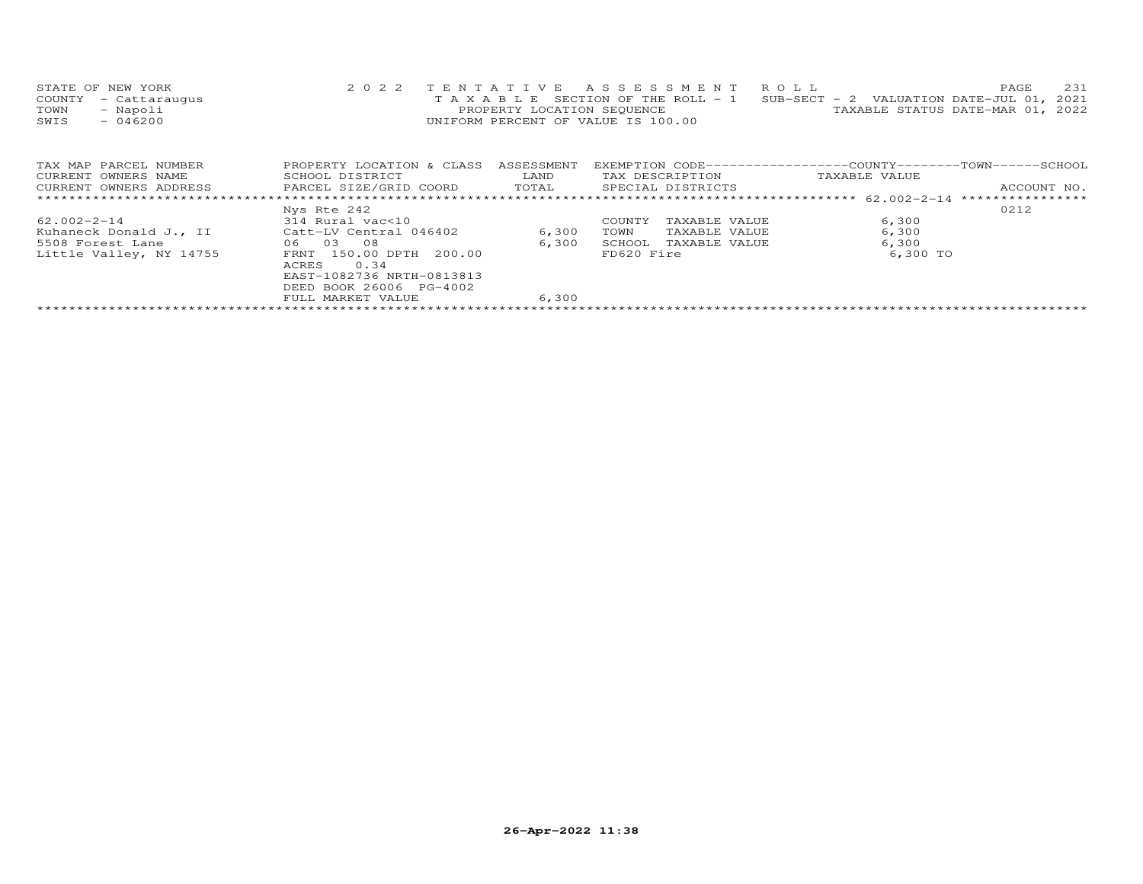| STATE OF NEW YORK    | 2022 TENTATIVE ASSESSMENT ROLL                                                 | 2.31<br>PAGE.                    |
|----------------------|--------------------------------------------------------------------------------|----------------------------------|
| COUNTY - Cattaraugus | T A X A B L E SECTION OF THE ROLL - 1 SUB-SECT - 2 VALUATION DATE-JUL 01, 2021 |                                  |
| TOWN<br>- Napoli     | PROPERTY LOCATION SEQUENCE                                                     | TAXABLE STATUS DATE-MAR 01, 2022 |
| SWIS<br>- 046200     | UNIFORM PERCENT OF VALUE IS 100.00                                             |                                  |
|                      |                                                                                |                                  |

| TAX MAP PARCEL NUMBER   | PROPERTY LOCATION & CLASS  | ASSESSMENT | EXEMPTION CODE-----------------COUNTY-------TOWN-----SCHOOL |               |                  |
|-------------------------|----------------------------|------------|-------------------------------------------------------------|---------------|------------------|
| CURRENT OWNERS NAME     | SCHOOL DISTRICT            | LAND       | TAX DESCRIPTION                                             | TAXABLE VALUE |                  |
| CURRENT OWNERS ADDRESS  | PARCEL SIZE/GRID COORD     | TOTAL      | SPECIAL DISTRICTS                                           |               | ACCOUNT NO.      |
|                         |                            |            |                                                             |               | **************** |
|                         | Nys Rte 242                |            |                                                             |               | 0212             |
| 62.002-2-14             | 314 Rural vac<10           |            | TAXABLE VALUE<br>COUNTY                                     | 6,300         |                  |
| Kuhaneck Donald J., II  | Catt-LV Central 046402     | 6,300      | TOWN<br>TAXABLE VALUE                                       | 6,300         |                  |
| 5508 Forest Lane        | 0.3<br>- 0.8<br>06         | 6,300      | TAXABLE VALUE<br>SCHOOL                                     | 6,300         |                  |
| Little Valley, NY 14755 | 150.00 DPTH 200.00<br>FRNT |            | FD620 Fire                                                  | 6,300 TO      |                  |
|                         | 0.34<br>ACRES              |            |                                                             |               |                  |
|                         | EAST-1082736 NRTH-0813813  |            |                                                             |               |                  |
|                         | DEED BOOK 26006 PG-4002    |            |                                                             |               |                  |
|                         | FULL MARKET VALUE          | 6,300      |                                                             |               |                  |
|                         |                            |            |                                                             |               |                  |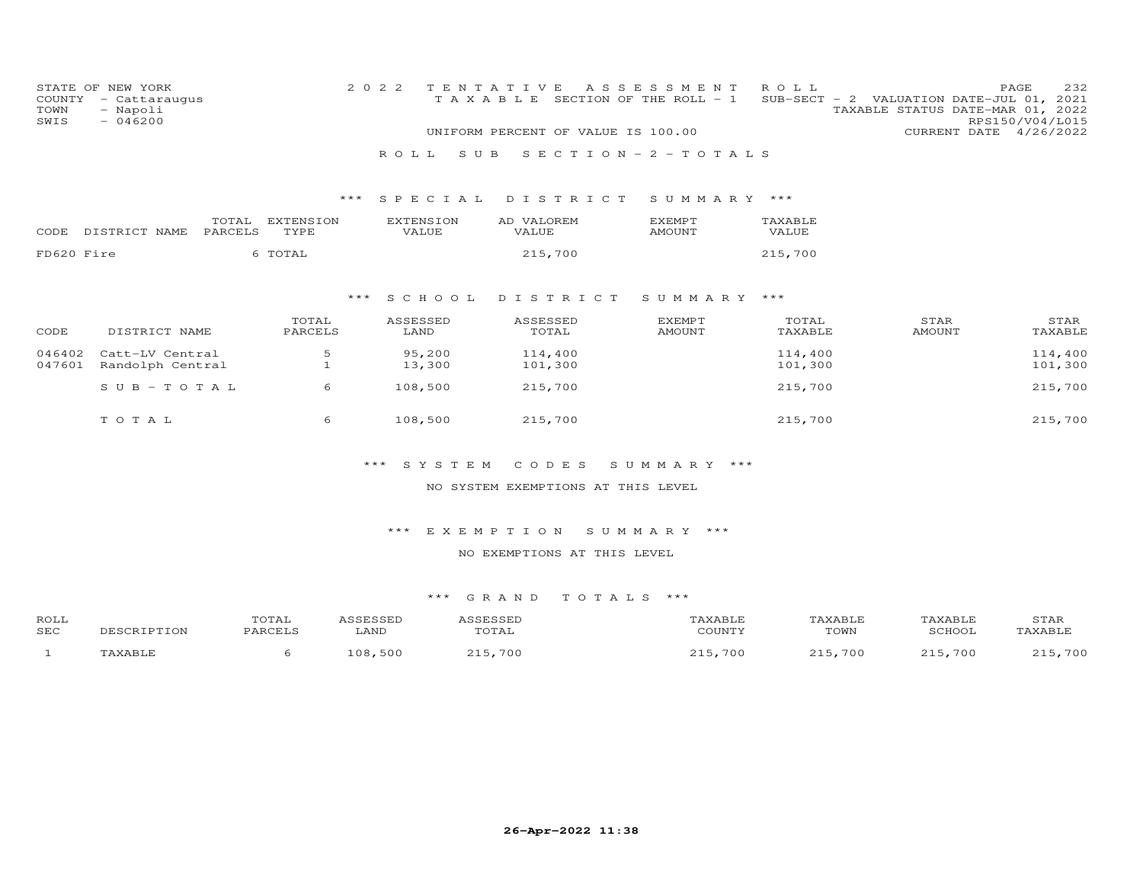| COUNTY<br>TOWN<br>SWIS | STATE OF NEW YORK<br>- Cattaraugus<br>- Napoli<br>$-046200$ |                  |                   |       | 2 0 2 2 |                           | TENTATIVE |            |                    |  | A S S E S S M E N T<br>TAXABLE SECTION OF THE ROLL - 1<br>UNIFORM PERCENT OF VALUE IS 100.00 | ROLL               |                       | PAGE<br>SUB-SECT - 2 VALUATION DATE-JUL 01, 2021<br>TAXABLE STATUS DATE-MAR 01, 2022<br>RPS150/V04/L015<br>CURRENT DATE 4/26/2022 | 232                |
|------------------------|-------------------------------------------------------------|------------------|-------------------|-------|---------|---------------------------|-----------|------------|--------------------|--|----------------------------------------------------------------------------------------------|--------------------|-----------------------|-----------------------------------------------------------------------------------------------------------------------------------|--------------------|
|                        |                                                             |                  |                   |       | R O L L |                           | S U B     |            |                    |  | SECTION - $2$ - TOTALS                                                                       |                    |                       |                                                                                                                                   |                    |
|                        |                                                             |                  |                   | ***   |         |                           |           |            |                    |  |                                                                                              |                    |                       |                                                                                                                                   |                    |
|                        |                                                             |                  |                   |       |         | SPECIAL                   |           |            | DISTRICT           |  | SUMMARY ***                                                                                  |                    |                       |                                                                                                                                   |                    |
| CODE                   | DISTRICT NAME                                               | TOTAL<br>PARCELS | EXTENSION<br>TYPE |       |         | <b>EXTENSION</b><br>VALUE |           | AD VALOREM | VALUE              |  | <b>EXEMPT</b><br>AMOUNT                                                                      | TAXABLE<br>VALUE   |                       |                                                                                                                                   |                    |
| FD620 Fire             |                                                             |                  | 6 TOTAL           |       |         |                           |           |            | 215,700            |  |                                                                                              | 215,700            |                       |                                                                                                                                   |                    |
|                        |                                                             |                  |                   |       |         |                           |           |            |                    |  |                                                                                              |                    |                       |                                                                                                                                   |                    |
|                        |                                                             |                  |                   | $***$ |         | S C H O O L               |           | DISTRICT   |                    |  | SUMMARY ***                                                                                  |                    |                       |                                                                                                                                   |                    |
| CODE                   | DISTRICT NAME                                               |                  | TOTAL<br>PARCELS  |       |         | ASSESSED<br>LAND          |           |            | ASSESSED<br>TOTAL  |  | <b>EXEMPT</b><br><b>AMOUNT</b>                                                               | TOTAL<br>TAXABLE   | STAR<br><b>AMOUNT</b> |                                                                                                                                   | STAR<br>TAXABLE    |
| 046402<br>047601       | Catt-LV Central<br>Randolph Central                         |                  | 5<br>$\mathbf{1}$ |       |         | 95,200<br>13,300          |           |            | 114,400<br>101,300 |  |                                                                                              | 114,400<br>101,300 |                       |                                                                                                                                   | 114,400<br>101,300 |
|                        | $S \cup B - TO T A L$                                       |                  | 6                 |       |         | 108,500                   |           |            | 215,700            |  |                                                                                              | 215,700            |                       |                                                                                                                                   | 215,700            |
|                        | TOTAL                                                       |                  | 6                 |       |         | 108,500                   |           |            | 215,700            |  |                                                                                              | 215,700            |                       |                                                                                                                                   | 215,700            |
|                        |                                                             |                  |                   |       |         | *** SYSTEM                |           |            | CODES              |  | SUMMARY ***                                                                                  |                    |                       |                                                                                                                                   |                    |

NO SYSTEM EXEMPTIONS AT THIS LEVEL

\*\*\* E X E M P T I O N S U M M A R Y \*\*\*

NO EXEMPTIONS AT THIS LEVEL

| ROLL |             | TOTAL   | <b>\SSESSED</b> | ASSESSED | "AXABLE | TAXABLE | TAXABLE | STAR    |
|------|-------------|---------|-----------------|----------|---------|---------|---------|---------|
| SEC  | DESCRIPTION | PARCELS | LAND            | TOTAL    | COUNTY  | TOWN    | SCHOOL  | TAXABLE |
|      | TAXABLE     |         | 108,500         | 215,700  | 215,700 | 215,700 | 215,700 | 215,700 |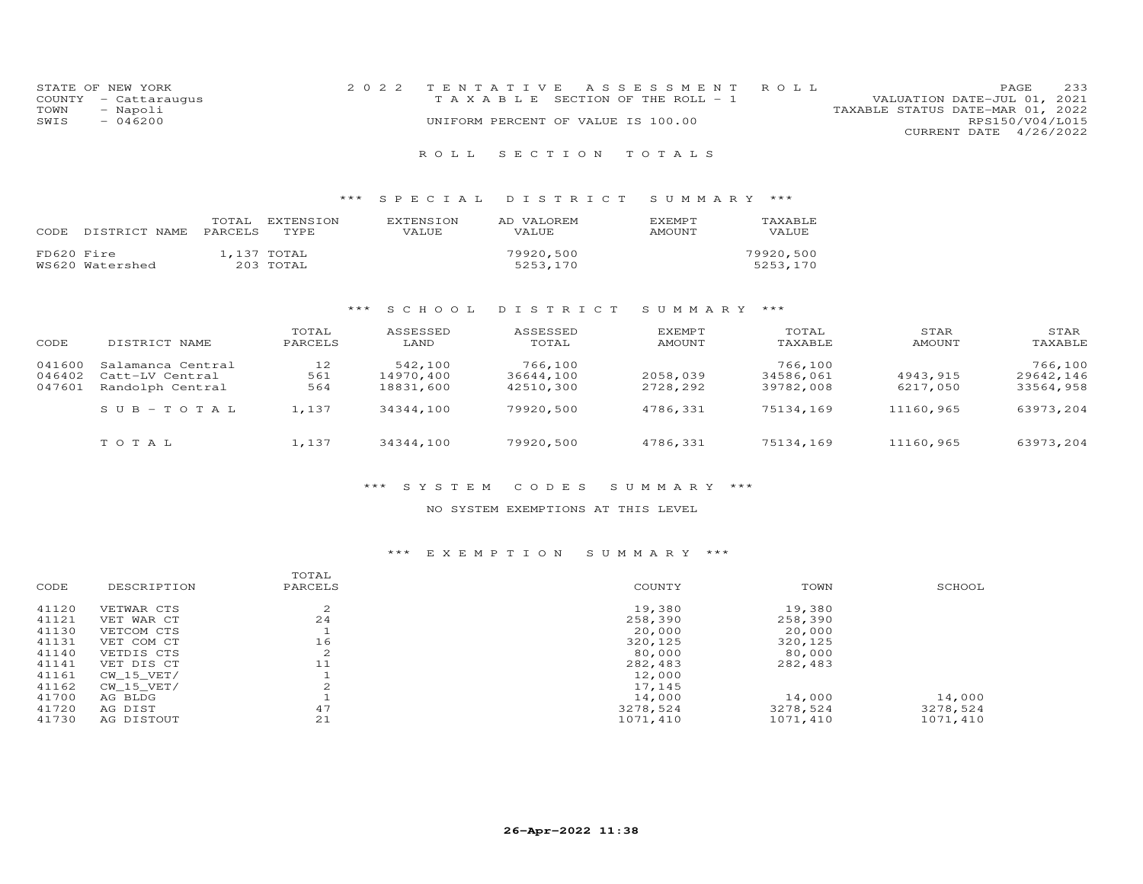| STATE OF NEW YORK    | 2022 TENTATIVE ASSESSMENT ROLL        | PAGE                             | 233 |
|----------------------|---------------------------------------|----------------------------------|-----|
| COUNTY - Cattaraugus | T A X A B L E SECTION OF THE ROLL - 1 | VALUATION DATE-JUL 01, 2021      |     |
| TOWN<br>- Napoli     |                                       | TAXABLE STATUS DATE-MAR 01, 2022 |     |
| SWIS<br>- 046200     | UNIFORM PERCENT OF VALUE IS 100.00    | RPS150/V04/L015                  |     |
|                      |                                       | CURRENT DATE 4/26/2022           |     |

## R O L L S E C T I O N T O T A L S

## \*\*\* S P E C I A L D I S T R I C T S U M M A R Y \*\*\*

| CODE       | DISTRICT NAME PARCELS | TOTAL | EXTENSION<br>TYPE.       | EXTENSION<br>VALUE. | AD VALOREM<br><b>VALUE</b> | <b>F.XFMPT</b><br>AMOUNT | TAXABLE<br>VALUE      |
|------------|-----------------------|-------|--------------------------|---------------------|----------------------------|--------------------------|-----------------------|
| FD620 Fire | WS620 Watershed       |       | 1,137 TOTAL<br>203 TOTAL |                     | 79920,500<br>5253,170      |                          | 79920,500<br>5253,170 |

## \*\*\* S C H O O L D I S T R I C T S U M M A R Y \*\*\*

| CODE   | DISTRICT NAME     | TOTAL<br>PARCELS | ASSESSED<br>LAND | ASSESSED<br>TOTAL | EXEMPT<br>AMOUNT | TOTAL<br>TAXABLE | STAR<br>AMOUNT | STAR<br>TAXABLE |
|--------|-------------------|------------------|------------------|-------------------|------------------|------------------|----------------|-----------------|
| 041600 | Salamanca Central | 12               | 542,100          | 766,100           |                  | 766,100          |                | 766,100         |
| 046402 | Catt-LV Central   | 561              | 14970.400        | 36644,100         | 2058,039         | 34586,061        | 4943,915       | 29642,146       |
| 047601 | Randolph Central  | 564              | 18831,600        | 42510,300         | 2728,292         | 39782,008        | 6217,050       | 33564,958       |
|        | $SUB - TO T AL$   | 1.137            | 34344,100        | 79920,500         | 4786.331         | 75134,169        | 11160,965      | 63973,204       |
|        | TOTAL             | 1,137            | 34344,100        | 79920,500         | 4786,331         | 75134,169        | 11160,965      | 63973,204       |

## \*\*\* S Y S T E M C O D E S S U M M A R Y \*\*\*

## NO SYSTEM EXEMPTIONS AT THIS LEVEL

## \*\*\* E X E M P T I O N S U M M A R Y \*\*\*

|       |             | TOTAL              |          |          |          |
|-------|-------------|--------------------|----------|----------|----------|
| CODE  | DESCRIPTION | PARCELS            | COUNTY   | TOWN     | SCHOOL   |
| 41120 | VETWAR CTS  | $\sim$<br>∠        | 19,380   | 19,380   |          |
| 41121 | VET WAR CT  | 24                 | 258,390  | 258,390  |          |
| 41130 | VETCOM CTS  |                    | 20,000   | 20,000   |          |
| 41131 | VET COM CT  | 16                 | 320,125  | 320,125  |          |
| 41140 | VETDIS CTS  | $\mathcal{L}$<br>∠ | 80,000   | 80,000   |          |
| 41141 | VET DIS CT  | 11                 | 282,483  | 282,483  |          |
| 41161 | CW 15 VET/  |                    | 12,000   |          |          |
| 41162 | CW 15 VET/  |                    | 17,145   |          |          |
| 41700 | AG BLDG     |                    | 14,000   | 14,000   | 14,000   |
| 41720 | AG DIST     | 47                 | 3278,524 | 3278,524 | 3278,524 |
| 41730 | AG DISTOUT  | 21                 | 1071,410 | 1071,410 | 1071,410 |
|       |             |                    |          |          |          |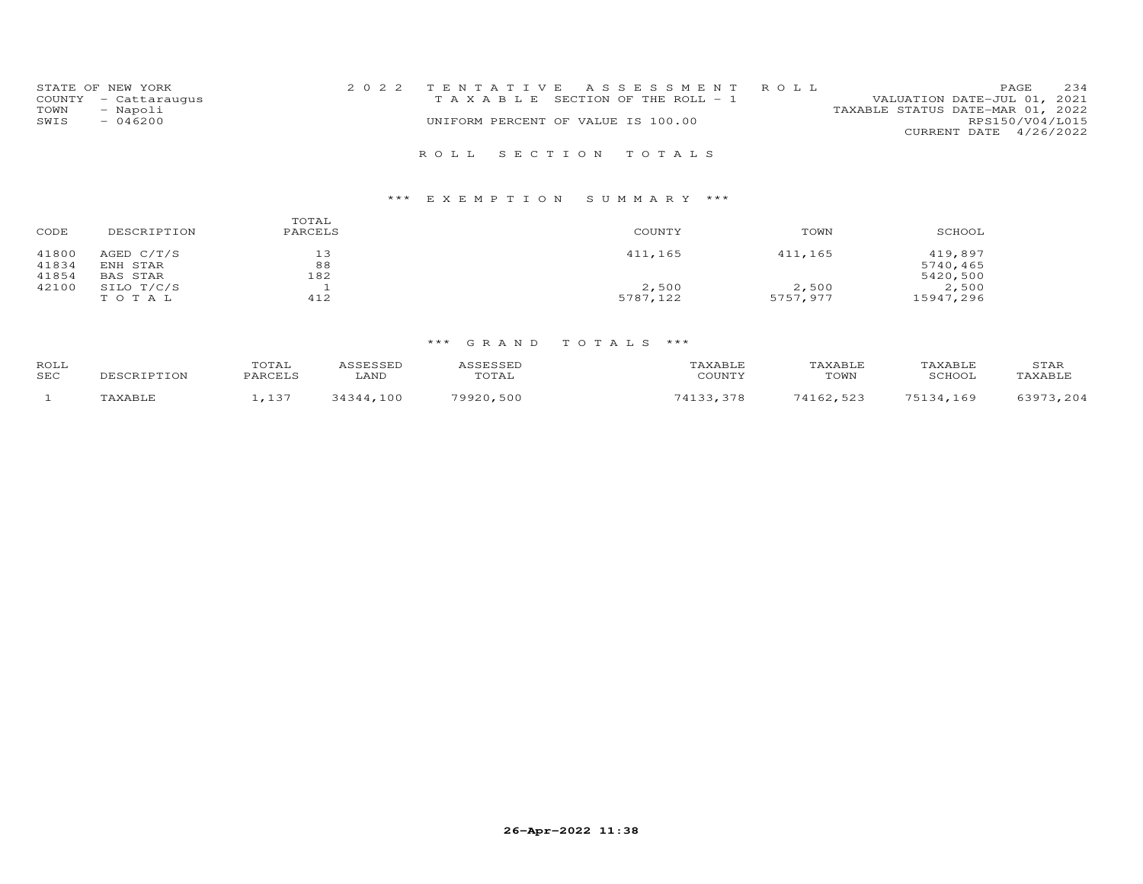| STATE OF NEW YORK                        |  |                                    | 2022 TENTATIVE ASSESSMENT ROLL        |                                                                 | PAGE            | 234 |
|------------------------------------------|--|------------------------------------|---------------------------------------|-----------------------------------------------------------------|-----------------|-----|
| COUNTY - Cattaraugus<br>- Napoli<br>TOWN |  |                                    | T A X A B L E SECTION OF THE ROLL - 1 | VALUATION DATE-JUL 01, 2021<br>TAXABLE STATUS DATE-MAR 01, 2022 |                 |     |
| SWIS<br>$-046200$                        |  | UNIFORM PERCENT OF VALUE IS 100.00 |                                       |                                                                 | RPS150/V04/L015 |     |
|                                          |  |                                    |                                       | CURRENT DATE 4/26/2022                                          |                 |     |
|                                          |  |                                    |                                       |                                                                 |                 |     |
|                                          |  | ROLL SECTION TOTALS                |                                       |                                                                 |                 |     |

# \*\*\* E X E M P T I O N S U M M A R Y \*\*\*

| CODE                    | DESCRIPTION                          | TOTAL<br>PARCELS | COUNTY   | TOWN     | SCHOOL                          |
|-------------------------|--------------------------------------|------------------|----------|----------|---------------------------------|
| 41800<br>41834<br>41854 | AGED $C/T/S$<br>ENH STAR<br>BAS STAR | 13<br>88<br>182  | 411,165  | 411,165  | 419,897<br>5740,465<br>5420,500 |
| 42100                   | SILO T/C/S                           |                  | 2,500    | 2,500    | 2,500                           |
|                         | TOTAL                                | 412              | 5787,122 | 5757,977 | 15947,296                       |

| ROLL |        | 'OTAI<br><b>DARCET</b> S |                                                                                                                                                                                                                                                                                                                                                                         | , , , , , , , , , , . |        | XABI.F |               | STAR               |
|------|--------|--------------------------|-------------------------------------------------------------------------------------------------------------------------------------------------------------------------------------------------------------------------------------------------------------------------------------------------------------------------------------------------------------------------|-----------------------|--------|--------|---------------|--------------------|
| SEC  | TPTTON |                          | LAND                                                                                                                                                                                                                                                                                                                                                                    | TOTAL                 | COUNTY | TOWN   | <b>SCHOO1</b> | TAXABI.E           |
|      |        | 1 つつ                     | $^{\circ}$ $^{\circ}$ $^{\circ}$ $^{\circ}$ $^{\circ}$ $^{\circ}$ $^{\circ}$ $^{\circ}$ $^{\circ}$ $^{\circ}$ $^{\circ}$ $^{\circ}$ $^{\circ}$ $^{\circ}$ $^{\circ}$ $^{\circ}$ $^{\circ}$ $^{\circ}$ $^{\circ}$ $^{\circ}$ $^{\circ}$ $^{\circ}$ $^{\circ}$ $^{\circ}$ $^{\circ}$ $^{\circ}$ $^{\circ}$ $^{\circ}$ $^{\circ}$ $^{\circ}$ $^{\circ}$ $^{\circ$<br>1 O O | ,,,,,<br>500          |        | 523    | .69           | つのワ<br>201<br>, 20 |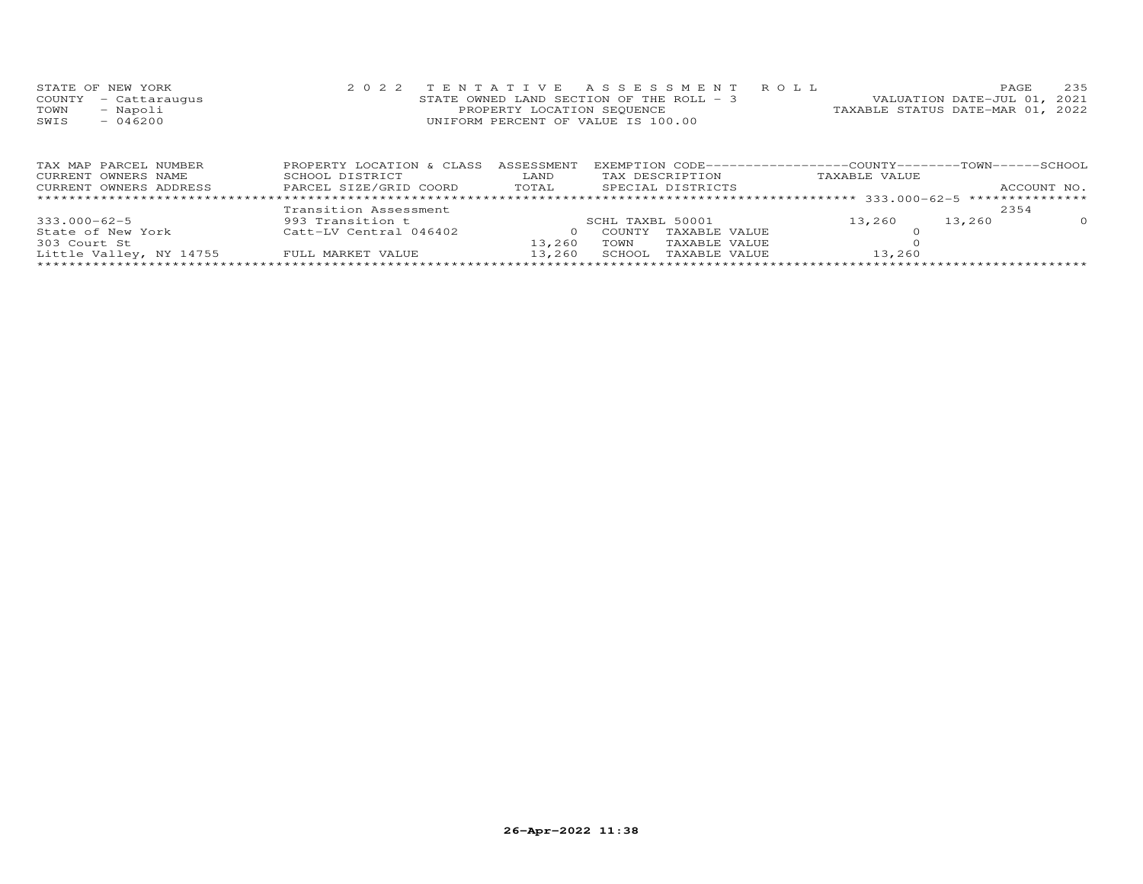| STATE OF NEW YORK    | 2022 TENTATIVE ASSESSMENT ROLL           | PAGE.                            | 235 |
|----------------------|------------------------------------------|----------------------------------|-----|
| COUNTY - Cattaraugus | STATE OWNED LAND SECTION OF THE ROLL - 3 | VALUATION DATE-JUL 01, 2021      |     |
| TOWN<br>- Napoli     | PROPERTY LOCATION SEQUENCE               | TAXABLE STATUS DATE-MAR 01, 2022 |     |
| SWIS<br>$-046200$    | UNIFORM PERCENT OF VALUE IS 100.00       |                                  |     |
|                      |                                          |                                  |     |

| TAX MAP PARCEL NUMBER   | PROPERTY LOCATION & CLASS | ASSESSMENT |                                | EXEMPTION CODE-----------------COUNTY-------TOWN------SCHOOL |             |          |
|-------------------------|---------------------------|------------|--------------------------------|--------------------------------------------------------------|-------------|----------|
| CURRENT OWNERS NAME     | SCHOOL DISTRICT           | LAND       | TAX DESCRIPTION                | TAXABLE VALUE                                                |             |          |
| CURRENT OWNERS ADDRESS  | PARCEL SIZE/GRID COORD    | TOTAL      | SPECIAL DISTRICTS              |                                                              | ACCOUNT NO. |          |
|                         |                           |            |                                |                                                              |             |          |
|                         | Transition Assessment     |            |                                |                                                              | 2354        |          |
| $333.000 - 62 - 5$      | 993 Transition t          |            | SCHL TAXBL 50001               | 13,260                                                       | 13,260      | $\Omega$ |
| State of New York       | Catt-LV Central 046402    |            | TAXABLE VALUE<br><b>COUNTY</b> |                                                              |             |          |
| 303 Court St            |                           | 13,260     | TAXABLE VALUE<br>TOWN          |                                                              |             |          |
| Little Valley, NY 14755 | FULL MARKET VALUE         | 13,260     | TAXABLE VALUE<br>SCHOOL        | 13,260                                                       |             |          |
|                         |                           |            |                                |                                                              |             |          |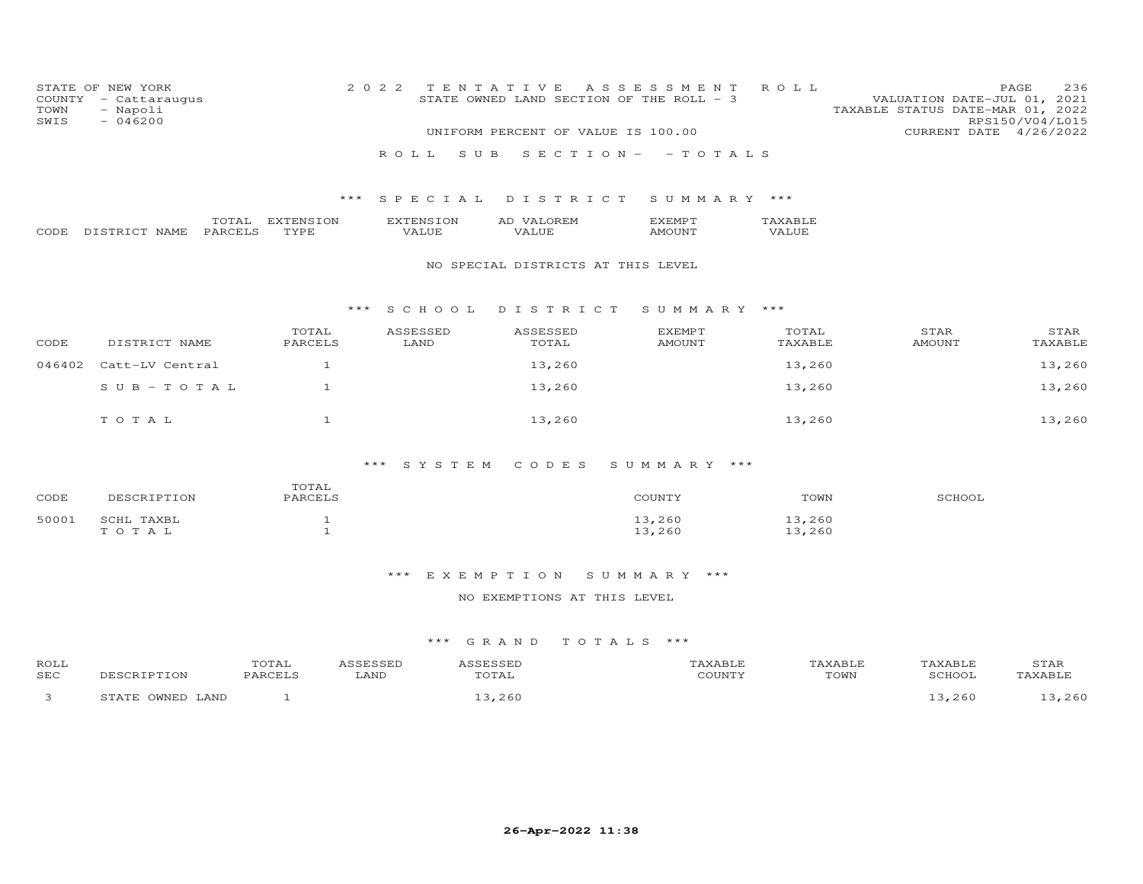| COUNTY<br>TOWN<br>SWIS | STATE OF NEW YORK<br>- Cattaraugus<br>- Napoli<br>$-046200$ |                  |                   |                    | 2022 TENTATIVE ASSESSMENT ROLL<br>STATE OWNED LAND SECTION OF THE ROLL $-$ 3<br>UNIFORM PERCENT OF VALUE IS 100.00 |                  |                  | VALUATION DATE-JUL 01, 2021<br>TAXABLE STATUS DATE-MAR 01, 2022 | PAGE<br>RPS150/V04/L015<br>CURRENT DATE | 4/26/2022 | 236 |
|------------------------|-------------------------------------------------------------|------------------|-------------------|--------------------|--------------------------------------------------------------------------------------------------------------------|------------------|------------------|-----------------------------------------------------------------|-----------------------------------------|-----------|-----|
|                        |                                                             |                  |                   | R O L L            | SUB SECTION - - TOTALS                                                                                             |                  |                  |                                                                 |                                         |           |     |
|                        |                                                             |                  |                   |                    | *** SPECIAL DISTRICT SUMMARY ***                                                                                   |                  |                  |                                                                 |                                         |           |     |
| CODE                   | DISTRICT NAME                                               | TOTAL<br>PARCELS | EXTENSION<br>TYPE | EXTENSION<br>VALUE | AD VALOREM<br>VALUE                                                                                                | EXEMPT<br>AMOUNT | TAXABLE<br>VALUE |                                                                 |                                         |           |     |
|                        |                                                             |                  |                   |                    | NO SPECIAL DISTRICTS AT THIS LEVEL                                                                                 |                  |                  |                                                                 |                                         |           |     |

## \*\*\* S C H O O L D I S T R I C T S U M M A R Y \*\*\*

| CODE   | DISTRICT NAME   | TOTAL<br>PARCELS | ASSESSED<br>LAND | ASSESSED<br>TOTAL | <b>EXEMPT</b><br>AMOUNT | TOTAL<br>TAXABLE | STAR<br><b>AMOUNT</b> | STAR<br>TAXABLE |
|--------|-----------------|------------------|------------------|-------------------|-------------------------|------------------|-----------------------|-----------------|
| 046402 | Catt-LV Central |                  |                  | 13,260            |                         | 13,260           |                       | 13,260          |
|        | $SUB-TOTAL$     |                  |                  | 13,260            |                         | 13,260           |                       | 13,260          |
|        | TOTAL           |                  |                  | 13,260            |                         | 13,260           |                       | 13,260          |

# \*\*\* S Y S T E M C O D E S S U M M A R Y \*\*\*

| CODE  | DESCRIPTION         | TOTAL<br>PARCELS | COUNTY           | TOWN             | $\alpha$ $\alpha$ |
|-------|---------------------|------------------|------------------|------------------|-------------------|
| 50001 | SCHL TAXBL<br>TOTAL |                  | 13,260<br>13,260 | 13,260<br>13,260 |                   |

## \*\*\* E X E M P T I O N S U M M A R Y \*\*\*

## NO EXEMPTIONS AT THIS LEVEL

| <b>ROLI</b> |                  | TOTAL   | ASSESSEP | ASSESSED | TAXABLE | TAXABLE | TAXABLE | STAR    |
|-------------|------------------|---------|----------|----------|---------|---------|---------|---------|
| SEC         | DESCRIPTION      | PARCELS | LAND     | TOTAL    | COUNTY  | TOWN    | SCHOOL  | TAXABLE |
|             | STATE OWNED LAND |         |          | 3,260    |         |         | 13,260  | .3,260  |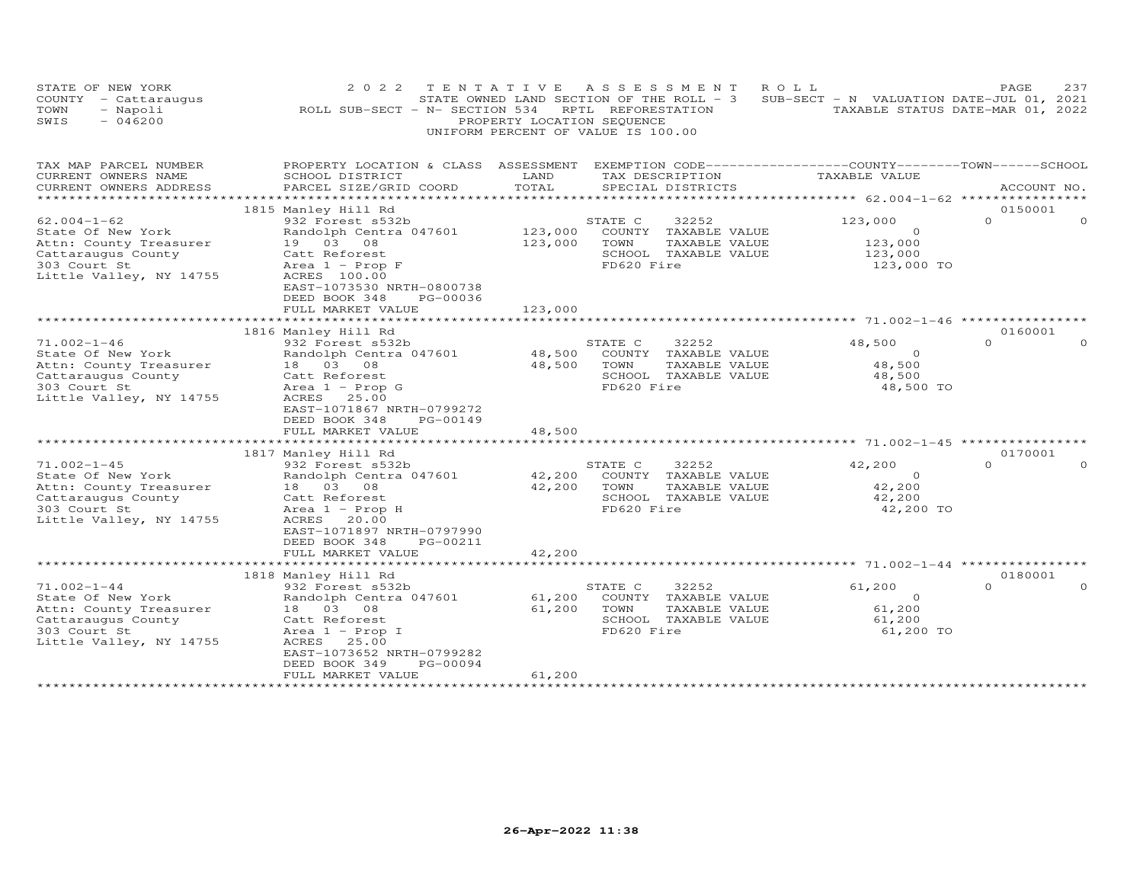| STATE OF NEW YORK<br>COUNTY - Cattaraugus<br>TOWN<br>- Napoli<br>SWIS<br>$-046200$                                                                                                                    | 2 0 2 2<br>ROLL SUB-SECT - N- SECTION 534                                                                                                                                                                                                                                          | TENTATIVE<br>PROPERTY LOCATION SEQUENCE        | ASSESSMENT<br>STATE OWNED LAND SECTION OF THE ROLL - 3<br>RPTL REFORESTATION<br>UNIFORM PERCENT OF VALUE IS 100.00                                                           | ROLL<br>SUB-SECT - N VALUATION DATE-JUL 01, 2021                                   | 237<br>PAGE<br>TAXABLE STATUS DATE-MAR 01, 2022         |
|-------------------------------------------------------------------------------------------------------------------------------------------------------------------------------------------------------|------------------------------------------------------------------------------------------------------------------------------------------------------------------------------------------------------------------------------------------------------------------------------------|------------------------------------------------|------------------------------------------------------------------------------------------------------------------------------------------------------------------------------|------------------------------------------------------------------------------------|---------------------------------------------------------|
| TAX MAP PARCEL NUMBER<br>CURRENT OWNERS NAME<br>CURRENT OWNERS ADDRESS                                                                                                                                | PROPERTY LOCATION & CLASS ASSESSMENT EXEMPTION CODE----------------COUNTY-------TOWN-----SCHOOL<br>SCHOOL DISTRICT<br>PARCEL SIZE/GRID COORD                                                                                                                                       | LAND<br>TOTAL                                  | TAX DESCRIPTION<br>SPECIAL DISTRICTS                                                                                                                                         | TAXABLE VALUE                                                                      | ACCOUNT NO.                                             |
|                                                                                                                                                                                                       |                                                                                                                                                                                                                                                                                    |                                                |                                                                                                                                                                              |                                                                                    |                                                         |
| $62.004 - 1 - 62$<br>State Of New York<br>Attn: County Treasurer<br>Cattaraugus County<br>303 Court St<br>Little Valley, NY 14755                                                                     | 1815 Manley Hill Rd<br>932 Forest s532b<br>Randolph Centra 047601<br>19 03 08<br>Catt Reforest<br>Area $1$ - Prop F<br>ACRES 100.00                                                                                                                                                | 123,000<br>123,000                             | STATE C<br>32252<br>COUNTY TAXABLE VALUE<br>TOWN<br>TAXABLE VALUE<br>SCHOOL TAXABLE VALUE<br>FD620 Fire                                                                      | 123,000<br>$\circ$<br>123,000<br>123,000<br>123,000 TO                             | 0150001<br>$\Omega$<br>$\Omega$                         |
|                                                                                                                                                                                                       | EAST-1073530 NRTH-0800738<br>DEED BOOK 348<br>PG-00036<br>FULL MARKET VALUE<br>***************************                                                                                                                                                                         | 123,000                                        |                                                                                                                                                                              |                                                                                    |                                                         |
|                                                                                                                                                                                                       | 1816 Manley Hill Rd                                                                                                                                                                                                                                                                |                                                |                                                                                                                                                                              |                                                                                    | 0160001                                                 |
| $71.002 - 1 - 46$<br>State Of New York<br>Attn: County Treasurer<br>Cattaraugus County<br>303 Court St<br>Little Valley, NY 14755<br>$71.002 - 1 - 45$<br>State Of New York<br>Attn: County Treasurer | 932 Forest s532b<br>Randolph Centra 047601<br>18  03  08<br>Catt Reforest<br>Area $1$ - Prop G<br>ACRES<br>25.00<br>EAST-1071867 NRTH-0799272<br>DEED BOOK 348<br>PG-00149<br>FULL MARKET VALUE<br>1817 Manley Hill Rd<br>932 Forest s532b<br>Randolph Centra 047601<br>18  03  08 | 48,500<br>48,500<br>48,500<br>42,200<br>42,200 | 32252<br>STATE C<br>COUNTY TAXABLE VALUE<br>TOWN<br>TAXABLE VALUE<br>SCHOOL TAXABLE VALUE<br>FD620 Fire<br>STATE C<br>32252<br>COUNTY TAXABLE VALUE<br>TOWN<br>TAXABLE VALUE | 48,500<br>$\circ$<br>48,500<br>48,500<br>48,500 TO<br>42,200<br>$\Omega$<br>42,200 | $\Omega$<br>$\Omega$<br>0170001<br>$\Omega$<br>$\Omega$ |
| Cattaraugus County<br>303 Court St<br>Little Valley, NY 14755                                                                                                                                         | Catt Reforest<br>Area $1$ - Prop H<br>ACRES<br>20.00<br>EAST-1071897 NRTH-0797990<br>DEED BOOK 348<br>PG-00211<br>FULL MARKET VALUE<br>************************                                                                                                                    | 42,200                                         | SCHOOL TAXABLE VALUE<br>FD620 Fire                                                                                                                                           | 42,200<br>42,200 TO                                                                |                                                         |
|                                                                                                                                                                                                       | 1818 Manley Hill Rd                                                                                                                                                                                                                                                                |                                                |                                                                                                                                                                              |                                                                                    | 0180001                                                 |
| $71.002 - 1 - 44$<br>State Of New York<br>Attn: County Treasurer<br>Cattaraugus County<br>303 Court St<br>Little Valley, NY 14755                                                                     | 932 Forest s532b<br>Randolph Centra 047601<br>18  03  08<br>Catt Reforest<br>Area $1$ - Prop I<br>ACRES<br>25.00<br>EAST-1073652 NRTH-0799282<br>PG-00094<br>DEED BOOK 349                                                                                                         | 61,200<br>61,200                               | 32252<br>STATE C<br>COUNTY TAXABLE VALUE<br>TOWN<br>TAXABLE VALUE<br>SCHOOL TAXABLE VALUE<br>FD620 Fire                                                                      | 61,200<br>$\circ$<br>61,200<br>61,200<br>61,200 TO                                 | $\Omega$<br>$\Omega$                                    |
| ***********************                                                                                                                                                                               | FULL MARKET VALUE                                                                                                                                                                                                                                                                  | 61,200<br>***********                          |                                                                                                                                                                              |                                                                                    |                                                         |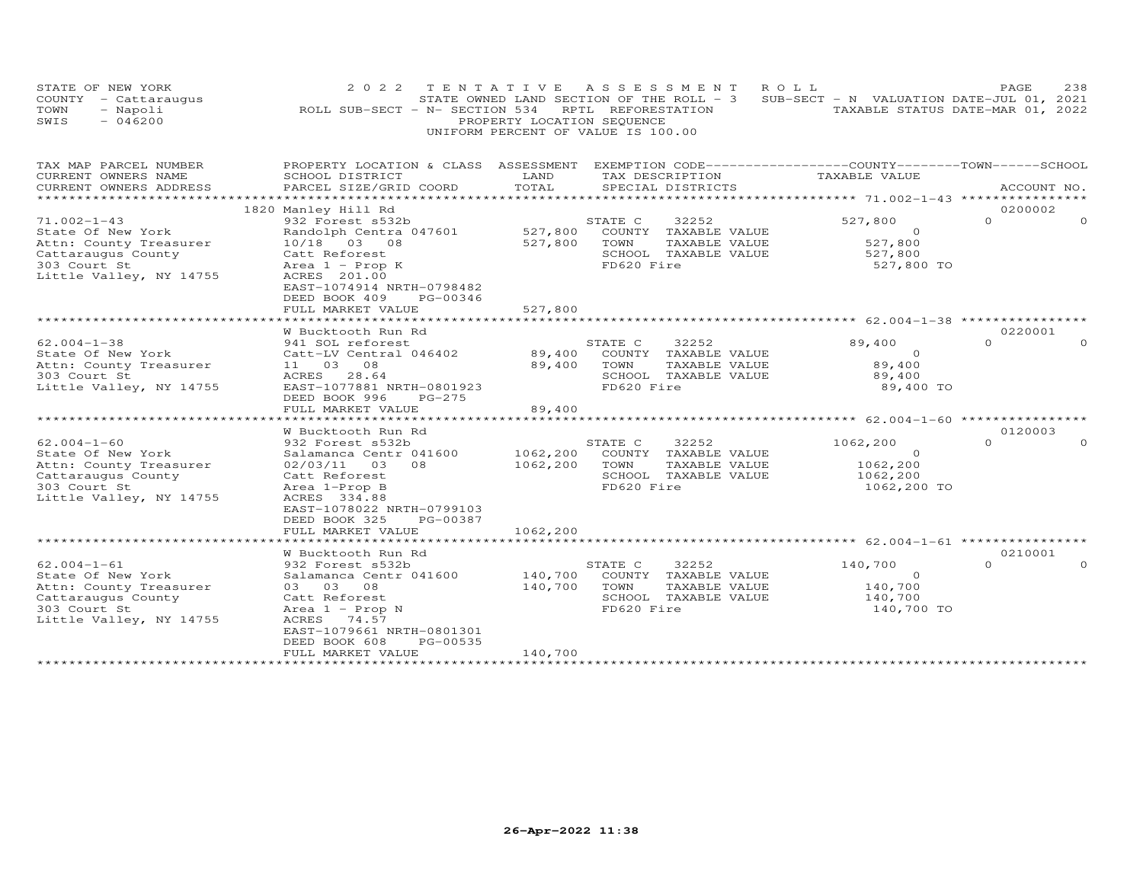| STATE OF NEW YORK<br>COUNTY - Cattaraugus<br>- Napoli<br>TOWN<br>$-046200$<br>SWIS                                                | 2022 TENTATIVE ASSESSMENT<br>ROLL SUB-SECT - N- SECTION 534 RPTL REFORESTATION                                                                                                                                        | PROPERTY LOCATION SEQUENCE<br>UNIFORM PERCENT OF VALUE IS 100.00 |                               |                                                                        | ROLL<br>STATE OWNED LAND SECTION OF THE ROLL - 3 SUB-SECT - N VALUATION DATE-JUL 01, 2021 | PAGE<br>238<br>TAXABLE STATUS DATE-MAR 01, 2022 |
|-----------------------------------------------------------------------------------------------------------------------------------|-----------------------------------------------------------------------------------------------------------------------------------------------------------------------------------------------------------------------|------------------------------------------------------------------|-------------------------------|------------------------------------------------------------------------|-------------------------------------------------------------------------------------------|-------------------------------------------------|
| TAX MAP PARCEL NUMBER<br>CURRENT OWNERS NAME<br>CURRENT OWNERS ADDRESS<br>*********************                                   | PROPERTY LOCATION & CLASS ASSESSMENT EXEMPTION CODE----------------COUNTY-------TOWN------SCHOOL<br>SCHOOL DISTRICT<br>PARCEL SIZE/GRID COORD<br>**********************                                               | LAND<br>TOTAL                                                    |                               | TAX DESCRIPTION<br>SPECIAL DISTRICTS                                   | TAXABLE VALUE                                                                             | ACCOUNT NO.                                     |
| $71.002 - 1 - 43$<br>State Of New York<br>Attn: County Treasurer<br>Cattaraugus County<br>303 Court St<br>Little Valley, NY 14755 | 1820 Manley Hill Rd<br>932 Forest s532b<br>Randolph Centra 047601<br>10/18 03 08<br>Catt Reforest<br>Area $1$ - Prop K<br>ACRES 201.00<br>EAST-1074914 NRTH-0798482<br>DEED BOOK 409<br>PG-00346<br>FULL MARKET VALUE | 527,800<br>527,800<br>527,800                                    | STATE C<br>TOWN<br>FD620 Fire | 32252<br>COUNTY TAXABLE VALUE<br>TAXABLE VALUE<br>SCHOOL TAXABLE VALUE | 527,800<br>$\circ$<br>527,800<br>527,800<br>527,800 TO                                    | 0200002<br>$\Omega$<br>$\Omega$                 |
|                                                                                                                                   | *******************                                                                                                                                                                                                   |                                                                  |                               |                                                                        |                                                                                           |                                                 |
| $62.004 - 1 - 38$<br>State Of New York<br>Attn: County Treasurer<br>303 Court St<br>Little Valley, NY 14755                       | W Bucktooth Run Rd<br>941 SOL reforest<br>Catt-LV Central 046402<br>11 03 08<br>ACRES 28.64<br>EAST-1077881 NRTH-0801923<br>DEED BOOK 996<br>PG-275<br>FULL MARKET VALUE                                              | 89,400<br>89,400<br>89,400                                       | STATE C<br>TOWN<br>FD620 Fire | 32252<br>COUNTY TAXABLE VALUE<br>TAXABLE VALUE<br>SCHOOL TAXABLE VALUE | 89,400<br>$\Omega$<br>89,400<br>89,400<br>89,400 TO                                       | 0220001<br>$\Omega$<br>$\Omega$                 |
|                                                                                                                                   | W Bucktooth Run Rd                                                                                                                                                                                                    |                                                                  |                               |                                                                        |                                                                                           | 0120003                                         |
| $62.004 - 1 - 60$<br>State Of New York<br>Attn: County Treasurer<br>Cattaraugus County<br>303 Court St<br>Little Valley, NY 14755 | 932 Forest s532b<br>Salamanca Centr 041600<br>08<br>02/03/11<br>03<br>Catt Reforest<br>Area 1-Prop B<br>ACRES 334.88<br>EAST-1078022 NRTH-0799103<br>DEED BOOK 325<br>PG-00387<br>FULL MARKET VALUE                   | 1062,200<br>1062,200<br>1062,200                                 | STATE C<br>TOWN<br>FD620 Fire | 32252<br>COUNTY TAXABLE VALUE<br>TAXABLE VALUE<br>SCHOOL TAXABLE VALUE | 1062,200<br>$\circ$<br>1062,200<br>1062,200<br>1062,200 TO                                | $\Omega$                                        |
|                                                                                                                                   | *****************                                                                                                                                                                                                     |                                                                  |                               |                                                                        |                                                                                           |                                                 |
| $62.004 - 1 - 61$<br>State Of New York<br>Attn: County Treasurer<br>Cattaraugus County<br>303 Court St<br>Little Valley, NY 14755 | W Bucktooth Run Rd<br>932 Forest s532b<br>Salamanca Centr 041600<br>03 03 08<br>Catt Reforest<br>Area $1$ - Prop N<br>ACRES 74.57<br>EAST-1079661 NRTH-0801301<br>DEED BOOK 608<br>PG-00535                           | 140,700<br>140,700                                               | STATE C<br>TOWN<br>FD620 Fire | 32252<br>COUNTY TAXABLE VALUE<br>TAXABLE VALUE<br>SCHOOL TAXABLE VALUE | 140,700<br>$\Omega$<br>140,700<br>140,700<br>140,700 TO                                   | 0210001<br>$\Omega$                             |
| *************************                                                                                                         | FULL MARKET VALUE                                                                                                                                                                                                     | 140,700                                                          |                               |                                                                        |                                                                                           |                                                 |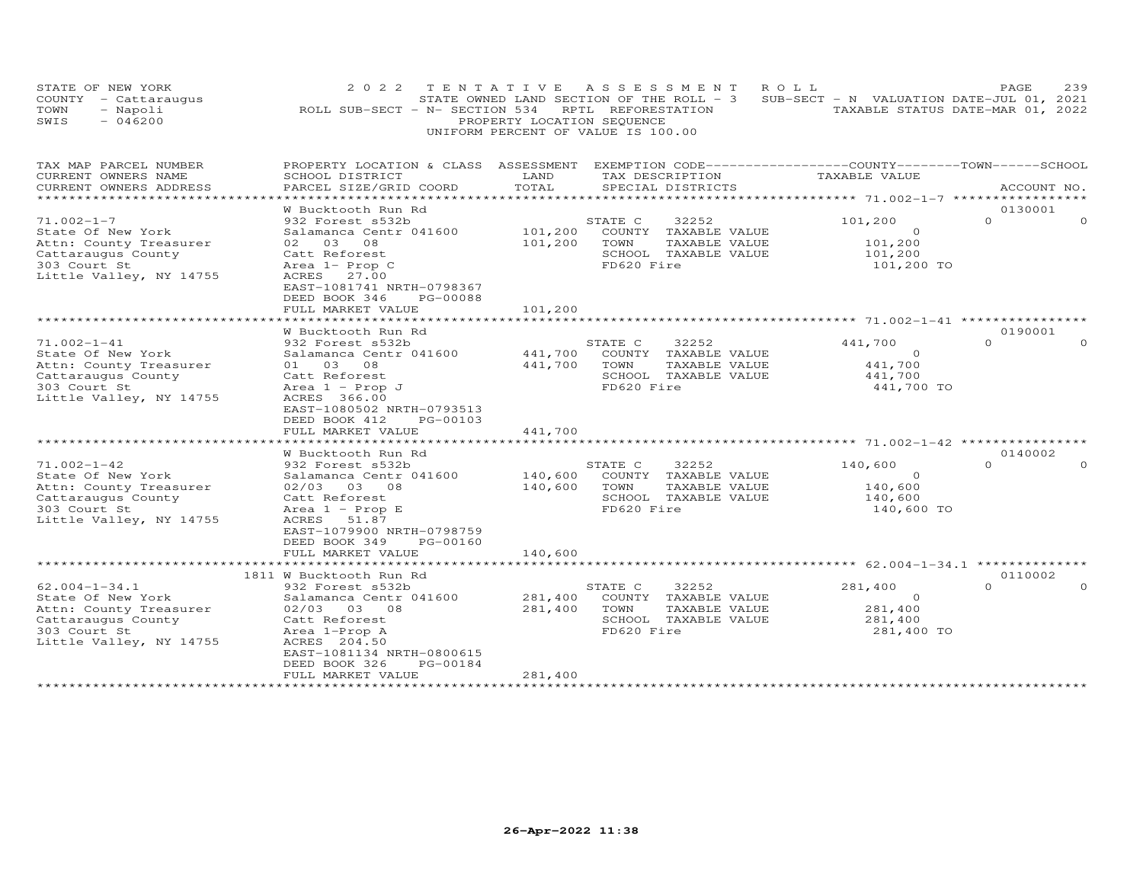| STATE OF NEW YORK<br>COUNTY - Cattaraugus<br>- Napoli<br>TOWN<br>SWIS<br>$-046200$                                                  | 2 0 2 2<br>ROLL SUB-SECT - N- SECTION 534                                                                                                                                                                              | TENTATIVE<br>PROPERTY LOCATION SEQUENCE | A S S E S S M E N T<br>STATE OWNED LAND SECTION OF THE ROLL - 3<br>RPTL REFORESTATION<br>UNIFORM PERCENT OF VALUE IS 100.00 | ROLL<br>SUB-SECT - N VALUATION DATE-JUL 01, 2021        | 239<br>PAGE<br>TAXABLE STATUS DATE-MAR 01, 2022 |
|-------------------------------------------------------------------------------------------------------------------------------------|------------------------------------------------------------------------------------------------------------------------------------------------------------------------------------------------------------------------|-----------------------------------------|-----------------------------------------------------------------------------------------------------------------------------|---------------------------------------------------------|-------------------------------------------------|
| TAX MAP PARCEL NUMBER<br>CURRENT OWNERS NAME<br>CURRENT OWNERS ADDRESS<br>**********************                                    | PROPERTY LOCATION & CLASS ASSESSMENT EXEMPTION CODE----------------COUNTY-------TOWN-----SCHOOL<br>SCHOOL DISTRICT<br>PARCEL SIZE/GRID COORD                                                                           | LAND<br>TOTAL                           | TAX DESCRIPTION<br>SPECIAL DISTRICTS                                                                                        | TAXABLE VALUE                                           | ACCOUNT NO.                                     |
| $71.002 - 1 - 7$<br>State Of New York<br>Attn: County Treasurer<br>Cattaraugus County<br>303 Court St<br>Little Valley, NY 14755    | W Bucktooth Run Rd<br>932 Forest s532b<br>Salamanca Centr 041600<br>02 03 08<br>Catt Reforest<br>Area $1-$ Prop C<br>ACRES 27.00<br>EAST-1081741 NRTH-0798367                                                          | 101,200<br>101,200                      | STATE C<br>32252<br>COUNTY TAXABLE VALUE<br>TOWN<br>TAXABLE VALUE<br>SCHOOL TAXABLE VALUE<br>FD620 Fire                     | 101,200<br>$\circ$<br>101,200<br>101,200<br>101,200 TO  | 0130001<br>$\Omega$<br>$\Omega$                 |
|                                                                                                                                     | DEED BOOK 346<br>PG-00088<br>FULL MARKET VALUE<br>********************                                                                                                                                                 | 101,200                                 |                                                                                                                             |                                                         |                                                 |
| $71.002 - 1 - 41$<br>State Of New York<br>Attn: County Treasurer<br>Cattaraugus County<br>303 Court St<br>Little Valley, NY 14755   | W Bucktooth Run Rd<br>932 Forest s532b<br>Salamanca Centr 041600<br>01 03 08<br>Catt Reforest<br>Area $1$ - Prop J<br>ACRES 366.00<br>EAST-1080502 NRTH-0793513<br>DEED BOOK 412<br>PG-00103<br>FULL MARKET VALUE      | 441,700<br>441,700<br>441,700           | 32252<br>STATE C<br>COUNTY TAXABLE VALUE<br>TOWN<br>TAXABLE VALUE<br>SCHOOL TAXABLE VALUE<br>FD620 Fire                     | 441,700<br>$\Omega$<br>441,700<br>441,700<br>441,700 TO | 0190001<br>$\Omega$<br>$\Omega$                 |
|                                                                                                                                     | * * * * * * * * * * * * * * * * * * *                                                                                                                                                                                  |                                         |                                                                                                                             |                                                         | 0140002                                         |
| $71.002 - 1 - 42$<br>State Of New York<br>Attn: County Treasurer<br>Cattaraugus County<br>303 Court St<br>Little Valley, NY 14755   | W Bucktooth Run Rd<br>932 Forest s532b<br>Salamanca Centr 041600<br>02/03 03 08<br>Catt Reforest<br>Area $1$ - Prop E<br>ACRES<br>51.87<br>EAST-1079900 NRTH-0798759<br>DEED BOOK 349<br>PG-00160<br>FULL MARKET VALUE | 140,600<br>140,600<br>140,600           | STATE C<br>32252<br>COUNTY TAXABLE VALUE<br>TOWN<br>TAXABLE VALUE<br>SCHOOL TAXABLE VALUE<br>FD620 Fire                     | 140,600<br>$\Omega$<br>140,600<br>140,600<br>140,600 TO | $\Omega$<br>$\Omega$                            |
|                                                                                                                                     |                                                                                                                                                                                                                        |                                         |                                                                                                                             |                                                         |                                                 |
| $62.004 - 1 - 34.1$<br>State Of New York<br>Attn: County Treasurer<br>Cattaraugus County<br>303 Court St<br>Little Valley, NY 14755 | 1811 W Bucktooth Run Rd<br>932 Forest s532b<br>Salamanca Centr 041600<br>02/03 03 08<br>Catt Reforest<br>Area 1-Prop A<br>ACRES 204.50<br>EAST-1081134 NRTH-0800615<br>PG-00184<br>DEED BOOK 326                       | 281,400<br>281,400                      | STATE C<br>32252<br>COUNTY TAXABLE VALUE<br>TOWN<br>TAXABLE VALUE<br>SCHOOL TAXABLE VALUE<br>FD620 Fire                     | 281,400<br>$\circ$<br>281,400<br>281,400<br>281,400 TO  | 0110002<br>$\Omega$<br>$\Omega$                 |
| ***********************                                                                                                             | FULL MARKET VALUE                                                                                                                                                                                                      | 281,400<br>* * * * * * * * * * * *      |                                                                                                                             |                                                         |                                                 |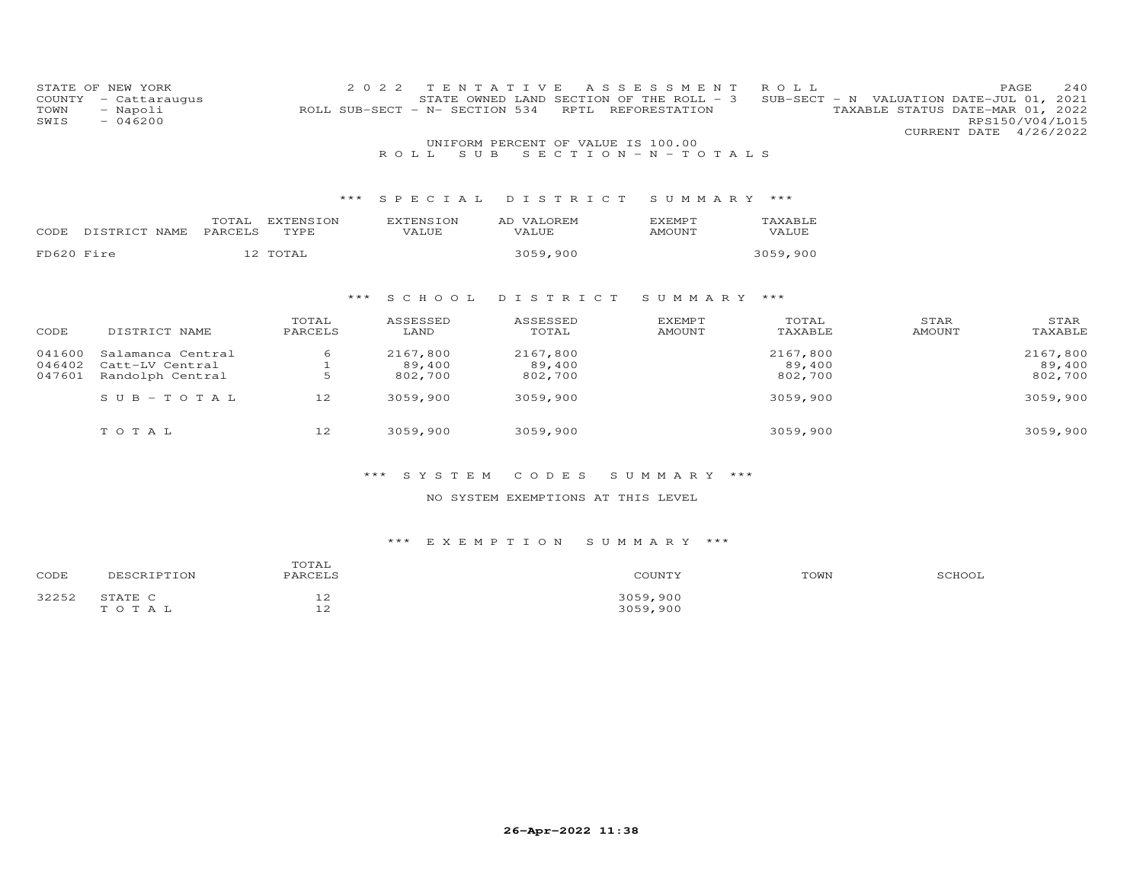| COUNTY<br>TOWN<br>SWIS | STATE OF NEW YORK<br>- Cattaraugus<br>- Napoli<br>$-046200$ |                  |                   | 2 0 2 2 | ROLL SUB-SECT - N- SECTION 534 | TENTATIVE<br>STATE OWNED LAND SECTION OF THE ROLL - 3<br>RPTL | A S S E S S M E N T<br>REFORESTATION | ROLL             | SUB-SECT - N VALUATION DATE-JUL 01, | 240<br>PAGE<br>2021<br>TAXABLE STATUS DATE-MAR 01, 2022<br>RPS150/V04/L015<br>CURRENT DATE 4/26/2022 |
|------------------------|-------------------------------------------------------------|------------------|-------------------|---------|--------------------------------|---------------------------------------------------------------|--------------------------------------|------------------|-------------------------------------|------------------------------------------------------------------------------------------------------|
|                        |                                                             |                  |                   |         | S U B<br>ROLL                  | UNIFORM PERCENT OF VALUE IS 100.00                            | $S E C T I O N - N - T O T A L S$    |                  |                                     |                                                                                                      |
|                        |                                                             |                  |                   | ***     | SPECIAL                        | DISTRICT                                                      | SUMMARY ***                          |                  |                                     |                                                                                                      |
| CODE                   | DISTRICT NAME                                               | TOTAL<br>PARCELS | EXTENSION<br>TYPE |         | <b>EXTENSION</b><br>VALUE      | AD VALOREM<br>VALUE                                           | <b>EXEMPT</b><br>AMOUNT              | TAXABLE<br>VALUE |                                     |                                                                                                      |
| FD620 Fire             |                                                             |                  | 12 TOTAL          |         |                                | 3059,900                                                      |                                      | 3059,900         |                                     |                                                                                                      |
|                        |                                                             |                  |                   |         |                                |                                                               |                                      |                  |                                     |                                                                                                      |
|                        |                                                             |                  |                   | ***     | SCHOOL                         | DISTRICT                                                      | SUMMARY ***                          |                  |                                     |                                                                                                      |
|                        |                                                             |                  | TOTAL             |         | ASSESSED                       | ASSESSED                                                      | <b>EXEMPT</b>                        | TOTAL            | STAR                                | STAR                                                                                                 |
| CODE                   | DISTRICT NAME                                               |                  | PARCELS           |         | LAND                           | TOTAL                                                         | <b>AMOUNT</b>                        | TAXABLE          | <b>AMOUNT</b>                       | TAXABLE                                                                                              |
| 041600                 | Salamanca Central                                           |                  | 6                 |         | 2167,800                       | 2167,800                                                      |                                      | 2167,800         |                                     | 2167,800                                                                                             |
| 046402                 | Catt-LV Central                                             |                  |                   |         | 89,400                         | 89,400                                                        |                                      | 89,400           |                                     | 89,400                                                                                               |
| 047601                 | Randolph Central                                            |                  |                   |         | 802,700                        | 802,700                                                       |                                      | 802,700          |                                     | 802,700                                                                                              |
|                        | $S \cup B - TO T A L$                                       |                  | 12                |         | 3059,900                       | 3059,900                                                      |                                      | 3059,900         |                                     | 3059,900                                                                                             |
|                        | TOTAL                                                       |                  | 12                |         | 3059,900                       | 3059,900                                                      |                                      | 3059,900         |                                     | 3059,900                                                                                             |

# \*\*\* S Y S T E M C O D E S S U M M A R Y \*\*\*

## NO SYSTEM EXEMPTIONS AT THIS LEVEL

# \*\*\* E X E M P T I O N S U M M A R Y \*\*\*

| CODE              | <sup>7</sup> TION<br>nғ | TOTAI<br>DADCET C                    | COUNTY                    | TOWN | CCIIO2 |
|-------------------|-------------------------|--------------------------------------|---------------------------|------|--------|
| マククちつ<br>ے دے ے ت | STATE C<br>T O T A      | $\sim$<br>ᅩᄼ<br>$\sim$<br><u>ـ د</u> | 3050<br>, 900<br>3059,900 |      |        |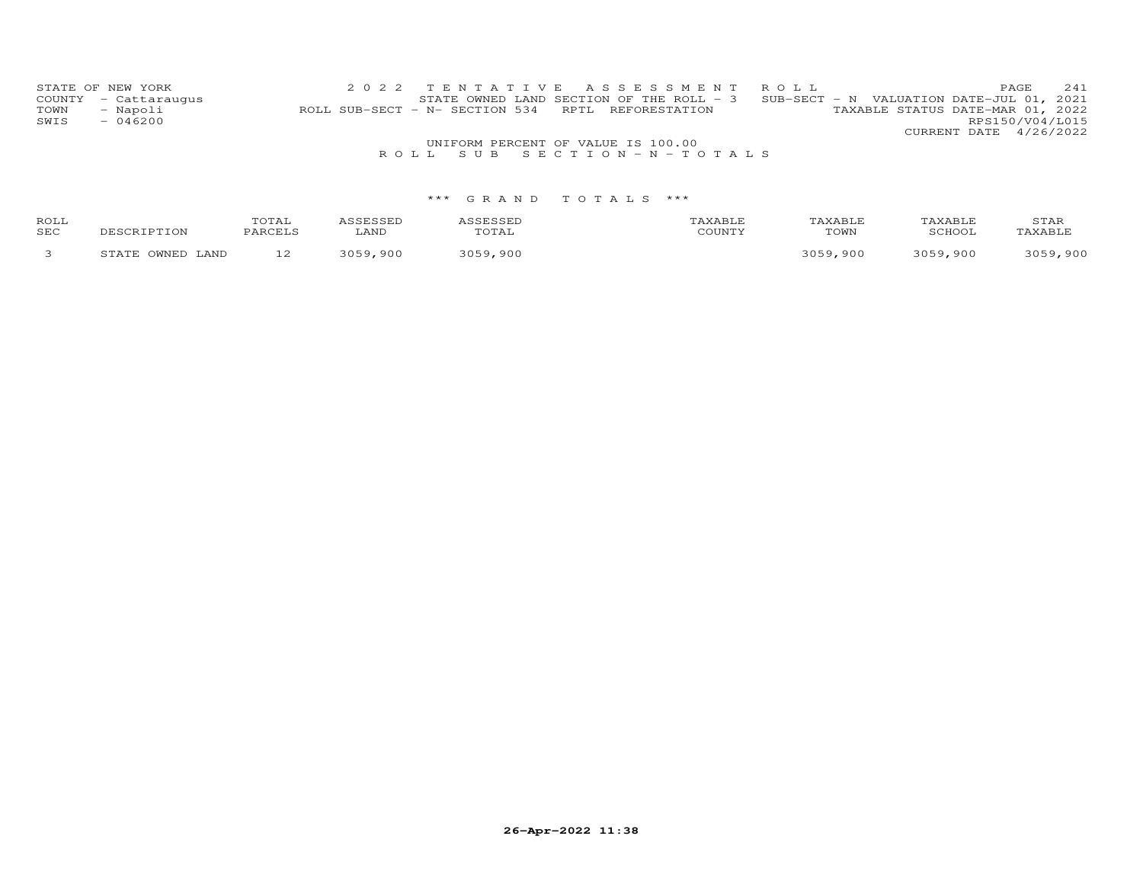|      | STATE OF NEW YORK    |  | 2022 TENTATIVE ASSESSMENT ROLL                    | <b>PAGE</b>                                                                         | 2.41            |
|------|----------------------|--|---------------------------------------------------|-------------------------------------------------------------------------------------|-----------------|
|      | COUNTY - Cattaraugus |  |                                                   | STATE OWNED LAND SECTION OF THE ROLL - $3$ SUB-SECT - N VALUATION DATE-JUL 01, 2021 |                 |
| TOWN | - Napoli             |  | ROLL SUB-SECT - N- SECTION 534 RPTL REFORESTATION | TAXABLE STATUS DATE-MAR 01, 2022                                                    |                 |
| SWIS | $-046200$            |  |                                                   |                                                                                     | RPS150/V04/L015 |
|      |                      |  |                                                   | CURRENT DATE 4/26/2022                                                              |                 |
|      |                      |  | UNIFORM PERCENT OF VALUE IS 100.00                |                                                                                     |                 |

# R O L L S U B S E C T I O N - N - T O T A L S

| ROLL<br><b>SEC</b> | DESCRIPTION                     | TOTAL<br>PARCELS | LAND          | .<br>UIAL                       | AXABLF<br>COUNTY | XABLE<br>TOWN | TAXABLE<br>SCHOOL               | STAR<br>TAXABLF              |
|--------------------|---------------------------------|------------------|---------------|---------------------------------|------------------|---------------|---------------------------------|------------------------------|
|                    | ת מיד A<br><b>OMNED</b><br>.AND |                  | 3050<br>. 900 | $\Omega \cap E \cap C$<br>. 900 |                  | 900           | $\circ$ $\cap$ $\subset$<br>900 | $\Omega \cap \Omega$<br>コハヒの |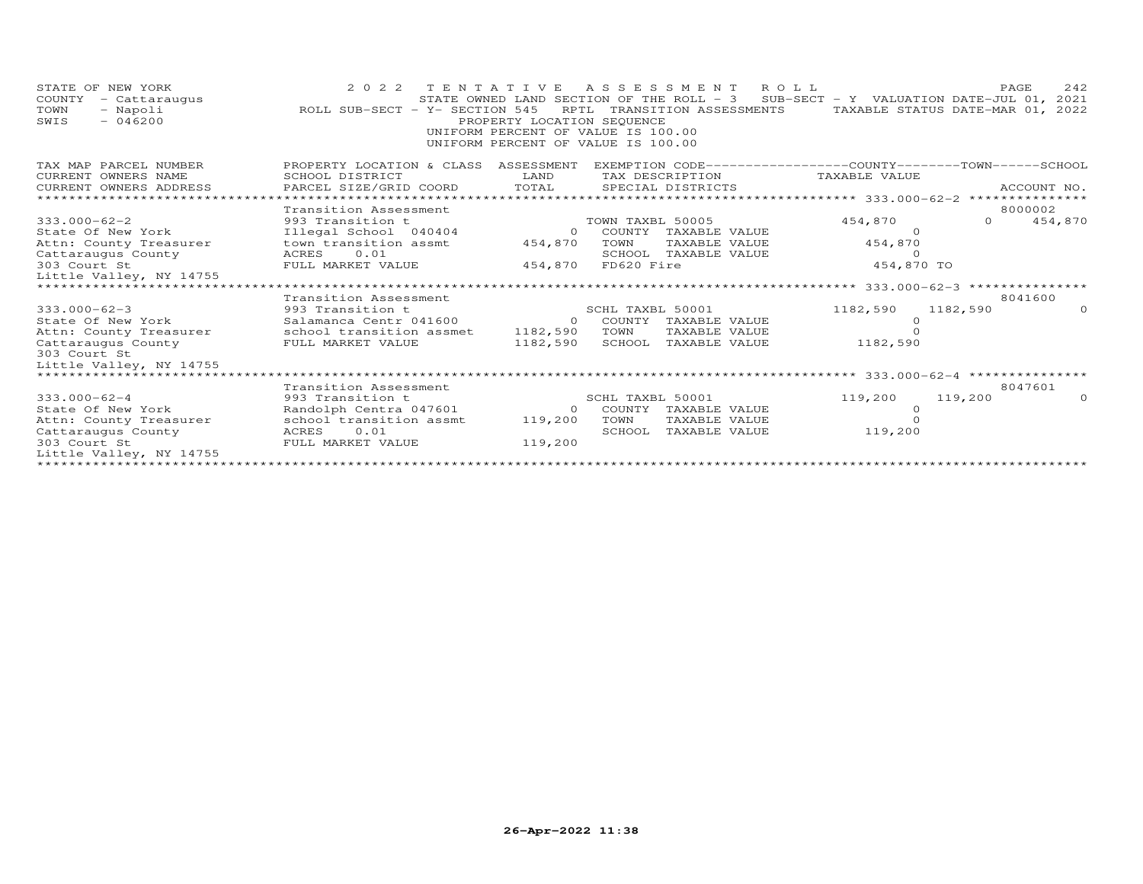| STATE OF NEW YORK<br>COUNTY<br>- Cattaraugus<br>TOWN<br>- Napoli<br>$-046200$<br>SWIS | 2022 TENTATIVE ASSESSMENT ROLL<br>ROLL SUB-SECT - Y- SECTION 545 | PROPERTY LOCATION SEQUENCE<br>UNIFORM PERCENT OF VALUE IS 100.00<br>UNIFORM PERCENT OF VALUE IS 100.00 |                  | RPTL TRANSITION ASSESSMENTS    | STATE OWNED LAND SECTION OF THE ROLL - 3 SUB-SECT - Y VALUATION DATE-JUL 01, 2021<br>TAXABLE STATUS DATE-MAR 01, 2022 |          | 242<br>PAGE        |
|---------------------------------------------------------------------------------------|------------------------------------------------------------------|--------------------------------------------------------------------------------------------------------|------------------|--------------------------------|-----------------------------------------------------------------------------------------------------------------------|----------|--------------------|
| TAX MAP PARCEL NUMBER                                                                 | PROPERTY LOCATION & CLASS                                        | ASSESSMENT                                                                                             |                  |                                | EXEMPTION CODE------------------COUNTY-------TOWN------SCHOOL                                                         |          |                    |
| CURRENT OWNERS NAME                                                                   | SCHOOL DISTRICT                                                  | LAND                                                                                                   |                  | TAX DESCRIPTION                | TAXABLE VALUE                                                                                                         |          |                    |
| CURRENT OWNERS ADDRESS                                                                | PARCEL SIZE/GRID COORD                                           | TOTAL                                                                                                  |                  | SPECIAL DISTRICTS              |                                                                                                                       |          | ACCOUNT NO.        |
|                                                                                       |                                                                  |                                                                                                        |                  |                                |                                                                                                                       |          |                    |
| $333.000 - 62 - 2$                                                                    | Transition Assessment                                            |                                                                                                        | TOWN TAXBL 50005 |                                | 454,870                                                                                                               | $\Omega$ | 8000002<br>454,870 |
| State Of New York                                                                     | 993 Transition t<br>Illegal School 040404                        | $\Omega$                                                                                               |                  | COUNTY TAXABLE VALUE           | - 0                                                                                                                   |          |                    |
| Attn: County Treasurer                                                                | town transition assmt                                            | 454,870                                                                                                | TOWN             | TAXABLE VALUE                  | 454,870                                                                                                               |          |                    |
| Cattaraugus County                                                                    | ACRES 0.01                                                       |                                                                                                        |                  | SCHOOL TAXABLE VALUE           | $\Omega$                                                                                                              |          |                    |
| 303 Court St                                                                          | FULL MARKET VALUE                                                | 454,870                                                                                                | FD620 Fire       |                                | 454,870 TO                                                                                                            |          |                    |
| Little Valley, NY 14755                                                               |                                                                  |                                                                                                        |                  |                                |                                                                                                                       |          |                    |
|                                                                                       |                                                                  |                                                                                                        |                  |                                | ********** 333.000-62-3 ****************                                                                              |          |                    |
|                                                                                       | Transition Assessment                                            |                                                                                                        |                  |                                |                                                                                                                       |          | 8041600            |
| $333.000 - 62 - 3$                                                                    | 993 Transition t                                                 |                                                                                                        | SCHL TAXBL 50001 |                                | 1182,590                                                                                                              | 1182,590 | $\Omega$           |
| State Of New York                                                                     | Salamanca Centr 041600                                           |                                                                                                        |                  | 0 COUNTY TAXABLE VALUE         |                                                                                                                       |          |                    |
| Attn: County Treasurer                                                                | school transition assmet                                         | 1182,590                                                                                               | TOWN             | TAXABLE VALUE                  |                                                                                                                       |          |                    |
| Cattaraugus County                                                                    | FULL MARKET VALUE                                                | 1182,590                                                                                               |                  | SCHOOL TAXABLE VALUE           | 1182,590                                                                                                              |          |                    |
| 303 Court St                                                                          |                                                                  |                                                                                                        |                  |                                |                                                                                                                       |          |                    |
| Little Valley, NY 14755                                                               |                                                                  |                                                                                                        |                  |                                |                                                                                                                       |          |                    |
| ****************************                                                          |                                                                  |                                                                                                        |                  |                                |                                                                                                                       |          |                    |
|                                                                                       | Transition Assessment                                            |                                                                                                        |                  |                                |                                                                                                                       |          | 8047601            |
| $333.000 - 62 - 4$                                                                    | 993 Transition t                                                 |                                                                                                        | SCHL TAXBL 50001 |                                | 119,200                                                                                                               | 119,200  |                    |
| State Of New York                                                                     | Randolph Centra 047601                                           | $\Omega$                                                                                               |                  | COUNTY TAXABLE VALUE           |                                                                                                                       |          |                    |
| Attn: County Treasurer<br>Cattaraugus County                                          | school transition assmt<br>ACRES<br>0.01                         | 119,200                                                                                                | TOWN<br>SCHOOL   | TAXABLE VALUE<br>TAXABLE VALUE | 119,200                                                                                                               |          |                    |
| 303 Court St                                                                          | FULL MARKET VALUE                                                | 119,200                                                                                                |                  |                                |                                                                                                                       |          |                    |
| Little Valley, NY 14755                                                               |                                                                  |                                                                                                        |                  |                                |                                                                                                                       |          |                    |
|                                                                                       |                                                                  |                                                                                                        |                  |                                |                                                                                                                       |          |                    |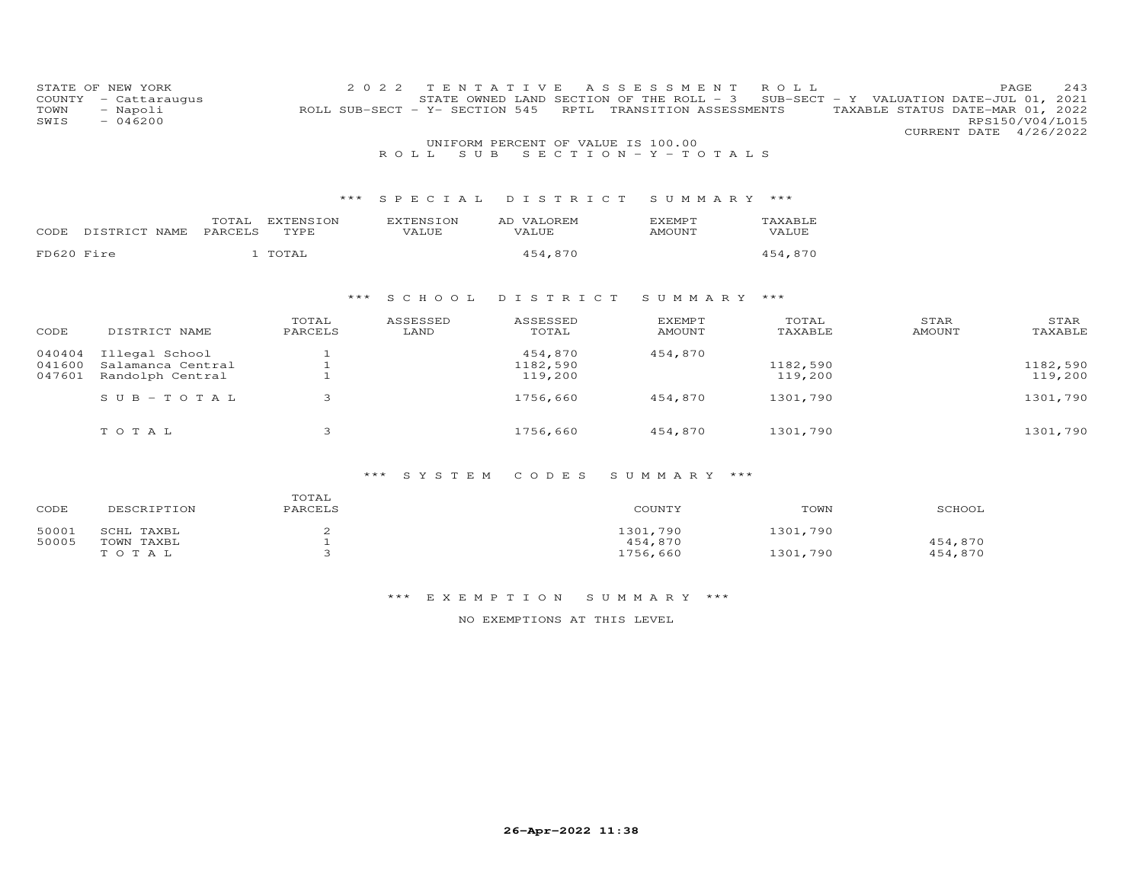|              | STATE OF NEW YORK        |                  | 2022<br>T E N<br><u>т</u>      | V<br>E<br>A S                                    | S E S<br>S M E N       | R O L L  |               | PAGE<br>243                                         |
|--------------|--------------------------|------------------|--------------------------------|--------------------------------------------------|------------------------|----------|---------------|-----------------------------------------------------|
| COUNTY       | - Cattaraugus            |                  | ROLL SUB-SECT - Y- SECTION 545 | STATE OWNED LAND SECTION OF THE ROLL - 3<br>RPTL | TRANSITION ASSESSMENTS |          |               | SUB-SECT - Y VALUATION DATE-JUL 01, 2021            |
| TOWN<br>SWIS | - Napoli<br>$-046200$    |                  |                                |                                                  |                        |          |               | TAXABLE STATUS DATE-MAR 01, 2022<br>RPS150/V04/L015 |
|              |                          |                  |                                |                                                  |                        |          |               | CURRENT DATE<br>4/26/2022                           |
|              |                          |                  |                                | UNIFORM PERCENT OF VALUE IS 100.00               |                        |          |               |                                                     |
|              |                          |                  | ROLL.<br>S U B                 |                                                  | SECTION - Y - TOTALS   |          |               |                                                     |
|              |                          |                  |                                |                                                  |                        |          |               |                                                     |
|              |                          |                  |                                |                                                  |                        |          |               |                                                     |
|              |                          |                  |                                |                                                  |                        |          |               |                                                     |
|              |                          | ***              | SPECIAL                        | DISTRICT                                         | SUMMARY ***            |          |               |                                                     |
|              | TOTAL                    | <b>EXTENSION</b> | <b>EXTENSION</b>               | AD VALOREM                                       | <b>EXEMPT</b>          | TAXABLE  |               |                                                     |
| CODE         | DISTRICT NAME<br>PARCELS | TYPE             | VALUE                          | VALUE                                            | <b>AMOUNT</b>          | VALUE    |               |                                                     |
|              |                          |                  |                                |                                                  |                        |          |               |                                                     |
| FD620 Fire   |                          | 1 TOTAL          |                                | 454,870                                          |                        | 454,870  |               |                                                     |
|              |                          |                  |                                |                                                  |                        |          |               |                                                     |
|              |                          |                  |                                |                                                  |                        |          |               |                                                     |
|              |                          | ***              | S C H O O L                    | DISTRICT                                         | SUMMARY ***            |          |               |                                                     |
|              |                          |                  |                                |                                                  |                        |          |               |                                                     |
|              |                          | TOTAL            | ASSESSED                       | ASSESSED                                         | <b>EXEMPT</b>          | TOTAL    | STAR          | STAR                                                |
| CODE         | DISTRICT NAME            | PARCELS          | LAND                           | TOTAL                                            | <b>AMOUNT</b>          | TAXABLE  | <b>AMOUNT</b> | TAXABLE                                             |
|              |                          |                  |                                |                                                  |                        |          |               |                                                     |
| 040404       | Illegal School           |                  |                                | 454,870                                          | 454,870                |          |               |                                                     |
| 041600       | Salamanca Central        |                  |                                | 1182,590                                         |                        | 1182,590 |               | 1182,590                                            |
| 047601       | Randolph Central         |                  |                                | 119,200                                          |                        | 119,200  |               | 119,200                                             |
|              | SUB-TOTAL                | 3                |                                | 1756,660                                         | 454,870                | 1301,790 |               | 1301,790                                            |
|              |                          |                  |                                |                                                  |                        |          |               |                                                     |
|              |                          |                  |                                |                                                  |                        |          |               |                                                     |
|              | TOTAL                    | 3                |                                | 1756,660                                         | 454,870                | 1301,790 |               | 1301,790                                            |

# \*\*\* S Y S T E M C O D E S S U M M A R Y \*\*\*

| CODE  | DESCRIPTION | TOTAL<br>PARCELS | COUNTY   | TOWN     | SCHOOL  |
|-------|-------------|------------------|----------|----------|---------|
| 50001 | SCHL TAXBL  |                  | 1301,790 | 1301,790 |         |
| 50005 | TOWN TAXBL  |                  | 454,870  |          | 454,870 |
|       | тотаь       |                  | 1756,660 | 1301,790 | 454,870 |

## \*\*\* E X E M P T I O N S U M M A R Y \*\*\*

## NO EXEMPTIONS AT THIS LEVEL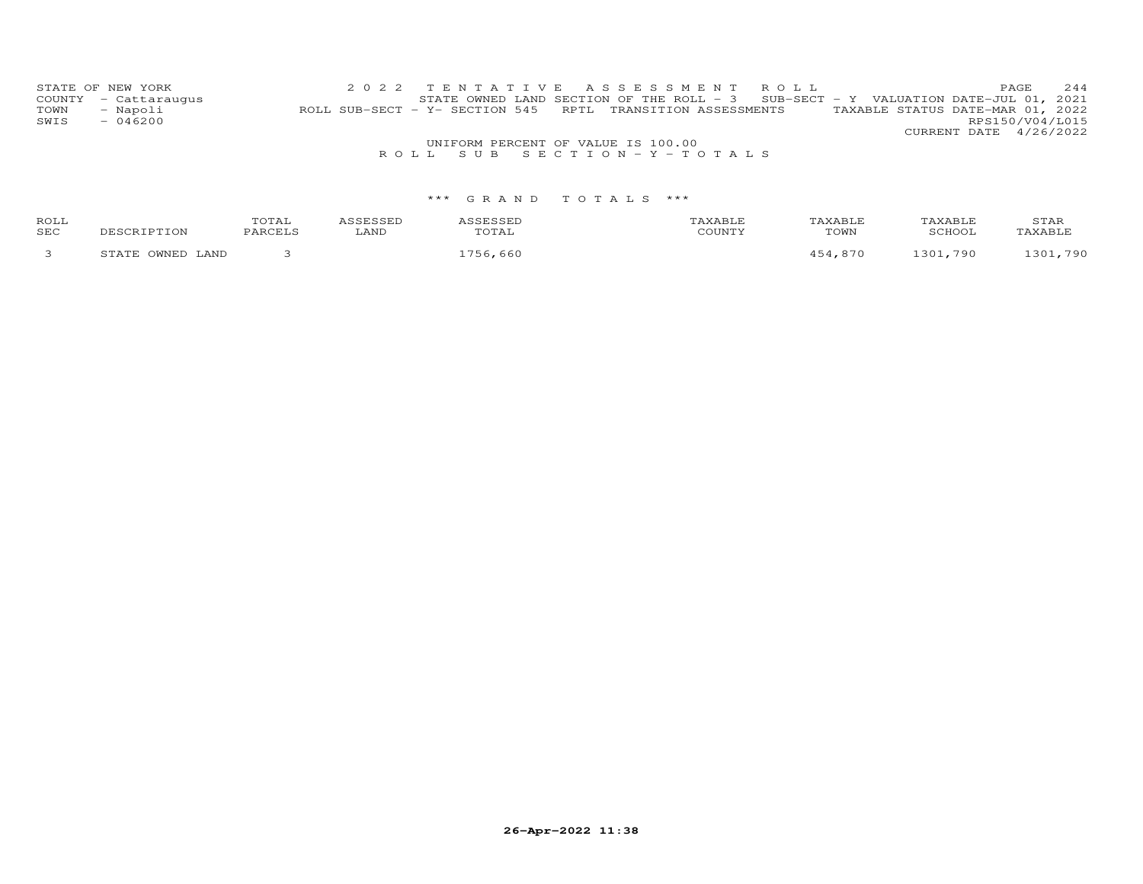|      | STATE OF NEW YORK    |                                                            |  |  |                                    |  | 2022 TENTATIVE ASSESSMENT ROLL                                                      |                                  |                        | PAGE. | 2.44            |  |
|------|----------------------|------------------------------------------------------------|--|--|------------------------------------|--|-------------------------------------------------------------------------------------|----------------------------------|------------------------|-------|-----------------|--|
|      | COUNTY - Cattaraugus |                                                            |  |  |                                    |  | STATE OWNED LAND SECTION OF THE ROLL - $3$ SUB-SECT - Y VALUATION DATE-JUL 01, 2021 |                                  |                        |       |                 |  |
| TOWN | - Napoli             | ROLL SUB-SECT - Y- SECTION 545 RPTL TRANSITION ASSESSMENTS |  |  |                                    |  |                                                                                     | TAXABLE STATUS DATE-MAR 01, 2022 |                        |       |                 |  |
| SWIS | $-046200$            |                                                            |  |  |                                    |  |                                                                                     |                                  |                        |       | RPS150/V04/L015 |  |
|      |                      |                                                            |  |  |                                    |  |                                                                                     |                                  | CURRENT DATE 4/26/2022 |       |                 |  |
|      |                      |                                                            |  |  | UNIFORM PERCENT OF VALUE IS 100.00 |  |                                                                                     |                                  |                        |       |                 |  |
|      |                      |                                                            |  |  | ROLL SUB SECTION-Y-TOTALS          |  |                                                                                     |                                  |                        |       |                 |  |

| ROLL<br>SEC | ותר דפד פרא<br>.                   | $T$ $\cap$ $T$ $\geq$ $T$<br>UIAL | LAND | TOTAL   | TAXABLF<br>TOWN | COHOO.  | STAR<br>AVART       |
|-------------|------------------------------------|-----------------------------------|------|---------|-----------------|---------|---------------------|
|             | ח הזרגזר<br>LAND<br>, <del>.</del> |                                   |      | 756.660 | .870            | 301,790 | 790<br>$30^{\circ}$ |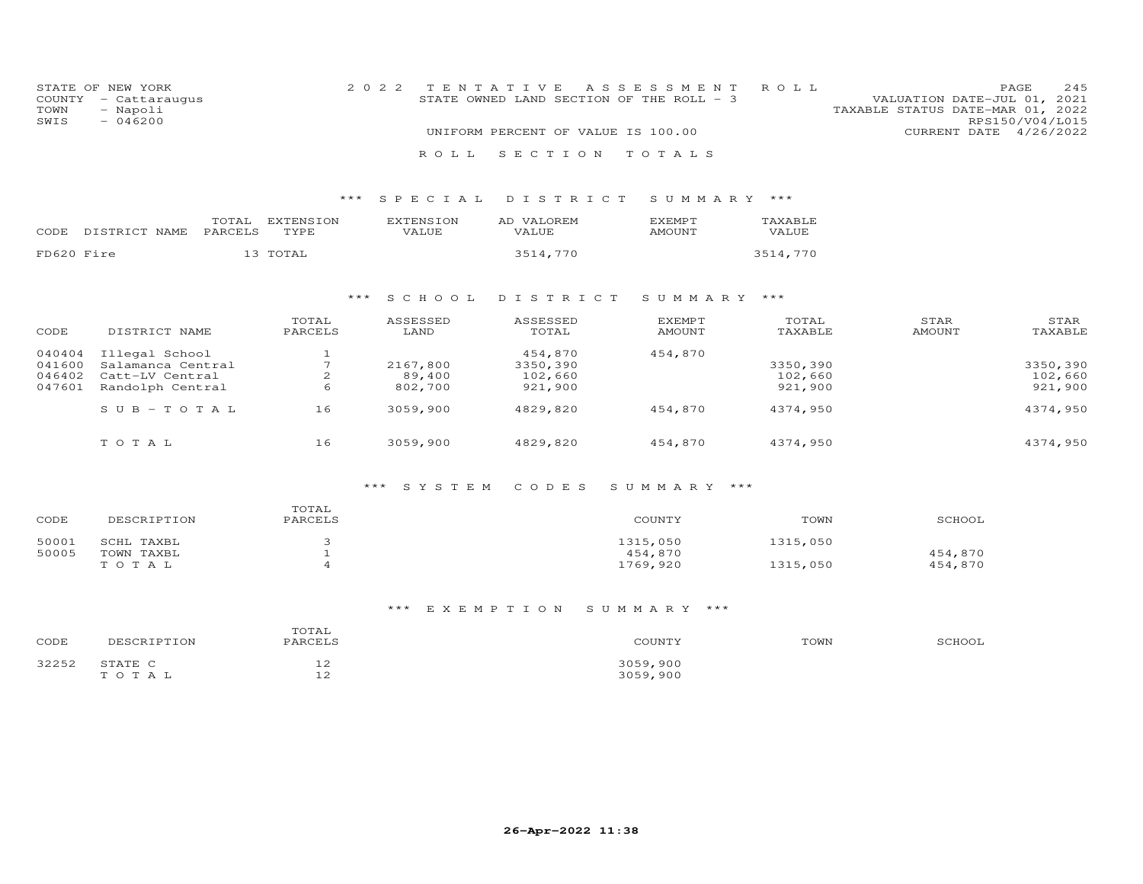| STATE OF NEW YORK<br>COUNTY<br>- Cattaraugus<br>TOWN<br>- Napoli<br>$-046200$<br>SWIS |                                                                            |                                           | 2 0 2 2                       | TENTATIVE<br>STATE OWNED LAND SECTION OF THE ROLL - 3<br>UNIFORM PERCENT OF VALUE IS 100.00 | A S S E S S M E N T             | ROLL                           | VALUATION DATE-JUL 01, 2021<br>TAXABLE STATUS DATE-MAR 01, 2022<br>CURRENT DATE 4/26/2022 | PAGE<br>245<br>RPS150/V04/L015 |
|---------------------------------------------------------------------------------------|----------------------------------------------------------------------------|-------------------------------------------|-------------------------------|---------------------------------------------------------------------------------------------|---------------------------------|--------------------------------|-------------------------------------------------------------------------------------------|--------------------------------|
|                                                                                       |                                                                            |                                           | ROLL                          | SECTION                                                                                     | TOTALS                          |                                |                                                                                           |                                |
|                                                                                       |                                                                            |                                           |                               |                                                                                             |                                 |                                |                                                                                           |                                |
|                                                                                       |                                                                            | $***$                                     | SPECIAL                       | DISTRICT                                                                                    | SUMMARY ***                     |                                |                                                                                           |                                |
| CODE                                                                                  | TOTAL<br>PARCELS<br>DISTRICT NAME                                          | EXTENSION<br>TYPE                         | <b>EXTENSION</b><br>VALUE     | AD VALOREM<br>VALUE                                                                         | <b>EXEMPT</b><br><b>AMOUNT</b>  | TAXABLE<br>VALUE               |                                                                                           |                                |
| FD620 Fire                                                                            |                                                                            | 13 TOTAL                                  |                               | 3514,770                                                                                    |                                 | 3514,770                       |                                                                                           |                                |
|                                                                                       |                                                                            | $***$                                     | S C H O O L                   | DISTRICT                                                                                    | SUMMARY ***                     |                                |                                                                                           |                                |
| CODE                                                                                  | DISTRICT NAME                                                              | TOTAL<br>PARCELS                          | ASSESSED<br>LAND              | ASSESSED<br>TOTAL                                                                           | <b>EXEMPT</b><br><b>AMOUNT</b>  | TOTAL<br>TAXABLE               | STAR<br><b>AMOUNT</b>                                                                     | STAR<br>TAXABLE                |
| 040404<br>041600<br>046402<br>047601                                                  | Illegal School<br>Salamanca Central<br>Catt-LV Central<br>Randolph Central | $\mathbf{1}$<br>$7\phantom{.0}$<br>2<br>6 | 2167,800<br>89,400<br>802,700 | 454,870<br>3350,390<br>102,660<br>921,900                                                   | 454,870                         | 3350,390<br>102,660<br>921,900 |                                                                                           | 3350,390<br>102,660<br>921,900 |
|                                                                                       | $S \cup B - TO T A L$                                                      | 16                                        | 3059,900                      | 4829,820                                                                                    | 454,870                         | 4374,950                       |                                                                                           | 4374,950                       |
|                                                                                       | TOTAL                                                                      | 16                                        | 3059,900                      | 4829,820                                                                                    | 454,870                         | 4374,950                       |                                                                                           | 4374,950                       |
|                                                                                       |                                                                            |                                           | SYSTEM<br>$***$               | CODES                                                                                       | SUMMARY ***                     |                                |                                                                                           |                                |
| CODE                                                                                  | DESCRIPTION                                                                | TOTAL<br>PARCELS                          |                               |                                                                                             | COUNTY                          | TOWN                           | SCHOOL                                                                                    |                                |
| 50001<br>50005                                                                        | SCHL TAXBL<br>TOWN TAXBL<br>TOTAL                                          | 3<br>$\mathbf 1$<br>$\overline{4}$        |                               |                                                                                             | 1315,050<br>454,870<br>1769,920 | 1315,050<br>1315,050           | 454,870<br>454,870                                                                        |                                |
|                                                                                       |                                                                            |                                           | ***<br>EXEMPTION              |                                                                                             | SUMMARY ***                     |                                |                                                                                           |                                |

| CODE            |                   | ፐ∩ፐኋ<br>PARCELS              | COUNTY                   | TOWN | $'$ $\cap$ $\cup$ $\cap$ $\cap$ |
|-----------------|-------------------|------------------------------|--------------------------|------|---------------------------------|
| つつつらつ<br>ے دے د | C TA TE<br>т o т. | $\sim$<br>ᅩᄼ<br>$\sim$<br>-- | 2050<br>,900<br>3059,900 |      |                                 |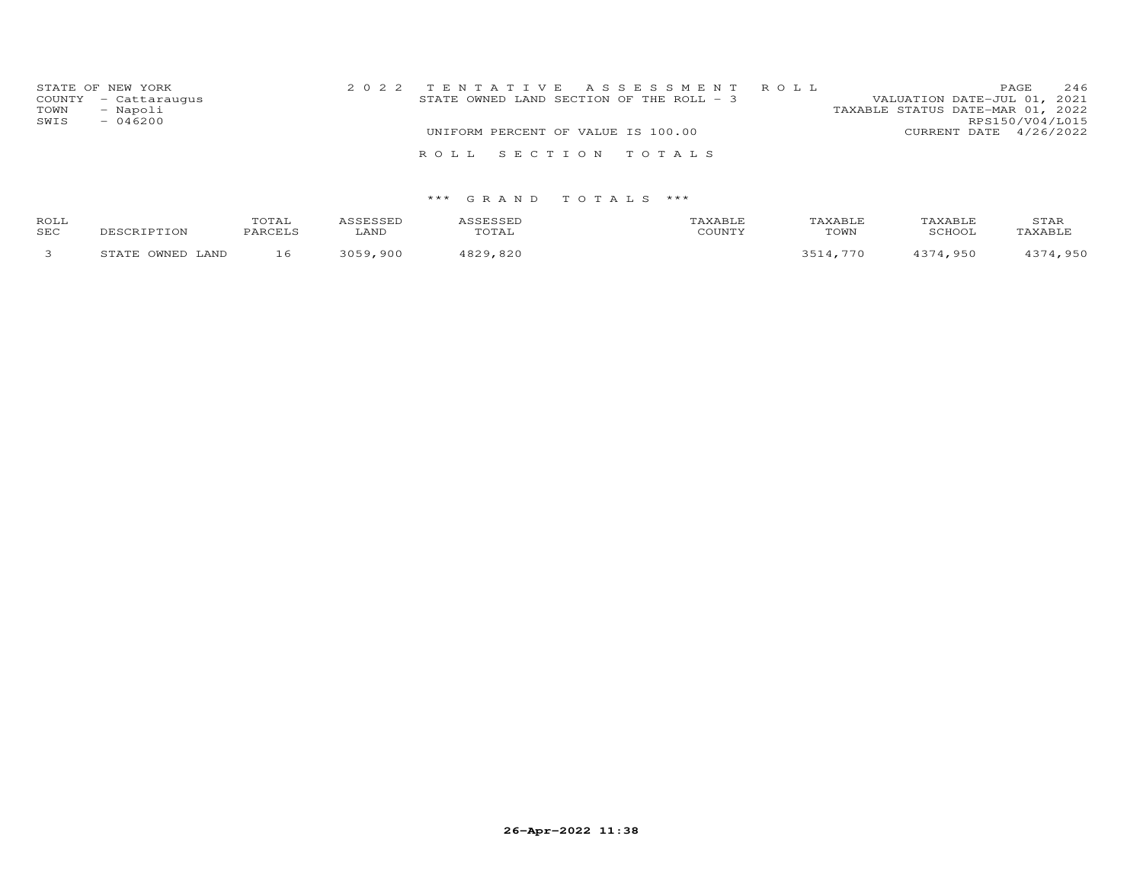| STATE OF NEW YORK<br>COUNTY - Cattaraugus<br>- Napoli<br>TOWN<br>SWIS<br>$-046200$ | 2022 TENTATIVE ASSESSMENT ROLL<br>STATE OWNED LAND SECTION OF THE ROLL - 3 | 246<br>PAGE<br>VALUATION DATE-JUL 01, 2021<br>TAXABLE STATUS DATE-MAR 01, 2022<br>RPS150/V04/L015 |                        |  |
|------------------------------------------------------------------------------------|----------------------------------------------------------------------------|---------------------------------------------------------------------------------------------------|------------------------|--|
|                                                                                    | UNIFORM PERCENT OF VALUE IS 100.00                                         |                                                                                                   | CURRENT DATE 4/26/2022 |  |
|                                                                                    | ROLL SECTION TOTALS                                                        |                                                                                                   |                        |  |

| ROLL<br>SEC | DESCRIPTION            | TOTAL<br>PARCELS | <i><b>\SSESSED</b></i><br>LAND | <i><b>\SSESSED</b></i><br>TOTAL | <b>AXABLE</b><br>COUNTY | <b><i>FAXABLF</i></b><br>TOWN | TAXABLE<br>SCHOOL | STAR<br>TAXABLE |
|-------------|------------------------|------------------|--------------------------------|---------------------------------|-------------------------|-------------------------------|-------------------|-----------------|
|             | OWNED<br>LAND<br>STATE | 16               | 3050<br>900                    | 4829,820                        |                         | 770                           | 374,950           | ,950            |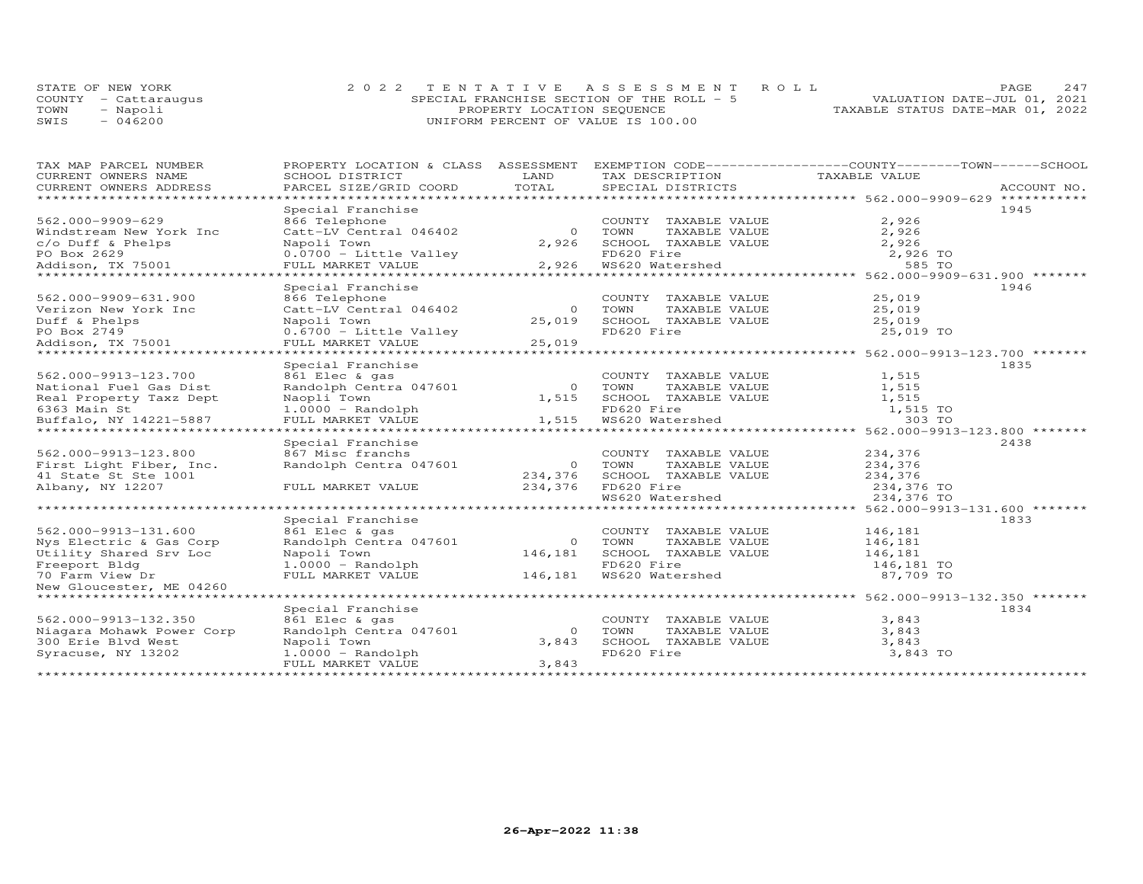|      | STATE OF NEW YORK    | 2022 TENTATIVE ASSESSMENT ROLL            | 2.47<br>PAGE.                    |
|------|----------------------|-------------------------------------------|----------------------------------|
|      | COUNTY - Cattaraugus | SPECIAL FRANCHISE SECTION OF THE ROLL - 5 | VALUATION DATE-JUL 01, 2021      |
| TOWN | - Napoli             | PROPERTY LOCATION SEQUENCE                | TAXABLE STATUS DATE-MAR 01, 2022 |
| SWIS | $-046200$            | UNIFORM PERCENT OF VALUE IS 100.00        |                                  |

| TAX MAP PARCEL NUMBER        | PROPERTY LOCATION & CLASS |                |                       | ASSESSMENT EXEMPTION CODE-----------------COUNTY-------TOWN------SCHOOL |             |
|------------------------------|---------------------------|----------------|-----------------------|-------------------------------------------------------------------------|-------------|
| CURRENT OWNERS NAME          | SCHOOL DISTRICT           | LAND           | TAX DESCRIPTION       | TAXABLE VALUE                                                           |             |
| CURRENT OWNERS ADDRESS       | PARCEL SIZE/GRID COORD    | TOTAL          | SPECIAL DISTRICTS     |                                                                         | ACCOUNT NO. |
| ************************     |                           |                |                       |                                                                         |             |
|                              | Special Franchise         |                |                       |                                                                         | 1945        |
| 562.000-9909-629             | 866 Telephone             |                | COUNTY TAXABLE VALUE  | 2,926                                                                   |             |
| Windstream New York Inc      | Catt-LV Central 046402    | $\Omega$       | TAXABLE VALUE<br>TOWN | 2,926                                                                   |             |
| c/o Duff & Phelps            | Napoli Town               | 2,926          | SCHOOL TAXABLE VALUE  | 2,926                                                                   |             |
| PO Box 2629                  | $0.0700 -$ Little Valley  |                | FD620 Fire            | 2,926 TO                                                                |             |
| Addison, TX 75001            | FULL MARKET VALUE         | 2,926          | WS620 Watershed       | 585 TO                                                                  |             |
|                              |                           |                |                       |                                                                         |             |
|                              | Special Franchise         |                |                       |                                                                         | 1946        |
| 562.000-9909-631.900         | 866 Telephone             |                | COUNTY TAXABLE VALUE  | 25,019                                                                  |             |
| Verizon New York Inc         | Catt-LV Central 046402    | $\circ$        | TOWN<br>TAXABLE VALUE | 25,019                                                                  |             |
| Duff & Phelps                | Napoli Town               | 25,019         | SCHOOL TAXABLE VALUE  | 25,019                                                                  |             |
| PO Box 2749                  | 0.6700 - Little Valley    |                | FD620 Fire            | 25,019 TO                                                               |             |
| Addison, TX 75001            | FULL MARKET VALUE         | 25,019         |                       |                                                                         |             |
|                              |                           |                |                       |                                                                         |             |
|                              | Special Franchise         |                |                       |                                                                         | 1835        |
| 562.000-9913-123.700         | 861 Elec & gas            |                | COUNTY TAXABLE VALUE  | 1,515                                                                   |             |
| National Fuel Gas Dist       | Randolph Centra 047601    | $\circ$        | TOWN<br>TAXABLE VALUE | 1,515                                                                   |             |
| Real Property Taxz Dept      | Naopli Town               | 1,515          | SCHOOL TAXABLE VALUE  | 1,515                                                                   |             |
| 6363 Main St                 | $1.0000 - Random$         |                | FD620 Fire            | 1,515 TO                                                                |             |
| Buffalo, NY 14221-5887       | FULL MARKET VALUE         | 1,515          | WS620 Watershed       | 303 TO                                                                  |             |
| ***********************      | **********************    |                |                       |                                                                         |             |
|                              | Special Franchise         |                |                       |                                                                         | 2438        |
| 562.000-9913-123.800         | 867 Misc franchs          |                | COUNTY TAXABLE VALUE  | 234,376                                                                 |             |
| First Light Fiber, Inc.      | Randolph Centra 047601    | $\circ$        | TOWN<br>TAXABLE VALUE | 234,376                                                                 |             |
| 41 State St Ste 1001         |                           | 234,376        | SCHOOL TAXABLE VALUE  | 234,376                                                                 |             |
| Albany, NY 12207             | FULL MARKET VALUE         | 234,376        | FD620 Fire            | 234,376 TO                                                              |             |
|                              |                           |                | WS620 Watershed       | 234,376 TO                                                              |             |
|                              |                           |                |                       |                                                                         |             |
|                              | Special Franchise         |                |                       |                                                                         | 1833        |
| 562.000-9913-131.600         | 861 Elec & gas            |                | COUNTY TAXABLE VALUE  | 146,181                                                                 |             |
| Nys Electric & Gas Corp      | Randolph Centra 047601    | $\overline{O}$ | TOWN<br>TAXABLE VALUE | 146,181                                                                 |             |
| Utility Shared Srv Loc       | Napoli Town               | 146,181        | SCHOOL TAXABLE VALUE  | 146,181                                                                 |             |
| Freeport Bldg                | $1.0000 - Random$         |                | FD620 Fire            | 146,181 TO                                                              |             |
| 70 Farm View Dr              | FULL MARKET VALUE         | 146,181        | WS620 Watershed       | 87,709 TO                                                               |             |
| New Gloucester, ME 04260     |                           |                |                       |                                                                         |             |
| **************************** |                           |                |                       |                                                                         |             |
|                              | Special Franchise         |                |                       |                                                                         | 1834        |
| 562.000-9913-132.350         | 861 Elec & gas            |                | COUNTY TAXABLE VALUE  | 3,843                                                                   |             |
| Niagara Mohawk Power Corp    | Randolph Centra 047601    | $\Omega$       | TAXABLE VALUE<br>TOWN | 3,843                                                                   |             |
| 300 Erie Blvd West           | Napoli Town               | 3,843          | SCHOOL TAXABLE VALUE  | 3,843                                                                   |             |
| Syracuse, NY 13202           | $1.0000 - Random$         |                | FD620 Fire            | 3,843 TO                                                                |             |
|                              | FULL MARKET VALUE         | 3,843          |                       |                                                                         |             |
|                              |                           |                |                       |                                                                         |             |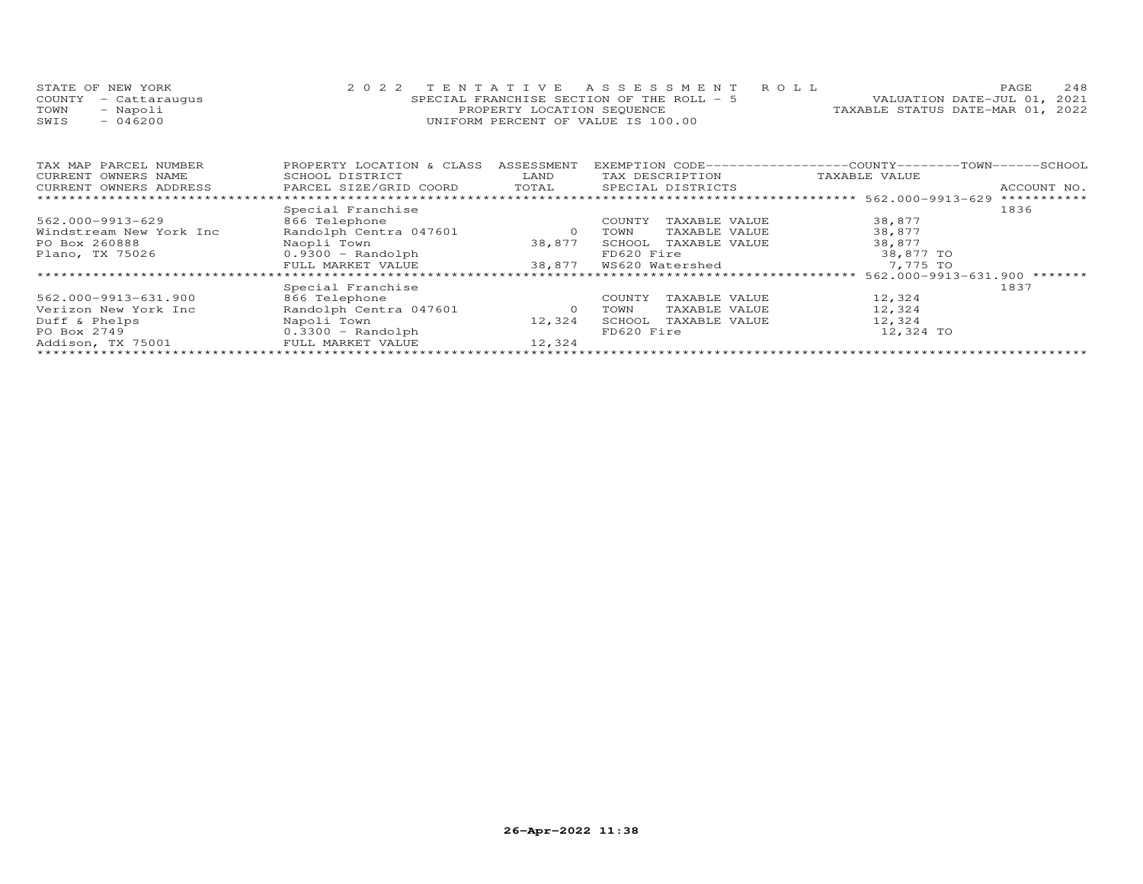|      | STATE OF NEW YORK    | 2022 TENTATIVE ASSESSMENT ROLL             | PAGE.                            | 248 |
|------|----------------------|--------------------------------------------|----------------------------------|-----|
|      | COUNTY - Cattaraugus | SPECIAL FRANCHISE SECTION OF THE ROLL $-5$ | VALUATION DATE-JUL 01, 2021      |     |
| TOWN | - Napoli             | PROPERTY LOCATION SEOUENCE                 | TAXABLE STATUS DATE-MAR 01, 2022 |     |
| SWIS | 046200               | UNIFORM PERCENT OF VALUE IS 100.00         |                                  |     |

| TAX MAP PARCEL NUMBER   | PROPERTY LOCATION & CLASS | ASSESSMENT | EXEMPTION CODE-----------------COUNTY-------TOWN------SCHOOL |                                    |             |
|-------------------------|---------------------------|------------|--------------------------------------------------------------|------------------------------------|-------------|
| CURRENT OWNERS NAME     | SCHOOL DISTRICT           | LAND       | TAX DESCRIPTION                                              | TAXABLE VALUE                      |             |
| CURRENT OWNERS ADDRESS  | PARCEL SIZE/GRID COORD    | TOTAL      | SPECIAL DISTRICTS                                            |                                    | ACCOUNT NO. |
|                         |                           |            |                                                              |                                    | *********** |
|                         | Special Franchise         |            |                                                              |                                    | 1836        |
| 562.000-9913-629        | 866 Telephone             |            | TAXABLE VALUE<br>COUNTY                                      | 38,877                             |             |
| Windstream New York Inc | Randolph Centra 047601    | $\circ$    | TOWN<br>TAXABLE VALUE                                        | 38,877                             |             |
| PO Box 260888           | Naopli Town               | 38,877     | SCHOOL<br>TAXABLE VALUE                                      | 38,877                             |             |
| Plano, TX 75026         | $0.9300 - Random$         |            | FD620 Fire                                                   | 38,877 TO                          |             |
|                         | FULL MARKET VALUE         | 38,877     | WS620 Watershed                                              | 7,775 TO                           |             |
|                         |                           |            | ********************************                             | $562.000 - 9913 - 631.900$ ******* |             |
|                         | Special Franchise         |            |                                                              |                                    | 1837        |
| 562.000-9913-631.900    | 866 Telephone             |            | COUNTY<br>TAXABLE VALUE                                      | 12,324                             |             |
| Verizon New York Inc    | Randolph Centra 047601    | $\circ$    | TAXABLE VALUE<br>TOWN                                        | 12,324                             |             |
| Duff & Phelps           | Napoli Town               | 12,324     | SCHOOL<br>TAXABLE VALUE                                      | 12,324                             |             |
| PO Box 2749             | $0.3300 - Random$         |            | FD620 Fire                                                   | 12,324 TO                          |             |
| Addison, TX 75001       | FULL MARKET VALUE         | 12,324     |                                                              |                                    |             |
|                         |                           |            |                                                              |                                    |             |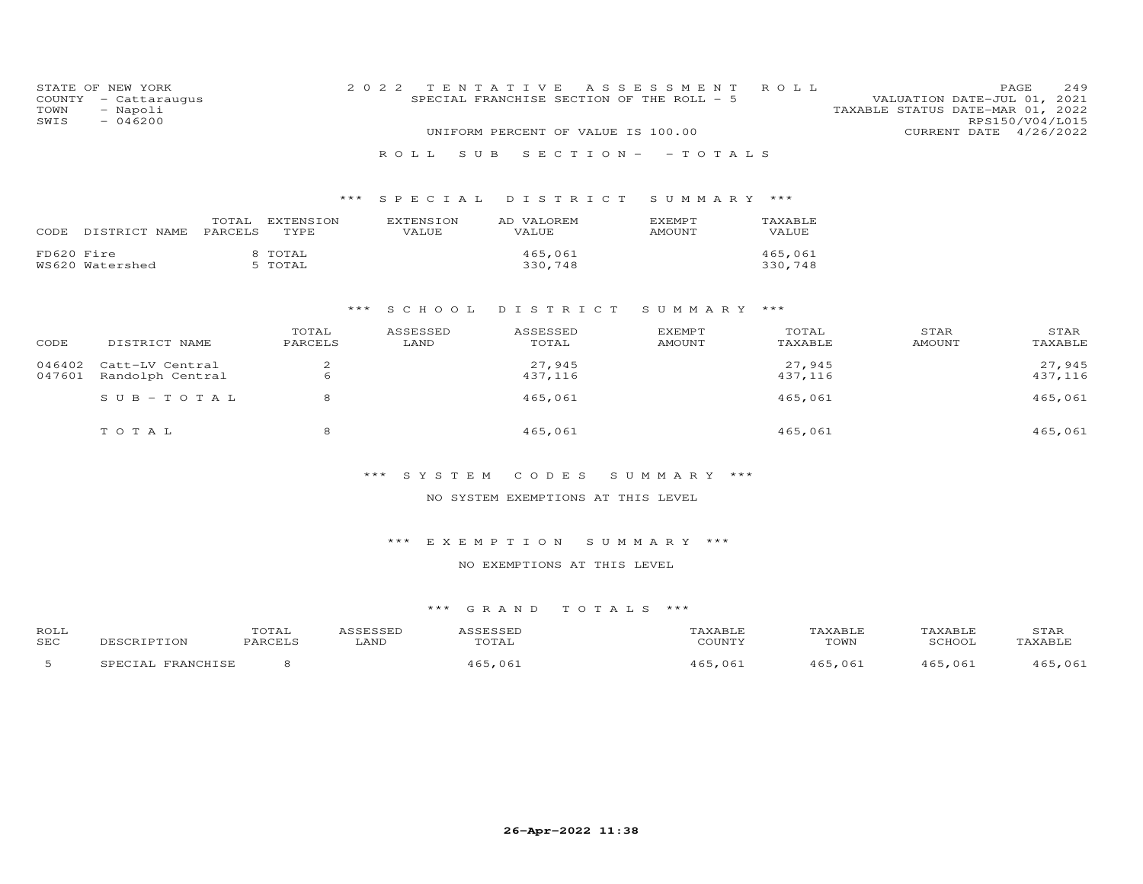| COUNTY<br>TOWN<br>SWIS | STATE OF NEW YORK<br>- Cattaraugus<br>- Napoli<br>$-046200$ |                  |                    | 2 0 2 2 |                    | TENTATIVE<br>SPECIAL FRANCHISE SECTION OF THE ROLL - 5<br>UNIFORM PERCENT OF VALUE IS 100.00 | A S S E S S M E N T             | ROLL               |                       | 249<br>PAGE<br>VALUATION DATE-JUL 01, 2021<br>TAXABLE STATUS DATE-MAR 01, 2022<br>RPS150/V04/L015<br>CURRENT DATE 4/26/2022 |
|------------------------|-------------------------------------------------------------|------------------|--------------------|---------|--------------------|----------------------------------------------------------------------------------------------|---------------------------------|--------------------|-----------------------|-----------------------------------------------------------------------------------------------------------------------------|
|                        |                                                             |                  |                    |         | ROLL.<br>S U B     |                                                                                              | $S E C T I O N - - T O T A L S$ |                    |                       |                                                                                                                             |
|                        |                                                             |                  |                    | ***     |                    |                                                                                              |                                 |                    |                       |                                                                                                                             |
|                        |                                                             |                  |                    |         | SPECIAL            | DISTRICT                                                                                     | SUMMARY ***                     |                    |                       |                                                                                                                             |
|                        | CODE DISTRICT NAME                                          | TOTAL<br>PARCELS | EXTENSION<br>TYPE  |         | EXTENSION<br>VALUE | AD VALOREM<br>VALUE                                                                          | EXEMPT<br><b>AMOUNT</b>         | TAXABLE<br>VALUE   |                       |                                                                                                                             |
| FD620 Fire             | WS620 Watershed                                             |                  | 8 TOTAL<br>5 TOTAL |         |                    | 465,061<br>330,748                                                                           |                                 | 465,061<br>330,748 |                       |                                                                                                                             |
|                        |                                                             |                  |                    | ***     | S C H O O L        | DISTRICT                                                                                     | SUMMARY ***                     |                    |                       |                                                                                                                             |
| CODE                   | DISTRICT NAME                                               |                  | TOTAL<br>PARCELS   |         | ASSESSED<br>LAND   | ASSESSED<br>TOTAL                                                                            | <b>EXEMPT</b><br><b>AMOUNT</b>  | TOTAL<br>TAXABLE   | STAR<br><b>AMOUNT</b> | STAR<br>TAXABLE                                                                                                             |
| 046402<br>047601       | Catt-LV Central<br>Randolph Central                         |                  | 2<br>6             |         |                    | 27,945<br>437,116                                                                            |                                 | 27,945<br>437,116  |                       | 27,945<br>437,116                                                                                                           |
|                        | $S$ U B - T O T A L                                         |                  | 8                  |         |                    | 465,061                                                                                      |                                 | 465,061            |                       | 465,061                                                                                                                     |
|                        | TOTAL                                                       |                  | 8                  |         |                    | 465,061                                                                                      |                                 | 465,061            |                       | 465,061                                                                                                                     |

# \*\*\* S Y S T E M C O D E S S U M M A R Y \*\*\*

## NO SYSTEM EXEMPTIONS AT THIS LEVEL

## \*\*\* E X E M P T I O N S U M M A R Y \*\*\*

## NO EXEMPTIONS AT THIS LEVEL

| ROLL<br><b>SEC</b> | DESCRIPTION       | TOTAL<br>PARCELS | ASSESSED<br>LAND | ASSESSED<br>TOTAL | TAXABLE<br>COUNTY | TAXABLE<br>TOWN | TAXABLE<br>SCHOOL | STAR<br>TAXABLE |
|--------------------|-------------------|------------------|------------------|-------------------|-------------------|-----------------|-------------------|-----------------|
|                    | SPECIAL FRANCHISE |                  |                  | 465,061           | 465,061           | 465,061         | 465,061           | 465,061         |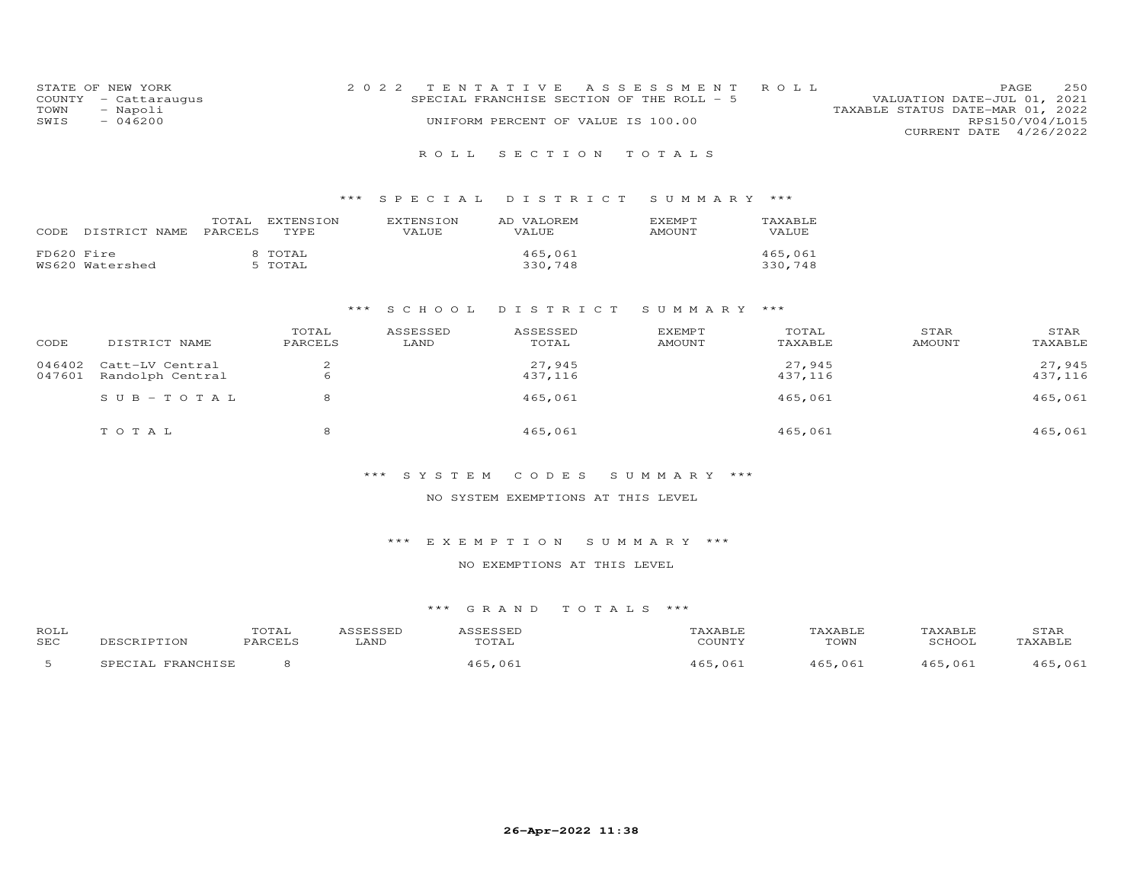|      | STATE OF NEW YORK    | 2022 TENTATIVE ASSESSMENT ROLL            | <b>PAGE</b>                      | 2.50 |
|------|----------------------|-------------------------------------------|----------------------------------|------|
|      | COUNTY - Cattaraugus | SPECIAL FRANCHISE SECTION OF THE ROLL - 5 | VALUATION DATE-JUL 01, 2021      |      |
| TOWN | - Napoli             |                                           | TAXABLE STATUS DATE-MAR 01, 2022 |      |
| SWIS | $-046200$            | UNIFORM PERCENT OF VALUE IS 100.00        | RPS150/V04/L015                  |      |
|      |                      |                                           | CURRENT DATE 4/26/2022           |      |
|      |                      |                                           |                                  |      |

## R O L L S E C T I O N T O T A L S

## \*\*\* S P E C I A L D I S T R I C T S U M M A R Y \*\*\*

| CODE       | DISTRICT NAME PARCELS | TOTAL | EXTENSION<br>TYPE. | EXTENSION<br>VALUE. | AD VALOREM<br><b>VALUE</b> | <b>FXFMPT</b><br>AMOUNT | <b>TAXABLE</b><br>VALUE. |
|------------|-----------------------|-------|--------------------|---------------------|----------------------------|-------------------------|--------------------------|
| FD620 Fire | WS620 Watershed       |       | 8 TOTAL<br>5 TOTAL |                     | 465,061<br>330,748         |                         | 465,061<br>330,748       |

## \*\*\* S C H O O L D I S T R I C T S U M M A R Y \*\*\*

| CODE   | DISTRICT NAME    | TOTAL<br>PARCELS | ASSESSED<br>LAND | ASSESSED<br>TOTAL | <b>EXEMPT</b><br>AMOUNT | TOTAL<br>TAXABLE | STAR<br>AMOUNT | STAR<br>TAXABLE |
|--------|------------------|------------------|------------------|-------------------|-------------------------|------------------|----------------|-----------------|
| 046402 | Catt-LV Central  |                  |                  | 27,945            |                         | 27,945           |                | 27,945          |
| 047601 | Randolph Central | <sub>6</sub>     |                  | 437,116           |                         | 437,116          |                | 437,116         |
|        | $SUB-TOTAL$      |                  |                  | 465,061           |                         | 465,061          |                | 465,061         |
|        | тотаь            |                  |                  | 465,061           |                         | 465,061          |                | 465,061         |

## \*\*\* S Y S T E M C O D E S S U M M A R Y \*\*\*

## NO SYSTEM EXEMPTIONS AT THIS LEVEL

## \*\*\* E X E M P T I O N S U M M A R Y \*\*\*

## NO EXEMPTIONS AT THIS LEVEL

| ROLL<br><b>SEC</b> | U THT<br>PARCE <sup>-</sup> | LAND | -----<br>.<br>$m \wedge m \wedge n$<br>∵A L | CCT1 | .<br>TOWN | 20U <sub>0</sub> | . V 7 D T 1 |
|--------------------|-----------------------------|------|---------------------------------------------|------|-----------|------------------|-------------|
|                    |                             |      |                                             | 061  |           | $06 -$           |             |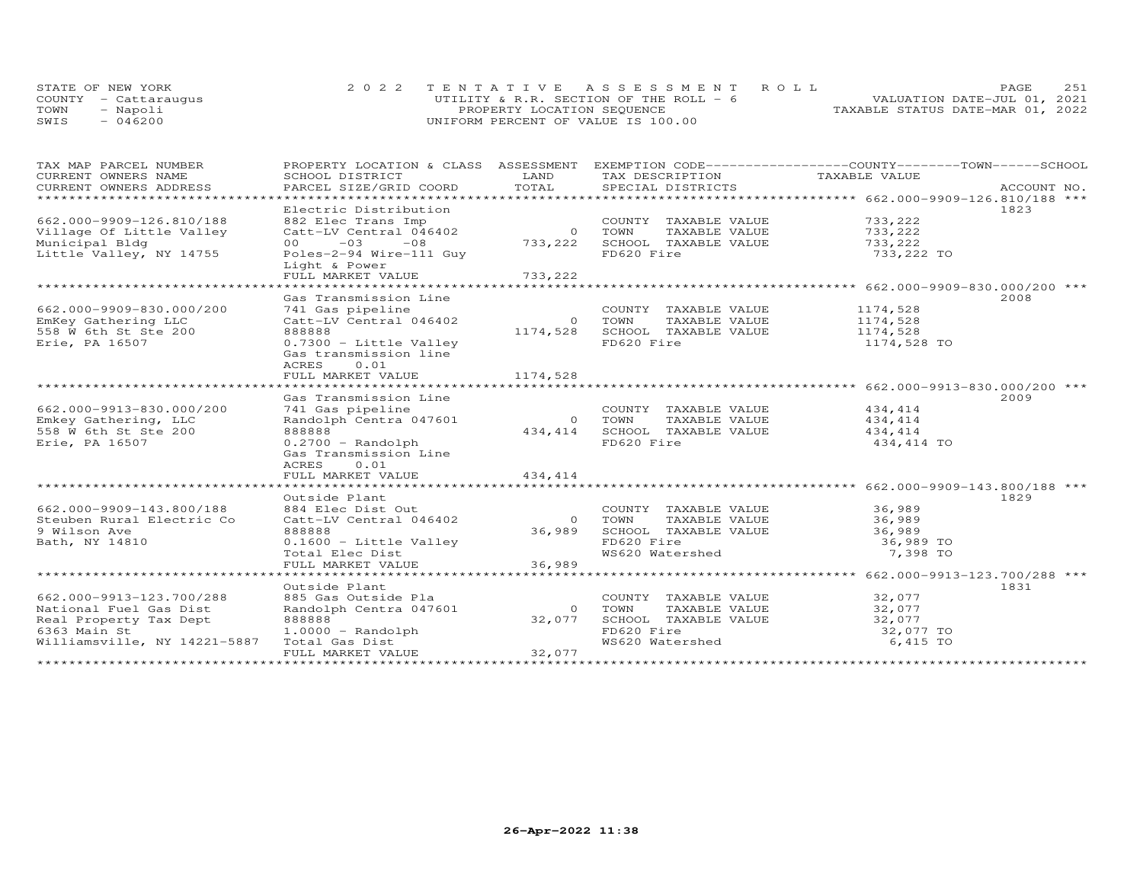|      | STATE OF NEW YORK    | 2022 TENTATIVE ASSESSMENT ROLL         | 251<br>PAGE.                     |
|------|----------------------|----------------------------------------|----------------------------------|
|      | COUNTY - Cattaraugus | UTILITY & R.R. SECTION OF THE ROLL - 6 | VALUATION DATE-JUL 01, 2021      |
| TOWN | - Napoli             | PROPERTY LOCATION SEQUENCE             | TAXABLE STATUS DATE-MAR 01, 2022 |
| SWIS | $-046200$            | UNIFORM PERCENT OF VALUE IS 100.00     |                                  |

| TAX MAP PARCEL NUMBER                         | PROPERTY LOCATION & CLASS ASSESSMENT EXEMPTION CODE----------------COUNTY-------TOWN------SCHOOL |                |                                      |                                                  |             |
|-----------------------------------------------|--------------------------------------------------------------------------------------------------|----------------|--------------------------------------|--------------------------------------------------|-------------|
| CURRENT OWNERS NAME<br>CURRENT OWNERS ADDRESS | SCHOOL DISTRICT<br>PARCEL SIZE/GRID COORD                                                        | LAND<br>TOTAL  | TAX DESCRIPTION<br>SPECIAL DISTRICTS | TAXABLE VALUE                                    |             |
|                                               |                                                                                                  |                |                                      |                                                  | ACCOUNT NO. |
|                                               | Electric Distribution                                                                            |                |                                      |                                                  | 1823        |
| 662.000-9909-126.810/188                      | 882 Elec Trans Imp                                                                               |                | COUNTY TAXABLE VALUE                 | 733,222                                          |             |
| Village Of Little Valley                      | Catt-LV Central 046402                                                                           | 0 TOWN         | TAXABLE VALUE                        | 733, 222                                         |             |
| Municipal Bldg                                | $-03$<br>$-08$<br>00 <sub>o</sub>                                                                |                | 733, 222 SCHOOL TAXABLE VALUE        | 733,222                                          |             |
| Little Valley, NY 14755                       | Poles-2-94 Wire-111 Guy                                                                          |                | FD620 Fire                           | 733,222 TO                                       |             |
|                                               | Light & Power                                                                                    |                |                                      |                                                  |             |
|                                               |                                                                                                  |                |                                      |                                                  |             |
|                                               |                                                                                                  |                |                                      |                                                  |             |
|                                               | Gas Transmission Line                                                                            |                |                                      |                                                  | 2008        |
| 662.000-9909-830.000/200                      | 741 Gas pipeline                                                                                 |                | COUNTY TAXABLE VALUE                 | 1174,528                                         |             |
| EmKey Gathering LLC                           | Catt-LV Central 046402                                                                           |                | 0 TOWN<br>TAXABLE VALUE              | 1174,528                                         |             |
| 558 W 6th St Ste 200                          | 888888                                                                                           | 1174,528       | SCHOOL TAXABLE VALUE                 | 1174,528                                         |             |
| Erie, PA 16507                                | 0.7300 - Little Valley                                                                           |                | FD620 Fire                           | 1174,528 TO                                      |             |
|                                               | Gas transmission line                                                                            |                |                                      |                                                  |             |
|                                               | ACRES<br>0.01                                                                                    |                |                                      |                                                  |             |
|                                               | FULL MARKET VALUE                                                                                | 1174,528       |                                      |                                                  |             |
|                                               |                                                                                                  |                |                                      |                                                  |             |
|                                               | Gas Transmission Line                                                                            |                |                                      |                                                  | 2009        |
| 662.000-9913-830.000/200                      | 741 Gas pipeline                                                                                 |                | COUNTY TAXABLE VALUE                 | 434,414                                          |             |
| Emkey Gathering, LLC                          | Randolph Centra 047601                                                                           | $\overline{O}$ | TOWN<br>TAXABLE VALUE                | 434, 414                                         |             |
| 558 W 6th St Ste 200                          | 888888                                                                                           | 434,414        | SCHOOL TAXABLE VALUE                 | 434,414                                          |             |
| Erie, PA 16507                                | $0.2700 - Random$                                                                                |                | FD620 Fire                           | 434,414 TO                                       |             |
|                                               | Gas Transmission Line                                                                            |                |                                      |                                                  |             |
|                                               | ACRES<br>0.01<br>FULL MARKET VALUE                                                               | 434,414        |                                      |                                                  |             |
|                                               |                                                                                                  |                |                                      |                                                  |             |
|                                               | Outside Plant                                                                                    |                |                                      |                                                  | 1829        |
| 662.000-9909-143.800/188                      | 884 Elec Dist Out                                                                                |                | COUNTY TAXABLE VALUE                 | 36,989                                           |             |
| Steuben Rural Electric Co                     | Catt-LV Central 046402                                                                           | $\overline{O}$ | TOWN<br>TAXABLE VALUE                | 36,989                                           |             |
| 9 Wilson Ave                                  | 888888                                                                                           | 36,989         | SCHOOL TAXABLE VALUE                 | 36,989                                           |             |
| Bath, NY 14810                                | 0.1600 - Little Valley                                                                           |                | FD620 Fire                           | 36,989 TO                                        |             |
|                                               | Total Elec Dist                                                                                  |                | WS620 Watershed                      | 7,398 TO                                         |             |
|                                               | FULL MARKET VALUE                                                                                | 36,989         |                                      |                                                  |             |
|                                               | ***************************                                                                      |                |                                      | ******************* 662.000-9913-123.700/288 *** |             |
|                                               | Outside Plant                                                                                    |                |                                      |                                                  | 1831        |
| 662.000-9913-123.700/288                      | 885 Gas Outside Pla                                                                              |                | COUNTY TAXABLE VALUE 32,077          |                                                  |             |
| National Fuel Gas Dist                        | Randolph Centra 047601                                                                           | $\circ$        | TOWN<br>TAXABLE VALUE                | 32,077                                           |             |
| Real Property Tax Dept                        | 888888                                                                                           | 32,077         | SCHOOL TAXABLE VALUE                 | 32,077                                           |             |
| 6363 Main St                                  | $1.0000 - Random$                                                                                |                | FD620 Fire                           | 32,077 TO                                        |             |
| Williamsville, NY 14221-5887                  | Total Gas Dist                                                                                   |                | WS620 Watershed                      | 6,415 TO                                         |             |
|                                               | FULL MARKET VALUE                                                                                | 32,077         |                                      |                                                  |             |
|                                               |                                                                                                  |                |                                      |                                                  |             |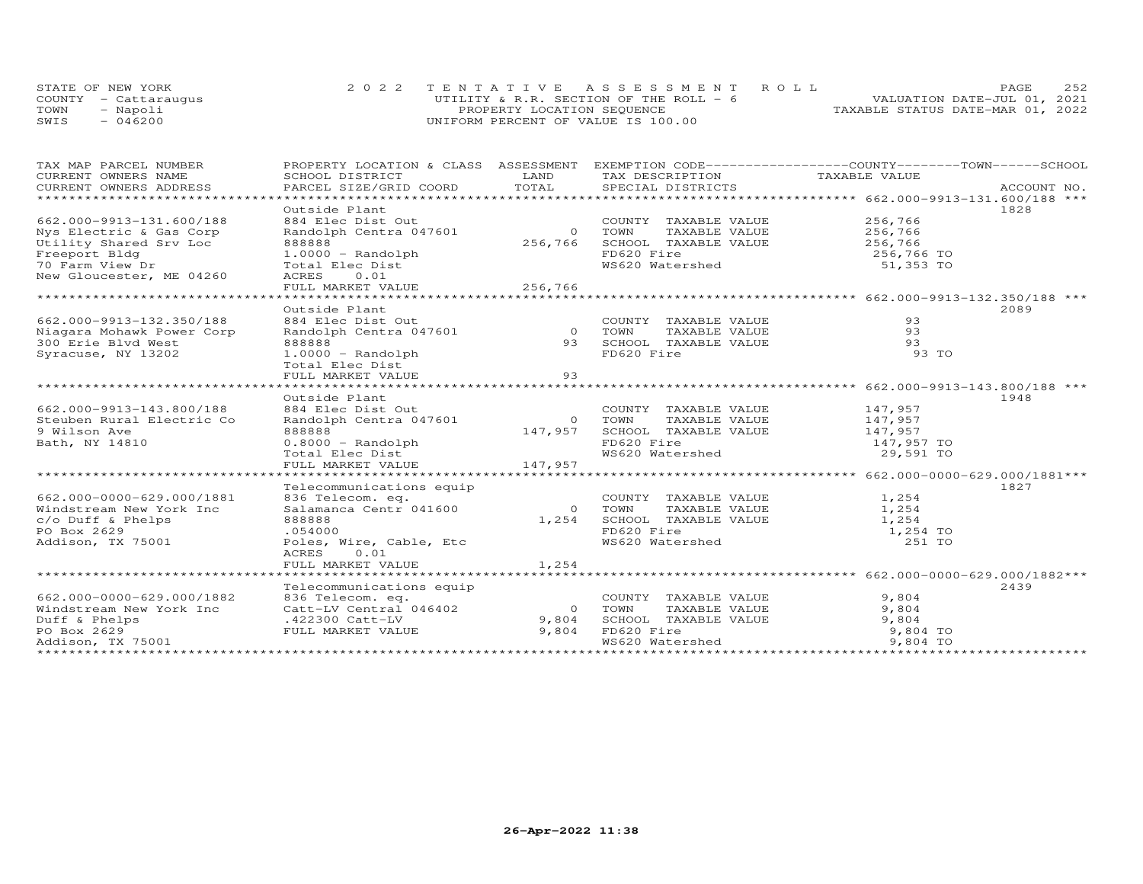|      | STATE OF NEW YORK    | 2022 TENTATIVE ASSESSMENT ROLL          |                                  | PAGE. | 2.52 |
|------|----------------------|-----------------------------------------|----------------------------------|-------|------|
|      | COUNTY - Cattaraugus | UTILITY & R.R. SECTION OF THE ROLL $-6$ | VALUATION DATE-JUL 01, 2021      |       |      |
| TOWN | - Napoli             | PROPERTY LOCATION SEQUENCE              | TAXABLE STATUS DATE-MAR 01, 2022 |       |      |
| SWIS | $-046200$            | UNIFORM PERCENT OF VALUE IS 100.00      |                                  |       |      |

| TAX MAP PARCEL NUMBER     | PROPERTY LOCATION & CLASS ASSESSMENT EXEMPTION CODE----------------COUNTY-------TOWN------SCHOOL |         |                                             |                       |      |
|---------------------------|--------------------------------------------------------------------------------------------------|---------|---------------------------------------------|-----------------------|------|
| CURRENT OWNERS NAME       | SCHOOL DISTRICT                                                                                  | LAND    | TAX DESCRIPTION TAXABLE VALUE               |                       |      |
| CURRENT OWNERS ADDRESS    |                                                                                                  |         |                                             |                       |      |
|                           |                                                                                                  |         |                                             |                       |      |
|                           | Outside Plant                                                                                    |         |                                             |                       | 1828 |
| 662.000-9913-131.600/188  | 884 Elec Dist Out                                                                                |         | COUNTY TAXABLE VALUE                        | 256,766<br>256,766    |      |
| Nys Electric & Gas Corp   | Randolph Centra 047601                                                                           | 0 TOWN  | TAXABLE VALUE                               |                       |      |
| Utility Shared Srv Loc    | 888888                                                                                           | 256,766 | SCHOOL TAXABLE VALUE 256,766                |                       |      |
| Freeport Bldg             | 00000 - Randolph<br>Total Elec Dist<br>ACRES 0.01                                                |         | FD620 Fire                                  | $256,766$ TO          |      |
| 70 Farm View Dr           |                                                                                                  |         | FD620 Fire<br>WS620 Watershed               | 51,353 TO             |      |
| New Gloucester, ME 04260  |                                                                                                  |         |                                             |                       |      |
|                           |                                                                                                  |         |                                             |                       |      |
|                           |                                                                                                  |         |                                             |                       |      |
|                           | Outside Plant                                                                                    |         |                                             |                       | 2089 |
| 662.000-9913-132.350/188  |                                                                                                  |         |                                             | 93                    |      |
| Niagara Mohawk Power Corp |                                                                                                  |         |                                             | 93                    |      |
| 300 Erie Blvd West        | Example 2018 COUNTY TAXABLE VALUE<br>Randolph Centra 047601 0 70WN TAXABLE VALUE<br>RARARA       |         |                                             | 93                    |      |
| Syracuse, NY 13202        | $1.0000 - Random$                                                                                |         | FD620 Fire                                  | 93 TO                 |      |
|                           | Total Elec Dist                                                                                  |         |                                             |                       |      |
|                           |                                                                                                  |         |                                             |                       |      |
|                           |                                                                                                  |         |                                             |                       |      |
|                           | Outside Plant                                                                                    |         |                                             |                       | 1948 |
| 662.000-9913-143.800/188  |                                                                                                  |         | COUNTY TAXABLE VALUE 147,957                |                       |      |
| Steuben Rural Electric Co |                                                                                                  |         | TAXABLE VALUE<br>TOWN                       | 147,957               |      |
| 9 Wilson Ave              | 884 Elec Dist Out<br>Randolph Centra 047601 0<br>147,957                                         |         | SCHOOL TAXABLE VALUE<br>FD620 Fire          | 147,957<br>147,957 TO |      |
| Bath, NY 14810            |                                                                                                  |         |                                             |                       |      |
|                           | 0.8000 - Randolph<br>Total Elec Dist                                                             |         | WS620 Watershed 29,591 TO                   |                       |      |
|                           |                                                                                                  |         |                                             |                       |      |
|                           |                                                                                                  |         |                                             |                       |      |
|                           | Telecommunications equip                                                                         |         |                                             |                       | 1827 |
| 662.000-0000-629.000/1881 |                                                                                                  |         | COUNTY TAXABLE VALUE                        | 1,254                 |      |
| Windstream New York Inc   | Salamanca Centr 041600<br>888888                                                                 |         | TAXABLE VALUE<br>0 TOWN                     | 1,254                 |      |
| c/o Duff & Phelps         | 888888                                                                                           | 1,254   | SCHOOL TAXABLE VALUE                        | 1,254                 |      |
| PO Box 2629               | .054000                                                                                          |         | FD620 Fire<br>WS620 Watershed               | 1,254 TO              |      |
| Addison, TX 75001         | Poles, Wire, Cable, Etc                                                                          |         |                                             | 251 TO                |      |
|                           | 0.01<br>ACRES                                                                                    |         |                                             |                       |      |
|                           | FULL MARKET VALUE                                                                                | 1,254   |                                             |                       |      |
|                           |                                                                                                  |         |                                             |                       |      |
|                           | Telecommunications equip                                                                         |         |                                             |                       | 2439 |
| 662.000-0000-629.000/1882 | 836 Telecom. eq.<br>836 Telecom. eq.<br>Catt-LV Central 046402                                   |         | COUNTY TAXABLE VALUE                        | 9,804                 |      |
| Windstream New York Inc   |                                                                                                  |         | TAXABLE VALUE<br>0 TOWN                     | 9,804                 |      |
| Duff & Phelps             | .422300 Catt-LV<br>.422300 Catt-LV<br>FULL MARKET VALUE                                          | 9,804   | SCHOOL TAXABLE VALUE 9,804                  |                       |      |
| PO Box 2629               |                                                                                                  | 9,804   | FD620 Fire<br>FD620 Fire<br>WS620 Watershed | 9,804 TO              |      |
| Addison, TX 75001         |                                                                                                  |         |                                             | 9,804 TO              |      |
|                           |                                                                                                  |         |                                             |                       |      |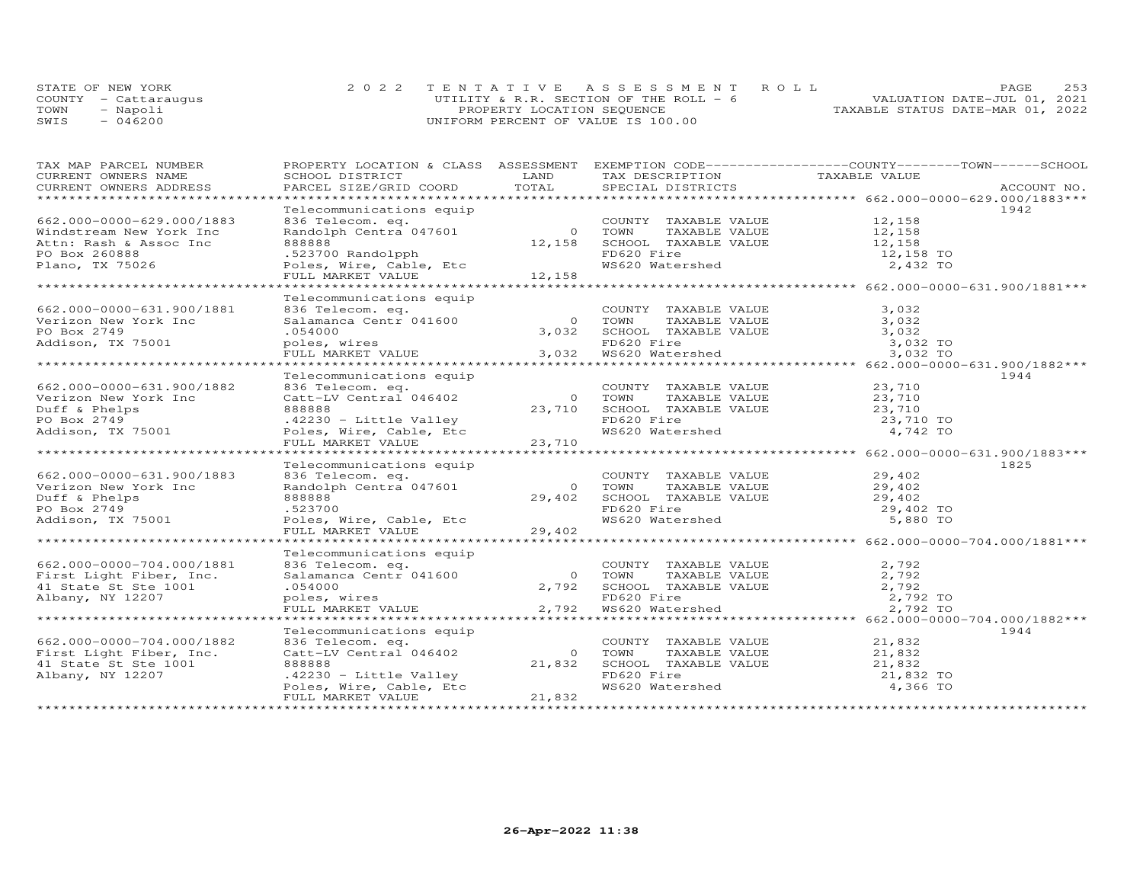|      | STATE OF NEW YORK    | 2022 TENTATIVE ASSESSMENT ROLL          | PAGE.                            | 2.53 |
|------|----------------------|-----------------------------------------|----------------------------------|------|
|      | COUNTY - Cattaraugus | UTILITY & R.R. SECTION OF THE ROLL $-6$ | VALUATION DATE-JUL 01, 2021      |      |
| TOWN | - Napoli             | PROPERTY LOCATION SEQUENCE              | TAXABLE STATUS DATE-MAR 01, 2022 |      |
| SWIS | $-046200$            | UNIFORM PERCENT OF VALUE IS 100.00      |                                  |      |

| TAX MAP PARCEL NUMBER                                     |                                            |        |                                                                                                       | PROPERTY LOCATION & CLASS ASSESSMENT EXEMPTION CODE-----------------COUNTY-------TOWN------SCHOOL |      |
|-----------------------------------------------------------|--------------------------------------------|--------|-------------------------------------------------------------------------------------------------------|---------------------------------------------------------------------------------------------------|------|
| CURRENT OWNERS NAME                                       | SCHOOL DISTRICT                            | LAND   | TAX DESCRIPTION TAXABLE VALUE                                                                         |                                                                                                   |      |
|                                                           |                                            |        |                                                                                                       |                                                                                                   |      |
|                                                           |                                            |        |                                                                                                       |                                                                                                   |      |
|                                                           | Telecommunications equip                   |        |                                                                                                       |                                                                                                   | 1942 |
| 662.000-0000-629.000/1883                                 | 836 Telecom. eq.                           |        | COUNTY TAXABLE VALUE                                                                                  | 12,158<br>12,158                                                                                  |      |
| Windstream New York Inc                                   | Randolph Centra 047601                     |        | TAXABLE VALUE                                                                                         |                                                                                                   |      |
| Attn: Rash & Assoc Inc                                    | 888888                                     |        |                                                                                                       |                                                                                                   |      |
| PO Box 260888                                             | .523700 Randolpph                          |        | 12,158 SCHOOL TAXABLE VALUE 12,158<br>FD620 Fire 12,158 TO                                            |                                                                                                   |      |
| Plano, TX 75026                                           | Poles, Wire, Cable, Etc                    |        | FD620 Fire<br>WS620 Watershed                                                                         | 2,432 TO                                                                                          |      |
|                                                           | FULL MARKET VALUE                          | 12,158 |                                                                                                       |                                                                                                   |      |
|                                                           |                                            |        |                                                                                                       |                                                                                                   |      |
|                                                           | Telecommunications equip                   |        |                                                                                                       |                                                                                                   |      |
| 662.000-0000-631.900/1881                                 | 836 Telecom. eq.                           |        |                                                                                                       |                                                                                                   |      |
| Verizon New York Inc                                      | 836 Telecom. eq.<br>Salamanca Centr 041600 |        | COUNTY TAXABLE VALUE<br>TOWN     TAXABLE VALUE                                                        | 3, 0.32                                                                                           |      |
| PO Box 2749                                               | .054000                                    | 3,032  | SCHOOL TAXABLE VALUE 3,032                                                                            |                                                                                                   |      |
| Addison, TX 75001                                         | poles, wires                               |        | FD620 Fire                                                                                            | 3,032 TO                                                                                          |      |
|                                                           | FULL MARKET VALUE                          | 3,032  |                                                                                                       | 3,032 TO                                                                                          |      |
|                                                           |                                            |        |                                                                                                       |                                                                                                   |      |
|                                                           | Telecommunications equip                   |        |                                                                                                       |                                                                                                   | 1944 |
| 662.000-0000-631.900/1882                                 | 836 Telecom. eq.                           |        | COUNTY TAXABLE VALUE 23,710                                                                           |                                                                                                   |      |
|                                                           |                                            |        |                                                                                                       |                                                                                                   |      |
| Verizon New York Inc                                      | Catt-LV Central 046402                     |        | 0 TOWN<br>23,710 SCHOOL TAXABLE VALUE<br>ENGLO TAXABLE VALUE                                          | TAXABLE VALUE 23,710<br>TAXABLE VALUE 23,710                                                      |      |
| Duff & Phelps                                             | 888888                                     |        |                                                                                                       |                                                                                                   |      |
| PO Box 2749<br>Addison, TX 75001 (Poles, Wire, Cable, Etc |                                            |        | FD620 Fire<br>WS620 Watershed                                                                         | 23,710 TO                                                                                         |      |
|                                                           |                                            |        |                                                                                                       | 4,742 TO                                                                                          |      |
|                                                           | FULL MARKET VALUE                          | 23,710 |                                                                                                       |                                                                                                   |      |
|                                                           |                                            |        |                                                                                                       |                                                                                                   |      |
|                                                           | Telecommunications equip                   |        |                                                                                                       |                                                                                                   | 1825 |
| 662.000-0000-631.900/1883                                 | 836 Telecom. eq.                           |        | COUNTY TAXABLE VALUE 29,402<br>COUNTY IAM-<br>TOWN TAXABLE VALUE<br>SCHOOL TAXABLE VALUE<br>COOL Fire |                                                                                                   |      |
| Verizon New York Inc                                      | Randolph Centra 047601                     |        | 0 TOWN                                                                                                | TAXABLE VALUE 29,402<br>TAXABLE VALUE 29,402                                                      |      |
| Duff & Phelps                                             | 888888                                     | 29,402 |                                                                                                       |                                                                                                   |      |
| PO Box 2749<br>Addison, TX 75001                          | .523700                                    |        |                                                                                                       | 29,402 TO                                                                                         |      |
|                                                           | Poles, Wire, Cable, Etc                    |        |                                                                                                       | 5,880 TO                                                                                          |      |
|                                                           | FULL MARKET VALUE                          | 29,402 |                                                                                                       |                                                                                                   |      |
|                                                           |                                            |        |                                                                                                       |                                                                                                   |      |
|                                                           | Telecommunications equip                   |        |                                                                                                       |                                                                                                   |      |
| 662.000-0000-704.000/1881                                 | 836 Telecom. eq.                           |        | COUNTY TAXABLE VALUE                                                                                  | 2,792                                                                                             |      |
| First Light Fiber, Inc.                                   | Salamanca Centr 041600                     |        | TAXABLE VALUE<br>0 TOWN                                                                               | 2,792                                                                                             |      |
| 41 State St Ste 1001                                      | .054000                                    | 2,792  |                                                                                                       | 2,792                                                                                             |      |
| Albany, NY 12207                                          | poles, wires                               |        |                                                                                                       | 2,792 TO                                                                                          |      |
|                                                           | FULL MARKET VALUE                          | 2,792  | SCHOOL TAXABLE VALUE<br>FD620 Fire<br>WS620 Watershed                                                 | 2,792 TO                                                                                          |      |
|                                                           |                                            |        |                                                                                                       |                                                                                                   |      |
|                                                           | Telecommunications equip                   |        |                                                                                                       |                                                                                                   | 1944 |
| 662.000-0000-704.000/1882                                 | 836 Telecom. eq.                           |        | COUNTY TAXABLE VALUE                                                                                  | 21,832<br>21,832                                                                                  |      |
| First Light Fiber, Inc.                                   | Catt-LV Central 046402                     |        | 0 TOWN<br>TAXABLE VALUE                                                                               |                                                                                                   |      |
| 41 State St Ste 1001                                      | 888888                                     | 21,832 | SCHOOL TAXABLE VALUE 21,832                                                                           |                                                                                                   |      |
| Albany, NY 12207                                          | .42230 - Little Valley                     |        |                                                                                                       | 21,832 TO                                                                                         |      |
|                                                           | Poles, Wire, Cable, Etc                    |        | FD620 Fire<br>WS620 Watershed                                                                         | 4,366 TO                                                                                          |      |
|                                                           | FULL MARKET VALUE                          | 21,832 |                                                                                                       |                                                                                                   |      |
|                                                           |                                            |        |                                                                                                       |                                                                                                   |      |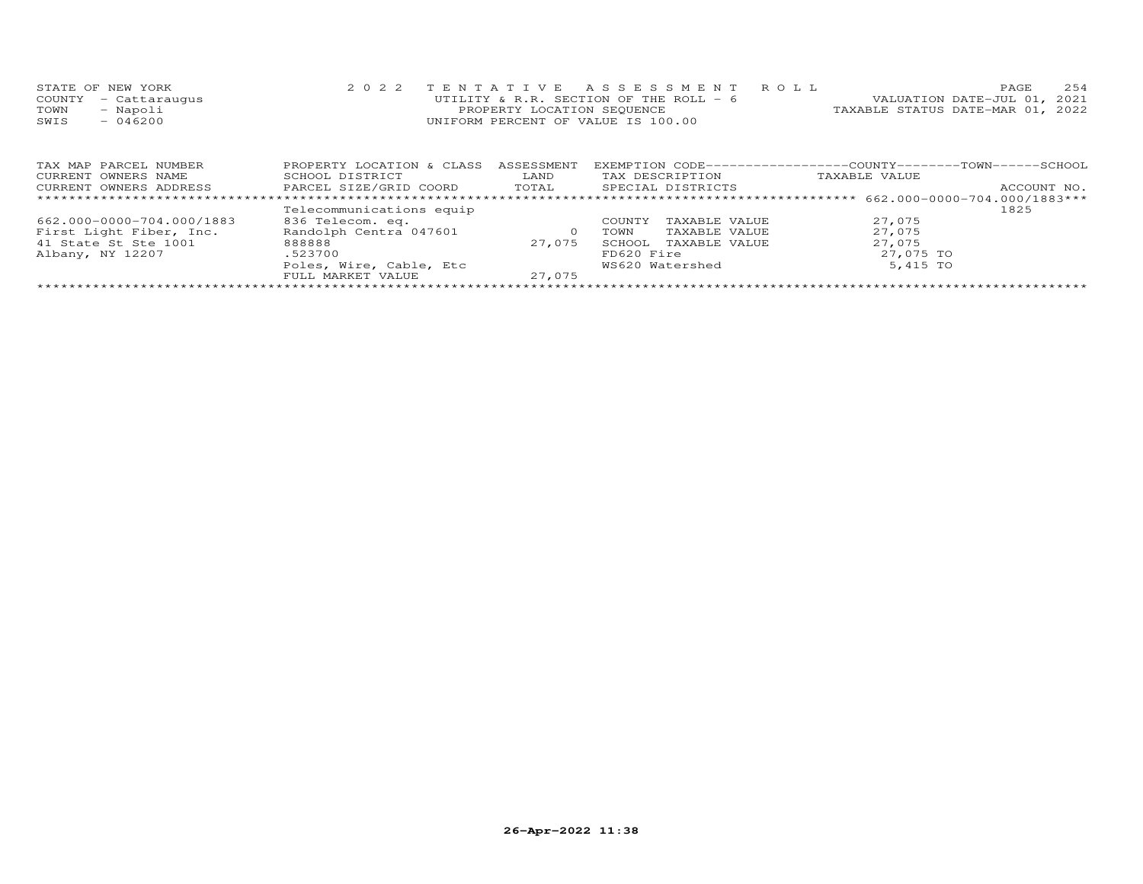|      | STATE OF NEW YORK    | 2022 TENTATIVE ASSESSMENT ROLL          |  |                                  | <b>PAGE</b> | 254 |
|------|----------------------|-----------------------------------------|--|----------------------------------|-------------|-----|
|      | COUNTY - Cattaraugus | UTILITY & R.R. SECTION OF THE ROLL $-6$ |  | VALUATION DATE-JUL 01, 2021      |             |     |
| TOWN | - Napoli             | PROPERTY LOCATION SEQUENCE              |  | TAXABLE STATUS DATE-MAR 01, 2022 |             |     |
| SWIS | $-046200$            | UNIFORM PERCENT OF VALUE IS 100.00      |  |                                  |             |     |
|      |                      |                                         |  |                                  |             |     |
|      |                      |                                         |  |                                  |             |     |

| TAX MAP PARCEL NUMBER     | PROPERTY LOCATION & CLASS | ASSESSMENT |            |                   | EXEMPTION CODE-----------------COUNTY-------TOWN------SCHOOL |             |
|---------------------------|---------------------------|------------|------------|-------------------|--------------------------------------------------------------|-------------|
| CURRENT OWNERS NAME       | SCHOOL DISTRICT           | LAND       |            | TAX DESCRIPTION   | TAXABLE VALUE                                                |             |
| CURRENT OWNERS ADDRESS    | PARCEL SIZE/GRID COORD    | TOTAL      |            | SPECIAL DISTRICTS |                                                              | ACCOUNT NO. |
|                           |                           |            |            |                   |                                                              |             |
|                           | Telecommunications equip  |            |            |                   |                                                              | 1825        |
| 662.000-0000-704.000/1883 | 836 Telecom. eq.          |            | COUNTY     | TAXABLE VALUE     | 27,075                                                       |             |
| First Light Fiber, Inc.   | Randolph Centra 047601    |            | TOWN       | TAXABLE VALUE     | 27,075                                                       |             |
| 41 State St Ste 1001      | 888888                    | 27.075     | SCHOOL     | TAXABLE VALUE     | 27,075                                                       |             |
| Albany, NY 12207          | .523700                   |            | FD620 Fire |                   | 27,075 TO                                                    |             |
|                           | Poles, Wire, Cable, Etc   |            |            | WS620 Watershed   | 5,415 TO                                                     |             |
|                           | FULL MARKET VALUE         | 27,075     |            |                   |                                                              |             |
|                           |                           |            |            |                   |                                                              |             |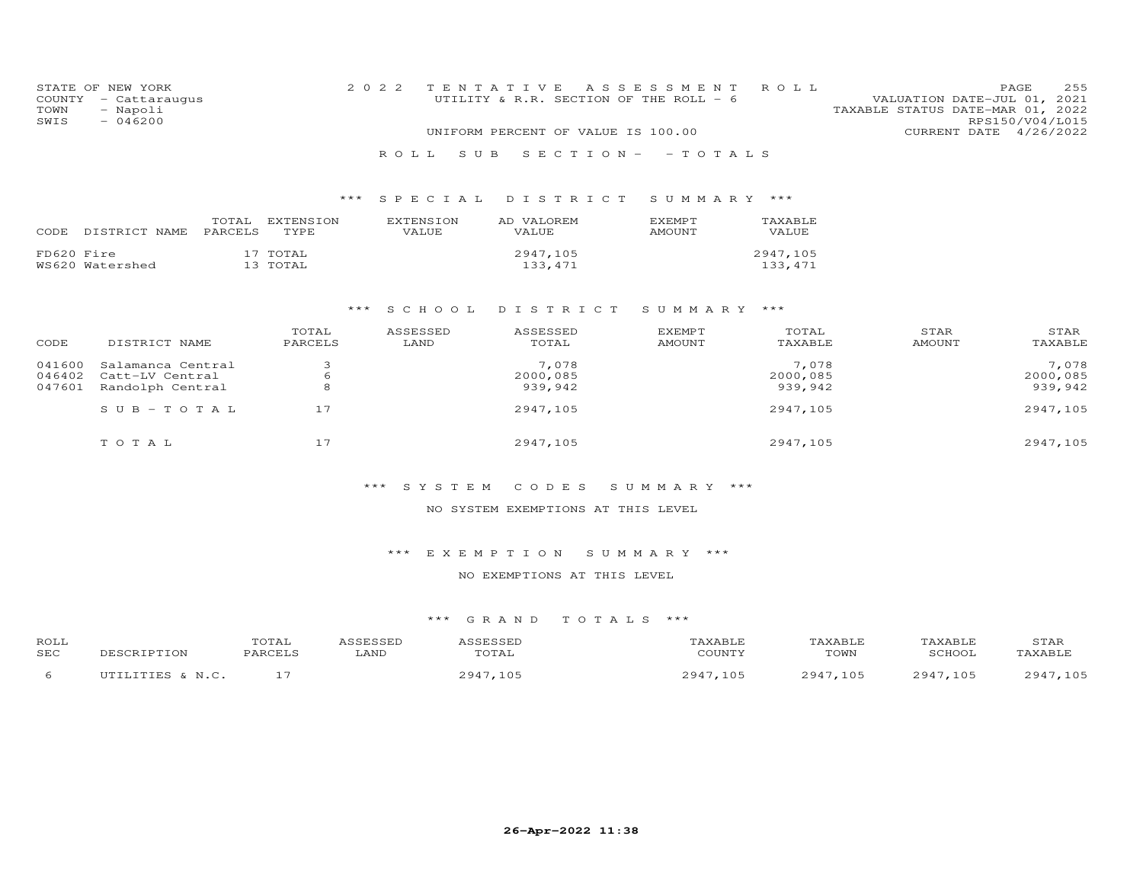|      | STATE OF NEW YORK    | 2022 TENTATIVE ASSESSMENT ROLL         |  |  |                                  |                        | PAGE. | 255 |
|------|----------------------|----------------------------------------|--|--|----------------------------------|------------------------|-------|-----|
|      | COUNTY - Cattaraugus | UTILITY & R.R. SECTION OF THE ROLL - 6 |  |  | VALUATION DATE-JUL 01, 2021      |                        |       |     |
| TOWN | - Napoli             |                                        |  |  | TAXABLE STATUS DATE-MAR 01, 2022 |                        |       |     |
| SWIS | $-046200$            |                                        |  |  |                                  | RPS150/V04/L015        |       |     |
|      |                      | UNIFORM PERCENT OF VALUE IS 100.00     |  |  |                                  | CURRENT DATE 4/26/2022 |       |     |
|      |                      | ROLL SUB SECTION- - TOTALS             |  |  |                                  |                        |       |     |

## \*\*\* S P E C I A L D I S T R I C T S U M M A R Y \*\*\*

| CODE.      | DISTRICT NAME PARCELS | TOTAL. | EXTENSION<br>TYPE.   | <b>EXTENSION</b><br>VALUE | AD VALOREM<br><b>VALUE</b> | <b>EXEMPT</b><br>AMOUNT | <b>TAXABLE</b><br>VALUE |
|------------|-----------------------|--------|----------------------|---------------------------|----------------------------|-------------------------|-------------------------|
| FD620 Fire | WS620 Watershed       |        | 17 TOTAL<br>13 TOTAL |                           | 2947.105<br>133,471        |                         | 2947.105<br>133,471     |

#### \*\*\* S C H O O L D I S T R I C T S U M M A R Y \*\*\*

| CODE   | DISTRICT NAME             | TOTAL<br>PARCELS | ASSESSED<br>LAND | ASSESSED<br>TOTAL | <b>EXEMPT</b><br>AMOUNT | TOTAL<br>TAXABLE | STAR<br>AMOUNT | STAR<br>TAXABLE |
|--------|---------------------------|------------------|------------------|-------------------|-------------------------|------------------|----------------|-----------------|
| 041600 | Salamanca Central         |                  |                  | 7,078             |                         | 7,078            |                | 7,078           |
| 046402 | Catt-LV Central           | b                |                  | 2000,085          |                         | 2000,085         |                | 2000,085        |
| 047601 | Randolph Central          |                  |                  | 939,942           |                         | 939,942          |                | 939,942         |
|        | $S \cup B - T \cup T A L$ | 17               |                  | 2947,105          |                         | 2947,105         |                | 2947,105        |
|        | TOTAL                     | 17               |                  | 2947,105          |                         | 2947,105         |                | 2947,105        |

#### \*\*\* S Y S T E M C O D E S S U M M A R Y \*\*\*

#### NO SYSTEM EXEMPTIONS AT THIS LEVEL

#### \*\*\* E X E M P T I O N S U M M A R Y \*\*\*

## NO EXEMPTIONS AT THIS LEVEL

| ROLL | DESCRIPTION      | TOTAL   | ASSESSED | ASSESSED | TAXABLE  | TAXABLE  | TAXABLE  | STAR     |
|------|------------------|---------|----------|----------|----------|----------|----------|----------|
| SEC  |                  | PARCELS | LAND     | TOTAL    | COUNTY   | TOWN     | SCHOOL   | TAXABLE  |
|      | UTILITIES & N.C. |         |          | 2947,105 | 2947,105 | 2947.105 | 2947.105 | 2947,105 |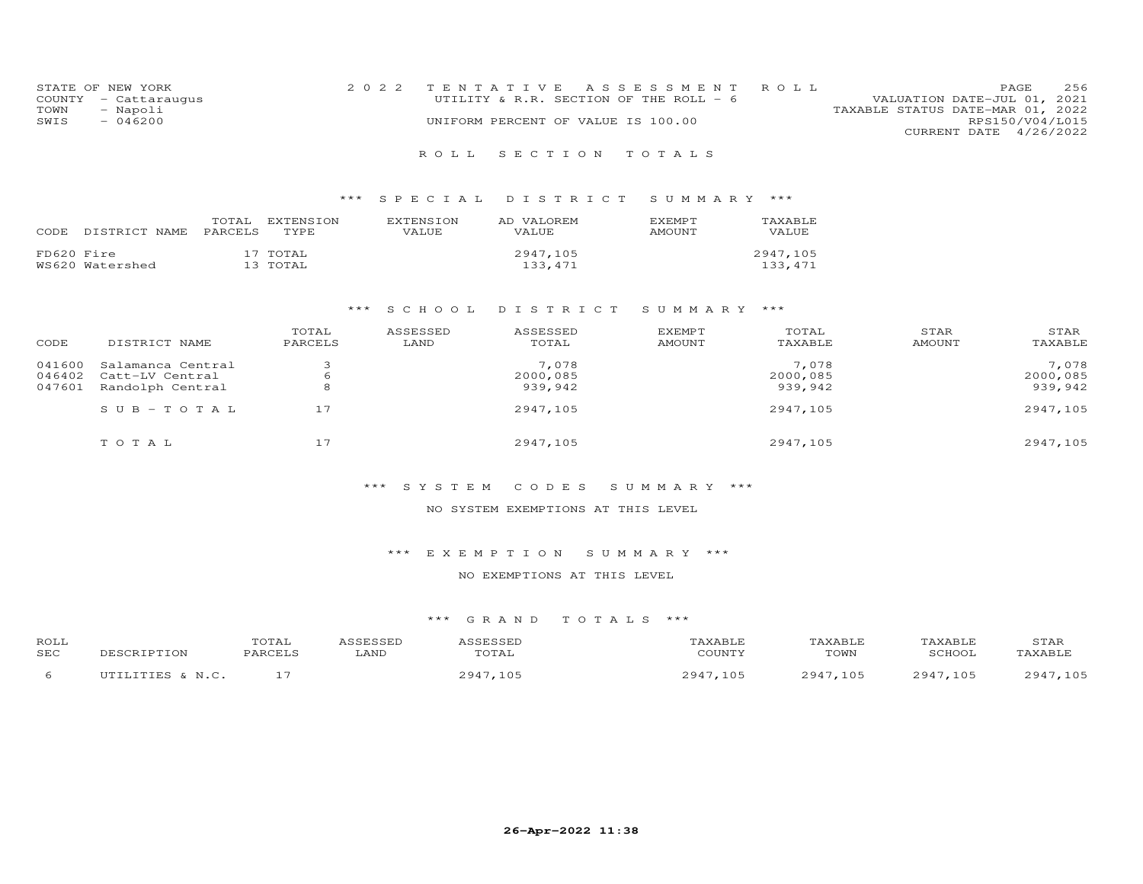| STATE OF NEW YORK    | 2022 TENTATIVE ASSESSMENT ROLL          | 256<br><b>PAGE</b>               |
|----------------------|-----------------------------------------|----------------------------------|
| COUNTY - Cattaraugus | UTILITY & R.R. SECTION OF THE ROLL $-6$ | VALUATION DATE-JUL 01, 2021      |
| - Napoli<br>TOWN     |                                         | TAXABLE STATUS DATE-MAR 01, 2022 |
| $-046200$<br>SWIS    | UNIFORM PERCENT OF VALUE IS 100.00      | RPS150/V04/L015                  |
|                      |                                         | CURRENT DATE 4/26/2022           |
|                      |                                         |                                  |

## R O L L S E C T I O N T O T A L S

## \*\*\* S P E C I A L D I S T R I C T S U M M A R Y \*\*\*

| CODE       | DISTRICT NAME PARCELS | TOTAL | EXTENSION<br>TYPE.   | <b>FXTENSION</b><br><b>VALUE</b> | AD VALOREM<br><b>VALUE</b> | <b>FXFMPT</b><br>AMOUNT | <b>TAXABLE</b><br>VALUE |
|------------|-----------------------|-------|----------------------|----------------------------------|----------------------------|-------------------------|-------------------------|
| FD620 Fire | WS620 Watershed       |       | 17 TOTAL<br>13 TOTAL |                                  | 2947,105<br>133,471        |                         | 2947,105<br>133, 471    |

#### \*\*\* S C H O O L D I S T R I C T S U M M A R Y \*\*\*

| CODE   | DISTRICT NAME     | TOTAL<br>PARCELS | ASSESSED<br>LAND | ASSESSED<br>TOTAL | <b>EXEMPT</b><br><b>AMOUNT</b> | TOTAL<br>TAXABLE | STAR<br>AMOUNT | STAR<br>TAXABLE |
|--------|-------------------|------------------|------------------|-------------------|--------------------------------|------------------|----------------|-----------------|
| 041600 | Salamanca Central |                  |                  | 7,078             |                                | 7,078            |                | 7,078           |
| 046402 | Catt-LV Central   | 6                |                  | 2000,085          |                                | 2000,085         |                | 2000,085        |
| 047601 | Randolph Central  | 8                |                  | 939,942           |                                | 939,942          |                | 939,942         |
|        | $SUB - TO TAL$    | 17               |                  | 2947,105          |                                | 2947,105         |                | 2947,105        |
|        | TOTAL             |                  |                  | 2947,105          |                                | 2947,105         |                | 2947,105        |

#### \*\*\* S Y S T E M C O D E S S U M M A R Y \*\*\*

#### NO SYSTEM EXEMPTIONS AT THIS LEVEL

#### \*\*\* E X E M P T I O N S U M M A R Y \*\*\*

## NO EXEMPTIONS AT THIS LEVEL

| ROLL | DESCRIPTION      | TOTAL   | ASSESSED | ASSESSED | TAXABLE  | TAXABLE  | TAXABLE  | STAR     |
|------|------------------|---------|----------|----------|----------|----------|----------|----------|
| SEC  |                  | PARCELS | LAND     | TOTAL    | COUNTY   | TOWN     | SCHOOL   | TAXABLE  |
|      | UTILITIES & N.C. |         |          | 2947,105 | 2947,105 | 2947.105 | 2947.105 | 2947,105 |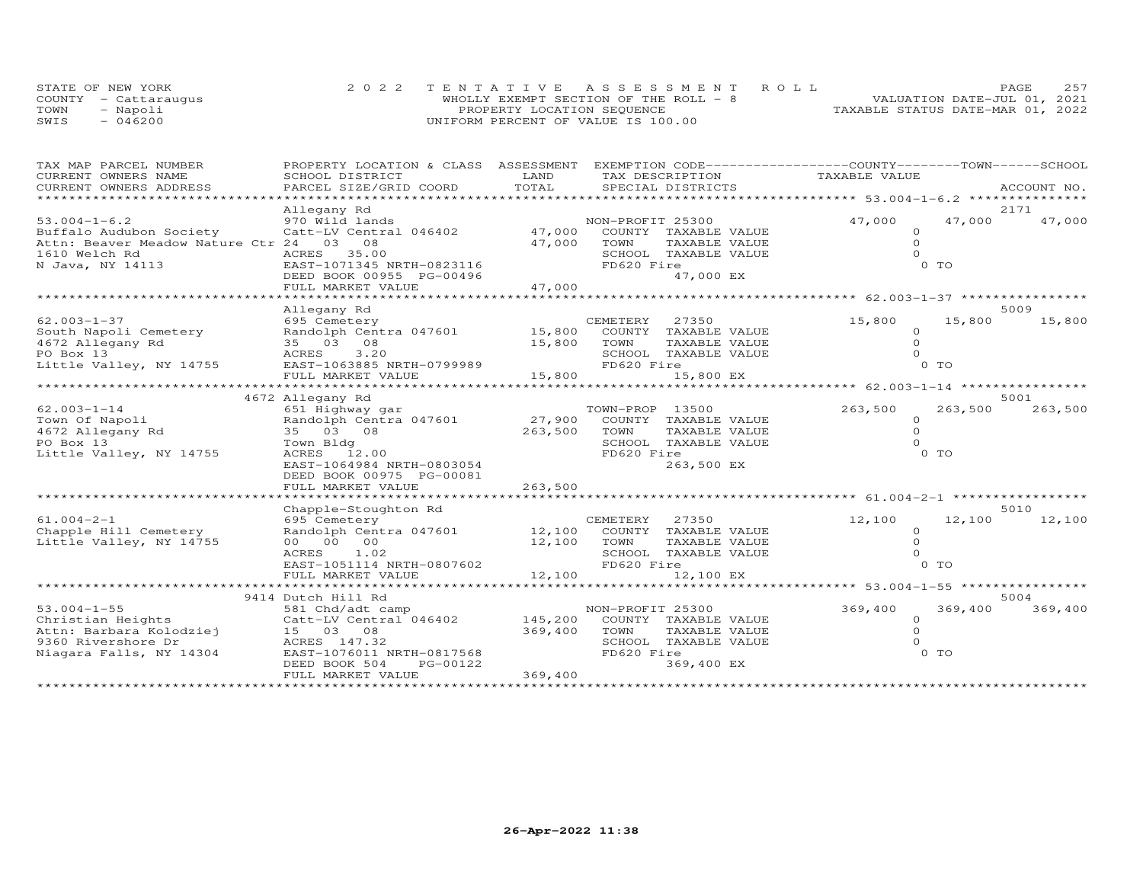|      | STATE OF NEW YORK    | 2022 TENTATIVE ASSESSMENT ROLL         |                                  | PAGE | 257 |
|------|----------------------|----------------------------------------|----------------------------------|------|-----|
|      | COUNTY - Cattaraugus | WHOLLY EXEMPT SECTION OF THE ROLL $-8$ | VALUATION DATE-JUL 01, 2021      |      |     |
| TOWN | - Napoli             | PROPERTY LOCATION SEQUENCE             | TAXABLE STATUS DATE-MAR 01, 2022 |      |     |
| SWIS | $-046200$            | UNIFORM PERCENT OF VALUE IS 100.00     |                                  |      |     |

| TAX MAP PARCEL NUMBER                                                         | PROPERTY LOCATION & CLASS ASSESSMENT                                                         |                        | EXEMPTION CODE-----------------COUNTY-------TOWN------SCHOOL |               |         |             |
|-------------------------------------------------------------------------------|----------------------------------------------------------------------------------------------|------------------------|--------------------------------------------------------------|---------------|---------|-------------|
| CURRENT OWNERS NAME<br>CURRENT OWNERS ADDRESS                                 | SCHOOL DISTRICT<br>PARCEL SIZE/GRID COORD                                                    | LAND<br>TOTAL          | TAX DESCRIPTION<br>SPECIAL DISTRICTS                         | TAXABLE VALUE |         | ACCOUNT NO. |
|                                                                               |                                                                                              |                        |                                                              |               |         |             |
|                                                                               | Allegany Rd                                                                                  |                        |                                                              |               |         | 2171        |
| $53.004 - 1 - 6.2$                                                            | 970 Wild lands                                                                               |                        | NON-PROFIT 25300                                             | 47,000        | 47,000  | 47,000      |
| Buffalo Audubon Society                                                       | Catt-LV Central 046402 47,000                                                                |                        | COUNTY TAXABLE VALUE                                         | $\circ$       |         |             |
| Attn: Beaver Meadow Nature Ctr 24 03 08                                       |                                                                                              | 47,000                 | TOWN<br>TAXABLE VALUE                                        | $\circ$       |         |             |
| 1610 Welch Rd                                                                 | 35.00<br>ACRES                                                                               |                        | SCHOOL TAXABLE VALUE                                         | $\Omega$      |         |             |
| N Java, NY 14113                                                              | EAST-1071345 NRTH-0823116                                                                    |                        | FD620 Fire                                                   |               | $0$ TO  |             |
|                                                                               | DEED BOOK 00955 PG-00496<br>FULL MARKET VALUE 47,000                                         |                        | 47,000 EX                                                    |               |         |             |
|                                                                               |                                                                                              |                        |                                                              |               |         |             |
|                                                                               | Allegany Rd                                                                                  |                        |                                                              |               |         | 5009        |
| $62.003 - 1 - 37$                                                             | 695 Cemetery                                                                                 |                        | CEMETERY<br>27350                                            | 15,800        | 15,800  | 15,800      |
|                                                                               |                                                                                              |                        | COUNTY TAXABLE VALUE                                         | $\Omega$      |         |             |
| South Napoli Cemetery<br>4672 Allegany Rd 35 03 08 15,800<br>PO Box 13 15,800 |                                                                                              |                        | TOWN<br>TAXABLE VALUE                                        | $\Omega$      |         |             |
|                                                                               |                                                                                              |                        | SCHOOL TAXABLE VALUE                                         | $\Omega$      |         |             |
| Little Valley, NY 14755                                                       | EAST-1063885 NRTH-0799989                                                                    |                        | FD620 Fire                                                   |               | 0 TO    |             |
|                                                                               |                                                                                              |                        |                                                              |               |         |             |
|                                                                               |                                                                                              |                        |                                                              |               |         |             |
|                                                                               |                                                                                              |                        |                                                              |               |         | 5001        |
| $62.003 - 1 - 14$                                                             |                                                                                              | $\frac{27}{252}$ , 900 | TOWN-PROP 13500                                              | 263,500       | 263,500 | 263,500     |
| Town Of Napoli                                                                |                                                                                              |                        | COUNTY TAXABLE VALUE                                         | $\circ$       |         |             |
| 4672 Allegany Rd                                                              |                                                                                              | 263,500                | TOWN<br>TAXABLE VALUE                                        | $\Omega$      |         |             |
| PO Box 13                                                                     |                                                                                              |                        | SCHOOL TAXABLE VALUE                                         | $\Omega$      |         |             |
| Little Valley, NY 14755                                                       |                                                                                              |                        | FD620 Fire                                                   |               | $0$ TO  |             |
|                                                                               | EAST-1064984 NRTH-0803054                                                                    |                        | 263,500 EX                                                   |               |         |             |
|                                                                               | DEED BOOK 00975 PG-00081                                                                     |                        |                                                              |               |         |             |
|                                                                               | FULL MARKET VALUE                                                                            | 263,500                |                                                              |               |         |             |
|                                                                               | Chapple-Stoughton Rd                                                                         |                        |                                                              |               |         | 5010        |
| $61.004 - 2 - 1$                                                              | 695 Cemetery                                                                                 |                        | CEMETERY<br>27350                                            | 12,100        | 12,100  | 12,100      |
| Chapple Hill Cemetery                                                         | Randolph Centra 047601 12,100 COUNTY TAXABLE VALUE                                           |                        |                                                              | $\circ$       |         |             |
| Little Valley, NY 14755                                                       | 00 00 00                                                                                     | 12,100                 | TOWN<br>TAXABLE VALUE                                        | $\Omega$      |         |             |
|                                                                               |                                                                                              |                        | SCHOOL TAXABLE VALUE                                         | $\Omega$      |         |             |
|                                                                               |                                                                                              |                        | FD620 Fire                                                   |               | 0 TO    |             |
|                                                                               | 00 00 00<br>ACRES 1.02 500 500 500 500<br>EAST-1051114 NRTH-0807602 5D6<br>The 12,100 12,100 |                        | 12,100 EX                                                    |               |         |             |
|                                                                               |                                                                                              |                        |                                                              |               |         |             |
|                                                                               | 9414 Dutch Hill Rd                                                                           |                        |                                                              |               |         | 5004        |
| $53.004 - 1 - 55$                                                             | 581 Chd/adt camp                                                                             |                        | NON-PROFIT 25300                                             | 369,400       | 369,400 | 369,400     |
| Christian Heights                                                             | $Catt-LV$ Central 046402 145,200                                                             |                        | COUNTY TAXABLE VALUE                                         | $\circ$       |         |             |
| Attn: Barbara Kolodziej                                                       | 15 03 08                                                                                     | 369,400                | TOWN<br>TAXABLE VALUE                                        | $\Omega$      |         |             |
| 9360 Rivershore Dr                                                            | ACRES 147.32                                                                                 |                        | SCHOOL TAXABLE VALUE                                         |               |         |             |
| Niagara Falls, NY 14304                                                       | EAST-1076011 NRTH-0817568                                                                    |                        | FD620 Fire                                                   |               | 0 TO    |             |
|                                                                               | DEED BOOK 504<br>PG-00122                                                                    | 369,400                | 369,400 EX                                                   |               |         |             |
|                                                                               | FULL MARKET VALUE                                                                            |                        |                                                              |               |         |             |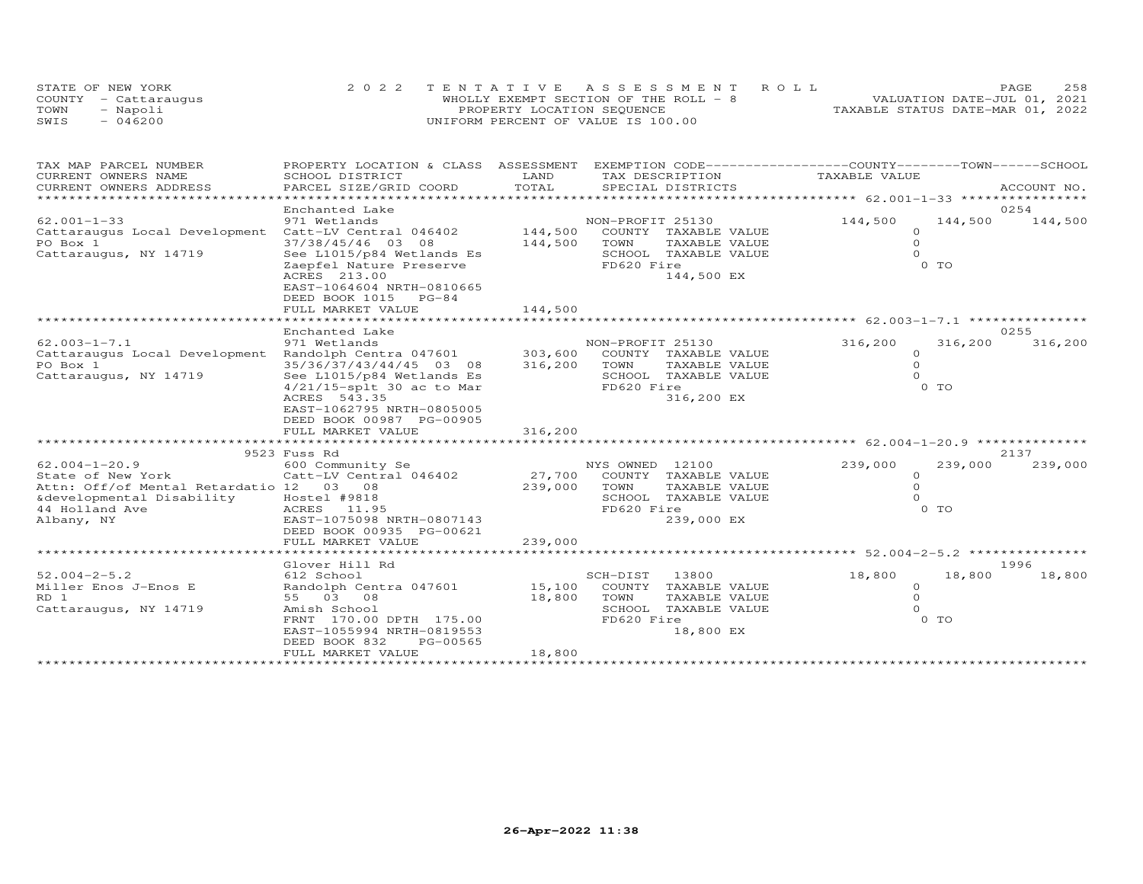|      | STATE OF NEW YORK    |                                    | 2022 TENTATIVE ASSESSMENT ROLL        |                                  | PAGE | 2.58 |
|------|----------------------|------------------------------------|---------------------------------------|----------------------------------|------|------|
|      | COUNTY - Cattaraugus |                                    | WHOLLY EXEMPT SECTION OF THE ROLL - 8 | VALUATION DATE-JUL 01, 2021      |      |      |
| TOWN | - Napoli             | PROPERTY LOCATION SEQUENCE         |                                       | TAXABLE STATUS DATE-MAR 01, 2022 |      |      |
| SWIS | $-046200$            | UNIFORM PERCENT OF VALUE IS 100.00 |                                       |                                  |      |      |

| TAX MAP PARCEL NUMBER<br>CURRENT OWNERS NAME                                                                                                     | PROPERTY LOCATION & CLASS ASSESSMENT<br>SCHOOL DISTRICT                                                                                                                       | LAND                       | EXEMPTION CODE-----------------COUNTY-------TOWN------SCHOOL<br>TAX DESCRIPTION                                             | TAXABLE VALUE                               |                   |                 |
|--------------------------------------------------------------------------------------------------------------------------------------------------|-------------------------------------------------------------------------------------------------------------------------------------------------------------------------------|----------------------------|-----------------------------------------------------------------------------------------------------------------------------|---------------------------------------------|-------------------|-----------------|
| CURRENT OWNERS ADDRESS                                                                                                                           | PARCEL SIZE/GRID COORD                                                                                                                                                        | TOTAL                      | SPECIAL DISTRICTS                                                                                                           |                                             |                   | ACCOUNT NO.     |
|                                                                                                                                                  | Enchanted Lake                                                                                                                                                                |                            |                                                                                                                             |                                             |                   | 0254            |
| $62.001 - 1 - 33$<br>Cattaraugus Local Development Catt-LV Central 046402<br>PO Box 1<br>Cattaraugus, NY 14719                                   | 971 Wetlands<br>37/38/45/46 03 08<br>See L1015/p84 Wetlands Es<br>Zaepfel Nature Preserve<br>ACRES 213.00<br>EAST-1064604 NRTH-0810665<br>DEED BOOK 1015 PG-84                | 144,500<br>144,500         | NON-PROFIT 25130<br>COUNTY TAXABLE VALUE<br>TOWN<br>TAXABLE VALUE<br>SCHOOL TAXABLE VALUE<br>FD620 Fire<br>144,500 EX       | 144,500<br>$\Omega$<br>$\circ$<br>$\Omega$  | 144,500<br>$0$ TO | 144,500         |
|                                                                                                                                                  | FULL MARKET VALUE                                                                                                                                                             | 144,500                    |                                                                                                                             |                                             |                   |                 |
|                                                                                                                                                  | Enchanted Lake                                                                                                                                                                |                            |                                                                                                                             |                                             |                   | 0255            |
| $62.003 - 1 - 7.1$<br>Cattaraugus Local Development Randolph Centra 047601 303,600<br>PO Box 1<br>Cattaraugus, NY 14719                          | 971 Wetlands<br>35/36/37/43/44/45 03 08<br>See L1015/p84 Wetlands Es<br>$4/21/15$ -splt 30 ac to Mar<br>ACRES 543.35<br>EAST-1062795 NRTH-0805005<br>DEED BOOK 00987 PG-00905 | 316,200                    | NON-PROFIT 25130<br>COUNTY TAXABLE VALUE<br>TOWN<br>TAXABLE VALUE<br>SCHOOL TAXABLE VALUE<br>FD620 Fire<br>316,200 EX       | 316,200<br>$\Omega$<br>$\Omega$<br>$\Omega$ | 316,200<br>$0$ TO | 316,200         |
|                                                                                                                                                  | FULL MARKET VALUE                                                                                                                                                             | 316,200                    |                                                                                                                             |                                             |                   |                 |
|                                                                                                                                                  |                                                                                                                                                                               |                            |                                                                                                                             |                                             |                   |                 |
| $62.004 - 1 - 20.9$<br>State of New York<br>Attn: Off/of Mental Retardatio 12 03 08<br>&developmental Disability<br>44 Holland Ave<br>Albany, NY | 9523 Fuss Rd<br>600 Community Se<br>Catt-LV Central 046402<br>Hostel #9818<br>ACRES 11.95<br>EAST-1075098 NRTH-0807143<br>DEED BOOK 00935 PG-00621                            | 239,000                    | NYS OWNED 12100<br>27,700 COUNTY TAXABLE VALUE<br>TOWN<br>TAXABLE VALUE<br>SCHOOL TAXABLE VALUE<br>FD620 Fire<br>239,000 EX | 239,000<br>$\circ$<br>$\circ$<br>$\Omega$   | 239,000<br>$0$ TO | 2137<br>239,000 |
|                                                                                                                                                  | FULL MARKET VALUE                                                                                                                                                             | 239,000                    |                                                                                                                             |                                             |                   |                 |
|                                                                                                                                                  | Glover Hill Rd                                                                                                                                                                |                            |                                                                                                                             |                                             |                   | 1996            |
| $52.004 - 2 - 5.2$<br>Miller Enos J-Enos E<br>RD 1<br>Cattaraugus, NY 14719                                                                      | 612 School<br>Randolph Centra 047601<br>55 03 08<br>Amish School<br>FRNT 170.00 DPTH 175.00<br>EAST-1055994 NRTH-0819553<br>DEED BOOK 832<br>PG-00565<br>FULL MARKET VALUE    | 15,100<br>18,800<br>18,800 | SCH-DIST<br>13800<br>COUNTY TAXABLE VALUE<br>TOWN<br>TAXABLE VALUE<br>SCHOOL TAXABLE VALUE<br>FD620 Fire<br>18,800 EX       | 18,800<br>$\circ$<br>$\Omega$<br>$\Omega$   | 18,800<br>$0$ TO  | 18,800          |
|                                                                                                                                                  |                                                                                                                                                                               |                            |                                                                                                                             |                                             |                   |                 |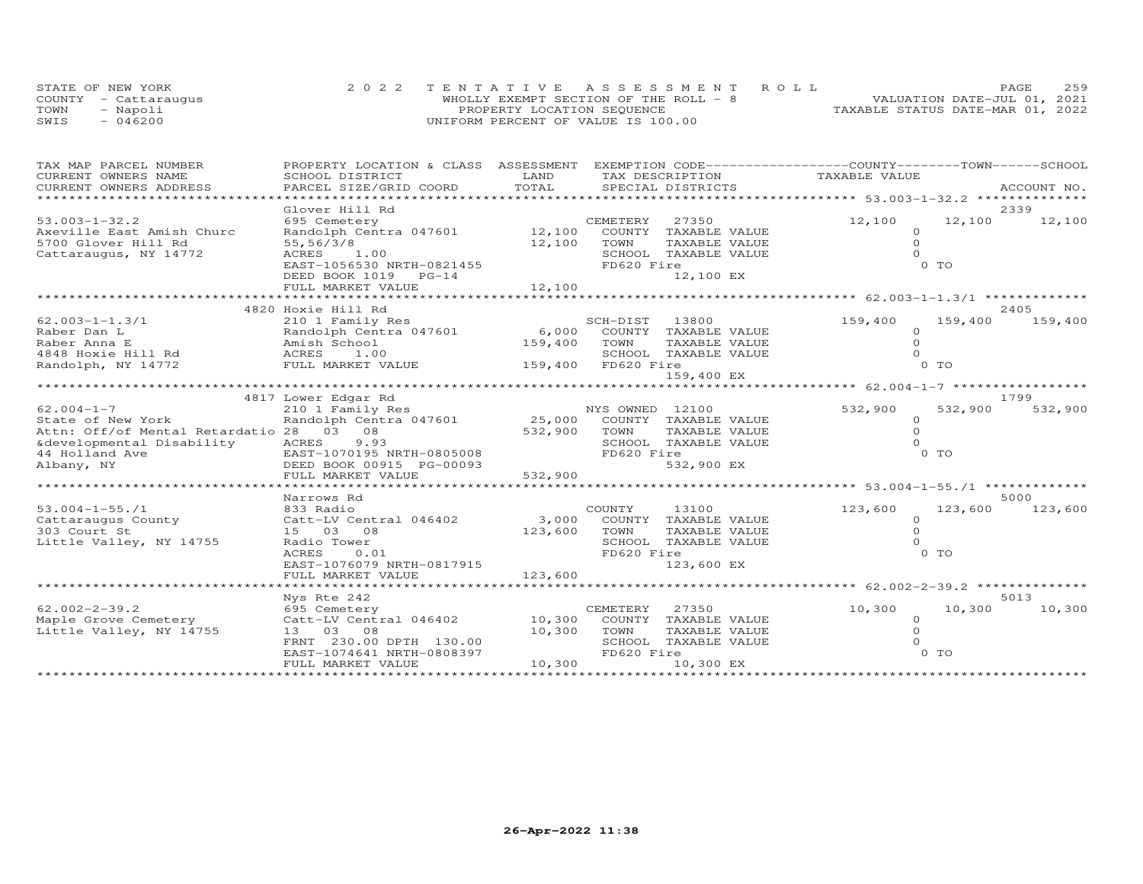|      | STATE OF NEW YORK    |                                    | 2022 TENTATIVE ASSESSMENT ROLL        |                                  | PAGE | 2.59 |
|------|----------------------|------------------------------------|---------------------------------------|----------------------------------|------|------|
|      | COUNTY - Cattaraugus |                                    | WHOLLY EXEMPT SECTION OF THE ROLL - 8 | VALUATION DATE-JUL 01, 2021      |      |      |
| TOWN | - Napoli             | PROPERTY LOCATION SEQUENCE         |                                       | TAXABLE STATUS DATE-MAR 01, 2022 |      |      |
| SWIS | $-046200$            | UNIFORM PERCENT OF VALUE IS 100.00 |                                       |                                  |      |      |

| TAX MAP PARCEL NUMBER                                                                                                                                                                                                                        | PROPERTY LOCATION & CLASS ASSESSMENT                                   | LAND         | EXEMPTION CODE-----------------COUNTY-------TOWN------SCHOOL | TAXABLE VALUE       |                    |
|----------------------------------------------------------------------------------------------------------------------------------------------------------------------------------------------------------------------------------------------|------------------------------------------------------------------------|--------------|--------------------------------------------------------------|---------------------|--------------------|
| CURRENT OWNERS NAME<br>CURRENT OWNERS ADDRESS                                                                                                                                                                                                | SCHOOL DISTRICT<br>PARCEL SIZE/GRID COORD                              | TOTAL        | TAX DESCRIPTION<br>SPECIAL DISTRICTS                         |                     | ACCOUNT NO.        |
|                                                                                                                                                                                                                                              |                                                                        |              |                                                              |                     |                    |
|                                                                                                                                                                                                                                              | Glover Hill Rd                                                         |              |                                                              |                     | 2339               |
| $53.003 - 1 - 32.2$                                                                                                                                                                                                                          | 695 Cemetery                                                           |              | CEMETERY 27350                                               | 12,100              | 12,100<br>12,100   |
| Axeville East Amish Churc                                                                                                                                                                                                                    | Randolph Centra 047601 12,100 COUNTY TAXABLE VALUE                     |              |                                                              | $\Omega$            |                    |
| 5700 Glover Hill Rd                                                                                                                                                                                                                          | 55,56/3/8                                                              | 12,100 TOWN  | TAXABLE VALUE                                                | $\circ$             |                    |
| Cattaraugus, NY 14772                                                                                                                                                                                                                        | ACRES 1.00                                                             |              | SCHOOL TAXABLE VALUE                                         | $\Omega$            |                    |
|                                                                                                                                                                                                                                              | EAST-1056530 NRTH-0821455                                              |              | FD620 Fire                                                   |                     | 0 TO               |
|                                                                                                                                                                                                                                              | DEED BOOK 1019 PG-14                                                   |              | 12,100 EX                                                    |                     |                    |
|                                                                                                                                                                                                                                              |                                                                        |              |                                                              |                     |                    |
|                                                                                                                                                                                                                                              |                                                                        |              |                                                              |                     |                    |
|                                                                                                                                                                                                                                              | 4820 Hoxie Hill Rd                                                     |              |                                                              |                     | 2405               |
| $62.003 - 1 - 1.3/1$                                                                                                                                                                                                                         | 210 1 Family Res                                                       |              | SCH-DIST 13800                                               | 159,400             | 159,400<br>159,400 |
|                                                                                                                                                                                                                                              |                                                                        |              |                                                              | $\circ$             |                    |
|                                                                                                                                                                                                                                              |                                                                        |              |                                                              | $\Omega$            |                    |
|                                                                                                                                                                                                                                              |                                                                        |              |                                                              | $\Omega$            |                    |
| Raber Dan L<br>Raber Anna E<br>Raber Anna E<br>Amish School (159,400 COUNTY TAXABLE VALUE<br>Amish School (159,400 TOWN TAXABLE VALUE<br>ACRES 1.00 (159,400 FD620 Fire<br>Randolph, NY 14772 FULL MARKET VALUE<br>Randolph, NY 14772 FULL M |                                                                        |              |                                                              |                     | 0 TO               |
|                                                                                                                                                                                                                                              |                                                                        |              | 159,400 EX                                                   |                     |                    |
|                                                                                                                                                                                                                                              |                                                                        |              |                                                              |                     |                    |
|                                                                                                                                                                                                                                              | 4817 Lower Edgar Rd                                                    |              |                                                              |                     | 1799               |
| $62.004 - 1 - 7$                                                                                                                                                                                                                             | 210 1 Family Res<br>Randolph Centra 047601 25,000 COUNTY TAXABLE VALUE |              |                                                              | 532,900             | 532,900<br>532,900 |
| State of New York                                                                                                                                                                                                                            |                                                                        |              |                                                              | $\Omega$            |                    |
| Attn: Off/of Mental Retardatio 28 03 08                                                                                                                                                                                                      |                                                                        | 532,900 TOWN | TAXABLE VALUE                                                | $\Omega$            |                    |
|                                                                                                                                                                                                                                              |                                                                        |              | SCHOOL TAXABLE VALUE                                         | $\Omega$            |                    |
|                                                                                                                                                                                                                                              | EAST-1070195 NRTH-0805008                                              |              | FD620 Fire                                                   |                     | $0$ TO             |
| External Disability<br>44 Holland Ave EAST-1070195 NRTH-0805008<br>Albany, NY DEED BOOK 00915 PG-00093                                                                                                                                       |                                                                        | 532,900      | 532,900 EX                                                   |                     |                    |
|                                                                                                                                                                                                                                              | FULL MARKET VALUE                                                      |              |                                                              |                     |                    |
|                                                                                                                                                                                                                                              |                                                                        |              |                                                              |                     |                    |
|                                                                                                                                                                                                                                              | Narrows Rd                                                             |              |                                                              |                     | 5000               |
| $53.004 - 1 - 55.71$<br>Cattaraugus County                                                                                                                                                                                                   | 833 Radio                                                              |              | 13100<br>COUNTY<br>3,000 COUNTY TAXABLE VALUE                | 123,600<br>$\Omega$ | 123,600<br>123,600 |
|                                                                                                                                                                                                                                              | Catt-LV Central 046402<br>15 03 08                                     |              |                                                              | $\Omega$            |                    |
| 303 Court St<br>Little Valley, NY 14755                                                                                                                                                                                                      | Radio Tower                                                            | 123,600      | TOWN<br>TAXABLE VALUE<br>SCHOOL TAXABLE VALUE                |                     |                    |
|                                                                                                                                                                                                                                              | ACRES<br>0.01                                                          |              | FD620 Fire                                                   |                     | $0$ TO             |
|                                                                                                                                                                                                                                              | EAST-1076079 NRTH-0817915                                              |              | 123,600 EX                                                   |                     |                    |
|                                                                                                                                                                                                                                              | FULL MARKET VALUE                                                      | 123,600      |                                                              |                     |                    |
|                                                                                                                                                                                                                                              |                                                                        |              |                                                              |                     |                    |
|                                                                                                                                                                                                                                              | Nys Rte 242                                                            |              |                                                              |                     | 5013               |
| $62.002 - 2 - 39.2$                                                                                                                                                                                                                          | 695 Cemetery                                                           |              | CEMETERY 27350                                               | 10,300              | 10,300<br>10,300   |
| Maple Grove Cemetery                                                                                                                                                                                                                         | Catt-LV Central 046402 10,300 COUNTY TAXABLE VALUE                     |              |                                                              | $\circ$             |                    |
| Little Valley, NY 14755                                                                                                                                                                                                                      | 13 03 08                                                               | 10,300 TOWN  | TAXABLE VALUE                                                | $\Omega$            |                    |
|                                                                                                                                                                                                                                              | FRNT 230.00 DPTH 130.00                                                |              | SCHOOL TAXABLE VALUE                                         | $\Omega$            |                    |
|                                                                                                                                                                                                                                              | EAST-1074641 NRTH-0808397                                              |              | FD620 Fire                                                   |                     | $0$ TO             |
|                                                                                                                                                                                                                                              | FULL MARKET VALUE                                                      | 10,300       | 10,300 EX                                                    |                     |                    |
|                                                                                                                                                                                                                                              |                                                                        |              |                                                              |                     |                    |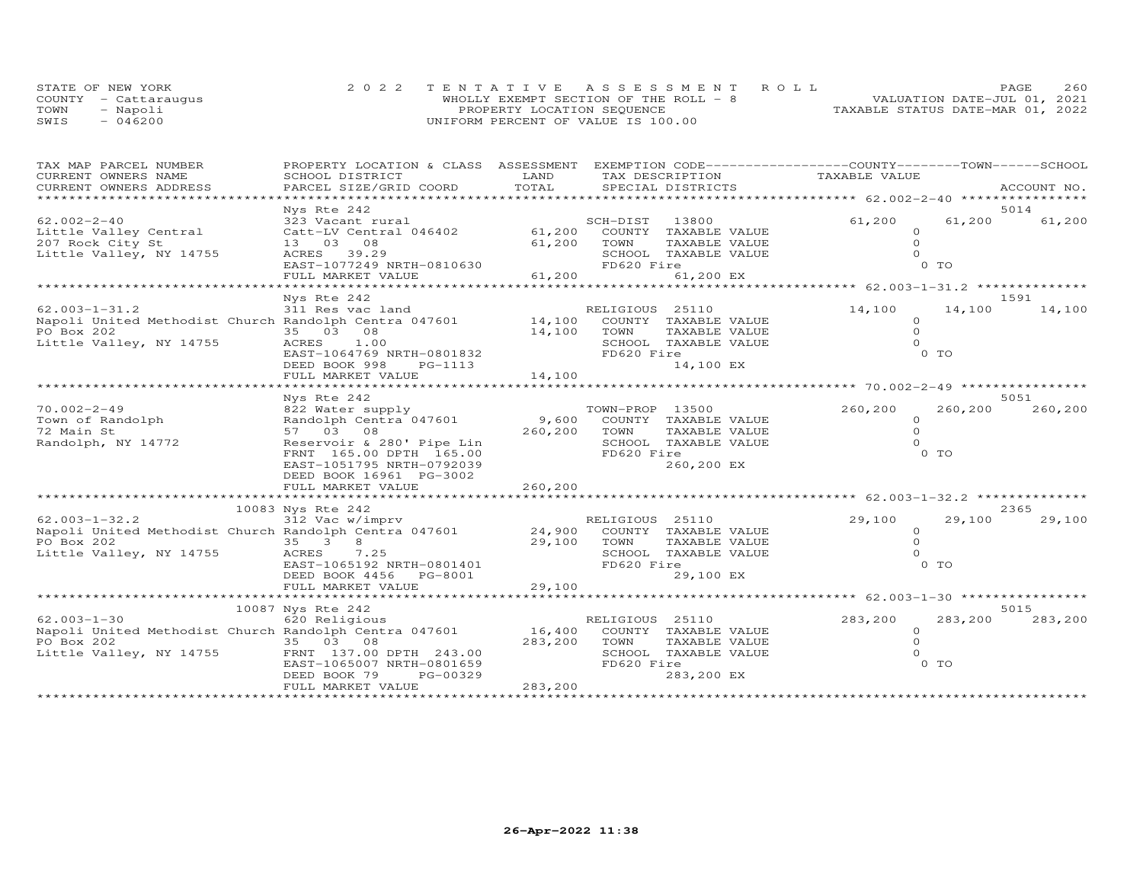| STATE OF NEW YORK |                      |                                    | 2022 TENTATIVE ASSESSMENT ROLL        |                                  | <b>PAGE</b> | 260 |
|-------------------|----------------------|------------------------------------|---------------------------------------|----------------------------------|-------------|-----|
|                   | COUNTY - Cattaraugus |                                    | WHOLLY EXEMPT SECTION OF THE ROLL - 8 | VALUATION DATE-JUL 01, 2021      |             |     |
| TOWN              | - Napoli             | PROPERTY LOCATION SEQUENCE         |                                       | TAXABLE STATUS DATE-MAR 01, 2022 |             |     |
| SWIS              | $-046200$            | UNIFORM PERCENT OF VALUE IS 100.00 |                                       |                                  |             |     |

| TAX MAP PARCEL NUMBER                                        | PROPERTY LOCATION & CLASS ASSESSMENT                |                                |                 | EXEMPTION CODE-----------------COUNTY-------TOWN-----SCHOOL |                                                 |                |                |
|--------------------------------------------------------------|-----------------------------------------------------|--------------------------------|-----------------|-------------------------------------------------------------|-------------------------------------------------|----------------|----------------|
| CURRENT OWNERS NAME                                          | SCHOOL DISTRICT                                     | LAND                           | TAX DESCRIPTION |                                                             | TAXABLE VALUE                                   |                |                |
| CURRENT OWNERS ADDRESS                                       | PARCEL SIZE/GRID COORD                              | TOTAL                          |                 | SPECIAL DISTRICTS                                           |                                                 |                | ACCOUNT NO.    |
|                                                              |                                                     |                                |                 |                                                             |                                                 |                |                |
| $62.002 - 2 - 40$                                            | Nys Rte 242<br>323 Vacant rural                     |                                | SCH-DIST        | 13800                                                       | 61,200                                          | 61,200         | 5014<br>61,200 |
| Little Valley Central                                        | Catt-LV Central 046402                              | 61,200                         |                 | COUNTY TAXABLE VALUE                                        | $\Omega$                                        |                |                |
| 207 Rock City St                                             | 13 03 08                                            | 61,200                         | TOWN            | TAXABLE VALUE                                               | $\Omega$                                        |                |                |
| Little Valley, NY 14755                                      | ACRES 39.29                                         |                                |                 | SCHOOL TAXABLE VALUE                                        |                                                 |                |                |
|                                                              | EAST-1077249 NRTH-0810630                           |                                | FD620 Fire      |                                                             |                                                 | $0$ TO         |                |
|                                                              | FULL MARKET VALUE                                   | 61,200                         |                 | 61,200 EX                                                   |                                                 |                |                |
|                                                              |                                                     |                                |                 |                                                             |                                                 |                |                |
|                                                              | Nys Rte 242                                         |                                |                 |                                                             |                                                 |                | 1591           |
| $62.003 - 1 - 31.2$                                          | 311 Res vac land                                    |                                | RELIGIOUS 25110 |                                                             | 14,100                                          | 14,100         | 14,100         |
| Napoli United Methodist Church Randolph Centra 047601 14,100 |                                                     |                                |                 | COUNTY TAXABLE VALUE                                        | $\Omega$                                        |                |                |
| PO Box 202                                                   | 35 03 08                                            | 14,100                         | TOWN            | TAXABLE VALUE                                               | $\Omega$                                        |                |                |
| Little Valley, NY 14755                                      | ACRES<br>1.00                                       |                                |                 | SCHOOL TAXABLE VALUE                                        | $\Omega$                                        |                |                |
|                                                              | EAST-1064769 NRTH-0801832                           |                                | FD620 Fire      |                                                             |                                                 | 0 TO           |                |
|                                                              | DEED BOOK 998<br>PG-1113                            |                                |                 | 14,100 EX                                                   |                                                 |                |                |
|                                                              | FULL MARKET VALUE                                   | 14,100<br>******************** |                 |                                                             | ********************* 70.002-2-49 ************* |                |                |
|                                                              | Nys Rte 242                                         |                                |                 |                                                             |                                                 |                | 5051           |
| $70.002 - 2 - 49$                                            | 822 Water supply                                    |                                | TOWN-PROP 13500 |                                                             | 260,200                                         | 260,200        | 260,200        |
| Town of Randolph                                             | Randolph Centra 047601                              | 9,600                          |                 | COUNTY TAXABLE VALUE                                        | $\circ$                                         |                |                |
| 72 Main St                                                   | 57 03 08                                            | 260,200                        | TOWN            | TAXABLE VALUE                                               | $\Omega$                                        |                |                |
| Randolph, NY 14772                                           | Reservoir & 280' Pipe Lin                           |                                |                 | SCHOOL TAXABLE VALUE                                        | $\Omega$                                        |                |                |
|                                                              | FRNT 165.00 DPTH 165.00                             |                                | FD620 Fire      |                                                             |                                                 | 0 TO           |                |
|                                                              | EAST-1051795 NRTH-0792039                           |                                |                 | 260,200 EX                                                  |                                                 |                |                |
|                                                              | DEED BOOK 16961 PG-3002                             |                                |                 |                                                             |                                                 |                |                |
|                                                              | FULL MARKET VALUE                                   | 260,200                        |                 |                                                             |                                                 |                |                |
|                                                              | *********************                               |                                |                 |                                                             |                                                 |                |                |
|                                                              | 10083 Nys Rte 242                                   |                                |                 |                                                             |                                                 |                | 2365           |
| $62.003 - 1 - 32.2$                                          | 312 Vac w/imprv                                     |                                | RELIGIOUS 25110 |                                                             | 29,100                                          | 29,100         | 29,100         |
| Napoli United Methodist Church Randolph Centra 047601        |                                                     | 24,900                         |                 | COUNTY TAXABLE VALUE                                        | $\Omega$<br>$\Omega$                            |                |                |
| PO Box 202<br>Little Valley, NY 14755                        | 35 3 8                                              | 29,100                         | TOWN            | TAXABLE VALUE                                               | $\Omega$                                        |                |                |
|                                                              | ACRES<br>7.25                                       |                                | FD620 Fire      | SCHOOL TAXABLE VALUE                                        |                                                 | 0 TO           |                |
|                                                              | EAST-1065192 NRTH-0801401<br>DEED BOOK 4456 PG-8001 |                                |                 | 29,100 EX                                                   |                                                 |                |                |
|                                                              | FULL MARKET VALUE                                   | 29,100                         |                 |                                                             |                                                 |                |                |
|                                                              |                                                     |                                |                 |                                                             |                                                 |                |                |
|                                                              | 10087 Nys Rte 242                                   |                                |                 |                                                             |                                                 |                | 5015           |
| $62.003 - 1 - 30$                                            | 620 Religious                                       |                                | RELIGIOUS 25110 |                                                             | 283,200                                         | 283,200        | 283,200        |
| Napoli United Methodist Church Randolph Centra 047601        |                                                     | 16,400                         |                 | COUNTY TAXABLE VALUE                                        | $\circ$                                         |                |                |
| PO Box 202                                                   | 35 03 08                                            | 283,200                        | TOWN            | TAXABLE VALUE                                               | $\circ$                                         |                |                |
| Little Valley, NY 14755                                      | FRNT 137.00 DPTH 243.00                             |                                |                 | SCHOOL TAXABLE VALUE                                        | $\Omega$                                        |                |                |
|                                                              | EAST-1065007 NRTH-0801659                           |                                | FD620 Fire      |                                                             |                                                 | 0 <sub>T</sub> |                |
|                                                              | PG-00329<br>DEED BOOK 79                            |                                |                 | 283,200 EX                                                  |                                                 |                |                |
|                                                              | FULL MARKET VALUE                                   | 283,200                        |                 |                                                             |                                                 |                |                |
|                                                              |                                                     |                                |                 |                                                             |                                                 |                |                |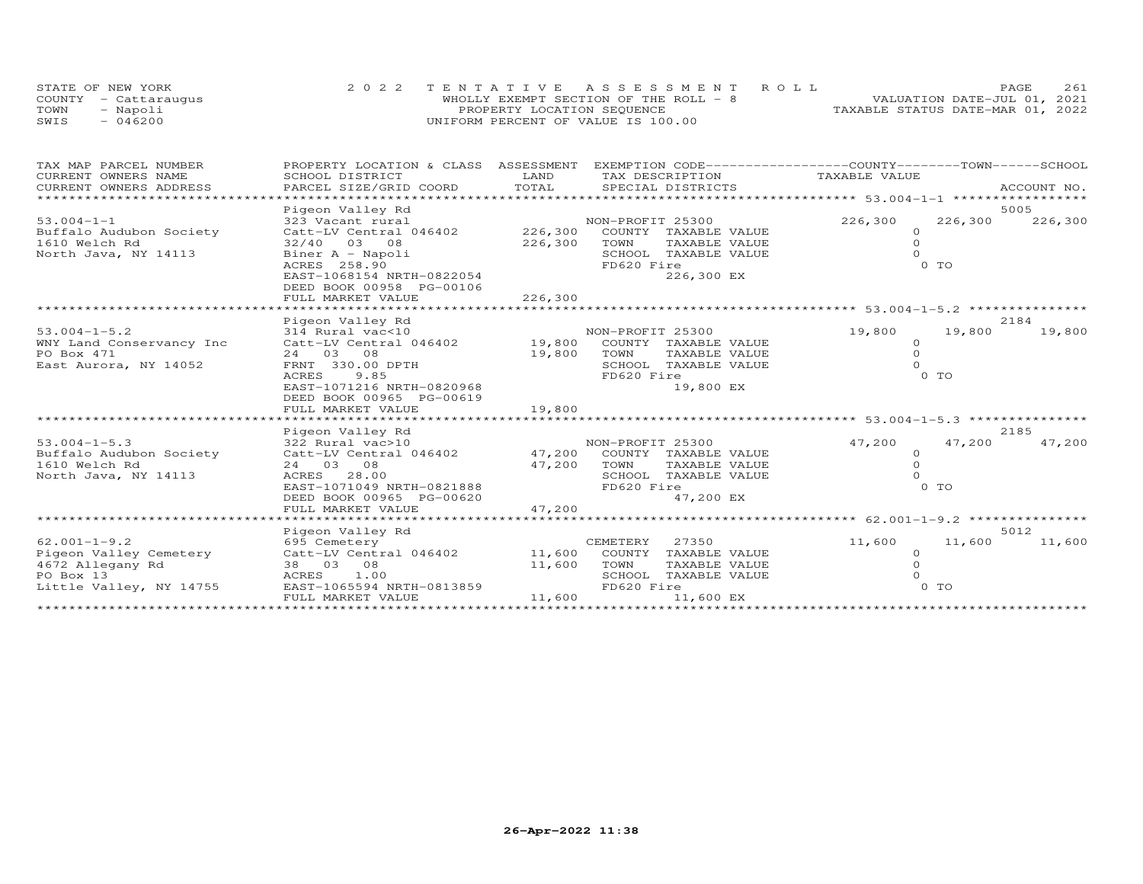|      | STATE OF NEW YORK    | 2022 TENTATIVE ASSESSMENT ROLL         |                                  | <b>PAGE</b>                 | 261 |
|------|----------------------|----------------------------------------|----------------------------------|-----------------------------|-----|
|      | COUNTY - Cattaraugus | WHOLLY EXEMPT SECTION OF THE ROLL $-8$ |                                  | VALUATION DATE-JUL 01, 2021 |     |
| TOWN | - Napoli             | PROPERTY LOCATION SEQUENCE             | TAXABLE STATUS DATE-MAR 01, 2022 |                             |     |
| SWIS | $-046200$            | UNIFORM PERCENT OF VALUE IS 100.00     |                                  |                             |     |

| TAX DESCRIPTION TAXABLE VALUE<br>CURRENT OWNERS ADDRESS                                                       | ACCOUNT NO. |
|---------------------------------------------------------------------------------------------------------------|-------------|
|                                                                                                               |             |
| Pigeon Valley Rd<br>5005                                                                                      |             |
| 53.004-1-1<br>Buffalo Audubon Society (226,300 COUNTY TAXABLE VALUE<br>226,300<br>226,300<br>NON-PROFIT 25300 | 226,300     |
| $\circ$                                                                                                       |             |
| 32/40 03 08<br>226,300<br>TOWN<br>TAXABLE VALUE<br>$\Omega$<br>1610 Welch Rd                                  |             |
| $\Omega$<br>North Java, NY 14113<br>Biner A - Napoli<br>SCHOOL TAXABLE VALUE                                  |             |
| ACRES 258.90<br>FD620 Fire<br>0 TO                                                                            |             |
| 226,300 EX<br>EAST-1068154 NRTH-0822054                                                                       |             |
| DEED BOOK 00958 PG-00106                                                                                      |             |
|                                                                                                               |             |
|                                                                                                               |             |
| 2184<br>Pigeon Valley Rd                                                                                      |             |
| NON-PROFIT 25300<br>314 Rural vac<10<br>$53.004 - 1 - 5.2$<br>19,800<br>19,800                                | 19,800      |
| WNY Land Conservancy Inc Catt-LV Central 046402 19,800 COUNTY TAXABLE VALUE<br>$\Omega$                       |             |
| PO Box 471<br>19,800 TOWN<br>$\Omega$<br>24 03 08<br>TAXABLE VALUE                                            |             |
| East Aurora, NY 14052<br>FRNT 330.00 DPTH<br>SCHOOL TAXABLE VALUE<br>0 TO                                     |             |
| 9.85<br>FD620 Fire<br><b>ACRES</b><br>EAST-1071216 NRTH-0820968<br>19,800 EX                                  |             |
| DEED BOOK 00965 PG-00619                                                                                      |             |
| FULL MARKET VALUE<br>19,800                                                                                   |             |
| ********************* 53.004-1-5.3 ****************                                                           |             |
| 2185<br>Pigeon Valley Rd                                                                                      |             |
| $53.004 - 1 - 5.3$<br>322 Rural vac>10<br>NON-PROFIT 25300<br>47,200<br>47,200                                | 47,200      |
| Catt-LV Central 046402 47,200 COUNTY TAXABLE VALUE<br>Buffalo Audubon Society<br>$\circ$                      |             |
| $\circ$<br>1610 Welch Rd<br>24 03 08<br>TAXABLE VALUE<br>TOWN                                                 |             |
| 47,200<br>ACRES 28.00<br>North Java, NY 14113<br>SCHOOL TAXABLE VALUE<br>$\Omega$                             |             |
| 0 TO<br>EAST-1071049 NRTH-0821888<br>FD620 Fire                                                               |             |
| 47,200 EX<br>DEED BOOK 00965 PG-00620                                                                         |             |
| 47,200<br>FULL MARKET VALUE                                                                                   |             |
|                                                                                                               |             |
| 5012<br>Pigeon Valley Rd                                                                                      |             |
| 11,600<br>11,600                                                                                              | 11,600      |
| $\circ$                                                                                                       |             |
| 11,600<br>$\Omega$<br>4672 Allegany Rd<br>38 03 08<br>TOWN<br>TAXABLE VALUE                                   |             |
| ACRES 1.00<br>TAXABLE VALUE<br>PO Box 13<br>SCHOOL                                                            |             |
| 0 TO<br>FD620 Fire<br>Little Valley, NY 14755<br>EAST-1065594 NRTH-0813859<br>$3859$ FD6<br>11,600            |             |
| 11,600 EX<br>FULL MARKET VALUE                                                                                |             |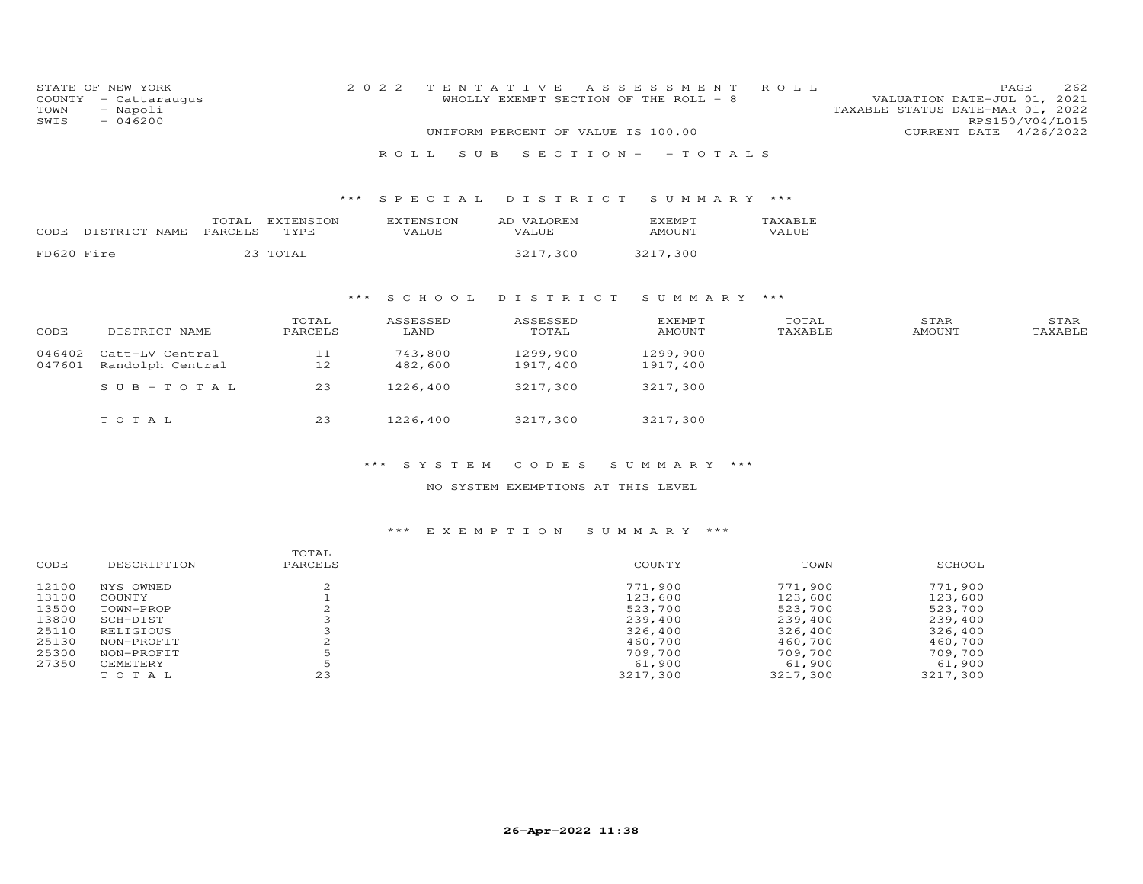| COUNTY<br>TOWN<br>SWIS | STATE OF NEW YORK<br>- Cattaraugus<br>- Napoli<br>$-046200$ |                  |                   |       | 2 0 2 2<br>ROLL. | S U B                     | TENTATIVE<br>WHOLLY EXEMPT SECTION OF THE ROLL - 8<br>UNIFORM PERCENT OF VALUE IS 100.00 | $S E C T I O N -$ | ASSESSMENT<br>$-$ TOTALS       | ROLL             | VALUATION DATE-JUL 01, 2021<br>TAXABLE STATUS DATE-MAR 01, 2022 | 262<br>PAGE<br>RPS150/V04/L015<br>CURRENT DATE 4/26/2022 |  |
|------------------------|-------------------------------------------------------------|------------------|-------------------|-------|------------------|---------------------------|------------------------------------------------------------------------------------------|-------------------|--------------------------------|------------------|-----------------------------------------------------------------|----------------------------------------------------------|--|
|                        |                                                             |                  |                   | $***$ |                  | SPECIAL                   |                                                                                          | DISTRICT          | SUMMARY ***                    |                  |                                                                 |                                                          |  |
|                        |                                                             |                  |                   |       |                  |                           |                                                                                          |                   |                                |                  |                                                                 |                                                          |  |
| CODE                   | DISTRICT NAME                                               | TOTAL<br>PARCELS | EXTENSION<br>TYPE |       |                  | <b>EXTENSION</b><br>VALUE | AD VALOREM<br>VALUE                                                                      |                   | <b>EXEMPT</b><br>AMOUNT        | TAXABLE<br>VALUE |                                                                 |                                                          |  |
| FD620 Fire             |                                                             |                  | 23 TOTAL          |       |                  |                           | 3217,300                                                                                 |                   | 3217,300                       |                  |                                                                 |                                                          |  |
|                        |                                                             |                  |                   |       |                  |                           |                                                                                          |                   |                                |                  |                                                                 |                                                          |  |
|                        |                                                             |                  |                   | ***   |                  | S C H O O L               | DISTRICT                                                                                 |                   | SUMMARY                        | ***              |                                                                 |                                                          |  |
| CODE                   | DISTRICT NAME                                               |                  | TOTAL<br>PARCELS  |       | ASSESSED<br>LAND |                           | ASSESSED<br>TOTAL                                                                        |                   | <b>EXEMPT</b><br><b>AMOUNT</b> | TOTAL<br>TAXABLE | STAR<br><b>AMOUNT</b>                                           | STAR<br>TAXABLE                                          |  |
| 046402<br>047601       | Catt-LV Central<br>Randolph Central                         |                  | 11<br>12          |       |                  | 743,800<br>482,600        | 1299,900<br>1917,400                                                                     |                   | 1299,900<br>1917,400           |                  |                                                                 |                                                          |  |
|                        | SUB-TOTAL                                                   |                  | 23                |       |                  | 1226,400                  | 3217,300                                                                                 |                   | 3217,300                       |                  |                                                                 |                                                          |  |

T O T A L 23 1226,400 3217,300 3217,300

## \*\*\* S Y S T E M C O D E S S U M M A R Y \*\*\*

## NO SYSTEM EXEMPTIONS AT THIS LEVEL

| CODE  | DESCRIPTION | TOTAL<br>PARCELS | COUNTY   | TOWN     | SCHOOL   |
|-------|-------------|------------------|----------|----------|----------|
| 12100 | NYS OWNED   |                  | 771,900  | 771,900  | 771,900  |
| 13100 | COUNTY      |                  | 123,600  | 123,600  | 123,600  |
| 13500 | TOWN-PROP   |                  | 523,700  | 523,700  | 523,700  |
| 13800 | SCH-DIST    |                  | 239,400  | 239,400  | 239,400  |
| 25110 | RELIGIOUS   |                  | 326,400  | 326,400  | 326,400  |
| 25130 | NON-PROFIT  |                  | 460,700  | 460,700  | 460,700  |
| 25300 | NON-PROFIT  |                  | 709,700  | 709,700  | 709,700  |
| 27350 | CEMETERY    |                  | 61,900   | 61,900   | 61,900   |
|       | TOTAL       | 23               | 3217,300 | 3217,300 | 3217,300 |
|       |             |                  |          |          |          |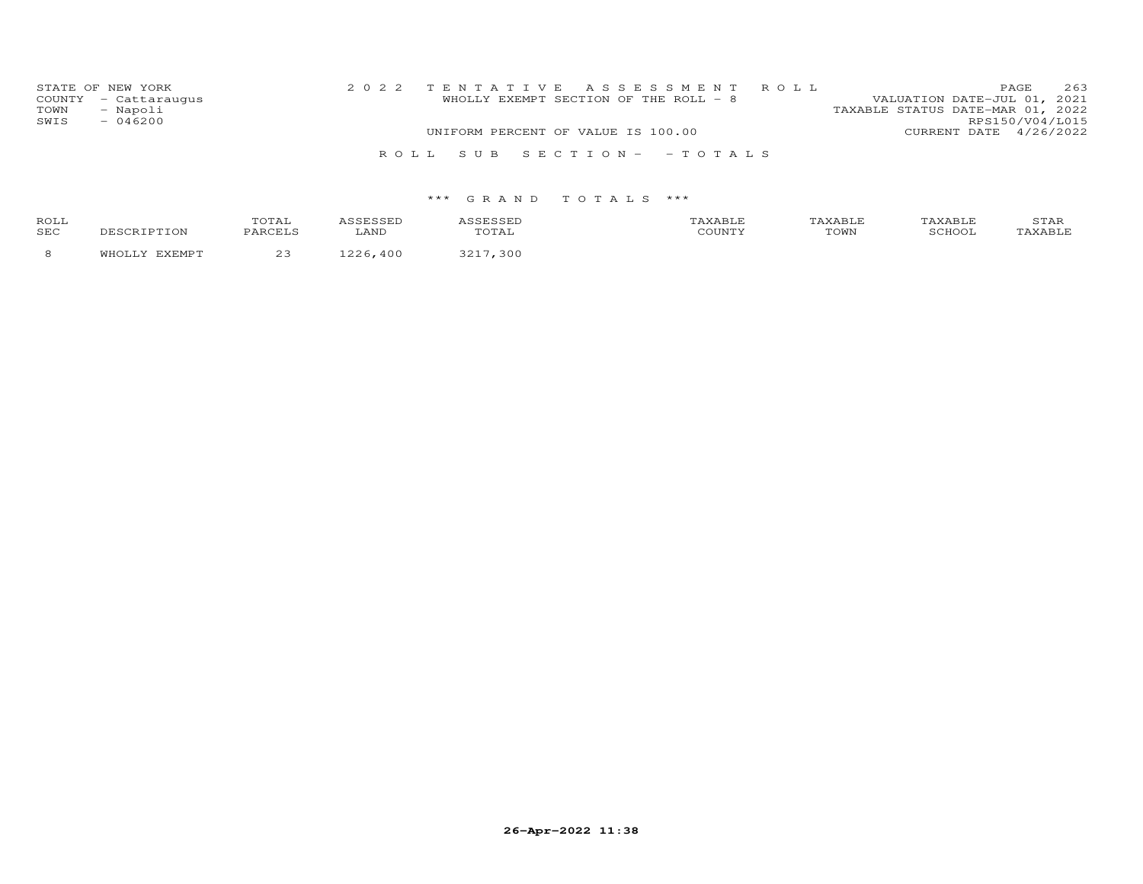| STATE OF NEW YORK    | 2022 TENTATIVE ASSESSMENT ROLL        | 263<br>PAGE                      |
|----------------------|---------------------------------------|----------------------------------|
| COUNTY - Cattaraugus | WHOLLY EXEMPT SECTION OF THE ROLL - 8 | VALUATION DATE-JUL 01, 2021      |
| - Napoli<br>TOWN     |                                       | TAXABLE STATUS DATE-MAR 01, 2022 |
| SWIS<br>$-046200$    |                                       | RPS150/V04/L015                  |
|                      | UNIFORM PERCENT OF VALUE IS 100.00    | CURRENT DATE 4/26/2022           |
|                      | ROLL SUB SECTION- - TOTALS            |                                  |

| <b>ROLI</b><br>SEC |  | AN. |     | ם ה<br>TOWN | $\sim$ $\sim$ | ∸∽ |
|--------------------|--|-----|-----|-------------|---------------|----|
|                    |  |     | ה ג |             |               |    |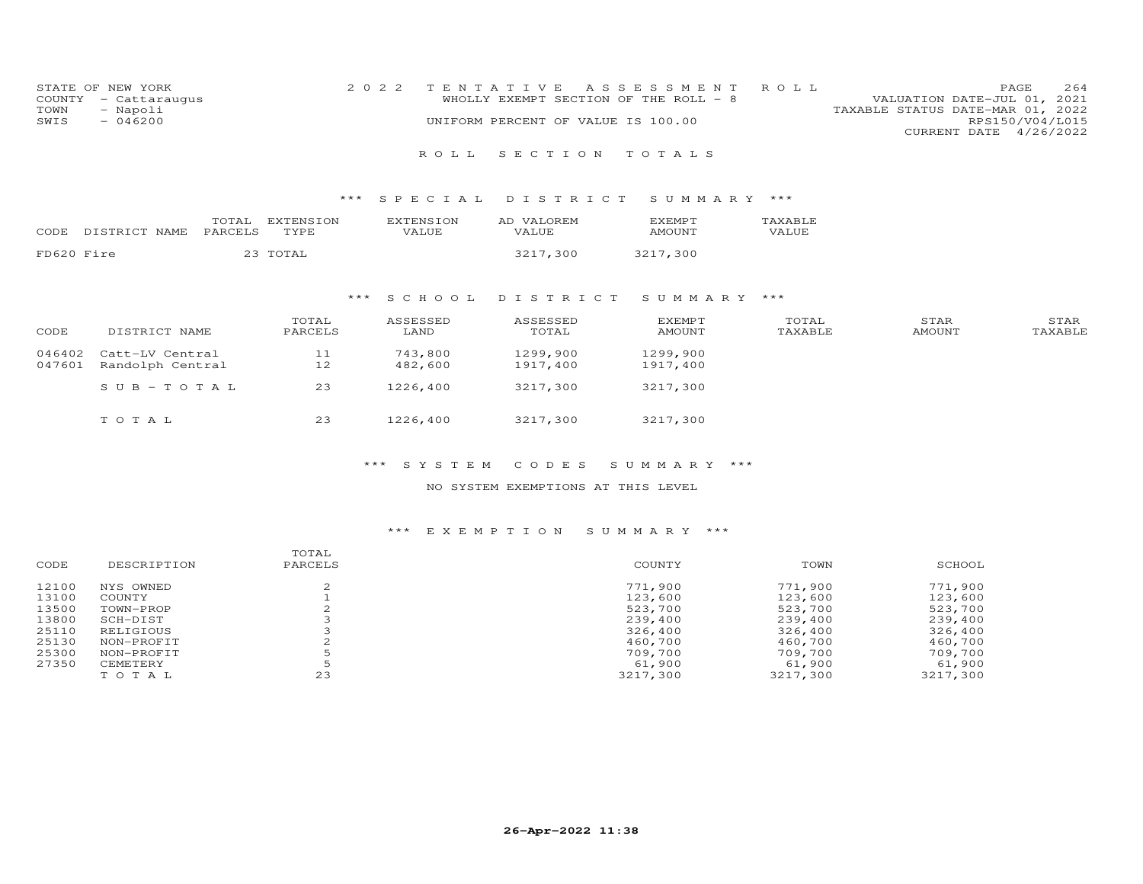|      | STATE OF NEW YORK    | 2022 TENTATIVE ASSESSMENT ROLL     |                                       |                                  | PAGE.                  | 2.64 |
|------|----------------------|------------------------------------|---------------------------------------|----------------------------------|------------------------|------|
|      | COUNTY - Cattaraugus |                                    | WHOLLY EXEMPT SECTION OF THE ROLL - 8 | VALUATION DATE-JUL 01, 2021      |                        |      |
| TOWN | - Napoli             |                                    |                                       | TAXABLE STATUS DATE-MAR 01, 2022 |                        |      |
| SWIS | - 046200             | UNIFORM PERCENT OF VALUE IS 100.00 |                                       |                                  | RPS150/V04/L015        |      |
|      |                      |                                    |                                       |                                  | CURRENT DATE 4/26/2022 |      |

## R O L L S E C T I O N T O T A L S

## \*\*\* S P E C I A L D I S T R I C T S U M M A R Y \*\*\*

| CODE       | DISTRICT.<br>NAME. | TOTAL<br>PARCELS<br>$\sim$ $\sim$ $\sim$ $\sim$ | TON .<br>TYPE. | VALUE | <b>T77 T</b><br>OREM.<br>АC<br>VALUE. | XEMPT:<br>AMOUNT | <b>TAXABLE</b><br>VALUE |
|------------|--------------------|-------------------------------------------------|----------------|-------|---------------------------------------|------------------|-------------------------|
| FD620 Fire |                    |                                                 |                |       | -300<br>つつ1                           | ,300             |                         |

## \*\*\* S C H O O L D I S T R I C T S U M M A R Y \*\*\*

| CODE             | DISTRICT NAME                       | TOTAL<br>PARCELS | ASSESSED<br>LAND   | ASSESSED<br>TOTAL    | <b>EXEMPT</b><br>AMOUNT | TOTAL<br>TAXABLE | STAR<br>AMOUNT | STAR<br>TAXABLE |
|------------------|-------------------------------------|------------------|--------------------|----------------------|-------------------------|------------------|----------------|-----------------|
| 046402<br>047601 | Catt-LV Central<br>Randolph Central | 11<br>12         | 743,800<br>482,600 | 1299,900<br>1917,400 | 1299,900<br>1917,400    |                  |                |                 |
|                  | SUB-TOTAL                           | 23               | 1226,400           | 3217,300             | 3217,300                |                  |                |                 |
|                  | тотаь                               | 23               | 1226,400           | 3217,300             | 3217,300                |                  |                |                 |

## \*\*\* S Y S T E M C O D E S S U M M A R Y \*\*\*

#### NO SYSTEM EXEMPTIONS AT THIS LEVEL

| CODE  | DESCRIPTION | TOTAL<br>PARCELS | COUNTY   | TOWN     | SCHOOL   |
|-------|-------------|------------------|----------|----------|----------|
| 12100 | NYS OWNED   |                  | 771,900  | 771,900  | 771,900  |
| 13100 | COUNTY      |                  | 123,600  | 123,600  | 123,600  |
| 13500 | TOWN-PROP   |                  | 523,700  | 523,700  | 523,700  |
| 13800 | SCH-DIST    |                  | 239,400  | 239,400  | 239,400  |
| 25110 | RELIGIOUS   |                  | 326,400  | 326,400  | 326,400  |
| 25130 | NON-PROFIT  |                  | 460,700  | 460,700  | 460,700  |
| 25300 | NON-PROFIT  |                  | 709,700  | 709,700  | 709,700  |
| 27350 | CEMETERY    |                  | 61,900   | 61,900   | 61,900   |
|       | TOTAL       | 23               | 3217,300 | 3217,300 | 3217,300 |
|       |             |                  |          |          |          |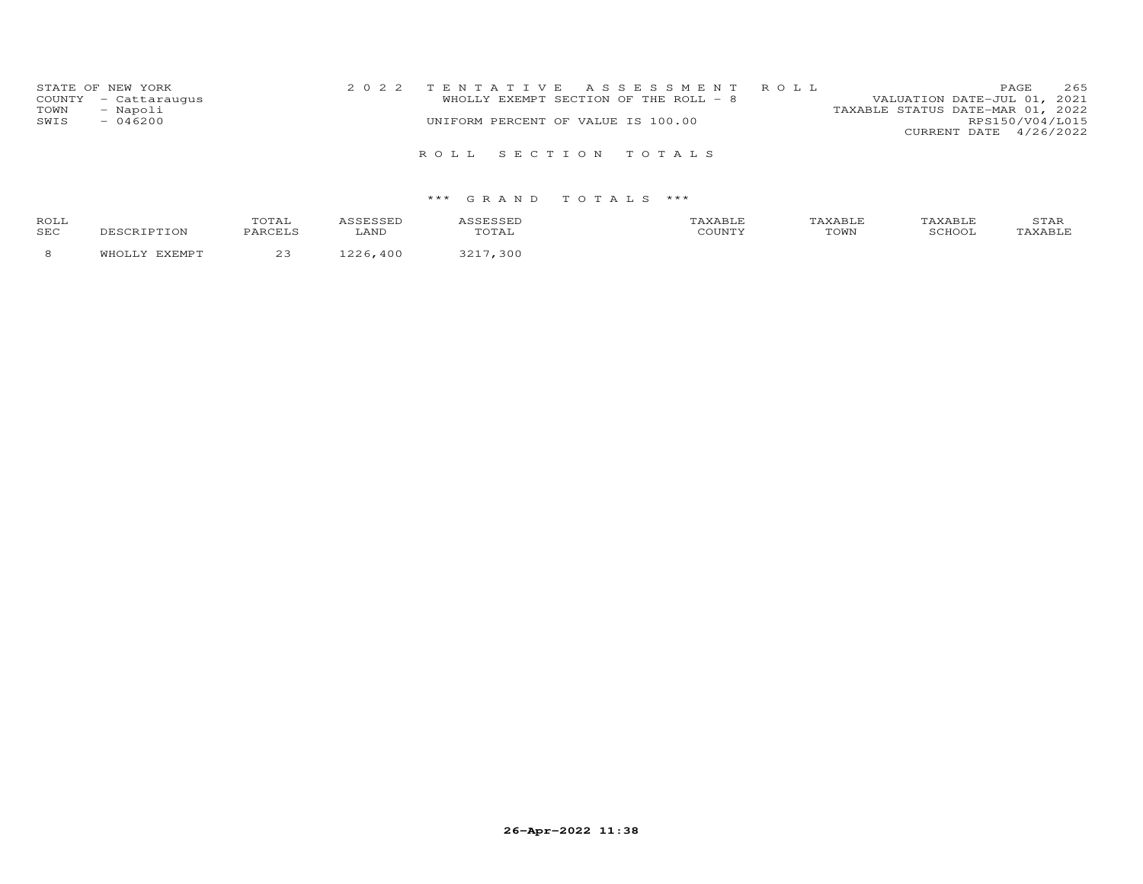| STATE OF NEW YORK    |  |                                    | 2022 TENTATIVE ASSESSMENT ROLL        |                                  |                        | PAGE | 265 |
|----------------------|--|------------------------------------|---------------------------------------|----------------------------------|------------------------|------|-----|
| COUNTY - Cattaraugus |  |                                    | WHOLLY EXEMPT SECTION OF THE ROLL - 8 | VALUATION DATE-JUL 01, 2021      |                        |      |     |
| - Napoli<br>TOWN     |  |                                    |                                       | TAXABLE STATUS DATE-MAR 01, 2022 |                        |      |     |
| $-046200$<br>SWIS    |  | UNIFORM PERCENT OF VALUE IS 100.00 |                                       |                                  | RPS150/V04/L015        |      |     |
|                      |  |                                    |                                       |                                  | CURRENT DATE 4/26/2022 |      |     |
|                      |  | ROLL SECTION TOTALS                |                                       |                                  |                        |      |     |

| <b>ROLI</b><br>SEC |  | $\mathcal{L}$ |       | $-1 - 1$ | TOWN | ⊥ ∠า⊥ |
|--------------------|--|---------------|-------|----------|------|-------|
|                    |  |               | ו ה ג |          |      |       |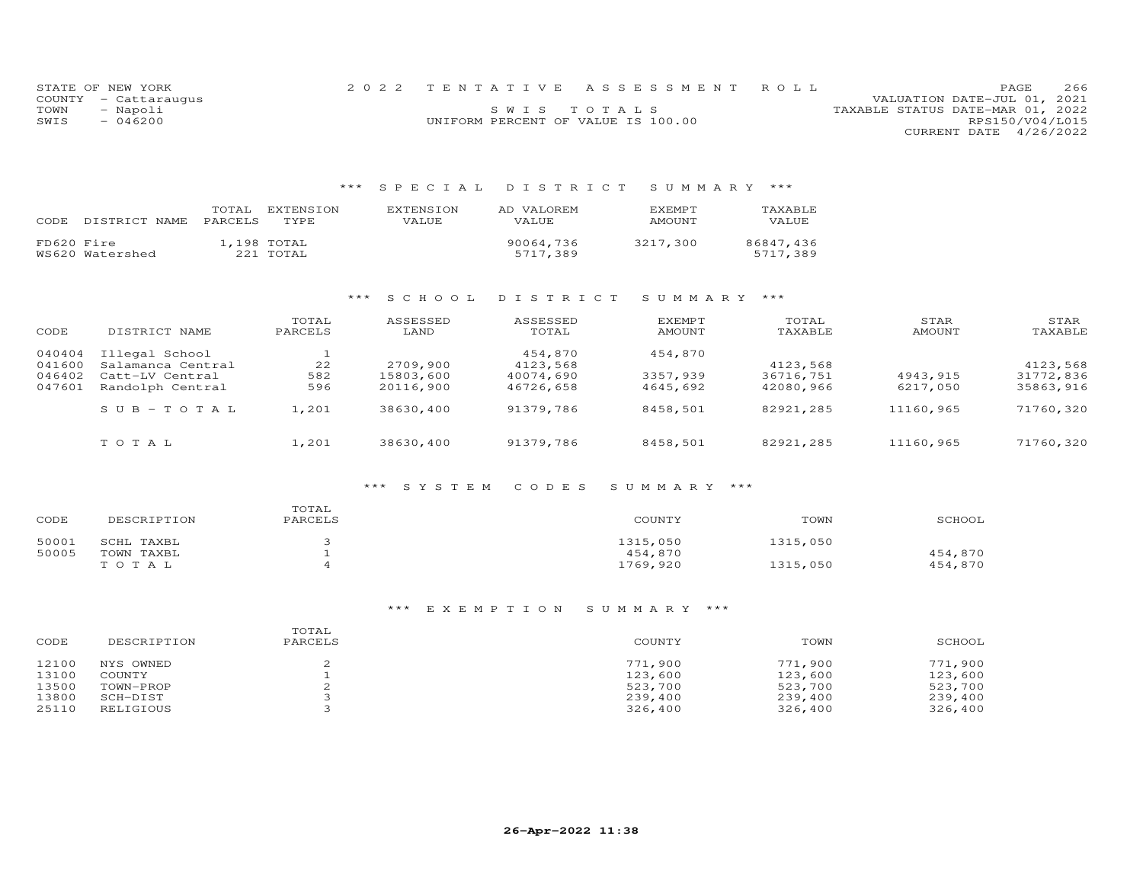|      | STATE OF NEW YORK    |                                    | 2022 TENTATIVE ASSESSMENT ROLL |                                  |                        | PAGE | 266 |
|------|----------------------|------------------------------------|--------------------------------|----------------------------------|------------------------|------|-----|
|      | COUNTY - Cattaraugus |                                    |                                | VALUATION DATE-JUL 01, 2021      |                        |      |     |
| TOWN | - Napoli             |                                    | SWIS TOTALS                    | TAXABLE STATUS DATE-MAR 01, 2022 |                        |      |     |
| SWIS | $-046200$            | UNIFORM PERCENT OF VALUE IS 100.00 |                                |                                  | RPS150/V04/L015        |      |     |
|      |                      |                                    |                                |                                  | CURRENT DATE 4/26/2022 |      |     |

# \*\*\* S P E C I A L D I S T R I C T S U M M A R Y \*\*\*

| CODE       | DISTRICT NAME   | TOTAL<br><b>PARCELS</b> | EXTENSION<br>TYPE.       | <b>EXTENSION</b><br>VALUE | AD VALOREM<br><b>VALUE</b> | EXEMPT<br>AMOUNT | TAXABLE<br>VALUE      |
|------------|-----------------|-------------------------|--------------------------|---------------------------|----------------------------|------------------|-----------------------|
| FD620 Fire | WS620 Watershed |                         | 1,198 TOTAL<br>221 TOTAL |                           | 90064,736<br>5717,389      | 3217,300         | 86847.436<br>5717,389 |

## \*\*\* S C H O O L D I S T R I C T S U M M A R Y \*\*\*

| CODE             | DISTRICT NAME                       | TOTAL<br>PARCELS | ASSESSED<br>LAND       | ASSESSED<br>TOTAL      | <b>EXEMPT</b><br>AMOUNT | TOTAL<br>TAXABLE       | STAR<br>AMOUNT        | STAR<br>TAXABLE        |
|------------------|-------------------------------------|------------------|------------------------|------------------------|-------------------------|------------------------|-----------------------|------------------------|
| 040404<br>041600 | Illegal School<br>Salamanca Central | 22               | 2709,900               | 454,870<br>4123,568    | 454,870                 | 4123,568               |                       | 4123,568               |
| 046402<br>047601 | Catt-LV Central<br>Randolph Central | 582<br>596       | 15803,600<br>20116,900 | 40074,690<br>46726,658 | 3357,939<br>4645,692    | 36716,751<br>42080,966 | 4943, 915<br>6217,050 | 31772,836<br>35863,916 |
|                  | $SUB - TO TAL$                      | 1,201            | 38630,400              | 91379,786              | 8458,501                | 82921,285              | 11160,965             | 71760,320              |
|                  |                                     |                  |                        |                        |                         |                        |                       |                        |
|                  | TOTAL                               | 1,201            | 38630,400              | 91379,786              | 8458,501                | 82921,285              | 11160,965             | 71760,320              |

#### \*\*\* S Y S T E M C O D E S S U M M A R Y \*\*\*

| CODE  | DESCRIPTION | TOTAL<br>PARCELS | COUNTY   | TOWN     | SCHOOL  |
|-------|-------------|------------------|----------|----------|---------|
| 50001 | SCHL TAXBL  |                  | 1315,050 | 1315,050 |         |
| 50005 | TOWN TAXBL  |                  | 454,870  |          | 454,870 |
|       | TOTAL       |                  | 1769,920 | 1315,050 | 454,870 |

| CODE  | DESCRIPTION | TOTAL<br>PARCELS | COUNTY  | TOWN    | SCHOOL  |
|-------|-------------|------------------|---------|---------|---------|
| 12100 | NYS OWNED   |                  | 771,900 | 771,900 | 771,900 |
| 13100 | COUNTY      |                  | 123,600 | 123,600 | 123,600 |
| 13500 | TOWN-PROP   |                  | 523,700 | 523,700 | 523,700 |
| 13800 | SCH-DIST    |                  | 239,400 | 239,400 | 239,400 |
| 25110 | RELIGIOUS   |                  | 326,400 | 326,400 | 326,400 |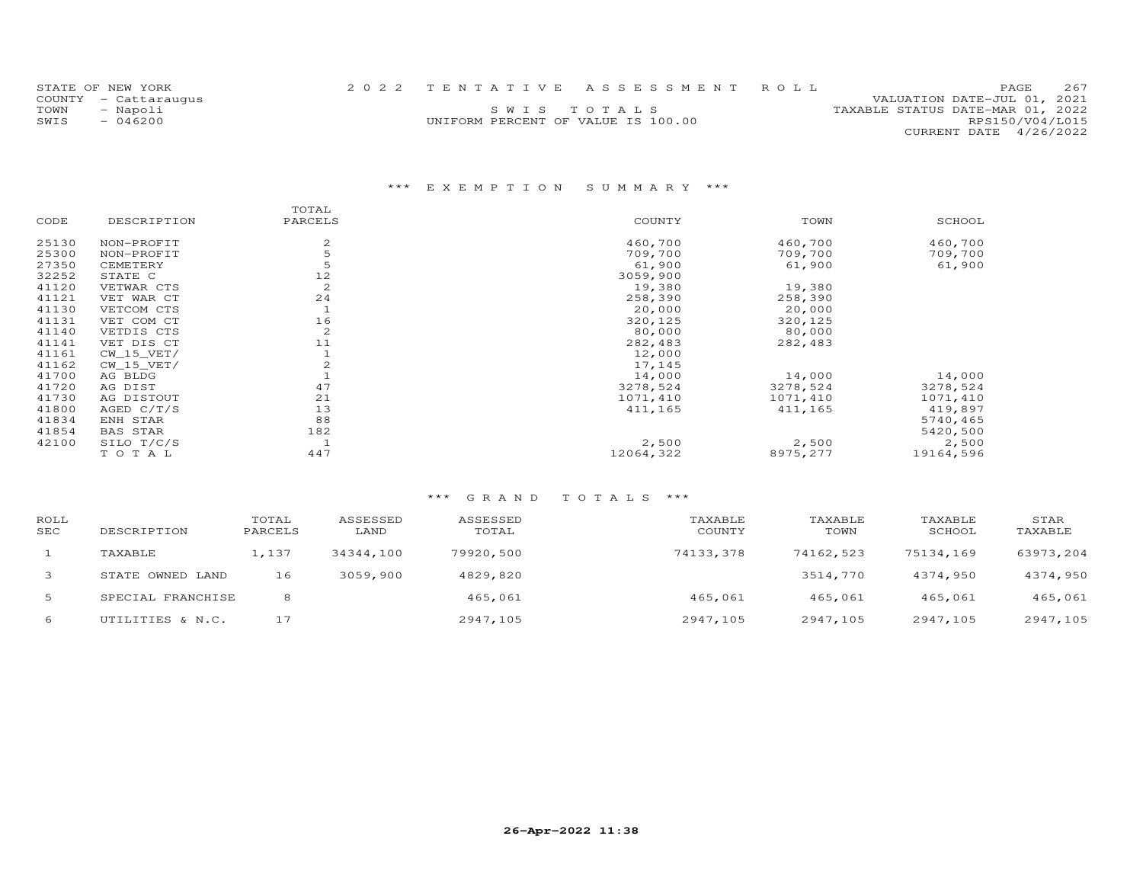| STATE OF NEW YORK    |           | 2022 TENTATIVE ASSESSMENT ROLL     |             |  |                                  |                        | PAGE | 2.67 |
|----------------------|-----------|------------------------------------|-------------|--|----------------------------------|------------------------|------|------|
| COUNTY - Cattaraugus |           |                                    |             |  | VALUATION DATE-JUL 01, 2021      |                        |      |      |
| TOWN                 | - Napoli  |                                    | SWIS TOTALS |  | TAXABLE STATUS DATE-MAR 01, 2022 |                        |      |      |
| SWIS                 | $-046200$ | UNIFORM PERCENT OF VALUE IS 100.00 |             |  |                                  | RPS150/V04/L015        |      |      |
|                      |           |                                    |             |  |                                  | CURRENT DATE 4/26/2022 |      |      |

# \*\*\* E X E M P T I O N S U M M A R Y \*\*\*

| DESCRIPTION     | PARCELS        | COUNTY    | TOWN     | SCHOOL    |
|-----------------|----------------|-----------|----------|-----------|
| NON-PROFIT      | 2              | 460,700   | 460,700  | 460,700   |
| NON-PROFIT      | 5              | 709,700   | 709,700  | 709,700   |
| CEMETERY        | 5              | 61,900    | 61,900   | 61,900    |
| STATE C         | 12             | 3059,900  |          |           |
| VETWAR CTS      | $\overline{c}$ | 19,380    | 19,380   |           |
| VET WAR CT      | 24             | 258,390   | 258,390  |           |
| VETCOM CTS      |                | 20,000    | 20,000   |           |
| VET COM CT      | 16             | 320,125   | 320,125  |           |
| VETDIS CTS      | $\overline{c}$ | 80,000    | 80,000   |           |
| VET DIS CT      | 11             | 282,483   | 282,483  |           |
| $CW_15_VET/$    |                | 12,000    |          |           |
| $CW_15_VET/$    |                | 17,145    |          |           |
| AG BLDG         |                | 14,000    | 14,000   | 14,000    |
| AG DIST         | 47             | 3278,524  | 3278,524 | 3278,524  |
| AG DISTOUT      | 21             | 1071,410  | 1071,410 | 1071,410  |
| AGED $C/T/S$    | 13             | 411,165   | 411,165  | 419,897   |
| ENH STAR        | 88             |           |          | 5740,465  |
| <b>BAS STAR</b> | 182            |           |          | 5420,500  |
| SILO T/C/S      |                | 2,500     | 2,500    | 2,500     |
| TOTAL           | 447            | 12064,322 | 8975,277 | 19164,596 |
|                 |                |           |          |           |

| ROLL<br><b>SEC</b> | DESCRIPTION       | TOTAL<br>PARCELS | ASSESSED<br>LAND | ASSESSED<br>TOTAL | TAXABLE<br>COUNTY | TAXABLE<br>TOWN | TAXABLE<br>SCHOOL | STAR<br>TAXABLE |
|--------------------|-------------------|------------------|------------------|-------------------|-------------------|-----------------|-------------------|-----------------|
|                    | TAXABLE           | 1,137            | 34344,100        | 79920,500         | 74133,378         | 74162,523       | 75134,169         | 63973,204       |
| 3                  | STATE OWNED LAND  | 16               | 3059,900         | 4829,820          |                   | 3514,770        | 4374,950          | 4374,950        |
| 5                  | SPECIAL FRANCHISE | 8                |                  | 465,061           | 465,061           | 465,061         | 465,061           | 465,061         |
| 6                  | UTILITIES & N.C.  | 17               |                  | 2947,105          | 2947,105          | 2947,105        | 2947,105          | 2947,105        |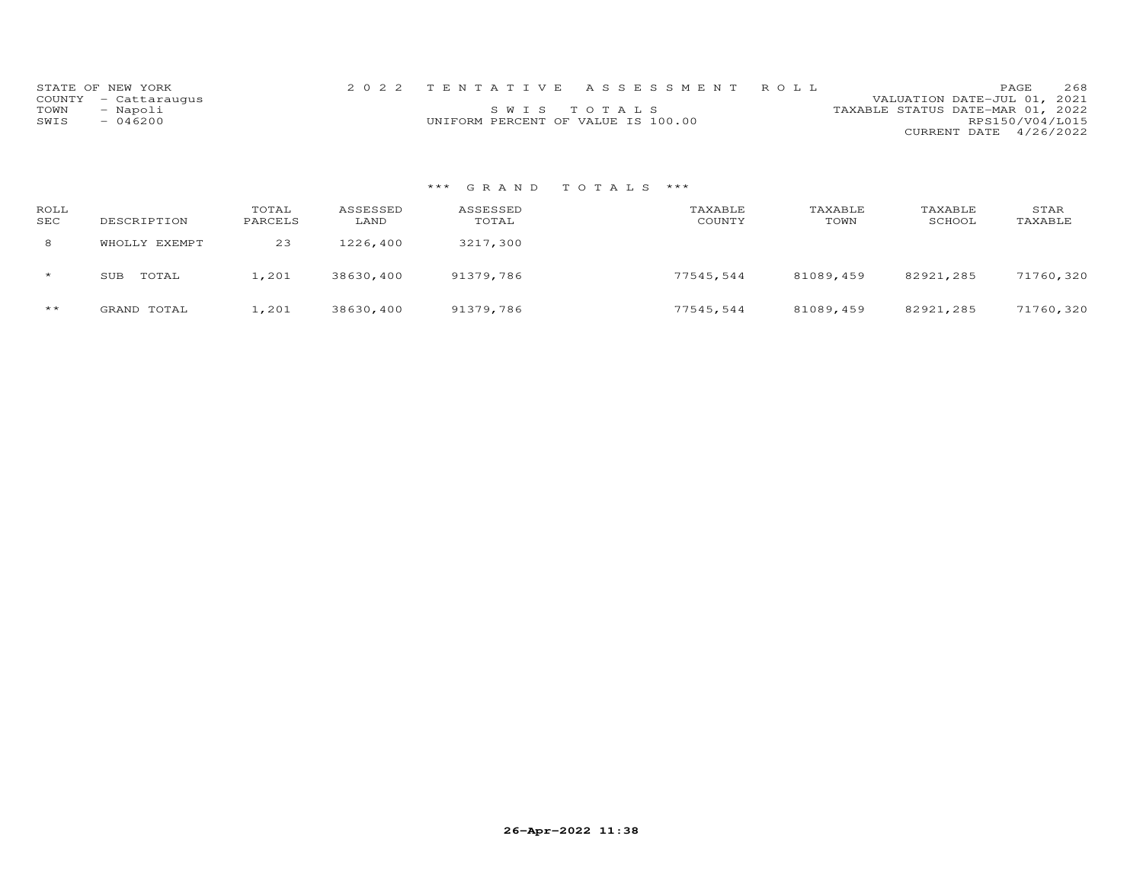|      | STATE OF NEW YORK    |                                    | 2022 TENTATIVE ASSESSMENT ROLL |                                  |                        | PAGE. | 2.68 |
|------|----------------------|------------------------------------|--------------------------------|----------------------------------|------------------------|-------|------|
|      | COUNTY - Cattaraugus |                                    |                                | VALUATION DATE-JUL 01, 2021      |                        |       |      |
| TOWN | - Napoli             |                                    | SWIS TOTALS                    | TAXABLE STATUS DATE-MAR 01, 2022 |                        |       |      |
| SWIS | $-046200$            | UNIFORM PERCENT OF VALUE IS 100.00 |                                |                                  | RPS150/V04/L015        |       |      |
|      |                      |                                    |                                |                                  | CURRENT DATE 4/26/2022 |       |      |

| ROLL<br>SEC | DESCRIPTION   | TOTAL<br>PARCELS | ASSESSED<br>LAND | ASSESSED<br>TOTAL | TAXABLE<br>COUNTY | TAXABLE<br>TOWN | TAXABLE<br>SCHOOL | STAR<br>TAXABLE |
|-------------|---------------|------------------|------------------|-------------------|-------------------|-----------------|-------------------|-----------------|
| 8           | WHOLLY EXEMPT | 23               | 1226,400         | 3217,300          |                   |                 |                   |                 |
| $\star$     | TOTAL<br>SUB  | 1,201            | 38630,400        | 91379,786         | 77545,544         | 81089,459       | 82921,285         | 71760,320       |
| $***$       | GRAND TOTAL   | 1,201            | 38630,400        | 91379,786         | 77545,544         | 81089,459       | 82921,285         | 71760,320       |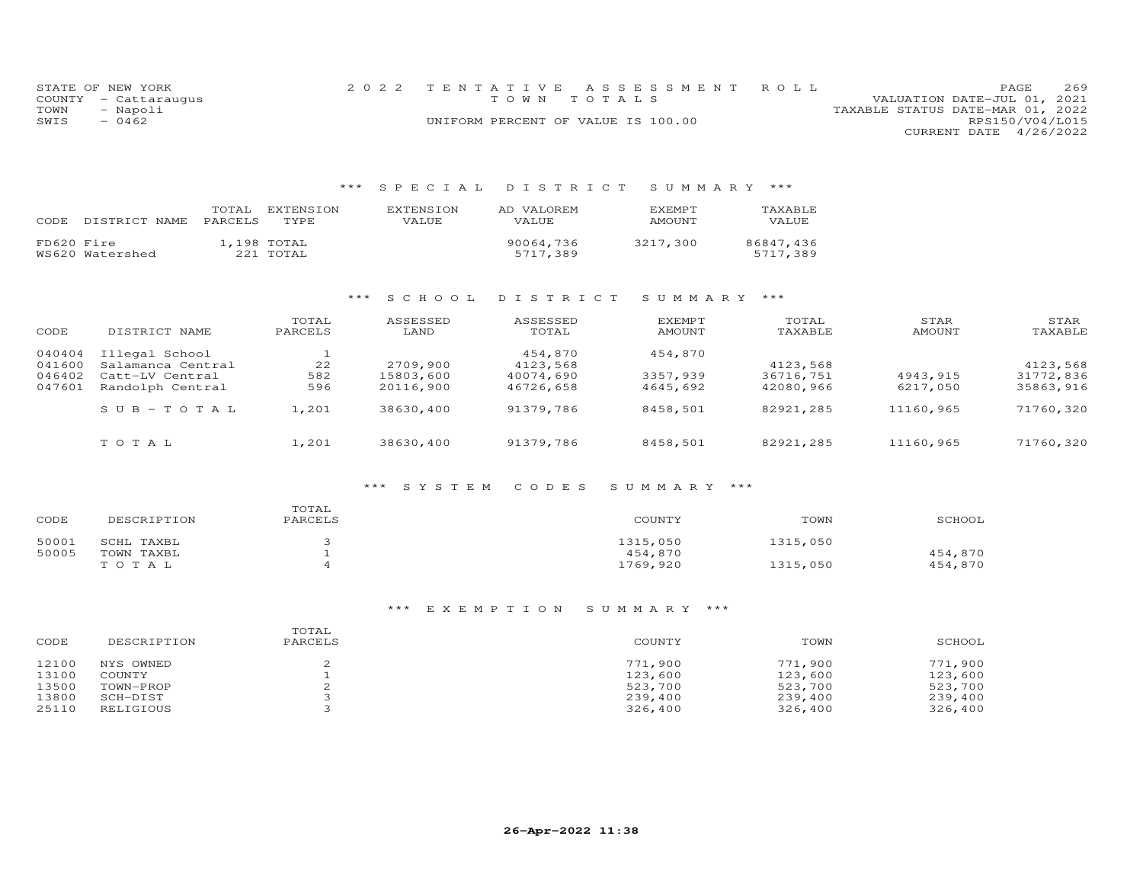|      | STATE OF NEW YORK    | 2022 TENTATIVE ASSESSMENT ROLL     |  |                                  |                        | <b>PAGE</b> | 269 |
|------|----------------------|------------------------------------|--|----------------------------------|------------------------|-------------|-----|
|      | COUNTY - Cattaraugus | TOWN TOTALS                        |  | VALUATION DATE-JUL 01, 2021      |                        |             |     |
| TOWN | - Napoli             |                                    |  | TAXABLE STATUS DATE-MAR 01, 2022 |                        |             |     |
| SWIS | $-0462$              | UNIFORM PERCENT OF VALUE IS 100.00 |  |                                  | RPS150/V04/L015        |             |     |
|      |                      |                                    |  |                                  | CURRENT DATE 4/26/2022 |             |     |

# \*\*\* S P E C I A L D I S T R I C T S U M M A R Y \*\*\*

| CODE       | DISTRICT NAME   | TOTAL<br><b>PARCELS</b> | EXTENSION<br>TYPE.       | <b>EXTENSION</b><br>VALUE | AD VALOREM<br><b>VALUE</b> | EXEMPT<br>AMOUNT | TAXABLE<br>VALUE      |
|------------|-----------------|-------------------------|--------------------------|---------------------------|----------------------------|------------------|-----------------------|
| FD620 Fire | WS620 Watershed |                         | 1,198 TOTAL<br>221 TOTAL |                           | 90064,736<br>5717,389      | 3217,300         | 86847.436<br>5717,389 |

## \*\*\* S C H O O L D I S T R I C T S U M M A R Y \*\*\*

| CODE                                 | DISTRICT NAME                                                              | TOTAL<br>PARCELS | ASSESSED<br>LAND                   | ASSESSED<br>TOTAL                             | <b>EXEMPT</b><br>AMOUNT         | TOTAL<br>TAXABLE                   | STAR<br>AMOUNT       | STAR<br>TAXABLE                    |
|--------------------------------------|----------------------------------------------------------------------------|------------------|------------------------------------|-----------------------------------------------|---------------------------------|------------------------------------|----------------------|------------------------------------|
| 040404<br>041600<br>046402<br>047601 | Illegal School<br>Salamanca Central<br>Catt-LV Central<br>Randolph Central | 22<br>582<br>596 | 2709,900<br>15803,600<br>20116,900 | 454,870<br>4123,568<br>40074,690<br>46726,658 | 454,870<br>3357,939<br>4645,692 | 4123,568<br>36716,751<br>42080,966 | 4943,915<br>6217,050 | 4123,568<br>31772,836<br>35863,916 |
|                                      | $SUB - TO TAL$                                                             | 1,201            | 38630,400                          | 91379,786                                     | 8458,501                        | 82921,285                          | 11160,965            | 71760,320                          |
|                                      | TOTAL                                                                      | 1,201            | 38630,400                          | 91379,786                                     | 8458,501                        | 82921,285                          | 11160,965            | 71760,320                          |

#### \*\*\* S Y S T E M C O D E S S U M M A R Y \*\*\*

| CODE  | DESCRIPTION | TOTAL<br>PARCELS | COUNTY   | TOWN     | SCHOOL  |
|-------|-------------|------------------|----------|----------|---------|
| 50001 | SCHL TAXBL  |                  | 1315,050 | 1315,050 |         |
| 50005 | TOWN TAXBL  |                  | 454,870  |          | 454,870 |
|       | TOTAL       |                  | 1769,920 | 1315,050 | 454,870 |

| CODE  | DESCRIPTION | TOTAL<br>PARCELS | COUNTY  | TOWN    | SCHOOL  |
|-------|-------------|------------------|---------|---------|---------|
| 12100 | NYS OWNED   |                  | 771,900 | 771,900 | 771,900 |
| 13100 | COUNTY      |                  | 123,600 | 123,600 | 123,600 |
| 13500 | TOWN-PROP   |                  | 523,700 | 523,700 | 523,700 |
| 13800 | SCH-DIST    |                  | 239,400 | 239,400 | 239,400 |
| 25110 | RELIGIOUS   |                  | 326,400 | 326,400 | 326,400 |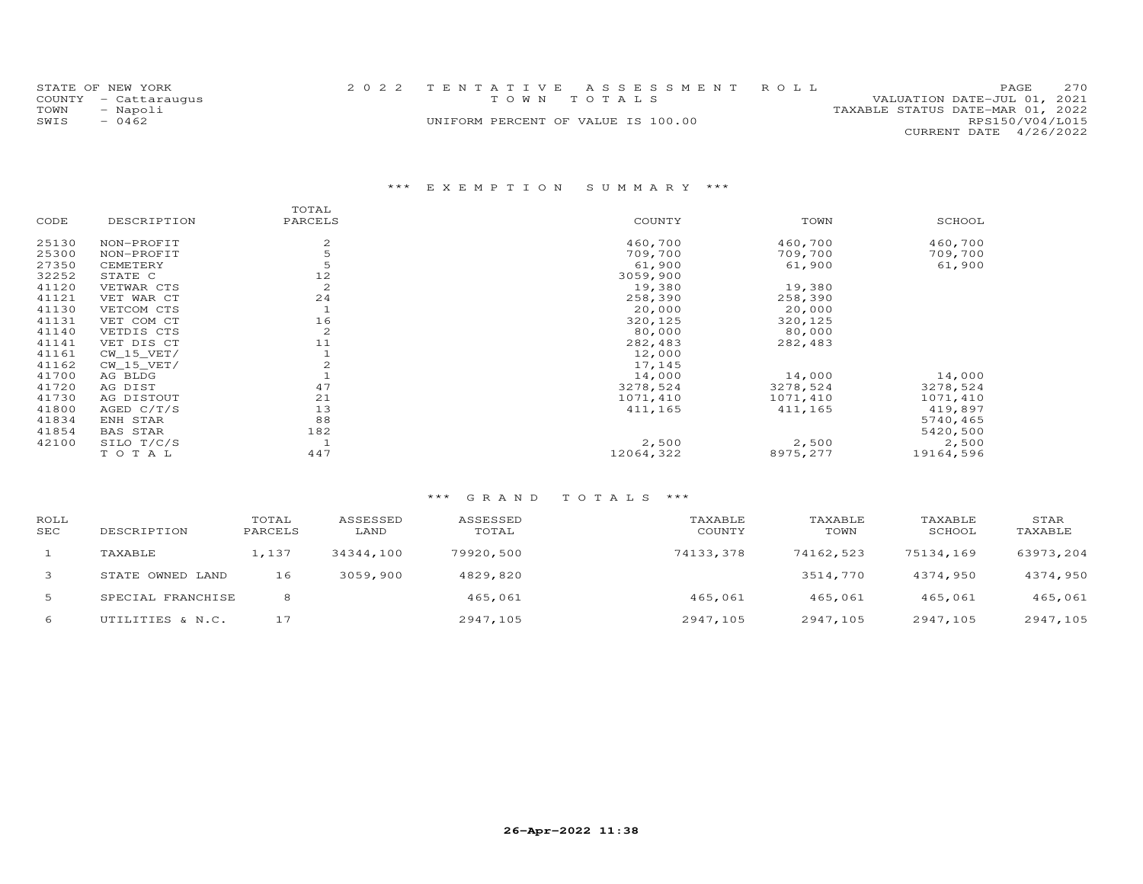|      | STATE OF NEW YORK    | 2022 TENTATIVE ASSESSMENT ROLL     |  |  |                                  |                        | <b>PAGE</b> | 2.70 |
|------|----------------------|------------------------------------|--|--|----------------------------------|------------------------|-------------|------|
|      | COUNTY - Cattaraugus | TOWN TOTALS                        |  |  | VALUATION DATE-JUL 01, 2021      |                        |             |      |
| TOWN | - Napoli             |                                    |  |  | TAXABLE STATUS DATE-MAR 01, 2022 |                        |             |      |
| SWIS | $-0462$              | UNIFORM PERCENT OF VALUE IS 100.00 |  |  |                                  | RPS150/V04/L015        |             |      |
|      |                      |                                    |  |  |                                  | CURRENT DATE 4/26/2022 |             |      |

# \*\*\* E X E M P T I O N S U M M A R Y \*\*\*

| DESCRIPTION     | PARCELS        | COUNTY    | TOWN     | SCHOOL    |
|-----------------|----------------|-----------|----------|-----------|
| NON-PROFIT      | 2              | 460,700   | 460,700  | 460,700   |
| NON-PROFIT      | 5              | 709,700   | 709,700  | 709,700   |
| CEMETERY        | 5              | 61,900    | 61,900   | 61,900    |
| STATE C         | 12             | 3059,900  |          |           |
| VETWAR CTS      | $\overline{c}$ | 19,380    | 19,380   |           |
| VET WAR CT      | 24             | 258,390   | 258,390  |           |
| VETCOM CTS      |                | 20,000    | 20,000   |           |
| VET COM CT      | 16             | 320,125   | 320,125  |           |
| VETDIS CTS      | $\overline{c}$ | 80,000    | 80,000   |           |
| VET DIS CT      | 11             | 282,483   | 282,483  |           |
| $CW_15_VET/$    |                | 12,000    |          |           |
| $CW_15_VET/$    |                | 17,145    |          |           |
| AG BLDG         |                | 14,000    | 14,000   | 14,000    |
| AG DIST         | 47             | 3278,524  | 3278,524 | 3278,524  |
| AG DISTOUT      | 21             | 1071,410  | 1071,410 | 1071,410  |
| AGED $C/T/S$    | 13             | 411,165   | 411,165  | 419,897   |
| ENH STAR        | 88             |           |          | 5740,465  |
| <b>BAS STAR</b> | 182            |           |          | 5420,500  |
| SILO T/C/S      |                | 2,500     | 2,500    | 2,500     |
| TOTAL           | 447            | 12064,322 | 8975,277 | 19164,596 |
|                 |                |           |          |           |

| ROLL<br><b>SEC</b> | DESCRIPTION       | TOTAL<br>PARCELS | ASSESSED<br>LAND | ASSESSED<br>TOTAL | TAXABLE<br>COUNTY | TAXABLE<br>TOWN | TAXABLE<br>SCHOOL | STAR<br>TAXABLE |
|--------------------|-------------------|------------------|------------------|-------------------|-------------------|-----------------|-------------------|-----------------|
|                    | TAXABLE           | 1,137            | 34344,100        | 79920,500         | 74133,378         | 74162,523       | 75134,169         | 63973,204       |
| 3                  | STATE OWNED LAND  | 16               | 3059,900         | 4829,820          |                   | 3514,770        | 4374,950          | 4374,950        |
| 5                  | SPECIAL FRANCHISE | 8                |                  | 465,061           | 465,061           | 465,061         | 465,061           | 465,061         |
| 6                  | UTILITIES & N.C.  | 17               |                  | 2947,105          | 2947,105          | 2947,105        | 2947,105          | 2947,105        |